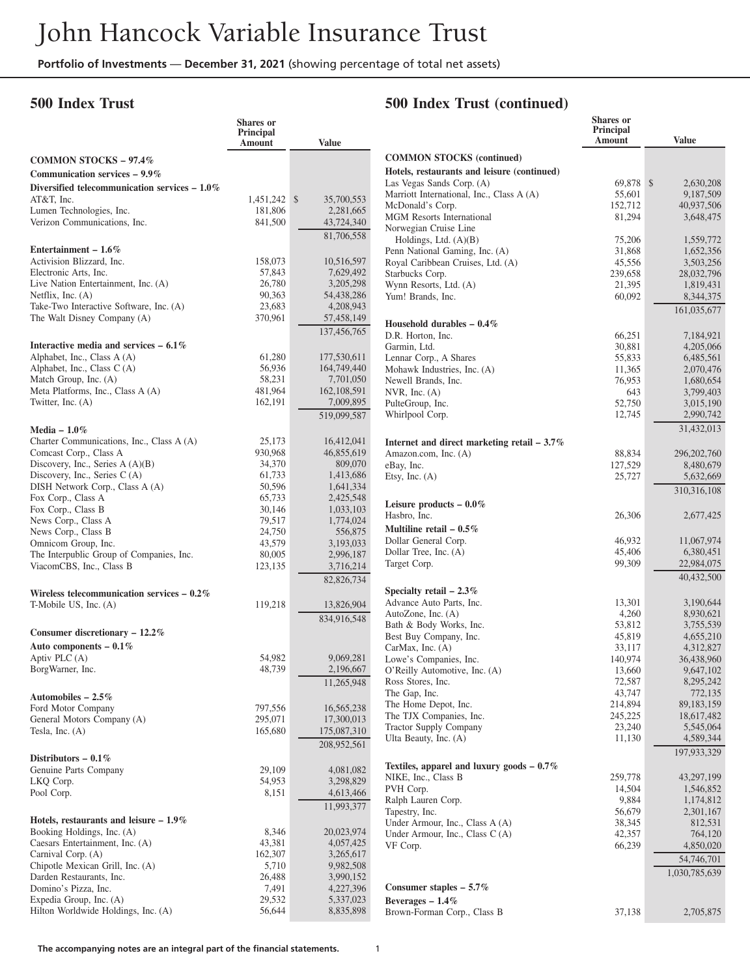#### **500 Index Trust**

# **500 Index Trust (continued)**

|                                                                        | <b>Shares</b> or<br>Principal<br>Amount | <b>Value</b>            |                                |
|------------------------------------------------------------------------|-----------------------------------------|-------------------------|--------------------------------|
| <b>COMMON STOCKS - 97.4%</b>                                           |                                         |                         | <b>COMMON</b>                  |
| Communication services $-9.9\%$                                        |                                         |                         | Hotels, resta                  |
| Diversified telecommunication services $-1.0\%$                        |                                         |                         | Las Vegas S                    |
| AT&T, Inc.                                                             | 1,451,242                               | \$<br>35,700,553        | Marriott Inte                  |
| Lumen Technologies, Inc.                                               | 181,806                                 | 2,281,665               | McDonald's<br><b>MGM</b> Resor |
| Verizon Communications, Inc.                                           | 841,500                                 | 43,724,340              | Norwegian (                    |
|                                                                        |                                         | 81,706,558              | Holdings,                      |
| Entertainment $-1.6\%$                                                 |                                         |                         | Penn Nation                    |
| Activision Blizzard, Inc.                                              | 158,073                                 | 10,516,597              | Royal Caribl                   |
| Electronic Arts, Inc.                                                  | 57,843                                  | 7,629,492               | Starbucks Co                   |
| Live Nation Entertainment, Inc. (A)                                    | 26,780                                  | 3,205,298               | Wynn Resor                     |
| Netflix, Inc. $(A)$                                                    | 90,363                                  | 54,438,286              | Yum! Brand                     |
| Take-Two Interactive Software, Inc. (A)                                | 23,683                                  | 4,208,943               |                                |
| The Walt Disney Company (A)                                            | 370,961                                 | 57,458,149              | Household                      |
|                                                                        |                                         | 137,456,765             | D.R. Horton                    |
| Interactive media and services $-6.1\%$                                |                                         |                         | Garmin, Ltd                    |
| Alphabet, Inc., Class A (A)                                            | 61,280                                  | 177,530,611             | Lennar Corp                    |
| Alphabet, Inc., Class C (A)                                            | 56,936                                  | 164,749,440             | Mohawk Ind                     |
| Match Group, Inc. (A)                                                  | 58,231                                  | 7,701,050               | Newell Bran                    |
| Meta Platforms, Inc., Class A (A)                                      | 481,964                                 | 162, 108, 591           | NVR, Inc. $($                  |
| Twitter, Inc. (A)                                                      | 162,191                                 | 7,009,895               | PulteGroup,                    |
|                                                                        |                                         | 519,099,587             | Whirlpool C                    |
| Media $-1.0\%$                                                         |                                         |                         |                                |
| Charter Communications, Inc., Class A (A)                              | 25,173                                  | 16,412,041              | Internet and                   |
| Comcast Corp., Class A                                                 | 930,968                                 | 46,855,619              | Amazon.con                     |
| Discovery, Inc., Series $A(A)(B)$<br>Discovery, Inc., Series C (A)     | 34,370                                  | 809,070                 | eBay, Inc.                     |
| DISH Network Corp., Class A (A)                                        | 61,733<br>50,596                        | 1,413,686<br>1,641,334  | Etsy, Inc. (A                  |
| Fox Corp., Class A                                                     | 65,733                                  | 2,425,548               |                                |
| Fox Corp., Class B                                                     | 30,146                                  | 1,033,103               | Leisure pro                    |
| News Corp., Class A                                                    | 79,517                                  | 1,774,024               | Hasbro, Inc.                   |
| News Corp., Class B                                                    | 24,750                                  | 556,875                 | <b>Multiline</b> re            |
| Omnicom Group, Inc.                                                    | 43,579                                  | 3,193,033               | Dollar Gene                    |
| The Interpublic Group of Companies, Inc.                               | 80,005                                  | 2,996,187               | Dollar Tree,                   |
| ViacomCBS, Inc., Class B                                               | 123,135                                 | 3,716,214               | Target Corp.                   |
|                                                                        |                                         | 82,826,734              |                                |
| Wireless telecommunication services $-0.2\%$                           |                                         |                         | Specialty re                   |
| T-Mobile US, Inc. (A)                                                  | 119,218                                 | 13,826,904              | Advance Au                     |
|                                                                        |                                         | 834,916,548             | AutoZone, I                    |
| Consumer discretionary $-12.2\%$                                       |                                         |                         | Bath & Bod                     |
| Auto components $-0.1\%$                                               |                                         |                         | Best Buy Co                    |
| Aptiv PLC (A)                                                          | 54,982                                  | 9,069,281               | CarMax, Inc.<br>Lowe's Con     |
| BorgWarner, Inc.                                                       | 48,739                                  | 2,196,667               | O'Reilly Au                    |
|                                                                        |                                         | 11,265,948              | Ross Stores,                   |
| Automobiles $-2.5\%$                                                   |                                         |                         | The Gap, In                    |
| Ford Motor Company                                                     | 797,556                                 | 16,565,238              | The Home I                     |
| General Motors Company (A)                                             | 295,071                                 | 17,300,013              | The TJX Co                     |
| Tesla, Inc. $(A)$                                                      | 165,680                                 | 175,087,310             | <b>Tractor Supp</b>            |
|                                                                        |                                         | 208,952,561             | Ulta Beauty,                   |
| Distributors $-0.1\%$                                                  |                                         |                         |                                |
| Genuine Parts Company                                                  | 29,109                                  | 4,081,082               | <b>Textiles</b> , app          |
| LKQ Corp.                                                              | 54,953                                  | 3,298,829               | NIKE, Inc.,                    |
| Pool Corp.                                                             | 8,151                                   | 4,613,466               | PVH Corp.                      |
|                                                                        |                                         | 11,993,377              | Ralph Laure                    |
|                                                                        |                                         |                         | Tapestry, Inc                  |
| Hotels, restaurants and leisure $-1.9\%$<br>Booking Holdings, Inc. (A) |                                         |                         | Under Armo                     |
| Caesars Entertainment, Inc. (A)                                        | 8,346<br>43,381                         | 20,023,974<br>4,057,425 | Under Armo                     |
| Carnival Corp. (A)                                                     | 162,307                                 | 3,265,617               | VF Corp.                       |
| Chipotle Mexican Grill, Inc. (A)                                       | 5,710                                   | 9,982,508               |                                |
| Darden Restaurants, Inc.                                               | 26,488                                  | 3,990,152               |                                |
| Domino's Pizza, Inc.                                                   | 7,491                                   | 4,227,396               | <b>Consumer</b> s              |
| Expedia Group, Inc. (A)                                                | 29,532                                  | 5,337,023               | Beverages –                    |
| Hilton Worldwide Holdings, Inc. (A)                                    | 56,644                                  | 8,835,898               | Brown-Form                     |

|                                                       | <b>Shares</b> or<br>Principal<br>Amount | <b>Value</b>               |
|-------------------------------------------------------|-----------------------------------------|----------------------------|
| <b>COMMON STOCKS</b> (continued)                      |                                         |                            |
| Hotels, restaurants and leisure (continued)           |                                         |                            |
| Las Vegas Sands Corp. (A)                             | 69,878                                  | \$<br>2,630,208            |
| Marriott International, Inc., Class A (A)             | 55,601                                  | 9,187,509                  |
| McDonald's Corp.                                      | 152,712                                 | 40,937,506                 |
| <b>MGM Resorts International</b>                      | 81,294                                  | 3,648,475                  |
| Norwegian Cruise Line<br>Holdings, Ltd. $(A)(B)$      | 75,206                                  | 1,559,772                  |
| Penn National Gaming, Inc. (A)                        | 31,868                                  | 1,652,356                  |
| Royal Caribbean Cruises, Ltd. (A)                     | 45,556                                  | 3,503,256                  |
| Starbucks Corp.                                       | 239,658                                 | 28,032,796                 |
| Wynn Resorts, Ltd. (A)                                | 21,395                                  | 1,819,431                  |
| Yum! Brands, Inc.                                     | 60,092                                  | 8,344,375                  |
|                                                       |                                         | 161,035,677                |
| Household durables $-0.4\%$                           |                                         |                            |
| D.R. Horton, Inc.                                     | 66,251                                  | 7,184,921                  |
| Garmin, Ltd.                                          | 30,881                                  | 4,205,066                  |
| Lennar Corp., A Shares<br>Mohawk Industries, Inc. (A) | 55,833                                  | 6,485,561                  |
| Newell Brands, Inc.                                   | 11,365<br>76,953                        | 2,070,476<br>1,680,654     |
| NVR, Inc. $(A)$                                       | 643                                     | 3,799,403                  |
| PulteGroup, Inc.                                      | 52,750                                  | 3,015,190                  |
| Whirlpool Corp.                                       | 12,745                                  | 2,990,742                  |
|                                                       |                                         | 31,432,013                 |
| Internet and direct marketing retail $-3.7\%$         |                                         |                            |
| Amazon.com, Inc. (A)                                  | 88,834                                  | 296, 202, 760              |
| eBay, Inc.                                            | 127,529                                 | 8,480,679                  |
| Etsy, Inc. $(A)$                                      | 25,727                                  | 5,632,669                  |
|                                                       |                                         | 310,316,108                |
| Leisure products $-0.0\%$                             |                                         |                            |
| Hasbro, Inc.                                          | 26,306                                  | 2,677,425                  |
| Multiline retail $-0.5\%$                             |                                         |                            |
| Dollar General Corp.                                  | 46,932                                  | 11,067,974                 |
| Dollar Tree, Inc. (A)                                 | 45,406                                  | 6,380,451                  |
| Target Corp.                                          | 99,309                                  | 22,984,075<br>40,432,500   |
| Specialty retail $-2.3\%$                             |                                         |                            |
| Advance Auto Parts, Inc.                              | 13,301                                  | 3,190,644                  |
| AutoZone, Inc. (A)                                    | 4,260                                   | 8,930,621                  |
| Bath & Body Works, Inc.                               | 53,812                                  | 3,755,539                  |
| Best Buy Company, Inc.                                | 45,819                                  | 4,655,210                  |
| CarMax, Inc. $(A)$                                    | 33,117                                  | 4,312,827                  |
| Lowe's Companies, Inc.                                | 140,974                                 | 36,438,960                 |
| O'Reilly Automotive, Inc. (A)                         | 13,660                                  | 9,647,102                  |
| Ross Stores, Inc.                                     | 72,587                                  | 8,295,242                  |
| The Gap, Inc.                                         | 43,747                                  | 772,135                    |
| The Home Depot, Inc.<br>The TJX Companies, Inc.       | 214,894<br>245,225                      | 89, 183, 159<br>18,617,482 |
| <b>Tractor Supply Company</b>                         | 23,240                                  | 5,545,064                  |
| Ulta Beauty, Inc. (A)                                 | 11,130                                  | 4,589,344                  |
|                                                       |                                         | 197,933,329                |
| Textiles, apparel and luxury goods $-0.7\%$           |                                         |                            |
| NIKE, Inc., Class B                                   | 259,778                                 | 43,297,199                 |
| PVH Corp.                                             | 14,504                                  | 1,546,852                  |
| Ralph Lauren Corp.                                    | 9,884                                   | 1,174,812                  |
| Tapestry, Inc.                                        | 56,679                                  | 2,301,167                  |
| Under Armour, Inc., Class A (A)                       | 38,345                                  | 812,531                    |
| Under Armour, Inc., Class C (A)<br>VF Corp.           | 42,357<br>66,239                        | 764,120<br>4,850,020       |
|                                                       |                                         |                            |
|                                                       |                                         | 54,746,701                 |
|                                                       |                                         | 1,030,785,639              |
| Consumer staples $-5.7\%$<br>Beverages $-1.4\%$       |                                         |                            |
| Brown-Forman Corp., Class B                           | 37,138                                  | 2,705,875                  |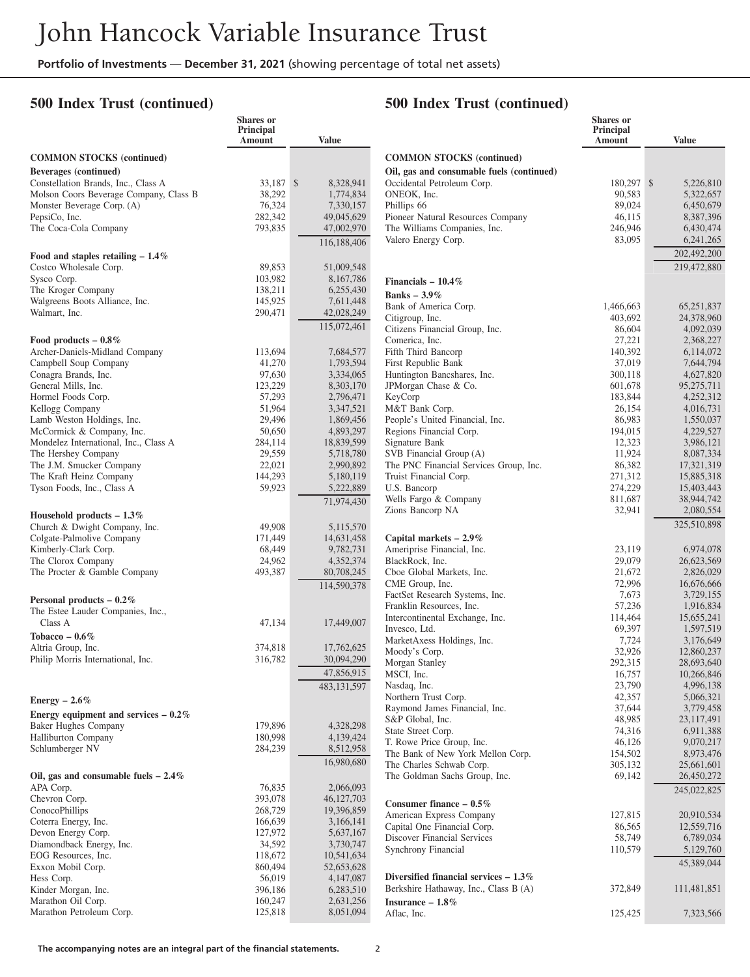**Shares or**

#### **500 Index Trust (continued)**

#### **500 Index Trust (continued)**

|                                                              | Principal<br>Amount | <b>Value</b>              |                                                               |
|--------------------------------------------------------------|---------------------|---------------------------|---------------------------------------------------------------|
| <b>COMMON STOCKS</b> (continued)                             |                     |                           | <b>COMMON STOCKS (continu</b>                                 |
| Beverages (continued)                                        |                     |                           | Oil, gas and consumable fuels                                 |
| Constellation Brands, Inc., Class A                          | 33,187 \$           | 8,328,941                 | Occidental Petroleum Corp.                                    |
| Molson Coors Beverage Company, Class B                       | 38,292              | 1,774,834                 | ONEOK, Inc.                                                   |
| Monster Beverage Corp. (A)                                   | 76,324              | 7,330,157                 | Phillips 66                                                   |
| PepsiCo, Inc.<br>The Coca-Cola Company                       | 282,342<br>793,835  | 49,045,629<br>47,002,970  | Pioneer Natural Resources Com<br>The Williams Companies, Inc. |
|                                                              |                     | 116,188,406               | Valero Energy Corp.                                           |
| Food and staples retailing $-1.4\%$                          |                     |                           |                                                               |
| Costco Wholesale Corp.                                       | 89,853              | 51,009,548                |                                                               |
| Sysco Corp.                                                  | 103,982             | 8,167,786                 | Financials $-10.4\%$                                          |
| The Kroger Company                                           | 138,211             | 6,255,430                 | Banks $-3.9\%$                                                |
| Walgreens Boots Alliance, Inc.                               | 145,925             | 7,611,448                 | Bank of America Corp.                                         |
| Walmart, Inc.                                                | 290,471             | 42,028,249<br>115,072,461 | Citigroup, Inc.<br>Citizens Financial Group, Inc.             |
| Food products $-0.8\%$                                       |                     |                           | Comerica, Inc.                                                |
| Archer-Daniels-Midland Company                               | 113,694             | 7,684,577                 | Fifth Third Bancorp                                           |
| Campbell Soup Company                                        | 41,270              | 1,793,594                 | First Republic Bank                                           |
| Conagra Brands, Inc.                                         | 97,630              | 3,334,065                 | Huntington Bancshares, Inc.                                   |
| General Mills, Inc.                                          | 123,229             | 8,303,170                 | JPMorgan Chase & Co.                                          |
| Hormel Foods Corp.                                           | 57,293              | 2,796,471                 | KeyCorp                                                       |
| Kellogg Company                                              | 51,964              | 3,347,521                 | M&T Bank Corp.                                                |
| Lamb Weston Holdings, Inc.                                   | 29,496              | 1,869,456                 | People's United Financial, Inc.                               |
| McCormick & Company, Inc.                                    | 50,650              | 4,893,297                 | Regions Financial Corp.                                       |
| Mondelez International, Inc., Class A<br>The Hershey Company | 284,114<br>29,559   | 18,839,599                | Signature Bank<br>SVB Financial Group (A)                     |
| The J.M. Smucker Company                                     | 22,021              | 5,718,780<br>2,990,892    | The PNC Financial Services Gro                                |
| The Kraft Heinz Company                                      | 144,293             | 5,180,119                 | Truist Financial Corp.                                        |
| Tyson Foods, Inc., Class A                                   | 59,923              | 5,222,889                 | U.S. Bancorp                                                  |
|                                                              |                     | 71,974,430                | Wells Fargo & Company                                         |
| Household products $-1.3\%$                                  |                     |                           | Zions Bancorp NA                                              |
| Church & Dwight Company, Inc.                                | 49,908              | 5,115,570                 |                                                               |
| Colgate-Palmolive Company                                    | 171,449             | 14,631,458                | Capital markets $-2.9\%$                                      |
| Kimberly-Clark Corp.                                         | 68,449              | 9,782,731                 | Ameriprise Financial, Inc.                                    |
| The Clorox Company                                           | 24,962              | 4,352,374                 | BlackRock, Inc.                                               |
| The Procter & Gamble Company                                 | 493,387             | 80,708,245                | Cboe Global Markets, Inc.<br>CME Group, Inc.                  |
| Personal products $-0.2\%$                                   |                     | 114,590,378               | FactSet Research Systems, Inc.                                |
| The Estee Lauder Companies, Inc.,                            |                     |                           | Franklin Resources, Inc.                                      |
| Class A                                                      | 47,134              | 17,449,007                | Intercontinental Exchange, Inc.                               |
| Tobacco $-0.6\%$                                             |                     |                           | Invesco, Ltd.                                                 |
| Altria Group, Inc.                                           | 374,818             | 17,762,625                | MarketAxess Holdings, Inc.                                    |
| Philip Morris International, Inc.                            | 316,782             | 30,094,290                | Moody's Corp.<br>Morgan Stanley                               |
|                                                              |                     | 47,856,915                | MSCI, Inc.                                                    |
|                                                              |                     | 483, 131, 597             | Nasdaq, Inc.                                                  |
| Energy $-2.6\%$                                              |                     |                           | Northern Trust Corp.                                          |
| Energy equipment and services $-0.2\%$                       |                     |                           | Raymond James Financial, Inc.                                 |
| <b>Baker Hughes Company</b>                                  | 179,896             | 4,328,298                 | S&P Global, Inc.                                              |
| <b>Halliburton Company</b>                                   | 180,998             | 4,139,424                 | State Street Corp.                                            |
| Schlumberger NV                                              | 284,239             | 8,512,958                 | T. Rowe Price Group, Inc.                                     |
|                                                              |                     | 16,980,680                | The Bank of New York Mellon<br>The Charles Schwab Corp.       |
| Oil, gas and consumable fuels $-2.4\%$                       |                     |                           | The Goldman Sachs Group, Inc.                                 |
| APA Corp.                                                    | 76,835              | 2,066,093                 |                                                               |
| Chevron Corp.                                                | 393,078             | 46,127,703                | Consumer finance $-0.5\%$                                     |
| ConocoPhillips                                               | 268,729             | 19,396,859                | American Express Company                                      |
| Coterra Energy, Inc.                                         | 166,639             | 3,166,141                 | Capital One Financial Corp.                                   |
| Devon Energy Corp.                                           | 127,972             | 5,637,167                 | Discover Financial Services                                   |
| Diamondback Energy, Inc.                                     | 34,592              | 3,730,747                 | Synchrony Financial                                           |
| EOG Resources, Inc.                                          | 118,672             | 10,541,634                |                                                               |
| Exxon Mobil Corp.                                            | 860,494             | 52,653,628                |                                                               |
| Hess Corp.                                                   | 56,019              | 4, 147, 087               | Diversified financial services -                              |
| Kinder Morgan, Inc.                                          | 396,186             | 6,283,510                 | Berkshire Hathaway, Inc., Class                               |
| Marathon Oil Corp.                                           | 160,247             | 2,631,256                 | Insurance $-1.8\%$                                            |
| Marathon Petroleum Corp.                                     | 125,818             | 8,051,094                 | Aflac, Inc.                                                   |

|                                                       | <b>Shares</b> or<br><b>Principal</b><br>Amount | <b>Value</b>              |
|-------------------------------------------------------|------------------------------------------------|---------------------------|
| <b>COMMON STOCKS</b> (continued)                      |                                                |                           |
| Oil, gas and consumable fuels (continued)             |                                                |                           |
| Occidental Petroleum Corp.                            | 180,297                                        | \$<br>5,226,810           |
| ONEOK, Inc.                                           | 90,583                                         | 5,322,657                 |
| Phillips 66<br>Pioneer Natural Resources Company      | 89,024<br>46,115                               | 6,450,679                 |
| The Williams Companies, Inc.                          | 246,946                                        | 8,387,396<br>6,430,474    |
| Valero Energy Corp.                                   | 83,095                                         | 6,241,265                 |
|                                                       |                                                | 202,492,200               |
|                                                       |                                                | 219,472,880               |
| Financials $-10.4\%$                                  |                                                |                           |
| Banks $-3.9\%$                                        |                                                |                           |
| Bank of America Corp.                                 | 1,466,663                                      | 65,251,837                |
| Citigroup, Inc.<br>Citizens Financial Group, Inc.     | 403,692<br>86,604                              | 24,378,960<br>4,092,039   |
| Comerica, Inc.                                        | 27,221                                         | 2,368,227                 |
| Fifth Third Bancorp                                   | 140,392                                        | 6,114,072                 |
| First Republic Bank                                   | 37,019                                         | 7,644,794                 |
| Huntington Bancshares, Inc.                           | 300,118                                        | 4,627,820                 |
| JPMorgan Chase & Co.                                  | 601,678                                        | 95,275,711                |
| KeyCorp                                               | 183,844                                        | 4,252,312                 |
| M&T Bank Corp.<br>People's United Financial, Inc.     | 26,154<br>86,983                               | 4,016,731<br>1,550,037    |
| Regions Financial Corp.                               | 194,015                                        | 4,229,527                 |
| Signature Bank                                        | 12,323                                         | 3,986,121                 |
| SVB Financial Group (A)                               | 11,924                                         | 8,087,334                 |
| The PNC Financial Services Group, Inc.                | 86,382                                         | 17,321,319                |
| Truist Financial Corp.                                | 271,312                                        | 15,885,318                |
| U.S. Bancorp                                          | 274,229                                        | 15,403,443                |
| Wells Fargo & Company<br>Zions Bancorp NA             | 811,687<br>32,941                              | 38,944,742<br>2,080,554   |
|                                                       |                                                | 325,510,898               |
| Capital markets $-2.9\%$                              |                                                |                           |
| Ameriprise Financial, Inc.                            | 23,119                                         | 6,974,078                 |
| BlackRock, Inc.                                       | 29,079                                         | 26,623,569                |
| Cboe Global Markets, Inc.                             | 21,672                                         | 2,826,029                 |
| CME Group, Inc.                                       | 72,996                                         | 16,676,666                |
| FactSet Research Systems, Inc.                        | 7,673                                          | 3,729,155                 |
| Franklin Resources, Inc.                              | 57,236                                         | 1,916,834                 |
| Intercontinental Exchange, Inc.<br>Invesco, Ltd.      | 114,464<br>69,397                              | 15,655,241<br>1,597,519   |
| MarketAxess Holdings, Inc.                            | 7,724                                          | 3,176,649                 |
| Moody's Corp.                                         | 32,926                                         | 12,860,237                |
| Morgan Stanley                                        | 292,315                                        | 28,693,640                |
| MSCI, Inc.                                            | 16,757                                         | 10,266,846                |
| Nasdaq, Inc.                                          | 23,790                                         | 4,996,138                 |
| Northern Trust Corp.<br>Raymond James Financial, Inc. | 42,357<br>37,644                               | 5,066,321<br>3,779,458    |
| S&P Global, Inc.                                      | 48,985                                         | 23,117,491                |
| State Street Corp.                                    | 74,316                                         | 6,911,388                 |
| T. Rowe Price Group, Inc.                             | 46,126                                         | 9,070,217                 |
| The Bank of New York Mellon Corp.                     | 154,502                                        | 8,973,476                 |
| The Charles Schwab Corp.                              | 305,132                                        | 25,661,601                |
| The Goldman Sachs Group, Inc.                         | 69,142                                         | 26,450,272<br>245,022,825 |
| Consumer finance $-0.5\%$                             |                                                |                           |
| American Express Company                              | 127,815                                        | 20,910,534                |
| Capital One Financial Corp.                           | 86,565                                         | 12,559,716                |
| Discover Financial Services                           | 58,749                                         | 6,789,034                 |
| Synchrony Financial                                   | 110,579                                        | 5,129,760                 |
|                                                       |                                                | 45,389,044                |
| Diversified financial services $-1.3\%$               |                                                |                           |
| Berkshire Hathaway, Inc., Class B (A)                 | 372,849                                        | 111,481,851               |
| Insurance $-1.8\%$                                    |                                                |                           |
| Aflac, Inc.                                           | 125,425                                        | 7,323,566                 |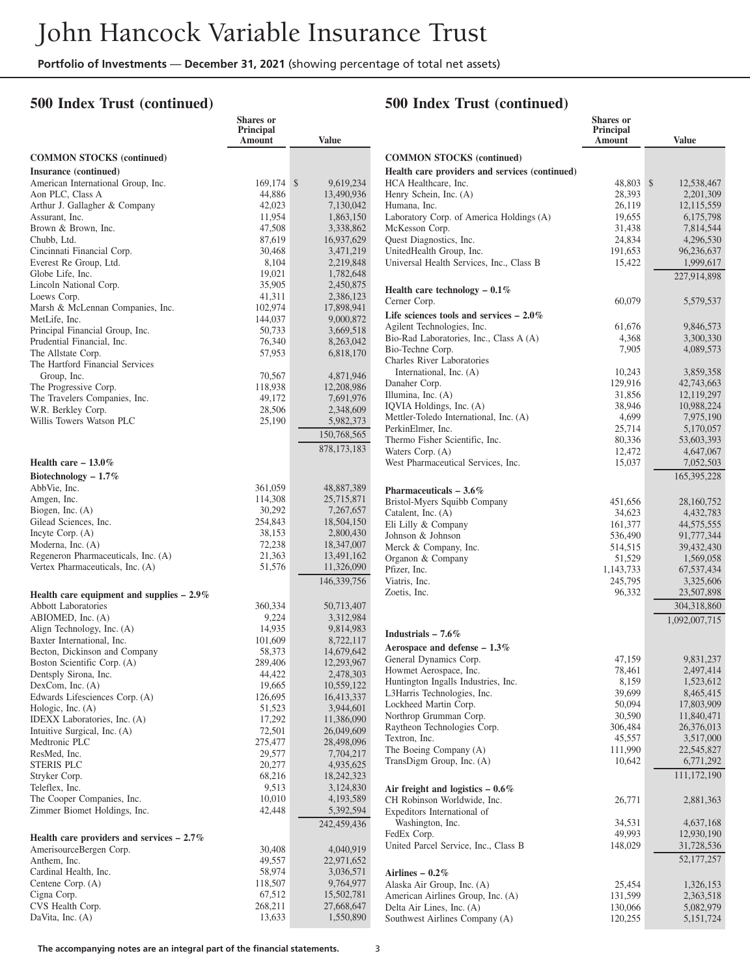#### **500 Index Trust (continued)**

# **500 Index Trust (continued)**

**Shares or**

|                                                               | <b>Shares</b> or<br>Principal<br>Amount | <b>Value</b>            |
|---------------------------------------------------------------|-----------------------------------------|-------------------------|
| <b>COMMON STOCKS (continued)</b>                              |                                         |                         |
| Insurance (continued)                                         |                                         |                         |
| American International Group, Inc.                            | 169,174                                 | \$<br>9,619,234         |
| Aon PLC, Class A                                              | 44,886                                  | 13,490,936              |
| Arthur J. Gallagher & Company                                 | 42,023                                  | 7,130,042               |
| Assurant, Inc.<br>Brown & Brown, Inc.                         | 11,954<br>47,508                        | 1,863,150<br>3,338,862  |
| Chubb, Ltd.                                                   | 87,619                                  | 16,937,629              |
| Cincinnati Financial Corp.                                    | 30,468                                  | 3,471,219               |
| Everest Re Group, Ltd.                                        | 8,104                                   | 2,219,848               |
| Globe Life, Inc.                                              | 19,021                                  | 1,782,648               |
| Lincoln National Corp.                                        | 35,905                                  | 2,450,875               |
| Loews Corp.                                                   | 41,311                                  | 2,386,123               |
| Marsh & McLennan Companies, Inc.                              | 102,974                                 | 17,898,941              |
| MetLife, Inc.                                                 | 144,037                                 | 9,000,872               |
| Principal Financial Group, Inc.<br>Prudential Financial, Inc. | 50,733                                  | 3,669,518               |
| The Allstate Corp.                                            | 76,340<br>57,953                        | 8,263,042<br>6,818,170  |
| The Hartford Financial Services                               |                                         |                         |
| Group, Inc.                                                   | 70,567                                  | 4,871,946               |
| The Progressive Corp.                                         | 118,938                                 | 12,208,986              |
| The Travelers Companies, Inc.                                 | 49,172                                  | 7,691,976               |
| W.R. Berkley Corp.                                            | 28,506                                  | 2,348,609               |
| Willis Towers Watson PLC                                      | 25,190                                  | 5,982,373               |
|                                                               |                                         | 150,768,565             |
|                                                               |                                         | 878, 173, 183           |
| Health care $-13.0\%$                                         |                                         |                         |
| Biotechnology $-1.7\%$                                        |                                         |                         |
| AbbVie, Inc.                                                  | 361,059                                 | 48,887,389              |
| Amgen, Inc.                                                   | 114,308                                 | 25,715,871              |
| Biogen, Inc. $(A)$                                            | 30,292                                  | 7,267,657               |
| Gilead Sciences, Inc.<br>Incyte Corp. (A)                     | 254,843<br>38,153                       | 18,504,150<br>2,800,430 |
| Moderna, Inc. (A)                                             | 72,238                                  | 18,347,007              |
| Regeneron Pharmaceuticals, Inc. (A)                           | 21,363                                  | 13,491,162              |
| Vertex Pharmaceuticals, Inc. (A)                              | 51,576                                  | 11,326,090              |
|                                                               |                                         | 146, 339, 756           |
| Health care equipment and supplies $-2.9\%$                   |                                         |                         |
| <b>Abbott Laboratories</b>                                    | 360,334                                 | 50,713,407              |
| ABIOMED, Inc. (A)                                             | 9,224                                   | 3,312,984               |
| Align Technology, Inc. (A)                                    | 14,935                                  | 9,814,983               |
| Baxter International, Inc.<br>Becton, Dickinson and Company   | 101,609<br>58,373                       | 8,722,117<br>14,679,642 |
| Boston Scientific Corp. (A)                                   | 289,406                                 | 12,293,967              |
| Dentsply Sirona, Inc.                                         | 44,422                                  | 2,478,303               |
| DexCom, Inc. (A)                                              | 19,665                                  | 10,559,122              |
| Edwards Lifesciences Corp. (A)                                | 126,695                                 | 16,413,337              |
| Hologic, Inc. (A)                                             | 51,523                                  | 3,944,601               |
| IDEXX Laboratories, Inc. (A)                                  | 17,292                                  | 11,386,090              |
| Intuitive Surgical, Inc. (A)                                  | 72,501                                  | 26,049,609              |
| Medtronic PLC<br>ResMed, Inc.                                 | 275,477                                 | 28,498,096              |
| <b>STERIS PLC</b>                                             | 29,577<br>20,277                        | 7,704,217<br>4,935,625  |
| Stryker Corp.                                                 | 68,216                                  | 18,242,323              |
| Teleflex, Inc.                                                | 9,513                                   | 3,124,830               |
| The Cooper Companies, Inc.                                    | 10,010                                  | 4, 193, 589             |
| Zimmer Biomet Holdings, Inc.                                  | 42,448                                  | 5,392,594               |
|                                                               |                                         | 242,459,436             |
| Health care providers and services $-2.7\%$                   |                                         |                         |
| AmerisourceBergen Corp.<br>Anthem, Inc.                       | 30,408<br>49,557                        | 4,040,919<br>22,971,652 |
| Cardinal Health, Inc.                                         | 58,974                                  | 3,036,571               |
| Centene Corp. (A)                                             | 118,507                                 | 9,764,977               |
| Cigna Corp.                                                   | 67,512                                  | 15,502,781              |
| CVS Health Corp.                                              | 268,211                                 | 27,668,647              |
| DaVita, Inc. (A)                                              | 13,633                                  | 1,550,890               |

|                                                                    | Principal<br>Amount | <b>Value</b>             |
|--------------------------------------------------------------------|---------------------|--------------------------|
| <b>COMMON STOCKS</b> (continued)                                   |                     |                          |
| Health care providers and services (continued)                     |                     |                          |
| HCA Healthcare, Inc.                                               | 48,803              | \$<br>12,538,467         |
| Henry Schein, Inc. (A)                                             | 28,393              | 2,201,309                |
| Humana, Inc.<br>Laboratory Corp. of America Holdings (A)           | 26,119<br>19,655    | 12,115,559<br>6,175,798  |
| McKesson Corp.                                                     | 31,438              | 7,814,544                |
| Quest Diagnostics, Inc.                                            | 24,834              | 4,296,530                |
| UnitedHealth Group, Inc.                                           | 191,653             | 96,236,637               |
| Universal Health Services, Inc., Class B                           | 15,422              | 1,999,617                |
|                                                                    |                     | 227,914,898              |
| Health care technology $-0.1\%$<br>Cerner Corp.                    | 60,079              | 5,579,537                |
| Life sciences tools and services $-2.0\%$                          |                     |                          |
| Agilent Technologies, Inc.                                         | 61,676              | 9,846,573                |
| Bio-Rad Laboratories, Inc., Class A (A)                            | 4,368               | 3,300,330                |
| Bio-Techne Corp.                                                   | 7,905               | 4,089,573                |
| Charles River Laboratories<br>International, Inc. (A)              | 10,243              | 3,859,358                |
| Danaher Corp.                                                      | 129,916             | 42,743,663               |
| Illumina, Inc. (A)                                                 | 31,856              | 12,119,297               |
| IQVIA Holdings, Inc. (A)                                           | 38,946              | 10,988,224               |
| Mettler-Toledo International, Inc. (A)                             | 4,699               | 7,975,190                |
| PerkinElmer, Inc.                                                  | 25,714              | 5,170,057                |
| Thermo Fisher Scientific, Inc.                                     | 80,336              | 53,603,393               |
| Waters Corp. (A)                                                   | 12,472              | 4,647,067                |
| West Pharmaceutical Services, Inc.                                 | 15,037              | 7,052,503<br>165,395,228 |
| Pharmaceuticals $-3.6\%$                                           |                     |                          |
| Bristol-Myers Squibb Company                                       | 451,656             | 28,160,752               |
| Catalent, Inc. $(A)$                                               | 34,623              | 4,432,783                |
| Eli Lilly & Company                                                | 161,377             | 44,575,555               |
| Johnson & Johnson                                                  | 536,490             | 91,777,344               |
| Merck & Company, Inc.                                              | 514,515             | 39,432,430               |
| Organon & Company                                                  | 51,529              | 1,569,058                |
| Pfizer, Inc.                                                       | 1,143,733           | 67,537,434               |
| Viatris, Inc.<br>Zoetis, Inc.                                      | 245,795<br>96,332   | 3,325,606<br>23,507,898  |
|                                                                    |                     | 304,318,860              |
|                                                                    |                     | 1,092,007,715            |
| Industrials $-7.6\%$                                               |                     |                          |
| Aerospace and defense $-1.3\%$                                     |                     |                          |
| General Dynamics Corp.                                             | 47,159              | 9,831,237                |
| Howmet Aerospace, Inc.                                             | 78,461              | 2,497,414                |
| Huntington Ingalls Industries, Inc.<br>L3Harris Technologies, Inc. | 8,159               | 1,523,612                |
| Lockheed Martin Corp.                                              | 39,699<br>50,094    | 8,465,415<br>17,803,909  |
| Northrop Grumman Corp.                                             | 30,590              | 11,840,471               |
| Raytheon Technologies Corp.                                        | 306,484             | 26,376,013               |
| Textron, Inc.                                                      | 45,557              | 3,517,000                |
| The Boeing Company (A)                                             | 111,990             | 22,545,827               |
| TransDigm Group, Inc. (A)                                          | 10,642              | 6,771,292                |
|                                                                    |                     | 111,172,190              |
| Air freight and logistics $-0.6\%$<br>CH Robinson Worldwide, Inc.  | 26,771              | 2,881,363                |
| Expeditors International of                                        |                     |                          |
| Washington, Inc.                                                   | 34,531              | 4,637,168                |
| FedEx Corp.                                                        | 49,993              | 12,930,190               |
| United Parcel Service, Inc., Class B                               | 148,029             | 31,728,536               |
|                                                                    |                     | 52, 177, 257             |
| Airlines – $0.2\%$<br>Alaska Air Group, Inc. (A)                   | 25,454              | 1,326,153                |
| American Airlines Group, Inc. (A)                                  | 131,599             | 2,363,518                |
| Delta Air Lines, Inc. (A)                                          | 130,066             | 5,082,979                |
| Southwest Airlines Company (A)                                     | 120,255             | 5, 151, 724              |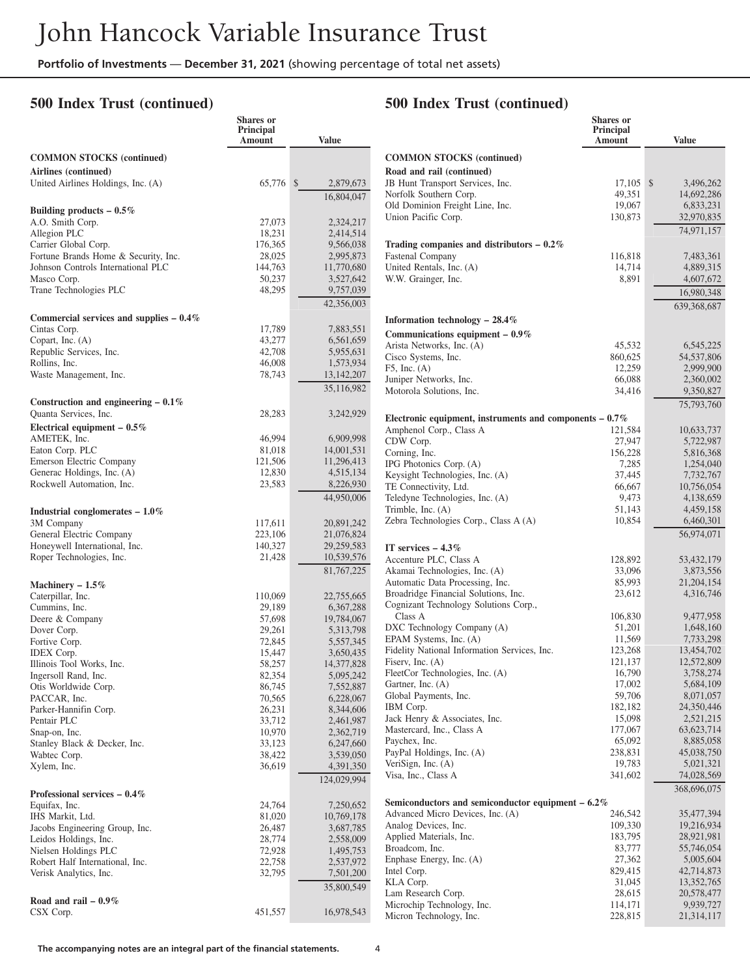**Shares or**

#### **500 Index Trust (continued)**

#### **500 Index Trust (continued)**

**Shares or Principal**

|                                           | onarcs of<br>Principal<br>Amount | <b>Value</b>            |                                                                               | onares of<br>Principal<br>Amount | <b>Value</b>             |
|-------------------------------------------|----------------------------------|-------------------------|-------------------------------------------------------------------------------|----------------------------------|--------------------------|
| <b>COMMON STOCKS (continued)</b>          |                                  |                         | <b>COMMON STOCKS</b> (continued)                                              |                                  |                          |
| Airlines (continued)                      |                                  |                         | Road and rail (continued)                                                     |                                  |                          |
| United Airlines Holdings, Inc. (A)        | 65,776 \$                        | 2,879,673               | JB Hunt Transport Services, Inc.                                              | $17,105$ \$                      | 3,496,262                |
|                                           |                                  | 16,804,047              | Norfolk Southern Corp.                                                        | 49,351                           | 14,692,286               |
| Building products $-0.5\%$                |                                  |                         | Old Dominion Freight Line, Inc.                                               | 19,067                           | 6,833,231                |
| A.O. Smith Corp.                          | 27,073                           | 2,324,217               | Union Pacific Corp.                                                           | 130,873                          | 32,970,835               |
| Allegion PLC                              | 18,231                           | 2,414,514               |                                                                               |                                  | 74,971,157               |
| Carrier Global Corp.                      | 176,365                          | 9,566,038               | Trading companies and distributors $-0.2\%$                                   |                                  |                          |
| Fortune Brands Home & Security, Inc.      | 28,025                           | 2,995,873               | Fastenal Company                                                              | 116,818                          | 7,483,361                |
| Johnson Controls International PLC        | 144,763                          | 11,770,680              | United Rentals, Inc. (A)                                                      | 14,714                           | 4,889,315                |
| Masco Corp.                               | 50,237                           | 3,527,642               | W.W. Grainger, Inc.                                                           | 8,891                            | 4,607,672                |
| Trane Technologies PLC                    | 48,295                           | 9,757,039               |                                                                               |                                  | 16,980,348               |
|                                           |                                  | 42,356,003              |                                                                               |                                  | 639,368,687              |
| Commercial services and supplies $-0.4\%$ |                                  |                         | Information technology $-28.4\%$                                              |                                  |                          |
| Cintas Corp.                              | 17,789                           | 7,883,551               | Communications equipment $-0.9\%$                                             |                                  |                          |
| Copart, Inc. (A)                          | 43,277                           | 6,561,659               | Arista Networks, Inc. (A)                                                     | 45,532                           | 6,545,225                |
| Republic Services, Inc.                   | 42,708                           | 5,955,631               | Cisco Systems, Inc.                                                           | 860,625                          | 54,537,806               |
| Rollins, Inc.                             | 46,008                           | 1,573,934               | $F5$ , Inc. $(A)$                                                             | 12,259                           | 2,999,900                |
| Waste Management, Inc.                    | 78,743                           | 13, 142, 207            | Juniper Networks, Inc.                                                        | 66,088                           | 2,360,002                |
|                                           |                                  | 35,116,982              | Motorola Solutions, Inc.                                                      | 34,416                           | 9,350,827                |
| Construction and engineering $-0.1\%$     |                                  |                         |                                                                               |                                  | 75,793,760               |
| Quanta Services, Inc.                     | 28,283                           | 3,242,929               | Electronic equipment, instruments and components $-0.7\%$                     |                                  |                          |
| Electrical equipment $-0.5\%$             |                                  |                         | Amphenol Corp., Class A                                                       | 121,584                          | 10,633,737               |
| AMETEK, Inc.                              | 46,994                           | 6,909,998               | CDW Corp.                                                                     | 27,947                           | 5,722,987                |
| Eaton Corp. PLC                           | 81,018                           | 14,001,531              | Corning, Inc.                                                                 | 156,228                          | 5,816,368                |
| Emerson Electric Company                  | 121,506                          | 11,296,413              | IPG Photonics Corp. (A)                                                       | 7,285                            | 1,254,040                |
| Generac Holdings, Inc. (A)                | 12,830                           | 4,515,134               | Keysight Technologies, Inc. (A)                                               | 37,445                           | 7,732,767                |
| Rockwell Automation, Inc.                 | 23,583                           | 8,226,930               | TE Connectivity, Ltd.                                                         | 66,667                           | 10,756,054               |
|                                           |                                  | 44,950,006              | Teledyne Technologies, Inc. (A)                                               | 9,473                            | 4,138,659                |
| Industrial conglomerates $-1.0\%$         |                                  |                         | Trimble, Inc. $(A)$                                                           | 51,143                           | 4,459,158                |
| 3M Company                                | 117,611                          | 20,891,242              | Zebra Technologies Corp., Class A (A)                                         | 10,854                           | 6,460,301                |
| General Electric Company                  | 223,106                          | 21,076,824              |                                                                               |                                  | 56,974,071               |
| Honeywell International, Inc.             | 140,327                          | 29,259,583              | IT services $-4.3\%$                                                          |                                  |                          |
| Roper Technologies, Inc.                  | 21,428                           | 10,539,576              | Accenture PLC, Class A                                                        | 128,892                          | 53,432,179               |
|                                           |                                  | 81,767,225              | Akamai Technologies, Inc. (A)                                                 | 33,096                           | 3,873,556                |
| Machinery $-1.5\%$                        |                                  |                         | Automatic Data Processing, Inc.                                               | 85,993                           | 21,204,154               |
| Caterpillar, Inc.                         | 110,069                          | 22,755,665              | Broadridge Financial Solutions, Inc.<br>Cognizant Technology Solutions Corp., | 23,612                           | 4,316,746                |
| Cummins, Inc.                             | 29,189                           | 6,367,288               | Class A                                                                       | 106,830                          | 9,477,958                |
| Deere & Company                           | 57,698<br>29,261                 | 19,784,067<br>5,313,798 | DXC Technology Company (A)                                                    | 51,201                           | 1,648,160                |
| Dover Corp.<br>Fortive Corp.              | 72,845                           | 5,557,345               | EPAM Systems, Inc. (A)                                                        | 11,569                           | 7,733,298                |
| <b>IDEX</b> Corp.                         | 15,447                           | 3,650,435               | Fidelity National Information Services, Inc.                                  | 123,268                          | 13,454,702               |
| Illinois Tool Works, Inc.                 | 58,257                           | 14,377,828              | Fiserv, Inc. $(A)$                                                            | 121,137                          | 12,572,809               |
| Ingersoll Rand, Inc.                      | 82,354                           | 5,095,242               | FleetCor Technologies, Inc. (A)                                               | 16,790                           | 3,758,274                |
| Otis Worldwide Corp.                      | 86,745                           | 7,552,887               | Gartner, Inc. (A)                                                             | 17,002                           | 5,684,109                |
| PACCAR, Inc.                              | 70,565                           | 6,228,067               | Global Payments, Inc.                                                         | 59,706                           | 8,071,057                |
| Parker-Hannifin Corp.                     | 26,231                           | 8,344,606               | IBM Corp.                                                                     | 182,182                          | 24,350,446               |
| Pentair PLC                               | 33,712                           | 2,461,987               | Jack Henry & Associates, Inc.                                                 | 15,098                           | 2,521,215                |
| Snap-on, Inc.                             | 10,970                           | 2,362,719               | Mastercard, Inc., Class A                                                     | 177,067                          | 63, 623, 714             |
| Stanley Black & Decker, Inc.              | 33,123                           | 6,247,660               | Paychex, Inc.                                                                 | 65,092                           | 8,885,058                |
| Wabtec Corp.                              | 38,422                           | 3,539,050               | PayPal Holdings, Inc. (A)                                                     | 238,831<br>19,783                | 45,038,750<br>5,021,321  |
| Xylem, Inc.                               | 36,619                           | 4,391,350               | VeriSign, Inc. $(A)$<br>Visa, Inc., Class A                                   | 341,602                          | 74,028,569               |
|                                           |                                  | 124,029,994             |                                                                               |                                  |                          |
| Professional services $-0.4\%$            |                                  |                         |                                                                               |                                  | 368,696,075              |
| Equifax, Inc.                             | 24,764                           | 7,250,652               | Semiconductors and semiconductor equipment $-6.2\%$                           |                                  |                          |
| IHS Markit, Ltd.                          | 81,020                           | 10,769,178              | Advanced Micro Devices, Inc. (A)                                              | 246,542                          | 35,477,394               |
| Jacobs Engineering Group, Inc.            | 26,487                           | 3,687,785               | Analog Devices, Inc.                                                          | 109,330<br>183,795               | 19,216,934               |
| Leidos Holdings, Inc.                     | 28,774                           | 2,558,009               | Applied Materials, Inc.<br>Broadcom, Inc.                                     | 83,777                           | 28,921,981<br>55,746,054 |
| Nielsen Holdings PLC                      | 72,928                           | 1,495,753               | Enphase Energy, Inc. (A)                                                      | 27,362                           | 5,005,604                |
| Robert Half International, Inc.           | 22,758<br>32,795                 | 2,537,972               | Intel Corp.                                                                   | 829,415                          | 42,714,873               |
| Verisk Analytics, Inc.                    |                                  | 7,501,200               | KLA Corp.                                                                     | 31,045                           | 13,352,765               |
|                                           |                                  | 35,800,549              | Lam Research Corp.                                                            | 28,615                           | 20,578,477               |
| Road and rail $-0.9\%$                    |                                  |                         | Microchip Technology, Inc.                                                    | 114,171                          | 9,939,727                |
| CSX Corp.                                 | 451,557                          | 16,978,543              | Micron Technology, Inc.                                                       | 228,815                          | 21,314,117               |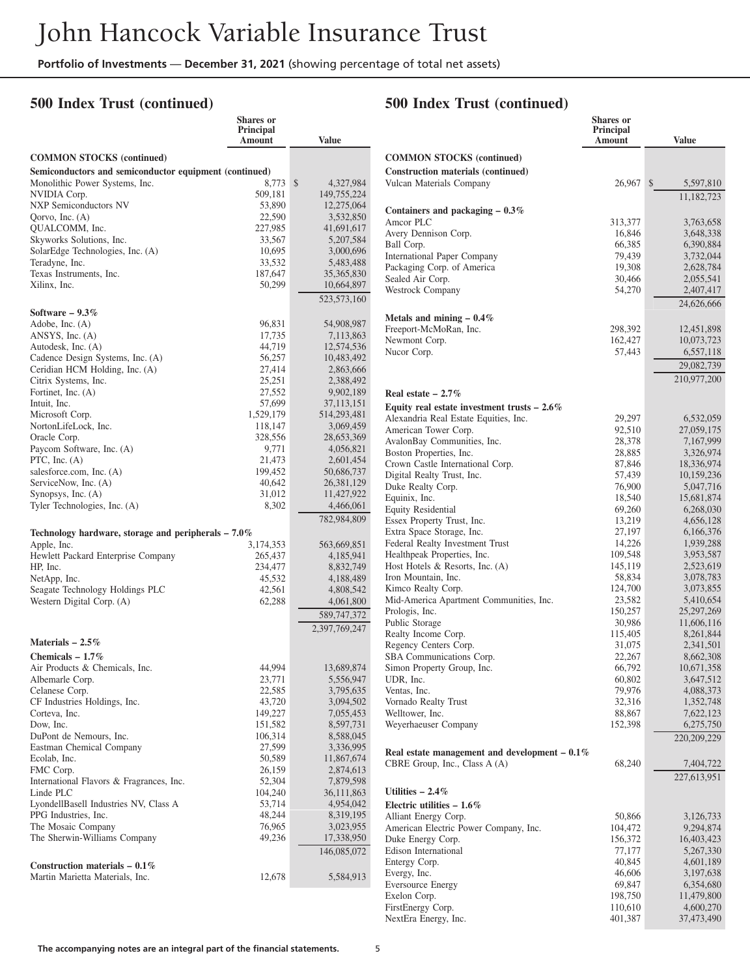### **500 Index Trust (continued)**

|                                                        | Shares or                  |                         |
|--------------------------------------------------------|----------------------------|-------------------------|
|                                                        | Principal<br><b>Amount</b> | <b>Value</b>            |
|                                                        |                            |                         |
| <b>COMMON STOCKS</b> (continued)                       |                            |                         |
| Semiconductors and semiconductor equipment (continued) |                            |                         |
| Monolithic Power Systems, Inc.                         | 8,773                      | \$<br>4,327,984         |
| NVIDIA Corp.                                           | 509,181                    | 149,755,224             |
| NXP Semiconductors NV                                  | 53,890                     | 12,275,064              |
| Qorvo, Inc. (A)                                        | 22,590                     | 3,532,850               |
| QUALCOMM, Inc.<br>Skyworks Solutions, Inc.             | 227,985<br>33,567          | 41,691,617<br>5,207,584 |
| SolarEdge Technologies, Inc. (A)                       | 10,695                     | 3,000,696               |
| Teradyne, Inc.                                         | 33,532                     | 5,483,488               |
| Texas Instruments, Inc.                                | 187,647                    | 35,365,830              |
| Xilinx, Inc.                                           | 50,299                     | 10,664,897              |
|                                                        |                            | 523, 573, 160           |
| Software $-9.3\%$                                      |                            |                         |
| Adobe, Inc. (A)                                        | 96,831                     | 54,908,987              |
| ANSYS, Inc. $(A)$                                      | 17,735                     | 7,113,863               |
| Autodesk, Inc. (A)                                     | 44,719                     | 12,574,536              |
| Cadence Design Systems, Inc. (A)                       | 56,257                     | 10,483,492              |
| Ceridian HCM Holding, Inc. (A)                         | 27,414                     | 2,863,666               |
| Citrix Systems, Inc.                                   | 25,251                     | 2,388,492               |
| Fortinet, Inc. (A)                                     | 27,552                     | 9,902,189               |
| Intuit, Inc.                                           | 57,699                     | 37,113,151              |
| Microsoft Corp.                                        | 1,529,179                  | 514,293,481             |
| NortonLifeLock, Inc.                                   | 118,147                    | 3,069,459               |
| Oracle Corp.<br>Paycom Software, Inc. (A)              | 328,556<br>9,771           | 28,653,369              |
| PTC, Inc. (A)                                          | 21,473                     | 4,056,821<br>2,601,454  |
| salesforce.com, Inc. (A)                               | 199,452                    | 50,686,737              |
| ServiceNow, Inc. (A)                                   | 40,642                     | 26, 381, 129            |
| Synopsys, Inc. (A)                                     | 31,012                     | 11,427,922              |
| Tyler Technologies, Inc. (A)                           | 8,302                      | 4,466,061               |
|                                                        |                            | 782,984,809             |
| Technology hardware, storage and peripherals $-7.0\%$  |                            |                         |
| Apple, Inc.                                            | 3,174,353                  | 563,669,851             |
| Hewlett Packard Enterprise Company                     | 265,437                    | 4,185,941               |
| HP, Inc.                                               | 234,477                    | 8,832,749               |
| NetApp, Inc.                                           | 45,532                     | 4,188,489               |
| Seagate Technology Holdings PLC                        | 42,561                     | 4,808,542               |
| Western Digital Corp. (A)                              | 62,288                     | 4,061,800               |
|                                                        |                            | 589,747,372             |
|                                                        |                            | 2,397,769,247           |
| Materials $-2.5\%$                                     |                            |                         |
| Chemicals $-1.7\%$                                     |                            |                         |
| Air Products & Chemicals, Inc.                         | 44,994                     | 13,689,874              |
| Albemarle Corp.                                        | 23,771                     | 5,556,947               |
| Celanese Corp.                                         | 22,585                     | 3,795,635               |
| CF Industries Holdings, Inc.                           | 43,720                     | 3,094,502               |
| Corteva, Inc.                                          | 149,227                    | 7,055,453               |
| Dow, Inc.                                              | 151,582                    | 8,597,731               |
| DuPont de Nemours, Inc.                                | 106,314                    | 8,588,045               |
| Eastman Chemical Company                               | 27,599                     | 3,336,995               |
| Ecolab, Inc.                                           | 50,589                     | 11,867,674              |
| FMC Corp.<br>International Flavors & Fragrances, Inc.  | 26,159<br>52,304           | 2,874,613<br>7,879,598  |
| Linde PLC                                              | 104,240                    | 36,111,863              |
| LyondellBasell Industries NV, Class A                  | 53,714                     | 4,954,042               |
| PPG Industries, Inc.                                   | 48,244                     | 8,319,195               |
| The Mosaic Company                                     | 76,965                     | 3,023,955               |
| The Sherwin-Williams Company                           | 49,236                     | 17,338,950              |
|                                                        |                            | 146,085,072             |
| Construction materials $-0.1\%$                        |                            |                         |
| Martin Marietta Materials, Inc.                        | 12,678                     | 5,584,913               |
|                                                        |                            |                         |

# **500 Index Trust (continued)**

|                                                                        | <b>Shares</b> or<br><b>Principal</b><br>Amount | <b>Value</b>               |
|------------------------------------------------------------------------|------------------------------------------------|----------------------------|
| <b>COMMON STOCKS</b> (continued)<br>Construction materials (continued) |                                                |                            |
| Vulcan Materials Company                                               | 26,967                                         | $\mathbb{S}$<br>5,597,810  |
| Containers and packaging $-0.3\%$                                      |                                                | 11,182,723                 |
| Amcor PLC                                                              | 313,377                                        | 3,763,658                  |
| Avery Dennison Corp.                                                   | 16,846                                         | 3,648,338                  |
| Ball Corp.<br>International Paper Company                              | 66,385<br>79,439                               | 6,390,884<br>3,732,044     |
| Packaging Corp. of America                                             | 19,308                                         | 2,628,784                  |
| Sealed Air Corp.                                                       | 30,466                                         | 2,055,541                  |
| Westrock Company                                                       | 54,270                                         | 2,407,417                  |
|                                                                        |                                                | 24,626,666                 |
| Metals and mining $-0.4\%$<br>Freeport-McMoRan, Inc.                   | 298,392                                        | 12,451,898                 |
| Newmont Corp.                                                          | 162,427                                        | 10,073,723                 |
| Nucor Corp.                                                            | 57,443                                         | 6,557,118                  |
|                                                                        |                                                | 29,082,739                 |
|                                                                        |                                                | 210,977,200                |
| Real estate $-2.7\%$                                                   |                                                |                            |
| Equity real estate investment trusts $-2.6\%$                          |                                                |                            |
| Alexandria Real Estate Equities, Inc.<br>American Tower Corp.          | 29,297<br>92,510                               | 6,532,059<br>27,059,175    |
| AvalonBay Communities, Inc.                                            | 28,378                                         | 7,167,999                  |
| Boston Properties, Inc.                                                | 28,885                                         | 3,326,974                  |
| Crown Castle International Corp.                                       | 87,846                                         | 18,336,974                 |
| Digital Realty Trust, Inc.                                             | 57,439                                         | 10,159,236                 |
| Duke Realty Corp.<br>Equinix, Inc.                                     | 76,900<br>18,540                               | 5,047,716<br>15,681,874    |
| <b>Equity Residential</b>                                              | 69,260                                         | 6,268,030                  |
| Essex Property Trust, Inc.                                             | 13,219                                         | 4,656,128                  |
| Extra Space Storage, Inc.                                              | 27,197                                         | 6,166,376                  |
| Federal Realty Investment Trust                                        | 14,226                                         | 1,939,288                  |
| Healthpeak Properties, Inc.<br>Host Hotels $\&$ Resorts, Inc. (A)      | 109,548<br>145,119                             | 3,953,587<br>2,523,619     |
| Iron Mountain, Inc.                                                    | 58,834                                         | 3,078,783                  |
| Kimco Realty Corp.                                                     | 124,700                                        | 3,073,855                  |
| Mid-America Apartment Communities, Inc.                                | 23,582                                         | 5,410,654                  |
| Prologis, Inc.<br>Public Storage                                       | 150,257<br>30,986                              | 25, 297, 269<br>11,606,116 |
| Realty Income Corp.                                                    | 115,405                                        | 8,261,844                  |
| Regency Centers Corp.                                                  | 31,075                                         | 2,341,501                  |
| SBA Communications Corp.                                               | 22,267                                         | 8,662,308                  |
| Simon Property Group, Inc.                                             | 66,792                                         | 10,671,358                 |
| UDR, Inc.<br>Ventas, Inc.                                              | 60,802<br>79,976                               | 3,647,512<br>4,088,373     |
| Vornado Realty Trust                                                   | 32,316                                         | 1,352,748                  |
| Welltower, Inc.                                                        | 88,867                                         | 7,622,123                  |
| Weyerhaeuser Company                                                   | 152,398                                        | 6,275,750                  |
| Real estate management and development $-0.1\%$                        |                                                | 220,209,229                |
| CBRE Group, Inc., Class A (A)                                          | 68,240                                         | 7,404,722                  |
|                                                                        |                                                | 227,613,951                |
| Utilities $-2.4\%$                                                     |                                                |                            |
| Electric utilities $-1.6\%$                                            |                                                |                            |
| Alliant Energy Corp.                                                   | 50,866                                         | 3,126,733                  |
| American Electric Power Company, Inc.<br>Duke Energy Corp.             | 104,472<br>156,372                             | 9,294,874<br>16,403,423    |
| Edison International                                                   | 77,177                                         | 5,267,330                  |
| Entergy Corp.                                                          | 40,845                                         | 4,601,189                  |
| Evergy, Inc.                                                           | 46,606                                         | 3,197,638                  |
| <b>Eversource Energy</b>                                               | 69,847                                         | 6,354,680                  |
| Exelon Corp.<br>FirstEnergy Corp.                                      | 198,750<br>110,610                             | 11,479,800<br>4,600,270    |
| NextEra Energy, Inc.                                                   | 401,387                                        | 37,473,490                 |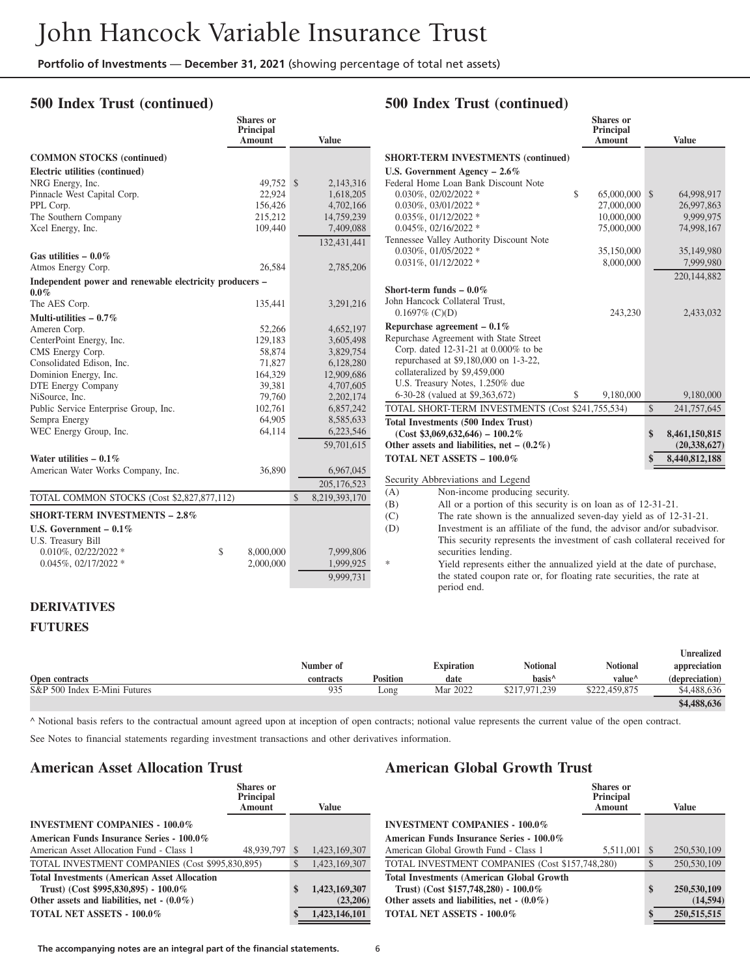**Shares or**

#### **500 Index Trust (continued)**

|                                                                    | Principal<br><b>Amount</b> |               | <b>Value</b>  |
|--------------------------------------------------------------------|----------------------------|---------------|---------------|
|                                                                    |                            |               |               |
| <b>COMMON STOCKS</b> (continued)                                   |                            |               |               |
| Electric utilities (continued)                                     |                            |               |               |
| NRG Energy, Inc.                                                   | 49,752                     | $\mathcal{S}$ | 2,143,316     |
| Pinnacle West Capital Corp.                                        | 22,924                     |               | 1,618,205     |
| PPL Corp.                                                          | 156,426                    |               | 4,702,166     |
| The Southern Company                                               | 215,212                    |               | 14,759,239    |
| Xcel Energy, Inc.                                                  | 109,440                    |               | 7,409,088     |
|                                                                    |                            |               | 132,431,441   |
| Gas utilities $-0.0\%$                                             |                            |               |               |
| Atmos Energy Corp.                                                 | 26,584                     |               | 2,785,206     |
| Independent power and renewable electricity producers -<br>$0.0\%$ |                            |               |               |
| The AES Corp.                                                      | 135,441                    |               | 3,291,216     |
| Multi-utilities $-0.7\%$                                           |                            |               |               |
| Ameren Corp.                                                       | 52,266                     |               | 4,652,197     |
| CenterPoint Energy, Inc.                                           | 129,183                    |               | 3,605,498     |
| CMS Energy Corp.                                                   | 58,874                     |               | 3,829,754     |
| Consolidated Edison, Inc.                                          | 71,827                     |               | 6,128,280     |
| Dominion Energy, Inc.                                              | 164,329                    |               | 12,909,686    |
| DTE Energy Company                                                 | 39,381                     |               | 4,707,605     |
| NiSource, Inc.                                                     | 79,760                     |               | 2,202,174     |
| Public Service Enterprise Group, Inc.                              | 102,761                    |               | 6,857,242     |
| Sempra Energy                                                      | 64,905                     |               | 8,585,633     |
| WEC Energy Group, Inc.                                             | 64,114                     |               | 6,223,546     |
|                                                                    |                            |               | 59,701,615    |
| Water utilities $-0.1\%$                                           |                            |               |               |
| American Water Works Company, Inc.                                 | 36,890                     |               | 6,967,045     |
|                                                                    |                            |               | 205, 176, 523 |
| TOTAL COMMON STOCKS (Cost \$2,827,877,112)                         |                            | $\mathcal{S}$ | 8,219,393,170 |
| <b>SHORT-TERM INVESTMENTS - 2.8%</b>                               |                            |               |               |
| U.S. Government $-0.1\%$                                           |                            |               |               |
| U.S. Treasury Bill                                                 |                            |               |               |
| $0.010\%$ , $02/22/2022$ *                                         | \$<br>8,000,000            |               | 7,999,806     |
| $0.045\%, 02/17/2022$ *                                            | 2,000,000                  |               | 1,999,925     |
|                                                                    |                            |               |               |
|                                                                    |                            |               | 9,999,731     |

#### **500 Index Trust (continued)**

|                                                   | <b>Shares</b> or<br>Principal<br><b>Amount</b> |               | <b>Value</b>   |
|---------------------------------------------------|------------------------------------------------|---------------|----------------|
| <b>SHORT-TERM INVESTMENTS (continued)</b>         |                                                |               |                |
| U.S. Government Agency $-2.6\%$                   |                                                |               |                |
| Federal Home Loan Bank Discount Note              |                                                |               |                |
| $0.030\%$ , $02/02/2022$ *                        | \$<br>65,000,000                               | $\mathcal{S}$ | 64,998,917     |
| $0.030\%$ , $03/01/2022$ *                        | 27,000,000                                     |               | 26,997,863     |
| $0.035\%$ , $01/12/2022$ *                        | 10,000,000                                     |               | 9,999,975      |
| $0.045\%, 02/16/2022$ *                           | 75,000,000                                     |               | 74,998,167     |
| Tennessee Valley Authority Discount Note          |                                                |               |                |
| $0.030\%$ , $01/05/2022$ *                        | 35,150,000                                     |               | 35,149,980     |
| $0.031\%$ , $01/12/2022$ *                        | 8,000,000                                      |               | 7,999,980      |
|                                                   |                                                |               | 220, 144, 882  |
| Short-term funds $-0.0\%$                         |                                                |               |                |
| John Hancock Collateral Trust.                    |                                                |               |                |
| $0.1697\%$ (C)(D)                                 | 243,230                                        |               | 2,433,032      |
| Repurchase agreement $-0.1\%$                     |                                                |               |                |
| Repurchase Agreement with State Street            |                                                |               |                |
| Corp. dated 12-31-21 at 0.000% to be              |                                                |               |                |
| repurchased at \$9,180,000 on 1-3-22,             |                                                |               |                |
| collateralized by \$9,459,000                     |                                                |               |                |
| U.S. Treasury Notes, 1.250% due                   |                                                |               |                |
| 6-30-28 (valued at \$9,363,672)                   | \$<br>9.180,000                                |               | 9,180,000      |
| TOTAL SHORT-TERM INVESTMENTS (Cost \$241,755,534) |                                                | \$            | 241,757,645    |
| <b>Total Investments (500 Index Trust)</b>        |                                                |               |                |
| $(Cost $3,069,632,646) - 100.2\%$                 |                                                | \$            | 8,461,150,815  |
| Other assets and liabilities, net – $(0.2\%)$     |                                                |               | (20, 338, 627) |
| <b>TOTAL NET ASSETS - 100.0%</b>                  |                                                | \$            | 8,440,812,188  |
|                                                   |                                                |               |                |

Security Abbreviations and Legend

(A) Non-income producing security.

(B) All or a portion of this security is on loan as of 12-31-21.

(C) The rate shown is the annualized seven-day yield as of 12-31-21.

(D) Investment is an affiliate of the fund, the advisor and/or subadvisor. This security represents the investment of cash collateral received for securities lending. Yield represents either the annualized yield at the date of purchase,

the stated coupon rate or, for floating rate securities, the rate at period end.

#### **DERIVATIVES**

#### **FUTURES**

|                              |           |                 |                   |                    |                    | Jnrealized     |
|------------------------------|-----------|-----------------|-------------------|--------------------|--------------------|----------------|
|                              | Number of |                 | <b>Expiration</b> | Notional           | Notional           | appreciation   |
| Open contracts               | contracts | <b>Position</b> | date              | basis <sup>^</sup> | value <sup>^</sup> | (depreciation) |
| S&P 500 Index E-Mini Futures | 935       | Long            | Mar 2022          | \$217,971,239      | .459.875           | \$4,488,636    |
|                              |           |                 |                   |                    |                    | \$4,488,636    |

^ Notional basis refers to the contractual amount agreed upon at inception of open contracts; notional value represents the current value of the open contract.

See Notes to financial statements regarding investment transactions and other derivatives information.

#### **American Asset Allocation Trust**

|                                                     | Shares or<br><b>Principal</b><br>Amount |               | Value         |
|-----------------------------------------------------|-----------------------------------------|---------------|---------------|
| <b>INVESTMENT COMPANIES - 100.0%</b>                |                                         |               |               |
| American Funds Insurance Series - 100.0%            |                                         |               |               |
| American Asset Allocation Fund - Class 1            | 48,939,797                              | <sup>\$</sup> | 1,423,169,307 |
| TOTAL INVESTMENT COMPANIES (Cost \$995,830,895)     |                                         | $\mathcal{S}$ | 1.423.169.307 |
| <b>Total Investments (American Asset Allocation</b> |                                         |               |               |
| Trust) (Cost $$995,830,895$ ) - $100.0\%$           |                                         | \$            | 1,423,169,307 |
| Other assets and liabilities, net $-(0.0\%)$        |                                         |               | (23,206)      |
| <b>TOTAL NET ASSETS - 100.0%</b>                    |                                         | S             | 1.423.146.101 |
|                                                     |                                         |               |               |

#### **American Global Growth Trust**

|                                                  | <b>Shares</b> or<br><b>Principal</b><br>Amount |               | <b>Value</b> |
|--------------------------------------------------|------------------------------------------------|---------------|--------------|
| <b>INVESTMENT COMPANIES - 100.0%</b>             |                                                |               |              |
| American Funds Insurance Series - 100.0%         |                                                |               |              |
| American Global Growth Fund - Class 1            | 5,511,001                                      | <sup>\$</sup> | 250,530,109  |
| TOTAL INVESTMENT COMPANIES (Cost \$157,748,280)  |                                                | \$            | 250,530,109  |
| <b>Total Investments (American Global Growth</b> |                                                |               |              |
| Trust) (Cost \$157,748,280) - 100.0%             |                                                | \$            | 250,530,109  |
| Other assets and liabilities, net $-(0.0\%)$     |                                                |               | (14, 594)    |
| <b>TOTAL NET ASSETS - 100.0%</b>                 |                                                | \$            | 250,515,515  |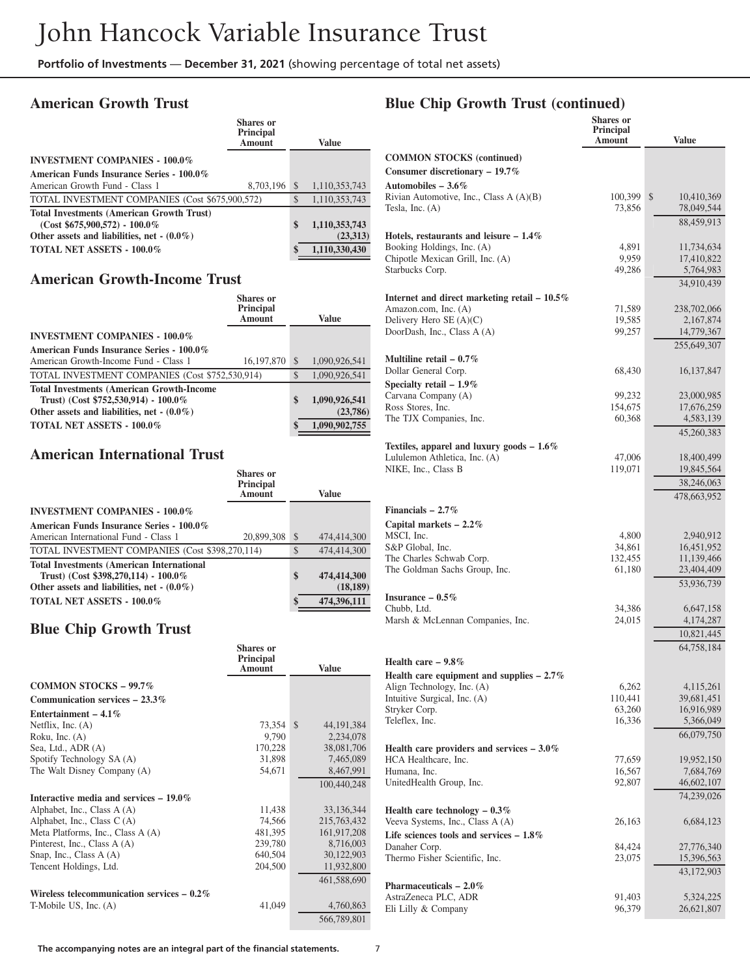### **American Growth Trust**

|                                                  | Shares or<br>Principal<br>Amount |               | Value         |
|--------------------------------------------------|----------------------------------|---------------|---------------|
| <b>INVESTMENT COMPANIES - 100.0%</b>             |                                  |               |               |
| American Funds Insurance Series - 100.0%         |                                  |               |               |
| American Growth Fund - Class 1                   | 8,703,196                        | <sup>\$</sup> | 1,110,353,743 |
| TOTAL INVESTMENT COMPANIES (Cost \$675,900,572)  |                                  | <sup>\$</sup> | 1.110.353.743 |
| <b>Total Investments (American Growth Trust)</b> |                                  |               |               |
| $(Cost $675,900,572) - 100.0\%$                  |                                  | \$            | 1,110,353,743 |
| Other assets and liabilities, net $-(0.0\%)$     |                                  |               | (23,313)      |
| <b>TOTAL NET ASSETS - 100.0%</b>                 |                                  | \$            | 1,110,330,430 |

#### **American Growth-Income Trust**

| <b>Shares</b> or<br><b>Principal</b><br><b>Amount</b>                                                                                       |            |               | Value                     |
|---------------------------------------------------------------------------------------------------------------------------------------------|------------|---------------|---------------------------|
| <b>INVESTMENT COMPANIES - 100.0%</b>                                                                                                        |            |               |                           |
| American Funds Insurance Series - 100.0%                                                                                                    |            |               |                           |
| American Growth-Income Fund - Class 1                                                                                                       | 16,197,870 | <sup>\$</sup> | 1,090,926,541             |
| TOTAL INVESTMENT COMPANIES (Cost \$752,530,914)                                                                                             |            | $\mathcal{S}$ | 1.090.926.541             |
| <b>Total Investments (American Growth-Income)</b><br>Trust) (Cost $$752,530,914$ ) - 100.0%<br>Other assets and liabilities, net $-(0.0\%)$ |            | \$            | 1,090,926,541<br>(23,786) |
| <b>TOTAL NET ASSETS - 100.0%</b>                                                                                                            |            | \$            | 1,090,902,755             |

#### **American International Trust**

|                                                                                             | Shares or<br>Principal<br>Amount |              | <b>Value</b> |
|---------------------------------------------------------------------------------------------|----------------------------------|--------------|--------------|
| <b>INVESTMENT COMPANIES - 100.0%</b>                                                        |                                  |              |              |
| American Funds Insurance Series - 100.0%                                                    |                                  |              |              |
| American International Fund - Class 1                                                       | 20,899,308                       | <sup>S</sup> | 474,414,300  |
| TOTAL INVESTMENT COMPANIES (Cost \$398,270,114)                                             |                                  | \$           | 474,414,300  |
| <b>Total Investments (American International</b><br>Trust) (Cost \$398,270,114) - $100.0\%$ |                                  | \$           | 474,414,300  |
| Other assets and liabilities, net $-(0.0\%)$                                                |                                  |              | (18, 189)    |
| <b>TOTAL NET ASSETS - 100.0%</b>                                                            |                                  | \$           | 474,396,111  |

#### **Blue Chip Growth Trust**

|                                              | <b>Shares or</b><br>Principal<br>Amount | <b>Value</b>                  |
|----------------------------------------------|-----------------------------------------|-------------------------------|
|                                              |                                         |                               |
| <b>COMMON STOCKS - 99.7%</b>                 |                                         |                               |
| Communication services $-23.3\%$             |                                         |                               |
| Entertainment – $4.1\%$                      |                                         |                               |
| Netflix, Inc. $(A)$                          | 73,354                                  | 44, 191, 384<br><sup>\$</sup> |
| Roku, Inc. $(A)$                             | 9,790                                   | 2,234,078                     |
| Sea, Ltd., ADR (A)                           | 170,228                                 | 38,081,706                    |
| Spotify Technology SA (A)                    | 31,898                                  | 7,465,089                     |
| The Walt Disney Company (A)                  | 54,671                                  | 8,467,991                     |
|                                              |                                         | 100,440,248                   |
| Interactive media and services $-19.0\%$     |                                         |                               |
| Alphabet, Inc., Class A (A)                  | 11,438                                  | 33,136,344                    |
| Alphabet, Inc., Class $C(A)$                 | 74,566                                  | 215,763,432                   |
| Meta Platforms, Inc., Class A (A)            | 481,395                                 | 161,917,208                   |
| Pinterest, Inc., Class A (A)                 | 239,780                                 | 8,716,003                     |
| Snap, Inc., Class A (A)                      | 640,504                                 | 30,122,903                    |
| Tencent Holdings, Ltd.                       | 204,500                                 | 11,932,800                    |
|                                              |                                         | 461,588,690                   |
| Wireless telecommunication services $-0.2\%$ |                                         |                               |
| T-Mobile US, Inc. (A)                        | 41,049                                  | 4,760,863                     |
|                                              |                                         | 566,789,801                   |

# **Blue Chip Growth Trust (continued)**

|                                                                      | <b>Shares</b> or<br><b>Principal</b><br>Amount | <b>Value</b>     |
|----------------------------------------------------------------------|------------------------------------------------|------------------|
| <b>COMMON STOCKS (continued)</b><br>Consumer discretionary $-19.7\%$ |                                                |                  |
| Automobiles $-3.6\%$                                                 |                                                |                  |
| Rivian Automotive, Inc., Class A (A)(B)                              | 100,399                                        | \$<br>10,410,369 |
| Tesla, Inc. $(A)$                                                    | 73,856                                         | 78,049,544       |
|                                                                      |                                                | 88,459,913       |
| Hotels, restaurants and leisure $-1.4\%$                             |                                                |                  |
| Booking Holdings, Inc. (A)                                           | 4,891                                          | 11,734,634       |
| Chipotle Mexican Grill, Inc. (A)                                     | 9,959                                          | 17,410,822       |
| Starbucks Corp.                                                      | 49,286                                         | 5,764,983        |
|                                                                      |                                                | 34.910.439       |
| Internet and direct marketing retail - $10.5\%$                      |                                                |                  |
| Amazon.com, Inc. (A)                                                 | 71,589                                         | 238,702,066      |
| Delivery Hero $SE(A)(C)$                                             | 19,585                                         | 2,167,874        |
| DoorDash, Inc., Class A (A)                                          | 99,257                                         | 14,779,367       |
|                                                                      |                                                | 255,649,307      |
| Multiline retail $-0.7\%$                                            |                                                |                  |
| Dollar General Corp.                                                 | 68,430                                         | 16, 137, 847     |
| Specialty retail $-1.9\%$                                            |                                                |                  |
| Carvana Company (A)                                                  | 99,232                                         | 23,000,985       |
| Ross Stores, Inc.                                                    | 154,675                                        | 17,676,259       |
| The TJX Companies, Inc.                                              | 60,368                                         | 4,583,139        |
|                                                                      |                                                | 45,260,383       |
| Textiles, apparel and luxury goods $-1.6\%$                          |                                                |                  |
| Lululemon Athletica, Inc. (A)                                        | 47,006                                         | 18,400,499       |
| NIKE, Inc., Class B                                                  | 119,071                                        | 19,845,564       |
|                                                                      |                                                | 38,246,063       |
|                                                                      |                                                | 478,663,952      |
| Financials $-2.7\%$                                                  |                                                |                  |
| Capital markets $-2.2\%$                                             |                                                |                  |
| MSCI, Inc.                                                           | 4,800                                          | 2,940,912        |
| S&P Global, Inc.                                                     | 34,861                                         | 16,451,952       |
| The Charles Schwab Corp.                                             | 132,455                                        | 11,139,466       |
| The Goldman Sachs Group, Inc.                                        | 61,180                                         | 23,404,409       |
|                                                                      |                                                | 53,936,739       |
| Insurance $-0.5\%$                                                   |                                                |                  |
| Chubb, Ltd.                                                          | 34,386                                         | 6,647,158        |
| Marsh & McLennan Companies, Inc.                                     | 24,015                                         | 4,174,287        |
|                                                                      |                                                | 10,821,445       |
|                                                                      |                                                | 64,758,184       |
| Health care $-9.8\%$                                                 |                                                |                  |
| Health care equipment and supplies $-2.7\%$                          |                                                |                  |
| Align Technology, Inc. (A)                                           | 6,262                                          | 4,115,261        |
| Intuitive Surgical, Inc. (A)                                         | 110,441                                        | 39,681,451       |
| Stryker Corp.                                                        | 63,260                                         | 16,916,989       |
| Teleflex, Inc.                                                       | 16,336                                         | 5,366,049        |
|                                                                      |                                                | 66,079,750       |
| Health care providers and services $-3.0\%$                          |                                                |                  |
| HCA Healthcare, Inc.                                                 | 77,659                                         | 19,952,150       |
| Humana, Inc.                                                         | 16,567                                         | 7,684,769        |
| UnitedHealth Group, Inc.                                             | 92,807                                         | 46,602,107       |
|                                                                      |                                                | 74,239,026       |
| Health care technology $-0.3\%$                                      |                                                |                  |
| Veeva Systems, Inc., Class A (A)                                     | 26,163                                         | 6,684,123        |
| Life sciences tools and services $-1.8\%$<br>Danaher Corp.           | 84,424                                         | 27,776,340       |
| Thermo Fisher Scientific, Inc.                                       | 23,075                                         | 15,396,563       |
|                                                                      |                                                | 43,172,903       |
| Pharmaceuticals $-2.0\%$                                             |                                                |                  |
| AstraZeneca PLC, ADR                                                 | 91,403                                         | 5,324,225        |
| Eli Lilly & Company                                                  | 96,379                                         | 26,621,807       |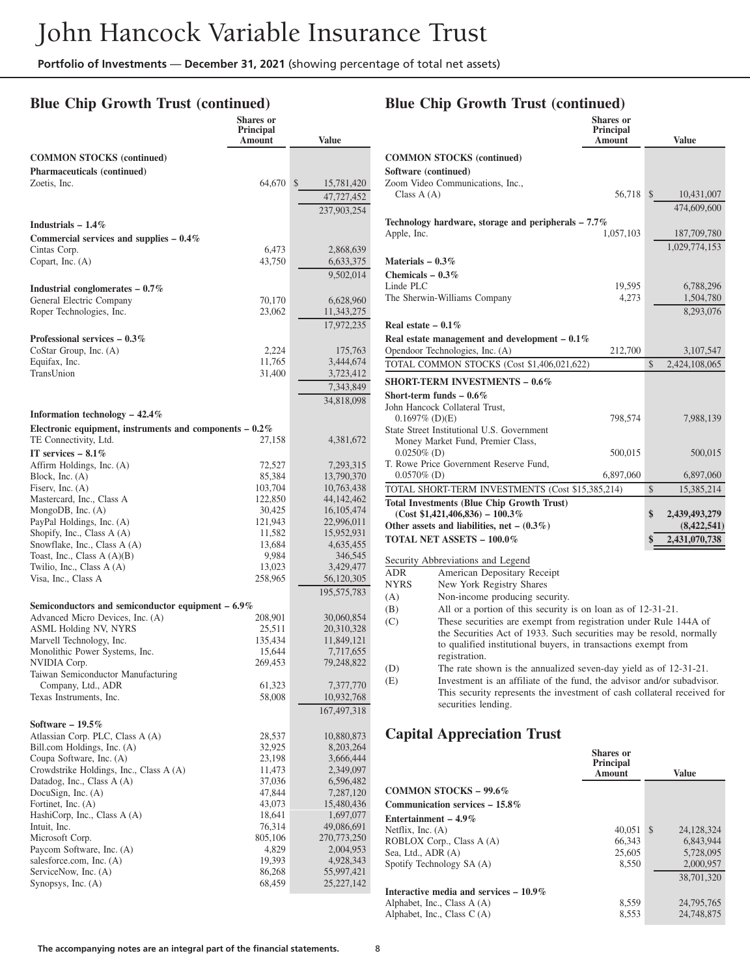### **Blue Chip Growth Trust (continued)**

|                                                                                    | <b>Shares</b> or<br><b>Principal</b><br>Amount | <b>Value</b>                 |
|------------------------------------------------------------------------------------|------------------------------------------------|------------------------------|
| <b>COMMON STOCKS</b> (continued)                                                   |                                                |                              |
| Pharmaceuticals (continued)                                                        |                                                |                              |
| Zoetis, Inc.                                                                       | 64,670                                         | $\mathbb{S}$<br>15,781,420   |
|                                                                                    |                                                | 47,727,452                   |
|                                                                                    |                                                | 237,903,254                  |
| Industrials $-1.4\%$                                                               |                                                |                              |
| Commercial services and supplies $-0.4\%$<br>Cintas Corp.                          | 6,473                                          |                              |
| Copart, Inc. (A)                                                                   | 43,750                                         | 2,868,639<br>6,633,375       |
|                                                                                    |                                                | 9,502,014                    |
| Industrial conglomerates $-0.7\%$                                                  |                                                |                              |
| General Electric Company                                                           | 70,170                                         | 6,628,960                    |
| Roper Technologies, Inc.                                                           | 23,062                                         | 11,343,275                   |
|                                                                                    |                                                | 17,972,235                   |
| Professional services $-0.3\%$<br>CoStar Group, Inc. $(A)$                         | 2,224                                          | 175,763                      |
| Equifax, Inc.                                                                      | 11,765                                         | 3,444,674                    |
| TransUnion                                                                         | 31,400                                         | 3,723,412                    |
|                                                                                    |                                                | 7,343,849                    |
|                                                                                    |                                                | 34,818,098                   |
| Information technology $-42.4\%$                                                   |                                                |                              |
| Electronic equipment, instruments and components $-0.2\%$<br>TE Connectivity, Ltd. | 27,158                                         |                              |
| IT services $-8.1\%$                                                               |                                                | 4,381,672                    |
| Affirm Holdings, Inc. (A)                                                          | 72,527                                         | 7,293,315                    |
| Block, Inc. $(A)$                                                                  | 85,384                                         | 13,790,370                   |
| Fiserv, Inc. $(A)$                                                                 | 103,704                                        | 10,763,438                   |
| Mastercard, Inc., Class A<br>MongoDB, Inc. $(A)$                                   | 122,850<br>30,425                              | 44, 142, 462<br>16, 105, 474 |
| PayPal Holdings, Inc. (A)                                                          | 121,943                                        | 22,996,011                   |
| Shopify, Inc., Class A (A)                                                         | 11,582                                         | 15,952,931                   |
| Snowflake, Inc., Class A (A)                                                       | 13,684                                         | 4,635,455                    |
| Toast, Inc., Class $A(A)(B)$<br>Twilio, Inc., Class A (A)                          | 9,984<br>13,023                                | 346,545<br>3,429,477         |
| Visa, Inc., Class A                                                                | 258,965                                        | 56,120,305                   |
|                                                                                    |                                                | 195,575,783                  |
| Semiconductors and semiconductor equipment $-6.9\%$                                |                                                |                              |
| Advanced Micro Devices, Inc. (A)                                                   | 208,901                                        | 30,060,854                   |
| <b>ASML Holding NV, NYRS</b><br>Marvell Technology, Inc.                           | 25,511<br>135,434                              | 20,310,328<br>11,849,121     |
| Monolithic Power Systems, Inc.                                                     | 15,644                                         | 7,717,655                    |
| NVIDIA Corp.                                                                       | 269,453                                        | 79,248,822                   |
| Taiwan Semiconductor Manufacturing<br>Company, Ltd., ADR                           | 61,323                                         | 7,377,770                    |
| Texas Instruments, Inc.                                                            | 58,008                                         | 10,932,768                   |
|                                                                                    |                                                | 167,497,318                  |
| Software $-19.5\%$                                                                 |                                                |                              |
| Atlassian Corp. PLC, Class A (A)                                                   | 28,537                                         | 10,880,873                   |
| Bill.com Holdings, Inc. (A)<br>Coupa Software, Inc. (A)                            | 32,925<br>23,198                               | 8,203,264<br>3,666,444       |
| Crowdstrike Holdings, Inc., Class A (A)                                            | 11,473                                         | 2,349,097                    |
| Datadog, Inc., Class A (A)                                                         | 37,036                                         | 6,596,482                    |
| DocuSign, Inc. (A)                                                                 | 47,844                                         | 7,287,120                    |
| Fortinet, Inc. (A)<br>HashiCorp, Inc., Class A (A)                                 | 43,073<br>18,641                               | 15,480,436<br>1,697,077      |
| Intuit, Inc.                                                                       | 76,314                                         | 49,086,691                   |
| Microsoft Corp.                                                                    | 805,106                                        | 270,773,250                  |
| Paycom Software, Inc. (A)                                                          | 4,829                                          | 2,004,953                    |
| salesforce.com, Inc. (A)<br>ServiceNow, Inc. (A)                                   | 19,393<br>86,268                               | 4,928,343<br>55,997,421      |
| Synopsys, Inc. (A)                                                                 | 68,459                                         | 25, 227, 142                 |
|                                                                                    |                                                |                              |

|                                                                                        | <b>Shares</b> or<br>Principal |               |               |
|----------------------------------------------------------------------------------------|-------------------------------|---------------|---------------|
|                                                                                        | Amount                        |               | <b>Value</b>  |
| <b>COMMON STOCKS</b> (continued)                                                       |                               |               |               |
| Software (continued)                                                                   |                               |               |               |
| Zoom Video Communications, Inc.,                                                       |                               |               |               |
| Class $A(A)$                                                                           | 56,718                        | $\frac{1}{2}$ | 10,431,007    |
|                                                                                        |                               |               | 474,609,600   |
| Technology hardware, storage and peripherals $-7.7\%$                                  |                               |               |               |
| Apple, Inc.                                                                            | 1,057,103                     |               | 187,709,780   |
|                                                                                        |                               |               | 1,029,774,153 |
| Materials $-0.3\%$                                                                     |                               |               |               |
| Chemicals $-0.3\%$                                                                     |                               |               |               |
| Linde PLC                                                                              | 19,595                        |               | 6,788,296     |
| The Sherwin-Williams Company                                                           | 4,273                         |               | 1,504,780     |
|                                                                                        |                               |               | 8,293,076     |
| Real estate $-0.1\%$                                                                   |                               |               |               |
| Real estate management and development $-0.1\%$                                        |                               |               |               |
| Opendoor Technologies, Inc. (A)                                                        | 212,700                       |               | 3,107,547     |
| TOTAL COMMON STOCKS (Cost \$1,406,021,622)                                             |                               | \$            | 2,424,108,065 |
| <b>SHORT-TERM INVESTMENTS - 0.6%</b>                                                   |                               |               |               |
| Short-term funds $-0.6\%$                                                              |                               |               |               |
| John Hancock Collateral Trust.                                                         |                               |               |               |
| $0.1697\%$ (D)(E)                                                                      | 798,574                       |               | 7,988,139     |
| State Street Institutional U.S. Government                                             |                               |               |               |
| Money Market Fund, Premier Class,                                                      |                               |               |               |
| $0.0250\%$ (D)                                                                         | 500,015                       |               | 500,015       |
| T. Rowe Price Government Reserve Fund,                                                 |                               |               |               |
| $0.0570\%$ (D)                                                                         | 6,897,060                     |               | 6,897,060     |
| TOTAL SHORT-TERM INVESTMENTS (Cost \$15,385,214)                                       |                               | \$            | 15,385,214    |
| <b>Total Investments (Blue Chip Growth Trust)</b><br>$(Cost $1,421,406,836) - 100.3\%$ |                               | \$            | 2,439,493,279 |
| Other assets and liabilities, net $- (0.3\%)$                                          |                               |               | (8,422,541)   |
| <b>TOTAL NET ASSETS - 100.0%</b>                                                       |                               | \$            | 2,431,070,738 |
|                                                                                        |                               |               |               |
| Security Abbreviations and Legend                                                      |                               |               |               |
| American Depositary Receipt<br><b>ADR</b>                                              |                               |               |               |
| New York Registry Shares<br><b>NYRS</b>                                                |                               |               |               |
| Non-income producing security.<br>(A)                                                  |                               |               |               |
| All or a portion of this security is on loan as of 12-31-21.<br>(B)                    |                               |               |               |
| These securities are exempt from registration under Rule 144A of<br>(C)                |                               |               |               |
| the Securities Act of 1933. Such securities may be resold, normally                    |                               |               |               |
| to qualified institutional buyers, in transactions exempt from                         |                               |               |               |

registration. (D) The rate shown is the annualized seven-day yield as of 12-31-21.<br>(E) Investment is an affiliate of the fund, the advisor and/or subadvise Investment is an affiliate of the fund, the advisor and/or subadvisor. This security represents the investment of cash collateral received for

#### **Capital Appreciation Trust**

securities lending.

|                                          | <b>Shares</b> or<br><b>Principal</b><br><b>Amount</b> |               | Value      |
|------------------------------------------|-------------------------------------------------------|---------------|------------|
| COMMON STOCKS $-99.6\%$                  |                                                       |               |            |
| Communication services $-15.8\%$         |                                                       |               |            |
| Entertainment – $4.9\%$                  |                                                       |               |            |
| Netflix, Inc. $(A)$                      | 40.051                                                | <sup>\$</sup> | 24.128.324 |
| ROBLOX Corp., Class A (A)                | 66.343                                                |               | 6.843.944  |
| Sea, Ltd., ADR (A)                       | 25,605                                                |               | 5,728,095  |
| Spotify Technology SA (A)                | 8.550                                                 |               | 2,000,957  |
|                                          |                                                       |               | 38,701,320 |
| Interactive media and services $-10.9\%$ |                                                       |               |            |
| Alphabet, Inc., Class A (A)              | 8,559                                                 |               | 24,795,765 |
| Alphabet, Inc., Class $C(A)$             | 8.553                                                 |               | 24,748,875 |

# **Blue Chip Growth Trust (continued)**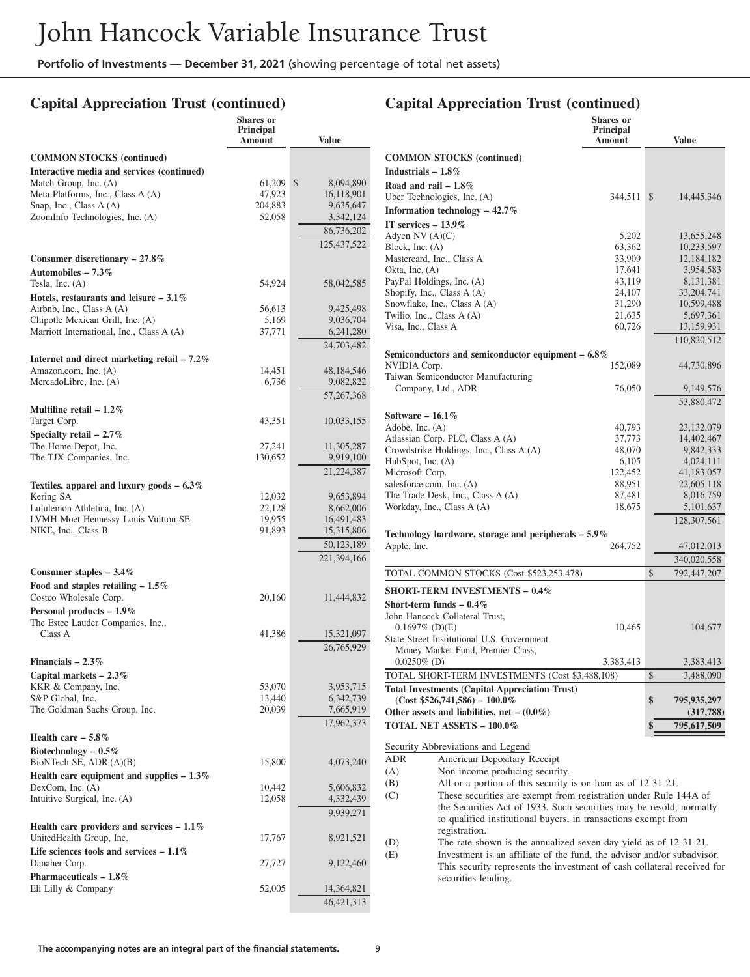**Shares or**

# **Capital Appreciation Trust (continued)**

### **Capital Appreciation Trust (continued)**

**Shares or Principal**

|                                                                       | $5$ on<br>Principal<br>Amount | <b>Value</b>            |                                                                               | энагсэ ог<br>Principal<br>Amount |               | <b>Value</b>             |
|-----------------------------------------------------------------------|-------------------------------|-------------------------|-------------------------------------------------------------------------------|----------------------------------|---------------|--------------------------|
| <b>COMMON STOCKS (continued)</b>                                      |                               |                         | <b>COMMON STOCKS</b> (continued)                                              |                                  |               |                          |
| Interactive media and services (continued)                            |                               |                         | Industrials $-1.8\%$                                                          |                                  |               |                          |
| Match Group, Inc. (A)                                                 | 61,209 \$                     | 8,094,890               | Road and rail $-1.8\%$                                                        |                                  |               |                          |
| Meta Platforms, Inc., Class A (A)                                     | 47,923                        | 16,118,901              | Uber Technologies, Inc. (A)                                                   | 344,511 \$                       |               | 14,445,346               |
| Snap, Inc., Class A (A)                                               | 204,883                       | 9,635,647               | Information technology $-42.7\%$                                              |                                  |               |                          |
| ZoomInfo Technologies, Inc. (A)                                       | 52,058                        | 3,342,124               |                                                                               |                                  |               |                          |
|                                                                       |                               | 86,736,202              | IT services $-13.9\%$<br>Adyen NV $(A)(C)$                                    |                                  |               |                          |
|                                                                       |                               | 125,437,522             | Block, Inc. $(A)$                                                             | 5,202<br>63,362                  |               | 13,655,248<br>10,233,597 |
| Consumer discretionary $-27.8\%$                                      |                               |                         | Mastercard, Inc., Class A                                                     | 33,909                           |               | 12,184,182               |
| Automobiles $-7.3\%$                                                  |                               |                         | Okta, Inc. $(A)$                                                              | 17,641                           |               | 3,954,583                |
| Tesla, Inc. $(A)$                                                     | 54,924                        | 58,042,585              | PayPal Holdings, Inc. (A)                                                     | 43,119                           |               | 8,131,381                |
| Hotels, restaurants and leisure $-3.1\%$                              |                               |                         | Shopify, Inc., Class A (A)                                                    | 24,107                           |               | 33.204.741               |
| Airbnb, Inc., Class A (A)                                             | 56,613                        | 9,425,498               | Snowflake, Inc., Class A (A)                                                  | 31,290                           |               | 10,599,488               |
| Chipotle Mexican Grill, Inc. (A)                                      | 5,169                         | 9,036,704               | Twilio, Inc., Class A (A)                                                     | 21,635                           |               | 5,697,361                |
| Marriott International, Inc., Class A (A)                             | 37,771                        | 6,241,280               | Visa, Inc., Class A                                                           | 60,726                           |               | 13,159,931               |
|                                                                       |                               | 24,703,482              |                                                                               |                                  |               | 110,820,512              |
|                                                                       |                               |                         | Semiconductors and semiconductor equipment $-6.8\%$                           |                                  |               |                          |
| Internet and direct marketing retail $-7.2\%$<br>Amazon.com, Inc. (A) |                               |                         | NVIDIA Corp.                                                                  | 152,089                          |               | 44,730,896               |
| MercadoLibre, Inc. (A)                                                | 14,451<br>6,736               | 48,184,546<br>9,082,822 | Taiwan Semiconductor Manufacturing                                            |                                  |               |                          |
|                                                                       |                               |                         | Company, Ltd., ADR                                                            | 76,050                           |               | 9,149,576                |
|                                                                       |                               | 57,267,368              |                                                                               |                                  |               | 53,880,472               |
| Multiline retail $-1.2\%$                                             |                               |                         | Software $-16.1\%$                                                            |                                  |               |                          |
| Target Corp.                                                          | 43,351                        | 10,033,155              | Adobe, Inc. (A)                                                               | 40,793                           |               | 23,132,079               |
| Specialty retail $-2.7\%$                                             |                               |                         | Atlassian Corp. PLC, Class A (A)                                              | 37,773                           |               | 14,402,467               |
| The Home Depot, Inc.                                                  | 27,241                        | 11,305,287              | Crowdstrike Holdings, Inc., Class A (A)                                       | 48,070                           |               | 9,842,333                |
| The TJX Companies, Inc.                                               | 130,652                       | 9,919,100               | HubSpot, Inc. (A)                                                             | 6,105                            |               | 4,024,111                |
|                                                                       |                               | 21,224,387              | Microsoft Corp.                                                               | 122,452                          |               | 41,183,057               |
| Textiles, apparel and luxury goods $-6.3\%$                           |                               |                         | salesforce.com, Inc. (A)                                                      | 88,951                           |               | 22,605,118               |
| Kering SA                                                             | 12,032                        | 9,653,894               | The Trade Desk, Inc., Class A (A)                                             | 87,481                           |               | 8,016,759                |
| Lululemon Athletica, Inc. (A)                                         | 22,128                        | 8,662,006               | Workday, Inc., Class A (A)                                                    | 18,675                           |               | 5,101,637                |
| LVMH Moet Hennessy Louis Vuitton SE                                   | 19,955                        | 16,491,483              |                                                                               |                                  |               | 128,307,561              |
| NIKE, Inc., Class B                                                   | 91,893                        | 15,315,806              | Technology hardware, storage and peripherals $-5.9\%$                         |                                  |               |                          |
|                                                                       |                               | 50,123,189              | Apple, Inc.                                                                   | 264,752                          |               | 47,012,013               |
|                                                                       |                               | 221,394,166             |                                                                               |                                  |               | 340,020,558              |
| Consumer staples $-3.4\%$                                             |                               |                         | TOTAL COMMON STOCKS (Cost \$523,253,478)                                      |                                  | $\mathcal{S}$ | 792,447,207              |
| Food and staples retailing $-1.5\%$                                   |                               |                         | <b>SHORT-TERM INVESTMENTS - 0.4%</b>                                          |                                  |               |                          |
| Costco Wholesale Corp.                                                | 20,160                        | 11,444,832              | Short-term funds $-0.4\%$                                                     |                                  |               |                          |
| Personal products - 1.9%                                              |                               |                         | John Hancock Collateral Trust,                                                |                                  |               |                          |
| The Estee Lauder Companies, Inc.,                                     |                               |                         | $0.1697\%$ (D)(E)                                                             | 10,465                           |               | 104,677                  |
| Class A                                                               | 41,386                        | 15,321,097              | State Street Institutional U.S. Government                                    |                                  |               |                          |
|                                                                       |                               | 26,765,929              | Money Market Fund, Premier Class,                                             |                                  |               |                          |
| Financials $-2.3\%$                                                   |                               |                         | $0.0250\%$ (D)                                                                | 3,383,413                        |               | 3,383,413                |
| Capital markets $-2.3\%$                                              |                               |                         | TOTAL SHORT-TERM INVESTMENTS (Cost \$3,488,108)                               |                                  | $\mathcal{S}$ | 3,488,090                |
| KKR & Company, Inc.                                                   | 53,070                        | 3,953,715               | <b>Total Investments (Capital Appreciation Trust)</b>                         |                                  |               |                          |
| S&P Global, Inc.                                                      | 13,440                        | 6,342,739               | $(Cost $526,741,586) - 100.0\%$                                               |                                  | \$            | 795,935,297              |
| The Goldman Sachs Group, Inc.                                         | 20,039                        | 7,665,919               | Other assets and liabilities, net $-$ (0.0%)                                  |                                  |               | (317,788)                |
|                                                                       |                               | 17,962,373              | <b>TOTAL NET ASSETS - 100.0%</b>                                              |                                  |               | 795,617,509              |
| Health care $-5.8\%$                                                  |                               |                         | Security Abbreviations and Legend                                             |                                  |               |                          |
| Biotechnology $-0.5\%$                                                |                               |                         | American Depositary Receipt<br>ADR                                            |                                  |               |                          |
| BioNTech SE, ADR (A)(B)                                               | 15,800                        | 4,073,240               | Non-income producing security.<br>(A)                                         |                                  |               |                          |
| Health care equipment and supplies $-1.3\%$                           |                               |                         | (B)<br>All or a portion of this security is on loan as of 12-31-21.           |                                  |               |                          |
| DexCom, Inc. $(A)$                                                    | 10,442                        | 5,606,832               | These securities are exempt from registration under Rule 144A of              |                                  |               |                          |
| Intuitive Surgical, Inc. (A)                                          | 12,058                        | 4,332,439               | (C)<br>the Securities Act of 1933. Such securities may be resold, normally    |                                  |               |                          |
|                                                                       |                               | 9,939,271               | to qualified institutional buyers, in transactions exempt from                |                                  |               |                          |
| Health care providers and services $-1.1\%$                           |                               |                         | registration.                                                                 |                                  |               |                          |
| UnitedHealth Group, Inc.                                              | 17,767                        | 8,921,521               | (D)<br>The rate shown is the annualized seven-day yield as of 12-31-21.       |                                  |               |                          |
| Life sciences tools and services $-1.1\%$                             |                               |                         | Investment is an affiliate of the fund, the advisor and/or subadvisor.<br>(E) |                                  |               |                          |
| Danaher Corp.                                                         | 27,727                        | 9,122,460               | This security represents the investment of cash collateral received for       |                                  |               |                          |
| Pharmaceuticals $-1.8\%$                                              |                               |                         | securities lending.                                                           |                                  |               |                          |
| Eli Lilly & Company                                                   | 52,005                        | 14,364,821              |                                                                               |                                  |               |                          |
|                                                                       |                               | 46, 421, 313            |                                                                               |                                  |               |                          |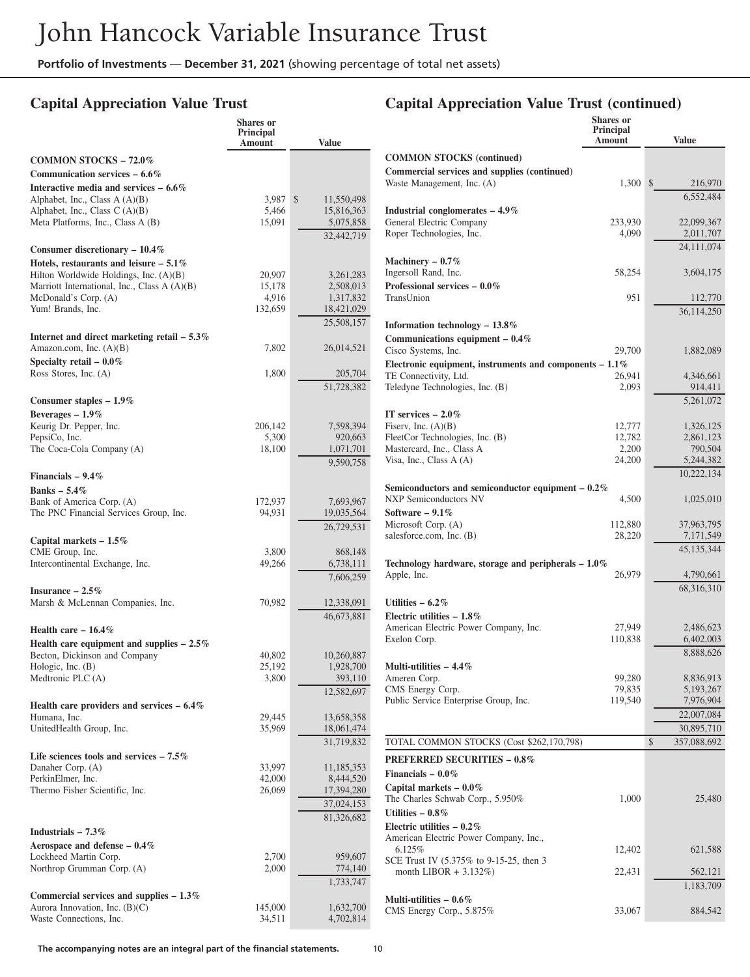# **Capital Appreciation Value Trust**

|                                                                            | <b>Shares</b> or<br>Principal |                          |                                                                                    | <b>Shares</b> or<br>Principal |                        |
|----------------------------------------------------------------------------|-------------------------------|--------------------------|------------------------------------------------------------------------------------|-------------------------------|------------------------|
|                                                                            | Amount                        | <b>Value</b>             |                                                                                    | Amount                        | <b>Value</b>           |
| <b>COMMON STOCKS - 72.0%</b>                                               |                               |                          | <b>COMMON STOCKS (continued)</b>                                                   |                               |                        |
| Communication services $-6.6\%$                                            |                               |                          | Commercial services and supplies (continued)                                       |                               |                        |
| Interactive media and services $-6.6\%$                                    |                               |                          | Waste Management, Inc. (A)                                                         | $1,300$ \$                    | 216,970                |
| Alphabet, Inc., Class $A(A)(B)$                                            | 3,987                         | \$<br>11,550,498         |                                                                                    |                               | 6,552,484              |
| Alphabet, Inc., Class C (A)(B)                                             | 5,466                         | 15,816,363               | Industrial conglomerates $-4.9\%$                                                  |                               |                        |
| Meta Platforms, Inc., Class A (B)                                          | 15,091                        | 5,075,858                | General Electric Company                                                           | 233,930                       | 22,099,367             |
|                                                                            |                               | 32,442,719               | Roper Technologies, Inc.                                                           | 4,090                         | 2,011,707              |
| Consumer discretionary $-10.4\%$                                           |                               |                          |                                                                                    |                               | 24.111.074             |
| Hotels, restaurants and leisure $-5.1\%$                                   |                               |                          | Machinery $-0.7\%$                                                                 |                               |                        |
| Hilton Worldwide Holdings, Inc. (A)(B)                                     | 20,907                        | 3,261,283                | Ingersoll Rand, Inc.                                                               | 58,254                        | 3,604,175              |
| Marriott International, Inc., Class A (A)(B)<br>McDonald's Corp. (A)       | 15,178<br>4,916               | 2,508,013<br>1,317,832   | Professional services $-0.0\%$<br>TransUnion                                       | 951                           | 112,770                |
| Yum! Brands, Inc.                                                          | 132,659                       | 18,421,029               |                                                                                    |                               |                        |
|                                                                            |                               | 25,508,157               |                                                                                    |                               | 36,114,250             |
|                                                                            |                               |                          | Information technology $-13.8\%$                                                   |                               |                        |
| Internet and direct marketing retail $-5.3\%$<br>Amazon.com, Inc. $(A)(B)$ | 7,802                         | 26,014,521               | Communications equipment $-0.4\%$                                                  |                               |                        |
| Specialty retail $-0.0\%$                                                  |                               |                          | Cisco Systems, Inc.                                                                | 29,700                        | 1,882,089              |
| Ross Stores, Inc. (A)                                                      | 1,800                         | 205,704                  | Electronic equipment, instruments and components $-1.1\%$<br>TE Connectivity, Ltd. |                               | 4,346,661              |
|                                                                            |                               | 51,728,382               | Teledyne Technologies, Inc. (B)                                                    | 26,941<br>2,093               | 914.411                |
| Consumer staples - 1.9%                                                    |                               |                          |                                                                                    |                               | 5,261,072              |
| Beverages $-1.9\%$                                                         |                               |                          | IT services $-2.0\%$                                                               |                               |                        |
| Keurig Dr. Pepper, Inc.                                                    | 206,142                       | 7,598,394                | Fiserv, Inc. $(A)(B)$                                                              | 12,777                        | 1,326,125              |
| PepsiCo, Inc.                                                              | 5,300                         | 920,663                  | FleetCor Technologies, Inc. (B)                                                    | 12,782                        | 2,861,123              |
| The Coca-Cola Company (A)                                                  | 18,100                        | 1,071,701                | Mastercard, Inc., Class A                                                          | 2,200                         | 790,504                |
|                                                                            |                               | 9,590,758                | Visa, Inc., Class A (A)                                                            | 24,200                        | 5,244,382              |
| Financials $-9.4\%$                                                        |                               |                          |                                                                                    |                               | 10,222,134             |
| <b>Banks</b> - 5.4%                                                        |                               |                          | Semiconductors and semiconductor equipment $-0.2\%$                                |                               |                        |
| Bank of America Corp. (A)                                                  | 172,937                       | 7,693,967                | <b>NXP Semiconductors NV</b>                                                       | 4,500                         | 1,025,010              |
| The PNC Financial Services Group, Inc.                                     | 94,931                        | 19,035,564               | Software $-9.1\%$                                                                  |                               |                        |
|                                                                            |                               | 26,729,531               | Microsoft Corp. (A)                                                                | 112,880                       | 37,963,795             |
| Capital markets $-1.5\%$                                                   |                               |                          | salesforce.com, Inc. (B)                                                           | 28,220                        | 7,171,549              |
| CME Group, Inc.                                                            | 3,800                         | 868,148                  |                                                                                    |                               | 45,135,344             |
| Intercontinental Exchange, Inc.                                            | 49,266                        | 6,738,111                | Technology hardware, storage and peripherals $-1.0\%$                              |                               |                        |
|                                                                            |                               | 7,606,259                | Apple, Inc.                                                                        | 26,979                        | 4,790,661              |
| Insurance $-2.5\%$                                                         |                               |                          |                                                                                    |                               | 68,316,310             |
| Marsh & McLennan Companies, Inc.                                           | 70,982                        | 12,338,091               | Utilities $-6.2\%$                                                                 |                               |                        |
|                                                                            |                               | 46,673,881               | Electric utilities $-1.8\%$                                                        |                               |                        |
| Health care $-16.4\%$                                                      |                               |                          | American Electric Power Company, Inc.                                              | 27,949                        | 2,486,623              |
| Health care equipment and supplies $-2.5\%$                                |                               |                          | Exelon Corp.                                                                       | 110,838                       | 6,402,003              |
| Becton, Dickinson and Company                                              | 40,802                        | 10,260,887               |                                                                                    |                               | 8,888,626              |
| Hologic, Inc. (B)                                                          | 25,192                        | 1,928,700                | Multi-utilities $-4.4\%$                                                           |                               |                        |
| Medtronic PLC (A)                                                          | 3,800                         | 393,110                  | Ameren Corp.<br>CMS Energy Corp.                                                   | 99.280<br>79,835              | 8,836,913<br>5,193,267 |
|                                                                            |                               | 12,582,697               | Public Service Enterprise Group, Inc.                                              | 119,540                       | 7,976,904              |
| Health care providers and services $-6.4\%$                                | 29,445                        |                          |                                                                                    |                               | 22,007,084             |
| Humana, Inc.<br>UnitedHealth Group, Inc.                                   | 35,969                        | 13,658,358<br>18,061,474 |                                                                                    |                               | 30,895,710             |
|                                                                            |                               | 31,719,832               | TOTAL COMMON STOCKS (Cost \$262,170,798)                                           |                               | \$<br>357,088,692      |
|                                                                            |                               |                          |                                                                                    |                               |                        |
| Life sciences tools and services $-7.5\%$<br>Danaher Corp. (A)             | 33,997                        | 11,185,353               | <b>PREFERRED SECURITIES - 0.8%</b>                                                 |                               |                        |
| PerkinElmer, Inc.                                                          | 42,000                        | 8,444,520                | Financials $-0.0\%$                                                                |                               |                        |
| Thermo Fisher Scientific, Inc.                                             | 26,069                        | 17,394,280               | Capital markets $-0.0\%$                                                           |                               |                        |
|                                                                            |                               | 37,024,153               | The Charles Schwab Corp., 5.950%                                                   | 1,000                         | 25,480                 |
|                                                                            |                               | 81,326,682               | Utilities $-0.8\%$                                                                 |                               |                        |
| Industrials $-7.3\%$                                                       |                               |                          | Electric utilities $-0.2\%$                                                        |                               |                        |
| Aerospace and defense $-0.4\%$                                             |                               |                          | American Electric Power Company, Inc.,                                             |                               |                        |
| Lockheed Martin Corp.                                                      | 2,700                         | 959,607                  | 6.125%<br>SCE Trust IV (5.375% to 9-15-25, then 3                                  | 12,402                        | 621,588                |
| Northrop Grumman Corp. (A)                                                 | 2,000                         | 774,140                  | month LIBOR $+ 3.132\%)$                                                           | 22,431                        | 562,121                |
|                                                                            |                               | 1,733,747                |                                                                                    |                               | 1,183,709              |
| Commercial services and supplies $-1.3\%$                                  |                               |                          | Multi-utilities $-0.6\%$                                                           |                               |                        |
| Aurora Innovation, Inc. $(B)(C)$                                           | 145,000                       | 1,632,700                | CMS Energy Corp., 5.875%                                                           | 33,067                        | 884,542                |
| Waste Connections, Inc.                                                    | 34,511                        | 4,702,814                |                                                                                    |                               |                        |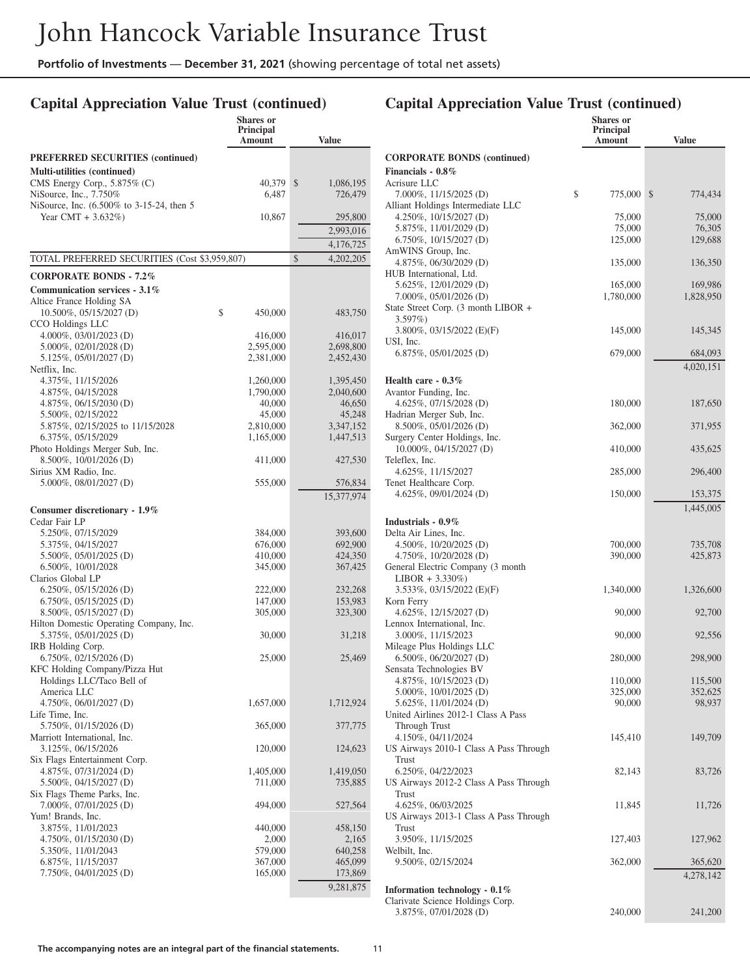# **Capital Appreciation Value Trust (continued)**

|                                                           | Shares or<br><b>Principal</b> |               |                      |
|-----------------------------------------------------------|-------------------------------|---------------|----------------------|
|                                                           | Amount                        |               | <b>Value</b>         |
| <b>PREFERRED SECURITIES (continued)</b>                   |                               |               |                      |
| Multi-utilities (continued)                               |                               |               |                      |
| CMS Energy Corp., 5.875% (C)                              | 40,379                        | \$            | 1,086,195            |
| NiSource, Inc., 7.750%                                    | 6.487                         |               | 726,479              |
| NiSource, Inc. (6.500% to 3-15-24, then 5                 |                               |               |                      |
| Year CMT + $3.632\%$ )                                    | 10,867                        |               | 295,800              |
|                                                           |                               |               | 2,993,016            |
|                                                           |                               |               | 4,176,725            |
| TOTAL PREFERRED SECURITIES (Cost \$3,959,807)             |                               | $\mathcal{S}$ | 4,202,205            |
| <b>CORPORATE BONDS - 7.2%</b>                             |                               |               |                      |
| Communication services - $3.1\%$                          |                               |               |                      |
| Altice France Holding SA                                  |                               |               |                      |
| 10.500%, 05/15/2027 (D)                                   | \$<br>450,000                 |               | 483,750              |
| CCO Holdings LLC                                          |                               |               |                      |
| 4.000%, 03/01/2023 (D)<br>5.000%, 02/01/2028 (D)          | 416,000<br>2,595,000          |               | 416,017<br>2,698,800 |
| 5.125%, 05/01/2027 (D)                                    | 2,381,000                     |               | 2,452,430            |
| Netflix, Inc.                                             |                               |               |                      |
| 4.375%, 11/15/2026                                        | 1,260,000                     |               | 1,395,450            |
| 4.875%, 04/15/2028                                        | 1,790,000                     |               | 2,040,600            |
| 4.875%, 06/15/2030 (D)                                    | 40,000                        |               | 46,650               |
| 5.500%, 02/15/2022                                        | 45,000                        |               | 45,248               |
| 5.875%, 02/15/2025 to 11/15/2028                          | 2,810,000                     |               | 3,347,152            |
| 6.375%, 05/15/2029                                        | 1,165,000                     |               | 1,447,513            |
| Photo Holdings Merger Sub, Inc.<br>8.500%, 10/01/2026 (D) | 411,000                       |               | 427,530              |
| Sirius XM Radio, Inc.                                     |                               |               |                      |
| 5.000%, 08/01/2027 (D)                                    | 555,000                       |               | 576,834              |
|                                                           |                               |               | 15,377,974           |
| Consumer discretionary - 1.9%                             |                               |               |                      |
| Cedar Fair LP                                             |                               |               |                      |
| 5.250%, 07/15/2029                                        | 384,000                       |               | 393,600              |
| 5.375%, 04/15/2027                                        | 676,000                       |               | 692,900              |
| 5.500%, 05/01/2025 (D)<br>6.500%, 10/01/2028              | 410,000<br>345,000            |               | 424,350<br>367,425   |
| Clarios Global LP                                         |                               |               |                      |
| $6.250\%$ , $05/15/2026$ (D)                              | 222,000                       |               | 232,268              |
| $6.750\%$ , $05/15/2025$ (D)                              | 147,000                       |               | 153,983              |
| 8.500%, 05/15/2027 (D)                                    | 305,000                       |               | 323,300              |
| Hilton Domestic Operating Company, Inc.                   |                               |               |                      |
| 5.375%, 05/01/2025 (D)                                    | 30,000                        |               | 31,218               |
| IRB Holding Corp.<br>$6.750\%, 02/15/2026$ (D)            | 25,000                        |               | 25,469               |
| KFC Holding Company/Pizza Hut                             |                               |               |                      |
| Holdings LLC/Taco Bell of                                 |                               |               |                      |
| America LLC                                               |                               |               |                      |
| $4.750\%, 06/01/2027$ (D)                                 | 1,657,000                     |               | 1,712,924            |
| Life Time, Inc.                                           |                               |               |                      |
| 5.750%, 01/15/2026 (D)                                    | 365,000                       |               | 377,775              |
| Marriott International, Inc.                              |                               |               |                      |
| 3.125%, 06/15/2026<br>Six Flags Entertainment Corp.       | 120,000                       |               | 124,623              |
| 4.875%, 07/31/2024 (D)                                    | 1,405,000                     |               | 1,419,050            |
| 5.500%, 04/15/2027 (D)                                    | 711,000                       |               | 735,885              |
| Six Flags Theme Parks, Inc.                               |                               |               |                      |
| 7.000%, 07/01/2025 (D)                                    | 494,000                       |               | 527,564              |
| Yum! Brands, Inc.                                         |                               |               |                      |
| 3.875%, 11/01/2023                                        | 440,000                       |               | 458,150              |
| 4.750\%, 01/15/2030 (D)                                   | 2,000                         |               | 2,165                |
| 5.350%, 11/01/2043                                        | 579,000                       |               | 640,258              |
| 6.875%, 11/15/2037<br>7.750%, 04/01/2025 (D)              | 367,000<br>165,000            |               | 465,099<br>173,869   |
|                                                           |                               |               |                      |
|                                                           |                               |               | 9,281,875            |

|                                                                   | <b>Shares</b> or<br>Principal |                      |
|-------------------------------------------------------------------|-------------------------------|----------------------|
|                                                                   | Amount                        | <b>Value</b>         |
| <b>CORPORATE BONDS (continued)</b><br>Financials - 0.8%           |                               |                      |
| Acrisure LLC<br>7.000%, 11/15/2025 (D)                            | \$<br>775,000                 | \$<br>774,434        |
| Alliant Holdings Intermediate LLC<br>4.250%, $10/15/2027$ (D)     | 75,000                        | 75,000               |
| 5.875%, 11/01/2029 (D)                                            | 75,000                        | 76,305               |
| $6.750\%, 10/15/2027$ (D)                                         | 125,000                       | 129,688              |
| AmWINS Group, Inc.<br>4.875%, 06/30/2029 (D)                      | 135,000                       | 136,350              |
| HUB International, Ltd.                                           |                               |                      |
| 5.625%, 12/01/2029 (D)<br>7.000%, 05/01/2026 (D)                  | 165,000<br>1,780,000          | 169,986<br>1,828,950 |
| State Street Corp. (3 month LIBOR +                               |                               |                      |
| $3.597\%)$                                                        |                               |                      |
| 3.800\%, 03/15/2022 (E)(F)<br>USI, Inc.                           | 145,000                       | 145,345              |
| $6.875\%, 05/01/2025$ (D)                                         | 679,000                       | 684,093              |
|                                                                   |                               | 4,020,151            |
| Health care $-0.3\%$<br>Avantor Funding, Inc.                     |                               |                      |
| 4.625%, 07/15/2028 (D)                                            | 180,000                       | 187,650              |
| Hadrian Merger Sub, Inc.                                          |                               |                      |
| 8.500%, 05/01/2026 (D)                                            | 362,000                       | 371,955              |
| Surgery Center Holdings, Inc.<br>10.000%, 04/15/2027 (D)          | 410,000                       | 435,625              |
| Teleflex, Inc.<br>4.625%, 11/15/2027                              | 285,000                       | 296,400              |
| Tenet Healthcare Corp.                                            |                               |                      |
| 4.625%, 09/01/2024 (D)                                            | 150,000                       | 153,375<br>1,445,005 |
| Industrials - 0.9%                                                |                               |                      |
| Delta Air Lines, Inc.                                             |                               |                      |
| 4.500\%, $10/20/2025$ (D)                                         | 700,000                       | 735,708              |
| 4.750\%, 10/20/2028 (D)                                           | 390,000                       | 425,873              |
| General Electric Company (3 month)<br>$LIBOR + 3.330\%)$          |                               |                      |
| 3.533%, 03/15/2022 (E)(F)                                         | 1,340,000                     | 1,326,600            |
| Korn Ferry<br>$4.625\%, 12/15/2027$ (D)                           | 90,000                        | 92,700               |
| Lennox International, Inc.                                        |                               |                      |
| 3.000%, 11/15/2023<br>Mileage Plus Holdings LLC                   | 90,000                        | 92,556               |
| $6.500\%, 06/20/2027$ (D)                                         | 280,000                       | 298,900              |
| Sensata Technologies BV                                           |                               |                      |
| 4.875%, 10/15/2023 (D)                                            | 110,000                       | 115,500              |
| 5.000%, 10/01/2025 (D)<br>5.625%, 11/01/2024 (D)                  | 325,000<br>90,000             | 352,625<br>98,937    |
| United Airlines 2012-1 Class A Pass                               |                               |                      |
| Through Trust                                                     |                               |                      |
| 4.150%, 04/11/2024                                                | 145,410                       | 149,709              |
| US Airways 2010-1 Class A Pass Through<br>Trust                   |                               |                      |
| 6.250%, 04/22/2023                                                | 82,143                        | 83,726               |
| US Airways 2012-2 Class A Pass Through                            |                               |                      |
| Trust                                                             |                               |                      |
| 4.625%, 06/03/2025<br>US Airways 2013-1 Class A Pass Through      | 11,845                        | 11,726               |
| Trust                                                             |                               |                      |
| 3.950%, 11/15/2025                                                | 127,403                       | 127,962              |
| Welbilt, Inc.                                                     |                               |                      |
| 9.500%, 02/15/2024                                                | 362,000                       | 365,620              |
|                                                                   |                               | 4,278,142            |
| Information technology - 0.1%<br>Clarivate Science Holdings Corp. |                               |                      |
| 3.875%, 07/01/2028 (D)                                            | 240,000                       | 241,200              |
|                                                                   |                               |                      |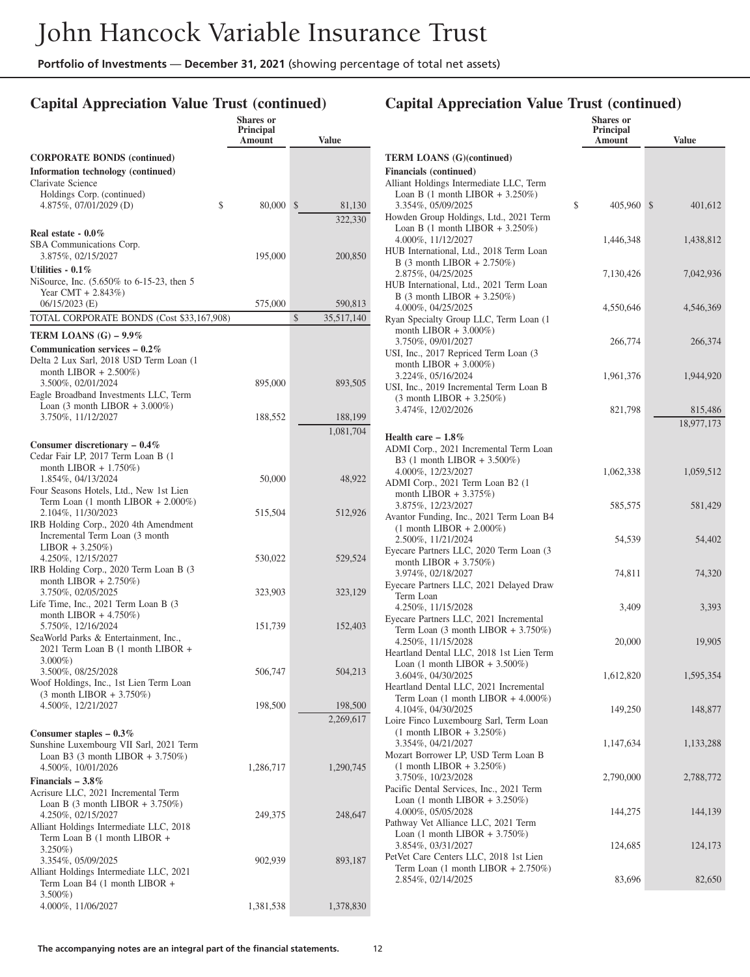# **Capital Appreciation Value Trust (continued)**

|                                                                                          | Shares or<br>Principal |                        |
|------------------------------------------------------------------------------------------|------------------------|------------------------|
|                                                                                          | Amount                 | <b>Value</b>           |
| <b>CORPORATE BONDS (continued)</b>                                                       |                        |                        |
| Information technology (continued)                                                       |                        |                        |
| Clarivate Science<br>Holdings Corp. (continued)                                          |                        |                        |
| 4.875%, 07/01/2029 (D)<br>\$                                                             | 80,000                 | $\mathbb{S}$<br>81,130 |
|                                                                                          |                        | 322,330                |
| Real estate - $0.0\%$                                                                    |                        |                        |
| SBA Communications Corp.<br>3.875%, 02/15/2027                                           |                        | 200,850                |
| Utilities - $0.1\%$                                                                      | 195,000                |                        |
| NiSource, Inc. (5.650% to 6-15-23, then 5                                                |                        |                        |
| Year CMT + $2.843\%$ )                                                                   |                        |                        |
| 06/15/2023 (E)                                                                           | 575,000                | 590,813                |
| TOTAL CORPORATE BONDS (Cost \$33,167,908)                                                |                        | \$<br>35,517,140       |
| TERM LOANS (G) – $9.9\%$                                                                 |                        |                        |
| Communication services $-0.2\%$<br>Delta 2 Lux Sarl, 2018 USD Term Loan (1               |                        |                        |
| month LIBOR $+ 2.500\%$                                                                  |                        |                        |
| 3.500%, 02/01/2024                                                                       | 895,000                | 893,505                |
| Eagle Broadband Investments LLC, Term<br>Loan $(3 \text{ month LIBOR} + 3.000\%)$        |                        |                        |
| 3.750%, 11/12/2027                                                                       | 188,552                | 188,199                |
|                                                                                          |                        | 1,081,704              |
| Consumer discretionary $-0.4\%$                                                          |                        |                        |
| Cedar Fair LP, 2017 Term Loan B (1<br>month LIBOR $+ 1.750\%)$                           |                        |                        |
| 1.854%, 04/13/2024                                                                       | 50,000                 | 48,922                 |
| Four Seasons Hotels, Ltd., New 1st Lien<br>Term Loan $(1 \text{ month LIBOR} + 2.000\%)$ |                        |                        |
| 2.104%, 11/30/2023                                                                       | 515,504                | 512,926                |
| IRB Holding Corp., 2020 4th Amendment                                                    |                        |                        |
| Incremental Term Loan (3 month<br>$LIBOR + 3.250\%)$                                     |                        |                        |
| 4.250%, 12/15/2027                                                                       | 530,022                | 529,524                |
| IRB Holding Corp., 2020 Term Loan B (3                                                   |                        |                        |
| month LIBOR $+ 2.750\%)$<br>3.750%, 02/05/2025                                           | 323,903                | 323,129                |
| Life Time, Inc., 2021 Term Loan B (3                                                     |                        |                        |
| month LIBOR $+4.750\%)$                                                                  |                        |                        |
| 5.750%, 12/16/2024<br>SeaWorld Parks & Entertainment, Inc.,                              | 151,739                | 152,403                |
| 2021 Term Loan B (1 month LIBOR +                                                        |                        |                        |
| $3.000\%)$<br>3.500%, 08/25/2028                                                         | 506,747                | 504,213                |
| Woof Holdings, Inc., 1st Lien Term Loan                                                  |                        |                        |
| $(3 \text{ month LIBOR} + 3.750\%)$                                                      |                        |                        |
| 4.500%, 12/21/2027                                                                       | 198,500                | 198,500<br>2,269,617   |
| Consumer staples $-0.3\%$                                                                |                        |                        |
| Sunshine Luxembourg VII Sarl, 2021 Term                                                  |                        |                        |
| Loan B3 $(3 \text{ month LIBOR} + 3.750\%)$                                              |                        |                        |
| 4.500%, 10/01/2026<br>Financials $-3.8\%$                                                | 1,286,717              | 1,290,745              |
| Acrisure LLC, 2021 Incremental Term                                                      |                        |                        |
| Loan B $(3 \text{ month LIBOR} + 3.750\%)$                                               |                        |                        |
| 4.250%, 02/15/2027<br>Alliant Holdings Intermediate LLC, 2018                            | 249,375                | 248,647                |
| Term Loan B (1 month LIBOR +                                                             |                        |                        |
| 3.250%)                                                                                  |                        |                        |
| 3.354%, 05/09/2025<br>Alliant Holdings Intermediate LLC, 2021                            | 902,939                | 893,187                |
| Term Loan B4 (1 month LIBOR +                                                            |                        |                        |
| $3.500\%)$                                                                               |                        |                        |
| 4.000%, 11/06/2027                                                                       | 1,381,538              | 1,378,830              |

|                                                                                         | <b>Shares</b> or<br>Principal<br>Amount | <b>Value</b>             |
|-----------------------------------------------------------------------------------------|-----------------------------------------|--------------------------|
| <b>TERM LOANS (G)(continued)</b>                                                        |                                         |                          |
| <b>Financials (continued)</b>                                                           |                                         |                          |
| Alliant Holdings Intermediate LLC, Term<br>Loan B $(1 \text{ month LIBOR} + 3.250\%)$   |                                         |                          |
| 3.354%, 05/09/2025                                                                      | \$<br>405,960                           | $\mathcal{S}$<br>401,612 |
| Howden Group Holdings, Ltd., 2021 Term                                                  |                                         |                          |
| Loan B $(1 \text{ month LIBOR} + 3.250\%)$                                              |                                         |                          |
| 4.000%, 11/12/2027<br>HUB International, Ltd., 2018 Term Loan                           | 1,446,348                               | 1,438,812                |
| $B(3 \text{ month LIBOR} + 2.750\%)$                                                    |                                         |                          |
| 2.875%, 04/25/2025                                                                      | 7,130,426                               | 7,042,936                |
| HUB International, Ltd., 2021 Term Loan                                                 |                                         |                          |
| B $(3 \text{ month LIBOR} + 3.250\%)$                                                   |                                         |                          |
| 4.000%, 04/25/2025<br>Ryan Specialty Group LLC, Term Loan (1                            | 4,550,646                               | 4,546,369                |
| month LIBOR $+3.000\%)$                                                                 |                                         |                          |
| 3.750%, 09/01/2027                                                                      | 266,774                                 | 266,374                  |
| USI, Inc., 2017 Repriced Term Loan (3                                                   |                                         |                          |
| month LIBOR $+3.000\%)$<br>3.224%, 05/16/2024                                           | 1,961,376                               | 1,944,920                |
| USI, Inc., 2019 Incremental Term Loan B                                                 |                                         |                          |
| $(3 \text{ month LIBOR} + 3.250\%)$                                                     |                                         |                          |
| 3.474%, 12/02/2026                                                                      | 821,798                                 | 815,486                  |
|                                                                                         |                                         | 18,977,173               |
| Health care $-1.8\%$                                                                    |                                         |                          |
| ADMI Corp., 2021 Incremental Term Loan<br>B3 $(1 \text{ month LIBOR} + 3.500\%)$        |                                         |                          |
| 4.000%, 12/23/2027                                                                      | 1,062,338                               | 1,059,512                |
| ADMI Corp., 2021 Term Loan B2 (1                                                        |                                         |                          |
| month LIBOR $+ 3.375\%)$                                                                |                                         |                          |
| 3.875%, 12/23/2027<br>Avantor Funding, Inc., 2021 Term Loan B4                          | 585,575                                 | 581,429                  |
| $(1 \text{ month LIBOR} + 2.000\%)$                                                     |                                         |                          |
| 2.500%, 11/21/2024                                                                      | 54,539                                  | 54,402                   |
| Eyecare Partners LLC, 2020 Term Loan (3)                                                |                                         |                          |
| month LIBOR $+ 3.750\%)$<br>3.974%, 02/18/2027                                          | 74,811                                  | 74,320                   |
| Eyecare Partners LLC, 2021 Delayed Draw                                                 |                                         |                          |
| Term Loan                                                                               |                                         |                          |
| 4.250%, 11/15/2028                                                                      | 3,409                                   | 3,393                    |
| Eyecare Partners LLC, 2021 Incremental<br>Term Loan $(3 \text{ month LIBOR} + 3.750\%)$ |                                         |                          |
| 4.250%, 11/15/2028                                                                      | 20,000                                  | 19,905                   |
| Heartland Dental LLC, 2018 1st Lien Term                                                |                                         |                          |
| Loan $(1 \text{ month LIBOR} + 3.500\%)$                                                |                                         |                          |
| 3.604%, 04/30/2025<br>Heartland Dental LLC, 2021 Incremental                            | 1,612,820                               | 1,595,354                |
| Term Loan $(1 \text{ month LIBOR } + 4.000\%)$                                          |                                         |                          |
| 4.104%, 04/30/2025                                                                      | 149,250                                 | 148,877                  |
| Loire Finco Luxembourg Sarl, Term Loan                                                  |                                         |                          |
| $(1$ month LIBOR + 3.250%)<br>3.354%, 04/21/2027                                        | 1,147,634                               | 1,133,288                |
| Mozart Borrower LP, USD Term Loan B                                                     |                                         |                          |
| $(1 \text{ month LIBOR} + 3.250\%)$                                                     |                                         |                          |
| 3.750%, 10/23/2028                                                                      | 2,790,000                               | 2,788,772                |
| Pacific Dental Services, Inc., 2021 Term<br>Loan $(1 \text{ month LIBOR} + 3.250\%)$    |                                         |                          |
| 4.000%, 05/05/2028                                                                      | 144,275                                 | 144,139                  |
| Pathway Vet Alliance LLC, 2021 Term                                                     |                                         |                          |
| Loan $(1 \text{ month LIBOR } + 3.750\%)$                                               |                                         |                          |
| 3.854%, 03/31/2027<br>PetVet Care Centers LLC, 2018 1st Lien                            | 124,685                                 | 124,173                  |
| Term Loan $(1 \text{ month LIBOR} + 2.750\%)$                                           |                                         |                          |
| 2.854%, 02/14/2025                                                                      | 83,696                                  | 82,650                   |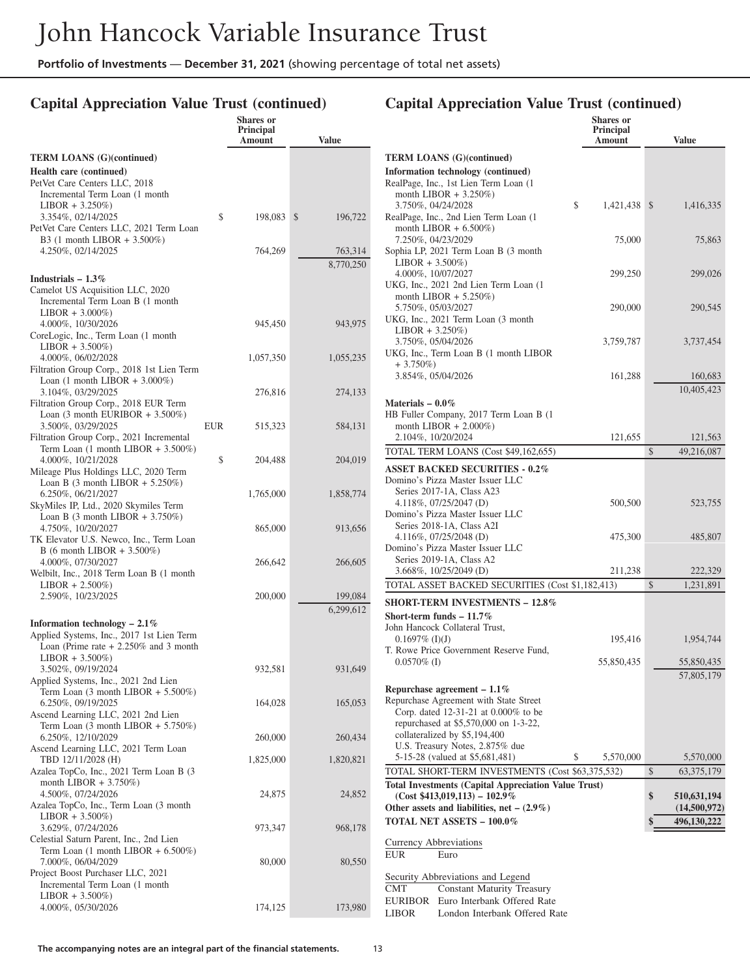#### **Capital Appreciation Value Trust (continued)**  $\mathbf{S}$ **I**

|                                                                                          |            | энагез оп<br><b>Principal</b><br>Amount | <b>Value</b>  |
|------------------------------------------------------------------------------------------|------------|-----------------------------------------|---------------|
| <b>TERM LOANS (G)(continued)</b>                                                         |            |                                         |               |
| <b>Health care (continued)</b>                                                           |            |                                         |               |
| PetVet Care Centers LLC, 2018                                                            |            |                                         |               |
| Incremental Term Loan (1 month                                                           |            |                                         |               |
| $LIBOR + 3.250\%)$<br>3.354%, 02/14/2025                                                 | \$         | 198,083                                 | \$<br>196,722 |
| PetVet Care Centers LLC, 2021 Term Loan                                                  |            |                                         |               |
| B3 $(1 \text{ month LIBOR} + 3.500\%)$                                                   |            |                                         |               |
| 4.250%, 02/14/2025                                                                       |            | 764,269                                 | 763,314       |
|                                                                                          |            |                                         | 8,770,250     |
| Industrials $-1.3\%$                                                                     |            |                                         |               |
| Camelot US Acquisition LLC, 2020<br>Incremental Term Loan B (1 month                     |            |                                         |               |
| $LIBOR + 3.000\%)$                                                                       |            |                                         |               |
| 4.000%, 10/30/2026                                                                       |            | 945,450                                 | 943,975       |
| CoreLogic, Inc., Term Loan (1 month                                                      |            |                                         |               |
| $LIBOR + 3.500\%)$<br>4.000%, 06/02/2028                                                 |            | 1,057,350                               | 1,055,235     |
| Filtration Group Corp., 2018 1st Lien Term                                               |            |                                         |               |
| Loan $(1 \text{ month LIBOR} + 3.000\%)$                                                 |            |                                         |               |
| 3.104%, 03/29/2025                                                                       |            | 276,816                                 | 274,133       |
| Filtration Group Corp., 2018 EUR Term<br>Loan $(3 \text{ month EURIBOR} + 3.500\%)$      |            |                                         |               |
| 3.500%, 03/29/2025                                                                       | <b>EUR</b> | 515,323                                 | 584,131       |
| Filtration Group Corp., 2021 Incremental                                                 |            |                                         |               |
| Term Loan $(1 \text{ month LIBOR} + 3.500\%)$                                            |            |                                         |               |
| 4.000%, 10/21/2028<br>Mileage Plus Holdings LLC, 2020 Term                               | \$         | 204,488                                 | 204,019       |
| Loan B $(3 \text{ month LIBOR} + 5.250\%)$                                               |            |                                         |               |
| 6.250%, 06/21/2027                                                                       |            | 1,765,000                               | 1,858,774     |
| SkyMiles IP, Ltd., 2020 Skymiles Term                                                    |            |                                         |               |
| Loan B $(3 \text{ month LIBOR} + 3.750\%)$                                               |            |                                         |               |
| 4.750%, 10/20/2027<br>TK Elevator U.S. Newco, Inc., Term Loan                            |            | 865,000                                 | 913,656       |
| B (6 month LIBOR + 3.500%)                                                               |            |                                         |               |
| 4.000%, 07/30/2027                                                                       |            | 266,642                                 | 266,605       |
| Welbilt, Inc., 2018 Term Loan B (1 month                                                 |            |                                         |               |
| $LIBOR + 2.500\%)$<br>2.590%, 10/23/2025                                                 |            | 200,000                                 | 199,084       |
|                                                                                          |            |                                         | 6,299,612     |
| Information technology $-2.1\%$                                                          |            |                                         |               |
| Applied Systems, Inc., 2017 1st Lien Term                                                |            |                                         |               |
| Loan (Prime rate $+2.250\%$ and 3 month                                                  |            |                                         |               |
| $LIBOR + 3.500\%)$                                                                       |            |                                         |               |
| 3.502%, 09/19/2024<br>Applied Systems, Inc., 2021 2nd Lien                               |            | 932,581                                 | 931,649       |
| Term Loan (3 month LIBOR + 5.500%)                                                       |            |                                         |               |
| 6.250%, 09/19/2025                                                                       |            | 164,028                                 | 165,053       |
| Ascend Learning LLC, 2021 2nd Lien<br>Term Loan $(3 \text{ month LIBOR} + 5.750\%)$      |            |                                         |               |
| 6.250%, 12/10/2029                                                                       |            | 260,000                                 | 260,434       |
| Ascend Learning LLC, 2021 Term Loan                                                      |            |                                         |               |
| TBD 12/11/2028 (H)                                                                       |            | 1,825,000                               | 1,820,821     |
| Azalea TopCo, Inc., 2021 Term Loan B (3<br>month LIBOR $+3.750\%)$                       |            |                                         |               |
| 4.500%, 07/24/2026                                                                       |            | 24,875                                  | 24,852        |
| Azalea TopCo, Inc., Term Loan (3 month                                                   |            |                                         |               |
| $LIBOR + 3.500\%)$                                                                       |            |                                         |               |
| 3.629%, 07/24/2026                                                                       |            | 973,347                                 | 968,178       |
| Celestial Saturn Parent, Inc., 2nd Lien<br>Term Loan $(1 \text{ month LIBOR} + 6.500\%)$ |            |                                         |               |
| 7.000%, 06/04/2029                                                                       |            | 80,000                                  | 80,550        |
| Project Boost Purchaser LLC, 2021                                                        |            |                                         |               |
| Incremental Term Loan (1 month)                                                          |            |                                         |               |
| $LIBOR + 3.500\%)$<br>4.000%, 05/30/2026                                                 |            | 174,125                                 | 173,980       |
|                                                                                          |            |                                         |               |

|                                                                                                | <b>Shares</b> or<br>Principal<br>Amount | <b>Value</b>       |
|------------------------------------------------------------------------------------------------|-----------------------------------------|--------------------|
| <b>TERM LOANS</b> (G)(continued)                                                               |                                         |                    |
| Information technology (continued)                                                             |                                         |                    |
| RealPage, Inc., 1st Lien Term Loan (1)<br>month LIBOR $+3.250\%)$                              |                                         |                    |
| 3.750%, 04/24/2028                                                                             | \$<br>1.421.438 \$                      | 1,416,335          |
| RealPage, Inc., 2nd Lien Term Loan (1)                                                         |                                         |                    |
| month LIBOR $+ 6.500\%)$<br>7.250%, 04/23/2029                                                 |                                         |                    |
| Sophia LP, 2021 Term Loan B (3 month                                                           | 75,000                                  | 75,863             |
| $LIBOR + 3.500\%)$                                                                             |                                         |                    |
| 4.000%, 10/07/2027                                                                             | 299,250                                 | 299,026            |
| UKG, Inc., 2021 2nd Lien Term Loan (1)<br>month LIBOR $+ 5.250\%)$                             |                                         |                    |
| 5.750%, 05/03/2027                                                                             | 290,000                                 | 290,545            |
| UKG, Inc., 2021 Term Loan (3 month                                                             |                                         |                    |
| $LIBOR + 3.250\%)$                                                                             |                                         |                    |
| 3.750%, 05/04/2026<br>UKG, Inc., Term Loan B (1 month LIBOR                                    | 3,759,787                               | 3,737,454          |
| $+3.750\%)$                                                                                    |                                         |                    |
| 3.854%, 05/04/2026                                                                             | 161,288                                 | 160,683            |
|                                                                                                |                                         | 10,405,423         |
| Materials $-0.0\%$                                                                             |                                         |                    |
| HB Fuller Company, 2017 Term Loan B (1)<br>month LIBOR $+ 2.000\%)$                            |                                         |                    |
| 2.104%, 10/20/2024                                                                             | 121,655                                 | 121,563            |
| TOTAL TERM LOANS (Cost \$49,162,655)                                                           |                                         | \$<br>49,216,087   |
| <b>ASSET BACKED SECURITIES - 0.2%</b>                                                          |                                         |                    |
| Domino's Pizza Master Issuer LLC                                                               |                                         |                    |
| Series 2017-1A, Class A23                                                                      |                                         |                    |
| 4.118%, 07/25/2047 (D)<br>Domino's Pizza Master Issuer LLC                                     | 500,500                                 | 523,755            |
| Series 2018-1A, Class A2I                                                                      |                                         |                    |
| 4.116%, $07/25/2048$ (D)                                                                       | 475,300                                 | 485,807            |
| Domino's Pizza Master Issuer LLC<br>Series 2019-1A, Class A2                                   |                                         |                    |
| 3.668%, 10/25/2049 (D)                                                                         | 211,238                                 | 222,329            |
| TOTAL ASSET BACKED SECURITIES (Cost \$1,182,413)                                               |                                         | \$<br>1,231,891    |
| SHORT-TERM INVESTMENTS - 12.8%                                                                 |                                         |                    |
| Short-term funds $-11.7\%$                                                                     |                                         |                    |
| John Hancock Collateral Trust,                                                                 |                                         |                    |
| $0.1697\%$ (I)(J)<br>T. Rowe Price Government Reserve Fund,                                    | 195,416                                 | 1,954,744          |
| $0.0570\%$ (I)                                                                                 | 55,850,435                              | 55,850,435         |
|                                                                                                |                                         | 57,805,179         |
| Repurchase agreement $-1.1\%$                                                                  |                                         |                    |
| Repurchase Agreement with State Street                                                         |                                         |                    |
| Corp. dated 12-31-21 at 0.000% to be<br>repurchased at \$5,570,000 on 1-3-22,                  |                                         |                    |
| collateralized by \$5,194,400                                                                  |                                         |                    |
| U.S. Treasury Notes, 2.875% due                                                                |                                         |                    |
| 5-15-28 (valued at \$5,681,481)                                                                | \$<br>5,570,000                         | 5,570,000          |
| TOTAL SHORT-TERM INVESTMENTS (Cost \$63,375,532)                                               |                                         | \$<br>63, 375, 179 |
| <b>Total Investments (Capital Appreciation Value Trust)</b><br>$(Cost $413,019,113) - 102.9\%$ |                                         | \$<br>510,631,194  |
| Other assets and liabilities, net $-$ (2.9%)                                                   |                                         | (14,500,972)       |
| <b>TOTAL NET ASSETS - 100.0%</b>                                                               |                                         | \$<br>496,130,222  |
|                                                                                                |                                         |                    |
| Currency Abbreviations<br><b>EUR</b><br>Euro                                                   |                                         |                    |
|                                                                                                |                                         |                    |
| Security Abbreviations and Legend<br><b>CMT</b><br><b>Constant Maturity Treasury</b>           |                                         |                    |
| Euro Interbank Offered Rate<br><b>EURIBOR</b>                                                  |                                         |                    |
| London Interbank Offered Rate<br>LIBOR                                                         |                                         |                    |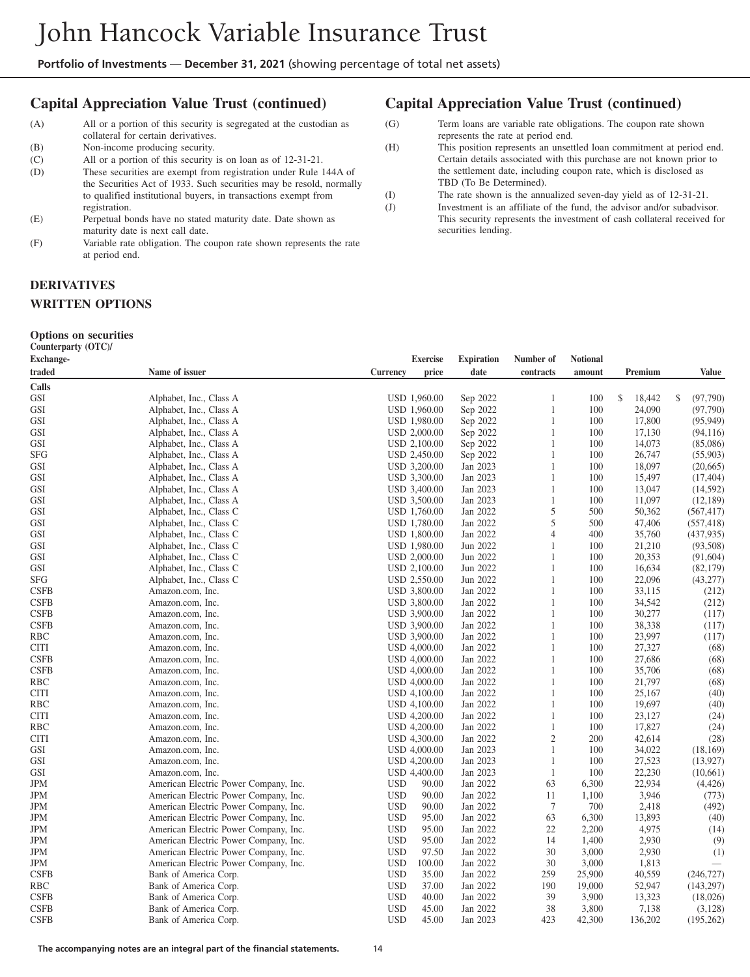#### **Capital Appreciation Value Trust (continued)**

- (A) All or a portion of this security is segregated at the custodian as collateral for certain derivatives.
- (B) Non-income producing security.<br>(C) All or a portion of this security
- All or a portion of this security is on loan as of 12-31-21.

(D) These securities are exempt from registration under Rule 144A of the Securities Act of 1933. Such securities may be resold, normally to qualified institutional buyers, in transactions exempt from registration.

- (E) Perpetual bonds have no stated maturity date. Date shown as maturity date is next call date.
- (F) Variable rate obligation. The coupon rate shown represents the rate at period end.

#### **Capital Appreciation Value Trust (continued)**

(G) Term loans are variable rate obligations. The coupon rate shown represents the rate at period end.

(H) This position represents an unsettled loan commitment at period end. Certain details associated with this purchase are not known prior to the settlement date, including coupon rate, which is disclosed as TBD (To Be Determined).

- (I) The rate shown is the annualized seven-day yield as of 12-31-21.
- (J) Investment is an affiliate of the fund, the advisor and/or subadvisor. This security represents the investment of cash collateral received for securities lending.

#### **DERIVATIVES WRITTEN OPTIONS**

#### **Options on securities**

**Counterparty (OTC)/**

| <b>Exchange-</b> |                                       | <b>Exercise</b>      | <b>Expiration</b> | Number of      | <b>Notional</b> |              |               |
|------------------|---------------------------------------|----------------------|-------------------|----------------|-----------------|--------------|---------------|
| traded           | Name of issuer                        | Currency<br>price    | date              | contracts      | amount          | Premium      | <b>Value</b>  |
| Calls            |                                       |                      |                   |                |                 |              |               |
| GSI              | Alphabet, Inc., Class A               | <b>USD 1,960.00</b>  | Sep 2022          | 1              | 100             | \$<br>18,442 | S<br>(97,790) |
| <b>GSI</b>       | Alphabet, Inc., Class A               | USD 1,960.00         | Sep 2022          | 1              | 100             | 24,090       | (97,790)      |
| GSI              | Alphabet, Inc., Class A               | USD 1,980.00         | Sep 2022          | 1              | 100             | 17,800       | (95, 949)     |
| GSI              | Alphabet, Inc., Class A               | USD 2,000.00         | Sep 2022          | 1              | 100             | 17,130       | (94, 116)     |
| <b>GSI</b>       | Alphabet, Inc., Class A               | USD 2,100.00         | Sep 2022          | 1              | 100             | 14,073       | (85,086)      |
| <b>SFG</b>       | Alphabet, Inc., Class A               | USD 2,450.00         | Sep 2022          | 1              | 100             | 26,747       | (55,903)      |
| GSI              | Alphabet, Inc., Class A               | USD 3,200.00         | Jan 2023          | 1              | 100             | 18,097       | (20,665)      |
| <b>GSI</b>       | Alphabet, Inc., Class A               | USD 3,300.00         | Jan 2023          | 1              | 100             | 15,497       | (17, 404)     |
| <b>GSI</b>       | Alphabet, Inc., Class A               | USD 3,400.00         | Jan 2023          | $\mathbf{1}$   | 100             | 13,047       | (14, 592)     |
| GSI              | Alphabet, Inc., Class A               | USD 3,500.00         | Jan 2023          | 1              | 100             | 11,097       | (12, 189)     |
| GSI              | Alphabet, Inc., Class C               | USD 1,760.00         | Jan 2022          | 5              | 500             | 50,362       | (567, 417)    |
| GSI              | Alphabet, Inc., Class C               | <b>USD 1,780.00</b>  | Jan 2022          | 5              | 500             | 47,406       | (557, 418)    |
| GSI              | Alphabet, Inc., Class C               | USD 1,800.00         | Jan 2022          | 4              | 400             | 35,760       | (437, 935)    |
| GSI              | Alphabet, Inc., Class C               | USD 1,980.00         | Jun 2022          | 1              | 100             | 21,210       | (93,508)      |
| <b>GSI</b>       | Alphabet, Inc., Class C               | USD 2,000.00         | Jun 2022          | 1              | 100             | 20,353       | (91, 604)     |
| GSI              | Alphabet, Inc., Class C               | USD 2,100.00         | Jun 2022          | $\mathbf{1}$   | 100             | 16,634       | (82, 179)     |
| SFG              | Alphabet, Inc., Class C               | USD 2,550.00         | Jun 2022          | 1              | 100             | 22,096       | (43, 277)     |
| <b>CSFB</b>      | Amazon.com, Inc.                      | USD 3,800.00         | Jan 2022          | 1              | 100             | 33,115       | (212)         |
| <b>CSFB</b>      | Amazon.com, Inc.                      | USD 3,800.00         | Jan 2022          | 1              | 100             | 34,542       | (212)         |
| <b>CSFB</b>      | Amazon.com, Inc.                      | USD 3,900.00         | Jan 2022          | $\mathbf{1}$   | 100             | 30,277       | (117)         |
| <b>CSFB</b>      | Amazon.com, Inc.                      | USD 3,900.00         | Jan 2022          | 1              | 100             | 38,338       | (117)         |
| RBC              | Amazon.com, Inc.                      | USD 3,900.00         | Jan 2022          | 1              | 100             | 23,997       | (117)         |
| CITI             | Amazon.com, Inc.                      | USD 4,000.00         | Jan 2022          | $\mathbf{1}$   | 100             | 27,327       | (68)          |
| <b>CSFB</b>      | Amazon.com, Inc.                      | USD 4,000.00         | Jan 2022          | 1              | 100             | 27,686       | (68)          |
| <b>CSFB</b>      | Amazon.com, Inc.                      | USD 4,000.00         | Jan 2022          | 1              | 100             | 35,706       | (68)          |
| RBC              | Amazon.com, Inc.                      | USD 4,000.00         | Jan 2022          | 1              | 100             | 21,797       | (68)          |
| CITI             | Amazon.com, Inc.                      | USD 4,100.00         | Jan 2022          | 1              | 100             | 25,167       | (40)          |
| RBC              | Amazon.com, Inc.                      | USD 4,100.00         | Jan 2022          | 1              | 100             | 19,697       | (40)          |
| <b>CITI</b>      | Amazon.com, Inc.                      | USD 4,200.00         | Jan 2022          | 1              | 100             | 23,127       | (24)          |
| RBC              | Amazon.com, Inc.                      | <b>USD 4,200.00</b>  | Jan 2022          | 1              | 100             | 17,827       | (24)          |
| <b>CITI</b>      | Amazon.com, Inc.                      | USD 4,300.00         | Jan 2022          | $\mathfrak{2}$ | 200             | 42,614       | (28)          |
| GSI              | Amazon.com, Inc.                      | USD 4,000.00         | Jan 2023          | 1              | 100             | 34,022       | (18, 169)     |
| GSI              | Amazon.com, Inc.                      | <b>USD 4,200.00</b>  | Jan 2023          | 1              | 100             | 27,523       | (13, 927)     |
| GSI              | Amazon.com, Inc.                      | USD 4,400.00         | Jan 2023          | 1              | 100             | 22,230       | (10,661)      |
| JPM              | American Electric Power Company, Inc. | <b>USD</b><br>90.00  | Jan 2022          | 63             | 6,300           | 22,934       | (4, 426)      |
| JPM              | American Electric Power Company, Inc. | <b>USD</b><br>90.00  | Jan 2022          | 11             | 1,100           | 3,946        | (773)         |
| JPM              | American Electric Power Company, Inc. | <b>USD</b><br>90.00  | Jan 2022          | $\tau$         | 700             | 2,418        | (492)         |
| JPM              | American Electric Power Company, Inc. | <b>USD</b><br>95.00  | Jan 2022          | 63             | 6,300           | 13,893       | (40)          |
| JPM              | American Electric Power Company, Inc. | <b>USD</b><br>95.00  | Jan 2022          | 22             | 2,200           | 4,975        | (14)          |
| JPM              | American Electric Power Company, Inc. | <b>USD</b><br>95.00  | Jan 2022          | 14             | 1,400           | 2,930        | (9)           |
| JPM              | American Electric Power Company, Inc. | <b>USD</b><br>97.50  | Jan 2022          | 30             | 3,000           | 2,930        | (1)           |
| JPM              | American Electric Power Company, Inc. | <b>USD</b><br>100.00 | Jan 2022          | 30             | 3,000           | 1,813        |               |
| <b>CSFB</b>      | Bank of America Corp.                 | <b>USD</b><br>35.00  | Jan 2022          | 259            | 25,900          | 40,559       | (246, 727)    |
| RBC              | Bank of America Corp.                 | <b>USD</b><br>37.00  | Jan 2022          | 190            | 19,000          | 52,947       | (143, 297)    |
| <b>CSFB</b>      | Bank of America Corp.                 | <b>USD</b><br>40.00  | Jan 2022          | 39             | 3,900           | 13,323       | (18,026)      |
| <b>CSFB</b>      | Bank of America Corp.                 | <b>USD</b><br>45.00  | Jan 2022          | 38             | 3,800           | 7,138        | (3, 128)      |
| <b>CSFB</b>      | Bank of America Corp.                 | <b>USD</b><br>45.00  | Jan 2023          | 423            | 42,300          | 136,202      | (195, 262)    |
|                  |                                       |                      |                   |                |                 |              |               |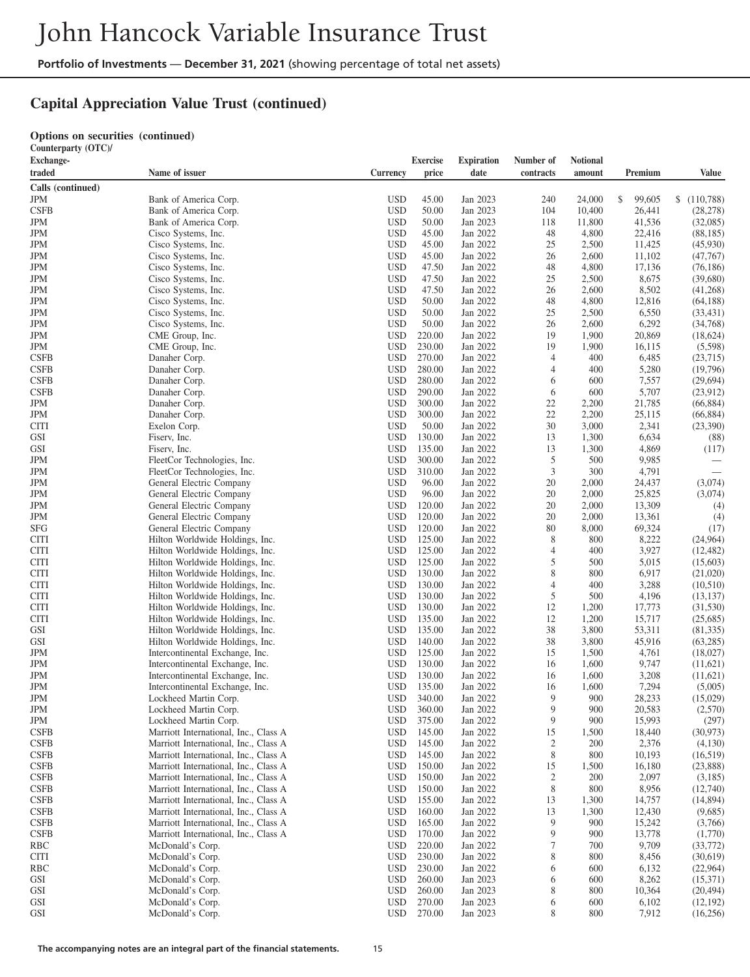# **Capital Appreciation Value Trust (continued)**

#### **Options on securities (continued)**

**Counterparty (OTC)/**

| <b>Exchange-</b>   |                                                                |                          | <b>Exercise</b>  | <b>Expiration</b>    | Number of      | <b>Notional</b> |                  |                        |
|--------------------|----------------------------------------------------------------|--------------------------|------------------|----------------------|----------------|-----------------|------------------|------------------------|
| traded             | Name of issuer                                                 | Currency                 | price            | date                 | contracts      | amount          | Premium          | <b>Value</b>           |
| Calls (continued)  |                                                                |                          |                  |                      |                |                 |                  |                        |
| JPM                | Bank of America Corp.                                          | <b>USD</b>               | 45.00            | Jan 2023             | 240            | 24,000          | \$<br>99,605     | \$(110,788)            |
| <b>CSFB</b>        | Bank of America Corp.                                          | <b>USD</b>               | 50.00            | Jan 2023             | 104            | 10,400          | 26,441           | (28, 278)              |
| JPM                | Bank of America Corp.                                          | <b>USD</b>               | 50.00            | Jan 2023             | 118            | 11,800          | 41,536           | (32,085)               |
| <b>JPM</b>         | Cisco Systems, Inc.                                            | <b>USD</b>               | 45.00            | Jan 2022             | 48             | 4,800           | 22,416           | (88, 185)              |
| JPM                | Cisco Systems, Inc.                                            | <b>USD</b>               | 45.00            | Jan 2022             | 25             | 2,500           | 11,425           | (45,930)               |
| JPM                | Cisco Systems, Inc.                                            | <b>USD</b>               | 45.00            | Jan 2022             | 26             | 2,600           | 11,102           | (47,767)               |
| JPM                | Cisco Systems, Inc.                                            | <b>USD</b>               | 47.50            | Jan 2022             | 48             | 4,800           | 17,136           | (76, 186)              |
| JPM                | Cisco Systems, Inc.                                            | <b>USD</b>               | 47.50            | Jan 2022             | 25             | 2,500           | 8,675            | (39,680)               |
| JPM                | Cisco Systems, Inc.                                            | <b>USD</b>               | 47.50            | Jan 2022             | 26             | 2,600           | 8,502            | (41,268)               |
| JPM<br>JPM         | Cisco Systems, Inc.<br>Cisco Systems, Inc.                     | <b>USD</b><br><b>USD</b> | 50.00<br>50.00   | Jan 2022<br>Jan 2022 | 48<br>25       | 4,800<br>2,500  | 12,816<br>6,550  | (64, 188)<br>(33, 431) |
| <b>JPM</b>         | Cisco Systems, Inc.                                            | <b>USD</b>               | 50.00            | Jan 2022             | 26             | 2,600           | 6,292            | (34,768)               |
| JPM                | CME Group, Inc.                                                | <b>USD</b>               | 220.00           | Jan 2022             | 19             | 1,900           | 20,869           | (18,624)               |
| <b>JPM</b>         | CME Group, Inc.                                                | <b>USD</b>               | 230.00           | Jan 2022             | 19             | 1,900           | 16,115           | (5,598)                |
| <b>CSFB</b>        | Danaher Corp.                                                  | <b>USD</b>               | 270.00           | Jan 2022             | 4              | 400             | 6,485            | (23,715)               |
| <b>CSFB</b>        | Danaher Corp.                                                  | <b>USD</b>               | 280.00           | Jan 2022             | 4              | 400             | 5,280            | (19,796)               |
| <b>CSFB</b>        | Danaher Corp.                                                  | <b>USD</b>               | 280.00           | Jan 2022             | 6              | 600             | 7,557            | (29,694)               |
| <b>CSFB</b>        | Danaher Corp.                                                  | <b>USD</b>               | 290.00           | Jan 2022             | 6              | 600             | 5,707            | (23,912)               |
| JPM                | Danaher Corp.                                                  | <b>USD</b>               | 300.00           | Jan 2022             | 22             | 2,200           | 21,785           | (66,884)               |
| JPM                | Danaher Corp.                                                  | <b>USD</b>               | 300.00           | Jan 2022             | 22             | 2,200           | 25,115           | (66, 884)              |
| CITI               | Exelon Corp.                                                   | <b>USD</b>               | 50.00            | Jan 2022             | 30             | 3,000           | 2,341            | (23,390)               |
| GSI                | Fiserv, Inc.                                                   | <b>USD</b>               | 130.00           | Jan 2022             | 13             | 1,300           | 6,634            | (88)                   |
| GSI                | Fiserv, Inc.                                                   | <b>USD</b>               | 135.00           | Jan 2022             | 13             | 1,300           | 4,869            | (117)                  |
| JPM                | FleetCor Technologies, Inc.                                    | <b>USD</b>               | 300.00           | Jan 2022             | 5              | 500             | 9,985            |                        |
| JPM                | FleetCor Technologies, Inc.                                    | <b>USD</b>               | 310.00           | Jan 2022             | 3              | 300             | 4,791            |                        |
| JPM                | General Electric Company                                       | <b>USD</b>               | 96.00            | Jan 2022             | 20             | 2,000           | 24,437           | (3,074)                |
| JPM                | General Electric Company                                       | <b>USD</b>               | 96.00            | Jan 2022             | 20             | 2,000           | 25,825           | (3,074)                |
| JPM                | General Electric Company                                       | <b>USD</b>               | 120.00           | Jan 2022             | 20             | 2,000           | 13,309           | (4)                    |
| JPM                | General Electric Company                                       | <b>USD</b>               | 120.00           | Jan 2022             | 20<br>80       | 2,000           | 13,361           | (4)                    |
| SFG<br>CITI        | General Electric Company<br>Hilton Worldwide Holdings, Inc.    | <b>USD</b><br><b>USD</b> | 120.00<br>125.00 | Jan 2022<br>Jan 2022 | 8              | 8,000<br>800    | 69,324<br>8,222  | (17)<br>(24,964)       |
| CITI               | Hilton Worldwide Holdings, Inc.                                | <b>USD</b>               | 125.00           | Jan 2022             | 4              | 400             | 3,927            | (12, 482)              |
| CITI               | Hilton Worldwide Holdings, Inc.                                | <b>USD</b>               | 125.00           | Jan 2022             | 5              | 500             | 5,015            | (15,603)               |
| CITI               | Hilton Worldwide Holdings, Inc.                                | <b>USD</b>               | 130.00           | Jan 2022             | 8              | 800             | 6,917            | (21,020)               |
| CITI               | Hilton Worldwide Holdings, Inc.                                | <b>USD</b>               | 130.00           | Jan 2022             | $\overline{4}$ | 400             | 3,288            | (10,510)               |
| CITI               | Hilton Worldwide Holdings, Inc.                                | <b>USD</b>               | 130.00           | Jan 2022             | 5              | 500             | 4,196            | (13, 137)              |
| CITI               | Hilton Worldwide Holdings, Inc.                                | <b>USD</b>               | 130.00           | Jan 2022             | 12             | 1,200           | 17,773           | (31,530)               |
| CITI               | Hilton Worldwide Holdings, Inc.                                | <b>USD</b>               | 135.00           | Jan 2022             | 12             | 1,200           | 15,717           | (25,685)               |
| GSI                | Hilton Worldwide Holdings, Inc.                                | <b>USD</b>               | 135.00           | Jan 2022             | 38             | 3,800           | 53,311           | (81,335)               |
| GSI                | Hilton Worldwide Holdings, Inc.                                | <b>USD</b>               | 140.00           | Jan 2022             | 38             | 3,800           | 45,916           | (63, 285)              |
| JPM                | Intercontinental Exchange, Inc.                                | <b>USD</b>               | 125.00           | Jan 2022             | 15             | 1,500           | 4,761            | (18,027)               |
| JPM                | Intercontinental Exchange, Inc.                                | <b>USD</b>               | 130.00           | Jan 2022             | 16             | 1,600           | 9,747            | (11,621)               |
| JPM                | Intercontinental Exchange, Inc.                                | <b>USD</b>               | 130.00           | Jan 2022             | 16             | 1,600           | 3,208            | (11,621)               |
| JPM                | Intercontinental Exchange, Inc.                                | <b>USD</b>               | 135.00           | Jan 2022             | 16             | 1,600           | 7,294            | (5,005)                |
| JPM                | Lockheed Martin Corp.                                          | <b>USD</b>               | 340.00           | Jan 2022             | 9<br>9         | 900<br>900      | 28,233           | (15,029)               |
| JPM                | Lockheed Martin Corp.                                          | <b>USD</b>               | 360.00           | Jan 2022<br>Jan 2022 |                |                 | 20,583           | (2,570)                |
| JPM<br><b>CSFB</b> | Lockheed Martin Corp.<br>Marriott International, Inc., Class A | USD<br><b>USD</b>        | 375.00<br>145.00 | Jan 2022             | 9<br>15        | 900<br>1,500    | 15,993<br>18,440 | (297)<br>(30, 973)     |
| <b>CSFB</b>        | Marriott International, Inc., Class A                          | <b>USD</b>               | 145.00           | Jan 2022             | 2              | 200             | 2,376            | (4,130)                |
| <b>CSFB</b>        | Marriott International, Inc., Class A                          | <b>USD</b>               | 145.00           | Jan 2022             | 8              | 800             | 10,193           | (16,519)               |
| <b>CSFB</b>        | Marriott International, Inc., Class A                          | <b>USD</b>               | 150.00           | Jan 2022             | 15             | 1,500           | 16,180           | (23,888)               |
| <b>CSFB</b>        | Marriott International, Inc., Class A                          | <b>USD</b>               | 150.00           | Jan 2022             | $\overline{2}$ | 200             | 2,097            | (3,185)                |
| <b>CSFB</b>        | Marriott International, Inc., Class A                          | <b>USD</b>               | 150.00           | Jan 2022             | 8              | 800             | 8,956            | (12,740)               |
| <b>CSFB</b>        | Marriott International, Inc., Class A                          | <b>USD</b>               | 155.00           | Jan 2022             | 13             | 1,300           | 14,757           | (14,894)               |
| <b>CSFB</b>        | Marriott International, Inc., Class A                          | <b>USD</b>               | 160.00           | Jan 2022             | 13             | 1,300           | 12,430           | (9,685)                |
| <b>CSFB</b>        | Marriott International, Inc., Class A                          | <b>USD</b>               | 165.00           | Jan 2022             | 9              | 900             | 15,242           | (3,766)                |
| <b>CSFB</b>        | Marriott International, Inc., Class A                          | <b>USD</b>               | 170.00           | Jan 2022             | 9              | 900             | 13,778           | (1,770)                |
| RBC                | McDonald's Corp.                                               | <b>USD</b>               | 220.00           | Jan 2022             | $\tau$         | 700             | 9,709            | (33, 772)              |
| CITI               | McDonald's Corp.                                               | <b>USD</b>               | 230.00           | Jan 2022             | 8              | 800             | 8,456            | (30,619)               |
| RBC                | McDonald's Corp.                                               | <b>USD</b>               | 230.00           | Jan 2022             | 6              | 600             | 6,132            | (22,964)               |
| GSI                | McDonald's Corp.                                               | <b>USD</b>               | 260.00           | Jan 2023             | 6              | 600             | 8,262            | (15,371)               |
| GSI                | McDonald's Corp.                                               | <b>USD</b>               | 260.00           | Jan 2023             | 8              | 800             | 10,364           | (20, 494)              |
| GSI                | McDonald's Corp.                                               | <b>USD</b>               | 270.00           | Jan 2023             | 6<br>8         | 600             | 6,102            | (12, 192)              |
| GSI                | McDonald's Corp.                                               | <b>USD</b>               | 270.00           | Jan 2023             |                | 800             | 7,912            | (16,256)               |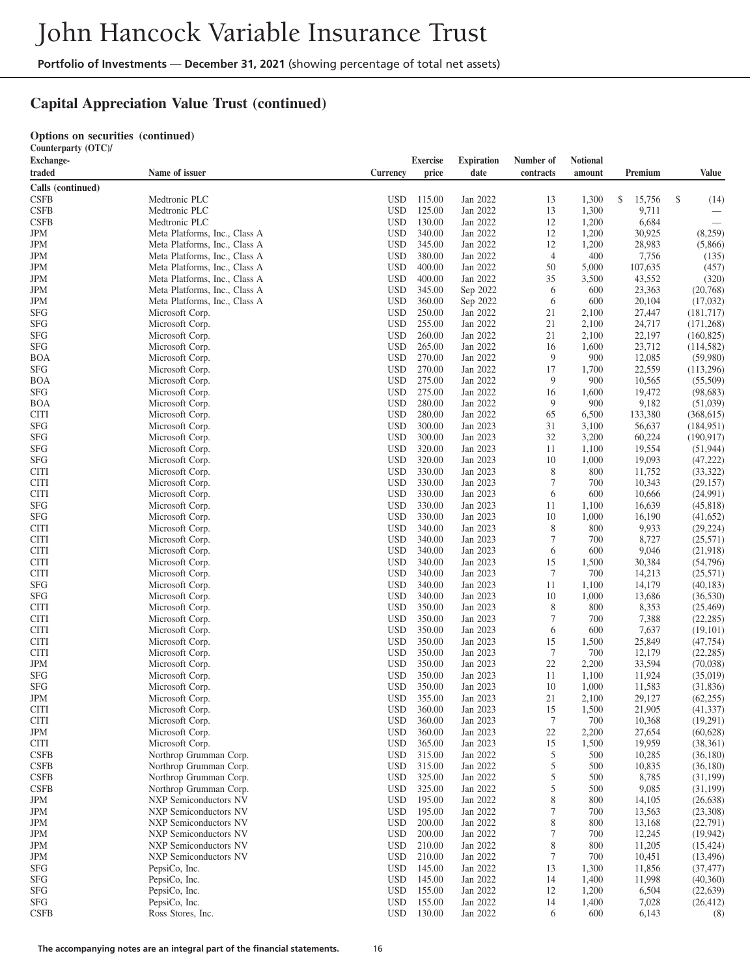# **Capital Appreciation Value Trust (continued)**

#### **Options on securities (continued)**

**Counterparty (OTC)/**

| traded<br>Name of issuer<br>Currency<br>price<br>date<br>contracts<br>amount<br>Premium<br>Value<br>Calls (continued)<br>\$<br><b>CSFB</b><br>Medtronic PLC<br><b>USD</b><br>115.00<br>Jan 2022<br>13<br>1,300<br>\$<br>15,756<br>(14)<br><b>USD</b><br>125.00<br>Jan 2022<br>1,300<br><b>CSFB</b><br>Medtronic PLC<br>13<br>9,711<br>130.00<br>12<br><b>CSFB</b><br>Medtronic PLC<br><b>USD</b><br>Jan 2022<br>1,200<br>6,684<br>Jan 2022<br>12<br>30,925<br>JPM<br>Meta Platforms, Inc., Class A<br><b>USD</b><br>340.00<br>1,200<br>(8,259)<br>12<br>28,983<br>JPM<br>Meta Platforms, Inc., Class A<br><b>USD</b><br>345.00<br>Jan 2022<br>1,200<br>(5,866)<br>Jan 2022<br>$\overline{4}$<br>JPM<br>Meta Platforms, Inc., Class A<br><b>USD</b><br>380.00<br>400<br>7,756<br>(135)<br>JPM<br>Meta Platforms, Inc., Class A<br><b>USD</b><br>400.00<br>Jan 2022<br>50<br>5,000<br>107,635<br>(457)<br>Jan 2022<br>43,552<br>JPM<br>Meta Platforms, Inc., Class A<br><b>USD</b><br>400.00<br>35<br>3,500<br>(320)<br>23,363<br>JPM<br>Meta Platforms, Inc., Class A<br><b>USD</b><br>345.00<br>Sep 2022<br>6<br>600<br>(20,768)<br><b>JPM</b><br>Meta Platforms, Inc., Class A<br><b>USD</b><br>360.00<br>Sep 2022<br>6<br>600<br>20,104<br>(17,032)<br>SFG<br><b>USD</b><br>250.00<br>Jan 2022<br>21<br>2,100<br>27,447<br>(181, 717)<br>Microsoft Corp.<br>24,717<br><b>SFG</b><br>Microsoft Corp.<br><b>USD</b><br>255.00<br>Jan 2022<br>21<br>2,100<br>(171, 268)<br>22,197<br>SFG<br>Microsoft Corp.<br><b>USD</b><br>260.00<br>Jan 2022<br>21<br>2,100<br>(160, 825)<br><b>SFG</b><br>Microsoft Corp.<br><b>USD</b><br>265.00<br>Jan 2022<br>16<br>1,600<br>23,712<br>(114, 582)<br>270.00<br>9<br>BOA<br>Microsoft Corp.<br><b>USD</b><br>Jan 2022<br>900<br>12,085<br>(59,980)<br>17<br>22,559<br><b>SFG</b><br>Microsoft Corp.<br><b>USD</b><br>270.00<br>Jan 2022<br>1,700<br>(113,296)<br>275.00<br>9<br>BOA<br>Microsoft Corp.<br><b>USD</b><br>Jan 2022<br>900<br>10,565<br>(55,509)<br><b>SFG</b><br>Microsoft Corp.<br><b>USD</b><br>275.00<br>Jan 2022<br>16<br>19,472<br>(98, 683)<br>1,600<br>BOA<br><b>USD</b><br>280.00<br>Jan 2022<br>9<br>900<br>9,182<br>(51,039)<br>Microsoft Corp.<br>Microsoft Corp.<br><b>USD</b><br>280.00<br>Jan 2022<br>65<br>6,500<br>133,380<br>(368, 615)<br>CITI<br>SFG<br>Microsoft Corp.<br><b>USD</b><br>300.00<br>Jan 2023<br>31<br>3,100<br>56,637<br>(184, 951)<br><b>SFG</b><br><b>USD</b><br>300.00<br>Jan 2023<br>32<br>3,200<br>60,224<br>(190, 917)<br>Microsoft Corp.<br>SFG<br>Microsoft Corp.<br><b>USD</b><br>320.00<br>Jan 2023<br>11<br>1,100<br>19,554<br>(51, 944)<br>SFG<br>Microsoft Corp.<br><b>USD</b><br>320.00<br>Jan 2023<br>10<br>1,000<br>19,093<br>(47, 222)<br>CITI<br>Microsoft Corp.<br><b>USD</b><br>330.00<br>Jan 2023<br>8<br>800<br>11,752<br>(33, 322)<br>$\overline{7}$<br><b>USD</b><br>330.00<br>Jan 2023<br>700<br>10,343<br>(29, 157)<br>CITI<br>Microsoft Corp.<br>CITI<br>Microsoft Corp.<br><b>USD</b><br>330.00<br>Jan 2023<br>6<br>600<br>10,666<br>(24,991)<br>SFG<br>Microsoft Corp.<br><b>USD</b><br>330.00<br>Jan 2023<br>11<br>1,100<br>16,639<br>(45, 818)<br>SFG<br>Microsoft Corp.<br><b>USD</b><br>330.00<br>Jan 2023<br>10<br>1,000<br>16,190<br>(41,652)<br>8<br><b>CITI</b><br><b>USD</b><br>340.00<br>Jan 2023<br>800<br>9,933<br>(29, 224)<br>Microsoft Corp.<br>7<br>Microsoft Corp.<br><b>USD</b><br>340.00<br>Jan 2023<br>700<br>8,727<br>(25, 571)<br>CITI<br>Microsoft Corp.<br><b>USD</b><br>340.00<br>Jan 2023<br>6<br>600<br>9,046<br>(21,918)<br>CITI<br>CITI<br>Microsoft Corp.<br><b>USD</b><br>340.00<br>Jan 2023<br>15<br>1,500<br>30,384<br>(54,796)<br>$\boldsymbol{7}$<br>Microsoft Corp.<br><b>USD</b><br>340.00<br>Jan 2023<br>700<br>14,213<br>(25,571)<br>CITI<br>SFG<br>Microsoft Corp.<br><b>USD</b><br>340.00<br>Jan 2023<br>11<br>1,100<br>14,179<br>(40, 183)<br>SFG<br>Microsoft Corp.<br><b>USD</b><br>340.00<br>Jan 2023<br>10<br>1,000<br>13,686<br>(36,530)<br>350.00<br>Jan 2023<br>8<br>8,353<br>CITI<br>Microsoft Corp.<br><b>USD</b><br>800<br>(25, 469)<br>7<br><b>USD</b><br>350.00<br>Jan 2023<br>7,388<br>(22, 285)<br>CITI<br>Microsoft Corp.<br>700<br><b>USD</b><br>350.00<br>Jan 2023<br>6<br>600<br>7,637<br>CITI<br>Microsoft Corp.<br>(19,101)<br><b>USD</b><br>350.00<br>Jan 2023<br>15<br>25,849<br>(47, 754)<br>CITI<br>Microsoft Corp.<br>1,500<br>$\tau$<br><b>USD</b><br>350.00<br>Jan 2023<br>700<br>12,179<br>(22, 285)<br>CITI<br>Microsoft Corp.<br>22<br><b>USD</b><br>350.00<br>Jan 2023<br>2,200<br>33,594<br>JPM<br>Microsoft Corp.<br>(70,038)<br>SFG<br><b>USD</b><br>350.00<br>Jan 2023<br>11,924<br>(35,019)<br>Microsoft Corp.<br>11<br>1,100<br>SFG<br><b>USD</b><br>350.00<br>Jan 2023<br>1,000<br>11,583<br>(31, 836)<br>Microsoft Corp.<br>10<br>JPM<br><b>USD</b><br>355.00<br>Jan 2023<br>21<br>29,127<br>(62, 255)<br>Microsoft Corp.<br>2,100<br><b>USD</b><br>360.00<br>15<br>21,905<br>(41, 337)<br>CITI<br>Microsoft Corp.<br>Jan 2023<br>1,500<br>CITI<br>Microsoft Corp.<br>USD<br>360.00<br>Jan 2023<br>7<br>700<br>10,368<br>(19,291)<br>$22\,$<br>Microsoft Corp.<br><b>USD</b><br>360.00<br>Jan 2023<br>2,200<br>27,654<br>(60, 628)<br><b>USD</b><br>15<br>Microsoft Corp.<br>365.00<br>Jan 2023<br>1,500<br>19,959<br>(38, 361)<br>5<br>Northrop Grumman Corp.<br><b>USD</b><br>315.00<br>Jan 2022<br>500<br>10,285<br>(36, 180)<br>5<br>Northrop Grumman Corp.<br><b>USD</b><br>315.00<br>Jan 2022<br>500<br>10,835<br>(36, 180)<br>5<br>8,785<br>Northrop Grumman Corp.<br><b>USD</b><br>325.00<br>Jan 2022<br>500<br>(31, 199)<br>5<br>9,085<br>Northrop Grumman Corp.<br><b>USD</b><br>325.00<br>Jan 2022<br>500<br>(31, 199)<br>$\,$ 8 $\,$<br><b>NXP Semiconductors NV</b><br><b>USD</b><br>195.00<br>Jan 2022<br>800<br>14,105<br>(26, 638)<br>$\boldsymbol{7}$<br>195.00<br>JPM<br><b>NXP Semiconductors NV</b><br><b>USD</b><br>Jan 2022<br>700<br>13,563<br>(23,308)<br>$\,$ 8 $\,$<br><b>USD</b><br>(22, 791)<br>200.00<br>Jan 2022<br>800<br>13,168<br><b>NXP Semiconductors NV</b><br>$\boldsymbol{7}$<br>200.00<br>Jan 2022<br><b>NXP Semiconductors NV</b><br><b>USD</b><br>700<br>12,245<br>(19, 942)<br>$\,$ 8 $\,$<br><b>USD</b><br>11,205<br><b>NXP Semiconductors NV</b><br>210.00<br>Jan 2022<br>800<br>(15, 424)<br><b>USD</b><br>Jan 2022<br>$\tau$<br>NXP Semiconductors NV<br>210.00<br>700<br>10,451<br>(13, 496)<br><b>USD</b><br>13<br>PepsiCo, Inc.<br>145.00<br>Jan 2022<br>1,300<br>11,856<br>(37, 477)<br><b>USD</b><br>Jan 2022<br>14<br>PepsiCo, Inc.<br>145.00<br>1,400<br>11,998<br>(40,360)<br><b>USD</b><br>12<br>6,504<br>PepsiCo, Inc.<br>155.00<br>Jan 2022<br>1,200<br>(22, 639)<br><b>USD</b><br>Jan 2022<br>14<br>PepsiCo, Inc.<br>155.00<br>1,400<br>7,028<br>(26, 412)<br><b>USD</b><br>6<br>Ross Stores, Inc.<br>130.00<br>Jan 2022<br>600<br>6,143<br>(8) | <b>Exchange-</b> |  | <b>Exercise</b> | <b>Expiration</b> | Number of | Notional |  |
|--------------------------------------------------------------------------------------------------------------------------------------------------------------------------------------------------------------------------------------------------------------------------------------------------------------------------------------------------------------------------------------------------------------------------------------------------------------------------------------------------------------------------------------------------------------------------------------------------------------------------------------------------------------------------------------------------------------------------------------------------------------------------------------------------------------------------------------------------------------------------------------------------------------------------------------------------------------------------------------------------------------------------------------------------------------------------------------------------------------------------------------------------------------------------------------------------------------------------------------------------------------------------------------------------------------------------------------------------------------------------------------------------------------------------------------------------------------------------------------------------------------------------------------------------------------------------------------------------------------------------------------------------------------------------------------------------------------------------------------------------------------------------------------------------------------------------------------------------------------------------------------------------------------------------------------------------------------------------------------------------------------------------------------------------------------------------------------------------------------------------------------------------------------------------------------------------------------------------------------------------------------------------------------------------------------------------------------------------------------------------------------------------------------------------------------------------------------------------------------------------------------------------------------------------------------------------------------------------------------------------------------------------------------------------------------------------------------------------------------------------------------------------------------------------------------------------------------------------------------------------------------------------------------------------------------------------------------------------------------------------------------------------------------------------------------------------------------------------------------------------------------------------------------------------------------------------------------------------------------------------------------------------------------------------------------------------------------------------------------------------------------------------------------------------------------------------------------------------------------------------------------------------------------------------------------------------------------------------------------------------------------------------------------------------------------------------------------------------------------------------------------------------------------------------------------------------------------------------------------------------------------------------------------------------------------------------------------------------------------------------------------------------------------------------------------------------------------------------------------------------------------------------------------------------------------------------------------------------------------------------------------------------------------------------------------------------------------------------------------------------------------------------------------------------------------------------------------------------------------------------------------------------------------------------------------------------------------------------------------------------------------------------------------------------------------------------------------------------------------------------------------------------------------------------------------------------------------------------------------------------------------------------------------------------------------------------------------------------------------------------------------------------------------------------------------------------------------------------------------------------------------------------------------------------------------------------------------------------------------------------------------------------------------------------------------------------------------------------------------------------------------------------------------------------------------------------------------------------------------------------------------------------------------------------------------------------------------------------------------------------------------------------------------------------------------------------------------------------------------------------------------------------------------------------------------------------------------------------------------------------------------------------------------------------------------------------------------------------------------------------------------------------------------------------------------------------------------------------------------------------------------------------------------------------------------------------------------------------------------------------------------------------------------------------------------------------------------------------------------------------------------------------------------------------------------------------------------------------------------------------------------------------------------------------------------------------------------------------------------------------------------------------------------------------------------------------------------------------------------------------------------------------------------------------------------------------------------------------------------------------------------------------------------|------------------|--|-----------------|-------------------|-----------|----------|--|
|                                                                                                                                                                                                                                                                                                                                                                                                                                                                                                                                                                                                                                                                                                                                                                                                                                                                                                                                                                                                                                                                                                                                                                                                                                                                                                                                                                                                                                                                                                                                                                                                                                                                                                                                                                                                                                                                                                                                                                                                                                                                                                                                                                                                                                                                                                                                                                                                                                                                                                                                                                                                                                                                                                                                                                                                                                                                                                                                                                                                                                                                                                                                                                                                                                                                                                                                                                                                                                                                                                                                                                                                                                                                                                                                                                                                                                                                                                                                                                                                                                                                                                                                                                                                                                                                                                                                                                                                                                                                                                                                                                                                                                                                                                                                                                                                                                                                                                                                                                                                                                                                                                                                                                                                                                                                                                                                                                                                                                                                                                                                                                                                                                                                                                                                                                                                                                                                                                                                                                                                                                                                                                                                                                                                                                                                                                                                                                                                                                                                                                                                                                                                                                                                                                                                                                                                                                                                                                              |                  |  |                 |                   |           |          |  |
|                                                                                                                                                                                                                                                                                                                                                                                                                                                                                                                                                                                                                                                                                                                                                                                                                                                                                                                                                                                                                                                                                                                                                                                                                                                                                                                                                                                                                                                                                                                                                                                                                                                                                                                                                                                                                                                                                                                                                                                                                                                                                                                                                                                                                                                                                                                                                                                                                                                                                                                                                                                                                                                                                                                                                                                                                                                                                                                                                                                                                                                                                                                                                                                                                                                                                                                                                                                                                                                                                                                                                                                                                                                                                                                                                                                                                                                                                                                                                                                                                                                                                                                                                                                                                                                                                                                                                                                                                                                                                                                                                                                                                                                                                                                                                                                                                                                                                                                                                                                                                                                                                                                                                                                                                                                                                                                                                                                                                                                                                                                                                                                                                                                                                                                                                                                                                                                                                                                                                                                                                                                                                                                                                                                                                                                                                                                                                                                                                                                                                                                                                                                                                                                                                                                                                                                                                                                                                                              |                  |  |                 |                   |           |          |  |
|                                                                                                                                                                                                                                                                                                                                                                                                                                                                                                                                                                                                                                                                                                                                                                                                                                                                                                                                                                                                                                                                                                                                                                                                                                                                                                                                                                                                                                                                                                                                                                                                                                                                                                                                                                                                                                                                                                                                                                                                                                                                                                                                                                                                                                                                                                                                                                                                                                                                                                                                                                                                                                                                                                                                                                                                                                                                                                                                                                                                                                                                                                                                                                                                                                                                                                                                                                                                                                                                                                                                                                                                                                                                                                                                                                                                                                                                                                                                                                                                                                                                                                                                                                                                                                                                                                                                                                                                                                                                                                                                                                                                                                                                                                                                                                                                                                                                                                                                                                                                                                                                                                                                                                                                                                                                                                                                                                                                                                                                                                                                                                                                                                                                                                                                                                                                                                                                                                                                                                                                                                                                                                                                                                                                                                                                                                                                                                                                                                                                                                                                                                                                                                                                                                                                                                                                                                                                                                              |                  |  |                 |                   |           |          |  |
|                                                                                                                                                                                                                                                                                                                                                                                                                                                                                                                                                                                                                                                                                                                                                                                                                                                                                                                                                                                                                                                                                                                                                                                                                                                                                                                                                                                                                                                                                                                                                                                                                                                                                                                                                                                                                                                                                                                                                                                                                                                                                                                                                                                                                                                                                                                                                                                                                                                                                                                                                                                                                                                                                                                                                                                                                                                                                                                                                                                                                                                                                                                                                                                                                                                                                                                                                                                                                                                                                                                                                                                                                                                                                                                                                                                                                                                                                                                                                                                                                                                                                                                                                                                                                                                                                                                                                                                                                                                                                                                                                                                                                                                                                                                                                                                                                                                                                                                                                                                                                                                                                                                                                                                                                                                                                                                                                                                                                                                                                                                                                                                                                                                                                                                                                                                                                                                                                                                                                                                                                                                                                                                                                                                                                                                                                                                                                                                                                                                                                                                                                                                                                                                                                                                                                                                                                                                                                                              |                  |  |                 |                   |           |          |  |
|                                                                                                                                                                                                                                                                                                                                                                                                                                                                                                                                                                                                                                                                                                                                                                                                                                                                                                                                                                                                                                                                                                                                                                                                                                                                                                                                                                                                                                                                                                                                                                                                                                                                                                                                                                                                                                                                                                                                                                                                                                                                                                                                                                                                                                                                                                                                                                                                                                                                                                                                                                                                                                                                                                                                                                                                                                                                                                                                                                                                                                                                                                                                                                                                                                                                                                                                                                                                                                                                                                                                                                                                                                                                                                                                                                                                                                                                                                                                                                                                                                                                                                                                                                                                                                                                                                                                                                                                                                                                                                                                                                                                                                                                                                                                                                                                                                                                                                                                                                                                                                                                                                                                                                                                                                                                                                                                                                                                                                                                                                                                                                                                                                                                                                                                                                                                                                                                                                                                                                                                                                                                                                                                                                                                                                                                                                                                                                                                                                                                                                                                                                                                                                                                                                                                                                                                                                                                                                              |                  |  |                 |                   |           |          |  |
|                                                                                                                                                                                                                                                                                                                                                                                                                                                                                                                                                                                                                                                                                                                                                                                                                                                                                                                                                                                                                                                                                                                                                                                                                                                                                                                                                                                                                                                                                                                                                                                                                                                                                                                                                                                                                                                                                                                                                                                                                                                                                                                                                                                                                                                                                                                                                                                                                                                                                                                                                                                                                                                                                                                                                                                                                                                                                                                                                                                                                                                                                                                                                                                                                                                                                                                                                                                                                                                                                                                                                                                                                                                                                                                                                                                                                                                                                                                                                                                                                                                                                                                                                                                                                                                                                                                                                                                                                                                                                                                                                                                                                                                                                                                                                                                                                                                                                                                                                                                                                                                                                                                                                                                                                                                                                                                                                                                                                                                                                                                                                                                                                                                                                                                                                                                                                                                                                                                                                                                                                                                                                                                                                                                                                                                                                                                                                                                                                                                                                                                                                                                                                                                                                                                                                                                                                                                                                                              |                  |  |                 |                   |           |          |  |
|                                                                                                                                                                                                                                                                                                                                                                                                                                                                                                                                                                                                                                                                                                                                                                                                                                                                                                                                                                                                                                                                                                                                                                                                                                                                                                                                                                                                                                                                                                                                                                                                                                                                                                                                                                                                                                                                                                                                                                                                                                                                                                                                                                                                                                                                                                                                                                                                                                                                                                                                                                                                                                                                                                                                                                                                                                                                                                                                                                                                                                                                                                                                                                                                                                                                                                                                                                                                                                                                                                                                                                                                                                                                                                                                                                                                                                                                                                                                                                                                                                                                                                                                                                                                                                                                                                                                                                                                                                                                                                                                                                                                                                                                                                                                                                                                                                                                                                                                                                                                                                                                                                                                                                                                                                                                                                                                                                                                                                                                                                                                                                                                                                                                                                                                                                                                                                                                                                                                                                                                                                                                                                                                                                                                                                                                                                                                                                                                                                                                                                                                                                                                                                                                                                                                                                                                                                                                                                              |                  |  |                 |                   |           |          |  |
|                                                                                                                                                                                                                                                                                                                                                                                                                                                                                                                                                                                                                                                                                                                                                                                                                                                                                                                                                                                                                                                                                                                                                                                                                                                                                                                                                                                                                                                                                                                                                                                                                                                                                                                                                                                                                                                                                                                                                                                                                                                                                                                                                                                                                                                                                                                                                                                                                                                                                                                                                                                                                                                                                                                                                                                                                                                                                                                                                                                                                                                                                                                                                                                                                                                                                                                                                                                                                                                                                                                                                                                                                                                                                                                                                                                                                                                                                                                                                                                                                                                                                                                                                                                                                                                                                                                                                                                                                                                                                                                                                                                                                                                                                                                                                                                                                                                                                                                                                                                                                                                                                                                                                                                                                                                                                                                                                                                                                                                                                                                                                                                                                                                                                                                                                                                                                                                                                                                                                                                                                                                                                                                                                                                                                                                                                                                                                                                                                                                                                                                                                                                                                                                                                                                                                                                                                                                                                                              |                  |  |                 |                   |           |          |  |
|                                                                                                                                                                                                                                                                                                                                                                                                                                                                                                                                                                                                                                                                                                                                                                                                                                                                                                                                                                                                                                                                                                                                                                                                                                                                                                                                                                                                                                                                                                                                                                                                                                                                                                                                                                                                                                                                                                                                                                                                                                                                                                                                                                                                                                                                                                                                                                                                                                                                                                                                                                                                                                                                                                                                                                                                                                                                                                                                                                                                                                                                                                                                                                                                                                                                                                                                                                                                                                                                                                                                                                                                                                                                                                                                                                                                                                                                                                                                                                                                                                                                                                                                                                                                                                                                                                                                                                                                                                                                                                                                                                                                                                                                                                                                                                                                                                                                                                                                                                                                                                                                                                                                                                                                                                                                                                                                                                                                                                                                                                                                                                                                                                                                                                                                                                                                                                                                                                                                                                                                                                                                                                                                                                                                                                                                                                                                                                                                                                                                                                                                                                                                                                                                                                                                                                                                                                                                                                              |                  |  |                 |                   |           |          |  |
|                                                                                                                                                                                                                                                                                                                                                                                                                                                                                                                                                                                                                                                                                                                                                                                                                                                                                                                                                                                                                                                                                                                                                                                                                                                                                                                                                                                                                                                                                                                                                                                                                                                                                                                                                                                                                                                                                                                                                                                                                                                                                                                                                                                                                                                                                                                                                                                                                                                                                                                                                                                                                                                                                                                                                                                                                                                                                                                                                                                                                                                                                                                                                                                                                                                                                                                                                                                                                                                                                                                                                                                                                                                                                                                                                                                                                                                                                                                                                                                                                                                                                                                                                                                                                                                                                                                                                                                                                                                                                                                                                                                                                                                                                                                                                                                                                                                                                                                                                                                                                                                                                                                                                                                                                                                                                                                                                                                                                                                                                                                                                                                                                                                                                                                                                                                                                                                                                                                                                                                                                                                                                                                                                                                                                                                                                                                                                                                                                                                                                                                                                                                                                                                                                                                                                                                                                                                                                                              |                  |  |                 |                   |           |          |  |
|                                                                                                                                                                                                                                                                                                                                                                                                                                                                                                                                                                                                                                                                                                                                                                                                                                                                                                                                                                                                                                                                                                                                                                                                                                                                                                                                                                                                                                                                                                                                                                                                                                                                                                                                                                                                                                                                                                                                                                                                                                                                                                                                                                                                                                                                                                                                                                                                                                                                                                                                                                                                                                                                                                                                                                                                                                                                                                                                                                                                                                                                                                                                                                                                                                                                                                                                                                                                                                                                                                                                                                                                                                                                                                                                                                                                                                                                                                                                                                                                                                                                                                                                                                                                                                                                                                                                                                                                                                                                                                                                                                                                                                                                                                                                                                                                                                                                                                                                                                                                                                                                                                                                                                                                                                                                                                                                                                                                                                                                                                                                                                                                                                                                                                                                                                                                                                                                                                                                                                                                                                                                                                                                                                                                                                                                                                                                                                                                                                                                                                                                                                                                                                                                                                                                                                                                                                                                                                              |                  |  |                 |                   |           |          |  |
|                                                                                                                                                                                                                                                                                                                                                                                                                                                                                                                                                                                                                                                                                                                                                                                                                                                                                                                                                                                                                                                                                                                                                                                                                                                                                                                                                                                                                                                                                                                                                                                                                                                                                                                                                                                                                                                                                                                                                                                                                                                                                                                                                                                                                                                                                                                                                                                                                                                                                                                                                                                                                                                                                                                                                                                                                                                                                                                                                                                                                                                                                                                                                                                                                                                                                                                                                                                                                                                                                                                                                                                                                                                                                                                                                                                                                                                                                                                                                                                                                                                                                                                                                                                                                                                                                                                                                                                                                                                                                                                                                                                                                                                                                                                                                                                                                                                                                                                                                                                                                                                                                                                                                                                                                                                                                                                                                                                                                                                                                                                                                                                                                                                                                                                                                                                                                                                                                                                                                                                                                                                                                                                                                                                                                                                                                                                                                                                                                                                                                                                                                                                                                                                                                                                                                                                                                                                                                                              |                  |  |                 |                   |           |          |  |
|                                                                                                                                                                                                                                                                                                                                                                                                                                                                                                                                                                                                                                                                                                                                                                                                                                                                                                                                                                                                                                                                                                                                                                                                                                                                                                                                                                                                                                                                                                                                                                                                                                                                                                                                                                                                                                                                                                                                                                                                                                                                                                                                                                                                                                                                                                                                                                                                                                                                                                                                                                                                                                                                                                                                                                                                                                                                                                                                                                                                                                                                                                                                                                                                                                                                                                                                                                                                                                                                                                                                                                                                                                                                                                                                                                                                                                                                                                                                                                                                                                                                                                                                                                                                                                                                                                                                                                                                                                                                                                                                                                                                                                                                                                                                                                                                                                                                                                                                                                                                                                                                                                                                                                                                                                                                                                                                                                                                                                                                                                                                                                                                                                                                                                                                                                                                                                                                                                                                                                                                                                                                                                                                                                                                                                                                                                                                                                                                                                                                                                                                                                                                                                                                                                                                                                                                                                                                                                              |                  |  |                 |                   |           |          |  |
|                                                                                                                                                                                                                                                                                                                                                                                                                                                                                                                                                                                                                                                                                                                                                                                                                                                                                                                                                                                                                                                                                                                                                                                                                                                                                                                                                                                                                                                                                                                                                                                                                                                                                                                                                                                                                                                                                                                                                                                                                                                                                                                                                                                                                                                                                                                                                                                                                                                                                                                                                                                                                                                                                                                                                                                                                                                                                                                                                                                                                                                                                                                                                                                                                                                                                                                                                                                                                                                                                                                                                                                                                                                                                                                                                                                                                                                                                                                                                                                                                                                                                                                                                                                                                                                                                                                                                                                                                                                                                                                                                                                                                                                                                                                                                                                                                                                                                                                                                                                                                                                                                                                                                                                                                                                                                                                                                                                                                                                                                                                                                                                                                                                                                                                                                                                                                                                                                                                                                                                                                                                                                                                                                                                                                                                                                                                                                                                                                                                                                                                                                                                                                                                                                                                                                                                                                                                                                                              |                  |  |                 |                   |           |          |  |
|                                                                                                                                                                                                                                                                                                                                                                                                                                                                                                                                                                                                                                                                                                                                                                                                                                                                                                                                                                                                                                                                                                                                                                                                                                                                                                                                                                                                                                                                                                                                                                                                                                                                                                                                                                                                                                                                                                                                                                                                                                                                                                                                                                                                                                                                                                                                                                                                                                                                                                                                                                                                                                                                                                                                                                                                                                                                                                                                                                                                                                                                                                                                                                                                                                                                                                                                                                                                                                                                                                                                                                                                                                                                                                                                                                                                                                                                                                                                                                                                                                                                                                                                                                                                                                                                                                                                                                                                                                                                                                                                                                                                                                                                                                                                                                                                                                                                                                                                                                                                                                                                                                                                                                                                                                                                                                                                                                                                                                                                                                                                                                                                                                                                                                                                                                                                                                                                                                                                                                                                                                                                                                                                                                                                                                                                                                                                                                                                                                                                                                                                                                                                                                                                                                                                                                                                                                                                                                              |                  |  |                 |                   |           |          |  |
|                                                                                                                                                                                                                                                                                                                                                                                                                                                                                                                                                                                                                                                                                                                                                                                                                                                                                                                                                                                                                                                                                                                                                                                                                                                                                                                                                                                                                                                                                                                                                                                                                                                                                                                                                                                                                                                                                                                                                                                                                                                                                                                                                                                                                                                                                                                                                                                                                                                                                                                                                                                                                                                                                                                                                                                                                                                                                                                                                                                                                                                                                                                                                                                                                                                                                                                                                                                                                                                                                                                                                                                                                                                                                                                                                                                                                                                                                                                                                                                                                                                                                                                                                                                                                                                                                                                                                                                                                                                                                                                                                                                                                                                                                                                                                                                                                                                                                                                                                                                                                                                                                                                                                                                                                                                                                                                                                                                                                                                                                                                                                                                                                                                                                                                                                                                                                                                                                                                                                                                                                                                                                                                                                                                                                                                                                                                                                                                                                                                                                                                                                                                                                                                                                                                                                                                                                                                                                                              |                  |  |                 |                   |           |          |  |
|                                                                                                                                                                                                                                                                                                                                                                                                                                                                                                                                                                                                                                                                                                                                                                                                                                                                                                                                                                                                                                                                                                                                                                                                                                                                                                                                                                                                                                                                                                                                                                                                                                                                                                                                                                                                                                                                                                                                                                                                                                                                                                                                                                                                                                                                                                                                                                                                                                                                                                                                                                                                                                                                                                                                                                                                                                                                                                                                                                                                                                                                                                                                                                                                                                                                                                                                                                                                                                                                                                                                                                                                                                                                                                                                                                                                                                                                                                                                                                                                                                                                                                                                                                                                                                                                                                                                                                                                                                                                                                                                                                                                                                                                                                                                                                                                                                                                                                                                                                                                                                                                                                                                                                                                                                                                                                                                                                                                                                                                                                                                                                                                                                                                                                                                                                                                                                                                                                                                                                                                                                                                                                                                                                                                                                                                                                                                                                                                                                                                                                                                                                                                                                                                                                                                                                                                                                                                                                              |                  |  |                 |                   |           |          |  |
|                                                                                                                                                                                                                                                                                                                                                                                                                                                                                                                                                                                                                                                                                                                                                                                                                                                                                                                                                                                                                                                                                                                                                                                                                                                                                                                                                                                                                                                                                                                                                                                                                                                                                                                                                                                                                                                                                                                                                                                                                                                                                                                                                                                                                                                                                                                                                                                                                                                                                                                                                                                                                                                                                                                                                                                                                                                                                                                                                                                                                                                                                                                                                                                                                                                                                                                                                                                                                                                                                                                                                                                                                                                                                                                                                                                                                                                                                                                                                                                                                                                                                                                                                                                                                                                                                                                                                                                                                                                                                                                                                                                                                                                                                                                                                                                                                                                                                                                                                                                                                                                                                                                                                                                                                                                                                                                                                                                                                                                                                                                                                                                                                                                                                                                                                                                                                                                                                                                                                                                                                                                                                                                                                                                                                                                                                                                                                                                                                                                                                                                                                                                                                                                                                                                                                                                                                                                                                                              |                  |  |                 |                   |           |          |  |
|                                                                                                                                                                                                                                                                                                                                                                                                                                                                                                                                                                                                                                                                                                                                                                                                                                                                                                                                                                                                                                                                                                                                                                                                                                                                                                                                                                                                                                                                                                                                                                                                                                                                                                                                                                                                                                                                                                                                                                                                                                                                                                                                                                                                                                                                                                                                                                                                                                                                                                                                                                                                                                                                                                                                                                                                                                                                                                                                                                                                                                                                                                                                                                                                                                                                                                                                                                                                                                                                                                                                                                                                                                                                                                                                                                                                                                                                                                                                                                                                                                                                                                                                                                                                                                                                                                                                                                                                                                                                                                                                                                                                                                                                                                                                                                                                                                                                                                                                                                                                                                                                                                                                                                                                                                                                                                                                                                                                                                                                                                                                                                                                                                                                                                                                                                                                                                                                                                                                                                                                                                                                                                                                                                                                                                                                                                                                                                                                                                                                                                                                                                                                                                                                                                                                                                                                                                                                                                              |                  |  |                 |                   |           |          |  |
|                                                                                                                                                                                                                                                                                                                                                                                                                                                                                                                                                                                                                                                                                                                                                                                                                                                                                                                                                                                                                                                                                                                                                                                                                                                                                                                                                                                                                                                                                                                                                                                                                                                                                                                                                                                                                                                                                                                                                                                                                                                                                                                                                                                                                                                                                                                                                                                                                                                                                                                                                                                                                                                                                                                                                                                                                                                                                                                                                                                                                                                                                                                                                                                                                                                                                                                                                                                                                                                                                                                                                                                                                                                                                                                                                                                                                                                                                                                                                                                                                                                                                                                                                                                                                                                                                                                                                                                                                                                                                                                                                                                                                                                                                                                                                                                                                                                                                                                                                                                                                                                                                                                                                                                                                                                                                                                                                                                                                                                                                                                                                                                                                                                                                                                                                                                                                                                                                                                                                                                                                                                                                                                                                                                                                                                                                                                                                                                                                                                                                                                                                                                                                                                                                                                                                                                                                                                                                                              |                  |  |                 |                   |           |          |  |
|                                                                                                                                                                                                                                                                                                                                                                                                                                                                                                                                                                                                                                                                                                                                                                                                                                                                                                                                                                                                                                                                                                                                                                                                                                                                                                                                                                                                                                                                                                                                                                                                                                                                                                                                                                                                                                                                                                                                                                                                                                                                                                                                                                                                                                                                                                                                                                                                                                                                                                                                                                                                                                                                                                                                                                                                                                                                                                                                                                                                                                                                                                                                                                                                                                                                                                                                                                                                                                                                                                                                                                                                                                                                                                                                                                                                                                                                                                                                                                                                                                                                                                                                                                                                                                                                                                                                                                                                                                                                                                                                                                                                                                                                                                                                                                                                                                                                                                                                                                                                                                                                                                                                                                                                                                                                                                                                                                                                                                                                                                                                                                                                                                                                                                                                                                                                                                                                                                                                                                                                                                                                                                                                                                                                                                                                                                                                                                                                                                                                                                                                                                                                                                                                                                                                                                                                                                                                                                              |                  |  |                 |                   |           |          |  |
|                                                                                                                                                                                                                                                                                                                                                                                                                                                                                                                                                                                                                                                                                                                                                                                                                                                                                                                                                                                                                                                                                                                                                                                                                                                                                                                                                                                                                                                                                                                                                                                                                                                                                                                                                                                                                                                                                                                                                                                                                                                                                                                                                                                                                                                                                                                                                                                                                                                                                                                                                                                                                                                                                                                                                                                                                                                                                                                                                                                                                                                                                                                                                                                                                                                                                                                                                                                                                                                                                                                                                                                                                                                                                                                                                                                                                                                                                                                                                                                                                                                                                                                                                                                                                                                                                                                                                                                                                                                                                                                                                                                                                                                                                                                                                                                                                                                                                                                                                                                                                                                                                                                                                                                                                                                                                                                                                                                                                                                                                                                                                                                                                                                                                                                                                                                                                                                                                                                                                                                                                                                                                                                                                                                                                                                                                                                                                                                                                                                                                                                                                                                                                                                                                                                                                                                                                                                                                                              |                  |  |                 |                   |           |          |  |
|                                                                                                                                                                                                                                                                                                                                                                                                                                                                                                                                                                                                                                                                                                                                                                                                                                                                                                                                                                                                                                                                                                                                                                                                                                                                                                                                                                                                                                                                                                                                                                                                                                                                                                                                                                                                                                                                                                                                                                                                                                                                                                                                                                                                                                                                                                                                                                                                                                                                                                                                                                                                                                                                                                                                                                                                                                                                                                                                                                                                                                                                                                                                                                                                                                                                                                                                                                                                                                                                                                                                                                                                                                                                                                                                                                                                                                                                                                                                                                                                                                                                                                                                                                                                                                                                                                                                                                                                                                                                                                                                                                                                                                                                                                                                                                                                                                                                                                                                                                                                                                                                                                                                                                                                                                                                                                                                                                                                                                                                                                                                                                                                                                                                                                                                                                                                                                                                                                                                                                                                                                                                                                                                                                                                                                                                                                                                                                                                                                                                                                                                                                                                                                                                                                                                                                                                                                                                                                              |                  |  |                 |                   |           |          |  |
|                                                                                                                                                                                                                                                                                                                                                                                                                                                                                                                                                                                                                                                                                                                                                                                                                                                                                                                                                                                                                                                                                                                                                                                                                                                                                                                                                                                                                                                                                                                                                                                                                                                                                                                                                                                                                                                                                                                                                                                                                                                                                                                                                                                                                                                                                                                                                                                                                                                                                                                                                                                                                                                                                                                                                                                                                                                                                                                                                                                                                                                                                                                                                                                                                                                                                                                                                                                                                                                                                                                                                                                                                                                                                                                                                                                                                                                                                                                                                                                                                                                                                                                                                                                                                                                                                                                                                                                                                                                                                                                                                                                                                                                                                                                                                                                                                                                                                                                                                                                                                                                                                                                                                                                                                                                                                                                                                                                                                                                                                                                                                                                                                                                                                                                                                                                                                                                                                                                                                                                                                                                                                                                                                                                                                                                                                                                                                                                                                                                                                                                                                                                                                                                                                                                                                                                                                                                                                                              |                  |  |                 |                   |           |          |  |
|                                                                                                                                                                                                                                                                                                                                                                                                                                                                                                                                                                                                                                                                                                                                                                                                                                                                                                                                                                                                                                                                                                                                                                                                                                                                                                                                                                                                                                                                                                                                                                                                                                                                                                                                                                                                                                                                                                                                                                                                                                                                                                                                                                                                                                                                                                                                                                                                                                                                                                                                                                                                                                                                                                                                                                                                                                                                                                                                                                                                                                                                                                                                                                                                                                                                                                                                                                                                                                                                                                                                                                                                                                                                                                                                                                                                                                                                                                                                                                                                                                                                                                                                                                                                                                                                                                                                                                                                                                                                                                                                                                                                                                                                                                                                                                                                                                                                                                                                                                                                                                                                                                                                                                                                                                                                                                                                                                                                                                                                                                                                                                                                                                                                                                                                                                                                                                                                                                                                                                                                                                                                                                                                                                                                                                                                                                                                                                                                                                                                                                                                                                                                                                                                                                                                                                                                                                                                                                              |                  |  |                 |                   |           |          |  |
|                                                                                                                                                                                                                                                                                                                                                                                                                                                                                                                                                                                                                                                                                                                                                                                                                                                                                                                                                                                                                                                                                                                                                                                                                                                                                                                                                                                                                                                                                                                                                                                                                                                                                                                                                                                                                                                                                                                                                                                                                                                                                                                                                                                                                                                                                                                                                                                                                                                                                                                                                                                                                                                                                                                                                                                                                                                                                                                                                                                                                                                                                                                                                                                                                                                                                                                                                                                                                                                                                                                                                                                                                                                                                                                                                                                                                                                                                                                                                                                                                                                                                                                                                                                                                                                                                                                                                                                                                                                                                                                                                                                                                                                                                                                                                                                                                                                                                                                                                                                                                                                                                                                                                                                                                                                                                                                                                                                                                                                                                                                                                                                                                                                                                                                                                                                                                                                                                                                                                                                                                                                                                                                                                                                                                                                                                                                                                                                                                                                                                                                                                                                                                                                                                                                                                                                                                                                                                                              |                  |  |                 |                   |           |          |  |
|                                                                                                                                                                                                                                                                                                                                                                                                                                                                                                                                                                                                                                                                                                                                                                                                                                                                                                                                                                                                                                                                                                                                                                                                                                                                                                                                                                                                                                                                                                                                                                                                                                                                                                                                                                                                                                                                                                                                                                                                                                                                                                                                                                                                                                                                                                                                                                                                                                                                                                                                                                                                                                                                                                                                                                                                                                                                                                                                                                                                                                                                                                                                                                                                                                                                                                                                                                                                                                                                                                                                                                                                                                                                                                                                                                                                                                                                                                                                                                                                                                                                                                                                                                                                                                                                                                                                                                                                                                                                                                                                                                                                                                                                                                                                                                                                                                                                                                                                                                                                                                                                                                                                                                                                                                                                                                                                                                                                                                                                                                                                                                                                                                                                                                                                                                                                                                                                                                                                                                                                                                                                                                                                                                                                                                                                                                                                                                                                                                                                                                                                                                                                                                                                                                                                                                                                                                                                                                              |                  |  |                 |                   |           |          |  |
|                                                                                                                                                                                                                                                                                                                                                                                                                                                                                                                                                                                                                                                                                                                                                                                                                                                                                                                                                                                                                                                                                                                                                                                                                                                                                                                                                                                                                                                                                                                                                                                                                                                                                                                                                                                                                                                                                                                                                                                                                                                                                                                                                                                                                                                                                                                                                                                                                                                                                                                                                                                                                                                                                                                                                                                                                                                                                                                                                                                                                                                                                                                                                                                                                                                                                                                                                                                                                                                                                                                                                                                                                                                                                                                                                                                                                                                                                                                                                                                                                                                                                                                                                                                                                                                                                                                                                                                                                                                                                                                                                                                                                                                                                                                                                                                                                                                                                                                                                                                                                                                                                                                                                                                                                                                                                                                                                                                                                                                                                                                                                                                                                                                                                                                                                                                                                                                                                                                                                                                                                                                                                                                                                                                                                                                                                                                                                                                                                                                                                                                                                                                                                                                                                                                                                                                                                                                                                                              |                  |  |                 |                   |           |          |  |
|                                                                                                                                                                                                                                                                                                                                                                                                                                                                                                                                                                                                                                                                                                                                                                                                                                                                                                                                                                                                                                                                                                                                                                                                                                                                                                                                                                                                                                                                                                                                                                                                                                                                                                                                                                                                                                                                                                                                                                                                                                                                                                                                                                                                                                                                                                                                                                                                                                                                                                                                                                                                                                                                                                                                                                                                                                                                                                                                                                                                                                                                                                                                                                                                                                                                                                                                                                                                                                                                                                                                                                                                                                                                                                                                                                                                                                                                                                                                                                                                                                                                                                                                                                                                                                                                                                                                                                                                                                                                                                                                                                                                                                                                                                                                                                                                                                                                                                                                                                                                                                                                                                                                                                                                                                                                                                                                                                                                                                                                                                                                                                                                                                                                                                                                                                                                                                                                                                                                                                                                                                                                                                                                                                                                                                                                                                                                                                                                                                                                                                                                                                                                                                                                                                                                                                                                                                                                                                              |                  |  |                 |                   |           |          |  |
|                                                                                                                                                                                                                                                                                                                                                                                                                                                                                                                                                                                                                                                                                                                                                                                                                                                                                                                                                                                                                                                                                                                                                                                                                                                                                                                                                                                                                                                                                                                                                                                                                                                                                                                                                                                                                                                                                                                                                                                                                                                                                                                                                                                                                                                                                                                                                                                                                                                                                                                                                                                                                                                                                                                                                                                                                                                                                                                                                                                                                                                                                                                                                                                                                                                                                                                                                                                                                                                                                                                                                                                                                                                                                                                                                                                                                                                                                                                                                                                                                                                                                                                                                                                                                                                                                                                                                                                                                                                                                                                                                                                                                                                                                                                                                                                                                                                                                                                                                                                                                                                                                                                                                                                                                                                                                                                                                                                                                                                                                                                                                                                                                                                                                                                                                                                                                                                                                                                                                                                                                                                                                                                                                                                                                                                                                                                                                                                                                                                                                                                                                                                                                                                                                                                                                                                                                                                                                                              |                  |  |                 |                   |           |          |  |
|                                                                                                                                                                                                                                                                                                                                                                                                                                                                                                                                                                                                                                                                                                                                                                                                                                                                                                                                                                                                                                                                                                                                                                                                                                                                                                                                                                                                                                                                                                                                                                                                                                                                                                                                                                                                                                                                                                                                                                                                                                                                                                                                                                                                                                                                                                                                                                                                                                                                                                                                                                                                                                                                                                                                                                                                                                                                                                                                                                                                                                                                                                                                                                                                                                                                                                                                                                                                                                                                                                                                                                                                                                                                                                                                                                                                                                                                                                                                                                                                                                                                                                                                                                                                                                                                                                                                                                                                                                                                                                                                                                                                                                                                                                                                                                                                                                                                                                                                                                                                                                                                                                                                                                                                                                                                                                                                                                                                                                                                                                                                                                                                                                                                                                                                                                                                                                                                                                                                                                                                                                                                                                                                                                                                                                                                                                                                                                                                                                                                                                                                                                                                                                                                                                                                                                                                                                                                                                              |                  |  |                 |                   |           |          |  |
|                                                                                                                                                                                                                                                                                                                                                                                                                                                                                                                                                                                                                                                                                                                                                                                                                                                                                                                                                                                                                                                                                                                                                                                                                                                                                                                                                                                                                                                                                                                                                                                                                                                                                                                                                                                                                                                                                                                                                                                                                                                                                                                                                                                                                                                                                                                                                                                                                                                                                                                                                                                                                                                                                                                                                                                                                                                                                                                                                                                                                                                                                                                                                                                                                                                                                                                                                                                                                                                                                                                                                                                                                                                                                                                                                                                                                                                                                                                                                                                                                                                                                                                                                                                                                                                                                                                                                                                                                                                                                                                                                                                                                                                                                                                                                                                                                                                                                                                                                                                                                                                                                                                                                                                                                                                                                                                                                                                                                                                                                                                                                                                                                                                                                                                                                                                                                                                                                                                                                                                                                                                                                                                                                                                                                                                                                                                                                                                                                                                                                                                                                                                                                                                                                                                                                                                                                                                                                                              |                  |  |                 |                   |           |          |  |
|                                                                                                                                                                                                                                                                                                                                                                                                                                                                                                                                                                                                                                                                                                                                                                                                                                                                                                                                                                                                                                                                                                                                                                                                                                                                                                                                                                                                                                                                                                                                                                                                                                                                                                                                                                                                                                                                                                                                                                                                                                                                                                                                                                                                                                                                                                                                                                                                                                                                                                                                                                                                                                                                                                                                                                                                                                                                                                                                                                                                                                                                                                                                                                                                                                                                                                                                                                                                                                                                                                                                                                                                                                                                                                                                                                                                                                                                                                                                                                                                                                                                                                                                                                                                                                                                                                                                                                                                                                                                                                                                                                                                                                                                                                                                                                                                                                                                                                                                                                                                                                                                                                                                                                                                                                                                                                                                                                                                                                                                                                                                                                                                                                                                                                                                                                                                                                                                                                                                                                                                                                                                                                                                                                                                                                                                                                                                                                                                                                                                                                                                                                                                                                                                                                                                                                                                                                                                                                              |                  |  |                 |                   |           |          |  |
|                                                                                                                                                                                                                                                                                                                                                                                                                                                                                                                                                                                                                                                                                                                                                                                                                                                                                                                                                                                                                                                                                                                                                                                                                                                                                                                                                                                                                                                                                                                                                                                                                                                                                                                                                                                                                                                                                                                                                                                                                                                                                                                                                                                                                                                                                                                                                                                                                                                                                                                                                                                                                                                                                                                                                                                                                                                                                                                                                                                                                                                                                                                                                                                                                                                                                                                                                                                                                                                                                                                                                                                                                                                                                                                                                                                                                                                                                                                                                                                                                                                                                                                                                                                                                                                                                                                                                                                                                                                                                                                                                                                                                                                                                                                                                                                                                                                                                                                                                                                                                                                                                                                                                                                                                                                                                                                                                                                                                                                                                                                                                                                                                                                                                                                                                                                                                                                                                                                                                                                                                                                                                                                                                                                                                                                                                                                                                                                                                                                                                                                                                                                                                                                                                                                                                                                                                                                                                                              |                  |  |                 |                   |           |          |  |
|                                                                                                                                                                                                                                                                                                                                                                                                                                                                                                                                                                                                                                                                                                                                                                                                                                                                                                                                                                                                                                                                                                                                                                                                                                                                                                                                                                                                                                                                                                                                                                                                                                                                                                                                                                                                                                                                                                                                                                                                                                                                                                                                                                                                                                                                                                                                                                                                                                                                                                                                                                                                                                                                                                                                                                                                                                                                                                                                                                                                                                                                                                                                                                                                                                                                                                                                                                                                                                                                                                                                                                                                                                                                                                                                                                                                                                                                                                                                                                                                                                                                                                                                                                                                                                                                                                                                                                                                                                                                                                                                                                                                                                                                                                                                                                                                                                                                                                                                                                                                                                                                                                                                                                                                                                                                                                                                                                                                                                                                                                                                                                                                                                                                                                                                                                                                                                                                                                                                                                                                                                                                                                                                                                                                                                                                                                                                                                                                                                                                                                                                                                                                                                                                                                                                                                                                                                                                                                              |                  |  |                 |                   |           |          |  |
|                                                                                                                                                                                                                                                                                                                                                                                                                                                                                                                                                                                                                                                                                                                                                                                                                                                                                                                                                                                                                                                                                                                                                                                                                                                                                                                                                                                                                                                                                                                                                                                                                                                                                                                                                                                                                                                                                                                                                                                                                                                                                                                                                                                                                                                                                                                                                                                                                                                                                                                                                                                                                                                                                                                                                                                                                                                                                                                                                                                                                                                                                                                                                                                                                                                                                                                                                                                                                                                                                                                                                                                                                                                                                                                                                                                                                                                                                                                                                                                                                                                                                                                                                                                                                                                                                                                                                                                                                                                                                                                                                                                                                                                                                                                                                                                                                                                                                                                                                                                                                                                                                                                                                                                                                                                                                                                                                                                                                                                                                                                                                                                                                                                                                                                                                                                                                                                                                                                                                                                                                                                                                                                                                                                                                                                                                                                                                                                                                                                                                                                                                                                                                                                                                                                                                                                                                                                                                                              |                  |  |                 |                   |           |          |  |
|                                                                                                                                                                                                                                                                                                                                                                                                                                                                                                                                                                                                                                                                                                                                                                                                                                                                                                                                                                                                                                                                                                                                                                                                                                                                                                                                                                                                                                                                                                                                                                                                                                                                                                                                                                                                                                                                                                                                                                                                                                                                                                                                                                                                                                                                                                                                                                                                                                                                                                                                                                                                                                                                                                                                                                                                                                                                                                                                                                                                                                                                                                                                                                                                                                                                                                                                                                                                                                                                                                                                                                                                                                                                                                                                                                                                                                                                                                                                                                                                                                                                                                                                                                                                                                                                                                                                                                                                                                                                                                                                                                                                                                                                                                                                                                                                                                                                                                                                                                                                                                                                                                                                                                                                                                                                                                                                                                                                                                                                                                                                                                                                                                                                                                                                                                                                                                                                                                                                                                                                                                                                                                                                                                                                                                                                                                                                                                                                                                                                                                                                                                                                                                                                                                                                                                                                                                                                                                              |                  |  |                 |                   |           |          |  |
|                                                                                                                                                                                                                                                                                                                                                                                                                                                                                                                                                                                                                                                                                                                                                                                                                                                                                                                                                                                                                                                                                                                                                                                                                                                                                                                                                                                                                                                                                                                                                                                                                                                                                                                                                                                                                                                                                                                                                                                                                                                                                                                                                                                                                                                                                                                                                                                                                                                                                                                                                                                                                                                                                                                                                                                                                                                                                                                                                                                                                                                                                                                                                                                                                                                                                                                                                                                                                                                                                                                                                                                                                                                                                                                                                                                                                                                                                                                                                                                                                                                                                                                                                                                                                                                                                                                                                                                                                                                                                                                                                                                                                                                                                                                                                                                                                                                                                                                                                                                                                                                                                                                                                                                                                                                                                                                                                                                                                                                                                                                                                                                                                                                                                                                                                                                                                                                                                                                                                                                                                                                                                                                                                                                                                                                                                                                                                                                                                                                                                                                                                                                                                                                                                                                                                                                                                                                                                                              |                  |  |                 |                   |           |          |  |
|                                                                                                                                                                                                                                                                                                                                                                                                                                                                                                                                                                                                                                                                                                                                                                                                                                                                                                                                                                                                                                                                                                                                                                                                                                                                                                                                                                                                                                                                                                                                                                                                                                                                                                                                                                                                                                                                                                                                                                                                                                                                                                                                                                                                                                                                                                                                                                                                                                                                                                                                                                                                                                                                                                                                                                                                                                                                                                                                                                                                                                                                                                                                                                                                                                                                                                                                                                                                                                                                                                                                                                                                                                                                                                                                                                                                                                                                                                                                                                                                                                                                                                                                                                                                                                                                                                                                                                                                                                                                                                                                                                                                                                                                                                                                                                                                                                                                                                                                                                                                                                                                                                                                                                                                                                                                                                                                                                                                                                                                                                                                                                                                                                                                                                                                                                                                                                                                                                                                                                                                                                                                                                                                                                                                                                                                                                                                                                                                                                                                                                                                                                                                                                                                                                                                                                                                                                                                                                              |                  |  |                 |                   |           |          |  |
|                                                                                                                                                                                                                                                                                                                                                                                                                                                                                                                                                                                                                                                                                                                                                                                                                                                                                                                                                                                                                                                                                                                                                                                                                                                                                                                                                                                                                                                                                                                                                                                                                                                                                                                                                                                                                                                                                                                                                                                                                                                                                                                                                                                                                                                                                                                                                                                                                                                                                                                                                                                                                                                                                                                                                                                                                                                                                                                                                                                                                                                                                                                                                                                                                                                                                                                                                                                                                                                                                                                                                                                                                                                                                                                                                                                                                                                                                                                                                                                                                                                                                                                                                                                                                                                                                                                                                                                                                                                                                                                                                                                                                                                                                                                                                                                                                                                                                                                                                                                                                                                                                                                                                                                                                                                                                                                                                                                                                                                                                                                                                                                                                                                                                                                                                                                                                                                                                                                                                                                                                                                                                                                                                                                                                                                                                                                                                                                                                                                                                                                                                                                                                                                                                                                                                                                                                                                                                                              |                  |  |                 |                   |           |          |  |
|                                                                                                                                                                                                                                                                                                                                                                                                                                                                                                                                                                                                                                                                                                                                                                                                                                                                                                                                                                                                                                                                                                                                                                                                                                                                                                                                                                                                                                                                                                                                                                                                                                                                                                                                                                                                                                                                                                                                                                                                                                                                                                                                                                                                                                                                                                                                                                                                                                                                                                                                                                                                                                                                                                                                                                                                                                                                                                                                                                                                                                                                                                                                                                                                                                                                                                                                                                                                                                                                                                                                                                                                                                                                                                                                                                                                                                                                                                                                                                                                                                                                                                                                                                                                                                                                                                                                                                                                                                                                                                                                                                                                                                                                                                                                                                                                                                                                                                                                                                                                                                                                                                                                                                                                                                                                                                                                                                                                                                                                                                                                                                                                                                                                                                                                                                                                                                                                                                                                                                                                                                                                                                                                                                                                                                                                                                                                                                                                                                                                                                                                                                                                                                                                                                                                                                                                                                                                                                              |                  |  |                 |                   |           |          |  |
|                                                                                                                                                                                                                                                                                                                                                                                                                                                                                                                                                                                                                                                                                                                                                                                                                                                                                                                                                                                                                                                                                                                                                                                                                                                                                                                                                                                                                                                                                                                                                                                                                                                                                                                                                                                                                                                                                                                                                                                                                                                                                                                                                                                                                                                                                                                                                                                                                                                                                                                                                                                                                                                                                                                                                                                                                                                                                                                                                                                                                                                                                                                                                                                                                                                                                                                                                                                                                                                                                                                                                                                                                                                                                                                                                                                                                                                                                                                                                                                                                                                                                                                                                                                                                                                                                                                                                                                                                                                                                                                                                                                                                                                                                                                                                                                                                                                                                                                                                                                                                                                                                                                                                                                                                                                                                                                                                                                                                                                                                                                                                                                                                                                                                                                                                                                                                                                                                                                                                                                                                                                                                                                                                                                                                                                                                                                                                                                                                                                                                                                                                                                                                                                                                                                                                                                                                                                                                                              |                  |  |                 |                   |           |          |  |
|                                                                                                                                                                                                                                                                                                                                                                                                                                                                                                                                                                                                                                                                                                                                                                                                                                                                                                                                                                                                                                                                                                                                                                                                                                                                                                                                                                                                                                                                                                                                                                                                                                                                                                                                                                                                                                                                                                                                                                                                                                                                                                                                                                                                                                                                                                                                                                                                                                                                                                                                                                                                                                                                                                                                                                                                                                                                                                                                                                                                                                                                                                                                                                                                                                                                                                                                                                                                                                                                                                                                                                                                                                                                                                                                                                                                                                                                                                                                                                                                                                                                                                                                                                                                                                                                                                                                                                                                                                                                                                                                                                                                                                                                                                                                                                                                                                                                                                                                                                                                                                                                                                                                                                                                                                                                                                                                                                                                                                                                                                                                                                                                                                                                                                                                                                                                                                                                                                                                                                                                                                                                                                                                                                                                                                                                                                                                                                                                                                                                                                                                                                                                                                                                                                                                                                                                                                                                                                              |                  |  |                 |                   |           |          |  |
|                                                                                                                                                                                                                                                                                                                                                                                                                                                                                                                                                                                                                                                                                                                                                                                                                                                                                                                                                                                                                                                                                                                                                                                                                                                                                                                                                                                                                                                                                                                                                                                                                                                                                                                                                                                                                                                                                                                                                                                                                                                                                                                                                                                                                                                                                                                                                                                                                                                                                                                                                                                                                                                                                                                                                                                                                                                                                                                                                                                                                                                                                                                                                                                                                                                                                                                                                                                                                                                                                                                                                                                                                                                                                                                                                                                                                                                                                                                                                                                                                                                                                                                                                                                                                                                                                                                                                                                                                                                                                                                                                                                                                                                                                                                                                                                                                                                                                                                                                                                                                                                                                                                                                                                                                                                                                                                                                                                                                                                                                                                                                                                                                                                                                                                                                                                                                                                                                                                                                                                                                                                                                                                                                                                                                                                                                                                                                                                                                                                                                                                                                                                                                                                                                                                                                                                                                                                                                                              |                  |  |                 |                   |           |          |  |
|                                                                                                                                                                                                                                                                                                                                                                                                                                                                                                                                                                                                                                                                                                                                                                                                                                                                                                                                                                                                                                                                                                                                                                                                                                                                                                                                                                                                                                                                                                                                                                                                                                                                                                                                                                                                                                                                                                                                                                                                                                                                                                                                                                                                                                                                                                                                                                                                                                                                                                                                                                                                                                                                                                                                                                                                                                                                                                                                                                                                                                                                                                                                                                                                                                                                                                                                                                                                                                                                                                                                                                                                                                                                                                                                                                                                                                                                                                                                                                                                                                                                                                                                                                                                                                                                                                                                                                                                                                                                                                                                                                                                                                                                                                                                                                                                                                                                                                                                                                                                                                                                                                                                                                                                                                                                                                                                                                                                                                                                                                                                                                                                                                                                                                                                                                                                                                                                                                                                                                                                                                                                                                                                                                                                                                                                                                                                                                                                                                                                                                                                                                                                                                                                                                                                                                                                                                                                                                              |                  |  |                 |                   |           |          |  |
|                                                                                                                                                                                                                                                                                                                                                                                                                                                                                                                                                                                                                                                                                                                                                                                                                                                                                                                                                                                                                                                                                                                                                                                                                                                                                                                                                                                                                                                                                                                                                                                                                                                                                                                                                                                                                                                                                                                                                                                                                                                                                                                                                                                                                                                                                                                                                                                                                                                                                                                                                                                                                                                                                                                                                                                                                                                                                                                                                                                                                                                                                                                                                                                                                                                                                                                                                                                                                                                                                                                                                                                                                                                                                                                                                                                                                                                                                                                                                                                                                                                                                                                                                                                                                                                                                                                                                                                                                                                                                                                                                                                                                                                                                                                                                                                                                                                                                                                                                                                                                                                                                                                                                                                                                                                                                                                                                                                                                                                                                                                                                                                                                                                                                                                                                                                                                                                                                                                                                                                                                                                                                                                                                                                                                                                                                                                                                                                                                                                                                                                                                                                                                                                                                                                                                                                                                                                                                                              |                  |  |                 |                   |           |          |  |
|                                                                                                                                                                                                                                                                                                                                                                                                                                                                                                                                                                                                                                                                                                                                                                                                                                                                                                                                                                                                                                                                                                                                                                                                                                                                                                                                                                                                                                                                                                                                                                                                                                                                                                                                                                                                                                                                                                                                                                                                                                                                                                                                                                                                                                                                                                                                                                                                                                                                                                                                                                                                                                                                                                                                                                                                                                                                                                                                                                                                                                                                                                                                                                                                                                                                                                                                                                                                                                                                                                                                                                                                                                                                                                                                                                                                                                                                                                                                                                                                                                                                                                                                                                                                                                                                                                                                                                                                                                                                                                                                                                                                                                                                                                                                                                                                                                                                                                                                                                                                                                                                                                                                                                                                                                                                                                                                                                                                                                                                                                                                                                                                                                                                                                                                                                                                                                                                                                                                                                                                                                                                                                                                                                                                                                                                                                                                                                                                                                                                                                                                                                                                                                                                                                                                                                                                                                                                                                              |                  |  |                 |                   |           |          |  |
|                                                                                                                                                                                                                                                                                                                                                                                                                                                                                                                                                                                                                                                                                                                                                                                                                                                                                                                                                                                                                                                                                                                                                                                                                                                                                                                                                                                                                                                                                                                                                                                                                                                                                                                                                                                                                                                                                                                                                                                                                                                                                                                                                                                                                                                                                                                                                                                                                                                                                                                                                                                                                                                                                                                                                                                                                                                                                                                                                                                                                                                                                                                                                                                                                                                                                                                                                                                                                                                                                                                                                                                                                                                                                                                                                                                                                                                                                                                                                                                                                                                                                                                                                                                                                                                                                                                                                                                                                                                                                                                                                                                                                                                                                                                                                                                                                                                                                                                                                                                                                                                                                                                                                                                                                                                                                                                                                                                                                                                                                                                                                                                                                                                                                                                                                                                                                                                                                                                                                                                                                                                                                                                                                                                                                                                                                                                                                                                                                                                                                                                                                                                                                                                                                                                                                                                                                                                                                                              |                  |  |                 |                   |           |          |  |
|                                                                                                                                                                                                                                                                                                                                                                                                                                                                                                                                                                                                                                                                                                                                                                                                                                                                                                                                                                                                                                                                                                                                                                                                                                                                                                                                                                                                                                                                                                                                                                                                                                                                                                                                                                                                                                                                                                                                                                                                                                                                                                                                                                                                                                                                                                                                                                                                                                                                                                                                                                                                                                                                                                                                                                                                                                                                                                                                                                                                                                                                                                                                                                                                                                                                                                                                                                                                                                                                                                                                                                                                                                                                                                                                                                                                                                                                                                                                                                                                                                                                                                                                                                                                                                                                                                                                                                                                                                                                                                                                                                                                                                                                                                                                                                                                                                                                                                                                                                                                                                                                                                                                                                                                                                                                                                                                                                                                                                                                                                                                                                                                                                                                                                                                                                                                                                                                                                                                                                                                                                                                                                                                                                                                                                                                                                                                                                                                                                                                                                                                                                                                                                                                                                                                                                                                                                                                                                              |                  |  |                 |                   |           |          |  |
|                                                                                                                                                                                                                                                                                                                                                                                                                                                                                                                                                                                                                                                                                                                                                                                                                                                                                                                                                                                                                                                                                                                                                                                                                                                                                                                                                                                                                                                                                                                                                                                                                                                                                                                                                                                                                                                                                                                                                                                                                                                                                                                                                                                                                                                                                                                                                                                                                                                                                                                                                                                                                                                                                                                                                                                                                                                                                                                                                                                                                                                                                                                                                                                                                                                                                                                                                                                                                                                                                                                                                                                                                                                                                                                                                                                                                                                                                                                                                                                                                                                                                                                                                                                                                                                                                                                                                                                                                                                                                                                                                                                                                                                                                                                                                                                                                                                                                                                                                                                                                                                                                                                                                                                                                                                                                                                                                                                                                                                                                                                                                                                                                                                                                                                                                                                                                                                                                                                                                                                                                                                                                                                                                                                                                                                                                                                                                                                                                                                                                                                                                                                                                                                                                                                                                                                                                                                                                                              | JPM              |  |                 |                   |           |          |  |
|                                                                                                                                                                                                                                                                                                                                                                                                                                                                                                                                                                                                                                                                                                                                                                                                                                                                                                                                                                                                                                                                                                                                                                                                                                                                                                                                                                                                                                                                                                                                                                                                                                                                                                                                                                                                                                                                                                                                                                                                                                                                                                                                                                                                                                                                                                                                                                                                                                                                                                                                                                                                                                                                                                                                                                                                                                                                                                                                                                                                                                                                                                                                                                                                                                                                                                                                                                                                                                                                                                                                                                                                                                                                                                                                                                                                                                                                                                                                                                                                                                                                                                                                                                                                                                                                                                                                                                                                                                                                                                                                                                                                                                                                                                                                                                                                                                                                                                                                                                                                                                                                                                                                                                                                                                                                                                                                                                                                                                                                                                                                                                                                                                                                                                                                                                                                                                                                                                                                                                                                                                                                                                                                                                                                                                                                                                                                                                                                                                                                                                                                                                                                                                                                                                                                                                                                                                                                                                              | <b>CITI</b>      |  |                 |                   |           |          |  |
|                                                                                                                                                                                                                                                                                                                                                                                                                                                                                                                                                                                                                                                                                                                                                                                                                                                                                                                                                                                                                                                                                                                                                                                                                                                                                                                                                                                                                                                                                                                                                                                                                                                                                                                                                                                                                                                                                                                                                                                                                                                                                                                                                                                                                                                                                                                                                                                                                                                                                                                                                                                                                                                                                                                                                                                                                                                                                                                                                                                                                                                                                                                                                                                                                                                                                                                                                                                                                                                                                                                                                                                                                                                                                                                                                                                                                                                                                                                                                                                                                                                                                                                                                                                                                                                                                                                                                                                                                                                                                                                                                                                                                                                                                                                                                                                                                                                                                                                                                                                                                                                                                                                                                                                                                                                                                                                                                                                                                                                                                                                                                                                                                                                                                                                                                                                                                                                                                                                                                                                                                                                                                                                                                                                                                                                                                                                                                                                                                                                                                                                                                                                                                                                                                                                                                                                                                                                                                                              | <b>CSFB</b>      |  |                 |                   |           |          |  |
|                                                                                                                                                                                                                                                                                                                                                                                                                                                                                                                                                                                                                                                                                                                                                                                                                                                                                                                                                                                                                                                                                                                                                                                                                                                                                                                                                                                                                                                                                                                                                                                                                                                                                                                                                                                                                                                                                                                                                                                                                                                                                                                                                                                                                                                                                                                                                                                                                                                                                                                                                                                                                                                                                                                                                                                                                                                                                                                                                                                                                                                                                                                                                                                                                                                                                                                                                                                                                                                                                                                                                                                                                                                                                                                                                                                                                                                                                                                                                                                                                                                                                                                                                                                                                                                                                                                                                                                                                                                                                                                                                                                                                                                                                                                                                                                                                                                                                                                                                                                                                                                                                                                                                                                                                                                                                                                                                                                                                                                                                                                                                                                                                                                                                                                                                                                                                                                                                                                                                                                                                                                                                                                                                                                                                                                                                                                                                                                                                                                                                                                                                                                                                                                                                                                                                                                                                                                                                                              | <b>CSFB</b>      |  |                 |                   |           |          |  |
|                                                                                                                                                                                                                                                                                                                                                                                                                                                                                                                                                                                                                                                                                                                                                                                                                                                                                                                                                                                                                                                                                                                                                                                                                                                                                                                                                                                                                                                                                                                                                                                                                                                                                                                                                                                                                                                                                                                                                                                                                                                                                                                                                                                                                                                                                                                                                                                                                                                                                                                                                                                                                                                                                                                                                                                                                                                                                                                                                                                                                                                                                                                                                                                                                                                                                                                                                                                                                                                                                                                                                                                                                                                                                                                                                                                                                                                                                                                                                                                                                                                                                                                                                                                                                                                                                                                                                                                                                                                                                                                                                                                                                                                                                                                                                                                                                                                                                                                                                                                                                                                                                                                                                                                                                                                                                                                                                                                                                                                                                                                                                                                                                                                                                                                                                                                                                                                                                                                                                                                                                                                                                                                                                                                                                                                                                                                                                                                                                                                                                                                                                                                                                                                                                                                                                                                                                                                                                                              | <b>CSFB</b>      |  |                 |                   |           |          |  |
|                                                                                                                                                                                                                                                                                                                                                                                                                                                                                                                                                                                                                                                                                                                                                                                                                                                                                                                                                                                                                                                                                                                                                                                                                                                                                                                                                                                                                                                                                                                                                                                                                                                                                                                                                                                                                                                                                                                                                                                                                                                                                                                                                                                                                                                                                                                                                                                                                                                                                                                                                                                                                                                                                                                                                                                                                                                                                                                                                                                                                                                                                                                                                                                                                                                                                                                                                                                                                                                                                                                                                                                                                                                                                                                                                                                                                                                                                                                                                                                                                                                                                                                                                                                                                                                                                                                                                                                                                                                                                                                                                                                                                                                                                                                                                                                                                                                                                                                                                                                                                                                                                                                                                                                                                                                                                                                                                                                                                                                                                                                                                                                                                                                                                                                                                                                                                                                                                                                                                                                                                                                                                                                                                                                                                                                                                                                                                                                                                                                                                                                                                                                                                                                                                                                                                                                                                                                                                                              | <b>CSFB</b>      |  |                 |                   |           |          |  |
|                                                                                                                                                                                                                                                                                                                                                                                                                                                                                                                                                                                                                                                                                                                                                                                                                                                                                                                                                                                                                                                                                                                                                                                                                                                                                                                                                                                                                                                                                                                                                                                                                                                                                                                                                                                                                                                                                                                                                                                                                                                                                                                                                                                                                                                                                                                                                                                                                                                                                                                                                                                                                                                                                                                                                                                                                                                                                                                                                                                                                                                                                                                                                                                                                                                                                                                                                                                                                                                                                                                                                                                                                                                                                                                                                                                                                                                                                                                                                                                                                                                                                                                                                                                                                                                                                                                                                                                                                                                                                                                                                                                                                                                                                                                                                                                                                                                                                                                                                                                                                                                                                                                                                                                                                                                                                                                                                                                                                                                                                                                                                                                                                                                                                                                                                                                                                                                                                                                                                                                                                                                                                                                                                                                                                                                                                                                                                                                                                                                                                                                                                                                                                                                                                                                                                                                                                                                                                                              | JPM              |  |                 |                   |           |          |  |
|                                                                                                                                                                                                                                                                                                                                                                                                                                                                                                                                                                                                                                                                                                                                                                                                                                                                                                                                                                                                                                                                                                                                                                                                                                                                                                                                                                                                                                                                                                                                                                                                                                                                                                                                                                                                                                                                                                                                                                                                                                                                                                                                                                                                                                                                                                                                                                                                                                                                                                                                                                                                                                                                                                                                                                                                                                                                                                                                                                                                                                                                                                                                                                                                                                                                                                                                                                                                                                                                                                                                                                                                                                                                                                                                                                                                                                                                                                                                                                                                                                                                                                                                                                                                                                                                                                                                                                                                                                                                                                                                                                                                                                                                                                                                                                                                                                                                                                                                                                                                                                                                                                                                                                                                                                                                                                                                                                                                                                                                                                                                                                                                                                                                                                                                                                                                                                                                                                                                                                                                                                                                                                                                                                                                                                                                                                                                                                                                                                                                                                                                                                                                                                                                                                                                                                                                                                                                                                              |                  |  |                 |                   |           |          |  |
|                                                                                                                                                                                                                                                                                                                                                                                                                                                                                                                                                                                                                                                                                                                                                                                                                                                                                                                                                                                                                                                                                                                                                                                                                                                                                                                                                                                                                                                                                                                                                                                                                                                                                                                                                                                                                                                                                                                                                                                                                                                                                                                                                                                                                                                                                                                                                                                                                                                                                                                                                                                                                                                                                                                                                                                                                                                                                                                                                                                                                                                                                                                                                                                                                                                                                                                                                                                                                                                                                                                                                                                                                                                                                                                                                                                                                                                                                                                                                                                                                                                                                                                                                                                                                                                                                                                                                                                                                                                                                                                                                                                                                                                                                                                                                                                                                                                                                                                                                                                                                                                                                                                                                                                                                                                                                                                                                                                                                                                                                                                                                                                                                                                                                                                                                                                                                                                                                                                                                                                                                                                                                                                                                                                                                                                                                                                                                                                                                                                                                                                                                                                                                                                                                                                                                                                                                                                                                                              | <b>JPM</b>       |  |                 |                   |           |          |  |
|                                                                                                                                                                                                                                                                                                                                                                                                                                                                                                                                                                                                                                                                                                                                                                                                                                                                                                                                                                                                                                                                                                                                                                                                                                                                                                                                                                                                                                                                                                                                                                                                                                                                                                                                                                                                                                                                                                                                                                                                                                                                                                                                                                                                                                                                                                                                                                                                                                                                                                                                                                                                                                                                                                                                                                                                                                                                                                                                                                                                                                                                                                                                                                                                                                                                                                                                                                                                                                                                                                                                                                                                                                                                                                                                                                                                                                                                                                                                                                                                                                                                                                                                                                                                                                                                                                                                                                                                                                                                                                                                                                                                                                                                                                                                                                                                                                                                                                                                                                                                                                                                                                                                                                                                                                                                                                                                                                                                                                                                                                                                                                                                                                                                                                                                                                                                                                                                                                                                                                                                                                                                                                                                                                                                                                                                                                                                                                                                                                                                                                                                                                                                                                                                                                                                                                                                                                                                                                              | <b>JPM</b>       |  |                 |                   |           |          |  |
|                                                                                                                                                                                                                                                                                                                                                                                                                                                                                                                                                                                                                                                                                                                                                                                                                                                                                                                                                                                                                                                                                                                                                                                                                                                                                                                                                                                                                                                                                                                                                                                                                                                                                                                                                                                                                                                                                                                                                                                                                                                                                                                                                                                                                                                                                                                                                                                                                                                                                                                                                                                                                                                                                                                                                                                                                                                                                                                                                                                                                                                                                                                                                                                                                                                                                                                                                                                                                                                                                                                                                                                                                                                                                                                                                                                                                                                                                                                                                                                                                                                                                                                                                                                                                                                                                                                                                                                                                                                                                                                                                                                                                                                                                                                                                                                                                                                                                                                                                                                                                                                                                                                                                                                                                                                                                                                                                                                                                                                                                                                                                                                                                                                                                                                                                                                                                                                                                                                                                                                                                                                                                                                                                                                                                                                                                                                                                                                                                                                                                                                                                                                                                                                                                                                                                                                                                                                                                                              | <b>JPM</b>       |  |                 |                   |           |          |  |
|                                                                                                                                                                                                                                                                                                                                                                                                                                                                                                                                                                                                                                                                                                                                                                                                                                                                                                                                                                                                                                                                                                                                                                                                                                                                                                                                                                                                                                                                                                                                                                                                                                                                                                                                                                                                                                                                                                                                                                                                                                                                                                                                                                                                                                                                                                                                                                                                                                                                                                                                                                                                                                                                                                                                                                                                                                                                                                                                                                                                                                                                                                                                                                                                                                                                                                                                                                                                                                                                                                                                                                                                                                                                                                                                                                                                                                                                                                                                                                                                                                                                                                                                                                                                                                                                                                                                                                                                                                                                                                                                                                                                                                                                                                                                                                                                                                                                                                                                                                                                                                                                                                                                                                                                                                                                                                                                                                                                                                                                                                                                                                                                                                                                                                                                                                                                                                                                                                                                                                                                                                                                                                                                                                                                                                                                                                                                                                                                                                                                                                                                                                                                                                                                                                                                                                                                                                                                                                              | <b>JPM</b>       |  |                 |                   |           |          |  |
|                                                                                                                                                                                                                                                                                                                                                                                                                                                                                                                                                                                                                                                                                                                                                                                                                                                                                                                                                                                                                                                                                                                                                                                                                                                                                                                                                                                                                                                                                                                                                                                                                                                                                                                                                                                                                                                                                                                                                                                                                                                                                                                                                                                                                                                                                                                                                                                                                                                                                                                                                                                                                                                                                                                                                                                                                                                                                                                                                                                                                                                                                                                                                                                                                                                                                                                                                                                                                                                                                                                                                                                                                                                                                                                                                                                                                                                                                                                                                                                                                                                                                                                                                                                                                                                                                                                                                                                                                                                                                                                                                                                                                                                                                                                                                                                                                                                                                                                                                                                                                                                                                                                                                                                                                                                                                                                                                                                                                                                                                                                                                                                                                                                                                                                                                                                                                                                                                                                                                                                                                                                                                                                                                                                                                                                                                                                                                                                                                                                                                                                                                                                                                                                                                                                                                                                                                                                                                                              | <b>SFG</b>       |  |                 |                   |           |          |  |
|                                                                                                                                                                                                                                                                                                                                                                                                                                                                                                                                                                                                                                                                                                                                                                                                                                                                                                                                                                                                                                                                                                                                                                                                                                                                                                                                                                                                                                                                                                                                                                                                                                                                                                                                                                                                                                                                                                                                                                                                                                                                                                                                                                                                                                                                                                                                                                                                                                                                                                                                                                                                                                                                                                                                                                                                                                                                                                                                                                                                                                                                                                                                                                                                                                                                                                                                                                                                                                                                                                                                                                                                                                                                                                                                                                                                                                                                                                                                                                                                                                                                                                                                                                                                                                                                                                                                                                                                                                                                                                                                                                                                                                                                                                                                                                                                                                                                                                                                                                                                                                                                                                                                                                                                                                                                                                                                                                                                                                                                                                                                                                                                                                                                                                                                                                                                                                                                                                                                                                                                                                                                                                                                                                                                                                                                                                                                                                                                                                                                                                                                                                                                                                                                                                                                                                                                                                                                                                              | ${\rm SFG}$      |  |                 |                   |           |          |  |
|                                                                                                                                                                                                                                                                                                                                                                                                                                                                                                                                                                                                                                                                                                                                                                                                                                                                                                                                                                                                                                                                                                                                                                                                                                                                                                                                                                                                                                                                                                                                                                                                                                                                                                                                                                                                                                                                                                                                                                                                                                                                                                                                                                                                                                                                                                                                                                                                                                                                                                                                                                                                                                                                                                                                                                                                                                                                                                                                                                                                                                                                                                                                                                                                                                                                                                                                                                                                                                                                                                                                                                                                                                                                                                                                                                                                                                                                                                                                                                                                                                                                                                                                                                                                                                                                                                                                                                                                                                                                                                                                                                                                                                                                                                                                                                                                                                                                                                                                                                                                                                                                                                                                                                                                                                                                                                                                                                                                                                                                                                                                                                                                                                                                                                                                                                                                                                                                                                                                                                                                                                                                                                                                                                                                                                                                                                                                                                                                                                                                                                                                                                                                                                                                                                                                                                                                                                                                                                              | SFG              |  |                 |                   |           |          |  |
|                                                                                                                                                                                                                                                                                                                                                                                                                                                                                                                                                                                                                                                                                                                                                                                                                                                                                                                                                                                                                                                                                                                                                                                                                                                                                                                                                                                                                                                                                                                                                                                                                                                                                                                                                                                                                                                                                                                                                                                                                                                                                                                                                                                                                                                                                                                                                                                                                                                                                                                                                                                                                                                                                                                                                                                                                                                                                                                                                                                                                                                                                                                                                                                                                                                                                                                                                                                                                                                                                                                                                                                                                                                                                                                                                                                                                                                                                                                                                                                                                                                                                                                                                                                                                                                                                                                                                                                                                                                                                                                                                                                                                                                                                                                                                                                                                                                                                                                                                                                                                                                                                                                                                                                                                                                                                                                                                                                                                                                                                                                                                                                                                                                                                                                                                                                                                                                                                                                                                                                                                                                                                                                                                                                                                                                                                                                                                                                                                                                                                                                                                                                                                                                                                                                                                                                                                                                                                                              | SFG              |  |                 |                   |           |          |  |
|                                                                                                                                                                                                                                                                                                                                                                                                                                                                                                                                                                                                                                                                                                                                                                                                                                                                                                                                                                                                                                                                                                                                                                                                                                                                                                                                                                                                                                                                                                                                                                                                                                                                                                                                                                                                                                                                                                                                                                                                                                                                                                                                                                                                                                                                                                                                                                                                                                                                                                                                                                                                                                                                                                                                                                                                                                                                                                                                                                                                                                                                                                                                                                                                                                                                                                                                                                                                                                                                                                                                                                                                                                                                                                                                                                                                                                                                                                                                                                                                                                                                                                                                                                                                                                                                                                                                                                                                                                                                                                                                                                                                                                                                                                                                                                                                                                                                                                                                                                                                                                                                                                                                                                                                                                                                                                                                                                                                                                                                                                                                                                                                                                                                                                                                                                                                                                                                                                                                                                                                                                                                                                                                                                                                                                                                                                                                                                                                                                                                                                                                                                                                                                                                                                                                                                                                                                                                                                              | <b>CSFB</b>      |  |                 |                   |           |          |  |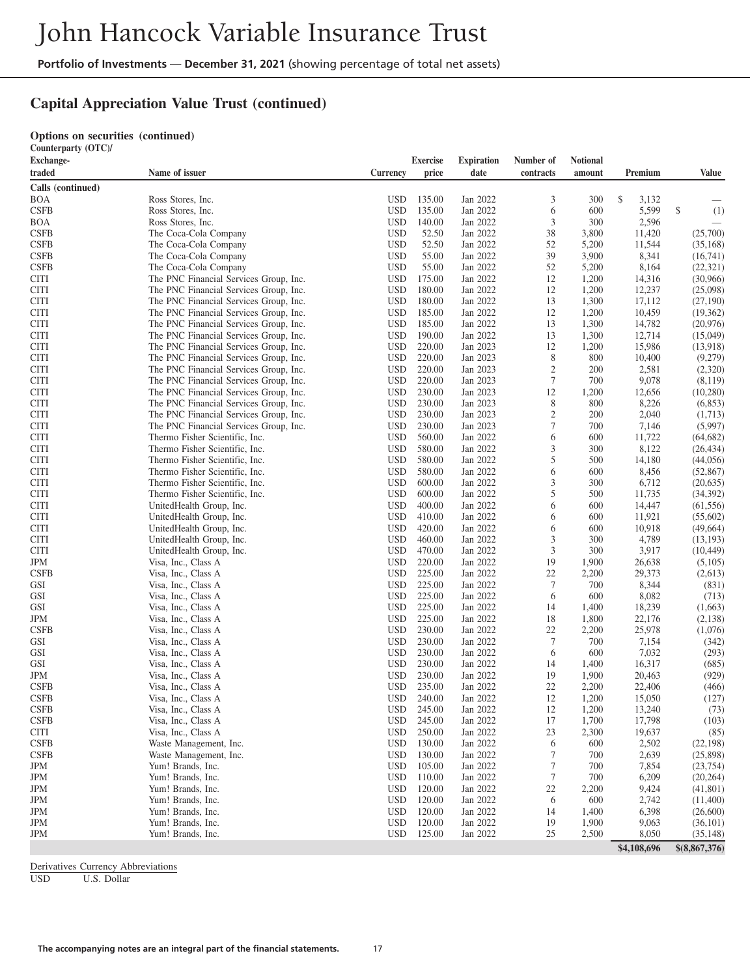# **Capital Appreciation Value Trust (continued)**

#### **Options on securities (continued) Counterparty (OTC)/**

| Counterparty $(01C)$ |                                        |            |                 |                   |                  |                 |             |                |
|----------------------|----------------------------------------|------------|-----------------|-------------------|------------------|-----------------|-------------|----------------|
| Exchange-            |                                        |            | <b>Exercise</b> | <b>Expiration</b> | Number of        | <b>Notional</b> |             |                |
| traded               | Name of issuer                         | Currency   | price           | date              | contracts        | amount          | Premium     | <b>Value</b>   |
| Calls (continued)    |                                        |            |                 |                   |                  |                 |             |                |
| BOA                  | Ross Stores, Inc.                      | <b>USD</b> | 135.00          | Jan 2022          | 3                | 300             | \$<br>3,132 |                |
| <b>CSFB</b>          | Ross Stores, Inc.                      | <b>USD</b> | 135.00          | Jan 2022          | 6                | 600             | 5,599       | \$<br>(1)      |
| <b>BOA</b>           | Ross Stores, Inc.                      | <b>USD</b> | 140.00          | Jan 2022          | 3                | 300             | 2,596       |                |
| <b>CSFB</b>          | The Coca-Cola Company                  | <b>USD</b> | 52.50           | Jan 2022          | 38               | 3,800           | 11,420      | (25,700)       |
| <b>CSFB</b>          |                                        |            |                 |                   | 52               |                 |             |                |
|                      | The Coca-Cola Company                  | <b>USD</b> | 52.50           | Jan 2022          |                  | 5,200           | 11,544      | (35, 168)      |
| <b>CSFB</b>          | The Coca-Cola Company                  | <b>USD</b> | 55.00           | Jan 2022          | 39               | 3,900           | 8,341       | (16,741)       |
| <b>CSFB</b>          | The Coca-Cola Company                  | <b>USD</b> | 55.00           | Jan 2022          | 52               | 5,200           | 8,164       | (22, 321)      |
| <b>CITI</b>          | The PNC Financial Services Group, Inc. | <b>USD</b> | 175.00          | Jan 2022          | 12               | 1,200           | 14,316      | (30,966)       |
| <b>CITI</b>          | The PNC Financial Services Group, Inc. | <b>USD</b> | 180.00          | Jan 2022          | 12               | 1,200           | 12,237      | (25,098)       |
| <b>CITI</b>          | The PNC Financial Services Group, Inc. | <b>USD</b> | 180.00          | Jan 2022          | 13               | 1,300           | 17,112      | (27,190)       |
| <b>CITI</b>          | The PNC Financial Services Group, Inc. | <b>USD</b> | 185.00          | Jan 2022          | 12               | 1,200           | 10,459      | (19,362)       |
| <b>CITI</b>          | The PNC Financial Services Group, Inc. | <b>USD</b> | 185.00          | Jan 2022          | 13               | 1,300           | 14,782      | (20,976)       |
| <b>CITI</b>          | The PNC Financial Services Group, Inc. | <b>USD</b> | 190.00          | Jan 2022          | 13               | 1,300           | 12,714      | (15,049)       |
| <b>CITI</b>          | The PNC Financial Services Group, Inc. | <b>USD</b> | 220.00          | Jan 2023          | 12               | 1,200           | 15,986      | (13,918)       |
| <b>CITI</b>          | The PNC Financial Services Group, Inc. | <b>USD</b> | 220.00          | Jan 2023          | 8                | 800             | 10,400      | (9,279)        |
| <b>CITI</b>          | The PNC Financial Services Group, Inc. | <b>USD</b> | 220.00          | Jan 2023          | $\mathfrak{2}$   | 200             | 2,581       | (2,320)        |
| <b>CITI</b>          | The PNC Financial Services Group, Inc. | <b>USD</b> | 220.00          | Jan 2023          | $\tau$           | 700             | 9,078       | (8,119)        |
| <b>CITI</b>          | The PNC Financial Services Group, Inc. | <b>USD</b> | 230.00          | Jan 2023          | 12               | 1,200           | 12,656      | (10, 280)      |
| <b>CITI</b>          | The PNC Financial Services Group, Inc. | <b>USD</b> | 230.00          | Jan 2023          | 8                | 800             | 8,226       | (6, 853)       |
| <b>CITI</b>          | The PNC Financial Services Group, Inc. | <b>USD</b> | 230.00          | Jan 2023          | $\mathfrak{2}$   | 200             | 2,040       | (1,713)        |
|                      | The PNC Financial Services Group, Inc. | <b>USD</b> |                 | Jan 2023          | 7                | 700             |             |                |
| <b>CITI</b>          |                                        |            | 230.00          |                   |                  |                 | 7,146       | (5,997)        |
| <b>CITI</b>          | Thermo Fisher Scientific, Inc.         | <b>USD</b> | 560.00          | Jan 2022          | 6                | 600             | 11,722      | (64, 682)      |
| <b>CITI</b>          | Thermo Fisher Scientific, Inc.         | <b>USD</b> | 580.00          | Jan 2022          | 3                | 300             | 8,122       | (26, 434)      |
| <b>CITI</b>          | Thermo Fisher Scientific, Inc.         | <b>USD</b> | 580.00          | Jan 2022          | 5                | 500             | 14,180      | (44, 056)      |
| <b>CITI</b>          | Thermo Fisher Scientific, Inc.         | <b>USD</b> | 580.00          | Jan 2022          | 6                | 600             | 8,456       | (52, 867)      |
| <b>CITI</b>          | Thermo Fisher Scientific, Inc.         | <b>USD</b> | 600.00          | Jan 2022          | 3                | 300             | 6,712       | (20, 635)      |
| <b>CITI</b>          | Thermo Fisher Scientific, Inc.         | <b>USD</b> | 600.00          | Jan 2022          | 5                | 500             | 11,735      | (34, 392)      |
| <b>CITI</b>          | UnitedHealth Group, Inc.               | <b>USD</b> | 400.00          | Jan 2022          | 6                | 600             | 14,447      | (61, 556)      |
| <b>CITI</b>          | UnitedHealth Group, Inc.               | <b>USD</b> | 410.00          | Jan 2022          | 6                | 600             | 11,921      | (55,602)       |
| <b>CITI</b>          | UnitedHealth Group, Inc.               | <b>USD</b> | 420.00          | Jan 2022          | 6                | 600             | 10,918      | (49,664)       |
| <b>CITI</b>          | UnitedHealth Group, Inc.               | <b>USD</b> | 460.00          | Jan 2022          | 3                | 300             | 4,789       | (13, 193)      |
| <b>CITI</b>          | UnitedHealth Group, Inc.               | <b>USD</b> | 470.00          | Jan 2022          | 3                | 300             | 3,917       | (10, 449)      |
| JPM                  | Visa, Inc., Class A                    | <b>USD</b> | 220.00          | Jan 2022          | 19               | 1,900           | 26,638      | (5,105)        |
| <b>CSFB</b>          | Visa, Inc., Class A                    | <b>USD</b> | 225.00          | Jan 2022          | 22               | 2,200           | 29,373      | (2,613)        |
| GSI                  | Visa, Inc., Class A                    | <b>USD</b> | 225.00          | Jan 2022          | 7                | 700             | 8,344       | (831)          |
| GSI                  | Visa, Inc., Class A                    | <b>USD</b> | 225.00          | Jan 2022          | 6                | 600             | 8,082       | (713)          |
| GSI                  | Visa, Inc., Class A                    | <b>USD</b> | 225.00          | Jan 2022          | 14               | 1,400           | 18,239      | (1,663)        |
| <b>JPM</b>           |                                        | <b>USD</b> | 225.00          | Jan 2022          | 18               | 1,800           | 22,176      | (2,138)        |
|                      | Visa, Inc., Class A                    |            |                 |                   |                  |                 |             |                |
| <b>CSFB</b>          | Visa, Inc., Class A                    | <b>USD</b> | 230.00          | Jan 2022          | 22               | 2,200           | 25,978      | (1,076)        |
| <b>GSI</b>           | Visa, Inc., Class A                    | <b>USD</b> | 230.00          | Jan 2022          | 7                | 700             | 7,154       | (342)          |
| GSI                  | Visa, Inc., Class A                    | <b>USD</b> | 230.00          | Jan 2022          | 6                | 600             | 7,032       | (293)          |
| GSI                  | Visa, Inc., Class A                    | <b>USD</b> | 230.00          | Jan 2022          | 14               | 1,400           | 16,317      | (685)          |
| JPM                  | Visa, Inc., Class A                    | <b>USD</b> | 230.00          | Jan 2022          | 19               | 1,900           | 20,463      | (929)          |
| <b>CSFB</b>          | Visa, Inc., Class A                    | <b>USD</b> | 235.00          | Jan 2022          | 22               | 2,200           | 22,406      | (466)          |
| <b>CSFB</b>          | Visa, Inc., Class A                    | <b>USD</b> | 240.00          | Jan 2022          | 12               | 1,200           | 15,050      | (127)          |
| <b>CSFB</b>          | Visa, Inc., Class A                    | <b>USD</b> | 245.00          | Jan 2022          | 12               | 1,200           | 13,240      | (73)           |
| <b>CSFB</b>          | Visa, Inc., Class A                    | <b>USD</b> | 245.00          | Jan 2022          | 17               | 1,700           | 17,798      | (103)          |
| <b>CITI</b>          | Visa, Inc., Class A                    | <b>USD</b> | 250.00          | Jan 2022          | 23               | 2,300           | 19,637      | (85)           |
| <b>CSFB</b>          | Waste Management, Inc.                 | <b>USD</b> | 130.00          | Jan 2022          | 6                | 600             | 2,502       | (22, 198)      |
| <b>CSFB</b>          | Waste Management, Inc.                 | <b>USD</b> | 130.00          | Jan 2022          | 7                | 700             | 2,639       | (25,898)       |
| JPM                  | Yum! Brands, Inc.                      | <b>USD</b> | 105.00          | Jan 2022          | $\tau$           | 700             | 7,854       | (23, 754)      |
| JPM                  | Yum! Brands, Inc.                      | <b>USD</b> | 110.00          | Jan 2022          | $\boldsymbol{7}$ | 700             | 6,209       | (20, 264)      |
| JPM                  | Yum! Brands, Inc.                      | <b>USD</b> | 120.00          | Jan 2022          | 22               | 2,200           | 9,424       | (41,801)       |
| JPM                  | Yum! Brands, Inc.                      | <b>USD</b> | 120.00          | Jan 2022          | 6                | 600             | 2,742       | (11,400)       |
| JPM                  | Yum! Brands, Inc.                      | <b>USD</b> | 120.00          | Jan 2022          | 14               |                 | 6,398       | (26,600)       |
|                      |                                        |            |                 |                   |                  | 1,400           |             |                |
| JPM                  | Yum! Brands, Inc.                      | <b>USD</b> | 120.00          | Jan 2022          | 19               | 1,900           | 9,063       | (36, 101)      |
| JPM                  | Yum! Brands, Inc.                      | <b>USD</b> | 125.00          | Jan 2022          | 25               | 2,500           | 8,050       | (35, 148)      |
|                      |                                        |            |                 |                   |                  |                 | \$4,108,696 | \$ (8,867,376) |

Derivatives Currency Abbreviations<br>USD U.S. Dollar

U.S. Dollar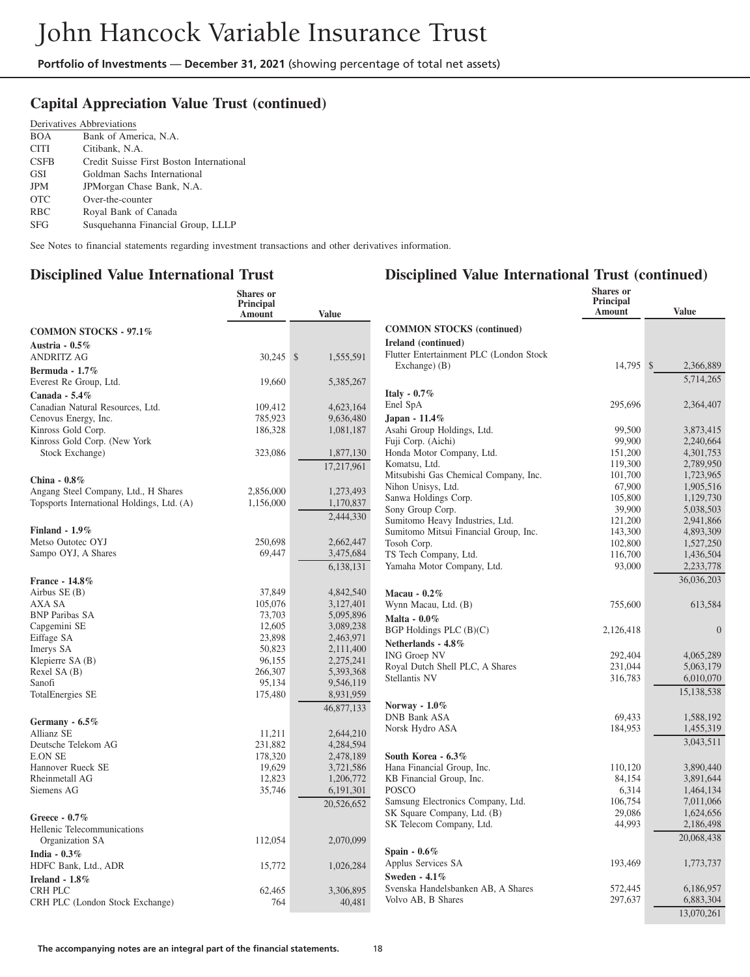# **Capital Appreciation Value Trust (continued)**

|             | Derivatives Abbreviations                |
|-------------|------------------------------------------|
| <b>BOA</b>  | Bank of America, N.A.                    |
| <b>CITI</b> | Citibank, N.A.                           |
| <b>CSFB</b> | Credit Suisse First Boston International |
| GSI         | Goldman Sachs International              |
| <b>JPM</b>  | JPMorgan Chase Bank, N.A.                |
| <b>OTC</b>  | Over-the-counter                         |
| <b>RBC</b>  | Royal Bank of Canada                     |
| <b>SFG</b>  | Susquehanna Financial Group, LLLP        |

See Notes to financial statements regarding investment transactions and other derivatives information.

#### **Disciplined Value International Trust**

#### **Disciplined Value International Trust (continued)**

|                                                    | <b>Shares</b> or<br>Principal<br><b>Amount</b> | <b>Value</b>           |                                                        | Shares or<br><b>Principal</b><br>Amount | <b>Value</b>           |
|----------------------------------------------------|------------------------------------------------|------------------------|--------------------------------------------------------|-----------------------------------------|------------------------|
| <b>COMMON STOCKS - 97.1%</b>                       |                                                |                        | <b>COMMON STOCKS (continued)</b>                       |                                         |                        |
| Austria - $0.5\%$                                  |                                                |                        | Ireland (continued)                                    |                                         |                        |
| <b>ANDRITZ AG</b>                                  | 30,245 \$                                      | 1,555,591              | Flutter Entertainment PLC (London Stock                |                                         |                        |
| Bermuda - 1.7%                                     |                                                |                        | Exchange) (B)                                          | 14,795 \$                               | 2,366,889              |
| Everest Re Group, Ltd.                             | 19,660                                         | 5,385,267              |                                                        |                                         | 5,714,265              |
|                                                    |                                                |                        | Italy - $0.7\%$                                        |                                         |                        |
| Canada - 5.4%                                      |                                                |                        | Enel SpA                                               | 295,696                                 | 2,364,407              |
| Canadian Natural Resources, Ltd.                   | 109,412<br>785,923                             | 4,623,164              |                                                        |                                         |                        |
| Cenovus Energy, Inc.                               |                                                | 9,636,480              | Japan - 11.4%                                          | 99,500                                  |                        |
| Kinross Gold Corp.<br>Kinross Gold Corp. (New York | 186,328                                        | 1,081,187              | Asahi Group Holdings, Ltd.<br>Fuji Corp. (Aichi)       | 99,900                                  | 3,873,415<br>2.240.664 |
| Stock Exchange)                                    | 323,086                                        | 1,877,130              | Honda Motor Company, Ltd.                              | 151,200                                 | 4,301,753              |
|                                                    |                                                |                        | Komatsu, Ltd.                                          | 119,300                                 | 2,789,950              |
|                                                    |                                                | 17,217,961             | Mitsubishi Gas Chemical Company, Inc.                  | 101,700                                 | 1,723,965              |
| China - 0.8%                                       |                                                |                        | Nihon Unisys, Ltd.                                     | 67,900                                  | 1,905,516              |
| Angang Steel Company, Ltd., H Shares               | 2,856,000                                      | 1,273,493              | Sanwa Holdings Corp.                                   | 105,800                                 | 1,129,730              |
| Topsports International Holdings, Ltd. (A)         | 1,156,000                                      | 1,170,837              | Sony Group Corp.                                       | 39,900                                  | 5,038,503              |
|                                                    |                                                | 2,444,330              | Sumitomo Heavy Industries, Ltd.                        | 121,200                                 | 2,941,866              |
| Finland - $1.9\%$                                  |                                                |                        | Sumitomo Mitsui Financial Group, Inc.                  | 143,300                                 | 4,893,309              |
| Metso Outotec OYJ                                  | 250,698                                        | 2,662,447              | Tosoh Corp.                                            | 102,800                                 | 1,527,250              |
| Sampo OYJ, A Shares                                | 69,447                                         | 3,475,684              | TS Tech Company, Ltd.                                  | 116,700                                 | 1,436,504              |
|                                                    |                                                | 6,138,131              | Yamaha Motor Company, Ltd.                             | 93,000                                  | 2,233,778              |
|                                                    |                                                |                        |                                                        |                                         | 36,036,203             |
| France - 14.8%<br>Airbus $SE(B)$                   | 37,849                                         | 4,842,540              |                                                        |                                         |                        |
| AXA SA                                             | 105,076                                        | 3,127,401              | Macau - $0.2\%$                                        |                                         |                        |
| <b>BNP Paribas SA</b>                              | 73,703                                         | 5,095,896              | Wynn Macau, Ltd. (B)                                   | 755,600                                 | 613,584                |
| Capgemini SE                                       | 12,605                                         | 3,089,238              | Malta - 0.0%                                           |                                         |                        |
| Eiffage SA                                         | 23.898                                         | 2,463,971              | BGP Holdings PLC $(B)(C)$                              | 2,126,418                               | $\overline{0}$         |
| Imerys SA                                          | 50,823                                         | 2,111,400              | Netherlands - 4.8%                                     |                                         |                        |
| Klepierre SA (B)                                   | 96,155                                         | 2,275,241              | <b>ING Groep NV</b>                                    | 292,404                                 | 4,065,289              |
| Rexel SA (B)                                       | 266,307                                        | 5,393,368              | Royal Dutch Shell PLC, A Shares                        | 231,044                                 | 5,063,179              |
| Sanofi                                             | 95,134                                         | 9,546,119              | Stellantis NV                                          | 316,783                                 | 6,010,070              |
| <b>TotalEnergies SE</b>                            | 175,480                                        | 8,931,959              |                                                        |                                         | 15,138,538             |
|                                                    |                                                | 46,877,133             | Norway - $1.0\%$                                       |                                         |                        |
|                                                    |                                                |                        | <b>DNB Bank ASA</b>                                    | 69,433                                  | 1,588,192              |
| Germany - 6.5%                                     |                                                |                        | Norsk Hydro ASA                                        | 184,953                                 | 1,455,319              |
| Allianz SE                                         | 11,211                                         | 2,644,210              |                                                        |                                         | 3,043,511              |
| Deutsche Telekom AG<br><b>E.ON SE</b>              | 231,882<br>178,320                             | 4,284,594<br>2,478,189 | South Korea - 6.3%                                     |                                         |                        |
| Hannover Rueck SE                                  | 19,629                                         |                        |                                                        | 110,120                                 | 3,890,440              |
| Rheinmetall AG                                     | 12,823                                         | 3,721,586<br>1,206,772 | Hana Financial Group, Inc.<br>KB Financial Group, Inc. | 84,154                                  | 3,891,644              |
| Siemens AG                                         | 35,746                                         | 6,191,301              | <b>POSCO</b>                                           | 6,314                                   | 1,464,134              |
|                                                    |                                                |                        | Samsung Electronics Company, Ltd.                      | 106,754                                 | 7,011,066              |
|                                                    |                                                | 20,526,652             | SK Square Company, Ltd. (B)                            | 29,086                                  | 1,624,656              |
| Greece - $0.7\%$                                   |                                                |                        | SK Telecom Company, Ltd.                               | 44,993                                  | 2,186,498              |
| Hellenic Telecommunications                        |                                                |                        |                                                        |                                         |                        |
| Organization SA                                    | 112,054                                        | 2,070,099              |                                                        |                                         | 20,068,438             |
| India - $0.3\%$                                    |                                                |                        | Spain $-0.6\%$                                         |                                         |                        |
| HDFC Bank, Ltd., ADR                               | 15,772                                         | 1,026,284              | Applus Services SA                                     | 193,469                                 | 1,773,737              |
| Ireland - 1.8%                                     |                                                |                        | Sweden - 4.1%                                          |                                         |                        |
| <b>CRH PLC</b>                                     | 62,465                                         | 3,306,895              | Svenska Handelsbanken AB, A Shares                     | 572,445                                 | 6,186,957              |
| CRH PLC (London Stock Exchange)                    | 764                                            | 40,481                 | Volvo AB, B Shares                                     | 297,637                                 | 6,883,304              |
|                                                    |                                                |                        |                                                        |                                         | 13,070,261             |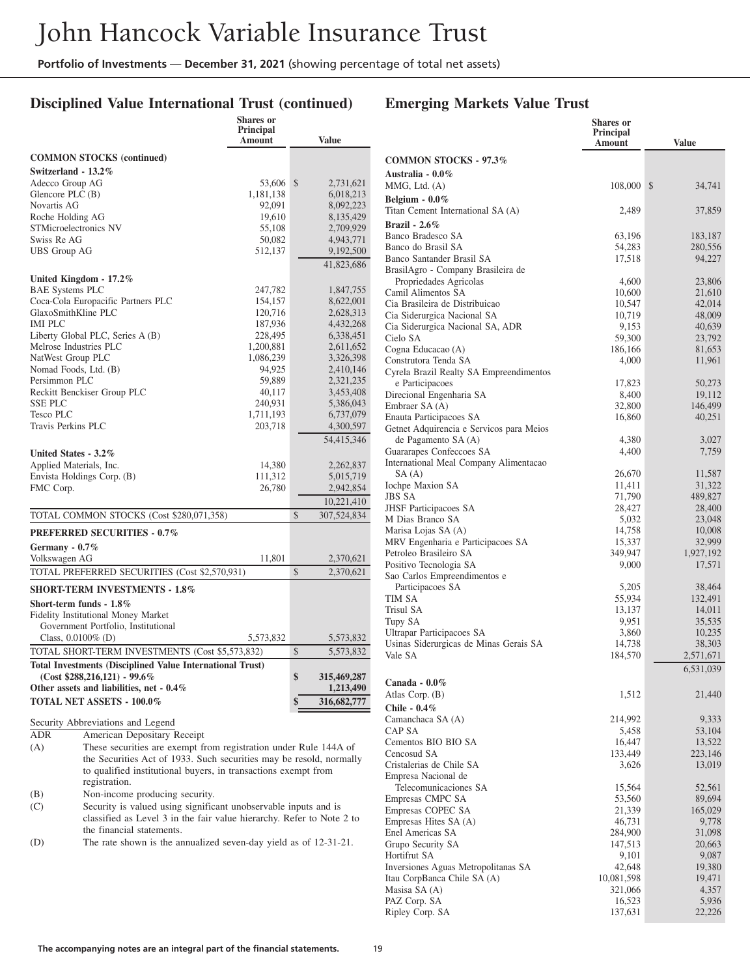# **Disciplined Value International Trust (continued)**

# **Emerging Markets Value Trust**

|                                                                                                                                                | <b>Shares</b> or<br><b>Principal</b><br><b>Amount</b> |               | <b>Value</b> |
|------------------------------------------------------------------------------------------------------------------------------------------------|-------------------------------------------------------|---------------|--------------|
| <b>COMMON STOCKS</b> (continued)                                                                                                               |                                                       |               |              |
| Switzerland - 13.2%                                                                                                                            |                                                       |               |              |
| Adecco Group AG                                                                                                                                | 53,606                                                | \$            | 2,731,621    |
| Glencore PLC (B)                                                                                                                               | 1,181,138                                             |               | 6,018,213    |
| Novartis AG                                                                                                                                    | 92,091                                                |               | 8,092,223    |
| Roche Holding AG                                                                                                                               | 19,610                                                |               | 8,135,429    |
| STMicroelectronics NV                                                                                                                          | 55,108                                                |               | 2,709,929    |
| Swiss Re AG                                                                                                                                    | 50,082                                                |               | 4,943,771    |
| <b>UBS</b> Group AG                                                                                                                            | 512,137                                               |               | 9,192,500    |
|                                                                                                                                                |                                                       |               | 41,823,686   |
| United Kingdom - 17.2%                                                                                                                         |                                                       |               |              |
| <b>BAE Systems PLC</b>                                                                                                                         | 247,782                                               |               | 1,847,755    |
| Coca-Cola Europacific Partners PLC                                                                                                             | 154,157                                               |               | 8,622,001    |
| GlaxoSmithKline PLC                                                                                                                            | 120,716                                               |               | 2,628,313    |
| <b>IMI PLC</b>                                                                                                                                 | 187,936                                               |               | 4,432,268    |
| Liberty Global PLC, Series A (B)                                                                                                               | 228,495                                               |               | 6,338,451    |
| Melrose Industries PLC                                                                                                                         | 1,200,881                                             |               | 2,611,652    |
| NatWest Group PLC                                                                                                                              | 1,086,239                                             |               | 3,326,398    |
| Nomad Foods, Ltd. (B)                                                                                                                          | 94,925                                                |               | 2,410,146    |
| Persimmon PLC                                                                                                                                  | 59,889                                                |               | 2,321,235    |
| Reckitt Benckiser Group PLC                                                                                                                    | 40,117                                                |               | 3,453,408    |
| <b>SSE PLC</b>                                                                                                                                 | 240,931                                               |               | 5,386,043    |
| Tesco PLC                                                                                                                                      | 1,711,193                                             |               | 6,737,079    |
| Travis Perkins PLC                                                                                                                             | 203,718                                               |               | 4,300,597    |
|                                                                                                                                                |                                                       |               | 54,415,346   |
| United States - 3.2%                                                                                                                           |                                                       |               |              |
| Applied Materials, Inc.                                                                                                                        | 14,380                                                |               | 2,262,837    |
| Envista Holdings Corp. (B)                                                                                                                     | 111,312                                               |               | 5,015,719    |
| FMC Corp.                                                                                                                                      | 26,780                                                |               | 2,942,854    |
|                                                                                                                                                |                                                       |               | 10,221,410   |
| TOTAL COMMON STOCKS (Cost \$280,071,358)                                                                                                       |                                                       | $\mathcal{S}$ | 307,524,834  |
| <b>PREFERRED SECURITIES - 0.7%</b>                                                                                                             |                                                       |               |              |
| Germany - 0.7%                                                                                                                                 |                                                       |               |              |
| Volkswagen AG                                                                                                                                  | 11,801                                                |               | 2,370,621    |
| TOTAL PREFERRED SECURITIES (Cost \$2,570,931)                                                                                                  |                                                       | \$            | 2,370,621    |
| <b>SHORT-TERM INVESTMENTS - 1.8%</b>                                                                                                           |                                                       |               |              |
| Short-term funds - 1.8%                                                                                                                        |                                                       |               |              |
| Fidelity Institutional Money Market                                                                                                            |                                                       |               |              |
| Government Portfolio, Institutional                                                                                                            |                                                       |               |              |
| Class, $0.0100\%$ (D)                                                                                                                          | 5,573,832                                             |               | 5,573,832    |
| TOTAL SHORT-TERM INVESTMENTS (Cost \$5,573,832)                                                                                                |                                                       | \$            | 5,573,832    |
| <b>Total Investments (Disciplined Value International Trust)</b>                                                                               |                                                       |               |              |
| $(Cost $288,216,121) - 99.6\%$                                                                                                                 |                                                       | \$            | 315,469,287  |
| Other assets and liabilities, net - 0.4%                                                                                                       |                                                       |               | 1,213,490    |
| <b>TOTAL NET ASSETS - 100.0%</b>                                                                                                               |                                                       | \$            | 316,682,777  |
|                                                                                                                                                |                                                       |               |              |
| Security Abbreviations and Legend<br>ADR                                                                                                       |                                                       |               |              |
| American Depositary Receipt                                                                                                                    |                                                       |               |              |
| These securities are exempt from registration under Rule 144A of<br>(A)<br>the Securities Act of 1933. Such securities may be resold, normally |                                                       |               |              |
| to qualified institutional buyers, in transactions exempt from                                                                                 |                                                       |               |              |

nal buyers, in transactions exempt from registration. (B) Non-income producing security.

(C) Security is valued using significant unobservable inputs and is classified as Level 3 in the fair value hierarchy. Refer to Note 2 to the financial statements.

(D) The rate shown is the annualized seven-day yield as of 12-31-21.

|                                                                 | <b>Shares</b> or<br><b>Principal</b><br>Amount | <b>Value</b>     |
|-----------------------------------------------------------------|------------------------------------------------|------------------|
| <b>COMMON STOCKS - 97.3%</b>                                    |                                                |                  |
| Australia - 0.0%                                                |                                                |                  |
| MMG, Ltd. (A)                                                   | 108,000                                        | \$<br>34,741     |
| Belgium - $0.0\%$<br>Titan Cement International SA (A)          | 2,489                                          | 37,859           |
| Brazil - $2.6\%$                                                |                                                |                  |
| Banco Bradesco SA                                               | 63,196                                         | 183,187          |
| Banco do Brasil SA                                              | 54,283                                         | 280,556          |
| Banco Santander Brasil SA                                       | 17,518                                         | 94,227           |
| BrasilAgro - Company Brasileira de                              |                                                |                  |
| Propriedades Agricolas<br>Camil Alimentos SA                    | 4,600<br>10,600                                | 23,806<br>21,610 |
| Cia Brasileira de Distribuicao                                  | 10,547                                         | 42,014           |
| Cia Siderurgica Nacional SA                                     | 10,719                                         | 48,009           |
| Cia Siderurgica Nacional SA, ADR                                | 9,153                                          | 40,639           |
| Cielo SA                                                        | 59,300                                         | 23,792           |
| Cogna Educacao (A)<br>Construtora Tenda SA                      | 186,166                                        | 81,653           |
| Cyrela Brazil Realty SA Empreendimentos                         | 4,000                                          | 11,961           |
| e Participacoes                                                 | 17,823                                         | 50,273           |
| Direcional Engenharia SA                                        | 8,400                                          | 19,112           |
| Embraer SA (A)                                                  | 32,800                                         | 146,499          |
| Enauta Participacoes SA                                         | 16,860                                         | 40,251           |
| Getnet Adquirencia e Servicos para Meios<br>de Pagamento SA (A) | 4,380                                          | 3,027            |
| Guararapes Confeccoes SA                                        | 4,400                                          | 7,759            |
| International Meal Company Alimentacao                          |                                                |                  |
| SA (A)                                                          | 26,670                                         | 11,587           |
| <b>Iochpe Maxion SA</b>                                         | 11,411                                         | 31,322           |
| JBS SA                                                          | 71,790                                         | 489,827          |
| <b>JHSF</b> Participacoes SA<br>M Dias Branco SA                | 28,427<br>5,032                                | 28,400<br>23,048 |
| Marisa Lojas SA (A)                                             | 14,758                                         | 10,008           |
| MRV Engenharia e Participacoes SA                               | 15,337                                         | 32,999           |
| Petroleo Brasileiro SA                                          | 349,947                                        | 1,927,192        |
| Positivo Tecnologia SA                                          | 9,000                                          | 17,571           |
| Sao Carlos Empreendimentos e<br>Participacoes SA                | 5,205                                          | 38,464           |
| TIM SA                                                          | 55,934                                         | 132,491          |
| Trisul SA                                                       | 13,137                                         | 14,011           |
| Tupy SA                                                         | 9,951                                          | 35,535           |
| Ultrapar Participacoes SA                                       | 3,860                                          | 10,235           |
| Usinas Siderurgicas de Minas Gerais SA                          | 14,738                                         | 38,303           |
| Vale SA                                                         | 184,570                                        | 2,571,671        |
|                                                                 |                                                | 6,531,039        |
| Canada - $0.0\,\%$<br>Atlas Corp. (B)                           | 1,512                                          | 21,440           |
| Chile - $0.4\%$                                                 |                                                |                  |
| Camanchaca SA (A)                                               | 214,992                                        | 9,333            |
| CAP SA                                                          | 5,458                                          | 53,104           |
| Cementos BIO BIO SA                                             | 16,447                                         | 13,522           |
| Cencosud SA                                                     | 133,449                                        | 223,146          |
| Cristalerias de Chile SA<br>Empresa Nacional de                 | 3,626                                          | 13,019           |
| Telecomunicaciones SA                                           | 15,564                                         | 52,561           |
| Empresas CMPC SA                                                | 53,560                                         | 89,694           |
| Empresas COPEC SA                                               | 21,339                                         | 165,029          |
| Empresas Hites SA (A)                                           | 46,731                                         | 9,778            |
| Enel Americas SA                                                | 284,900                                        | 31,098           |
| Grupo Security SA                                               | 147,513                                        | 20,663           |
| Hortifrut SA<br>Inversiones Aguas Metropolitanas SA             | 9,101<br>42,648                                | 9,087<br>19,380  |
| Itau CorpBanca Chile SA (A)                                     | 10,081,598                                     | 19,471           |
| Masisa SA (A)                                                   | 321,066                                        | 4,357            |
| PAZ Corp. SA                                                    | 16,523                                         | 5,936            |
| Ripley Corp. SA                                                 | 137,631                                        | 22,226           |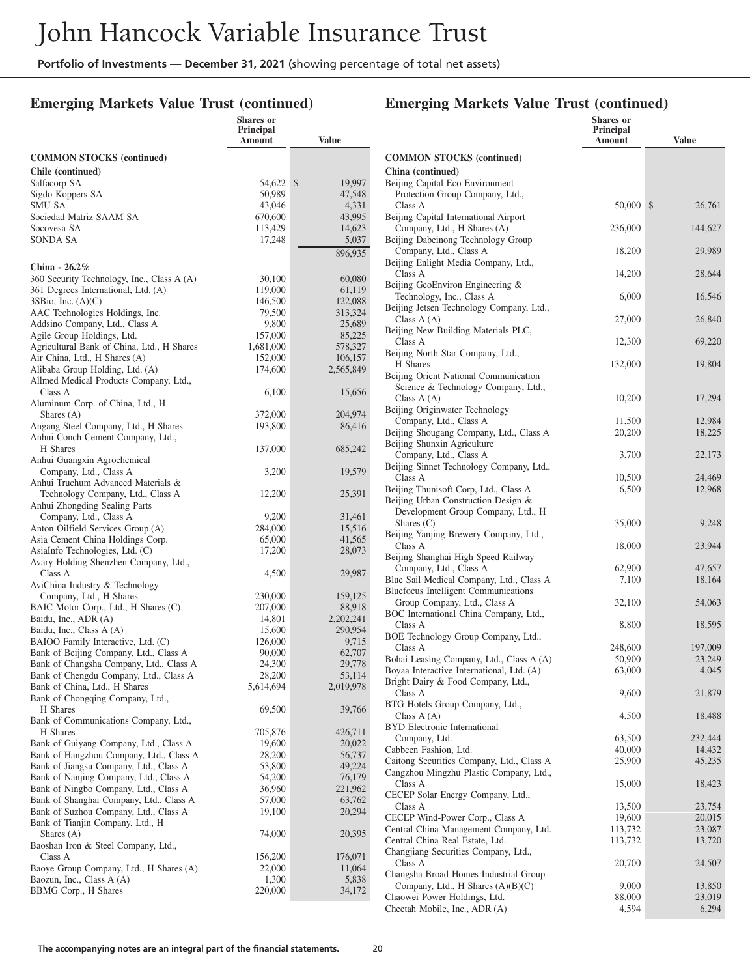## **Emerging Markets Value Trust (continued)**

|                                                                                  | <b>Shares</b> or<br>Principal<br>Amount | Value              |
|----------------------------------------------------------------------------------|-----------------------------------------|--------------------|
| <b>COMMON STOCKS</b> (continued)                                                 |                                         |                    |
| Chile (continued)                                                                |                                         |                    |
| Salfacorp SA                                                                     | 54,622                                  | \$<br>19,997       |
| Sigdo Koppers SA                                                                 | 50,989                                  | 47,548             |
| SMU SA                                                                           | 43,046                                  | 4,331              |
| Sociedad Matriz SAAM SA<br>Socovesa SA                                           | 670,600<br>113,429                      | 43,995<br>14,623   |
| SONDA SA                                                                         | 17,248                                  | 5,037              |
|                                                                                  |                                         | 896,935            |
| China - 26.2%                                                                    |                                         |                    |
| 360 Security Technology, Inc., Class A (A)                                       | 30,100                                  | 60,080             |
| 361 Degrees International, Ltd. (A)                                              | 119,000                                 | 61,119             |
| $3SB$ io, Inc. $(A)(C)$                                                          | 146,500                                 | 122,088            |
| AAC Technologies Holdings, Inc.                                                  | 79,500                                  | 313,324            |
| Addsino Company, Ltd., Class A                                                   | 9,800                                   | 25,689             |
| Agile Group Holdings, Ltd.                                                       | 157,000                                 | 85,225             |
| Agricultural Bank of China, Ltd., H Shares<br>Air China, Ltd., H Shares (A)      | 1,681,000<br>152,000                    | 578,327<br>106,157 |
| Alibaba Group Holding, Ltd. (A)                                                  | 174,600                                 | 2,565,849          |
| Allmed Medical Products Company, Ltd.,                                           |                                         |                    |
| Class A                                                                          | 6,100                                   | 15,656             |
| Aluminum Corp. of China, Ltd., H                                                 |                                         |                    |
| Shares $(A)$                                                                     | 372,000                                 | 204,974            |
| Angang Steel Company, Ltd., H Shares                                             | 193,800                                 | 86,416             |
| Anhui Conch Cement Company, Ltd.,                                                |                                         |                    |
| H Shares                                                                         | 137,000                                 | 685,242            |
| Anhui Guangxin Agrochemical<br>Company, Ltd., Class A                            | 3,200                                   | 19,579             |
| Anhui Truchum Advanced Materials &                                               |                                         |                    |
| Technology Company, Ltd., Class A                                                | 12,200                                  | 25,391             |
| Anhui Zhongding Sealing Parts                                                    |                                         |                    |
| Company, Ltd., Class A                                                           | 9,200                                   | 31,461             |
| Anton Oilfield Services Group (A)                                                | 284,000                                 | 15,516             |
| Asia Cement China Holdings Corp.                                                 | 65,000                                  | 41,565             |
| AsiaInfo Technologies, Ltd. (C)                                                  | 17,200                                  | 28,073             |
| Avary Holding Shenzhen Company, Ltd.,<br>Class A                                 |                                         |                    |
| AviChina Industry & Technology                                                   | 4,500                                   | 29,987             |
| Company, Ltd., H Shares                                                          | 230,000                                 | 159,125            |
| BAIC Motor Corp., Ltd., H Shares (C)                                             | 207,000                                 | 88,918             |
| Baidu, Inc., ADR (A)                                                             | 14,801                                  | 2,202,241          |
| Baidu, Inc., Class A (A)                                                         | 15,600                                  | 290,954            |
| BAIOO Family Interactive, Ltd. (C)                                               | 126,000                                 | 9,715              |
| Bank of Beijing Company, Ltd., Class A                                           | 90,000                                  | 62,707             |
| Bank of Changsha Company, Ltd., Class A                                          | 24,300<br>28,200                        | 29,778<br>53.114   |
| Bank of Chengdu Company, Ltd., Class A<br>Bank of China, Ltd., H Shares          | 5,614,694                               | 2,019,978          |
| Bank of Chongqing Company, Ltd.,                                                 |                                         |                    |
| H Shares                                                                         | 69,500                                  | 39,766             |
| Bank of Communications Company, Ltd.,                                            |                                         |                    |
| H Shares                                                                         | 705,876                                 | 426,711            |
| Bank of Guiyang Company, Ltd., Class A                                           | 19,600                                  | 20,022             |
| Bank of Hangzhou Company, Ltd., Class A                                          | 28,200                                  | 56,737             |
| Bank of Jiangsu Company, Ltd., Class A                                           | 53,800                                  | 49,224             |
| Bank of Nanjing Company, Ltd., Class A                                           | 54,200<br>36,960                        | 76,179             |
| Bank of Ningbo Company, Ltd., Class A<br>Bank of Shanghai Company, Ltd., Class A | 57,000                                  | 221,962<br>63,762  |
| Bank of Suzhou Company, Ltd., Class A                                            | 19,100                                  | 20,294             |
| Bank of Tianjin Company, Ltd., H                                                 |                                         |                    |
| Shares $(A)$                                                                     | 74,000                                  | 20,395             |
| Baoshan Iron & Steel Company, Ltd.,                                              |                                         |                    |
| Class A                                                                          | 156,200                                 | 176,071            |
| Baoye Group Company, Ltd., H Shares (A)                                          | 22,000                                  | 11,064             |
| Baozun, Inc., Class A (A)<br>BBMG Corp., H Shares                                | 1,300                                   | 5,838              |
|                                                                                  | 220,000                                 | 34,172             |

|                                                                                       | Shares or<br>Principal |                  |
|---------------------------------------------------------------------------------------|------------------------|------------------|
|                                                                                       | Amount                 | <b>Value</b>     |
| <b>COMMON STOCKS (continued)</b>                                                      |                        |                  |
| China (continued)                                                                     |                        |                  |
| Beijing Capital Eco-Environment                                                       |                        |                  |
| Protection Group Company, Ltd.,<br>Class A                                            | 50,000 \$              | 26,761           |
| Beijing Capital International Airport                                                 |                        |                  |
| Company, Ltd., H Shares (A)                                                           | 236,000                | 144,627          |
| Beijing Dabeinong Technology Group<br>Company, Ltd., Class A                          | 18,200                 | 29,989           |
| Beijing Enlight Media Company, Ltd.,                                                  |                        |                  |
| Class A                                                                               | 14,200                 | 28,644           |
| Beijing GeoEnviron Engineering &                                                      |                        |                  |
| Technology, Inc., Class A<br>Beijing Jetsen Technology Company, Ltd.,                 | 6,000                  | 16,546           |
| Class $A(A)$                                                                          | 27,000                 | 26,840           |
| Beijing New Building Materials PLC,                                                   |                        |                  |
| Class A                                                                               | 12,300                 | 69,220           |
| Beijing North Star Company, Ltd.,<br>H Shares                                         | 132,000                | 19,804           |
| Beijing Orient National Communication                                                 |                        |                  |
| Science & Technology Company, Ltd.,                                                   |                        |                  |
| Class $A(A)$<br>Beijing Originwater Technology                                        | 10,200                 | 17,294           |
| Company, Ltd., Class A                                                                | 11,500                 | 12,984           |
| Beijing Shougang Company, Ltd., Class A                                               | 20,200                 | 18,225           |
| Beijing Shunxin Agriculture                                                           |                        |                  |
| Company, Ltd., Class A<br>Beijing Sinnet Technology Company, Ltd.,                    | 3,700                  | 22,173           |
| Class A                                                                               | 10,500                 | 24,469           |
| Beijing Thunisoft Corp, Ltd., Class A                                                 | 6,500                  | 12,968           |
| Beijing Urban Construction Design &<br>Development Group Company, Ltd., H             |                        |                  |
| Shares $(C)$                                                                          | 35,000                 | 9,248            |
| Beijing Yanjing Brewery Company, Ltd.,                                                |                        |                  |
| Class A                                                                               | 18,000                 | 23,944           |
| Beijing-Shanghai High Speed Railway<br>Company, Ltd., Class A                         | 62,900                 | 47,657           |
| Blue Sail Medical Company, Ltd., Class A                                              | 7,100                  | 18,164           |
| <b>Bluefocus Intelligent Communications</b>                                           |                        |                  |
| Group Company, Ltd., Class A<br>BOC International China Company, Ltd.,                | 32,100                 | 54,063           |
| Class A                                                                               | 8,800                  | 18,595           |
| BOE Technology Group Company, Ltd.,                                                   |                        |                  |
| Class A                                                                               | 248,600                | 197,009          |
| Bohai Leasing Company, Ltd., Class A (A)<br>Boyaa Interactive International, Ltd. (A) | 50,900<br>63,000       | 23,249<br>4,045  |
| Bright Dairy & Food Company, Ltd.,                                                    |                        |                  |
| Class A                                                                               | 9,600                  | 21,879           |
| BTG Hotels Group Company, Ltd.,                                                       |                        |                  |
| Class $A(A)$<br><b>BYD</b> Electronic International                                   | 4,500                  | 18,488           |
| Company, Ltd.                                                                         | 63,500                 | 232,444          |
| Cabbeen Fashion, Ltd.                                                                 | 40,000                 | 14,432           |
| Caitong Securities Company, Ltd., Class A<br>Cangzhou Mingzhu Plastic Company, Ltd.,  | 25,900                 | 45,235           |
| Class A                                                                               | 15,000                 | 18,423           |
| CECEP Solar Energy Company, Ltd.,                                                     |                        |                  |
| Class A                                                                               | 13,500                 | 23,754           |
| CECEP Wind-Power Corp., Class A<br>Central China Management Company, Ltd.             | 19,600<br>113,732      | 20,015<br>23,087 |
| Central China Real Estate, Ltd.                                                       | 113,732                | 13,720           |
| Changjiang Securities Company, Ltd.,                                                  |                        |                  |
| Class A                                                                               | 20,700                 | 24,507           |
| Changsha Broad Homes Industrial Group<br>Company, Ltd., H Shares (A)(B)(C)            | 9,000                  | 13,850           |
| Chaowei Power Holdings, Ltd.                                                          | 88,000                 | 23,019           |
| Cheetah Mobile, Inc., ADR (A)                                                         | 4,594                  | 6,294            |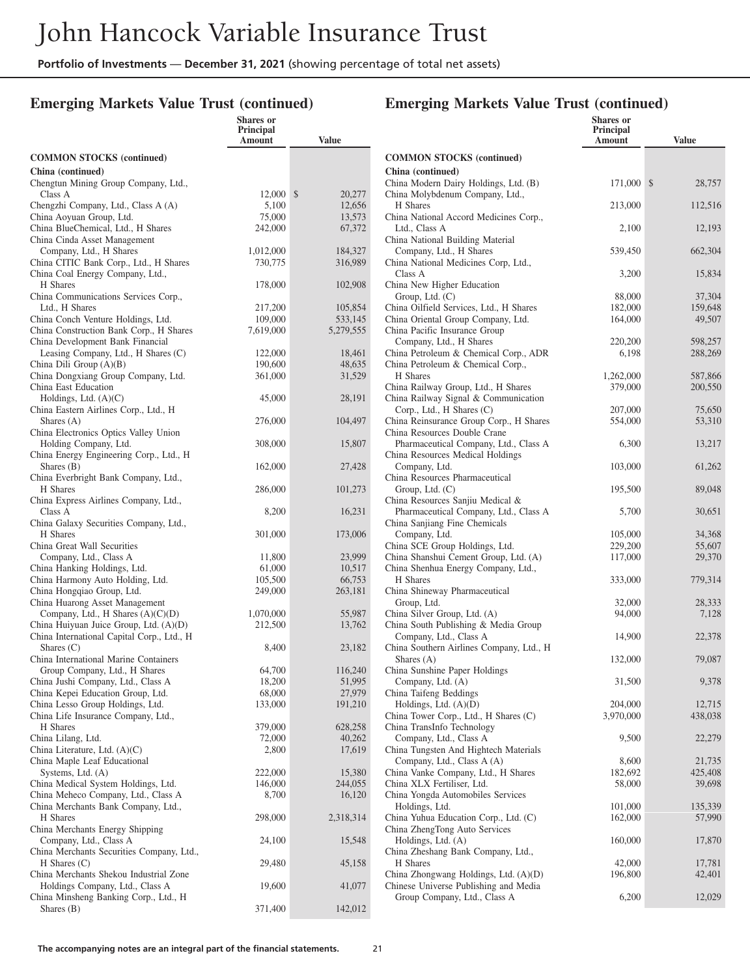**Shares or**

### **Emerging Markets Value Trust (continued)**

|                                                                               | Principal<br>Amount  | Value                |
|-------------------------------------------------------------------------------|----------------------|----------------------|
| <b>COMMON STOCKS (continued)</b>                                              |                      |                      |
| China (continued)<br>Chengtun Mining Group Company, Ltd.,                     |                      |                      |
| Class A                                                                       | 12,000               | \$<br>20,277         |
| Chengzhi Company, Ltd., Class A (A)                                           | 5,100                | 12,656               |
| China Aoyuan Group, Ltd.                                                      | 75,000               | 13,573               |
| China BlueChemical, Ltd., H Shares<br>China Cinda Asset Management            | 242,000              | 67,372               |
| Company, Ltd., H Shares                                                       | 1,012,000            | 184,327              |
| China CITIC Bank Corp., Ltd., H Shares                                        | 730,775              | 316,989              |
| China Coal Energy Company, Ltd.,                                              |                      |                      |
| H Shares                                                                      | 178,000              | 102,908              |
| China Communications Services Corp.,                                          |                      |                      |
| Ltd., H Shares                                                                | 217,200              | 105,854              |
| China Conch Venture Holdings, Ltd.<br>China Construction Bank Corp., H Shares | 109,000<br>7,619,000 | 533,145<br>5,279,555 |
| China Development Bank Financial                                              |                      |                      |
| Leasing Company, Ltd., H Shares (C)                                           | 122,000              | 18,461               |
| China Dili Group (A)(B)                                                       | 190,600              | 48,635               |
| China Dongxiang Group Company, Ltd.                                           | 361,000              | 31,529               |
| China East Education                                                          |                      |                      |
| Holdings, Ltd. $(A)(C)$                                                       | 45,000               | 28,191               |
| China Eastern Airlines Corp., Ltd., H<br>Shares $(A)$                         | 276,000              | 104,497              |
| China Electronics Optics Valley Union                                         |                      |                      |
| Holding Company, Ltd.                                                         | 308,000              | 15,807               |
| China Energy Engineering Corp., Ltd., H                                       |                      |                      |
| Shares $(B)$                                                                  | 162,000              | 27,428               |
| China Everbright Bank Company, Ltd.,                                          |                      |                      |
| H Shares                                                                      | 286,000              | 101,273              |
| China Express Airlines Company, Ltd.,                                         |                      |                      |
| Class A<br>China Galaxy Securities Company, Ltd.,                             | 8,200                | 16,231               |
| H Shares                                                                      | 301,000              | 173,006              |
| China Great Wall Securities                                                   |                      |                      |
| Company, Ltd., Class A                                                        | 11,800               | 23,999               |
| China Hanking Holdings, Ltd.                                                  | 61,000               | 10,517               |
| China Harmony Auto Holding, Ltd.                                              | 105,500              | 66,753               |
| China Hongqiao Group, Ltd.                                                    | 249,000              | 263,181              |
| China Huarong Asset Management<br>Company, Ltd., H Shares $(A)(C)(D)$         | 1,070,000            | 55,987               |
| China Huiyuan Juice Group, Ltd. (A)(D)                                        | 212,500              | 13,762               |
| China International Capital Corp., Ltd., H                                    |                      |                      |
| Shares $(C)$                                                                  | 8,400                | 23,182               |
| China International Marine Containers                                         |                      |                      |
| Group Company, Ltd., H Shares                                                 | 64,700               | 116,240              |
| China Jushi Company, Ltd., Class A                                            | 18,200               | 51,995               |
| China Kepei Education Group, Ltd.<br>China Lesso Group Holdings, Ltd.         | 68,000<br>133,000    | 27,979<br>191,210    |
| China Life Insurance Company, Ltd.,                                           |                      |                      |
| H Shares                                                                      | 379,000              | 628,258              |
| China Lilang, Ltd.                                                            | 72,000               | 40,262               |
| China Literature, Ltd. (A)(C)                                                 | 2,800                | 17,619               |
| China Maple Leaf Educational                                                  |                      |                      |
| Systems, Ltd. (A)                                                             | 222,000              | 15,380               |
| China Medical System Holdings, Ltd.<br>China Meheco Company, Ltd., Class A    | 146,000<br>8,700     | 244,055              |
| China Merchants Bank Company, Ltd.,                                           |                      | 16,120               |
| H Shares                                                                      | 298,000              | 2,318,314            |
| China Merchants Energy Shipping                                               |                      |                      |
| Company, Ltd., Class A                                                        | 24,100               | 15,548               |
| China Merchants Securities Company, Ltd.,                                     |                      |                      |
| $H$ Shares $(C)$                                                              | 29,480               | 45,158               |
| China Merchants Shekou Industrial Zone                                        |                      |                      |
| Holdings Company, Ltd., Class A<br>China Minsheng Banking Corp., Ltd., H      | 19,600               | 41,077               |
| Shares $(B)$                                                                  | 371,400              | 142,012              |
|                                                                               |                      |                      |

|                                                                          | <b>Shares</b> or<br>Principal<br>Amount | <b>Value</b>       |
|--------------------------------------------------------------------------|-----------------------------------------|--------------------|
| <b>COMMON STOCKS</b> (continued)                                         |                                         |                    |
| China (continued)                                                        |                                         |                    |
| China Modern Dairy Holdings, Ltd. (B)<br>China Molybdenum Company, Ltd., | 171,000                                 | \$<br>28,757       |
| H Shares                                                                 | 213,000                                 | 112,516            |
| China National Accord Medicines Corp.,                                   |                                         |                    |
| Ltd., Class A<br>China National Building Material                        | 2,100                                   | 12,193             |
| Company, Ltd., H Shares                                                  | 539,450                                 | 662,304            |
| China National Medicines Corp, Ltd.,                                     |                                         |                    |
| Class A<br>China New Higher Education                                    | 3,200                                   | 15,834             |
| Group, Ltd. (C)                                                          | 88,000                                  | 37,304             |
| China Oilfield Services, Ltd., H Shares                                  | 182,000                                 | 159,648            |
| China Oriental Group Company, Ltd.                                       | 164,000                                 | 49,507             |
| China Pacific Insurance Group                                            |                                         |                    |
| Company, Ltd., H Shares<br>China Petroleum & Chemical Corp., ADR         | 220,200<br>6,198                        | 598,257<br>288,269 |
| China Petroleum & Chemical Corp.,                                        |                                         |                    |
| H Shares                                                                 | 1,262,000                               | 587,866            |
| China Railway Group, Ltd., H Shares                                      | 379,000                                 | 200,550            |
| China Railway Signal & Communication<br>Corp., Ltd., H Shares (C)        | 207,000                                 | 75,650             |
| China Reinsurance Group Corp., H Shares                                  | 554,000                                 | 53,310             |
| China Resources Double Crane                                             |                                         |                    |
| Pharmaceutical Company, Ltd., Class A                                    | 6,300                                   | 13,217             |
| China Resources Medical Holdings<br>Company, Ltd.                        | 103,000                                 | 61,262             |
| China Resources Pharmaceutical                                           |                                         |                    |
| Group, Ltd. $(C)$                                                        | 195,500                                 | 89,048             |
| China Resources Sanjiu Medical &                                         |                                         |                    |
| Pharmaceutical Company, Ltd., Class A<br>China Sanjiang Fine Chemicals   | 5,700                                   | 30,651             |
| Company, Ltd.                                                            | 105,000                                 | 34,368             |
| China SCE Group Holdings, Ltd.                                           | 229,200                                 | 55,607             |
| China Shanshui Cement Group, Ltd. (A)                                    | 117,000                                 | 29,370             |
| China Shenhua Energy Company, Ltd.,<br>H Shares                          | 333,000                                 | 779,314            |
| China Shineway Pharmaceutical                                            |                                         |                    |
| Group, Ltd.                                                              | 32,000                                  | 28,333             |
| China Silver Group, Ltd. (A)                                             | 94,000                                  | 7,128              |
| China South Publishing & Media Group<br>Company, Ltd., Class A           | 14,900                                  | 22,378             |
| China Southern Airlines Company, Ltd., H                                 |                                         |                    |
| Shares $(A)$                                                             | 132,000                                 | 79,087             |
| China Sunshine Paper Holdings                                            |                                         |                    |
| Company, Ltd. (A)<br>China Taifeng Beddings                              | 31,500                                  | 9,378              |
| Holdings, Ltd. (A)(D)                                                    | 204,000                                 | 12,715             |
| China Tower Corp., Ltd., H Shares (C)                                    | 3,970,000                               | 438,038            |
| China TransInfo Technology                                               |                                         |                    |
| Company, Ltd., Class A<br>China Tungsten And Hightech Materials          | 9,500                                   | 22,279             |
| Company, Ltd., Class A (A)                                               | 8,600                                   | 21,735             |
| China Vanke Company, Ltd., H Shares                                      | 182,692                                 | 425,408            |
| China XLX Fertiliser, Ltd.                                               | 58,000                                  | 39,698             |
| China Yongda Automobiles Services                                        |                                         |                    |
| Holdings, Ltd.<br>China Yuhua Education Corp., Ltd. (C)                  | 101,000<br>162,000                      | 135,339<br>57,990  |
| China ZhengTong Auto Services                                            |                                         |                    |
| Holdings, Ltd. (A)                                                       | 160,000                                 | 17,870             |
| China Zheshang Bank Company, Ltd.,                                       |                                         |                    |
| H Shares<br>China Zhongwang Holdings, Ltd. (A)(D)                        | 42,000<br>196,800                       | 17,781<br>42,401   |
| Chinese Universe Publishing and Media                                    |                                         |                    |
| Group Company, Ltd., Class A                                             | 6,200                                   | 12,029             |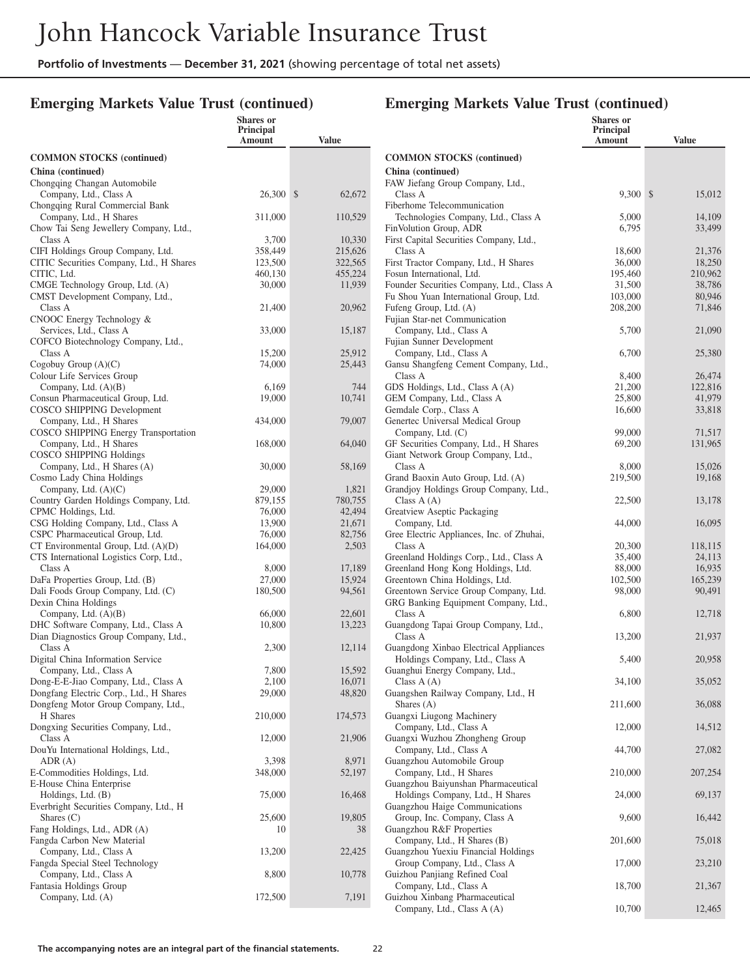**Shares or**

#### **Emerging Markets Value Trust (continued)**

|                                                                    | Principal<br>Amount | <b>Value</b>            |
|--------------------------------------------------------------------|---------------------|-------------------------|
| <b>COMMON STOCKS (continued)</b>                                   |                     |                         |
| China (continued)                                                  |                     |                         |
| Chongqing Changan Automobile<br>Company, Ltd., Class A             | 26,300              | $\mathcal{S}$<br>62,672 |
| Chongqing Rural Commercial Bank<br>Company, Ltd., H Shares         | 311,000             | 110,529                 |
| Chow Tai Seng Jewellery Company, Ltd.,<br>Class A                  | 3,700               | 10,330                  |
| CIFI Holdings Group Company, Ltd.                                  | 358,449             | 215,626                 |
| CITIC Securities Company, Ltd., H Shares                           | 123,500             | 322,565                 |
| CITIC, Ltd.                                                        | 460,130             | 455,224                 |
| CMGE Technology Group, Ltd. (A)<br>CMST Development Company, Ltd., | 30,000              | 11,939                  |
| Class A                                                            | 21,400              | 20,962                  |
| CNOOC Energy Technology &                                          |                     |                         |
| Services, Ltd., Class A                                            | 33,000              | 15,187                  |
| COFCO Biotechnology Company, Ltd.,<br>Class A                      | 15,200              | 25,912                  |
| Cogobuy Group $(A)(C)$                                             | 74,000              | 25,443                  |
| Colour Life Services Group                                         |                     |                         |
| Company, Ltd. $(A)(B)$                                             | 6,169               | 744                     |
| Consun Pharmaceutical Group, Ltd.<br>COSCO SHIPPING Development    | 19,000              | 10,741                  |
| Company, Ltd., H Shares                                            | 434,000             | 79,007                  |
| COSCO SHIPPING Energy Transportation                               |                     |                         |
| Company, Ltd., H Shares<br><b>COSCO SHIPPING Holdings</b>          | 168,000             | 64,040                  |
| Company, Ltd., H Shares (A)<br>Cosmo Lady China Holdings           | 30,000              | 58,169                  |
| Company, Ltd. $(A)(C)$                                             | 29,000              | 1,821                   |
| Country Garden Holdings Company, Ltd.                              | 879,155             | 780,755                 |
| CPMC Holdings, Ltd.<br>CSG Holding Company, Ltd., Class A          | 76,000<br>13,900    | 42,494<br>21,671        |
| CSPC Pharmaceutical Group, Ltd.                                    | 76,000              | 82,756                  |
| $CT$ Environmental Group, Ltd. $(A)(D)$                            | 164,000             | 2,503                   |
| CTS International Logistics Corp, Ltd.,                            |                     |                         |
| Class A                                                            | 8,000               | 17,189                  |
| DaFa Properties Group, Ltd. (B)                                    | 27,000              | 15,924                  |
| Dali Foods Group Company, Ltd. (C)                                 | 180,500             | 94,561                  |
| Dexin China Holdings                                               |                     |                         |
| Company, Ltd. $(A)(B)$<br>DHC Software Company, Ltd., Class A      | 66,000<br>10,800    | 22,601<br>13,223        |
| Dian Diagnostics Group Company, Ltd.,                              |                     |                         |
| Class A<br>Digital China Information Service                       | 2,300               | 12,114                  |
| Company, Ltd., Class A                                             | 7,800               | 15,592                  |
| Dong-E-E-Jiao Company, Ltd., Class A                               | 2,100               | 16,071                  |
| Dongfang Electric Corp., Ltd., H Shares                            | 29,000              | 48,820                  |
| Dongfeng Motor Group Company, Ltd.,                                |                     |                         |
| H Shares<br>Dongxing Securities Company, Ltd.,                     | 210,000             | 174,573                 |
| Class A                                                            | 12,000              | 21,906                  |
| DouYu International Holdings, Ltd.,<br>ADR(A)                      | 3,398               | 8,971                   |
| E-Commodities Holdings, Ltd.                                       | 348,000             | 52,197                  |
| E-House China Enterprise                                           |                     |                         |
| Holdings, Ltd. (B)                                                 | 75,000              | 16,468                  |
| Everbright Securities Company, Ltd., H                             |                     |                         |
| Shares $(C)$                                                       | 25,600              | 19,805                  |
| Fang Holdings, Ltd., ADR (A)<br>Fangda Carbon New Material         | 10                  | 38                      |
| Company, Ltd., Class A                                             | 13,200              | 22,425                  |
| Fangda Special Steel Technology                                    |                     |                         |
| Company, Ltd., Class A                                             | 8,800               | 10,778                  |
| Fantasia Holdings Group                                            |                     |                         |
| Company, Ltd. (A)                                                  | 172,500             | 7,191                   |
|                                                                    |                     |                         |

|                                                                             | <b>Shares or</b><br>Principal<br>Amount | <b>Value</b> |
|-----------------------------------------------------------------------------|-----------------------------------------|--------------|
| <b>COMMON STOCKS</b> (continued)                                            |                                         |              |
| China (continued)                                                           |                                         |              |
| FAW Jiefang Group Company, Ltd.,                                            |                                         |              |
| Class A                                                                     | 9,300 \$                                | 15,012       |
| Fiberhome Telecommunication                                                 |                                         |              |
| Technologies Company, Ltd., Class A                                         | 5,000                                   | 14,109       |
| FinVolution Group, ADR                                                      | 6,795                                   | 33,499       |
| First Capital Securities Company, Ltd.,<br>Class A                          | 18,600                                  | 21,376       |
| First Tractor Company, Ltd., H Shares                                       | 36,000                                  | 18,250       |
| Fosun International, Ltd.                                                   | 195,460                                 | 210,962      |
| Founder Securities Company, Ltd., Class A                                   | 31,500                                  | 38,786       |
| Fu Shou Yuan International Group, Ltd.                                      | 103,000                                 | 80,946       |
| Fufeng Group, Ltd. (A)                                                      | 208,200                                 | 71,846       |
| Fujian Star-net Communication                                               |                                         |              |
| Company, Ltd., Class A                                                      | 5,700                                   | 21,090       |
| Fujian Sunner Development<br>Company, Ltd., Class A                         | 6,700                                   | 25,380       |
| Gansu Shangfeng Cement Company, Ltd.,                                       |                                         |              |
| Class A                                                                     | 8,400                                   | 26,474       |
| GDS Holdings, Ltd., Class A (A)                                             | 21,200                                  | 122,816      |
| GEM Company, Ltd., Class A                                                  | 25,800                                  | 41,979       |
| Gemdale Corp., Class A                                                      | 16,600                                  | 33,818       |
| Genertec Universal Medical Group                                            |                                         |              |
| Company, Ltd. (C)                                                           | 99,000                                  | 71,517       |
| GF Securities Company, Ltd., H Shares<br>Giant Network Group Company, Ltd., | 69,200                                  | 131,965      |
| Class A                                                                     | 8,000                                   | 15,026       |
| Grand Baoxin Auto Group, Ltd. (A)                                           | 219,500                                 | 19,168       |
| Grandjoy Holdings Group Company, Ltd.,                                      |                                         |              |
| Class $A(A)$                                                                | 22,500                                  | 13,178       |
| Greatview Aseptic Packaging                                                 |                                         |              |
| Company, Ltd.                                                               | 44,000                                  | 16,095       |
| Gree Electric Appliances, Inc. of Zhuhai,<br>Class A                        | 20,300                                  | 118,115      |
| Greenland Holdings Corp., Ltd., Class A                                     | 35,400                                  | 24,113       |
| Greenland Hong Kong Holdings, Ltd.                                          | 88,000                                  | 16,935       |
| Greentown China Holdings, Ltd.                                              | 102,500                                 | 165,239      |
| Greentown Service Group Company, Ltd.                                       | 98,000                                  | 90,491       |
| GRG Banking Equipment Company, Ltd.,                                        |                                         |              |
| Class A                                                                     | 6,800                                   | 12,718       |
| Guangdong Tapai Group Company, Ltd.,<br>Class A                             |                                         |              |
| Guangdong Xinbao Electrical Appliances                                      | 13,200                                  | 21,937       |
| Holdings Company, Ltd., Class A                                             | 5,400                                   | 20,958       |
| Guanghui Energy Company, Ltd.,                                              |                                         |              |
| Class $A(A)$                                                                | 34,100                                  | 35,052       |
| Guangshen Railway Company, Ltd., H                                          |                                         |              |
| Shares $(A)$                                                                | 211,600                                 | 36,088       |
| Guangxi Liugong Machinery                                                   |                                         |              |
| Company, Ltd., Class A<br>Guangxi Wuzhou Zhongheng Group                    | 12,000                                  | 14,512       |
| Company, Ltd., Class A                                                      | 44,700                                  | 27,082       |
| Guangzhou Automobile Group                                                  |                                         |              |
| Company, Ltd., H Shares                                                     | 210,000                                 | 207,254      |
| Guangzhou Baiyunshan Pharmaceutical                                         |                                         |              |
| Holdings Company, Ltd., H Shares                                            | 24,000                                  | 69,137       |
| Guangzhou Haige Communications                                              |                                         |              |
| Group, Inc. Company, Class A                                                | 9,600                                   | 16,442       |
| Guangzhou R&F Properties<br>Company, Ltd., H Shares (B)                     | 201,600                                 | 75,018       |
| Guangzhou Yuexiu Financial Holdings                                         |                                         |              |
| Group Company, Ltd., Class A                                                | 17,000                                  | 23,210       |
| Guizhou Panjiang Refined Coal                                               |                                         |              |
| Company, Ltd., Class A                                                      | 18,700                                  | 21,367       |
| Guizhou Xinbang Pharmaceutical                                              |                                         |              |
| Company, Ltd., Class A (A)                                                  | 10,700                                  | 12,465       |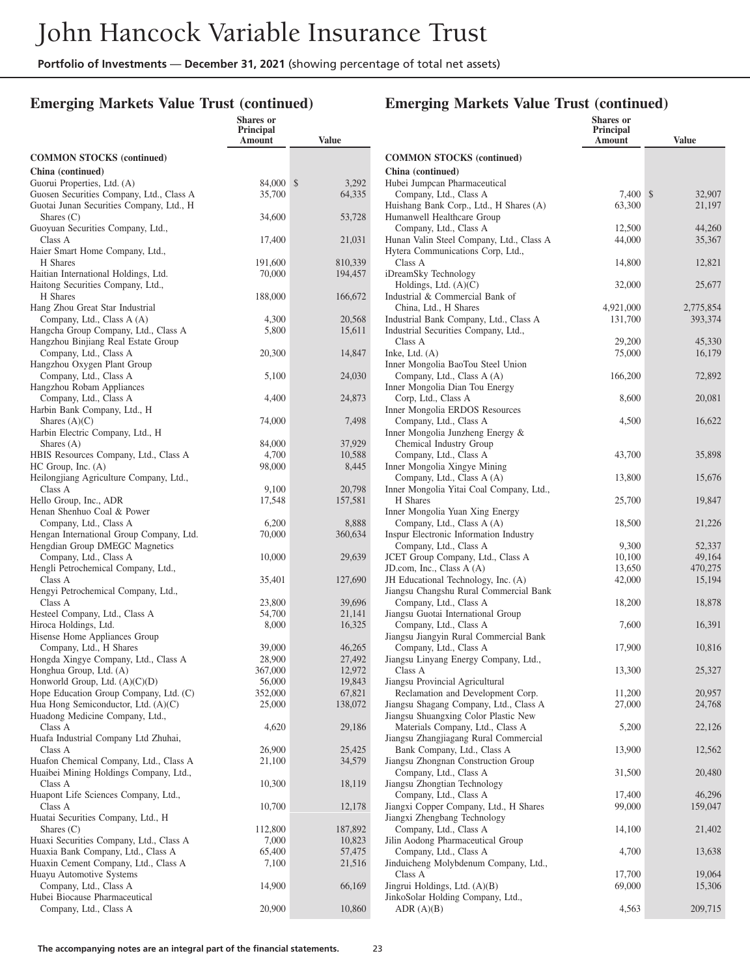#### **Emerging Markets Value Trust (continued)**

|                                                                                  | <b>Shares</b> or<br><b>Principal</b><br>Amount | <b>Value</b>     |
|----------------------------------------------------------------------------------|------------------------------------------------|------------------|
| <b>COMMON STOCKS</b> (continued)                                                 |                                                |                  |
| China (continued)                                                                |                                                |                  |
| Guorui Properties, Ltd. (A)                                                      | 84,000                                         | \$<br>3,292      |
| Guosen Securities Company, Ltd., Class A                                         | 35,700                                         | 64,335           |
| Guotai Junan Securities Company, Ltd., H                                         |                                                |                  |
| Shares $(C)$                                                                     | 34,600                                         | 53,728           |
| Guoyuan Securities Company, Ltd.,<br>Class A                                     | 17,400                                         |                  |
| Haier Smart Home Company, Ltd.,                                                  |                                                | 21,031           |
| H Shares                                                                         | 191,600                                        | 810,339          |
| Haitian International Holdings, Ltd.                                             | 70,000                                         | 194,457          |
| Haitong Securities Company, Ltd.,                                                |                                                |                  |
| H Shares                                                                         | 188,000                                        | 166,672          |
| Hang Zhou Great Star Industrial                                                  |                                                |                  |
| Company, Ltd., Class A (A)                                                       | 4,300                                          | 20,568           |
| Hangcha Group Company, Ltd., Class A                                             | 5,800                                          | 15,611           |
| Hangzhou Binjiang Real Estate Group<br>Company, Ltd., Class A                    | 20,300                                         | 14,847           |
| Hangzhou Oxygen Plant Group                                                      |                                                |                  |
| Company, Ltd., Class A                                                           | 5,100                                          | 24,030           |
| Hangzhou Robam Appliances                                                        |                                                |                  |
| Company, Ltd., Class A                                                           | 4,400                                          | 24,873           |
| Harbin Bank Company, Ltd., H                                                     |                                                |                  |
| Shares $(A)(C)$                                                                  | 74,000                                         | 7,498            |
| Harbin Electric Company, Ltd., H                                                 |                                                |                  |
| Shares $(A)$<br>HBIS Resources Company, Ltd., Class A                            | 84,000<br>4,700                                | 37,929<br>10,588 |
| $HC$ Group, Inc. $(A)$                                                           | 98,000                                         | 8,445            |
| Heilongjiang Agriculture Company, Ltd.,                                          |                                                |                  |
| Class A                                                                          | 9,100                                          | 20,798           |
| Hello Group, Inc., ADR                                                           | 17,548                                         | 157,581          |
| Henan Shenhuo Coal & Power                                                       |                                                |                  |
| Company, Ltd., Class A                                                           | 6,200                                          | 8,888            |
| Hengan International Group Company, Ltd.                                         | 70,000                                         | 360,634          |
| Hengdian Group DMEGC Magnetics<br>Company, Ltd., Class A                         | 10,000                                         | 29,639           |
| Hengli Petrochemical Company, Ltd.,                                              |                                                |                  |
| Class A                                                                          | 35,401                                         | 127,690          |
| Hengyi Petrochemical Company, Ltd.,                                              |                                                |                  |
| Class A                                                                          | 23,800                                         | 39,696           |
| Hesteel Company, Ltd., Class A                                                   | 54,700                                         | 21,141           |
| Hiroca Holdings, Ltd.                                                            | 8,000                                          | 16,325           |
| Hisense Home Appliances Group                                                    |                                                |                  |
| Company, Ltd., H Shares<br>Hongda Xingye Company, Ltd., Class A                  | 39,000<br>28,900                               | 46,265<br>27,492 |
| Honghua Group, Ltd. (A)                                                          | 367,000                                        | 12,972           |
| Honworld Group, Ltd. $(A)(C)(D)$                                                 | 56,000                                         | 19,843           |
| Hope Education Group Company, Ltd. (C)                                           | 352,000                                        | 67,821           |
| Hua Hong Semiconductor, Ltd. (A)(C)                                              | 25,000                                         | 138,072          |
| Huadong Medicine Company, Ltd.,                                                  |                                                |                  |
| Class A                                                                          | 4,620                                          | 29,186           |
| Huafa Industrial Company Ltd Zhuhai,                                             |                                                |                  |
| Class A                                                                          | 26,900                                         | 25,425           |
| Huafon Chemical Company, Ltd., Class A<br>Huaibei Mining Holdings Company, Ltd., | 21,100                                         | 34,579           |
| Class A                                                                          | 10,300                                         | 18,119           |
| Huapont Life Sciences Company, Ltd.,                                             |                                                |                  |
| Class A                                                                          | 10,700                                         | 12,178           |
| Huatai Securities Company, Ltd., H                                               |                                                |                  |
| Shares $(C)$                                                                     | 112,800                                        | 187,892          |
| Huaxi Securities Company, Ltd., Class A                                          | 7,000                                          | 10,823           |
| Huaxia Bank Company, Ltd., Class A                                               | 65,400                                         | 57,475           |
| Huaxin Cement Company, Ltd., Class A                                             | 7,100                                          | 21,516           |
| Huayu Automotive Systems<br>Company, Ltd., Class A                               | 14,900                                         | 66,169           |
| Hubei Biocause Pharmaceutical                                                    |                                                |                  |
| Company, Ltd., Class A                                                           | 20,900                                         | 10,860           |
|                                                                                  |                                                |                  |

|                                                                               | Shares or<br>Principal<br>Amount | <b>Value</b> |
|-------------------------------------------------------------------------------|----------------------------------|--------------|
| <b>COMMON STOCKS (continued)</b>                                              |                                  |              |
| China (continued)                                                             |                                  |              |
| Hubei Jumpcan Pharmaceutical                                                  |                                  |              |
| Company, Ltd., Class A                                                        | 7,400                            | 32,907<br>\$ |
| Huishang Bank Corp., Ltd., H Shares (A)                                       | 63,300                           | 21,197       |
| Humanwell Healthcare Group                                                    |                                  |              |
| Company, Ltd., Class A                                                        | 12,500                           | 44,260       |
| Hunan Valin Steel Company, Ltd., Class A                                      | 44,000                           | 35,367       |
| Hytera Communications Corp, Ltd.,<br>Class A                                  | 14,800                           | 12,821       |
| iDreamSky Technology                                                          |                                  |              |
| Holdings, Ltd. $(A)(C)$                                                       | 32,000                           | 25,677       |
| Industrial & Commercial Bank of                                               |                                  |              |
| China, Ltd., H Shares                                                         | 4,921,000                        | 2,775,854    |
| Industrial Bank Company, Ltd., Class A                                        | 131,700                          | 393,374      |
| Industrial Securities Company, Ltd.,                                          |                                  |              |
| Class A                                                                       | 29,200                           | 45,330       |
| Inke, Ltd. $(A)$                                                              | 75,000                           | 16,179       |
| Inner Mongolia BaoTou Steel Union                                             |                                  |              |
| Company, Ltd., Class A (A)                                                    | 166,200                          | 72,892       |
| Inner Mongolia Dian Tou Energy                                                |                                  |              |
| Corp, Ltd., Class A                                                           | 8,600                            | 20,081       |
| Inner Mongolia ERDOS Resources                                                |                                  |              |
| Company, Ltd., Class A<br>Inner Mongolia Junzheng Energy &                    | 4,500                            | 16,622       |
| Chemical Industry Group                                                       |                                  |              |
| Company, Ltd., Class A                                                        | 43,700                           | 35,898       |
| Inner Mongolia Xingye Mining                                                  |                                  |              |
| Company, Ltd., Class A (A)                                                    | 13,800                           | 15,676       |
| Inner Mongolia Yitai Coal Company, Ltd.,                                      |                                  |              |
| H Shares                                                                      | 25,700                           | 19,847       |
| Inner Mongolia Yuan Xing Energy                                               |                                  |              |
| Company, Ltd., Class A (A)                                                    | 18,500                           | 21,226       |
| Inspur Electronic Information Industry                                        |                                  |              |
| Company, Ltd., Class A                                                        | 9,300                            | 52,337       |
| JCET Group Company, Ltd., Class A                                             | 10,100                           | 49,164       |
| JD.com, Inc., Class $A(A)$                                                    | 13,650                           | 470,275      |
| JH Educational Technology, Inc. (A)<br>Jiangsu Changshu Rural Commercial Bank | 42,000                           | 15,194       |
| Company, Ltd., Class A                                                        | 18,200                           | 18,878       |
| Jiangsu Guotai International Group                                            |                                  |              |
| Company, Ltd., Class A                                                        | 7,600                            | 16,391       |
| Jiangsu Jiangyin Rural Commercial Bank                                        |                                  |              |
| Company, Ltd., Class A                                                        | 17,900                           | 10,816       |
| Jiangsu Linyang Energy Company, Ltd.,                                         |                                  |              |
| Class A                                                                       | 13,300                           | 25,327       |
| Jiangsu Provincial Agricultural                                               |                                  |              |
| Reclamation and Development Corp.                                             | 11,200                           | 20,957       |
| Jiangsu Shagang Company, Ltd., Class A                                        | 27,000                           | 24,768       |
| Jiangsu Shuangxing Color Plastic New                                          |                                  |              |
| Materials Company, Ltd., Class A                                              | 5,200                            | 22,126       |
| Jiangsu Zhangjiagang Rural Commercial<br>Bank Company, Ltd., Class A          | 13,900                           | 12,562       |
| Jiangsu Zhongnan Construction Group                                           |                                  |              |
| Company, Ltd., Class A                                                        | 31,500                           | 20,480       |
| Jiangsu Zhongtian Technology                                                  |                                  |              |
| Company, Ltd., Class A                                                        | 17,400                           | 46,296       |
| Jiangxi Copper Company, Ltd., H Shares                                        | 99,000                           | 159,047      |
| Jiangxi Zhengbang Technology                                                  |                                  |              |
| Company, Ltd., Class A                                                        | 14,100                           | 21,402       |
| Jilin Aodong Pharmaceutical Group                                             |                                  |              |
| Company, Ltd., Class A                                                        | 4,700                            | 13,638       |
| Jinduicheng Molybdenum Company, Ltd.,                                         |                                  |              |
| Class A                                                                       | 17,700                           | 19,064       |
| Jingrui Holdings, Ltd. (A)(B)<br>JinkoSolar Holding Company, Ltd.,            | 69,000                           | 15,306       |
| ADR(A)(B)                                                                     | 4,563                            | 209,715      |
|                                                                               |                                  |              |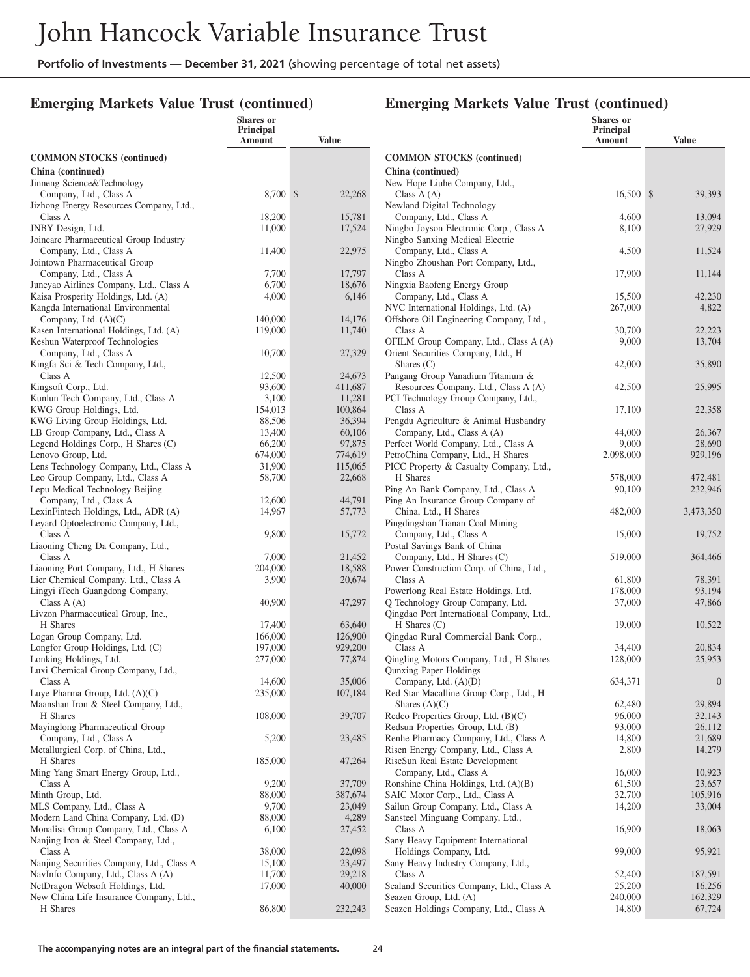### **Emerging Markets Value Trust (continued)**

|                                                                                | <b>Shares</b> or<br><b>Principal</b><br>Amount | <b>Value</b>       |                |
|--------------------------------------------------------------------------------|------------------------------------------------|--------------------|----------------|
| <b>COMMON STOCKS</b> (continued)                                               |                                                |                    | $\mathbf C$    |
| China (continued)                                                              |                                                |                    | $\mathbf C$    |
| Jinneng Science&Technology                                                     |                                                |                    | N              |
| Company, Ltd., Class A                                                         | 8,700                                          | \$<br>22,268       |                |
| Jizhong Energy Resources Company, Ltd.,<br>Class A                             | 18,200                                         | 15,781             | N              |
| JNBY Design, Ltd.                                                              | 11,000                                         | 17,524             | N              |
| Joincare Pharmaceutical Group Industry                                         |                                                |                    | N              |
| Company, Ltd., Class A                                                         | 11,400                                         | 22,975             |                |
| Jointown Pharmaceutical Group                                                  |                                                |                    | N              |
| Company, Ltd., Class A                                                         | 7,700                                          | 17,797             |                |
| Juneyao Airlines Company, Ltd., Class A<br>Kaisa Prosperity Holdings, Ltd. (A) | 6,700<br>4,000                                 | 18,676<br>6,146    | N              |
| Kangda International Environmental                                             |                                                |                    | N              |
| Company, Ltd. $(A)(C)$                                                         | 140,000                                        | 14,176             | O              |
| Kasen International Holdings, Ltd. (A)                                         | 119,000                                        | 11,740             |                |
| Keshun Waterproof Technologies                                                 |                                                |                    | O.             |
| Company, Ltd., Class A                                                         | 10,700                                         | 27,329             | O.             |
| Kingfa Sci & Tech Company, Ltd.,                                               |                                                |                    |                |
| Class A<br>Kingsoft Corp., Ltd.                                                | 12,500<br>93,600                               | 24,673<br>411,687  | P <sub>i</sub> |
| Kunlun Tech Company, Ltd., Class A                                             | 3,100                                          | 11,281             | P(             |
| KWG Group Holdings, Ltd.                                                       | 154,013                                        | 100,864            |                |
| KWG Living Group Holdings, Ltd.                                                | 88,506                                         | 36,394             | $P_6$          |
| LB Group Company, Ltd., Class A                                                | 13,400                                         | 60,106             |                |
| Legend Holdings Corp., H Shares (C)                                            | 66,200                                         | 97,875             | $P_6$          |
| Lenovo Group, Ltd.                                                             | 674,000                                        | 774,619            | $P_6$          |
| Lens Technology Company, Ltd., Class A<br>Leo Group Company, Ltd., Class A     | 31,900<br>58,700                               | 115,065<br>22,668  | PI             |
| Lepu Medical Technology Beijing                                                |                                                |                    | Pi             |
| Company, Ltd., Class A                                                         | 12,600                                         | 44,791             | Pi             |
| LexinFintech Holdings, Ltd., ADR (A)                                           | 14,967                                         | 57,773             |                |
| Leyard Optoelectronic Company, Ltd.,                                           |                                                |                    | Pi             |
| Class A                                                                        | 9,800                                          | 15,772             |                |
| Liaoning Cheng Da Company, Ltd.,<br>Class A                                    |                                                |                    | P              |
| Liaoning Port Company, Ltd., H Shares                                          | 7,000<br>204,000                               | 21,452<br>18,588   | P              |
| Lier Chemical Company, Ltd., Class A                                           | 3,900                                          | 20,674             |                |
| Lingyi iTech Guangdong Company,                                                |                                                |                    | P              |
| Class $A(A)$                                                                   | 40,900                                         | 47,297             | Q              |
| Livzon Pharmaceutical Group, Inc.,                                             |                                                |                    | Q              |
| H Shares                                                                       | 17,400                                         | 63,640             |                |
| Logan Group Company, Ltd.<br>Longfor Group Holdings, Ltd. (C)                  | 166,000<br>197,000                             | 126,900<br>929,200 | Q              |
| Lonking Holdings, Ltd.                                                         | 277,000                                        | 77,874             | Q              |
| Luxi Chemical Group Company, Ltd.,                                             |                                                |                    | Q              |
| Class A                                                                        | 14,600                                         | 35,006             |                |
| Luye Pharma Group, Ltd. $(A)(C)$                                               | 235,000                                        | 107,184            | R٥             |
| Maanshan Iron & Steel Company, Ltd.,                                           |                                                |                    |                |
| H Shares<br>Mayinglong Pharmaceutical Group                                    | 108,000                                        | 39,707             | R٥<br>R٥       |
| Company, Ltd., Class A                                                         | 5,200                                          | 23,485             | R٥             |
| Metallurgical Corp. of China, Ltd.,                                            |                                                |                    | Ri             |
| H Shares                                                                       | 185,000                                        | 47,264             | Ri             |
| Ming Yang Smart Energy Group, Ltd.,                                            |                                                |                    |                |
| Class A                                                                        | 9,200                                          | 37,709             | R٥             |
| Minth Group, Ltd.                                                              | 88,000                                         | 387,674            | $S_{l}$        |
| MLS Company, Ltd., Class A<br>Modern Land China Company, Ltd. (D)              | 9,700<br>88,000                                | 23,049<br>4,289    | $S_5$<br>Sε    |
| Monalisa Group Company, Ltd., Class A                                          | 6,100                                          | 27,452             |                |
| Nanjing Iron & Steel Company, Ltd.,                                            |                                                |                    | $S_6$          |
| Class A                                                                        | 38,000                                         | 22,098             |                |
| Nanjing Securities Company, Ltd., Class A                                      | 15,100                                         | 23,497             | Sε             |
| NavInfo Company, Ltd., Class A (A)                                             | 11,700                                         | 29,218             |                |
| NetDragon Websoft Holdings, Ltd.<br>New China Life Insurance Company, Ltd.,    | 17,000                                         | 40,000             | Sε<br>Sε       |
| H Shares                                                                       | 86,800                                         | 232,243            | $S_6$          |
|                                                                                |                                                |                    |                |

|                                                                              | <b>Shares</b> or<br><b>Principal</b><br>Amount | <b>Value</b>       |
|------------------------------------------------------------------------------|------------------------------------------------|--------------------|
| <b>COMMON STOCKS</b> (continued)                                             |                                                |                    |
| China (continued)                                                            |                                                |                    |
| New Hope Liuhe Company, Ltd.,                                                |                                                |                    |
| Class $A(A)$                                                                 | 16,500                                         | \$<br>39,393       |
| Newland Digital Technology                                                   |                                                |                    |
| Company, Ltd., Class A<br>Ningbo Joyson Electronic Corp., Class A            | 4,600<br>8,100                                 | 13,094<br>27,929   |
| Ningbo Sanxing Medical Electric                                              |                                                |                    |
| Company, Ltd., Class A                                                       | 4,500                                          | 11,524             |
| Ningbo Zhoushan Port Company, Ltd.,                                          |                                                |                    |
| Class A<br>Ningxia Baofeng Energy Group                                      | 17,900                                         | 11,144             |
| Company, Ltd., Class A                                                       | 15,500                                         | 42,230             |
| NVC International Holdings, Ltd. (A)                                         | 267,000                                        | 4,822              |
| Offshore Oil Engineering Company, Ltd.,                                      |                                                |                    |
| Class A                                                                      | 30,700                                         | 22,223             |
| OFILM Group Company, Ltd., Class A (A)<br>Orient Securities Company, Ltd., H | 9,000                                          | 13,704             |
| Shares $(C)$                                                                 | 42,000                                         | 35,890             |
| Pangang Group Vanadium Titanium &                                            |                                                |                    |
| Resources Company, Ltd., Class A (A)                                         | 42,500                                         | 25,995             |
| PCI Technology Group Company, Ltd.,                                          |                                                |                    |
| Class A<br>Pengdu Agriculture & Animal Husbandry                             | 17,100                                         | 22,358             |
| Company, Ltd., Class A (A)                                                   | 44,000                                         | 26,367             |
| Perfect World Company, Ltd., Class A                                         | 9,000                                          | 28,690             |
| PetroChina Company, Ltd., H Shares                                           | 2,098,000                                      | 929,196            |
| PICC Property & Casualty Company, Ltd.,                                      |                                                |                    |
| H Shares<br>Ping An Bank Company, Ltd., Class A                              | 578,000<br>90,100                              | 472,481<br>232,946 |
| Ping An Insurance Group Company of                                           |                                                |                    |
| China, Ltd., H Shares                                                        | 482,000                                        | 3,473,350          |
| Pingdingshan Tianan Coal Mining                                              |                                                |                    |
| Company, Ltd., Class A                                                       | 15,000                                         | 19,752             |
| Postal Savings Bank of China<br>Company, Ltd., H Shares (C)                  | 519,000                                        | 364,466            |
| Power Construction Corp. of China, Ltd.,                                     |                                                |                    |
| Class A                                                                      | 61,800                                         | 78,391             |
| Powerlong Real Estate Holdings, Ltd.                                         | 178,000                                        | 93,194             |
| Q Technology Group Company, Ltd.                                             | 37,000                                         | 47,866             |
| Qingdao Port International Company, Ltd.,<br>$H$ Shares $(C)$                | 19,000                                         | 10,522             |
| Qingdao Rural Commercial Bank Corp.,                                         |                                                |                    |
| Class A                                                                      | 34,400                                         | 20,834             |
| Qingling Motors Company, Ltd., H Shares                                      | 128,000                                        | 25,953             |
| Qunxing Paper Holdings                                                       |                                                | $\boldsymbol{0}$   |
| Company, Ltd. $(A)(D)$<br>Red Star Macalline Group Corp., Ltd., H            | 634,371                                        |                    |
| Shares $(A)(C)$                                                              | 62,480                                         | 29,894             |
| Redco Properties Group, Ltd. (B)(C)                                          | 96,000                                         | 32,143             |
| Redsun Properties Group, Ltd. (B)                                            | 93,000                                         | 26,112             |
| Renhe Pharmacy Company, Ltd., Class A<br>Risen Energy Company, Ltd., Class A | 14,800<br>2,800                                | 21,689<br>14,279   |
| RiseSun Real Estate Development                                              |                                                |                    |
| Company, Ltd., Class A                                                       | 16,000                                         | 10,923             |
| Ronshine China Holdings, Ltd. (A)(B)                                         | 61,500                                         | 23,657             |
| SAIC Motor Corp., Ltd., Class A                                              | 32,700                                         | 105,916            |
| Sailun Group Company, Ltd., Class A<br>Sansteel Minguang Company, Ltd.,      | 14,200                                         | 33,004             |
| Class A                                                                      | 16,900                                         | 18,063             |
| Sany Heavy Equipment International                                           |                                                |                    |
| Holdings Company, Ltd.                                                       | 99,000                                         | 95,921             |
| Sany Heavy Industry Company, Ltd.,                                           |                                                |                    |
| Class A<br>Sealand Securities Company, Ltd., Class A                         | 52,400<br>25,200                               | 187,591<br>16,256  |
| Seazen Group, Ltd. (A)                                                       | 240,000                                        | 162,329            |
| Seazen Holdings Company, Ltd., Class A                                       | 14,800                                         | 67,724             |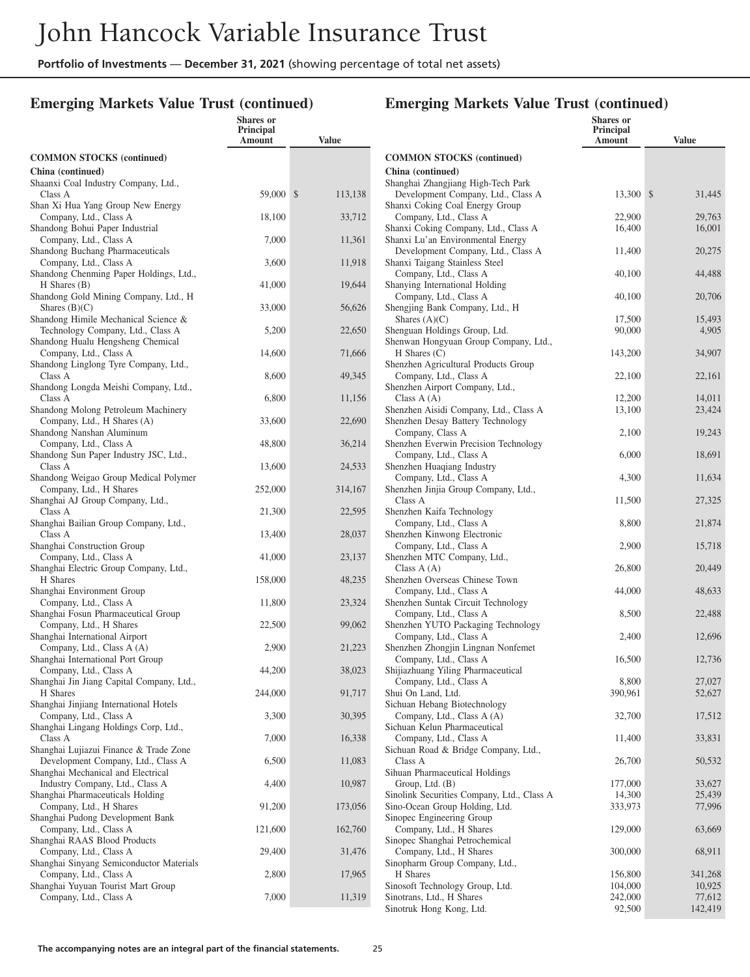### **Emerging Markets Value Trust (continued)**

|                                                                                                       | <b>Shares</b> or<br>Principal<br>Amount | <b>Value</b>  |
|-------------------------------------------------------------------------------------------------------|-----------------------------------------|---------------|
| <b>COMMON STOCKS</b> (continued)                                                                      |                                         |               |
| China (continued)                                                                                     |                                         |               |
| Shaanxi Coal Industry Company, Ltd.,<br>Class A                                                       | 59,000                                  | \$<br>113,138 |
| Shan Xi Hua Yang Group New Energy<br>Company, Ltd., Class A<br>Shandong Bohui Paper Industrial        | 18,100                                  | 33,712        |
| Company, Ltd., Class A                                                                                | 7,000                                   | 11,361        |
| Shandong Buchang Pharmaceuticals<br>Company, Ltd., Class A<br>Shandong Chenming Paper Holdings, Ltd., | 3,600                                   | 11,918        |
| $H$ Shares $(B)$                                                                                      | 41,000                                  | 19,644        |
| Shandong Gold Mining Company, Ltd., H<br>Shares $(B)(C)$                                              | 33,000                                  | 56,626        |
| Shandong Himile Mechanical Science &<br>Technology Company, Ltd., Class A                             | 5,200                                   | 22,650        |
| Shandong Hualu Hengsheng Chemical<br>Company, Ltd., Class A                                           | 14,600                                  | 71,666        |
| Shandong Linglong Tyre Company, Ltd.,<br>Class A                                                      | 8,600                                   | 49,345        |
| Shandong Longda Meishi Company, Ltd.,<br>Class A                                                      | 6,800                                   | 11,156        |
| Shandong Molong Petroleum Machinery<br>Company, Ltd., H Shares (A)                                    | 33,600                                  | 22,690        |
| Shandong Nanshan Aluminum<br>Company, Ltd., Class A                                                   | 48,800                                  | 36,214        |
| Shandong Sun Paper Industry JSC, Ltd.,<br>Class A                                                     | 13,600                                  | 24,533        |
| Shandong Weigao Group Medical Polymer<br>Company, Ltd., H Shares                                      | 252,000                                 | 314,167       |
| Shanghai AJ Group Company, Ltd.,<br>Class A                                                           | 21,300                                  | 22,595        |
| Shanghai Bailian Group Company, Ltd.,<br>Class A                                                      | 13,400                                  | 28,037        |
| Shanghai Construction Group<br>Company, Ltd., Class A                                                 | 41,000                                  | 23,137        |
| Shanghai Electric Group Company, Ltd.,<br>H Shares                                                    | 158,000                                 | 48,235        |
| Shanghai Environment Group<br>Company, Ltd., Class A                                                  | 11,800                                  | 23,324        |
| Shanghai Fosun Pharmaceutical Group<br>Company, Ltd., H Shares                                        | 22,500                                  | 99,062        |
| Shanghai International Airport<br>Company, Ltd., Class A (A)                                          | 2,900                                   | 21,223        |
| Shanghai International Port Group<br>Company, Ltd., Class A                                           | 44,200                                  | 38,023        |
| Shanghai Jin Jiang Capital Company, Ltd.,<br>H Shares                                                 | 244,000                                 | 91,717        |
| Shanghai Jinjiang International Hotels<br>Company, Ltd., Class A                                      | 3,300                                   | 30,395        |
| Shanghai Lingang Holdings Corp, Ltd.,<br>Class A                                                      | 7,000                                   | 16,338        |
| Shanghai Lujiazui Finance & Trade Zone<br>Development Company, Ltd., Class A                          | 6,500                                   | 11,083        |
| Shanghai Mechanical and Electrical<br>Industry Company, Ltd., Class A                                 | 4,400                                   | 10,987        |
| Shanghai Pharmaceuticals Holding<br>Company, Ltd., H Shares                                           | 91,200                                  | 173,056       |
| Shanghai Pudong Development Bank<br>Company, Ltd., Class A                                            | 121,600                                 | 162,760       |
| Shanghai RAAS Blood Products<br>Company, Ltd., Class A                                                | 29,400                                  | 31,476        |
| Shanghai Sinyang Semiconductor Materials<br>Company, Ltd., Class A                                    | 2,800                                   | 17,965        |
| Shanghai Yuyuan Tourist Mart Group<br>Company, Ltd., Class A                                          | 7,000                                   | 11,319        |
|                                                                                                       |                                         |               |

|                                                                 | <b>Shares</b> or<br><b>Principal</b><br>Amount | Value            |
|-----------------------------------------------------------------|------------------------------------------------|------------------|
| <b>COMMON STOCKS</b> (continued)                                |                                                |                  |
| China (continued)                                               |                                                |                  |
| Shanghai Zhangjiang High-Tech Park                              |                                                |                  |
| Development Company, Ltd., Class A                              | 13,300                                         | \$<br>31,445     |
| Shanxi Coking Coal Energy Group<br>Company, Ltd., Class A       | 22,900                                         | 29,763           |
| Shanxi Coking Company, Ltd., Class A                            | 16,400                                         | 16,001           |
| Shanxi Lu'an Environmental Energy                               |                                                |                  |
| Development Company, Ltd., Class A                              | 11,400                                         | 20,275           |
| Shanxi Taigang Stainless Steel                                  |                                                |                  |
| Company, Ltd., Class A                                          | 40,100                                         | 44,488           |
| Shanying International Holding<br>Company, Ltd., Class A        | 40,100                                         | 20,706           |
| Shengjing Bank Company, Ltd., H                                 |                                                |                  |
| Shares $(A)(C)$                                                 | 17,500                                         | 15,493           |
| Shenguan Holdings Group, Ltd.                                   | 90,000                                         | 4,905            |
| Shenwan Hongyuan Group Company, Ltd.,                           |                                                |                  |
| $H$ Shares $(C)$                                                | 143,200                                        | 34,907           |
| Shenzhen Agricultural Products Group<br>Company, Ltd., Class A  | 22,100                                         | 22,161           |
| Shenzhen Airport Company, Ltd.,                                 |                                                |                  |
| Class $A(A)$                                                    | 12,200                                         | 14,011           |
| Shenzhen Aisidi Company, Ltd., Class A                          | 13,100                                         | 23,424           |
| Shenzhen Desay Battery Technology                               |                                                |                  |
| Company, Class A                                                | 2,100                                          | 19,243           |
| Shenzhen Everwin Precision Technology<br>Company, Ltd., Class A | 6,000                                          | 18,691           |
| Shenzhen Huagiang Industry                                      |                                                |                  |
| Company, Ltd., Class A                                          | 4,300                                          | 11,634           |
| Shenzhen Jinjia Group Company, Ltd.,                            |                                                |                  |
| Class A                                                         | 11,500                                         | 27,325           |
| Shenzhen Kaifa Technology                                       |                                                |                  |
| Company, Ltd., Class A                                          | 8,800                                          | 21,874           |
| Shenzhen Kinwong Electronic<br>Company, Ltd., Class A           | 2,900                                          | 15,718           |
| Shenzhen MTC Company, Ltd.,                                     |                                                |                  |
| Class $A(A)$                                                    | 26,800                                         | 20,449           |
| Shenzhen Overseas Chinese Town                                  |                                                |                  |
| Company, Ltd., Class A                                          | 44,000                                         | 48,633           |
| Shenzhen Suntak Circuit Technology<br>Company, Ltd., Class A    | 8,500                                          | 22,488           |
| Shenzhen YUTO Packaging Technology                              |                                                |                  |
| Company, Ltd., Class A                                          | 2,400                                          | 12,696           |
| Shenzhen Zhongjin Lingnan Nonfemet                              |                                                |                  |
| Company, Ltd., Class A                                          | 16,500                                         | 12,736           |
| Shijiazhuang Yiling Pharmaceutical                              |                                                |                  |
| Company, Ltd., Class A<br>Shui On Land, Ltd.                    | 8,800<br>390,961                               | 27,027<br>52,627 |
| Sichuan Hebang Biotechnology                                    |                                                |                  |
| Company, Ltd., Class A (A)                                      | 32,700                                         | 17,512           |
| Sichuan Kelun Pharmaceutical                                    |                                                |                  |
| Company, Ltd., Class A                                          | 11,400                                         | 33,831           |
| Sichuan Road & Bridge Company, Ltd.,                            |                                                |                  |
| Class A                                                         | 26,700                                         | 50,532           |
| Sihuan Pharmaceutical Holdings<br>Group, Ltd. (B)               | 177,000                                        | 33,627           |
| Sinolink Securities Company, Ltd., Class A                      | 14,300                                         | 25,439           |
| Sino-Ocean Group Holding, Ltd.                                  | 333,973                                        | 77,996           |
| Sinopec Engineering Group                                       |                                                |                  |
| Company, Ltd., H Shares                                         | 129,000                                        | 63,669           |
| Sinopec Shanghai Petrochemical                                  |                                                |                  |
| Company, Ltd., H Shares                                         | 300,000                                        | 68,911           |
| Sinopharm Group Company, Ltd.,<br>H Shares                      | 156,800                                        | 341,268          |
| Sinosoft Technology Group, Ltd.                                 | 104,000                                        | 10,925           |
| Sinotrans, Ltd., H Shares                                       | 242,000                                        | 77,612           |
| Sinotruk Hong Kong, Ltd.                                        | 92,500                                         | 142,419          |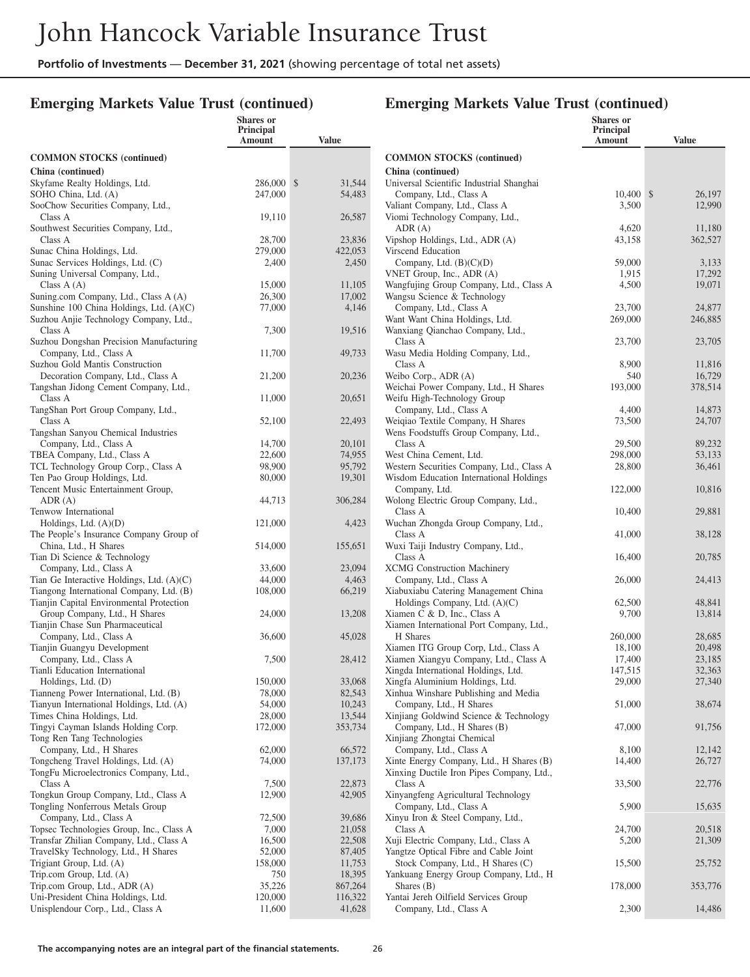**Shares or**

#### **Emerging Markets Value Trust (continued)**

|                                                                                   | <b>Principal</b><br>Amount | Value                            |
|-----------------------------------------------------------------------------------|----------------------------|----------------------------------|
| <b>COMMON STOCKS (continued)</b>                                                  |                            |                                  |
| China (continued)                                                                 |                            |                                  |
| Skyfame Realty Holdings, Ltd.<br>SOHO China, Ltd. (A)                             | 286,000<br>247,000         | 31,544<br>$\mathbb{S}$<br>54,483 |
| SooChow Securities Company, Ltd.,                                                 |                            |                                  |
| Class A                                                                           | 19,110                     | 26,587                           |
| Southwest Securities Company, Ltd.,                                               |                            |                                  |
| Class A<br>Sunac China Holdings, Ltd.                                             | 28,700<br>279,000          | 23,836<br>422,053                |
| Sunac Services Holdings, Ltd. (C)                                                 | 2,400                      | 2,450                            |
| Suning Universal Company, Ltd.,                                                   |                            |                                  |
| Class $A(A)$                                                                      | 15,000                     | 11,105                           |
| Suning.com Company, Ltd., Class A (A)<br>Sunshine 100 China Holdings, Ltd. (A)(C) | 26,300<br>77,000           | 17,002<br>4,146                  |
| Suzhou Anjie Technology Company, Ltd.,                                            |                            |                                  |
| Class A                                                                           | 7,300                      | 19,516                           |
| Suzhou Dongshan Precision Manufacturing                                           |                            |                                  |
| Company, Ltd., Class A<br>Suzhou Gold Mantis Construction                         | 11,700                     | 49,733                           |
| Decoration Company, Ltd., Class A                                                 | 21,200                     | 20,236                           |
| Tangshan Jidong Cement Company, Ltd.,                                             |                            |                                  |
| Class A                                                                           | 11,000                     | 20,651                           |
| TangShan Port Group Company, Ltd.,                                                |                            |                                  |
| Class A<br>Tangshan Sanyou Chemical Industries                                    | 52,100                     | 22,493                           |
| Company, Ltd., Class A                                                            | 14,700                     | 20,101                           |
| TBEA Company, Ltd., Class A                                                       | 22,600                     | 74,955                           |
| TCL Technology Group Corp., Class A                                               | 98,900                     | 95,792                           |
| Ten Pao Group Holdings, Ltd.<br>Tencent Music Entertainment Group,                | 80,000                     | 19,301                           |
| ADR (A)                                                                           | 44,713                     | 306,284                          |
| Tenwow International                                                              |                            |                                  |
| Holdings, Ltd. $(A)(D)$                                                           | 121,000                    | 4,423                            |
| The People's Insurance Company Group of<br>China, Ltd., H Shares                  | 514,000                    | 155,651                          |
| Tian Di Science & Technology                                                      |                            |                                  |
| Company, Ltd., Class A                                                            | 33,600                     | 23,094                           |
| Tian Ge Interactive Holdings, Ltd. $(A)(C)$                                       | 44,000                     | 4,463                            |
| Tiangong International Company, Ltd. (B)                                          | 108,000                    | 66,219                           |
| Tianjin Capital Environmental Protection<br>Group Company, Ltd., H Shares         | 24,000                     | 13,208                           |
| Tianjin Chase Sun Pharmaceutical                                                  |                            |                                  |
| Company, Ltd., Class A                                                            | 36,600                     | 45,028                           |
| Tianjin Guangyu Development                                                       |                            |                                  |
| Company, Ltd., Class A<br>Tianli Education International                          | 7,500                      | 28,412                           |
| Holdings, Ltd. (D)                                                                | 150,000                    | 33,068                           |
| Tianneng Power International, Ltd. (B)                                            | 78,000                     | 82,543                           |
| Tianyun International Holdings, Ltd. (A)                                          | 54,000                     | 10,243                           |
| Times China Holdings, Ltd.<br>Tingyi Cayman Islands Holding Corp.                 | 28,000<br>172,000          | 13,544<br>353,734                |
| Tong Ren Tang Technologies                                                        |                            |                                  |
| Company, Ltd., H Shares                                                           | 62,000                     | 66,572                           |
| Tongcheng Travel Holdings, Ltd. (A)                                               | 74,000                     | 137,173                          |
| TongFu Microelectronics Company, Ltd.,                                            |                            |                                  |
| Class A<br>Tongkun Group Company, Ltd., Class A                                   | 7,500<br>12,900            | 22,873<br>42,905                 |
| Tongling Nonferrous Metals Group                                                  |                            |                                  |
| Company, Ltd., Class A                                                            | 72,500                     | 39,686                           |
| Topsec Technologies Group, Inc., Class A                                          | 7,000                      | 21,058                           |
| Transfar Zhilian Company, Ltd., Class A                                           | 16,500                     | 22,508                           |
| TravelSky Technology, Ltd., H Shares<br>Trigiant Group, Ltd. (A)                  | 52,000<br>158,000          | 87,405<br>11,753                 |
| Trip.com Group, Ltd. (A)                                                          | 750                        | 18,395                           |
| Trip.com Group, Ltd., ADR (A)                                                     | 35,226                     | 867,264                          |
| Uni-President China Holdings, Ltd.                                                | 120,000                    | 116,322                          |
| Unisplendour Corp., Ltd., Class A                                                 | 11,600                     | 41,628                           |

|                                                                                       | <b>Shares</b> or<br>Principal<br>Amount | Value             |
|---------------------------------------------------------------------------------------|-----------------------------------------|-------------------|
| <b>COMMON STOCKS</b> (continued)                                                      |                                         |                   |
| China (continued)<br>Universal Scientific Industrial Shanghai                         |                                         |                   |
| Company, Ltd., Class A                                                                | 10,400                                  | 26,197<br>\$      |
| Valiant Company, Ltd., Class A<br>Viomi Technology Company, Ltd.,                     | 3,500                                   | 12,990            |
| ADR (A)                                                                               | 4,620                                   | 11,180            |
| Vipshop Holdings, Ltd., ADR (A)<br>Virscend Education                                 | 43,158                                  | 362,527           |
| Company, Ltd. $(B)(C)(D)$                                                             | 59,000                                  | 3,133             |
| VNET Group, Inc., ADR (A)<br>Wangfujing Group Company, Ltd., Class A                  | 1,915<br>4,500                          | 17,292<br>19,071  |
| Wangsu Science & Technology                                                           |                                         |                   |
| Company, Ltd., Class A<br>Want Want China Holdings, Ltd.                              | 23,700<br>269,000                       | 24,877<br>246,885 |
| Wanxiang Qianchao Company, Ltd.,                                                      |                                         |                   |
| Class A<br>Wasu Media Holding Company, Ltd.,                                          | 23,700                                  | 23,705            |
| Class A                                                                               | 8,900                                   | 11,816            |
| Weibo Corp., ADR (A)<br>Weichai Power Company, Ltd., H Shares                         | 540<br>193,000                          | 16,729<br>378,514 |
| Weifu High-Technology Group                                                           |                                         |                   |
| Company, Ltd., Class A<br>Weiqiao Textile Company, H Shares                           | 4,400<br>73,500                         | 14,873<br>24,707  |
| Wens Foodstuffs Group Company, Ltd.,                                                  |                                         |                   |
| Class A<br>West China Cement, Ltd.                                                    | 29,500<br>298,000                       | 89,232<br>53,133  |
| Western Securities Company, Ltd., Class A                                             | 28,800                                  | 36,461            |
| Wisdom Education International Holdings<br>Company, Ltd.                              | 122,000                                 | 10,816            |
| Wolong Electric Group Company, Ltd.,                                                  |                                         |                   |
| Class A<br>Wuchan Zhongda Group Company, Ltd.,                                        | 10,400                                  | 29,881            |
| Class A                                                                               | 41,000                                  | 38,128            |
| Wuxi Taiji Industry Company, Ltd.,<br>Class A                                         | 16,400                                  | 20,785            |
| <b>XCMG</b> Construction Machinery                                                    |                                         |                   |
| Company, Ltd., Class A<br>Xiabuxiabu Catering Management China                        | 26,000                                  | 24,413            |
| Holdings Company, Ltd. $(A)(C)$                                                       | 62,500                                  | 48,841            |
| Xiamen C & D, Inc., Class A<br>Xiamen International Port Company, Ltd.,               | 9,700                                   | 13,814            |
| H Shares                                                                              | 260,000                                 | 28,685            |
| Xiamen ITG Group Corp, Ltd., Class A<br>Xiamen Xiangyu Company, Ltd., Class A         | 18,100<br>17,400                        | 20,498<br>23,185  |
| Xingda International Holdings, Ltd.                                                   | 147,515                                 | 32,363            |
| Xingfa Aluminium Holdings, Ltd.                                                       | 29,000                                  | 27,340            |
| Xinhua Winshare Publishing and Media<br>Company, Ltd., H Shares                       | 51,000                                  | 38,674            |
| Xinjiang Goldwind Science & Technology                                                |                                         |                   |
| Company, Ltd., H Shares (B)<br>Xinjiang Zhongtai Chemical                             | 47,000                                  | 91,756            |
| Company, Ltd., Class A                                                                | 8,100                                   | 12,142            |
| Xinte Energy Company, Ltd., H Shares (B)<br>Xinxing Ductile Iron Pipes Company, Ltd., | 14,400                                  | 26,727            |
| Class A                                                                               | 33,500                                  | 22,776            |
| Xinyangfeng Agricultural Technology<br>Company, Ltd., Class A                         | 5,900                                   | 15,635            |
| Xinyu Iron & Steel Company, Ltd.,                                                     |                                         |                   |
| Class A<br>Xuji Electric Company, Ltd., Class A                                       | 24,700<br>5,200                         | 20,518<br>21,309  |
| Yangtze Optical Fibre and Cable Joint                                                 |                                         |                   |
| Stock Company, Ltd., H Shares (C)<br>Yankuang Energy Group Company, Ltd., H           | 15,500                                  | 25,752            |
| Shares (B)                                                                            | 178,000                                 | 353,776           |
| Yantai Jereh Oilfield Services Group<br>Company, Ltd., Class A                        | 2,300                                   | 14,486            |
|                                                                                       |                                         |                   |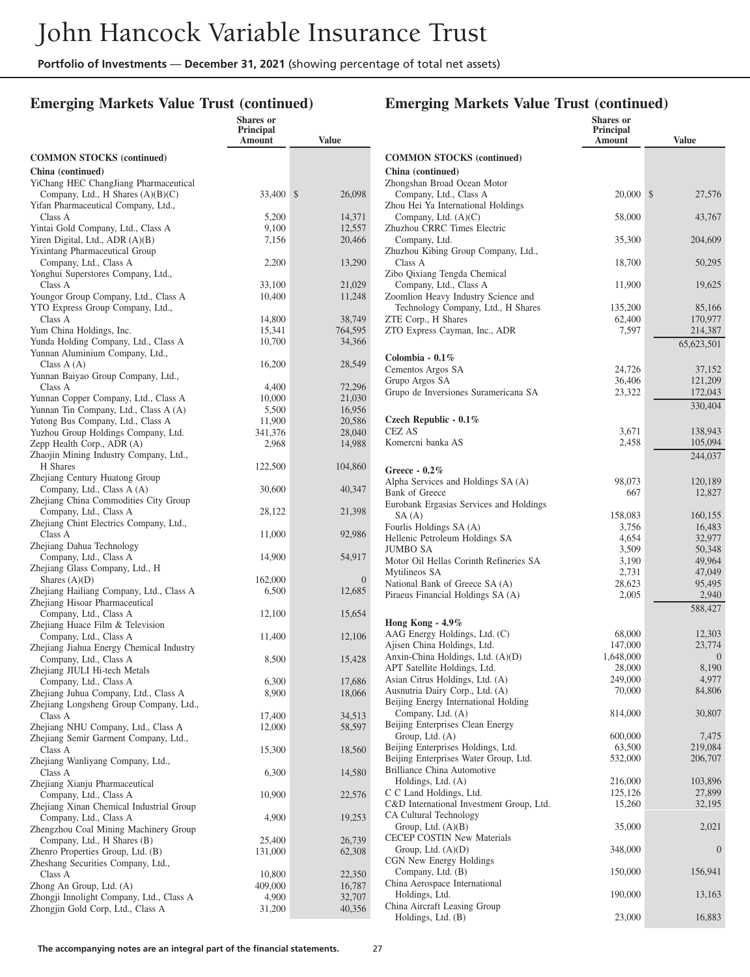**Shares or**

## **Emerging Markets Value Trust (continued)**

|                                                                            | Principal<br>Amount | <b>Value</b>           |  |
|----------------------------------------------------------------------------|---------------------|------------------------|--|
| <b>COMMON STOCKS (continued)</b>                                           |                     |                        |  |
| China (continued)                                                          |                     |                        |  |
| YiChang HEC ChangJiang Pharmaceutical                                      |                     |                        |  |
| Company, Ltd., H Shares $(A)(B)(C)$<br>Yifan Pharmaceutical Company, Ltd., | 33,400              | 26,098<br>$\mathbb{S}$ |  |
| Class A                                                                    | 5,200               | 14,371                 |  |
| Yintai Gold Company, Ltd., Class A                                         | 9,100               | 12,557                 |  |
| Yiren Digital, Ltd., $ADR(A)(B)$                                           | 7,156               | 20,466                 |  |
| Yixintang Pharmaceutical Group<br>Company, Ltd., Class A                   | 2,200               | 13,290                 |  |
| Yonghui Superstores Company, Ltd.,                                         |                     |                        |  |
| Class A                                                                    | 33,100              | 21,029                 |  |
| Youngor Group Company, Ltd., Class A                                       | 10,400              | 11,248                 |  |
| YTO Express Group Company, Ltd.,                                           |                     |                        |  |
| Class A<br>Yum China Holdings, Inc.                                        | 14,800<br>15,341    | 38,749<br>764,595      |  |
| Yunda Holding Company, Ltd., Class A                                       | 10,700              | 34,366                 |  |
| Yunnan Aluminium Company, Ltd.,                                            |                     |                        |  |
| Class $A(A)$                                                               | 16,200              | 28,549                 |  |
| Yunnan Baiyao Group Company, Ltd.,                                         |                     | 72,296                 |  |
| Class A<br>Yunnan Copper Company, Ltd., Class A                            | 4,400<br>10,000     | 21,030                 |  |
| Yunnan Tin Company, Ltd., Class A (A)                                      | 5,500               | 16,956                 |  |
| Yutong Bus Company, Ltd., Class A                                          | 11,900              | 20,586                 |  |
| Yuzhou Group Holdings Company, Ltd.                                        | 341,376             | 28,040                 |  |
| Zepp Health Corp., ADR (A)                                                 | 2,968               | 14,988                 |  |
| Zhaojin Mining Industry Company, Ltd.,<br>H Shares                         | 122,500             | 104,860                |  |
| Zhejiang Century Huatong Group                                             |                     |                        |  |
| Company, Ltd., Class A (A)                                                 | 30,600              | 40,347                 |  |
| Zhejiang China Commodities City Group                                      |                     |                        |  |
| Company, Ltd., Class A<br>Zhejiang Chint Electrics Company, Ltd.,          | 28,122              | 21,398                 |  |
| Class A                                                                    | 11,000              | 92,986                 |  |
| Zhejiang Dahua Technology                                                  |                     |                        |  |
| Company, Ltd., Class A                                                     | 14,900              | 54,917                 |  |
| Zhejiang Glass Company, Ltd., H                                            |                     |                        |  |
| Shares $(A)(D)$                                                            | 162,000<br>6,500    | $\theta$<br>12,685     |  |
| Zhejiang Hailiang Company, Ltd., Class A<br>Zhejiang Hisoar Pharmaceutical |                     |                        |  |
| Company, Ltd., Class A                                                     | 12,100              | 15,654                 |  |
| Zhejiang Huace Film & Television                                           |                     |                        |  |
| Company, Ltd., Class A                                                     | 11,400              | 12,106                 |  |
| Zhejiang Jiahua Energy Chemical Industry<br>Company, Ltd., Class A         | 8,500               | 15,428                 |  |
| Zhejiang JIULI Hi-tech Metals                                              |                     |                        |  |
| Company, Ltd., Class A                                                     | 6,300               | 17,686                 |  |
| Zhejiang Juhua Company, Ltd., Class A                                      | 8,900               | 18,066                 |  |
| Zhejiang Longsheng Group Company, Ltd.,                                    |                     |                        |  |
| Class A<br>Zhejiang NHU Company, Ltd., Class A                             | 17,400<br>12,000    | 34,513<br>58,597       |  |
| Zhejiang Semir Garment Company, Ltd.,                                      |                     |                        |  |
| Class A                                                                    | 15,300              | 18,560                 |  |
| Zhejiang Wanliyang Company, Ltd.,                                          |                     |                        |  |
| Class A<br>Zhejiang Xianju Pharmaceutical                                  | 6,300               | 14,580                 |  |
| Company, Ltd., Class A                                                     | 10,900              | 22,576                 |  |
| Zhejiang Xinan Chemical Industrial Group                                   |                     |                        |  |
| Company, Ltd., Class A                                                     | 4,900               | 19,253                 |  |
| Zhengzhou Coal Mining Machinery Group                                      |                     |                        |  |
| Company, Ltd., H Shares (B)                                                | 25,400              | 26,739                 |  |
| Zhenro Properties Group, Ltd. (B)<br>Zheshang Securities Company, Ltd.,    | 131,000             | 62,308                 |  |
| Class A                                                                    | 10,800              | 22,350                 |  |
| Zhong An Group, Ltd. (A)                                                   | 409,000             | 16,787                 |  |
| Zhongji Innolight Company, Ltd., Class A                                   | 4,900               | 32,707                 |  |
| Zhongjin Gold Corp, Ltd., Class A                                          | 31,200              | 40,356                 |  |
|                                                                            |                     |                        |  |

|                                                                             | <b>Shares</b> or<br><b>Principal</b><br>Amount | Value              |
|-----------------------------------------------------------------------------|------------------------------------------------|--------------------|
| <b>COMMON STOCKS</b> (continued)                                            |                                                |                    |
| China (continued)                                                           |                                                |                    |
| Zhongshan Broad Ocean Motor                                                 |                                                |                    |
| Company, Ltd., Class A                                                      | 20,000                                         | \$<br>27,576       |
| Zhou Hei Ya International Holdings<br>Company, Ltd. $(A)(C)$                | 58,000                                         | 43,767             |
| Zhuzhou CRRC Times Electric                                                 |                                                |                    |
| Company, Ltd.                                                               | 35,300                                         | 204,609            |
| Zhuzhou Kibing Group Company, Ltd.,<br>Class A                              | 18,700                                         | 50,295             |
| Zibo Qixiang Tengda Chemical                                                |                                                |                    |
| Company, Ltd., Class A                                                      | 11,900                                         | 19,625             |
| Zoomlion Heavy Industry Science and                                         |                                                |                    |
| Technology Company, Ltd., H Shares<br>ZTE Corp., H Shares                   | 135,200<br>62,400                              | 85,166<br>170,977  |
| ZTO Express Cayman, Inc., ADR                                               | 7,597                                          | 214,387            |
|                                                                             |                                                | 65, 623, 501       |
| Colombia - $0.1\%$                                                          |                                                |                    |
| Cementos Argos SA                                                           | 24,726                                         | 37,152             |
| Grupo Argos SA<br>Grupo de Inversiones Suramericana SA                      | 36,406<br>23,322                               | 121,209<br>172,043 |
|                                                                             |                                                | 330,404            |
| Czech Republic - $0.1\%$                                                    |                                                |                    |
| <b>CEZ AS</b>                                                               | 3,671                                          | 138,943            |
| Komercni banka AS                                                           | 2,458                                          | 105,094            |
|                                                                             |                                                | 244,037            |
| Greece - $0.2\%$                                                            |                                                |                    |
| Alpha Services and Holdings SA (A)<br>Bank of Greece                        | 98,073<br>667                                  | 120,189<br>12,827  |
| Eurobank Ergasias Services and Holdings                                     |                                                |                    |
| SA (A)                                                                      | 158,083                                        | 160,155            |
| Fourlis Holdings SA (A)                                                     | 3,756                                          | 16,483             |
| Hellenic Petroleum Holdings SA<br>JUMBO SA                                  | 4,654<br>3,509                                 | 32,977<br>50,348   |
| Motor Oil Hellas Corinth Refineries SA                                      | 3,190                                          | 49,964             |
| Mytilineos SA                                                               | 2,731                                          | 47,049             |
| National Bank of Greece SA (A)<br>Piraeus Financial Holdings SA (A)         | 28,623<br>2,005                                | 95,495<br>2,940    |
|                                                                             |                                                | 588,427            |
| Hong Kong - $4.9\%$                                                         |                                                |                    |
| AAG Energy Holdings, Ltd. (C)                                               | 68,000                                         | 12,303             |
| Ajisen China Holdings, Ltd.                                                 | 147,000                                        | 23,774             |
| Anxin-China Holdings, Ltd. (A)(D)<br>APT Satellite Holdings, Ltd.           | 1,648,000                                      | $\overline{0}$     |
| Asian Citrus Holdings, Ltd. (A)                                             | 28,000<br>249,000                              | 8,190<br>4,977     |
| Ausnutria Dairy Corp., Ltd. (A)                                             | 70,000                                         | 84,806             |
| Beijing Energy International Holding                                        |                                                |                    |
| Company, Ltd. (A)<br>Beijing Enterprises Clean Energy                       | 814,000                                        | 30,807             |
| Group, Ltd. (A)                                                             | 600,000                                        | 7,475              |
| Beijing Enterprises Holdings, Ltd.                                          | 63,500                                         | 219,084            |
| Beijing Enterprises Water Group, Ltd.<br><b>Brilliance China Automotive</b> | 532,000                                        | 206,707            |
| Holdings, Ltd. (A)                                                          | 216,000                                        | 103,896            |
| C C Land Holdings, Ltd.                                                     | 125,126                                        | 27,899             |
| C&D International Investment Group, Ltd.                                    | 15,260                                         | 32,195             |
| CA Cultural Technology<br>Group, Ltd. (A)(B)                                | 35,000                                         | 2,021              |
| CECEP COSTIN New Materials                                                  |                                                |                    |
| Group, Ltd. $(A)(D)$                                                        | 348,000                                        | $\boldsymbol{0}$   |
| CGN New Energy Holdings                                                     |                                                |                    |
| Company, Ltd. (B)<br>China Aerospace International                          | 150,000                                        | 156,941            |
| Holdings, Ltd.                                                              | 190,000                                        | 13,163             |
| China Aircraft Leasing Group                                                |                                                |                    |
| Holdings, Ltd. (B)                                                          | 23,000                                         | 16,883             |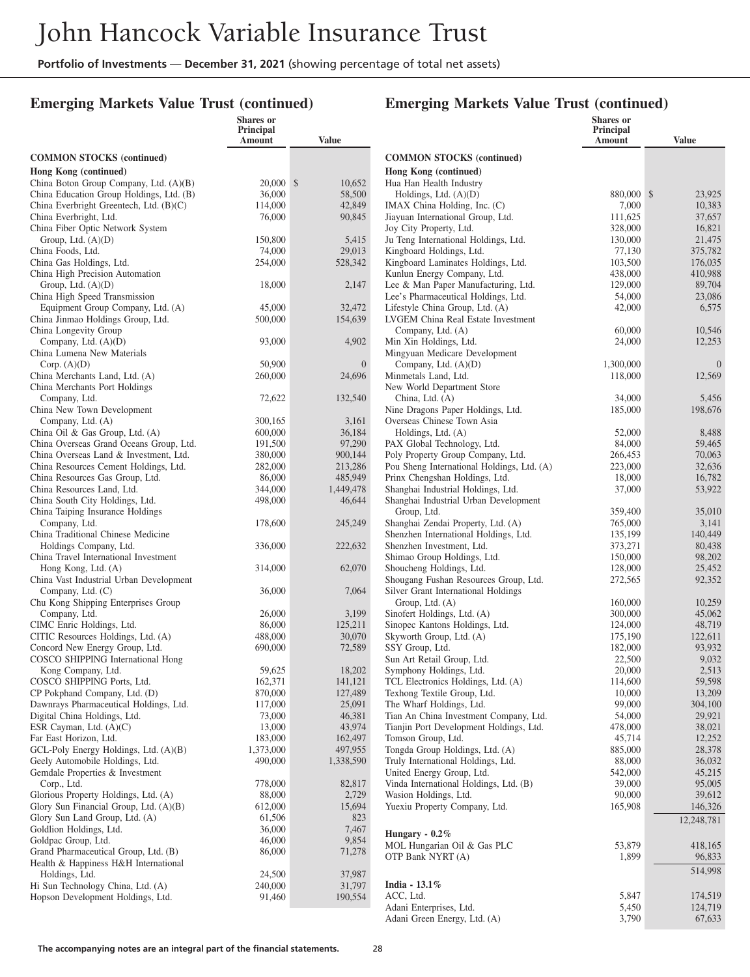**Shares or**

#### **Emerging Markets Value Trust (continued)**

#### **Emerging Markets Value Trust (continued)**

**Shares or**

|                                                                          | Principal<br>Amount | <b>Value</b>       |                                                         |
|--------------------------------------------------------------------------|---------------------|--------------------|---------------------------------------------------------|
| <b>COMMON STOCKS</b> (continued)                                         |                     |                    | <b>COMMON STOCKS (cor</b>                               |
| Hong Kong (continued)                                                    |                     |                    | Hong Kong (continued)                                   |
| China Boton Group Company, Ltd. (A)(B)                                   | $20,000$ \$         | 10,652             | Hua Han Health Industry                                 |
| China Education Group Holdings, Ltd. (B)                                 | 36,000              | 58,500             | Holdings, Ltd. (A)(D)                                   |
| China Everbright Greentech, Ltd. (B)(C)                                  | 114,000             | 42,849             | IMAX China Holding, Inc.                                |
| China Everbright, Ltd.                                                   | 76,000              | 90,845             | Jiayuan International Group                             |
| China Fiber Optic Network System                                         |                     |                    | Joy City Property, Ltd.                                 |
| Group, Ltd. $(A)(D)$                                                     | 150,800             | 5,415              | Ju Teng International Holdi                             |
| China Foods, Ltd.                                                        | 74,000<br>254,000   | 29,013<br>528,342  | Kingboard Holdings, Ltd.<br>Kingboard Laminates Hold    |
| China Gas Holdings, Ltd.<br>China High Precision Automation              |                     |                    | Kunlun Energy Company, I                                |
| Group, Ltd. $(A)(D)$                                                     | 18,000              | 2,147              | Lee & Man Paper Manufac                                 |
| China High Speed Transmission                                            |                     |                    | Lee's Pharmaceutical Holdi                              |
| Equipment Group Company, Ltd. (A)                                        | 45,000              | 32,472             | Lifestyle China Group, Ltd                              |
| China Jinmao Holdings Group, Ltd.                                        | 500,000             | 154,639            | LVGEM China Real Estate                                 |
| China Longevity Group                                                    |                     |                    | Company, Ltd. (A)                                       |
| Company, Ltd. $(A)(D)$                                                   | 93,000              | 4,902              | Min Xin Holdings, Ltd.                                  |
| China Lumena New Materials                                               |                     |                    | Mingyuan Medicare Develo                                |
| Corp. $(A)(D)$                                                           | 50,900              | $\boldsymbol{0}$   | Company, Ltd. $(A)(D)$                                  |
| China Merchants Land, Ltd. (A)                                           | 260,000             | 24,696             | Minmetals Land, Ltd.                                    |
| China Merchants Port Holdings                                            |                     |                    | New World Department Sto                                |
| Company, Ltd.                                                            | 72,622              | 132,540            | China, Ltd. (A)                                         |
| China New Town Development                                               |                     |                    | Nine Dragons Paper Holdin                               |
| Company, Ltd. (A)                                                        | 300,165             | 3,161              | Overseas Chinese Town As                                |
| China Oil & Gas Group, Ltd. (A)                                          | 600,000             | 36,184             | Holdings, Ltd. (A)                                      |
| China Overseas Grand Oceans Group, Ltd.                                  | 191,500             | 97,290             | PAX Global Technology, L                                |
| China Overseas Land & Investment, Ltd.                                   | 380,000             | 900,144            | Poly Property Group Comp                                |
| China Resources Cement Holdings, Ltd.<br>China Resources Gas Group, Ltd. | 282,000<br>86,000   | 213,286<br>485,949 | Pou Sheng International Ho<br>Prinx Chengshan Holdings, |
| China Resources Land, Ltd.                                               | 344,000             | 1,449,478          | Shanghai Industrial Holding                             |
| China South City Holdings, Ltd.                                          | 498,000             | 46,644             | Shanghai Industrial Urban 1                             |
| China Taiping Insurance Holdings                                         |                     |                    | Group, Ltd.                                             |
| Company, Ltd.                                                            | 178,600             | 245,249            | Shanghai Zendai Property,                               |
| China Traditional Chinese Medicine                                       |                     |                    | Shenzhen International Hol                              |
| Holdings Company, Ltd.                                                   | 336,000             | 222,632            | Shenzhen Investment, Ltd.                               |
| China Travel International Investment                                    |                     |                    | Shimao Group Holdings, L                                |
| Hong Kong, Ltd. (A)                                                      | 314,000             | 62,070             | Shoucheng Holdings, Ltd.                                |
| China Vast Industrial Urban Development                                  |                     |                    | Shougang Fushan Resource                                |
| Company, Ltd. (C)                                                        | 36,000              | 7,064              | Silver Grant International F                            |
| Chu Kong Shipping Enterprises Group                                      |                     |                    | Group, Ltd. (A)                                         |
| Company, Ltd.                                                            | 26,000              | 3,199              | Sinofert Holdings, Ltd. (A)                             |
| CIMC Enric Holdings, Ltd.                                                | 86,000              | 125,211            | Sinopec Kantons Holdings,                               |
| CITIC Resources Holdings, Ltd. (A)<br>Concord New Energy Group, Ltd.     | 488,000<br>690,000  | 30,070<br>72,589   | Skyworth Group, Ltd. (A)<br>SSY Group, Ltd.             |
| COSCO SHIPPING International Hong                                        |                     |                    | Sun Art Retail Group, Ltd.                              |
| Kong Company, Ltd.                                                       | 59,625              | 18,202             | Symphony Holdings, Ltd.                                 |
| COSCO SHIPPING Ports, Ltd.                                               | 162,371             | 141,121            | TCL Electronics Holdings,                               |
| CP Pokphand Company, Ltd. (D)                                            | 870,000             | 127,489            | Texhong Textile Group, Ltd                              |
| Dawnrays Pharmaceutical Holdings, Ltd.                                   | 117,000             | 25,091             | The Wharf Holdings, Ltd.                                |
| Digital China Holdings, Ltd.                                             | 73,000              | 46,381             | Tian An China Investment                                |
| ESR Cayman, Ltd. (A)(C)                                                  | 13,000              | 43,974             | Tianjin Port Development I                              |
| Far East Horizon, Ltd.                                                   | 183,000             | 162,497            | Tomson Group, Ltd.                                      |
| GCL-Poly Energy Holdings, Ltd. (A)(B)                                    | 1,373,000           | 497,955            | Tongda Group Holdings, Lt                               |
| Geely Automobile Holdings, Ltd.                                          | 490,000             | 1,338,590          | Truly International Holding                             |
| Gemdale Properties & Investment                                          |                     |                    | United Energy Group, Ltd.                               |
| Corp., Ltd.                                                              | 778,000             | 82,817             | Vinda International Holding                             |
| Glorious Property Holdings, Ltd. (A)                                     | 88,000              | 2,729              | Wasion Holdings, Ltd.                                   |
| Glory Sun Financial Group, Ltd. (A)(B)                                   | 612,000             | 15,694             | Yuexiu Property Company,                                |
| Glory Sun Land Group, Ltd. (A)                                           | 61,506              | 823                |                                                         |
| Goldlion Holdings, Ltd.                                                  | 36,000              | 7,467              | Hungary - $0.2\%$                                       |
| Goldpac Group, Ltd.<br>Grand Pharmaceutical Group, Ltd. (B)              | 46,000              | 9,854              | MOL Hungarian Oil & Gas                                 |
| Health & Happiness H&H International                                     | 86,000              | 71,278             | OTP Bank NYRT (A)                                       |
| Holdings, Ltd.                                                           | 24,500              | 37,987             |                                                         |
| Hi Sun Technology China, Ltd. (A)                                        | 240,000             | 31,797             | India - $13.1\%$                                        |
| Hopson Development Holdings, Ltd.                                        | 91,460              | 190,554            | ACC, Ltd.                                               |
|                                                                          |                     |                    | Adani Enterprises, Ltd.                                 |

|                                                                        | <b>Principal</b><br>Amount | Value                  |
|------------------------------------------------------------------------|----------------------------|------------------------|
| <b>COMMON STOCKS</b> (continued)                                       |                            |                        |
| Hong Kong (continued)                                                  |                            |                        |
| Hua Han Health Industry                                                |                            |                        |
| Holdings, Ltd. $(A)(D)$<br>IMAX China Holding, Inc. (C)                | 880,000<br>7,000           | 23,925<br>\$<br>10,383 |
| Jiayuan International Group, Ltd.                                      | 111,625                    | 37,657                 |
| Joy City Property, Ltd.                                                | 328,000                    | 16,821                 |
| Ju Teng International Holdings, Ltd.<br>Kingboard Holdings, Ltd.       | 130,000<br>77,130          | 21,475<br>375,782      |
| Kingboard Laminates Holdings, Ltd.                                     | 103,500                    | 176,035                |
| Kunlun Energy Company, Ltd.                                            | 438,000                    | 410,988                |
| Lee & Man Paper Manufacturing, Ltd.                                    | 129,000                    | 89,704                 |
| Lee's Pharmaceutical Holdings, Ltd.<br>Lifestyle China Group, Ltd. (A) | 54,000<br>42,000           | 23,086<br>6,575        |
| LVGEM China Real Estate Investment                                     |                            |                        |
| Company, Ltd. (A)                                                      | 60,000                     | 10,546                 |
| Min Xin Holdings, Ltd.                                                 | 24,000                     | 12,253                 |
| Mingyuan Medicare Development<br>Company, Ltd. $(A)(D)$                | 1,300,000                  | $\theta$               |
| Minmetals Land, Ltd.                                                   | 118,000                    | 12,569                 |
| New World Department Store                                             |                            |                        |
| China, Ltd. (A)                                                        | 34,000                     | 5,456                  |
| Nine Dragons Paper Holdings, Ltd.<br>Overseas Chinese Town Asia        | 185,000                    | 198,676                |
| Holdings, Ltd. (A)                                                     | 52,000                     | 8,488                  |
| PAX Global Technology, Ltd.                                            | 84,000                     | 59,465                 |
| Poly Property Group Company, Ltd.                                      | 266,453                    | 70,063                 |
| Pou Sheng International Holdings, Ltd. (A)                             | 223,000                    | 32,636                 |
| Prinx Chengshan Holdings, Ltd.<br>Shanghai Industrial Holdings, Ltd.   | 18,000<br>37,000           | 16,782<br>53,922       |
| Shanghai Industrial Urban Development                                  |                            |                        |
| Group, Ltd.                                                            | 359,400                    | 35,010                 |
| Shanghai Zendai Property, Ltd. (A)                                     | 765,000                    | 3,141                  |
| Shenzhen International Holdings, Ltd.<br>Shenzhen Investment, Ltd.     | 135,199<br>373,271         | 140,449<br>80,438      |
| Shimao Group Holdings, Ltd.                                            | 150,000                    | 98,202                 |
| Shoucheng Holdings, Ltd.                                               | 128,000                    | 25,452                 |
| Shougang Fushan Resources Group, Ltd.                                  | 272,565                    | 92,352                 |
| Silver Grant International Holdings<br>Group, Ltd. (A)                 | 160,000                    | 10,259                 |
| Sinofert Holdings, Ltd. (A)                                            | 300,000                    | 45,062                 |
| Sinopec Kantons Holdings, Ltd.                                         | 124,000                    | 48,719                 |
| Skyworth Group, Ltd. (A)                                               | 175,190                    | 122,611                |
| SSY Group, Ltd.<br>Sun Art Retail Group, Ltd.                          | 182,000<br>22,500          | 93,932<br>9,032        |
| Symphony Holdings, Ltd.                                                | 20,000                     | 2,513                  |
| TCL Electronics Holdings, Ltd. (A)                                     | 114,600                    | 59,598                 |
| Texhong Textile Group, Ltd.                                            | 10,000                     | 13,209                 |
| The Wharf Holdings, Ltd.<br>Tian An China Investment Company, Ltd.     | 99,000<br>54,000           | 304,100<br>29,921      |
| Tianjin Port Development Holdings, Ltd.                                | 478,000                    | 38,021                 |
| Tomson Group, Ltd.                                                     | 45,714                     | 12,252                 |
| Tongda Group Holdings, Ltd. (A)                                        | 885,000                    | 28,378                 |
| Truly International Holdings, Ltd.                                     | 88,000                     | 36,032<br>45,215       |
| United Energy Group, Ltd.<br>Vinda International Holdings, Ltd. (B)    | 542,000<br>39,000          | 95,005                 |
| Wasion Holdings, Ltd.                                                  | 90,000                     | 39,612                 |
| Yuexiu Property Company, Ltd.                                          | 165,908                    | 146,326                |
|                                                                        |                            | 12,248,781             |
| Hungary - $0.2\%$<br>MOL Hungarian Oil & Gas PLC                       | 53,879                     | 418,165                |
| OTP Bank NYRT (A)                                                      | 1,899                      | 96,833                 |
|                                                                        |                            | 514,998                |
| India - 13.1%                                                          |                            |                        |
| ACC, Ltd.                                                              | 5,847                      | 174,519                |
| Adani Enterprises, Ltd.<br>Adani Green Energy, Ltd. (A)                | 5,450<br>3,790             | 124,719<br>67,633      |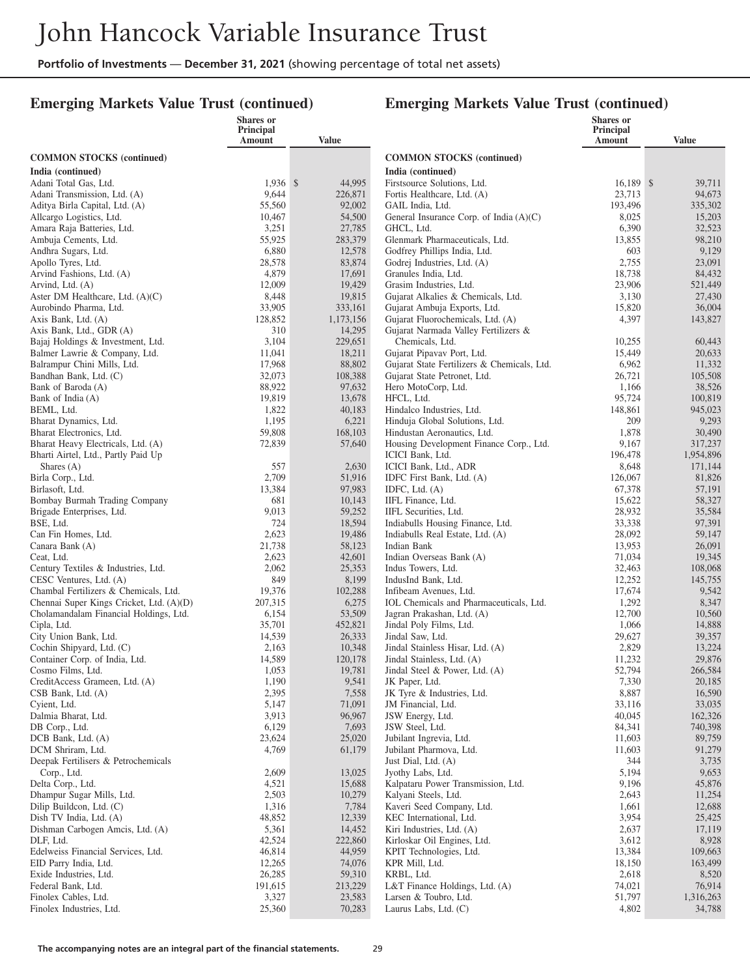#### **Emerging Markets Value Trust (continued)**

|                                                    | Shares or<br><b>Principal</b> |                      |                                                                   | <b>Shares</b> or<br>Principal |                   |
|----------------------------------------------------|-------------------------------|----------------------|-------------------------------------------------------------------|-------------------------------|-------------------|
|                                                    | Amount                        | Value                |                                                                   | Amount                        | <b>Value</b>      |
| <b>COMMON STOCKS</b> (continued)                   |                               |                      | <b>COMMON STOCKS</b> (continued)                                  |                               |                   |
| India (continued)                                  |                               |                      | India (continued)                                                 |                               |                   |
| Adani Total Gas, Ltd.                              | $1,936$ \$                    | 44,995               | Firstsource Solutions, Ltd.                                       | 16.189 \$                     | 39,711            |
| Adani Transmission, Ltd. (A)                       | 9,644                         | 226,871              | Fortis Healthcare, Ltd. (A)                                       | 23,713                        | 94,673            |
| Aditya Birla Capital, Ltd. (A)                     | 55,560                        | 92,002               | GAIL India, Ltd.                                                  | 193,496                       | 335,302           |
| Allcargo Logistics, Ltd.                           | 10,467                        | 54,500               | General Insurance Corp. of India (A)(C)                           | 8,025                         | 15,203            |
| Amara Raja Batteries, Ltd.                         | 3,251                         | 27,785               | GHCL, Ltd.                                                        | 6,390                         | 32,523            |
| Ambuja Cements, Ltd.                               | 55,925                        | 283,379              | Glenmark Pharmaceuticals, Ltd.                                    | 13,855                        | 98,210            |
| Andhra Sugars, Ltd.                                | 6,880                         | 12,578               | Godfrey Phillips India, Ltd.                                      | 603                           | 9,129             |
| Apollo Tyres, Ltd.                                 | 28,578                        | 83,874               | Godrej Industries, Ltd. (A)                                       | 2,755                         | 23,091            |
| Arvind Fashions, Ltd. (A)                          | 4,879                         | 17,691               | Granules India, Ltd.                                              | 18,738                        | 84,432            |
| Arvind, Ltd. (A)                                   | 12,009                        | 19,429               | Grasim Industries, Ltd.                                           | 23,906                        | 521,449           |
| Aster DM Healthcare, Ltd. $(A)(C)$                 | 8,448                         | 19,815               | Gujarat Alkalies & Chemicals, Ltd.                                | 3,130                         | 27,430            |
| Aurobindo Pharma, Ltd.                             | 33,905<br>128,852             | 333,161<br>1,173,156 | Gujarat Ambuja Exports, Ltd.<br>Gujarat Fluorochemicals, Ltd. (A) | 15,820<br>4,397               | 36,004<br>143,827 |
| Axis Bank, Ltd. (A)<br>Axis Bank, Ltd., GDR (A)    | 310                           | 14,295               | Gujarat Narmada Valley Fertilizers &                              |                               |                   |
| Bajaj Holdings & Investment, Ltd.                  | 3,104                         | 229,651              | Chemicals, Ltd.                                                   | 10,255                        | 60,443            |
| Balmer Lawrie & Company, Ltd.                      | 11,041                        | 18,211               | Gujarat Pipavav Port, Ltd.                                        | 15,449                        | 20,633            |
| Balrampur Chini Mills, Ltd.                        | 17,968                        | 88,802               | Gujarat State Fertilizers & Chemicals, Ltd.                       | 6,962                         | 11,332            |
| Bandhan Bank, Ltd. (C)                             | 32,073                        | 108,388              | Gujarat State Petronet, Ltd.                                      | 26,721                        | 105,508           |
| Bank of Baroda (A)                                 | 88,922                        | 97,632               | Hero MotoCorp, Ltd.                                               | 1,166                         | 38,526            |
| Bank of India (A)                                  | 19,819                        | 13,678               | HFCL, Ltd.                                                        | 95,724                        | 100,819           |
| BEML, Ltd.                                         | 1,822                         | 40,183               | Hindalco Industries, Ltd.                                         | 148,861                       | 945,023           |
| Bharat Dynamics, Ltd.                              | 1,195                         | 6,221                | Hinduja Global Solutions, Ltd.                                    | 209                           | 9,293             |
| Bharat Electronics, Ltd.                           | 59,808                        | 168,103              | Hindustan Aeronautics, Ltd.                                       | 1,878                         | 30,490            |
| Bharat Heavy Electricals, Ltd. (A)                 | 72,839                        | 57,640               | Housing Development Finance Corp., Ltd.                           | 9,167                         | 317,237           |
| Bharti Airtel, Ltd., Partly Paid Up                |                               |                      | ICICI Bank, Ltd.                                                  | 196,478                       | 1,954,896         |
| Shares $(A)$                                       | 557                           | 2,630                | ICICI Bank, Ltd., ADR                                             | 8,648                         | 171,144           |
| Birla Corp., Ltd.<br>Birlasoft, Ltd.               | 2,709<br>13,384               | 51,916<br>97,983     | IDFC First Bank, Ltd. (A)                                         | 126,067<br>67,378             | 81,826<br>57,191  |
| Bombay Burmah Trading Company                      | 681                           | 10,143               | IDFC, Ltd. $(A)$<br>IIFL Finance, Ltd.                            | 15,622                        | 58,327            |
| Brigade Enterprises, Ltd.                          | 9,013                         | 59,252               | IIFL Securities, Ltd.                                             | 28,932                        | 35,584            |
| BSE, Ltd.                                          | 724                           | 18,594               | Indiabulls Housing Finance, Ltd.                                  | 33,338                        | 97,391            |
| Can Fin Homes, Ltd.                                | 2,623                         | 19,486               | Indiabulls Real Estate, Ltd. (A)                                  | 28,092                        | 59,147            |
| Canara Bank (A)                                    | 21,738                        | 58,123               | Indian Bank                                                       | 13,953                        | 26,091            |
| Ceat, Ltd.                                         | 2,623                         | 42,601               | Indian Overseas Bank (A)                                          | 71,034                        | 19,345            |
| Century Textiles & Industries, Ltd.                | 2,062                         | 25,353               | Indus Towers, Ltd.                                                | 32,463                        | 108,068           |
| CESC Ventures, Ltd. (A)                            | 849                           | 8,199                | IndusInd Bank, Ltd.                                               | 12,252                        | 145,755           |
| Chambal Fertilizers & Chemicals, Ltd.              | 19,376                        | 102,288              | Infibeam Avenues, Ltd.                                            | 17,674                        | 9,542             |
| Chennai Super Kings Cricket, Ltd. (A)(D)           | 207,315                       | 6,275                | IOL Chemicals and Pharmaceuticals, Ltd.                           | 1,292                         | 8,347             |
| Cholamandalam Financial Holdings, Ltd.             | 6,154                         | 53,509               | Jagran Prakashan, Ltd. (A)                                        | 12,700                        | 10,560            |
| Cipla, Ltd.                                        | 35,701                        | 452,821              | Jindal Poly Films, Ltd.                                           | 1,066                         | 14,888            |
| City Union Bank, Ltd.<br>Cochin Shipyard, Ltd. (C) | 14,539<br>2,163               | 26,333<br>10,348     | Jindal Saw, Ltd.<br>Jindal Stainless Hisar, Ltd. (A)              | 29,627<br>2,829               | 39,357<br>13,224  |
| Container Corp. of India, Ltd.                     | 14,589                        | 120,178              | Jindal Stainless, Ltd. (A)                                        | 11,232                        | 29,876            |
| Cosmo Films, Ltd.                                  | 1,053                         | 19,781               | Jindal Steel & Power, Ltd. (A)                                    | 52,794                        | 266,584           |
| CreditAccess Grameen, Ltd. (A)                     | 1,190                         | 9,541                | JK Paper, Ltd.                                                    | 7,330                         | 20,185            |
| CSB Bank, Ltd. (A)                                 | 2,395                         | 7,558                | JK Tyre & Industries, Ltd.                                        | 8,887                         | 16,590            |
| Cyient, Ltd.                                       | 5,147                         | 71,091               | JM Financial, Ltd.                                                | 33,116                        | 33,035            |
| Dalmia Bharat, Ltd.                                | 3,913                         | 96,967               | JSW Energy, Ltd.                                                  | 40,045                        | 162,326           |
| DB Corp., Ltd.                                     | 6,129                         | 7,693                | JSW Steel, Ltd.                                                   | 84,341                        | 740,398           |
| DCB Bank, Ltd. (A)                                 | 23,624                        | 25,020               | Jubilant Ingrevia, Ltd.                                           | 11,603                        | 89,759            |
| DCM Shriram, Ltd.                                  | 4,769                         | 61,179               | Jubilant Pharmova, Ltd.                                           | 11,603                        | 91,279            |
| Deepak Fertilisers & Petrochemicals                |                               |                      | Just Dial, Ltd. (A)                                               | 344                           | 3,735             |
| Corp., Ltd.<br>Delta Corp., Ltd.                   | 2,609<br>4,521                | 13,025<br>15,688     | Jyothy Labs, Ltd.<br>Kalpataru Power Transmission, Ltd.           | 5,194<br>9,196                | 9,653<br>45,876   |
| Dhampur Sugar Mills, Ltd.                          | 2,503                         | 10,279               | Kalyani Steels, Ltd.                                              | 2,643                         | 11,254            |
| Dilip Buildcon, Ltd. (C)                           | 1,316                         | 7,784                | Kaveri Seed Company, Ltd.                                         | 1,661                         | 12,688            |
| Dish TV India, Ltd. (A)                            | 48,852                        | 12,339               | KEC International, Ltd.                                           | 3,954                         | 25,425            |
| Dishman Carbogen Amcis, Ltd. (A)                   | 5,361                         | 14,452               | Kiri Industries, Ltd. (A)                                         | 2,637                         | 17,119            |
| DLF, Ltd.                                          | 42,524                        | 222,860              | Kirloskar Oil Engines, Ltd.                                       | 3,612                         | 8,928             |
| Edelweiss Financial Services, Ltd.                 | 46,814                        | 44,959               | KPIT Technologies, Ltd.                                           | 13,384                        | 109,663           |
| EID Parry India, Ltd.                              | 12,265                        | 74,076               | KPR Mill, Ltd.                                                    | 18,150                        | 163,499           |
| Exide Industries, Ltd.                             | 26,285                        | 59,310               | KRBL, Ltd.                                                        | 2,618                         | 8,520             |
| Federal Bank, Ltd.                                 | 191,615                       | 213,229              | L&T Finance Holdings, Ltd. $(A)$                                  | 74,021                        | 76,914            |
| Finolex Cables, Ltd.                               | 3,327                         | 23,583               | Larsen & Toubro, Ltd.                                             | 51,797                        | 1,316,263         |
| Finolex Industries, Ltd.                           | 25,360                        | 70,283               | Laurus Labs, Ltd. (C)                                             | 4,802                         | 34,788            |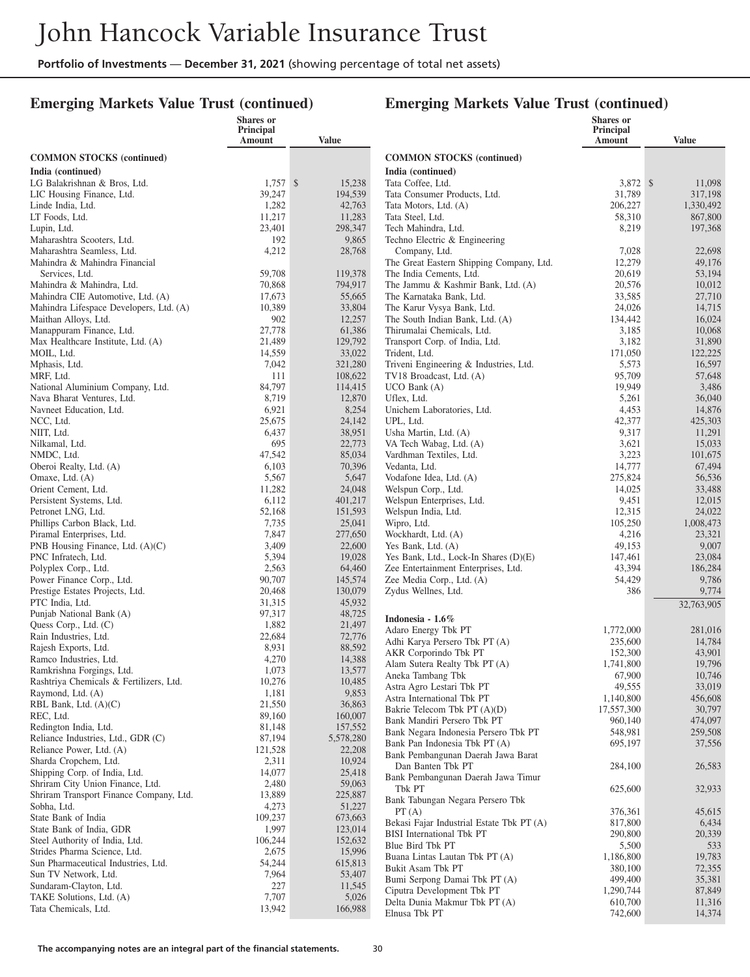#### **Emerging Markets Value Trust (continued)**

|                                                                | Shares or            |                   |                                                                | <b>Shares</b> or    |                   |
|----------------------------------------------------------------|----------------------|-------------------|----------------------------------------------------------------|---------------------|-------------------|
|                                                                | Principal<br>Amount  | Value             |                                                                | Principal<br>Amount | <b>Value</b>      |
|                                                                |                      |                   |                                                                |                     |                   |
| <b>COMMON STOCKS</b> (continued)                               |                      |                   | <b>COMMON STOCKS</b> (continued)                               |                     |                   |
| India (continued)                                              |                      |                   | India (continued)                                              |                     |                   |
| LG Balakrishnan & Bros, Ltd.<br>LIC Housing Finance, Ltd.      | $1,757$ \$<br>39,247 | 15,238<br>194,539 | Tata Coffee, Ltd.<br>Tata Consumer Products, Ltd.              | 3,872 \$<br>31,789  | 11,098<br>317,198 |
| Linde India, Ltd.                                              | 1,282                | 42,763            | Tata Motors, Ltd. (A)                                          | 206,227             | 1,330,492         |
| LT Foods, Ltd.                                                 | 11,217               | 11,283            | Tata Steel, Ltd.                                               | 58,310              | 867,800           |
| Lupin, Ltd.                                                    | 23,401               | 298,347           | Tech Mahindra, Ltd.                                            | 8,219               | 197,368           |
| Maharashtra Scooters, Ltd.                                     | 192                  | 9,865             | Techno Electric & Engineering                                  |                     |                   |
| Maharashtra Seamless, Ltd.                                     | 4,212                | 28,768            | Company, Ltd.                                                  | 7,028               | 22,698            |
| Mahindra & Mahindra Financial                                  |                      |                   | The Great Eastern Shipping Company, Ltd.                       | 12,279              | 49,176            |
| Services, Ltd.                                                 | 59,708               | 119,378           | The India Cements, Ltd.                                        | 20,619              | 53,194            |
| Mahindra & Mahindra, Ltd.<br>Mahindra CIE Automotive, Ltd. (A) | 70,868               | 794,917           | The Jammu & Kashmir Bank, Ltd. (A)<br>The Karnataka Bank, Ltd. | 20,576              | 10,012            |
| Mahindra Lifespace Developers, Ltd. (A)                        | 17,673<br>10,389     | 55,665<br>33,804  | The Karur Vysya Bank, Ltd.                                     | 33,585<br>24,026    | 27,710<br>14,715  |
| Maithan Alloys, Ltd.                                           | 902                  | 12,257            | The South Indian Bank, Ltd. (A)                                | 134,442             | 16,024            |
| Manappuram Finance, Ltd.                                       | 27,778               | 61,386            | Thirumalai Chemicals, Ltd.                                     | 3,185               | 10,068            |
| Max Healthcare Institute, Ltd. (A)                             | 21,489               | 129,792           | Transport Corp. of India, Ltd.                                 | 3,182               | 31,890            |
| MOIL, Ltd.                                                     | 14,559               | 33,022            | Trident, Ltd.                                                  | 171,050             | 122,225           |
| Mphasis, Ltd.                                                  | 7,042                | 321,280           | Triveni Engineering & Industries, Ltd.                         | 5,573               | 16,597            |
| MRF, Ltd.                                                      | 111                  | 108,622           | TV18 Broadcast, Ltd. (A)                                       | 95,709              | 57,648            |
| National Aluminium Company, Ltd.                               | 84,797               | 114,415           | $UCO$ Bank $(A)$                                               | 19,949              | 3,486             |
| Nava Bharat Ventures, Ltd.                                     | 8,719                | 12,870            | Uflex, Ltd.                                                    | 5,261               | 36,040            |
| Navneet Education, Ltd.                                        | 6,921                | 8,254             | Unichem Laboratories, Ltd.                                     | 4,453               | 14,876            |
| NCC, Ltd.<br>NIIT, Ltd.                                        | 25,675<br>6,437      | 24,142<br>38,951  | UPL, Ltd.<br>Usha Martin, Ltd. (A)                             | 42,377<br>9,317     | 425,303<br>11,291 |
| Nilkamal, Ltd.                                                 | 695                  | 22,773            | VA Tech Wabag, Ltd. (A)                                        | 3,621               | 15,033            |
| NMDC, Ltd.                                                     | 47,542               | 85,034            | Vardhman Textiles, Ltd.                                        | 3,223               | 101,675           |
| Oberoi Realty, Ltd. (A)                                        | 6,103                | 70,396            | Vedanta, Ltd.                                                  | 14,777              | 67,494            |
| Omaxe, Ltd. (A)                                                | 5,567                | 5,647             | Vodafone Idea, Ltd. (A)                                        | 275,824             | 56,536            |
| Orient Cement, Ltd.                                            | 11,282               | 24,048            | Welspun Corp., Ltd.                                            | 14,025              | 33,488            |
| Persistent Systems, Ltd.                                       | 6,112                | 401,217           | Welspun Enterprises, Ltd.                                      | 9,451               | 12,015            |
| Petronet LNG, Ltd.                                             | 52,168               | 151,593           | Welspun India, Ltd.                                            | 12,315              | 24,022            |
| Phillips Carbon Black, Ltd.                                    | 7,735                | 25,041            | Wipro, Ltd.                                                    | 105,250<br>4,216    | 1,008,473         |
| Piramal Enterprises, Ltd.<br>PNB Housing Finance, Ltd. (A)(C)  | 7,847<br>3,409       | 277,650<br>22,600 | Wockhardt, Ltd. (A)<br>Yes Bank, Ltd. (A)                      | 49,153              | 23,321<br>9,007   |
| PNC Infratech, Ltd.                                            | 5,394                | 19,028            | Yes Bank, Ltd., Lock-In Shares (D)(E)                          | 147,461             | 23,084            |
| Polyplex Corp., Ltd.                                           | 2,563                | 64,460            | Zee Entertainment Enterprises, Ltd.                            | 43,394              | 186,284           |
| Power Finance Corp., Ltd.                                      | 90,707               | 145,574           | Zee Media Corp., Ltd. (A)                                      | 54,429              | 9,786             |
| Prestige Estates Projects, Ltd.                                | 20,468               | 130,079           | Zydus Wellnes, Ltd.                                            | 386                 | 9,774             |
| PTC India, Ltd.                                                | 31,315               | 45,932            |                                                                |                     | 32,763,905        |
| Punjab National Bank (A)                                       | 97,317               | 48,725            | Indonesia - 1.6%                                               |                     |                   |
| Quess Corp., Ltd. (C)                                          | 1,882                | 21,497            | Adaro Energy Tbk PT                                            | 1,772,000           | 281.016           |
| Rain Industries, Ltd.<br>Rajesh Exports, Ltd.                  | 22,684<br>8,931      | 72,776<br>88,592  | Adhi Karya Persero Tbk PT (A)                                  | 235,600             | 14,784            |
| Ramco Industries, Ltd.                                         | 4,270                | 14,388            | AKR Corporindo Tbk PT                                          | 152,300             | 43,901            |
| Ramkrishna Forgings, Ltd.                                      | 1,073                | 13,577            | Alam Sutera Realty Tbk PT (A)                                  | 1,741,800           | 19,796            |
| Rashtriya Chemicals & Fertilizers, Ltd.                        | 10,276               | 10,485            | Aneka Tambang Tbk                                              | 67,900              | 10,746            |
| Raymond, Ltd. (A)                                              | 1,181                | 9,853             | Astra Agro Lestari Tbk PT<br>Astra International Tbk PT        | 49,555<br>1,140,800 | 33,019<br>456,608 |
| RBL Bank, Ltd. $(A)(C)$                                        | 21,550               | 36,863            | Bakrie Telecom Tbk PT (A)(D)                                   | 17,557,300          | 30,797            |
| REC, Ltd.                                                      | 89,160               | 160,007           | Bank Mandiri Persero Tbk PT                                    | 960,140             | 474,097           |
| Redington India, Ltd.                                          | 81,148               | 157,552           | Bank Negara Indonesia Persero Tbk PT                           | 548,981             | 259,508           |
| Reliance Industries, Ltd., GDR (C)                             | 87,194               | 5,578,280         | Bank Pan Indonesia Tbk PT (A)                                  | 695,197             | 37,556            |
| Reliance Power, Ltd. (A)<br>Sharda Cropchem, Ltd.              | 121,528<br>2,311     | 22,208<br>10,924  | Bank Pembangunan Daerah Jawa Barat                             |                     |                   |
| Shipping Corp. of India, Ltd.                                  | 14,077               | 25,418            | Dan Banten Tbk PT                                              | 284,100             | 26,583            |
| Shriram City Union Finance, Ltd.                               | 2,480                | 59,063            | Bank Pembangunan Daerah Jawa Timur                             |                     |                   |
| Shriram Transport Finance Company, Ltd.                        | 13,889               | 225,887           | Tbk PT                                                         | 625,600             | 32,933            |
| Sobha, Ltd.                                                    | 4,273                | 51,227            | Bank Tabungan Negara Persero Tbk<br>PT(A)                      | 376,361             | 45,615            |
| State Bank of India                                            | 109,237              | 673,663           | Bekasi Fajar Industrial Estate Tbk PT (A)                      | 817,800             | 6,434             |
| State Bank of India, GDR                                       | 1,997                | 123,014           | <b>BISI</b> International Tbk PT                               | 290,800             | 20,339            |
| Steel Authority of India, Ltd.                                 | 106,244              | 152,632           | Blue Bird Tbk PT                                               | 5,500               | 533               |
| Strides Pharma Science, Ltd.                                   | 2,675                | 15,996            | Buana Lintas Lautan Tbk PT (A)                                 | 1,186,800           | 19,783            |
| Sun Pharmaceutical Industries, Ltd.<br>Sun TV Network, Ltd.    | 54,244<br>7,964      | 615,813<br>53,407 | Bukit Asam Tbk PT                                              | 380,100             | 72,355            |
| Sundaram-Clayton, Ltd.                                         | 227                  | 11,545            | Bumi Serpong Damai Tbk PT (A)                                  | 499,400             | 35,381            |
| TAKE Solutions, Ltd. (A)                                       | 7,707                | 5,026             | Ciputra Development Tbk PT                                     | 1,290,744           | 87,849            |
| Tata Chemicals, Ltd.                                           | 13,942               | 166,988           | Delta Dunia Makmur Tbk PT (A)                                  | 610,700             | 11,316            |
|                                                                |                      |                   | Elnusa Tbk PT                                                  | 742,600             | 14,374            |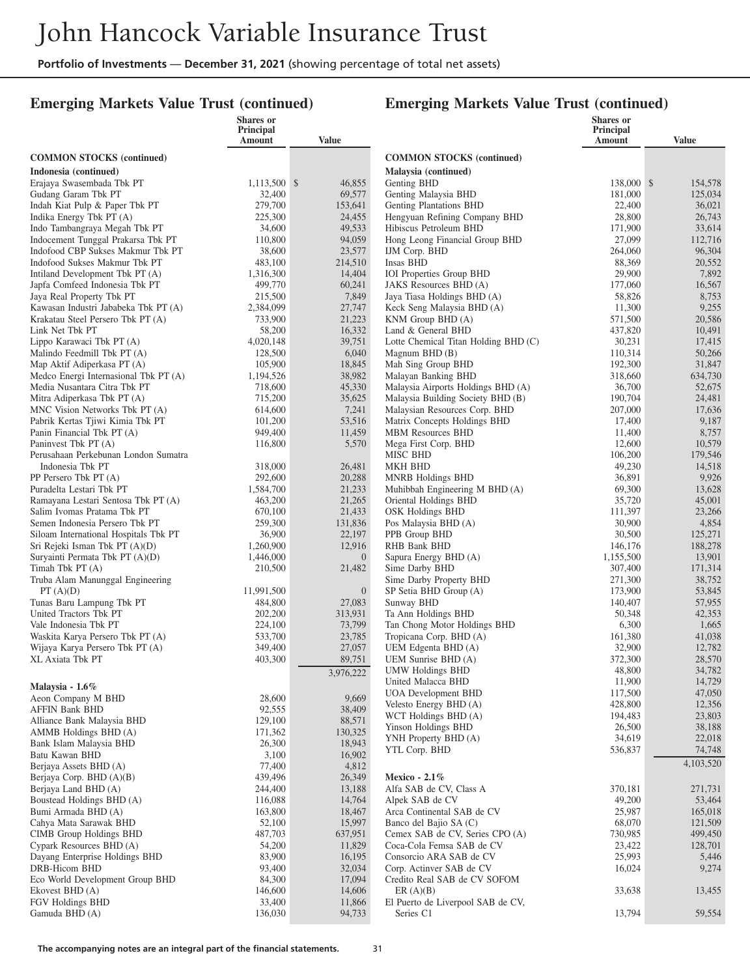#### **Emerging Markets Value Trust (continued)**

|                                                                   | Shares or            |                   |                                                              | <b>Shares</b> or    |                    |
|-------------------------------------------------------------------|----------------------|-------------------|--------------------------------------------------------------|---------------------|--------------------|
|                                                                   | Principal<br>Amount  | Value             |                                                              | Principal<br>Amount | <b>Value</b>       |
| <b>COMMON STOCKS (continued)</b>                                  |                      |                   | <b>COMMON STOCKS (continued)</b>                             |                     |                    |
| Indonesia (continued)                                             |                      |                   | Malaysia (continued)                                         |                     |                    |
| Erajaya Swasembada Tbk PT                                         | 1,113,500 \$         | 46,855            | Genting BHD                                                  | 138,000 \$          | 154,578            |
| Gudang Garam Tbk PT                                               | 32,400               | 69,577            | Genting Malaysia BHD                                         | 181,000             | 125,034            |
| Indah Kiat Pulp & Paper Tbk PT                                    | 279,700              | 153,641           | Genting Plantations BHD                                      | 22,400              | 36,021             |
| Indika Energy Tbk PT (A)                                          | 225,300              | 24,455            | Hengyuan Refining Company BHD                                | 28,800              | 26,743             |
| Indo Tambangraya Megah Tbk PT                                     | 34,600               | 49,533            | Hibiscus Petroleum BHD                                       | 171,900             | 33,614             |
| Indocement Tunggal Prakarsa Tbk PT                                | 110,800              | 94,059            | Hong Leong Financial Group BHD                               | 27,099              | 112,716            |
| Indofood CBP Sukses Makmur Tbk PT                                 | 38,600               | 23,577            | IJM Corp. BHD                                                | 264,060             | 96,304             |
| Indofood Sukses Makmur Tbk PT                                     | 483,100              | 214,510           | Insas BHD                                                    | 88,369              | 20,552             |
| Intiland Development Tbk PT (A)                                   | 1,316,300            | 14,404            | <b>IOI</b> Properties Group BHD                              | 29,900              | 7,892              |
| Japfa Comfeed Indonesia Tbk PT                                    | 499,770              | 60,241            | JAKS Resources BHD (A)                                       | 177,060             | 16,567             |
| Jaya Real Property Tbk PT<br>Kawasan Industri Jababeka Tbk PT (A) | 215,500<br>2,384,099 | 7,849<br>27,747   | Jaya Tiasa Holdings BHD (A)<br>Keck Seng Malaysia BHD (A)    | 58,826<br>11,300    | 8,753<br>9,255     |
| Krakatau Steel Persero Tbk PT (A)                                 | 733,900              | 21,223            | KNM Group BHD (A)                                            | 571,500             | 20,586             |
| Link Net Tbk PT                                                   | 58,200               | 16,332            | Land & General BHD                                           | 437,820             | 10,491             |
| Lippo Karawaci Tbk PT (A)                                         | 4,020,148            | 39,751            | Lotte Chemical Titan Holding BHD (C)                         | 30,231              | 17,415             |
| Malindo Feedmill Tbk PT (A)                                       | 128,500              | 6,040             | Magnum BHD (B)                                               | 110,314             | 50,266             |
| Map Aktif Adiperkasa PT (A)                                       | 105,900              | 18,845            | Mah Sing Group BHD                                           | 192,300             | 31,847             |
| Medco Energi Internasional Tbk PT (A)                             | 1,194,526            | 38,982            | Malayan Banking BHD                                          | 318,660             | 634,730            |
| Media Nusantara Citra Tbk PT                                      | 718,600              | 45,330            | Malaysia Airports Holdings BHD (A)                           | 36,700              | 52,675             |
| Mitra Adiperkasa Tbk PT (A)                                       | 715,200              | 35,625            | Malaysia Building Society BHD (B)                            | 190,704             | 24,481             |
| MNC Vision Networks Tbk PT (A)                                    | 614,600              | 7,241             | Malaysian Resources Corp. BHD                                | 207,000             | 17,636             |
| Pabrik Kertas Tjiwi Kimia Tbk PT                                  | 101,200              | 53,516            | Matrix Concepts Holdings BHD                                 | 17,400              | 9,187              |
| Panin Financial Tbk PT (A)                                        | 949,400              | 11,459            | <b>MBM Resources BHD</b>                                     | 11,400              | 8,757              |
| Paninvest Tbk PT (A)                                              | 116,800              | 5,570             | Mega First Corp. BHD                                         | 12,600              | 10,579             |
| Perusahaan Perkebunan London Sumatra                              |                      |                   | MISC BHD                                                     | 106,200             | 179,546            |
| Indonesia Tbk PT                                                  | 318,000              | 26,481            | <b>MKH BHD</b>                                               | 49,230              | 14,518             |
| PP Persero Tbk PT (A)<br>Puradelta Lestari Tbk PT                 | 292,600<br>1,584,700 | 20,288<br>21,233  | MNRB Holdings BHD<br>Muhibbah Engineering M BHD (A)          | 36,891<br>69,300    | 9,926<br>13,628    |
| Ramayana Lestari Sentosa Tbk PT (A)                               | 463,200              | 21,265            | Oriental Holdings BHD                                        | 35,720              | 45,001             |
| Salim Ivomas Pratama Tbk PT                                       | 670,100              | 21,433            | <b>OSK Holdings BHD</b>                                      | 111,397             | 23,266             |
| Semen Indonesia Persero Tbk PT                                    | 259,300              | 131,836           | Pos Malaysia BHD (A)                                         | 30,900              | 4,854              |
| Siloam International Hospitals Tbk PT                             | 36,900               | 22,197            | PPB Group BHD                                                | 30,500              | 125,271            |
| Sri Rejeki Isman Tbk PT (A)(D)                                    | 1,260,900            | 12,916            | RHB Bank BHD                                                 | 146,176             | 188,278            |
| Suryainti Permata Tbk PT (A)(D)                                   | 1,446,000            | $\overline{0}$    | Sapura Energy BHD (A)                                        | 1,155,500           | 13,901             |
| Timah Tbk PT (A)                                                  | 210,500              | 21,482            | Sime Darby BHD                                               | 307,400             | 171,314            |
| Truba Alam Manunggal Engineering                                  |                      |                   | Sime Darby Property BHD                                      | 271,300             | 38,752             |
| PT(A)(D)                                                          | 11,991,500           | $\overline{0}$    | SP Setia BHD Group (A)                                       | 173,900             | 53,845             |
| Tunas Baru Lampung Tbk PT<br>United Tractors Tbk PT               | 484,800              | 27,083            | Sunway BHD                                                   | 140,407             | 57,955             |
| Vale Indonesia Tbk PT                                             | 202,200<br>224,100   | 313,931<br>73,799 | Ta Ann Holdings BHD<br>Tan Chong Motor Holdings BHD          | 50,348<br>6,300     | 42,353<br>1,665    |
| Waskita Karya Persero Tbk PT (A)                                  | 533,700              | 23,785            | Tropicana Corp. BHD (A)                                      | 161,380             | 41,038             |
| Wijaya Karya Persero Tbk PT (A)                                   | 349,400              | 27,057            | UEM Edgenta BHD (A)                                          | 32,900              | 12,782             |
| <b>XL Axiata Tbk PT</b>                                           | 403,300              | 89,751            | UEM Sunrise BHD (A)                                          | 372,300             | 28,570             |
|                                                                   |                      | 3,976,222         | <b>UMW Holdings BHD</b>                                      | 48,800              | 34.782             |
| Malaysia - 1.6%                                                   |                      |                   | United Malacca BHD                                           | 11,900              | 14,729             |
| Aeon Company M BHD                                                | 28,600               | 9,669             | <b>UOA</b> Development BHD                                   | 117,500             | 47,050             |
| <b>AFFIN Bank BHD</b>                                             | 92,555               | 38,409            | Velesto Energy BHD (A)                                       | 428,800             | 12,356             |
| Alliance Bank Malaysia BHD                                        | 129,100              | 88,571            | WCT Holdings BHD (A)                                         | 194,483             | 23,803             |
| AMMB Holdings BHD (A)                                             | 171,362              | 130,325           | Yinson Holdings BHD                                          | 26,500              | 38,188             |
| Bank Islam Malaysia BHD                                           | 26,300               | 18,943            | YNH Property BHD (A)                                         | 34,619              | 22,018             |
| Batu Kawan BHD                                                    | 3,100                | 16,902            | YTL Corp. BHD                                                | 536,837             | 74,748             |
| Berjaya Assets BHD (A)                                            | 77,400               | 4,812             |                                                              |                     | 4,103,520          |
| Berjaya Corp. BHD (A)(B)                                          | 439,496              | 26,349            | Mexico - $2.1\%$                                             |                     |                    |
| Berjaya Land BHD (A)                                              | 244,400              | 13,188            | Alfa SAB de CV, Class A                                      | 370,181             | 271,731            |
| Boustead Holdings BHD (A)                                         | 116,088              | 14,764            | Alpek SAB de CV                                              | 49,200              | 53,464             |
| Bumi Armada BHD (A)                                               | 163,800              | 18,467            | Arca Continental SAB de CV                                   | 25,987              | 165,018            |
| Cahya Mata Sarawak BHD                                            | 52,100               | 15,997            | Banco del Bajio SA (C)                                       | 68,070              | 121,509<br>499,450 |
| <b>CIMB Group Holdings BHD</b><br>Cypark Resources BHD (A)        | 487,703<br>54,200    | 637,951<br>11,829 | Cemex SAB de CV, Series CPO (A)<br>Coca-Cola Femsa SAB de CV | 730,985<br>23,422   | 128,701            |
| Dayang Enterprise Holdings BHD                                    | 83,900               | 16,195            | Consorcio ARA SAB de CV                                      | 25,993              | 5,446              |
| DRB-Hicom BHD                                                     | 93,400               | 32,034            | Corp. Actinver SAB de CV                                     | 16,024              | 9,274              |
| Eco World Development Group BHD                                   | 84,300               | 17,094            | Credito Real SAB de CV SOFOM                                 |                     |                    |
| Ekovest BHD (A)                                                   | 146,600              | 14,606            | ER(A)(B)                                                     | 33,638              | 13,455             |
| FGV Holdings BHD                                                  | 33,400               | 11,866            | El Puerto de Liverpool SAB de CV,                            |                     |                    |
| Gamuda BHD (A)                                                    | 136,030              | 94,733            | Series C1                                                    | 13,794              | 59,554             |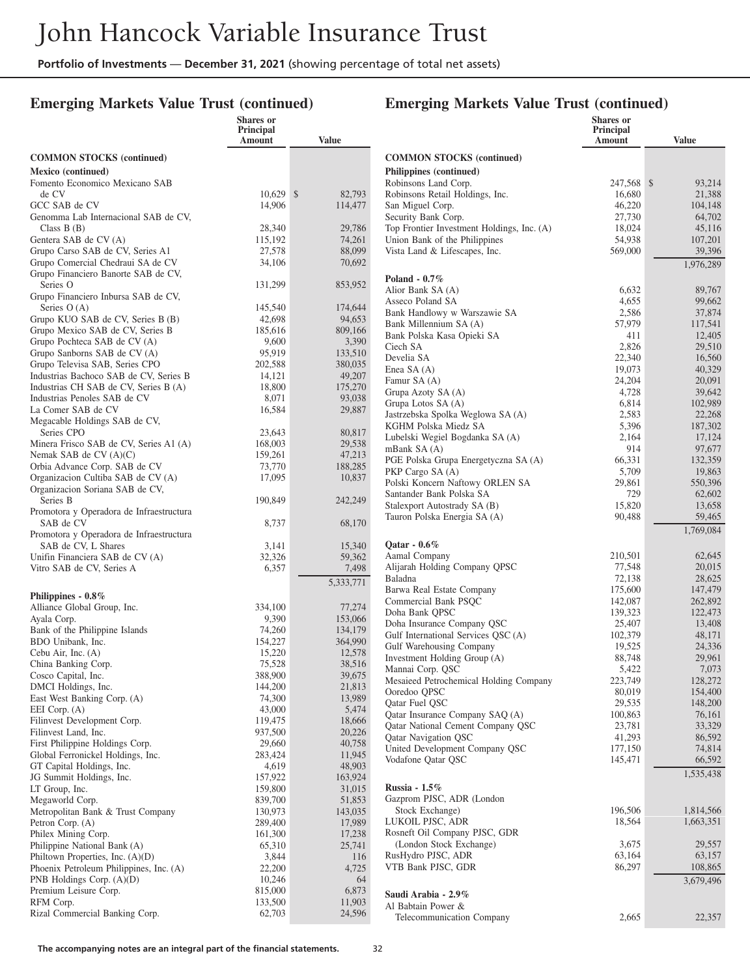### **Emerging Markets Value Trust (continued)**

|                                                                          | Shares or<br><b>Principal</b><br>Amount | <b>Value</b>       |
|--------------------------------------------------------------------------|-----------------------------------------|--------------------|
| <b>COMMON STOCKS</b> (continued)                                         |                                         |                    |
| Mexico (continued)                                                       |                                         |                    |
| Fomento Economico Mexicano SAB                                           |                                         |                    |
| de CV                                                                    | 10,629                                  | \$<br>82,793       |
| GCC SAB de CV<br>Genomma Lab Internacional SAB de CV,                    | 14,906                                  | 114,477            |
| Class $B(B)$                                                             | 28,340                                  | 29,786             |
| Gentera SAB de CV (A)                                                    | 115,192                                 | 74,261             |
| Grupo Carso SAB de CV, Series A1                                         | 27,578                                  | 88,099             |
| Grupo Comercial Chedraui SA de CV<br>Grupo Financiero Banorte SAB de CV, | 34,106                                  | 70,692             |
| Series O<br>Grupo Financiero Inbursa SAB de CV,                          | 131,299                                 | 853,952            |
| Series $O(A)$                                                            | 145,540                                 | 174,644            |
| Grupo KUO SAB de CV, Series B (B)                                        | 42,698                                  | 94,653             |
| Grupo Mexico SAB de CV, Series B                                         | 185,616                                 | 809,166            |
| Grupo Pochteca SAB de CV (A)                                             | 9,600                                   | 3,390              |
| Grupo Sanborns SAB de CV (A)<br>Grupo Televisa SAB, Series CPO           | 95,919<br>202,588                       | 133,510<br>380,035 |
| Industrias Bachoco SAB de CV, Series B                                   | 14,121                                  | 49,207             |
| Industrias CH SAB de CV, Series B (A)                                    | 18,800                                  | 175,270            |
| Industrias Penoles SAB de CV                                             | 8,071                                   | 93,038             |
| La Comer SAB de CV                                                       | 16,584                                  | 29,887             |
| Megacable Holdings SAB de CV,                                            |                                         |                    |
| Series CPO                                                               | 23,643                                  | 80,817             |
| Minera Frisco SAB de CV, Series A1 (A)<br>Nemak SAB de $CV(A)(C)$        | 168,003<br>159,261                      | 29,538<br>47,213   |
| Orbia Advance Corp. SAB de CV                                            | 73,770                                  | 188,285            |
| Organizacion Cultiba SAB de CV (A)                                       | 17,095                                  | 10,837             |
| Organizacion Soriana SAB de CV,                                          |                                         |                    |
| Series B                                                                 | 190,849                                 | 242,249            |
| Promotora y Operadora de Infraestructura<br>SAB de CV                    | 8,737                                   | 68,170             |
| Promotora y Operadora de Infraestructura<br>SAB de CV, L Shares          | 3,141                                   | 15,340             |
| Unifin Financiera SAB de CV (A)                                          | 32,326                                  | 59,362             |
| Vitro SAB de CV, Series A                                                | 6,357                                   | 7,498              |
|                                                                          |                                         | 5,333,771          |
| Philippines - $0.8\%$                                                    |                                         |                    |
| Alliance Global Group, Inc.                                              | 334,100                                 | 77,274             |
| Ayala Corp.                                                              | 9,390                                   | 153,066            |
| Bank of the Philippine Islands                                           | 74,260                                  | 134,179            |
| BDO Unibank, Inc.<br>Cebu Air, Inc. (A)                                  | 154,227<br>15,220                       | 364,990<br>12,578  |
| China Banking Corp.                                                      | 75,528                                  | 38,516             |
| Cosco Capital, Inc.                                                      | 388,900                                 | 39,675             |
| DMCI Holdings, Inc.                                                      | 144,200                                 | 21,813             |
| East West Banking Corp. (A)                                              | 74,300                                  | 13,989             |
| EEI Corp. $(A)$                                                          | 43,000                                  | 5,474              |
| Filinvest Development Corp.                                              | 119,475                                 | 18,666             |
| Filinvest Land, Inc.<br>First Philippine Holdings Corp.                  | 937,500<br>29,660                       | 20,226<br>40,758   |
| Global Ferronickel Holdings, Inc.                                        | 283,424                                 | 11,945             |
| GT Capital Holdings, Inc.                                                | 4,619                                   | 48,903             |
| JG Summit Holdings, Inc.                                                 | 157,922                                 | 163,924            |
| LT Group, Inc.                                                           | 159,800                                 | 31,015             |
| Megaworld Corp.                                                          | 839,700                                 | 51,853             |
| Metropolitan Bank & Trust Company                                        | 130,973<br>289,400                      | 143,035            |
| Petron Corp. (A)<br>Philex Mining Corp.                                  | 161,300                                 | 17,989<br>17,238   |
| Philippine National Bank (A)                                             | 65,310                                  | 25,741             |
| Philtown Properties, Inc. (A)(D)                                         | 3,844                                   | 116                |
| Phoenix Petroleum Philippines, Inc. (A)                                  | 22,200                                  | 4,725              |
| PNB Holdings Corp. $(A)(D)$                                              | 10,246                                  | 64                 |
| Premium Leisure Corp.                                                    | 815,000                                 | 6,873              |
| RFM Corp.                                                                | 133,500                                 | 11,903             |
| Rizal Commercial Banking Corp.                                           | 62,703                                  | 24,596             |

|                                                             | <b>Shares</b> or<br><b>Principal</b><br>Amount | <b>Value</b>           |
|-------------------------------------------------------------|------------------------------------------------|------------------------|
| <b>COMMON STOCKS</b> (continued)                            |                                                |                        |
| Philippines (continued)                                     |                                                |                        |
| Robinsons Land Corp.                                        | 247,568                                        | \$<br>93,214           |
| Robinsons Retail Holdings, Inc.                             | 16,680                                         | 21,388                 |
| San Miguel Corp.<br>Security Bank Corp.                     | 46,220<br>27,730                               | 104,148<br>64,702      |
| Top Frontier Investment Holdings, Inc. (A)                  | 18,024                                         | 45,116                 |
| Union Bank of the Philippines                               | 54,938                                         | 107,201                |
| Vista Land & Lifescapes, Inc.                               | 569,000                                        | 39,396                 |
|                                                             |                                                | 1,976,289              |
| Poland $-0.7\%$                                             |                                                |                        |
| Alior Bank SA (A)<br>Asseco Poland SA                       | 6,632<br>4,655                                 | 89,767<br>99,662       |
| Bank Handlowy w Warszawie SA                                | 2,586                                          | 37,874                 |
| Bank Millennium SA (A)                                      | 57,979                                         | 117,541                |
| Bank Polska Kasa Opieki SA                                  | 411                                            | 12,405                 |
| Ciech SA                                                    | 2,826                                          | 29,510                 |
| Develia SA                                                  | 22,340                                         | 16,560                 |
| Enea SA $(A)$                                               | 19,073                                         | 40,329                 |
| Famur SA (A)<br>Grupa Azoty SA (A)                          | 24,204<br>4,728                                | 20,091<br>39,642       |
| Grupa Lotos SA (A)                                          | 6,814                                          | 102,989                |
| Jastrzebska Spolka Weglowa SA (A)                           | 2,583                                          | 22,268                 |
| KGHM Polska Miedz SA                                        | 5,396                                          | 187,302                |
| Lubelski Wegiel Bogdanka SA (A)                             | 2,164                                          | 17,124                 |
| mBank SA(A)                                                 | 914                                            | 97,677                 |
| PGE Polska Grupa Energetyczna SA (A)                        | 66,331                                         | 132,359                |
| PKP Cargo SA (A)                                            | 5,709                                          | 19,863                 |
| Polski Koncern Naftowy ORLEN SA<br>Santander Bank Polska SA | 29,861<br>729                                  | 550,396<br>62,602      |
| Stalexport Autostrady SA (B)                                | 15,820                                         | 13,658                 |
| Tauron Polska Energia SA (A)                                | 90,488                                         | 59,465                 |
|                                                             |                                                | 1,769,084              |
| Qatar - $0.6\%$                                             |                                                |                        |
| Aamal Company                                               | 210,501                                        | 62,645                 |
| Alijarah Holding Company QPSC                               | 77,548                                         | 20,015                 |
| Baladna                                                     | 72,138                                         | 28,625                 |
| Barwa Real Estate Company                                   | 175,600<br>142,087                             | 147,479                |
| Commercial Bank PSQC<br>Doha Bank QPSC                      | 139,323                                        | 262,892<br>122,473     |
| Doha Insurance Company QSC                                  | 25,407                                         | 13,408                 |
| Gulf International Services QSC (A)                         | 102,379                                        | 48,171                 |
| Gulf Warehousing Company                                    | 19,525                                         | 24,336                 |
| Investment Holding Group (A)                                | 88,748                                         | 29,961                 |
| Mannai Corp. QSC                                            | 5,422                                          | 7,073                  |
| Mesaieed Petrochemical Holding Company<br>Ooredoo QPSC      | 223,749<br>80,019                              | 128,272<br>154,400     |
| Qatar Fuel QSC                                              | 29,535                                         | 148,200                |
| Qatar Insurance Company SAQ (A)                             | 100,863                                        | 76,161                 |
| Qatar National Cement Company QSC                           | 23,781                                         | 33,329                 |
| Qatar Navigation QSC                                        | 41,293                                         | 86,592                 |
| United Development Company QSC                              | 177,150                                        | 74,814                 |
| Vodafone Qatar QSC                                          | 145,471                                        | 66,592                 |
|                                                             |                                                | 1,535,438              |
| Russia - 1.5%                                               |                                                |                        |
| Gazprom PJSC, ADR (London                                   | 196,506                                        |                        |
| Stock Exchange)<br>LUKOIL PJSC, ADR                         | 18,564                                         | 1,814,566<br>1,663,351 |
| Rosneft Oil Company PJSC, GDR                               |                                                |                        |
| (London Stock Exchange)                                     | 3,675                                          | 29,557                 |
| RusHydro PJSC, ADR                                          | 63,164                                         | 63,157                 |
| VTB Bank PJSC, GDR                                          | 86,297                                         | 108,865                |
|                                                             |                                                | 3,679,496              |
| Saudi Arabia - 2.9%                                         |                                                |                        |
| Al Babtain Power &                                          |                                                |                        |
| <b>Telecommunication Company</b>                            | 2,665                                          | 22,357                 |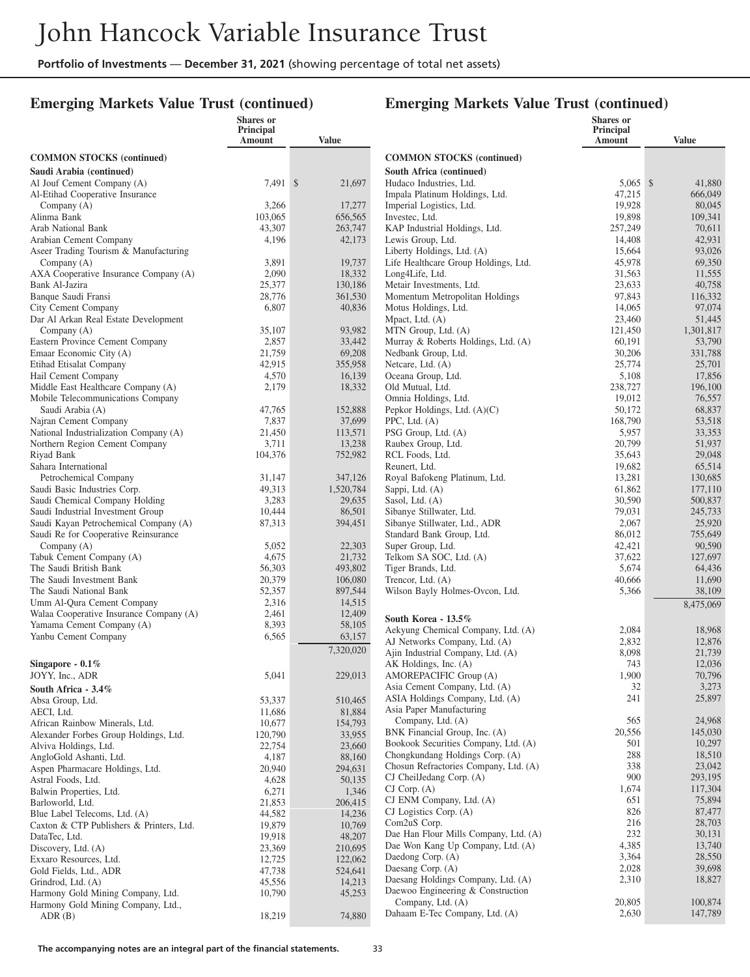## **Emerging Markets Value Trust (continued)**

|                                                                      | <b>Shares</b> or<br>Principal |                     |                                                                         | <b>Shares</b> or<br>Principal |                    |
|----------------------------------------------------------------------|-------------------------------|---------------------|-------------------------------------------------------------------------|-------------------------------|--------------------|
|                                                                      | <b>Amount</b>                 | <b>Value</b>        |                                                                         | Amount                        | <b>Value</b>       |
| <b>COMMON STOCKS (continued)</b>                                     |                               |                     | <b>COMMON STOCKS</b> (continued)                                        |                               |                    |
| Saudi Arabia (continued)                                             |                               |                     | South Africa (continued)                                                |                               |                    |
| Al Jouf Cement Company (A)                                           | 7,491 \$                      | 21,697              | Hudaco Industries, Ltd.                                                 | $5.065$ \$                    | 41,880             |
| Al-Etihad Cooperative Insurance                                      |                               |                     | Impala Platinum Holdings, Ltd.                                          | 47,215                        | 666,049            |
| Company (A)                                                          | 3,266                         | 17,277              | Imperial Logistics, Ltd.                                                | 19,928                        | 80,045             |
| Alinma Bank                                                          | 103,065                       | 656,565             | Investec, Ltd.                                                          | 19,898                        | 109,341            |
| Arab National Bank                                                   | 43,307                        | 263,747             | KAP Industrial Holdings, Ltd.                                           | 257,249                       | 70,611             |
| Arabian Cement Company                                               | 4,196                         | 42,173              | Lewis Group, Ltd.                                                       | 14,408                        | 42,931             |
| Aseer Trading Tourism & Manufacturing<br>Company (A)                 | 3,891                         | 19,737              | Liberty Holdings, Ltd. (A)<br>Life Healthcare Group Holdings, Ltd.      | 15,664<br>45,978              | 93,026<br>69,350   |
| AXA Cooperative Insurance Company (A)                                | 2,090                         | 18,332              | Long4Life, Ltd.                                                         | 31,563                        | 11,555             |
| Bank Al-Jazira                                                       | 25,377                        | 130,186             | Metair Investments, Ltd.                                                | 23,633                        | 40,758             |
| Banque Saudi Fransi                                                  | 28,776                        | 361,530             | Momentum Metropolitan Holdings                                          | 97,843                        | 116,332            |
| City Cement Company                                                  | 6,807                         | 40,836              | Motus Holdings, Ltd.                                                    | 14,065                        | 97,074             |
| Dar Al Arkan Real Estate Development                                 |                               |                     | Mpact, Ltd. (A)                                                         | 23,460                        | 51,445             |
| Company (A)                                                          | 35,107                        | 93,982              | MTN Group, Ltd. (A)                                                     | 121,450                       | 1,301,817          |
| Eastern Province Cement Company                                      | 2,857                         | 33,442              | Murray & Roberts Holdings, Ltd. (A)                                     | 60,191                        | 53,790             |
| Emaar Economic City (A)                                              | 21,759                        | 69,208              | Nedbank Group, Ltd.                                                     | 30,206                        | 331,788            |
| Etihad Etisalat Company<br>Hail Cement Company                       | 42,915                        | 355,958             | Netcare, Ltd. (A)                                                       | 25,774                        | 25,701             |
| Middle East Healthcare Company (A)                                   | 4,570<br>2,179                | 16,139<br>18,332    | Oceana Group, Ltd.<br>Old Mutual, Ltd.                                  | 5,108<br>238,727              | 17,856<br>196,100  |
| Mobile Telecommunications Company                                    |                               |                     | Omnia Holdings, Ltd.                                                    | 19,012                        | 76,557             |
| Saudi Arabia (A)                                                     | 47,765                        | 152,888             | Pepkor Holdings, Ltd. (A)(C)                                            | 50,172                        | 68,837             |
| Najran Cement Company                                                | 7,837                         | 37,699              | PPC, Ltd. $(A)$                                                         | 168,790                       | 53,518             |
| National Industrialization Company (A)                               | 21,450                        | 113,571             | PSG Group, Ltd. (A)                                                     | 5,957                         | 33,353             |
| Northern Region Cement Company                                       | 3,711                         | 13,238              | Raubex Group, Ltd.                                                      | 20,799                        | 51,937             |
| Riyad Bank                                                           | 104,376                       | 752,982             | RCL Foods, Ltd.                                                         | 35,643                        | 29,048             |
| Sahara International                                                 |                               |                     | Reunert, Ltd.                                                           | 19,682                        | 65,514             |
| Petrochemical Company                                                | 31,147                        | 347,126             | Royal Bafokeng Platinum, Ltd.                                           | 13,281                        | 130,685            |
| Saudi Basic Industries Corp.                                         | 49,313<br>3,283               | 1,520,784<br>29,635 | Sappi, Ltd. (A)                                                         | 61,862                        | 177,110            |
| Saudi Chemical Company Holding<br>Saudi Industrial Investment Group  | 10,444                        | 86,501              | Sasol, Ltd. (A)<br>Sibanye Stillwater, Ltd.                             | 30,590<br>79,031              | 500,837<br>245,733 |
| Saudi Kayan Petrochemical Company (A)                                | 87,313                        | 394,451             | Sibanye Stillwater, Ltd., ADR                                           | 2,067                         | 25,920             |
| Saudi Re for Cooperative Reinsurance                                 |                               |                     | Standard Bank Group, Ltd.                                               | 86,012                        | 755,649            |
| Company $(A)$                                                        | 5,052                         | 22,303              | Super Group, Ltd.                                                       | 42,421                        | 90,590             |
| Tabuk Cement Company (A)                                             | 4,675                         | 21,732              | Telkom SA SOC, Ltd. (A)                                                 | 37,622                        | 127,697            |
| The Saudi British Bank                                               | 56,303                        | 493,802             | Tiger Brands, Ltd.                                                      | 5,674                         | 64,436             |
| The Saudi Investment Bank                                            | 20,379                        | 106,080             | Trencor, Ltd. (A)                                                       | 40,666                        | 11,690             |
| The Saudi National Bank                                              | 52,357                        | 897,544             | Wilson Bayly Holmes-Ovcon, Ltd.                                         | 5,366                         | 38,109             |
| Umm Al-Qura Cement Company                                           | 2,316                         | 14,515              |                                                                         |                               | 8,475,069          |
| Walaa Cooperative Insurance Company (A)<br>Yamama Cement Company (A) | 2,461<br>8,393                | 12,409<br>58,105    | South Korea - 13.5%                                                     |                               |                    |
| Yanbu Cement Company                                                 | 6,565                         | 63,157              | Aekyung Chemical Company, Ltd. (A)                                      | 2,084                         | 18,968             |
|                                                                      |                               | 7,320,020           | AJ Networks Company, Ltd. (A)                                           | 2,832                         | 12,876             |
| Singapore - $0.1\%$                                                  |                               |                     | Ajin Industrial Company, Ltd. (A)<br>AK Holdings, Inc. (A)              | 8,098<br>743                  | 21,739<br>12,036   |
| JOYY, Inc., ADR                                                      | 5,041                         | 229,013             | AMOREPACIFIC Group (A)                                                  | 1,900                         | 70,796             |
| South Africa $-3.4\%$                                                |                               |                     | Asia Cement Company, Ltd. (A)                                           | 32                            | 3,273              |
| Absa Group, Ltd.                                                     | 53,337                        | 510,465             | ASIA Holdings Company, Ltd. (A)                                         | 241                           | 25,897             |
| AECI, Ltd.                                                           | 11,686                        | 81,884              | Asia Paper Manufacturing                                                |                               |                    |
| African Rainbow Minerals, Ltd.                                       | 10,677                        | 154,793             | Company, Ltd. (A)                                                       | 565                           | 24,968             |
| Alexander Forbes Group Holdings, Ltd.                                | 120,790                       | 33,955              | BNK Financial Group, Inc. (A)                                           | 20,556                        | 145,030            |
| Alviva Holdings, Ltd.                                                | 22,754                        | 23,660              | Bookook Securities Company, Ltd. (A)                                    | 501                           | 10,297             |
| AngloGold Ashanti, Ltd.                                              | 4,187                         | 88,160              | Chongkundang Holdings Corp. (A)                                         | 288                           | 18,510             |
| Aspen Pharmacare Holdings, Ltd.                                      | 20,940                        | 294,631             | Chosun Refractories Company, Ltd. (A)<br>CJ CheilJedang Corp. (A)       | 338<br>900                    | 23,042<br>293,195  |
| Astral Foods, Ltd.<br>Balwin Properties, Ltd.                        | 4,628                         | 50,135              | $CI$ Corp. $(A)$                                                        | 1,674                         | 117,304            |
| Barloworld, Ltd.                                                     | 6,271<br>21,853               | 1,346<br>206,415    | CJ ENM Company, Ltd. (A)                                                | 651                           | 75,894             |
| Blue Label Telecoms, Ltd. (A)                                        | 44,582                        | 14,236              | CJ Logistics Corp. (A)                                                  | 826                           | 87,477             |
| Caxton & CTP Publishers & Printers, Ltd.                             | 19,879                        | 10,769              | Com2uS Corp.                                                            | 216                           | 28,703             |
| DataTec, Ltd.                                                        | 19,918                        | 48,207              | Dae Han Flour Mills Company, Ltd. (A)                                   | 232                           | 30,131             |
| Discovery, Ltd. (A)                                                  | 23,369                        | 210,695             | Dae Won Kang Up Company, Ltd. (A)                                       | 4,385                         | 13,740             |
| Exxaro Resources, Ltd.                                               | 12,725                        | 122,062             | Daedong Corp. (A)                                                       | 3,364                         | 28,550             |
| Gold Fields, Ltd., ADR                                               | 47,738                        | 524,641             | Daesang Corp. (A)                                                       | 2,028                         | 39,698             |
| Grindrod, Ltd. (A)                                                   | 45,556                        | 14,213              | Daesang Holdings Company, Ltd. (A)<br>Daewoo Engineering & Construction | 2,310                         | 18,827             |
| Harmony Gold Mining Company, Ltd.                                    | 10,790                        | 45,253              | Company, Ltd. (A)                                                       | 20,805                        | 100,874            |
| Harmony Gold Mining Company, Ltd.,<br>ADR(B)                         | 18,219                        | 74,880              | Dahaam E-Tec Company, Ltd. (A)                                          | 2,630                         | 147,789            |
|                                                                      |                               |                     |                                                                         |                               |                    |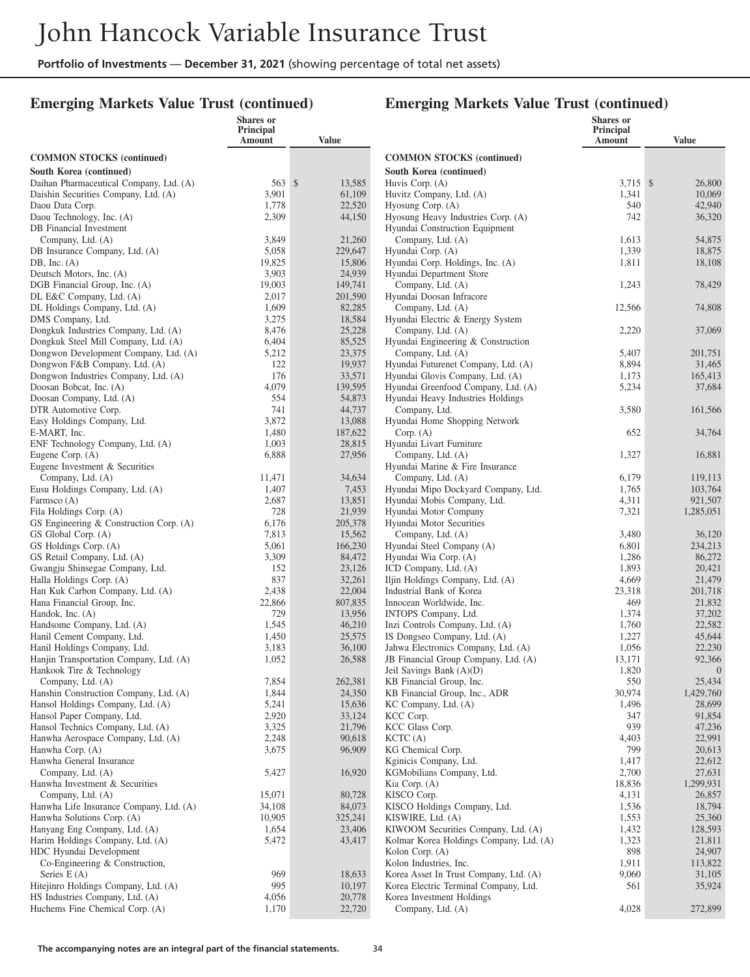**Shares or**

#### **Emerging Markets Value Trust (continued)**

#### **Emerging Markets Value Trust (continued)**

**Shares or Principal**

|                                                                      | Principal<br>Amount | <b>Value</b>      |                                                      | Principal<br>Amount | <b>Value</b>             |
|----------------------------------------------------------------------|---------------------|-------------------|------------------------------------------------------|---------------------|--------------------------|
| <b>COMMON STOCKS</b> (continued)                                     |                     |                   | <b>COMMON STOCKS</b> (continued)                     |                     |                          |
| South Korea (continued)                                              |                     |                   | South Korea (continued)                              |                     |                          |
| Daihan Pharmaceutical Company, Ltd. (A)                              | $563 \text{ s}$     | 13,585            | Huvis Corp. (A)                                      | 3,715 \$            | 26,800                   |
| Daishin Securities Company, Ltd. (A)                                 | 3,901               | 61,109            | Huvitz Company, Ltd. (A)                             | 1,341               | 10,069                   |
| Daou Data Corp.                                                      | 1,778               | 22,520            | Hyosung Corp. (A)                                    | 540                 | 42,940                   |
| Daou Technology, Inc. (A)                                            | 2,309               | 44,150            | Hyosung Heavy Industries Corp. (A)                   | 742                 | 36,320                   |
| DB Financial Investment                                              |                     |                   | Hyundai Construction Equipment                       |                     |                          |
| Company, Ltd. (A)                                                    | 3,849               | 21,260            | Company, Ltd. (A)                                    | 1,613               | 54,875                   |
| DB Insurance Company, Ltd. (A)                                       | 5,058               | 229,647           | Hyundai Corp. (A)                                    | 1,339               | 18,875                   |
| DB, Inc. $(A)$                                                       | 19,825              | 15,806            | Hyundai Corp. Holdings, Inc. (A)                     | 1,811               | 18,108                   |
| Deutsch Motors, Inc. (A)                                             | 3,903               | 24,939            | Hyundai Department Store                             |                     |                          |
| DGB Financial Group, Inc. (A)                                        | 19,003              | 149,741           | Company, Ltd. (A)                                    | 1,243               | 78,429                   |
| DL E&C Company, Ltd. (A)                                             | 2,017               | 201,590           | Hyundai Doosan Infracore                             |                     |                          |
| DL Holdings Company, Ltd. (A)                                        | 1,609               | 82,285            | Company, Ltd. (A)                                    | 12,566              | 74,808                   |
| DMS Company, Ltd.                                                    | 3,275               | 18,584            | Hyundai Electric & Energy System                     |                     |                          |
| Dongkuk Industries Company, Ltd. (A)                                 | 8,476               | 25,228            | Company, Ltd. (A)                                    | 2,220               | 37,069                   |
| Dongkuk Steel Mill Company, Ltd. (A)                                 | 6,404               | 85,525            | Hyundai Engineering & Construction                   |                     |                          |
| Dongwon Development Company, Ltd. (A)                                | 5,212               | 23,375            | Company, Ltd. (A)                                    | 5,407               | 201,751                  |
| Dongwon F&B Company, Ltd. (A)                                        | 122                 | 19,937            | Hyundai Futurenet Company, Ltd. (A)                  | 8,894               | 31,465                   |
| Dongwon Industries Company, Ltd. (A)                                 | 176                 | 33,571            | Hyundai Glovis Company, Ltd. (A)                     | 1,173               | 165,413                  |
| Doosan Bobcat, Inc. (A)                                              | 4,079               | 139,595           | Hyundai Greenfood Company, Ltd. (A)                  | 5,234               | 37,684                   |
| Doosan Company, Ltd. (A)                                             | 554                 | 54,873            | Hyundai Heavy Industries Holdings                    |                     |                          |
| DTR Automotive Corp.                                                 | 741                 | 44,737            | Company, Ltd.                                        | 3,580               | 161,566                  |
| Easy Holdings Company, Ltd.                                          | 3,872               | 13,088            | Hyundai Home Shopping Network                        |                     |                          |
| E-MART, Inc.                                                         | 1,480               | 187,622           | Corp. (A)                                            | 652                 | 34,764                   |
| ENF Technology Company, Ltd. (A)                                     | 1,003               | 28,815            | Hyundai Livart Furniture                             |                     |                          |
| Eugene Corp. $(A)$                                                   | 6,888               | 27,956            | Company, Ltd. (A)                                    | 1,327               | 16,881                   |
| Eugene Investment & Securities                                       |                     |                   | Hyundai Marine & Fire Insurance                      |                     |                          |
| Company, Ltd. (A)                                                    | 11,471              | 34,634            | Company, Ltd. (A)                                    | 6,179               | 119,113                  |
| Eusu Holdings Company, Ltd. (A)                                      | 1,407               | 7,453             | Hyundai Mipo Dockyard Company, Ltd.                  | 1,765               | 103,764                  |
| Farmsco (A)                                                          | 2,687               | 13,851            | Hyundai Mobis Company, Ltd.                          | 4,311               | 921,507                  |
| Fila Holdings Corp. (A)                                              | 728                 | 21,939            | Hyundai Motor Company                                | 7,321               | 1,285,051                |
| GS Engineering & Construction Corp. (A)                              | 6,176               | 205,378           | Hyundai Motor Securities                             |                     |                          |
| GS Global Corp. (A)                                                  | 7,813               | 15,562            | Company, Ltd. (A)                                    | 3,480               | 36,120                   |
| GS Holdings Corp. (A)                                                | 5,061               | 166,230           | Hyundai Steel Company (A)                            | 6,801               | 234,213                  |
| GS Retail Company, Ltd. (A)                                          | 3,309               | 84,472            | Hyundai Wia Corp. (A)                                | 1,286               | 86,272                   |
| Gwangju Shinsegae Company, Ltd.                                      | 152                 | 23,126            | ICD Company, Ltd. (A)                                | 1,893               | 20,421                   |
| Halla Holdings Corp. (A)                                             | 837                 | 32,261            | Iljin Holdings Company, Ltd. (A)                     | 4,669               | 21,479                   |
| Han Kuk Carbon Company, Ltd. (A)                                     | 2,438               | 22,004<br>807,835 | Industrial Bank of Korea<br>Innocean Worldwide, Inc. | 23,318<br>469       | 201,718<br>21,832        |
| Hana Financial Group, Inc.<br>Handok, Inc. (A)                       | 22,866<br>729       | 13,956            |                                                      | 1,374               |                          |
|                                                                      | 1,545               |                   | INTOPS Company, Ltd.                                 | 1,760               | 37,202<br>22,582         |
| Handsome Company, Ltd. (A)                                           | 1,450               | 46,210<br>25,575  | Inzi Controls Company, Ltd. (A)                      |                     |                          |
| Hanil Cement Company, Ltd.                                           | 3,183               | 36,100            | IS Dongseo Company, Ltd. (A)                         | 1,227<br>1,056      | 45,644<br>22,230         |
| Hanil Holdings Company, Ltd.                                         |                     |                   | Jahwa Electronics Company, Ltd. (A)                  | 13,171              |                          |
| Hanjin Transportation Company, Ltd. (A)<br>Hankook Tire & Technology | 1,052               | 26,588            | JB Financial Group Company, Ltd. (A)                 | 1,820               | 92,366<br>$\overline{0}$ |
| Company, Ltd. (A)                                                    | 7,854               | 262,381           | Jeil Savings Bank (A)(D)<br>KB Financial Group, Inc. | 550                 | 25,434                   |
| Hanshin Construction Company, Ltd. (A)                               | 1,844               | 24,350            | KB Financial Group, Inc., ADR                        | 30,974              | 1,429,760                |
| Hansol Holdings Company, Ltd. (A)                                    | 5,241               | 15,636            | KC Company, Ltd. (A)                                 | 1,496               | 28,699                   |
| Hansol Paper Company, Ltd.                                           | 2,920               | 33,124            | KCC Corp.                                            | 347                 | 91,854                   |
| Hansol Technics Company, Ltd. (A)                                    | 3,325               | 21,796            | KCC Glass Corp.                                      | 939                 | 47,236                   |
| Hanwha Aerospace Company, Ltd. (A)                                   | 2,248               | 90,618            | KCTC(A)                                              | 4,403               | 22,991                   |
| Hanwha Corp. (A)                                                     | 3,675               | 96,909            | KG Chemical Corp.                                    | 799                 | 20,613                   |
| Hanwha General Insurance                                             |                     |                   | Kginicis Company, Ltd.                               | 1,417               | 22,612                   |
| Company, Ltd. (A)                                                    | 5,427               | 16,920            | KGMobilians Company, Ltd.                            | 2,700               | 27,631                   |
| Hanwha Investment & Securities                                       |                     |                   | Kia Corp. (A)                                        | 18,836              | 1,299,931                |
| Company, Ltd. (A)                                                    | 15,071              | 80,728            | KISCO Corp.                                          | 4,131               | 26,857                   |
| Hanwha Life Insurance Company, Ltd. (A)                              | 34,108              | 84,073            | KISCO Holdings Company, Ltd.                         | 1,536               | 18,794                   |
| Hanwha Solutions Corp. (A)                                           | 10,905              | 325,241           | KISWIRE, Ltd. (A)                                    | 1,553               | 25,360                   |
| Hanyang Eng Company, Ltd. (A)                                        | 1,654               | 23,406            | KIWOOM Securities Company, Ltd. (A)                  | 1,432               | 128,593                  |
| Harim Holdings Company, Ltd. (A)                                     | 5,472               | 43,417            | Kolmar Korea Holdings Company, Ltd. (A)              | 1,323               | 21,811                   |
| HDC Hyundai Development                                              |                     |                   | Kolon Corp. (A)                                      | 898                 | 24,907                   |
| Co-Engineering & Construction,                                       |                     |                   | Kolon Industries, Inc.                               | 1,911               | 113,822                  |
| Series $E(A)$                                                        | 969                 | 18,633            | Korea Asset In Trust Company, Ltd. (A)               | 9,060               | 31,105                   |
| Hitejinro Holdings Company, Ltd. (A)                                 | 995                 | 10,197            | Korea Electric Terminal Company, Ltd.                | 561                 | 35,924                   |
| HS Industries Company, Ltd. (A)                                      | 4,056               | 20,778            | Korea Investment Holdings                            |                     |                          |
| Huchems Fine Chemical Corp. (A)                                      | 1,170               | 22,720            | Company, Ltd. (A)                                    | 4,028               | 272,899                  |
|                                                                      |                     |                   |                                                      |                     |                          |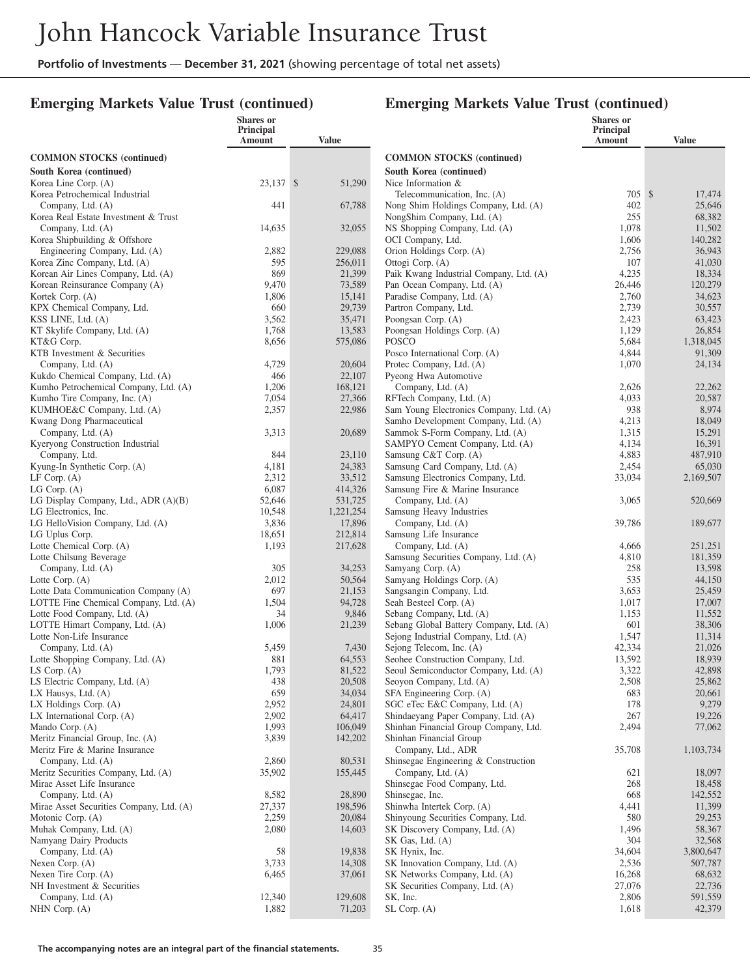### **Emerging Markets Value Trust (continued)**

|                                                                | <b>Shares</b> or<br>Principal |                   |                                                                       | <b>Shares</b> or<br>Principal |                   |
|----------------------------------------------------------------|-------------------------------|-------------------|-----------------------------------------------------------------------|-------------------------------|-------------------|
|                                                                | Amount                        | <b>Value</b>      |                                                                       | Amount                        | <b>Value</b>      |
| <b>COMMON STOCKS</b> (continued)                               |                               |                   | <b>COMMON STOCKS</b> (continued)                                      |                               |                   |
| South Korea (continued)                                        |                               |                   | South Korea (continued)                                               |                               |                   |
| Korea Line Corp. (A)                                           | 23,137 \$                     | 51,290            | Nice Information &                                                    |                               |                   |
| Korea Petrochemical Industrial                                 |                               |                   | Telecommunication, Inc. (A)                                           | 705S                          | 17,474            |
| Company, Ltd. (A)                                              | 441                           | 67,788            | Nong Shim Holdings Company, Ltd. (A)                                  | 402                           | 25,646            |
| Korea Real Estate Investment & Trust<br>Company, Ltd. (A)      | 14,635                        | 32,055            | NongShim Company, Ltd. (A)<br>NS Shopping Company, Ltd. (A)           | 255<br>1,078                  | 68,382<br>11,502  |
| Korea Shipbuilding & Offshore                                  |                               |                   | OCI Company, Ltd.                                                     | 1,606                         | 140,282           |
| Engineering Company, Ltd. (A)                                  | 2,882                         | 229,088           | Orion Holdings Corp. (A)                                              | 2,756                         | 36,943            |
| Korea Zinc Company, Ltd. (A)                                   | 595                           | 256,011           | Ottogi Corp. (A)                                                      | 107                           | 41,030            |
| Korean Air Lines Company, Ltd. (A)                             | 869                           | 21,399            | Paik Kwang Industrial Company, Ltd. (A)                               | 4,235                         | 18,334            |
| Korean Reinsurance Company (A)                                 | 9,470                         | 73,589            | Pan Ocean Company, Ltd. (A)                                           | 26,446                        | 120,279           |
| Kortek Corp. (A)                                               | 1,806                         | 15,141            | Paradise Company, Ltd. (A)                                            | 2,760                         | 34,623            |
| KPX Chemical Company, Ltd.                                     | 660                           | 29,739            | Partron Company, Ltd.                                                 | 2,739                         | 30,557            |
| KSS LINE, Ltd. (A)<br>KT Skylife Company, Ltd. (A)             | 3,562<br>1,768                | 35,471<br>13,583  | Poongsan Corp. (A)<br>Poongsan Holdings Corp. (A)                     | 2,423<br>1,129                | 63,423<br>26,854  |
| KT&G Corp.                                                     | 8,656                         | 575,086           | POSCO                                                                 | 5,684                         | 1,318,045         |
| KTB Investment & Securities                                    |                               |                   | Posco International Corp. (A)                                         | 4,844                         | 91,309            |
| Company, Ltd. (A)                                              | 4,729                         | 20,604            | Protec Company, Ltd. (A)                                              | 1,070                         | 24,134            |
| Kukdo Chemical Company, Ltd. (A)                               | 466                           | 22,107            | Pyeong Hwa Automotive                                                 |                               |                   |
| Kumho Petrochemical Company, Ltd. (A)                          | 1,206                         | 168,121           | Company, Ltd. (A)                                                     | 2,626                         | 22,262            |
| Kumho Tire Company, Inc. (A)                                   | 7,054                         | 27,366            | RFTech Company, Ltd. (A)                                              | 4,033                         | 20,587            |
| KUMHOE&C Company, Ltd. (A)                                     | 2,357                         | 22,986            | Sam Young Electronics Company, Ltd. (A)                               | 938                           | 8,974             |
| Kwang Dong Pharmaceutical                                      |                               |                   | Samho Development Company, Ltd. (A)                                   | 4,213                         | 18,049            |
| Company, Ltd. (A)<br>Kyeryong Construction Industrial          | 3,313                         | 20,689            | Sammok S-Form Company, Ltd. (A)<br>SAMPYO Cement Company, Ltd. (A)    | 1,315<br>4,134                | 15,291<br>16,391  |
| Company, Ltd.                                                  | 844                           | 23,110            | Samsung C&T Corp. (A)                                                 | 4,883                         | 487,910           |
| Kyung-In Synthetic Corp. (A)                                   | 4,181                         | 24,383            | Samsung Card Company, Ltd. (A)                                        | 2,454                         | 65,030            |
| $LF$ Corp. $(A)$                                               | 2,312                         | 33,512            | Samsung Electronics Company, Ltd.                                     | 33,034                        | 2,169,507         |
| $LG$ Corp. $(A)$                                               | 6,087                         | 414,326           | Samsung Fire & Marine Insurance                                       |                               |                   |
| LG Display Company, Ltd., ADR (A)(B)                           | 52,646                        | 531,725           | Company, Ltd. (A)                                                     | 3,065                         | 520,669           |
| LG Electronics, Inc.                                           | 10,548                        | 1,221,254         | Samsung Heavy Industries                                              |                               |                   |
| LG HelloVision Company, Ltd. (A)<br>LG Uplus Corp.             | 3,836<br>18,651               | 17,896<br>212,814 | Company, Ltd. (A)<br>Samsung Life Insurance                           | 39,786                        | 189,677           |
| Lotte Chemical Corp. (A)                                       | 1,193                         | 217,628           | Company, Ltd. (A)                                                     | 4,666                         | 251,251           |
| Lotte Chilsung Beverage                                        |                               |                   | Samsung Securities Company, Ltd. (A)                                  | 4,810                         | 181,359           |
| Company, Ltd. (A)                                              | 305                           | 34,253            | Samyang Corp. (A)                                                     | 258                           | 13,598            |
| Lotte Corp. (A)                                                | 2,012                         | 50,564            | Samyang Holdings Corp. (A)                                            | 535                           | 44,150            |
| Lotte Data Communication Company (A)                           | 697                           | 21,153            | Sangsangin Company, Ltd.                                              | 3,653                         | 25,459            |
| LOTTE Fine Chemical Company, Ltd. (A)                          | 1,504                         | 94,728            | Seah Besteel Corp. (A)                                                | 1,017                         | 17,007            |
| Lotte Food Company, Ltd. (A)<br>LOTTE Himart Company, Ltd. (A) | 34<br>1,006                   | 9,846<br>21,239   | Sebang Company, Ltd. (A)<br>Sebang Global Battery Company, Ltd. (A)   | 1,153<br>601                  | 11,552<br>38,306  |
| Lotte Non-Life Insurance                                       |                               |                   | Sejong Industrial Company, Ltd. (A)                                   | 1,547                         | 11,314            |
| Company, Ltd. (A)                                              | 5,459                         | 7,430             | Sejong Telecom, Inc. (A)                                              | 42,334                        | 21,026            |
| Lotte Shopping Company, Ltd. (A)                               | 881                           | 64,553            | Seohee Construction Company, Ltd.                                     | 13,592                        | 18,939            |
| LS Corp. $(A)$                                                 | 1,793                         | 81,522            | Seoul Semiconductor Company, Ltd. (A)                                 | 3,322                         | 42,898            |
| LS Electric Company, Ltd. (A)                                  | 438                           | 20,508            | Seoyon Company, Ltd. (A)                                              | 2,508                         | 25,862            |
| LX Hausys, Ltd. $(A)$                                          | 659                           | 34,034            | SFA Engineering Corp. (A)                                             | 683                           | 20,661            |
| LX Holdings Corp. (A)<br>LX International Corp. (A)            | 2,952<br>2,902                | 24,801<br>64,417  | SGC eTec E&C Company, Ltd. (A)<br>Shindaeyang Paper Company, Ltd. (A) | 178<br>267                    | 9,279<br>19,226   |
| Mando Corp. (A)                                                | 1,993                         | 106,049           | Shinhan Financial Group Company, Ltd.                                 | 2,494                         | 77,062            |
| Meritz Financial Group, Inc. (A)                               | 3,839                         | 142,202           | Shinhan Financial Group                                               |                               |                   |
| Meritz Fire & Marine Insurance                                 |                               |                   | Company, Ltd., ADR                                                    | 35,708                        | 1,103,734         |
| Company, Ltd. (A)                                              | 2,860                         | 80,531            | Shinsegae Engineering & Construction                                  |                               |                   |
| Meritz Securities Company, Ltd. (A)                            | 35,902                        | 155,445           | Company, Ltd. (A)                                                     | 621                           | 18,097            |
| Mirae Asset Life Insurance                                     |                               |                   | Shinsegae Food Company, Ltd.                                          | 268                           | 18,458            |
| Company, Ltd. (A)                                              | 8,582                         | 28,890            | Shinsegae, Inc.                                                       | 668                           | 142,552           |
| Mirae Asset Securities Company, Ltd. (A)<br>Motonic Corp. (A)  | 27,337<br>2,259               | 198,596<br>20,084 | Shinwha Intertek Corp. (A)<br>Shinyoung Securities Company, Ltd.      | 4,441<br>580                  | 11,399<br>29,253  |
| Muhak Company, Ltd. (A)                                        | 2,080                         | 14,603            | SK Discovery Company, Ltd. (A)                                        | 1,496                         | 58,367            |
| Namyang Dairy Products                                         |                               |                   | SK Gas, Ltd. (A)                                                      | 304                           | 32,568            |
| Company, Ltd. (A)                                              | 58                            | 19,838            | SK Hynix, Inc.                                                        | 34,604                        | 3,800,647         |
| Nexen Corp. (A)                                                | 3,733                         | 14,308            | SK Innovation Company, Ltd. (A)                                       | 2,536                         | 507,787           |
| Nexen Tire Corp. (A)                                           | 6,465                         | 37,061            | SK Networks Company, Ltd. (A)                                         | 16,268                        | 68,632            |
| NH Investment & Securities                                     |                               |                   | SK Securities Company, Ltd. (A)                                       | 27,076                        | 22,736            |
| Company, Ltd. (A)<br>NHN Corp. $(A)$                           | 12,340<br>1,882               | 129,608<br>71,203 | SK, Inc.<br>$SL$ Corp. $(A)$                                          | 2,806<br>1,618                | 591,559<br>42,379 |
|                                                                |                               |                   |                                                                       |                               |                   |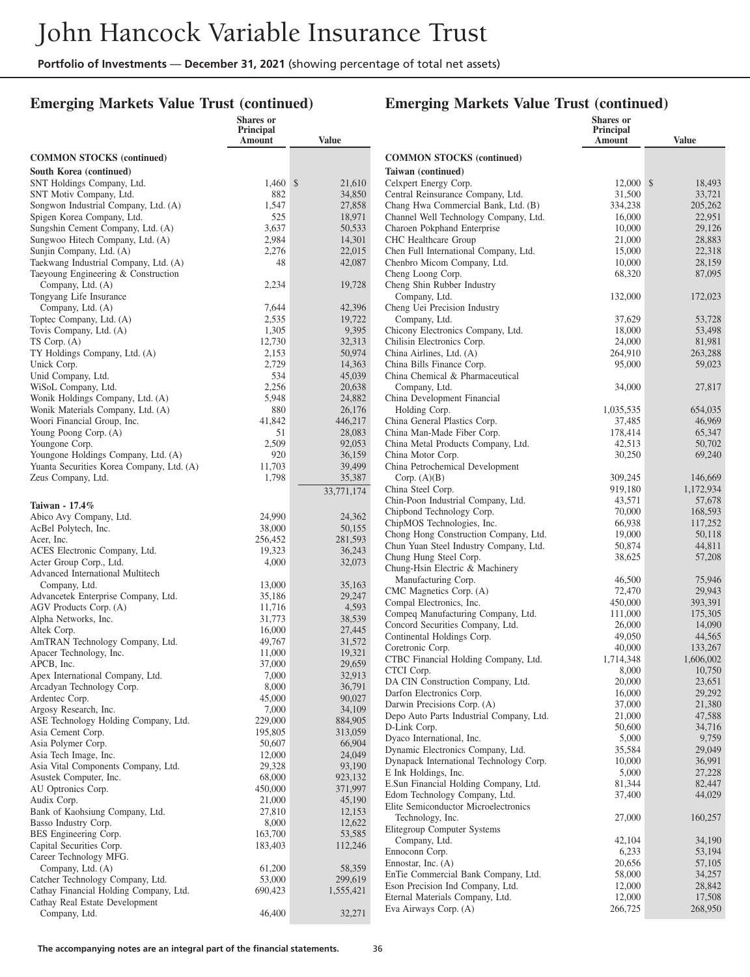### **Emerging Markets Value Trust (continued)**

## **Emerging Markets Value Trust (continued)**

**Shares or**

|                                                                    | Shares or<br><b>Principal</b><br>Amount | <b>Value</b>       |                   |
|--------------------------------------------------------------------|-----------------------------------------|--------------------|-------------------|
| <b>COMMON STOCKS</b> (continued)                                   |                                         |                    | $\epsilon$        |
| South Korea (continued)                                            |                                         |                    | Ί                 |
| SNT Holdings Company, Ltd.                                         | 1,460                                   | \$<br>21,610       | C                 |
| SNT Motiv Company, Ltd.                                            | 882                                     | 34,850             | C                 |
| Songwon Industrial Company, Ltd. (A)<br>Spigen Korea Company, Ltd. | 1,547<br>525                            | 27,858<br>18,971   | C<br>C            |
| Sungshin Cement Company, Ltd. (A)                                  | 3,637                                   | 50,533             | C                 |
| Sungwoo Hitech Company, Ltd. (A)                                   | 2,984                                   | 14,301             | C                 |
| Sunjin Company, Ltd. (A)                                           | 2,276                                   | 22,015             | C                 |
| Taekwang Industrial Company, Ltd. (A)                              | 48                                      | 42,087             | C                 |
| Taeyoung Engineering & Construction<br>Company, Ltd. (A)           | 2,234                                   | 19,728             | C<br>C            |
| Tongyang Life Insurance                                            |                                         |                    |                   |
| Company, Ltd. (A)                                                  | 7,644                                   | 42,396             | C                 |
| Toptec Company, Ltd. (A)                                           | 2,535                                   | 19,722             |                   |
| Tovis Company, Ltd. (A)                                            | 1,305                                   | 9,395              | C                 |
| TS Corp. (A)                                                       | 12,730                                  | 32,313             | C                 |
| TY Holdings Company, Ltd. (A)<br>Unick Corp.                       | 2,153<br>2,729                          | 50,974<br>14,363   | C<br>C            |
| Unid Company, Ltd.                                                 | 534                                     | 45,039             | C                 |
| WiSoL Company, Ltd.                                                | 2,256                                   | 20,638             |                   |
| Wonik Holdings Company, Ltd. (A)                                   | 5,948                                   | 24,882             | $\mathsf{C}$      |
| Wonik Materials Company, Ltd. (A)                                  | 880                                     | 26,176             |                   |
| Woori Financial Group, Inc.                                        | 41,842                                  | 446,217            | C                 |
| Young Poong Corp. (A)                                              | 51                                      | 28,083             | C                 |
| Youngone Corp.<br>Youngone Holdings Company, Ltd. (A)              | 2,509<br>920                            | 92,053<br>36,159   | C<br>C            |
| Yuanta Securities Korea Company, Ltd. (A)                          | 11,703                                  | 39,499             | C                 |
| Zeus Company, Ltd.                                                 | 1,798                                   | 35,387             |                   |
|                                                                    |                                         | 33,771,174         | C                 |
| Taiwan - 17.4%                                                     |                                         |                    | C<br>$\mathsf{C}$ |
| Abico Avy Company, Ltd.                                            | 24,990                                  | 24,362             | C                 |
| AcBel Polytech, Inc.                                               | 38,000                                  | 50,155             | C                 |
| Acer, Inc.                                                         | 256,452<br>19,323                       | 281,593<br>36,243  | C                 |
| ACES Electronic Company, Ltd.<br>Acter Group Corp., Ltd.           | 4,000                                   | 32,073             | C                 |
| Advanced International Multitech                                   |                                         |                    | C                 |
| Company, Ltd.                                                      | 13,000                                  | 35,163             | $\overline{C}$    |
| Advancetek Enterprise Company, Ltd.                                | 35,186                                  | 29,247             | C                 |
| AGV Products Corp. (A)                                             | 11,716                                  | 4,593              | C                 |
| Alpha Networks, Inc.<br>Altek Corp.                                | 31,773<br>16,000                        | 38,539<br>27,445   | $\mathsf{C}$      |
| AmTRAN Technology Company, Ltd.                                    | 49,767                                  | 31,572             | $\overline{C}$    |
| Apacer Technology, Inc.                                            | 11,000                                  | 19,321             | $\mathsf{C}$      |
| APCB, Inc.                                                         | 37,000                                  | 29,659             | C<br>C            |
| Apex International Company, Ltd.                                   | 7,000                                   | 32,913             | Γ                 |
| Arcadyan Technology Corp.                                          | 8,000<br>45,000                         | 36,791             | Γ                 |
| Ardentec Corp.<br>Argosy Research, Inc.                            | 7,000                                   | 90,027<br>34,109   | Γ                 |
| ASE Technology Holding Company, Ltd.                               | 229,000                                 | 884,905            | Γ                 |
| Asia Cement Corp.                                                  | 195,805                                 | 313,059            | Γ                 |
| Asia Polymer Corp.                                                 | 50,607                                  | 66,904             | Γ<br>Γ            |
| Asia Tech Image, Inc.                                              | 12,000                                  | 24,049             | Γ                 |
| Asia Vital Components Company, Ltd.                                | 29,328                                  | 93,190             | E                 |
| Asustek Computer, Inc.<br>AU Optronics Corp.                       | 68,000<br>450,000                       | 923,132<br>371,997 | E                 |
| Audix Corp.                                                        | 21,000                                  | 45,190             | F                 |
| Bank of Kaohsiung Company, Ltd.                                    | 27,810                                  | 12,153             | E                 |
| Basso Industry Corp.                                               | 8,000                                   | 12,622             | E                 |
| BES Engineering Corp.                                              | 163,700                                 | 53,585             |                   |
| Capital Securities Corp.                                           | 183,403                                 | 112,246            | E                 |
| Career Technology MFG.<br>Company, Ltd. (A)                        | 61,200                                  | 58,359             | F                 |
| Catcher Technology Company, Ltd.                                   | 53,000                                  | 299,619            | E                 |
| Cathay Financial Holding Company, Ltd.                             | 690,423                                 | 1,555,421          | F                 |
| Cathay Real Estate Development                                     |                                         |                    | F<br>E            |
| Company, Ltd.                                                      | 46,400                                  | 32,271             |                   |
|                                                                    |                                         |                    |                   |

|                                                                        | Principal<br>Amount | <b>Value</b>         |  |  |
|------------------------------------------------------------------------|---------------------|----------------------|--|--|
| <b>COMMON STOCKS</b> (continued)                                       |                     |                      |  |  |
| Taiwan (continued)                                                     |                     |                      |  |  |
| Celxpert Energy Corp.                                                  | 12,000 \$           | 18,493               |  |  |
| Central Reinsurance Company, Ltd.                                      | 31,500              | 33,721               |  |  |
| Chang Hwa Commercial Bank, Ltd. (B)                                    | 334,238             | 205,262              |  |  |
| Channel Well Technology Company, Ltd.                                  | 16,000              | 22,951               |  |  |
| Charoen Pokphand Enterprise                                            | 10,000              | 29,126               |  |  |
| CHC Healthcare Group<br>Chen Full International Company, Ltd.          | 21,000<br>15,000    | 28,883<br>22,318     |  |  |
| Chenbro Micom Company, Ltd.                                            | 10,000              | 28,159               |  |  |
| Cheng Loong Corp.                                                      | 68,320              | 87,095               |  |  |
| Cheng Shin Rubber Industry                                             |                     |                      |  |  |
| Company, Ltd.                                                          | 132,000             | 172,023              |  |  |
| Cheng Uei Precision Industry                                           |                     |                      |  |  |
| Company, Ltd.                                                          | 37,629              | 53,728               |  |  |
| Chicony Electronics Company, Ltd.                                      | 18,000              | 53,498               |  |  |
| Chilisin Electronics Corp.                                             | 24,000              | 81,981               |  |  |
| China Airlines, Ltd. (A)                                               | 264,910             | 263,288              |  |  |
| China Bills Finance Corp.                                              | 95,000              | 59,023               |  |  |
| China Chemical & Pharmaceutical                                        |                     | 27,817               |  |  |
| Company, Ltd.<br>China Development Financial                           | 34,000              |                      |  |  |
| Holding Corp.                                                          | 1,035,535           | 654,035              |  |  |
| China General Plastics Corp.                                           | 37,485              | 46,969               |  |  |
| China Man-Made Fiber Corp.                                             | 178,414             | 65,347               |  |  |
| China Metal Products Company, Ltd.                                     | 42,513              | 50,702               |  |  |
| China Motor Corp.                                                      | 30,250              | 69,240               |  |  |
| China Petrochemical Development                                        |                     |                      |  |  |
| Corp. $(A)(B)$                                                         | 309,245             | 146,669              |  |  |
| China Steel Corp.                                                      | 919,180             | 1,172,934            |  |  |
| Chin-Poon Industrial Company, Ltd.                                     | 43,571              | 57,678               |  |  |
| Chipbond Technology Corp.                                              | 70,000              | 168,593              |  |  |
| ChipMOS Technologies, Inc.<br>Chong Hong Construction Company, Ltd.    | 66,938<br>19,000    | 117,252<br>50,118    |  |  |
| Chun Yuan Steel Industry Company, Ltd.                                 | 50,874              | 44,811               |  |  |
| Chung Hung Steel Corp.                                                 | 38,625              | 57,208               |  |  |
| Chung-Hsin Electric & Machinery                                        |                     |                      |  |  |
| Manufacturing Corp.                                                    | 46,500              | 75,946               |  |  |
| CMC Magnetics Corp. (A)                                                | 72,470              | 29,943               |  |  |
| Compal Electronics, Inc.                                               | 450,000             | 393,391              |  |  |
| Compeq Manufacturing Company, Ltd.                                     | 111,000             | 175,305              |  |  |
| Concord Securities Company, Ltd.                                       | 26,000              | 14,090               |  |  |
| Continental Holdings Corp.                                             | 49,050              | 44,565               |  |  |
| Coretronic Corp.<br>CTBC Financial Holding Company, Ltd.               | 40,000<br>1,714,348 | 133,267<br>1,606,002 |  |  |
| CTCI Corp.                                                             | 8,000               | 10,750               |  |  |
| DA CIN Construction Company, Ltd.                                      | 20,000              | 23,651               |  |  |
| Darfon Electronics Corp.                                               | 16,000              | 29,292               |  |  |
| Darwin Precisions Corp. (A)                                            | 37,000              | 21,380               |  |  |
| Depo Auto Parts Industrial Company, Ltd.                               | 21,000              | 47,588               |  |  |
| D-Link Corp.                                                           | 50,600              | 34,716               |  |  |
| Dyaco International, Inc.                                              | 5,000               | 9,759                |  |  |
| Dynamic Electronics Company, Ltd.                                      | 35,584              | 29,049               |  |  |
| Dynapack International Technology Corp.                                | 10,000              | 36,991               |  |  |
| E Ink Holdings, Inc.                                                   | 5,000               | 27,228               |  |  |
| E.Sun Financial Holding Company, Ltd.<br>Edom Technology Company, Ltd. | 81,344<br>37,400    | 82,447<br>44,029     |  |  |
| Elite Semiconductor Microelectronics                                   |                     |                      |  |  |
| Technology, Inc.                                                       | 27,000              | 160,257              |  |  |
| Elitegroup Computer Systems                                            |                     |                      |  |  |
| Company, Ltd.                                                          | 42,104              | 34,190               |  |  |
| Ennoconn Corp.                                                         | 6,233               | 53,194               |  |  |
| Ennostar, Inc. $(A)$                                                   | 20,656              | 57,105               |  |  |
| EnTie Commercial Bank Company, Ltd.                                    | 58,000              | 34,257               |  |  |
| Eson Precision Ind Company, Ltd.                                       | 12,000              | 28,842               |  |  |
| Eternal Materials Company, Ltd.                                        | 12,000              | 17,508               |  |  |
| Eva Airways Corp. (A)                                                  | 266,725             | 268,950              |  |  |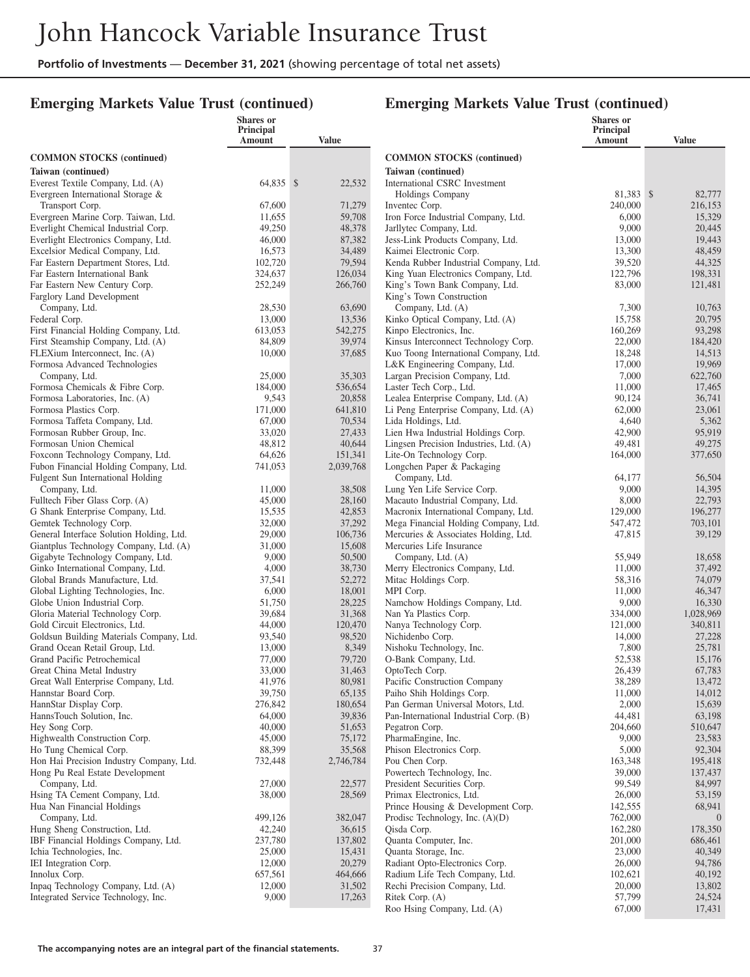#### **Emerging Markets Value Trust (continued)**

#### **Emerging Markets Value Trust (continued)**  $\overline{\mathbf{S}}$

|                                                                            | <b>Shares</b> or<br>Principal<br>Amount | <b>Value</b>      |                                                                             | <b>Shares</b> or<br><b>Principal</b><br>Amount | <b>Value</b>            |
|----------------------------------------------------------------------------|-----------------------------------------|-------------------|-----------------------------------------------------------------------------|------------------------------------------------|-------------------------|
| <b>COMMON STOCKS (continued)</b>                                           |                                         |                   | <b>COMMON STOCKS (continued)</b>                                            |                                                |                         |
| Taiwan (continued)                                                         |                                         |                   | Taiwan (continued)                                                          |                                                |                         |
| Everest Textile Company, Ltd. (A)                                          | 64,835 \$                               | 22,532            | International CSRC Investment                                               |                                                |                         |
| Evergreen International Storage &                                          |                                         |                   | <b>Holdings Company</b>                                                     | 81,383 \$                                      | 82,777                  |
| Transport Corp.                                                            | 67,600                                  | 71,279            | Inventec Corp.                                                              | 240,000                                        | 216,153                 |
| Evergreen Marine Corp. Taiwan, Ltd.                                        | 11,655                                  | 59,708            | Iron Force Industrial Company, Ltd.                                         | 6,000                                          | 15,329                  |
| Everlight Chemical Industrial Corp.<br>Everlight Electronics Company, Ltd. | 49,250<br>46,000                        | 48,378            | Jarllytec Company, Ltd.<br>Jess-Link Products Company, Ltd.                 | 9,000                                          | 20,445                  |
| Excelsior Medical Company, Ltd.                                            | 16,573                                  | 87,382<br>34,489  | Kaimei Electronic Corp.                                                     | 13,000<br>13,300                               | 19,443<br>48,459        |
| Far Eastern Department Stores, Ltd.                                        | 102,720                                 | 79,594            | Kenda Rubber Industrial Company, Ltd.                                       | 39,520                                         | 44,325                  |
| Far Eastern International Bank                                             | 324,637                                 | 126,034           | King Yuan Electronics Company, Ltd.                                         | 122,796                                        | 198,331                 |
| Far Eastern New Century Corp.                                              | 252,249                                 | 266,760           | King's Town Bank Company, Ltd.                                              | 83,000                                         | 121,481                 |
| Farglory Land Development                                                  |                                         |                   | King's Town Construction                                                    |                                                |                         |
| Company, Ltd.                                                              | 28,530                                  | 63,690            | Company, Ltd. (A)                                                           | 7,300                                          | 10,763                  |
| Federal Corp.                                                              | 13,000                                  | 13,536            | Kinko Optical Company, Ltd. (A)                                             | 15,758                                         | 20,795                  |
| First Financial Holding Company, Ltd.                                      | 613,053                                 | 542,275           | Kinpo Electronics, Inc.                                                     | 160,269                                        | 93,298                  |
| First Steamship Company, Ltd. (A)                                          | 84,809                                  | 39,974            | Kinsus Interconnect Technology Corp.                                        | 22,000                                         | 184,420                 |
| FLEXium Interconnect, Inc. (A)<br>Formosa Advanced Technologies            | 10,000                                  | 37,685            | Kuo Toong International Company, Ltd.<br>L&K Engineering Company, Ltd.      | 18,248<br>17,000                               | 14,513<br>19,969        |
| Company, Ltd.                                                              | 25,000                                  | 35,303            | Largan Precision Company, Ltd.                                              | 7,000                                          | 622,760                 |
| Formosa Chemicals & Fibre Corp.                                            | 184,000                                 | 536,654           | Laster Tech Corp., Ltd.                                                     | 11,000                                         | 17,465                  |
| Formosa Laboratories, Inc. (A)                                             | 9,543                                   | 20,858            | Lealea Enterprise Company, Ltd. (A)                                         | 90,124                                         | 36,741                  |
| Formosa Plastics Corp.                                                     | 171,000                                 | 641,810           | Li Peng Enterprise Company, Ltd. (A)                                        | 62,000                                         | 23,061                  |
| Formosa Taffeta Company, Ltd.                                              | 67,000                                  | 70,534            | Lida Holdings, Ltd.                                                         | 4,640                                          | 5,362                   |
| Formosan Rubber Group, Inc.                                                | 33,020                                  | 27,433            | Lien Hwa Industrial Holdings Corp.                                          | 42,900                                         | 95,919                  |
| Formosan Union Chemical                                                    | 48,812                                  | 40,644            | Lingsen Precision Industries, Ltd. (A)                                      | 49,481                                         | 49,275                  |
| Foxconn Technology Company, Ltd.                                           | 64,626                                  | 151,341           | Lite-On Technology Corp.                                                    | 164,000                                        | 377,650                 |
| Fubon Financial Holding Company, Ltd.                                      | 741,053                                 | 2,039,768         | Longchen Paper & Packaging                                                  |                                                |                         |
| Fulgent Sun International Holding<br>Company, Ltd.                         | 11,000                                  | 38,508            | Company, Ltd.<br>Lung Yen Life Service Corp.                                | 64,177<br>9,000                                | 56,504<br>14,395        |
| Fulltech Fiber Glass Corp. (A)                                             | 45,000                                  | 28,160            | Macauto Industrial Company, Ltd.                                            | 8,000                                          | 22,793                  |
| G Shank Enterprise Company, Ltd.                                           | 15,535                                  | 42,853            | Macronix International Company, Ltd.                                        | 129,000                                        | 196,277                 |
| Gemtek Technology Corp.                                                    | 32,000                                  | 37,292            | Mega Financial Holding Company, Ltd.                                        | 547,472                                        | 703,101                 |
| General Interface Solution Holding, Ltd.                                   | 29,000                                  | 106,736           | Mercuries & Associates Holding, Ltd.                                        | 47,815                                         | 39,129                  |
| Giantplus Technology Company, Ltd. (A)                                     | 31,000                                  | 15,608            | Mercuries Life Insurance                                                    |                                                |                         |
| Gigabyte Technology Company, Ltd.                                          | 9,000                                   | 50,500            | Company, Ltd. (A)                                                           | 55,949                                         | 18,658                  |
| Ginko International Company, Ltd.                                          | 4,000                                   | 38,730            | Merry Electronics Company, Ltd.                                             | 11,000                                         | 37,492                  |
| Global Brands Manufacture, Ltd.                                            | 37,541                                  | 52,272<br>18,001  | Mitac Holdings Corp.                                                        | 58,316                                         | 74,079                  |
| Global Lighting Technologies, Inc.<br>Globe Union Industrial Corp.         | 6,000<br>51,750                         | 28,225            | MPI Corp.<br>Namchow Holdings Company, Ltd.                                 | 11,000<br>9,000                                | 46,347<br>16,330        |
| Gloria Material Technology Corp.                                           | 39,684                                  | 31,368            | Nan Ya Plastics Corp.                                                       | 334,000                                        | 1,028,969               |
| Gold Circuit Electronics, Ltd.                                             | 44,000                                  | 120,470           | Nanya Technology Corp.                                                      | 121,000                                        | 340,811                 |
| Goldsun Building Materials Company, Ltd.                                   | 93,540                                  | 98,520            | Nichidenbo Corp.                                                            | 14,000                                         | 27,228                  |
| Grand Ocean Retail Group, Ltd.                                             | 13,000                                  | 8,349             | Nishoku Technology, Inc.                                                    | 7,800                                          | 25,781                  |
| Grand Pacific Petrochemical                                                | 77,000                                  | 79,720            | O-Bank Company, Ltd.                                                        | 52,538                                         | 15,176                  |
| Great China Metal Industry                                                 | 33,000                                  | 31,463            | OptoTech Corp.                                                              | 26,439                                         | 67,783                  |
| Great Wall Enterprise Company, Ltd.                                        | 41,976                                  | 80,981            | Pacific Construction Company                                                | 38,289                                         | 13,472                  |
| Hannstar Board Corp.                                                       | 39,750<br>276,842                       | 65,135            | Paiho Shih Holdings Corp.                                                   | 11,000                                         | 14,012<br>15,639        |
| HannStar Display Corp.<br>HannsTouch Solution, Inc.                        | 64,000                                  | 180,654<br>39,836 | Pan German Universal Motors, Ltd.<br>Pan-International Industrial Corp. (B) | 2,000<br>44,481                                | 63,198                  |
| Hey Song Corp.                                                             | 40,000                                  | 51,653            | Pegatron Corp.                                                              | 204,660                                        | 510,647                 |
| Highwealth Construction Corp.                                              | 45,000                                  | 75,172            | PharmaEngine, Inc.                                                          | 9,000                                          | 23,583                  |
| Ho Tung Chemical Corp.                                                     | 88,399                                  | 35,568            | Phison Electronics Corp.                                                    | 5,000                                          | 92,304                  |
| Hon Hai Precision Industry Company, Ltd.                                   | 732,448                                 | 2,746,784         | Pou Chen Corp.                                                              | 163,348                                        | 195,418                 |
| Hong Pu Real Estate Development                                            |                                         |                   | Powertech Technology, Inc.                                                  | 39,000                                         | 137,437                 |
| Company, Ltd.                                                              | 27,000                                  | 22,577            | President Securities Corp.                                                  | 99,549                                         | 84,997                  |
| Hsing TA Cement Company, Ltd.                                              | 38,000                                  | 28,569            | Primax Electronics, Ltd.                                                    | 26,000                                         | 53,159                  |
| Hua Nan Financial Holdings                                                 |                                         |                   | Prince Housing & Development Corp.                                          | 142,555                                        | 68,941                  |
| Company, Ltd.<br>Hung Sheng Construction, Ltd.                             | 499,126<br>42,240                       | 382,047<br>36,615 | Prodisc Technology, Inc. (A)(D)                                             | 762,000<br>162,280                             | $\mathbf{0}$<br>178,350 |
| IBF Financial Holdings Company, Ltd.                                       | 237,780                                 | 137,802           | Qisda Corp.<br>Quanta Computer, Inc.                                        | 201,000                                        | 686,461                 |
| Ichia Technologies, Inc.                                                   | 25,000                                  | 15,431            | Quanta Storage, Inc.                                                        | 23,000                                         | 40,349                  |
| IEI Integration Corp.                                                      | 12,000                                  | 20,279            | Radiant Opto-Electronics Corp.                                              | 26,000                                         | 94,786                  |
| Innolux Corp.                                                              | 657,561                                 | 464,666           | Radium Life Tech Company, Ltd.                                              | 102,621                                        | 40,192                  |
| Inpaq Technology Company, Ltd. (A)                                         | 12,000                                  | 31,502            | Rechi Precision Company, Ltd.                                               | 20,000                                         | 13,802                  |
| Integrated Service Technology, Inc.                                        | 9,000                                   | 17,263            | Ritek Corp. (A)                                                             | 57,799                                         | 24,524                  |
|                                                                            |                                         |                   | Roo Hsing Company, Ltd. (A)                                                 | 67,000                                         | 17,431                  |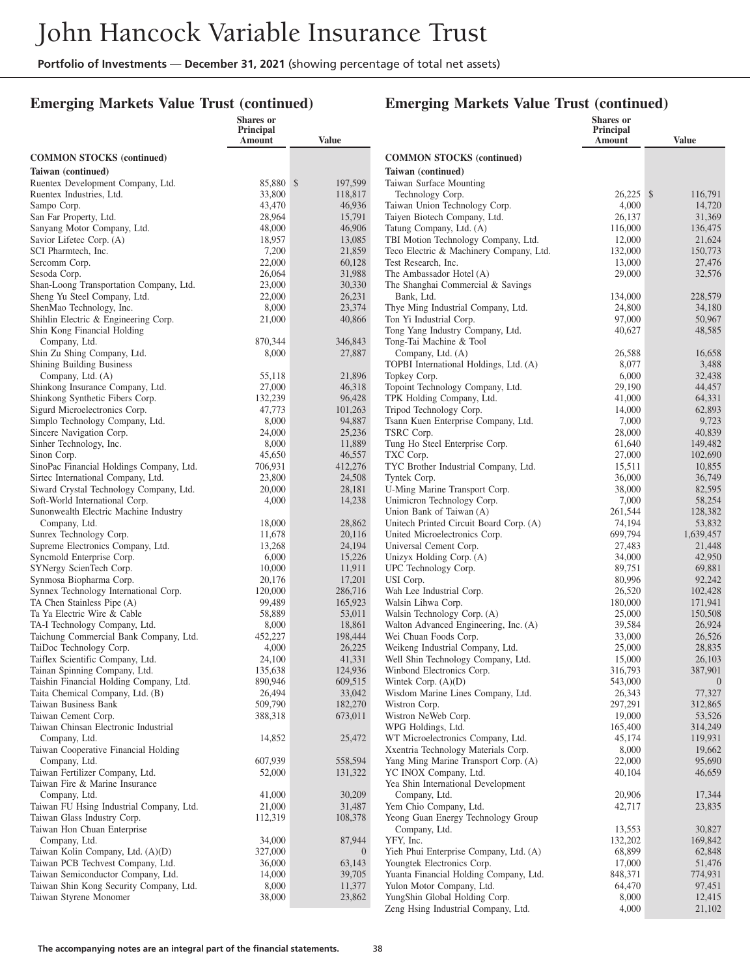#### **Emerging Markets Value Trust (continued)**

#### **Emerging Markets Value Trust (continued)**

|                                                                     | <b>Shares</b> or<br>Principal |                          |                                                     | <b>Shares</b> or           |                    |
|---------------------------------------------------------------------|-------------------------------|--------------------------|-----------------------------------------------------|----------------------------|--------------------|
|                                                                     | Amount                        | Value                    |                                                     | <b>Principal</b><br>Amount | <b>Value</b>       |
| <b>COMMON STOCKS (continued)</b>                                    |                               |                          | <b>COMMON STOCKS</b> (continued)                    |                            |                    |
| Taiwan (continued)                                                  |                               |                          | Taiwan (continued)                                  |                            |                    |
| Ruentex Development Company, Ltd.                                   | 85,880 \$                     | 197,599                  | Taiwan Surface Mounting                             |                            |                    |
| Ruentex Industries, Ltd.                                            | 33,800                        | 118,817                  | Technology Corp.                                    | 26,225 \$                  | 116,791            |
| Sampo Corp.                                                         | 43,470                        | 46,936                   | Taiwan Union Technology Corp.                       | 4,000                      | 14.720             |
| San Far Property, Ltd.                                              | 28,964                        | 15,791                   | Taiyen Biotech Company, Ltd.                        | 26,137                     | 31,369             |
| Sanyang Motor Company, Ltd.                                         | 48,000                        | 46,906                   | Tatung Company, Ltd. (A)                            | 116,000                    | 136,475            |
| Savior Lifetec Corp. (A)                                            | 18,957                        | 13,085                   | TBI Motion Technology Company, Ltd.                 | 12,000                     | 21,624             |
| SCI Pharmtech, Inc.                                                 | 7,200                         | 21,859                   | Teco Electric & Machinery Company, Ltd.             | 132,000                    | 150,773            |
| Sercomm Corp.                                                       | 22,000                        | 60,128                   | Test Research, Inc.                                 | 13,000                     | 27,476             |
| Sesoda Corp.                                                        | 26,064                        | 31,988                   | The Ambassador Hotel (A)                            | 29,000                     | 32,576             |
| Shan-Loong Transportation Company, Ltd.                             | 23,000                        | 30,330                   | The Shanghai Commercial & Savings                   |                            |                    |
| Sheng Yu Steel Company, Ltd.<br>ShenMao Technology, Inc.            | 22,000<br>8,000               | 26,231<br>23,374         | Bank, Ltd.<br>Thye Ming Industrial Company, Ltd.    | 134,000<br>24,800          | 228,579<br>34,180  |
| Shihlin Electric & Engineering Corp.                                | 21,000                        | 40,866                   | Ton Yi Industrial Corp.                             | 97,000                     | 50,967             |
| Shin Kong Financial Holding                                         |                               |                          | Tong Yang Industry Company, Ltd.                    | 40,627                     | 48,585             |
| Company, Ltd.                                                       | 870,344                       | 346,843                  | Tong-Tai Machine & Tool                             |                            |                    |
| Shin Zu Shing Company, Ltd.                                         | 8,000                         | 27,887                   | Company, Ltd. (A)                                   | 26,588                     | 16,658             |
| Shining Building Business                                           |                               |                          | TOPBI International Holdings, Ltd. (A)              | 8,077                      | 3,488              |
| Company, Ltd. (A)                                                   | 55,118                        | 21,896                   | Topkey Corp.                                        | 6,000                      | 32,438             |
| Shinkong Insurance Company, Ltd.                                    | 27,000                        | 46,318                   | Topoint Technology Company, Ltd.                    | 29,190                     | 44,457             |
| Shinkong Synthetic Fibers Corp.                                     | 132,239                       | 96,428                   | TPK Holding Company, Ltd.                           | 41,000                     | 64,331             |
| Sigurd Microelectronics Corp.                                       | 47,773                        | 101,263                  | Tripod Technology Corp.                             | 14,000                     | 62,893             |
| Simplo Technology Company, Ltd.                                     | 8,000                         | 94,887                   | Tsann Kuen Enterprise Company, Ltd.                 | 7,000                      | 9,723              |
| Sincere Navigation Corp.                                            | 24,000                        | 25,236                   | TSRC Corp.                                          | 28,000                     | 40,839             |
| Sinher Technology, Inc.<br>Sinon Corp.                              | 8,000<br>45,650               | 11,889<br>46,557         | Tung Ho Steel Enterprise Corp.                      | 61,640<br>27,000           | 149,482<br>102,690 |
| SinoPac Financial Holdings Company, Ltd.                            | 706,931                       | 412,276                  | TXC Corp.<br>TYC Brother Industrial Company, Ltd.   | 15,511                     | 10,855             |
| Sirtec International Company, Ltd.                                  | 23,800                        | 24,508                   | Tyntek Corp.                                        | 36,000                     | 36,749             |
| Siward Crystal Technology Company, Ltd.                             | 20,000                        | 28,181                   | U-Ming Marine Transport Corp.                       | 38,000                     | 82,595             |
| Soft-World International Corp.                                      | 4,000                         | 14,238                   | Unimicron Technology Corp.                          | 7,000                      | 58,254             |
| Sunonwealth Electric Machine Industry                               |                               |                          | Union Bank of Taiwan (A)                            | 261,544                    | 128,382            |
| Company, Ltd.                                                       | 18,000                        | 28,862                   | Unitech Printed Circuit Board Corp. (A)             | 74,194                     | 53,832             |
| Sunrex Technology Corp.                                             | 11,678                        | 20,116                   | United Microelectronics Corp.                       | 699,794                    | 1,639,457          |
| Supreme Electronics Company, Ltd.                                   | 13,268                        | 24,194                   | Universal Cement Corp.                              | 27,483                     | 21,448             |
| Syncmold Enterprise Corp.                                           | 6,000                         | 15,226                   | Unizyx Holding Corp. (A)                            | 34,000                     | 42,950             |
| SYNergy ScienTech Corp.                                             | 10,000                        | 11,911                   | UPC Technology Corp.                                | 89,751                     | 69,881             |
| Synmosa Biopharma Corp.                                             | 20,176                        | 17,201                   | USI Corp.                                           | 80,996                     | 92,242             |
| Synnex Technology International Corp.<br>TA Chen Stainless Pipe (A) | 120,000<br>99,489             | 286,716<br>165,923       | Wah Lee Industrial Corp.<br>Walsin Lihwa Corp.      | 26,520<br>180,000          | 102,428<br>171,941 |
| Ta Ya Electric Wire & Cable                                         | 58,889                        | 53,011                   | Walsin Technology Corp. (A)                         | 25,000                     | 150,508            |
| TA-I Technology Company, Ltd.                                       | 8,000                         | 18,861                   | Walton Advanced Engineering, Inc. (A)               | 39,584                     | 26,924             |
| Taichung Commercial Bank Company, Ltd.                              | 452,227                       | 198,444                  | Wei Chuan Foods Corp.                               | 33,000                     | 26,526             |
| TaiDoc Technology Corp.                                             | 4,000                         | 26,225                   | Weikeng Industrial Company, Ltd.                    | 25,000                     | 28,835             |
| Taiflex Scientific Company, Ltd.                                    | 24,100                        | 41,331                   | Well Shin Technology Company, Ltd.                  | 15,000                     | 26,103             |
| Tainan Spinning Company, Ltd.                                       | 135,638                       | 124,936                  | Winbond Electronics Corp.                           | 316,793                    | 387,901            |
| Taishin Financial Holding Company, Ltd.                             | 890,946                       | 609,515                  | Wintek Corp. $(A)(D)$                               | 543,000                    | $\bigcirc$         |
| Taita Chemical Company, Ltd. (B)                                    | 26,494                        | 33,042                   | Wisdom Marine Lines Company, Ltd.                   | 26,343                     | 77,327             |
| Taiwan Business Bank<br>Taiwan Cement Corp.                         | 509,790<br>388,318            | 182,270<br>673,011       | Wistron Corp.<br>Wistron NeWeb Corp.                | 297,291<br>19,000          | 312,865<br>53,526  |
| Taiwan Chinsan Electronic Industrial                                |                               |                          | WPG Holdings, Ltd.                                  | 165,400                    | 314,249            |
| Company, Ltd.                                                       | 14,852                        | 25,472                   | WT Microelectronics Company, Ltd.                   | 45,174                     | 119,931            |
| Taiwan Cooperative Financial Holding                                |                               |                          | Xxentria Technology Materials Corp.                 | 8,000                      | 19,662             |
| Company, Ltd.                                                       | 607,939                       | 558,594                  | Yang Ming Marine Transport Corp. (A)                | 22,000                     | 95,690             |
| Taiwan Fertilizer Company, Ltd.                                     | 52,000                        | 131,322                  | YC INOX Company, Ltd.                               | 40,104                     | 46,659             |
| Taiwan Fire & Marine Insurance                                      |                               |                          | Yea Shin International Development                  |                            |                    |
| Company, Ltd.                                                       | 41,000                        | 30,209                   | Company, Ltd.                                       | 20,906                     | 17,344             |
| Taiwan FU Hsing Industrial Company, Ltd.                            | 21,000                        | 31,487                   | Yem Chio Company, Ltd.                              | 42,717                     | 23,835             |
| Taiwan Glass Industry Corp.                                         | 112,319                       | 108,378                  | Yeong Guan Energy Technology Group                  |                            |                    |
| Taiwan Hon Chuan Enterprise                                         | 34,000                        |                          | Company, Ltd.                                       | 13,553                     | 30,827             |
| Company, Ltd.<br>Taiwan Kolin Company, Ltd. (A)(D)                  | 327,000                       | 87,944<br>$\overline{0}$ | YFY, Inc.<br>Yieh Phui Enterprise Company, Ltd. (A) | 132,202<br>68,899          | 169,842<br>62,848  |
| Taiwan PCB Techvest Company, Ltd.                                   | 36,000                        | 63,143                   | Youngtek Electronics Corp.                          | 17,000                     | 51,476             |
| Taiwan Semiconductor Company, Ltd.                                  | 14,000                        | 39,705                   | Yuanta Financial Holding Company, Ltd.              | 848,371                    | 774,931            |
| Taiwan Shin Kong Security Company, Ltd.                             | 8,000                         | 11,377                   | Yulon Motor Company, Ltd.                           | 64,470                     | 97,451             |
| Taiwan Styrene Monomer                                              | 38,000                        | 23,862                   | YungShin Global Holding Corp.                       | 8,000                      | 12,415             |
|                                                                     |                               |                          | Zeng Hsing Industrial Company, Ltd.                 | 4,000                      | 21,102             |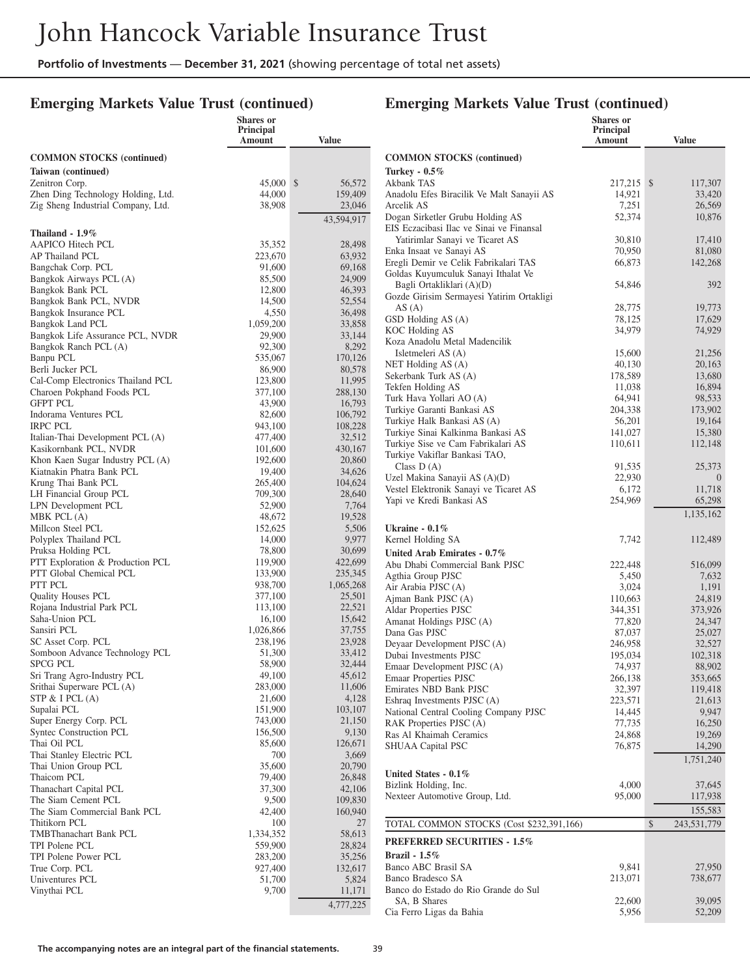#### **Emerging Markets Value Trust (continued)**

#### **Emerging Markets Value Trust (continued)**

|                                                            | <b>Shares</b> or<br><b>Principal</b><br>Amount | Value               |
|------------------------------------------------------------|------------------------------------------------|---------------------|
| <b>COMMON STOCKS</b> (continued)                           |                                                |                     |
| Taiwan (continued)                                         |                                                |                     |
| Zenitron Corp.                                             | 45,000                                         | \$<br>56,572        |
| Zhen Ding Technology Holding, Ltd.                         | 44,000                                         | 159,409             |
| Zig Sheng Industrial Company, Ltd.                         | 38,908                                         | 23,046              |
|                                                            |                                                | 43,594,917          |
| Thailand - 1.9%<br>AAPICO Hitech PCL                       | 35,352                                         | 28,498              |
| AP Thailand PCL                                            | 223,670                                        | 63,932              |
| Bangchak Corp. PCL                                         | 91,600                                         | 69,168              |
| Bangkok Airways PCL (A)                                    | 85,500                                         | 24,909              |
| Bangkok Bank PCL                                           | 12,800                                         | 46,393              |
| Bangkok Bank PCL, NVDR<br>Bangkok Insurance PCL            | 14,500<br>4,550                                | 52,554<br>36,498    |
| Bangkok Land PCL                                           | 1,059,200                                      | 33,858              |
| Bangkok Life Assurance PCL, NVDR                           | 29,900                                         | 33,144              |
| Bangkok Ranch PCL (A)                                      | 92,300                                         | 8,292               |
| Banpu PCL                                                  | 535,067                                        | 170,126             |
| Berli Jucker PCL<br>Cal-Comp Electronics Thailand PCL      | 86,900<br>123,800                              | 80,578<br>11,995    |
| Charoen Pokphand Foods PCL                                 | 377,100                                        | 288,130             |
| <b>GFPT PCL</b>                                            | 43,900                                         | 16,793              |
| Indorama Ventures PCL                                      | 82,600                                         | 106,792             |
| <b>IRPC PCL</b>                                            | 943,100                                        | 108,228             |
| Italian-Thai Development PCL (A)<br>Kasikornbank PCL, NVDR | 477,400<br>101,600                             | 32,512<br>430,167   |
| Khon Kaen Sugar Industry PCL (A)                           | 192,600                                        | 20,860              |
| Kiatnakin Phatra Bank PCL                                  | 19,400                                         | 34,626              |
| Krung Thai Bank PCL                                        | 265,400                                        | 104,624             |
| LH Financial Group PCL                                     | 709,300                                        | 28,640              |
| LPN Development PCL<br>MBK PCL (A)                         | 52,900<br>48,672                               | 7,764<br>19,528     |
| Millcon Steel PCL                                          | 152,625                                        | 5,506               |
| Polyplex Thailand PCL                                      | 14,000                                         | 9,977               |
| Pruksa Holding PCL                                         | 78,800                                         | 30,699              |
| PTT Exploration & Production PCL                           | 119,900                                        | 422,699             |
| PTT Global Chemical PCL<br>PTT PCL                         | 133,900                                        | 235,345             |
| <b>Quality Houses PCL</b>                                  | 938,700<br>377,100                             | 1,065,268<br>25,501 |
| Rojana Industrial Park PCL                                 | 113,100                                        | 22,521              |
| Saha-Union PCL                                             | 16,100                                         | 15,642              |
| Sansiri PCL                                                | 1,026,866                                      | 37,755              |
| SC Asset Corp. PCL<br>Somboon Advance Technology PCL       | 238,196<br>51,300                              | 23,928<br>33,412    |
| SPCG PCL                                                   | 58,900                                         | 32,444              |
| Sri Trang Agro-Industry PCL                                | 49,100                                         | 45,612              |
| Srithai Superware PCL (A)                                  | 283,000                                        | 11,606              |
| STP $&$ I PCL $(A)$                                        | 21,600                                         | 4,128               |
| Supalai PCL<br>Super Energy Corp. PCL                      | 151,900                                        | 103,107<br>21,150   |
| <b>Syntec Construction PCL</b>                             | 743,000<br>156,500                             | 9,130               |
| Thai Oil PCL                                               | 85,600                                         | 126,671             |
| Thai Stanley Electric PCL                                  | 700                                            | 3,669               |
| Thai Union Group PCL                                       | 35,600                                         | 20,790              |
| Thaicom PCL<br>Thanachart Capital PCL                      | 79,400<br>37,300                               | 26,848<br>42,106    |
| The Siam Cement PCL                                        | 9,500                                          | 109,830             |
| The Siam Commercial Bank PCL                               | 42,400                                         | 160,940             |
| Thitikorn PCL                                              | 100                                            | 27                  |
| <b>TMBThanachart Bank PCL</b>                              | 1,334,352                                      | 58,613              |
| TPI Polene PCL<br>TPI Polene Power PCL                     | 559,900<br>283,200                             | 28,824<br>35,256    |
| True Corp. PCL                                             | 927,400                                        | 132,617             |
| Univentures PCL                                            | 51,700                                         | 5,824               |
| Vinythai PCL                                               | 9,700                                          | 11,171              |
|                                                            |                                                | 4,777,225           |

|                                                                              | <b>Shares</b> or<br><b>Principal</b><br>Amount | Value               |
|------------------------------------------------------------------------------|------------------------------------------------|---------------------|
| <b>COMMON STOCKS</b> (continued)                                             |                                                |                     |
| Turkey - 0.5%                                                                |                                                |                     |
| Akbank TAS                                                                   | 217,215                                        | \$<br>117,307       |
| Anadolu Efes Biracilik Ve Malt Sanayii AS<br>Arcelik AS                      | 14,921                                         | 33,420              |
| Dogan Sirketler Grubu Holding AS                                             | 7,251<br>52,374                                | 26,569<br>10,876    |
| EIS Eczacibasi Ilac ve Sinai ve Finansal                                     |                                                |                     |
| Yatirimlar Sanayi ve Ticaret AS                                              | 30,810                                         | 17,410              |
| Enka Insaat ve Sanayi AS                                                     | 70,950                                         | 81,080              |
| Eregli Demir ve Celik Fabrikalari TAS<br>Goldas Kuyumculuk Sanayi Ithalat Ve | 66,873                                         | 142,268             |
| Bagli Ortakliklari (A)(D)                                                    | 54,846                                         | 392                 |
| Gozde Girisim Sermayesi Yatirim Ortakligi                                    |                                                |                     |
| AS(A)                                                                        | 28,775                                         | 19,773              |
| GSD Holding AS (A)                                                           | 78,125                                         | 17,629              |
| KOC Holding AS<br>Koza Anadolu Metal Madencilik                              | 34,979                                         | 74,929              |
| Isletmeleri AS (A)                                                           | 15,600                                         | 21,256              |
| NET Holding AS (A)                                                           | 40,130                                         | 20,163              |
| Sekerbank Turk AS (A)                                                        | 178,589                                        | 13,680              |
| Tekfen Holding AS<br>Turk Hava Yollari AO (A)                                | 11,038                                         | 16,894              |
| Turkiye Garanti Bankasi AS                                                   | 64,941<br>204,338                              | 98,533<br>173,902   |
| Turkiye Halk Bankasi AS (A)                                                  | 56,201                                         | 19,164              |
| Turkiye Sinai Kalkinma Bankasi AS                                            | 141,027                                        | 15,380              |
| Turkiye Sise ve Cam Fabrikalari AS                                           | 110,611                                        | 112,148             |
| Turkiye Vakiflar Bankasi TAO,<br>Class $D(A)$                                | 91,535                                         | 25,373              |
| Uzel Makina Sanayii AS (A)(D)                                                | 22,930                                         | $\theta$            |
| Vestel Elektronik Sanayi ve Ticaret AS                                       | 6,172                                          | 11,718              |
| Yapi ve Kredi Bankasi AS                                                     | 254,969                                        | 65,298              |
|                                                                              |                                                | 1,135,162           |
| Ukraine - $0.1\%$                                                            |                                                |                     |
| Kernel Holding SA                                                            | 7,742                                          | 112,489             |
| United Arab Emirates - 0.7%<br>Abu Dhabi Commercial Bank PJSC                | 222,448                                        |                     |
| Agthia Group PJSC                                                            | 5,450                                          | 516,099<br>7,632    |
| Air Arabia PJSC (A)                                                          | 3,024                                          | 1,191               |
| Ajman Bank PJSC (A)                                                          | 110,663                                        | 24,819              |
| Aldar Properties PJSC                                                        | 344,351                                        | 373,926             |
| Amanat Holdings PJSC (A)<br>Dana Gas PJSC                                    | 77,820<br>87,037                               | 24,347<br>25,027    |
| Deyaar Development PJSC (A)                                                  | 246,958                                        | 32,527              |
| Dubai Investments PJSC                                                       | 195,034                                        | 102,318             |
| Emaar Development PJSC (A)                                                   | 74,937                                         | 88,902              |
| Emaar Properties PJSC<br>Emirates NBD Bank PJSC                              | 266,138<br>32,397                              | 353,665             |
| Eshraq Investments PJSC (A)                                                  | 223,571                                        | 119,418<br>21,613   |
| National Central Cooling Company PJSC                                        | 14,445                                         | 9,947               |
| RAK Properties PJSC (A)                                                      | 77,735                                         | 16,250              |
| Ras Al Khaimah Ceramics                                                      | 24,868                                         | 19,269              |
| SHUAA Capital PSC                                                            | 76,875                                         | 14,290<br>1,751,240 |
| United States - 0.1%                                                         |                                                |                     |
| Bizlink Holding, Inc.                                                        | 4,000                                          | 37,645              |
| Nexteer Automotive Group, Ltd.                                               | 95,000                                         | 117,938             |
|                                                                              |                                                | 155,583             |
| TOTAL COMMON STOCKS (Cost \$232,391,166)                                     |                                                | \$<br>243,531,779   |
| <b>PREFERRED SECURITIES - 1.5%</b>                                           |                                                |                     |
| Brazil - 1.5%                                                                |                                                |                     |
| Banco ABC Brasil SA                                                          | 9,841                                          | 27,950              |
| Banco Bradesco SA<br>Banco do Estado do Rio Grande do Sul                    | 213,071                                        | 738,677             |
| SA, B Shares                                                                 | 22,600                                         | 39,095              |
| Cia Ferro Ligas da Bahia                                                     | 5,956                                          | 52,209              |
|                                                                              |                                                |                     |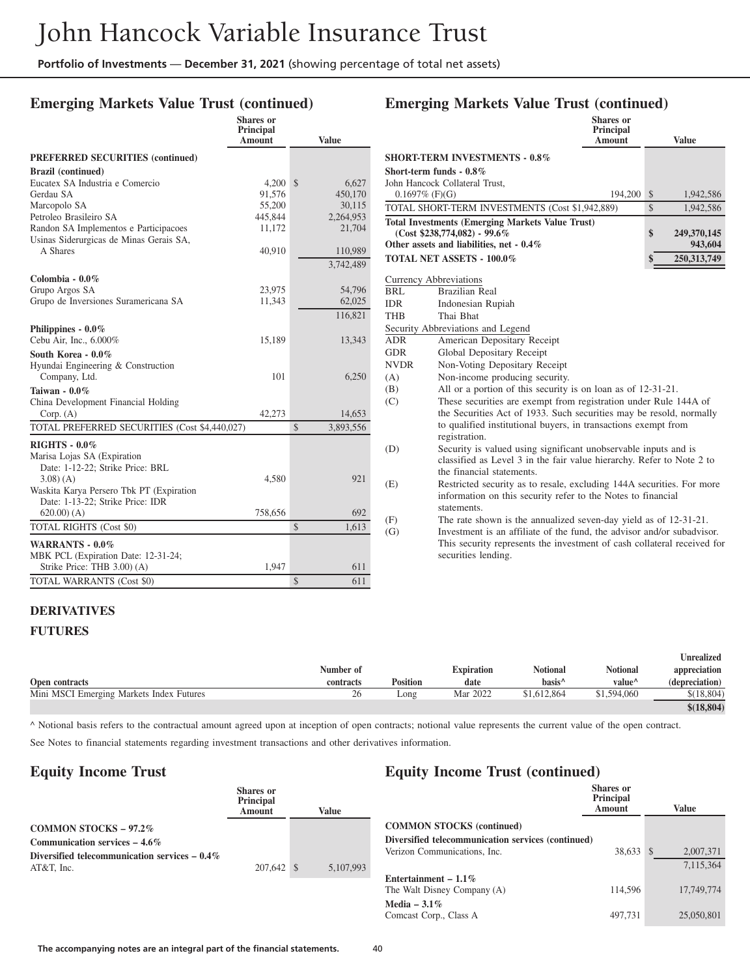**Shares or**

# **Emerging Markets Value Trust (continued)**

|                                               | Principal<br>Amount | <b>Value</b>              |  |
|-----------------------------------------------|---------------------|---------------------------|--|
| <b>PREFERRED SECURITIES (continued)</b>       |                     |                           |  |
| <b>Brazil</b> (continued)                     |                     |                           |  |
| Eucatex SA Industria e Comercio               | 4,200               | $\mathcal{S}$<br>6,627    |  |
| Gerdau SA                                     | 91,576              | 450,170                   |  |
| Marcopolo SA                                  | 55,200              | 30,115                    |  |
| Petroleo Brasileiro SA                        | 445,844             | 2,264,953                 |  |
| Randon SA Implementos e Participacoes         | 11,172              | 21,704                    |  |
| Usinas Siderurgicas de Minas Gerais SA,       |                     |                           |  |
| A Shares                                      | 40,910              | 110,989                   |  |
|                                               |                     | 3,742,489                 |  |
| Colombia - $0.0\%$                            |                     |                           |  |
| Grupo Argos SA                                | 23,975              | 54,796                    |  |
| Grupo de Inversiones Suramericana SA          | 11,343              | 62,025                    |  |
|                                               |                     | 116,821                   |  |
| Philippines - 0.0%                            |                     |                           |  |
| Cebu Air, Inc., 6.000%                        | 15,189              | 13,343                    |  |
| South Korea - 0.0%                            |                     |                           |  |
| Hyundai Engineering & Construction            |                     |                           |  |
| Company, Ltd.                                 | 101                 | 6,250                     |  |
| Taiwan - 0.0%                                 |                     |                           |  |
| China Development Financial Holding           |                     |                           |  |
| Corp. (A)                                     | 42,273              | 14,653                    |  |
| TOTAL PREFERRED SECURITIES (Cost \$4,440,027) |                     | $\mathbb{S}$<br>3,893,556 |  |
|                                               |                     |                           |  |
| <b>RIGHTS - 0.0%</b>                          |                     |                           |  |
| Marisa Lojas SA (Expiration                   |                     |                           |  |
| Date: 1-12-22; Strike Price: BRL              |                     |                           |  |
| $3.08$ $(A)$                                  | 4,580               | 921                       |  |
| Waskita Karya Persero Tbk PT (Expiration      |                     |                           |  |
| Date: 1-13-22; Strike Price: IDR              |                     |                           |  |
| $620.00)$ (A)                                 | 758,656             | 692                       |  |
| <b>TOTAL RIGHTS (Cost \$0)</b>                |                     | 1,613<br>$\mathcal{S}$    |  |
| <b>WARRANTS - 0.0%</b>                        |                     |                           |  |
| MBK PCL (Expiration Date: 12-31-24;           |                     |                           |  |
| Strike Price: THB 3.00) (A)                   | 1,947               | 611                       |  |
| <b>TOTAL WARRANTS (Cost \$0)</b>              |                     | $\mathbb{S}$<br>611       |  |

# **Emerging Markets Value Trust (continued)**

|                   |                                                                                 | <b>Shares</b> or<br>Principal<br>Amount | <b>Value</b>      |
|-------------------|---------------------------------------------------------------------------------|-----------------------------------------|-------------------|
|                   | <b>SHORT-TERM INVESTMENTS - 0.8%</b>                                            |                                         |                   |
|                   | Short-term funds - $0.8\%$                                                      |                                         |                   |
|                   | John Hancock Collateral Trust.                                                  |                                         |                   |
| $0.1697\%$ (F)(G) |                                                                                 | 194,200                                 | \$<br>1,942,586   |
|                   | TOTAL SHORT-TERM INVESTMENTS (Cost \$1,942,889)                                 |                                         | \$<br>1,942,586   |
|                   | <b>Total Investments (Emerging Markets Value Trust)</b>                         |                                         |                   |
|                   | $(Cost $238,774,082) - 99.6\%$                                                  |                                         | \$<br>249,370,145 |
|                   | Other assets and liabilities, net - 0.4%                                        |                                         | 943,604           |
|                   | <b>TOTAL NET ASSETS - 100.0%</b>                                                |                                         | 250,313,749       |
|                   | <b>Currency Abbreviations</b>                                                   |                                         |                   |
| BRL               | Brazilian Real                                                                  |                                         |                   |
| IDR               | Indonesian Rupiah                                                               |                                         |                   |
| <b>THB</b>        | Thai Bhat                                                                       |                                         |                   |
|                   | Security Abbreviations and Legend                                               |                                         |                   |
| ADR               | American Depositary Receipt                                                     |                                         |                   |
| <b>GDR</b>        | Global Depositary Receipt                                                       |                                         |                   |
| <b>NVDR</b>       | Non-Voting Depositary Receipt                                                   |                                         |                   |
| (A)               | Non-income producing security.                                                  |                                         |                   |
| (B)               | All or a portion of this security is on loan as of 12-31-21.                    |                                         |                   |
| (C)               | These securities are exempt from registration under Rule 144A of                |                                         |                   |
|                   | the Securities Act of 1933. Such securities may be resold, normally             |                                         |                   |
|                   | to qualified institutional buyers, in transactions exempt from<br>registration. |                                         |                   |
| (D)               | Security is valued using significant unobservable inputs and is                 |                                         |                   |
|                   | classified as Level 3 in the fair value hierarchy. Refer to Note 2 to           |                                         |                   |
|                   | the financial statements.                                                       |                                         |                   |
| (E)               | Restricted security as to resale, excluding 144A securities. For more           |                                         |                   |
|                   | information on this security refer to the Notes to financial                    |                                         |                   |
|                   | statements.                                                                     |                                         |                   |
| (F)               | The rate shown is the annualized seven-day yield as of 12-31-21.                |                                         |                   |
| (G)               | Investment is an affiliate of the fund, the advisor and/or subadvisor.          |                                         |                   |
|                   | This security represents the investment of cash collateral received for         |                                         |                   |
|                   | securities lending.                                                             |                                         |                   |
|                   |                                                                                 |                                         |                   |

#### **DERIVATIVES**

#### **FUTURES**

|                                          |           |                 |                   |                    |                    | <b>Unrealized</b> |
|------------------------------------------|-----------|-----------------|-------------------|--------------------|--------------------|-------------------|
|                                          | Number of |                 | <b>Expiration</b> | <b>Notional</b>    | <b>Notional</b>    | appreciation      |
| Open contracts                           | contracts | <b>Position</b> | date              | hasis <sup>^</sup> | value <sup>^</sup> | (depreciation)    |
| Mini MSCI Emerging Markets Index Futures | 26        | Long            | Mar 2022          | \$1,612,864        | \$1,594,060        | \$(18.804)        |
|                                          |           |                 |                   |                    |                    | \$(18, 804)       |

^ Notional basis refers to the contractual amount agreed upon at inception of open contracts; notional value represents the current value of the open contract.

See Notes to financial statements regarding investment transactions and other derivatives information.

#### **Equity Income Trust**

|                                                                      | <b>Shares</b> or<br>Principal<br>Amount | Value     |
|----------------------------------------------------------------------|-----------------------------------------|-----------|
| <b>COMMON STOCKS - 97.2%</b><br><b>Communication services – 4.6%</b> |                                         |           |
| Diversified telecommunication services $-0.4\%$<br>$AT&T.$ Inc.      | 207,642 \$                              | 5,107,993 |

# **Equity Income Trust (continued)**

|                                                    | Shares or<br><b>Principal</b><br><b>Amount</b> |               | Value      |
|----------------------------------------------------|------------------------------------------------|---------------|------------|
| <b>COMMON STOCKS</b> (continued)                   |                                                |               |            |
| Diversified telecommunication services (continued) |                                                |               |            |
| Verizon Communications, Inc.                       | 38.633                                         | <sup>\$</sup> | 2,007,371  |
|                                                    |                                                |               | 7.115.364  |
| Entertainment – $1.1\%$                            |                                                |               |            |
| The Walt Disney Company (A)                        | 114.596                                        |               | 17.749.774 |
| Media – $3.1\%$                                    |                                                |               |            |
| Comcast Corp., Class A                             | 497.731                                        |               | 25,050,801 |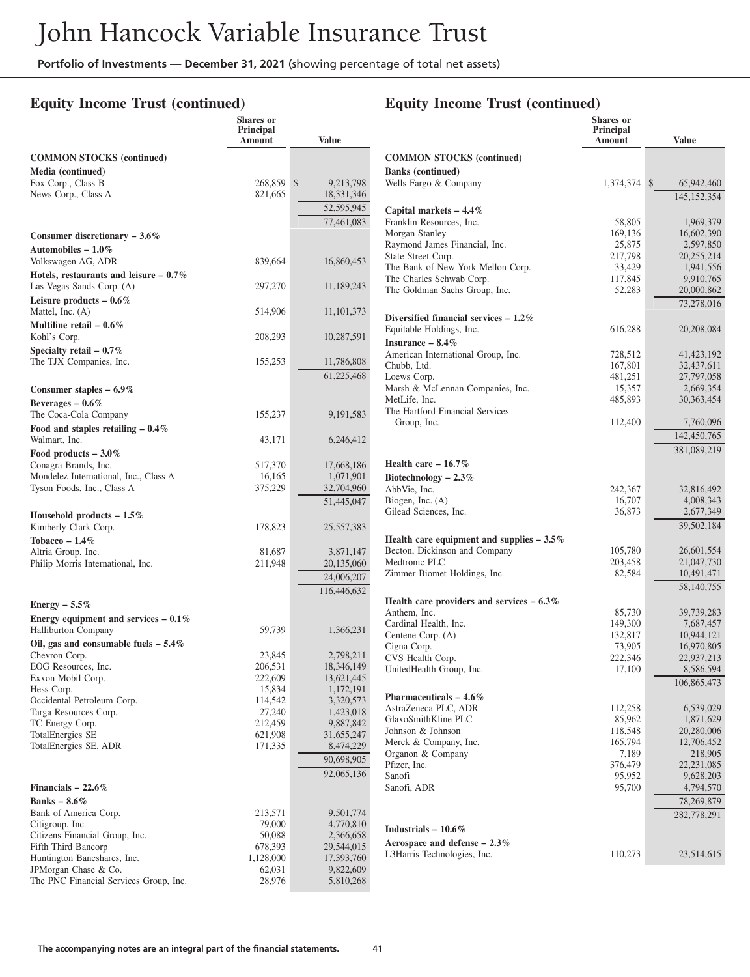#### **Equity Income Trust (continued)**

## **Equity Income Trust (continued)**

**Shares or**

|                                                                      | <b>Shares</b> or<br>Principal<br>Amount | <b>Value</b>             |
|----------------------------------------------------------------------|-----------------------------------------|--------------------------|
| <b>COMMON STOCKS (continued)</b>                                     |                                         |                          |
| Media (continued)                                                    |                                         |                          |
| Fox Corp., Class B                                                   | 268,859                                 | \$<br>9,213,798          |
| News Corp., Class A                                                  | 821,665                                 | 18,331,346               |
|                                                                      |                                         | 52,595,945<br>77,461,083 |
| Consumer discretionary $-3.6\%$                                      |                                         |                          |
| Automobiles – $1.0\%$                                                |                                         |                          |
| Volkswagen AG, ADR                                                   | 839,664                                 | 16,860,453               |
| Hotels, restaurants and leisure $-0.7\%$                             |                                         |                          |
| Las Vegas Sands Corp. (A)                                            | 297,270                                 | 11,189,243               |
| Leisure products $-0.6\%$                                            |                                         |                          |
| Mattel, Inc. (A)                                                     | 514,906                                 | 11, 101, 373             |
| Multiline retail $-0.6\%$<br>Kohl's Corp.                            | 208,293                                 | 10,287,591               |
| Specialty retail $-0.7\%$                                            |                                         |                          |
| The TJX Companies, Inc.                                              | 155,253                                 | 11,786,808               |
|                                                                      |                                         | 61,225,468               |
| Consumer staples $-6.9\%$                                            |                                         |                          |
| Beverages $-0.6\%$                                                   |                                         |                          |
| The Coca-Cola Company                                                | 155,237                                 | 9, 191, 583              |
| Food and staples retailing $-0.4\%$<br>Walmart, Inc.                 | 43,171                                  | 6,246,412                |
| Food products $-3.0\%$                                               |                                         |                          |
| Conagra Brands, Inc.                                                 | 517,370                                 | 17,668,186               |
| Mondelez International, Inc., Class A                                | 16,165                                  | 1,071,901                |
| Tyson Foods, Inc., Class A                                           | 375,229                                 | 32,704,960               |
|                                                                      |                                         | 51,445,047               |
| Household products $-1.5\%$<br>Kimberly-Clark Corp.                  | 178,823                                 | 25,557,383               |
| Tobacco $-1.4\%$                                                     |                                         |                          |
| Altria Group, Inc.                                                   | 81,687                                  | 3,871,147                |
| Philip Morris International, Inc.                                    | 211,948                                 | 20,135,060               |
|                                                                      |                                         | 24,006,207               |
|                                                                      |                                         | 116,446,632              |
| Energy $-5.5\%$                                                      |                                         |                          |
| Energy equipment and services $-0.1\%$<br><b>Halliburton Company</b> | 59,739                                  | 1,366,231                |
| Oil, gas and consumable fuels $-5.4\%$                               |                                         |                          |
| Chevron Corp.                                                        | 23,845                                  | 2,798,211                |
| EOG Resources, Inc.                                                  | 206,531                                 | 18,346,149               |
| Exxon Mobil Corp.                                                    | 222,609                                 | 13,621,445               |
| Hess Corp.<br>Occidental Petroleum Corp.                             | 15,834<br>114,542                       | 1,172,191<br>3,320,573   |
| Targa Resources Corp.                                                | 27,240                                  | 1,423,018                |
| TC Energy Corp.                                                      | 212,459                                 | 9,887,842                |
| <b>TotalEnergies SE</b>                                              | 621,908                                 | 31,655,247               |
| TotalEnergies SE, ADR                                                | 171,335                                 | 8,474,229                |
|                                                                      |                                         | 90,698,905               |
|                                                                      |                                         | 92,065,136               |
| Financials $-22.6\%$                                                 |                                         |                          |
| Banks $-8.6\%$                                                       |                                         |                          |
| Bank of America Corp.                                                | 213,571                                 | 9,501,774                |
| Citigroup, Inc.<br>Citizens Financial Group, Inc.                    | 79,000<br>50,088                        | 4,770,810<br>2,366,658   |
| Fifth Third Bancorp                                                  | 678,393                                 | 29,544,015               |
| Huntington Bancshares, Inc.                                          | 1,128,000                               | 17,393,760               |
| JPMorgan Chase & Co.                                                 | 62,031                                  | 9,822,609                |
| The PNC Financial Services Group, Inc.                               | 28,976                                  | 5,810,268                |

|                                                               | Principal<br>Amount | <b>Value</b>               |
|---------------------------------------------------------------|---------------------|----------------------------|
| <b>COMMON STOCKS (continued)</b>                              |                     |                            |
| <b>Banks</b> (continued)<br>Wells Fargo & Company             | 1,374,374           | $\mathbb{S}$<br>65,942,460 |
|                                                               |                     | 145, 152, 354              |
| Capital markets $-4.4\%$<br>Franklin Resources, Inc.          | 58,805              | 1,969,379                  |
| Morgan Stanley                                                | 169,136             | 16,602,390                 |
| Raymond James Financial, Inc.                                 | 25,875              | 2,597,850                  |
| State Street Corp.                                            | 217,798             | 20,255,214                 |
| The Bank of New York Mellon Corp.<br>The Charles Schwab Corp. | 33,429<br>117,845   | 1,941,556<br>9,910,765     |
| The Goldman Sachs Group, Inc.                                 | 52,283              | 20,000,862                 |
|                                                               |                     | 73.278.016                 |
| Diversified financial services $-1.2\%$                       |                     |                            |
| Equitable Holdings, Inc.                                      | 616,288             | 20,208,084                 |
| Insurance $-8.4\%$<br>American International Group, Inc.      | 728,512             | 41, 423, 192               |
| Chubb, Ltd.                                                   | 167,801             | 32,437,611                 |
| Loews Corp.                                                   | 481,251             | 27,797,058                 |
| Marsh & McLennan Companies, Inc.                              | 15,357              | 2,669,354                  |
| MetLife, Inc.<br>The Hartford Financial Services              | 485,893             | 30,363,454                 |
| Group, Inc.                                                   | 112,400             | 7,760,096                  |
|                                                               |                     | 142,450,765                |
|                                                               |                     | 381,089,219                |
| Health care $-16.7\%$                                         |                     |                            |
| Biotechnology $-2.3\%$<br>AbbVie, Inc.                        |                     |                            |
| Biogen, Inc. (A)                                              | 242,367<br>16,707   | 32,816,492<br>4,008,343    |
| Gilead Sciences, Inc.                                         | 36,873              | 2,677,349                  |
|                                                               |                     | 39,502,184                 |
| Health care equipment and supplies $-3.5\%$                   |                     |                            |
| Becton, Dickinson and Company<br>Medtronic PLC                | 105,780             | 26,601,554                 |
| Zimmer Biomet Holdings, Inc.                                  | 203,458<br>82,584   | 21,047,730<br>10,491,471   |
|                                                               |                     | 58,140,755                 |
| Health care providers and services $-6.3\%$                   |                     |                            |
| Anthem. Inc.                                                  | 85,730              | 39,739,283                 |
| Cardinal Health, Inc.<br>Centene Corp. (A)                    | 149,300             | 7,687,457<br>10,944,121    |
| Cigna Corp.                                                   | 132,817<br>73,905   | 16,970,805                 |
| CVS Health Corp.                                              | 222,346             | 22,937,213                 |
| UnitedHealth Group, Inc.                                      | 17,100              | 8,586,594                  |
|                                                               |                     | 106,865,473                |
| Pharmaceuticals $-4.6\%$<br>AstraZeneca PLC, ADR              | 112,258             |                            |
| GlaxoSmithKline PLC                                           | 85,962              | 6,539,029<br>1,871,629     |
| Johnson & Johnson                                             | 118,548             | 20,280,006                 |
| Merck & Company, Inc.                                         | 165,794             | 12,706,452                 |
| Organon & Company                                             | 7,189               | 218,905                    |
| Pfizer, Inc.                                                  | 376,479             | 22, 231, 085               |
| Sanofi<br>Sanofi, ADR                                         | 95,952<br>95,700    | 9,628,203<br>4,794,570     |
|                                                               |                     | 78,269,879                 |
|                                                               |                     | 282,778,291                |
| Industrials $-10.6\%$                                         |                     |                            |
| Aerospace and defense $-2.3\%$                                |                     |                            |
| L3Harris Technologies, Inc.                                   | 110,273             | 23,514,615                 |
|                                                               |                     |                            |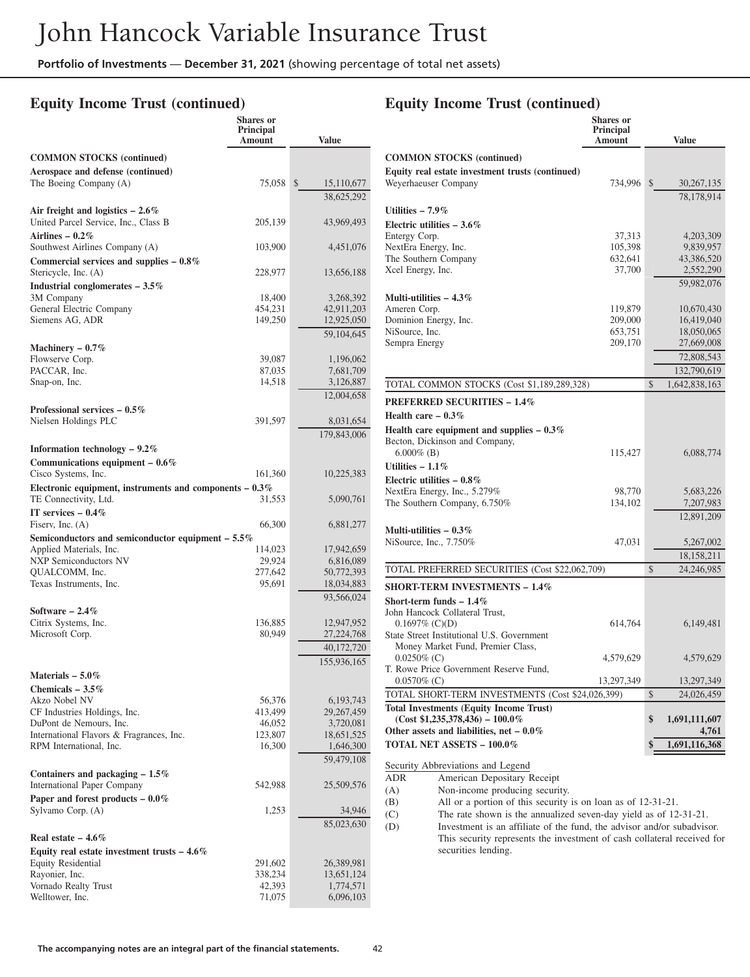**Shares or**

#### **Equity Income Trust (continued)**

|                                                                                    | Principal<br>Amount | <b>Value</b>                             |
|------------------------------------------------------------------------------------|---------------------|------------------------------------------|
| <b>COMMON STOCKS</b> (continued)                                                   |                     |                                          |
| Aerospace and defense (continued)                                                  |                     |                                          |
| The Boeing Company (A)                                                             | 75,058              | $\mathbb{S}$<br>15,110,677<br>38,625,292 |
| Air freight and logistics $-2.6\%$                                                 |                     |                                          |
| United Parcel Service, Inc., Class B                                               | 205,139             | 43,969,493                               |
| Airlines $-0.2\%$<br>Southwest Airlines Company (A)                                | 103,900             | 4,451,076                                |
| Commercial services and supplies $-0.8\%$<br>Stericycle, Inc. (A)                  | 228,977             | 13,656,188                               |
| Industrial conglomerates $-3.5\%$                                                  |                     |                                          |
| 3M Company                                                                         | 18,400              | 3,268,392                                |
| General Electric Company                                                           | 454,231             | 42,911,203                               |
| Siemens AG, ADR                                                                    | 149,250             | 12,925,050<br>59,104,645                 |
| Machinery $-0.7\%$                                                                 |                     |                                          |
| Flowserve Corp.                                                                    | 39,087              | 1,196,062                                |
| PACCAR, Inc.                                                                       | 87,035              | 7,681,709                                |
| Snap-on, Inc.                                                                      | 14,518              | 3,126,887                                |
|                                                                                    |                     | 12,004,658                               |
| Professional services $-0.5\%$                                                     |                     |                                          |
| Nielsen Holdings PLC                                                               | 391,597             | 8,031,654<br>179,843,006                 |
| Information technology - 9.2%                                                      |                     |                                          |
| Communications equipment $-0.6\%$                                                  |                     |                                          |
| Cisco Systems, Inc.                                                                | 161,360             | 10,225,383                               |
| Electronic equipment, instruments and components $-0.3\%$<br>TE Connectivity, Ltd. | 31,553              | 5,090,761                                |
| IT services $-0.4\%$                                                               |                     |                                          |
| Fiserv, Inc. $(A)$                                                                 | 66,300              | 6,881,277                                |
| Semiconductors and semiconductor equipment - 5.5%                                  |                     |                                          |
| Applied Materials, Inc.<br><b>NXP Semiconductors NV</b>                            | 114,023<br>29,924   | 17,942,659<br>6,816,089                  |
| QUALCOMM, Inc.                                                                     | 277,642             | 50,772,393                               |
| Texas Instruments, Inc.                                                            | 95,691              | 18,034,883                               |
|                                                                                    |                     | 93,566,024                               |
| Software $-2.4\%$<br>Citrix Systems, Inc.                                          | 136,885             |                                          |
| Microsoft Corp.                                                                    | 80,949              | 12,947,952<br>27,224,768                 |
|                                                                                    |                     | 40,172,720                               |
|                                                                                    |                     | 155,936,165                              |
| Materials $-5.0\%$                                                                 |                     |                                          |
| Chemicals $-3.5\%$                                                                 |                     |                                          |
| Akzo Nobel NV<br>CF Industries Holdings, Inc.                                      | 56,376              | 6, 193, 743                              |
| DuPont de Nemours, Inc.                                                            | 413,499<br>46,052   | 29,267,459<br>3,720,081                  |
| International Flavors & Fragrances, Inc.                                           | 123,807             | 18,651,525                               |
| RPM International, Inc.                                                            | 16,300              | 1,646,300                                |
|                                                                                    |                     | 59,479,108                               |
| Containers and packaging $-1.5\%$<br>International Paper Company                   | 542,988             | 25,509,576                               |
| Paper and forest products $-0.0\%$                                                 |                     |                                          |
| Sylvamo Corp. (A)                                                                  | 1,253               | 34,946                                   |
| Real estate $-4.6\%$                                                               |                     | 85,023,630                               |
| Equity real estate investment trusts $-4.6\%$                                      |                     |                                          |
| <b>Equity Residential</b>                                                          | 291,602             | 26,389,981                               |
| Rayonier, Inc.                                                                     | 338,234             | 13,651,124                               |
| Vornado Realty Trust                                                               | 42,393              | 1,774,571                                |
| Welltower, Inc.                                                                    | 71,075              | 6,096,103                                |

# **Equity Income Trust (continued)**

|                                                     | Shares or<br>Principal<br>Amount | <b>Value</b>        |
|-----------------------------------------------------|----------------------------------|---------------------|
| <b>COMMON STOCKS (continued)</b>                    |                                  |                     |
| Equity real estate investment trusts (continued)    |                                  |                     |
| Weyerhaeuser Company                                | 734,996                          | \$<br>30, 267, 135  |
|                                                     |                                  | 78,178,914          |
| Utilities $-7.9\%$                                  |                                  |                     |
| Electric utilities $-3.6\%$                         |                                  |                     |
| Entergy Corp.                                       | 37,313                           | 4,203,309           |
| NextEra Energy, Inc.                                | 105,398                          | 9,839,957           |
| The Southern Company<br>Xcel Energy, Inc.           | 632,641                          | 43,386,520          |
|                                                     | 37,700                           | 2,552,290           |
| Multi-utilities $-4.3\%$                            |                                  | 59,982,076          |
| Ameren Corp.                                        | 119,879                          | 10,670,430          |
| Dominion Energy, Inc.                               | 209,000                          | 16,419,040          |
| NiSource, Inc.                                      | 653,751                          | 18,050,065          |
| Sempra Energy                                       | 209,170                          | 27,669,008          |
|                                                     |                                  | 72,808,543          |
|                                                     |                                  | 132,790,619         |
| TOTAL COMMON STOCKS (Cost \$1,189,289,328)          |                                  | \$<br>1,642,838,163 |
| <b>PREFERRED SECURITIES - 1.4%</b>                  |                                  |                     |
| Health care $-0.3\%$                                |                                  |                     |
| Health care equipment and supplies $-0.3\%$         |                                  |                     |
| Becton, Dickinson and Company,                      |                                  |                     |
| $6.000\%$ (B)                                       | 115,427                          | 6,088,774           |
| Utilities $-1.1\%$                                  |                                  |                     |
| Electric utilities $-0.8\%$                         |                                  |                     |
| NextEra Energy, Inc., 5.279%                        | 98,770                           | 5,683,226           |
| The Southern Company, 6.750%                        | 134,102                          | 7,207,983           |
|                                                     |                                  | 12,891,209          |
| Multi-utilities $-0.3\%$                            |                                  |                     |
| NiSource, Inc., 7.750%                              | 47,031                           | 5,267,002           |
|                                                     |                                  | 18,158,211          |
| TOTAL PREFERRED SECURITIES (Cost \$22,062,709)      |                                  | \$<br>24,246,985    |
| <b>SHORT-TERM INVESTMENTS - 1.4%</b>                |                                  |                     |
| Short-term funds $-1.4\%$                           |                                  |                     |
| John Hancock Collateral Trust,                      |                                  |                     |
| $0.1697\%$ (C)(D)                                   | 614,764                          | 6,149,481           |
| State Street Institutional U.S. Government          |                                  |                     |
| Money Market Fund, Premier Class,<br>$0.0250\%$ (C) | 4,579,629                        | 4,579,629           |
| T. Rowe Price Government Reserve Fund,              |                                  |                     |
| $0.0570\%$ (C)                                      | 13,297,349                       | 13,297,349          |
| TOTAL SHORT-TERM INVESTMENTS (Cost \$24,026,399)    |                                  | \$<br>24,026,459    |
| <b>Total Investments (Equity Income Trust)</b>      |                                  |                     |
| $(Cost $1,235,378,436) - 100.0\%$                   |                                  | \$<br>1,691,111,607 |
| Other assets and liabilities, net $-0.0\%$          |                                  | 4,761               |
| TOTAL NET ASSETS - 100.0%                           |                                  | \$<br>1,691,116,368 |
| Security Abbreviations and Legend                   |                                  |                     |
| ADR<br>American Depositary Receipt                  |                                  |                     |
| Non-income producing security.<br>(A)               |                                  |                     |

(B) All or a portion of this security is on loan as of 12-31-21.<br>(C) The rate shown is the annualized seven-day yield as of 12-

The rate shown is the annualized seven-day yield as of 12-31-21.

(D) Investment is an affiliate of the fund, the advisor and/or subadvisor. This security represents the investment of cash collateral received for securities lending.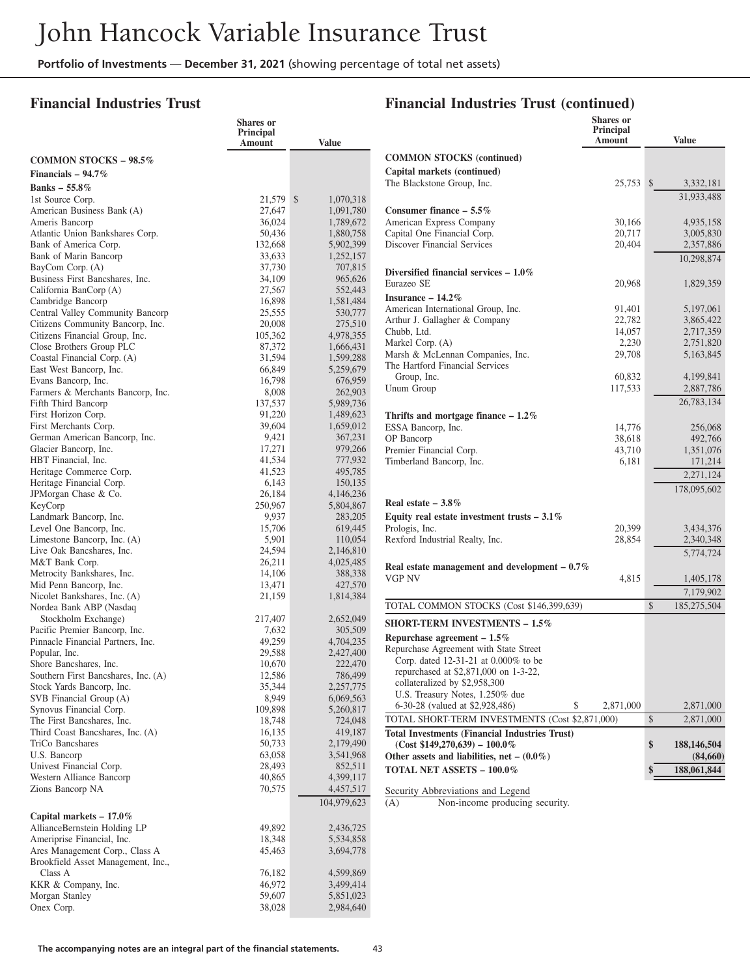#### **Financial Industries Trust**

#### **Financial Industries Trust (continued)**

|                                                                      | Shares or           |                        |
|----------------------------------------------------------------------|---------------------|------------------------|
|                                                                      | Principal<br>Amount | Value                  |
|                                                                      |                     |                        |
| <b>COMMON STOCKS - 98.5%</b>                                         |                     |                        |
| Financials $-94.7\%$                                                 |                     |                        |
| Banks $-55.8\%$                                                      |                     |                        |
| 1st Source Corp.<br>American Business Bank (A)                       | 21,579<br>27,647    | \$<br>1,070,318        |
| Ameris Bancorp                                                       | 36,024              | 1,091,780<br>1,789,672 |
| Atlantic Union Bankshares Corp.                                      | 50,436              | 1,880,758              |
| Bank of America Corp.                                                | 132,668             | 5,902,399              |
| Bank of Marin Bancorp                                                | 33,633              | 1,252,157              |
| BayCom Corp. (A)                                                     | 37,730              | 707,815                |
| Business First Bancshares, Inc.                                      | 34,109              | 965,626                |
| California BanCorp (A)                                               | 27,567              | 552,443                |
| Cambridge Bancorp                                                    | 16,898              | 1,581,484              |
| Central Valley Community Bancorp<br>Citizens Community Bancorp, Inc. | 25,555<br>20,008    | 530,777<br>275,510     |
| Citizens Financial Group, Inc.                                       | 105,362             | 4,978,355              |
| Close Brothers Group PLC                                             | 87,372              | 1,666,431              |
| Coastal Financial Corp. (A)                                          | 31,594              | 1,599,288              |
| East West Bancorp, Inc.                                              | 66,849              | 5,259,679              |
| Evans Bancorp, Inc.                                                  | 16,798              | 676,959                |
| Farmers & Merchants Bancorp, Inc.                                    | 8,008               | 262,903                |
| Fifth Third Bancorp                                                  | 137,537             | 5,989,736              |
| First Horizon Corp.                                                  | 91,220              | 1,489,623              |
| First Merchants Corp.<br>German American Bancorp, Inc.               | 39,604<br>9,421     | 1,659,012<br>367,231   |
| Glacier Bancorp, Inc.                                                | 17,271              | 979,266                |
| HBT Financial, Inc.                                                  | 41,534              | 777,932                |
| Heritage Commerce Corp.                                              | 41,523              | 495,785                |
| Heritage Financial Corp.                                             | 6,143               | 150,135                |
| JPMorgan Chase & Co.                                                 | 26,184              | 4,146,236              |
| KeyCorp                                                              | 250,967             | 5,804,867              |
| Landmark Bancorp, Inc.                                               | 9,937               | 283,205                |
| Level One Bancorp, Inc.                                              | 15,706              | 619,445                |
| Limestone Bancorp, Inc. (A)<br>Live Oak Bancshares, Inc.             | 5,901<br>24,594     | 110,054<br>2,146,810   |
| M&T Bank Corp.                                                       | 26,211              | 4,025,485              |
| Metrocity Bankshares, Inc.                                           | 14,106              | 388,338                |
| Mid Penn Bancorp, Inc.                                               | 13,471              | 427,570                |
| Nicolet Bankshares, Inc. (A)                                         | 21,159              | 1,814,384              |
| Nordea Bank ABP (Nasdaq                                              |                     |                        |
| Stockholm Exchange)                                                  | 217,407             | 2,652,049              |
| Pacific Premier Bancorp, Inc.                                        | 7,632               | 305,509                |
| Pinnacle Financial Partners, Inc.<br>Popular, Inc.                   | 49,259              | 4,704,235              |
| Shore Bancshares, Inc.                                               | 29,588<br>10,670    | 2,427,400<br>222,470   |
| Southern First Bancshares, Inc. (A)                                  | 12,586              | 786,499                |
| Stock Yards Bancorp, Inc.                                            | 35,344              | 2,257,775              |
| SVB Financial Group (A)                                              | 8,949               | 6,069,563              |
| Synovus Financial Corp.                                              | 109,898             | 5,260,817              |
| The First Bancshares, Inc.                                           | 18,748              | 724,048                |
| Third Coast Bancshares, Inc. (A)                                     | 16,135              | 419,187                |
| TriCo Bancshares                                                     | 50,733              | 2,179,490              |
| U.S. Bancorp                                                         | 63,058              | 3,541,968              |
| Univest Financial Corp.<br>Western Alliance Bancorp                  | 28,493<br>40,865    | 852,511<br>4,399,117   |
| Zions Bancorp NA                                                     | 70,575              | 4,457,517              |
|                                                                      |                     | 104,979,623            |
|                                                                      |                     |                        |
| Capital markets $-17.0\%$<br>AllianceBernstein Holding LP            | 49,892              | 2,436,725              |
| Ameriprise Financial, Inc.                                           | 18,348              | 5,534,858              |
| Ares Management Corp., Class A                                       | 45,463              | 3,694,778              |
| Brookfield Asset Management, Inc.,                                   |                     |                        |
| Class A                                                              | 76,182              | 4,599,869              |
| KKR & Company, Inc.                                                  | 46,972              | 3,499,414              |
| Morgan Stanley                                                       | 59,607              | 5,851,023              |
| Onex Corp.                                                           | 38,028              | 2,984,640              |

| <b>COMMON STOCKS (continued)</b><br>Capital markets (continued)<br>The Blackstone Group, Inc.<br>25,753 | <b>Value</b>              |
|---------------------------------------------------------------------------------------------------------|---------------------------|
|                                                                                                         |                           |
|                                                                                                         |                           |
|                                                                                                         | $\mathbb{S}$<br>3,332,181 |
|                                                                                                         | 31,933,488                |
| Consumer finance $-5.5\%$                                                                               |                           |
| American Express Company<br>30,166                                                                      | 4,935,158                 |
| Capital One Financial Corp.<br>20,717                                                                   | 3,005,830                 |
| Discover Financial Services<br>20,404                                                                   | 2,357,886                 |
|                                                                                                         |                           |
|                                                                                                         | 10,298,874                |
| Diversified financial services $-1.0\%$                                                                 |                           |
| Eurazeo SE<br>20,968                                                                                    | 1,829,359                 |
| Insurance $-14.2\%$                                                                                     |                           |
| American International Group, Inc.<br>91,401                                                            | 5,197,061                 |
| Arthur J. Gallagher & Company<br>22,782                                                                 | 3,865,422                 |
| Chubb, Ltd.<br>14,057                                                                                   | 2,717,359                 |
| Markel Corp. (A)<br>2,230                                                                               | 2,751,820                 |
| Marsh & McLennan Companies, Inc.<br>29,708                                                              | 5,163,845                 |
| The Hartford Financial Services                                                                         |                           |
| Group, Inc.<br>60,832                                                                                   | 4,199,841                 |
| Unum Group<br>117,533                                                                                   | 2,887,786                 |
|                                                                                                         | 26,783,134                |
| Thrifts and mortgage finance $-1.2\%$                                                                   |                           |
| ESSA Bancorp, Inc.<br>14,776                                                                            | 256,068                   |
| OP Bancorp<br>38,618                                                                                    | 492,766                   |
| Premier Financial Corp.<br>43,710                                                                       | 1,351,076                 |
| Timberland Bancorp, Inc.<br>6,181                                                                       | 171,214                   |
|                                                                                                         | 2,271,124                 |
|                                                                                                         | 178,095,602               |
| Real estate $-3.8\%$                                                                                    |                           |
|                                                                                                         |                           |
| Equity real estate investment trusts $-3.1\%$<br>Prologis, Inc.<br>20,399                               | 3,434,376                 |
| Rexford Industrial Realty, Inc.<br>28,854                                                               | 2,340,348                 |
|                                                                                                         |                           |
|                                                                                                         | 5,774,724                 |
| Real estate management and development $-0.7\%$                                                         |                           |
|                                                                                                         | 1,405,178                 |
| VGP NV<br>4,815                                                                                         | 7,179,902                 |
|                                                                                                         |                           |
| \$<br>TOTAL COMMON STOCKS (Cost \$146,399,639)                                                          | 185,275,504               |
|                                                                                                         |                           |
| <b>SHORT-TERM INVESTMENTS - 1.5%</b>                                                                    |                           |
| Repurchase agreement $-1.5\%$                                                                           |                           |
| Repurchase Agreement with State Street                                                                  |                           |
| Corp. dated 12-31-21 at 0.000% to be                                                                    |                           |
| repurchased at \$2,871,000 on 1-3-22,                                                                   |                           |
| collateralized by \$2,958,300                                                                           |                           |
| U.S. Treasury Notes, 1.250% due                                                                         |                           |
| 6-30-28 (valued at \$2,928,486)<br>\$<br>2,871,000                                                      | 2,871,000                 |
| \$<br>TOTAL SHORT-TERM INVESTMENTS (Cost \$2,871,000)                                                   | 2,871,000                 |
| <b>Total Investments (Financial Industries Trust)</b>                                                   |                           |
| $(Cost $149,270,639) - 100.0\%$<br>\$                                                                   | 188, 146, 504             |
| Other assets and liabilities, net $-$ (0.0%)<br>TOTAL NET ASSETS - 100.0%<br>\$                         | (84,660)<br>188,061,844   |

Security Abbreviations and Legend<br>(A) Non-income producing

Non-income producing security.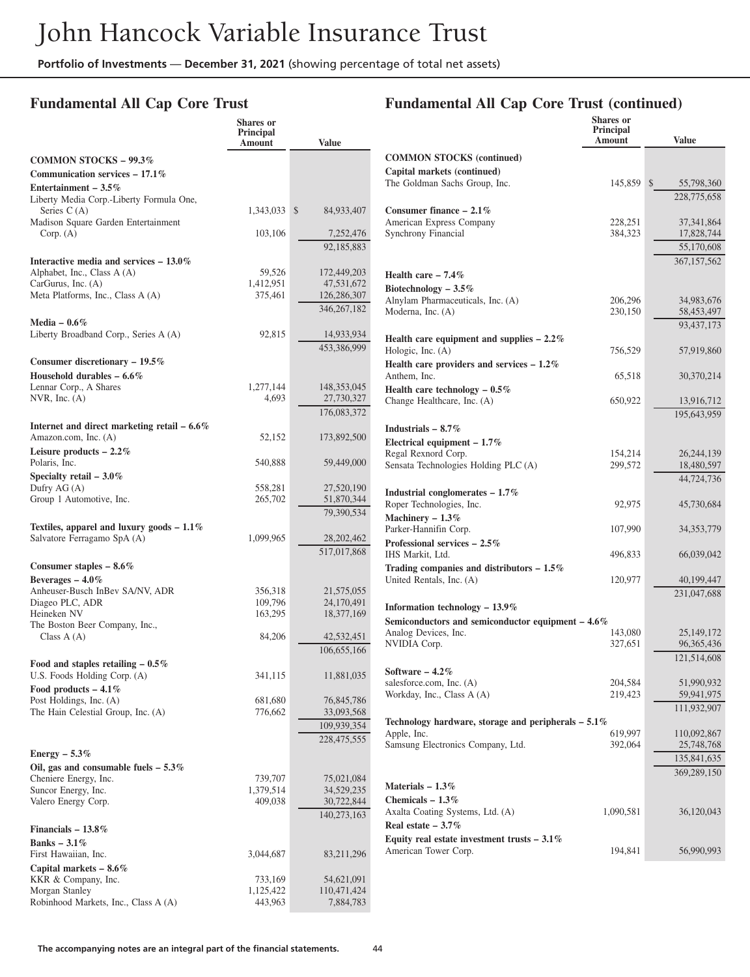#### **Fundamental All Cap Core Trust**

#### **Fundamental All Cap Core Trust (continued)**

|                                               | <b>Shares</b> or    |                          |                                                       | Shares or<br>Principal |               |
|-----------------------------------------------|---------------------|--------------------------|-------------------------------------------------------|------------------------|---------------|
|                                               | Principal<br>Amount | <b>Value</b>             |                                                       | Amount                 | <b>Value</b>  |
| <b>COMMON STOCKS - 99.3%</b>                  |                     |                          | <b>COMMON STOCKS (continued)</b>                      |                        |               |
| Communication services $-17.1\%$              |                     |                          | Capital markets (continued)                           |                        |               |
| Entertainment - $3.5\%$                       |                     |                          | The Goldman Sachs Group, Inc.                         | 145,859 \$             | 55,798,360    |
| Liberty Media Corp.-Liberty Formula One,      |                     |                          |                                                       |                        | 228,775,658   |
| Series $C(A)$                                 | 1,343,033 \$        | 84,933,407               | Consumer finance $-2.1\%$                             |                        |               |
| Madison Square Garden Entertainment           |                     |                          | American Express Company                              | 228,251                | 37, 341, 864  |
| Corp. (A)                                     | 103,106             | 7,252,476                | Synchrony Financial                                   | 384,323                | 17,828,744    |
|                                               |                     | 92,185,883               |                                                       |                        | 55,170,608    |
| Interactive media and services $-13.0\%$      |                     |                          |                                                       |                        | 367, 157, 562 |
| Alphabet, Inc., Class A (A)                   | 59,526              | 172,449,203              | Health care $-7.4%$                                   |                        |               |
| CarGurus, Inc. (A)                            | 1,412,951           | 47,531,672               | Biotechnology $-3.5\%$                                |                        |               |
| Meta Platforms, Inc., Class A (A)             | 375,461             | 126,286,307              | Alnylam Pharmaceuticals, Inc. (A)                     | 206,296                | 34,983,676    |
|                                               |                     | 346, 267, 182            | Moderna, Inc. (A)                                     | 230,150                | 58,453,497    |
| Media $-0.6\%$                                |                     |                          |                                                       |                        | 93,437,173    |
| Liberty Broadband Corp., Series A (A)         | 92,815              | 14,933,934               | Health care equipment and supplies $-2.2\%$           |                        |               |
|                                               |                     | 453,386,999              | Hologic, Inc. (A)                                     | 756,529                | 57,919,860    |
| Consumer discretionary $-19.5\%$              |                     |                          | Health care providers and services $-1.2\%$           |                        |               |
| Household durables $-6.6\%$                   |                     |                          | Anthem, Inc.                                          | 65,518                 | 30,370,214    |
| Lennar Corp., A Shares                        | 1,277,144           | 148, 353, 045            | Health care technology - $0.5\%$                      |                        |               |
| NVR, Inc. $(A)$                               | 4,693               | 27,730,327               | Change Healthcare, Inc. (A)                           | 650,922                | 13,916,712    |
|                                               |                     | 176,083,372              |                                                       |                        | 195,643,959   |
| Internet and direct marketing retail $-6.6\%$ |                     |                          | Industrials $-8.7\%$                                  |                        |               |
| Amazon.com, Inc. (A)                          | 52,152              | 173,892,500              | Electrical equipment $-1.7\%$                         |                        |               |
| Leisure products $-2.2\%$                     |                     |                          | Regal Rexnord Corp.                                   | 154,214                | 26, 244, 139  |
| Polaris, Inc.                                 | 540,888             | 59,449,000               | Sensata Technologies Holding PLC (A)                  | 299,572                | 18,480,597    |
| Specialty retail $-3.0\%$                     |                     |                          |                                                       |                        | 44,724,736    |
| Dufry AG (A)                                  | 558,281             | 27,520,190               | Industrial conglomerates $-1.7\%$                     |                        |               |
| Group 1 Automotive, Inc.                      | 265,702             | 51,870,344               | Roper Technologies, Inc.                              | 92,975                 | 45,730,684    |
|                                               |                     | 79,390,534               | Machinery $-1.3\%$                                    |                        |               |
| Textiles, apparel and luxury goods $-1.1\%$   |                     |                          | Parker-Hannifin Corp.                                 | 107,990                | 34, 353, 779  |
| Salvatore Ferragamo SpA (A)                   | 1,099,965           | 28, 202, 462             | Professional services $-2.5\%$                        |                        |               |
|                                               |                     | 517,017,868              | IHS Markit, Ltd.                                      | 496,833                | 66,039,042    |
| Consumer staples $-8.6\%$                     |                     |                          | Trading companies and distributors $-1.5\%$           |                        |               |
| Beverages $-4.0\%$                            |                     |                          | United Rentals, Inc. (A)                              | 120,977                | 40,199,447    |
| Anheuser-Busch InBev SA/NV, ADR               | 356,318             | 21,575,055               |                                                       |                        | 231,047,688   |
| Diageo PLC, ADR<br>Heineken NV                | 109,796<br>163,295  | 24,170,491<br>18,377,169 | Information technology $-13.9\%$                      |                        |               |
| The Boston Beer Company, Inc.,                |                     |                          | Semiconductors and semiconductor equipment $-4.6\%$   |                        |               |
| Class $A(A)$                                  | 84,206              | 42,532,451               | Analog Devices, Inc.                                  | 143,080                | 25,149,172    |
|                                               |                     | 106,655,166              | NVIDIA Corp.                                          | 327,651                | 96, 365, 436  |
| Food and staples retailing $-0.5\%$           |                     |                          |                                                       |                        | 121,514,608   |
| U.S. Foods Holding Corp. (A)                  | 341,115             | 11,881,035               | Software $-4.2\%$                                     |                        |               |
| Food products $-4.1\%$                        |                     |                          | salesforce.com, Inc. (A)                              | 204,584                | 51,990,932    |
| Post Holdings, Inc. (A)                       | 681,680             | 76,845,786               | Workday, Inc., Class A (A)                            | 219,423                | 59,941,975    |
| The Hain Celestial Group, Inc. (A)            | 776,662             | 33,093,568               |                                                       |                        | 111,932,907   |
|                                               |                     | 109,939,354              | Technology hardware, storage and peripherals $-5.1\%$ |                        |               |
|                                               |                     | 228,475,555              | Apple, Inc.                                           | 619,997                | 110,092,867   |
| Energy $-5.3\%$                               |                     |                          | Samsung Electronics Company, Ltd.                     | 392,064                | 25,748,768    |
| Oil, gas and consumable fuels $-5.3\%$        |                     |                          |                                                       |                        | 135,841,635   |
| Cheniere Energy, Inc.                         | 739,707             | 75,021,084               |                                                       |                        | 369,289,150   |
| Suncor Energy, Inc.                           | 1,379,514           | 34,529,235               | Materials $-1.3\%$                                    |                        |               |
| Valero Energy Corp.                           | 409,038             | 30,722,844               | Chemicals $-1.3\%$                                    |                        |               |
|                                               |                     | 140,273,163              | Axalta Coating Systems, Ltd. (A)                      | 1,090,581              | 36,120,043    |
| Financials $-13.8\%$                          |                     |                          | Real estate $-3.7\%$                                  |                        |               |
| Banks $-3.1\%$                                |                     |                          | Equity real estate investment trusts $-3.1\%$         |                        |               |
| First Hawaiian, Inc.                          | 3,044,687           | 83, 211, 296             | American Tower Corp.                                  | 194,841                | 56,990,993    |
| Capital markets $-8.6\%$                      |                     |                          |                                                       |                        |               |
| KKR & Company, Inc.                           | 733,169             | 54,621,091               |                                                       |                        |               |
| Morgan Stanley                                | 1,125,422           | 110,471,424              |                                                       |                        |               |
| Robinhood Markets, Inc., Class A (A)          | 443,963             | 7,884,783                |                                                       |                        |               |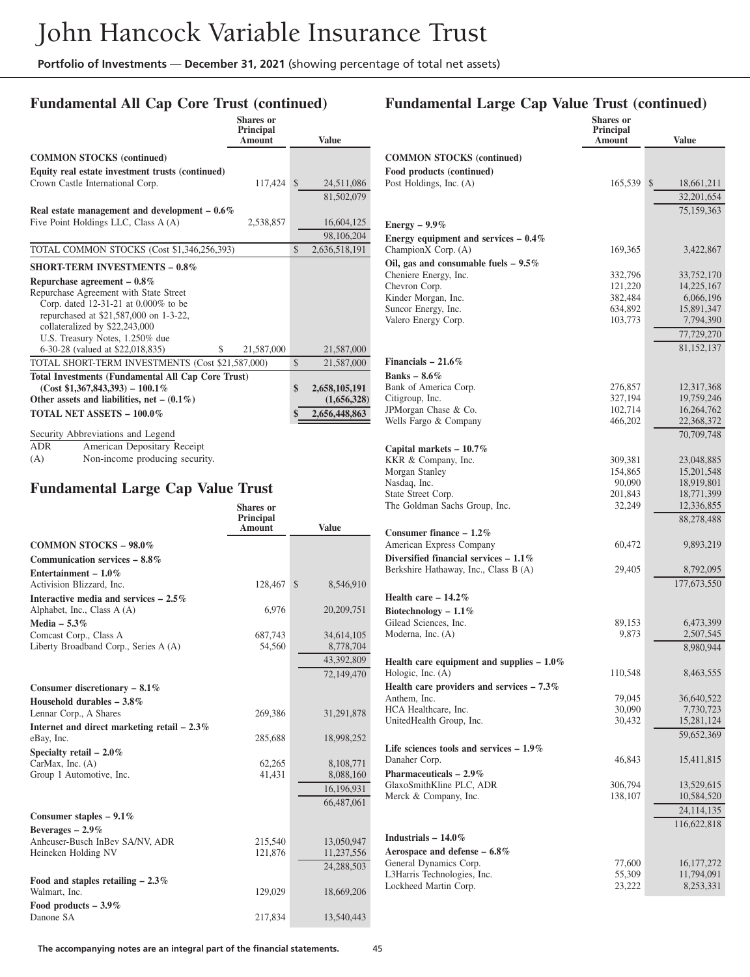### **Fundamental All Cap Core Trust (continued)**

|                                                                                | <b>Shares</b> or<br>Principal           |               |               |
|--------------------------------------------------------------------------------|-----------------------------------------|---------------|---------------|
|                                                                                | Amount                                  |               | <b>Value</b>  |
| <b>COMMON STOCKS (continued)</b>                                               |                                         |               |               |
| Equity real estate investment trusts (continued)                               |                                         |               |               |
| Crown Castle International Corp.                                               | 117,424                                 | $\mathbb{S}$  | 24,511,086    |
|                                                                                |                                         |               | 81,502,079    |
| Real estate management and development $-0.6\%$                                |                                         |               |               |
| Five Point Holdings LLC, Class A (A)                                           | 2,538,857                               |               | 16,604,125    |
|                                                                                |                                         |               | 98,106,204    |
| TOTAL COMMON STOCKS (Cost \$1,346,256,393)                                     |                                         | $\mathcal{S}$ | 2,636,518,191 |
| <b>SHORT-TERM INVESTMENTS - 0.8%</b>                                           |                                         |               |               |
| Repurchase agreement $-0.8\%$                                                  |                                         |               |               |
| Repurchase Agreement with State Street                                         |                                         |               |               |
| Corp. dated 12-31-21 at 0.000% to be<br>repurchased at \$21,587,000 on 1-3-22, |                                         |               |               |
| collateralized by \$22,243,000                                                 |                                         |               |               |
| U.S. Treasury Notes, 1.250% due                                                |                                         |               |               |
| 6-30-28 (valued at \$22,018,835)<br>S                                          | 21,587,000                              |               | 21,587,000    |
| TOTAL SHORT-TERM INVESTMENTS (Cost \$21,587,000)                               |                                         | $\mathcal{S}$ | 21,587,000    |
| <b>Total Investments (Fundamental All Cap Core Trust)</b>                      |                                         |               |               |
| $(Cost $1,367,843,393) - 100.1\%$                                              |                                         | \$            | 2,658,105,191 |
| Other assets and liabilities, net – $(0.1\%)$                                  |                                         |               | (1,656,328)   |
| <b>TOTAL NET ASSETS - 100.0%</b>                                               |                                         | \$            | 2,656,448,863 |
| Security Abbreviations and Legend                                              |                                         |               |               |
| <b>ADR</b><br>American Depositary Receipt                                      |                                         |               |               |
| Non-income producing security.<br>(A)                                          |                                         |               |               |
|                                                                                |                                         |               |               |
| <b>Fundamental Large Cap Value Trust</b>                                       |                                         |               |               |
|                                                                                | <b>Shares</b> or<br>Principal<br>Amount |               | Value         |
| <b>COMMON STOCKS - 98.0%</b>                                                   |                                         |               |               |
| Communication services $-8.8\%$                                                |                                         |               |               |
| Entertainment – $1.0\%$                                                        |                                         |               |               |

| Entertainment – $1.0\%$                       |         |                           |
|-----------------------------------------------|---------|---------------------------|
| Activision Blizzard, Inc.                     | 128,467 | 8,546,910<br>$\mathbb{S}$ |
| Interactive media and services $-2.5\%$       |         |                           |
| Alphabet, Inc., Class A (A)                   | 6,976   | 20,209,751                |
| Media $-5.3\%$                                |         |                           |
| Comcast Corp., Class A                        | 687,743 | 34,614,105                |
| Liberty Broadband Corp., Series A (A)         | 54,560  | 8,778,704                 |
|                                               |         | 43,392,809                |
|                                               |         | 72,149,470                |
| Consumer discretionary $-8.1\%$               |         |                           |
| Household durables $-3.8\%$                   |         |                           |
| Lennar Corp., A Shares                        | 269,386 | 31,291,878                |
| Internet and direct marketing retail $-2.3\%$ |         |                           |
| eBay, Inc.                                    | 285,688 | 18,998,252                |
| Specialty retail $-2.0\%$                     |         |                           |
| CarMax, Inc. $(A)$                            | 62,265  | 8,108,771                 |
| Group 1 Automotive, Inc.                      | 41,431  | 8,088,160                 |
|                                               |         | 16,196,931                |
|                                               |         | 66,487,061                |
| Consumer staples $-9.1\%$                     |         |                           |
| Beverages $-2.9\%$                            |         |                           |
| Anheuser-Busch InBev SA/NV, ADR               | 215,540 | 13,050,947                |
| Heineken Holding NV                           | 121,876 | 11,237,556                |
|                                               |         | 24,288,503                |
| Food and staples retailing $-2.3\%$           |         |                           |
| Walmart, Inc.                                 | 129,029 | 18,669,206                |
| Food products $-3.9\%$                        |         |                           |

#### **Fundamental Large Cap Value Trust (continued)**

|                                                               | <b>Shares or</b>    |                           |
|---------------------------------------------------------------|---------------------|---------------------------|
|                                                               | Principal<br>Amount | <b>Value</b>              |
|                                                               |                     |                           |
| <b>COMMON STOCKS</b> (continued)<br>Food products (continued) |                     |                           |
| Post Holdings, Inc. (A)                                       | 165,539             | \$<br>18,661,211          |
|                                                               |                     | 32,201,654                |
|                                                               |                     | 75,159,363                |
| Energy $-9.9\%$                                               |                     |                           |
| Energy equipment and services $-0.4\%$                        |                     |                           |
| ChampionX Corp. (A)                                           | 169,365             | 3,422,867                 |
| Oil, gas and consumable fuels $-9.5\%$                        |                     |                           |
| Cheniere Energy, Inc.                                         | 332,796             | 33,752,170                |
| Chevron Corp.<br>Kinder Morgan, Inc.                          | 121,220<br>382,484  | 14,225,167<br>6,066,196   |
| Suncor Energy, Inc.                                           | 634,892             | 15,891,347                |
| Valero Energy Corp.                                           | 103,773             | 7,794,390                 |
|                                                               |                     | 77,729,270                |
|                                                               |                     | 81,152,137                |
| Financials $-21.6\%$                                          |                     |                           |
| Banks $-8.6\%$                                                |                     |                           |
| Bank of America Corp.                                         | 276,857             | 12,317,368                |
| Citigroup, Inc.<br>JPMorgan Chase & Co.                       | 327,194<br>102,714  | 19,759,246<br>16,264,762  |
| Wells Fargo & Company                                         | 466,202             | 22,368,372                |
|                                                               |                     | 70,709,748                |
| Capital markets - 10.7%                                       |                     |                           |
| KKR & Company, Inc.                                           | 309,381             | 23,048,885                |
| Morgan Stanley                                                | 154,865             | 15,201,548                |
| Nasdaq, Inc.<br>State Street Corp.                            | 90,090<br>201,843   | 18,919,801<br>18,771,399  |
| The Goldman Sachs Group, Inc.                                 | 32,249              | 12,336,855                |
|                                                               |                     | 88,278,488                |
| Consumer finance $-1.2\%$                                     |                     |                           |
| American Express Company                                      | 60,472              | 9,893,219                 |
| Diversified financial services $-1.1\%$                       |                     |                           |
| Berkshire Hathaway, Inc., Class B (A)                         | 29,405              | 8,792,095                 |
|                                                               |                     | 177,673,550               |
| Health care $-14.2\%$                                         |                     |                           |
| Biotechnology $-1.1\%$<br>Gilead Sciences, Inc.               | 89,153              | 6,473,399                 |
| Moderna, Inc. (A)                                             | 9,873               | 2,507,545                 |
|                                                               |                     | 8,980,944                 |
| Health care equipment and supplies $-1.0\%$                   |                     |                           |
| Hologic, Inc. (A)                                             | 110,548             | 8,463,555                 |
| Health care providers and services $-7.3\%$                   |                     |                           |
| Anthem, Inc.<br>HCA Healthcare, Inc.                          | 79,045<br>30,090    | 36,640,522<br>7,730,723   |
| UnitedHealth Group, Inc.                                      | 30,432              | 15,281,124                |
|                                                               |                     | 59,652,369                |
| Life sciences tools and services $-1.9\%$                     |                     |                           |
| Danaher Corp.                                                 | 46,843              | 15,411,815                |
| Pharmaceuticals $-2.9\%$                                      |                     |                           |
| GlaxoSmithKline PLC, ADR                                      | 306,794             | 13,529,615                |
| Merck & Company, Inc.                                         | 138,107             | 10,584,520                |
|                                                               |                     | 24,114,135<br>116,622,818 |
| Industrials $-14.0\%$                                         |                     |                           |
| Aerospace and defense $-6.8\%$                                |                     |                           |
| General Dynamics Corp.                                        | 77,600              | 16, 177, 272              |
| L3Harris Technologies, Inc.                                   | 55,309              | 11,794,091                |
| Lockheed Martin Corp.                                         | 23,222              | 8,253,331                 |

Danone SA 217,834 13,540,443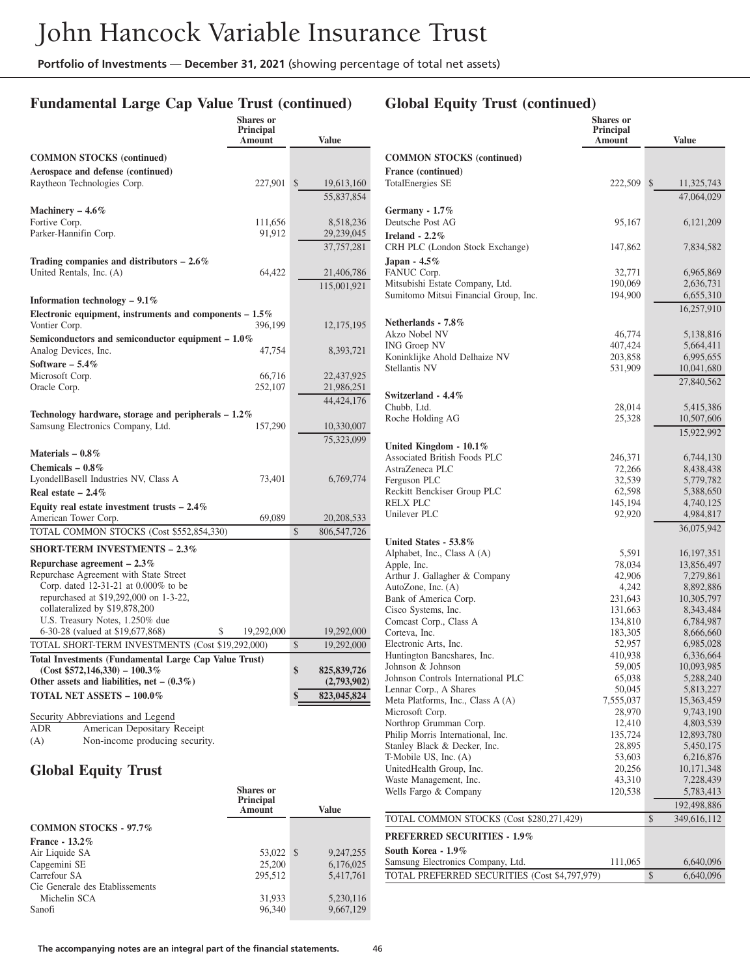## **Fundamental Large Cap Value Trust (continued)**

|                                                                             | <b>Shares</b> or<br>Principal<br>Amount |              | <b>Value</b>  |
|-----------------------------------------------------------------------------|-----------------------------------------|--------------|---------------|
| <b>COMMON STOCKS</b> (continued)                                            |                                         |              |               |
| Aerospace and defense (continued)                                           |                                         |              |               |
| Raytheon Technologies Corp.                                                 | 227,901                                 | $\mathbb{S}$ | 19,613,160    |
|                                                                             |                                         |              | 55,837,854    |
| Machinery $-4.6\%$                                                          |                                         |              |               |
| Fortive Corp.                                                               | 111,656                                 |              | 8,518,236     |
| Parker-Hannifin Corp.                                                       | 91,912                                  |              | 29,239,045    |
|                                                                             |                                         |              | 37,757,281    |
| Trading companies and distributors $-2.6\%$                                 |                                         |              |               |
| United Rentals, Inc. (A)                                                    | 64,422                                  |              | 21,406,786    |
|                                                                             |                                         |              | 115,001,921   |
| Information technology $-9.1\%$                                             |                                         |              |               |
| Electronic equipment, instruments and components $-1.5\%$                   |                                         |              |               |
| Vontier Corp.                                                               | 396,199                                 |              | 12,175,195    |
| Semiconductors and semiconductor equipment $-1.0\%$<br>Analog Devices, Inc. | 47,754                                  |              | 8,393,721     |
| Software $-5.4\%$                                                           |                                         |              |               |
| Microsoft Corp.                                                             | 66,716                                  |              | 22,437,925    |
| Oracle Corp.                                                                | 252,107                                 |              | 21,986,251    |
|                                                                             |                                         |              | 44, 424, 176  |
| Technology hardware, storage and peripherals $-1.2\%$                       |                                         |              |               |
| Samsung Electronics Company, Ltd.                                           | 157,290                                 |              | 10,330,007    |
|                                                                             |                                         |              | 75,323,099    |
| Materials $-0.8\%$                                                          |                                         |              |               |
| Chemicals $-0.8\%$                                                          |                                         |              |               |
| LyondellBasell Industries NV, Class A                                       | 73,401                                  |              | 6,769,774     |
| Real estate $-2.4\%$                                                        |                                         |              |               |
| Equity real estate investment trusts $-2.4\%$                               |                                         |              |               |
| American Tower Corp.                                                        | 69,089                                  |              | 20,208,533    |
| TOTAL COMMON STOCKS (Cost \$552,854,330)                                    |                                         | \$           | 806,547,726   |
| <b>SHORT-TERM INVESTMENTS - 2.3%</b>                                        |                                         |              |               |
| Repurchase agreement $-2.3\%$                                               |                                         |              |               |
| Repurchase Agreement with State Street                                      |                                         |              |               |
| Corp. dated 12-31-21 at 0.000% to be                                        |                                         |              |               |
| repurchased at \$19,292,000 on 1-3-22,<br>collateralized by \$19,878,200    |                                         |              |               |
| U.S. Treasury Notes, 1.250% due                                             |                                         |              |               |
| 6-30-28 (valued at \$19,677,868)<br>\$                                      | 19,292,000                              |              | 19,292,000    |
| TOTAL SHORT-TERM INVESTMENTS (Cost \$19,292,000)                            |                                         | \$           | 19,292,000    |
| Total Investments (Fundamental Large Cap Value Trust)                       |                                         |              |               |
| $(Cost $572,146,330) - 100.3\%$                                             |                                         | \$           | 825, 839, 726 |
| Other assets and liabilities, net $-$ (0.3%)                                |                                         |              | (2,793,902)   |
| TOTAL NET ASSETS - 100.0%                                                   |                                         |              | 823,045,824   |
| Security Abbreviations and Legend                                           |                                         |              |               |
| American Depositary Receipt<br>ADR                                          |                                         |              |               |

(A) Non-income producing security.

## **Global Equity Trust**

|                                 | Shares or<br><b>Principal</b><br>Amount | <b>Value</b> |
|---------------------------------|-----------------------------------------|--------------|
| <b>COMMON STOCKS - 97.7%</b>    |                                         |              |
| <b>France - 13.2%</b>           |                                         |              |
| Air Liquide SA                  | 53,022 \$                               | 9,247,255    |
| Capgemini SE                    | 25,200                                  | 6,176,025    |
| Carrefour SA                    | 295.512                                 | 5.417.761    |
| Cie Generale des Etablissements |                                         |              |
| Michelin SCA                    | 31,933                                  | 5,230,116    |
| Sanofi                          | 96,340                                  | 9,667,129    |

# **Global Equity Trust (continued)**

|                                                         | Shares or<br><b>Principal</b> |              |                         |
|---------------------------------------------------------|-------------------------------|--------------|-------------------------|
|                                                         | Amount                        |              | <b>Value</b>            |
| <b>COMMON STOCKS (continued)</b>                        |                               |              |                         |
| France (continued)                                      |                               |              |                         |
| TotalEnergies SE                                        | 222,509                       | $\mathbb{S}$ | 11,325,743              |
|                                                         |                               |              | 47,064,029              |
| Germany - $1.7\%$<br>Deutsche Post AG                   | 95,167                        |              | 6, 121, 209             |
| Ireland - $2.2\%$                                       |                               |              |                         |
| CRH PLC (London Stock Exchange)                         | 147,862                       |              | 7,834,582               |
| Japan - $4.5\%$                                         |                               |              |                         |
| FANUC Corp.                                             | 32,771                        |              | 6,965,869               |
| Mitsubishi Estate Company, Ltd.                         | 190,069                       |              | 2,636,731               |
| Sumitomo Mitsui Financial Group, Inc.                   | 194,900                       |              | 6,655,310               |
|                                                         |                               |              | 16,257,910              |
| Netherlands - 7.8%                                      |                               |              |                         |
| Akzo Nobel NV                                           | 46,774                        |              | 5,138,816               |
| <b>ING Groep NV</b>                                     | 407,424                       |              | 5,664,411               |
| Koninklijke Ahold Delhaize NV<br>Stellantis NV          | 203,858<br>531,909            |              | 6,995,655               |
|                                                         |                               |              | 10,041,680              |
|                                                         |                               |              | 27,840,562              |
| Switzerland - 4.4%<br>Chubb, Ltd.                       | 28,014                        |              | 5,415,386               |
| Roche Holding AG                                        | 25,328                        |              | 10,507,606              |
|                                                         |                               |              | 15,922,992              |
| United Kingdom - $10.1\%$                               |                               |              |                         |
| Associated British Foods PLC                            | 246,371                       |              | 6,744,130               |
| AstraZeneca PLC                                         | 72,266                        |              | 8,438,438               |
| Ferguson PLC                                            | 32,539                        |              | 5,779,782               |
| Reckitt Benckiser Group PLC                             | 62,598                        |              | 5,388,650               |
| RELX PLC                                                | 145,194                       |              | 4,740,125               |
| Unilever PLC                                            | 92,920                        |              | 4,984,817               |
| United States - 53.8%                                   |                               |              | 36,075,942              |
| Alphabet, Inc., Class A (A)                             | 5,591                         |              | 16, 197, 351            |
| Apple, Inc.                                             | 78,034                        |              | 13,856,497              |
| Arthur J. Gallagher & Company                           | 42,906                        |              | 7,279,861               |
| AutoZone, Inc. (A)                                      | 4,242                         |              | 8,892,886               |
| Bank of America Corp.                                   | 231,643                       |              | 10,305,797              |
| Cisco Systems, Inc.                                     | 131,663                       |              | 8,343,484               |
| Comcast Corp., Class A<br>Corteva, Inc.                 | 134,810<br>183,305            |              | 6,784,987<br>8,666,660  |
| Electronic Arts, Inc.                                   | 52,957                        |              | 6,985,028               |
| Huntington Bancshares, Inc.                             | 410,938                       |              | 6,336,664               |
| Johnson & Johnson                                       | 59,005                        |              | 10,093,985              |
| Johnson Controls International PLC                      | 65,038                        |              | 5,288,240               |
| Lennar Corp., A Shares                                  | 50,045                        |              | 5,813,227               |
| Meta Platforms, Inc., Class A (A)<br>Microsoft Corp.    | 7,555,037<br>28,970           |              | 15,363,459<br>9,743,190 |
| Northrop Grumman Corp.                                  | 12,410                        |              | 4,803,539               |
| Philip Morris International, Inc.                       | 135,724                       |              | 12,893,780              |
| Stanley Black & Decker, Inc.                            | 28,895                        |              | 5,450,175               |
| T-Mobile US, Inc. (A)                                   | 53,603                        |              | 6,216,876               |
| UnitedHealth Group, Inc.                                | 20,256                        |              | 10, 171, 348            |
| Waste Management, Inc.<br>Wells Fargo & Company         | 43,310                        |              | 7,228,439<br>5,783,413  |
|                                                         | 120,538                       |              |                         |
|                                                         |                               |              | 192,498,886             |
| TOTAL COMMON STOCKS (Cost \$280,271,429)                |                               | \$           | 349,616,112             |
| <b>PREFERRED SECURITIES - 1.9%</b>                      |                               |              |                         |
| South Korea - 1.9%<br>Samsung Electronics Company, Ltd. | 111,065                       |              | 6,640,096               |
| TOTAL PREFERRED SECURITIES (Cost \$4,797,979)           |                               | \$           | 6,640,096               |
|                                                         |                               |              |                         |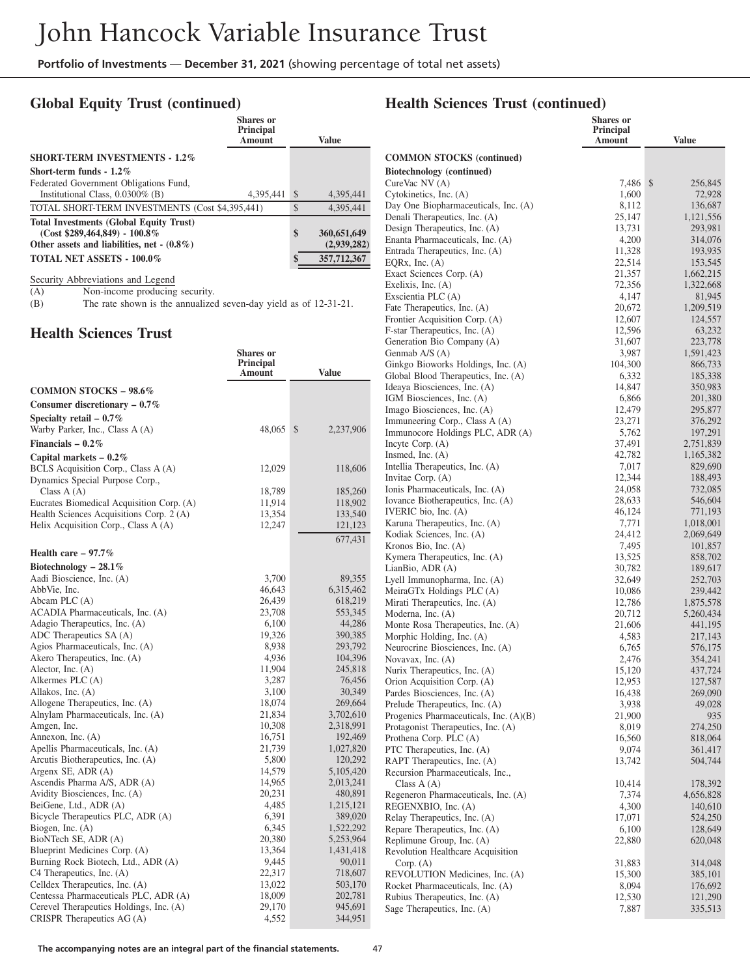#### **Global Equity Trust (continued)**

|                                                 | Shares or<br>Principal<br><b>Amount</b> |               | Value       |
|-------------------------------------------------|-----------------------------------------|---------------|-------------|
| <b>SHORT-TERM INVESTMENTS - 1.2%</b>            |                                         |               |             |
| Short-term funds $-1.2\%$                       |                                         |               |             |
| Federated Government Obligations Fund,          |                                         |               |             |
| Institutional Class, $0.0300\%$ (B)             | 4,395,441                               | <sup>\$</sup> | 4,395,441   |
| TOTAL SHORT-TERM INVESTMENTS (Cost \$4,395,441) |                                         | \$            | 4,395,441   |
| <b>Total Investments (Global Equity Trust)</b>  |                                         |               |             |
| $(Cost $289,464,849) - 100.8\%$                 |                                         | \$            | 360,651,649 |
| Other assets and liabilities, net $-(0.8\%)$    |                                         |               | (2,939,282) |
| <b>TOTAL NET ASSETS - 100.0%</b>                |                                         | \$            | 357,712,367 |

Security Abbreviations and Legend

(A) Non-income producing security.<br>
(B) The rate shown is the annualized The rate shown is the annualized seven-day yield as of 12-31-21.

#### **Health Sciences Trust**

|                                                              | Shares or<br><b>Principal</b><br>Amount | <b>Value</b> | Genmab<br>Ginkgo<br>Global 1 |
|--------------------------------------------------------------|-----------------------------------------|--------------|------------------------------|
| <b>COMMON STOCKS - 98.6%</b>                                 |                                         |              | Ideaya l                     |
| Consumer discretionary $-0.7\%$                              |                                         |              | IGM Bi                       |
|                                                              |                                         |              | Imago I                      |
| Specialty retail $-0.7\%$<br>Warby Parker, Inc., Class A (A) | 48,065                                  | \$           | Immune                       |
|                                                              |                                         | 2,237,906    | Immuno                       |
| Financials – $0.2\%$                                         |                                         |              | Incyte C                     |
| Capital markets $-0.2\%$                                     |                                         |              | Insmed.                      |
| BCLS Acquisition Corp., Class A (A)                          | 12,029                                  | 118,606      | Intellia                     |
| Dynamics Special Purpose Corp.,                              |                                         |              | Invitae                      |
| Class $A(A)$                                                 | 18,789                                  | 185,260      | Ionis Ph                     |
| Eucrates Biomedical Acquisition Corp. (A)                    | 11,914                                  | 118,902      | Iovance                      |
| Health Sciences Acquisitions Corp. 2 (A)                     | 13,354                                  | 133,540      | <b>IVERIC</b>                |
| Helix Acquisition Corp., Class A (A)                         | 12,247                                  | 121,123      | Karuna<br>Kodiak             |
|                                                              |                                         | 677,431      |                              |
| Health care $-97.7\%$                                        |                                         |              | Kronos<br>Kymera             |
| Biotechnology – 28.1%                                        |                                         |              | LianBio                      |
| Aadi Bioscience, Inc. (A)                                    | 3,700                                   | 89,355       | Lyell In                     |
| AbbVie, Inc.                                                 | 46,643                                  | 6,315,462    | MeiraG                       |
| Abcam PLC (A)                                                | 26,439                                  | 618,219      | Mirati <sub>1</sub>          |
| ACADIA Pharmaceuticals, Inc. (A)                             | 23,708                                  | 553,345      | Modern                       |
| Adagio Therapeutics, Inc. (A)                                | 6,100                                   | 44,286       | Monte I                      |
| ADC Therapeutics SA (A)                                      | 19,326                                  | 390,385      | Morphic                      |
| Agios Pharmaceuticals, Inc. (A)                              | 8,938                                   | 293,792      | Neurocr                      |
| Akero Therapeutics, Inc. (A)                                 | 4,936                                   | 104,396      | Novava                       |
| Alector, Inc. $(A)$                                          | 11,904                                  | 245,818      | Nurix T                      |
| Alkermes PLC (A)                                             | 3,287                                   | 76,456       | Orion A                      |
| Allakos, Inc. (A)                                            | 3,100                                   | 30,349       | Pardes 1                     |
| Allogene Therapeutics, Inc. (A)                              | 18,074                                  | 269,664      | Prelude                      |
| Alnylam Pharmaceuticals, Inc. (A)                            | 21,834                                  | 3,702,610    | Progeni                      |
| Amgen, Inc.                                                  | 10,308                                  | 2,318,991    | Protago                      |
| Annexon, Inc. (A)                                            | 16,751                                  | 192,469      | Prothen                      |
| Apellis Pharmaceuticals, Inc. (A)                            | 21,739                                  | 1,027,820    | PTC Th                       |
| Arcutis Biotherapeutics, Inc. (A)                            | 5,800                                   | 120,292      | RAPT <sub>1</sub>            |
| Argenx SE, ADR (A)                                           | 14,579                                  | 5,105,420    | Recursio                     |
| Ascendis Pharma A/S, ADR (A)                                 | 14,965                                  | 2,013,241    | Class                        |
| Avidity Biosciences, Inc. (A)                                | 20,231                                  | 480,891      | Regener                      |
| BeiGene, Ltd., ADR (A)                                       | 4,485                                   | 1,215,121    | REGEN                        |
| Bicycle Therapeutics PLC, ADR (A)                            | 6,391                                   | 389,020      | Relay T                      |
| Biogen, Inc. $(A)$                                           | 6,345                                   | 1,522,292    | Repare                       |
| BioNTech SE, ADR (A)                                         | 20,380                                  | 5,253,964    | Replim                       |
| Blueprint Medicines Corp. (A)                                | 13,364                                  | 1,431,418    | Revolut                      |
| Burning Rock Biotech, Ltd., ADR (A)                          | 9,445                                   | 90,011       | Corp.                        |
| C4 Therapeutics, Inc. (A)                                    | 22,317                                  | 718,607      | <b>REVOL</b>                 |
| Celldex Therapeutics, Inc. (A)                               | 13,022                                  | 503,170      | Rocket                       |
| Centessa Pharmaceuticals PLC, ADR (A)                        | 18,009                                  | 202,781      | Rubius                       |
| Cerevel Therapeutics Holdings, Inc. (A)                      | 29,170                                  | 945,691      | Sage Th                      |
| CRISPR Therapeutics $AG(A)$                                  | 4,552                                   | 344,951      |                              |

#### **Health Sciences Trust (continued)**

|                                 |                                                                     | <b>Shares</b> or<br><b>Principal</b><br>Amount | <b>Value</b>         |
|---------------------------------|---------------------------------------------------------------------|------------------------------------------------|----------------------|
|                                 | <b>COMMON STOCKS</b> (continued)                                    |                                                |                      |
|                                 | <b>Biotechnology</b> (continued)                                    |                                                |                      |
|                                 | CureVac NV (A)                                                      | 7,486                                          | \$<br>256,845        |
| $\mathbf{1}$                    | Cytokinetics, Inc. (A)                                              | 1,600                                          | 72,928               |
| $\overline{1}$                  | Day One Biopharmaceuticals, Inc. (A)                                | 8,112<br>25,147                                | 136,687              |
|                                 | Denali Therapeutics, Inc. (A)<br>Design Therapeutics, Inc. (A)      | 13,731                                         | 1,121,556<br>293,981 |
| $\boldsymbol{9}$                | Enanta Pharmaceuticals, Inc. (A)                                    | 4,200                                          | 314,076              |
| $\frac{1}{7}$                   | Entrada Therapeutics, Inc. (A)                                      | 11,328                                         | 193,935              |
|                                 | EQRx, Inc. (A)                                                      | 22,514                                         | 153,545              |
|                                 | Exact Sciences Corp. (A)                                            | 21,357                                         | 1,662,215            |
|                                 | Exelixis, Inc. $(A)$<br>Exscientia PLC (A)                          | 72,356                                         | 1,322,668            |
|                                 | Fate Therapeutics, Inc. (A)                                         | 4,147<br>20,672                                | 81,945<br>1,209,519  |
|                                 | Frontier Acquisition Corp. (A)                                      | 12,607                                         | 124,557              |
|                                 | F-star Therapeutics, Inc. (A)                                       | 12,596                                         | 63,232               |
|                                 | Generation Bio Company (A)                                          | 31,607                                         | 223,778              |
|                                 | Genmab A/S (A)                                                      | 3,987                                          | 1,591,423            |
|                                 | Ginkgo Bioworks Holdings, Inc. (A)                                  | 104,300                                        | 866,733              |
|                                 | Global Blood Therapeutics, Inc. (A)<br>Ideaya Biosciences, Inc. (A) | 6,332<br>14,847                                | 185,338<br>350,983   |
|                                 | IGM Biosciences, Inc. (A)                                           | 6,866                                          | 201,380              |
|                                 | Imago Biosciences, Inc. (A)                                         | 12,479                                         | 295,877              |
|                                 | Immuneering Corp., Class A (A)                                      | 23,271                                         | 376,292              |
| 16                              | Immunocore Holdings PLC, ADR (A)                                    | 5,762                                          | 197,291              |
|                                 | Incyte Corp. $(A)$                                                  | 37,491                                         | 2,751,839            |
|                                 | Insmed, Inc. $(A)$<br>Intellia Therapeutics, Inc. (A)               | 42,782<br>7,017                                | 1,165,382<br>829,690 |
| 16                              | Invitae Corp. (A)                                                   | 12,344                                         | 188,493              |
| 0                               | Ionis Pharmaceuticals, Inc. (A)                                     | 24,058                                         | 732,085              |
| 12                              | Iovance Biotherapeutics, Inc. (A)                                   | 28,633                                         | 546,604              |
| -0                              | IVERIC bio, Inc. (A)                                                | 46,124                                         | 771,193              |
| $\frac{1}{3}$                   | Karuna Therapeutics, Inc. (A)                                       | 7,771                                          | 1,018,001            |
| $\overline{1}$                  | Kodiak Sciences, Inc. (A)<br>Kronos Bio, Inc. (A)                   | 24,412<br>7,495                                | 2,069,649<br>101,857 |
|                                 | Kymera Therapeutics, Inc. (A)                                       | 13,525                                         | 858,702              |
|                                 | LianBio, ADR (A)                                                    | 30,782                                         | 189,617              |
| $5\,$                           | Lyell Immunopharma, Inc. (A)                                        | 32,649                                         | 252,703              |
| $\overline{2}$                  | MeiraGTx Holdings PLC (A)                                           | 10,086                                         | 239,442              |
| 9<br>5                          | Mirati Therapeutics, Inc. (A)                                       | 12,786                                         | 1,875,578            |
| 36                              | Moderna, Inc. (A)<br>Monte Rosa Therapeutics, Inc. (A)              | 20,712<br>21,606                               | 5,260,434<br>441,195 |
| $5\%$                           | Morphic Holding, Inc. (A)                                           | 4,583                                          | 217,143              |
| 12                              | Neurocrine Biosciences, Inc. (A)                                    | 6,765                                          | 576,175              |
| 16                              | Novavax, Inc. (A)                                                   | 2,476                                          | 354,241              |
| $8^{\circ}$<br>i6               | Nurix Therapeutics, Inc. (A)                                        | 15,120                                         | 437,724              |
| 19                              | Orion Acquisition Corp. (A)<br>Pardes Biosciences, Inc. (A)         | 12,953<br>16,438                               | 127,587<br>269,090   |
| $\mathbf{A}$                    | Prelude Therapeutics, Inc. (A)                                      | 3,938                                          | 49,028               |
| $\theta$                        | Progenics Pharmaceuticals, Inc. (A)(B)                              | 21,900                                         | 935                  |
| $\frac{1}{2}$                   | Protagonist Therapeutics, Inc. (A)                                  | 8,019                                          | 274,250              |
| 59                              | Prothena Corp. PLC (A)                                              | 16,560                                         | 818,064              |
| 20<br>$\overline{2}$            | PTC Therapeutics, Inc. (A)                                          | 9,074                                          | 361,417              |
| 20                              | RAPT Therapeutics, Inc. (A)<br>Recursion Pharmaceuticals, Inc.,     | 13,742                                         | 504,744              |
| $\cdot$ 1                       | Class $A(A)$                                                        | 10,414                                         | 178,392              |
| $\frac{1}{2}$                   | Regeneron Pharmaceuticals, Inc. (A)                                 | 7,374                                          | 4,656,828            |
| $^{11}$                         | REGENXBIO, Inc. (A)                                                 | 4,300                                          | 140,610              |
| 0                               | Relay Therapeutics, Inc. (A)                                        | 17,071                                         | 524,250              |
| $\overline{2}$<br>$\mathbf{A}$  | Repare Therapeutics, Inc. (A)                                       | 6,100                                          | 128,649              |
| 8                               | Replimune Group, Inc. (A)<br>Revolution Healthcare Acquisition      | 22,880                                         | 620,048              |
| $\mathbf{1}$                    | Corp. (A)                                                           | 31,883                                         | 314,048              |
| 17                              | REVOLUTION Medicines, Inc. (A)                                      | 15,300                                         | 385,101              |
| '0                              | Rocket Pharmaceuticals, Inc. (A)                                    | 8,094                                          | 176,692              |
| $^{1}$                          | Rubius Therapeutics, Inc. (A)                                       | 12,530                                         | 121,290              |
| $\frac{1}{2}$<br>$\overline{1}$ | Sage Therapeutics, Inc. (A)                                         | 7,887                                          | 335,513              |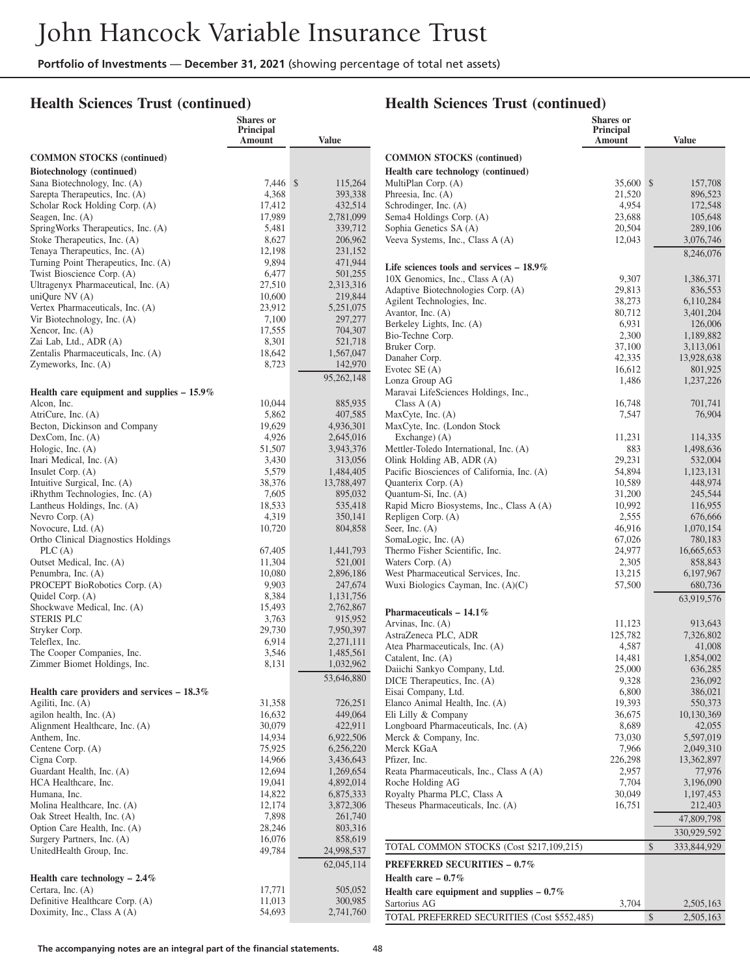#### **Health Sciences Trust (continued)**

## **Health Sciences Trust (continued)**

|                                                                    | Shares or<br>Principal<br>Amount | <b>Value</b>           |                                                                       | <b>Shares</b> or<br>Principal<br>Amount | <b>Value</b>           |
|--------------------------------------------------------------------|----------------------------------|------------------------|-----------------------------------------------------------------------|-----------------------------------------|------------------------|
| <b>COMMON STOCKS (continued)</b>                                   |                                  |                        | <b>COMMON STOCKS (continued)</b>                                      |                                         |                        |
| Biotechnology (continued)                                          |                                  |                        | Health care technology (continued)                                    |                                         |                        |
| Sana Biotechnology, Inc. (A)                                       | 7,446 \$                         | 115,264                | MultiPlan Corp. (A)                                                   | 35,600 \$                               | 157,708                |
| Sarepta Therapeutics, Inc. (A)                                     | 4,368                            | 393,338                | Phreesia, Inc. (A)                                                    | 21,520                                  | 896,523                |
| Scholar Rock Holding Corp. (A)                                     | 17,412                           | 432,514                | Schrodinger, Inc. (A)                                                 | 4,954                                   | 172,548                |
| Seagen, Inc. $(A)$                                                 | 17,989                           | 2,781,099              | Sema4 Holdings Corp. (A)                                              | 23,688                                  | 105,648                |
| SpringWorks Therapeutics, Inc. (A)<br>Stoke Therapeutics, Inc. (A) | 5,481                            | 339,712                | Sophia Genetics SA (A)                                                | 20,504                                  | 289,106                |
| Tenaya Therapeutics, Inc. (A)                                      | 8,627<br>12,198                  | 206,962<br>231,152     | Veeva Systems, Inc., Class A (A)                                      | 12,043                                  | 3,076,746              |
| Turning Point Therapeutics, Inc. (A)                               | 9,894                            | 471,944                |                                                                       |                                         | 8,246,076              |
| Twist Bioscience Corp. (A)                                         | 6,477                            | 501,255                | Life sciences tools and services $-18.9\%$                            |                                         |                        |
| Ultragenyx Pharmaceutical, Inc. (A)                                | 27,510                           | 2,313,316              | 10X Genomics, Inc., Class A (A)<br>Adaptive Biotechnologies Corp. (A) | 9,307<br>29,813                         | 1,386,371<br>836,553   |
| uniQure NV (A)                                                     | 10,600                           | 219,844                | Agilent Technologies, Inc.                                            | 38,273                                  | 6,110,284              |
| Vertex Pharmaceuticals, Inc. (A)                                   | 23,912                           | 5,251,075              | Avantor, Inc. $(A)$                                                   | 80,712                                  | 3,401,204              |
| Vir Biotechnology, Inc. (A)                                        | 7,100                            | 297,277                | Berkeley Lights, Inc. (A)                                             | 6,931                                   | 126,006                |
| Xencor, Inc. $(A)$<br>Zai Lab, Ltd., ADR (A)                       | 17,555<br>8,301                  | 704,307<br>521,718     | Bio-Techne Corp.                                                      | 2,300                                   | 1,189,882              |
| Zentalis Pharmaceuticals, Inc. (A)                                 | 18,642                           | 1,567,047              | Bruker Corp.                                                          | 37,100                                  | 3,113,061              |
| Zymeworks, Inc. (A)                                                | 8,723                            | 142,970                | Danaher Corp.                                                         | 42,335                                  | 13,928,638             |
|                                                                    |                                  | 95,262,148             | Evotec $SE(A)$                                                        | 16,612                                  | 801,925                |
| Health care equipment and supplies $-15.9\%$                       |                                  |                        | Lonza Group AG<br>Maravai LifeSciences Holdings, Inc.,                | 1,486                                   | 1,237,226              |
| Alcon. Inc.                                                        | 10,044                           | 885,935                | Class $A(A)$                                                          | 16,748                                  | 701,741                |
| AtriCure, Inc. (A)                                                 | 5,862                            | 407,585                | MaxCyte, Inc. (A)                                                     | 7,547                                   | 76,904                 |
| Becton, Dickinson and Company                                      | 19,629                           | 4,936,301              | MaxCyte, Inc. (London Stock                                           |                                         |                        |
| DexCom, Inc. (A)                                                   | 4,926                            | 2,645,016              | Exchange) (A)                                                         | 11,231                                  | 114,335                |
| Hologic, Inc. (A)                                                  | 51,507                           | 3,943,376              | Mettler-Toledo International, Inc. (A)                                | 883                                     | 1,498,636              |
| Inari Medical, Inc. (A)                                            | 3,430                            | 313,056                | Olink Holding AB, ADR (A)                                             | 29,231                                  | 532,004                |
| Insulet Corp. (A)                                                  | 5,579                            | 1,484,405              | Pacific Biosciences of California, Inc. (A)                           | 54,894                                  | 1.123.131              |
| Intuitive Surgical, Inc. (A)<br>iRhythm Technologies, Inc. (A)     | 38,376<br>7,605                  | 13,788,497<br>895,032  | Quanterix Corp. (A)<br>Quantum-Si, Inc. (A)                           | 10,589<br>31,200                        | 448,974<br>245,544     |
| Lantheus Holdings, Inc. (A)                                        | 18,533                           | 535,418                | Rapid Micro Biosystems, Inc., Class A (A)                             | 10,992                                  | 116,955                |
| Nevro Corp. (A)                                                    | 4,319                            | 350,141                | Repligen Corp. (A)                                                    | 2,555                                   | 676,666                |
| Novocure, Ltd. (A)                                                 | 10,720                           | 804,858                | Seer, Inc. $(A)$                                                      | 46,916                                  | 1,070,154              |
| Ortho Clinical Diagnostics Holdings                                |                                  |                        | SomaLogic, Inc. (A)                                                   | 67,026                                  | 780,183                |
| PLC(A)                                                             | 67,405                           | 1,441,793              | Thermo Fisher Scientific, Inc.                                        | 24,977                                  | 16,665,653             |
| Outset Medical, Inc. (A)                                           | 11,304                           | 521,001                | Waters Corp. (A)                                                      | 2,305                                   | 858,843                |
| Penumbra, Inc. (A)                                                 | 10,080                           | 2,896,186              | West Pharmaceutical Services, Inc.                                    | 13,215                                  | 6,197,967              |
| PROCEPT BioRobotics Corp. (A)<br>Quidel Corp. (A)                  | 9,903<br>8,384                   | 247,674                | Wuxi Biologics Cayman, Inc. $(A)(C)$                                  | 57,500                                  | 680,736                |
| Shockwave Medical, Inc. (A)                                        | 15,493                           | 1,131,756<br>2,762,867 |                                                                       |                                         | 63,919,576             |
| STERIS PLC                                                         | 3,763                            | 915,952                | Pharmaceuticals - $14.1\%$                                            |                                         |                        |
| Stryker Corp.                                                      | 29,730                           | 7,950,397              | Arvinas, Inc. (A)                                                     | 11,123                                  | 913,643                |
| Teleflex, Inc.                                                     | 6,914                            | 2,271,111              | AstraZeneca PLC, ADR<br>Atea Pharmaceuticals, Inc. (A)                | 125,782<br>4,587                        | 7,326,802<br>41,008    |
| The Cooper Companies, Inc.                                         | 3,546                            | 1,485,561              | Catalent, Inc. (A)                                                    | 14,481                                  | 1,854,002              |
| Zimmer Biomet Holdings, Inc.                                       | 8,131                            | 1,032,962              | Daiichi Sankyo Company, Ltd.                                          | 25,000                                  | 636,285                |
|                                                                    |                                  | 53,646,880             | DICE Therapeutics, Inc. (A)                                           | 9,328                                   | 236,092                |
| Health care providers and services $-18.3\%$                       |                                  |                        | Eisai Company, Ltd.                                                   | 6,800                                   | 386,021                |
| Agiliti, Inc. (A)                                                  | 31,358                           | 726,251                | Elanco Animal Health, Inc. (A)                                        | 19,393                                  | 550,373                |
| agilon health, Inc. $(A)$                                          | 16,632                           | 449,064                | Eli Lilly & Company                                                   | 36,675                                  | 10,130,369             |
| Alignment Healthcare, Inc. (A)                                     | 30,079                           | 422,911                | Longboard Pharmaceuticals, Inc. (A)<br>Merck & Company, Inc.          | 8,689                                   | 42,055                 |
| Anthem, Inc.<br>Centene Corp. (A)                                  | 14,934<br>75,925                 | 6,922,506<br>6,256,220 | Merck KGaA                                                            | 73,030<br>7,966                         | 5,597,019<br>2,049,310 |
| Cigna Corp.                                                        | 14,966                           | 3,436,643              | Pfizer, Inc.                                                          | 226,298                                 | 13,362,897             |
| Guardant Health, Inc. (A)                                          | 12,694                           | 1,269,654              | Reata Pharmaceuticals, Inc., Class A (A)                              | 2,957                                   | 77,976                 |
| HCA Healthcare, Inc.                                               | 19,041                           | 4,892,014              | Roche Holding AG                                                      | 7,704                                   | 3,196,090              |
| Humana, Inc.                                                       | 14,822                           | 6,875,333              | Royalty Pharma PLC, Class A                                           | 30,049                                  | 1,197,453              |
| Molina Healthcare, Inc. (A)                                        | 12,174                           | 3,872,306              | Theseus Pharmaceuticals, Inc. (A)                                     | 16,751                                  | 212,403                |
| Oak Street Health, Inc. (A)                                        | 7,898                            | 261,740                |                                                                       |                                         | 47,809,798             |
| Option Care Health, Inc. (A)                                       | 28,246                           | 803,316                |                                                                       |                                         | 330,929,592            |
| Surgery Partners, Inc. (A)<br>UnitedHealth Group, Inc.             | 16,076<br>49,784                 | 858,619<br>24,998,537  | TOTAL COMMON STOCKS (Cost \$217,109,215)                              |                                         | \$<br>333,844,929      |
|                                                                    |                                  | 62,045,114             | <b>PREFERRED SECURITIES - 0.7%</b>                                    |                                         |                        |
|                                                                    |                                  |                        |                                                                       |                                         |                        |
| Health care technology $-2.4\%$<br>Certara, Inc. (A)               | 17,771                           | 505,052                | Health care $-0.7\%$                                                  |                                         |                        |
| Definitive Healthcare Corp. (A)                                    | 11,013                           | 300,985                | Health care equipment and supplies $-0.7\%$                           |                                         |                        |
| Doximity, Inc., Class A (A)                                        | 54,693                           | 2,741,760              | Sartorius AG                                                          | 3,704                                   | 2,505,163              |
|                                                                    |                                  |                        | TOTAL PREFERRED SECURITIES (Cost \$552,485)                           |                                         | \$<br>2,505,163        |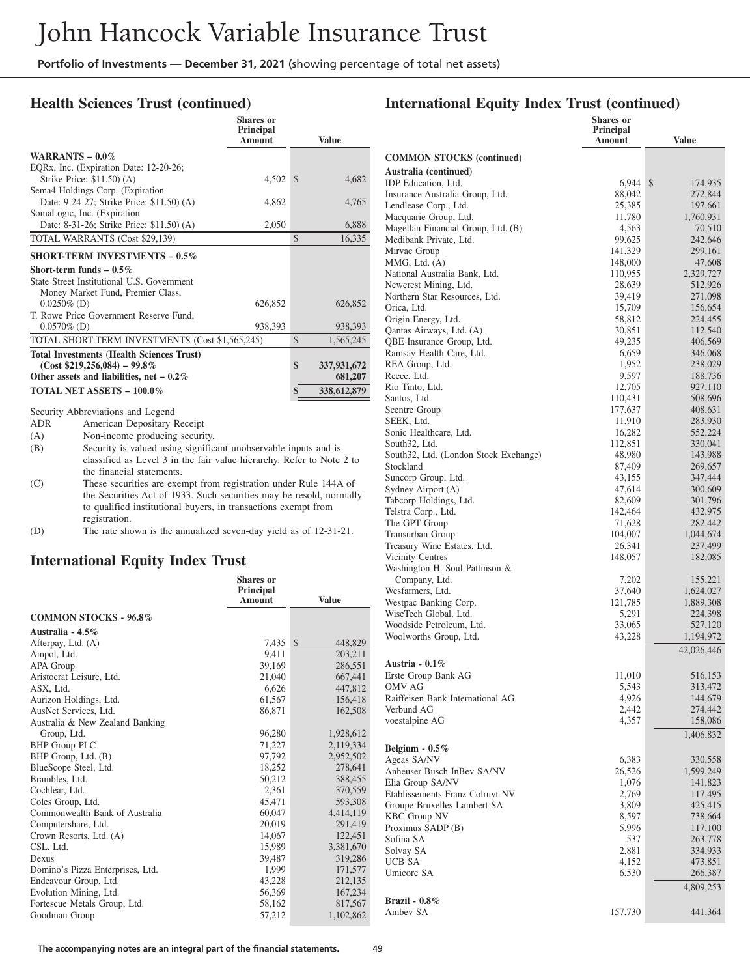#### **Health Sciences Trust (continued)**

|                   |                                                                       | Shares or<br><b>Principal</b><br>Amount |               | <b>Value</b> |
|-------------------|-----------------------------------------------------------------------|-----------------------------------------|---------------|--------------|
| WARRANTS $-0.0\%$ |                                                                       |                                         |               |              |
|                   | EQRx, Inc. (Expiration Date: 12-20-26;                                |                                         |               |              |
|                   | Strike Price: \$11.50) (A)                                            | 4,502                                   | $\mathcal{S}$ | 4,682        |
|                   | Sema4 Holdings Corp. (Expiration                                      |                                         |               |              |
|                   | Date: 9-24-27; Strike Price: \$11.50) (A)                             | 4,862                                   |               | 4,765        |
|                   | SomaLogic, Inc. (Expiration                                           |                                         |               |              |
|                   | Date: 8-31-26; Strike Price: \$11.50) (A)                             | 2,050                                   |               | 6,888        |
|                   | TOTAL WARRANTS (Cost \$29,139)                                        |                                         | $\mathcal{S}$ | 16,335       |
|                   | <b>SHORT-TERM INVESTMENTS - 0.5%</b>                                  |                                         |               |              |
|                   | Short-term funds $-0.5\%$                                             |                                         |               |              |
|                   | State Street Institutional U.S. Government                            |                                         |               |              |
|                   | Money Market Fund, Premier Class,                                     |                                         |               |              |
| $0.0250\%$ (D)    |                                                                       | 626,852                                 |               | 626,852      |
|                   | T. Rowe Price Government Reserve Fund,                                |                                         |               |              |
| $0.0570\%$ (D)    |                                                                       | 938,393                                 |               | 938,393      |
|                   | TOTAL SHORT-TERM INVESTMENTS (Cost \$1,565,245)                       |                                         | $\mathbb{S}$  | 1,565,245    |
|                   | <b>Total Investments (Health Sciences Trust)</b>                      |                                         |               |              |
|                   | $(Cost $219,256,084) - 99.8\%$                                        |                                         | \$            | 337,931,672  |
|                   | Other assets and liabilities, net $-0.2\%$                            |                                         |               | 681,207      |
|                   | <b>TOTAL NET ASSETS - 100.0%</b>                                      |                                         | \$            | 338,612,879  |
|                   | Security Abbreviations and Legend                                     |                                         |               |              |
| <b>ADR</b>        | American Depositary Receipt                                           |                                         |               |              |
| (A)               | Non-income producing security.                                        |                                         |               |              |
| (B)               | Security is valued using significant unobservable inputs and is       |                                         |               |              |
|                   | classified as Level 3 in the fair value hierarchy. Refer to Note 2 to |                                         |               |              |
|                   | the financial statements.                                             |                                         |               |              |
| (C)               | These securities are exempt from registration under Rule 144A of      |                                         |               |              |
|                   | the Securities Act of 1933. Such securities may be resold, normally   |                                         |               |              |
|                   | to qualified institutional buyers, in transactions exempt from        |                                         |               |              |
|                   | registration.                                                         |                                         |               |              |

(D) The rate shown is the annualized seven-day yield as of 12-31-21.

#### **International Equity Index Trust**

|                                  | <b>Shares</b> or<br><b>Principal</b> |               |
|----------------------------------|--------------------------------------|---------------|
|                                  | <b>Amount</b>                        | <b>Value</b>  |
| <b>COMMON STOCKS - 96.8%</b>     |                                      |               |
| Australia - 4.5%                 |                                      |               |
| Afterpay, Ltd. (A)               | 7,435                                | \$<br>448,829 |
| Ampol, Ltd.                      | 9.411                                | 203,211       |
| APA Group                        | 39,169                               | 286,551       |
| Aristocrat Leisure, Ltd.         | 21,040                               | 667,441       |
| ASX, Ltd.                        | 6.626                                | 447,812       |
| Aurizon Holdings, Ltd.           | 61,567                               | 156,418       |
| AusNet Services, Ltd.            | 86,871                               | 162,508       |
| Australia & New Zealand Banking  |                                      |               |
| Group, Ltd.                      | 96,280                               | 1,928,612     |
| <b>BHP</b> Group PLC             | 71,227                               | 2,119,334     |
| BHP Group, Ltd. (B)              | 97.792                               | 2,952,502     |
| BlueScope Steel, Ltd.            | 18,252                               | 278,641       |
| Brambles, Ltd.                   | 50,212                               | 388,455       |
| Cochlear, Ltd.                   | 2.361                                | 370,559       |
| Coles Group, Ltd.                | 45,471                               | 593,308       |
| Commonwealth Bank of Australia   | 60,047                               | 4,414,119     |
| Computershare, Ltd.              | 20,019                               | 291,419       |
| Crown Resorts, Ltd. (A)          | 14,067                               | 122,451       |
| CSL, Ltd.                        | 15,989                               | 3,381,670     |
| Dexus                            | 39,487                               | 319,286       |
| Domino's Pizza Enterprises, Ltd. | 1,999                                | 171,577       |
| Endeavour Group, Ltd.            | 43,228                               | 212,135       |
| Evolution Mining, Ltd.           | 56,369                               | 167,234       |
| Fortescue Metals Group, Ltd.     | 58,162                               | 817,567       |
| Goodman Group                    | 57,212                               | 1,102,862     |

|                                                             | Shares or<br><b>Principal</b><br>Amount | <b>Value</b>         |
|-------------------------------------------------------------|-----------------------------------------|----------------------|
| <b>COMMON STOCKS</b> (continued)                            |                                         |                      |
| Australia (continued)                                       |                                         |                      |
| IDP Education, Ltd.                                         | 6,944                                   | \$<br>174,935        |
| Insurance Australia Group, Ltd.                             | 88,042                                  | 272,844              |
| Lendlease Corp., Ltd.                                       | 25,385                                  | 197,661              |
| Macquarie Group, Ltd.<br>Magellan Financial Group, Ltd. (B) | 11,780<br>4,563                         | 1,760,931<br>70,510  |
| Medibank Private, Ltd.                                      | 99,625                                  | 242,646              |
| Mirvac Group                                                | 141,329                                 | 299,161              |
| MMG, Ltd. (A)                                               | 148,000                                 | 47,608               |
| National Australia Bank, Ltd.                               | 110,955                                 | 2,329,727            |
| Newcrest Mining, Ltd.<br>Northern Star Resources, Ltd.      | 28,639<br>39,419                        | 512,926<br>271,098   |
| Orica, Ltd.                                                 | 15,709                                  | 156,654              |
| Origin Energy, Ltd.                                         | 58,812                                  | 224,455              |
| Qantas Airways, Ltd. (A)                                    | 30,851                                  | 112,540              |
| QBE Insurance Group, Ltd.                                   | 49,235                                  | 406,569              |
| Ramsay Health Care, Ltd.                                    | 6,659                                   | 346,068              |
| REA Group, Ltd.<br>Reece, Ltd.                              | 1,952                                   | 238,029              |
| Rio Tinto, Ltd.                                             | 9,597<br>12,705                         | 188,736<br>927,110   |
| Santos, Ltd.                                                | 110,431                                 | 508,696              |
| Scentre Group                                               | 177,637                                 | 408,631              |
| SEEK, Ltd.                                                  | 11,910                                  | 283,930              |
| Sonic Healthcare, Ltd.                                      | 16,282                                  | 552,224              |
| South32, Ltd.                                               | 112,851                                 | 330,041              |
| South32, Ltd. (London Stock Exchange)<br>Stockland          | 48,980<br>87,409                        | 143,988<br>269,657   |
| Suncorp Group, Ltd.                                         | 43,155                                  | 347,444              |
| Sydney Airport (A)                                          | 47,614                                  | 300,609              |
| Tabcorp Holdings, Ltd.                                      | 82,609                                  | 301,796              |
| Telstra Corp., Ltd.                                         | 142,464                                 | 432,975              |
| The GPT Group                                               | 71,628                                  | 282,442              |
| Transurban Group<br>Treasury Wine Estates, Ltd.             | 104,007<br>26,341                       | 1,044,674<br>237,499 |
| <b>Vicinity Centres</b>                                     | 148,057                                 | 182,085              |
| Washington H. Soul Pattinson &                              |                                         |                      |
| Company, Ltd.                                               | 7,202                                   | 155,221              |
| Wesfarmers, Ltd.                                            | 37,640                                  | 1,624,027            |
| Westpac Banking Corp.<br>WiseTech Global, Ltd.              | 121,785<br>5,291                        | 1,889,308            |
| Woodside Petroleum, Ltd.                                    | 33,065                                  | 224,398<br>527,120   |
| Woolworths Group, Ltd.                                      | 43,228                                  | 1,194,972            |
|                                                             |                                         | 42,026,446           |
| Austria - 0.1%                                              |                                         |                      |
| Erste Group Bank AG                                         | 11,010                                  | 516,153              |
| <b>OMV AG</b>                                               | 5,543                                   | 313,472              |
| Raiffeisen Bank International AG                            | 4,926                                   | 144,679              |
| Verbund AG<br>voestalpine AG                                | 2,442<br>4,357                          | 274,442<br>158,086   |
|                                                             |                                         | 1,406,832            |
| Belgium - $0.5\%$                                           |                                         |                      |
| Ageas SA/NV                                                 | 6,383                                   | 330,558              |
| Anheuser-Busch InBev SA/NV                                  | 26,526                                  | 1,599,249            |
| Elia Group SA/NV                                            | 1,076                                   | 141,823              |
| Etablissements Franz Colruyt NV                             | 2,769                                   | 117,495              |
| Groupe Bruxelles Lambert SA<br><b>KBC Group NV</b>          | 3,809<br>8,597                          | 425,415<br>738,664   |
| Proximus SADP (B)                                           | 5,996                                   | 117,100              |
| Sofina SA                                                   | 537                                     | 263,778              |
| Solvay SA                                                   | 2,881                                   | 334,933              |
| UCB SA                                                      | 4,152                                   | 473,851              |
| Umicore SA                                                  | 6,530                                   | 266,387              |
|                                                             |                                         | 4,809,253            |
| <b>Brazil</b> - 0.8%                                        |                                         |                      |
| Ambev SA                                                    | 157,730                                 | 441,364              |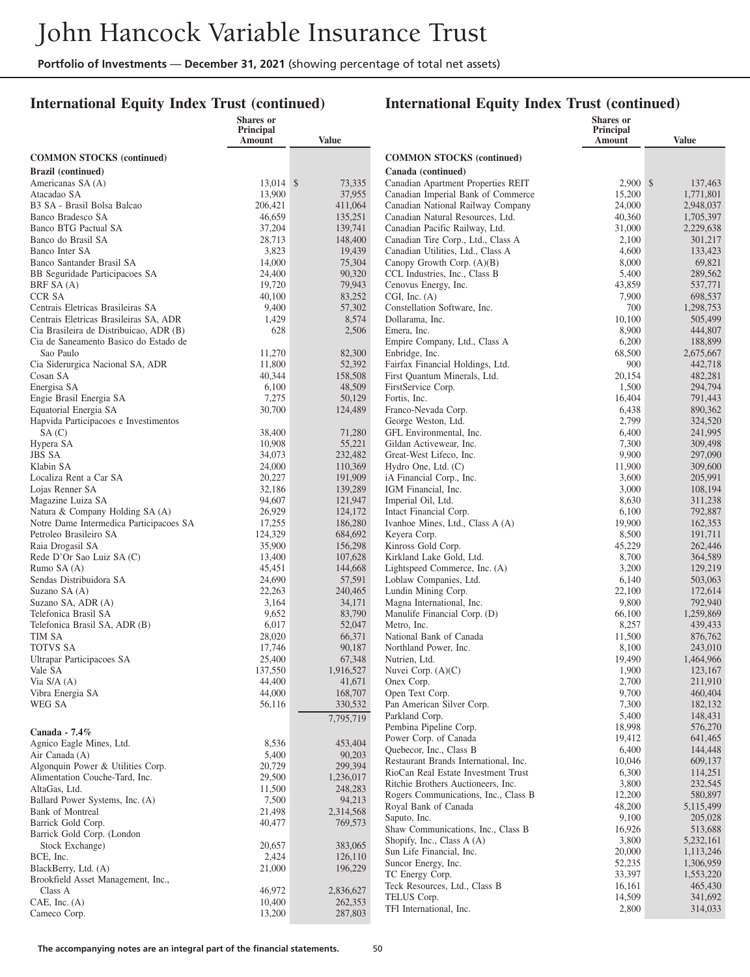### **International Equity Index Trust (continued)**

|                                                                                  | <b>Shares</b> or    |                      |                                                                           | <b>Shares</b> or    |                      |
|----------------------------------------------------------------------------------|---------------------|----------------------|---------------------------------------------------------------------------|---------------------|----------------------|
|                                                                                  | Principal<br>Amount | Value                |                                                                           | Principal<br>Amount | <b>Value</b>         |
| <b>COMMON STOCKS</b> (continued)                                                 |                     |                      | <b>COMMON STOCKS</b> (continued)                                          |                     |                      |
| <b>Brazil</b> (continued)                                                        |                     |                      | Canada (continued)                                                        |                     |                      |
| Americanas SA (A)                                                                | 13,014 \$           | 73,335               | Canadian Apartment Properties REIT                                        | $2,900$ \$          | 137,463              |
| Atacadao SA                                                                      | 13,900              | 37,955               | Canadian Imperial Bank of Commerce                                        | 15,200              | 1,771,801            |
| B3 SA - Brasil Bolsa Balcao                                                      | 206,421             | 411,064              | Canadian National Railway Company                                         | 24,000              | 2,948,037            |
| Banco Bradesco SA                                                                | 46,659              | 135,251              | Canadian Natural Resources, Ltd.                                          | 40,360              | 1,705,397            |
| Banco BTG Pactual SA                                                             | 37,204              | 139,741              | Canadian Pacific Railway, Ltd.                                            | 31,000              | 2,229,638            |
| Banco do Brasil SA<br>Banco Inter SA                                             | 28,713<br>3,823     | 148,400<br>19,439    | Canadian Tire Corp., Ltd., Class A<br>Canadian Utilities, Ltd., Class A   | 2,100<br>4,600      | 301,217<br>133,423   |
| Banco Santander Brasil SA                                                        | 14,000              | 75,304               | Canopy Growth Corp. (A)(B)                                                | 8,000               | 69,821               |
| BB Seguridade Participacoes SA                                                   | 24,400              | 90,320               | CCL Industries, Inc., Class B                                             | 5,400               | 289,562              |
| BRF SA (A)                                                                       | 19,720              | 79,943               | Cenovus Energy, Inc.                                                      | 43,859              | 537,771              |
| <b>CCR SA</b>                                                                    | 40,100              | 83,252               | CGI, Inc. (A)                                                             | 7,900               | 698,537              |
| Centrais Eletricas Brasileiras SA                                                | 9,400               | 57,302               | Constellation Software, Inc.                                              | 700                 | 1,298,753            |
| Centrais Eletricas Brasileiras SA, ADR                                           | 1,429               | 8,574                | Dollarama, Inc.                                                           | 10,100              | 505,499              |
| Cia Brasileira de Distribuicao, ADR (B)<br>Cia de Saneamento Basico do Estado de | 628                 | 2,506                | Emera, Inc.<br>Empire Company, Ltd., Class A                              | 8,900<br>6,200      | 444,807              |
| Sao Paulo                                                                        | 11,270              | 82,300               | Enbridge, Inc.                                                            | 68,500              | 188,899<br>2,675,667 |
| Cia Siderurgica Nacional SA, ADR                                                 | 11,800              | 52,392               | Fairfax Financial Holdings, Ltd.                                          | 900                 | 442,718              |
| Cosan SA                                                                         | 40,344              | 158,508              | First Ouantum Minerals, Ltd.                                              | 20,154              | 482,281              |
| Energisa SA                                                                      | 6,100               | 48,509               | FirstService Corp.                                                        | 1,500               | 294,794              |
| Engie Brasil Energia SA                                                          | 7,275               | 50,129               | Fortis, Inc.                                                              | 16,404              | 791,443              |
| Equatorial Energia SA                                                            | 30,700              | 124,489              | Franco-Nevada Corp.                                                       | 6,438               | 890,362              |
| Hapvida Participacoes e Investimentos                                            | 38,400              |                      | George Weston, Ltd.<br>GFL Environmental. Inc.                            | 2,799               | 324,520              |
| SA(C)<br>Hypera SA                                                               | 10,908              | 71,280<br>55,221     | Gildan Activewear, Inc.                                                   | 6,400<br>7,300      | 241,995<br>309,498   |
| <b>JBS SA</b>                                                                    | 34,073              | 232,482              | Great-West Lifeco, Inc.                                                   | 9,900               | 297,090              |
| Klabin SA                                                                        | 24,000              | 110,369              | Hydro One, Ltd. (C)                                                       | 11,900              | 309,600              |
| Localiza Rent a Car SA                                                           | 20,227              | 191,909              | iA Financial Corp., Inc.                                                  | 3,600               | 205,991              |
| Lojas Renner SA                                                                  | 32,186              | 139,289              | IGM Financial, Inc.                                                       | 3,000               | 108,194              |
| Magazine Luiza SA                                                                | 94,607              | 121,947              | Imperial Oil, Ltd.                                                        | 8,630               | 311,238              |
| Natura & Company Holding SA (A)<br>Notre Dame Intermedica Participacoes SA       | 26,929<br>17,255    | 124,172<br>186,280   | Intact Financial Corp.<br>Ivanhoe Mines, Ltd., Class A (A)                | 6,100<br>19,900     | 792,887<br>162,353   |
| Petroleo Brasileiro SA                                                           | 124,329             | 684,692              | Keyera Corp.                                                              | 8,500               | 191,711              |
| Raia Drogasil SA                                                                 | 35,900              | 156,298              | Kinross Gold Corp.                                                        | 45,229              | 262,446              |
| Rede D'Or Sao Luiz SA (C)                                                        | 13,400              | 107,628              | Kirkland Lake Gold, Ltd.                                                  | 8,700               | 364,589              |
| Rumo SA (A)                                                                      | 45,451              | 144,668              | Lightspeed Commerce, Inc. (A)                                             | 3,200               | 129,219              |
| Sendas Distribuidora SA                                                          | 24,690              | 57,591               | Loblaw Companies, Ltd.                                                    | 6,140               | 503,063              |
| Suzano SA (A)                                                                    | 22,263              | 240,465              | Lundin Mining Corp.                                                       | 22,100              | 172,614              |
| Suzano SA, ADR (A)<br>Telefonica Brasil SA                                       | 3,164<br>9,652      | 34,171<br>83,790     | Magna International, Inc.<br>Manulife Financial Corp. (D)                 | 9,800<br>66,100     | 792,940<br>1,259,869 |
| Telefonica Brasil SA, ADR (B)                                                    | 6,017               | 52,047               | Metro, Inc.                                                               | 8,257               | 439,433              |
| TIM SA                                                                           | 28,020              | 66,371               | National Bank of Canada                                                   | 11,500              | 876,762              |
| <b>TOTVS SA</b>                                                                  | 17,746              | 90,187               | Northland Power, Inc.                                                     | 8,100               | 243,010              |
| Ultrapar Participacoes SA                                                        | 25,400              | 67,348               | Nutrien, Ltd.                                                             | 19,490              | 1,464,966            |
| Vale SA                                                                          | 137,550             | 1,916,527            | Nuvei Corp. $(A)(C)$                                                      | 1,900               | 123,167              |
| Via $S/A(A)$<br>Vibra Energia SA                                                 | 44,400<br>44,000    | 41,671<br>168,707    | Onex Corp.<br>Open Text Corp.                                             | 2,700<br>9,700      | 211,910<br>460,404   |
| WEG SA                                                                           | 56,116              | 330,532              | Pan American Silver Corp.                                                 | 7,300               | 182,132              |
|                                                                                  |                     | 7,795,719            | Parkland Corp.                                                            | 5,400               | 148,431              |
|                                                                                  |                     |                      | Pembina Pipeline Corp.                                                    | 18,998              | 576,270              |
| Canada - 7.4%<br>Agnico Eagle Mines, Ltd.                                        | 8,536               | 453,404              | Power Corp. of Canada                                                     | 19,412              | 641,465              |
| Air Canada (A)                                                                   | 5,400               | 90,203               | Quebecor, Inc., Class B                                                   | 6,400               | 144,448              |
| Algonquin Power & Utilities Corp.                                                | 20,729              | 299,394              | Restaurant Brands International, Inc.                                     | 10,046              | 609,137              |
| Alimentation Couche-Tard, Inc.                                                   | 29,500              | 1,236,017            | RioCan Real Estate Investment Trust<br>Ritchie Brothers Auctioneers, Inc. | 6,300<br>3,800      | 114,251<br>232,545   |
| AltaGas, Ltd.                                                                    | 11,500              | 248,283              | Rogers Communications, Inc., Class B                                      | 12,200              | 580,897              |
| Ballard Power Systems, Inc. (A)                                                  | 7,500               | 94,213               | Royal Bank of Canada                                                      | 48,200              | 5,115,499            |
| Bank of Montreal                                                                 | 21,498<br>40,477    | 2,314,568<br>769,573 | Saputo, Inc.                                                              | 9,100               | 205,028              |
| Barrick Gold Corp.<br>Barrick Gold Corp. (London                                 |                     |                      | Shaw Communications, Inc., Class B                                        | 16,926              | 513,688              |
| Stock Exchange)                                                                  | 20,657              | 383,065              | Shopify, Inc., Class A (A)                                                | 3,800               | 5,232,161            |
| BCE, Inc.                                                                        | 2,424               | 126,110              | Sun Life Financial, Inc.                                                  | 20,000              | 1,113,246            |
| BlackBerry, Ltd. (A)                                                             | 21,000              | 196,229              | Suncor Energy, Inc.                                                       | 52,235              | 1,306,959            |
| Brookfield Asset Management, Inc.,                                               |                     |                      | TC Energy Corp.<br>Teck Resources, Ltd., Class B                          | 33,397<br>16,161    | 1,553,220<br>465,430 |
| Class A                                                                          | 46,972              | 2,836,627            | TELUS Corp.                                                               | 14,509              | 341,692              |
| $CAE$ , Inc. $(A)$<br>Cameco Corp.                                               | 10,400<br>13,200    | 262,353              | TFI International, Inc.                                                   | 2,800               | 314,033              |
|                                                                                  |                     | 287,803              |                                                                           |                     |                      |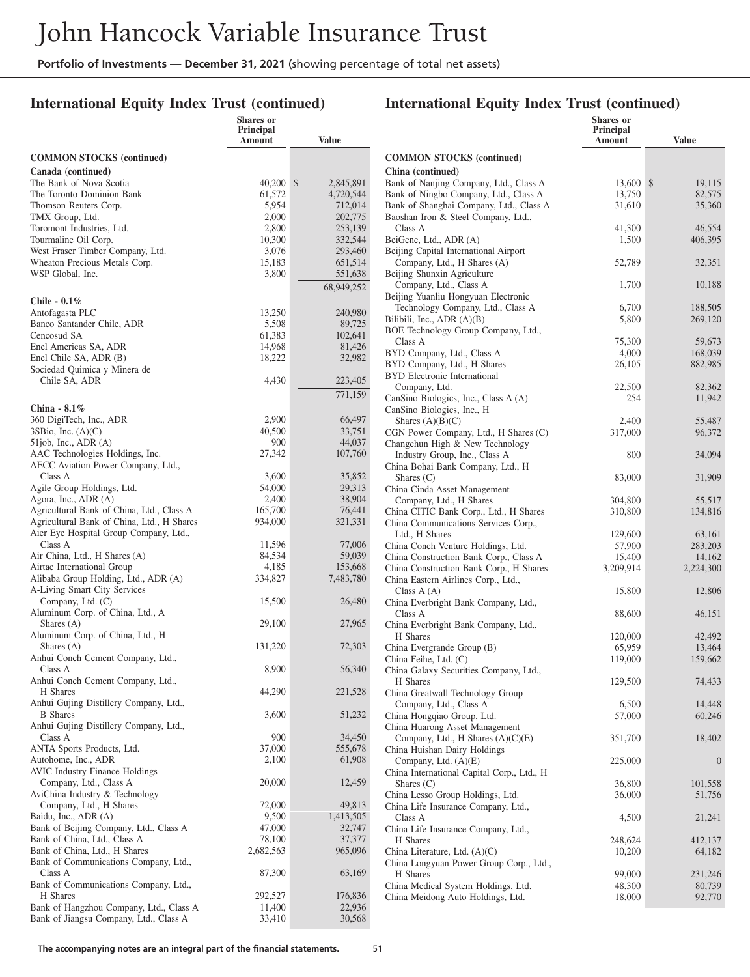**Shares or**

## **International Equity Index Trust (continued)**

#### **International Equity Index Trust (continued)**

**Shares or**

|                                                                   | Principal<br>Amount | Value                        |
|-------------------------------------------------------------------|---------------------|------------------------------|
| <b>COMMON STOCKS</b> (continued)                                  |                     |                              |
| Canada (continued)                                                |                     |                              |
| The Bank of Nova Scotia<br>The Toronto-Dominion Bank              | 40,200<br>61,572    | \$<br>2,845,891<br>4,720,544 |
| Thomson Reuters Corp.                                             | 5,954               | 712,014                      |
| TMX Group, Ltd.                                                   | 2,000               | 202,775                      |
| Toromont Industries, Ltd.                                         | 2,800               | 253,139                      |
| Tourmaline Oil Corp.                                              | 10,300              | 332,544                      |
| West Fraser Timber Company, Ltd.<br>Wheaton Precious Metals Corp. | 3,076<br>15,183     | 293,460<br>651,514           |
| WSP Global, Inc.                                                  | 3,800               | 551,638                      |
|                                                                   |                     | 68,949,252                   |
| Chile - $0.1\%$                                                   |                     |                              |
| Antofagasta PLC                                                   | 13,250              | 240,980                      |
| Banco Santander Chile, ADR                                        | 5,508               | 89,725                       |
| Cencosud SA                                                       | 61,383<br>14,968    | 102,641                      |
| Enel Americas SA, ADR<br>Enel Chile SA, ADR (B)                   | 18,222              | 81,426<br>32,982             |
| Sociedad Quimica y Minera de                                      |                     |                              |
| Chile SA, ADR                                                     | 4,430               | 223,405                      |
|                                                                   |                     | 771,159                      |
| China - $8.1\%$                                                   |                     |                              |
| 360 DigiTech, Inc., ADR                                           | 2,900               | 66,497                       |
| $3SB$ io, Inc. $(A)(C)$<br>$51$ job, Inc., ADR $(A)$              | 40,500<br>900       | 33,751<br>44,037             |
| AAC Technologies Holdings, Inc.                                   | 27,342              | 107,760                      |
| AECC Aviation Power Company, Ltd.,                                |                     |                              |
| Class A                                                           | 3,600               | 35,852                       |
| Agile Group Holdings, Ltd.<br>Agora, Inc., ADR (A)                | 54,000<br>2,400     | 29,313<br>38,904             |
| Agricultural Bank of China, Ltd., Class A                         | 165,700             | 76,441                       |
| Agricultural Bank of China, Ltd., H Shares                        | 934,000             | 321,331                      |
| Aier Eye Hospital Group Company, Ltd.,                            |                     |                              |
| Class A                                                           | 11,596              | 77,006                       |
| Air China, Ltd., H Shares (A)<br>Airtac International Group       | 84,534<br>4,185     | 59,039<br>153,668            |
| Alibaba Group Holding, Ltd., ADR (A)                              | 334,827             | 7,483,780                    |
| A-Living Smart City Services                                      |                     |                              |
| Company, Ltd. (C)                                                 | 15,500              | 26,480                       |
| Aluminum Corp. of China, Ltd., A<br>Shares $(A)$                  | 29,100              | 27,965                       |
| Aluminum Corp. of China, Ltd., H                                  |                     |                              |
| Shares $(A)$                                                      | 131,220             | 72,303                       |
| Anhui Conch Cement Company, Ltd.,                                 |                     |                              |
| Class A<br>Anhui Conch Cement Company, Ltd.,                      | 8,900               | 56,340                       |
| H Shares                                                          | 44,290              | 221,528                      |
| Anhui Gujing Distillery Company, Ltd.,                            |                     |                              |
| <b>B</b> Shares                                                   | 3,600               | 51,232                       |
| Anhui Gujing Distillery Company, Ltd.,                            |                     |                              |
| Class A<br>ANTA Sports Products, Ltd.                             | 900<br>37,000       | 34,450<br>555,678            |
| Autohome, Inc., ADR                                               | 2,100               | 61,908                       |
| <b>AVIC Industry-Finance Holdings</b>                             |                     |                              |
| Company, Ltd., Class A                                            | 20,000              | 12,459                       |
| AviChina Industry & Technology<br>Company, Ltd., H Shares         | 72,000              | 49,813                       |
| Baidu, Inc., ADR (A)                                              | 9,500               | 1,413,505                    |
| Bank of Beijing Company, Ltd., Class A                            | 47,000              | 32,747                       |
| Bank of China, Ltd., Class A                                      | 78,100              | 37,377                       |
| Bank of China, Ltd., H Shares                                     | 2,682,563           | 965,096                      |
| Bank of Communications Company, Ltd.,<br>Class A                  | 87,300              | 63,169                       |
| Bank of Communications Company, Ltd.,                             |                     |                              |
| H Shares                                                          | 292,527             | 176,836                      |
| Bank of Hangzhou Company, Ltd., Class A                           | 11,400              | 22,936                       |
| Bank of Jiangsu Company, Ltd., Class A                            | 33,410              | 30,568                       |
|                                                                   |                     |                              |

|                                                                                  | Principal<br>Amount | <b>Value</b>      |
|----------------------------------------------------------------------------------|---------------------|-------------------|
| <b>COMMON STOCKS</b> (continued)                                                 |                     |                   |
| China (continued)                                                                |                     |                   |
| Bank of Nanjing Company, Ltd., Class A                                           | 13,600              | \$<br>19,115      |
| Bank of Ningbo Company, Ltd., Class A<br>Bank of Shanghai Company, Ltd., Class A | 13,750<br>31,610    | 82,575<br>35,360  |
| Baoshan Iron & Steel Company, Ltd.,                                              |                     |                   |
| Class A                                                                          | 41,300              | 46,554            |
| BeiGene, Ltd., ADR (A)                                                           | 1,500               | 406,395           |
| Beijing Capital International Airport<br>Company, Ltd., H Shares (A)             | 52,789              | 32,351            |
| Beijing Shunxin Agriculture                                                      |                     |                   |
| Company, Ltd., Class A                                                           | 1,700               | 10,188            |
| Beijing Yuanliu Hongyuan Electronic                                              |                     |                   |
| Technology Company, Ltd., Class A                                                | 6,700               | 188,505           |
| Bilibili, Inc., ADR (A)(B)<br>BOE Technology Group Company, Ltd.,                | 5,800               | 269,120           |
| Class A                                                                          | 75,300              | 59,673            |
| BYD Company, Ltd., Class A                                                       | 4,000               | 168,039           |
| BYD Company, Ltd., H Shares                                                      | 26,105              | 882,985           |
| <b>BYD</b> Electronic International                                              |                     |                   |
| Company, Ltd.<br>CanSino Biologics, Inc., Class A (A)                            | 22,500<br>254       | 82,362<br>11,942  |
| CanSino Biologics, Inc., H                                                       |                     |                   |
| Shares $(A)(B)(C)$                                                               | 2,400               | 55,487            |
| CGN Power Company, Ltd., H Shares (C)                                            | 317,000             | 96,372            |
| Changchun High & New Technology                                                  |                     |                   |
| Industry Group, Inc., Class A                                                    | 800                 | 34,094            |
| China Bohai Bank Company, Ltd., H<br>Shares $(C)$                                | 83,000              | 31,909            |
| China Cinda Asset Management                                                     |                     |                   |
| Company, Ltd., H Shares                                                          | 304,800             | 55,517            |
| China CITIC Bank Corp., Ltd., H Shares                                           | 310,800             | 134,816           |
| China Communications Services Corp.,                                             |                     |                   |
| Ltd., H Shares<br>China Conch Venture Holdings, Ltd.                             | 129,600<br>57,900   | 63,161<br>283,203 |
| China Construction Bank Corp., Class A                                           | 15,400              | 14,162            |
| China Construction Bank Corp., H Shares                                          | 3,209,914           | 2,224,300         |
| China Eastern Airlines Corp., Ltd.,                                              |                     |                   |
| Class $A(A)$                                                                     | 15,800              | 12,806            |
| China Everbright Bank Company, Ltd.,<br>Class A                                  |                     | 46,151            |
| China Everbright Bank Company, Ltd.,                                             | 88,600              |                   |
| H Shares                                                                         | 120,000             | 42,492            |
| China Evergrande Group (B)                                                       | 65,959              | 13,464            |
| China Feihe, Ltd. (C)                                                            | 119,000             | 159,662           |
| China Galaxy Securities Company, Ltd.,<br>H Shares                               | 129,500             | 74,433            |
| China Greatwall Technology Group                                                 |                     |                   |
| Company, Ltd., Class A                                                           | 6,500               | 14,448            |
| China Hongqiao Group, Ltd.                                                       | 57,000              | 60,246            |
| China Huarong Asset Management                                                   |                     |                   |
| Company, Ltd., H Shares (A)(C)(E)                                                | 351,700             | 18,402            |
| China Huishan Dairy Holdings<br>Company, Ltd. $(A)(E)$                           | 225,000             | $\theta$          |
| China International Capital Corp., Ltd., H                                       |                     |                   |
| Shares $(C)$                                                                     | 36,800              | 101,558           |
| China Lesso Group Holdings, Ltd.                                                 | 36,000              | 51,756            |
| China Life Insurance Company, Ltd.,                                              |                     |                   |
| Class A<br>China Life Insurance Company, Ltd.,                                   | 4,500               | 21,241            |
| H Shares                                                                         | 248,624             | 412,137           |
| China Literature, Ltd. (A)(C)                                                    | 10,200              | 64,182            |
| China Longyuan Power Group Corp., Ltd.,                                          |                     |                   |
| H Shares                                                                         | 99,000              | 231,246           |
| China Medical System Holdings, Ltd.                                              | 48,300              | 80,739            |
| China Meidong Auto Holdings, Ltd.                                                | 18,000              | 92,770            |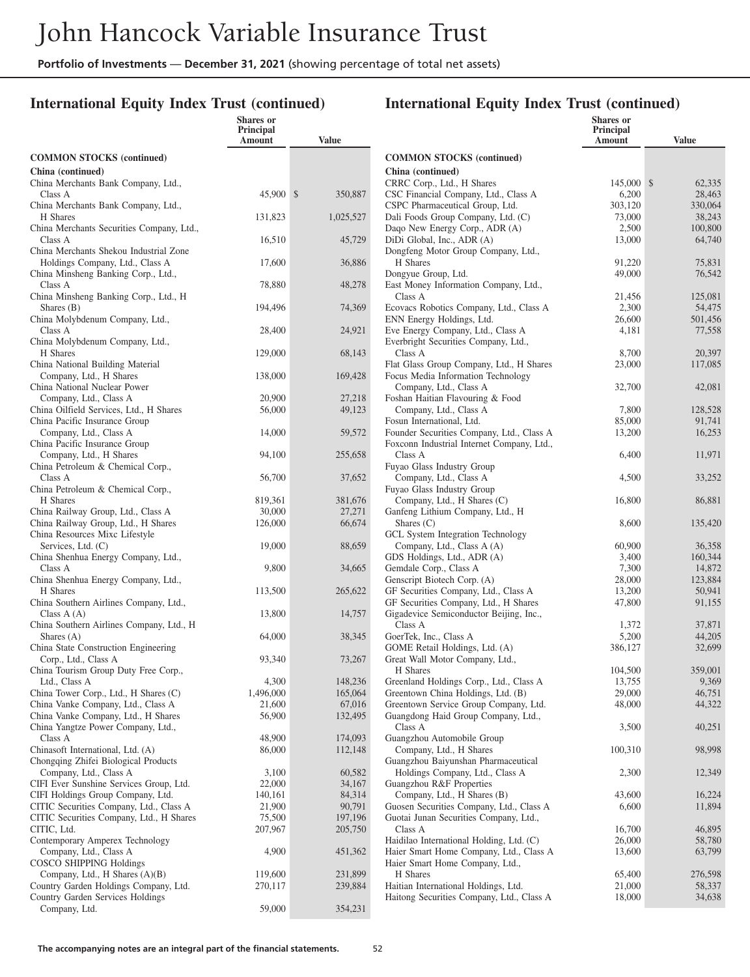**Shares or**

## **International Equity Index Trust (continued)**

|                                                                           | Principal<br>Amount | <b>Value</b>            |
|---------------------------------------------------------------------------|---------------------|-------------------------|
| <b>COMMON STOCKS</b> (continued)                                          |                     |                         |
| China (continued)                                                         |                     |                         |
| China Merchants Bank Company, Ltd.,<br>Class A                            | 45,900              | $\mathbb{S}$<br>350,887 |
| China Merchants Bank Company, Ltd.,<br>H Shares                           |                     |                         |
| China Merchants Securities Company, Ltd.,                                 | 131,823             | 1,025,527               |
| Class A                                                                   | 16,510              | 45,729                  |
| China Merchants Shekou Industrial Zone<br>Holdings Company, Ltd., Class A | 17,600              | 36,886                  |
| China Minsheng Banking Corp., Ltd.,                                       |                     |                         |
| Class A<br>China Minsheng Banking Corp., Ltd., H                          | 78,880              | 48,278                  |
| Shares (B)                                                                | 194,496             | 74,369                  |
| China Molybdenum Company, Ltd.,<br>Class A                                | 28,400              | 24,921                  |
| China Molybdenum Company, Ltd.,                                           |                     |                         |
| H Shares<br>China National Building Material                              | 129,000             | 68,143                  |
| Company, Ltd., H Shares                                                   | 138,000             | 169,428                 |
| China National Nuclear Power<br>Company, Ltd., Class A                    | 20,900              | 27,218                  |
| China Oilfield Services, Ltd., H Shares                                   | 56,000              | 49,123                  |
| China Pacific Insurance Group                                             |                     |                         |
| Company, Ltd., Class A<br>China Pacific Insurance Group                   | 14,000              | 59,572                  |
| Company, Ltd., H Shares                                                   | 94,100              | 255,658                 |
| China Petroleum & Chemical Corp.,<br>Class A                              | 56,700              | 37,652                  |
| China Petroleum & Chemical Corp.,                                         |                     |                         |
| H Shares<br>China Railway Group, Ltd., Class A                            | 819,361<br>30,000   | 381,676<br>27,271       |
| China Railway Group, Ltd., H Shares                                       | 126,000             | 66,674                  |
| China Resources Mixc Lifestyle                                            |                     |                         |
| Services, Ltd. (C)<br>China Shenhua Energy Company, Ltd.,                 | 19,000              | 88,659                  |
| Class A                                                                   | 9,800               | 34,665                  |
| China Shenhua Energy Company, Ltd.,<br>H Shares                           | 113,500             | 265,622                 |
| China Southern Airlines Company, Ltd.,                                    |                     |                         |
| Class $A(A)$<br>China Southern Airlines Company, Ltd., H                  | 13,800              | 14,757                  |
| Shares $(A)$                                                              | 64,000              | 38,345                  |
| China State Construction Engineering<br>Corp., Ltd., Class A              | 93,340              | 73,267                  |
| China Tourism Group Duty Free Corp.,                                      |                     |                         |
| Ltd., Class A<br>China Tower Corp., Ltd., H Shares (C)                    | 4,300<br>1,496,000  | 148,236<br>165,064      |
| China Vanke Company, Ltd., Class A                                        | 21,600              | 67,016                  |
| China Vanke Company, Ltd., H Shares                                       | 56,900              | 132,495                 |
| China Yangtze Power Company, Ltd.,<br>Class A                             | 48,900              | 174,093                 |
| Chinasoft International, Ltd. (A)                                         | 86,000              | 112,148                 |
| Chongqing Zhifei Biological Products<br>Company, Ltd., Class A            | 3,100               | 60,582                  |
| CIFI Ever Sunshine Services Group, Ltd.                                   | 22,000              | 34,167                  |
| CIFI Holdings Group Company, Ltd.                                         | 140,161             | 84,314                  |
| CITIC Securities Company, Ltd., Class A                                   | 21,900              | 90,791                  |
| CITIC Securities Company, Ltd., H Shares                                  | 75,500              | 197,196                 |
| CITIC, Ltd.                                                               | 207,967             | 205,750                 |
| Contemporary Amperex Technology<br>Company, Ltd., Class A                 | 4,900               | 451,362                 |
| <b>COSCO SHIPPING Holdings</b>                                            |                     |                         |
| Company, Ltd., H Shares (A)(B)                                            | 119,600             | 231,899                 |
| Country Garden Holdings Company, Ltd.                                     | 270,117             | 239,884                 |
| Country Garden Services Holdings<br>Company, Ltd.                         | 59,000              | 354,231                 |
|                                                                           |                     |                         |

|                                                                                   | <b>Shares</b> or<br>Principal |                  |
|-----------------------------------------------------------------------------------|-------------------------------|------------------|
|                                                                                   | Amount                        | <b>Value</b>     |
| <b>COMMON STOCKS</b> (continued)                                                  |                               |                  |
| China (continued)                                                                 |                               |                  |
| CRRC Corp., Ltd., H Shares                                                        | 145,000                       | 62,335<br>\$     |
| CSC Financial Company, Ltd., Class A                                              | 6,200                         | 28,463           |
| CSPC Pharmaceutical Group, Ltd.                                                   | 303,120                       | 330,064          |
| Dali Foods Group Company, Ltd. (C)                                                | 73,000                        | 38,243           |
| Daqo New Energy Corp., ADR (A)                                                    | 2,500                         | 100,800          |
| DiDi Global, Inc., ADR (A)                                                        | 13,000                        | 64,740           |
| Dongfeng Motor Group Company, Ltd.,<br>H Shares                                   | 91,220                        | 75,831           |
| Dongyue Group, Ltd.                                                               | 49,000                        | 76,542           |
| East Money Information Company, Ltd.,                                             |                               |                  |
| Class A                                                                           | 21,456                        | 125,081          |
| Ecovacs Robotics Company, Ltd., Class A                                           | 2,300                         | 54,475           |
| ENN Energy Holdings, Ltd.                                                         | 26,600                        | 501,456          |
| Eve Energy Company, Ltd., Class A                                                 | 4,181                         | 77,558           |
| Everbright Securities Company, Ltd.,                                              |                               |                  |
| Class A                                                                           | 8,700                         | 20,397           |
| Flat Glass Group Company, Ltd., H Shares                                          | 23,000                        | 117,085          |
| Focus Media Information Technology                                                | 32,700                        | 42,081           |
| Company, Ltd., Class A<br>Foshan Haitian Flavouring & Food                        |                               |                  |
| Company, Ltd., Class A                                                            | 7,800                         | 128,528          |
| Fosun International, Ltd.                                                         | 85,000                        | 91,741           |
| Founder Securities Company, Ltd., Class A                                         | 13,200                        | 16,253           |
| Foxconn Industrial Internet Company, Ltd.,                                        |                               |                  |
| Class A                                                                           | 6,400                         | 11,971           |
| Fuyao Glass Industry Group                                                        |                               |                  |
| Company, Ltd., Class A                                                            | 4,500                         | 33,252           |
| Fuyao Glass Industry Group                                                        |                               |                  |
| Company, Ltd., H Shares (C)<br>Ganfeng Lithium Company, Ltd., H                   | 16,800                        | 86,881           |
| Shares $(C)$                                                                      | 8,600                         | 135,420          |
| GCL System Integration Technology                                                 |                               |                  |
| Company, Ltd., Class A (A)                                                        | 60,900                        | 36,358           |
| GDS Holdings, Ltd., ADR (A)                                                       | 3,400                         | 160,344          |
| Gemdale Corp., Class A                                                            | 7,300                         | 14,872           |
| Genscript Biotech Corp. (A)                                                       | 28,000                        | 123,884          |
| GF Securities Company, Ltd., Class A                                              | 13,200                        | 50,941           |
| GF Securities Company, Ltd., H Shares                                             | 47,800                        | 91,155           |
| Gigadevice Semiconductor Beijing, Inc.,<br>Class A                                | 1,372                         |                  |
| GoerTek, Inc., Class A                                                            | 5,200                         | 37,871<br>44,205 |
| GOME Retail Holdings, Ltd. (A)                                                    | 386,127                       | 32,699           |
| Great Wall Motor Company, Ltd.,                                                   |                               |                  |
| H Shares                                                                          | 104,500                       | 359,001          |
| Greenland Holdings Corp., Ltd., Class A                                           | 13,755                        | 9,369            |
| Greentown China Holdings, Ltd. (B)                                                | 29,000                        | 46,751           |
| Greentown Service Group Company, Ltd.                                             | 48,000                        | 44,322           |
| Guangdong Haid Group Company, Ltd.,                                               |                               |                  |
| Class A                                                                           | 3,500                         | 40,251           |
| Guangzhou Automobile Group                                                        |                               |                  |
| Company, Ltd., H Shares<br>Guangzhou Baiyunshan Pharmaceutical                    | 100,310                       | 98,998           |
| Holdings Company, Ltd., Class A                                                   | 2,300                         | 12,349           |
| Guangzhou R&F Properties                                                          |                               |                  |
| Company, Ltd., H Shares (B)                                                       | 43,600                        | 16,224           |
| Guosen Securities Company, Ltd., Class A                                          | 6,600                         | 11,894           |
| Guotai Junan Securities Company, Ltd.,                                            |                               |                  |
| Class A                                                                           | 16,700                        | 46,895           |
| Haidilao International Holding, Ltd. (C)                                          | 26,000                        | 58,780           |
| Haier Smart Home Company, Ltd., Class A                                           | 13,600                        | 63,799           |
| Haier Smart Home Company, Ltd.,                                                   |                               |                  |
| H Shares                                                                          | 65,400                        | 276,598          |
| Haitian International Holdings, Ltd.<br>Haitong Securities Company, Ltd., Class A | 21,000<br>18,000              | 58,337<br>34,638 |
|                                                                                   |                               |                  |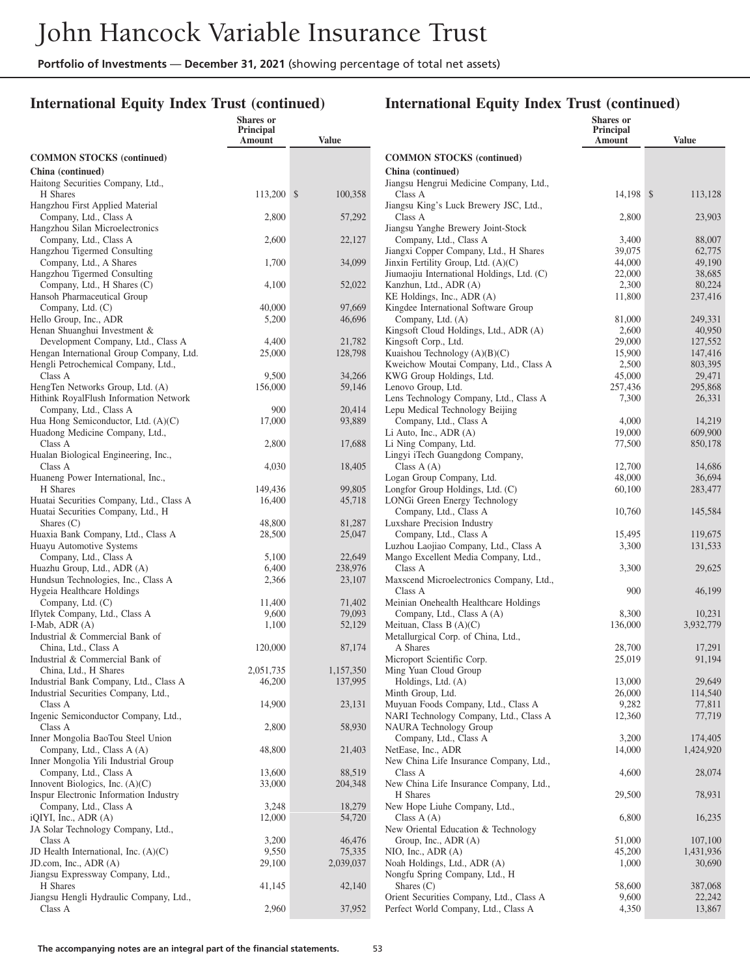**Shares or**

## **International Equity Index Trust (continued)**

|                                                                                                         | Principal<br><b>Amount</b> | <b>Value</b>         |
|---------------------------------------------------------------------------------------------------------|----------------------------|----------------------|
| <b>COMMON STOCKS</b> (continued)                                                                        |                            |                      |
| China (continued)<br>Haitong Securities Company, Ltd.,                                                  |                            |                      |
| H Shares<br>Hangzhou First Applied Material                                                             | 113,200                    | \$<br>100,358        |
| Company, Ltd., Class A<br>Hangzhou Silan Microelectronics                                               | 2,800                      | 57,292               |
| Company, Ltd., Class A<br>Hangzhou Tigermed Consulting                                                  | 2,600                      | 22,127               |
| Company, Ltd., A Shares<br>Hangzhou Tigermed Consulting                                                 | 1,700                      | 34,099               |
| Company, Ltd., H Shares (C)<br>Hansoh Pharmaceutical Group                                              | 4,100                      | 52,022               |
| Company, Ltd. (C)<br>Hello Group, Inc., ADR                                                             | 40,000<br>5,200            | 97,669<br>46,696     |
| Henan Shuanghui Investment &<br>Development Company, Ltd., Class A                                      | 4,400                      | 21,782               |
| Hengan International Group Company, Ltd.<br>Hengli Petrochemical Company, Ltd.,<br>Class A              | 25,000                     | 128,798              |
| HengTen Networks Group, Ltd. (A)<br>Hithink RoyalFlush Information Network                              | 9,500<br>156,000           | 34,266<br>59,146     |
| Company, Ltd., Class A<br>Hua Hong Semiconductor, Ltd. $(A)(C)$                                         | 900<br>17,000              | 20,414<br>93,889     |
| Huadong Medicine Company, Ltd.,<br>Class A                                                              | 2,800                      | 17,688               |
| Hualan Biological Engineering, Inc.,<br>Class A                                                         | 4,030                      | 18,405               |
| Huaneng Power International, Inc.,<br>H Shares                                                          | 149,436                    | 99,805               |
| Huatai Securities Company, Ltd., Class A<br>Huatai Securities Company, Ltd., H                          | 16,400                     | 45,718               |
| Shares $(C)$<br>Huaxia Bank Company, Ltd., Class A                                                      | 48,800<br>28,500           | 81,287<br>25,047     |
| Huayu Automotive Systems<br>Company, Ltd., Class A                                                      | 5,100                      | 22,649               |
| Huazhu Group, Ltd., ADR (A)<br>Hundsun Technologies, Inc., Class A                                      | 6,400<br>2,366             | 238,976<br>23,107    |
| Hygeia Healthcare Holdings<br>Company, Ltd. (C)                                                         | 11,400                     | 71,402               |
| Iflytek Company, Ltd., Class A                                                                          | 9,600                      | 79,093               |
| I-Mab, ADR (A)<br>Industrial & Commercial Bank of<br>China, Ltd., Class A                               | 1,100<br>120,000           | 52,129<br>87,174     |
| Industrial & Commercial Bank of                                                                         |                            |                      |
| China, Ltd., H Shares<br>Industrial Bank Company, Ltd., Class A<br>Industrial Securities Company, Ltd., | 2,051,735<br>46,200        | 1,157,350<br>137,995 |
| Class A<br>Ingenic Semiconductor Company, Ltd.,                                                         | 14,900                     | 23,131               |
| Class A<br>Inner Mongolia BaoTou Steel Union                                                            | 2,800                      | 58,930               |
| Company, Ltd., Class A (A)<br>Inner Mongolia Yili Industrial Group                                      | 48,800                     | 21,403               |
| Company, Ltd., Class A<br>Innovent Biologics, Inc. $(A)(C)$                                             | 13,600<br>33,000           | 88,519<br>204,348    |
| Inspur Electronic Information Industry<br>Company, Ltd., Class A                                        | 3,248                      | 18,279               |
| iQIYI, Inc., ADR (A)<br>JA Solar Technology Company, Ltd.,                                              | 12,000                     | 54,720               |
| Class A<br>JD Health International, Inc. $(A)(C)$                                                       | 3,200<br>9,550             | 46,476<br>75,335     |
| JD.com, Inc., ADR (A)<br>Jiangsu Expressway Company, Ltd.,                                              | 29,100                     | 2,039,037            |
| H Shares<br>Jiangsu Hengli Hydraulic Company, Ltd.,                                                     | 41,145                     | 42,140               |
| Class A                                                                                                 | 2,960                      | 37,952               |

|                                                                     | <b>Shares</b> or<br><b>Principal</b><br>Amount | <b>Value</b>        |
|---------------------------------------------------------------------|------------------------------------------------|---------------------|
| <b>COMMON STOCKS</b> (continued)                                    |                                                |                     |
| China (continued)                                                   |                                                |                     |
| Jiangsu Hengrui Medicine Company, Ltd.,                             |                                                |                     |
| Class A                                                             | 14,198                                         | \$<br>113,128       |
| Jiangsu King's Luck Brewery JSC, Ltd.,                              |                                                |                     |
| Class A                                                             | 2,800                                          | 23,903              |
| Jiangsu Yanghe Brewery Joint-Stock<br>Company, Ltd., Class A        | 3,400                                          | 88,007              |
| Jiangxi Copper Company, Ltd., H Shares                              | 39,075                                         | 62,775              |
| Jinxin Fertility Group, Ltd. (A)(C)                                 | 44,000                                         | 49,190              |
| Jiumaojiu International Holdings, Ltd. (C)                          | 22,000                                         | 38,685              |
| Kanzhun, Ltd., ADR (A)                                              | 2,300                                          | 80,224              |
| KE Holdings, Inc., ADR (A)                                          | 11,800                                         | 237,416             |
| Kingdee International Software Group                                |                                                |                     |
| Company, Ltd. (A)                                                   | 81,000                                         | 249,331             |
| Kingsoft Cloud Holdings, Ltd., ADR (A)                              | 2,600                                          | 40,950              |
| Kingsoft Corp., Ltd.<br>Kuaishou Technology (A)(B)(C)               | 29,000<br>15,900                               | 127,552<br>147,416  |
| Kweichow Moutai Company, Ltd., Class A                              | 2,500                                          | 803,395             |
| KWG Group Holdings, Ltd.                                            | 45,000                                         | 29,471              |
| Lenovo Group, Ltd.                                                  | 257,436                                        | 295,868             |
| Lens Technology Company, Ltd., Class A                              | 7,300                                          | 26,331              |
| Lepu Medical Technology Beijing                                     |                                                |                     |
| Company, Ltd., Class A                                              | 4,000                                          | 14,219              |
| Li Auto, Inc., ADR (A)                                              | 19,000                                         | 609,900             |
| Li Ning Company, Ltd.                                               | 77,500                                         | 850,178             |
| Lingyi iTech Guangdong Company,                                     |                                                |                     |
| Class $A(A)$<br>Logan Group Company, Ltd.                           | 12,700                                         | 14,686<br>36,694    |
| Longfor Group Holdings, Ltd. (C)                                    | 48,000<br>60,100                               | 283,477             |
| LONGi Green Energy Technology                                       |                                                |                     |
| Company, Ltd., Class A                                              | 10,760                                         | 145,584             |
| Luxshare Precision Industry                                         |                                                |                     |
| Company, Ltd., Class A                                              | 15,495                                         | 119,675             |
| Luzhou Laojiao Company, Ltd., Class A                               | 3,300                                          | 131,533             |
| Mango Excellent Media Company, Ltd.,                                |                                                |                     |
| Class A                                                             | 3,300                                          | 29,625              |
| Maxscend Microelectronics Company, Ltd.,                            |                                                |                     |
| Class A                                                             | 900                                            | 46,199              |
| Meinian Onehealth Healthcare Holdings<br>Company, Ltd., Class A (A) | 8,300                                          | 10,231              |
| Meituan, Class B $(A)(C)$                                           | 136,000                                        | 3,932,779           |
| Metallurgical Corp. of China, Ltd.,                                 |                                                |                     |
| A Shares                                                            | 28,700                                         | 17,291              |
| Microport Scientific Corp.                                          | 25,019                                         | 91,194              |
| Ming Yuan Cloud Group                                               |                                                |                     |
| Holdings, Ltd. (A)                                                  | 13,000                                         | 29,649              |
| Minth Group, Ltd.                                                   | 26,000                                         | 114,540             |
| Muyuan Foods Company, Ltd., Class A                                 | 9,282                                          | 77,811              |
| NARI Technology Company, Ltd., Class A<br>NAURA Technology Group    | 12,360                                         | 77,719              |
| Company, Ltd., Class A                                              | 3,200                                          | 174,405             |
| NetEase, Inc., ADR                                                  | 14,000                                         | 1,424,920           |
| New China Life Insurance Company, Ltd.,                             |                                                |                     |
| Class A                                                             | 4,600                                          | 28,074              |
| New China Life Insurance Company, Ltd.,                             |                                                |                     |
| H Shares                                                            | 29,500                                         | 78,931              |
| New Hope Liuhe Company, Ltd.,                                       |                                                |                     |
| Class $A(A)$                                                        | 6,800                                          | 16,235              |
| New Oriental Education & Technology                                 |                                                |                     |
| Group, Inc., ADR (A)<br>NIO, Inc., ADR (A)                          | 51,000                                         | 107,100             |
| Noah Holdings, Ltd., ADR (A)                                        | 45,200<br>1,000                                | 1,431,936<br>30,690 |
| Nongfu Spring Company, Ltd., H                                      |                                                |                     |
| Shares $(C)$                                                        | 58,600                                         | 387,068             |
| Orient Securities Company, Ltd., Class A                            | 9,600                                          | 22,242              |
| Perfect World Company, Ltd., Class A                                | 4,350                                          | 13,867              |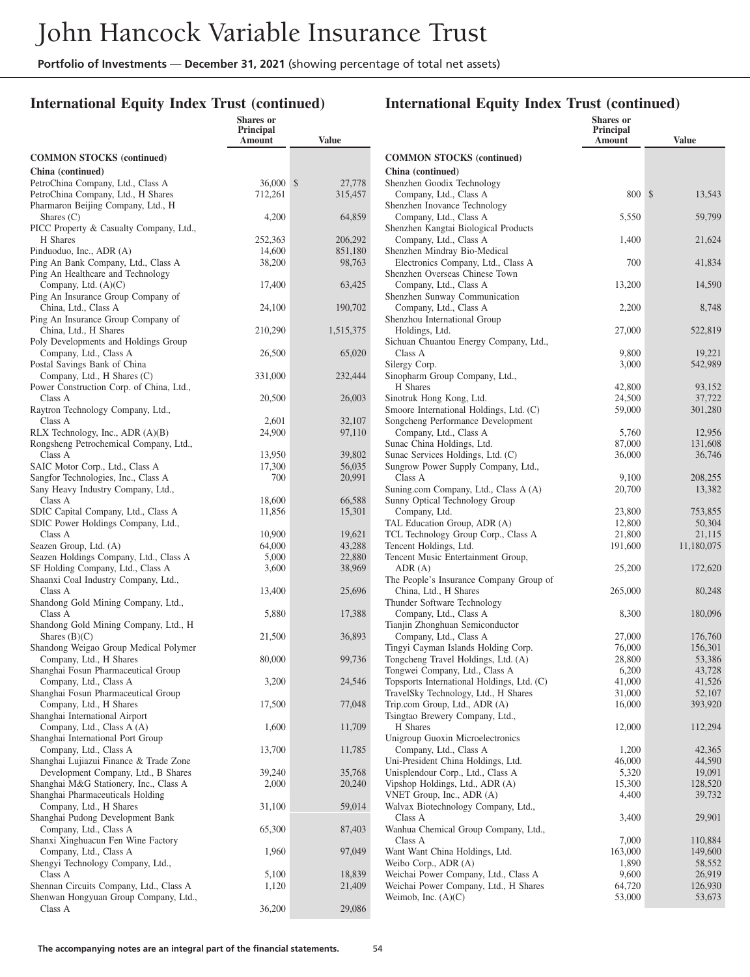**Shares or**

## **International Equity Index Trust (continued)**

|                                                                              | <b>Principal</b><br>Amount | Value             |
|------------------------------------------------------------------------------|----------------------------|-------------------|
| <b>COMMON STOCKS</b> (continued)                                             |                            |                   |
| China (continued)                                                            |                            |                   |
| PetroChina Company, Ltd., Class A                                            | 36,000                     | \$<br>27,778      |
| PetroChina Company, Ltd., H Shares<br>Pharmaron Beijing Company, Ltd., H     | 712,261                    | 315,457           |
| Shares $(C)$                                                                 | 4,200                      | 64,859            |
| PICC Property & Casualty Company, Ltd.,                                      |                            |                   |
| H Shares                                                                     | 252,363                    | 206,292           |
| Pinduoduo, Inc., ADR (A)<br>Ping An Bank Company, Ltd., Class A              | 14,600<br>38,200           | 851,180<br>98,763 |
| Ping An Healthcare and Technology                                            |                            |                   |
| Company, Ltd. $(A)(C)$                                                       | 17,400                     | 63,425            |
| Ping An Insurance Group Company of                                           |                            |                   |
| China, Ltd., Class A<br>Ping An Insurance Group Company of                   | 24,100                     | 190,702           |
| China, Ltd., H Shares                                                        | 210,290                    | 1,515,375         |
| Poly Developments and Holdings Group                                         |                            |                   |
| Company, Ltd., Class A                                                       | 26,500                     | 65,020            |
| Postal Savings Bank of China                                                 | 331,000                    | 232,444           |
| Company, Ltd., H Shares (C)<br>Power Construction Corp. of China, Ltd.,      |                            |                   |
| Class A                                                                      | 20,500                     | 26,003            |
| Raytron Technology Company, Ltd.,                                            |                            |                   |
| Class A                                                                      | 2,601                      | 32,107            |
| RLX Technology, Inc., ADR $(A)(B)$<br>Rongsheng Petrochemical Company, Ltd., | 24,900                     | 97,110            |
| Class A                                                                      | 13,950                     | 39,802            |
| SAIC Motor Corp., Ltd., Class A                                              | 17,300                     | 56,035            |
| Sangfor Technologies, Inc., Class A                                          | 700                        | 20,991            |
| Sany Heavy Industry Company, Ltd.,<br>Class A                                | 18,600                     | 66,588            |
| SDIC Capital Company, Ltd., Class A                                          | 11,856                     | 15,301            |
| SDIC Power Holdings Company, Ltd.,                                           |                            |                   |
| Class A                                                                      | 10,900                     | 19,621            |
| Seazen Group, Ltd. (A)                                                       | 64,000<br>5,000            | 43,288<br>22,880  |
| Seazen Holdings Company, Ltd., Class A<br>SF Holding Company, Ltd., Class A  | 3,600                      | 38,969            |
| Shaanxi Coal Industry Company, Ltd.,                                         |                            |                   |
| Class A                                                                      | 13,400                     | 25,696            |
| Shandong Gold Mining Company, Ltd.,<br>Class A                               |                            |                   |
| Shandong Gold Mining Company, Ltd., H                                        | 5,880                      | 17,388            |
| Shares $(B)(C)$                                                              | 21,500                     | 36,893            |
| Shandong Weigao Group Medical Polymer                                        |                            |                   |
| Company, Ltd., H Shares                                                      | 80,000                     | 99,736            |
| Shanghai Fosun Pharmaceutical Group<br>Company, Ltd., Class A                | 3,200                      | 24,546            |
| Shanghai Fosun Pharmaceutical Group                                          |                            |                   |
| Company, Ltd., H Shares                                                      | 17,500                     | 77,048            |
| Shanghai International Airport<br>Company, Ltd., Class A (A)                 |                            |                   |
| Shanghai International Port Group                                            | 1,600                      | 11,709            |
| Company, Ltd., Class A                                                       | 13,700                     | 11,785            |
| Shanghai Lujiazui Finance & Trade Zone                                       |                            |                   |
| Development Company, Ltd., B Shares                                          | 39,240                     | 35,768            |
| Shanghai M&G Stationery, Inc., Class A<br>Shanghai Pharmaceuticals Holding   | 2,000                      | 20,240            |
| Company, Ltd., H Shares                                                      | 31,100                     | 59,014            |
| Shanghai Pudong Development Bank                                             |                            |                   |
| Company, Ltd., Class A                                                       | 65,300                     | 87,403            |
| Shanxi Xinghuacun Fen Wine Factory<br>Company, Ltd., Class A                 | 1,960                      | 97,049            |
| Shengyi Technology Company, Ltd.,                                            |                            |                   |
| Class A                                                                      | 5,100                      | 18,839            |
| Shennan Circuits Company, Ltd., Class A                                      | 1,120                      | 21,409            |
| Shenwan Hongyuan Group Company, Ltd.,<br>Class A                             | 36,200                     | 29,086            |
|                                                                              |                            |                   |

|                                                                            | Shares or<br>Principal<br>Amount | <b>Value</b>      |
|----------------------------------------------------------------------------|----------------------------------|-------------------|
| <b>COMMON STOCKS (continued)</b>                                           |                                  |                   |
| China (continued)                                                          |                                  |                   |
| Shenzhen Goodix Technology                                                 |                                  |                   |
| Company, Ltd., Class A<br>Shenzhen Inovance Technology                     | 800                              | 13,543<br>\$      |
| Company, Ltd., Class A                                                     | 5,550                            | 59,799            |
| Shenzhen Kangtai Biological Products                                       |                                  |                   |
| Company, Ltd., Class A                                                     | 1,400                            | 21,624            |
| Shenzhen Mindray Bio-Medical<br>Electronics Company, Ltd., Class A         | 700                              | 41,834            |
| Shenzhen Overseas Chinese Town                                             |                                  |                   |
| Company, Ltd., Class A                                                     | 13,200                           | 14,590            |
| Shenzhen Sunway Communication                                              |                                  |                   |
| Company, Ltd., Class A                                                     | 2,200                            | 8,748             |
| Shenzhou International Group<br>Holdings, Ltd.                             | 27,000                           | 522,819           |
| Sichuan Chuantou Energy Company, Ltd.,                                     |                                  |                   |
| Class A                                                                    | 9,800                            | 19,221            |
| Silergy Corp.                                                              | 3,000                            | 542,989           |
| Sinopharm Group Company, Ltd.,                                             |                                  |                   |
| H Shares<br>Sinotruk Hong Kong, Ltd.                                       | 42,800<br>24,500                 | 93,152<br>37,722  |
| Smoore International Holdings, Ltd. (C)                                    | 59,000                           | 301,280           |
| Songcheng Performance Development                                          |                                  |                   |
| Company, Ltd., Class A                                                     | 5,760                            | 12,956            |
| Sunac China Holdings, Ltd.                                                 | 87,000                           | 131,608           |
| Sunac Services Holdings, Ltd. (C)<br>Sungrow Power Supply Company, Ltd.,   | 36,000                           | 36,746            |
| Class A                                                                    | 9,100                            | 208,255           |
| Suning.com Company, Ltd., Class A (A)                                      | 20,700                           | 13,382            |
| Sunny Optical Technology Group                                             |                                  |                   |
| Company, Ltd.                                                              | 23,800                           | 753,855           |
| TAL Education Group, ADR (A)<br>TCL Technology Group Corp., Class A        | 12,800<br>21,800                 | 50,304<br>21,115  |
| Tencent Holdings, Ltd.                                                     | 191,600                          | 11,180,075        |
| Tencent Music Entertainment Group,                                         |                                  |                   |
| ADR(A)                                                                     | 25,200                           | 172,620           |
| The People's Insurance Company Group of                                    |                                  |                   |
| China, Ltd., H Shares<br>Thunder Software Technology                       | 265,000                          | 80,248            |
| Company, Ltd., Class A                                                     | 8,300                            | 180,096           |
| Tianjin Zhonghuan Semiconductor                                            |                                  |                   |
| Company, Ltd., Class A                                                     | 27,000                           | 176,760           |
| Tingyi Cayman Islands Holding Corp.<br>Tongcheng Travel Holdings, Ltd. (A) | 76,000<br>28,800                 | 156,301<br>53,386 |
| Tongwei Company, Ltd., Class A                                             | 6,200                            | 43,728            |
| Topsports International Holdings, Ltd. (C)                                 | 41,000                           | 41,526            |
| TravelSky Technology, Ltd., H Shares                                       | 31,000                           | 52,107            |
| Trip.com Group, Ltd., ADR (A)                                              | 16,000                           | 393,920           |
| Tsingtao Brewery Company, Ltd.,<br>H Shares                                | 12,000                           | 112,294           |
| Unigroup Guoxin Microelectronics                                           |                                  |                   |
| Company, Ltd., Class A                                                     | 1,200                            | 42,365            |
| Uni-President China Holdings, Ltd.                                         | 46,000                           | 44,590            |
| Unisplendour Corp., Ltd., Class A                                          | 5,320                            | 19,091            |
| Vipshop Holdings, Ltd., ADR (A)<br>VNET Group, Inc., ADR (A)               | 15,300<br>4,400                  | 128,520<br>39,732 |
| Walvax Biotechnology Company, Ltd.,                                        |                                  |                   |
| Class A                                                                    | 3,400                            | 29,901            |
| Wanhua Chemical Group Company, Ltd.,                                       |                                  |                   |
| Class A                                                                    | 7,000                            | 110,884           |
| Want Want China Holdings, Ltd.<br>Weibo Corp., ADR (A)                     | 163,000<br>1,890                 | 149,600<br>58,552 |
| Weichai Power Company, Ltd., Class A                                       | 9,600                            | 26,919            |
| Weichai Power Company, Ltd., H Shares                                      | 64,720                           | 126,930           |
| Weimob, Inc. $(A)(C)$                                                      | 53,000                           | 53,673            |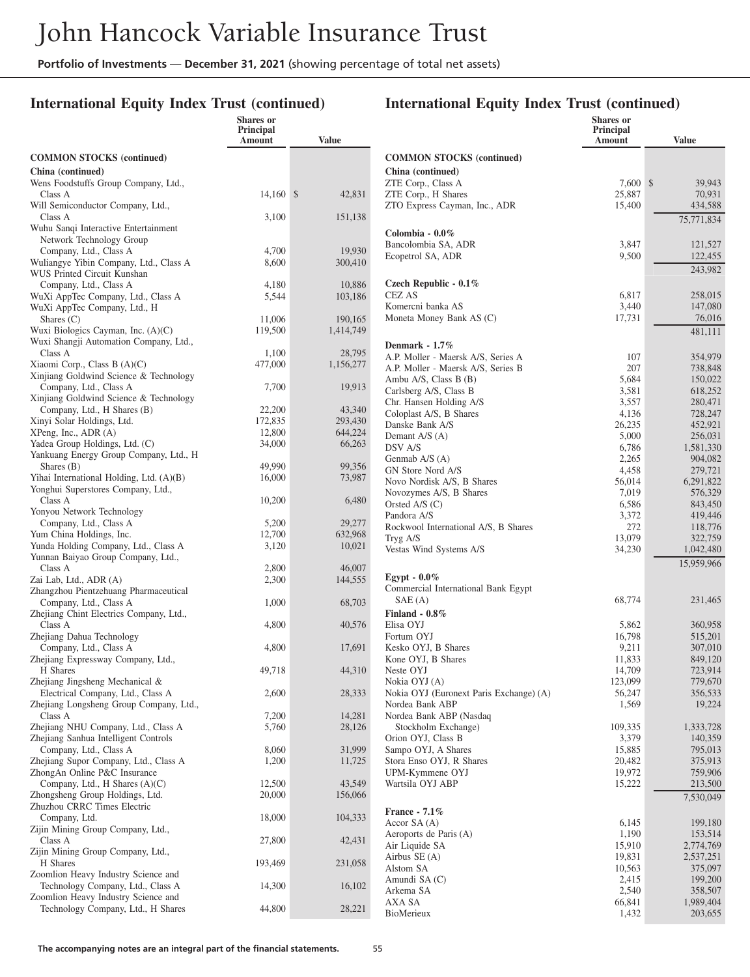## **International Equity Index Trust (continued)**

|                                                                              | <b>Shares</b> or<br>Principal |                   |                                                         | <b>Shares</b> or<br>Principal |                       |
|------------------------------------------------------------------------------|-------------------------------|-------------------|---------------------------------------------------------|-------------------------------|-----------------------|
|                                                                              | Amount                        | <b>Value</b>      |                                                         | Amount                        | <b>Value</b>          |
| <b>COMMON STOCKS</b> (continued)                                             |                               |                   | <b>COMMON STOCKS (continued)</b>                        |                               |                       |
| China (continued)                                                            |                               |                   | China (continued)                                       |                               |                       |
| Wens Foodstuffs Group Company, Ltd.,                                         |                               |                   | ZTE Corp., Class A                                      | 7,600 \$                      | 39,943                |
| Class A<br>Will Semiconductor Company, Ltd.,                                 | 14,160 \$                     | 42,831            | ZTE Corp., H Shares                                     | 25,887                        | 70,931                |
| Class A                                                                      | 3,100                         | 151,138           | ZTO Express Cayman, Inc., ADR                           | 15,400                        | 434,588<br>75,771,834 |
| Wuhu Sanqi Interactive Entertainment                                         |                               |                   | Colombia - 0.0%                                         |                               |                       |
| Network Technology Group                                                     |                               |                   | Bancolombia SA, ADR                                     | 3,847                         | 121,527               |
| Company, Ltd., Class A                                                       | 4,700                         | 19,930            | Ecopetrol SA, ADR                                       | 9,500                         | 122,455               |
| Wuliangye Yibin Company, Ltd., Class A<br>WUS Printed Circuit Kunshan        | 8,600                         | 300,410           |                                                         |                               | 243,982               |
| Company, Ltd., Class A                                                       | 4,180                         | 10,886            | Czech Republic - 0.1%                                   |                               |                       |
| WuXi AppTec Company, Ltd., Class A                                           | 5,544                         | 103,186           | CEZ AS                                                  | 6,817                         | 258,015               |
| WuXi AppTec Company, Ltd., H                                                 |                               |                   | Komercni banka AS                                       | 3,440                         | 147,080               |
| Shares $(C)$                                                                 | 11,006                        | 190,165           | Moneta Money Bank AS (C)                                | 17,731                        | 76,016                |
| Wuxi Biologics Cayman, Inc. (A)(C)<br>Wuxi Shangji Automation Company, Ltd., | 119,500                       | 1,414,749         |                                                         |                               | 481,111               |
| Class A                                                                      | 1,100                         | 28,795            | Denmark - $1.7\%$<br>A.P. Moller - Maersk A/S, Series A | 107                           | 354,979               |
| Xiaomi Corp., Class B (A)(C)                                                 | 477,000                       | 1,156,277         | A.P. Moller - Maersk A/S, Series B                      | 207                           | 738,848               |
| Xinjiang Goldwind Science & Technology                                       |                               |                   | Ambu A/S, Class B (B)                                   | 5,684                         | 150,022               |
| Company, Ltd., Class A<br>Xinjiang Goldwind Science & Technology             | 7,700                         | 19,913            | Carlsberg A/S, Class B                                  | 3,581                         | 618,252               |
| Company, Ltd., H Shares (B)                                                  | 22,200                        | 43,340            | Chr. Hansen Holding A/S                                 | 3,557                         | 280,471               |
| Xinyi Solar Holdings, Ltd.                                                   | 172,835                       | 293,430           | Coloplast A/S, B Shares<br>Danske Bank A/S              | 4,136<br>26,235               | 728,247<br>452,921    |
| XPeng, Inc., ADR (A)                                                         | 12,800                        | 644,224           | Demant A/S (A)                                          | 5,000                         | 256,031               |
| Yadea Group Holdings, Ltd. (C)                                               | 34,000                        | 66,263            | DSV A/S                                                 | 6,786                         | 1,581,330             |
| Yankuang Energy Group Company, Ltd., H<br>Shares $(B)$                       | 49,990                        | 99,356            | Genmab A/S (A)                                          | 2,265                         | 904,082               |
| Yihai International Holding, Ltd. (A)(B)                                     | 16,000                        | 73,987            | GN Store Nord A/S<br>Novo Nordisk A/S, B Shares         | 4,458<br>56,014               | 279,721<br>6,291,822  |
| Yonghui Superstores Company, Ltd.,                                           |                               |                   | Novozymes A/S, B Shares                                 | 7,019                         | 576,329               |
| Class A                                                                      | 10,200                        | 6,480             | Orsted A/S $(C)$                                        | 6,586                         | 843,450               |
| Yonyou Network Technology                                                    |                               |                   | Pandora A/S                                             | 3,372                         | 419,446               |
| Company, Ltd., Class A<br>Yum China Holdings, Inc.                           | 5,200<br>12,700               | 29,277<br>632,968 | Rockwool International A/S, B Shares                    | 272                           | 118,776               |
| Yunda Holding Company, Ltd., Class A                                         | 3,120                         | 10,021            | Tryg A/S<br>Vestas Wind Systems A/S                     | 13,079<br>34,230              | 322,759<br>1,042,480  |
| Yunnan Baiyao Group Company, Ltd.,                                           |                               |                   |                                                         |                               | 15,959,966            |
| Class A                                                                      | 2,800                         | 46,007            |                                                         |                               |                       |
| Zai Lab, Ltd., ADR (A)<br>Zhangzhou Pientzehuang Pharmaceutical              | 2,300                         | 144,555           | Egypt - $0.0\%$<br>Commercial International Bank Egypt  |                               |                       |
| Company, Ltd., Class A                                                       | 1,000                         | 68,703            | SAE(A)                                                  | 68,774                        | 231,465               |
| Zhejiang Chint Electrics Company, Ltd.,                                      |                               |                   | Finland - $0.8\%$                                       |                               |                       |
| Class A                                                                      | 4,800                         | 40,576            | Elisa OYJ                                               | 5,862                         | 360,958               |
| Zhejiang Dahua Technology                                                    |                               |                   | Fortum OYJ                                              | 16,798                        | 515,201               |
| Company, Ltd., Class A<br>Zhejiang Expressway Company, Ltd.,                 | 4,800                         | 17,691            | Kesko OYJ, B Shares<br>Kone OYJ, B Shares               | 9,211<br>11,833               | 307,010<br>849,120    |
| H Shares                                                                     | 49,718                        | 44,310            | Neste OYJ                                               | 14,709                        | 723,914               |
| Zhejiang Jingsheng Mechanical &                                              |                               |                   | Nokia OYJ (A)                                           | 123,099                       | 779,670               |
| Electrical Company, Ltd., Class A                                            | 2,600                         | 28,333            | Nokia OYJ (Euronext Paris Exchange) (A)                 | 56,247                        | 356,533               |
| Zhejiang Longsheng Group Company, Ltd.,<br>Class A                           | 7,200                         | 14,281            | Nordea Bank ABP<br>Nordea Bank ABP (Nasdaq              | 1,569                         | 19,224                |
| Zhejiang NHU Company, Ltd., Class A                                          | 5,760                         | 28,126            | Stockholm Exchange)                                     | 109,335                       | 1,333,728             |
| Zhejiang Sanhua Intelligent Controls                                         |                               |                   | Orion OYJ, Class B                                      | 3,379                         | 140,359               |
| Company, Ltd., Class A                                                       | 8,060                         | 31,999            | Sampo OYJ, A Shares                                     | 15,885                        | 795,013               |
| Zhejiang Supor Company, Ltd., Class A                                        | 1,200                         | 11,725            | Stora Enso OYJ, R Shares                                | 20,482                        | 375,913               |
| ZhongAn Online P&C Insurance<br>Company, Ltd., H Shares (A)(C)               | 12,500                        | 43,549            | UPM-Kymmene OYJ<br>Wartsila OYJ ABP                     | 19,972<br>15,222              | 759,906<br>213,500    |
| Zhongsheng Group Holdings, Ltd.                                              | 20,000                        | 156,066           |                                                         |                               | 7,530,049             |
| Zhuzhou CRRC Times Electric                                                  |                               |                   | France - 7.1%                                           |                               |                       |
| Company, Ltd.                                                                | 18,000                        | 104,333           | Accor $SA(A)$                                           | 6,145                         | 199,180               |
| Zijin Mining Group Company, Ltd.,                                            |                               |                   | Aeroports de Paris (A)                                  | 1,190                         | 153,514               |
| Class A<br>Zijin Mining Group Company, Ltd.,                                 | 27,800                        | 42,431            | Air Liquide SA                                          | 15,910                        | 2,774,769             |
| H Shares                                                                     | 193,469                       | 231,058           | Airbus SE (A)                                           | 19,831<br>10,563              | 2,537,251             |
| Zoomlion Heavy Industry Science and                                          |                               |                   | Alstom SA<br>Amundi SA (C)                              | 2,415                         | 375,097<br>199,200    |
| Technology Company, Ltd., Class A                                            | 14,300                        | 16,102            | Arkema SA                                               | 2,540                         | 358,507               |
| Zoomlion Heavy Industry Science and<br>Technology Company, Ltd., H Shares    | 44,800                        | 28,221            | AXA SA                                                  | 66,841                        | 1,989,404             |
|                                                                              |                               |                   | BioMerieux                                              | 1,432                         | 203,655               |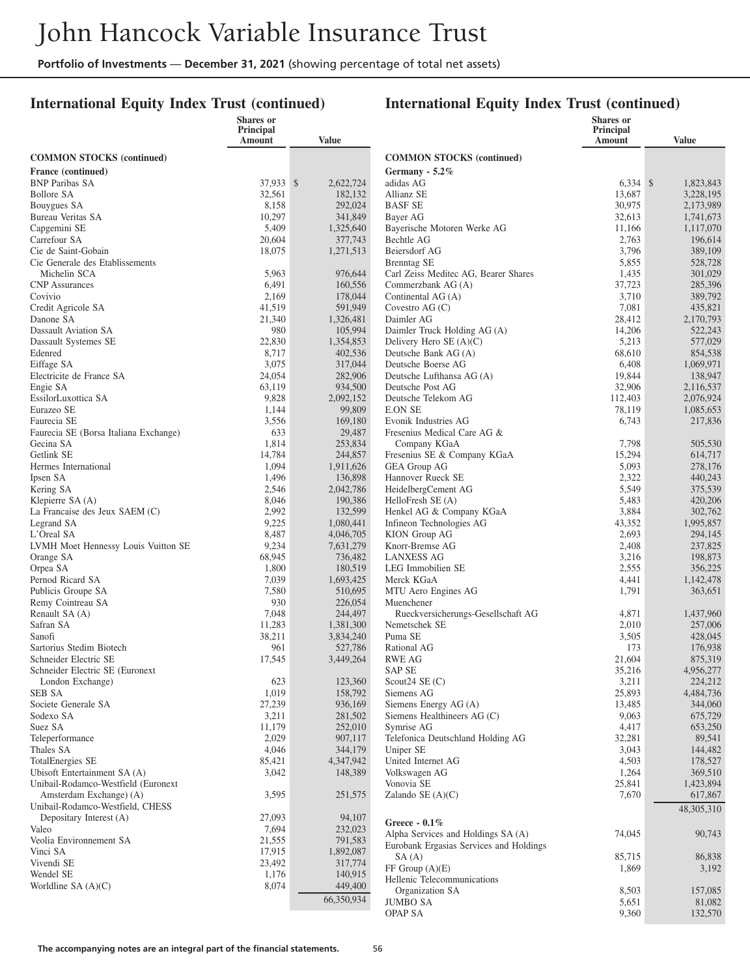### **International Equity Index Trust (continued)**

|                                            | Shares or           |                      |                                                    | <b>Shares</b> or    |                        |
|--------------------------------------------|---------------------|----------------------|----------------------------------------------------|---------------------|------------------------|
|                                            | Principal<br>Amount | Value                |                                                    | Principal<br>Amount | <b>Value</b>           |
|                                            |                     |                      |                                                    |                     |                        |
| <b>COMMON STOCKS</b> (continued)           |                     |                      | <b>COMMON STOCKS</b> (continued)                   |                     |                        |
| France (continued)                         |                     |                      | Germany - $5.2\%$                                  |                     |                        |
| <b>BNP Paribas SA</b><br><b>Bollore SA</b> | 37,933 \$           | 2,622,724            | adidas AG<br>Allianz SE                            | $6,334$ \$          | 1,823,843<br>3.228.195 |
| Bouygues SA                                | 32,561<br>8,158     | 182,132<br>292,024   | <b>BASF SE</b>                                     | 13,687<br>30.975    | 2,173,989              |
| Bureau Veritas SA                          | 10,297              | 341,849              | Bayer AG                                           | 32,613              | 1,741,673              |
| Capgemini SE                               | 5,409               | 1,325,640            | Bayerische Motoren Werke AG                        | 11,166              | 1,117,070              |
| Carrefour SA                               | 20,604              | 377,743              | Bechtle AG                                         | 2,763               | 196,614                |
| Cie de Saint-Gobain                        | 18,075              | 1,271,513            | Beiersdorf AG                                      | 3,796               | 389,109                |
| Cie Generale des Etablissements            |                     |                      | <b>Brenntag SE</b>                                 | 5,855               | 528,728                |
| Michelin SCA                               | 5,963               | 976,644              | Carl Zeiss Meditec AG, Bearer Shares               | 1,435               | 301,029                |
| <b>CNP</b> Assurances                      | 6,491               | 160,556              | Commerzbank AG (A)                                 | 37,723              | 285,396                |
| Covivio                                    | 2,169               | 178,044              | Continental AG (A)                                 | 3,710               | 389,792                |
| Credit Agricole SA                         | 41,519              | 591,949              | Covestro $AG(C)$                                   | 7,081               | 435,821                |
| Danone SA                                  | 21,340              | 1,326,481            | Daimler AG                                         | 28,412              | 2,170,793              |
| Dassault Aviation SA                       | 980                 | 105,994              | Daimler Truck Holding AG (A)                       | 14,206              | 522,243                |
| Dassault Systemes SE                       | 22,830              | 1,354,853            | Delivery Hero $SE(A)(C)$                           | 5,213               | 577,029                |
| Edenred                                    | 8,717               | 402,536              | Deutsche Bank AG (A)                               | 68,610              | 854,538                |
| Eiffage SA                                 | 3,075               | 317,044              | Deutsche Boerse AG                                 | 6,408               | 1,069,971              |
| Electricite de France SA                   | 24,054              | 282,906              | Deutsche Lufthansa AG (A)                          | 19,844              | 138,947                |
| Engie SA                                   | 63,119              | 934,500              | Deutsche Post AG                                   | 32,906              | 2,116,537              |
| EssilorLuxottica SA                        | 9,828               | 2,092,152            | Deutsche Telekom AG                                | 112,403             | 2,076,924              |
| Eurazeo SE                                 | 1,144               | 99,809               | <b>E.ON SE</b>                                     | 78,119              | 1,085,653              |
| Faurecia SE                                | 3,556               | 169,180              | Evonik Industries AG                               | 6,743               | 217,836                |
| Faurecia SE (Borsa Italiana Exchange)      | 633                 | 29,487               | Fresenius Medical Care AG &                        |                     |                        |
| Gecina SA                                  | 1,814               | 253,834              | Company KGaA                                       | 7,798               | 505,530                |
| Getlink SE<br>Hermes International         | 14,784<br>1,094     | 244,857<br>1,911,626 | Fresenius SE & Company KGaA<br><b>GEA Group AG</b> | 15,294<br>5,093     | 614,717<br>278,176     |
| Ipsen SA                                   | 1,496               | 136,898              | Hannover Rueck SE                                  | 2,322               | 440,243                |
| Kering SA                                  | 2,546               | 2,042,786            | HeidelbergCement AG                                | 5,549               | 375,539                |
| Klepierre SA $(A)$                         | 8,046               | 190,386              | HelloFresh SE (A)                                  | 5,483               | 420,206                |
| La Francaise des Jeux SAEM (C)             | 2,992               | 132,599              | Henkel AG & Company KGaA                           | 3,884               | 302,762                |
| Legrand SA                                 | 9,225               | 1,080,441            | Infineon Technologies AG                           | 43,352              | 1,995,857              |
| L'Oreal SA                                 | 8,487               | 4,046,705            | KION Group AG                                      | 2,693               | 294,145                |
| LVMH Moet Hennessy Louis Vuitton SE        | 9,234               | 7,631,279            | Knorr-Bremse AG                                    | 2,408               | 237,825                |
| Orange SA                                  | 68,945              | 736,482              | <b>LANXESS AG</b>                                  | 3,216               | 198,873                |
| Orpea SA                                   | 1,800               | 180,519              | LEG Immobilien SE                                  | 2,555               | 356,225                |
| Pernod Ricard SA                           | 7,039               | 1,693,425            | Merck KGaA                                         | 4,441               | 1,142,478              |
| Publicis Groupe SA                         | 7,580               | 510,695              | MTU Aero Engines AG                                | 1,791               | 363,651                |
| Remy Cointreau SA                          | 930                 | 226,054              | Muenchener                                         |                     |                        |
| Renault SA (A)                             | 7,048               | 244,497              | Rueckversicherungs-Gesellschaft AG                 | 4,871               | 1,437,960              |
| Safran SA                                  | 11,283              | 1,381,300            | Nemetschek SE                                      | 2,010               | 257,006                |
| Sanofi                                     | 38,211              | 3,834,240            | Puma SE                                            | 3,505               | 428,045                |
| Sartorius Stedim Biotech                   | 961                 | 527,786              | Rational AG                                        | 173                 | 176,938                |
| Schneider Electric SE                      | 17,545              | 3,449,264            | <b>RWE AG</b>                                      | 21,604              | 875,319                |
| Schneider Electric SE (Euronext            |                     |                      | <b>SAP SE</b>                                      | 35,216              | 4,956,277              |
| London Exchange)                           | 623                 | 123,360              | Scout <sub>24</sub> SE $(C)$                       | 3,211               | 224,212                |
| SEB SA<br>Societe Generale SA              | 1,019<br>27,239     | 158,792<br>936,169   | Siemens AG<br>Siemens Energy AG (A)                | 25,893<br>13,485    | 4,484,736<br>344,060   |
| Sodexo SA                                  | 3,211               | 281,502              | Siemens Healthineers AG (C)                        | 9,063               | 675,729                |
| Suez SA                                    | 11,179              | 252,010              | Symrise AG                                         | 4,417               | 653,250                |
| Teleperformance                            | 2,029               | 907,117              | Telefonica Deutschland Holding AG                  | 32,281              | 89,541                 |
| Thales SA                                  | 4,046               | 344,179              | Uniper SE                                          | 3,043               | 144,482                |
| <b>TotalEnergies SE</b>                    | 85,421              | 4,347,942            | United Internet AG                                 | 4,503               | 178,527                |
| Ubisoft Entertainment SA (A)               | 3,042               | 148,389              | Volkswagen AG                                      | 1,264               | 369,510                |
| Unibail-Rodamco-Westfield (Euronext        |                     |                      | Vonovia SE                                         | 25,841              | 1,423,894              |
| Amsterdam Exchange) (A)                    | 3,595               | 251,575              | Zalando SE $(A)(C)$                                | 7,670               | 617,867                |
| Unibail-Rodamco-Westfield, CHESS           |                     |                      |                                                    |                     | 48,305,310             |
| Depositary Interest (A)                    | 27,093              | 94,107               | Greece - $0.1\%$                                   |                     |                        |
| Valeo                                      | 7,694               | 232,023              | Alpha Services and Holdings SA (A)                 | 74,045              | 90,743                 |
| Veolia Environnement SA                    | 21,555              | 791,583              | Eurobank Ergasias Services and Holdings            |                     |                        |
| Vinci SA                                   | 17,915              | 1,892,087            | SA(A)                                              | 85,715              | 86,838                 |
| Vivendi SE                                 | 23,492              | 317,774              | $FF$ Group $(A)(E)$                                | 1,869               | 3,192                  |
| Wendel SE                                  | 1,176               | 140,915              | Hellenic Telecommunications                        |                     |                        |
| Worldline SA (A)(C)                        | 8,074               | 449,400              | Organization SA                                    | 8,503               | 157,085                |
|                                            |                     | 66,350,934           | <b>JUMBO SA</b>                                    | 5,651               | 81,082                 |
|                                            |                     |                      | <b>OPAP SA</b>                                     | 9,360               | 132,570                |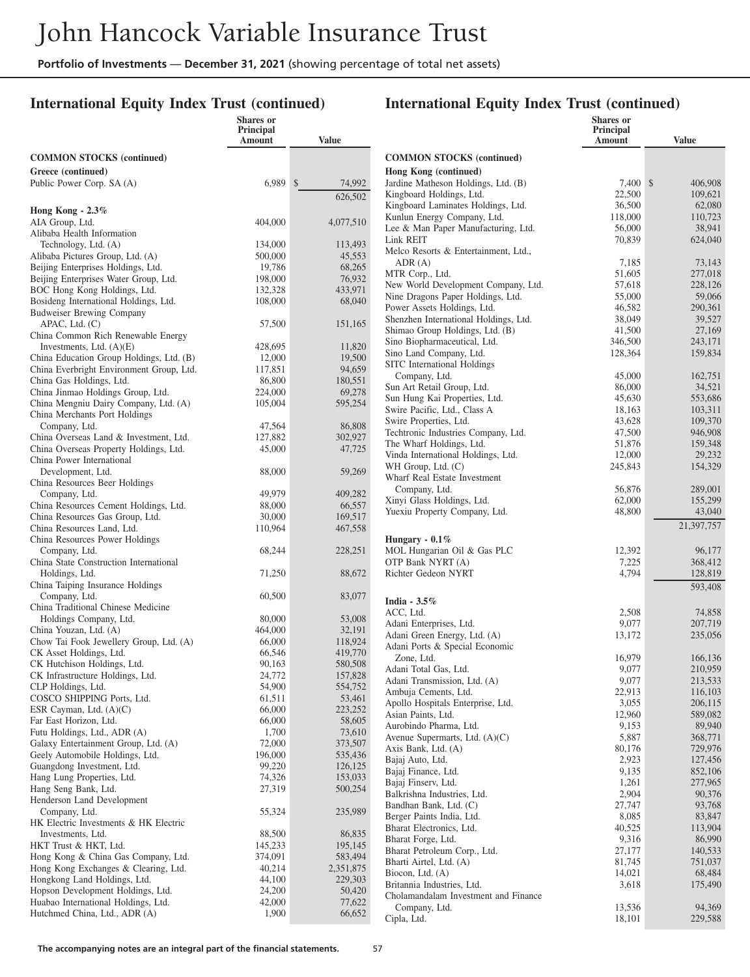## **International Equity Index Trust (continued)**

### **International Equity Index Trust (continued)**

**Shares or**

|                                                                       | <b>Shares</b> or<br>Principal<br>Amount | <b>Value</b>       |                          |
|-----------------------------------------------------------------------|-----------------------------------------|--------------------|--------------------------|
|                                                                       |                                         |                    |                          |
| <b>COMMON STOCKS</b> (continued)                                      |                                         |                    | <b>COMN</b>              |
| Greece (continued)<br>Public Power Corp. SA (A)                       | 6,989                                   | \$<br>74,992       | Hong I<br>Jardine        |
|                                                                       |                                         | 626,502            | Kingbo                   |
| Hong Kong - $2.3\%$                                                   |                                         |                    | Kingbo<br>Kunlun         |
| AIA Group, Ltd.                                                       | 404,000                                 | 4,077,510          | Lee $\&$                 |
| Alibaba Health Information<br>Technology, Ltd. (A)                    | 134,000                                 | 113,493            | Link R                   |
| Alibaba Pictures Group, Ltd. (A)                                      | 500,000                                 | 45,553             | Melco:                   |
| Beijing Enterprises Holdings, Ltd.                                    | 19,786                                  | 68,265             | ADR<br>MTR C             |
| Beijing Enterprises Water Group, Ltd.<br>BOC Hong Kong Holdings, Ltd. | 198,000<br>132,328                      | 76,932<br>433,971  | New W                    |
| Bosideng International Holdings, Ltd.                                 | 108,000                                 | 68,040             | Nine D                   |
| <b>Budweiser Brewing Company</b>                                      |                                         |                    | Power.<br>Shenzh         |
| $APAC$ , Ltd. $(C)$                                                   | 57,500                                  | 151,165            | Shimao                   |
| China Common Rich Renewable Energy<br>Investments, Ltd. $(A)(E)$      | 428,695                                 | 11,820             | Sino Bi                  |
| China Education Group Holdings, Ltd. (B)                              | 12,000                                  | 19,500             | Sino La<br>SITC In       |
| China Everbright Environment Group, Ltd.                              | 117,851                                 | 94,659             | Com                      |
| China Gas Holdings, Ltd.<br>China Jinmao Holdings Group, Ltd.         | 86,800<br>224,000                       | 180,551<br>69,278  | Sun Ar                   |
| China Mengniu Dairy Company, Ltd. (A)                                 | 105,004                                 | 595,254            | Sun Hu                   |
| China Merchants Port Holdings                                         |                                         |                    | Swire I<br>Swire I       |
| Company, Ltd.<br>China Overseas Land & Investment, Ltd.               | 47,564                                  | 86,808             | Techtro                  |
| China Overseas Property Holdings, Ltd.                                | 127,882<br>45,000                       | 302,927<br>47,725  | The WI                   |
| China Power International                                             |                                         |                    | Vinda I<br>WH Gr         |
| Development, Ltd.                                                     | 88,000                                  | 59,269             | Wharf                    |
| China Resources Beer Holdings<br>Company, Ltd.                        | 49,979                                  | 409,282            | Com                      |
| China Resources Cement Holdings, Ltd.                                 | 88,000                                  | 66,557             | Xinyi (                  |
| China Resources Gas Group, Ltd.                                       | 30,000                                  | 169,517            | Yuexiu                   |
| China Resources Land, Ltd.<br>China Resources Power Holdings          | 110,964                                 | 467,558            |                          |
| Company, Ltd.                                                         | 68,244                                  | 228,251            | <b>Hunga</b><br>MOL F    |
| China State Construction International                                |                                         |                    | OTP B                    |
| Holdings, Ltd.                                                        | 71,250                                  | 88,672             | Richter                  |
| China Taiping Insurance Holdings<br>Company, Ltd.                     | 60,500                                  | 83,077             |                          |
| China Traditional Chinese Medicine                                    |                                         |                    | India -<br>ACC, I        |
| Holdings Company, Ltd.                                                | 80,000                                  | 53,008             | Adani l                  |
| China Youzan, Ltd. (A)<br>Chow Tai Fook Jewellery Group, Ltd. (A)     | 464,000<br>66,000                       | 32,191<br>118,924  | Adani (                  |
| CK Asset Holdings, Ltd.                                               | 66,546                                  | 419,770            | Adani l<br>Zone          |
| CK Hutchison Holdings, Ltd.                                           | 90,163                                  | 580,508            | Adani <sup>-</sup>       |
| CK Infrastructure Holdings, Ltd.<br>CLP Holdings, Ltd.                | 24,772<br>54,900                        | 157,828<br>554,752 | Adani <sup>r</sup>       |
| COSCO SHIPPING Ports, Ltd.                                            | 61,511                                  | 53,461             | Ambuja                   |
| ESR Cayman, Ltd. $(A)(C)$                                             | 66,000                                  | 223,252            | Apollo<br>Asian I        |
| Far East Horizon, Ltd.<br>Futu Holdings, Ltd., ADR (A)                | 66,000<br>1,700                         | 58,605             | Aurobii                  |
| Galaxy Entertainment Group, Ltd. (A)                                  | 72,000                                  | 73,610<br>373,507  | Avenue                   |
| Geely Automobile Holdings, Ltd.                                       | 196,000                                 | 535,436            | Axis B<br>Bajaj A        |
| Guangdong Investment, Ltd.                                            | 99,220                                  | 126,125            | Bajaj F                  |
| Hang Lung Properties, Ltd.<br>Hang Seng Bank, Ltd.                    | 74,326<br>27,319                        | 153,033<br>500,254 | Bajaj F                  |
| Henderson Land Development                                            |                                         |                    | <b>Balkris</b><br>Bandha |
| Company, Ltd.                                                         | 55,324                                  | 235,989            | Berger                   |
| HK Electric Investments & HK Electric<br>Investments, Ltd.            | 88,500                                  | 86,835             | Bharat                   |
| HKT Trust & HKT, Ltd.                                                 | 145,233                                 | 195,145            | Bharat                   |
| Hong Kong & China Gas Company, Ltd.                                   | 374,091                                 | 583,494            | Bharat<br>Bharti         |
| Hong Kong Exchanges & Clearing, Ltd.                                  | 40,214                                  | 2,351,875          | <b>Biocon</b>            |
| Hongkong Land Holdings, Ltd.<br>Hopson Development Holdings, Ltd.     | 44,100<br>24,200                        | 229,303<br>50,420  | Britann                  |
| Huabao International Holdings, Ltd.                                   | 42,000                                  | 77,622             | Cholan<br>Com            |
| Hutchmed China, Ltd., ADR (A)                                         | 1,900                                   | 66,652             | Cipla, I                 |
|                                                                       |                                         |                    |                          |

|                                                                  | Principal<br>Amount | <b>Value</b>             |
|------------------------------------------------------------------|---------------------|--------------------------|
| <b>COMMON STOCKS</b> (continued)                                 |                     |                          |
| Hong Kong (continued)                                            |                     |                          |
| Jardine Matheson Holdings, Ltd. (B)<br>Kingboard Holdings, Ltd.  | 7,400<br>22,500     | \$<br>406,908<br>109,621 |
| Kingboard Laminates Holdings, Ltd.                               | 36,500              | 62,080                   |
| Kunlun Energy Company, Ltd.                                      | 118,000             | 110,723                  |
| Lee & Man Paper Manufacturing, Ltd.                              | 56,000              | 38,941                   |
| Link REIT<br>Melco Resorts & Entertainment, Ltd.,                | 70,839              | 624,040                  |
| ADR (A)                                                          | 7,185               | 73,143                   |
| MTR Corp., Ltd.                                                  | 51,605              | 277,018                  |
| New World Development Company, Ltd.                              | 57,618              | 228,126                  |
| Nine Dragons Paper Holdings, Ltd.<br>Power Assets Holdings, Ltd. | 55,000<br>46,582    | 59,066<br>290,361        |
| Shenzhen International Holdings, Ltd.                            | 38,049              | 39,527                   |
| Shimao Group Holdings, Ltd. (B)                                  | 41,500              | 27,169                   |
| Sino Biopharmaceutical, Ltd.                                     | 346,500             | 243,171                  |
| Sino Land Company, Ltd.<br>SITC International Holdings           | 128,364             | 159,834                  |
| Company, Ltd.                                                    | 45,000              | 162,751                  |
| Sun Art Retail Group, Ltd.                                       | 86,000              | 34,521                   |
| Sun Hung Kai Properties, Ltd.<br>Swire Pacific, Ltd., Class A    | 45,630<br>18,163    | 553,686<br>103,311       |
| Swire Properties, Ltd.                                           | 43,628              | 109,370                  |
| Techtronic Industries Company, Ltd.                              | 47,500              | 946,908                  |
| The Wharf Holdings, Ltd.                                         | 51,876              | 159,348                  |
| Vinda International Holdings, Ltd.                               | 12,000              | 29,232                   |
| WH Group, Ltd. (C)<br>Wharf Real Estate Investment               | 245,843             | 154,329                  |
| Company, Ltd.                                                    | 56,876              | 289,001                  |
| Xinyi Glass Holdings, Ltd.                                       | 62,000              | 155,299                  |
| Yuexiu Property Company, Ltd.                                    | 48,800              | 43,040                   |
| Hungary - $0.1\%$                                                |                     | 21,397,757               |
| MOL Hungarian Oil & Gas PLC                                      | 12,392              | 96,177                   |
| OTP Bank NYRT (A)                                                | 7,225               | 368,412                  |
| Richter Gedeon NYRT                                              | 4,794               | 128,819                  |
| India - 3.5%                                                     |                     | 593,408                  |
| ACC, Ltd.                                                        | 2,508               | 74,858                   |
| Adani Enterprises, Ltd.                                          | 9,077               | 207,719                  |
| Adani Green Energy, Ltd. (A)                                     | 13,172              | 235,056                  |
| Adani Ports & Special Economic<br>Zone, Ltd.                     | 16,979              | 166,136                  |
| Adani Total Gas, Ltd.                                            | 9,077               | 210,959                  |
| Adani Transmission, Ltd. (A)                                     | 9,077               | 213,533                  |
| Ambuja Cements, Ltd.                                             | 22,913              | 116,103                  |
| Apollo Hospitals Enterprise, Ltd.<br>Asian Paints, Ltd.          | 3,055<br>12,960     | 206,115<br>589,082       |
| Aurobindo Pharma, Ltd.                                           | 9,153               | 89,940                   |
| Avenue Supermarts, Ltd. $(A)(C)$                                 | 5,887               | 368,771                  |
| Axis Bank, Ltd. (A)                                              | 80,176              | 729,976                  |
| Bajaj Auto, Ltd.<br>Bajaj Finance, Ltd.                          | 2,923<br>9,135      | 127,456<br>852,106       |
| Bajaj Finserv, Ltd.                                              | 1,261               | 277,965                  |
| Balkrishna Industries, Ltd.                                      | 2,904               | 90,376                   |
| Bandhan Bank, Ltd. (C)                                           | 27,747              | 93,768                   |
| Berger Paints India, Ltd.<br>Bharat Electronics, Ltd.            | 8,085<br>40,525     | 83,847<br>113,904        |
| Bharat Forge, Ltd.                                               | 9,316               | 86,990                   |
| Bharat Petroleum Corp., Ltd.                                     | 27,177              | 140,533                  |
| Bharti Airtel, Ltd. (A)                                          | 81,745              | 751,037                  |
| Biocon, Ltd. (A)<br>Britannia Industries, Ltd.                   | 14,021              | 68,484                   |
| Cholamandalam Investment and Finance                             | 3,618               | 175,490                  |
| Company, Ltd.                                                    | 13,536              | 94,369                   |
| Cipla, Ltd.                                                      | 18,101              | 229,588                  |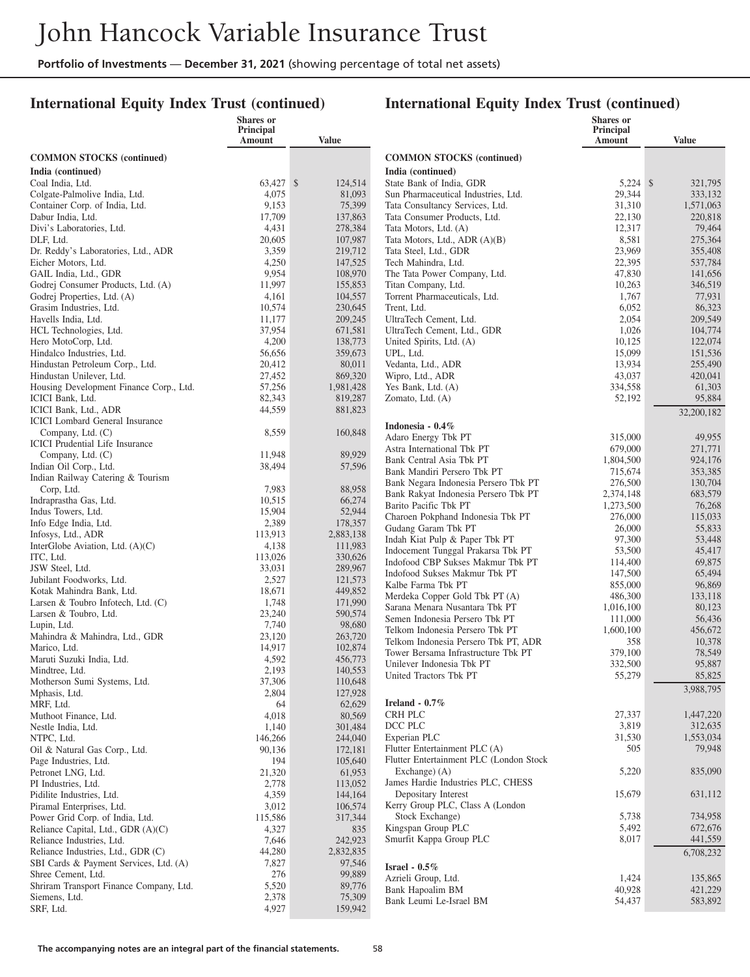## **International Equity Index Trust (continued)**

|                                                               | Shares or<br>Principal |                    |                                                                         | Shares or<br>Principal |                     |
|---------------------------------------------------------------|------------------------|--------------------|-------------------------------------------------------------------------|------------------------|---------------------|
|                                                               | Amount                 | <b>Value</b>       |                                                                         | Amount                 | <b>Value</b>        |
| <b>COMMON STOCKS</b> (continued)                              |                        |                    | <b>COMMON STOCKS</b> (continued)                                        |                        |                     |
| India (continued)                                             |                        |                    | India (continued)                                                       |                        |                     |
| Coal India, Ltd.                                              | 63,427 \$              | 124,514            | State Bank of India, GDR                                                | $5,224$ \$             | 321,795             |
| Colgate-Palmolive India, Ltd.                                 | 4,075                  | 81,093             | Sun Pharmaceutical Industries, Ltd.                                     | 29,344                 | 333,132             |
| Container Corp. of India, Ltd.                                | 9,153                  | 75,399             | Tata Consultancy Services, Ltd.                                         | 31,310                 | 1,571,063           |
| Dabur India, Ltd.                                             | 17,709                 | 137,863            | Tata Consumer Products, Ltd.                                            | 22,130                 | 220,818             |
| Divi's Laboratories, Ltd.<br>DLF, Ltd.                        | 4,431<br>20,605        | 278,384<br>107,987 | Tata Motors, Ltd. (A)<br>Tata Motors, Ltd., ADR (A)(B)                  | 12,317<br>8,581        | 79,464<br>275,364   |
| Dr. Reddy's Laboratories, Ltd., ADR                           | 3,359                  | 219,712            | Tata Steel, Ltd., GDR                                                   | 23,969                 | 355,408             |
| Eicher Motors, Ltd.                                           | 4,250                  | 147,525            | Tech Mahindra, Ltd.                                                     | 22,395                 | 537,784             |
| GAIL India, Ltd., GDR                                         | 9,954                  | 108,970            | The Tata Power Company, Ltd.                                            | 47,830                 | 141,656             |
| Godrej Consumer Products, Ltd. (A)                            | 11,997                 | 155,853            | Titan Company, Ltd.                                                     | 10,263                 | 346,519             |
| Godrej Properties, Ltd. (A)                                   | 4,161                  | 104,557            | Torrent Pharmaceuticals, Ltd.                                           | 1,767                  | 77,931              |
| Grasim Industries, Ltd.                                       | 10,574                 | 230,645            | Trent, Ltd.                                                             | 6,052                  | 86,323              |
| Havells India, Ltd.                                           | 11,177                 | 209,245            | UltraTech Cement, Ltd.                                                  | 2,054                  | 209,549             |
| HCL Technologies, Ltd.                                        | 37,954                 | 671,581            | UltraTech Cement, Ltd., GDR                                             | 1,026                  | 104,774             |
| Hero MotoCorp, Ltd.                                           | 4,200                  | 138,773            | United Spirits, Ltd. (A)                                                | 10,125                 | 122,074             |
| Hindalco Industries, Ltd.<br>Hindustan Petroleum Corp., Ltd.  | 56,656<br>20,412       | 359,673<br>80,011  | UPL, Ltd.<br>Vedanta, Ltd., ADR                                         | 15,099<br>13,934       | 151,536<br>255,490  |
| Hindustan Unilever, Ltd.                                      | 27,452                 | 869,320            | Wipro, Ltd., ADR                                                        | 43,037                 | 420,041             |
| Housing Development Finance Corp., Ltd.                       | 57,256                 | 1,981,428          | Yes Bank, Ltd. (A)                                                      | 334,558                | 61,303              |
| ICICI Bank, Ltd.                                              | 82,343                 | 819,287            | Zomato, Ltd. (A)                                                        | 52,192                 | 95,884              |
| ICICI Bank, Ltd., ADR                                         | 44,559                 | 881,823            |                                                                         |                        | 32,200,182          |
| <b>ICICI</b> Lombard General Insurance                        |                        |                    | Indonesia - 0.4%                                                        |                        |                     |
| Company, Ltd. (C)                                             | 8,559                  | 160,848            | Adaro Energy Tbk PT                                                     | 315,000                | 49,955              |
| <b>ICICI</b> Prudential Life Insurance                        |                        |                    | Astra International Tbk PT                                              | 679,000                | 271.771             |
| Company, Ltd. (C)                                             | 11,948                 | 89,929             | Bank Central Asia Tbk PT                                                | 1,804,500              | 924,176             |
| Indian Oil Corp., Ltd.                                        | 38,494                 | 57,596             | Bank Mandiri Persero Tbk PT                                             | 715,674                | 353,385             |
| Indian Railway Catering & Tourism                             |                        |                    | Bank Negara Indonesia Persero Tbk PT                                    | 276,500                | 130,704             |
| Corp, Ltd.<br>Indraprastha Gas, Ltd.                          | 7,983<br>10,515        | 88,958<br>66,274   | Bank Rakyat Indonesia Persero Tbk PT                                    | 2,374,148              | 683,579             |
| Indus Towers, Ltd.                                            | 15,904                 | 52,944             | Barito Pacific Tbk PT                                                   | 1,273,500              | 76,268              |
| Info Edge India, Ltd.                                         | 2,389                  | 178,357            | Charoen Pokphand Indonesia Tbk PT                                       | 276,000                | 115,033             |
| Infosys, Ltd., ADR                                            | 113,913                | 2,883,138          | Gudang Garam Tbk PT                                                     | 26,000                 | 55,833              |
| InterGlobe Aviation, Ltd. (A)(C)                              | 4,138                  | 111,983            | Indah Kiat Pulp & Paper Tbk PT                                          | 97,300                 | 53,448              |
| ITC, Ltd.                                                     | 113,026                | 330,626            | Indocement Tunggal Prakarsa Tbk PT<br>Indofood CBP Sukses Makmur Tbk PT | 53,500                 | 45,417              |
| JSW Steel, Ltd.                                               | 33,031                 | 289,967            | Indofood Sukses Makmur Tbk PT                                           | 114,400<br>147,500     | 69,875<br>65,494    |
| Jubilant Foodworks, Ltd.                                      | 2,527                  | 121,573            | Kalbe Farma Tbk PT                                                      | 855,000                | 96,869              |
| Kotak Mahindra Bank, Ltd.                                     | 18,671                 | 449,852            | Merdeka Copper Gold Tbk PT (A)                                          | 486,300                | 133,118             |
| Larsen & Toubro Infotech, Ltd. $(C)$                          | 1,748                  | 171,990            | Sarana Menara Nusantara Tbk PT                                          | 1,016,100              | 80,123              |
| Larsen & Toubro, Ltd.                                         | 23,240                 | 590,574            | Semen Indonesia Persero Tbk PT                                          | 111,000                | 56,436              |
| Lupin, Ltd.                                                   | 7,740<br>23,120        | 98,680<br>263,720  | Telkom Indonesia Persero Tbk PT                                         | 1,600,100              | 456,672             |
| Mahindra & Mahindra, Ltd., GDR<br>Marico, Ltd.                | 14,917                 | 102,874            | Telkom Indonesia Persero Tbk PT, ADR                                    | 358                    | 10,378              |
| Maruti Suzuki India, Ltd.                                     | 4,592                  | 456,773            | Tower Bersama Infrastructure Tbk PT                                     | 379,100                | 78.549              |
| Mindtree, Ltd.                                                | 2,193                  | 140,553            | Unilever Indonesia Tbk PT                                               | 332,500                | 95,887              |
| Motherson Sumi Systems, Ltd.                                  | 37,306                 | 110,648            | United Tractors Tbk PT                                                  | 55,279                 | 85,825              |
| Mphasis, Ltd.                                                 | 2,804                  | 127,928            |                                                                         |                        | 3,988,795           |
| MRF, Ltd.                                                     | 64                     | 62,629             | Ireland $-0.7\%$                                                        |                        |                     |
| Muthoot Finance, Ltd.                                         | 4,018                  | 80,569             | CRH PLC                                                                 | 27,337                 | 1,447,220           |
| Nestle India, Ltd.                                            | 1,140                  | 301,484            | DCC PLC                                                                 | 3,819                  | 312,635             |
| NTPC, Ltd.<br>Oil & Natural Gas Corp., Ltd.                   | 146,266                | 244,040            | Experian PLC<br>Flutter Entertainment PLC (A)                           | 31,530<br>505          | 1,553,034<br>79,948 |
| Page Industries, Ltd.                                         | 90,136<br>194          | 172,181<br>105,640 | Flutter Entertainment PLC (London Stock                                 |                        |                     |
| Petronet LNG, Ltd.                                            | 21,320                 | 61,953             | Exchange $(A)$                                                          | 5,220                  | 835,090             |
| PI Industries, Ltd.                                           | 2,778                  | 113,052            | James Hardie Industries PLC, CHESS                                      |                        |                     |
| Pidilite Industries, Ltd.                                     | 4,359                  | 144,164            | Depositary Interest                                                     | 15,679                 | 631,112             |
| Piramal Enterprises, Ltd.                                     | 3,012                  | 106,574            | Kerry Group PLC, Class A (London                                        |                        |                     |
| Power Grid Corp. of India, Ltd.                               | 115,586                | 317,344            | Stock Exchange)                                                         | 5,738                  | 734,958             |
| Reliance Capital, Ltd., GDR (A)(C)                            | 4,327                  | 835                | Kingspan Group PLC                                                      | 5,492                  | 672,676             |
| Reliance Industries, Ltd.                                     | 7,646                  | 242,923            | Smurfit Kappa Group PLC                                                 | 8,017                  | 441,559             |
| Reliance Industries, Ltd., GDR (C)                            | 44,280                 | 2,832,835          |                                                                         |                        | 6,708,232           |
| SBI Cards & Payment Services, Ltd. (A)                        | 7,827                  | 97,546             | Israel - $0.5\%$                                                        |                        |                     |
| Shree Cement, Ltd.<br>Shriram Transport Finance Company, Ltd. | 276<br>5,520           | 99,889<br>89,776   | Azrieli Group, Ltd.                                                     | 1,424                  | 135,865             |
| Siemens, Ltd.                                                 | 2,378                  | 75,309             | Bank Hapoalim BM                                                        | 40,928                 | 421,229             |
| SRF, Ltd.                                                     | 4,927                  | 159,942            | Bank Leumi Le-Israel BM                                                 | 54,437                 | 583,892             |
|                                                               |                        |                    |                                                                         |                        |                     |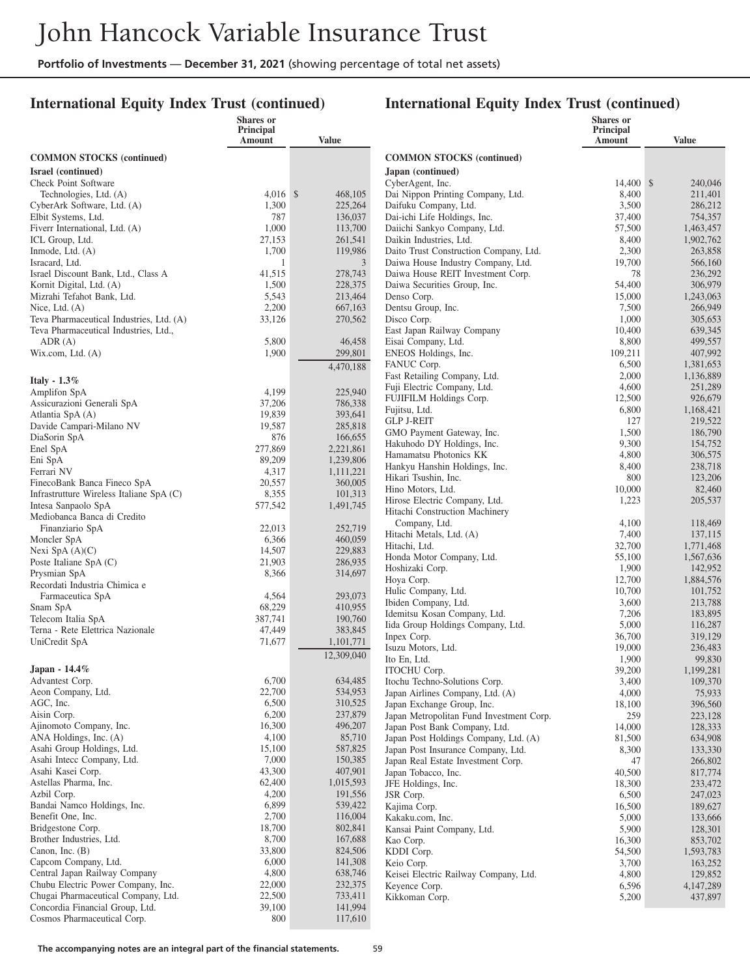## **International Equity Index Trust (continued)**

|                                                                 | Shares or<br>Principal |                      |                                                                   | <b>Shares</b> or<br>Principal |                        |
|-----------------------------------------------------------------|------------------------|----------------------|-------------------------------------------------------------------|-------------------------------|------------------------|
|                                                                 | Amount                 | <b>Value</b>         |                                                                   | Amount                        | <b>Value</b>           |
| <b>COMMON STOCKS</b> (continued)                                |                        |                      | <b>COMMON STOCKS</b> (continued)                                  |                               |                        |
| Israel (continued)                                              |                        |                      | Japan (continued)                                                 |                               |                        |
| <b>Check Point Software</b>                                     |                        |                      | CyberAgent, Inc.                                                  | 14,400 \$                     | 240,046                |
| Technologies, Ltd. (A)                                          | $4,016$ \$             | 468,105              | Dai Nippon Printing Company, Ltd.                                 | 8,400                         | 211,401                |
| CyberArk Software, Ltd. (A)                                     | 1,300                  | 225,264              | Daifuku Company, Ltd.                                             | 3,500                         | 286,212                |
| Elbit Systems, Ltd.                                             | 787                    | 136,037              | Dai-ichi Life Holdings, Inc.                                      | 37,400                        | 754,357                |
| Fiverr International, Ltd. (A)                                  | 1,000                  | 113,700              | Daiichi Sankyo Company, Ltd.                                      | 57,500                        | 1,463,457              |
| ICL Group, Ltd.                                                 | 27,153                 | 261,541              | Daikin Industries, Ltd.                                           | 8,400                         | 1,902,762              |
| Inmode, Ltd. (A)                                                | 1,700                  | 119,986              | Daito Trust Construction Company, Ltd.                            | 2,300                         | 263,858                |
| Isracard, Ltd.                                                  | 1                      | 3                    | Daiwa House Industry Company, Ltd.                                | 19,700                        | 566,160                |
| Israel Discount Bank, Ltd., Class A<br>Kornit Digital, Ltd. (A) | 41,515<br>1,500        | 278,743<br>228,375   | Daiwa House REIT Investment Corp.<br>Daiwa Securities Group, Inc. | 78<br>54,400                  | 236,292<br>306,979     |
| Mizrahi Tefahot Bank, Ltd.                                      | 5,543                  | 213,464              | Denso Corp.                                                       | 15,000                        | 1,243,063              |
| Nice, Ltd. $(A)$                                                | 2,200                  | 667,163              | Dentsu Group, Inc.                                                | 7,500                         | 266,949                |
| Teva Pharmaceutical Industries, Ltd. (A)                        | 33,126                 | 270,562              | Disco Corp.                                                       | 1,000                         | 305,653                |
| Teva Pharmaceutical Industries, Ltd.,                           |                        |                      | East Japan Railway Company                                        | 10,400                        | 639,345                |
| ADR(A)                                                          | 5,800                  | 46,458               | Eisai Company, Ltd.                                               | 8,800                         | 499,557                |
| Wix.com, Ltd. $(A)$                                             | 1,900                  | 299,801              | ENEOS Holdings, Inc.                                              | 109,211                       | 407,992                |
|                                                                 |                        | 4,470,188            | FANUC Corp.                                                       | 6,500                         | 1,381,653              |
| Italy - $1.3\%$                                                 |                        |                      | Fast Retailing Company, Ltd.                                      | 2,000                         | 1,136,889              |
| Amplifon SpA                                                    | 4,199                  | 225,940              | Fuji Electric Company, Ltd.                                       | 4,600                         | 251,289                |
| Assicurazioni Generali SpA                                      | 37,206                 | 786,338              | FUJIFILM Holdings Corp.                                           | 12,500                        | 926,679                |
| Atlantia SpA (A)                                                | 19,839                 | 393,641              | Fujitsu, Ltd.                                                     | 6,800                         | 1,168,421              |
| Davide Campari-Milano NV                                        | 19,587                 | 285,818              | <b>GLP J-REIT</b><br>GMO Payment Gateway, Inc.                    | 127<br>1,500                  | 219,522<br>186,790     |
| DiaSorin SpA                                                    | 876                    | 166,655              | Hakuhodo DY Holdings, Inc.                                        | 9,300                         | 154,752                |
| Enel SpA                                                        | 277,869                | 2,221,861            | Hamamatsu Photonics KK                                            | 4,800                         | 306,575                |
| Eni SpA                                                         | 89,209                 | 1,239,806            | Hankyu Hanshin Holdings, Inc.                                     | 8,400                         | 238,718                |
| Ferrari NV<br>FinecoBank Banca Fineco SpA                       | 4,317<br>20,557        | 1,111,221<br>360,005 | Hikari Tsushin, Inc.                                              | 800                           | 123,206                |
| Infrastrutture Wireless Italiane SpA (C)                        | 8,355                  | 101,313              | Hino Motors, Ltd.                                                 | 10,000                        | 82,460                 |
| Intesa Sanpaolo SpA                                             | 577,542                | 1,491,745            | Hirose Electric Company, Ltd.                                     | 1,223                         | 205,537                |
| Mediobanca Banca di Credito                                     |                        |                      | Hitachi Construction Machinery                                    |                               |                        |
| Finanziario SpA                                                 | 22,013                 | 252,719              | Company, Ltd.                                                     | 4,100                         | 118,469                |
| Moncler SpA                                                     | 6,366                  | 460,059              | Hitachi Metals, Ltd. (A)                                          | 7,400                         | 137,115                |
| Nexi SpA $(A)(C)$                                               | 14,507                 | 229,883              | Hitachi, Ltd.<br>Honda Motor Company, Ltd.                        | 32,700<br>55,100              | 1,771,468<br>1,567,636 |
| Poste Italiane SpA (C)                                          | 21,903                 | 286,935              | Hoshizaki Corp.                                                   | 1,900                         | 142,952                |
| Prysmian SpA                                                    | 8,366                  | 314,697              | Hoya Corp.                                                        | 12,700                        | 1,884,576              |
| Recordati Industria Chimica e                                   |                        |                      | Hulic Company, Ltd.                                               | 10,700                        | 101,752                |
| Farmaceutica SpA<br>Snam SpA                                    | 4,564<br>68,229        | 293,073<br>410,955   | Ibiden Company, Ltd.                                              | 3,600                         | 213,788                |
| Telecom Italia SpA                                              | 387,741                | 190,760              | Idemitsu Kosan Company, Ltd.                                      | 7,206                         | 183,895                |
| Terna - Rete Elettrica Nazionale                                | 47,449                 | 383,845              | Iida Group Holdings Company, Ltd.                                 | 5,000                         | 116,287                |
| UniCredit SpA                                                   | 71,677                 | 1,101,771            | Inpex Corp.                                                       | 36,700                        | 319,129                |
|                                                                 |                        | 12,309,040           | Isuzu Motors, Ltd.                                                | 19,000                        | 236,483                |
| Japan - $14.4\%$                                                |                        |                      | Ito En, Ltd.                                                      | 1,900                         | 99,830                 |
| Advantest Corp.                                                 | 6,700                  | 634,485              | ITOCHU Corp.<br>Itochu Techno-Solutions Corp.                     | 39,200<br>3,400               | 1,199,281<br>109,370   |
| Aeon Company, Ltd.                                              | 22,700                 | 534,953              | Japan Airlines Company, Ltd. (A)                                  | 4,000                         | 75,933                 |
| AGC, Inc.                                                       | 6,500                  | 310,525              | Japan Exchange Group, Inc.                                        | 18,100                        | 396,560                |
| Aisin Corp.                                                     | 6,200                  | 237,879              | Japan Metropolitan Fund Investment Corp.                          | 259                           | 223,128                |
| Ajinomoto Company, Inc.                                         | 16,300                 | 496,207              | Japan Post Bank Company, Ltd.                                     | 14,000                        | 128,333                |
| ANA Holdings, Inc. (A)                                          | 4,100                  | 85,710               | Japan Post Holdings Company, Ltd. (A)                             | 81,500                        | 634,908                |
| Asahi Group Holdings, Ltd.                                      | 15,100                 | 587,825              | Japan Post Insurance Company, Ltd.                                | 8,300                         | 133,330                |
| Asahi Intecc Company, Ltd.                                      | 7,000                  | 150,385              | Japan Real Estate Investment Corp.                                | 47                            | 266,802                |
| Asahi Kasei Corp.<br>Astellas Pharma, Inc.                      | 43,300                 | 407,901              | Japan Tobacco, Inc.                                               | 40,500                        | 817,774                |
| Azbil Corp.                                                     | 62,400<br>4,200        | 1,015,593<br>191,556 | JFE Holdings, Inc.<br>JSR Corp.                                   | 18,300                        | 233,472                |
| Bandai Namco Holdings, Inc.                                     | 6,899                  | 539,422              | Kajima Corp.                                                      | 6,500<br>16,500               | 247,023<br>189,627     |
| Benefit One, Inc.                                               | 2,700                  | 116,004              | Kakaku.com, Inc.                                                  | 5,000                         | 133,666                |
| Bridgestone Corp.                                               | 18,700                 | 802,841              | Kansai Paint Company, Ltd.                                        | 5,900                         | 128,301                |
| Brother Industries, Ltd.                                        | 8,700                  | 167,688              | Kao Corp.                                                         | 16,300                        | 853,702                |
| Canon, Inc. $(B)$                                               | 33,800                 | 824,506              | KDDI Corp.                                                        | 54,500                        | 1,593,783              |
| Capcom Company, Ltd.                                            | 6,000                  | 141,308              | Keio Corp.                                                        | 3,700                         | 163,252                |
| Central Japan Railway Company                                   | 4,800                  | 638,746              | Keisei Electric Railway Company, Ltd.                             | 4,800                         | 129,852                |
| Chubu Electric Power Company, Inc.                              | 22,000                 | 232,375              | Keyence Corp.                                                     | 6,596                         | 4,147,289              |
| Chugai Pharmaceutical Company, Ltd.                             | 22,500                 | 733,411              | Kikkoman Corp.                                                    | 5,200                         | 437,897                |
| Concordia Financial Group, Ltd.<br>Cosmos Pharmaceutical Corp.  | 39,100<br>800          | 141,994<br>117,610   |                                                                   |                               |                        |
|                                                                 |                        |                      |                                                                   |                               |                        |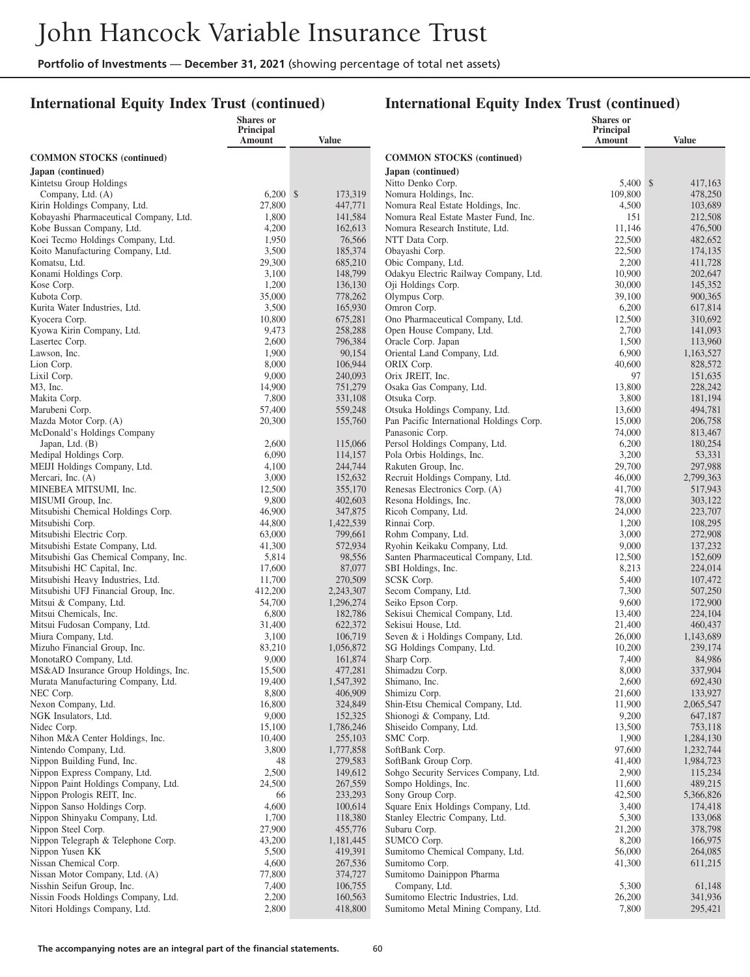### **International Equity Index Trust (continued)**

|                                                                        | <b>Shares</b> or<br>Principal |                      |                                                               | <b>Shares</b> or<br>Principal |                      |
|------------------------------------------------------------------------|-------------------------------|----------------------|---------------------------------------------------------------|-------------------------------|----------------------|
|                                                                        | Amount                        | Value                |                                                               | Amount                        | <b>Value</b>         |
| <b>COMMON STOCKS</b> (continued)                                       |                               |                      | <b>COMMON STOCKS</b> (continued)                              |                               |                      |
| Japan (continued)                                                      |                               |                      | Japan (continued)                                             |                               |                      |
| Kintetsu Group Holdings                                                |                               |                      | Nitto Denko Corp.                                             | 5,400 \$                      | 417,163              |
| Company, Ltd. (A)                                                      | $6,200$ \$                    | 173,319              | Nomura Holdings, Inc.                                         | 109,800                       | 478,250              |
| Kirin Holdings Company, Ltd.                                           | 27,800                        | 447,771              | Nomura Real Estate Holdings, Inc.                             | 4,500                         | 103,689              |
| Kobayashi Pharmaceutical Company, Ltd.                                 | 1,800                         | 141,584              | Nomura Real Estate Master Fund, Inc.                          | 151                           | 212,508              |
| Kobe Bussan Company, Ltd.                                              | 4,200                         | 162,613              | Nomura Research Institute, Ltd.                               | 11,146                        | 476,500              |
| Koei Tecmo Holdings Company, Ltd.<br>Koito Manufacturing Company, Ltd. | 1,950<br>3,500                | 76,566<br>185,374    | NTT Data Corp.<br>Obayashi Corp.                              | 22,500<br>22,500              | 482,652<br>174,135   |
| Komatsu, Ltd.                                                          | 29,300                        | 685,210              | Obic Company, Ltd.                                            | 2,200                         | 411,728              |
| Konami Holdings Corp.                                                  | 3,100                         | 148,799              | Odakyu Electric Railway Company, Ltd.                         | 10,900                        | 202,647              |
| Kose Corp.                                                             | 1,200                         | 136,130              | Oji Holdings Corp.                                            | 30,000                        | 145,352              |
| Kubota Corp.                                                           | 35,000                        | 778,262              | Olympus Corp.                                                 | 39,100                        | 900,365              |
| Kurita Water Industries, Ltd.                                          | 3,500                         | 165,930              | Omron Corp.                                                   | 6,200                         | 617,814              |
| Kyocera Corp.                                                          | 10,800                        | 675,281              | Ono Pharmaceutical Company, Ltd.                              | 12,500                        | 310,692              |
| Kyowa Kirin Company, Ltd.                                              | 9,473                         | 258,288              | Open House Company, Ltd.<br>Oracle Corp. Japan                | 2,700                         | 141,093              |
| Lasertec Corp.<br>Lawson, Inc.                                         | 2,600<br>1,900                | 796,384<br>90,154    | Oriental Land Company, Ltd.                                   | 1,500<br>6,900                | 113,960<br>1,163,527 |
| Lion Corp.                                                             | 8,000                         | 106,944              | ORIX Corp.                                                    | 40,600                        | 828,572              |
| Lixil Corp.                                                            | 9,000                         | 240,093              | Orix JREIT, Inc.                                              | 97                            | 151,635              |
| M3, Inc.                                                               | 14,900                        | 751,279              | Osaka Gas Company, Ltd.                                       | 13,800                        | 228,242              |
| Makita Corp.                                                           | 7,800                         | 331,108              | Otsuka Corp.                                                  | 3,800                         | 181,194              |
| Marubeni Corp.                                                         | 57,400                        | 559,248              | Otsuka Holdings Company, Ltd.                                 | 13,600                        | 494,781              |
| Mazda Motor Corp. (A)                                                  | 20,300                        | 155,760              | Pan Pacific International Holdings Corp.                      | 15,000                        | 206,758              |
| McDonald's Holdings Company                                            |                               |                      | Panasonic Corp.                                               | 74,000                        | 813,467              |
| Japan, Ltd. (B)<br>Medipal Holdings Corp.                              | 2,600<br>6,090                | 115,066<br>114,157   | Persol Holdings Company, Ltd.<br>Pola Orbis Holdings, Inc.    | 6,200<br>3,200                | 180,254<br>53,331    |
| MEIJI Holdings Company, Ltd.                                           | 4,100                         | 244,744              | Rakuten Group, Inc.                                           | 29,700                        | 297,988              |
| Mercari, Inc. (A)                                                      | 3,000                         | 152,632              | Recruit Holdings Company, Ltd.                                | 46,000                        | 2,799,363            |
| MINEBEA MITSUMI, Inc.                                                  | 12,500                        | 355,170              | Renesas Electronics Corp. (A)                                 | 41,700                        | 517,943              |
| MISUMI Group, Inc.                                                     | 9,800                         | 402,603              | Resona Holdings, Inc.                                         | 78,000                        | 303,122              |
| Mitsubishi Chemical Holdings Corp.                                     | 46,900                        | 347,875              | Ricoh Company, Ltd.                                           | 24,000                        | 223,707              |
| Mitsubishi Corp.                                                       | 44,800                        | 1,422,539            | Rinnai Corp.                                                  | 1,200                         | 108,295              |
| Mitsubishi Electric Corp.<br>Mitsubishi Estate Company, Ltd.           | 63,000<br>41,300              | 799,661<br>572,934   | Rohm Company, Ltd.<br>Ryohin Keikaku Company, Ltd.            | 3,000<br>9,000                | 272,908<br>137,232   |
| Mitsubishi Gas Chemical Company, Inc.                                  | 5,814                         | 98,556               | Santen Pharmaceutical Company, Ltd.                           | 12,500                        | 152,609              |
| Mitsubishi HC Capital, Inc.                                            | 17,600                        | 87,077               | SBI Holdings, Inc.                                            | 8,213                         | 224,014              |
| Mitsubishi Heavy Industries, Ltd.                                      | 11,700                        | 270,509              | SCSK Corp.                                                    | 5,400                         | 107,472              |
| Mitsubishi UFJ Financial Group, Inc.                                   | 412,200                       | 2,243,307            | Secom Company, Ltd.                                           | 7,300                         | 507,250              |
| Mitsui & Company, Ltd.                                                 | 54,700                        | 1,296,274            | Seiko Epson Corp.                                             | 9,600                         | 172,900              |
| Mitsui Chemicals, Inc.                                                 | 6,800                         | 182,786              | Sekisui Chemical Company, Ltd.                                | 13,400                        | 224,104              |
| Mitsui Fudosan Company, Ltd.                                           | 31,400                        | 622,372              | Sekisui House, Ltd.                                           | 21,400                        | 460,437              |
| Miura Company, Ltd.<br>Mizuho Financial Group, Inc.                    | 3,100<br>83,210               | 106,719<br>1,056,872 | Seven & i Holdings Company, Ltd.<br>SG Holdings Company, Ltd. | 26,000<br>10,200              | 1,143,689<br>239,174 |
| MonotaRO Company, Ltd.                                                 | 9,000                         | 161,874              | Sharp Corp.                                                   | 7,400                         | 84,986               |
| MS&AD Insurance Group Holdings, Inc.                                   | 15,500                        | 477,281              | Shimadzu Corp.                                                | 8,000                         | 337,904              |
| Murata Manufacturing Company, Ltd.                                     | 19,400                        | 1,547,392            | Shimano, Inc.                                                 | 2,600                         | 692,430              |
| NEC Corp.                                                              | 8,800                         | 406,909              | Shimizu Corp.                                                 | 21,600                        | 133,927              |
| Nexon Company, Ltd.                                                    | 16,800                        | 324,849              | Shin-Etsu Chemical Company, Ltd.                              | 11,900                        | 2,065,547            |
| NGK Insulators, Ltd.                                                   | 9,000                         | 152,325              | Shionogi & Company, Ltd.                                      | 9,200                         | 647,187              |
| Nidec Corp.<br>Nihon M&A Center Holdings, Inc.                         | 15,100<br>10,400              | 1,786,246<br>255,103 | Shiseido Company, Ltd.<br>SMC Corp.                           | 13,500<br>1,900               | 753,118<br>1,284,130 |
| Nintendo Company, Ltd.                                                 | 3,800                         | 1,777,858            | SoftBank Corp.                                                | 97,600                        | 1,232,744            |
| Nippon Building Fund, Inc.                                             | 48                            | 279,583              | SoftBank Group Corp.                                          | 41,400                        | 1,984,723            |
| Nippon Express Company, Ltd.                                           | 2,500                         | 149,612              | Sohgo Security Services Company, Ltd.                         | 2,900                         | 115,234              |
| Nippon Paint Holdings Company, Ltd.                                    | 24,500                        | 267,559              | Sompo Holdings, Inc.                                          | 11,600                        | 489,215              |
| Nippon Prologis REIT, Inc.                                             | 66                            | 233,293              | Sony Group Corp.                                              | 42,500                        | 5,366,826            |
| Nippon Sanso Holdings Corp.                                            | 4,600                         | 100,614              | Square Enix Holdings Company, Ltd.                            | 3,400                         | 174,418              |
| Nippon Shinyaku Company, Ltd.                                          | 1,700                         | 118,380              | Stanley Electric Company, Ltd.                                | 5,300                         | 133,068              |
| Nippon Steel Corp.                                                     | 27,900                        | 455,776              | Subaru Corp.                                                  | 21,200                        | 378,798              |
| Nippon Telegraph & Telephone Corp.<br>Nippon Yusen KK                  | 43,200<br>5,500               | 1,181,445<br>419,391 | SUMCO Corp.<br>Sumitomo Chemical Company, Ltd.                | 8,200<br>56,000               | 166,975<br>264,085   |
| Nissan Chemical Corp.                                                  | 4,600                         | 267,536              | Sumitomo Corp.                                                | 41,300                        | 611,215              |
| Nissan Motor Company, Ltd. (A)                                         | 77,800                        | 374,727              | Sumitomo Dainippon Pharma                                     |                               |                      |
| Nisshin Seifun Group, Inc.                                             | 7,400                         | 106,755              | Company, Ltd.                                                 | 5,300                         | 61,148               |
| Nissin Foods Holdings Company, Ltd.                                    | 2,200                         | 160,563              | Sumitomo Electric Industries, Ltd.                            | 26,200                        | 341,936              |
| Nitori Holdings Company, Ltd.                                          | 2,800                         | 418,800              | Sumitomo Metal Mining Company, Ltd.                           | 7,800                         | 295,421              |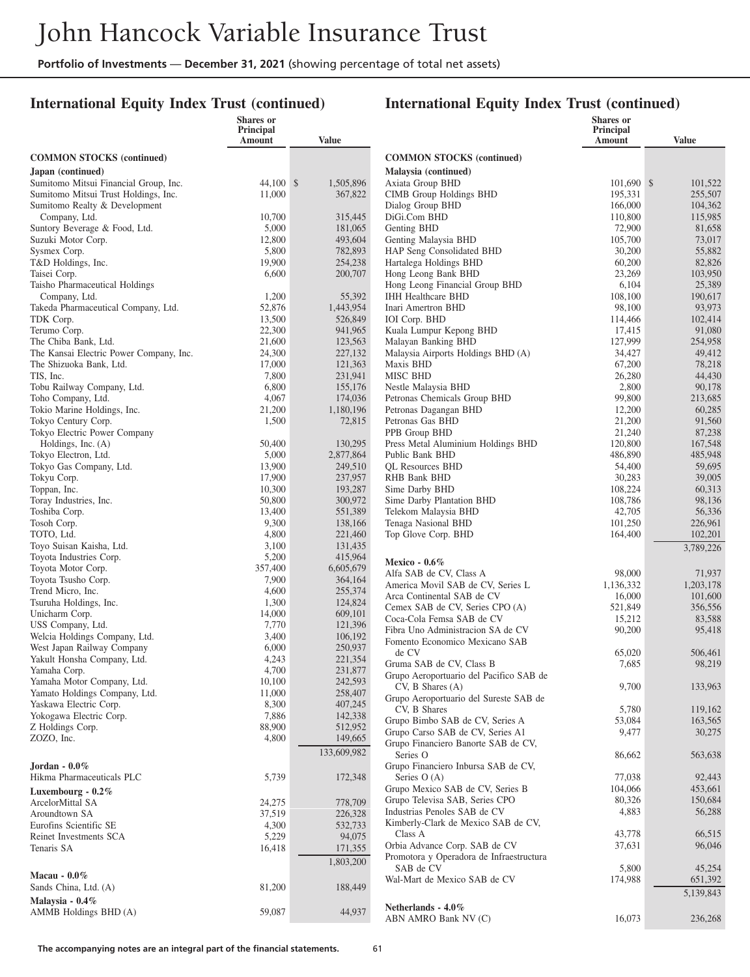#### **International Equity Index Trust (continued)**

|                                                    | <b>Shares</b> or<br>Principal<br>Amount | <b>Value</b>         |                                                                    | <b>Shares</b> or<br>Principal<br>Amount | Value              |
|----------------------------------------------------|-----------------------------------------|----------------------|--------------------------------------------------------------------|-----------------------------------------|--------------------|
| <b>COMMON STOCKS</b> (continued)                   |                                         |                      | <b>COMMON STOCKS</b> (continued)                                   |                                         |                    |
| Japan (continued)                                  |                                         |                      | Malaysia (continued)                                               |                                         |                    |
| Sumitomo Mitsui Financial Group, Inc.              | 44,100 \$                               | 1,505,896            | Axiata Group BHD                                                   | $101,690$ \$                            | 101,522            |
| Sumitomo Mitsui Trust Holdings, Inc.               | 11,000                                  | 367,822              | <b>CIMB Group Holdings BHD</b>                                     | 195,331                                 | 255,507            |
| Sumitomo Realty & Development                      |                                         |                      | Dialog Group BHD                                                   | 166,000                                 | 104,362            |
| Company, Ltd.<br>Suntory Beverage & Food, Ltd.     | 10,700<br>5,000                         | 315,445              | DiGi.Com BHD                                                       | 110,800<br>72,900                       | 115,985            |
| Suzuki Motor Corp.                                 | 12,800                                  | 181,065<br>493,604   | Genting BHD<br>Genting Malaysia BHD                                | 105,700                                 | 81,658<br>73,017   |
| Sysmex Corp.                                       | 5,800                                   | 782,893              | HAP Seng Consolidated BHD                                          | 30,200                                  | 55,882             |
| T&D Holdings, Inc.                                 | 19,900                                  | 254,238              | Hartalega Holdings BHD                                             | 60,200                                  | 82,826             |
| Taisei Corp.                                       | 6,600                                   | 200,707              | Hong Leong Bank BHD                                                | 23,269                                  | 103,950            |
| Taisho Pharmaceutical Holdings                     |                                         |                      | Hong Leong Financial Group BHD                                     | 6,104                                   | 25,389             |
| Company, Ltd.                                      | 1,200                                   | 55,392               | <b>IHH Healthcare BHD</b>                                          | 108,100                                 | 190,617            |
| Takeda Pharmaceutical Company, Ltd.<br>TDK Corp.   | 52,876<br>13,500                        | 1,443,954<br>526,849 | Inari Amertron BHD<br>IOI Corp. BHD                                | 98,100<br>114,466                       | 93,973<br>102,414  |
| Terumo Corp.                                       | 22,300                                  | 941,965              | Kuala Lumpur Kepong BHD                                            | 17,415                                  | 91,080             |
| The Chiba Bank, Ltd.                               | 21,600                                  | 123,563              | Malayan Banking BHD                                                | 127,999                                 | 254,958            |
| The Kansai Electric Power Company, Inc.            | 24,300                                  | 227,132              | Malaysia Airports Holdings BHD (A)                                 | 34,427                                  | 49,412             |
| The Shizuoka Bank, Ltd.                            | 17,000                                  | 121,363              | Maxis BHD                                                          | 67,200                                  | 78,218             |
| TIS, Inc.                                          | 7,800                                   | 231,941              | MISC BHD                                                           | 26,280                                  | 44,430             |
| Tobu Railway Company, Ltd.                         | 6,800                                   | 155,176              | Nestle Malaysia BHD                                                | 2,800                                   | 90,178             |
| Toho Company, Ltd.                                 | 4,067<br>21,200                         | 174,036<br>1,180,196 | Petronas Chemicals Group BHD<br>Petronas Dagangan BHD              | 99,800                                  | 213,685            |
| Tokio Marine Holdings, Inc.<br>Tokyo Century Corp. | 1,500                                   | 72,815               | Petronas Gas BHD                                                   | 12,200<br>21,200                        | 60,285<br>91,560   |
| Tokyo Electric Power Company                       |                                         |                      | PPB Group BHD                                                      | 21,240                                  | 87,238             |
| Holdings, Inc. (A)                                 | 50,400                                  | 130,295              | Press Metal Aluminium Holdings BHD                                 | 120,800                                 | 167,548            |
| Tokyo Electron, Ltd.                               | 5,000                                   | 2,877,864            | Public Bank BHD                                                    | 486,890                                 | 485,948            |
| Tokyo Gas Company, Ltd.                            | 13,900                                  | 249,510              | <b>QL Resources BHD</b>                                            | 54,400                                  | 59,695             |
| Tokyu Corp.                                        | 17,900                                  | 237,957              | RHB Bank BHD                                                       | 30,283                                  | 39,005             |
| Toppan, Inc.<br>Toray Industries, Inc.             | 10,300<br>50,800                        | 193,287<br>300,972   | Sime Darby BHD<br>Sime Darby Plantation BHD                        | 108,224<br>108,786                      | 60,313<br>98,136   |
| Toshiba Corp.                                      | 13,400                                  | 551,389              | Telekom Malaysia BHD                                               | 42,705                                  | 56,336             |
| Tosoh Corp.                                        | 9,300                                   | 138,166              | Tenaga Nasional BHD                                                | 101,250                                 | 226,961            |
| TOTO, Ltd.                                         | 4,800                                   | 221,460              | Top Glove Corp. BHD                                                | 164,400                                 | 102,201            |
| Toyo Suisan Kaisha, Ltd.                           | 3,100                                   | 131,435              |                                                                    |                                         | 3,789,226          |
| Toyota Industries Corp.                            | 5,200                                   | 415,964              | Mexico - $0.6\%$                                                   |                                         |                    |
| Toyota Motor Corp.                                 | 357,400                                 | 6,605,679            | Alfa SAB de CV, Class A                                            | 98,000                                  | 71,937             |
| Toyota Tsusho Corp.<br>Trend Micro, Inc.           | 7,900<br>4,600                          | 364,164<br>255,374   | America Movil SAB de CV, Series L                                  | 1,136,332                               | 1,203,178          |
| Tsuruha Holdings, Inc.                             | 1,300                                   | 124,824              | Arca Continental SAB de CV                                         | 16,000                                  | 101,600            |
| Unicharm Corp.                                     | 14,000                                  | 609,101              | Cemex SAB de CV, Series CPO (A)                                    | 521,849                                 | 356,556            |
| USS Company, Ltd.                                  | 7,770                                   | 121,396              | Coca-Cola Femsa SAB de CV<br>Fibra Uno Administracion SA de CV     | 15,212<br>90,200                        | 83,588<br>95,418   |
| Welcia Holdings Company, Ltd.                      | 3,400                                   | 106,192              | Fomento Economico Mexicano SAB                                     |                                         |                    |
| West Japan Railway Company                         | 6,000                                   | 250,937              | de CV                                                              | 65,020                                  | 506,461            |
| Yakult Honsha Company, Ltd.                        | 4,243                                   | 221,354              | Gruma SAB de CV, Class B                                           | 7,685                                   | 98,219             |
| Yamaha Corp.<br>Yamaha Motor Company, Ltd.         | 4,700<br>10,100                         | 231,877<br>242,593   | Grupo Aeroportuario del Pacifico SAB de                            |                                         |                    |
| Yamato Holdings Company, Ltd.                      | 11,000                                  | 258,407              | CV, B Shares (A)                                                   | 9,700                                   | 133,963            |
| Yaskawa Electric Corp.                             | 8,300                                   | 407,245              | Grupo Aeroportuario del Sureste SAB de<br>CV, B Shares             | 5,780                                   |                    |
| Yokogawa Electric Corp.                            | 7,886                                   | 142,338              | Grupo Bimbo SAB de CV, Series A                                    | 53,084                                  | 119,162<br>163,565 |
| Z Holdings Corp.                                   | 88,900                                  | 512,952              | Grupo Carso SAB de CV, Series A1                                   | 9,477                                   | 30,275             |
| ZOZO, Inc.                                         | 4,800                                   | 149,665              | Grupo Financiero Banorte SAB de CV,                                |                                         |                    |
|                                                    |                                         | 133,609,982          | Series O                                                           | 86,662                                  | 563,638            |
| Jordan - $0.0\%$                                   |                                         |                      | Grupo Financiero Inbursa SAB de CV,                                |                                         |                    |
| Hikma Pharmaceuticals PLC                          | 5,739                                   | 172,348              | Series $O(A)$                                                      | 77,038                                  | 92,443             |
| Luxembourg - $0.2\%$                               |                                         |                      | Grupo Mexico SAB de CV, Series B<br>Grupo Televisa SAB, Series CPO | 104,066<br>80,326                       | 453,661<br>150,684 |
| ArcelorMittal SA                                   | 24,275                                  | 778,709              | Industrias Penoles SAB de CV                                       | 4,883                                   | 56,288             |
| Aroundtown SA<br>Eurofins Scientific SE            | 37,519<br>4,300                         | 226,328<br>532,733   | Kimberly-Clark de Mexico SAB de CV,                                |                                         |                    |
| Reinet Investments SCA                             | 5,229                                   | 94,075               | Class A                                                            | 43,778                                  | 66,515             |
| Tenaris SA                                         | 16,418                                  | 171,355              | Orbia Advance Corp. SAB de CV                                      | 37,631                                  | 96,046             |
|                                                    |                                         | 1,803,200            | Promotora y Operadora de Infraestructura                           |                                         |                    |
| Macau - $0.0\%$                                    |                                         |                      | SAB de CV                                                          | 5,800                                   | 45,254             |
| Sands China, Ltd. (A)                              | 81,200                                  | 188,449              | Wal-Mart de Mexico SAB de CV                                       | 174,988                                 | 651,392            |
| Malaysia - $0.4\%$                                 |                                         |                      |                                                                    |                                         | 5,139,843          |
| AMMB Holdings BHD (A)                              | 59,087                                  | 44,937               | Netherlands - 4.0%<br>ABN AMRO Bank NV (C)                         | 16,073                                  | 236,268            |
|                                                    |                                         |                      |                                                                    |                                         |                    |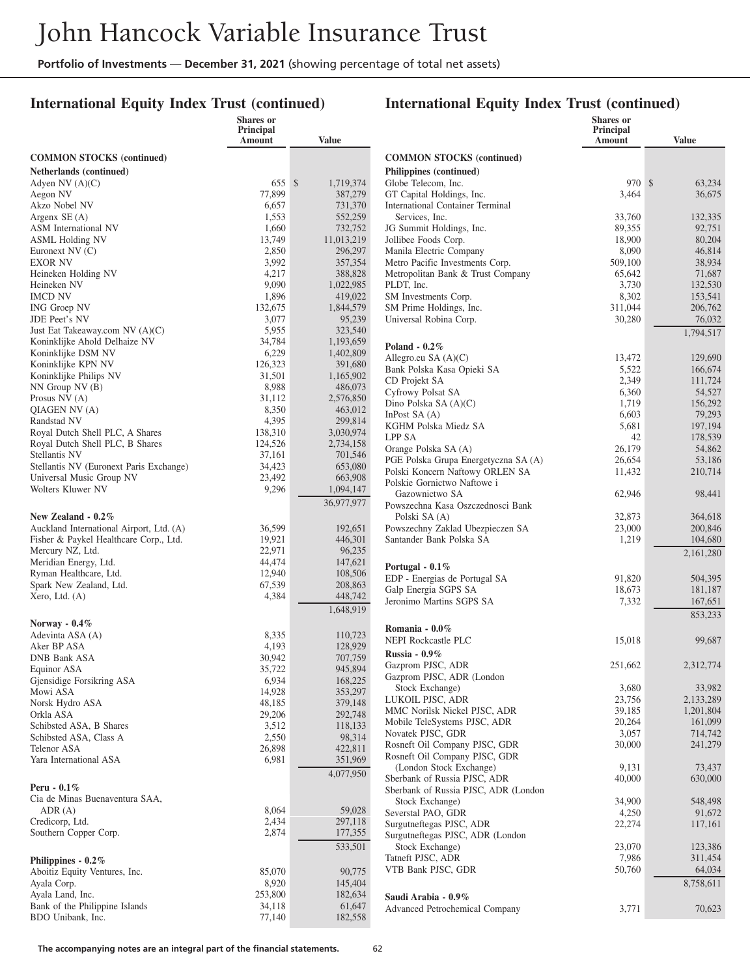#### **International Equity Index Trust (continued)**

|                                                   | Shares or<br><b>Principal</b><br>Amount | <b>Value</b>         |
|---------------------------------------------------|-----------------------------------------|----------------------|
| <b>COMMON STOCKS (continued)</b>                  |                                         |                      |
| Netherlands (continued)                           |                                         |                      |
| Adyen NV $(A)(C)$                                 | 655                                     | \$<br>1,719,374      |
| Aegon NV<br>Akzo Nobel NV                         | 77,899<br>6,657                         | 387,279<br>731,370   |
| Argenx SE (A)                                     | 1,553                                   | 552,259              |
| ASM International NV                              | 1,660                                   | 732,752              |
| ASML Holding NV                                   | 13,749<br>2,850                         | 11,013,219           |
| Euronext NV (C)<br><b>EXOR NV</b>                 | 3,992                                   | 296,297<br>357,354   |
| Heineken Holding NV                               | 4,217                                   | 388,828              |
| Heineken NV                                       | 9,090                                   | 1,022,985            |
| <b>IMCD NV</b><br>ING Groep NV                    | 1,896<br>132,675                        | 419,022<br>1,844,579 |
| JDE Peet's NV                                     | 3,077                                   | 95,239               |
| Just Eat Takeaway.com NV (A)(C)                   | 5,955                                   | 323,540              |
| Koninklijke Ahold Delhaize NV                     | 34,784                                  | 1,193,659            |
| Koninklijke DSM NV                                | 6,229                                   | 1,402,809            |
| Koninklijke KPN NV<br>Koninklijke Philips NV      | 126,323<br>31,501                       | 391,680<br>1,165,902 |
| $NN$ Group $NV$ (B)                               | 8,988                                   | 486,073              |
| Prosus NV (A)                                     | 31,112                                  | 2,576,850            |
| QIAGEN NV (A)                                     | 8,350                                   | 463,012              |
| Randstad NV<br>Royal Dutch Shell PLC, A Shares    | 4,395<br>138,310                        | 299,814<br>3,030,974 |
| Royal Dutch Shell PLC, B Shares                   | 124,526                                 | 2,734,158            |
| Stellantis NV                                     | 37,161                                  | 701,546              |
| Stellantis NV (Euronext Paris Exchange)           | 34,423                                  | 653,080              |
| Universal Music Group NV                          | 23,492                                  | 663,908              |
| Wolters Kluwer NV                                 | 9,296                                   | 1,094,147            |
| New Zealand $-0.2\%$                              |                                         | 36,977,977           |
| Auckland International Airport, Ltd. (A)          | 36,599                                  | 192,651              |
| Fisher & Paykel Healthcare Corp., Ltd.            | 19,921                                  | 446,301              |
| Mercury NZ, Ltd.                                  | 22,971                                  | 96,235               |
| Meridian Energy, Ltd.                             | 44,474                                  | 147,621              |
| Ryman Healthcare, Ltd.<br>Spark New Zealand, Ltd. | 12,940<br>67,539                        | 108,506<br>208,863   |
| Xero, Ltd. (A)                                    | 4,384                                   | 448,742              |
|                                                   |                                         | 1,648,919            |
| Norway - $0.4\%$                                  |                                         |                      |
| Adevinta ASA (A)                                  | 8,335                                   | 110,723              |
| Aker BP ASA<br>DNB Bank ASA                       | 4,193                                   | 128,929              |
| Equinor ASA                                       | 30,942<br>35,722                        | 707,759<br>945,894   |
| Gjensidige Forsikring ASA                         | 6,934                                   | 168,225              |
| Mowi ASA                                          | 14,928                                  | 353,297              |
| Norsk Hydro ASA                                   | 48,185                                  | 379,148              |
| Orkla ASA<br>Schibsted ASA, B Shares              | 29,206<br>3,512                         | 292,748<br>118,133   |
| Schibsted ASA, Class A                            | 2,550                                   | 98,314               |
| Telenor ASA                                       | 26,898                                  | 422,811              |
| Yara International ASA                            | 6,981                                   | 351,969              |
|                                                   |                                         | 4,077,950            |
| Peru - $0.1\%$<br>Cia de Minas Buenaventura SAA,  |                                         |                      |
| ADR (A)                                           | 8,064                                   | 59,028               |
| Credicorp, Ltd.                                   | 2,434                                   | 297,118              |
| Southern Copper Corp.                             | 2,874                                   | 177,355              |
|                                                   |                                         | 533,501              |
| Philippines - 0.2%                                |                                         |                      |
| Aboitiz Equity Ventures, Inc.                     | 85,070                                  | 90,775               |
| Ayala Corp.<br>Ayala Land, Inc.                   | 8,920<br>253,800                        | 145,404<br>182,634   |
| Bank of the Philippine Islands                    | 34,118                                  | 61,647               |
| BDO Unibank, Inc.                                 | 77,140                                  | 182,558              |

|                                                                | Shares or<br><b>Principal</b><br>Amount | <b>Value</b>       |
|----------------------------------------------------------------|-----------------------------------------|--------------------|
| <b>COMMON STOCKS</b> (continued)                               |                                         |                    |
| Philippines (continued)                                        |                                         |                    |
| Globe Telecom, Inc.<br>GT Capital Holdings, Inc.               | 970 \$<br>3,464                         | 63,234<br>36,675   |
| <b>International Container Terminal</b>                        |                                         |                    |
| Services, Inc.                                                 | 33,760                                  | 132,335            |
| JG Summit Holdings, Inc.                                       | 89,355                                  | 92,751             |
| Jollibee Foods Corp.                                           | 18,900                                  | 80,204             |
| Manila Electric Company                                        | 8,090                                   | 46,814             |
| Metro Pacific Investments Corp.                                | 509,100                                 | 38,934             |
| Metropolitan Bank & Trust Company<br>PLDT, Inc.                | 65,642                                  | 71,687<br>132,530  |
| SM Investments Corp.                                           | 3,730<br>8,302                          | 153,541            |
| SM Prime Holdings, Inc.                                        | 311,044                                 | 206,762            |
| Universal Robina Corp.                                         | 30,280                                  | 76,032             |
|                                                                |                                         | 1,794,517          |
| Poland - $0.2\%$                                               |                                         |                    |
| Allegro.eu SA $(A)(C)$                                         | 13,472                                  | 129,690            |
| Bank Polska Kasa Opieki SA<br>CD Projekt SA                    | 5,522<br>2,349                          | 166,674<br>111,724 |
| Cyfrowy Polsat SA                                              | 6,360                                   | 54,527             |
| Dino Polska SA $(A)(C)$                                        | 1,719                                   | 156,292            |
| In Post $SA(A)$                                                | 6,603                                   | 79,293             |
| KGHM Polska Miedz SA                                           | 5,681                                   | 197,194            |
| LPP SA                                                         | 42                                      | 178,539            |
| Orange Polska SA (A)                                           | 26,179                                  | 54,862             |
| PGE Polska Grupa Energetyczna SA (A)                           | 26,654                                  | 53,186             |
| Polski Koncern Naftowy ORLEN SA<br>Polskie Gornictwo Naftowe i | 11,432                                  | 210,714            |
| Gazownictwo SA                                                 | 62,946                                  | 98,441             |
| Powszechna Kasa Oszczednosci Bank<br>Polski SA (A)             | 32,873                                  | 364,618            |
| Powszechny Zaklad Ubezpieczen SA                               | 23,000                                  | 200,846            |
| Santander Bank Polska SA                                       | 1,219                                   | 104,680            |
|                                                                |                                         | 2,161,280          |
| Portugal - $0.1\%$                                             |                                         |                    |
| EDP - Energias de Portugal SA<br>Galp Energia SGPS SA          | 91,820                                  | 504,395            |
| Jeronimo Martins SGPS SA                                       | 18,673<br>7,332                         | 181,187<br>167,651 |
|                                                                |                                         | 853,233            |
| Romania - 0.0%                                                 |                                         |                    |
| <b>NEPI Rockcastle PLC</b>                                     | 15,018                                  | 99,687             |
| Russia - $0.9\%$                                               |                                         |                    |
| Gazprom PJSC, ADR<br>Gazprom PJSC, ADR (London                 | 251,662                                 | 2,312,774          |
| Stock Exchange)                                                | 3,680                                   | 33,982             |
| LUKOIL PJSC, ADR                                               | 23,756                                  | 2,133,289          |
| MMC Norilsk Nickel PJSC, ADR                                   | 39,185                                  | 1,201,804          |
| Mobile TeleSystems PJSC, ADR                                   | 20,264                                  | 161,099            |
| Novatek PJSC, GDR                                              | 3,057                                   | 714,742            |
| Rosneft Oil Company PJSC, GDR                                  | 30,000                                  | 241,279            |
| Rosneft Oil Company PJSC, GDR                                  |                                         |                    |
| (London Stock Exchange)<br>Sberbank of Russia PJSC, ADR        | 9,131<br>40,000                         | 73,437<br>630,000  |
| Sberbank of Russia PJSC, ADR (London                           |                                         |                    |
| Stock Exchange)                                                | 34,900                                  | 548,498            |
| Severstal PAO, GDR                                             | 4,250                                   | 91,672             |
| Surgutneftegas PJSC, ADR                                       | 22,274                                  | 117,161            |
| Surgutneftegas PJSC, ADR (London                               |                                         |                    |
| Stock Exchange)                                                | 23,070                                  | 123,386            |
| Tatneft PJSC, ADR                                              | 7,986                                   | 311,454            |
| VTB Bank PJSC, GDR                                             | 50,760                                  | 64,034             |
| Saudi Arabia - 0.9%                                            |                                         | 8,758,611          |
| Advanced Petrochemical Company                                 | 3,771                                   | 70,623             |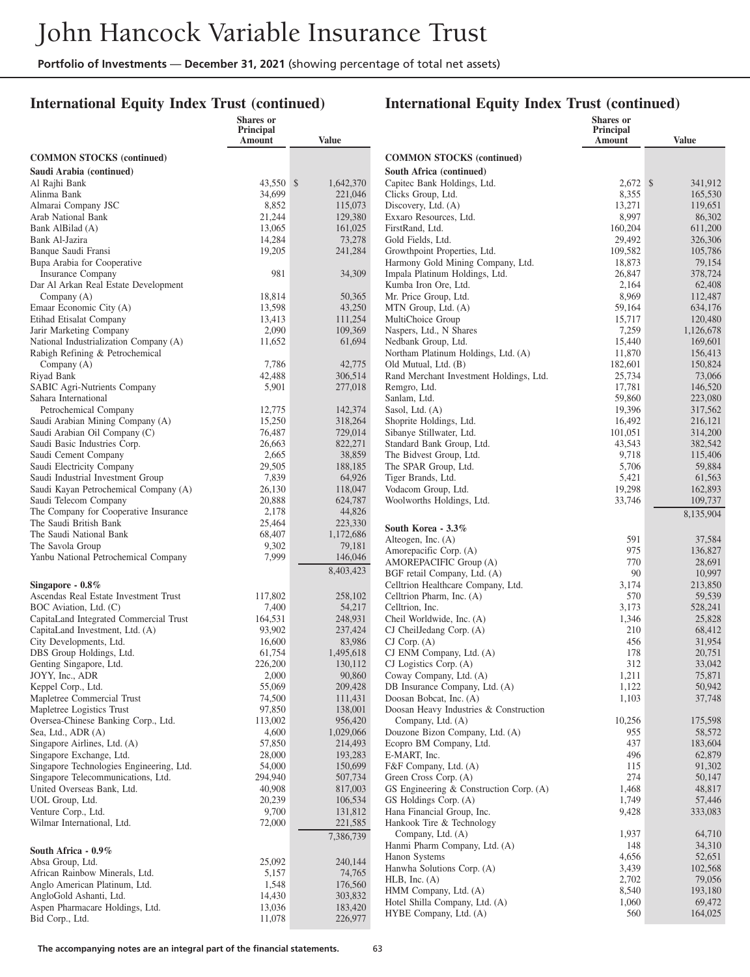#### **International Equity Index Trust (continued)**

|                                                                                | <b>Shares</b> or<br>Principal |                    |                                                          | <b>Shares</b> or<br>Principal |                    |
|--------------------------------------------------------------------------------|-------------------------------|--------------------|----------------------------------------------------------|-------------------------------|--------------------|
|                                                                                | Amount                        | <b>Value</b>       |                                                          | Amount                        | <b>Value</b>       |
| <b>COMMON STOCKS</b> (continued)                                               |                               |                    | <b>COMMON STOCKS (continued)</b>                         |                               |                    |
| Saudi Arabia (continued)                                                       |                               |                    | South Africa (continued)                                 |                               |                    |
| Al Rajhi Bank                                                                  | 43,550 \$                     | 1,642,370          | Capitec Bank Holdings, Ltd.                              | $2,672$ \$                    | 341,912            |
| Alinma Bank                                                                    | 34,699                        | 221,046            | Clicks Group, Ltd.                                       | 8,355                         | 165,530            |
| Almarai Company JSC                                                            | 8,852                         | 115,073            | Discovery, Ltd. (A)                                      | 13,271                        | 119.651            |
| Arab National Bank                                                             | 21,244                        | 129,380            | Exxaro Resources, Ltd.                                   | 8,997                         | 86,302             |
| Bank AlBilad (A)                                                               | 13,065                        | 161,025            | FirstRand, Ltd.                                          | 160,204                       | 611,200            |
| Bank Al-Jazira                                                                 | 14,284                        | 73,278             | Gold Fields, Ltd.                                        | 29,492                        | 326,306            |
| Banque Saudi Fransi                                                            | 19,205                        | 241,284            | Growthpoint Properties, Ltd.                             | 109,582                       | 105,786            |
| Bupa Arabia for Cooperative                                                    |                               |                    | Harmony Gold Mining Company, Ltd.                        | 18,873                        | 79,154             |
| Insurance Company<br>Dar Al Arkan Real Estate Development                      | 981                           | 34,309             | Impala Platinum Holdings, Ltd.<br>Kumba Iron Ore, Ltd.   | 26,847<br>2,164               | 378,724<br>62,408  |
| Company (A)                                                                    | 18,814                        | 50,365             | Mr. Price Group, Ltd.                                    | 8,969                         | 112,487            |
| Emaar Economic City (A)                                                        | 13,598                        | 43,250             | MTN Group, Ltd. (A)                                      | 59,164                        | 634,176            |
| Etihad Etisalat Company                                                        | 13,413                        | 111,254            | MultiChoice Group                                        | 15,717                        | 120,480            |
| Jarir Marketing Company                                                        | 2,090                         | 109,369            | Naspers, Ltd., N Shares                                  | 7,259                         | 1,126,678          |
| National Industrialization Company (A)                                         | 11,652                        | 61,694             | Nedbank Group, Ltd.                                      | 15,440                        | 169,601            |
| Rabigh Refining & Petrochemical                                                |                               |                    | Northam Platinum Holdings, Ltd. (A)                      | 11,870                        | 156,413            |
| Company (A)                                                                    | 7,786                         | 42,775             | Old Mutual, Ltd. (B)                                     | 182,601                       | 150,824            |
| Riyad Bank                                                                     | 42,488                        | 306,514            | Rand Merchant Investment Holdings, Ltd.                  | 25,734                        | 73,066             |
| SABIC Agri-Nutrients Company                                                   | 5,901                         | 277,018            | Remgro, Ltd.                                             | 17,781                        | 146,520            |
| Sahara International                                                           |                               |                    | Sanlam, Ltd.                                             | 59,860                        | 223,080            |
| Petrochemical Company                                                          | 12,775                        | 142,374            | Sasol, Ltd. (A)                                          | 19,396                        | 317,562            |
| Saudi Arabian Mining Company (A)                                               | 15,250                        | 318,264            | Shoprite Holdings, Ltd.                                  | 16,492                        | 216,121            |
| Saudi Arabian Oil Company (C)<br>Saudi Basic Industries Corp.                  | 76,487<br>26,663              | 729,014<br>822,271 | Sibanye Stillwater, Ltd.<br>Standard Bank Group, Ltd.    | 101,051<br>43,543             | 314,200<br>382,542 |
| Saudi Cement Company                                                           | 2,665                         | 38,859             | The Bidvest Group, Ltd.                                  | 9,718                         | 115,406            |
| Saudi Electricity Company                                                      | 29,505                        | 188,185            | The SPAR Group, Ltd.                                     | 5,706                         | 59,884             |
| Saudi Industrial Investment Group                                              | 7,839                         | 64,926             | Tiger Brands, Ltd.                                       | 5,421                         | 61,563             |
| Saudi Kayan Petrochemical Company (A)                                          | 26,130                        | 118,047            | Vodacom Group, Ltd.                                      | 19,298                        | 162,893            |
| Saudi Telecom Company                                                          | 20,888                        | 624,787            | Woolworths Holdings, Ltd.                                | 33,746                        | 109,737            |
| The Company for Cooperative Insurance                                          | 2,178                         | 44,826             |                                                          |                               | 8,135,904          |
| The Saudi British Bank                                                         | 25,464                        | 223,330            | South Korea - 3.3%                                       |                               |                    |
| The Saudi National Bank                                                        | 68,407                        | 1,172,686          | Alteogen, Inc. (A)                                       | 591                           | 37,584             |
| The Savola Group                                                               | 9,302                         | 79,181             | Amorepacific Corp. (A)                                   | 975                           | 136,827            |
| Yanbu National Petrochemical Company                                           | 7,999                         | 146,046            | AMOREPACIFIC Group (A)                                   | 770                           | 28,691             |
|                                                                                |                               | 8,403,423          | BGF retail Company, Ltd. (A)                             | 90                            | 10,997             |
| Singapore - $0.8\%$                                                            |                               |                    | Celltrion Healthcare Company, Ltd.                       | 3,174                         | 213,850            |
| Ascendas Real Estate Investment Trust                                          | 117,802                       | 258,102            | Celltrion Pharm, Inc. (A)                                | 570                           | 59,539             |
| BOC Aviation, Ltd. (C)                                                         | 7,400                         | 54,217             | Celltrion, Inc.                                          | 3,173                         | 528,241            |
| CapitaLand Integrated Commercial Trust                                         | 164,531                       | 248,931            | Cheil Worldwide, Inc. (A)                                | 1,346                         | 25,828             |
| CapitaLand Investment, Ltd. (A)<br>City Developments, Ltd.                     | 93,902<br>16,600              | 237,424<br>83,986  | CJ CheilJedang Corp. (A)<br>$CJ$ Corp. $(A)$             | 210<br>456                    | 68,412<br>31,954   |
| DBS Group Holdings, Ltd.                                                       | 61,754                        | 1,495,618          | CJ ENM Company, Ltd. (A)                                 | 178                           | 20,751             |
| Genting Singapore, Ltd.                                                        | 226,200                       | 130,112            | CJ Logistics Corp. (A)                                   | 312                           | 33,042             |
| JOYY, Inc., ADR                                                                | 2,000                         | 90,860             | Coway Company, Ltd. (A)                                  | 1,211                         | 75,871             |
| Keppel Corp., Ltd.                                                             | 55,069                        | 209,428            | DB Insurance Company, Ltd. (A)                           | 1,122                         | 50,942             |
| Mapletree Commercial Trust                                                     | 74,500                        | 111,431            | Doosan Bobcat, Inc. (A)                                  | 1,103                         | 37,748             |
| Mapletree Logistics Trust                                                      | 97,850                        | 138,001            | Doosan Heavy Industries & Construction                   |                               |                    |
| Oversea-Chinese Banking Corp., Ltd.                                            | 113,002                       | 956,420            | Company, Ltd. (A)                                        | 10,256                        | 175,598            |
| Sea, Ltd., ADR (A)                                                             | 4,600                         | 1,029,066          | Douzone Bizon Company, Ltd. (A)                          | 955                           | 58,572             |
| Singapore Airlines, Ltd. (A)                                                   | 57,850                        | 214,493            | Ecopro BM Company, Ltd.                                  | 437                           | 183,604            |
| Singapore Exchange, Ltd.                                                       | 28,000                        | 193,283            | E-MART, Inc.                                             | 496                           | 62,879             |
| Singapore Technologies Engineering, Ltd.<br>Singapore Telecommunications, Ltd. | 54,000<br>294,940             | 150,699<br>507,734 | F&F Company, Ltd. (A)<br>Green Cross Corp. (A)           | 115<br>274                    | 91,302<br>50,147   |
| United Overseas Bank, Ltd.                                                     | 40,908                        | 817,003            | GS Engineering & Construction Corp. (A)                  | 1,468                         | 48,817             |
| UOL Group, Ltd.                                                                | 20,239                        | 106,534            | GS Holdings Corp. (A)                                    | 1,749                         | 57,446             |
| Venture Corp., Ltd.                                                            | 9,700                         | 131,812            | Hana Financial Group, Inc.                               | 9,428                         | 333,083            |
| Wilmar International, Ltd.                                                     | 72,000                        | 221,585            | Hankook Tire & Technology                                |                               |                    |
|                                                                                |                               | 7,386,739          | Company, Ltd. (A)                                        | 1,937                         | 64,710             |
| South Africa - 0.9%                                                            |                               |                    | Hanmi Pharm Company, Ltd. (A)                            | 148                           | 34,310             |
| Absa Group, Ltd.                                                               | 25,092                        | 240,144            | Hanon Systems                                            | 4,656                         | 52,651             |
| African Rainbow Minerals, Ltd.                                                 | 5,157                         | 74,765             | Hanwha Solutions Corp. (A)                               | 3,439                         | 102,568            |
| Anglo American Platinum, Ltd.                                                  | 1,548                         | 176,560            | $HLB$ , Inc. $(A)$                                       | 2,702                         | 79,056             |
| AngloGold Ashanti, Ltd.                                                        | 14,430                        | 303,832            | HMM Company, Ltd. (A)                                    | 8,540                         | 193,180            |
| Aspen Pharmacare Holdings, Ltd.                                                | 13,036                        | 183,420            | Hotel Shilla Company, Ltd. (A)<br>HYBE Company, Ltd. (A) | 1,060<br>560                  | 69,472<br>164,025  |
| Bid Corp., Ltd.                                                                | 11,078                        | 226,977            |                                                          |                               |                    |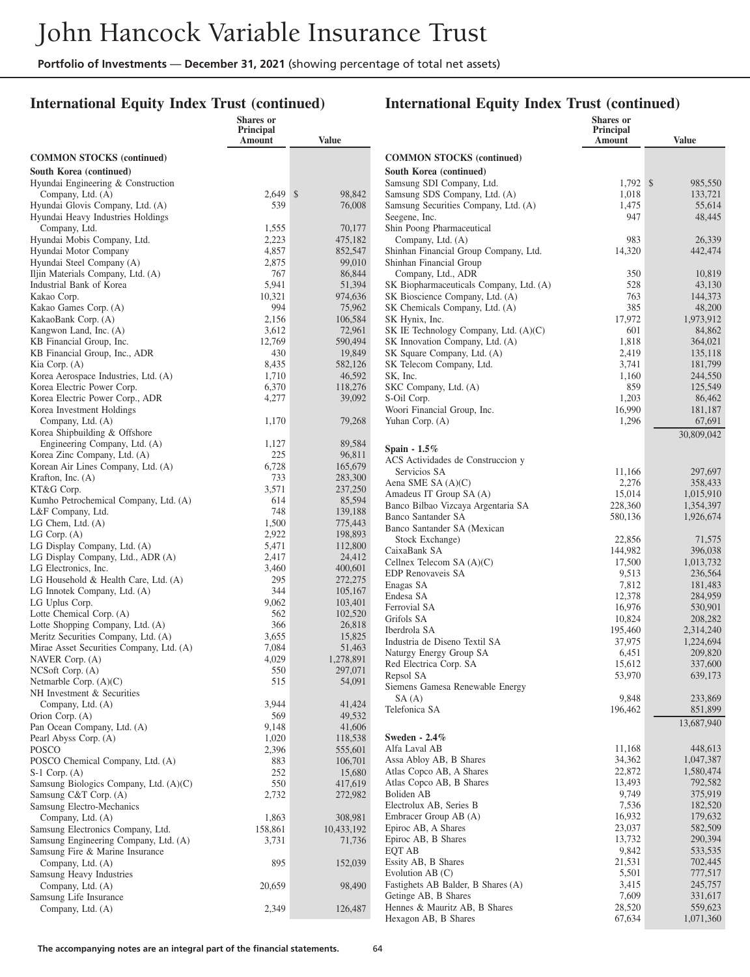## **International Equity Index Trust (continued)**

|                                                               | Shares or           |                    |                                                            | Shares or           |                     |
|---------------------------------------------------------------|---------------------|--------------------|------------------------------------------------------------|---------------------|---------------------|
|                                                               | Principal<br>Amount | Value              |                                                            | Principal<br>Amount | <b>Value</b>        |
|                                                               |                     |                    | <b>COMMON STOCKS</b> (continued)                           |                     |                     |
| <b>COMMON STOCKS</b> (continued)                              |                     |                    |                                                            |                     |                     |
| South Korea (continued)<br>Hyundai Engineering & Construction |                     |                    | South Korea (continued)<br>Samsung SDI Company, Ltd.       | $1,792$ \$          | 985,550             |
| Company, Ltd. (A)                                             | $2,649$ \$          | 98,842             | Samsung SDS Company, Ltd. (A)                              | 1,018               | 133,721             |
| Hyundai Glovis Company, Ltd. (A)                              | 539                 | 76,008             | Samsung Securities Company, Ltd. (A)                       | 1,475               | 55,614              |
| Hyundai Heavy Industries Holdings                             |                     |                    | Seegene, Inc.                                              | 947                 | 48,445              |
| Company, Ltd.                                                 | 1,555               | 70,177             | Shin Poong Pharmaceutical                                  |                     |                     |
| Hyundai Mobis Company, Ltd.                                   | 2,223               | 475,182            | Company, Ltd. (A)                                          | 983                 | 26,339              |
| Hyundai Motor Company                                         | 4,857               | 852,547            | Shinhan Financial Group Company, Ltd.                      | 14,320              | 442,474             |
| Hyundai Steel Company (A)                                     | 2,875               | 99,010             | Shinhan Financial Group                                    |                     |                     |
| Iljin Materials Company, Ltd. (A)                             | 767                 | 86,844             | Company, Ltd., ADR                                         | 350                 | 10,819              |
| Industrial Bank of Korea                                      | 5,941               | 51,394             | SK Biopharmaceuticals Company, Ltd. (A)                    | 528                 | 43,130              |
| Kakao Corp.                                                   | 10,321              | 974,636            | SK Bioscience Company, Ltd. (A)                            | 763                 | 144,373             |
| Kakao Games Corp. (A)                                         | 994                 | 75,962<br>106,584  | SK Chemicals Company, Ltd. (A)                             | 385<br>17,972       | 48,200              |
| KakaoBank Corp. (A)<br>Kangwon Land, Inc. (A)                 | 2,156<br>3,612      | 72,961             | SK Hynix, Inc.<br>SK IE Technology Company, Ltd. (A)(C)    | 601                 | 1,973,912<br>84,862 |
| KB Financial Group, Inc.                                      | 12,769              | 590,494            | SK Innovation Company, Ltd. (A)                            | 1,818               | 364,021             |
| KB Financial Group, Inc., ADR                                 | 430                 | 19,849             | SK Square Company, Ltd. (A)                                | 2,419               | 135,118             |
| Kia Corp. (A)                                                 | 8,435               | 582,126            | SK Telecom Company, Ltd.                                   | 3,741               | 181,799             |
| Korea Aerospace Industries, Ltd. (A)                          | 1,710               | 46,592             | SK, Inc.                                                   | 1,160               | 244,550             |
| Korea Electric Power Corp.                                    | 6,370               | 118,276            | SKC Company, Ltd. (A)                                      | 859                 | 125,549             |
| Korea Electric Power Corp., ADR                               | 4,277               | 39,092             | S-Oil Corp.                                                | 1,203               | 86,462              |
| Korea Investment Holdings                                     |                     |                    | Woori Financial Group, Inc.                                | 16,990              | 181,187             |
| Company, Ltd. (A)                                             | 1,170               | 79,268             | Yuhan Corp. (A)                                            | 1,296               | 67,691              |
| Korea Shipbuilding & Offshore                                 |                     |                    |                                                            |                     | 30,809,042          |
| Engineering Company, Ltd. (A)                                 | 1,127               | 89,584             | Spain - 1.5%                                               |                     |                     |
| Korea Zinc Company, Ltd. (A)                                  | 225                 | 96,811             | ACS Actividades de Construccion y                          |                     |                     |
| Korean Air Lines Company, Ltd. (A)<br>Krafton, Inc. $(A)$     | 6,728<br>733        | 165,679<br>283,300 | Servicios SA                                               | 11,166              | 297,697             |
| KT&G Corp.                                                    | 3,571               | 237,250            | Aena SME SA (A)(C)                                         | 2,276               | 358,433             |
| Kumho Petrochemical Company, Ltd. (A)                         | 614                 | 85,594             | Amadeus IT Group SA (A)                                    | 15,014              | 1,015,910           |
| L&F Company, Ltd.                                             | 748                 | 139,188            | Banco Bilbao Vizcaya Argentaria SA                         | 228,360             | 1,354,397           |
| $LG$ Chem, Ltd. $(A)$                                         | 1,500               | 775,443            | <b>Banco Santander SA</b>                                  | 580,136             | 1,926,674           |
| LG Corp. $(A)$                                                | 2,922               | 198,893            | Banco Santander SA (Mexican                                |                     |                     |
| LG Display Company, Ltd. (A)                                  | 5,471               | 112,800            | Stock Exchange)<br>CaixaBank SA                            | 22,856<br>144,982   | 71,575<br>396,038   |
| LG Display Company, Ltd., ADR (A)                             | 2,417               | 24,412             | Cellnex Telecom SA (A)(C)                                  | 17,500              | 1,013,732           |
| LG Electronics, Inc.                                          | 3,460               | 400,601            | EDP Renovaveis SA                                          | 9,513               | 236,564             |
| LG Household & Health Care, Ltd. (A)                          | 295                 | 272,275            | Enagas SA                                                  | 7,812               | 181,483             |
| LG Innotek Company, Ltd. (A)                                  | 344                 | 105,167            | Endesa SA                                                  | 12,378              | 284,959             |
| LG Uplus Corp.                                                | 9,062               | 103,401            | Ferrovial SA                                               | 16,976              | 530,901             |
| Lotte Chemical Corp. (A)<br>Lotte Shopping Company, Ltd. (A)  | 562<br>366          | 102,520<br>26,818  | Grifols SA                                                 | 10,824              | 208,282             |
| Meritz Securities Company, Ltd. (A)                           | 3,655               | 15,825             | Iberdrola SA                                               | 195,460             | 2,314,240           |
| Mirae Asset Securities Company, Ltd. (A)                      | 7,084               | 51,463             | Industria de Diseno Textil SA                              | 37,975              | 1,224,694           |
| NAVER Corp. (A)                                               | 4,029               | 1,278,891          | Naturgy Energy Group SA                                    | 6,451               | 209,820             |
| NCSoft Corp. (A)                                              | 550                 | 297,071            | Red Electrica Corp. SA                                     | 15,612              | 337,600             |
| Netmarble Corp. (A)(C)                                        | 515                 | 54,091             | Repsol SA<br>Siemens Gamesa Renewable Energy               | 53,970              | 639,173             |
| NH Investment & Securities                                    |                     |                    | SA(A)                                                      | 9,848               | 233,869             |
| Company, Ltd. (A)                                             | 3,944               | 41,424             | Telefonica SA                                              | 196,462             | 851,899             |
| Orion Corp. (A)                                               | 569                 | 49,532             |                                                            |                     | 13,687,940          |
| Pan Ocean Company, Ltd. (A)                                   | 9,148               | 41,606             |                                                            |                     |                     |
| Pearl Abyss Corp. (A)                                         | 1,020               | 118,538            | Sweden - 2.4%<br>Alfa Laval AB                             | 11,168              | 448,613             |
| <b>POSCO</b><br>POSCO Chemical Company, Ltd. (A)              | 2,396<br>883        | 555,601<br>106,701 | Assa Abloy AB, B Shares                                    | 34,362              | 1,047,387           |
| $S-1$ Corp. $(A)$                                             | 252                 | 15,680             | Atlas Copco AB, A Shares                                   | 22,872              | 1,580,474           |
| Samsung Biologics Company, Ltd. (A)(C)                        | 550                 | 417,619            | Atlas Copco AB, B Shares                                   | 13,493              | 792,582             |
| Samsung C&T Corp. (A)                                         | 2,732               | 272,982            | Boliden AB                                                 | 9,749               | 375,919             |
| Samsung Electro-Mechanics                                     |                     |                    | Electrolux AB, Series B                                    | 7,536               | 182,520             |
| Company, Ltd. (A)                                             | 1,863               | 308,981            | Embracer Group AB (A)                                      | 16,932              | 179,632             |
| Samsung Electronics Company, Ltd.                             | 158,861             | 10,433,192         | Epiroc AB, A Shares                                        | 23,037              | 582,509             |
| Samsung Engineering Company, Ltd. (A)                         | 3,731               | 71,736             | Epiroc AB, B Shares                                        | 13,732              | 290,394             |
| Samsung Fire & Marine Insurance                               |                     |                    | EQT AB                                                     | 9,842               | 533,535             |
| Company, Ltd. (A)                                             | 895                 | 152,039            | Essity AB, B Shares                                        | 21,531              | 702,445             |
| Samsung Heavy Industries                                      |                     |                    | Evolution $AB(C)$                                          | 5,501               | 777,517             |
| Company, Ltd. (A)                                             | 20,659              | 98,490             | Fastighets AB Balder, B Shares (A)<br>Getinge AB, B Shares | 3,415<br>7,609      | 245,757<br>331,617  |
| Samsung Life Insurance<br>Company, Ltd. (A)                   | 2,349               | 126,487            | Hennes & Mauritz AB, B Shares                              | 28,520              | 559,623             |
|                                                               |                     |                    | Hexagon AB, B Shares                                       | 67,634              | 1,071,360           |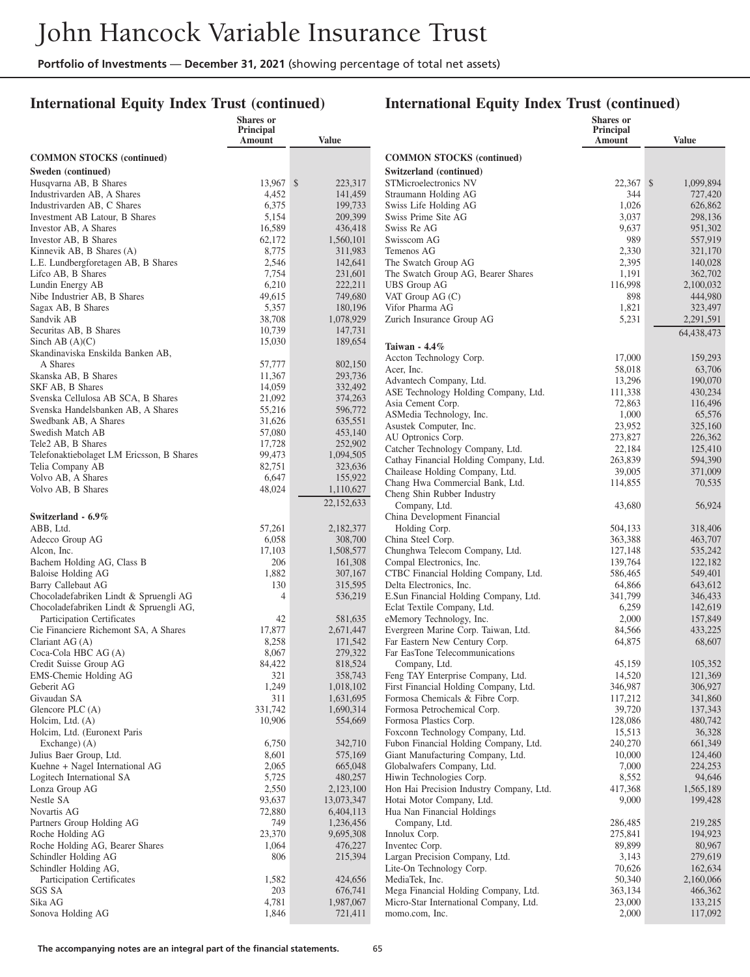#### **International Equity Index Trust (continued)**

#### **International Equity Index Trust (continued)**

**Shares or Principal**

**Amount Value**

|                                                           | <b>Shares</b> or<br>Principal<br>Amount | <b>Value</b>         |                                                                |
|-----------------------------------------------------------|-----------------------------------------|----------------------|----------------------------------------------------------------|
| <b>COMMON STOCKS</b> (continued)                          |                                         |                      | <b>COMMON STOCKS</b> (continued)                               |
| Sweden (continued)                                        |                                         |                      | Switzerland (continued)                                        |
| Husqvarna AB, B Shares                                    | 13,967 \$                               | 223,317              | STMicroelectronics NV                                          |
| Industrivarden AB, A Shares                               | 4,452                                   | 141,459              | Straumann Holding AG                                           |
| Industrivarden AB, C Shares                               | 6,375                                   | 199,733              | Swiss Life Holding AG                                          |
| Investment AB Latour, B Shares                            | 5,154                                   | 209,399              | Swiss Prime Site AG                                            |
| Investor AB, A Shares                                     | 16,589                                  | 436,418              | Swiss Re AG                                                    |
| Investor AB, B Shares                                     | 62,172                                  | 1,560,101            | Swisscom AG                                                    |
| Kinnevik AB, B Shares (A)                                 | 8,775                                   | 311,983              | Temenos AG                                                     |
| L.E. Lundbergforetagen AB, B Shares<br>Lifco AB, B Shares | 2,546<br>7,754                          | 142,641              | The Swatch Group AG<br>The Swatch Group AG, Bearer Sha         |
| Lundin Energy AB                                          | 6,210                                   | 231,601<br>222,211   | <b>UBS</b> Group AG                                            |
| Nibe Industrier AB, B Shares                              | 49,615                                  | 749,680              | VAT Group $AG(C)$                                              |
| Sagax AB, B Shares                                        | 5,357                                   | 180,196              | Vifor Pharma AG                                                |
| Sandvik AB                                                | 38,708                                  | 1,078,929            | Zurich Insurance Group AG                                      |
| Securitas AB, B Shares                                    | 10,739                                  | 147,731              |                                                                |
| Sinch AB $(A)(C)$                                         | 15,030                                  | 189,654              |                                                                |
| Skandinaviska Enskilda Banken AB,                         |                                         |                      | Taiwan - 4.4%                                                  |
| A Shares                                                  | 57,777                                  | 802,150              | Accton Technology Corp.<br>Acer, Inc.                          |
| Skanska AB, B Shares                                      | 11,367                                  | 293,736              | Advantech Company, Ltd.                                        |
| SKF AB, B Shares                                          | 14,059                                  | 332,492              | ASE Technology Holding Company                                 |
| Svenska Cellulosa AB SCA, B Shares                        | 21,092                                  | 374,263              | Asia Cement Corp.                                              |
| Svenska Handelsbanken AB, A Shares                        | 55,216                                  | 596,772              | ASMedia Technology, Inc.                                       |
| Swedbank AB, A Shares                                     | 31,626                                  | 635,551              | Asustek Computer, Inc.                                         |
| Swedish Match AB                                          | 57,080                                  | 453,140              | AU Optronics Corp.                                             |
| Tele2 AB, B Shares                                        | 17,728                                  | 252,902              | Catcher Technology Company, Ltd.                               |
| Telefonaktiebolaget LM Ericsson, B Shares                 | 99,473                                  | 1,094,505            | Cathay Financial Holding Company                               |
| Telia Company AB<br>Volvo AB, A Shares                    | 82,751<br>6,647                         | 323,636              | Chailease Holding Company, Ltd.                                |
| Volvo AB, B Shares                                        | 48,024                                  | 155,922<br>1,110,627 | Chang Hwa Commercial Bank, Ltd                                 |
|                                                           |                                         |                      | Cheng Shin Rubber Industry                                     |
|                                                           |                                         | 22,152,633           | Company, Ltd.                                                  |
| Switzerland - 6.9%                                        |                                         |                      | China Development Financial                                    |
| ABB, Ltd.                                                 | 57,261                                  | 2,182,377            | Holding Corp.                                                  |
| Adecco Group AG                                           | 6,058<br>17,103                         | 308,700              | China Steel Corp.<br>Chunghwa Telecom Company, Ltd.            |
| Alcon, Inc.<br>Bachem Holding AG, Class B                 | 206                                     | 1,508,577<br>161,308 | Compal Electronics, Inc.                                       |
| Baloise Holding AG                                        | 1,882                                   | 307,167              | CTBC Financial Holding Company                                 |
| Barry Callebaut AG                                        | 130                                     | 315,595              | Delta Electronics, Inc.                                        |
| Chocoladefabriken Lindt & Spruengli AG                    | $\overline{4}$                          | 536,219              | E.Sun Financial Holding Company,                               |
| Chocoladefabriken Lindt & Spruengli AG,                   |                                         |                      | Eclat Textile Company, Ltd.                                    |
| Participation Certificates                                | 42                                      | 581,635              | eMemory Technology, Inc.                                       |
| Cie Financiere Richemont SA, A Shares                     | 17,877                                  | 2,671,447            | Evergreen Marine Corp. Taiwan, Lt                              |
| Clariant AG (A)                                           | 8,258                                   | 171,542              | Far Eastern New Century Corp.                                  |
| Coca-Cola HBC AG (A)                                      | 8,067                                   | 279,322              | Far EasTone Telecommunications                                 |
| Credit Suisse Group AG                                    | 84,422                                  | 818,524              | Company, Ltd.                                                  |
| EMS-Chemie Holding AG                                     | 321                                     | 358,743              | Feng TAY Enterprise Company, Ltd                               |
| Geberit AG                                                | 1,249                                   | 1,018,102            | First Financial Holding Company, I                             |
| Givaudan SA                                               | 311                                     | 1,631,695            | Formosa Chemicals & Fibre Corp.                                |
| Glencore PLC (A)                                          | 331,742                                 | 1,690,314            | Formosa Petrochemical Corp.                                    |
| Holcim, Ltd. (A)                                          | 10,906                                  | 554,669              | Formosa Plastics Corp.                                         |
| Holcim, Ltd. (Euronext Paris                              |                                         |                      | Foxconn Technology Company, Ltd                                |
| Exchange) (A)                                             | 6,750                                   | 342,710              | Fubon Financial Holding Company.                               |
| Julius Baer Group, Ltd.                                   | 8,601                                   | 575,169              | Giant Manufacturing Company, Ltd<br>Globalwafers Company, Ltd. |
| Kuehne + Nagel International AG                           | 2,065<br>5,725                          | 665,048              | Hiwin Technologies Corp.                                       |
| Logitech International SA<br>Lonza Group AG               | 2,550                                   | 480,257<br>2,123,100 | Hon Hai Precision Industry Compa                               |
| Nestle SA                                                 | 93,637                                  | 13,073,347           | Hotai Motor Company, Ltd.                                      |
| Novartis AG                                               | 72,880                                  | 6,404,113            | Hua Nan Financial Holdings                                     |
| Partners Group Holding AG                                 | 749                                     | 1,236,456            | Company, Ltd.                                                  |
| Roche Holding AG                                          | 23,370                                  | 9,695,308            | Innolux Corp.                                                  |
| Roche Holding AG, Bearer Shares                           | 1,064                                   | 476,227              | Inventec Corp.                                                 |
| Schindler Holding AG                                      | 806                                     | 215,394              | Largan Precision Company, Ltd.                                 |
| Schindler Holding AG,                                     |                                         |                      | Lite-On Technology Corp.                                       |
| Participation Certificates                                | 1,582                                   | 424,656              | MediaTek, Inc.                                                 |
| SGS SA                                                    | 203                                     | 676,741              | Mega Financial Holding Company,                                |
| Sika AG                                                   | 4,781                                   | 1,987,067            | Micro-Star International Company,                              |
| Sonova Holding AG                                         | 1,846                                   | 721,411              | momo.com, Inc.                                                 |
|                                                           |                                         |                      |                                                                |

| 1.20110200220<br>Switzerland (continued)                                  |                   |                      |
|---------------------------------------------------------------------------|-------------------|----------------------|
| STMicroelectronics NV                                                     | 22,367            | \$<br>1,099,894      |
| Straumann Holding AG                                                      | 344               | 727,420              |
| Swiss Life Holding AG                                                     | 1,026             | 626,862              |
| Swiss Prime Site AG                                                       | 3,037             | 298,136              |
| Swiss Re AG                                                               | 9,637             | 951,302              |
| Swisscom AG                                                               | 989               | 557,919              |
| Temenos AG                                                                | 2,330             | 321,170              |
| The Swatch Group AG                                                       | 2,395             | 140,028              |
| The Swatch Group AG, Bearer Shares                                        | 1,191             | 362,702              |
| <b>UBS</b> Group AG                                                       | 116,998           | 2,100,032            |
| VAT Group AG (C)<br>Vifor Pharma AG                                       | 898<br>1,821      | 444,980              |
| Zurich Insurance Group AG                                                 | 5,231             | 323,497<br>2,291,591 |
|                                                                           |                   | 64,438,473           |
| Taiwan - $4.4\%$                                                          |                   |                      |
| Accton Technology Corp.                                                   | 17,000            | 159,293              |
| Acer, Inc.                                                                | 58,018            | 63,706               |
| Advantech Company, Ltd.                                                   | 13,296            | 190,070              |
| ASE Technology Holding Company, Ltd.                                      | 111,338           | 430,234              |
| Asia Cement Corp.                                                         | 72,863            | 116,496              |
| ASMedia Technology, Inc.                                                  | 1,000             | 65,576               |
| Asustek Computer, Inc.                                                    | 23,952            | 325,160              |
| AU Optronics Corp.                                                        | 273,827           | 226,362              |
| Catcher Technology Company, Ltd.                                          | 22,184            | 125,410              |
| Cathay Financial Holding Company, Ltd.                                    | 263,839           | 594,390              |
| Chailease Holding Company, Ltd.                                           | 39,005            | 371,009              |
| Chang Hwa Commercial Bank, Ltd.<br>Cheng Shin Rubber Industry             | 114,855           | 70,535               |
| Company, Ltd.                                                             | 43,680            | 56,924               |
| China Development Financial                                               |                   |                      |
| Holding Corp.                                                             | 504,133           | 318,406              |
| China Steel Corp.                                                         | 363,388           | 463,707              |
| Chunghwa Telecom Company, Ltd.                                            | 127,148           | 535,242              |
| Compal Electronics, Inc.                                                  | 139,764           | 122,182              |
| CTBC Financial Holding Company, Ltd.                                      | 586,465           | 549,401              |
| Delta Electronics, Inc.                                                   | 64,866            | 643,612              |
| E.Sun Financial Holding Company, Ltd.                                     | 341,799           | 346,433              |
| Eclat Textile Company, Ltd.                                               | 6,259             | 142,619              |
| eMemory Technology, Inc.                                                  | 2,000             | 157,849              |
| Evergreen Marine Corp. Taiwan, Ltd.                                       | 84,566            | 433,225              |
| Far Eastern New Century Corp.                                             | 64,875            | 68,607               |
| Far EasTone Telecommunications                                            |                   |                      |
| Company, Ltd.                                                             | 45,159            | 105,352              |
| Feng TAY Enterprise Company, Ltd.                                         | 14,520            | 121,369              |
| First Financial Holding Company, Ltd.                                     | 346,987           | 306,927              |
| Formosa Chemicals & Fibre Corp.                                           | 117,212           | 341,860              |
| Formosa Petrochemical Corp.                                               | 39,720            | 137,343              |
| Formosa Plastics Corp.                                                    | 128,086<br>15,513 | 480,742              |
| Foxconn Technology Company, Ltd.<br>Fubon Financial Holding Company, Ltd. | 240,270           | 36,328<br>661,349    |
| Giant Manufacturing Company, Ltd.                                         | 10,000            | 124,460              |
| Globalwafers Company, Ltd.                                                | 7,000             | 224,253              |
| Hiwin Technologies Corp.                                                  | 8,552             | 94,646               |
| Hon Hai Precision Industry Company, Ltd.                                  | 417,368           | 1,565,189            |
| Hotai Motor Company, Ltd.                                                 | 9,000             | 199,428              |
| Hua Nan Financial Holdings                                                |                   |                      |
| Company, Ltd.                                                             | 286,485           | 219,285              |
| Innolux Corp.                                                             | 275,841           | 194,923              |
| Inventec Corp.                                                            | 89,899            | 80,967               |
| Largan Precision Company, Ltd.                                            | 3,143             | 279,619              |
| Lite-On Technology Corp.                                                  | 70,626            | 162,634              |
| MediaTek, Inc.                                                            | 50,340            | 2,160,066            |
| Mega Financial Holding Company, Ltd.                                      | 363,134           | 466,362              |
| Micro-Star International Company, Ltd.                                    | 23,000            | 133,215              |
| momo.com, Inc.                                                            | 2,000             | 117,092              |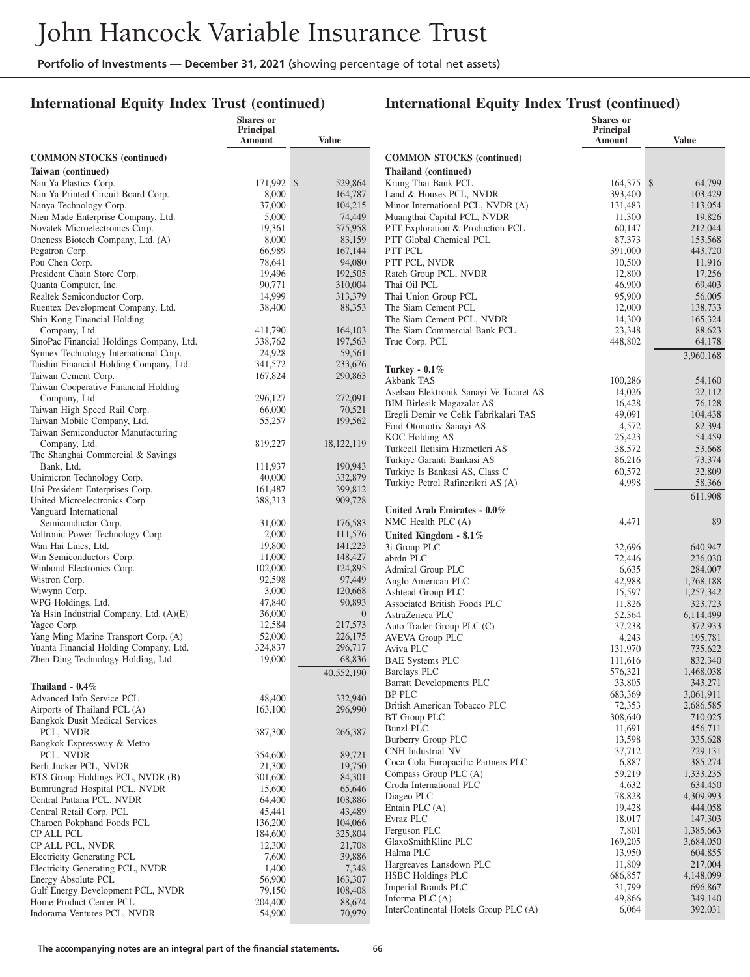#### **International Equity Index Trust (continued)**

|                                                               | Shares or<br>Principal |                            |                                                         | <b>Shares</b> or<br>Principal |                      |
|---------------------------------------------------------------|------------------------|----------------------------|---------------------------------------------------------|-------------------------------|----------------------|
|                                                               | Amount                 | Value                      |                                                         | Amount                        | <b>Value</b>         |
| <b>COMMON STOCKS</b> (continued)                              |                        |                            | <b>COMMON STOCKS</b> (continued)                        |                               |                      |
| Taiwan (continued)                                            |                        |                            | Thailand (continued)                                    |                               |                      |
| Nan Ya Plastics Corp.                                         | 171,992 \$             | 529,864                    | Krung Thai Bank PCL                                     | $164,375$ \$                  | 64,799               |
| Nan Ya Printed Circuit Board Corp.                            | 8,000                  | 164,787                    | Land & Houses PCL, NVDR                                 | 393,400                       | 103,429              |
| Nanya Technology Corp.                                        | 37,000                 | 104,215                    | Minor International PCL, NVDR (A)                       | 131.483                       | 113,054              |
| Nien Made Enterprise Company, Ltd.                            | 5,000                  | 74,449                     | Muangthai Capital PCL, NVDR                             | 11,300                        | 19,826               |
| Novatek Microelectronics Corp.                                | 19,361                 | 375,958                    | PTT Exploration & Production PCL                        | 60,147                        | 212,044              |
| Oneness Biotech Company, Ltd. (A)                             | 8,000                  | 83,159                     | PTT Global Chemical PCL                                 | 87,373                        | 153,568              |
| Pegatron Corp.                                                | 66,989                 | 167,144                    | PTT PCL                                                 | 391,000                       | 443,720              |
| Pou Chen Corp.                                                | 78,641                 | 94,080                     | PTT PCL, NVDR                                           | 10,500                        | 11,916               |
| President Chain Store Corp.                                   | 19,496                 | 192,505                    | Ratch Group PCL, NVDR                                   | 12,800                        | 17,256               |
| Quanta Computer, Inc.<br>Realtek Semiconductor Corp.          | 90,771<br>14,999       | 310,004<br>313,379         | Thai Oil PCL<br>Thai Union Group PCL                    | 46,900<br>95,900              | 69,403<br>56,005     |
| Ruentex Development Company, Ltd.                             | 38,400                 | 88,353                     | The Siam Cement PCL                                     | 12,000                        | 138,733              |
| Shin Kong Financial Holding                                   |                        |                            | The Siam Cement PCL, NVDR                               | 14,300                        | 165,324              |
| Company, Ltd.                                                 | 411,790                | 164,103                    | The Siam Commercial Bank PCL                            | 23,348                        | 88,623               |
| SinoPac Financial Holdings Company, Ltd.                      | 338,762                | 197,563                    | True Corp. PCL                                          | 448,802                       | 64,178               |
| Synnex Technology International Corp.                         | 24,928                 | 59,561                     |                                                         |                               | 3,960,168            |
| Taishin Financial Holding Company, Ltd.                       | 341,572                | 233,676                    |                                                         |                               |                      |
| Taiwan Cement Corp.                                           | 167,824                | 290,863                    | <b>Turkey - 0.1%</b><br>Akbank TAS                      | 100,286                       | 54,160               |
| Taiwan Cooperative Financial Holding                          |                        |                            | Aselsan Elektronik Sanayi Ve Ticaret AS                 | 14,026                        | 22,112               |
| Company, Ltd.                                                 | 296,127                | 272,091                    | <b>BIM Birlesik Magazalar AS</b>                        | 16,428                        | 76,128               |
| Taiwan High Speed Rail Corp.                                  | 66,000                 | 70,521                     | Eregli Demir ve Celik Fabrikalari TAS                   | 49,091                        | 104,438              |
| Taiwan Mobile Company, Ltd.                                   | 55,257                 | 199,562                    | Ford Otomotiv Sanayi AS                                 | 4,572                         | 82,394               |
| Taiwan Semiconductor Manufacturing                            |                        |                            | KOC Holding AS                                          | 25,423                        | 54,459               |
| Company, Ltd.                                                 | 819,227                | 18,122,119                 | Turkcell Iletisim Hizmetleri AS                         | 38,572                        | 53,668               |
| The Shanghai Commercial & Savings<br>Bank, Ltd.               | 111,937                | 190,943                    | Turkiye Garanti Bankasi AS                              | 86,216                        | 73,374               |
| Unimicron Technology Corp.                                    | 40,000                 | 332,879                    | Turkiye Is Bankasi AS, Class C                          | 60,572                        | 32,809               |
| Uni-President Enterprises Corp.                               | 161,487                | 399,812                    | Turkiye Petrol Rafinerileri AS (A)                      | 4,998                         | 58,366               |
| United Microelectronics Corp.                                 | 388,313                | 909,728                    |                                                         |                               | 611,908              |
| Vanguard International                                        |                        |                            | United Arab Emirates - 0.0%                             |                               |                      |
| Semiconductor Corp.                                           | 31,000                 | 176,583                    | NMC Health PLC $(A)$                                    | 4,471                         | 89                   |
| Voltronic Power Technology Corp.                              | 2,000                  | 111,576                    | United Kingdom - 8.1%                                   |                               |                      |
| Wan Hai Lines, Ltd.                                           | 19,800                 | 141,223                    | 3i Group PLC                                            | 32,696                        | 640,947              |
| Win Semiconductors Corp.                                      | 11,000                 | 148,427                    | abrdn PLC                                               | 72,446                        | 236,030              |
| Winbond Electronics Corp.                                     | 102,000                | 124,895                    | Admiral Group PLC                                       | 6,635                         | 284,007              |
| Wistron Corp.                                                 | 92,598                 | 97,449                     | Anglo American PLC                                      | 42,988                        | 1,768,188            |
| Wiwynn Corp.                                                  | 3,000                  | 120,668                    | Ashtead Group PLC                                       | 15,597                        | 1,257,342            |
| WPG Holdings, Ltd.<br>Ya Hsin Industrial Company, Ltd. (A)(E) | 47,840<br>36,000       | 90,893<br>$\boldsymbol{0}$ | Associated British Foods PLC                            | 11,826                        | 323,723              |
| Yageo Corp.                                                   | 12,584                 | 217,573                    | AstraZeneca PLC<br>Auto Trader Group PLC (C)            | 52,364<br>37,238              | 6,114,499<br>372,933 |
| Yang Ming Marine Transport Corp. (A)                          | 52,000                 | 226,175                    | <b>AVEVA Group PLC</b>                                  | 4,243                         | 195,781              |
| Yuanta Financial Holding Company, Ltd.                        | 324,837                | 296,717                    | Aviva PLC                                               | 131,970                       | 735,622              |
| Zhen Ding Technology Holding, Ltd.                            | 19,000                 | 68,836                     | <b>BAE Systems PLC</b>                                  | 111,616                       | 832,340              |
|                                                               |                        | 40,552,190                 | <b>Barclays PLC</b>                                     | 576,321                       | 1,468,038            |
| Thailand - $0.4\%$                                            |                        |                            | Barratt Developments PLC                                | 33,805                        | 343,271              |
| Advanced Info Service PCL                                     | 48,400                 | 332,940                    | <b>BP PLC</b>                                           | 683,369                       | 3,061,911            |
| Airports of Thailand PCL (A)                                  | 163,100                | 296,990                    | British American Tobacco PLC                            | 72,353                        | 2,686,585            |
| <b>Bangkok Dusit Medical Services</b>                         |                        |                            | BT Group PLC                                            | 308,640                       | 710,025              |
| PCL, NVDR                                                     | 387,300                | 266,387                    | <b>Bunzl PLC</b>                                        | 11,691                        | 456,711              |
| Bangkok Expressway & Metro                                    |                        |                            | Burberry Group PLC                                      | 13,598                        | 335,628              |
| PCL, NVDR                                                     | 354,600                | 89,721                     | CNH Industrial NV<br>Coca-Cola Europacific Partners PLC | 37,712<br>6,887               | 729,131<br>385,274   |
| Berli Jucker PCL, NVDR                                        | 21,300                 | 19,750                     | Compass Group PLC (A)                                   | 59,219                        | 1,333,235            |
| BTS Group Holdings PCL, NVDR (B)                              | 301,600                | 84,301                     | Croda International PLC                                 | 4,632                         | 634,450              |
| Bumrungrad Hospital PCL, NVDR                                 | 15,600                 | 65,646                     | Diageo PLC                                              | 78,828                        | 4,309,993            |
| Central Pattana PCL, NVDR                                     | 64,400                 | 108,886                    | Entain PLC (A)                                          | 19,428                        | 444,058              |
| Central Retail Corp. PCL<br>Charoen Pokphand Foods PCL        | 45,441<br>136,200      | 43,489<br>104,066          | Evraz PLC                                               | 18,017                        | 147,303              |
| <b>CP ALL PCL</b>                                             | 184,600                | 325,804                    | Ferguson PLC                                            | 7,801                         | 1,385,663            |
| CP ALL PCL, NVDR                                              | 12,300                 | 21,708                     | GlaxoSmithKline PLC                                     | 169,205                       | 3,684,050            |
| <b>Electricity Generating PCL</b>                             | 7,600                  | 39,886                     | Halma PLC                                               | 13,950                        | 604,855              |
| Electricity Generating PCL, NVDR                              | 1,400                  | 7,348                      | Hargreaves Lansdown PLC                                 | 11,809                        | 217,004              |
| Energy Absolute PCL                                           | 56,900                 | 163,307                    | <b>HSBC</b> Holdings PLC                                | 686,857                       | 4,148,099            |
| Gulf Energy Development PCL, NVDR                             | 79,150                 | 108,408                    | Imperial Brands PLC                                     | 31,799                        | 696,867              |
| Home Product Center PCL                                       | 204,400                | 88,674                     | Informa PLC (A)                                         | 49,866                        | 349,140              |
| Indorama Ventures PCL, NVDR                                   | 54,900                 | 70,979                     | InterContinental Hotels Group PLC (A)                   | 6,064                         | 392,031              |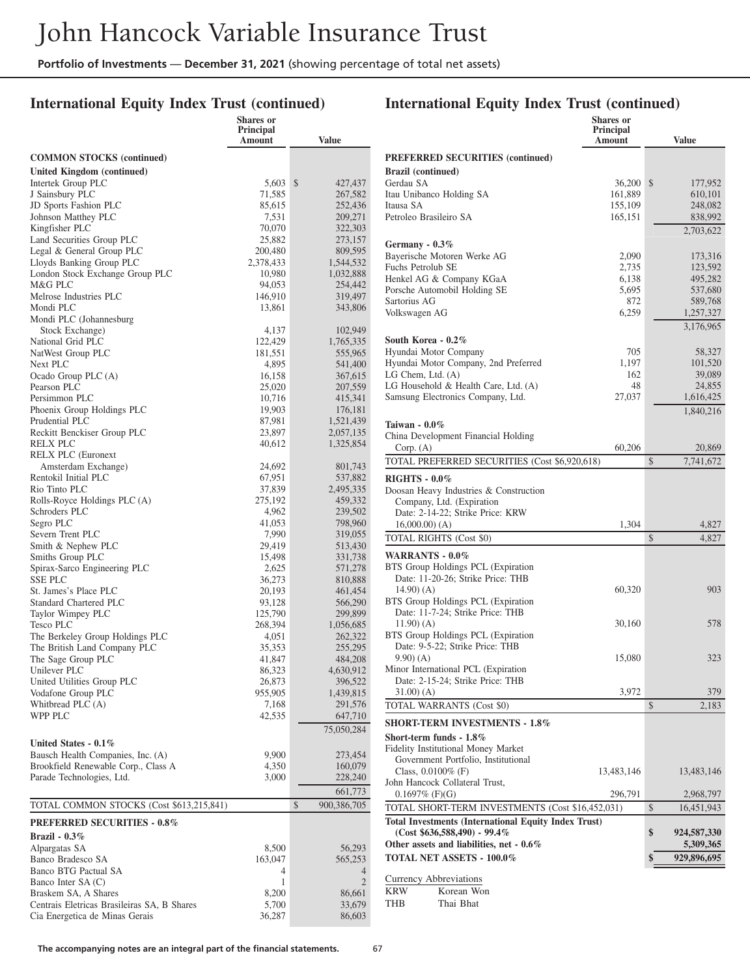## **International Equity Index Trust (continued)**

## **International Equity Index Trust (continued)**

|                                                                          | <b>Shares</b> or<br><b>Principal</b><br>Amount | <b>Value</b>        |
|--------------------------------------------------------------------------|------------------------------------------------|---------------------|
| <b>COMMON STOCKS</b> (continued)                                         |                                                |                     |
| <b>United Kingdom (continued)</b>                                        |                                                |                     |
| Intertek Group PLC                                                       | 5,603                                          | \$<br>427,437       |
| J Sainsbury PLC                                                          | 71,585                                         | 267,582             |
| JD Sports Fashion PLC<br>Johnson Matthey PLC                             | 85,615<br>7,531                                | 252,436<br>209,271  |
| Kingfisher PLC                                                           | 70,070                                         | 322,303             |
| Land Securities Group PLC                                                | 25,882                                         | 273,157             |
| Legal & General Group PLC                                                | 200,480                                        | 809,595             |
| Lloyds Banking Group PLC                                                 | 2,378,433                                      | 1,544,532           |
| London Stock Exchange Group PLC                                          | 10,980                                         | 1,032,888           |
| M&G PLC<br>Melrose Industries PLC                                        | 94,053<br>146,910                              | 254,442<br>319,497  |
| Mondi PLC                                                                | 13,861                                         | 343,806             |
| Mondi PLC (Johannesburg                                                  |                                                |                     |
| Stock Exchange)                                                          | 4,137                                          | 102,949             |
| National Grid PLC                                                        | 122,429                                        | 1,765,335           |
| NatWest Group PLC                                                        | 181,551                                        | 555,965             |
| Next PLC                                                                 | 4,895                                          | 541,400             |
| Ocado Group PLC (A)<br>Pearson PLC                                       | 16,158<br>25,020                               | 367,615             |
| Persimmon PLC                                                            | 10,716                                         | 207,559<br>415,341  |
| Phoenix Group Holdings PLC                                               | 19,903                                         | 176,181             |
| Prudential PLC                                                           | 87,981                                         | 1,521,439           |
| Reckitt Benckiser Group PLC                                              | 23,897                                         | 2,057,135           |
| <b>RELX PLC</b>                                                          | 40,612                                         | 1,325,854           |
| <b>RELX PLC</b> (Euronext                                                |                                                |                     |
| Amsterdam Exchange)<br>Rentokil Initial PLC                              | 24,692<br>67,951                               | 801,743<br>537,882  |
| Rio Tinto PLC                                                            | 37,839                                         | 2,495,335           |
| Rolls-Royce Holdings PLC (A)                                             | 275,192                                        | 459,332             |
| Schroders PLC                                                            | 4,962                                          | 239,502             |
| Segro PLC                                                                | 41,053                                         | 798,960             |
| Severn Trent PLC                                                         | 7,990                                          | 319,055             |
| Smith & Nephew PLC<br>Smiths Group PLC                                   | 29,419<br>15,498                               | 513,430<br>331,738  |
| Spirax-Sarco Engineering PLC                                             | 2,625                                          | 571,278             |
| <b>SSE PLC</b>                                                           | 36,273                                         | 810,888             |
| St. James's Place PLC                                                    | 20,193                                         | 461,454             |
| Standard Chartered PLC                                                   | 93,128                                         | 566,290             |
| Taylor Wimpey PLC                                                        | 125,790                                        | 299,899             |
| Tesco PLC                                                                | 268,394                                        | 1,056,685           |
| The Berkeley Group Holdings PLC<br>The British Land Company PLC          | 4,051<br>35,353                                | 262,322<br>255,295  |
| The Sage Group PLC                                                       | 41,847                                         | 484,208             |
| Unilever PLC                                                             | 86,323                                         | 4,630,912           |
| United Utilities Group PLC                                               | 26,873                                         | 396,522             |
| Vodafone Group PLC                                                       | 955,905                                        | 1,439,815           |
| Whitbread PLC (A)                                                        | 7,168                                          | 291,576             |
| <b>WPP PLC</b>                                                           | 42,535                                         | 647,710             |
|                                                                          |                                                | 75,050,284          |
| United States - 0.1%                                                     |                                                |                     |
| Bausch Health Companies, Inc. (A)<br>Brookfield Renewable Corp., Class A | 9,900<br>4,350                                 | 273,454<br>160,079  |
| Parade Technologies, Ltd.                                                | 3,000                                          | 228,240             |
|                                                                          |                                                | 661,773             |
| TOTAL COMMON STOCKS (Cost \$613,215,841)                                 |                                                | \$<br>900,386,705   |
| <b>PREFERRED SECURITIES - 0.8%</b>                                       |                                                |                     |
| Brazil - $0.3\%$                                                         |                                                |                     |
| Alpargatas SA                                                            | 8,500                                          | 56,293              |
| Banco Bradesco SA                                                        | 163,047                                        | 565,253             |
| Banco BTG Pactual SA<br>Banco Inter SA (C)                               | 4<br>1                                         | 4<br>$\overline{2}$ |
| Braskem SA, A Shares                                                     | 8,200                                          | 86,661              |
| Centrais Eletricas Brasileiras SA, B Shares                              | 5,700                                          | 33,679              |
| Cia Energetica de Minas Gerais                                           | 36,287                                         | 86,603              |

|                                                                                              | Shares or<br><b>Principal</b><br>Amount | <b>Value</b>        |
|----------------------------------------------------------------------------------------------|-----------------------------------------|---------------------|
| <b>PREFERRED SECURITIES (continued)</b>                                                      |                                         |                     |
| <b>Brazil</b> (continued)<br>Gerdau SA                                                       | 36,200                                  | \$<br>177,952       |
| Itau Unibanco Holding SA                                                                     | 161,889                                 | 610,101             |
| Itausa SA                                                                                    | 155,109                                 | 248,082             |
| Petroleo Brasileiro SA                                                                       | 165,151                                 | 838,992             |
|                                                                                              |                                         | 2,703,622           |
| Germany - $0.3\%$                                                                            |                                         |                     |
| Bayerische Motoren Werke AG                                                                  | 2,090                                   | 173,316             |
| Fuchs Petrolub SE                                                                            | 2,735                                   | 123,592             |
| Henkel AG & Company KGaA                                                                     | 6,138                                   | 495,282             |
| Porsche Automobil Holding SE<br>Sartorius AG                                                 | 5,695<br>872                            | 537,680<br>589,768  |
| Volkswagen AG                                                                                | 6,259                                   | 1,257,327           |
|                                                                                              |                                         | 3,176,965           |
| South Korea - 0.2%                                                                           |                                         |                     |
| Hyundai Motor Company                                                                        | 705                                     | 58,327              |
| Hyundai Motor Company, 2nd Preferred                                                         | 1,197                                   | 101,520             |
| LG Chem, Ltd. (A)<br>LG Household & Health Care, Ltd. (A)                                    | 162<br>48                               | 39,089              |
| Samsung Electronics Company, Ltd.                                                            | 27,037                                  | 24,855<br>1,616,425 |
|                                                                                              |                                         |                     |
| Taiwan - $0.0\%$                                                                             |                                         | 1,840,216           |
| China Development Financial Holding                                                          |                                         |                     |
| Corp. (A)                                                                                    | 60,206                                  | 20,869              |
| TOTAL PREFERRED SECURITIES (Cost \$6,920,618)                                                |                                         | \$<br>7,741,672     |
| <b>RIGHTS - 0.0%</b><br>Doosan Heavy Industries & Construction<br>Company, Ltd. (Expiration) |                                         |                     |
| Date: 2-14-22; Strike Price: KRW                                                             |                                         |                     |
| $16,000.00$ $(A)$                                                                            | 1,304                                   | 4,827               |
| TOTAL RIGHTS (Cost \$0)                                                                      |                                         | \$<br>4,827         |
| WARRANTS - 0.0%                                                                              |                                         |                     |
| BTS Group Holdings PCL (Expiration                                                           |                                         |                     |
| Date: 11-20-26; Strike Price: THB                                                            |                                         |                     |
| 14.90) (A)                                                                                   | 60,320                                  | 903                 |
| BTS Group Holdings PCL (Expiration                                                           |                                         |                     |
| Date: 11-7-24; Strike Price: THB                                                             |                                         |                     |
| 11.90) (A)                                                                                   | 30,160                                  | 578                 |
| BTS Group Holdings PCL (Expiration                                                           |                                         |                     |
| Date: 9-5-22; Strike Price: THB<br>$(9.90)$ (A)                                              | 15,080                                  | 323                 |
| Minor International PCL (Expiration                                                          |                                         |                     |
| Date: 2-15-24; Strike Price: THB                                                             |                                         |                     |
| 31.00) (A)                                                                                   | 3,972                                   | 379                 |
| TOTAL WARRANTS (Cost \$0)                                                                    |                                         | \$<br>2,183         |
| <b>SHORT-TERM INVESTMENTS - 1.8%</b>                                                         |                                         |                     |
| Short-term funds $-1.8\%$                                                                    |                                         |                     |
| Fidelity Institutional Money Market                                                          |                                         |                     |
| Government Portfolio, Institutional                                                          |                                         |                     |
| Class, $0.0100\%$ (F)                                                                        | 13,483,146                              | 13,483,146          |
| John Hancock Collateral Trust,                                                               |                                         |                     |
| $0.1697\%$ (F)(G)                                                                            | 296,791                                 | 2,968,797           |
| TOTAL SHORT-TERM INVESTMENTS (Cost \$16,452,031)                                             |                                         | \$<br>16,451,943    |
| <b>Total Investments (International Equity Index Trust)</b>                                  |                                         |                     |
| $(Cost $636,588,490) - 99.4\%$                                                               |                                         | \$<br>924,587,330   |
| Other assets and liabilities, net $-0.6\%$                                                   |                                         | 5,309,365           |
| TOTAL NET ASSETS - 100.0%                                                                    |                                         | \$<br>929,896,695   |
| Currency Abbreviations                                                                       |                                         |                     |
| <b>KRW</b><br>Korean Won                                                                     |                                         |                     |

THB Thai Bhat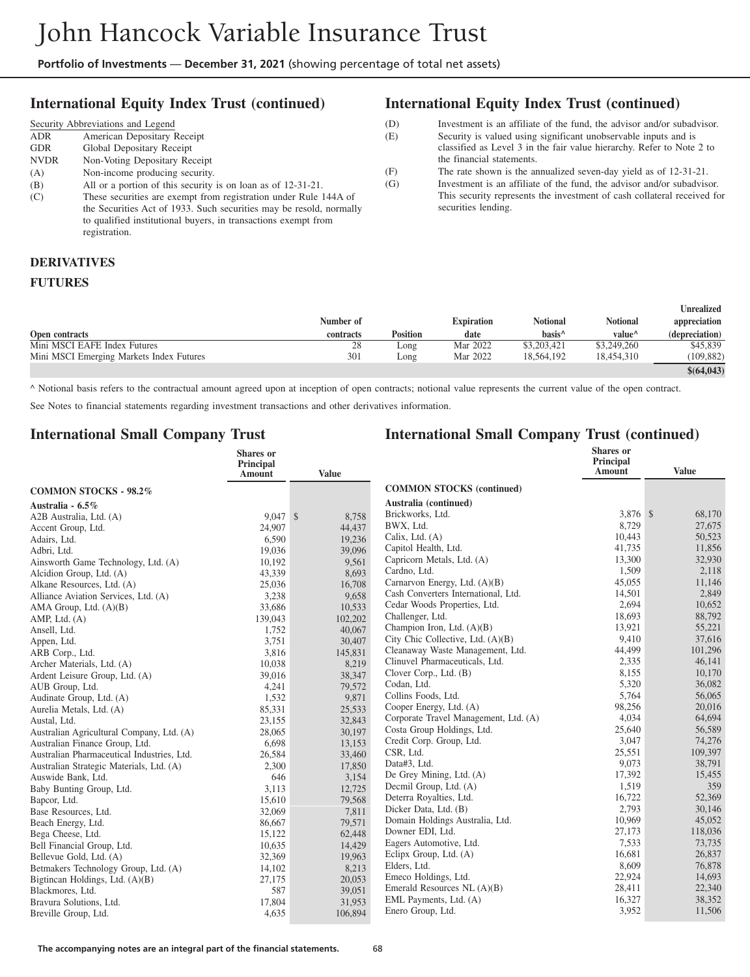#### **International Equity Index Trust (continued)**

|             | Security Abbreviations and Legend                                                                                                                                                                                          |
|-------------|----------------------------------------------------------------------------------------------------------------------------------------------------------------------------------------------------------------------------|
| <b>ADR</b>  | American Depositary Receipt                                                                                                                                                                                                |
| <b>GDR</b>  | Global Depositary Receipt                                                                                                                                                                                                  |
| <b>NVDR</b> | Non-Voting Depositary Receipt                                                                                                                                                                                              |
| (A)         | Non-income producing security.                                                                                                                                                                                             |
| (B)         | All or a portion of this security is on loan as of 12-31-21.                                                                                                                                                               |
| (C)         | These securities are exempt from registration under Rule 144A of<br>the Securities Act of 1933. Such securities may be resold, normally<br>to qualified institutional buyers, in transactions exempt from<br>registration. |

#### **International Equity Index Trust (continued)**

| (D) | Investment is an affiliate of the fund, the advisor and/or subadvisor. |
|-----|------------------------------------------------------------------------|
| (E) | Security is valued using significant unobservable inputs and is        |
|     | classified as Level 3 in the fair value hierarchy. Refer to Note 2 to  |
|     | the financial statements.                                              |
| (F) | The rate shown is the annualized seven-day yield as of $12-31-21$ .    |
| (G) | Investment is an affiliate of the fund, the advisor and/or subadvisor. |

This security represents the investment of cash collateral received for securities lending.

#### **DERIVATIVES FUTURES**

|  | FUIUNES |  |
|--|---------|--|
|  |         |  |
|  |         |  |

|                                          |           |                 |                   |                    |                    | Unrealized     |
|------------------------------------------|-----------|-----------------|-------------------|--------------------|--------------------|----------------|
|                                          | Number of |                 | <b>Expiration</b> | Notional           | <b>Notional</b>    | appreciation   |
| <b>Open contracts</b>                    | contracts | <b>Position</b> | date              | basis <sup>^</sup> | value <sup>^</sup> | (depreciation) |
| Mini MSCI EAFE Index Futures             | 28        | Long            | Mar 2022          | \$3,203,421        | \$3,249,260        | \$45,839       |
| Mini MSCI Emerging Markets Index Futures | 301       | Long            | Mar 2022          | 18.564.192         | 18,454,310         | (109, 882)     |
|                                          |           |                 |                   |                    |                    | \$(64,043)     |

^ Notional basis refers to the contractual amount agreed upon at inception of open contracts; notional value represents the current value of the open contract.

See Notes to financial statements regarding investment transactions and other derivatives information.

#### **International Small Company Trust**

|                                            | <b>Shares</b> or<br>Principal |              |                                       | <b>Shares</b> or<br>Principal |              |
|--------------------------------------------|-------------------------------|--------------|---------------------------------------|-------------------------------|--------------|
|                                            | Amount                        | <b>Value</b> |                                       | Amount                        | <b>Value</b> |
| <b>COMMON STOCKS - 98.2%</b>               |                               |              | <b>COMMON STOCKS (continued)</b>      |                               |              |
| Australia - 6.5%                           |                               |              | Australia (continued)                 |                               |              |
| A2B Australia, Ltd. (A)                    | 9.047S                        | 8,758        | Brickworks, Ltd.                      | 3,876 \$                      | 68,170       |
| Accent Group, Ltd.                         | 24,907                        | 44,437       | BWX, Ltd.                             | 8,729                         | 27,675       |
| Adairs, Ltd.                               | 6,590                         | 19,236       | Calix, Ltd. (A)                       | 10,443                        | 50,523       |
| Adbri, Ltd.                                | 19,036                        | 39,096       | Capitol Health, Ltd.                  | 41,735                        | 11,856       |
| Ainsworth Game Technology, Ltd. (A)        | 10,192                        | 9,561        | Capricorn Metals, Ltd. (A)            | 13,300                        | 32,930       |
| Alcidion Group, Ltd. (A)                   | 43,339                        | 8,693        | Cardno, Ltd.                          | 1,509                         | 2,118        |
| Alkane Resources, Ltd. (A)                 | 25,036                        | 16,708       | Carnarvon Energy, Ltd. (A)(B)         | 45,055                        | 11,146       |
| Alliance Aviation Services, Ltd. (A)       | 3,238                         | 9,658        | Cash Converters International, Ltd.   | 14,501                        | 2,849        |
| AMA Group, Ltd. (A)(B)                     | 33,686                        | 10,533       | Cedar Woods Properties, Ltd.          | 2,694                         | 10,652       |
| AMP, Ltd. (A)                              | 139,043                       | 102,202      | Challenger, Ltd.                      | 18,693                        | 88,792       |
| Ansell, Ltd.                               | 1.752                         | 40,067       | Champion Iron, Ltd. (A)(B)            | 13,921                        | 55,221       |
| Appen, Ltd.                                | 3,751                         | 30,407       | City Chic Collective, Ltd. (A)(B)     | 9,410                         | 37,616       |
| ARB Corp., Ltd.                            | 3,816                         | 145,831      | Cleanaway Waste Management, Ltd.      | 44,499                        | 101,296      |
| Archer Materials, Ltd. (A)                 | 10,038                        | 8,219        | Clinuvel Pharmaceuticals, Ltd.        | 2,335                         | 46,141       |
| Ardent Leisure Group, Ltd. (A)             | 39,016                        | 38,347       | Clover Corp., Ltd. (B)                | 8,155                         | 10,170       |
| AUB Group, Ltd.                            | 4,241                         | 79,572       | Codan, Ltd.                           | 5,320                         | 36,082       |
| Audinate Group, Ltd. (A)                   | 1,532                         | 9.871        | Collins Foods, Ltd.                   | 5,764                         | 56,065       |
| Aurelia Metals, Ltd. (A)                   | 85,331                        | 25,533       | Cooper Energy, Ltd. (A)               | 98,256                        | 20,016       |
| Austal. Ltd.                               | 23,155                        | 32,843       | Corporate Travel Management, Ltd. (A) | 4,034                         | 64,694       |
| Australian Agricultural Company, Ltd. (A)  | 28,065                        | 30,197       | Costa Group Holdings, Ltd.            | 25,640                        | 56,589       |
| Australian Finance Group, Ltd.             | 6,698                         | 13,153       | Credit Corp. Group, Ltd.              | 3,047                         | 74,276       |
| Australian Pharmaceutical Industries, Ltd. | 26,584                        | 33,460       | CSR, Ltd.                             | 25,551                        | 109,397      |
| Australian Strategic Materials, Ltd. (A)   | 2,300                         | 17,850       | Data#3, Ltd.                          | 9,073                         | 38,791       |
| Auswide Bank, Ltd.                         | 646                           | 3,154        | De Grey Mining, Ltd. (A)              | 17,392                        | 15,455       |
| Baby Bunting Group, Ltd.                   | 3,113                         | 12,725       | Decmil Group, Ltd. (A)                | 1.519                         | 359          |
| Bapcor, Ltd.                               | 15,610                        | 79,568       | Deterra Royalties, Ltd.               | 16,722                        | 52,369       |
| Base Resources, Ltd.                       | 32,069                        | 7,811        | Dicker Data, Ltd. (B)                 | 2,793                         | 30,146       |
| Beach Energy, Ltd.                         | 86,667                        | 79.571       | Domain Holdings Australia, Ltd.       | 10,969                        | 45,052       |
| Bega Cheese, Ltd.                          | 15,122                        | 62,448       | Downer EDI, Ltd.                      | 27,173                        | 118,036      |
| Bell Financial Group, Ltd.                 | 10,635                        | 14,429       | Eagers Automotive, Ltd.               | 7,533                         | 73,735       |
| Bellevue Gold, Ltd. (A)                    | 32,369                        | 19,963       | Eclipx Group, Ltd. (A)                | 16,681                        | 26,837       |
| Betmakers Technology Group, Ltd. (A)       | 14,102                        | 8,213        | Elders, Ltd.                          | 8,609                         | 76,878       |
| Bigtinean Holdings, Ltd. (A)(B)            | 27,175                        | 20,053       | Emeco Holdings, Ltd.                  | 22,924                        | 14,693       |
| Blackmores, Ltd.                           | 587                           | 39,051       | Emerald Resources NL (A)(B)           | 28,411                        | 22,340       |
| Bravura Solutions, Ltd.                    | 17,804                        | 31,953       | EML Payments, Ltd. (A)                | 16,327                        | 38,352       |
| Breville Group, Ltd.                       | 4,635                         | 106,894      | Enero Group, Ltd.                     | 3,952                         | 11,506       |
|                                            |                               |              |                                       |                               |              |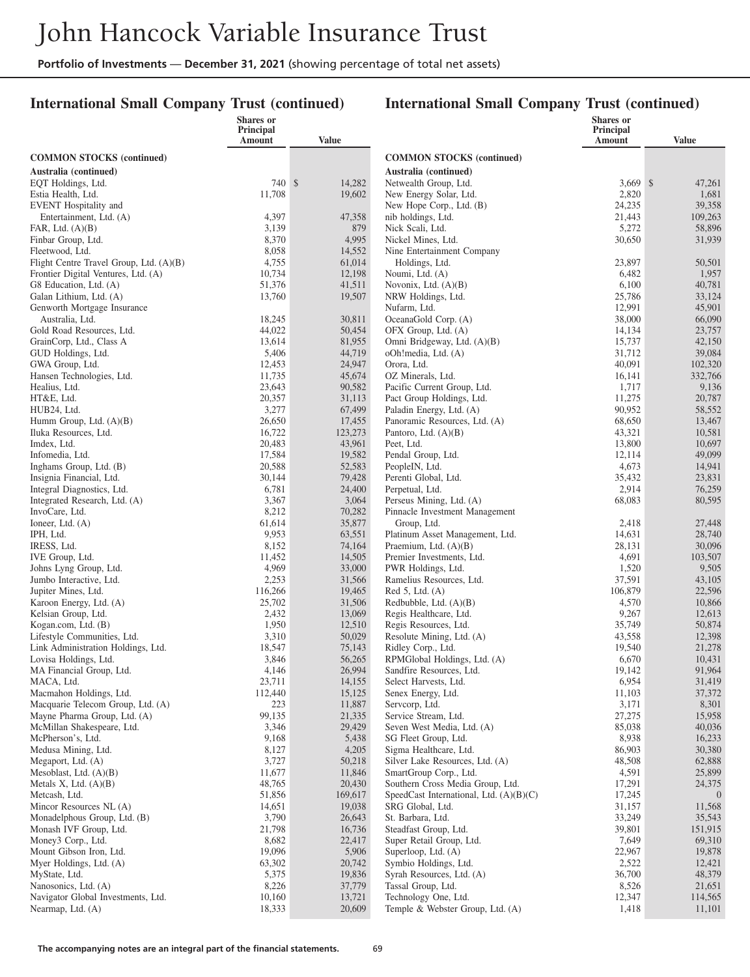#### **International Small Company Trust (continued)**

| Principal<br>Principal<br>Amount<br><b>Amount</b><br><b>Value</b><br>Value<br><b>COMMON STOCKS (continued)</b><br><b>COMMON STOCKS (continued)</b><br>Australia (continued)<br>Australia (continued)<br>740 \$<br>$3.669$ \$<br>14,282<br>Netwealth Group, Ltd.<br>EQT Holdings, Ltd.<br>2,820<br>11,708<br>19,602<br>New Energy Solar, Ltd.<br>Estia Health, Ltd.<br>24,235<br>EVENT Hospitality and<br>New Hope Corp., Ltd. (B)<br>Entertainment, Ltd. (A)<br>4,397<br>nib holdings, Ltd.<br>21,443<br>47,358<br>5,272<br>FAR, Ltd. (A)(B)<br>3,139<br>879<br>Nick Scali, Ltd.<br>4,995<br>Finbar Group, Ltd.<br>8,370<br>Nickel Mines, Ltd.<br>30,650<br>8,058<br>14,552<br>Fleetwood, Ltd.<br>Nine Entertainment Company<br>Flight Centre Travel Group, Ltd. (A)(B)<br>4,755<br>61,014<br>23,897<br>Holdings, Ltd.<br>12,198<br>Frontier Digital Ventures, Ltd. (A)<br>10,734<br>6,482<br>Noumi, Ltd. (A)<br>G8 Education, Ltd. (A)<br>51,376<br>41,511<br>6,100<br>Novonix, Ltd. $(A)(B)$<br>13,760<br>19,507<br>25,786<br>Galan Lithium, Ltd. (A)<br>NRW Holdings, Ltd.<br>12,991<br>Nufarm, Ltd.<br>Genworth Mortgage Insurance<br>Australia, Ltd.<br>18,245<br>30,811<br>OceanaGold Corp. (A)<br>38,000<br>44,022<br>Gold Road Resources, Ltd.<br>50,454<br>OFX Group, Ltd. (A)<br>14,134<br>GrainCorp, Ltd., Class A<br>13,614<br>81,955<br>Omni Bridgeway, Ltd. (A)(B)<br>15,737<br>5,406<br>44,719<br>oOh!media, Ltd. (A)<br>31,712<br>GUD Holdings, Ltd.<br>12,453<br>40,091<br>GWA Group, Ltd.<br>24,947<br>Orora, Ltd.<br>11,735<br>45,674<br>OZ Minerals, Ltd.<br>16,141<br>Hansen Technologies, Ltd.<br>23,643<br>90,582<br>Pacific Current Group, Ltd.<br>1,717<br>Healius, Ltd.<br>20,357<br>31,113<br>Pact Group Holdings, Ltd.<br>11,275<br>HT&E, Ltd.<br>3,277<br>67,499<br>90,952<br>Paladin Energy, Ltd. (A)<br>HUB24, Ltd.<br>26,650<br>17,455<br>Panoramic Resources, Ltd. (A)<br>68,650<br>Humm Group, Ltd. $(A)(B)$<br>16,722<br>43,321<br>123,273<br>Pantoro, Ltd. (A)(B)<br>Iluka Resources, Ltd.<br>20,483<br>13,800<br>43,961<br>Peet, Ltd.<br>Imdex, Ltd.<br>17,584<br>19,582<br>Infomedia, Ltd.<br>Pendal Group, Ltd.<br>12,114<br>20,588<br>4,673<br>Inghams Group, Ltd. (B)<br>52,583<br>PeopleIN, Ltd.<br>30,144<br>79,428<br>Insignia Financial, Ltd.<br>Perenti Global, Ltd.<br>35,432<br>6,781<br>2,914<br>Integral Diagnostics, Ltd.<br>24,400<br>Perpetual, Ltd.<br>3,367<br>3,064<br>Integrated Research, Ltd. (A)<br>Perseus Mining, Ltd. (A)<br>68,083<br>8,212<br>70,282<br>InvoCare, Ltd.<br>Pinnacle Investment Management<br>35,877<br>61,614<br>2,418<br>Ioneer, Ltd. $(A)$<br>Group, Ltd.<br>9,953<br>14,631<br>IPH, Ltd.<br>63,551<br>Platinum Asset Management, Ltd.<br>8,152<br>74,164<br>28,131<br>IRESS, Ltd.<br>Praemium, Ltd. $(A)(B)$<br>14,505<br>4,691<br>11,452<br>Premier Investments, Ltd.<br>IVE Group, Ltd.<br>4,969<br>33,000<br>PWR Holdings, Ltd.<br>1,520<br>Johns Lyng Group, Ltd.<br>2,253<br>37,591<br>Jumbo Interactive, Ltd.<br>31,566<br>Ramelius Resources, Ltd.<br>116,266<br>106,879<br>Jupiter Mines, Ltd.<br>19,465<br>$Red 5$ , Ltd. $(A)$<br>25,702<br>Karoon Energy, Ltd. (A)<br>31,506<br>4,570<br>Redbubble, Ltd. $(A)(B)$ | 47,261<br>1,681<br>39,358<br>109,263<br>58,896<br>31,939<br>50,501<br>1,957<br>40,781<br>33,124<br>45,901 |
|-----------------------------------------------------------------------------------------------------------------------------------------------------------------------------------------------------------------------------------------------------------------------------------------------------------------------------------------------------------------------------------------------------------------------------------------------------------------------------------------------------------------------------------------------------------------------------------------------------------------------------------------------------------------------------------------------------------------------------------------------------------------------------------------------------------------------------------------------------------------------------------------------------------------------------------------------------------------------------------------------------------------------------------------------------------------------------------------------------------------------------------------------------------------------------------------------------------------------------------------------------------------------------------------------------------------------------------------------------------------------------------------------------------------------------------------------------------------------------------------------------------------------------------------------------------------------------------------------------------------------------------------------------------------------------------------------------------------------------------------------------------------------------------------------------------------------------------------------------------------------------------------------------------------------------------------------------------------------------------------------------------------------------------------------------------------------------------------------------------------------------------------------------------------------------------------------------------------------------------------------------------------------------------------------------------------------------------------------------------------------------------------------------------------------------------------------------------------------------------------------------------------------------------------------------------------------------------------------------------------------------------------------------------------------------------------------------------------------------------------------------------------------------------------------------------------------------------------------------------------------------------------------------------------------------------------------------------------------------------------------------------------------------------------------------------------------------------------------------------------------------------------------------------------------------------------------------------------|-----------------------------------------------------------------------------------------------------------|
|                                                                                                                                                                                                                                                                                                                                                                                                                                                                                                                                                                                                                                                                                                                                                                                                                                                                                                                                                                                                                                                                                                                                                                                                                                                                                                                                                                                                                                                                                                                                                                                                                                                                                                                                                                                                                                                                                                                                                                                                                                                                                                                                                                                                                                                                                                                                                                                                                                                                                                                                                                                                                                                                                                                                                                                                                                                                                                                                                                                                                                                                                                                                                                                                                 |                                                                                                           |
|                                                                                                                                                                                                                                                                                                                                                                                                                                                                                                                                                                                                                                                                                                                                                                                                                                                                                                                                                                                                                                                                                                                                                                                                                                                                                                                                                                                                                                                                                                                                                                                                                                                                                                                                                                                                                                                                                                                                                                                                                                                                                                                                                                                                                                                                                                                                                                                                                                                                                                                                                                                                                                                                                                                                                                                                                                                                                                                                                                                                                                                                                                                                                                                                                 |                                                                                                           |
|                                                                                                                                                                                                                                                                                                                                                                                                                                                                                                                                                                                                                                                                                                                                                                                                                                                                                                                                                                                                                                                                                                                                                                                                                                                                                                                                                                                                                                                                                                                                                                                                                                                                                                                                                                                                                                                                                                                                                                                                                                                                                                                                                                                                                                                                                                                                                                                                                                                                                                                                                                                                                                                                                                                                                                                                                                                                                                                                                                                                                                                                                                                                                                                                                 |                                                                                                           |
|                                                                                                                                                                                                                                                                                                                                                                                                                                                                                                                                                                                                                                                                                                                                                                                                                                                                                                                                                                                                                                                                                                                                                                                                                                                                                                                                                                                                                                                                                                                                                                                                                                                                                                                                                                                                                                                                                                                                                                                                                                                                                                                                                                                                                                                                                                                                                                                                                                                                                                                                                                                                                                                                                                                                                                                                                                                                                                                                                                                                                                                                                                                                                                                                                 |                                                                                                           |
|                                                                                                                                                                                                                                                                                                                                                                                                                                                                                                                                                                                                                                                                                                                                                                                                                                                                                                                                                                                                                                                                                                                                                                                                                                                                                                                                                                                                                                                                                                                                                                                                                                                                                                                                                                                                                                                                                                                                                                                                                                                                                                                                                                                                                                                                                                                                                                                                                                                                                                                                                                                                                                                                                                                                                                                                                                                                                                                                                                                                                                                                                                                                                                                                                 |                                                                                                           |
|                                                                                                                                                                                                                                                                                                                                                                                                                                                                                                                                                                                                                                                                                                                                                                                                                                                                                                                                                                                                                                                                                                                                                                                                                                                                                                                                                                                                                                                                                                                                                                                                                                                                                                                                                                                                                                                                                                                                                                                                                                                                                                                                                                                                                                                                                                                                                                                                                                                                                                                                                                                                                                                                                                                                                                                                                                                                                                                                                                                                                                                                                                                                                                                                                 |                                                                                                           |
|                                                                                                                                                                                                                                                                                                                                                                                                                                                                                                                                                                                                                                                                                                                                                                                                                                                                                                                                                                                                                                                                                                                                                                                                                                                                                                                                                                                                                                                                                                                                                                                                                                                                                                                                                                                                                                                                                                                                                                                                                                                                                                                                                                                                                                                                                                                                                                                                                                                                                                                                                                                                                                                                                                                                                                                                                                                                                                                                                                                                                                                                                                                                                                                                                 |                                                                                                           |
|                                                                                                                                                                                                                                                                                                                                                                                                                                                                                                                                                                                                                                                                                                                                                                                                                                                                                                                                                                                                                                                                                                                                                                                                                                                                                                                                                                                                                                                                                                                                                                                                                                                                                                                                                                                                                                                                                                                                                                                                                                                                                                                                                                                                                                                                                                                                                                                                                                                                                                                                                                                                                                                                                                                                                                                                                                                                                                                                                                                                                                                                                                                                                                                                                 |                                                                                                           |
|                                                                                                                                                                                                                                                                                                                                                                                                                                                                                                                                                                                                                                                                                                                                                                                                                                                                                                                                                                                                                                                                                                                                                                                                                                                                                                                                                                                                                                                                                                                                                                                                                                                                                                                                                                                                                                                                                                                                                                                                                                                                                                                                                                                                                                                                                                                                                                                                                                                                                                                                                                                                                                                                                                                                                                                                                                                                                                                                                                                                                                                                                                                                                                                                                 |                                                                                                           |
|                                                                                                                                                                                                                                                                                                                                                                                                                                                                                                                                                                                                                                                                                                                                                                                                                                                                                                                                                                                                                                                                                                                                                                                                                                                                                                                                                                                                                                                                                                                                                                                                                                                                                                                                                                                                                                                                                                                                                                                                                                                                                                                                                                                                                                                                                                                                                                                                                                                                                                                                                                                                                                                                                                                                                                                                                                                                                                                                                                                                                                                                                                                                                                                                                 |                                                                                                           |
|                                                                                                                                                                                                                                                                                                                                                                                                                                                                                                                                                                                                                                                                                                                                                                                                                                                                                                                                                                                                                                                                                                                                                                                                                                                                                                                                                                                                                                                                                                                                                                                                                                                                                                                                                                                                                                                                                                                                                                                                                                                                                                                                                                                                                                                                                                                                                                                                                                                                                                                                                                                                                                                                                                                                                                                                                                                                                                                                                                                                                                                                                                                                                                                                                 |                                                                                                           |
|                                                                                                                                                                                                                                                                                                                                                                                                                                                                                                                                                                                                                                                                                                                                                                                                                                                                                                                                                                                                                                                                                                                                                                                                                                                                                                                                                                                                                                                                                                                                                                                                                                                                                                                                                                                                                                                                                                                                                                                                                                                                                                                                                                                                                                                                                                                                                                                                                                                                                                                                                                                                                                                                                                                                                                                                                                                                                                                                                                                                                                                                                                                                                                                                                 |                                                                                                           |
|                                                                                                                                                                                                                                                                                                                                                                                                                                                                                                                                                                                                                                                                                                                                                                                                                                                                                                                                                                                                                                                                                                                                                                                                                                                                                                                                                                                                                                                                                                                                                                                                                                                                                                                                                                                                                                                                                                                                                                                                                                                                                                                                                                                                                                                                                                                                                                                                                                                                                                                                                                                                                                                                                                                                                                                                                                                                                                                                                                                                                                                                                                                                                                                                                 |                                                                                                           |
|                                                                                                                                                                                                                                                                                                                                                                                                                                                                                                                                                                                                                                                                                                                                                                                                                                                                                                                                                                                                                                                                                                                                                                                                                                                                                                                                                                                                                                                                                                                                                                                                                                                                                                                                                                                                                                                                                                                                                                                                                                                                                                                                                                                                                                                                                                                                                                                                                                                                                                                                                                                                                                                                                                                                                                                                                                                                                                                                                                                                                                                                                                                                                                                                                 |                                                                                                           |
|                                                                                                                                                                                                                                                                                                                                                                                                                                                                                                                                                                                                                                                                                                                                                                                                                                                                                                                                                                                                                                                                                                                                                                                                                                                                                                                                                                                                                                                                                                                                                                                                                                                                                                                                                                                                                                                                                                                                                                                                                                                                                                                                                                                                                                                                                                                                                                                                                                                                                                                                                                                                                                                                                                                                                                                                                                                                                                                                                                                                                                                                                                                                                                                                                 |                                                                                                           |
|                                                                                                                                                                                                                                                                                                                                                                                                                                                                                                                                                                                                                                                                                                                                                                                                                                                                                                                                                                                                                                                                                                                                                                                                                                                                                                                                                                                                                                                                                                                                                                                                                                                                                                                                                                                                                                                                                                                                                                                                                                                                                                                                                                                                                                                                                                                                                                                                                                                                                                                                                                                                                                                                                                                                                                                                                                                                                                                                                                                                                                                                                                                                                                                                                 | 66,090                                                                                                    |
|                                                                                                                                                                                                                                                                                                                                                                                                                                                                                                                                                                                                                                                                                                                                                                                                                                                                                                                                                                                                                                                                                                                                                                                                                                                                                                                                                                                                                                                                                                                                                                                                                                                                                                                                                                                                                                                                                                                                                                                                                                                                                                                                                                                                                                                                                                                                                                                                                                                                                                                                                                                                                                                                                                                                                                                                                                                                                                                                                                                                                                                                                                                                                                                                                 | 23,757<br>42,150                                                                                          |
|                                                                                                                                                                                                                                                                                                                                                                                                                                                                                                                                                                                                                                                                                                                                                                                                                                                                                                                                                                                                                                                                                                                                                                                                                                                                                                                                                                                                                                                                                                                                                                                                                                                                                                                                                                                                                                                                                                                                                                                                                                                                                                                                                                                                                                                                                                                                                                                                                                                                                                                                                                                                                                                                                                                                                                                                                                                                                                                                                                                                                                                                                                                                                                                                                 | 39,084                                                                                                    |
|                                                                                                                                                                                                                                                                                                                                                                                                                                                                                                                                                                                                                                                                                                                                                                                                                                                                                                                                                                                                                                                                                                                                                                                                                                                                                                                                                                                                                                                                                                                                                                                                                                                                                                                                                                                                                                                                                                                                                                                                                                                                                                                                                                                                                                                                                                                                                                                                                                                                                                                                                                                                                                                                                                                                                                                                                                                                                                                                                                                                                                                                                                                                                                                                                 | 102,320                                                                                                   |
|                                                                                                                                                                                                                                                                                                                                                                                                                                                                                                                                                                                                                                                                                                                                                                                                                                                                                                                                                                                                                                                                                                                                                                                                                                                                                                                                                                                                                                                                                                                                                                                                                                                                                                                                                                                                                                                                                                                                                                                                                                                                                                                                                                                                                                                                                                                                                                                                                                                                                                                                                                                                                                                                                                                                                                                                                                                                                                                                                                                                                                                                                                                                                                                                                 | 332,766                                                                                                   |
|                                                                                                                                                                                                                                                                                                                                                                                                                                                                                                                                                                                                                                                                                                                                                                                                                                                                                                                                                                                                                                                                                                                                                                                                                                                                                                                                                                                                                                                                                                                                                                                                                                                                                                                                                                                                                                                                                                                                                                                                                                                                                                                                                                                                                                                                                                                                                                                                                                                                                                                                                                                                                                                                                                                                                                                                                                                                                                                                                                                                                                                                                                                                                                                                                 | 9,136                                                                                                     |
|                                                                                                                                                                                                                                                                                                                                                                                                                                                                                                                                                                                                                                                                                                                                                                                                                                                                                                                                                                                                                                                                                                                                                                                                                                                                                                                                                                                                                                                                                                                                                                                                                                                                                                                                                                                                                                                                                                                                                                                                                                                                                                                                                                                                                                                                                                                                                                                                                                                                                                                                                                                                                                                                                                                                                                                                                                                                                                                                                                                                                                                                                                                                                                                                                 | 20,787                                                                                                    |
|                                                                                                                                                                                                                                                                                                                                                                                                                                                                                                                                                                                                                                                                                                                                                                                                                                                                                                                                                                                                                                                                                                                                                                                                                                                                                                                                                                                                                                                                                                                                                                                                                                                                                                                                                                                                                                                                                                                                                                                                                                                                                                                                                                                                                                                                                                                                                                                                                                                                                                                                                                                                                                                                                                                                                                                                                                                                                                                                                                                                                                                                                                                                                                                                                 | 58,552                                                                                                    |
|                                                                                                                                                                                                                                                                                                                                                                                                                                                                                                                                                                                                                                                                                                                                                                                                                                                                                                                                                                                                                                                                                                                                                                                                                                                                                                                                                                                                                                                                                                                                                                                                                                                                                                                                                                                                                                                                                                                                                                                                                                                                                                                                                                                                                                                                                                                                                                                                                                                                                                                                                                                                                                                                                                                                                                                                                                                                                                                                                                                                                                                                                                                                                                                                                 | 13,467                                                                                                    |
|                                                                                                                                                                                                                                                                                                                                                                                                                                                                                                                                                                                                                                                                                                                                                                                                                                                                                                                                                                                                                                                                                                                                                                                                                                                                                                                                                                                                                                                                                                                                                                                                                                                                                                                                                                                                                                                                                                                                                                                                                                                                                                                                                                                                                                                                                                                                                                                                                                                                                                                                                                                                                                                                                                                                                                                                                                                                                                                                                                                                                                                                                                                                                                                                                 | 10,581                                                                                                    |
|                                                                                                                                                                                                                                                                                                                                                                                                                                                                                                                                                                                                                                                                                                                                                                                                                                                                                                                                                                                                                                                                                                                                                                                                                                                                                                                                                                                                                                                                                                                                                                                                                                                                                                                                                                                                                                                                                                                                                                                                                                                                                                                                                                                                                                                                                                                                                                                                                                                                                                                                                                                                                                                                                                                                                                                                                                                                                                                                                                                                                                                                                                                                                                                                                 | 10,697                                                                                                    |
|                                                                                                                                                                                                                                                                                                                                                                                                                                                                                                                                                                                                                                                                                                                                                                                                                                                                                                                                                                                                                                                                                                                                                                                                                                                                                                                                                                                                                                                                                                                                                                                                                                                                                                                                                                                                                                                                                                                                                                                                                                                                                                                                                                                                                                                                                                                                                                                                                                                                                                                                                                                                                                                                                                                                                                                                                                                                                                                                                                                                                                                                                                                                                                                                                 | 49,099                                                                                                    |
|                                                                                                                                                                                                                                                                                                                                                                                                                                                                                                                                                                                                                                                                                                                                                                                                                                                                                                                                                                                                                                                                                                                                                                                                                                                                                                                                                                                                                                                                                                                                                                                                                                                                                                                                                                                                                                                                                                                                                                                                                                                                                                                                                                                                                                                                                                                                                                                                                                                                                                                                                                                                                                                                                                                                                                                                                                                                                                                                                                                                                                                                                                                                                                                                                 | 14,941                                                                                                    |
|                                                                                                                                                                                                                                                                                                                                                                                                                                                                                                                                                                                                                                                                                                                                                                                                                                                                                                                                                                                                                                                                                                                                                                                                                                                                                                                                                                                                                                                                                                                                                                                                                                                                                                                                                                                                                                                                                                                                                                                                                                                                                                                                                                                                                                                                                                                                                                                                                                                                                                                                                                                                                                                                                                                                                                                                                                                                                                                                                                                                                                                                                                                                                                                                                 | 23,831                                                                                                    |
|                                                                                                                                                                                                                                                                                                                                                                                                                                                                                                                                                                                                                                                                                                                                                                                                                                                                                                                                                                                                                                                                                                                                                                                                                                                                                                                                                                                                                                                                                                                                                                                                                                                                                                                                                                                                                                                                                                                                                                                                                                                                                                                                                                                                                                                                                                                                                                                                                                                                                                                                                                                                                                                                                                                                                                                                                                                                                                                                                                                                                                                                                                                                                                                                                 | 76,259                                                                                                    |
|                                                                                                                                                                                                                                                                                                                                                                                                                                                                                                                                                                                                                                                                                                                                                                                                                                                                                                                                                                                                                                                                                                                                                                                                                                                                                                                                                                                                                                                                                                                                                                                                                                                                                                                                                                                                                                                                                                                                                                                                                                                                                                                                                                                                                                                                                                                                                                                                                                                                                                                                                                                                                                                                                                                                                                                                                                                                                                                                                                                                                                                                                                                                                                                                                 | 80,595                                                                                                    |
|                                                                                                                                                                                                                                                                                                                                                                                                                                                                                                                                                                                                                                                                                                                                                                                                                                                                                                                                                                                                                                                                                                                                                                                                                                                                                                                                                                                                                                                                                                                                                                                                                                                                                                                                                                                                                                                                                                                                                                                                                                                                                                                                                                                                                                                                                                                                                                                                                                                                                                                                                                                                                                                                                                                                                                                                                                                                                                                                                                                                                                                                                                                                                                                                                 | 27,448                                                                                                    |
|                                                                                                                                                                                                                                                                                                                                                                                                                                                                                                                                                                                                                                                                                                                                                                                                                                                                                                                                                                                                                                                                                                                                                                                                                                                                                                                                                                                                                                                                                                                                                                                                                                                                                                                                                                                                                                                                                                                                                                                                                                                                                                                                                                                                                                                                                                                                                                                                                                                                                                                                                                                                                                                                                                                                                                                                                                                                                                                                                                                                                                                                                                                                                                                                                 | 28,740                                                                                                    |
|                                                                                                                                                                                                                                                                                                                                                                                                                                                                                                                                                                                                                                                                                                                                                                                                                                                                                                                                                                                                                                                                                                                                                                                                                                                                                                                                                                                                                                                                                                                                                                                                                                                                                                                                                                                                                                                                                                                                                                                                                                                                                                                                                                                                                                                                                                                                                                                                                                                                                                                                                                                                                                                                                                                                                                                                                                                                                                                                                                                                                                                                                                                                                                                                                 | 30,096                                                                                                    |
|                                                                                                                                                                                                                                                                                                                                                                                                                                                                                                                                                                                                                                                                                                                                                                                                                                                                                                                                                                                                                                                                                                                                                                                                                                                                                                                                                                                                                                                                                                                                                                                                                                                                                                                                                                                                                                                                                                                                                                                                                                                                                                                                                                                                                                                                                                                                                                                                                                                                                                                                                                                                                                                                                                                                                                                                                                                                                                                                                                                                                                                                                                                                                                                                                 | 103,507                                                                                                   |
|                                                                                                                                                                                                                                                                                                                                                                                                                                                                                                                                                                                                                                                                                                                                                                                                                                                                                                                                                                                                                                                                                                                                                                                                                                                                                                                                                                                                                                                                                                                                                                                                                                                                                                                                                                                                                                                                                                                                                                                                                                                                                                                                                                                                                                                                                                                                                                                                                                                                                                                                                                                                                                                                                                                                                                                                                                                                                                                                                                                                                                                                                                                                                                                                                 | 9,505                                                                                                     |
|                                                                                                                                                                                                                                                                                                                                                                                                                                                                                                                                                                                                                                                                                                                                                                                                                                                                                                                                                                                                                                                                                                                                                                                                                                                                                                                                                                                                                                                                                                                                                                                                                                                                                                                                                                                                                                                                                                                                                                                                                                                                                                                                                                                                                                                                                                                                                                                                                                                                                                                                                                                                                                                                                                                                                                                                                                                                                                                                                                                                                                                                                                                                                                                                                 | 43,105                                                                                                    |
|                                                                                                                                                                                                                                                                                                                                                                                                                                                                                                                                                                                                                                                                                                                                                                                                                                                                                                                                                                                                                                                                                                                                                                                                                                                                                                                                                                                                                                                                                                                                                                                                                                                                                                                                                                                                                                                                                                                                                                                                                                                                                                                                                                                                                                                                                                                                                                                                                                                                                                                                                                                                                                                                                                                                                                                                                                                                                                                                                                                                                                                                                                                                                                                                                 | 22,596                                                                                                    |
|                                                                                                                                                                                                                                                                                                                                                                                                                                                                                                                                                                                                                                                                                                                                                                                                                                                                                                                                                                                                                                                                                                                                                                                                                                                                                                                                                                                                                                                                                                                                                                                                                                                                                                                                                                                                                                                                                                                                                                                                                                                                                                                                                                                                                                                                                                                                                                                                                                                                                                                                                                                                                                                                                                                                                                                                                                                                                                                                                                                                                                                                                                                                                                                                                 | 10,866                                                                                                    |
| 9,267<br>Kelsian Group, Ltd.<br>2,432<br>13,069<br>Regis Healthcare, Ltd.                                                                                                                                                                                                                                                                                                                                                                                                                                                                                                                                                                                                                                                                                                                                                                                                                                                                                                                                                                                                                                                                                                                                                                                                                                                                                                                                                                                                                                                                                                                                                                                                                                                                                                                                                                                                                                                                                                                                                                                                                                                                                                                                                                                                                                                                                                                                                                                                                                                                                                                                                                                                                                                                                                                                                                                                                                                                                                                                                                                                                                                                                                                                       | 12,613                                                                                                    |
| 35,749<br>Kogan.com, Ltd. (B)<br>1,950<br>12,510<br>Regis Resources, Ltd.                                                                                                                                                                                                                                                                                                                                                                                                                                                                                                                                                                                                                                                                                                                                                                                                                                                                                                                                                                                                                                                                                                                                                                                                                                                                                                                                                                                                                                                                                                                                                                                                                                                                                                                                                                                                                                                                                                                                                                                                                                                                                                                                                                                                                                                                                                                                                                                                                                                                                                                                                                                                                                                                                                                                                                                                                                                                                                                                                                                                                                                                                                                                       | 50,874                                                                                                    |
| 50,029<br>43,558<br>Lifestyle Communities, Ltd.<br>3,310<br>Resolute Mining, Ltd. (A)                                                                                                                                                                                                                                                                                                                                                                                                                                                                                                                                                                                                                                                                                                                                                                                                                                                                                                                                                                                                                                                                                                                                                                                                                                                                                                                                                                                                                                                                                                                                                                                                                                                                                                                                                                                                                                                                                                                                                                                                                                                                                                                                                                                                                                                                                                                                                                                                                                                                                                                                                                                                                                                                                                                                                                                                                                                                                                                                                                                                                                                                                                                           | 12,398                                                                                                    |
| Link Administration Holdings, Ltd.<br>18,547<br>75,143<br>Ridley Corp., Ltd.<br>19,540                                                                                                                                                                                                                                                                                                                                                                                                                                                                                                                                                                                                                                                                                                                                                                                                                                                                                                                                                                                                                                                                                                                                                                                                                                                                                                                                                                                                                                                                                                                                                                                                                                                                                                                                                                                                                                                                                                                                                                                                                                                                                                                                                                                                                                                                                                                                                                                                                                                                                                                                                                                                                                                                                                                                                                                                                                                                                                                                                                                                                                                                                                                          | 21,278                                                                                                    |
| 6,670<br>3,846<br>56,265<br>RPMGlobal Holdings, Ltd. (A)<br>Lovisa Holdings, Ltd.                                                                                                                                                                                                                                                                                                                                                                                                                                                                                                                                                                                                                                                                                                                                                                                                                                                                                                                                                                                                                                                                                                                                                                                                                                                                                                                                                                                                                                                                                                                                                                                                                                                                                                                                                                                                                                                                                                                                                                                                                                                                                                                                                                                                                                                                                                                                                                                                                                                                                                                                                                                                                                                                                                                                                                                                                                                                                                                                                                                                                                                                                                                               | 10,431                                                                                                    |
| 26,994<br>4,146<br>Sandfire Resources, Ltd.<br>19,142<br>MA Financial Group, Ltd.<br>23,711<br>14,155<br>6,954<br>MACA, Ltd.<br>Select Harvests, Ltd.                                                                                                                                                                                                                                                                                                                                                                                                                                                                                                                                                                                                                                                                                                                                                                                                                                                                                                                                                                                                                                                                                                                                                                                                                                                                                                                                                                                                                                                                                                                                                                                                                                                                                                                                                                                                                                                                                                                                                                                                                                                                                                                                                                                                                                                                                                                                                                                                                                                                                                                                                                                                                                                                                                                                                                                                                                                                                                                                                                                                                                                           | 91,964<br>31,419                                                                                          |
| Macmahon Holdings, Ltd.<br>112,440<br>11,103<br>15,125<br>Senex Energy, Ltd.                                                                                                                                                                                                                                                                                                                                                                                                                                                                                                                                                                                                                                                                                                                                                                                                                                                                                                                                                                                                                                                                                                                                                                                                                                                                                                                                                                                                                                                                                                                                                                                                                                                                                                                                                                                                                                                                                                                                                                                                                                                                                                                                                                                                                                                                                                                                                                                                                                                                                                                                                                                                                                                                                                                                                                                                                                                                                                                                                                                                                                                                                                                                    | 37,372                                                                                                    |
| 223<br>Macquarie Telecom Group, Ltd. (A)<br>11,887<br>3,171<br>Servcorp, Ltd.                                                                                                                                                                                                                                                                                                                                                                                                                                                                                                                                                                                                                                                                                                                                                                                                                                                                                                                                                                                                                                                                                                                                                                                                                                                                                                                                                                                                                                                                                                                                                                                                                                                                                                                                                                                                                                                                                                                                                                                                                                                                                                                                                                                                                                                                                                                                                                                                                                                                                                                                                                                                                                                                                                                                                                                                                                                                                                                                                                                                                                                                                                                                   | 8,301                                                                                                     |
| 99,135<br>27,275<br>Mayne Pharma Group, Ltd. (A)<br>21,335<br>Service Stream, Ltd.                                                                                                                                                                                                                                                                                                                                                                                                                                                                                                                                                                                                                                                                                                                                                                                                                                                                                                                                                                                                                                                                                                                                                                                                                                                                                                                                                                                                                                                                                                                                                                                                                                                                                                                                                                                                                                                                                                                                                                                                                                                                                                                                                                                                                                                                                                                                                                                                                                                                                                                                                                                                                                                                                                                                                                                                                                                                                                                                                                                                                                                                                                                              | 15,958                                                                                                    |
| 3,346<br>29,429<br>Seven West Media, Ltd. (A)<br>85,038<br>McMillan Shakespeare, Ltd.                                                                                                                                                                                                                                                                                                                                                                                                                                                                                                                                                                                                                                                                                                                                                                                                                                                                                                                                                                                                                                                                                                                                                                                                                                                                                                                                                                                                                                                                                                                                                                                                                                                                                                                                                                                                                                                                                                                                                                                                                                                                                                                                                                                                                                                                                                                                                                                                                                                                                                                                                                                                                                                                                                                                                                                                                                                                                                                                                                                                                                                                                                                           | 40,036                                                                                                    |
| 8,938<br>9,168<br>5,438<br>McPherson's, Ltd.<br>SG Fleet Group, Ltd.                                                                                                                                                                                                                                                                                                                                                                                                                                                                                                                                                                                                                                                                                                                                                                                                                                                                                                                                                                                                                                                                                                                                                                                                                                                                                                                                                                                                                                                                                                                                                                                                                                                                                                                                                                                                                                                                                                                                                                                                                                                                                                                                                                                                                                                                                                                                                                                                                                                                                                                                                                                                                                                                                                                                                                                                                                                                                                                                                                                                                                                                                                                                            | 16,233                                                                                                    |
| 8,127<br>4,205<br>86,903<br>Medusa Mining, Ltd.<br>Sigma Healthcare, Ltd.                                                                                                                                                                                                                                                                                                                                                                                                                                                                                                                                                                                                                                                                                                                                                                                                                                                                                                                                                                                                                                                                                                                                                                                                                                                                                                                                                                                                                                                                                                                                                                                                                                                                                                                                                                                                                                                                                                                                                                                                                                                                                                                                                                                                                                                                                                                                                                                                                                                                                                                                                                                                                                                                                                                                                                                                                                                                                                                                                                                                                                                                                                                                       | 30,380                                                                                                    |
| 3,727<br>50,218<br>Silver Lake Resources, Ltd. (A)<br>48,508<br>Megaport, Ltd. (A)                                                                                                                                                                                                                                                                                                                                                                                                                                                                                                                                                                                                                                                                                                                                                                                                                                                                                                                                                                                                                                                                                                                                                                                                                                                                                                                                                                                                                                                                                                                                                                                                                                                                                                                                                                                                                                                                                                                                                                                                                                                                                                                                                                                                                                                                                                                                                                                                                                                                                                                                                                                                                                                                                                                                                                                                                                                                                                                                                                                                                                                                                                                              | 62,888                                                                                                    |
| 11,677<br>11,846<br>4,591<br>Mesoblast, Ltd. $(A)(B)$<br>SmartGroup Corp., Ltd.                                                                                                                                                                                                                                                                                                                                                                                                                                                                                                                                                                                                                                                                                                                                                                                                                                                                                                                                                                                                                                                                                                                                                                                                                                                                                                                                                                                                                                                                                                                                                                                                                                                                                                                                                                                                                                                                                                                                                                                                                                                                                                                                                                                                                                                                                                                                                                                                                                                                                                                                                                                                                                                                                                                                                                                                                                                                                                                                                                                                                                                                                                                                 | 25,899                                                                                                    |
| 48,765<br>20,430<br>Southern Cross Media Group, Ltd.<br>17,291<br>Metals $X$ , Ltd. $(A)(B)$                                                                                                                                                                                                                                                                                                                                                                                                                                                                                                                                                                                                                                                                                                                                                                                                                                                                                                                                                                                                                                                                                                                                                                                                                                                                                                                                                                                                                                                                                                                                                                                                                                                                                                                                                                                                                                                                                                                                                                                                                                                                                                                                                                                                                                                                                                                                                                                                                                                                                                                                                                                                                                                                                                                                                                                                                                                                                                                                                                                                                                                                                                                    | 24,375                                                                                                    |
| 51,856<br>169,617<br>17,245<br>Metcash, Ltd.<br>SpeedCast International, Ltd. $(A)(B)(C)$                                                                                                                                                                                                                                                                                                                                                                                                                                                                                                                                                                                                                                                                                                                                                                                                                                                                                                                                                                                                                                                                                                                                                                                                                                                                                                                                                                                                                                                                                                                                                                                                                                                                                                                                                                                                                                                                                                                                                                                                                                                                                                                                                                                                                                                                                                                                                                                                                                                                                                                                                                                                                                                                                                                                                                                                                                                                                                                                                                                                                                                                                                                       | $\mathbf{0}$                                                                                              |
| 14,651<br>19,038<br>SRG Global, Ltd.<br>31,157<br>Mincor Resources NL (A)                                                                                                                                                                                                                                                                                                                                                                                                                                                                                                                                                                                                                                                                                                                                                                                                                                                                                                                                                                                                                                                                                                                                                                                                                                                                                                                                                                                                                                                                                                                                                                                                                                                                                                                                                                                                                                                                                                                                                                                                                                                                                                                                                                                                                                                                                                                                                                                                                                                                                                                                                                                                                                                                                                                                                                                                                                                                                                                                                                                                                                                                                                                                       | 11,568                                                                                                    |
| 3,790<br>33,249<br>26,643<br>St. Barbara, Ltd.<br>Monadelphous Group, Ltd. (B)                                                                                                                                                                                                                                                                                                                                                                                                                                                                                                                                                                                                                                                                                                                                                                                                                                                                                                                                                                                                                                                                                                                                                                                                                                                                                                                                                                                                                                                                                                                                                                                                                                                                                                                                                                                                                                                                                                                                                                                                                                                                                                                                                                                                                                                                                                                                                                                                                                                                                                                                                                                                                                                                                                                                                                                                                                                                                                                                                                                                                                                                                                                                  | 35,543                                                                                                    |
| Monash IVF Group, Ltd.<br>21,798<br>16,736<br>Steadfast Group, Ltd.<br>39,801<br>8,682<br>22,417<br>Super Retail Group, Ltd.<br>7,649<br>Money3 Corp., Ltd.                                                                                                                                                                                                                                                                                                                                                                                                                                                                                                                                                                                                                                                                                                                                                                                                                                                                                                                                                                                                                                                                                                                                                                                                                                                                                                                                                                                                                                                                                                                                                                                                                                                                                                                                                                                                                                                                                                                                                                                                                                                                                                                                                                                                                                                                                                                                                                                                                                                                                                                                                                                                                                                                                                                                                                                                                                                                                                                                                                                                                                                     | 151,915<br>69,310                                                                                         |
| 19,096<br>5,906<br>22,967<br>Mount Gibson Iron, Ltd.<br>Superloop, Ltd. (A)                                                                                                                                                                                                                                                                                                                                                                                                                                                                                                                                                                                                                                                                                                                                                                                                                                                                                                                                                                                                                                                                                                                                                                                                                                                                                                                                                                                                                                                                                                                                                                                                                                                                                                                                                                                                                                                                                                                                                                                                                                                                                                                                                                                                                                                                                                                                                                                                                                                                                                                                                                                                                                                                                                                                                                                                                                                                                                                                                                                                                                                                                                                                     | 19,878                                                                                                    |
| 63,302<br>20,742<br>Symbio Holdings, Ltd.<br>2,522<br>Myer Holdings, Ltd. (A)                                                                                                                                                                                                                                                                                                                                                                                                                                                                                                                                                                                                                                                                                                                                                                                                                                                                                                                                                                                                                                                                                                                                                                                                                                                                                                                                                                                                                                                                                                                                                                                                                                                                                                                                                                                                                                                                                                                                                                                                                                                                                                                                                                                                                                                                                                                                                                                                                                                                                                                                                                                                                                                                                                                                                                                                                                                                                                                                                                                                                                                                                                                                   | 12,421                                                                                                    |
| 5,375<br>19,836<br>Syrah Resources, Ltd. (A)<br>36,700<br>MyState, Ltd.                                                                                                                                                                                                                                                                                                                                                                                                                                                                                                                                                                                                                                                                                                                                                                                                                                                                                                                                                                                                                                                                                                                                                                                                                                                                                                                                                                                                                                                                                                                                                                                                                                                                                                                                                                                                                                                                                                                                                                                                                                                                                                                                                                                                                                                                                                                                                                                                                                                                                                                                                                                                                                                                                                                                                                                                                                                                                                                                                                                                                                                                                                                                         |                                                                                                           |
| 8,226<br>Nanosonics, Ltd. (A)<br>37,779<br>Tassal Group, Ltd.<br>8,526                                                                                                                                                                                                                                                                                                                                                                                                                                                                                                                                                                                                                                                                                                                                                                                                                                                                                                                                                                                                                                                                                                                                                                                                                                                                                                                                                                                                                                                                                                                                                                                                                                                                                                                                                                                                                                                                                                                                                                                                                                                                                                                                                                                                                                                                                                                                                                                                                                                                                                                                                                                                                                                                                                                                                                                                                                                                                                                                                                                                                                                                                                                                          |                                                                                                           |
| Navigator Global Investments, Ltd.<br>10,160<br>13,721<br>12,347<br>Technology One, Ltd.                                                                                                                                                                                                                                                                                                                                                                                                                                                                                                                                                                                                                                                                                                                                                                                                                                                                                                                                                                                                                                                                                                                                                                                                                                                                                                                                                                                                                                                                                                                                                                                                                                                                                                                                                                                                                                                                                                                                                                                                                                                                                                                                                                                                                                                                                                                                                                                                                                                                                                                                                                                                                                                                                                                                                                                                                                                                                                                                                                                                                                                                                                                        | 48,379<br>21,651                                                                                          |
| Nearmap, Ltd. (A)<br>18,333<br>20,609<br>Temple & Webster Group, Ltd. (A)<br>1,418                                                                                                                                                                                                                                                                                                                                                                                                                                                                                                                                                                                                                                                                                                                                                                                                                                                                                                                                                                                                                                                                                                                                                                                                                                                                                                                                                                                                                                                                                                                                                                                                                                                                                                                                                                                                                                                                                                                                                                                                                                                                                                                                                                                                                                                                                                                                                                                                                                                                                                                                                                                                                                                                                                                                                                                                                                                                                                                                                                                                                                                                                                                              | 114,565<br>11,101                                                                                         |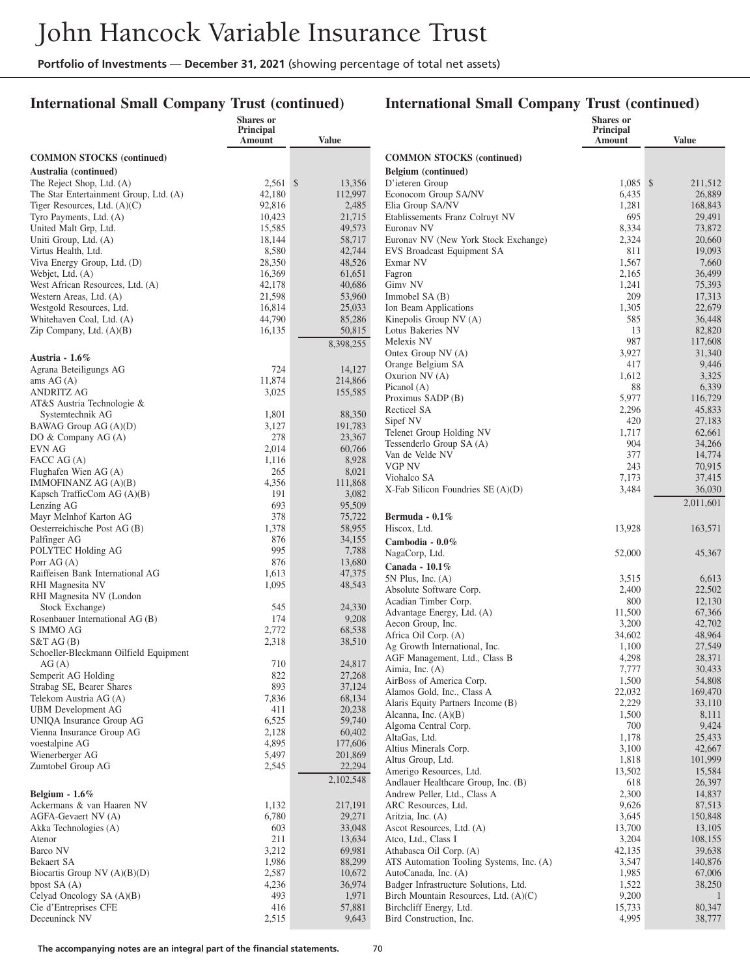## **International Small Company Trust (continued)**

|                                                     | Shares or<br>Principal |                  |                                                                    | <b>Shares</b> or<br><b>Principal</b> |                   |
|-----------------------------------------------------|------------------------|------------------|--------------------------------------------------------------------|--------------------------------------|-------------------|
|                                                     | Amount                 | Value            |                                                                    | <b>Amount</b>                        | <b>Value</b>      |
| <b>COMMON STOCKS</b> (continued)                    |                        |                  | <b>COMMON STOCKS</b> (continued)                                   |                                      |                   |
| Australia (continued)                               |                        |                  | Belgium (continued)                                                |                                      |                   |
| The Reject Shop, Ltd. (A)                           | $2,561$ \$             | 13,356           | D'ieteren Group                                                    | $1,085$ \$                           | 211,512           |
| The Star Entertainment Group, Ltd. (A)              | 42,180                 | 112,997          | Econocom Group SA/NV                                               | 6,435                                | 26,889            |
| Tiger Resources, Ltd. (A)(C)                        | 92,816                 | 2,485            | Elia Group SA/NV                                                   | 1,281                                | 168,843           |
| Tyro Payments, Ltd. (A)                             | 10,423                 | 21,715           | Etablissements Franz Colruyt NV                                    | 695                                  | 29,491            |
| United Malt Grp, Ltd.                               | 15,585                 | 49,573           | Euronav NV                                                         | 8,334                                | 73,872            |
| Uniti Group, Ltd. (A)<br>Virtus Health, Ltd.        | 18,144<br>8,580        | 58,717<br>42,744 | Euronav NV (New York Stock Exchange)<br>EVS Broadcast Equipment SA | 2,324<br>811                         | 20,660<br>19,093  |
| Viva Energy Group, Ltd. (D)                         | 28,350                 | 48,526           | Exmar NV                                                           | 1,567                                | 7,660             |
| Webjet, Ltd. (A)                                    | 16,369                 | 61,651           | Fagron                                                             | 2,165                                | 36,499            |
| West African Resources, Ltd. (A)                    | 42,178                 | 40,686           | Gimv NV                                                            | 1,241                                | 75,393            |
| Western Areas, Ltd. (A)                             | 21,598                 | 53,960           | Immobel $SA(B)$                                                    | 209                                  | 17,313            |
| Westgold Resources, Ltd.                            | 16,814                 | 25,033           | Ion Beam Applications                                              | 1,305                                | 22,679            |
| Whitehaven Coal, Ltd. (A)                           | 44,790                 | 85,286           | Kinepolis Group NV (A)                                             | 585                                  | 36,448            |
| Zip Company, Ltd. (A)(B)                            | 16,135                 | 50,815           | Lotus Bakeries NV                                                  | 13                                   | 82,820            |
|                                                     |                        | 8,398,255        | Melexis NV                                                         | 987                                  | 117,608           |
| Austria - $1.6\%$                                   |                        |                  | Ontex Group NV (A)                                                 | 3,927                                | 31,340            |
| Agrana Beteiligungs AG                              | 724                    | 14,127           | Orange Belgium SA                                                  | 417                                  | 9,446             |
| ams $AG(A)$                                         | 11,874                 | 214,866          | Oxurion NV (A)                                                     | 1,612                                | 3,325             |
| <b>ANDRITZ AG</b>                                   | 3,025                  | 155,585          | Picanol $(A)$                                                      | 88                                   | 6,339             |
| AT&S Austria Technologie &                          |                        |                  | Proximus SADP (B)                                                  | 5,977                                | 116,729           |
| Systemtechnik AG                                    | 1,801                  | 88,350           | Recticel SA                                                        | 2,296<br>420                         | 45,833            |
| BAWAG Group AG (A)(D)                               | 3,127                  | 191,783          | Sipef NV<br>Telenet Group Holding NV                               | 1,717                                | 27,183<br>62,661  |
| DO & Company AG (A)                                 | 278                    | 23,367           | Tessenderlo Group SA (A)                                           | 904                                  | 34,266            |
| EVN AG                                              | 2,014                  | 60,766           | Van de Velde NV                                                    | 377                                  | 14,774            |
| FACC AG (A)                                         | 1,116                  | 8,928            | VGP NV                                                             | 243                                  | 70,915            |
| Flughafen Wien AG (A)                               | 265                    | 8,021            | Viohalco SA                                                        | 7,173                                | 37,415            |
| IMMOFINANZ AG (A)(B)<br>Kapsch TrafficCom AG (A)(B) | 4,356<br>191           | 111,868<br>3,082 | $X$ -Fab Silicon Foundries SE $(A)(D)$                             | 3,484                                | 36,030            |
| Lenzing AG                                          | 693                    | 95,509           |                                                                    |                                      | 2,011,601         |
| Mayr Melnhof Karton AG                              | 378                    | 75,722           | Bermuda - $0.1\%$                                                  |                                      |                   |
| Oesterreichische Post AG (B)                        | 1,378                  | 58,955           | Hiscox, Ltd.                                                       | 13,928                               | 163,571           |
| Palfinger AG                                        | 876                    | 34,155           | Cambodia - 0.0%                                                    |                                      |                   |
| POLYTEC Holding AG                                  | 995                    | 7,788            | NagaCorp, Ltd.                                                     | 52,000                               | 45,367            |
| Porr $AG(A)$                                        | 876                    | 13,680           | Canada - $10.1\%$                                                  |                                      |                   |
| Raiffeisen Bank International AG                    | 1,613                  | 47,375           | $5N$ Plus, Inc. $(A)$                                              | 3,515                                | 6,613             |
| RHI Magnesita NV                                    | 1,095                  | 48,543           | Absolute Software Corp.                                            | 2,400                                | 22,502            |
| RHI Magnesita NV (London                            |                        |                  | Acadian Timber Corp.                                               | 800                                  | 12,130            |
| Stock Exchange)                                     | 545                    | 24,330           | Advantage Energy, Ltd. (A)                                         | 11,500                               | 67,366            |
| Rosenbauer International AG (B)<br>S IMMO AG        | 174                    | 9,208            | Aecon Group, Inc.                                                  | 3,200                                | 42,702            |
| S&TAG(B)                                            | 2,772<br>2,318         | 68,538<br>38,510 | Africa Oil Corp. (A)                                               | 34,602                               | 48,964            |
| Schoeller-Bleckmann Oilfield Equipment              |                        |                  | Ag Growth International, Inc.                                      | 1,100                                | 27,549            |
| AG(A)                                               | 710                    | 24,817           | AGF Management, Ltd., Class B                                      | 4,298                                | 28,371            |
| Semperit AG Holding                                 | 822                    | 27,268           | Aimia, Inc. (A)                                                    | 7,777                                | 30,433            |
| Strabag SE, Bearer Shares                           | 893                    | 37,124           | AirBoss of America Corp.                                           | 1,500                                | 54,808            |
| Telekom Austria AG (A)                              | 7,836                  | 68,134           | Alamos Gold, Inc., Class A<br>Alaris Equity Partners Income (B)    | 22,032<br>2,229                      | 169,470<br>33,110 |
| <b>UBM</b> Development AG                           | 411                    | 20,238           | Alcanna, Inc. $(A)(B)$                                             | 1,500                                | 8,111             |
| UNIQA Insurance Group AG                            | 6,525                  | 59,740           | Algoma Central Corp.                                               | 700                                  | 9,424             |
| Vienna Insurance Group AG                           | 2,128                  | 60,402           | AltaGas, Ltd.                                                      | 1,178                                | 25,433            |
| voestalpine AG                                      | 4,895                  | 177,606          | Altius Minerals Corp.                                              | 3,100                                | 42,667            |
| Wienerberger AG                                     | 5,497                  | 201,869          | Altus Group, Ltd.                                                  | 1,818                                | 101,999           |
| Zumtobel Group AG                                   | 2,545                  | 22,294           | Amerigo Resources, Ltd.                                            | 13,502                               | 15,584            |
|                                                     |                        | 2,102,548        | Andlauer Healthcare Group, Inc. (B)                                | 618                                  | 26,397            |
| Belgium - $1.6\%$                                   |                        |                  | Andrew Peller, Ltd., Class A                                       | 2,300                                | 14,837            |
| Ackermans & van Haaren NV                           | 1,132                  | 217,191          | ARC Resources, Ltd.                                                | 9,626                                | 87,513            |
| AGFA-Gevaert NV (A)                                 | 6,780                  | 29,271           | Aritzia, Inc. (A)                                                  | 3,645                                | 150,848           |
| Akka Technologies (A)                               | 603                    | 33,048           | Ascot Resources, Ltd. (A)                                          | 13,700                               | 13,105            |
| Atenor<br>Barco NV                                  | 211<br>3,212           | 13,634<br>69,981 | Atco, Ltd., Class I<br>Athabasca Oil Corp. (A)                     | 3,204<br>42,135                      | 108,155<br>39,638 |
| Bekaert SA                                          | 1,986                  | 88,299           | ATS Automation Tooling Systems, Inc. (A)                           | 3,547                                | 140,876           |
| Biocartis Group NV $(A)(B)(D)$                      | 2,587                  | 10,672           | AutoCanada, Inc. (A)                                               | 1,985                                | 67,006            |
| bpost $SA(A)$                                       | 4,236                  | 36,974           | Badger Infrastructure Solutions, Ltd.                              | 1,522                                | 38,250            |
| Celyad Oncology SA (A)(B)                           | 493                    | 1,971            | Birch Mountain Resources, Ltd. (A)(C)                              | 9,200                                | $\mathbf{1}$      |
| Cie d'Entreprises CFE                               | 416                    | 57,881           | Birchcliff Energy, Ltd.                                            | 15,733                               | 80,347            |
| Deceuninck NV                                       | 2,515                  | 9,643            | Bird Construction, Inc.                                            | 4,995                                | 38,777            |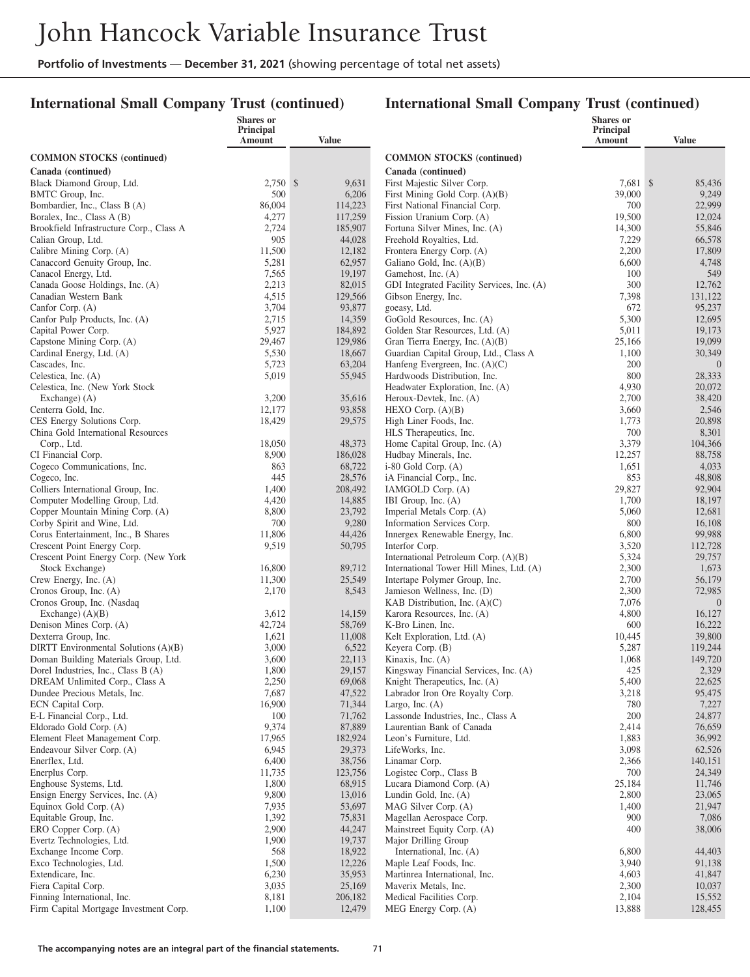#### **International Small Company Trust (continued)**

|                                                                      | <b>Shares or</b><br>Principal |                   |                                                               | Shares or<br>Principal |                   |
|----------------------------------------------------------------------|-------------------------------|-------------------|---------------------------------------------------------------|------------------------|-------------------|
|                                                                      | Amount                        | Value             |                                                               | Amount                 | <b>Value</b>      |
| <b>COMMON STOCKS</b> (continued)                                     |                               |                   | <b>COMMON STOCKS</b> (continued)                              |                        |                   |
| Canada (continued)                                                   |                               |                   | Canada (continued)                                            |                        |                   |
| Black Diamond Group, Ltd.                                            | 2,750 \$                      | 9,631             | First Majestic Silver Corp.                                   | 7,681 \$               | 85,436            |
| BMTC Group, Inc.                                                     | 500                           | 6,206             | First Mining Gold Corp. (A)(B)                                | 39,000                 | 9,249             |
| Bombardier, Inc., Class B (A)                                        | 86,004                        | 114,223           | First National Financial Corp.                                | 700                    | 22,999            |
| Boralex, Inc., Class A (B)                                           | 4,277                         | 117,259           | Fission Uranium Corp. (A)                                     | 19,500                 | 12,024            |
| Brookfield Infrastructure Corp., Class A                             | 2,724                         | 185,907           | Fortuna Silver Mines, Inc. (A)                                | 14,300                 | 55,846            |
| Calian Group, Ltd.                                                   | 905                           | 44,028            | Freehold Royalties, Ltd.                                      | 7,229                  | 66,578            |
| Calibre Mining Corp. (A)                                             | 11,500                        | 12,182            | Frontera Energy Corp. (A)                                     | 2,200                  | 17,809            |
| Canaccord Genuity Group, Inc.                                        | 5,281                         | 62,957            | Galiano Gold, Inc. (A)(B)                                     | 6,600                  | 4,748             |
| Canacol Energy, Ltd.                                                 | 7,565                         | 19,197            | Gamehost, Inc. (A)                                            | 100                    | 549               |
| Canada Goose Holdings, Inc. (A)                                      | 2,213                         | 82,015            | GDI Integrated Facility Services, Inc. (A)                    | 300                    | 12,762            |
| Canadian Western Bank                                                | 4,515                         | 129,566           | Gibson Energy, Inc.                                           | 7,398                  | 131,122           |
| Canfor Corp. (A)                                                     | 3,704                         | 93,877            | goeasy, Ltd.                                                  | 672                    | 95,237            |
| Canfor Pulp Products, Inc. (A)<br>Capital Power Corp.                | 2,715<br>5,927                | 14,359<br>184,892 | GoGold Resources, Inc. (A)<br>Golden Star Resources, Ltd. (A) | 5,300<br>5,011         | 12,695<br>19,173  |
| Capstone Mining Corp. (A)                                            | 29,467                        | 129,986           | Gran Tierra Energy, Inc. (A)(B)                               | 25,166                 | 19,099            |
| Cardinal Energy, Ltd. (A)                                            | 5,530                         | 18,667            | Guardian Capital Group, Ltd., Class A                         | 1,100                  | 30,349            |
| Cascades, Inc.                                                       | 5,723                         | 63,204            | Hanfeng Evergreen, Inc. $(A)(C)$                              | 200                    | $\mathbf{0}$      |
| Celestica, Inc. (A)                                                  | 5,019                         | 55,945            | Hardwoods Distribution, Inc.                                  | 800                    | 28,333            |
| Celestica, Inc. (New York Stock)                                     |                               |                   | Headwater Exploration, Inc. (A)                               | 4,930                  | 20,072            |
| Exchange) (A)                                                        | 3,200                         | 35,616            | Heroux-Devtek, Inc. (A)                                       | 2,700                  | 38,420            |
| Centerra Gold, Inc.                                                  | 12,177                        | 93,858            | HEXO Corp. $(A)(B)$                                           | 3,660                  | 2,546             |
| CES Energy Solutions Corp.                                           | 18,429                        | 29,575            | High Liner Foods, Inc.                                        | 1,773                  | 20,898            |
| China Gold International Resources                                   |                               |                   | HLS Therapeutics, Inc.                                        | 700                    | 8,301             |
| Corp., Ltd.                                                          | 18,050                        | 48,373            | Home Capital Group, Inc. (A)                                  | 3,379                  | 104,366           |
| CI Financial Corp.                                                   | 8,900                         | 186,028           | Hudbay Minerals, Inc.                                         | 12,257                 | 88,758            |
| Cogeco Communications, Inc.                                          | 863                           | 68,722            | $i-80$ Gold Corp. $(A)$                                       | 1,651                  | 4,033             |
| Cogeco, Inc.                                                         | 445                           | 28,576            | iA Financial Corp., Inc.                                      | 853<br>29,827          | 48,808<br>92,904  |
| Colliers International Group, Inc.<br>Computer Modelling Group, Ltd. | 1,400<br>4,420                | 208,492<br>14,885 | IAMGOLD Corp. (A)<br>IBI Group, Inc. (A)                      | 1,700                  | 18,197            |
| Copper Mountain Mining Corp. (A)                                     | 8,800                         | 23,792            | Imperial Metals Corp. (A)                                     | 5,060                  | 12,681            |
| Corby Spirit and Wine, Ltd.                                          | 700                           | 9,280             | Information Services Corp.                                    | 800                    | 16,108            |
| Corus Entertainment, Inc., B Shares                                  | 11,806                        | 44,426            | Innergex Renewable Energy, Inc.                               | 6,800                  | 99,988            |
| Crescent Point Energy Corp.                                          | 9,519                         | 50,795            | Interfor Corp.                                                | 3,520                  | 112,728           |
| Crescent Point Energy Corp. (New York                                |                               |                   | International Petroleum Corp. (A)(B)                          | 5,324                  | 29,757            |
| Stock Exchange)                                                      | 16,800                        | 89,712            | International Tower Hill Mines, Ltd. (A)                      | 2,300                  | 1,673             |
| Crew Energy, Inc. (A)                                                | 11,300                        | 25,549            | Intertape Polymer Group, Inc.                                 | 2,700                  | 56,179            |
| Cronos Group, Inc. (A)                                               | 2,170                         | 8,543             | Jamieson Wellness, Inc. (D)                                   | 2,300                  | 72,985            |
| Cronos Group, Inc. (Nasdaq                                           |                               |                   | KAB Distribution, Inc. $(A)(C)$                               | 7,076                  | $\overline{0}$    |
| Exchange) $(A)(B)$                                                   | 3,612                         | 14,159            | Karora Resources, Inc. (A)                                    | 4,800                  | 16,127            |
| Denison Mines Corp. (A)                                              | 42,724                        | 58,769            | K-Bro Linen, Inc.                                             | 600                    | 16,222            |
| Dexterra Group, Inc.<br>DIRTT Environmental Solutions (A)(B)         | 1,621<br>3,000                | 11,008<br>6,522   | Kelt Exploration, Ltd. (A)<br>Keyera Corp. (B)                | 10,445<br>5,287        | 39,800<br>119,244 |
| Doman Building Materials Group, Ltd.                                 | 3,600                         | 22,113            | Kinaxis, Inc. (A)                                             | 1,068                  | 149,720           |
| Dorel Industries, Inc., Class B (A)                                  | 1,800                         | 29,157            | Kingsway Financial Services, Inc. (A)                         | 425                    | 2,329             |
| DREAM Unlimited Corp., Class A                                       | 2,250                         | 69,068            | Knight Therapeutics, Inc. (A)                                 | 5,400                  | 22,625            |
| Dundee Precious Metals, Inc.                                         | 7,687                         | 47,522            | Labrador Iron Ore Royalty Corp.                               | 3,218                  | 95,475            |
| ECN Capital Corp.                                                    | 16,900                        | 71,344            | Largo, Inc. $(A)$                                             | 780                    | 7,227             |
| E-L Financial Corp., Ltd.                                            | 100                           | 71,762            | Lassonde Industries, Inc., Class A                            | 200                    | 24,877            |
| Eldorado Gold Corp. (A)                                              | 9,374                         | 87,889            | Laurentian Bank of Canada                                     | 2,414                  | 76,659            |
| Element Fleet Management Corp.                                       | 17,965                        | 182,924           | Leon's Furniture, Ltd.                                        | 1,883                  | 36,992            |
| Endeavour Silver Corp. (A)                                           | 6,945                         | 29,373            | LifeWorks, Inc.                                               | 3,098                  | 62,526            |
| Enerflex, Ltd.                                                       | 6,400                         | 38,756            | Linamar Corp.                                                 | 2,366                  | 140,151           |
| Enerplus Corp.                                                       | 11,735                        | 123,756           | Logistec Corp., Class B                                       | 700                    | 24,349            |
| Enghouse Systems, Ltd.                                               | 1,800<br>9,800                | 68,915<br>13,016  | Lucara Diamond Corp. (A)<br>Lundin Gold, Inc. (A)             | 25,184<br>2,800        | 11,746<br>23,065  |
| Ensign Energy Services, Inc. (A)<br>Equinox Gold Corp. (A)           | 7,935                         | 53,697            | MAG Silver Corp. (A)                                          | 1,400                  | 21,947            |
| Equitable Group, Inc.                                                | 1,392                         | 75,831            | Magellan Aerospace Corp.                                      | 900                    | 7,086             |
| ERO Copper Corp. (A)                                                 | 2,900                         | 44,247            | Mainstreet Equity Corp. (A)                                   | 400                    | 38,006            |
| Evertz Technologies, Ltd.                                            | 1,900                         | 19,737            | Major Drilling Group                                          |                        |                   |
| Exchange Income Corp.                                                | 568                           | 18,922            | International, Inc. (A)                                       | 6,800                  | 44,403            |
| Exco Technologies, Ltd.                                              | 1,500                         | 12,226            | Maple Leaf Foods, Inc.                                        | 3,940                  | 91,138            |
| Extendicare, Inc.                                                    | 6,230                         | 35,953            | Martinrea International, Inc.                                 | 4,603                  | 41,847            |
| Fiera Capital Corp.                                                  | 3,035                         | 25,169            | Maverix Metals, Inc.                                          | 2,300                  | 10,037            |
| Finning International, Inc.                                          | 8,181                         | 206,182           | Medical Facilities Corp.                                      | 2,104                  | 15,552            |
| Firm Capital Mortgage Investment Corp.                               | 1,100                         | 12,479            | MEG Energy Corp. (A)                                          | 13,888                 | 128,455           |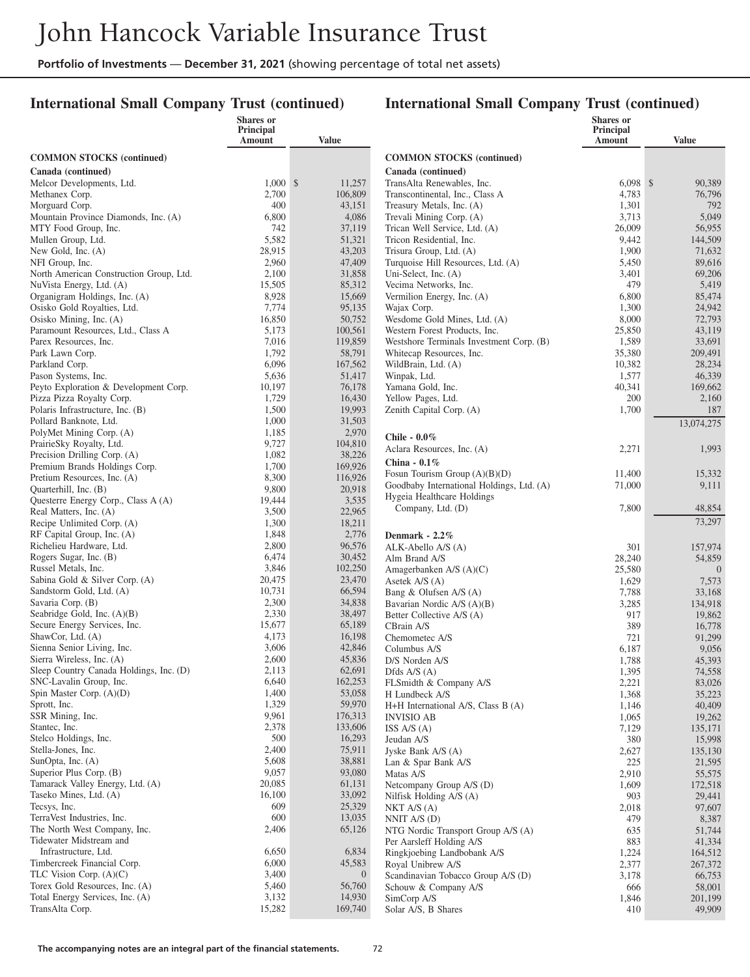#### **International Small Company Trust (continued)**

|                                                            | <b>Shares or</b><br>Principal |                          |                                                              | <b>Shares</b> or<br>Principal |                   |
|------------------------------------------------------------|-------------------------------|--------------------------|--------------------------------------------------------------|-------------------------------|-------------------|
|                                                            | Amount                        | <b>Value</b>             |                                                              | Amount                        | <b>Value</b>      |
| <b>COMMON STOCKS</b> (continued)                           |                               |                          | <b>COMMON STOCKS</b> (continued)                             |                               |                   |
| Canada (continued)                                         |                               |                          | Canada (continued)                                           |                               |                   |
| Melcor Developments, Ltd.                                  | $1,000 \text{ }$ \$           | 11,257                   | TransAlta Renewables, Inc.                                   | $6,098$ \$                    | 90,389            |
| Methanex Corp.                                             | 2,700                         | 106,809                  | Transcontinental, Inc., Class A                              | 4,783                         | 76,796            |
| Morguard Corp.                                             | 400                           | 43,151                   | Treasury Metals, Inc. (A)                                    | 1,301                         | 792               |
| Mountain Province Diamonds, Inc. (A)                       | 6,800                         | 4,086                    | Trevali Mining Corp. (A)                                     | 3,713                         | 5,049             |
| MTY Food Group, Inc.                                       | 742                           | 37,119                   | Trican Well Service, Ltd. (A)                                | 26,009                        | 56,955            |
| Mullen Group, Ltd.                                         | 5,582                         | 51,321                   | Tricon Residential, Inc.                                     | 9,442                         | 144,509           |
| New Gold, Inc. (A)<br>NFI Group, Inc.                      | 28,915<br>2,960               | 43,203<br>47,409         | Trisura Group, Ltd. (A)                                      | 1,900<br>5,450                | 71,632<br>89,616  |
| North American Construction Group, Ltd.                    | 2,100                         | 31,858                   | Turquoise Hill Resources, Ltd. (A)<br>Uni-Select, Inc. $(A)$ | 3,401                         | 69,206            |
| NuVista Energy, Ltd. (A)                                   | 15,505                        | 85,312                   | Vecima Networks, Inc.                                        | 479                           | 5,419             |
| Organigram Holdings, Inc. (A)                              | 8,928                         | 15,669                   | Vermilion Energy, Inc. (A)                                   | 6,800                         | 85,474            |
| Osisko Gold Royalties, Ltd.                                | 7,774                         | 95,135                   | Wajax Corp.                                                  | 1,300                         | 24,942            |
| Osisko Mining, Inc. (A)                                    | 16,850                        | 50,752                   | Wesdome Gold Mines, Ltd. (A)                                 | 8,000                         | 72,793            |
| Paramount Resources, Ltd., Class A                         | 5,173                         | 100,561                  | Western Forest Products, Inc.                                | 25,850                        | 43,119            |
| Parex Resources, Inc.                                      | 7,016                         | 119,859                  | Westshore Terminals Investment Corp. (B)                     | 1,589                         | 33,691            |
| Park Lawn Corp.                                            | 1,792                         | 58,791                   | Whitecap Resources, Inc.                                     | 35,380                        | 209,491           |
| Parkland Corp.                                             | 6,096                         | 167,562                  | WildBrain, Ltd. (A)                                          | 10,382                        | 28,234            |
| Pason Systems, Inc.                                        | 5,636                         | 51,417                   | Winpak, Ltd.                                                 | 1,577                         | 46,339            |
| Peyto Exploration & Development Corp.                      | 10,197                        | 76,178                   | Yamana Gold, Inc.                                            | 40,341                        | 169,662           |
| Pizza Pizza Royalty Corp.                                  | 1,729                         | 16,430                   | Yellow Pages, Ltd.                                           | 200                           | 2,160             |
| Polaris Infrastructure, Inc. (B)                           | 1,500                         | 19,993                   | Zenith Capital Corp. (A)                                     | 1,700                         | 187               |
| Pollard Banknote, Ltd.                                     | 1,000<br>1,185                | 31,503<br>2,970          |                                                              |                               | 13,074,275        |
| PolyMet Mining Corp. (A)<br>PrairieSky Royalty, Ltd.       | 9,727                         | 104,810                  | Chile - 0.0%                                                 |                               |                   |
| Precision Drilling Corp. (A)                               | 1,082                         | 38,226                   | Aclara Resources, Inc. (A)                                   | 2,271                         | 1,993             |
| Premium Brands Holdings Corp.                              | 1,700                         | 169,926                  | China - 0.1%                                                 |                               |                   |
| Pretium Resources, Inc. (A)                                | 8,300                         | 116,926                  | Fosun Tourism Group $(A)(B)(D)$                              | 11,400                        | 15,332            |
| Quarterhill, Inc. (B)                                      | 9,800                         | 20,918                   | Goodbaby International Holdings, Ltd. (A)                    | 71,000                        | 9,111             |
| Questerre Energy Corp., Class A (A)                        | 19,444                        | 3,535                    | Hygeia Healthcare Holdings                                   |                               |                   |
| Real Matters, Inc. (A)                                     | 3,500                         | 22,965                   | Company, Ltd. (D)                                            | 7,800                         | 48,854            |
| Recipe Unlimited Corp. (A)                                 | 1,300                         | 18,211                   |                                                              |                               | 73,297            |
| RF Capital Group, Inc. (A)                                 | 1,848                         | 2,776                    | Denmark - $2.2\%$                                            |                               |                   |
| Richelieu Hardware, Ltd.                                   | 2,800                         | 96,576                   | ALK-Abello A/S (A)                                           | 301                           | 157,974           |
| Rogers Sugar, Inc. (B)                                     | 6,474                         | 30,452                   | Alm Brand A/S                                                | 28,240                        | 54,859            |
| Russel Metals, Inc.                                        | 3,846                         | 102,250                  | Amagerbanken A/S (A)(C)                                      | 25,580                        | $\mathbf{0}$      |
| Sabina Gold & Silver Corp. (A)<br>Sandstorm Gold, Ltd. (A) | 20,475<br>10,731              | 23,470<br>66,594         | Asetek A/S (A)                                               | 1,629                         | 7,573             |
| Savaria Corp. (B)                                          | 2,300                         | 34,838                   | Bang & Olufsen A/S (A)<br>Bavarian Nordic A/S (A)(B)         | 7,788<br>3,285                | 33,168<br>134,918 |
| Seabridge Gold, Inc. $(A)(B)$                              | 2,330                         | 38,497                   | Better Collective A/S (A)                                    | 917                           | 19,862            |
| Secure Energy Services, Inc.                               | 15,677                        | 65,189                   | CBrain A/S                                                   | 389                           | 16,778            |
| ShawCor, Ltd. (A)                                          | 4,173                         | 16,198                   | Chemometec A/S                                               | 721                           | 91,299            |
| Sienna Senior Living, Inc.                                 | 3,606                         | 42,846                   | Columbus A/S                                                 | 6,187                         | 9,056             |
| Sierra Wireless, Inc. (A)                                  | 2,600                         | 45,836                   | D/S Norden A/S                                               | 1,788                         | 45,393            |
| Sleep Country Canada Holdings, Inc. (D)                    | 2,113                         | 62,691                   | Dfds $A/S(A)$                                                | 1,395                         | 74,558            |
| SNC-Lavalin Group, Inc.                                    | 6,640                         | 162,253                  | FLSmidth & Company A/S                                       | 2,221                         | 83,026            |
| Spin Master Corp. (A)(D)                                   | 1,400                         | 53,058                   | H Lundbeck A/S                                               | 1,368                         | 35,223            |
| Sprott, Inc.                                               | 1,329                         | 59,970                   | H+H International A/S, Class B (A)                           | 1,146                         | 40,409            |
| SSR Mining, Inc.<br>Stantec, Inc.                          | 9,961<br>2,378                | 176,313<br>133,606       | <b>INVISIO AB</b>                                            | 1,065                         | 19,262            |
| Stelco Holdings, Inc.                                      | 500                           | 16,293                   | ISS A/S (A)<br>Jeudan A/S                                    | 7,129<br>380                  | 135,171<br>15,998 |
| Stella-Jones, Inc.                                         | 2,400                         | 75,911                   | Jyske Bank A/S (A)                                           | 2,627                         | 135,130           |
| SunOpta, Inc. (A)                                          | 5,608                         | 38,881                   | Lan & Spar Bank A/S                                          | 225                           | 21,595            |
| Superior Plus Corp. (B)                                    | 9,057                         | 93,080                   | Matas A/S                                                    | 2,910                         | 55,575            |
| Tamarack Valley Energy, Ltd. (A)                           | 20,085                        | 61,131                   | Netcompany Group A/S (D)                                     | 1,609                         | 172,518           |
| Taseko Mines, Ltd. (A)                                     | 16,100                        | 33,092                   | Nilfisk Holding $A/S(A)$                                     | 903                           | 29,441            |
| Tecsys, Inc.                                               | 609                           | 25,329                   | NKT A/S (A)                                                  | 2,018                         | 97,607            |
| TerraVest Industries, Inc.                                 | 600                           | 13,035                   | NNIT $A/S$ (D)                                               | 479                           | 8,387             |
| The North West Company, Inc.                               | 2,406                         | 65,126                   | NTG Nordic Transport Group A/S (A)                           | 635                           | 51,744            |
| Tidewater Midstream and                                    |                               |                          | Per Aarsleff Holding A/S                                     | 883                           | 41,334            |
| Infrastructure, Ltd.                                       | 6,650                         | 6,834                    | Ringkjoebing Landbobank A/S                                  | 1,224                         | 164,512           |
| Timbercreek Financial Corp.<br>TLC Vision Corp. (A)(C)     | 6,000<br>3,400                | 45,583                   | Royal Unibrew A/S                                            | 2,377                         | 267,372           |
| Torex Gold Resources, Inc. (A)                             | 5,460                         | $\overline{0}$<br>56,760 | Scandinavian Tobacco Group A/S (D)                           | 3,178                         | 66,753            |
| Total Energy Services, Inc. (A)                            | 3,132                         | 14,930                   | Schouw & Company A/S<br>SimCorp A/S                          | 666<br>1,846                  | 58,001<br>201,199 |
| TransAlta Corp.                                            | 15,282                        | 169,740                  | Solar A/S, B Shares                                          | 410                           | 49,909            |
|                                                            |                               |                          |                                                              |                               |                   |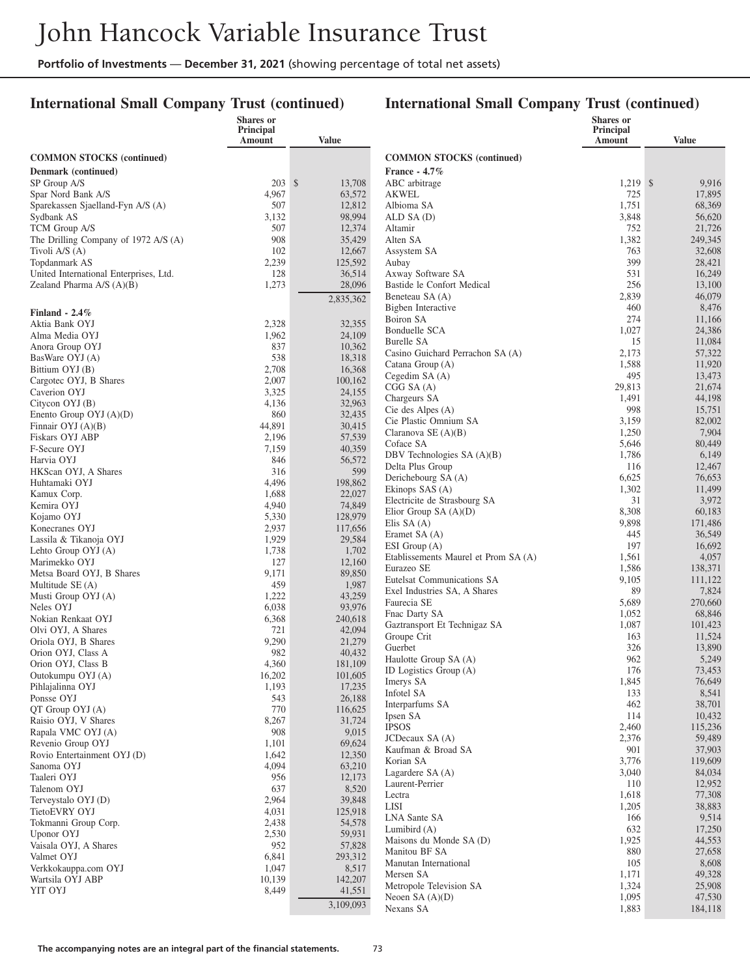### **International Small Company Trust (continued)**

|                                                 | <b>Shares</b> or<br>Principal |                   |                                               | <b>Shares</b> or<br>Principal |                   |
|-------------------------------------------------|-------------------------------|-------------------|-----------------------------------------------|-------------------------------|-------------------|
|                                                 | Amount                        | <b>Value</b>      |                                               | <b>Amount</b>                 | Value             |
| <b>COMMON STOCKS</b> (continued)                |                               |                   | <b>COMMON STOCKS (continued)</b>              |                               |                   |
| Denmark (continued)                             |                               |                   | <b>France - 4.7%</b>                          |                               |                   |
| SP Group A/S                                    | $203 \text{ }$ \$             | 13,708            | ABC arbitrage                                 | $1,219$ \$                    | 9,916             |
| Spar Nord Bank A/S                              | 4,967                         | 63,572            | <b>AKWEL</b>                                  | 725                           | 17,895            |
| Sparekassen Sjaelland-Fyn A/S (A)<br>Sydbank AS | 507<br>3,132                  | 12,812<br>98,994  | Albioma SA<br>ALD SA (D)                      | 1,751<br>3,848                | 68,369<br>56,620  |
| TCM Group A/S                                   | 507                           | 12,374            | Altamir                                       | 752                           | 21,726            |
| The Drilling Company of 1972 A/S (A)            | 908                           | 35,429            | Alten SA                                      | 1,382                         | 249,345           |
| Tivoli A/S (A)                                  | 102                           | 12,667            | Assystem SA                                   | 763                           | 32,608            |
| Topdanmark AS                                   | 2,239                         | 125,592           | Aubay                                         | 399                           | 28,421            |
| United International Enterprises, Ltd.          | 128                           | 36,514            | Axway Software SA                             | 531                           | 16,249            |
| Zealand Pharma $A/S(A)(B)$                      | 1,273                         | 28,096            | Bastide le Confort Medical<br>Beneteau SA (A) | 256<br>2,839                  | 13,100<br>46,079  |
|                                                 |                               | 2,835,362         | Bigben Interactive                            | 460                           | 8,476             |
| Finland - $2.4\%$                               |                               | 32,355            | Boiron SA                                     | 274                           | 11,166            |
| Aktia Bank OYJ<br>Alma Media OYJ                | 2,328<br>1,962                | 24,109            | Bonduelle SCA                                 | 1,027                         | 24,386            |
| Anora Group OYJ                                 | 837                           | 10,362            | <b>Burelle SA</b>                             | 15                            | 11,084            |
| BasWare OYJ (A)                                 | 538                           | 18,318            | Casino Guichard Perrachon SA (A)              | 2,173                         | 57,322            |
| Bittium OYJ (B)                                 | 2,708                         | 16,368            | Catana Group (A)<br>Cegedim SA (A)            | 1,588<br>495                  | 11,920<br>13,473  |
| Cargotec OYJ, B Shares                          | 2,007                         | 100,162           | CGG S A (A)                                   | 29,813                        | 21,674            |
| Caverion OYJ                                    | 3,325                         | 24,155            | Chargeurs SA                                  | 1,491                         | 44,198            |
| Citycon OYJ (B)<br>Enento Group $OYJ(A)(D)$     | 4,136<br>860                  | 32,963<br>32,435  | Cie des Alpes (A)                             | 998                           | 15,751            |
| Finnair $OYJ(A)(B)$                             | 44,891                        | 30,415            | Cie Plastic Omnium SA                         | 3,159                         | 82,002            |
| Fiskars OYJ ABP                                 | 2,196                         | 57,539            | Claranova SE $(A)(B)$                         | 1,250                         | 7,904             |
| F-Secure OYJ                                    | 7,159                         | 40,359            | Coface SA<br>DBV Technologies SA (A)(B)       | 5,646<br>1,786                | 80,449<br>6,149   |
| Harvia OYJ                                      | 846                           | 56,572            | Delta Plus Group                              | 116                           | 12,467            |
| HKScan OYJ, A Shares                            | 316<br>4,496                  | 599<br>198,862    | Derichebourg SA (A)                           | 6,625                         | 76,653            |
| Huhtamaki OYJ<br>Kamux Corp.                    | 1,688                         | 22,027            | Ekinops SAS (A)                               | 1,302                         | 11,499            |
| Kemira OYJ                                      | 4,940                         | 74,849            | Electricite de Strasbourg SA                  | 31                            | 3,972             |
| Kojamo OYJ                                      | 5,330                         | 128,979           | Elior Group SA $(A)(D)$                       | 8,308                         | 60,183            |
| Konecranes OYJ                                  | 2,937                         | 117,656           | Elis SA $(A)$<br>Eramet SA (A)                | 9,898<br>445                  | 171,486<br>36,549 |
| Lassila & Tikanoja OYJ                          | 1,929                         | 29,584            | ESI Group (A)                                 | 197                           | 16,692            |
| Lehto Group OYJ (A)                             | 1,738<br>127                  | 1,702             | Etablissements Maurel et Prom SA (A)          | 1,561                         | 4,057             |
| Marimekko OYJ<br>Metsa Board OYJ, B Shares      | 9,171                         | 12,160<br>89,850  | Eurazeo SE                                    | 1,586                         | 138,371           |
| Multitude SE (A)                                | 459                           | 1,987             | Eutelsat Communications SA                    | 9,105                         | 111,122           |
| Musti Group OYJ (A)                             | 1,222                         | 43,259            | Exel Industries SA, A Shares                  | 89                            | 7,824             |
| Neles OYJ                                       | 6,038                         | 93,976            | Faurecia SE<br>Fnac Darty SA                  | 5,689<br>1,052                | 270,660<br>68,846 |
| Nokian Renkaat OYJ                              | 6,368                         | 240,618           | Gaztransport Et Technigaz SA                  | 1,087                         | 101,423           |
| Olvi OYJ, A Shares<br>Oriola OYJ, B Shares      | 721<br>9,290                  | 42,094<br>21,279  | Groupe Crit                                   | 163                           | 11,524            |
| Orion OYJ, Class A                              | 982                           | 40,432            | Guerbet                                       | 326                           | 13,890            |
| Orion OYJ, Class B                              | 4,360                         | 181,109           | Haulotte Group SA (A)                         | 962                           | 5,249             |
| Outokumpu OYJ (A)                               | 16,202                        | 101,605           | ID Logistics Group (A)                        | 176                           | 73,453            |
| Pihlajalinna OYJ                                | 1,193                         | 17,235            | Imerys SA<br>Infotel SA                       | 1,845<br>133                  | 76,649<br>8,541   |
| Ponsse OYJ                                      | 543                           | 26,188            | Interparfums SA                               | 462                           | 38,701            |
| QT Group OYJ (A)<br>Raisio OYJ, V Shares        | 770<br>8,267                  | 116,625<br>31,724 | Ipsen SA                                      | 114                           | 10,432            |
| Rapala VMC OYJ (A)                              | 908                           | 9,015             | <b>IPSOS</b>                                  | 2,460                         | 115,236           |
| Revenio Group OYJ                               | 1,101                         | 69,624            | JCDecaux SA (A)                               | 2,376                         | 59,489            |
| Rovio Entertainment OYJ (D)                     | 1,642                         | 12,350            | Kaufman & Broad SA                            | 901                           | 37,903            |
| Sanoma OYJ                                      | 4,094                         | 63,210            | Korian SA<br>Lagardere SA (A)                 | 3,776<br>3,040                | 119,609<br>84,034 |
| Taaleri OYJ                                     | 956                           | 12,173            | Laurent-Perrier                               | 110                           | 12,952            |
| Talenom OYJ                                     | 637<br>2,964                  | 8,520             | Lectra                                        | 1,618                         | 77,308            |
| Terveystalo OYJ (D)<br>TietoEVRY OYJ            | 4,031                         | 39,848<br>125,918 | LISI                                          | 1,205                         | 38,883            |
| Tokmanni Group Corp.                            | 2,438                         | 54,578            | LNA Sante SA                                  | 166                           | 9,514             |
| Uponor OYJ                                      | 2,530                         | 59,931            | Lumibird $(A)$                                | 632                           | 17,250            |
| Vaisala OYJ, A Shares                           | 952                           | 57,828            | Maisons du Monde SA (D)<br>Manitou BF SA      | 1,925<br>880                  | 44,553<br>27,658  |
| Valmet OYJ                                      | 6,841                         | 293,312           | Manutan International                         | 105                           | 8,608             |
| Verkkokauppa.com OYJ<br>Wartsila OYJ ABP        | 1,047<br>10,139               | 8,517<br>142,207  | Mersen SA                                     | 1,171                         | 49,328            |
| YIT OYJ                                         | 8,449                         | 41,551            | Metropole Television SA                       | 1,324                         | 25,908            |
|                                                 |                               | 3,109,093         | Neoen $SA(A)(D)$                              | 1,095                         | 47,530            |
|                                                 |                               |                   | Nexans SA                                     | 1,883                         | 184,118           |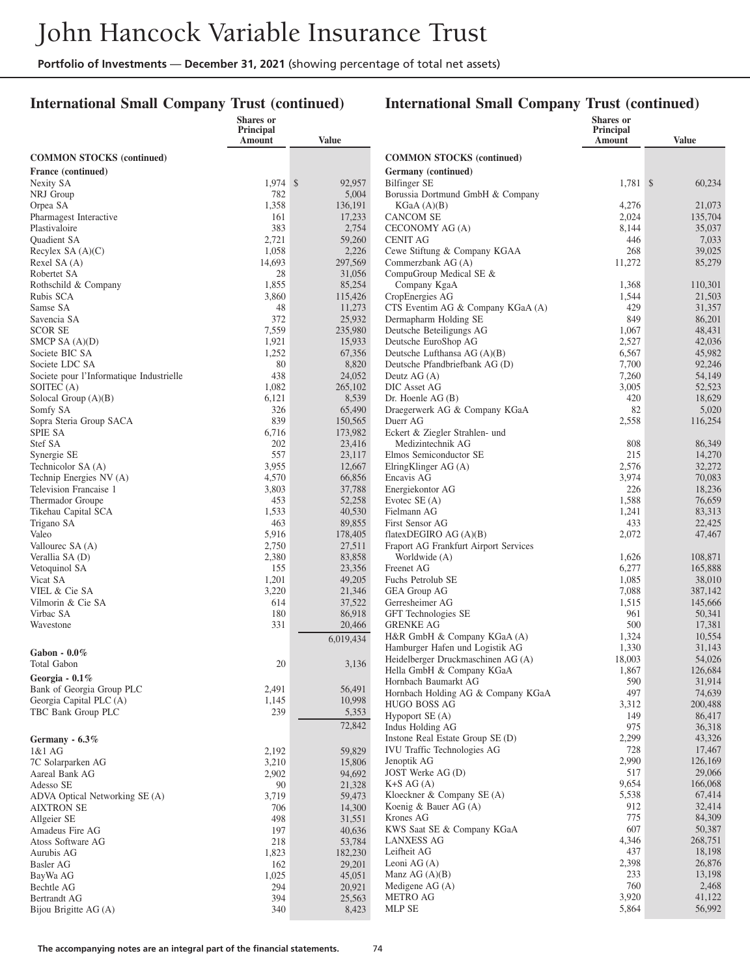### **International Small Company Trust (continued)**

|                                               | <b>Shares</b> or<br>Principal |                  |                                                   | <b>Shares</b> or<br>Principal |                  |
|-----------------------------------------------|-------------------------------|------------------|---------------------------------------------------|-------------------------------|------------------|
|                                               | Amount                        | <b>Value</b>     |                                                   | Amount                        | <b>Value</b>     |
| <b>COMMON STOCKS</b> (continued)              |                               |                  | <b>COMMON STOCKS</b> (continued)                  |                               |                  |
| France (continued)                            |                               |                  | Germany (continued)                               |                               |                  |
| Nexity SA                                     | $1,974$ \$                    | 92,957           | <b>Bilfinger SE</b>                               | $1,781$ \$                    | 60,234           |
| NRJ Group                                     | 782                           | 5,004            | Borussia Dortmund GmbH & Company                  |                               |                  |
| Orpea SA                                      | 1,358                         | 136,191          | KGaA (A)(B)                                       | 4,276                         | 21,073           |
| Pharmagest Interactive                        | 161                           | 17,233           | <b>CANCOM SE</b>                                  | 2,024                         | 135,704          |
| Plastivaloire                                 | 383                           | 2,754            | CECONOMY AG (A)                                   | 8,144                         | 35,037           |
| <b>Ouadient SA</b>                            | 2,721                         | 59,260           | <b>CENIT AG</b>                                   | 446                           | 7,033            |
| Recylex SA $(A)(C)$                           | 1,058                         | 2,226            | Cewe Stiftung & Company KGAA                      | 268                           | 39,025           |
| Rexel SA (A)                                  | 14,693                        | 297,569          | Commerzbank AG (A)                                | 11,272                        | 85,279           |
| Robertet SA                                   | 28<br>1,855                   | 31,056<br>85,254 | CompuGroup Medical SE &<br>Company KgaA           | 1,368                         | 110,301          |
| Rothschild & Company<br>Rubis SCA             | 3,860                         | 115,426          | CropEnergies AG                                   | 1,544                         | 21,503           |
| Samse SA                                      | 48                            | 11,273           | CTS Eventim AG & Company KGaA (A)                 | 429                           | 31,357           |
| Savencia SA                                   | 372                           | 25,932           | Dermapharm Holding SE                             | 849                           | 86,201           |
| <b>SCOR SE</b>                                | 7,559                         | 235,980          | Deutsche Beteiligungs AG                          | 1,067                         | 48,431           |
| SMCP SA $(A)(D)$                              | 1,921                         | 15,933           | Deutsche EuroShop AG                              | 2,527                         | 42,036           |
| Societe BIC SA                                | 1,252                         | 67,356           | Deutsche Lufthansa AG (A)(B)                      | 6,567                         | 45,982           |
| Societe LDC SA                                | 80                            | 8,820            | Deutsche Pfandbriefbank AG (D)                    | 7,700                         | 92,246           |
| Societe pour l'Informatique Industrielle      | 438                           | 24,052           | Deutz $AG(A)$                                     | 7,260                         | 54,149           |
| SOITEC (A)                                    | 1,082                         | 265,102          | DIC Asset AG                                      | 3,005                         | 52,523           |
| Solocal Group (A)(B)                          | 6,121<br>326                  | 8,539<br>65,490  | Dr. Hoenle $AG(B)$                                | 420<br>82                     | 18,629           |
| Somfy SA<br>Sopra Steria Group SACA           | 839                           | 150,565          | Draegerwerk AG & Company KGaA<br>Duerr AG         | 2,558                         | 5,020<br>116,254 |
| <b>SPIE SA</b>                                | 6,716                         | 173,982          | Eckert & Ziegler Strahlen- und                    |                               |                  |
| Stef SA                                       | 202                           | 23,416           | Medizintechnik AG                                 | 808                           | 86,349           |
| Synergie SE                                   | 557                           | 23,117           | Elmos Semiconductor SE                            | 215                           | 14,270           |
| Technicolor SA (A)                            | 3,955                         | 12,667           | ElringKlinger AG (A)                              | 2,576                         | 32,272           |
| Technip Energies NV (A)                       | 4,570                         | 66,856           | Encavis AG                                        | 3,974                         | 70,083           |
| Television Francaise 1                        | 3,803                         | 37,788           | Energiekontor AG                                  | 226                           | 18,236           |
| Thermador Groupe                              | 453                           | 52,258           | Evotec $SE(A)$                                    | 1,588                         | 76,659           |
| Tikehau Capital SCA<br>Trigano SA             | 1,533<br>463                  | 40,530<br>89,855 | Fielmann AG<br>First Sensor AG                    | 1,241<br>433                  | 83,313<br>22,425 |
| Valeo                                         | 5,916                         | 178,405          | flatexDEGIRO AG $(A)(B)$                          | 2,072                         | 47,467           |
| Vallourec SA (A)                              | 2,750                         | 27,511           | Fraport AG Frankfurt Airport Services             |                               |                  |
| Verallia SA (D)                               | 2,380                         | 83,858           | Worldwide (A)                                     | 1,626                         | 108,871          |
| Vetoquinol SA                                 | 155                           | 23,356           | Freenet AG                                        | 6,277                         | 165,888          |
| Vicat SA                                      | 1,201                         | 49,205           | Fuchs Petrolub SE                                 | 1,085                         | 38,010           |
| VIEL & Cie SA                                 | 3,220                         | 21,346           | <b>GEA Group AG</b>                               | 7,088                         | 387,142          |
| Vilmorin & Cie SA                             | 614                           | 37,522           | Gerresheimer AG                                   | 1,515                         | 145,666          |
| Virbac SA                                     | 180                           | 86,918           | GFT Technologies SE                               | 961                           | 50,341           |
| Wavestone                                     | 331                           | 20,466           | <b>GRENKE AG</b><br>H&R GmbH & Company KGaA (A)   | 500<br>1,324                  | 17,381<br>10,554 |
|                                               |                               | 6,019,434        | Hamburger Hafen und Logistik AG                   | 1,330                         | 31,143           |
| Gabon - $0.0\%$                               |                               |                  | Heidelberger Druckmaschinen AG (A)                | 18,003                        | 54,026           |
| <b>Total Gabon</b>                            | 20                            | 3,136            | Hella GmbH & Company KGaA                         | 1,867                         | 126,684          |
| Georgia - 0.1%                                |                               |                  | Hornbach Baumarkt AG                              | 590                           | 31,914           |
| Bank of Georgia Group PLC                     | 2,491                         | 56,491           | Hornbach Holding AG & Company KGaA                | 497                           | 74,639           |
| Georgia Capital PLC (A)<br>TBC Bank Group PLC | 1,145<br>239                  | 10,998<br>5,353  | <b>HUGO BOSS AG</b>                               | 3,312                         | 200,488          |
|                                               |                               |                  | Hypoport SE (A)                                   | 149                           | 86,417           |
|                                               |                               | 72,842           | Indus Holding AG                                  | 975                           | 36,318           |
| Germany - 6.3%                                |                               |                  | Instone Real Estate Group SE (D)                  | 2,299<br>728                  | 43,326<br>17,467 |
| 1&1 AG<br>7C Solarparken AG                   | 2,192<br>3,210                | 59,829<br>15,806 | <b>IVU Traffic Technologies AG</b><br>Jenoptik AG | 2,990                         | 126,169          |
| Aareal Bank AG                                | 2,902                         | 94,692           | JOST Werke AG (D)                                 | 517                           | 29,066           |
| Adesso SE                                     | 90                            | 21,328           | $K+S AG(A)$                                       | 9,654                         | 166,068          |
| ADVA Optical Networking SE (A)                | 3,719                         | 59,473           | Kloeckner & Company $SE(A)$                       | 5,538                         | 67,414           |
| <b>AIXTRON SE</b>                             | 706                           | 14,300           | Koenig & Bauer $AG(A)$                            | 912                           | 32,414           |
| Allgeier SE                                   | 498                           | 31,551           | Krones AG                                         | 775                           | 84,309           |
| Amadeus Fire AG                               | 197                           | 40,636           | KWS Saat SE & Company KGaA                        | 607                           | 50,387           |
| Atoss Software AG                             | 218                           | 53,784           | <b>LANXESS AG</b>                                 | 4,346                         | 268,751          |
| Aurubis AG                                    | 1,823                         | 182,230          | Leifheit AG                                       | 437<br>2,398                  | 18,198<br>26,876 |
| Basler AG                                     | 162<br>1,025                  | 29,201<br>45,051 | Leoni AG $(A)$<br>Manz AG $(A)(B)$                | 233                           | 13,198           |
| BayWa AG<br>Bechtle AG                        | 294                           | 20,921           | Medigene $AG(A)$                                  | 760                           | 2,468            |
| <b>Bertrandt AG</b>                           | 394                           | 25,563           | METRO AG                                          | 3,920                         | 41,122           |
| Bijou Brigitte AG (A)                         | 340                           | 8,423            | MLP SE                                            | 5,864                         | 56,992           |
|                                               |                               |                  |                                                   |                               |                  |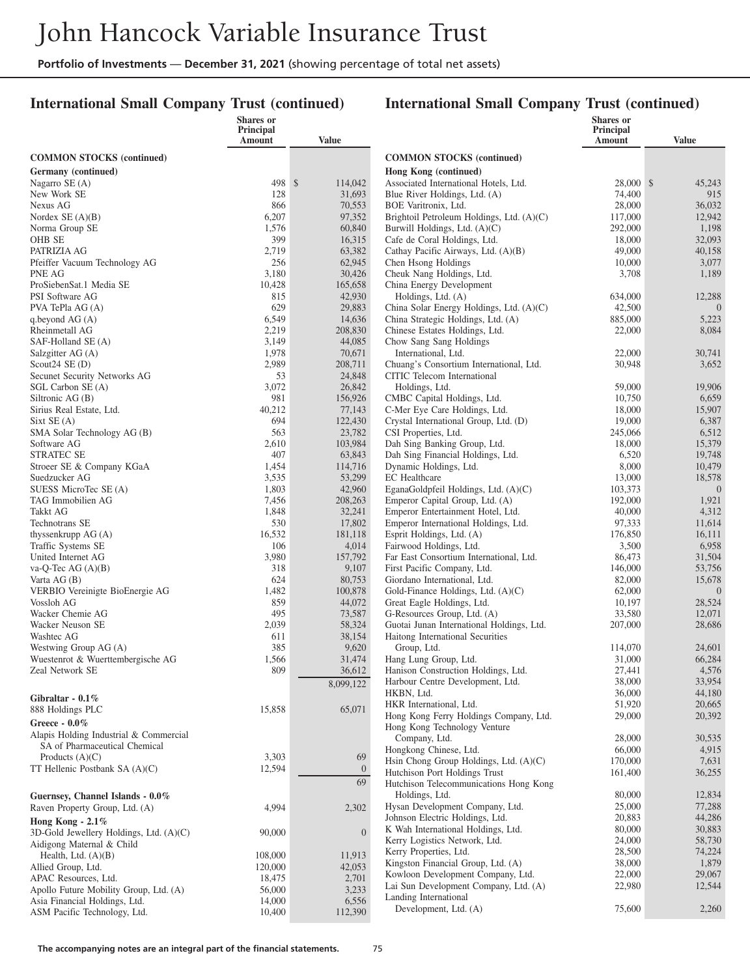### **International Small Company Trust (continued)**

#### **International Small Company Trust (continued)**

|                                                               | Shares or<br>Principal<br>Amount | <b>Value</b>      |                                                                    | <b>Shares</b> or<br>Principal<br>Amount | <b>Value</b>     |
|---------------------------------------------------------------|----------------------------------|-------------------|--------------------------------------------------------------------|-----------------------------------------|------------------|
| <b>COMMON STOCKS</b> (continued)                              |                                  |                   | <b>COMMON STOCKS</b> (continued)                                   |                                         |                  |
| Germany (continued)                                           |                                  |                   | Hong Kong (continued)                                              |                                         |                  |
| Nagarro SE (A)                                                | 498 \$                           | 114,042           | Associated International Hotels, Ltd.                              | 28,000 \$                               | 45,243           |
| New Work SE                                                   | 128                              | 31,693            | Blue River Holdings, Ltd. (A)                                      | 74,400                                  | 915              |
| Nexus AG                                                      | 866                              | 70,553            | BOE Varitronix, Ltd.                                               | 28,000                                  | 36,032           |
| Nordex $SE(A)(B)$                                             | 6,207                            | 97,352            | Brightoil Petroleum Holdings, Ltd. (A)(C)                          | 117,000                                 | 12,942           |
| Norma Group SE<br>OHB SE                                      | 1,576<br>399                     | 60,840<br>16,315  | Burwill Holdings, Ltd. (A)(C)<br>Cafe de Coral Holdings, Ltd.      | 292,000<br>18,000                       | 1,198<br>32,093  |
| PATRIZIA AG                                                   | 2,719                            | 63,382            | Cathay Pacific Airways, Ltd. (A)(B)                                | 49,000                                  | 40,158           |
| Pfeiffer Vacuum Technology AG                                 | 256                              | 62,945            | Chen Hsong Holdings                                                | 10,000                                  | 3,077            |
| PNE AG                                                        | 3,180                            | 30,426            | Cheuk Nang Holdings, Ltd.                                          | 3,708                                   | 1,189            |
| ProSiebenSat.1 Media SE                                       | 10,428                           | 165,658           | China Energy Development                                           |                                         |                  |
| PSI Software AG                                               | 815                              | 42,930            | Holdings, Ltd. (A)                                                 | 634,000                                 | 12,288           |
| PVA TePla AG (A)                                              | 629                              | 29,883            | China Solar Energy Holdings, Ltd. (A)(C)                           | 42,500                                  | $\theta$         |
| q.beyond $AG(A)$                                              | 6,549<br>2,219                   | 14,636            | China Strategic Holdings, Ltd. (A)                                 | 885,000                                 | 5,223            |
| Rheinmetall AG<br>SAF-Holland SE (A)                          | 3,149                            | 208,830<br>44,085 | Chinese Estates Holdings, Ltd.<br>Chow Sang Sang Holdings          | 22,000                                  | 8,084            |
| Salzgitter AG (A)                                             | 1,978                            | 70,671            | International, Ltd.                                                | 22,000                                  | 30,741           |
| Scout $24$ SE (D)                                             | 2,989                            | 208,711           | Chuang's Consortium International, Ltd.                            | 30,948                                  | 3,652            |
| Secunet Security Networks AG                                  | 53                               | 24,848            | CITIC Telecom International                                        |                                         |                  |
| SGL Carbon SE (A)                                             | 3,072                            | 26,842            | Holdings, Ltd.                                                     | 59,000                                  | 19,906           |
| Siltronic AG (B)                                              | 981                              | 156,926           | CMBC Capital Holdings, Ltd.                                        | 10,750                                  | 6,659            |
| Sirius Real Estate, Ltd.                                      | 40,212                           | 77,143            | C-Mer Eye Care Holdings, Ltd.                                      | 18,000                                  | 15,907           |
| Sixt SE(A)                                                    | 694                              | 122,430           | Crystal International Group, Ltd. (D)                              | 19,000                                  | 6,387            |
| SMA Solar Technology AG (B)<br>Software AG                    | 563<br>2,610                     | 23,782<br>103,984 | CSI Properties, Ltd.<br>Dah Sing Banking Group, Ltd.               | 245,066<br>18,000                       | 6,512<br>15,379  |
| <b>STRATEC SE</b>                                             | 407                              | 63,843            | Dah Sing Financial Holdings, Ltd.                                  | 6,520                                   | 19,748           |
| Stroeer SE & Company KGaA                                     | 1,454                            | 114,716           | Dynamic Holdings, Ltd.                                             | 8,000                                   | 10,479           |
| Suedzucker AG                                                 | 3,535                            | 53,299            | <b>EC</b> Healthcare                                               | 13,000                                  | 18,578           |
| SUESS MicroTec SE (A)                                         | 1,803                            | 42,960            | EganaGoldpfeil Holdings, Ltd. (A)(C)                               | 103,373                                 | $\theta$         |
| TAG Immobilien AG                                             | 7,456                            | 208,263           | Emperor Capital Group, Ltd. (A)                                    | 192,000                                 | 1,921            |
| <b>Takkt AG</b>                                               | 1,848                            | 32,241            | Emperor Entertainment Hotel, Ltd.                                  | 40,000                                  | 4,312            |
| Technotrans SE                                                | 530                              | 17,802            | Emperor International Holdings, Ltd.                               | 97,333                                  | 11,614           |
| thyssenkrupp $AG(A)$                                          | 16,532                           | 181,118           | Esprit Holdings, Ltd. (A)                                          | 176,850<br>3,500                        | 16,111           |
| Traffic Systems SE<br>United Internet AG                      | 106<br>3,980                     | 4,014<br>157,792  | Fairwood Holdings, Ltd.<br>Far East Consortium International, Ltd. | 86,473                                  | 6,958<br>31,504  |
| va-Q-Tec AG $(A)(B)$                                          | 318                              | 9,107             | First Pacific Company, Ltd.                                        | 146,000                                 | 53,756           |
| Varta $AG(B)$                                                 | 624                              | 80,753            | Giordano International, Ltd.                                       | 82,000                                  | 15,678           |
| VERBIO Vereinigte BioEnergie AG                               | 1,482                            | 100,878           | Gold-Finance Holdings, Ltd. (A)(C)                                 | 62,000                                  | $\theta$         |
| Vossloh AG                                                    | 859                              | 44,072            | Great Eagle Holdings, Ltd.                                         | 10,197                                  | 28,524           |
| Wacker Chemie AG                                              | 495                              | 73,587            | G-Resources Group, Ltd. (A)                                        | 33,580                                  | 12,071           |
| Wacker Neuson SE                                              | 2,039                            | 58,324            | Guotai Junan International Holdings, Ltd.                          | 207,000                                 | 28,686           |
| Washtec AG                                                    | 611<br>385                       | 38,154<br>9,620   | Haitong International Securities                                   |                                         |                  |
| Westwing Group AG (A)<br>Wuestenrot & Wuerttembergische AG    | 1,566                            | 31,474            | Group, Ltd.<br>Hang Lung Group, Ltd.                               | 114,070<br>31,000                       | 24,601<br>66,284 |
| Zeal Network SE                                               | 809                              | 36,612            | Hanison Construction Holdings, Ltd.                                | 27,441                                  | 4,576            |
|                                                               |                                  | 8,099,122         | Harbour Centre Development, Ltd.                                   | 38,000                                  | 33,954           |
| Gibraltar - $0.1\%$                                           |                                  |                   | HKBN, Ltd.                                                         | 36,000                                  | 44,180           |
| 888 Holdings PLC                                              | 15,858                           | 65,071            | HKR International, Ltd.                                            | 51,920                                  | 20,665           |
| Greece - $0.0\%$                                              |                                  |                   | Hong Kong Ferry Holdings Company, Ltd.                             | 29,000                                  | 20,392           |
| Alapis Holding Industrial & Commercial                        |                                  |                   | Hong Kong Technology Venture                                       |                                         |                  |
| SA of Pharmaceutical Chemical                                 |                                  |                   | Company, Ltd.<br>Hongkong Chinese, Ltd.                            | 28,000<br>66,000                        | 30,535<br>4,915  |
| Products $(A)(C)$                                             | 3,303                            | 69                | Hsin Chong Group Holdings, Ltd. (A)(C)                             | 170,000                                 | 7,631            |
| TT Hellenic Postbank $SA(A)(C)$                               | 12,594                           | $\overline{0}$    | Hutchison Port Holdings Trust                                      | 161,400                                 | 36,255           |
|                                                               |                                  | 69                | Hutchison Telecommunications Hong Kong                             |                                         |                  |
| Guernsey, Channel Islands - 0.0%                              |                                  |                   | Holdings, Ltd.                                                     | 80,000                                  | 12,834           |
| Raven Property Group, Ltd. (A)                                | 4,994                            | 2,302             | Hysan Development Company, Ltd.                                    | 25,000                                  | 77,288           |
| Hong Kong - $2.1\%$                                           |                                  |                   | Johnson Electric Holdings, Ltd.                                    | 20,883                                  | 44,286           |
| 3D-Gold Jewellery Holdings, Ltd. (A)(C)                       | 90,000                           | $\overline{0}$    | K Wah International Holdings, Ltd.                                 | 80,000                                  | 30,883           |
| Aidigong Maternal & Child                                     |                                  |                   | Kerry Logistics Network, Ltd.                                      | 24,000                                  | 58,730           |
| Health, Ltd. $(A)(B)$                                         | 108,000                          | 11,913            | Kerry Properties, Ltd.<br>Kingston Financial Group, Ltd. (A)       | 28,500<br>38,000                        | 74,224<br>1,879  |
| Allied Group, Ltd.                                            | 120,000                          | 42,053            | Kowloon Development Company, Ltd.                                  | 22,000                                  | 29,067           |
| APAC Resources, Ltd.                                          | 18,475                           | 2,701             | Lai Sun Development Company, Ltd. (A)                              | 22,980                                  | 12,544           |
| Apollo Future Mobility Group, Ltd. (A)                        | 56,000<br>14,000                 | 3,233<br>6,556    | Landing International                                              |                                         |                  |
| Asia Financial Holdings, Ltd.<br>ASM Pacific Technology, Ltd. | 10,400                           | 112,390           | Development, Ltd. (A)                                              | 75,600                                  | 2,260            |
|                                                               |                                  |                   |                                                                    |                                         |                  |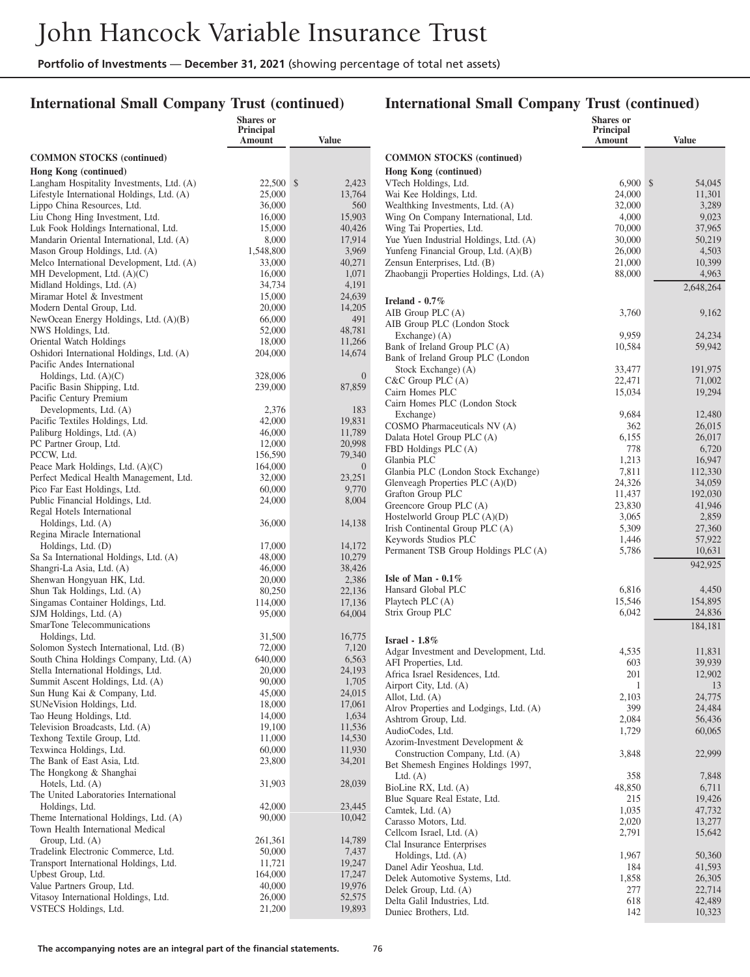### **International Small Company Trust (continued)**

### **International Small Company Trust (continued)**

|                                                                             | Shares or<br>Principal<br>Amount | <b>Value</b>             |                                                          | <b>Shares</b> or<br>Principal<br>Amount | <b>Value</b>     |
|-----------------------------------------------------------------------------|----------------------------------|--------------------------|----------------------------------------------------------|-----------------------------------------|------------------|
| <b>COMMON STOCKS</b> (continued)                                            |                                  |                          | <b>COMMON STOCKS (continued)</b>                         |                                         |                  |
| Hong Kong (continued)                                                       |                                  |                          | Hong Kong (continued)                                    |                                         |                  |
| Langham Hospitality Investments, Ltd. (A)                                   | 22,500 \$                        | 2,423                    | VTech Holdings, Ltd.                                     | $6,900$ \$                              | 54,045           |
| Lifestyle International Holdings, Ltd. (A)                                  | 25,000                           | 13,764                   | Wai Kee Holdings, Ltd.                                   | 24,000                                  | 11,301           |
| Lippo China Resources, Ltd.                                                 | 36,000                           | 560                      | Wealthking Investments, Ltd. (A)                         | 32,000                                  | 3,289            |
| Liu Chong Hing Investment, Ltd.                                             | 16,000                           | 15,903                   | Wing On Company International, Ltd.                      | 4,000                                   | 9,023            |
| Luk Fook Holdings International, Ltd.                                       | 15,000                           | 40,426                   | Wing Tai Properties, Ltd.                                | 70,000                                  | 37,965           |
| Mandarin Oriental International, Ltd. (A)                                   | 8,000                            | 17,914                   | Yue Yuen Industrial Holdings, Ltd. (A)                   | 30,000                                  | 50,219           |
| Mason Group Holdings, Ltd. (A)                                              | 1,548,800                        | 3,969                    | Yunfeng Financial Group, Ltd. (A)(B)                     | 26,000                                  | 4,503            |
| Melco International Development, Ltd. (A)                                   | 33,000                           | 40,271                   | Zensun Enterprises, Ltd. (B)                             | 21,000                                  | 10,399           |
| MH Development, Ltd. (A)(C)<br>Midland Holdings, Ltd. (A)                   | 16,000<br>34,734                 | 1,071<br>4,191           | Zhaobangji Properties Holdings, Ltd. (A)                 | 88,000                                  | 4,963            |
| Miramar Hotel & Investment                                                  | 15,000                           | 24,639                   |                                                          |                                         | 2,648,264        |
| Modern Dental Group, Ltd.                                                   | 20,000                           | 14,205                   | Ireland - $0.7\%$                                        |                                         |                  |
| NewOcean Energy Holdings, Ltd. (A)(B)                                       | 66,000                           | 491                      | AIB Group PLC $(A)$                                      | 3,760                                   | 9,162            |
| NWS Holdings, Ltd.                                                          | 52,000                           | 48,781                   | AIB Group PLC (London Stock                              |                                         |                  |
| Oriental Watch Holdings                                                     | 18,000                           | 11,266                   | Exchange) (A)                                            | 9,959                                   | 24,234           |
| Oshidori International Holdings, Ltd. (A)                                   | 204,000                          | 14,674                   | Bank of Ireland Group PLC (A)                            | 10,584                                  | 59,942           |
| Pacific Andes International                                                 |                                  |                          | Bank of Ireland Group PLC (London<br>Stock Exchange) (A) |                                         | 191,975          |
| Holdings, Ltd. $(A)(C)$                                                     | 328,006                          | $\mathbf{0}$             | $C&C$ Group PLC $(A)$                                    | 33,477<br>22,471                        | 71,002           |
| Pacific Basin Shipping, Ltd.                                                | 239,000                          | 87,859                   | Cairn Homes PLC                                          | 15,034                                  | 19,294           |
| Pacific Century Premium                                                     |                                  |                          | Cairn Homes PLC (London Stock                            |                                         |                  |
| Developments, Ltd. (A)                                                      | 2,376                            | 183                      | Exchange)                                                | 9,684                                   | 12,480           |
| Pacific Textiles Holdings, Ltd.                                             | 42,000                           | 19,831                   | COSMO Pharmaceuticals NV (A)                             | 362                                     | 26,015           |
| Paliburg Holdings, Ltd. (A)                                                 | 46,000                           | 11,789                   | Dalata Hotel Group PLC (A)                               | 6,155                                   | 26,017           |
| PC Partner Group, Ltd.                                                      | 12,000                           | 20,998                   | FBD Holdings PLC (A)                                     | 778                                     | 6,720            |
| PCCW, Ltd.                                                                  | 156,590                          | 79,340                   | Glanbia PLC                                              | 1,213                                   | 16,947           |
| Peace Mark Holdings, Ltd. (A)(C)<br>Perfect Medical Health Management, Ltd. | 164,000<br>32,000                | $\overline{0}$<br>23,251 | Glanbia PLC (London Stock Exchange)                      | 7,811                                   | 112.330          |
| Pico Far East Holdings, Ltd.                                                | 60,000                           | 9,770                    | Glenveagh Properties PLC (A)(D)                          | 24,326                                  | 34,059           |
| Public Financial Holdings, Ltd.                                             | 24,000                           | 8,004                    | Grafton Group PLC                                        | 11,437                                  | 192,030          |
| Regal Hotels International                                                  |                                  |                          | Greencore Group PLC (A)                                  | 23,830                                  | 41,946           |
| Holdings, Ltd. (A)                                                          | 36,000                           | 14,138                   | Hostelworld Group PLC (A)(D)                             | 3,065                                   | 2,859            |
| Regina Miracle International                                                |                                  |                          | Irish Continental Group PLC (A)                          | 5,309                                   | 27,360           |
| Holdings, Ltd. (D)                                                          | 17,000                           | 14,172                   | Keywords Studios PLC                                     | 1,446                                   | 57,922<br>10,631 |
| Sa Sa International Holdings, Ltd. (A)                                      | 48,000                           | 10,279                   | Permanent TSB Group Holdings PLC (A)                     | 5,786                                   |                  |
| Shangri-La Asia, Ltd. (A)                                                   | 46,000                           | 38,426                   |                                                          |                                         | 942,925          |
| Shenwan Hongyuan HK, Ltd.                                                   | 20,000                           | 2,386                    | Isle of Man - 0.1%                                       |                                         |                  |
| Shun Tak Holdings, Ltd. (A)                                                 | 80,250                           | 22,136                   | Hansard Global PLC                                       | 6,816                                   | 4,450            |
| Singamas Container Holdings, Ltd.                                           | 114,000                          | 17,136                   | Playtech PLC (A)                                         | 15,546                                  | 154,895          |
| SJM Holdings, Ltd. (A)                                                      | 95,000                           | 64,004                   | Strix Group PLC                                          | 6,042                                   | 24,836           |
| SmarTone Telecommunications                                                 |                                  |                          |                                                          |                                         | 184,181          |
| Holdings, Ltd.<br>Solomon Systech International, Ltd. (B)                   | 31,500<br>72,000                 | 16,775<br>7,120          | <b>Israel - 1.8%</b>                                     |                                         |                  |
| South China Holdings Company, Ltd. (A)                                      | 640,000                          | 6,563                    | Adgar Investment and Development, Ltd.                   | 4,535                                   | 11,831           |
| Stella International Holdings, Ltd.                                         | 20,000                           | 24,193                   | AFI Properties, Ltd.                                     | 603                                     | 39,939           |
| Summit Ascent Holdings, Ltd. (A)                                            | 90,000                           | 1,705                    | Africa Israel Residences, Ltd.<br>Airport City, Ltd. (A) | 201                                     | 12,902           |
| Sun Hung Kai & Company, Ltd.                                                | 45,000                           | 24,015                   | Allot, Ltd. (A)                                          | 1<br>2,103                              | 13<br>24,775     |
| SUNeVision Holdings, Ltd.                                                   | 18,000                           | 17,061                   | Alrov Properties and Lodgings, Ltd. (A)                  | 399                                     | 24,484           |
| Tao Heung Holdings, Ltd.                                                    | 14,000                           | 1,634                    | Ashtrom Group, Ltd.                                      | 2,084                                   | 56,436           |
| Television Broadcasts, Ltd. (A)                                             | 19,100                           | 11,536                   | AudioCodes, Ltd.                                         | 1,729                                   | 60,065           |
| Texhong Textile Group, Ltd.                                                 | 11,000                           | 14,530                   | Azorim-Investment Development &                          |                                         |                  |
| Texwinca Holdings, Ltd.                                                     | 60,000                           | 11,930                   | Construction Company, Ltd. (A)                           | 3,848                                   | 22,999           |
| The Bank of East Asia, Ltd.                                                 | 23,800                           | 34,201                   | Bet Shemesh Engines Holdings 1997,                       |                                         |                  |
| The Hongkong & Shanghai                                                     |                                  |                          | Ltd. $(A)$                                               | 358                                     | 7,848            |
| Hotels, Ltd. $(A)$                                                          | 31,903                           | 28,039                   | BioLine RX, Ltd. (A)                                     | 48,850                                  | 6,711            |
| The United Laboratories International                                       |                                  |                          | Blue Square Real Estate, Ltd.                            | 215                                     | 19,426           |
| Holdings, Ltd.<br>Theme International Holdings, Ltd. (A)                    | 42,000                           | 23,445                   | Camtek, Ltd. (A)                                         | 1,035                                   | 47,732           |
| Town Health International Medical                                           | 90,000                           | 10,042                   | Carasso Motors, Ltd.                                     | 2,020                                   | 13,277           |
| Group, Ltd. (A)                                                             | 261,361                          | 14,789                   | Cellcom Israel, Ltd. (A)                                 | 2,791                                   | 15,642           |
| Tradelink Electronic Commerce, Ltd.                                         | 50,000                           | 7,437                    | Clal Insurance Enterprises                               |                                         |                  |
| Transport International Holdings, Ltd.                                      | 11,721                           | 19,247                   | Holdings, Ltd. (A)                                       | 1,967                                   | 50,360           |
| Upbest Group, Ltd.                                                          | 164,000                          | 17,247                   | Danel Adir Yeoshua, Ltd.                                 | 184                                     | 41,593           |
| Value Partners Group, Ltd.                                                  | 40,000                           | 19,976                   | Delek Automotive Systems, Ltd.<br>Delek Group, Ltd. (A)  | 1,858<br>277                            | 26,305<br>22,714 |
| Vitasoy International Holdings, Ltd.                                        | 26,000                           | 52,575                   | Delta Galil Industries, Ltd.                             | 618                                     | 42,489           |
| VSTECS Holdings, Ltd.                                                       | 21,200                           | 19,893                   | Duniec Brothers, Ltd.                                    | 142                                     | 10,323           |
|                                                                             |                                  |                          |                                                          |                                         |                  |

|                                                                                | Principal<br><b>Amount</b> | <b>Value</b>      |
|--------------------------------------------------------------------------------|----------------------------|-------------------|
| <b>COMMON STOCKS</b> (continued)                                               |                            |                   |
| Hong Kong (continued)                                                          |                            |                   |
| VTech Holdings, Ltd.                                                           | 6,900                      | 54,045<br>\$      |
| Wai Kee Holdings, Ltd.                                                         | 24,000                     | 11,301            |
| Wealthking Investments, Ltd. (A)                                               | 32,000                     | 3,289             |
| Wing On Company International, Ltd.                                            | 4,000                      | 9,023             |
| Wing Tai Properties, Ltd.                                                      | 70,000                     | 37,965            |
| Yue Yuen Industrial Holdings, Ltd. (A)<br>Yunfeng Financial Group, Ltd. (A)(B) | 30,000<br>26,000           | 50,219<br>4,503   |
| Zensun Enterprises, Ltd. (B)                                                   | 21,000                     | 10,399            |
| Zhaobangji Properties Holdings, Ltd. (A)                                       | 88,000                     | 4,963             |
|                                                                                |                            | 2,648,264         |
| Ireland - $0.7\%$<br>AIB Group PLC (A)                                         | 3,760                      | 9,162             |
| AIB Group PLC (London Stock                                                    |                            |                   |
| Exchange) (A)                                                                  | 9,959                      | 24,234            |
| Bank of Ireland Group PLC (A)                                                  | 10,584                     | 59,942            |
| Bank of Ireland Group PLC (London                                              |                            |                   |
| Stock Exchange) (A)                                                            | 33,477                     | 191,975           |
| $C&C$ Group PLC $(A)$                                                          | 22,471                     | 71,002            |
| Cairn Homes PLC                                                                | 15,034                     | 19,294            |
| Cairn Homes PLC (London Stock                                                  |                            |                   |
| Exchange)                                                                      | 9,684                      | 12,480            |
| COSMO Pharmaceuticals NV (A)                                                   | 362<br>6,155               | 26,015            |
| Dalata Hotel Group PLC (A)<br>FBD Holdings PLC (A)                             | 778                        | 26,017<br>6,720   |
| Glanbia PLC                                                                    | 1,213                      | 16,947            |
| Glanbia PLC (London Stock Exchange)                                            | 7,811                      | 112,330           |
| Glenveagh Properties PLC (A)(D)                                                | 24,326                     | 34,059            |
| Grafton Group PLC                                                              | 11,437                     | 192,030           |
| Greencore Group PLC (A)                                                        | 23,830                     | 41,946            |
| Hostelworld Group PLC (A)(D)                                                   | 3,065                      | 2,859             |
| Irish Continental Group PLC (A)                                                | 5,309                      | 27,360            |
| Keywords Studios PLC                                                           | 1,446                      | 57,922            |
| Permanent TSB Group Holdings PLC (A)                                           | 5,786                      | 10,631<br>942,925 |
| Isle of Man - $0.1\%$                                                          |                            |                   |
| Hansard Global PLC                                                             | 6,816                      | 4,450             |
| Playtech PLC (A)                                                               | 15,546                     | 154,895           |
| Strix Group PLC                                                                | 6,042                      | 24,836            |
| Israel - $1.8\%$                                                               |                            | 184,181           |
| Adgar Investment and Development, Ltd.                                         | 4,535                      | 11,831            |
| AFI Properties, Ltd.                                                           | 603                        | 39,939            |
| Africa Israel Residences, Ltd.                                                 | 201                        | 12,902            |
| Airport City, Ltd. (A)                                                         | 1                          | 13                |
| Allot, Ltd. (A)                                                                | 2,103                      | 24,775            |
| Alrov Properties and Lodgings, Ltd. (A)                                        | 399                        | 24,484            |
| Ashtrom Group, Ltd.                                                            | 2,084                      | 56,436            |
| AudioCodes, Ltd.                                                               | 1,729                      | 60,065            |
| Azorim-Investment Development &                                                |                            |                   |
| Construction Company, Ltd. (A)<br>Bet Shemesh Engines Holdings 1997,           | 3,848                      | 22,999            |
| Ltd. $(A)$                                                                     | 358                        | 7,848             |
| BioLine RX, Ltd. (A)                                                           | 48,850                     | 6,711             |
| Blue Square Real Estate, Ltd.                                                  | 215                        | 19,426            |
| Camtek, Ltd. (A)                                                               | 1,035                      | 47,732            |
| Carasso Motors, Ltd.                                                           | 2,020                      | 13,277            |
| Cellcom Israel, Ltd. (A)                                                       | 2,791                      | 15,642            |
| Clal Insurance Enterprises                                                     |                            |                   |
| Holdings, Ltd. (A)                                                             | 1,967                      | 50,360            |
| Danel Adir Yeoshua, Ltd.                                                       | 184                        | 41,593            |
| Delek Automotive Systems, Ltd.                                                 | 1,858                      | 26,305            |
| Delek Group, Ltd. (A)                                                          | 277                        | 22,714            |
| Delta Galil Industries, Ltd.                                                   | 618                        | 42,489            |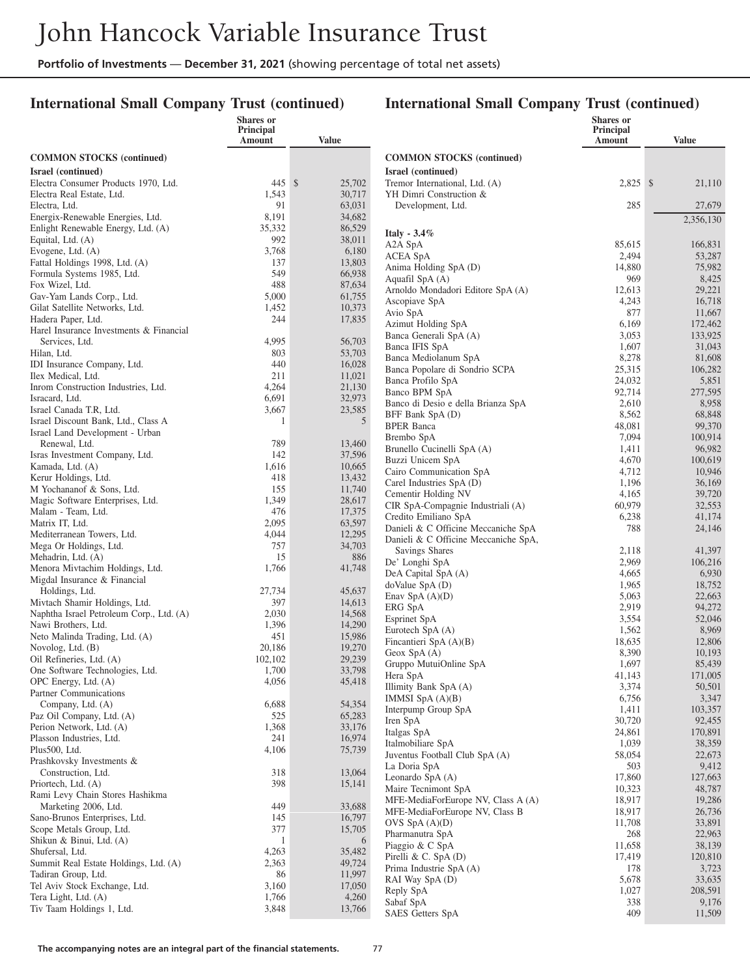**Shares or**

### **International Small Company Trust (continued)**

#### **International Small Company Trust (continued)**

**Shares or**

|                                                               | Principal<br>Amount | <b>Value</b>     |                                            | Principal<br>Amount | <b>Value</b>     |
|---------------------------------------------------------------|---------------------|------------------|--------------------------------------------|---------------------|------------------|
| <b>COMMON STOCKS</b> (continued)                              |                     |                  | <b>COMMON STOCKS (continued)</b>           |                     |                  |
| Israel (continued)                                            |                     |                  | Israel (continued)                         |                     |                  |
| Electra Consumer Products 1970, Ltd.                          | 445S                | 25,702           | Tremor International, Ltd. (A)             | $2,825$ \$          | 21,110           |
| Electra Real Estate, Ltd.                                     | 1,543               | 30,717           | YH Dimri Construction &                    |                     |                  |
| Electra, Ltd.                                                 | 91                  | 63,031           | Development, Ltd.                          | 285                 | 27,679           |
| Energix-Renewable Energies, Ltd.                              | 8,191               | 34,682           |                                            |                     | 2,356,130        |
| Enlight Renewable Energy, Ltd. (A)                            | 35,332              | 86,529           | Italy - $3.4\%$                            |                     |                  |
| Equital, Ltd. (A)                                             | 992                 | 38,011           | A2A SpA                                    | 85,615              | 166,831          |
| Evogene, Ltd. (A)                                             | 3,768               | 6,180            | <b>ACEA SpA</b>                            | 2,494               | 53,287           |
| Fattal Holdings 1998, Ltd. (A)                                | 137                 | 13,803           | Anima Holding SpA (D)                      | 14,880              | 75,982           |
| Formula Systems 1985, Ltd.                                    | 549                 | 66,938           | Aquafil SpA (A)                            | 969                 | 8,425            |
| Fox Wizel, Ltd.                                               | 488                 | 87,634           | Arnoldo Mondadori Editore SpA (A)          | 12,613              | 29,221           |
| Gav-Yam Lands Corp., Ltd.                                     | 5,000               | 61,755           | Ascopiave SpA                              | 4,243               | 16,718           |
| Gilat Satellite Networks, Ltd.                                | 1,452<br>244        | 10,373<br>17,835 | Avio SpA                                   | 877                 | 11,667           |
| Hadera Paper, Ltd.<br>Harel Insurance Investments & Financial |                     |                  | Azimut Holding SpA                         | 6,169               | 172,462          |
| Services, Ltd.                                                | 4,995               | 56,703           | Banca Generali SpA (A)                     | 3,053               | 133,925          |
| Hilan, Ltd.                                                   | 803                 | 53,703           | Banca IFIS SpA                             | 1,607               | 31,043           |
| IDI Insurance Company, Ltd.                                   | 440                 | 16,028           | Banca Mediolanum SpA                       | 8,278               | 81,608           |
| Ilex Medical, Ltd.                                            | 211                 | 11,021           | Banca Popolare di Sondrio SCPA             | 25,315              | 106,282          |
| Inrom Construction Industries, Ltd.                           | 4,264               | 21,130           | Banca Profilo SpA                          | 24,032              | 5,851            |
| Isracard, Ltd.                                                | 6,691               | 32,973           | Banco BPM SpA                              | 92,714              | 277,595          |
| Israel Canada T.R, Ltd.                                       | 3,667               | 23,585           | Banco di Desio e della Brianza SpA         | 2,610               | 8,958            |
| Israel Discount Bank, Ltd., Class A                           | 1                   | 5                | BFF Bank SpA (D)                           | 8,562               | 68,848<br>99,370 |
| Israel Land Development - Urban                               |                     |                  | <b>BPER Banca</b><br>Brembo SpA            | 48,081<br>7,094     | 100,914          |
| Renewal, Ltd.                                                 | 789                 | 13,460           | Brunello Cucinelli SpA (A)                 | 1,411               | 96,982           |
| Isras Investment Company, Ltd.                                | 142                 | 37,596           | Buzzi Unicem SpA                           | 4,670               | 100,619          |
| Kamada, Ltd. (A)                                              | 1,616               | 10,665           | Cairo Communication SpA                    | 4,712               | 10.946           |
| Kerur Holdings, Ltd.                                          | 418                 | 13,432           | Carel Industries SpA (D)                   | 1,196               | 36,169           |
| M Yochananof & Sons, Ltd.                                     | 155                 | 11,740           | Cementir Holding NV                        | 4,165               | 39,720           |
| Magic Software Enterprises, Ltd.                              | 1,349               | 28,617           | CIR SpA-Compagnie Industriali (A)          | 60,979              | 32,553           |
| Malam - Team, Ltd.                                            | 476                 | 17,375           | Credito Emiliano SpA                       | 6,238               | 41,174           |
| Matrix IT, Ltd.                                               | 2,095               | 63,597           | Danieli & C Officine Meccaniche SpA        | 788                 | 24,146           |
| Mediterranean Towers, Ltd.                                    | 4,044               | 12,295<br>34,703 | Danieli & C Officine Meccaniche SpA,       |                     |                  |
| Mega Or Holdings, Ltd.<br>Mehadrin, Ltd. (A)                  | 757<br>15           | 886              | Savings Shares                             | 2,118               | 41,397           |
| Menora Mivtachim Holdings, Ltd.                               | 1,766               | 41,748           | De' Longhi SpA                             | 2,969               | 106,216          |
| Migdal Insurance & Financial                                  |                     |                  | DeA Capital SpA (A)                        | 4,665               | 6,930            |
| Holdings, Ltd.                                                | 27,734              | 45,637           | $d$ oValue Sp $A$ $(D)$                    | 1,965               | 18,752           |
| Mivtach Shamir Holdings, Ltd.                                 | 397                 | 14,613           | Enav SpA $(A)(D)$                          | 5,063               | 22,663           |
| Naphtha Israel Petroleum Corp., Ltd. (A)                      | 2,030               | 14,568           | ERG SpA                                    | 2,919               | 94,272           |
| Nawi Brothers, Ltd.                                           | 1,396               | 14,290           | Esprinet SpA                               | 3,554               | 52,046           |
| Neto Malinda Trading, Ltd. (A)                                | 451                 | 15,986           | Eurotech SpA (A)                           | 1,562               | 8,969            |
| Novolog, Ltd. (B)                                             | 20,186              | 19,270           | Fincantieri SpA (A)(B)                     | 18,635<br>8,390     | 12,806<br>10,193 |
| Oil Refineries, Ltd. (A)                                      | 102,102             | 29,239           | Geox SpA $(A)$<br>Gruppo MutuiOnline SpA   | 1,697               | 85,439           |
| One Software Technologies, Ltd.                               | 1,700               | 33,798           | Hera SpA                                   | 41,143              | 171,005          |
| OPC Energy, Ltd. (A)                                          | 4,056               | 45,418           | Illimity Bank SpA (A)                      | 3,374               | 50,501           |
| Partner Communications                                        |                     |                  | IMMSI SpA $(A)(B)$                         | 6,756               | 3,347            |
| Company, Ltd. (A)                                             | 6,688               | 54,354           | Interpump Group SpA                        | 1,411               | 103,357          |
| Paz Oil Company, Ltd. (A)                                     | 525                 | 65,283           | Iren SpA                                   | 30,720              | 92,455           |
| Perion Network, Ltd. (A)                                      | 1,368               | 33,176           | Italgas SpA                                | 24,861              | 170,891          |
| Plasson Industries, Ltd.                                      | 241                 | 16,974           | Italmobiliare SpA                          | 1,039               | 38,359           |
| Plus500, Ltd.                                                 | 4,106               | 75,739           | Juventus Football Club SpA (A)             | 58,054              | 22,673           |
| Prashkovsky Investments &                                     | 318                 | 13,064           | La Doria SpA                               | 503                 | 9,412            |
| Construction, Ltd.<br>Priortech, Ltd. (A)                     | 398                 | 15,141           | Leonardo Sp $A(A)$                         | 17,860              | 127,663          |
| Rami Levy Chain Stores Hashikma                               |                     |                  | Maire Tecnimont SpA                        | 10,323              | 48,787           |
| Marketing 2006, Ltd.                                          | 449                 | 33,688           | MFE-MediaForEurope NV, Class A (A)         | 18,917              | 19,286           |
| Sano-Brunos Enterprises, Ltd.                                 | 145                 | 16,797           | MFE-MediaForEurope NV, Class B             | 18,917              | 26,736           |
| Scope Metals Group, Ltd.                                      | 377                 | 15,705           | OVS $SpA(A)(D)$                            | 11,708              | 33,891           |
| Shikun & Binui, Ltd. (A)                                      | $\mathbf{1}$        | 6                | Pharmanutra SpA                            | 268                 | 22,963           |
| Shufersal, Ltd.                                               | 4,263               | 35,482           | Piaggio & C SpA                            | 11,658              | 38,139           |
| Summit Real Estate Holdings, Ltd. (A)                         | 2,363               | 49,724           | Pirelli & C. $SpA(D)$                      | 17,419<br>178       | 120,810<br>3,723 |
| Tadiran Group, Ltd.                                           | 86                  | 11,997           | Prima Industrie SpA (A)<br>RAI Way SpA (D) | 5,678               | 33,635           |
| Tel Aviv Stock Exchange, Ltd.                                 | 3,160               | 17,050           | Reply SpA                                  | 1,027               | 208,591          |
| Tera Light, Ltd. (A)                                          | 1,766               | 4,260            | Sabaf SpA                                  | 338                 | 9,176            |
| Tiv Taam Holdings 1, Ltd.                                     | 3,848               | 13,766           | SAES Getters SpA                           | 409                 | 11,509           |
|                                                               |                     |                  |                                            |                     |                  |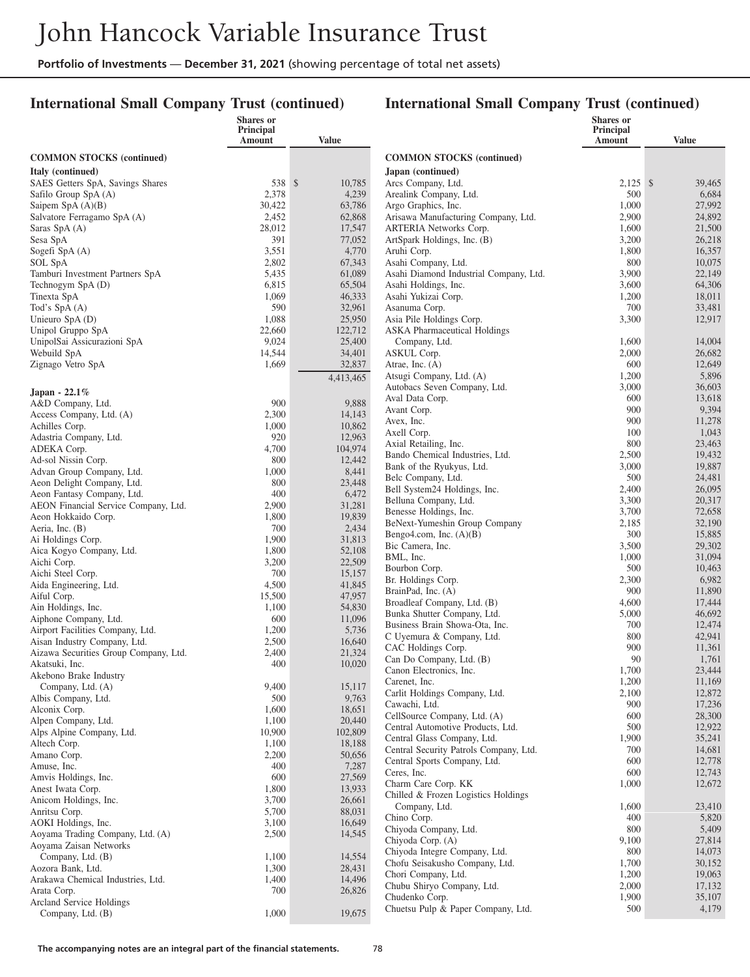### **International Small Company Trust (continued)**

|                                                         | <b>Shares or</b><br><b>Principal</b> |                   |                                                | <b>Shares</b> or<br>Principal |                  |
|---------------------------------------------------------|--------------------------------------|-------------------|------------------------------------------------|-------------------------------|------------------|
|                                                         | Amount                               | <b>Value</b>      |                                                | Amount                        | <b>Value</b>     |
| <b>COMMON STOCKS</b> (continued)                        |                                      |                   | <b>COMMON STOCKS</b> (continued)               |                               |                  |
| Italy (continued)                                       |                                      |                   | Japan (continued)                              |                               |                  |
| SAES Getters SpA, Savings Shares                        | 538 \$                               | 10,785            | Arcs Company, Ltd.                             | $2,125$ \$                    | 39,465           |
| Safilo Group SpA (A)                                    | 2,378                                | 4,239             | Arealink Company, Ltd.                         | 500                           | 6,684            |
| Saipem Sp $A(A)(B)$                                     | 30,422                               | 63,786            | Argo Graphics, Inc.                            | 1,000                         | 27,992           |
| Salvatore Ferragamo SpA (A)                             | 2,452                                | 62,868            | Arisawa Manufacturing Company, Ltd.            | 2,900                         | 24,892           |
| Saras SpA (A)                                           | 28,012                               | 17,547            | <b>ARTERIA Networks Corp.</b>                  | 1,600                         | 21,500           |
| Sesa SpA<br>Sogefi SpA (A)                              | 391<br>3,551                         | 77,052<br>4,770   | ArtSpark Holdings, Inc. (B)<br>Aruhi Corp.     | 3,200<br>1,800                | 26,218<br>16,357 |
| SOL SpA                                                 | 2,802                                | 67,343            | Asahi Company, Ltd.                            | 800                           | 10,075           |
| Tamburi Investment Partners SpA                         | 5,435                                | 61,089            | Asahi Diamond Industrial Company, Ltd.         | 3,900                         | 22,149           |
| Technogym SpA (D)                                       | 6,815                                | 65,504            | Asahi Holdings, Inc.                           | 3,600                         | 64,306           |
| Tinexta SpA                                             | 1,069                                | 46,333            | Asahi Yukizai Corp.                            | 1,200                         | 18,011           |
| Tod's SpA(A)                                            | 590                                  | 32,961            | Asanuma Corp.                                  | 700                           | 33,481           |
| Unieuro SpA (D)                                         | 1,088                                | 25,950            | Asia Pile Holdings Corp.                       | 3,300                         | 12,917           |
| Unipol Gruppo SpA                                       | 22,660                               | 122,712           | <b>ASKA</b> Pharmaceutical Holdings            |                               |                  |
| UnipolSai Assicurazioni SpA                             | 9,024                                | 25,400            | Company, Ltd.                                  | 1,600                         | 14,004           |
| Webuild SpA                                             | 14,544                               | 34,401            | ASKUL Corp.                                    | 2,000                         | 26,682           |
| Zignago Vetro SpA                                       | 1,669                                | 32,837            | Atrae, Inc. $(A)$                              | 600                           | 12,649           |
|                                                         |                                      | 4,413,465         | Atsugi Company, Ltd. (A)                       | 1,200                         | 5,896            |
| Japan - 22.1%                                           |                                      |                   | Autobacs Seven Company, Ltd.                   | 3,000                         | 36,603           |
| A&D Company, Ltd.                                       | 900                                  | 9,888             | Aval Data Corp.                                | 600<br>900                    | 13,618<br>9,394  |
| Access Company, Ltd. (A)                                | 2,300                                | 14,143            | Avant Corp.<br>Avex, Inc.                      | 900                           | 11,278           |
| Achilles Corp.                                          | 1,000                                | 10,862            | Axell Corp.                                    | 100                           | 1,043            |
| Adastria Company, Ltd.                                  | 920                                  | 12,963            | Axial Retailing, Inc.                          | 800                           | 23,463           |
| ADEKA Corp.                                             | 4,700                                | 104,974           | Bando Chemical Industries, Ltd.                | 2,500                         | 19,432           |
| Ad-sol Nissin Corp.                                     | 800                                  | 12,442<br>8,441   | Bank of the Ryukyus, Ltd.                      | 3,000                         | 19,887           |
| Advan Group Company, Ltd.<br>Aeon Delight Company, Ltd. | 1,000<br>800                         | 23,448            | Belc Company, Ltd.                             | 500                           | 24,481           |
| Aeon Fantasy Company, Ltd.                              | 400                                  | 6,472             | Bell System24 Holdings, Inc.                   | 2,400                         | 26,095           |
| AEON Financial Service Company, Ltd.                    | 2,900                                | 31,281            | Belluna Company, Ltd.                          | 3,300                         | 20,317           |
| Aeon Hokkaido Corp.                                     | 1,800                                | 19,839            | Benesse Holdings, Inc.                         | 3,700                         | 72,658           |
| Aeria, Inc. (B)                                         | 700                                  | 2,434             | BeNext-Yumeshin Group Company                  | 2,185                         | 32,190           |
| Ai Holdings Corp.                                       | 1,900                                | 31,813            | Bengo4.com, Inc. $(A)(B)$                      | 300                           | 15,885           |
| Aica Kogyo Company, Ltd.                                | 1,800                                | 52,108            | Bic Camera, Inc.<br>BML, Inc.                  | 3,500<br>1,000                | 29,302<br>31,094 |
| Aichi Corp.                                             | 3,200                                | 22,509            | Bourbon Corp.                                  | 500                           | 10,463           |
| Aichi Steel Corp.                                       | 700                                  | 15,157            | Br. Holdings Corp.                             | 2,300                         | 6,982            |
| Aida Engineering, Ltd.                                  | 4,500                                | 41,845            | BrainPad, Inc. (A)                             | 900                           | 11,890           |
| Aiful Corp.                                             | 15,500                               | 47,957            | Broadleaf Company, Ltd. (B)                    | 4,600                         | 17,444           |
| Ain Holdings, Inc.<br>Aiphone Company, Ltd.             | 1,100<br>600                         | 54,830<br>11,096  | Bunka Shutter Company, Ltd.                    | 5,000                         | 46,692           |
| Airport Facilities Company, Ltd.                        | 1,200                                | 5,736             | Business Brain Showa-Ota, Inc.                 | 700                           | 12,474           |
| Aisan Industry Company, Ltd.                            | 2,500                                | 16,640            | C Uyemura & Company, Ltd.                      | 800                           | 42,941           |
| Aizawa Securities Group Company, Ltd.                   | 2,400                                | 21,324            | CAC Holdings Corp.                             | 900                           | 11,361           |
| Akatsuki, Inc.                                          | 400                                  | 10,020            | Can Do Company, Ltd. (B)                       | 90                            | 1,761            |
| Akebono Brake Industry                                  |                                      |                   | Canon Electronics, Inc.                        | 1,700<br>1,200                | 23,444<br>11,169 |
| Company, Ltd. (A)                                       | 9,400                                | 15,117            | Carenet, Inc.<br>Carlit Holdings Company, Ltd. | 2,100                         | 12,872           |
| Albis Company, Ltd.                                     | 500                                  | 9,763             | Cawachi, Ltd.                                  | 900                           | 17,236           |
| Alconix Corp.                                           | 1,600                                | 18,651            | CellSource Company, Ltd. (A)                   | 600                           | 28,300           |
| Alpen Company, Ltd.                                     | 1,100                                | 20,440            | Central Automotive Products, Ltd.              | 500                           | 12,922           |
| Alps Alpine Company, Ltd.                               | 10,900<br>1,100                      | 102,809<br>18,188 | Central Glass Company, Ltd.                    | 1,900                         | 35,241           |
| Altech Corp.<br>Amano Corp.                             | 2,200                                | 50,656            | Central Security Patrols Company, Ltd.         | 700                           | 14,681           |
| Amuse, Inc.                                             | 400                                  | 7,287             | Central Sports Company, Ltd.                   | 600                           | 12,778           |
| Amvis Holdings, Inc.                                    | 600                                  | 27,569            | Ceres, Inc.                                    | 600                           | 12,743           |
| Anest Iwata Corp.                                       | 1,800                                | 13,933            | Charm Care Corp. KK                            | 1,000                         | 12,672           |
| Anicom Holdings, Inc.                                   | 3,700                                | 26,661            | Chilled & Frozen Logistics Holdings            |                               |                  |
| Anritsu Corp.                                           | 5,700                                | 88,031            | Company, Ltd.<br>Chino Corp.                   | 1,600<br>400                  | 23,410<br>5,820  |
| AOKI Holdings, Inc.                                     | 3,100                                | 16,649            | Chiyoda Company, Ltd.                          | 800                           | 5,409            |
| Aoyama Trading Company, Ltd. (A)                        | 2,500                                | 14,545            | Chiyoda Corp. (A)                              | 9,100                         | 27,814           |
| Aoyama Zaisan Networks                                  |                                      |                   | Chiyoda Integre Company, Ltd.                  | 800                           | 14,073           |
| Company, Ltd. (B)                                       | 1,100                                | 14,554            | Chofu Seisakusho Company, Ltd.                 | 1,700                         | 30,152           |
| Aozora Bank, Ltd.                                       | 1,300                                | 28,431            | Chori Company, Ltd.                            | 1,200                         | 19,063           |
| Arakawa Chemical Industries, Ltd.<br>Arata Corp.        | 1,400<br>700                         | 14,496<br>26,826  | Chubu Shiryo Company, Ltd.                     | 2,000                         | 17,132           |
| Arcland Service Holdings                                |                                      |                   | Chudenko Corp.                                 | 1,900                         | 35,107           |
| Company, Ltd. (B)                                       | 1,000                                | 19,675            | Chuetsu Pulp & Paper Company, Ltd.             | 500                           | 4,179            |
|                                                         |                                      |                   |                                                |                               |                  |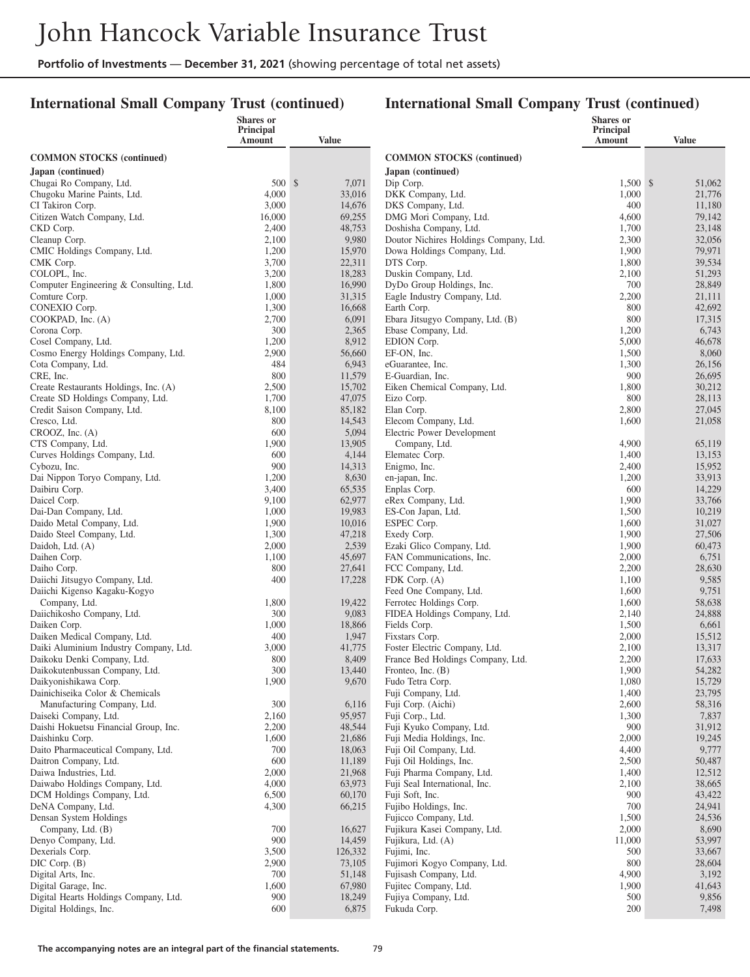### **International Small Company Trust (continued)**

|                                                               | <b>Shares</b> or<br>Principal |                  |                                                                  | <b>Shares</b> or<br>Principal |                  |
|---------------------------------------------------------------|-------------------------------|------------------|------------------------------------------------------------------|-------------------------------|------------------|
|                                                               | Amount                        | Value            |                                                                  | <b>Amount</b>                 | <b>Value</b>     |
| <b>COMMON STOCKS (continued)</b>                              |                               |                  | <b>COMMON STOCKS</b> (continued)                                 |                               |                  |
| Japan (continued)                                             |                               |                  | Japan (continued)                                                |                               |                  |
| Chugai Ro Company, Ltd.                                       | 500S                          | 7,071            | Dip Corp.                                                        | 1,500 \$                      | 51,062           |
| Chugoku Marine Paints, Ltd.                                   | 4,000                         | 33,016           | DKK Company, Ltd.                                                | 1,000                         | 21,776           |
| CI Takiron Corp.                                              | 3,000                         | 14,676           | DKS Company, Ltd.                                                | 400                           | 11,180           |
| Citizen Watch Company, Ltd.                                   | 16,000                        | 69,255           | DMG Mori Company, Ltd.                                           | 4,600                         | 79,142           |
| CKD Corp.<br>Cleanup Corp.                                    | 2,400<br>2,100                | 48,753<br>9,980  | Doshisha Company, Ltd.<br>Doutor Nichires Holdings Company, Ltd. | 1,700<br>2,300                | 23,148<br>32,056 |
| CMIC Holdings Company, Ltd.                                   | 1,200                         | 15,970           | Dowa Holdings Company, Ltd.                                      | 1,900                         | 79,971           |
| CMK Corp.                                                     | 3,700                         | 22,311           | DTS Corp.                                                        | 1,800                         | 39,534           |
| COLOPL, Inc.                                                  | 3,200                         | 18,283           | Duskin Company, Ltd.                                             | 2,100                         | 51,293           |
| Computer Engineering & Consulting, Ltd.                       | 1,800                         | 16,990           | DyDo Group Holdings, Inc.                                        | 700                           | 28,849           |
| Comture Corp.                                                 | 1,000                         | 31,315           | Eagle Industry Company, Ltd.                                     | 2,200                         | 21,111           |
| CONEXIO Corp.                                                 | 1,300                         | 16,668           | Earth Corp.                                                      | 800                           | 42,692           |
| COOKPAD, Inc. (A)                                             | 2,700                         | 6,091            | Ebara Jitsugyo Company, Ltd. (B)                                 | 800                           | 17,315           |
| Corona Corp.                                                  | 300                           | 2,365            | Ebase Company, Ltd.                                              | 1,200                         | 6,743            |
| Cosel Company, Ltd.<br>Cosmo Energy Holdings Company, Ltd.    | 1,200<br>2,900                | 8,912<br>56,660  | EDION Corp.<br>EF-ON, Inc.                                       | 5,000<br>1,500                | 46,678<br>8,060  |
| Cota Company, Ltd.                                            | 484                           | 6,943            | eGuarantee, Inc.                                                 | 1,300                         | 26,156           |
| CRE, Inc.                                                     | 800                           | 11,579           | E-Guardian, Inc.                                                 | 900                           | 26,695           |
| Create Restaurants Holdings, Inc. (A)                         | 2,500                         | 15,702           | Eiken Chemical Company, Ltd.                                     | 1,800                         | 30,212           |
| Create SD Holdings Company, Ltd.                              | 1,700                         | 47,075           | Eizo Corp.                                                       | 800                           | 28,113           |
| Credit Saison Company, Ltd.                                   | 8,100                         | 85,182           | Elan Corp.                                                       | 2,800                         | 27,045           |
| Cresco, Ltd.                                                  | 800                           | 14,543           | Elecom Company, Ltd.                                             | 1,600                         | 21,058           |
| CROOZ, Inc. (A)                                               | 600                           | 5,094            | Electric Power Development                                       |                               |                  |
| CTS Company, Ltd.                                             | 1,900                         | 13,905           | Company, Ltd.                                                    | 4,900                         | 65,119           |
| Curves Holdings Company, Ltd.<br>Cybozu, Inc.                 | 600<br>900                    | 4,144<br>14,313  | Elematec Corp.<br>Enigmo, Inc.                                   | 1,400<br>2,400                | 13,153<br>15,952 |
| Dai Nippon Toryo Company, Ltd.                                | 1,200                         | 8,630            | en-japan, Inc.                                                   | 1,200                         | 33.913           |
| Daibiru Corp.                                                 | 3,400                         | 65,535           | Enplas Corp.                                                     | 600                           | 14,229           |
| Daicel Corp.                                                  | 9,100                         | 62,977           | eRex Company, Ltd.                                               | 1,900                         | 33,766           |
| Dai-Dan Company, Ltd.                                         | 1,000                         | 19,983           | ES-Con Japan, Ltd.                                               | 1,500                         | 10,219           |
| Daido Metal Company, Ltd.                                     | 1,900                         | 10,016           | ESPEC Corp.                                                      | 1,600                         | 31,027           |
| Daido Steel Company, Ltd.                                     | 1,300                         | 47,218           | Exedy Corp.                                                      | 1,900                         | 27,506           |
| Daidoh, Ltd. (A)                                              | 2,000                         | 2,539            | Ezaki Glico Company, Ltd.                                        | 1,900                         | 60,473           |
| Daihen Corp.                                                  | 1,100                         | 45,697           | FAN Communications, Inc.                                         | 2,000                         | 6,751            |
| Daiho Corp.<br>Daiichi Jitsugyo Company, Ltd.                 | 800<br>400                    | 27,641<br>17,228 | FCC Company, Ltd.<br>FDK Corp. (A)                               | 2,200<br>1,100                | 28,630<br>9,585  |
| Daiichi Kigenso Kagaku-Kogyo                                  |                               |                  | Feed One Company, Ltd.                                           | 1,600                         | 9,751            |
| Company, Ltd.                                                 | 1,800                         | 19,422           | Ferrotec Holdings Corp.                                          | 1,600                         | 58,638           |
| Daiichikosho Company, Ltd.                                    | 300                           | 9,083            | FIDEA Holdings Company, Ltd.                                     | 2,140                         | 24,888           |
| Daiken Corp.                                                  | 1,000                         | 18,866           | Fields Corp.                                                     | 1,500                         | 6,661            |
| Daiken Medical Company, Ltd.                                  | 400                           | 1,947            | Fixstars Corp.                                                   | 2,000                         | 15.512           |
| Daiki Aluminium Industry Company, Ltd.                        | 3,000                         | 41,775           | Foster Electric Company, Ltd.                                    | 2,100                         | 13,317           |
| Daikoku Denki Company, Ltd.                                   | 800                           | 8,409            | France Bed Holdings Company, Ltd.                                | 2,200                         | 17,633<br>54,282 |
| Daikokutenbussan Company, Ltd.<br>Daikyonishikawa Corp.       | 300<br>1,900                  | 13,440<br>9,670  | Fronteo, Inc. $(B)$<br>Fudo Tetra Corp.                          | 1,900<br>1,080                | 15,729           |
| Dainichiseika Color & Chemicals                               |                               |                  | Fuji Company, Ltd.                                               | 1,400                         | 23,795           |
| Manufacturing Company, Ltd.                                   | 300                           | 6,116            | Fuji Corp. (Aichi)                                               | 2,600                         | 58,316           |
| Daiseki Company, Ltd.                                         | 2,160                         | 95,957           | Fuji Corp., Ltd.                                                 | 1,300                         | 7,837            |
| Daishi Hokuetsu Financial Group, Inc.                         | 2,200                         | 48,544           | Fuji Kyuko Company, Ltd.                                         | 900                           | 31,912           |
| Daishinku Corp.                                               | 1,600                         | 21,686           | Fuji Media Holdings, Inc.                                        | 2,000                         | 19,245           |
| Daito Pharmaceutical Company, Ltd.                            | 700                           | 18,063           | Fuji Oil Company, Ltd.                                           | 4,400                         | 9,777            |
| Daitron Company, Ltd.<br>Daiwa Industries, Ltd.               | 600                           | 11,189           | Fuji Oil Holdings, Inc.                                          | 2,500                         | 50,487           |
| Daiwabo Holdings Company, Ltd.                                | 2,000<br>4,000                | 21,968<br>63,973 | Fuji Pharma Company, Ltd.<br>Fuji Seal International, Inc.       | 1,400<br>2,100                | 12,512<br>38,665 |
| DCM Holdings Company, Ltd.                                    | 6,500                         | 60,170           | Fuji Soft, Inc.                                                  | 900                           | 43,422           |
| DeNA Company, Ltd.                                            | 4,300                         | 66,215           | Fujibo Holdings, Inc.                                            | 700                           | 24,941           |
| Densan System Holdings                                        |                               |                  | Fujicco Company, Ltd.                                            | 1,500                         | 24,536           |
| Company, Ltd. (B)                                             | 700                           | 16,627           | Fujikura Kasei Company, Ltd.                                     | 2,000                         | 8,690            |
| Denyo Company, Ltd.                                           | 900                           | 14,459           | Fujikura, Ltd. (A)                                               | 11,000                        | 53,997           |
| Dexerials Corp.                                               | 3,500                         | 126,332          | Fujimi, Inc.                                                     | 500                           | 33,667           |
| $DIC$ Corp. $(B)$                                             | 2,900                         | 73,105           | Fujimori Kogyo Company, Ltd.                                     | 800                           | 28,604           |
| Digital Arts, Inc.                                            | 700                           | 51,148           | Fujisash Company, Ltd.                                           | 4,900                         | 3,192            |
| Digital Garage, Inc.<br>Digital Hearts Holdings Company, Ltd. | 1,600<br>900                  | 67,980<br>18,249 | Fujitec Company, Ltd.<br>Fujiya Company, Ltd.                    | 1,900<br>500                  | 41,643<br>9,856  |
| Digital Holdings, Inc.                                        | 600                           | 6,875            | Fukuda Corp.                                                     | 200                           | 7,498            |
|                                                               |                               |                  |                                                                  |                               |                  |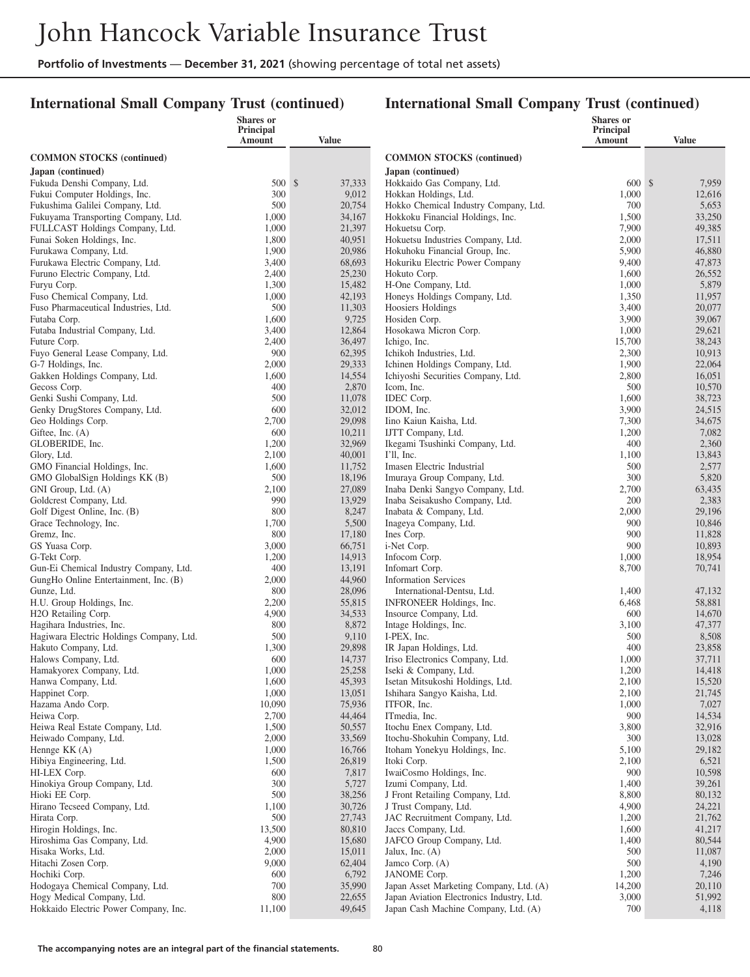### **International Small Company Trust (continued)**

|                                                                        | <b>Shares</b> or<br>Principal |                  |                                                        | <b>Shares</b> or<br>Principal |                  |
|------------------------------------------------------------------------|-------------------------------|------------------|--------------------------------------------------------|-------------------------------|------------------|
|                                                                        | Amount                        | Value            |                                                        | Amount                        | <b>Value</b>     |
| <b>COMMON STOCKS (continued)</b>                                       |                               |                  | <b>COMMON STOCKS</b> (continued)                       |                               |                  |
| Japan (continued)                                                      |                               |                  | Japan (continued)                                      |                               |                  |
| Fukuda Denshi Company, Ltd.                                            | 500S                          | 37,333           | Hokkaido Gas Company, Ltd.                             | 600S                          | 7,959            |
| Fukui Computer Holdings, Inc.                                          | 300                           | 9,012            | Hokkan Holdings, Ltd.                                  | 1,000                         | 12,616           |
| Fukushima Galilei Company, Ltd.                                        | 500                           | 20,754           | Hokko Chemical Industry Company, Ltd.                  | 700                           | 5,653            |
| Fukuyama Transporting Company, Ltd.<br>FULLCAST Holdings Company, Ltd. | 1,000<br>1,000                | 34,167<br>21,397 | Hokkoku Financial Holdings, Inc.<br>Hokuetsu Corp.     | 1,500<br>7,900                | 33,250<br>49,385 |
| Funai Soken Holdings, Inc.                                             | 1,800                         | 40,951           | Hokuetsu Industries Company, Ltd.                      | 2,000                         | 17,511           |
| Furukawa Company, Ltd.                                                 | 1,900                         | 20,986           | Hokuhoku Financial Group, Inc.                         | 5,900                         | 46,880           |
| Furukawa Electric Company, Ltd.                                        | 3,400                         | 68,693           | Hokuriku Electric Power Company                        | 9,400                         | 47,873           |
| Furuno Electric Company, Ltd.                                          | 2,400                         | 25,230           | Hokuto Corp.                                           | 1,600                         | 26,552           |
| Furyu Corp.                                                            | 1,300                         | 15,482           | H-One Company, Ltd.                                    | 1,000                         | 5,879            |
| Fuso Chemical Company, Ltd.                                            | 1,000                         | 42,193           | Honeys Holdings Company, Ltd.                          | 1,350                         | 11,957           |
| Fuso Pharmaceutical Industries, Ltd.                                   | 500                           | 11,303           | Hoosiers Holdings                                      | 3,400                         | 20,077           |
| Futaba Corp.<br>Futaba Industrial Company, Ltd.                        | 1,600<br>3,400                | 9,725<br>12,864  | Hosiden Corp.<br>Hosokawa Micron Corp.                 | 3,900<br>1,000                | 39,067<br>29,621 |
| Future Corp.                                                           | 2,400                         | 36,497           | Ichigo, Inc.                                           | 15,700                        | 38,243           |
| Fuyo General Lease Company, Ltd.                                       | 900                           | 62,395           | Ichikoh Industries, Ltd.                               | 2,300                         | 10,913           |
| G-7 Holdings, Inc.                                                     | 2,000                         | 29,333           | Ichinen Holdings Company, Ltd.                         | 1,900                         | 22,064           |
| Gakken Holdings Company, Ltd.                                          | 1,600                         | 14,554           | Ichiyoshi Securities Company, Ltd.                     | 2,800                         | 16,051           |
| Gecoss Corp.                                                           | 400                           | 2,870            | Icom, Inc.                                             | 500                           | 10,570           |
| Genki Sushi Company, Ltd.                                              | 500                           | 11,078           | IDEC Corp.                                             | 1,600                         | 38,723           |
| Genky DrugStores Company, Ltd.                                         | 600                           | 32,012           | IDOM, Inc.                                             | 3,900                         | 24,515           |
| Geo Holdings Corp.                                                     | 2,700                         | 29,098           | Iino Kaiun Kaisha, Ltd.                                | 7,300                         | 34,675           |
| Giftee, Inc. $(A)$<br>GLOBERIDE, Inc.                                  | 600<br>1,200                  | 10,211<br>32,969 | IJTT Company, Ltd.<br>Ikegami Tsushinki Company, Ltd.  | 1,200<br>400                  | 7,082<br>2,360   |
| Glory, Ltd.                                                            | 2,100                         | 40,001           | $I'll$ , Inc.                                          | 1,100                         | 13,843           |
| GMO Financial Holdings, Inc.                                           | 1,600                         | 11,752           | Imasen Electric Industrial                             | 500                           | 2,577            |
| GMO GlobalSign Holdings KK (B)                                         | 500                           | 18,196           | Imuraya Group Company, Ltd.                            | 300                           | 5,820            |
| GNI Group, Ltd. (A)                                                    | 2,100                         | 27,089           | Inaba Denki Sangyo Company, Ltd.                       | 2,700                         | 63,435           |
| Goldcrest Company, Ltd.                                                | 990                           | 13,929           | Inaba Seisakusho Company, Ltd.                         | 200                           | 2,383            |
| Golf Digest Online, Inc. (B)                                           | 800                           | 8,247            | Inabata & Company, Ltd.                                | 2,000                         | 29,196           |
| Grace Technology, Inc.<br>Gremz, Inc.                                  | 1,700<br>800                  | 5,500<br>17,180  | Inageya Company, Ltd.<br>Ines Corp.                    | 900<br>900                    | 10,846<br>11,828 |
| GS Yuasa Corp.                                                         | 3,000                         | 66,751           | i-Net Corp.                                            | 900                           | 10,893           |
| G-Tekt Corp.                                                           | 1,200                         | 14,913           | Infocom Corp.                                          | 1,000                         | 18,954           |
| Gun-Ei Chemical Industry Company, Ltd.                                 | 400                           | 13,191           | Infomart Corp.                                         | 8,700                         | 70,741           |
| GungHo Online Entertainment, Inc. (B)                                  | 2,000                         | 44,960           | <b>Information Services</b>                            |                               |                  |
| Gunze, Ltd.                                                            | 800                           | 28,096           | International-Dentsu, Ltd.                             | 1,400                         | 47,132           |
| H.U. Group Holdings, Inc.                                              | 2,200                         | 55,815           | INFRONEER Holdings, Inc.                               | 6,468                         | 58,881           |
| H2O Retailing Corp.                                                    | 4,900                         | 34,533           | Insource Company, Ltd.                                 | 600                           | 14,670           |
| Hagihara Industries, Inc.<br>Hagiwara Electric Holdings Company, Ltd.  | 800<br>500                    | 8,872<br>9,110   | Intage Holdings, Inc.<br>I-PEX, Inc.                   | 3,100<br>500                  | 47,377<br>8,508  |
| Hakuto Company, Ltd.                                                   | 1,300                         | 29,898           | IR Japan Holdings, Ltd.                                | 400                           | 23,858           |
| Halows Company, Ltd.                                                   | 600                           | 14,737           | Iriso Electronics Company, Ltd.                        | 1,000                         | 37,711           |
| Hamakyorex Company, Ltd.                                               | 1,000                         | 25,258           | Iseki & Company, Ltd.                                  | 1,200                         | 14,418           |
| Hanwa Company, Ltd.                                                    | 1,600                         | 45,393           | Isetan Mitsukoshi Holdings, Ltd.                       | 2,100                         | 15,520           |
| Happinet Corp.                                                         | 1,000                         | 13,051           | Ishihara Sangyo Kaisha, Ltd.                           | 2,100                         | 21,745           |
| Hazama Ando Corp.<br>Heiwa Corp.                                       | 10,090<br>2,700               | 75,936<br>44,464 | ITFOR, Inc.<br>ITmedia, Inc.                           | 1,000<br>900                  | 7,027<br>14,534  |
| Heiwa Real Estate Company, Ltd.                                        | 1,500                         | 50,557           | Itochu Enex Company, Ltd.                              | 3,800                         | 32,916           |
| Heiwado Company, Ltd.                                                  | 2,000                         | 33,569           | Itochu-Shokuhin Company, Ltd.                          | 300                           | 13,028           |
| Hennge KK (A)                                                          | 1,000                         | 16,766           | Itoham Yonekyu Holdings, Inc.                          | 5,100                         | 29,182           |
| Hibiya Engineering, Ltd.                                               | 1,500                         | 26,819           | Itoki Corp.                                            | 2,100                         | 6,521            |
| HI-LEX Corp.                                                           | 600                           | 7,817            | IwaiCosmo Holdings, Inc.                               | 900                           | 10,598           |
| Hinokiya Group Company, Ltd.                                           | 300                           | 5,727            | Izumi Company, Ltd.                                    | 1,400                         | 39,261           |
| Hioki EE Corp.                                                         | 500                           | 38,256           | J Front Retailing Company, Ltd.                        | 8,800                         | 80,132           |
| Hirano Tecseed Company, Ltd.<br>Hirata Corp.                           | 1,100<br>500                  | 30,726<br>27,743 | J Trust Company, Ltd.<br>JAC Recruitment Company, Ltd. | 4,900<br>1,200                | 24,221<br>21,762 |
| Hirogin Holdings, Inc.                                                 | 13,500                        | 80,810           | Jaccs Company, Ltd.                                    | 1,600                         | 41,217           |
| Hiroshima Gas Company, Ltd.                                            | 4,900                         | 15,680           | JAFCO Group Company, Ltd.                              | 1,400                         | 80,544           |
| Hisaka Works, Ltd.                                                     | 2,000                         | 15,011           | Jalux, Inc. $(A)$                                      | 500                           | 11,087           |
| Hitachi Zosen Corp.                                                    | 9,000                         | 62,404           | Jamco Corp. (A)                                        | 500                           | 4,190            |
| Hochiki Corp.                                                          | 600                           | 6,792            | JANOME Corp.                                           | 1,200                         | 7,246            |
| Hodogaya Chemical Company, Ltd.                                        | 700                           | 35,990           | Japan Asset Marketing Company, Ltd. (A)                | 14,200                        | 20,110           |
| Hogy Medical Company, Ltd.                                             | 800                           | 22,655           | Japan Aviation Electronics Industry, Ltd.              | 3,000                         | 51,992           |
| Hokkaido Electric Power Company, Inc.                                  | 11,100                        | 49,645           | Japan Cash Machine Company, Ltd. (A)                   | 700                           | 4,118            |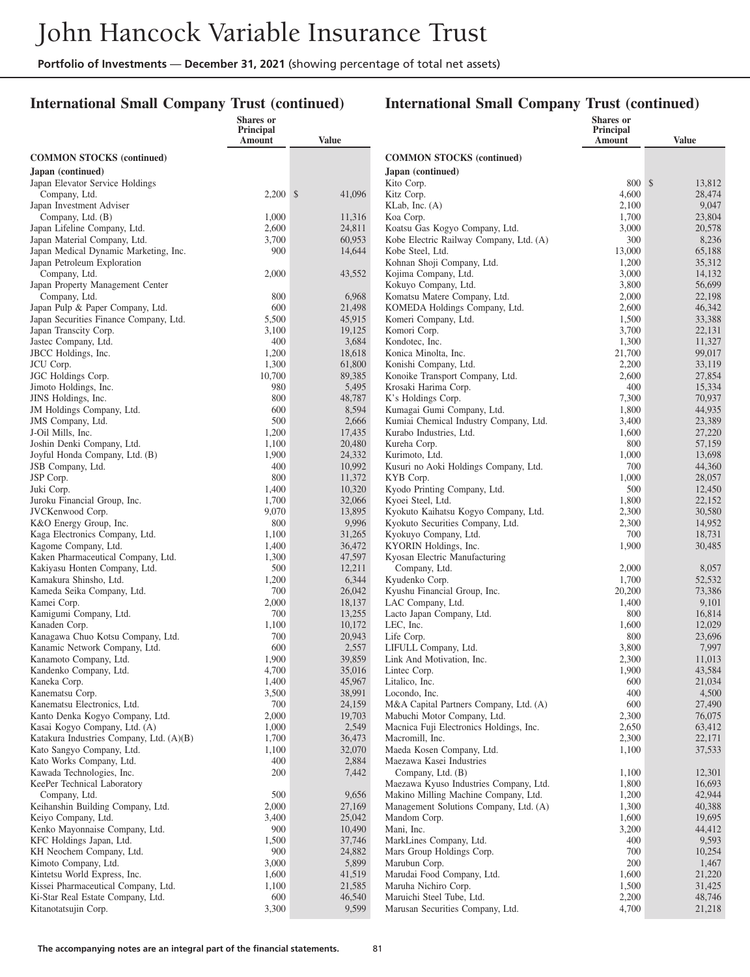### **International Small Company Trust (continued)**

|                                                          | Shares or<br>Principal |                  |                                                             | Shares or<br>Principal |                  |
|----------------------------------------------------------|------------------------|------------------|-------------------------------------------------------------|------------------------|------------------|
|                                                          | Amount                 | <b>Value</b>     |                                                             | <b>Amount</b>          | <b>Value</b>     |
| <b>COMMON STOCKS</b> (continued)                         |                        |                  | <b>COMMON STOCKS (continued)</b>                            |                        |                  |
| Japan (continued)                                        |                        |                  | Japan (continued)                                           |                        |                  |
| Japan Elevator Service Holdings                          |                        |                  | Kito Corp.                                                  | 800 \$                 | 13,812           |
| Company, Ltd.                                            | $2,200$ \$             | 41,096           | Kitz Corp.                                                  | 4,600                  | 28,474           |
| Japan Investment Adviser                                 |                        |                  | KLab, Inc. (A)                                              | 2,100                  | 9,047<br>23,804  |
| Company, Ltd. (B)<br>Japan Lifeline Company, Ltd.        | 1,000<br>2,600         | 11,316<br>24,811 | Koa Corp.<br>Koatsu Gas Kogyo Company, Ltd.                 | 1,700<br>3,000         | 20,578           |
| Japan Material Company, Ltd.                             | 3,700                  | 60,953           | Kobe Electric Railway Company, Ltd. (A)                     | 300                    | 8,236            |
| Japan Medical Dynamic Marketing, Inc.                    | 900                    | 14,644           | Kobe Steel, Ltd.                                            | 13,000                 | 65,188           |
| Japan Petroleum Exploration                              |                        |                  | Kohnan Shoji Company, Ltd.                                  | 1,200                  | 35,312           |
| Company, Ltd.                                            | 2,000                  | 43,552           | Kojima Company, Ltd.                                        | 3,000                  | 14,132           |
| Japan Property Management Center<br>Company, Ltd.        | 800                    | 6,968            | Kokuyo Company, Ltd.<br>Komatsu Matere Company, Ltd.        | 3,800<br>2,000         | 56,699<br>22,198 |
| Japan Pulp & Paper Company, Ltd.                         | 600                    | 21,498           | KOMEDA Holdings Company, Ltd.                               | 2,600                  | 46,342           |
| Japan Securities Finance Company, Ltd.                   | 5,500                  | 45,915           | Komeri Company, Ltd.                                        | 1,500                  | 33,388           |
| Japan Transcity Corp.                                    | 3,100                  | 19,125           | Komori Corp.                                                | 3,700                  | 22,131           |
| Jastec Company, Ltd.                                     | 400                    | 3,684            | Kondotec, Inc.                                              | 1,300                  | 11,327           |
| JBCC Holdings, Inc.                                      | 1,200                  | 18,618           | Konica Minolta, Inc.                                        | 21,700                 | 99,017           |
| JCU Corp.                                                | 1,300<br>10,700        | 61,800           | Konishi Company, Ltd.<br>Konoike Transport Company, Ltd.    | 2,200                  | 33,119           |
| JGC Holdings Corp.<br>Jimoto Holdings, Inc.              | 980                    | 89,385<br>5,495  | Krosaki Harima Corp.                                        | 2,600<br>400           | 27,854<br>15,334 |
| JINS Holdings, Inc.                                      | 800                    | 48,787           | K's Holdings Corp.                                          | 7,300                  | 70,937           |
| JM Holdings Company, Ltd.                                | 600                    | 8,594            | Kumagai Gumi Company, Ltd.                                  | 1,800                  | 44,935           |
| JMS Company, Ltd.                                        | 500                    | 2,666            | Kumiai Chemical Industry Company, Ltd.                      | 3,400                  | 23,389           |
| J-Oil Mills, Inc.                                        | 1,200                  | 17,435           | Kurabo Industries, Ltd.                                     | 1,600                  | 27,220           |
| Joshin Denki Company, Ltd.                               | 1,100                  | 20,480           | Kureha Corp.                                                | 800                    | 57,159           |
| Joyful Honda Company, Ltd. (B)<br>JSB Company, Ltd.      | 1,900<br>400           | 24,332<br>10,992 | Kurimoto, Ltd.<br>Kusuri no Aoki Holdings Company, Ltd.     | 1,000<br>700           | 13,698<br>44,360 |
| JSP Corp.                                                | 800                    | 11,372           | KYB Corp.                                                   | 1,000                  | 28,057           |
| Juki Corp.                                               | 1,400                  | 10,320           | Kyodo Printing Company, Ltd.                                | 500                    | 12,450           |
| Juroku Financial Group, Inc.                             | 1,700                  | 32,066           | Kyoei Steel, Ltd.                                           | 1,800                  | 22,152           |
| JVCKenwood Corp.                                         | 9,070                  | 13,895           | Kyokuto Kaihatsu Kogyo Company, Ltd.                        | 2,300                  | 30,580           |
| K&O Energy Group, Inc.                                   | 800                    | 9,996            | Kyokuto Securities Company, Ltd.                            | 2,300                  | 14,952           |
| Kaga Electronics Company, Ltd.<br>Kagome Company, Ltd.   | 1,100<br>1,400         | 31,265<br>36,472 | Kyokuyo Company, Ltd.<br>KYORIN Holdings, Inc.              | 700<br>1,900           | 18,731<br>30,485 |
| Kaken Pharmaceutical Company, Ltd.                       | 1,300                  | 47,597           | Kyosan Electric Manufacturing                               |                        |                  |
| Kakiyasu Honten Company, Ltd.                            | 500                    | 12,211           | Company, Ltd.                                               | 2,000                  | 8,057            |
| Kamakura Shinsho, Ltd.                                   | 1,200                  | 6,344            | Kyudenko Corp.                                              | 1,700                  | 52,532           |
| Kameda Seika Company, Ltd.                               | 700                    | 26,042           | Kyushu Financial Group, Inc.                                | 20,200                 | 73,386           |
| Kamei Corp.                                              | 2,000                  | 18,137           | LAC Company, Ltd.                                           | 1,400                  | 9,101            |
| Kamigumi Company, Ltd.<br>Kanaden Corp.                  | 700                    | 13,255           | Lacto Japan Company, Ltd.                                   | 800                    | 16,814<br>12,029 |
| Kanagawa Chuo Kotsu Company, Ltd.                        | 1,100<br>700           | 10,172<br>20,943 | LEC, Inc.<br>Life Corp.                                     | 1,600<br>800           | 23,696           |
| Kanamic Network Company, Ltd.                            | 600                    | 2,557            | LIFULL Company, Ltd.                                        | 3,800                  | 7,997            |
| Kanamoto Company, Ltd.                                   | 1,900                  | 39,859           | Link And Motivation, Inc.                                   | 2,300                  | 11,013           |
| Kandenko Company, Ltd.                                   | 4,700                  | 35,016           | Lintec Corp.                                                | 1,900                  | 43,584           |
| Kaneka Corp.                                             | 1,400                  | 45,967           | Litalico, Inc.                                              | 600                    | 21,034           |
| Kanematsu Corp.<br>Kanematsu Electronics, Ltd.           | 3,500<br>700           | 38,991<br>24,159 | Locondo, Inc.<br>M&A Capital Partners Company, Ltd. (A)     | 400<br>600             | 4,500<br>27,490  |
| Kanto Denka Kogyo Company, Ltd.                          | 2,000                  | 19,703           | Mabuchi Motor Company, Ltd.                                 | 2,300                  | 76,075           |
| Kasai Kogyo Company, Ltd. (A)                            | 1,000                  | 2,549            | Macnica Fuji Electronics Holdings, Inc.                     | 2,650                  | 63,412           |
| Katakura Industries Company, Ltd. (A)(B)                 | 1,700                  | 36,473           | Macromill, Inc.                                             | 2,300                  | 22,171           |
| Kato Sangyo Company, Ltd.                                | 1,100                  | 32,070           | Maeda Kosen Company, Ltd.                                   | 1,100                  | 37,533           |
| Kato Works Company, Ltd.                                 | 400                    | 2,884            | Maezawa Kasei Industries                                    |                        |                  |
| Kawada Technologies, Inc.<br>KeePer Technical Laboratory | 200                    | 7,442            | Company, Ltd. (B)<br>Maezawa Kyuso Industries Company, Ltd. | 1,100<br>1,800         | 12,301<br>16,693 |
| Company, Ltd.                                            | 500                    | 9,656            | Makino Milling Machine Company, Ltd.                        | 1,200                  | 42,944           |
| Keihanshin Building Company, Ltd.                        | 2,000                  | 27,169           | Management Solutions Company, Ltd. (A)                      | 1,300                  | 40,388           |
| Keiyo Company, Ltd.                                      | 3,400                  | 25,042           | Mandom Corp.                                                | 1,600                  | 19,695           |
| Kenko Mayonnaise Company, Ltd.                           | 900                    | 10,490           | Mani, Inc.                                                  | 3,200                  | 44,412           |
| KFC Holdings Japan, Ltd.                                 | 1,500                  | 37,746           | MarkLines Company, Ltd.                                     | 400                    | 9,593            |
| KH Neochem Company, Ltd.<br>Kimoto Company, Ltd.         | 900<br>3,000           | 24,882<br>5,899  | Mars Group Holdings Corp.<br>Marubun Corp.                  | 700<br>200             | 10,254<br>1,467  |
| Kintetsu World Express, Inc.                             | 1,600                  | 41,519           | Marudai Food Company, Ltd.                                  | 1,600                  | 21,220           |
| Kissei Pharmaceutical Company, Ltd.                      | 1,100                  | 21,585           | Maruha Nichiro Corp.                                        | 1,500                  | 31,425           |
| Ki-Star Real Estate Company, Ltd.                        | 600                    | 46,540           | Maruichi Steel Tube, Ltd.                                   | 2,200                  | 48,746           |
| Kitanotatsujin Corp.                                     | 3,300                  | 9,599            | Marusan Securities Company, Ltd.                            | 4,700                  | 21,218           |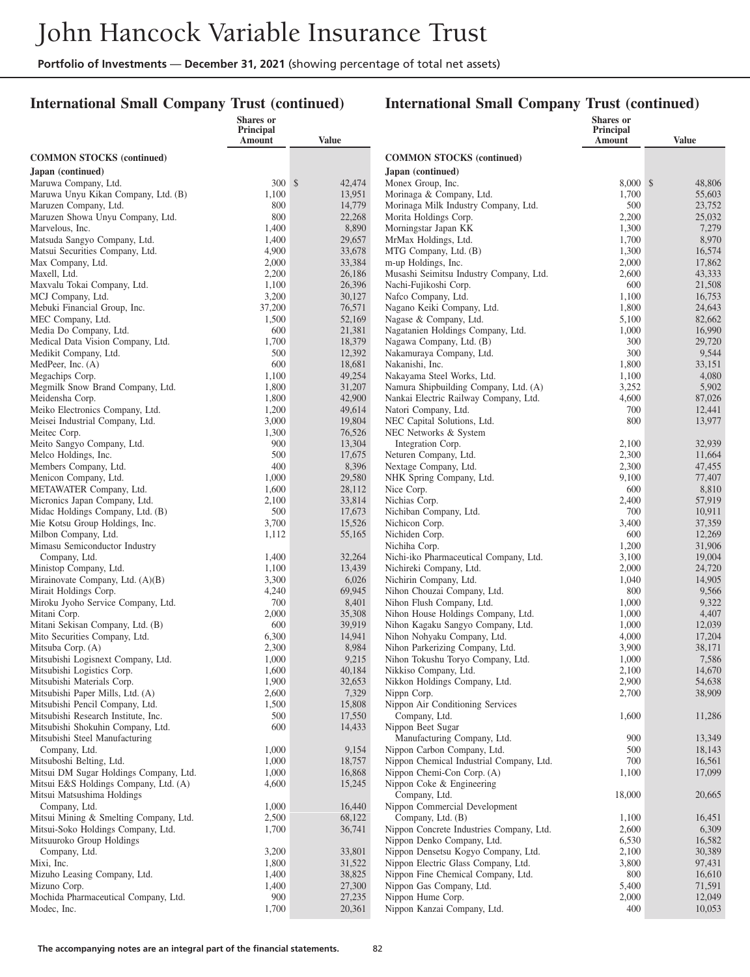### **International Small Company Trust (continued)**

|                                                                          | Shares or<br>Principal |                  |                                                                  | <b>Shares</b> or<br>Principal |                  |
|--------------------------------------------------------------------------|------------------------|------------------|------------------------------------------------------------------|-------------------------------|------------------|
|                                                                          | Amount                 | Value            |                                                                  | Amount                        | <b>Value</b>     |
| <b>COMMON STOCKS</b> (continued)                                         |                        |                  | <b>COMMON STOCKS</b> (continued)                                 |                               |                  |
| Japan (continued)                                                        |                        |                  | Japan (continued)                                                |                               |                  |
| Maruwa Company, Ltd.                                                     | 300S                   | 42,474           | Monex Group, Inc.                                                | 8,000S                        | 48,806           |
| Maruwa Unyu Kikan Company, Ltd. (B)                                      | 1,100                  | 13,951           | Morinaga & Company, Ltd.                                         | 1,700                         | 55,603           |
| Maruzen Company, Ltd.                                                    | 800                    | 14,779           | Morinaga Milk Industry Company, Ltd.                             | 500                           | 23,752           |
| Maruzen Showa Unyu Company, Ltd.                                         | 800                    | 22,268           | Morita Holdings Corp.                                            | 2,200                         | 25,032           |
| Marvelous, Inc.                                                          | 1,400                  | 8,890            | Morningstar Japan KK                                             | 1,300                         | 7,279            |
| Matsuda Sangyo Company, Ltd.                                             | 1,400                  | 29,657           | MrMax Holdings, Ltd.                                             | 1,700                         | 8,970            |
| Matsui Securities Company, Ltd.                                          | 4,900                  | 33,678           | MTG Company, Ltd. (B)                                            | 1,300                         | 16,574           |
| Max Company, Ltd.                                                        | 2,000                  | 33,384           | m-up Holdings, Inc.                                              | 2,000                         | 17,862           |
| Maxell, Ltd.<br>Maxvalu Tokai Company, Ltd.                              | 2,200<br>1,100         | 26,186<br>26,396 | Musashi Seimitsu Industry Company, Ltd.<br>Nachi-Fujikoshi Corp. | 2,600<br>600                  | 43,333<br>21,508 |
| MCJ Company, Ltd.                                                        | 3,200                  | 30,127           | Nafco Company, Ltd.                                              | 1,100                         | 16,753           |
| Mebuki Financial Group, Inc.                                             | 37,200                 | 76,571           | Nagano Keiki Company, Ltd.                                       | 1,800                         | 24,643           |
| MEC Company, Ltd.                                                        | 1,500                  | 52,169           | Nagase & Company, Ltd.                                           | 5,100                         | 82,662           |
| Media Do Company, Ltd.                                                   | 600                    | 21,381           | Nagatanien Holdings Company, Ltd.                                | 1,000                         | 16,990           |
| Medical Data Vision Company, Ltd.                                        | 1,700                  | 18,379           | Nagawa Company, Ltd. (B)                                         | 300                           | 29,720           |
| Medikit Company, Ltd.                                                    | 500                    | 12,392           | Nakamuraya Company, Ltd.                                         | 300                           | 9,544            |
| MedPeer, Inc. (A)                                                        | 600                    | 18,681           | Nakanishi, Inc.                                                  | 1,800                         | 33,151           |
| Megachips Corp.                                                          | 1,100                  | 49,254           | Nakayama Steel Works, Ltd.                                       | 1,100                         | 4,080            |
| Megmilk Snow Brand Company, Ltd.                                         | 1,800                  | 31,207           | Namura Shipbuilding Company, Ltd. (A)                            | 3,252                         | 5,902            |
| Meidensha Corp.                                                          | 1,800                  | 42,900           | Nankai Electric Railway Company, Ltd.                            | 4,600                         | 87,026           |
| Meiko Electronics Company, Ltd.                                          | 1,200                  | 49,614           | Natori Company, Ltd.                                             | 700                           | 12,441           |
| Meisei Industrial Company, Ltd.                                          | 3,000                  | 19,804           | NEC Capital Solutions, Ltd.                                      | 800                           | 13,977           |
| Meitec Corp.                                                             | 1,300                  | 76,526           | NEC Networks & System                                            |                               |                  |
| Meito Sangyo Company, Ltd.<br>Melco Holdings, Inc.                       | 900<br>500             | 13,304<br>17,675 | Integration Corp.<br>Neturen Company, Ltd.                       | 2,100<br>2,300                | 32,939<br>11,664 |
| Members Company, Ltd.                                                    | 400                    | 8,396            | Nextage Company, Ltd.                                            | 2,300                         | 47,455           |
| Menicon Company, Ltd.                                                    | 1,000                  | 29,580           | NHK Spring Company, Ltd.                                         | 9,100                         | 77,407           |
| METAWATER Company, Ltd.                                                  | 1,600                  | 28,112           | Nice Corp.                                                       | 600                           | 8,810            |
| Micronics Japan Company, Ltd.                                            | 2,100                  | 33,814           | Nichias Corp.                                                    | 2,400                         | 57,919           |
| Midac Holdings Company, Ltd. (B)                                         | 500                    | 17,673           | Nichiban Company, Ltd.                                           | 700                           | 10,911           |
| Mie Kotsu Group Holdings, Inc.                                           | 3,700                  | 15,526           | Nichicon Corp.                                                   | 3,400                         | 37,359           |
| Milbon Company, Ltd.                                                     | 1,112                  | 55,165           | Nichiden Corp.                                                   | 600                           | 12,269           |
| Mimasu Semiconductor Industry                                            |                        |                  | Nichiha Corp.                                                    | 1,200                         | 31,906           |
| Company, Ltd.                                                            | 1,400                  | 32,264           | Nichi-iko Pharmaceutical Company, Ltd.                           | 3,100                         | 19,004           |
| Ministop Company, Ltd.                                                   | 1,100                  | 13,439           | Nichireki Company, Ltd.                                          | 2,000                         | 24,720           |
| Mirainovate Company, Ltd. (A)(B)<br>Mirait Holdings Corp.                | 3,300<br>4,240         | 6,026<br>69,945  | Nichirin Company, Ltd.<br>Nihon Chouzai Company, Ltd.            | 1,040<br>800                  | 14,905<br>9,566  |
| Miroku Jyoho Service Company, Ltd.                                       | 700                    | 8,401            | Nihon Flush Company, Ltd.                                        | 1,000                         | 9,322            |
| Mitani Corp.                                                             | 2,000                  | 35,308           | Nihon House Holdings Company, Ltd.                               | 1,000                         | 4,407            |
| Mitani Sekisan Company, Ltd. (B)                                         | 600                    | 39,919           | Nihon Kagaku Sangyo Company, Ltd.                                | 1,000                         | 12,039           |
| Mito Securities Company, Ltd.                                            | 6,300                  | 14,941           | Nihon Nohyaku Company, Ltd.                                      | 4,000                         | 17,204           |
| Mitsuba Corp. (A)                                                        | 2,300                  | 8,984            | Nihon Parkerizing Company, Ltd.                                  | 3,900                         | 38,171           |
| Mitsubishi Logisnext Company, Ltd.                                       | 1,000                  | 9,215            | Nihon Tokushu Toryo Company, Ltd.                                | 1,000                         | 7,586            |
| Mitsubishi Logistics Corp.                                               | 1,600                  | 40,184           | Nikkiso Company, Ltd.                                            | 2,100                         | 14,670           |
| Mitsubishi Materials Corp.                                               | 1,900                  | 32,653           | Nikkon Holdings Company, Ltd.                                    | 2,900                         | 54,638           |
| Mitsubishi Paper Mills, Ltd. (A)                                         | 2,600                  | 7,329            | Nippn Corp.                                                      | 2,700                         | 38,909           |
| Mitsubishi Pencil Company, Ltd.                                          | 1,500                  | 15,808           | Nippon Air Conditioning Services                                 |                               |                  |
| Mitsubishi Research Institute, Inc.<br>Mitsubishi Shokuhin Company, Ltd. | 500<br>600             | 17,550<br>14,433 | Company, Ltd.<br>Nippon Beet Sugar                               | 1,600                         | 11,286           |
| Mitsubishi Steel Manufacturing                                           |                        |                  | Manufacturing Company, Ltd.                                      | 900                           | 13,349           |
| Company, Ltd.                                                            | 1,000                  | 9,154            | Nippon Carbon Company, Ltd.                                      | 500                           | 18,143           |
| Mitsuboshi Belting, Ltd.                                                 | 1,000                  | 18,757           | Nippon Chemical Industrial Company, Ltd.                         | 700                           | 16,561           |
| Mitsui DM Sugar Holdings Company, Ltd.                                   | 1,000                  | 16,868           | Nippon Chemi-Con Corp. (A)                                       | 1,100                         | 17,099           |
| Mitsui E&S Holdings Company, Ltd. (A)                                    | 4,600                  | 15,245           | Nippon Coke & Engineering                                        |                               |                  |
| Mitsui Matsushima Holdings                                               |                        |                  | Company, Ltd.                                                    | 18,000                        | 20,665           |
| Company, Ltd.                                                            | 1,000                  | 16,440           | Nippon Commercial Development                                    |                               |                  |
| Mitsui Mining & Smelting Company, Ltd.                                   | 2,500                  | 68,122           | Company, Ltd. (B)                                                | 1,100                         | 16,451           |
| Mitsui-Soko Holdings Company, Ltd.                                       | 1,700                  | 36,741           | Nippon Concrete Industries Company, Ltd.                         | 2,600                         | 6,309            |
| Mitsuuroko Group Holdings                                                |                        |                  | Nippon Denko Company, Ltd.                                       | 6,530                         | 16,582           |
| Company, Ltd.                                                            | 3,200                  | 33,801           | Nippon Densetsu Kogyo Company, Ltd.                              | 2,100                         | 30,389           |
| Mixi, Inc.                                                               | 1,800                  | 31,522           | Nippon Electric Glass Company, Ltd.                              | 3,800                         | 97,431           |
| Mizuho Leasing Company, Ltd.                                             | 1,400                  | 38,825           | Nippon Fine Chemical Company, Ltd.                               | 800                           | 16,610           |
| Mizuno Corp.<br>Mochida Pharmaceutical Company, Ltd.                     | 1,400<br>900           | 27,300<br>27,235 | Nippon Gas Company, Ltd.<br>Nippon Hume Corp.                    | 5,400<br>2,000                | 71,591<br>12,049 |
| Modec, Inc.                                                              | 1,700                  | 20,361           | Nippon Kanzai Company, Ltd.                                      | 400                           | 10,053           |
|                                                                          |                        |                  |                                                                  |                               |                  |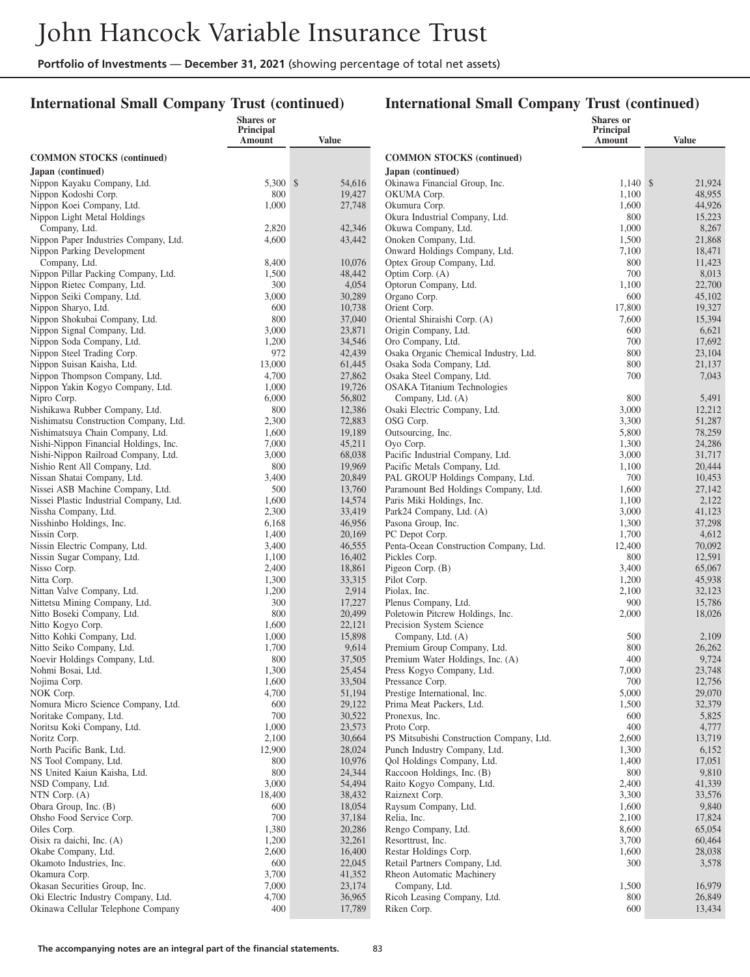### **International Small Company Trust (continued)**

|                                                                      | Shares or<br>Principal |                  |                                                            | <b>Shares</b> or<br>Principal |                  |
|----------------------------------------------------------------------|------------------------|------------------|------------------------------------------------------------|-------------------------------|------------------|
|                                                                      | Amount                 | <b>Value</b>     |                                                            | Amount                        | <b>Value</b>     |
| <b>COMMON STOCKS</b> (continued)                                     |                        |                  | <b>COMMON STOCKS</b> (continued)                           |                               |                  |
| Japan (continued)                                                    |                        |                  | Japan (continued)                                          |                               |                  |
| Nippon Kayaku Company, Ltd.                                          | 5,300 \$               | 54,616           | Okinawa Financial Group, Inc.                              | $1,140$ \$                    | 21,924           |
| Nippon Kodoshi Corp.                                                 | 800                    | 19,427           | OKUMA Corp.                                                | 1,100                         | 48,955           |
| Nippon Koei Company, Ltd.                                            | 1,000                  | 27,748           | Okumura Corp.                                              | 1,600                         | 44,926           |
| Nippon Light Metal Holdings                                          |                        |                  | Okura Industrial Company, Ltd.                             | 800                           | 15,223           |
| Company, Ltd.                                                        | 2,820                  | 42,346           | Okuwa Company, Ltd.                                        | 1,000                         | 8,267            |
| Nippon Paper Industries Company, Ltd.                                | 4,600                  | 43,442           | Onoken Company, Ltd.                                       | 1,500                         | 21,868           |
| Nippon Parking Development                                           |                        |                  | Onward Holdings Company, Ltd.                              | 7,100                         | 18,471           |
| Company, Ltd.                                                        | 8,400                  | 10,076           | Optex Group Company, Ltd.                                  | 800                           | 11,423           |
| Nippon Pillar Packing Company, Ltd.                                  | 1,500                  | 48,442           | Optim Corp. (A)                                            | 700                           | 8,013            |
| Nippon Rietec Company, Ltd.                                          | 300                    | 4,054            | Optorun Company, Ltd.                                      | 1,100                         | 22,700           |
| Nippon Seiki Company, Ltd.                                           | 3,000                  | 30,289           | Organo Corp.                                               | 600                           | 45,102           |
| Nippon Sharyo, Ltd.                                                  | 600                    | 10,738           | Orient Corp.                                               | 17,800                        | 19,327           |
| Nippon Shokubai Company, Ltd.                                        | 800                    | 37,040           | Oriental Shiraishi Corp. (A)                               | 7,600                         | 15,394           |
| Nippon Signal Company, Ltd.                                          | 3,000                  | 23,871           | Origin Company, Ltd.                                       | 600<br>700                    | 6,621            |
| Nippon Soda Company, Ltd.<br>Nippon Steel Trading Corp.              | 1,200<br>972           | 34,546<br>42,439 | Oro Company, Ltd.<br>Osaka Organic Chemical Industry, Ltd. | 800                           | 17,692<br>23,104 |
| Nippon Suisan Kaisha, Ltd.                                           | 13,000                 | 61,445           | Osaka Soda Company, Ltd.                                   | 800                           | 21,137           |
| Nippon Thompson Company, Ltd.                                        | 4,700                  | 27,862           | Osaka Steel Company, Ltd.                                  | 700                           | 7,043            |
| Nippon Yakin Kogyo Company, Ltd.                                     | 1,000                  | 19,726           | <b>OSAKA</b> Titanium Technologies                         |                               |                  |
| Nipro Corp.                                                          | 6,000                  | 56,802           | Company, Ltd. (A)                                          | 800                           | 5,491            |
| Nishikawa Rubber Company, Ltd.                                       | 800                    | 12,386           | Osaki Electric Company, Ltd.                               | 3,000                         | 12,212           |
| Nishimatsu Construction Company, Ltd.                                | 2,300                  | 72,883           | OSG Corp.                                                  | 3,300                         | 51,287           |
| Nishimatsuya Chain Company, Ltd.                                     | 1,600                  | 19,189           | Outsourcing, Inc.                                          | 5,800                         | 78,259           |
| Nishi-Nippon Financial Holdings, Inc.                                | 7,000                  | 45,211           | Oyo Corp.                                                  | 1,300                         | 24,286           |
| Nishi-Nippon Railroad Company, Ltd.                                  | 3,000                  | 68,038           | Pacific Industrial Company, Ltd.                           | 3,000                         | 31,717           |
| Nishio Rent All Company, Ltd.                                        | 800                    | 19,969           | Pacific Metals Company, Ltd.                               | 1,100                         | 20,444           |
| Nissan Shatai Company, Ltd.                                          | 3,400                  | 20,849           | PAL GROUP Holdings Company, Ltd.                           | 700                           | 10,453           |
| Nissei ASB Machine Company, Ltd.                                     | 500                    | 13,760           | Paramount Bed Holdings Company, Ltd.                       | 1,600                         | 27,142           |
| Nissei Plastic Industrial Company, Ltd.                              | 1,600                  | 14,574           | Paris Miki Holdings, Inc.                                  | 1,100                         | 2,122            |
| Nissha Company, Ltd.                                                 | 2,300                  | 33,419           | Park24 Company, Ltd. (A)                                   | 3,000                         | 41,123           |
| Nisshinbo Holdings, Inc.                                             | 6,168                  | 46,956           | Pasona Group, Inc.                                         | 1,300                         | 37,298<br>4,612  |
| Nissin Corp.<br>Nissin Electric Company, Ltd.                        | 1,400<br>3,400         | 20,169<br>46,555 | PC Depot Corp.<br>Penta-Ocean Construction Company, Ltd.   | 1,700<br>12,400               | 70,092           |
| Nissin Sugar Company, Ltd.                                           | 1,100                  | 16,402           | Pickles Corp.                                              | 800                           | 12,591           |
| Nisso Corp.                                                          | 2,400                  | 18,861           | Pigeon Corp. (B)                                           | 3,400                         | 65,067           |
| Nitta Corp.                                                          | 1,300                  | 33,315           | Pilot Corp.                                                | 1,200                         | 45,938           |
| Nittan Valve Company, Ltd.                                           | 1,200                  | 2,914            | Piolax, Inc.                                               | 2,100                         | 32,123           |
| Nittetsu Mining Company, Ltd.                                        | 300                    | 17,227           | Plenus Company, Ltd.                                       | 900                           | 15,786           |
| Nitto Boseki Company, Ltd.                                           | 800                    | 20,499           | Poletowin Pitcrew Holdings, Inc.                           | 2,000                         | 18,026           |
| Nitto Kogyo Corp.                                                    | 1,600                  | 22,121           | Precision System Science                                   |                               |                  |
| Nitto Kohki Company, Ltd.                                            | 1,000                  | 15,898           | Company, Ltd. (A)                                          | 500                           | 2,109            |
| Nitto Seiko Company, Ltd.                                            | 1,700                  | 9,614            | Premium Group Company, Ltd.                                | 800                           | 26,262           |
| Noevir Holdings Company, Ltd.                                        | 800                    | 37,505           | Premium Water Holdings, Inc. (A)                           | 400                           | 9,724            |
| Nohmi Bosai, Ltd.                                                    | 1,300                  | 25,454           | Press Kogyo Company, Ltd.                                  | 7,000                         | 23,748           |
| Nojima Corp.                                                         | 1,600                  | 33,504           | Pressance Corp.                                            | 700                           | 12,756           |
| NOK Corp.<br>Nomura Micro Science Company, Ltd.                      | 4,700<br>600           | 51,194<br>29,122 | Prestige International, Inc.<br>Prima Meat Packers, Ltd.   | 5,000<br>1,500                | 29,070<br>32,379 |
| Noritake Company, Ltd.                                               | 700                    | 30,522           | Pronexus, Inc.                                             | 600                           | 5,825            |
| Noritsu Koki Company, Ltd.                                           | 1,000                  | 23,573           | Proto Corp.                                                | 400                           | 4,777            |
| Noritz Corp.                                                         | 2,100                  | 30,664           | PS Mitsubishi Construction Company, Ltd.                   | 2,600                         | 13,719           |
| North Pacific Bank, Ltd.                                             | 12,900                 | 28,024           | Punch Industry Company, Ltd.                               | 1,300                         | 6,152            |
| NS Tool Company, Ltd.                                                | 800                    | 10,976           | Qol Holdings Company, Ltd.                                 | 1,400                         | 17,051           |
| NS United Kaiun Kaisha, Ltd.                                         | 800                    | 24,344           | Raccoon Holdings, Inc. (B)                                 | 800                           | 9,810            |
| NSD Company, Ltd.                                                    | 3,000                  | 54,494           | Raito Kogyo Company, Ltd.                                  | 2,400                         | 41,339           |
| NTN Corp. (A)                                                        | 18,400                 | 38,432           | Raiznext Corp.                                             | 3,300                         | 33,576           |
| Obara Group, Inc. (B)                                                | 600                    | 18,054           | Raysum Company, Ltd.                                       | 1,600                         | 9,840            |
| Ohsho Food Service Corp.                                             | 700                    | 37,184           | Relia, Inc.                                                | 2,100                         | 17,824           |
| Oiles Corp.                                                          | 1,380                  | 20,286           | Rengo Company, Ltd.                                        | 8,600                         | 65,054           |
| Oisix ra daichi, Inc. (A)                                            | 1,200                  | 32,261           | Resorttrust, Inc.                                          | 3,700                         | 60,464           |
| Okabe Company, Ltd.                                                  | 2,600                  | 16,400           | Restar Holdings Corp.                                      | 1,600                         | 28,038           |
| Okamoto Industries, Inc.                                             | 600                    | 22,045           | Retail Partners Company, Ltd.                              | 300                           | 3,578            |
| Okamura Corp.                                                        | 3,700                  | 41,352           | Rheon Automatic Machinery                                  |                               |                  |
| Okasan Securities Group, Inc.<br>Oki Electric Industry Company, Ltd. | 7,000<br>4,700         | 23,174<br>36,965 | Company, Ltd.<br>Ricoh Leasing Company, Ltd.               | 1,500<br>800                  | 16,979<br>26,849 |
| Okinawa Cellular Telephone Company                                   | 400                    | 17,789           | Riken Corp.                                                | 600                           | 13,434           |
|                                                                      |                        |                  |                                                            |                               |                  |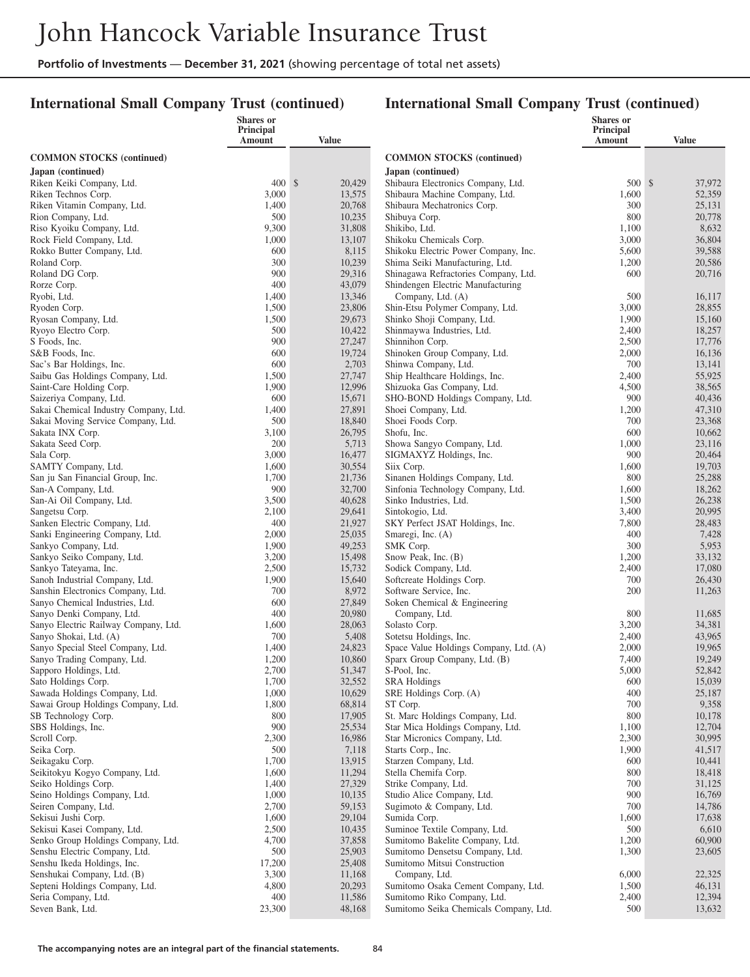### **International Small Company Trust (continued)**

|                                                                     | Shares or<br>Principal |                  |                                                                         | <b>Shares</b> or<br>Principal |                  |
|---------------------------------------------------------------------|------------------------|------------------|-------------------------------------------------------------------------|-------------------------------|------------------|
|                                                                     | Amount                 | Value            |                                                                         | Amount                        | <b>Value</b>     |
| <b>COMMON STOCKS</b> (continued)                                    |                        |                  | <b>COMMON STOCKS (continued)</b>                                        |                               |                  |
| Japan (continued)                                                   |                        |                  | Japan (continued)                                                       |                               |                  |
| Riken Keiki Company, Ltd.                                           | $400 \text{ s}$        | 20,429           | Shibaura Electronics Company, Ltd.                                      | 500 \$                        | 37,972           |
| Riken Technos Corp.                                                 | 3,000                  | 13,575           | Shibaura Machine Company, Ltd.                                          | 1,600                         | 52,359           |
| Riken Vitamin Company, Ltd.                                         | 1,400                  | 20,768           | Shibaura Mechatronics Corp.                                             | 300                           | 25,131           |
| Rion Company, Ltd.                                                  | 500                    | 10,235           | Shibuya Corp.                                                           | 800                           | 20,778           |
| Riso Kyoiku Company, Ltd.                                           | 9,300                  | 31,808           | Shikibo, Ltd.                                                           | 1,100                         | 8,632            |
| Rock Field Company, Ltd.                                            | 1,000                  | 13,107           | Shikoku Chemicals Corp.                                                 | 3,000                         | 36,804           |
| Rokko Butter Company, Ltd.                                          | 600                    | 8,115            | Shikoku Electric Power Company, Inc.                                    | 5,600                         | 39,588           |
| Roland Corp.                                                        | 300<br>900             | 10,239<br>29,316 | Shima Seiki Manufacturing, Ltd.<br>Shinagawa Refractories Company, Ltd. | 1,200<br>600                  | 20,586           |
| Roland DG Corp.<br>Rorze Corp.                                      | 400                    | 43,079           | Shindengen Electric Manufacturing                                       |                               | 20,716           |
| Ryobi, Ltd.                                                         | 1,400                  | 13,346           | Company, Ltd. (A)                                                       | 500                           | 16,117           |
| Ryoden Corp.                                                        | 1,500                  | 23,806           | Shin-Etsu Polymer Company, Ltd.                                         | 3,000                         | 28,855           |
| Ryosan Company, Ltd.                                                | 1,500                  | 29,673           | Shinko Shoji Company, Ltd.                                              | 1,900                         | 15,160           |
| Ryoyo Electro Corp.                                                 | 500                    | 10,422           | Shinmaywa Industries, Ltd.                                              | 2,400                         | 18,257           |
| S Foods, Inc.                                                       | 900                    | 27,247           | Shinnihon Corp.                                                         | 2,500                         | 17,776           |
| S&B Foods, Inc.                                                     | 600                    | 19,724           | Shinoken Group Company, Ltd.                                            | 2,000                         | 16,136           |
| Sac's Bar Holdings, Inc.                                            | 600                    | 2,703            | Shinwa Company, Ltd.                                                    | 700                           | 13,141           |
| Saibu Gas Holdings Company, Ltd.                                    | 1,500                  | 27,747           | Ship Healthcare Holdings, Inc.                                          | 2,400                         | 55,925           |
| Saint-Care Holding Corp.                                            | 1,900                  | 12,996           | Shizuoka Gas Company, Ltd.                                              | 4,500                         | 38,565           |
| Saizeriya Company, Ltd.                                             | 600                    | 15,671           | SHO-BOND Holdings Company, Ltd.                                         | 900                           | 40,436           |
| Sakai Chemical Industry Company, Ltd.                               | 1,400                  | 27,891           | Shoei Company, Ltd.                                                     | 1,200                         | 47,310           |
| Sakai Moving Service Company, Ltd.                                  | 500                    | 18,840           | Shoei Foods Corp.                                                       | 700                           | 23,368           |
| Sakata INX Corp.                                                    | 3,100<br>200           | 26,795           | Shofu, Inc.<br>Showa Sangyo Company, Ltd.                               | 600                           | 10,662           |
| Sakata Seed Corp.<br>Sala Corp.                                     | 3,000                  | 5,713<br>16,477  | SIGMAXYZ Holdings, Inc.                                                 | 1,000<br>900                  | 23,116<br>20,464 |
| SAMTY Company, Ltd.                                                 | 1,600                  | 30,554           | Siix Corp.                                                              | 1,600                         | 19,703           |
| San ju San Financial Group, Inc.                                    | 1,700                  | 21,736           | Sinanen Holdings Company, Ltd.                                          | 800                           | 25,288           |
| San-A Company, Ltd.                                                 | 900                    | 32,700           | Sinfonia Technology Company, Ltd.                                       | 1,600                         | 18,262           |
| San-Ai Oil Company, Ltd.                                            | 3,500                  | 40,628           | Sinko Industries, Ltd.                                                  | 1,500                         | 26,238           |
| Sangetsu Corp.                                                      | 2,100                  | 29,641           | Sintokogio, Ltd.                                                        | 3,400                         | 20,995           |
| Sanken Electric Company, Ltd.                                       | 400                    | 21,927           | SKY Perfect JSAT Holdings, Inc.                                         | 7,800                         | 28,483           |
| Sanki Engineering Company, Ltd.                                     | 2,000                  | 25,035           | Smaregi, Inc. (A)                                                       | 400                           | 7,428            |
| Sankyo Company, Ltd.                                                | 1,900                  | 49,253           | SMK Corp.                                                               | 300                           | 5,953            |
| Sankyo Seiko Company, Ltd.                                          | 3,200                  | 15,498           | Snow Peak, Inc. (B)                                                     | 1,200                         | 33,132           |
| Sankyo Tateyama, Inc.                                               | 2,500                  | 15,732           | Sodick Company, Ltd.                                                    | 2,400                         | 17,080           |
| Sanoh Industrial Company, Ltd.<br>Sanshin Electronics Company, Ltd. | 1,900<br>700           | 15,640<br>8,972  | Softcreate Holdings Corp.<br>Software Service, Inc.                     | 700<br>200                    | 26,430<br>11,263 |
| Sanyo Chemical Industries, Ltd.                                     | 600                    | 27,849           | Soken Chemical & Engineering                                            |                               |                  |
| Sanyo Denki Company, Ltd.                                           | 400                    | 20,980           | Company, Ltd.                                                           | 800                           | 11,685           |
| Sanyo Electric Railway Company, Ltd.                                | 1,600                  | 28,063           | Solasto Corp.                                                           | 3,200                         | 34,381           |
| Sanyo Shokai, Ltd. (A)                                              | 700                    | 5,408            | Sotetsu Holdings, Inc.                                                  | 2,400                         | 43,965           |
| Sanyo Special Steel Company, Ltd.                                   | 1,400                  | 24,823           | Space Value Holdings Company, Ltd. (A)                                  | 2,000                         | 19,965           |
| Sanyo Trading Company, Ltd.                                         | 1,200                  | 10,860           | Sparx Group Company, Ltd. (B)                                           | 7,400                         | 19,249           |
| Sapporo Holdings, Ltd.                                              | 2,700                  | 51,347           | S-Pool, Inc.                                                            | 5,000                         | 52,842           |
| Sato Holdings Corp.                                                 | 1,700                  | 32,552           | SRA Holdings                                                            | 600                           | 15,039           |
| Sawada Holdings Company, Ltd.                                       | 1,000                  | 10,629           | SRE Holdings Corp. (A)                                                  | 400                           | 25,187           |
| Sawai Group Holdings Company, Ltd.                                  | 1,800                  | 68,814           | ST Corp.                                                                | 700                           | 9,358            |
| SB Technology Corp.<br>SBS Holdings, Inc.                           | 800<br>900             | 17,905<br>25,534 | St. Marc Holdings Company, Ltd.<br>Star Mica Holdings Company, Ltd.     | 800<br>1,100                  | 10,178<br>12,704 |
| Scroll Corp.                                                        | 2,300                  | 16,986           | Star Micronics Company, Ltd.                                            | 2,300                         | 30,995           |
| Seika Corp.                                                         | 500                    | 7,118            | Starts Corp., Inc.                                                      | 1,900                         | 41,517           |
| Seikagaku Corp.                                                     | 1,700                  | 13,915           | Starzen Company, Ltd.                                                   | 600                           | 10,441           |
| Seikitokyu Kogyo Company, Ltd.                                      | 1,600                  | 11,294           | Stella Chemifa Corp.                                                    | 800                           | 18,418           |
| Seiko Holdings Corp.                                                | 1,400                  | 27,329           | Strike Company, Ltd.                                                    | 700                           | 31,125           |
| Seino Holdings Company, Ltd.                                        | 1,000                  | 10,135           | Studio Alice Company, Ltd.                                              | 900                           | 16,769           |
| Seiren Company, Ltd.                                                | 2,700                  | 59,153           | Sugimoto & Company, Ltd.                                                | 700                           | 14,786           |
| Sekisui Jushi Corp.                                                 | 1,600                  | 29,104           | Sumida Corp.                                                            | 1,600                         | 17,638           |
| Sekisui Kasei Company, Ltd.                                         | 2,500                  | 10,435           | Suminoe Textile Company, Ltd.                                           | 500                           | 6,610            |
| Senko Group Holdings Company, Ltd.                                  | 4,700                  | 37,858           | Sumitomo Bakelite Company, Ltd.                                         | 1,200                         | 60,900           |
| Senshu Electric Company, Ltd.                                       | 500                    | 25,903           | Sumitomo Densetsu Company, Ltd.                                         | 1,300                         | 23,605           |
| Senshu Ikeda Holdings, Inc.                                         | 17,200                 | 25,408           | Sumitomo Mitsui Construction                                            |                               |                  |
| Senshukai Company, Ltd. (B)<br>Septeni Holdings Company, Ltd.       | 3,300<br>4,800         | 11,168<br>20,293 | Company, Ltd.<br>Sumitomo Osaka Cement Company, Ltd.                    | 6,000<br>1,500                | 22,325<br>46,131 |
| Seria Company, Ltd.                                                 | 400                    | 11,586           | Sumitomo Riko Company, Ltd.                                             | 2,400                         | 12,394           |
| Seven Bank, Ltd.                                                    | 23,300                 | 48,168           | Sumitomo Seika Chemicals Company, Ltd.                                  | 500                           | 13,632           |
|                                                                     |                        |                  |                                                                         |                               |                  |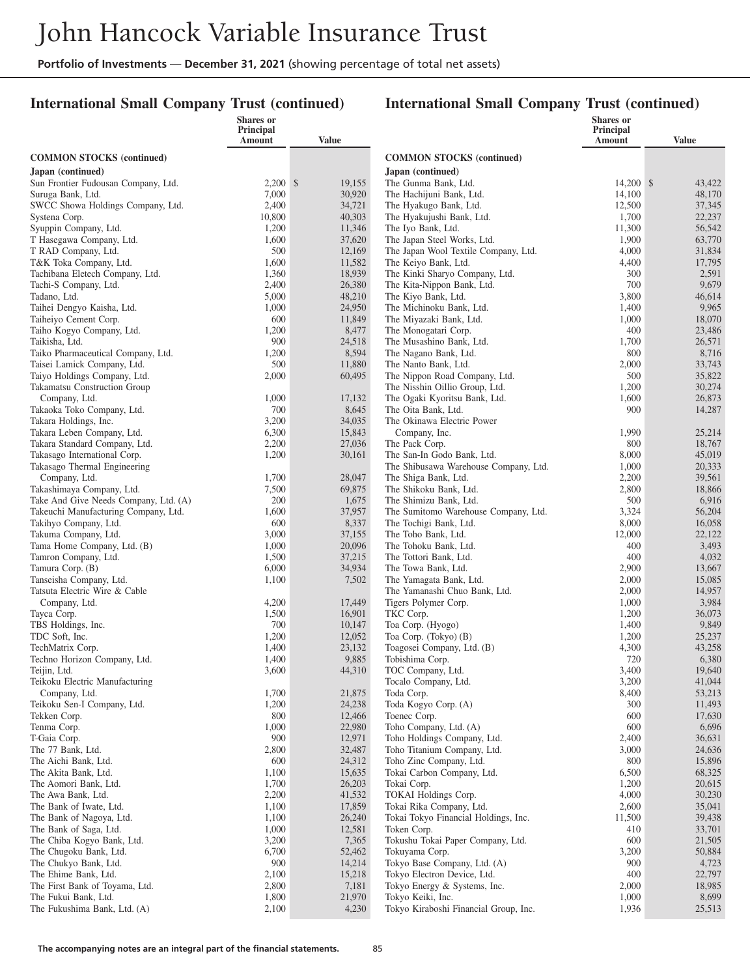### **International Small Company Trust (continued)**

|                                                     | Shares or<br>Principal |                  |                                                                     | <b>Shares</b> or<br>Principal |                  |
|-----------------------------------------------------|------------------------|------------------|---------------------------------------------------------------------|-------------------------------|------------------|
|                                                     | Amount                 | <b>Value</b>     |                                                                     | Amount                        | <b>Value</b>     |
| <b>COMMON STOCKS</b> (continued)                    |                        |                  | <b>COMMON STOCKS (continued)</b>                                    |                               |                  |
| Japan (continued)                                   |                        |                  | Japan (continued)                                                   |                               |                  |
| Sun Frontier Fudousan Company, Ltd.                 | $2,200$ \$             | 19,155           | The Gunma Bank, Ltd.                                                | 14,200 \$                     | 43,422           |
| Suruga Bank, Ltd.                                   | 7,000                  | 30,920           | The Hachijuni Bank, Ltd.                                            | 14,100                        | 48,170           |
| SWCC Showa Holdings Company, Ltd.                   | 2,400                  | 34,721           | The Hyakugo Bank, Ltd.                                              | 12,500                        | 37,345           |
| Systena Corp.                                       | 10,800                 | 40,303           | The Hyakujushi Bank, Ltd.                                           | 1,700                         | 22,237           |
| Syuppin Company, Ltd.                               | 1,200                  | 11,346           | The Iyo Bank, Ltd.                                                  | 11,300                        | 56,542           |
| T Hasegawa Company, Ltd.                            | 1,600<br>500           | 37,620           | The Japan Steel Works, Ltd.<br>The Japan Wool Textile Company, Ltd. | 1,900                         | 63,770           |
| T RAD Company, Ltd.<br>T&K Toka Company, Ltd.       | 1,600                  | 12,169<br>11,582 | The Keiyo Bank, Ltd.                                                | 4,000<br>4,400                | 31,834<br>17,795 |
| Tachibana Eletech Company, Ltd.                     | 1,360                  | 18,939           | The Kinki Sharyo Company, Ltd.                                      | 300                           | 2,591            |
| Tachi-S Company, Ltd.                               | 2,400                  | 26,380           | The Kita-Nippon Bank, Ltd.                                          | 700                           | 9,679            |
| Tadano, Ltd.                                        | 5,000                  | 48,210           | The Kiyo Bank, Ltd.                                                 | 3,800                         | 46,614           |
| Taihei Dengyo Kaisha, Ltd.                          | 1,000                  | 24,950           | The Michinoku Bank, Ltd.                                            | 1,400                         | 9,965            |
| Taiheiyo Cement Corp.                               | 600                    | 11,849           | The Miyazaki Bank, Ltd.                                             | 1,000                         | 18,070           |
| Taiho Kogyo Company, Ltd.                           | 1,200                  | 8,477            | The Monogatari Corp.                                                | 400                           | 23,486           |
| Taikisha, Ltd.                                      | 900                    | 24,518           | The Musashino Bank, Ltd.                                            | 1,700                         | 26,571           |
| Taiko Pharmaceutical Company, Ltd.                  | 1,200                  | 8,594            | The Nagano Bank, Ltd.                                               | 800                           | 8,716            |
| Taisei Lamick Company, Ltd.                         | 500                    | 11,880           | The Nanto Bank, Ltd.                                                | 2,000                         | 33,743           |
| Taiyo Holdings Company, Ltd.                        | 2,000                  | 60,495           | The Nippon Road Company, Ltd.                                       | 500                           | 35,822           |
| <b>Takamatsu Construction Group</b>                 |                        |                  | The Nisshin Oillio Group, Ltd.                                      | 1,200                         | 30,274           |
| Company, Ltd.                                       | 1,000                  | 17,132           | The Ogaki Kyoritsu Bank, Ltd.                                       | 1,600                         | 26,873           |
| Takaoka Toko Company, Ltd.                          | 700                    | 8,645<br>34,035  | The Oita Bank, Ltd.                                                 | 900                           | 14,287           |
| Takara Holdings, Inc.<br>Takara Leben Company, Ltd. | 3,200<br>6,300         | 15,843           | The Okinawa Electric Power<br>Company, Inc.                         | 1,990                         | 25,214           |
| Takara Standard Company, Ltd.                       | 2,200                  | 27,036           | The Pack Corp.                                                      | 800                           | 18,767           |
| Takasago International Corp.                        | 1,200                  | 30,161           | The San-In Godo Bank, Ltd.                                          | 8,000                         | 45,019           |
| Takasago Thermal Engineering                        |                        |                  | The Shibusawa Warehouse Company, Ltd.                               | 1,000                         | 20,333           |
| Company, Ltd.                                       | 1,700                  | 28,047           | The Shiga Bank, Ltd.                                                | 2,200                         | 39,561           |
| Takashimaya Company, Ltd.                           | 7,500                  | 69,875           | The Shikoku Bank, Ltd.                                              | 2,800                         | 18,866           |
| Take And Give Needs Company, Ltd. (A)               | 200                    | 1,675            | The Shimizu Bank, Ltd.                                              | 500                           | 6,916            |
| Takeuchi Manufacturing Company, Ltd.                | 1,600                  | 37,957           | The Sumitomo Warehouse Company, Ltd.                                | 3,324                         | 56,204           |
| Takihyo Company, Ltd.                               | 600                    | 8,337            | The Tochigi Bank, Ltd.                                              | 8,000                         | 16,058           |
| Takuma Company, Ltd.                                | 3,000                  | 37,155           | The Toho Bank, Ltd.                                                 | 12,000                        | 22,122           |
| Tama Home Company, Ltd. (B)                         | 1,000                  | 20,096           | The Tohoku Bank, Ltd.                                               | 400                           | 3,493            |
| Tamron Company, Ltd.                                | 1,500                  | 37,215           | The Tottori Bank, Ltd.                                              | 400                           | 4,032            |
| Tamura Corp. (B)<br>Tanseisha Company, Ltd.         | 6,000<br>1,100         | 34,934<br>7,502  | The Towa Bank, Ltd.<br>The Yamagata Bank, Ltd.                      | 2,900<br>2,000                | 13,667<br>15,085 |
| Tatsuta Electric Wire & Cable                       |                        |                  | The Yamanashi Chuo Bank, Ltd.                                       | 2,000                         | 14,957           |
| Company, Ltd.                                       | 4,200                  | 17,449           | Tigers Polymer Corp.                                                | 1,000                         | 3,984            |
| Tayca Corp.                                         | 1,500                  | 16,901           | TKC Corp.                                                           | 1,200                         | 36,073           |
| TBS Holdings, Inc.                                  | 700                    | 10,147           | Toa Corp. (Hyogo)                                                   | 1,400                         | 9,849            |
| TDC Soft, Inc.                                      | 1,200                  | 12,052           | Toa Corp. (Tokyo) (B)                                               | 1,200                         | 25,237           |
| TechMatrix Corp.                                    | 1,400                  | 23,132           | Toagosei Company, Ltd. (B)                                          | 4,300                         | 43,258           |
| Techno Horizon Company, Ltd.                        | 1,400                  | 9,885            | Tobishima Corp.                                                     | 720                           | 6,380            |
| Teijin, Ltd.                                        | 3,600                  | 44,310           | TOC Company, Ltd.                                                   | 3,400                         | 19,640           |
| Teikoku Electric Manufacturing                      |                        |                  | Tocalo Company, Ltd.                                                | 3,200                         | 41,044           |
| Company, Ltd.<br>Teikoku Sen-I Company, Ltd.        | 1,700<br>1,200         | 21,875<br>24,238 | Toda Corp.<br>Toda Kogyo Corp. (A)                                  | 8,400<br>300                  | 53,213<br>11,493 |
| Tekken Corp.                                        | 800                    | 12,466           | Toenec Corp.                                                        | 600                           | 17,630           |
| Tenma Corp.                                         | 1,000                  | 22,980           | Toho Company, Ltd. (A)                                              | 600                           | 6,696            |
| T-Gaia Corp.                                        | 900                    | 12,971           | Toho Holdings Company, Ltd.                                         | 2,400                         | 36,631           |
| The 77 Bank, Ltd.                                   | 2,800                  | 32,487           | Toho Titanium Company, Ltd.                                         | 3,000                         | 24,636           |
| The Aichi Bank, Ltd.                                | 600                    | 24,312           | Toho Zinc Company, Ltd.                                             | 800                           | 15,896           |
| The Akita Bank, Ltd.                                | 1,100                  | 15,635           | Tokai Carbon Company, Ltd.                                          | 6,500                         | 68,325           |
| The Aomori Bank, Ltd.                               | 1,700                  | 26,203           | Tokai Corp.                                                         | 1,200                         | 20,615           |
| The Awa Bank, Ltd.                                  | 2,200                  | 41,532           | TOKAI Holdings Corp.                                                | 4,000                         | 30,230           |
| The Bank of Iwate, Ltd.                             | 1,100                  | 17,859           | Tokai Rika Company, Ltd.                                            | 2,600                         | 35,041           |
| The Bank of Nagoya, Ltd.                            | 1,100                  | 26,240           | Tokai Tokyo Financial Holdings, Inc.                                | 11,500                        | 39,438           |
| The Bank of Saga, Ltd.                              | 1,000                  | 12,581           | Token Corp.                                                         | 410                           | 33,701           |
| The Chiba Kogyo Bank, Ltd.                          | 3,200                  | 7,365            | Tokushu Tokai Paper Company, Ltd.                                   | 600                           | 21,505           |
| The Chugoku Bank, Ltd.                              | 6,700<br>900           | 52,462<br>14,214 | Tokuyama Corp.<br>Tokyo Base Company, Ltd. (A)                      | 3,200<br>900                  | 50,884<br>4,723  |
| The Chukyo Bank, Ltd.<br>The Ehime Bank, Ltd.       | 2,100                  | 15,218           | Tokyo Electron Device, Ltd.                                         | 400                           | 22,797           |
| The First Bank of Toyama, Ltd.                      | 2,800                  | 7,181            | Tokyo Energy & Systems, Inc.                                        | 2,000                         | 18,985           |
| The Fukui Bank, Ltd.                                | 1,800                  | 21,970           | Tokyo Keiki, Inc.                                                   | 1,000                         | 8,699            |
| The Fukushima Bank, Ltd. (A)                        | 2,100                  | 4,230            | Tokyo Kiraboshi Financial Group, Inc.                               | 1,936                         | 25,513           |
|                                                     |                        |                  |                                                                     |                               |                  |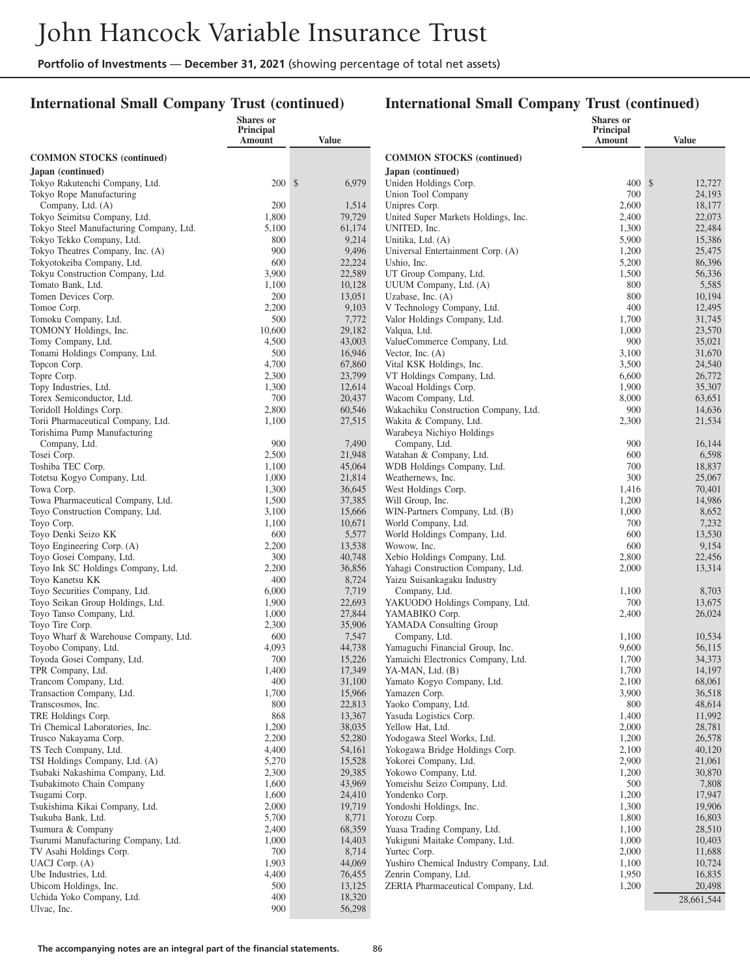### **International Small Company Trust (continued)**

|                                                                | Shares or<br>Principal |                  |                                                                   | Shares or<br>Principal |                  |
|----------------------------------------------------------------|------------------------|------------------|-------------------------------------------------------------------|------------------------|------------------|
|                                                                | Amount                 | Value            |                                                                   | Amount                 | <b>Value</b>     |
| <b>COMMON STOCKS</b> (continued)                               |                        |                  | <b>COMMON STOCKS</b> (continued)                                  |                        |                  |
| Japan (continued)                                              |                        |                  | Japan (continued)                                                 |                        |                  |
| Tokyo Rakutenchi Company, Ltd.                                 | 200S                   | 6,979            | Uniden Holdings Corp.                                             | 400S                   | 12,727           |
| Tokyo Rope Manufacturing                                       |                        |                  | Union Tool Company                                                | 700                    | 24,193           |
| Company, Ltd. (A)                                              | 200                    | 1,514            | Unipres Corp.                                                     | 2,600                  | 18,177           |
| Tokyo Seimitsu Company, Ltd.                                   | 1,800                  | 79,729           | United Super Markets Holdings, Inc.                               | 2,400                  | 22,073           |
| Tokyo Steel Manufacturing Company, Ltd.                        | 5,100<br>800           | 61,174           | UNITED, Inc.                                                      | 1,300<br>5,900         | 22,484           |
| Tokyo Tekko Company, Ltd.<br>Tokyo Theatres Company, Inc. (A)  | 900                    | 9,214<br>9,496   | Unitika, Ltd. (A)<br>Universal Entertainment Corp. (A)            | 1,200                  | 15,386<br>25,475 |
| Tokyotokeiba Company, Ltd.                                     | 600                    | 22,224           | Ushio, Inc.                                                       | 5,200                  | 86,396           |
| Tokyu Construction Company, Ltd.                               | 3,900                  | 22,589           | UT Group Company, Ltd.                                            | 1,500                  | 56,336           |
| Tomato Bank, Ltd.                                              | 1,100                  | 10,128           | UUUM Company, Ltd. (A)                                            | 800                    | 5,585            |
| Tomen Devices Corp.                                            | 200                    | 13,051           | Uzabase, Inc. $(A)$                                               | 800                    | 10,194           |
| Tomoe Corp.                                                    | 2,200                  | 9,103            | V Technology Company, Ltd.                                        | 400                    | 12,495           |
| Tomoku Company, Ltd.                                           | 500                    | 7,772            | Valor Holdings Company, Ltd.                                      | 1,700                  | 31,745           |
| TOMONY Holdings, Inc.                                          | 10,600                 | 29,182           | Valqua, Ltd.                                                      | 1,000                  | 23,570           |
| Tomy Company, Ltd.<br>Tonami Holdings Company, Ltd.            | 4,500<br>500           | 43,003<br>16,946 | ValueCommerce Company, Ltd.<br>Vector, Inc. $(A)$                 | 900<br>3,100           | 35,021<br>31,670 |
| Topcon Corp.                                                   | 4,700                  | 67,860           | Vital KSK Holdings, Inc.                                          | 3,500                  | 24,540           |
| Topre Corp.                                                    | 2,300                  | 23,799           | VT Holdings Company, Ltd.                                         | 6,600                  | 26,772           |
| Topy Industries, Ltd.                                          | 1,300                  | 12,614           | Wacoal Holdings Corp.                                             | 1,900                  | 35,307           |
| Torex Semiconductor, Ltd.                                      | 700                    | 20,437           | Wacom Company, Ltd.                                               | 8,000                  | 63,651           |
| Toridoll Holdings Corp.                                        | 2,800                  | 60,546           | Wakachiku Construction Company, Ltd.                              | 900                    | 14,636           |
| Torii Pharmaceutical Company, Ltd.                             | 1,100                  | 27,515           | Wakita & Company, Ltd.                                            | 2,300                  | 21,534           |
| Torishima Pump Manufacturing                                   |                        |                  | Warabeya Nichiyo Holdings                                         |                        |                  |
| Company, Ltd.                                                  | 900                    | 7,490            | Company, Ltd.                                                     | 900                    | 16,144           |
| Tosei Corp.<br>Toshiba TEC Corp.                               | 2,500<br>1,100         | 21,948<br>45,064 | Watahan & Company, Ltd.<br>WDB Holdings Company, Ltd.             | 600<br>700             | 6,598<br>18,837  |
| Totetsu Kogyo Company, Ltd.                                    | 1,000                  | 21,814           | Weathernews, Inc.                                                 | 300                    | 25,067           |
| Towa Corp.                                                     | 1,300                  | 36,645           | West Holdings Corp.                                               | 1,416                  | 70,401           |
| Towa Pharmaceutical Company, Ltd.                              | 1,500                  | 37,385           | Will Group, Inc.                                                  | 1,200                  | 14,986           |
| Toyo Construction Company, Ltd.                                | 3,100                  | 15,666           | WIN-Partners Company, Ltd. (B)                                    | 1,000                  | 8,652            |
| Toyo Corp.                                                     | 1,100                  | 10,671           | World Company, Ltd.                                               | 700                    | 7,232            |
| Toyo Denki Seizo KK                                            | 600                    | 5,577            | World Holdings Company, Ltd.                                      | 600                    | 13,530           |
| Toyo Engineering Corp. (A)                                     | 2,200                  | 13,538           | Wowow, Inc.                                                       | 600                    | 9,154            |
| Toyo Gosei Company, Ltd.<br>Toyo Ink SC Holdings Company, Ltd. | 300<br>2,200           | 40,748<br>36,856 | Xebio Holdings Company, Ltd.<br>Yahagi Construction Company, Ltd. | 2,800<br>2,000         | 22,456<br>13,314 |
| Toyo Kanetsu KK                                                | 400                    | 8,724            | Yaizu Suisankagaku Industry                                       |                        |                  |
| Toyo Securities Company, Ltd.                                  | 6,000                  | 7,719            | Company, Ltd.                                                     | 1,100                  | 8,703            |
| Toyo Seikan Group Holdings, Ltd.                               | 1,900                  | 22,693           | YAKUODO Holdings Company, Ltd.                                    | 700                    | 13,675           |
| Toyo Tanso Company, Ltd.                                       | 1,000                  | 27,844           | YAMABIKO Corp.                                                    | 2,400                  | 26,024           |
| Toyo Tire Corp.                                                | 2,300                  | 35,906           | YAMADA Consulting Group                                           |                        |                  |
| Toyo Wharf & Warehouse Company, Ltd.                           | 600                    | 7,547            | Company, Ltd.                                                     | 1,100                  | 10,534           |
| Toyobo Company, Ltd.                                           | 4,093                  | 44,738           | Yamaguchi Financial Group, Inc.                                   | 9,600                  | 56,115           |
| Toyoda Gosei Company, Ltd.<br>TPR Company, Ltd.                | 700<br>1,400           | 15,226<br>17,349 | Yamaichi Electronics Company, Ltd.<br>YA-MAN, Ltd. (B)            | 1,700<br>1,700         | 34,373<br>14,197 |
| Trancom Company, Ltd.                                          | 400                    | 31,100           | Yamato Kogyo Company, Ltd.                                        | 2,100                  | 68,061           |
| Transaction Company, Ltd.                                      | 1,700                  | 15,966           | Yamazen Corp.                                                     | 3,900                  | 36,518           |
| Transcosmos, Inc.                                              | 800                    | 22,813           | Yaoko Company, Ltd.                                               | 800                    | 48,614           |
| TRE Holdings Corp.                                             | 868                    | 13,367           | Yasuda Logistics Corp.                                            | 1,400                  | 11,992           |
| Tri Chemical Laboratories, Inc.                                | 1,200                  | 38,035           | Yellow Hat, Ltd.                                                  | 2,000                  | 28,781           |
| Trusco Nakayama Corp.                                          | 2,200                  | 52,280           | Yodogawa Steel Works, Ltd.                                        | 1,200                  | 26,578           |
| TS Tech Company, Ltd.<br>TSI Holdings Company, Ltd. (A)        | 4,400                  | 54,161           | Yokogawa Bridge Holdings Corp.                                    | 2,100                  | 40,120           |
| Tsubaki Nakashima Company, Ltd.                                | 5,270<br>2,300         | 15,528<br>29,385 | Yokorei Company, Ltd.<br>Yokowo Company, Ltd.                     | 2,900<br>1,200         | 21,061<br>30,870 |
| Tsubakimoto Chain Company                                      | 1,600                  | 43,969           | Yomeishu Seizo Company, Ltd.                                      | 500                    | 7,808            |
| Tsugami Corp.                                                  | 1,600                  | 24,410           | Yondenko Corp.                                                    | 1,200                  | 17,947           |
| Tsukishima Kikai Company, Ltd.                                 | 2,000                  | 19,719           | Yondoshi Holdings, Inc.                                           | 1,300                  | 19,906           |
| Tsukuba Bank, Ltd.                                             | 5,700                  | 8,771            | Yorozu Corp.                                                      | 1,800                  | 16,803           |
| Tsumura & Company                                              | 2,400                  | 68,359           | Yuasa Trading Company, Ltd.                                       | 1,100                  | 28,510           |
| Tsurumi Manufacturing Company, Ltd.                            | 1,000                  | 14,403           | Yukiguni Maitake Company, Ltd.                                    | 1,000                  | 10,403           |
| TV Asahi Holdings Corp.                                        | 700                    | 8,714            | Yurtec Corp.                                                      | 2,000                  | 11,688           |
| UACJ Corp. (A)                                                 | 1,903                  | 44,069           | Yushiro Chemical Industry Company, Ltd.                           | 1,100                  | 10,724           |
| Ube Industries, Ltd.<br>Ubicom Holdings, Inc.                  | 4,400<br>500           | 76,455<br>13,125 | Zenrin Company, Ltd.<br>ZERIA Pharmaceutical Company, Ltd.        | 1,950<br>1,200         | 16,835<br>20,498 |
| Uchida Yoko Company, Ltd.                                      | 400                    | 18,320           |                                                                   |                        | 28,661,544       |
| Ulvac, Inc.                                                    | 900                    | 56,298           |                                                                   |                        |                  |
|                                                                |                        |                  |                                                                   |                        |                  |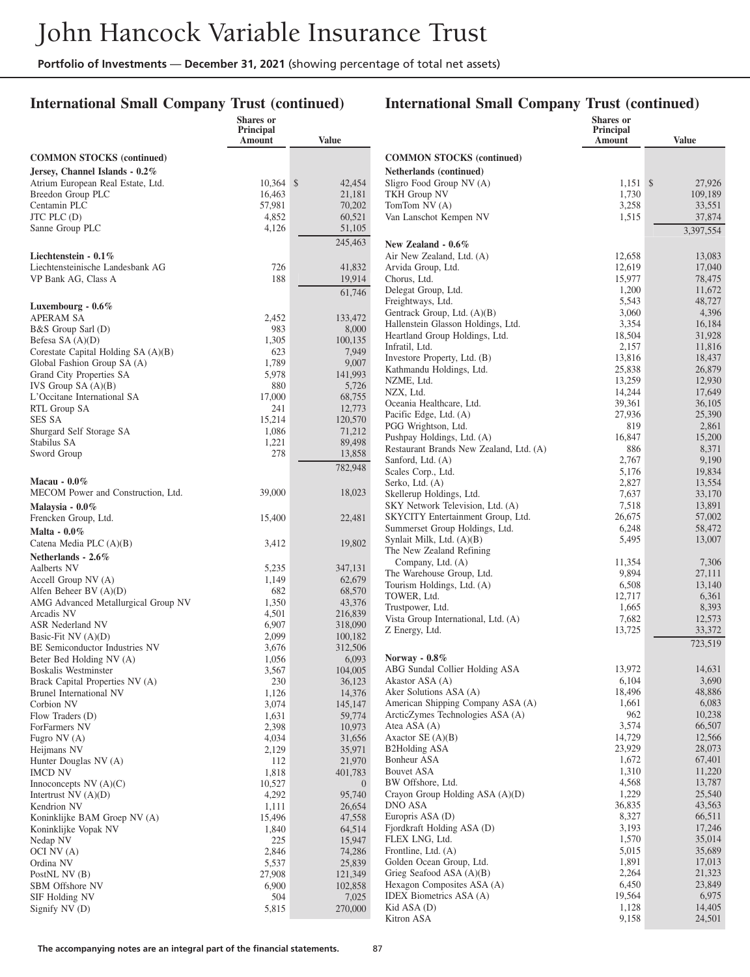### **International Small Company Trust (continued)**

### **International Small Company Trust (continued)**

**Shares or Principal**

|                                        | Shares or<br>Principal<br>Amount | <b>Value</b>     |                                         | Shares or<br>Principal<br>Amount | <b>Value</b>     |
|----------------------------------------|----------------------------------|------------------|-----------------------------------------|----------------------------------|------------------|
| <b>COMMON STOCKS</b> (continued)       |                                  |                  | <b>COMMON STOCKS (continued)</b>        |                                  |                  |
| Jersey, Channel Islands - 0.2%         |                                  |                  | Netherlands (continued)                 |                                  |                  |
| Atrium European Real Estate, Ltd.      | $10,364$ \$                      | 42,454           | Sligro Food Group NV (A)                | $1,151$ \$                       | 27,926           |
| Breedon Group PLC                      | 16.463                           | 21,181           | <b>TKH Group NV</b>                     | 1,730                            | 109,189          |
| Centamin PLC                           | 57,981                           | 70,202           | TomTom $NV(A)$                          | 3,258                            | 33,551           |
| $JTC$ PLC $(D)$                        | 4,852                            | 60,521           | Van Lanschot Kempen NV                  | 1,515                            | 37,874           |
| Sanne Group PLC                        | 4,126                            | 51,105           |                                         |                                  | 3,397,554        |
|                                        |                                  | 245,463          | New Zealand - 0.6%                      |                                  |                  |
| Liechtenstein $-0.1\%$                 |                                  |                  | Air New Zealand, Ltd. (A)               | 12,658                           | 13,083           |
| Liechtensteinische Landesbank AG       | 726                              | 41,832           | Arvida Group, Ltd.                      | 12,619                           | 17,040           |
| VP Bank AG, Class A                    | 188                              | 19,914           | Chorus, Ltd.                            | 15,977                           | 78,475           |
|                                        |                                  | 61,746           | Delegat Group, Ltd.                     | 1,200                            | 11,672           |
|                                        |                                  |                  | Freightways, Ltd.                       | 5,543                            | 48,727           |
| Luxembourg - $0.6\%$                   | 2,452                            | 133,472          | Gentrack Group, Ltd. (A)(B)             | 3,060                            | 4,396            |
| <b>APERAM SA</b><br>B&S Group Sarl (D) | 983                              | 8,000            | Hallenstein Glasson Holdings, Ltd.      | 3,354                            | 16,184           |
| Befesa SA (A)(D)                       | 1,305                            | 100,135          | Heartland Group Holdings, Ltd.          | 18,504                           | 31,928           |
| Corestate Capital Holding SA (A)(B)    | 623                              | 7,949            | Infratil, Ltd.                          | 2,157                            | 11,816           |
| Global Fashion Group SA (A)            | 1,789                            | 9,007            | Investore Property, Ltd. (B)            | 13,816                           | 18,437           |
| Grand City Properties SA               | 5,978                            | 141,993          | Kathmandu Holdings, Ltd.                | 25,838                           | 26,879           |
| IVS Group $SA(A)(B)$                   | 880                              | 5,726            | NZME, Ltd.                              | 13,259                           | 12,930           |
| L'Occitane International SA            | 17,000                           | 68,755           | NZX, Ltd.                               | 14,244                           | 17,649           |
| RTL Group SA                           | 241                              | 12,773           | Oceania Healthcare, Ltd.                | 39,361                           | 36,105           |
| SES SA                                 | 15,214                           | 120,570          | Pacific Edge, Ltd. (A)                  | 27,936                           | 25,390           |
| Shurgard Self Storage SA               | 1,086                            | 71,212           | PGG Wrightson, Ltd.                     | 819                              | 2,861            |
| Stabilus SA                            | 1,221                            | 89,498           | Pushpay Holdings, Ltd. (A)              | 16,847                           | 15,200           |
| Sword Group                            | 278                              | 13,858           | Restaurant Brands New Zealand, Ltd. (A) | 886                              | 8,371            |
|                                        |                                  | 782,948          | Sanford, Ltd. (A)                       | 2,767<br>5,176                   | 9,190<br>19,834  |
| Macau - $0.0\%$                        |                                  |                  | Scales Corp., Ltd.<br>Serko, Ltd. (A)   | 2,827                            | 13,554           |
| MECOM Power and Construction, Ltd.     | 39,000                           | 18,023           | Skellerup Holdings, Ltd.                | 7,637                            | 33,170           |
| Malaysia - $0.0\%$                     |                                  |                  | SKY Network Television, Ltd. (A)        | 7,518                            | 13,891           |
| Frencken Group, Ltd.                   | 15,400                           | 22,481           | SKYCITY Entertainment Group, Ltd.       | 26,675                           | 57,002           |
| Malta - $0.0\%$                        |                                  |                  | Summerset Group Holdings, Ltd.          | 6,248                            | 58,472           |
| Catena Media PLC (A)(B)                | 3,412                            | 19,802           | Synlait Milk, Ltd. (A)(B)               | 5,495                            | 13,007           |
|                                        |                                  |                  | The New Zealand Refining                |                                  |                  |
| Netherlands - 2.6%<br>Aalberts NV      | 5,235                            | 347,131          | Company, Ltd. (A)                       | 11,354                           | 7,306            |
| Accell Group NV (A)                    | 1,149                            | 62,679           | The Warehouse Group, Ltd.               | 9,894                            | 27,111           |
| Alfen Beheer BV $(A)(D)$               | 682                              | 68,570           | Tourism Holdings, Ltd. (A)              | 6,508                            | 13,140           |
| AMG Advanced Metallurgical Group NV    | 1,350                            | 43,376           | TOWER, Ltd.                             | 12,717                           | 6,361            |
| Arcadis NV                             | 4,501                            | 216,839          | Trustpower, Ltd.                        | 1,665                            | 8,393            |
| ASR Nederland NV                       | 6,907                            | 318,090          | Vista Group International, Ltd. (A)     | 7,682                            | 12,573           |
| Basic-Fit NV $(A)(D)$                  | 2,099                            | 100,182          | Z Energy, Ltd.                          | 13,725                           | 33,372           |
| BE Semiconductor Industries NV         | 3,676                            | 312,506          |                                         |                                  | 723,519          |
| Beter Bed Holding NV (A)               | 1,056                            | 6,093            | Norway - $0.8\%$                        |                                  |                  |
| Boskalis Westminster                   | 3,567                            | 104,005          | ABG Sundal Collier Holding ASA          | 13,972                           | 14,631           |
| Brack Capital Properties NV (A)        | 230                              | 36,123           | Akastor ASA (A)                         | 6,104                            | 3,690            |
| Brunel International NV                | 1,126                            | 14,376           | Aker Solutions ASA (A)                  | 18,496                           | 48,886           |
| Corbion NV                             | 3,074                            | 145,147          | American Shipping Company ASA (A)       | 1,661                            | 6,083            |
| Flow Traders (D)                       | 1,631                            | 59,774           | ArcticZymes Technologies ASA (A)        | 962                              | 10,238           |
| ForFarmers NV                          | 2,398                            | 10,973           | Atea ASA (A)<br>Axactor $SE(A)(B)$      | 3,574<br>14,729                  | 66,507<br>12,566 |
| Fugro NV (A)                           | 4,034<br>2,129                   | 31,656           | <b>B2Holding ASA</b>                    | 23,929                           | 28,073           |
| Heijmans NV<br>Hunter Douglas NV (A)   | 112                              | 35,971<br>21,970 | Bonheur ASA                             | 1,672                            | 67,401           |
| <b>IMCD NV</b>                         | 1,818                            | 401,783          | <b>Bouvet ASA</b>                       | 1,310                            | 11,220           |
| Innoconcepts $NV(A)(C)$                | 10,527                           | $\overline{0}$   | BW Offshore, Ltd.                       | 4,568                            | 13,787           |
| Intertrust $NV(A)(D)$                  | 4,292                            | 95,740           | Crayon Group Holding ASA (A)(D)         | 1,229                            | 25,540           |
| Kendrion NV                            | 1,111                            | 26,654           | DNO ASA                                 | 36,835                           | 43,563           |
| Koninklijke BAM Groep NV (A)           | 15,496                           | 47,558           | Europris ASA (D)                        | 8,327                            | 66,511           |
| Koninklijke Vopak NV                   | 1,840                            | 64,514           | Fjordkraft Holding ASA (D)              | 3,193                            | 17,246           |
| Nedap NV                               | 225                              | 15,947           | FLEX LNG, Ltd.                          | 1,570                            | 35,014           |
| OCI NV (A)                             | 2,846                            | 74,286           | Frontline, Ltd. (A)                     | 5,015                            | 35,689           |
| Ordina NV                              | 5,537                            | 25,839           | Golden Ocean Group, Ltd.                | 1,891                            | 17,013           |
| PostNL NV (B)                          | 27,908                           | 121,349          | Grieg Seafood ASA $(A)(B)$              | 2,264                            | 21,323           |
| SBM Offshore NV                        | 6,900                            | 102,858          | Hexagon Composites ASA (A)              | 6,450                            | 23,849           |
| SIF Holding NV                         | 504                              | 7,025            | <b>IDEX</b> Biometrics ASA (A)          | 19,564                           | 6,975            |
| Signify NV (D)                         | 5,815                            | 270,000          | Kid ASA (D)                             | 1,128                            | 14,405           |
|                                        |                                  |                  | Kitron ASA                              | 9,158                            | 24,501           |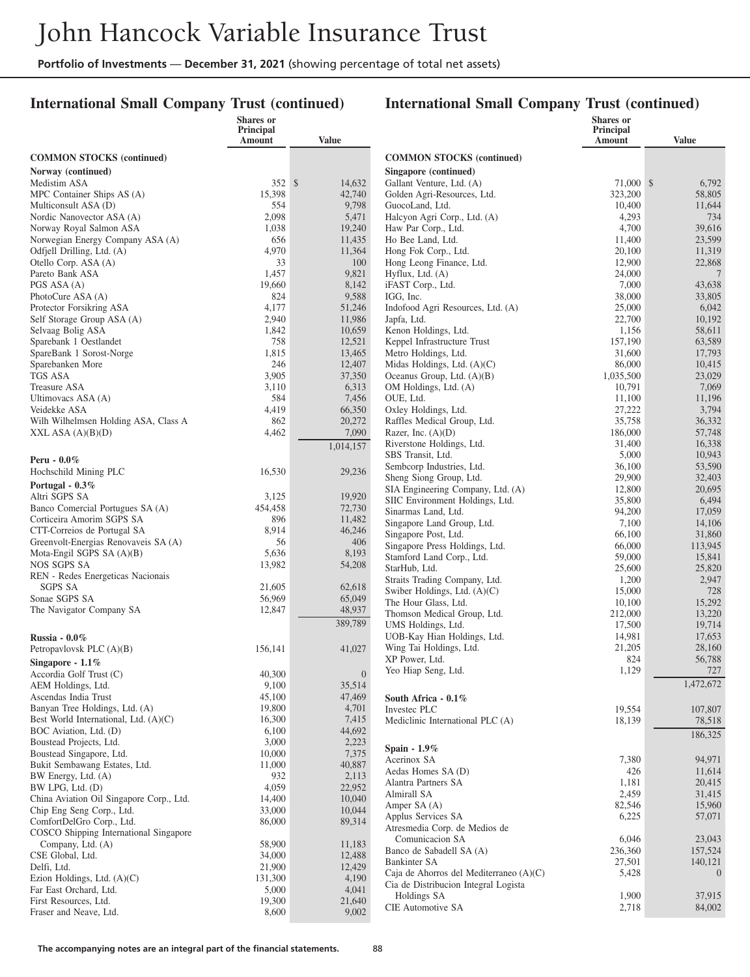### **International Small Company Trust (continued)**

|                                                              | Shares or<br>Principal |                  |                                                     | <b>Shares</b> or<br><b>Principal</b> |                         |
|--------------------------------------------------------------|------------------------|------------------|-----------------------------------------------------|--------------------------------------|-------------------------|
|                                                              | Amount                 | Value            |                                                     | Amount                               | <b>Value</b>            |
| <b>COMMON STOCKS</b> (continued)                             |                        |                  | <b>COMMON STOCKS</b> (continued)                    |                                      |                         |
| Norway (continued)                                           |                        |                  | Singapore (continued)                               |                                      |                         |
| Medistim ASA                                                 | 352S                   | 14,632           | Gallant Venture, Ltd. (A)                           | 71,000 \$                            | 6,792                   |
| MPC Container Ships AS (A)                                   | 15,398                 | 42,740           | Golden Agri-Resources, Ltd.                         | 323,200                              | 58,805                  |
| Multiconsult ASA (D)                                         | 554                    | 9,798            | GuocoLand, Ltd.                                     | 10,400                               | 11,644                  |
| Nordic Nanovector ASA (A)                                    | 2,098                  | 5,471            | Halcyon Agri Corp., Ltd. (A)                        | 4,293                                | 734                     |
| Norway Royal Salmon ASA<br>Norwegian Energy Company ASA (A)  | 1,038<br>656           | 19,240<br>11,435 | Haw Par Corp., Ltd.<br>Ho Bee Land, Ltd.            | 4,700<br>11,400                      | 39,616<br>23,599        |
| Odfjell Drilling, Ltd. (A)                                   | 4,970                  | 11,364           | Hong Fok Corp., Ltd.                                | 20,100                               | 11,319                  |
| Otello Corp. ASA (A)                                         | 33                     | 100              | Hong Leong Finance, Ltd.                            | 12,900                               | 22,868                  |
| Pareto Bank ASA                                              | 1,457                  | 9,821            | Hyflux, Ltd. (A)                                    | 24,000                               | $7\phantom{.0}$         |
| PGS ASA (A)                                                  | 19,660                 | 8,142            | iFAST Corp., Ltd.                                   | 7,000                                | 43,638                  |
| PhotoCure ASA (A)                                            | 824                    | 9,588            | IGG, Inc.                                           | 38,000                               | 33,805                  |
| Protector Forsikring ASA                                     | 4,177                  | 51,246           | Indofood Agri Resources, Ltd. (A)                   | 25,000                               | 6,042                   |
| Self Storage Group ASA (A)                                   | 2,940                  | 11,986           | Japfa, Ltd.                                         | 22,700                               | 10,192                  |
| Selvaag Bolig ASA<br>Sparebank 1 Oestlandet                  | 1,842<br>758           | 10,659<br>12,521 | Kenon Holdings, Ltd.<br>Keppel Infrastructure Trust | 1,156<br>157,190                     | 58,611<br>63,589        |
| SpareBank 1 Sorost-Norge                                     | 1,815                  | 13,465           | Metro Holdings, Ltd.                                | 31,600                               | 17,793                  |
| Sparebanken More                                             | 246                    | 12,407           | Midas Holdings, Ltd. (A)(C)                         | 86,000                               | 10,415                  |
| TGS ASA                                                      | 3,905                  | 37,350           | Oceanus Group, Ltd. (A)(B)                          | 1,035,500                            | 23,029                  |
| <b>Treasure ASA</b>                                          | 3,110                  | 6,313            | OM Holdings, Ltd. (A)                               | 10,791                               | 7,069                   |
| Ultimovacs ASA (A)                                           | 584                    | 7,456            | OUE, Ltd.                                           | 11,100                               | 11,196                  |
| Veidekke ASA                                                 | 4,419                  | 66,350           | Oxley Holdings, Ltd.                                | 27,222                               | 3,794                   |
| Wilh Wilhelmsen Holding ASA, Class A                         | 862                    | 20,272           | Raffles Medical Group, Ltd.                         | 35,758                               | 36,332                  |
| XXL ASA $(A)(B)(D)$                                          | 4,462                  | 7,090            | Razer, Inc. $(A)(D)$                                | 186,000                              | 57,748                  |
|                                                              |                        | 1,014,157        | Riverstone Holdings, Ltd.                           | 31,400                               | 16,338<br>10,943        |
| Peru - $0.0\%$                                               |                        |                  | SBS Transit, Ltd.<br>Sembcorp Industries, Ltd.      | 5,000<br>36,100                      | 53,590                  |
| Hochschild Mining PLC                                        | 16,530                 | 29,236           | Sheng Siong Group, Ltd.                             | 29,900                               | 32,403                  |
| Portugal - $0.3\%$                                           |                        |                  | SIA Engineering Company, Ltd. (A)                   | 12,800                               | 20,695                  |
| Altri SGPS SA                                                | 3,125                  | 19,920           | SIIC Environment Holdings, Ltd.                     | 35,800                               | 6,494                   |
| Banco Comercial Portugues SA (A)                             | 454,458                | 72,730           | Sinarmas Land, Ltd.                                 | 94,200                               | 17,059                  |
| Corticeira Amorim SGPS SA<br>CTT-Correios de Portugal SA     | 896<br>8,914           | 11,482<br>46,246 | Singapore Land Group, Ltd.                          | 7,100                                | 14,106                  |
| Greenvolt-Energias Renovaveis SA (A)                         | 56                     | 406              | Singapore Post, Ltd.                                | 66,100                               | 31,860                  |
| Mota-Engil SGPS SA (A)(B)                                    | 5,636                  | 8,193            | Singapore Press Holdings, Ltd.                      | 66,000                               | 113,945                 |
| NOS SGPS SA                                                  | 13,982                 | 54,208           | Stamford Land Corp., Ltd.<br>StarHub, Ltd.          | 59,000<br>25,600                     | 15,841<br>25,820        |
| REN - Redes Energeticas Nacionais                            |                        |                  | Straits Trading Company, Ltd.                       | 1,200                                | 2,947                   |
| <b>SGPS SA</b>                                               | 21,605                 | 62,618           | Swiber Holdings, Ltd. (A)(C)                        | 15,000                               | 728                     |
| Sonae SGPS SA                                                | 56,969                 | 65,049           | The Hour Glass, Ltd.                                | 10,100                               | 15,292                  |
| The Navigator Company SA                                     | 12,847                 | 48,937           | Thomson Medical Group, Ltd.                         | 212,000                              | 13,220                  |
|                                                              |                        | 389,789          | UMS Holdings, Ltd.                                  | 17,500                               | 19,714                  |
| Russia - $0.0\%$                                             |                        |                  | UOB-Kay Hian Holdings, Ltd.                         | 14,981                               | 17,653                  |
| Petropaylovsk PLC (A)(B)                                     | 156,141                | 41,027           | Wing Tai Holdings, Ltd.                             | 21,205                               | 28,160                  |
| Singapore - $1.1\%$                                          |                        |                  | XP Power, Ltd.<br>Yeo Hiap Seng, Ltd.               | 824<br>1,129                         | 56,788<br>727           |
| Accordia Golf Trust (C)                                      | 40,300                 | $\boldsymbol{0}$ |                                                     |                                      | 1,472,672               |
| AEM Holdings, Ltd.<br>Ascendas India Trust                   | 9,100<br>45,100        | 35,514<br>47,469 |                                                     |                                      |                         |
| Banyan Tree Holdings, Ltd. (A)                               | 19,800                 | 4,701            | South Africa - 0.1%<br>Investec PLC                 | 19,554                               | 107,807                 |
| Best World International, Ltd. (A)(C)                        | 16,300                 | 7,415            | Mediclinic International PLC (A)                    | 18,139                               | 78,518                  |
| BOC Aviation, Ltd. (D)                                       | 6,100                  | 44,692           |                                                     |                                      | 186,325                 |
| Boustead Projects, Ltd.                                      | 3,000                  | 2,223            |                                                     |                                      |                         |
| Boustead Singapore, Ltd.                                     | 10,000                 | 7,375            | Spain $-1.9\%$<br>Acerinox SA                       | 7,380                                | 94,971                  |
| Bukit Sembawang Estates, Ltd.                                | 11,000                 | 40,887           | Aedas Homes SA (D)                                  | 426                                  | 11,614                  |
| BW Energy, Ltd. (A)                                          | 932                    | 2,113            | Alantra Partners SA                                 | 1,181                                | 20,415                  |
| BW LPG, Ltd. (D)<br>China Aviation Oil Singapore Corp., Ltd. | 4,059<br>14,400        | 22,952<br>10,040 | Almirall SA                                         | 2,459                                | 31,415                  |
| Chip Eng Seng Corp., Ltd.                                    | 33,000                 | 10,044           | Amper SA (A)                                        | 82,546                               | 15,960                  |
| ComfortDelGro Corp., Ltd.                                    | 86,000                 | 89,314           | Applus Services SA                                  | 6,225                                | 57,071                  |
| COSCO Shipping International Singapore                       |                        |                  | Atresmedia Corp. de Medios de                       |                                      |                         |
| Company, Ltd. (A)                                            | 58,900                 | 11,183           | Comunicacion SA                                     | 6,046                                | 23,043                  |
| CSE Global, Ltd.                                             | 34,000                 | 12,488           | Banco de Sabadell SA (A)<br>Bankinter SA            | 236,360<br>27,501                    | 157,524                 |
| Delfi, Ltd.                                                  | 21,900                 | 12,429           | Caja de Ahorros del Mediterraneo (A)(C)             | 5,428                                | 140,121<br>$\mathbf{0}$ |
| Ezion Holdings, Ltd. (A)(C)                                  | 131,300                | 4,190            | Cia de Distribucion Integral Logista                |                                      |                         |
| Far East Orchard, Ltd.                                       | 5,000                  | 4,041            | Holdings SA                                         | 1,900                                | 37,915                  |
| First Resources, Ltd.<br>Fraser and Neave, Ltd.              | 19,300<br>8,600        | 21,640<br>9,002  | CIE Automotive SA                                   | 2,718                                | 84,002                  |
|                                                              |                        |                  |                                                     |                                      |                         |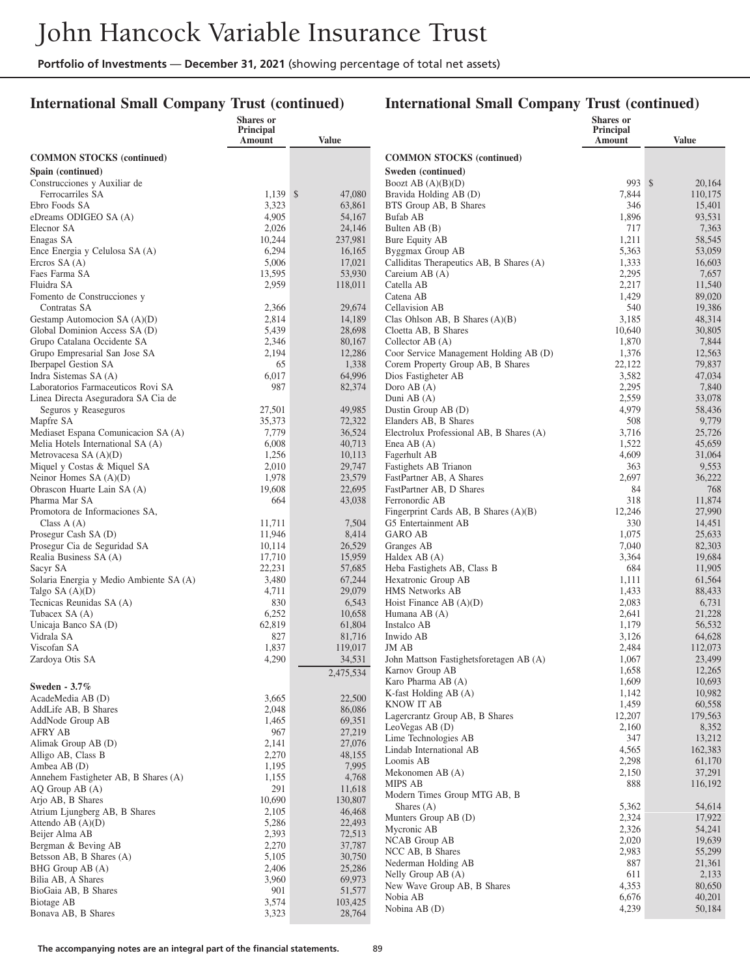### **International Small Company Trust (continued)**

|                                                                          | <b>Shares</b> or<br>Principal |                   |                                                           | <b>Shares</b> or<br>Principal |                   |
|--------------------------------------------------------------------------|-------------------------------|-------------------|-----------------------------------------------------------|-------------------------------|-------------------|
|                                                                          | Amount                        | <b>Value</b>      |                                                           | Amount                        | <b>Value</b>      |
| <b>COMMON STOCKS</b> (continued)                                         |                               |                   | <b>COMMON STOCKS (continued)</b>                          |                               |                   |
| Spain (continued)                                                        |                               |                   | Sweden (continued)                                        |                               |                   |
| Construcciones y Auxiliar de                                             |                               |                   | Boozt AB $(A)(B)(D)$                                      | 993 \$                        | 20,164            |
| Ferrocarriles SA                                                         | 1.139S                        | 47,080            | Bravida Holding AB (D)                                    | 7,844                         | 110,175           |
| Ebro Foods SA                                                            | 3,323<br>4,905                | 63,861            | BTS Group AB, B Shares                                    | 346<br>1,896                  | 15,401<br>93,531  |
| eDreams ODIGEO SA (A)<br>Elecnor SA                                      | 2,026                         | 54,167<br>24,146  | Bufab AB<br>Bulten AB (B)                                 | 717                           | 7,363             |
| Enagas SA                                                                | 10,244                        | 237,981           | Bure Equity AB                                            | 1,211                         | 58,545            |
| Ence Energia y Celulosa SA (A)                                           | 6,294                         | 16,165            | Byggmax Group AB                                          | 5,363                         | 53,059            |
| Ercros $SA(A)$                                                           | 5,006                         | 17,021            | Calliditas Therapeutics AB, B Shares (A)                  | 1,333                         | 16,603            |
| Faes Farma SA                                                            | 13,595                        | 53,930            | Careium AB (A)                                            | 2,295                         | 7,657             |
| Fluidra SA                                                               | 2,959                         | 118,011           | Catella AB                                                | 2,217                         | 11,540            |
| Fomento de Construcciones y                                              |                               |                   | Catena AB                                                 | 1,429                         | 89,020            |
| Contratas SA                                                             | 2,366                         | 29,674            | Cellavision AB                                            | 540                           | 19,386            |
| Gestamp Automocion SA (A)(D)<br>Global Dominion Access SA (D)            | 2,814<br>5,439                | 14,189<br>28,698  | Clas Ohlson AB, B Shares $(A)(B)$<br>Cloetta AB, B Shares | 3,185<br>10,640               | 48,314<br>30,805  |
| Grupo Catalana Occidente SA                                              | 2,346                         | 80,167            | Collector AB $(A)$                                        | 1,870                         | 7,844             |
| Grupo Empresarial San Jose SA                                            | 2,194                         | 12,286            | Coor Service Management Holding AB (D)                    | 1,376                         | 12,563            |
| <b>Iberpapel Gestion SA</b>                                              | 65                            | 1,338             | Corem Property Group AB, B Shares                         | 22,122                        | 79,837            |
| Indra Sistemas SA (A)                                                    | 6,017                         | 64,996            | Dios Fastigheter AB                                       | 3,582                         | 47,034            |
| Laboratorios Farmaceuticos Rovi SA                                       | 987                           | 82,374            | Doro AB $(A)$                                             | 2,295                         | 7,840             |
| Linea Directa Aseguradora SA Cia de                                      |                               |                   | Duni AB (A)                                               | 2,559                         | 33,078            |
| Seguros y Reaseguros                                                     | 27,501                        | 49,985            | Dustin Group AB (D)                                       | 4,979                         | 58,436            |
| Mapfre SA                                                                | 35,373                        | 72,322            | Elanders AB, B Shares                                     | 508                           | 9,779             |
| Mediaset Espana Comunicacion SA (A)<br>Melia Hotels International SA (A) | 7,779<br>6,008                | 36,524<br>40,713  | Electrolux Professional AB, B Shares (A)<br>Enea AB $(A)$ | 3,716<br>1,522                | 25,726<br>45,659  |
| Metrovacesa SA $(A)(D)$                                                  | 1,256                         | 10,113            | Fagerhult AB                                              | 4,609                         | 31,064            |
| Miquel y Costas & Miquel SA                                              | 2,010                         | 29,747            | Fastighets AB Trianon                                     | 363                           | 9,553             |
| Neinor Homes SA (A)(D)                                                   | 1,978                         | 23,579            | FastPartner AB, A Shares                                  | 2,697                         | 36,222            |
| Obrascon Huarte Lain SA (A)                                              | 19,608                        | 22,695            | FastPartner AB, D Shares                                  | 84                            | 768               |
| Pharma Mar SA                                                            | 664                           | 43,038            | Ferronordic AB                                            | 318                           | 11,874            |
| Promotora de Informaciones SA,                                           |                               |                   | Fingerprint Cards AB, B Shares (A)(B)                     | 12,246                        | 27,990            |
| Class $A(A)$                                                             | 11,711                        | 7,504             | G5 Entertainment AB                                       | 330                           | 14,451            |
| Prosegur Cash SA (D)<br>Prosegur Cia de Seguridad SA                     | 11,946<br>10,114              | 8,414<br>26,529   | <b>GARO AB</b><br>Granges AB                              | 1,075<br>7,040                | 25,633<br>82,303  |
| Realia Business SA (A)                                                   | 17,710                        | 15,959            | Haldex AB (A)                                             | 3,364                         | 19,684            |
| Sacyr SA                                                                 | 22,231                        | 57,685            | Heba Fastighets AB, Class B                               | 684                           | 11,905            |
| Solaria Energia y Medio Ambiente SA (A)                                  | 3,480                         | 67,244            | Hexatronic Group AB                                       | 1,111                         | 61,564            |
| Talgo SA (A)(D)                                                          | 4,711                         | 29,079            | <b>HMS</b> Networks AB                                    | 1,433                         | 88,433            |
| Tecnicas Reunidas SA (A)                                                 | 830                           | 6,543             | Hoist Finance AB $(A)(D)$                                 | 2,083                         | 6,731             |
| Tubacex SA (A)                                                           | 6,252                         | 10,658            | Humana AB (A)                                             | 2,641                         | 21,228            |
| Unicaja Banco SA (D)<br>Vidrala SA                                       | 62,819                        | 61,804<br>81,716  | Instalco AB                                               | 1,179                         | 56,532            |
| Viscofan SA                                                              | 827<br>1,837                  | 119,017           | Inwido AB<br><b>JM AB</b>                                 | 3,126<br>2,484                | 64,628<br>112,073 |
| Zardoya Otis SA                                                          | 4,290                         | 34,531            | John Mattson Fastighetsforetagen AB (A)                   | 1,067                         | 23,499            |
|                                                                          |                               | 2,475,534         | Karnov Group AB                                           | 1,658                         | 12,265            |
| Sweden - 3.7%                                                            |                               |                   | Karo Pharma AB (A)                                        | 1,609                         | 10,693            |
| AcadeMedia AB (D)                                                        | 3,665                         | 22,500            | K-fast Holding $AB(A)$                                    | 1,142                         | 10,982            |
| AddLife AB, B Shares                                                     | 2,048                         | 86,086            | <b>KNOW IT AB</b>                                         | 1,459                         | 60,558            |
| AddNode Group AB                                                         | 1,465                         | 69,351            | Lagercrantz Group AB, B Shares                            | 12,207                        | 179,563           |
| <b>AFRY AB</b>                                                           | 967                           | 27,219            | LeoVegas AB (D)                                           | 2,160                         | 8,352             |
| Alimak Group AB (D)                                                      | 2,141                         | 27,076            | Lime Technologies AB<br>Lindab International AB           | 347<br>4,565                  | 13,212<br>162,383 |
| Alligo AB, Class B                                                       | 2,270                         | 48,155            | Loomis AB                                                 | 2,298                         | 61,170            |
| Ambea AB (D)                                                             | 1,195                         | 7,995             | Mekonomen AB (A)                                          | 2,150                         | 37,291            |
| Annehem Fastigheter AB, B Shares (A)                                     | 1,155<br>291                  | 4,768             | MIPS AB                                                   | 888                           | 116,192           |
| AQ Group AB (A)<br>Arjo AB, B Shares                                     | 10,690                        | 11,618<br>130,807 | Modern Times Group MTG AB, B                              |                               |                   |
| Atrium Ljungberg AB, B Shares                                            | 2,105                         | 46,468            | Shares $(A)$                                              | 5,362                         | 54,614            |
| Attendo AB $(A)(D)$                                                      | 5,286                         | 22,493            | Munters Group AB (D)                                      | 2,324                         | 17,922            |
| Beijer Alma AB                                                           | 2,393                         | 72,513            | Mycronic AB                                               | 2,326                         | 54,241            |
| Bergman & Beving AB                                                      | 2,270                         | 37,787            | NCAB Group AB                                             | 2,020<br>2,983                | 19,639<br>55,299  |
| Betsson AB, B Shares (A)                                                 | 5,105                         | 30,750            | NCC AB, B Shares<br>Nederman Holding AB                   | 887                           | 21,361            |
| BHG Group AB (A)                                                         | 2,406                         | 25,286            | Nelly Group AB (A)                                        | 611                           | 2,133             |
| Bilia AB, A Shares                                                       | 3,960                         | 69,973            | New Wave Group AB, B Shares                               | 4,353                         | 80,650            |
| BioGaia AB, B Shares<br>Biotage AB                                       | 901<br>3,574                  | 51,577<br>103,425 | Nobia AB                                                  | 6,676                         | 40,201            |
| Bonava AB, B Shares                                                      | 3,323                         | 28,764            | Nobina AB (D)                                             | 4,239                         | 50,184            |
|                                                                          |                               |                   |                                                           |                               |                   |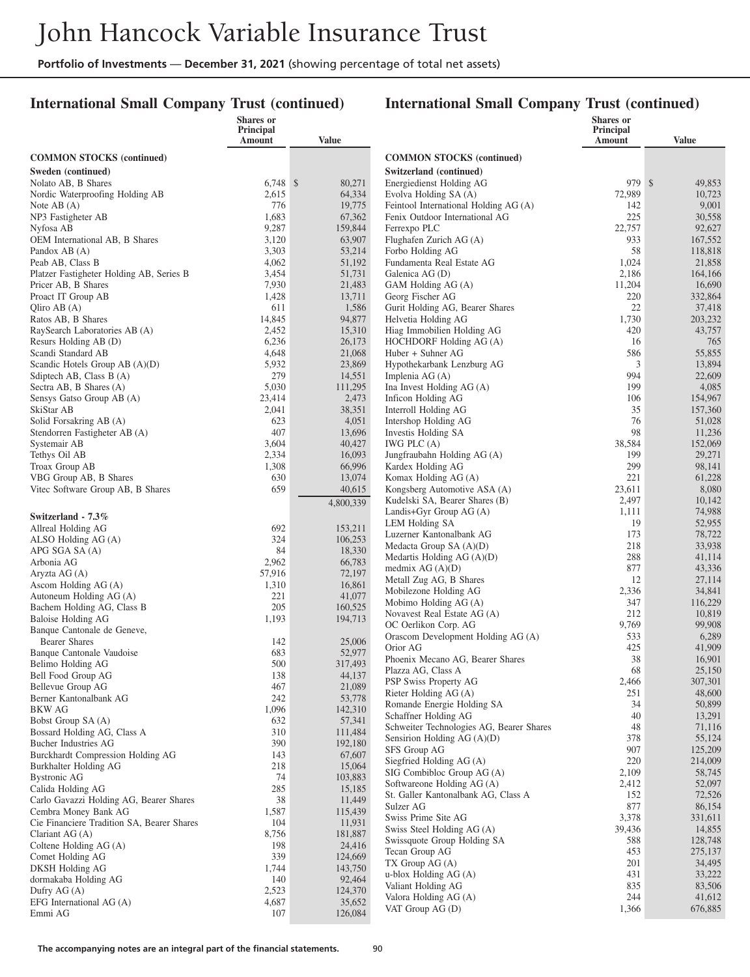### **International Small Company Trust (continued)**

|                                                             | <b>Shares or</b><br>Principal |                    |                                                  | Shares or<br><b>Principal</b> |                   |
|-------------------------------------------------------------|-------------------------------|--------------------|--------------------------------------------------|-------------------------------|-------------------|
|                                                             | Amount                        | <b>Value</b>       |                                                  | Amount                        | <b>Value</b>      |
| <b>COMMON STOCKS</b> (continued)                            |                               |                    | <b>COMMON STOCKS</b> (continued)                 |                               |                   |
| Sweden (continued)                                          |                               |                    | Switzerland (continued)                          |                               |                   |
| Nolato AB, B Shares                                         | $6,748$ \$                    | 80,271             | Energiedienst Holding AG                         | 979 \$                        | 49,853            |
| Nordic Waterproofing Holding AB                             | 2,615                         | 64,334             | Evolva Holding SA (A)                            | 72,989                        | 10,723            |
| Note $AB(A)$                                                | 776                           | 19,775             | Feintool International Holding AG (A)            | 142                           | 9,001             |
| NP3 Fastigheter AB                                          | 1,683                         | 67,362             | Fenix Outdoor International AG                   | 225                           | 30,558            |
| Nyfosa AB<br>OEM International AB, B Shares                 | 9,287<br>3,120                | 159,844<br>63,907  | Ferrexpo PLC<br>Flughafen Zurich AG (A)          | 22,757<br>933                 | 92,627<br>167,552 |
| Pandox AB (A)                                               | 3,303                         | 53,214             | Forbo Holding AG                                 | 58                            | 118,818           |
| Peab AB, Class B                                            | 4,062                         | 51,192             | Fundamenta Real Estate AG                        | 1,024                         | 21,858            |
| Platzer Fastigheter Holding AB, Series B                    | 3,454                         | 51,731             | Galenica AG (D)                                  | 2,186                         | 164,166           |
| Pricer AB, B Shares                                         | 7,930                         | 21,483             | GAM Holding AG (A)                               | 11,204                        | 16,690            |
| Proact IT Group AB                                          | 1,428                         | 13,711             | Georg Fischer AG                                 | 220                           | 332,864           |
| Qliro AB $(A)$                                              | 611                           | 1,586              | Gurit Holding AG, Bearer Shares                  | 22                            | 37,418            |
| Ratos AB, B Shares                                          | 14,845                        | 94,877             | Helvetia Holding AG                              | 1,730                         | 203,232           |
| RaySearch Laboratories AB (A)                               | 2,452                         | 15,310             | Hiag Immobilien Holding AG                       | 420                           | 43,757            |
| Resurs Holding AB (D)                                       | 6,236                         | 26,173             | HOCHDORF Holding AG (A)                          | 16                            | 765               |
| Scandi Standard AB<br>Scandic Hotels Group $AB(A)(D)$       | 4,648<br>5,932                | 21,068<br>23,869   | Huber + Suhner AG<br>Hypothekarbank Lenzburg AG  | 586<br>3                      | 55,855<br>13,894  |
| Sdiptech AB, Class B (A)                                    | 279                           | 14,551             | Implenia AG (A)                                  | 994                           | 22,609            |
| Sectra AB, B Shares (A)                                     | 5,030                         | 111,295            | Ina Invest Holding AG (A)                        | 199                           | 4,085             |
| Sensys Gatso Group AB (A)                                   | 23,414                        | 2,473              | Inficon Holding AG                               | 106                           | 154,967           |
| SkiStar AB                                                  | 2,041                         | 38,351             | Interroll Holding AG                             | 35                            | 157,360           |
| Solid Forsakring AB (A)                                     | 623                           | 4,051              | Intershop Holding AG                             | 76                            | 51,028            |
| Stendorren Fastigheter AB (A)                               | 407                           | 13,696             | Investis Holding SA                              | 98                            | 11,236            |
| Systemair AB                                                | 3,604                         | 40,427             | IWG PLC $(A)$                                    | 38,584                        | 152,069           |
| Tethys Oil AB                                               | 2,334                         | 16,093             | Jungfraubahn Holding AG (A)                      | 199                           | 29,271            |
| Troax Group AB                                              | 1,308<br>630                  | 66,996<br>13,074   | Kardex Holding AG<br>Komax Holding AG (A)        | 299<br>221                    | 98,141<br>61,228  |
| VBG Group AB, B Shares<br>Vitec Software Group AB, B Shares | 659                           | 40,615             | Kongsberg Automotive ASA (A)                     | 23,611                        | 8,080             |
|                                                             |                               | 4,800,339          | Kudelski SA, Bearer Shares (B)                   | 2,497                         | 10,142            |
|                                                             |                               |                    | Landis+Gyr Group $AG(A)$                         | 1,111                         | 74,988            |
| Switzerland - 7.3%<br>Allreal Holding AG                    | 692                           | 153,211            | LEM Holding SA                                   | 19                            | 52,955            |
| ALSO Holding AG (A)                                         | 324                           | 106,253            | Luzerner Kantonalbank AG                         | 173                           | 78,722            |
| APG SGA SA (A)                                              | 84                            | 18,330             | Medacta Group SA (A)(D)                          | 218                           | 33,938            |
| Arbonia AG                                                  | 2,962                         | 66,783             | Medartis Holding $AG(A)(D)$                      | 288                           | 41,114            |
| Aryzta AG (A)                                               | 57,916                        | 72,197             | medmix $AG(A)(D)$                                | 877<br>12                     | 43,336            |
| Ascom Holding AG (A)                                        | 1,310                         | 16,861             | Metall Zug AG, B Shares<br>Mobilezone Holding AG | 2,336                         | 27,114<br>34,841  |
| Autoneum Holding AG (A)                                     | 221                           | 41,077             | Mobimo Holding AG (A)                            | 347                           | 116,229           |
| Bachem Holding AG, Class B                                  | 205                           | 160,525            | Novavest Real Estate AG (A)                      | 212                           | 10,819            |
| Baloise Holding AG<br>Banque Cantonale de Geneve,           | 1,193                         | 194,713            | OC Oerlikon Corp. AG                             | 9,769                         | 99,908            |
| <b>Bearer Shares</b>                                        | 142                           | 25,006             | Orascom Development Holding AG (A)               | 533                           | 6,289             |
| Banque Cantonale Vaudoise                                   | 683                           | 52,977             | Orior AG                                         | 425                           | 41,909            |
| Belimo Holding AG                                           | 500                           | 317,493            | Phoenix Mecano AG, Bearer Shares                 | 38                            | 16,901            |
| Bell Food Group AG                                          | 138                           | 44,137             | Plazza AG, Class A                               | 68                            | 25,150            |
| Bellevue Group AG                                           | 467                           | 21,089             | PSP Swiss Property AG<br>Rieter Holding AG (A)   | 2,466<br>251                  | 307,301<br>48,600 |
| Berner Kantonalbank AG                                      | 242                           | 53,778             | Romande Energie Holding SA                       | 34                            | 50,899            |
| <b>BKW AG</b>                                               | 1,096                         | 142,310            | Schaffner Holding AG                             | 40                            | 13,291            |
| Bobst Group SA (A)                                          | 632                           | 57,341             | Schweiter Technologies AG, Bearer Shares         | 48                            | 71,116            |
| Bossard Holding AG, Class A<br>Bucher Industries AG         | 310<br>390                    | 111,484<br>192,180 | Sensirion Holding $AG(A)(D)$                     | 378                           | 55,124            |
| Burckhardt Compression Holding AG                           | 143                           | 67,607             | SFS Group AG                                     | 907                           | 125,209           |
| Burkhalter Holding AG                                       | 218                           | 15,064             | Siegfried Holding AG (A)                         | 220                           | 214,009           |
| <b>Bystronic AG</b>                                         | 74                            | 103,883            | SIG Combibloc Group AG (A)                       | 2,109                         | 58,745            |
| Calida Holding AG                                           | 285                           | 15,185             | Softwareone Holding AG (A)                       | 2,412                         | 52,097            |
| Carlo Gavazzi Holding AG, Bearer Shares                     | 38                            | 11,449             | St. Galler Kantonalbank AG, Class A<br>Sulzer AG | 152<br>877                    | 72,526<br>86,154  |
| Cembra Money Bank AG                                        | 1,587                         | 115,439            | Swiss Prime Site AG                              | 3,378                         | 331,611           |
| Cie Financiere Tradition SA, Bearer Shares                  | 104                           | 11,931             | Swiss Steel Holding AG (A)                       | 39,436                        | 14,855            |
| Clariant $AG(A)$                                            | 8,756                         | 181,887            | Swissquote Group Holding SA                      | 588                           | 128,748           |
| Coltene Holding AG (A)                                      | 198<br>339                    | 24,416<br>124,669  | Tecan Group AG                                   | 453                           | 275,137           |
| Comet Holding AG<br>DKSH Holding AG                         | 1,744                         | 143,750            | $TX$ Group $AG(A)$                               | 201                           | 34,495            |
| dormakaba Holding AG                                        | 140                           | 92,464             | u-blox Holding $AG(A)$                           | 431                           | 33,222            |
| Dufry $AG(A)$                                               | 2,523                         | 124,370            | Valiant Holding AG                               | 835                           | 83,506            |
| EFG International $AG(A)$                                   | 4,687                         | 35,652             | Valora Holding AG (A)                            | 244                           | 41,612            |
| Emmi AG                                                     | 107                           | 126,084            | VAT Group AG (D)                                 | 1,366                         | 676,885           |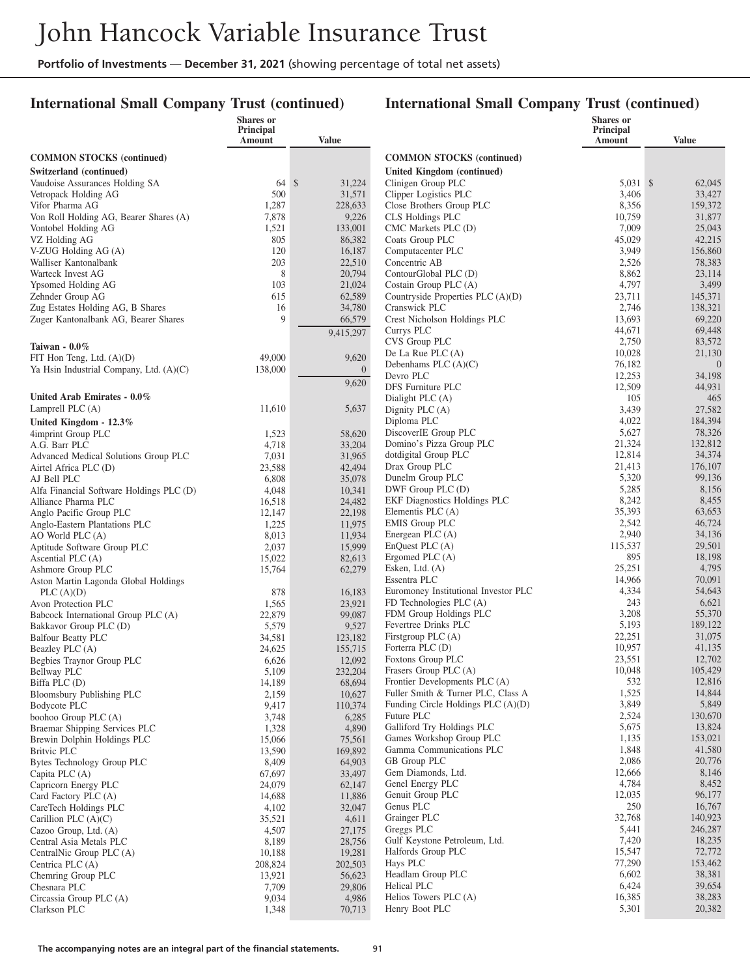### **International Small Company Trust (continued)**

|                                                                          | Shares or<br>Principal |                       |                                                                          | Shares or<br>Principal |                   |
|--------------------------------------------------------------------------|------------------------|-----------------------|--------------------------------------------------------------------------|------------------------|-------------------|
|                                                                          | Amount                 | Value                 |                                                                          | Amount                 | <b>Value</b>      |
| <b>COMMON STOCKS</b> (continued)                                         |                        |                       | <b>COMMON STOCKS</b> (continued)                                         |                        |                   |
| Switzerland (continued)                                                  |                        |                       | <b>United Kingdom (continued)</b>                                        |                        |                   |
| Vaudoise Assurances Holding SA                                           | 64S                    | 31,224                | Clinigen Group PLC                                                       | 5.031 \$               | 62,045            |
| Vetropack Holding AG                                                     | 500                    | 31,571                | Clipper Logistics PLC                                                    | 3,406                  | 33,427            |
| Vifor Pharma AG                                                          | 1,287                  | 228,633               | Close Brothers Group PLC                                                 | 8,356<br>10,759        | 159,372           |
| Von Roll Holding AG, Bearer Shares (A)<br>Vontobel Holding AG            | 7,878<br>1,521         | 9,226<br>133,001      | CLS Holdings PLC<br>CMC Markets PLC (D)                                  | 7,009                  | 31,877<br>25,043  |
| VZ Holding AG                                                            | 805                    | 86,382                | Coats Group PLC                                                          | 45,029                 | 42,215            |
| V-ZUG Holding AG (A)                                                     | 120                    | 16,187                | Computacenter PLC                                                        | 3,949                  | 156,860           |
| Walliser Kantonalbank                                                    | 203                    | 22,510                | Concentric AB                                                            | 2,526                  | 78,383            |
| Warteck Invest AG                                                        | 8                      | 20,794                | ContourGlobal PLC (D)                                                    | 8,862                  | 23,114            |
| Ypsomed Holding AG                                                       | 103                    | 21,024                | Costain Group PLC (A)                                                    | 4,797                  | 3,499             |
| Zehnder Group AG                                                         | 615                    | 62,589                | Countryside Properties PLC $(A)(D)$                                      | 23,711                 | 145,371           |
| Zug Estates Holding AG, B Shares<br>Zuger Kantonalbank AG, Bearer Shares | 16<br>9                | 34,780<br>66,579      | Cranswick PLC<br>Crest Nicholson Holdings PLC                            | 2,746<br>13,693        | 138,321<br>69,220 |
|                                                                          |                        |                       | Currys PLC                                                               | 44,671                 | 69,448            |
|                                                                          |                        | 9,415,297             | CVS Group PLC                                                            | 2,750                  | 83,572            |
| Taiwan - $0.0\%$                                                         |                        |                       | De La Rue PLC $(A)$                                                      | 10,028                 | 21,130            |
| FIT Hon Teng, Ltd. (A)(D)<br>Ya Hsin Industrial Company, Ltd. (A)(C)     | 49,000<br>138,000      | 9,620<br>$\mathbf{0}$ | Debenhams PLC $(A)(C)$                                                   | 76,182                 | $\overline{0}$    |
|                                                                          |                        |                       | Devro PLC                                                                | 12,253                 | 34,198            |
|                                                                          |                        | 9,620                 | DFS Furniture PLC                                                        | 12,509                 | 44,931            |
| United Arab Emirates - 0.0%                                              | 11,610                 | 5,637                 | Dialight PLC (A)                                                         | 105                    | 465               |
| Lamprell PLC $(A)$                                                       |                        |                       | Dignity PLC (A)<br>Diploma PLC                                           | 3,439<br>4,022         | 27,582<br>184,394 |
| United Kingdom - 12.3%<br>4imprint Group PLC                             | 1,523                  | 58,620                | DiscoverIE Group PLC                                                     | 5,627                  | 78,326            |
| A.G. Barr PLC                                                            | 4,718                  | 33,204                | Domino's Pizza Group PLC                                                 | 21,324                 | 132,812           |
| Advanced Medical Solutions Group PLC                                     | 7,031                  | 31,965                | dotdigital Group PLC                                                     | 12,814                 | 34,374            |
| Airtel Africa PLC (D)                                                    | 23,588                 | 42,494                | Drax Group PLC                                                           | 21,413                 | 176,107           |
| AJ Bell PLC                                                              | 6,808                  | 35,078                | Dunelm Group PLC                                                         | 5,320                  | 99,136            |
| Alfa Financial Software Holdings PLC (D)                                 | 4,048                  | 10,341                | DWF Group PLC (D)                                                        | 5,285                  | 8,156             |
| Alliance Pharma PLC                                                      | 16,518                 | 24,482                | <b>EKF Diagnostics Holdings PLC</b><br>Elementis PLC $(A)$               | 8,242<br>35,393        | 8,455<br>63,653   |
| Anglo Pacific Group PLC<br>Anglo-Eastern Plantations PLC                 | 12,147<br>1,225        | 22,198<br>11,975      | <b>EMIS Group PLC</b>                                                    | 2,542                  | 46,724            |
| AO World PLC (A)                                                         | 8,013                  | 11,934                | Energean PLC $(A)$                                                       | 2,940                  | 34,136            |
| Aptitude Software Group PLC                                              | 2,037                  | 15,999                | EnQuest PLC(A)                                                           | 115,537                | 29,501            |
| Ascential PLC (A)                                                        | 15,022                 | 82,613                | Ergomed PLC $(A)$                                                        | 895                    | 18,198            |
| Ashmore Group PLC                                                        | 15,764                 | 62,279                | Esken, Ltd. $(A)$                                                        | 25,251                 | 4,795             |
| Aston Martin Lagonda Global Holdings                                     |                        |                       | Essentra PLC                                                             | 14,966                 | 70,091            |
| PLC(A)(D)                                                                | 878                    | 16,183                | Euromoney Institutional Investor PLC                                     | 4,334<br>243           | 54,643            |
| Avon Protection PLC                                                      | 1,565<br>22,879        | 23,921<br>99,087      | FD Technologies PLC (A)<br>FDM Group Holdings PLC                        | 3,208                  | 6,621<br>55,370   |
| Babcock International Group PLC (A)<br>Bakkavor Group PLC (D)            | 5,579                  | 9,527                 | Fevertree Drinks PLC                                                     | 5,193                  | 189,122           |
| <b>Balfour Beatty PLC</b>                                                | 34,581                 | 123,182               | Firstgroup PLC (A)                                                       | 22,251                 | 31,075            |
| Beazley PLC (A)                                                          | 24,625                 | 155,715               | Forterra PLC (D)                                                         | 10,957                 | 41,135            |
| Begbies Traynor Group PLC                                                | 6,626                  | 12,092                | Foxtons Group PLC                                                        | 23,551                 | 12,702            |
| <b>Bellway PLC</b>                                                       | 5,109                  | 232,204               | Frasers Group PLC (A)                                                    | 10,048                 | 105,429           |
| Biffa PLC (D)                                                            | 14,189                 | 68,694                | Frontier Developments PLC (A)                                            | 532                    | 12,816            |
| Bloomsbury Publishing PLC<br>Bodycote PLC                                | 2,159<br>9,417         | 10,627<br>110,374     | Fuller Smith & Turner PLC, Class A<br>Funding Circle Holdings PLC (A)(D) | 1,525<br>3,849         | 14,844<br>5,849   |
| boohoo Group PLC (A)                                                     | 3,748                  | 6,285                 | Future PLC                                                               | 2,524                  | 130,670           |
| Braemar Shipping Services PLC                                            | 1,328                  | 4,890                 | Galliford Try Holdings PLC                                               | 5,675                  | 13,824            |
| Brewin Dolphin Holdings PLC                                              | 15,066                 | 75,561                | Games Workshop Group PLC                                                 | 1,135                  | 153,021           |
| Britvic PLC                                                              | 13,590                 | 169,892               | Gamma Communications PLC                                                 | 1,848                  | 41,580            |
| Bytes Technology Group PLC                                               | 8,409                  | 64,903                | GB Group PLC                                                             | 2,086                  | 20,776            |
| Capita PLC (A)                                                           | 67,697                 | 33,497                | Gem Diamonds, Ltd.                                                       | 12,666                 | 8,146             |
| Capricorn Energy PLC                                                     | 24,079                 | 62,147                | Genel Energy PLC<br>Genuit Group PLC                                     | 4,784<br>12,035        | 8,452<br>96,177   |
| Card Factory PLC (A)<br>CareTech Holdings PLC                            | 14,688<br>4,102        | 11,886<br>32,047      | Genus PLC                                                                | 250                    | 16,767            |
| Carillion PLC $(A)(C)$                                                   | 35,521                 | 4,611                 | Grainger PLC                                                             | 32,768                 | 140,923           |
| Cazoo Group, Ltd. (A)                                                    | 4,507                  | 27,175                | Greggs PLC                                                               | 5,441                  | 246,287           |
| Central Asia Metals PLC                                                  | 8,189                  | 28,756                | Gulf Keystone Petroleum, Ltd.                                            | 7,420                  | 18,235            |
| CentralNic Group PLC (A)                                                 | 10,188                 | 19,281                | Halfords Group PLC                                                       | 15,547                 | 72,772            |
| Centrica PLC (A)                                                         | 208,824                | 202,503               | Hays PLC                                                                 | 77,290                 | 153,462           |
| Chemring Group PLC                                                       | 13,921                 | 56,623                | Headlam Group PLC                                                        | 6,602                  | 38,381            |
| Chesnara PLC<br>Circassia Group PLC (A)                                  | 7,709<br>9,034         | 29,806<br>4,986       | Helical PLC<br>Helios Towers PLC (A)                                     | 6,424<br>16,385        | 39,654<br>38,283  |
| Clarkson PLC                                                             | 1,348                  | 70,713                | Henry Boot PLC                                                           | 5,301                  | 20,382            |
|                                                                          |                        |                       |                                                                          |                        |                   |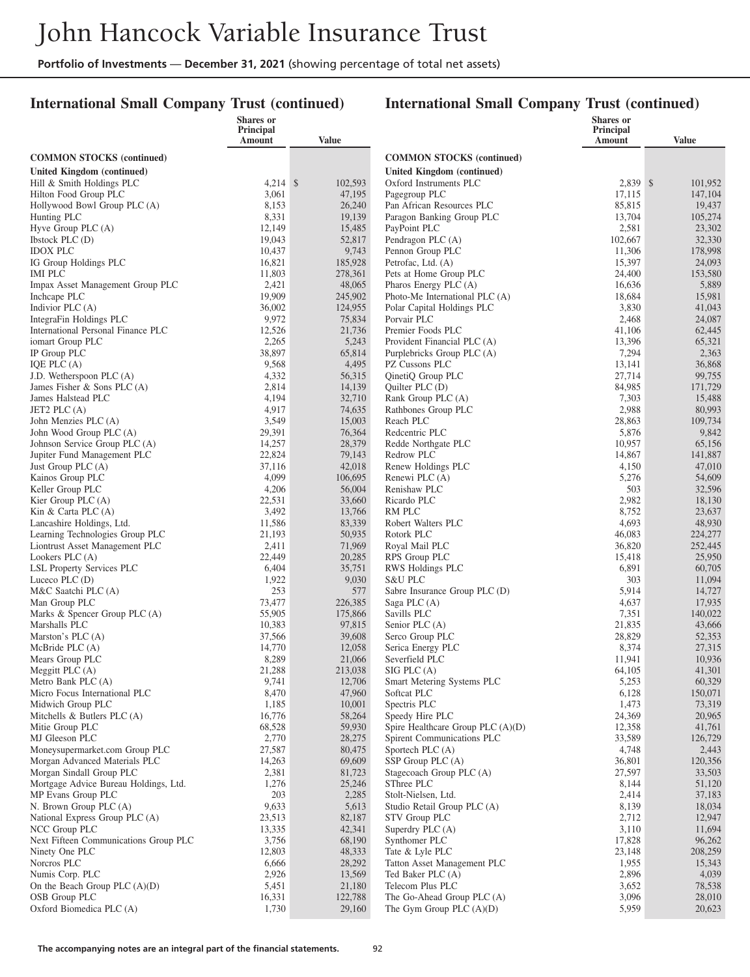### **International Small Company Trust (continued)**

|                                                              | Shares or<br>Principal |                   |                                                        | Shares or<br><b>Principal</b> |                   |
|--------------------------------------------------------------|------------------------|-------------------|--------------------------------------------------------|-------------------------------|-------------------|
|                                                              | Amount                 | Value             |                                                        | <b>Amount</b>                 | <b>Value</b>      |
| <b>COMMON STOCKS (continued)</b>                             |                        |                   | <b>COMMON STOCKS (continued)</b>                       |                               |                   |
| <b>United Kingdom (continued)</b>                            |                        |                   | United Kingdom (continued)                             |                               |                   |
| Hill & Smith Holdings PLC                                    | $4,214$ \$             | 102,593           | Oxford Instruments PLC                                 | 2,839 \$                      | 101,952           |
| Hilton Food Group PLC                                        | 3,061                  | 47,195            | Pagegroup PLC                                          | 17,115                        | 147,104           |
| Hollywood Bowl Group PLC (A)<br>Hunting PLC                  | 8,153<br>8,331         | 26,240<br>19,139  | Pan African Resources PLC<br>Paragon Banking Group PLC | 85,815<br>13,704              | 19,437<br>105,274 |
| Hyve Group PLC (A)                                           | 12,149                 | 15,485            | PayPoint PLC                                           | 2,581                         | 23,302            |
| Ibstock PLC (D)                                              | 19,043                 | 52,817            | Pendragon PLC (A)                                      | 102,667                       | 32,330            |
| <b>IDOX PLC</b>                                              | 10,437                 | 9,743             | Pennon Group PLC                                       | 11,306                        | 178,998           |
| IG Group Holdings PLC                                        | 16,821                 | 185,928           | Petrofac, Ltd. (A)                                     | 15,397                        | 24,093            |
| <b>IMI PLC</b><br>Impax Asset Management Group PLC           | 11,803<br>2,421        | 278,361<br>48,065 | Pets at Home Group PLC<br>Pharos Energy PLC (A)        | 24,400<br>16,636              | 153,580<br>5,889  |
| Inchcape PLC                                                 | 19,909                 | 245,902           | Photo-Me International PLC (A)                         | 18,684                        | 15,981            |
| Indivior PLC (A)                                             | 36,002                 | 124,955           | Polar Capital Holdings PLC                             | 3,830                         | 41,043            |
| IntegraFin Holdings PLC                                      | 9,972                  | 75,834            | Porvair PLC                                            | 2,468                         | 24,087            |
| International Personal Finance PLC                           | 12,526                 | 21,736            | Premier Foods PLC                                      | 41,106                        | 62,445            |
| iomart Group PLC                                             | 2,265                  | 5,243             | Provident Financial PLC (A)                            | 13,396                        | 65,321            |
| IP Group PLC<br>IQE PLC (A)                                  | 38,897<br>9,568        | 65,814<br>4,495   | Purplebricks Group PLC (A)<br>PZ Cussons PLC           | 7,294<br>13,141               | 2,363<br>36,868   |
| J.D. Wetherspoon $PLC(A)$                                    | 4,332                  | 56,315            | QinetiQ Group PLC                                      | 27,714                        | 99,755            |
| James Fisher & Sons PLC $(A)$                                | 2,814                  | 14,139            | Quilter PLC (D)                                        | 84,985                        | 171,729           |
| James Halstead PLC                                           | 4,194                  | 32,710            | Rank Group PLC (A)                                     | 7,303                         | 15,488            |
| JET2 PLC (A)                                                 | 4,917                  | 74,635            | Rathbones Group PLC                                    | 2,988                         | 80,993            |
| John Menzies PLC (A)                                         | 3,549                  | 15,003            | Reach PLC                                              | 28,863                        | 109,734           |
| John Wood Group PLC (A)                                      | 29,391                 | 76,364            | Redcentric PLC                                         | 5,876                         | 9,842             |
| Johnson Service Group PLC (A)<br>Jupiter Fund Management PLC | 14,257<br>22,824       | 28,379<br>79,143  | Redde Northgate PLC<br>Redrow PLC                      | 10,957<br>14,867              | 65,156<br>141,887 |
| Just Group PLC (A)                                           | 37,116                 | 42,018            | Renew Holdings PLC                                     | 4,150                         | 47,010            |
| Kainos Group PLC                                             | 4,099                  | 106,695           | Renewi PLC (A)                                         | 5,276                         | 54,609            |
| Keller Group PLC                                             | 4,206                  | 56,004            | Renishaw PLC                                           | 503                           | 32,596            |
| Kier Group PLC (A)                                           | 22,531                 | 33,660            | Ricardo PLC                                            | 2,982                         | 18,130            |
| Kin & Carta PLC (A)                                          | 3,492                  | 13,766            | RM PLC                                                 | 8,752                         | 23,637            |
| Lancashire Holdings, Ltd.<br>Learning Technologies Group PLC | 11,586<br>21,193       | 83,339<br>50,935  | Robert Walters PLC<br>Rotork PLC                       | 4,693<br>46,083               | 48,930<br>224,277 |
| Liontrust Asset Management PLC                               | 2,411                  | 71,969            | Royal Mail PLC                                         | 36,820                        | 252,445           |
| Lookers PLC (A)                                              | 22,449                 | 20,285            | RPS Group PLC                                          | 15,418                        | 25,950            |
| LSL Property Services PLC                                    | 6,404                  | 35,751            | RWS Holdings PLC                                       | 6,891                         | 60,705            |
| Luceco PLC $(D)$                                             | 1,922                  | 9,030             | <b>S&amp;U PLC</b>                                     | 303                           | 11,094            |
| M&C Saatchi PLC (A)                                          | 253                    | 577               | Sabre Insurance Group PLC (D)                          | 5,914                         | 14,727            |
| Man Group PLC                                                | 73,477<br>55,905       | 226,385           | Saga PLC (A)<br>Savills PLC                            | 4,637                         | 17,935            |
| Marks & Spencer Group PLC (A)<br>Marshalls PLC               | 10,383                 | 175,866<br>97,815 | Senior PLC (A)                                         | 7,351<br>21,835               | 140,022<br>43,666 |
| Marston's PLC (A)                                            | 37,566                 | 39,608            | Serco Group PLC                                        | 28,829                        | 52,353            |
| McBride PLC (A)                                              | 14,770                 | 12,058            | Serica Energy PLC                                      | 8,374                         | 27,315            |
| Mears Group PLC                                              | 8,289                  | 21,066            | Severfield PLC                                         | 11,941                        | 10,936            |
| Meggitt PLC (A)                                              | 21,288                 | 213,038           | $SIG$ PLC $(A)$                                        | 64,105                        | 41,301            |
| Metro Bank PLC (A)<br>Micro Focus International PLC          | 9,741<br>8,470         | 12,706<br>47,960  | Smart Metering Systems PLC<br>Softcat PLC              | 5,253<br>6,128                | 60,329<br>150,071 |
| Midwich Group PLC                                            | 1,185                  | 10,001            | Spectris PLC                                           | 1,473                         | 73,319            |
| Mitchells & Butlers PLC $(A)$                                | 16,776                 | 58,264            | Speedy Hire PLC                                        | 24,369                        | 20,965            |
| Mitie Group PLC                                              | 68,528                 | 59,930            | Spire Healthcare Group PLC (A)(D)                      | 12,358                        | 41,761            |
| MJ Gleeson PLC                                               | 2,770                  | 28,275            | Spirent Communications PLC                             | 33,589                        | 126,729           |
| Moneysupermarket.com Group PLC                               | 27,587                 | 80,475            | Sportech PLC (A)                                       | 4,748                         | 2,443             |
| Morgan Advanced Materials PLC<br>Morgan Sindall Group PLC    | 14,263<br>2,381        | 69,609<br>81,723  | SSP Group PLC (A)<br>Stagecoach Group PLC (A)          | 36,801<br>27,597              | 120,356<br>33,503 |
| Mortgage Advice Bureau Holdings, Ltd.                        | 1,276                  | 25,246            | SThree PLC                                             | 8,144                         | 51,120            |
| MP Evans Group PLC                                           | 203                    | 2,285             | Stolt-Nielsen, Ltd.                                    | 2,414                         | 37,183            |
| N. Brown Group PLC (A)                                       | 9,633                  | 5,613             | Studio Retail Group PLC (A)                            | 8,139                         | 18,034            |
| National Express Group PLC (A)                               | 23,513                 | 82,187            | STV Group PLC                                          | 2,712                         | 12,947            |
| NCC Group PLC                                                | 13,335                 | 42,341            | Superdry PLC (A)                                       | 3,110                         | 11,694            |
| Next Fifteen Communications Group PLC<br>Ninety One PLC      | 3,756<br>12,803        | 68,190<br>48,333  | Synthomer PLC<br>Tate & Lyle PLC                       | 17,828<br>23,148              | 96,262<br>208,259 |
| Norcros PLC                                                  | 6,666                  | 28,292            | Tatton Asset Management PLC                            | 1,955                         | 15,343            |
| Numis Corp. PLC                                              | 2,926                  | 13,569            | Ted Baker PLC (A)                                      | 2,896                         | 4,039             |
| On the Beach Group PLC (A)(D)                                | 5,451                  | 21,180            | Telecom Plus PLC                                       | 3,652                         | 78,538            |
| OSB Group PLC                                                | 16,331                 | 122,788           | The Go-Ahead Group PLC (A)                             | 3,096                         | 28,010            |
| Oxford Biomedica PLC (A)                                     | 1,730                  | 29,160            | The Gym Group PLC $(A)(D)$                             | 5,959                         | 20,623            |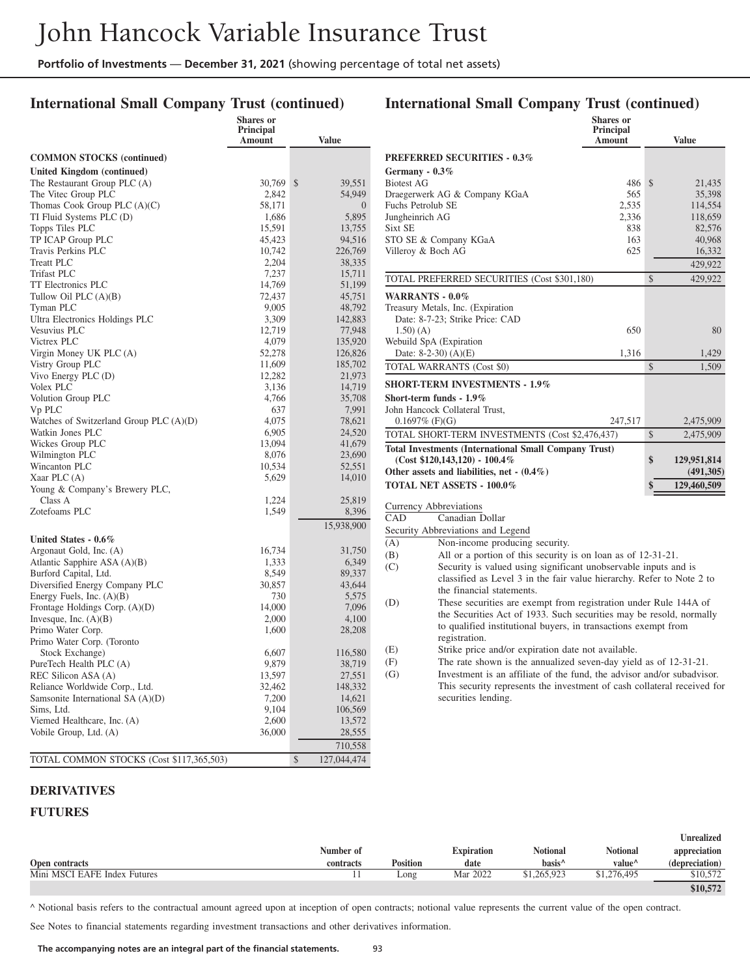### **International Small Company Trust (continued)**

|                                                             | Shares or<br>Principal<br>Amount | <b>Value</b>      |
|-------------------------------------------------------------|----------------------------------|-------------------|
| <b>COMMON STOCKS</b> (continued)                            |                                  |                   |
| United Kingdom (continued)                                  |                                  |                   |
| The Restaurant Group PLC (A)                                | 30,769                           | \$<br>39,551      |
| The Vitec Group PLC                                         | 2,842                            | 54,949            |
| Thomas Cook Group PLC $(A)(C)$                              | 58,171                           | $\theta$          |
| TI Fluid Systems PLC (D)                                    | 1,686                            | 5,895             |
| Topps Tiles PLC                                             | 15,591                           | 13,755            |
| TP ICAP Group PLC                                           | 45,423                           | 94,516            |
| Travis Perkins PLC                                          | 10,742                           | 226,769           |
| Treatt PLC                                                  | 2,204                            | 38,335            |
| <b>Trifast PLC</b>                                          | 7,237                            | 15,711            |
| <b>TT Electronics PLC</b>                                   | 14,769                           | 51,199            |
| Tullow Oil PLC $(A)(B)$                                     | 72,437                           | 45,751            |
| Tyman PLC                                                   | 9,005                            | 48,792            |
| Ultra Electronics Holdings PLC                              | 3,309                            | 142,883           |
| Vesuvius PLC                                                | 12,719                           | 77,948            |
| Victrex PLC                                                 | 4,079                            | 135,920           |
| Virgin Money UK PLC (A)                                     | 52,278                           | 126,826           |
| Vistry Group PLC                                            | 11,609                           | 185,702           |
| Vivo Energy PLC (D)                                         | 12,282                           | 21,973            |
| Volex PLC                                                   | 3,136                            | 14,719            |
| Volution Group PLC                                          | 4,766                            | 35,708            |
| Vp PLC                                                      | 637                              | 7,991             |
| Watches of Switzerland Group PLC $(A)(D)$                   | 4,075                            | 78,621            |
| Watkin Jones PLC                                            | 6,905                            | 24,520            |
| Wickes Group PLC                                            | 13,094                           | 41,679            |
| Wilmington PLC<br>Wincanton PLC                             | 8,076<br>10,534                  | 23,690            |
| Xaar PLC (A)                                                | 5,629                            | 52,551<br>14,010  |
| Young & Company's Brewery PLC,                              |                                  |                   |
| Class A                                                     | 1,224                            | 25,819            |
| Zotefoams PLC                                               | 1,549                            | 8,396             |
|                                                             |                                  | 15,938,900        |
|                                                             |                                  |                   |
| United States - 0.6%                                        |                                  |                   |
| Argonaut Gold, Inc. (A)                                     | 16,734                           | 31,750            |
| Atlantic Sapphire ASA $(A)(B)$                              | 1,333                            | 6,349             |
| Burford Capital, Ltd.                                       | 8,549                            | 89,337            |
| Diversified Energy Company PLC                              | 30,857<br>730                    | 43,644            |
| Energy Fuels, Inc. (A)(B)                                   | 14,000                           | 5,575             |
| Frontage Holdings Corp. $(A)(D)$<br>Invesque, Inc. $(A)(B)$ | 2,000                            | 7,096<br>4,100    |
| Primo Water Corp.                                           | 1,600                            | 28,208            |
| Primo Water Corp. (Toronto                                  |                                  |                   |
| Stock Exchange)                                             | 6,607                            | 116,580           |
| PureTech Health PLC (A)                                     | 9,879                            | 38,719            |
| REC Silicon ASA (A)                                         | 13,597                           | 27,551            |
| Reliance Worldwide Corp., Ltd.                              | 32,462                           | 148,332           |
| Samsonite International SA (A)(D)                           | 7,200                            | 14,621            |
| Sims, Ltd.                                                  | 9,104                            | 106,569           |
| Viemed Healthcare, Inc. (A)                                 | 2,600                            | 13,572            |
| Vobile Group, Ltd. (A)                                      | 36,000                           | 28,555            |
|                                                             |                                  | 710,558           |
| TOTAL COMMON STOCKS (Cost \$117,365,503)                    |                                  | 127,044,474<br>\$ |
|                                                             |                                  |                   |

# **International Small Company Trust (continued)**

|                   |                                                                                                 | Shares or<br>Principal<br>Amount | Value             |
|-------------------|-------------------------------------------------------------------------------------------------|----------------------------------|-------------------|
|                   | <b>PREFERRED SECURITIES - 0.3%</b>                                                              |                                  |                   |
| Germany - 0.3%    |                                                                                                 |                                  |                   |
| <b>Biotest AG</b> |                                                                                                 | 486                              | \$<br>21,435      |
|                   | Draegerwerk AG & Company KGaA                                                                   | 565                              | 35,398            |
| Fuchs Petrolub SE |                                                                                                 | 2,535                            | 114,554           |
| Jungheinrich AG   |                                                                                                 | 2,336                            | 118,659           |
| Sixt SE           |                                                                                                 | 838                              | 82,576            |
|                   | STO SE & Company KGaA                                                                           | 163                              | 40,968            |
|                   | Villeroy & Boch AG                                                                              | 625                              | 16,332            |
|                   |                                                                                                 |                                  | 429,922           |
|                   | TOTAL PREFERRED SECURITIES (Cost \$301,180)                                                     |                                  | \$<br>429,922     |
|                   | WARRANTS - 0.0%                                                                                 |                                  |                   |
|                   | Treasury Metals, Inc. (Expiration                                                               |                                  |                   |
|                   | Date: 8-7-23; Strike Price: CAD                                                                 |                                  |                   |
| $1.50)$ (A)       |                                                                                                 | 650                              | 80                |
|                   | Webuild SpA (Expiration                                                                         |                                  |                   |
|                   | Date: $8-2-30$ ) $(A)(E)$                                                                       | 1,316                            | 1,429             |
|                   | TOTAL WARRANTS (Cost \$0)                                                                       |                                  | \$<br>1,509       |
|                   | <b>SHORT-TERM INVESTMENTS - 1.9%</b>                                                            |                                  |                   |
|                   | Short-term funds - $1.9\%$                                                                      |                                  |                   |
|                   |                                                                                                 |                                  |                   |
|                   | John Hancock Collateral Trust,                                                                  |                                  |                   |
|                   | $0.1697\%$ (F)(G)                                                                               | 247,517                          | \$<br>2,475,909   |
|                   | TOTAL SHORT-TERM INVESTMENTS (Cost \$2,476,437)                                                 |                                  | 2,475,909         |
|                   | <b>Total Investments (International Small Company Trust)</b><br>$(Cost $120,143,120) - 100.4\%$ |                                  | \$<br>129,951,814 |
|                   | Other assets and liabilities, net $-(0.4\%)$                                                    |                                  | (491,305)         |
|                   |                                                                                                 |                                  |                   |
|                   | <b>TOTAL NET ASSETS - 100.0%</b>                                                                |                                  | \$<br>129,460,509 |
|                   | Currency Abbreviations                                                                          |                                  |                   |
| CAD               | Canadian Dollar                                                                                 |                                  |                   |
|                   | Security Abbreviations and Legend                                                               |                                  |                   |
| (A)               | Non-income producing security.                                                                  |                                  |                   |
| (B)               | All or a portion of this security is on loan as of 12-31-21.                                    |                                  |                   |
| (C)               | Security is valued using significant unobservable inputs and is                                 |                                  |                   |
|                   | classified as Level 3 in the fair value hierarchy. Refer to Note 2 to                           |                                  |                   |
|                   | the financial statements.                                                                       |                                  |                   |
| (D)               | These securities are exempt from registration under Rule 144A of                                |                                  |                   |
|                   | the Securities Act of 1933. Such securities may be resold, normally                             |                                  |                   |
|                   | to qualified institutional buyers, in transactions exempt from                                  |                                  |                   |
|                   | registration.                                                                                   |                                  |                   |
| (E)               | Strike price and/or expiration date not available.                                              |                                  |                   |
| (F)               | The rate shown is the annualized seven-day yield as of 12-31-21.                                |                                  |                   |
| (G)               | Investment is an affiliate of the fund, the advisor and/or subadvisor.                          |                                  |                   |
|                   | This security represents the investment of cash collateral received for<br>securities lending.  |                                  |                   |

#### **DERIVATIVES**

#### **FUTURES**

|                              |           |                 |                   |                    |                                      | Unrealized     |
|------------------------------|-----------|-----------------|-------------------|--------------------|--------------------------------------|----------------|
|                              | Number of |                 | <b>Expiration</b> | <b>Notional</b>    | <b>Notional</b>                      | appreciation   |
| Open contracts               | contracts | <b>Position</b> | date              | basis <sup>^</sup> | value <sup><math>\prime</math></sup> | (depreciation) |
| Mini MSCI EAFE Index Futures |           | Long            | Mar 2022          | \$1,265,923        | \$1,276,495                          | \$10,572       |
|                              |           |                 |                   |                    |                                      | \$10,572       |

^ Notional basis refers to the contractual amount agreed upon at inception of open contracts; notional value represents the current value of the open contract.

See Notes to financial statements regarding investment transactions and other derivatives information.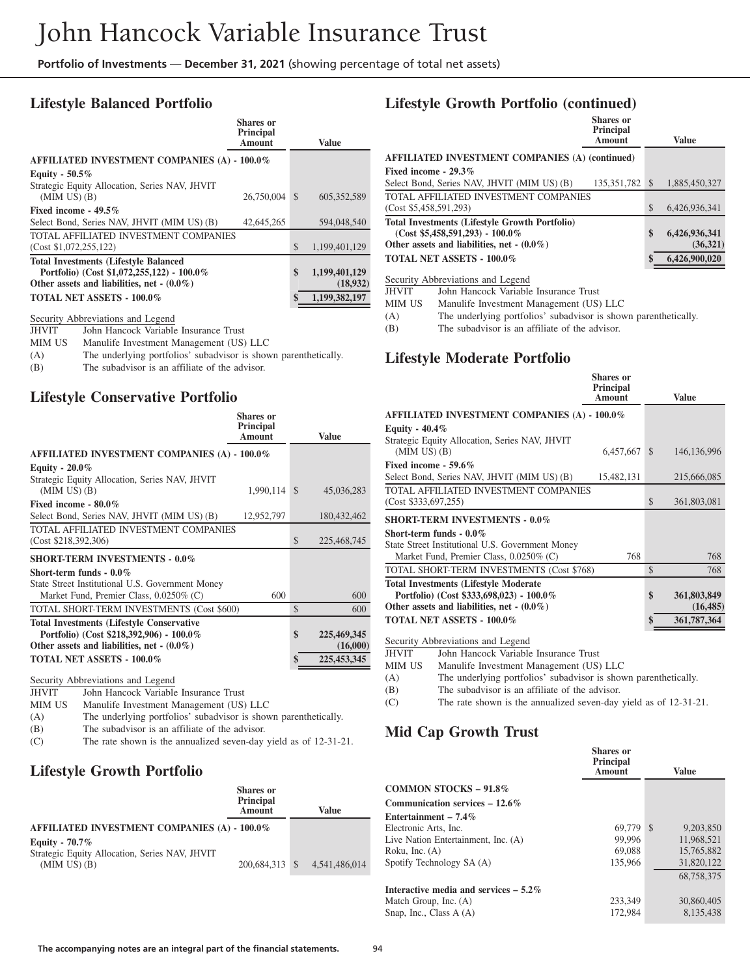### **Lifestyle Balanced Portfolio**

| <b>Shares</b> or<br>Principal<br>Amount |                                                                                              | <b>Value</b>              |
|-----------------------------------------|----------------------------------------------------------------------------------------------|---------------------------|
|                                         |                                                                                              |                           |
|                                         |                                                                                              |                           |
|                                         | <sup>\$</sup>                                                                                | 605.352.589               |
|                                         |                                                                                              |                           |
| 42,645,265                              |                                                                                              | 594,048,540               |
|                                         |                                                                                              |                           |
|                                         | \$                                                                                           | 1.199.401.129             |
|                                         | \$                                                                                           | 1,199,401,129<br>(18,932) |
|                                         | \$                                                                                           | 1,199,382,197             |
|                                         | <b>AFFILIATED INVESTMENT COMPANIES (A) - 100.0%</b><br>TOTAL AFFILIATED INVESTMENT COMPANIES | 26,750,004                |

#### Security Abbreviations and Legend

| <b>JHVIT</b> | John Hancock Variable Insurance Trust                           |
|--------------|-----------------------------------------------------------------|
| MIM US       | Manulife Investment Management (US) LLC                         |
| (A)          | The underlying portfolios' subadvisor is shown parenthetically. |
| (B)          | The subadvisor is an affiliate of the advisor.                  |

#### **Lifestyle Conservative Portfolio**

|                                                     | <b>Shares</b> or<br>Principal<br><b>Amount</b> |               | Value       |
|-----------------------------------------------------|------------------------------------------------|---------------|-------------|
| <b>AFFILIATED INVESTMENT COMPANIES (A) - 100.0%</b> |                                                |               |             |
| Equity - $20.0\%$                                   |                                                |               |             |
| Strategic Equity Allocation, Series NAV, JHVIT      |                                                |               |             |
| $(MIM US)$ $(B)$                                    | 1,990,114 \$                                   |               | 45,036,283  |
| Fixed income - 80.0%                                |                                                |               |             |
| Select Bond, Series NAV, JHVIT (MIM US) (B)         | 12,952,797                                     |               | 180,432,462 |
| TOTAL AFFILIATED INVESTMENT COMPANIES               |                                                |               |             |
| (Cost \$218,392,306)                                |                                                | \$            | 225,468,745 |
| <b>SHORT-TERM INVESTMENTS - 0.0%</b>                |                                                |               |             |
| Short-term funds - $0.0\%$                          |                                                |               |             |
| State Street Institutional U.S. Government Money    |                                                |               |             |
| Market Fund, Premier Class, 0.0250% (C)             | 600                                            |               | 600         |
| TOTAL SHORT-TERM INVESTMENTS (Cost \$600)           |                                                | $\mathcal{S}$ | 600         |
| <b>Total Investments (Lifestyle Conservative</b>    |                                                |               |             |
| Portfolio) (Cost \$218,392,906) - 100.0%            |                                                | \$            | 225,469,345 |
| Other assets and liabilities, net $(0.0\%)$         |                                                |               | (16,000)    |
| TOTAL NET ASSETS - 100.0%                           |                                                | \$            | 225,453,345 |
|                                                     |                                                |               |             |

Security Abbreviations and Legend

JHVIT John Hancock Variable Insurance Trust<br>MIM US Manulife Investment Management (US)

Manulife Investment Management (US) LLC

(A) The underlying portfolios' subadvisor is shown parenthetically. (B) The subadvisor is an affiliate of the advisor.

(C) The rate shown is the annualized seven-day yield as of 12-31-21.

### **Lifestyle Growth Portfolio**

|                                                                    | Shares or<br>Principal<br><b>Amount</b> | Value                        |
|--------------------------------------------------------------------|-----------------------------------------|------------------------------|
| <b>AFFILIATED INVESTMENT COMPANIES (A) - 100.0%</b>                |                                         |                              |
| Equity - $70.7\%$                                                  |                                         |                              |
| Strategic Equity Allocation, Series NAV, JHVIT<br>$(MIM US)$ $(B)$ |                                         | 200,684,313 \$ 4,541,486,014 |

### **Lifestyle Growth Portfolio (continued)**

|                                                                                                                                             | Shares or<br><b>Principal</b><br><b>Amount</b> | <b>Value</b>                     |
|---------------------------------------------------------------------------------------------------------------------------------------------|------------------------------------------------|----------------------------------|
| <b>AFFILIATED INVESTMENT COMPANIES (A) (continued)</b>                                                                                      |                                                |                                  |
| Fixed income - $29.3\%$                                                                                                                     |                                                |                                  |
| Select Bond, Series NAV, JHVIT (MIM US) (B)                                                                                                 | 135, 351, 782 \$                               | 1.885,450,327                    |
| <b>TOTAL AFFILIATED INVESTMENT COMPANIES</b>                                                                                                |                                                |                                  |
| (Cost \$5,458,591,293)                                                                                                                      |                                                | \$<br>6.426.936.341              |
| <b>Total Investments (Lifestyle Growth Portfolio)</b><br>$(Cost $5,458,591,293) - 100.0\%$<br>Other assets and liabilities, net $- (0.0\%)$ |                                                | \$<br>6,426,936,341<br>(36, 321) |
| <b>TOTAL NET ASSETS - 100.0%</b>                                                                                                            |                                                | \$<br>6,426,900,020              |
|                                                                                                                                             |                                                |                                  |

Security Abbreviations and Legend

JHVIT John Hancock Variable Insurance Trust<br>MIM US Manulife Investment Management (US)

Manulife Investment Management (US) LLC

(A) The underlying portfolios' subadvisor is shown parenthetically.

(B) The subadvisor is an affiliate of the advisor.

#### **Lifestyle Moderate Portfolio**

|                                                                                                                                           | Shares or<br>Principal<br><b>Amount</b> |               | <b>Value</b>             |
|-------------------------------------------------------------------------------------------------------------------------------------------|-----------------------------------------|---------------|--------------------------|
| <b>AFFILIATED INVESTMENT COMPANIES (A) - 100.0%</b>                                                                                       |                                         |               |                          |
| Equity - $40.4\%$<br>Strategic Equity Allocation, Series NAV, JHVIT<br>$(MIM US)$ $(B)$                                                   | 6,457,667                               | $\mathcal{S}$ | 146, 136, 996            |
| Fixed income - 59.6%<br>Select Bond, Series NAV, JHVIT (MIM US) (B)                                                                       | 15,482,131                              |               | 215,666,085              |
| TOTAL AFFILIATED INVESTMENT COMPANIES<br>(Cost \$333,697,255)                                                                             |                                         | \$            | 361,803,081              |
| <b>SHORT-TERM INVESTMENTS - 0.0%</b>                                                                                                      |                                         |               |                          |
| Short-term funds $-0.0\%$<br>State Street Institutional U.S. Government Money<br>Market Fund, Premier Class, 0.0250% (C)                  | 768                                     |               | 768                      |
| TOTAL SHORT-TERM INVESTMENTS (Cost \$768)                                                                                                 |                                         | \$            | 768                      |
| <b>Total Investments (Lifestyle Moderate)</b><br>Portfolio) (Cost \$333,698,023) - 100.0%<br>Other assets and liabilities, net $-(0.0\%)$ |                                         | \$            | 361,803,849<br>(16, 485) |
| <b>TOTAL NET ASSETS - 100.0%</b>                                                                                                          |                                         | \$            | 361,787,364              |

Security Abbreviations and Legend

JHVIT John Hancock Variable Insurance Trust

MIM US Manulife Investment Management (US) LLC

(A) The underlying portfolios' subadvisor is shown parenthetically.

(B) The subadvisor is an affiliate of the advisor.

(C) The rate shown is the annualized seven-day yield as of 12-31-21.

### **Mid Cap Growth Trust**

|                                         | Shares or<br><b>Principal</b><br><b>Amount</b> | Value      |
|-----------------------------------------|------------------------------------------------|------------|
| <b>COMMON STOCKS - 91.8%</b>            |                                                |            |
| Communication services $-12.6\%$        |                                                |            |
| Entertainment – $7.4\%$                 |                                                |            |
| Electronic Arts, Inc.                   | 69,779 \$                                      | 9.203.850  |
| Live Nation Entertainment, Inc. (A)     | 99.996                                         | 11.968.521 |
| Roku, Inc. $(A)$                        | 69.088                                         | 15.765.882 |
| Spotify Technology SA (A)               | 135,966                                        | 31,820,122 |
|                                         |                                                | 68,758,375 |
| Interactive media and services $-5.2\%$ |                                                |            |
| Match Group, Inc. (A)                   | 233,349                                        | 30,860,405 |
| Snap, Inc., Class A (A)                 | 172,984                                        | 8.135.438  |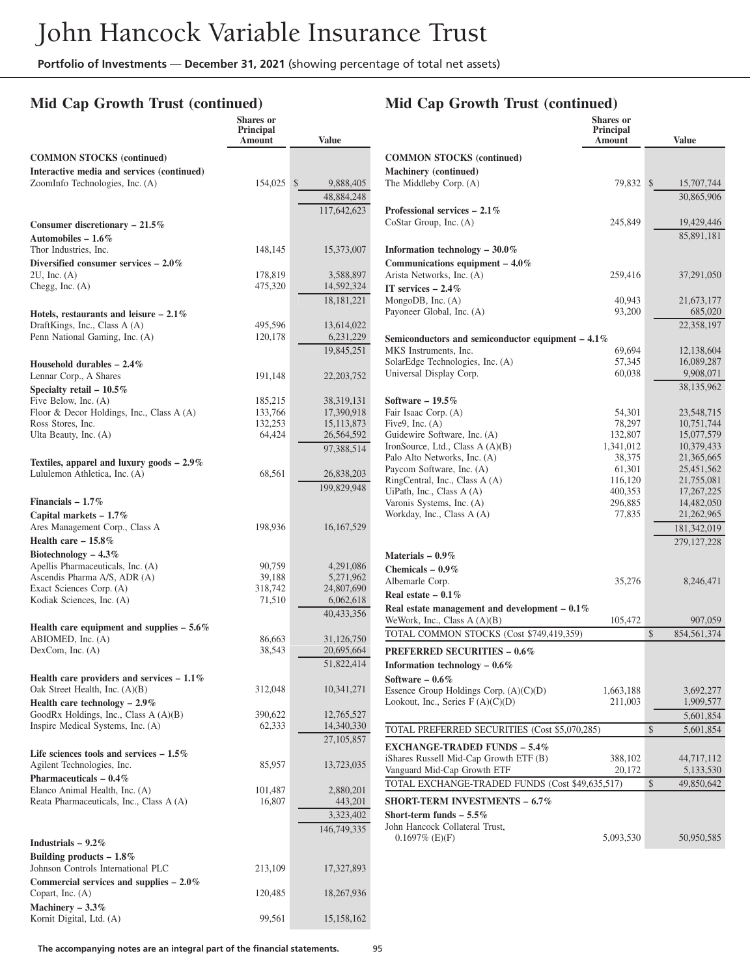### **Mid Cap Growth Trust (continued)**

### **Mid Cap Growth Trust (continued)**

|                                                                               | <b>Shares</b> or<br><b>Principal</b><br>Amount | <b>Value</b>                 |
|-------------------------------------------------------------------------------|------------------------------------------------|------------------------------|
| <b>COMMON STOCKS</b> (continued)                                              |                                                | $\alpha$                     |
| Interactive media and services (continued)<br>ZoomInfo Technologies, Inc. (A) | 154,025                                        | Ma<br>Th<br>\$<br>9,888,405  |
|                                                                               |                                                | 48,884,248                   |
|                                                                               |                                                | 117,642,623<br>Pr            |
| Consumer discretionary $-21.5\%$<br>Automobiles - $1.6\%$                     |                                                | Co                           |
| Thor Industries, Inc.<br>Diversified consumer services $-2.0\%$               | 148,145                                        | 15,373,007<br>Inf<br>Co      |
| $2U$ , Inc. $(A)$                                                             | 178,819                                        | Ari<br>3,588,897             |
| Chegg, Inc. $(A)$                                                             | 475,320                                        | 14,592,324<br>IT             |
|                                                                               |                                                | 18, 181, 221<br>M            |
| Hotels, restaurants and leisure $-2.1\%$                                      |                                                | Pay                          |
| DraftKings, Inc., Class A (A)                                                 | 495,596                                        | 13,614,022                   |
| Penn National Gaming, Inc. (A)                                                | 120,178                                        | 6,231,229<br>Sei             |
|                                                                               |                                                | 19,845,251<br>MI             |
| Household durables $-2.4\%$                                                   |                                                | So.                          |
| Lennar Corp., A Shares                                                        | 191,148                                        | Un<br>22, 203, 752           |
| Specialty retail $-10.5\%$                                                    |                                                |                              |
| Five Below, Inc. (A)                                                          | 185,215                                        | 38,319,131<br>So             |
| Floor & Decor Holdings, Inc., Class A (A)                                     | 133,766                                        | 17,390,918<br>Fai            |
| Ross Stores, Inc.                                                             | 132,253                                        | 15, 113, 873<br><b>Fi</b>    |
| Ulta Beauty, Inc. (A)                                                         | 64,424                                         | 26,564,592<br>Gu             |
|                                                                               |                                                | Iro<br>97,388,514            |
| Textiles, apparel and luxury goods $-2.9\%$                                   |                                                | Pal                          |
| Lululemon Athletica, Inc. (A)                                                 | 68,561                                         | Pay<br>26,838,203            |
|                                                                               |                                                | Rii<br>199,829,948           |
| Financials $-1.7\%$                                                           |                                                | Uil<br>Va                    |
| Capital markets - 1.7%                                                        |                                                | Wo                           |
| Ares Management Corp., Class A                                                | 198,936                                        | 16, 167, 529                 |
| Health care $-15.8\%$                                                         |                                                |                              |
|                                                                               |                                                |                              |
| Biotechnology $-4.3\%$                                                        |                                                | M                            |
| Apellis Pharmaceuticals, Inc. (A)<br>Ascendis Pharma A/S, ADR (A)             | 90,759<br>39,188                               | 4,291,086<br>Ch<br>5,271,962 |
| Exact Sciences Corp. (A)                                                      | 318,742                                        | All<br>24,807,690            |
| Kodiak Sciences, Inc. (A)                                                     | 71,510                                         | Re<br>6,062,618              |
|                                                                               |                                                | Re<br>40,433,356             |
| Health care equipment and supplies $-5.6\%$                                   |                                                | We                           |
| ABIOMED, Inc. (A)                                                             | 86,663                                         | ТC<br>31,126,750             |
| DexCom, Inc. (A)                                                              | 38,543                                         | 20,695,664<br><b>PR</b>      |
|                                                                               |                                                | 51,822,414<br>Inf            |
| Health care providers and services $-1.1\%$                                   |                                                | So                           |
| Oak Street Health, Inc. $(A)(B)$                                              | 312,048                                        | 10,341,271<br>Ess            |
| Health care technology $-2.9\%$                                               |                                                | Lo                           |
| GoodRx Holdings, Inc., Class $A(A)(B)$                                        | 390,622                                        | 12,765,527                   |
| Inspire Medical Systems, Inc. (A)                                             | 62,333                                         | 14,340,330<br>TС             |
|                                                                               |                                                | 27, 105, 857                 |
| Life sciences tools and services $-1.5\%$                                     |                                                | EX                           |
| Agilent Technologies, Inc.                                                    | 85,957                                         | iSŀ<br>13,723,035            |
| Pharmaceuticals $-0.4\%$                                                      |                                                | Va                           |
| Elanco Animal Health, Inc. (A)                                                | 101,487                                        | TС<br>2,880,201              |
| Reata Pharmaceuticals, Inc., Class A (A)                                      | 16,807                                         | 443,201<br>SН                |
|                                                                               |                                                | 3,323,402<br>Sh              |
|                                                                               |                                                | Joł<br>146,749,335           |
| Industrials $-9.2\%$                                                          |                                                |                              |
|                                                                               |                                                |                              |
| Building products $-1.8\%$<br>Johnson Controls International PLC              | 213,109                                        | 17,327,893                   |
|                                                                               |                                                |                              |
| Commercial services and supplies $-2.0\%$<br>Copart, Inc. (A)                 | 120,485                                        | 18,267,936                   |
|                                                                               |                                                |                              |
| Machinery $-3.3\%$                                                            | 99,561                                         |                              |
| Kornit Digital, Ltd. (A)                                                      |                                                | 15,158,162                   |

|                                                                                 | <b>Shares</b> or<br>Principal<br>Amount | Value                      |
|---------------------------------------------------------------------------------|-----------------------------------------|----------------------------|
| <b>COMMON STOCKS</b> (continued)                                                |                                         |                            |
| <b>Machinery (continued)</b>                                                    |                                         |                            |
| The Middleby Corp. (A)                                                          | 79,832                                  | $\mathbb{S}$<br>15,707,744 |
|                                                                                 |                                         | 30,865,906                 |
| Professional services $-2.1\%$                                                  |                                         |                            |
| CoStar Group, Inc. (A)                                                          | 245,849                                 | 19,429,446                 |
|                                                                                 |                                         | 85,891,181                 |
| Information technology $-30.0\%$                                                |                                         |                            |
| Communications equipment $-4.0\%$<br>Arista Networks, Inc. (A)                  | 259,416                                 | 37,291,050                 |
| IT services $-2.4\%$                                                            |                                         |                            |
| MongoDB, Inc. (A)                                                               | 40,943                                  | 21,673,177                 |
| Payoneer Global, Inc. (A)                                                       | 93,200                                  | 685,020                    |
|                                                                                 |                                         | 22,358,197                 |
| Semiconductors and semiconductor equipment $-4.1\%$                             |                                         |                            |
| MKS Instruments, Inc.                                                           | 69,694                                  | 12,138,604                 |
| SolarEdge Technologies, Inc. (A)                                                | 57,345                                  | 16,089,287                 |
| Universal Display Corp.                                                         | 60,038                                  | 9,908,071                  |
| Software $-19.5\%$                                                              |                                         | 38, 135, 962               |
| Fair Isaac Corp. (A)                                                            | 54,301                                  | 23,548,715                 |
| Five $9$ , Inc. $(A)$                                                           | 78,297                                  | 10,751,744                 |
| Guidewire Software, Inc. (A)                                                    | 132,807                                 | 15,077,579                 |
| IronSource, Ltd., Class A (A)(B)                                                | 1,341,012                               | 10,379,433                 |
| Palo Alto Networks, Inc. (A)                                                    | 38,375                                  | 21,365,665                 |
| Paycom Software, Inc. (A)<br>RingCentral, Inc., Class A (A)                     | 61,301<br>116,120                       | 25,451,562<br>21,755,081   |
| UiPath, Inc., Class A (A)                                                       | 400,353                                 | 17,267,225                 |
| Varonis Systems, Inc. (A)                                                       | 296,885                                 | 14,482,050                 |
| Workday, Inc., Class A (A)                                                      | 77,835                                  | 21,262,965                 |
|                                                                                 |                                         | 181,342,019                |
|                                                                                 |                                         | 279, 127, 228              |
| Materials $-0.9\%$                                                              |                                         |                            |
| Chemicals $-0.9\%$                                                              |                                         |                            |
| Albemarle Corp.                                                                 | 35,276                                  | 8,246,471                  |
| Real estate $-0.1\%$                                                            |                                         |                            |
| Real estate management and development $-0.1\%$<br>WeWork, Inc., Class A (A)(B) | 105,472                                 | 907,059                    |
| TOTAL COMMON STOCKS (Cost \$749,419,359)                                        |                                         | \$<br>854,561,374          |
|                                                                                 |                                         |                            |
| <b>PREFERRED SECURITIES - 0.6%</b><br>Information technology $-0.6\%$           |                                         |                            |
| Software - $0.6\%$                                                              |                                         |                            |
| Essence Group Holdings Corp. $(A)(C)(D)$                                        | 1,663,188                               | 3,692,277                  |
| Lookout, Inc., Series $F(A)(C)(D)$                                              | 211,003                                 | 1,909,577                  |
|                                                                                 |                                         | 5,601,854                  |
| TOTAL PREFERRED SECURITIES (Cost \$5,070,285)                                   |                                         | \$<br>5,601,854            |
| <b>EXCHANGE-TRADED FUNDS - 5.4%</b>                                             |                                         |                            |
| iShares Russell Mid-Cap Growth ETF (B)                                          | 388,102                                 | 44,717,112                 |
| Vanguard Mid-Cap Growth ETF                                                     | 20,172                                  | 5,133,530                  |
| TOTAL EXCHANGE-TRADED FUNDS (Cost \$49,635,517)                                 |                                         | \$<br>49,850,642           |
| <b>SHORT-TERM INVESTMENTS - 6.7%</b>                                            |                                         |                            |
| Short-term funds $-5.5\%$                                                       |                                         |                            |
| John Hancock Collateral Trust,                                                  |                                         |                            |
| $0.1697\%$ (E)(F)                                                               | 5,093,530                               | 50,950,585                 |
|                                                                                 |                                         |                            |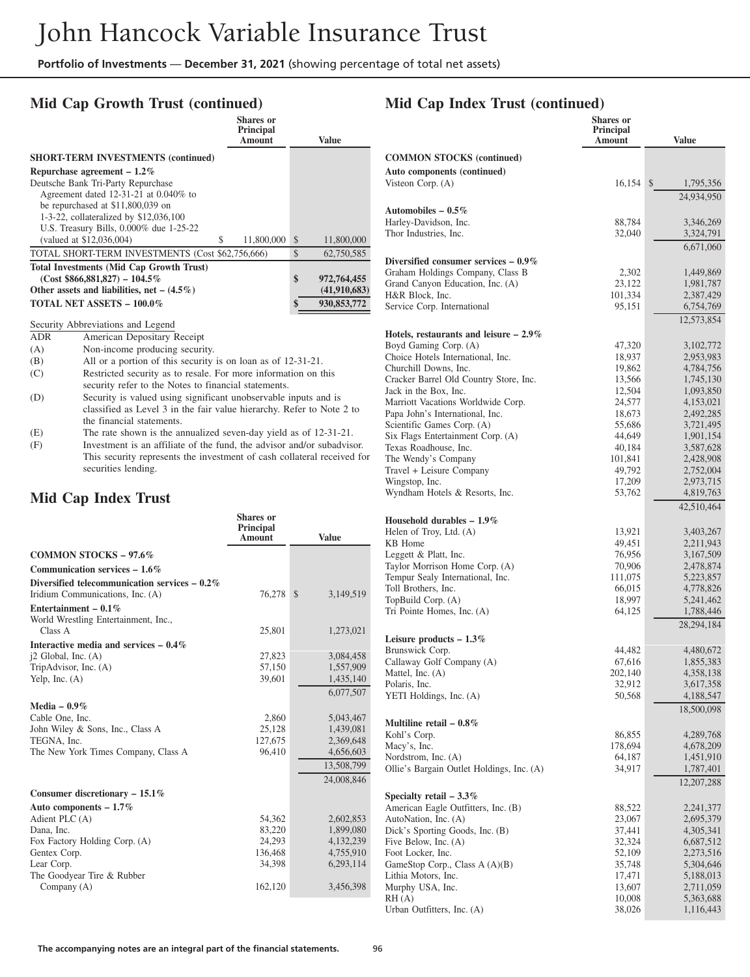# **Mid Cap Growth Trust (continued)**

|                                                  | Shares or<br>Principal<br>Amount |               | Value        |
|--------------------------------------------------|----------------------------------|---------------|--------------|
| <b>SHORT-TERM INVESTMENTS (continued)</b>        |                                  |               |              |
| Repurchase agreement $-1.2\%$                    |                                  |               |              |
| Deutsche Bank Tri-Party Repurchase               |                                  |               |              |
| Agreement dated 12-31-21 at 0.040% to            |                                  |               |              |
| be repurchased at \$11,800,039 on                |                                  |               |              |
| 1-3-22, collateralized by \$12,036,100           |                                  |               |              |
| U.S. Treasury Bills, 0.000% due 1-25-22          |                                  |               |              |
| (valued at \$12,036,004)<br>S                    | 11,800,000                       | <sup>\$</sup> | 11,800,000   |
| TOTAL SHORT-TERM INVESTMENTS (Cost \$62,756,666) |                                  | \$            | 62,750,585   |
| <b>Total Investments (Mid Cap Growth Trust)</b>  |                                  |               |              |
| $(Cost $866,881,827) - 104.5\%$                  |                                  | \$            | 972,764,455  |
| Other assets and liabilities, net $- (4.5\%)$    |                                  |               | (41,910,683) |
| TOTAL NET ASSETS - 100.0%                        |                                  | \$            | 930,853,772  |

# Security Abbreviations and Legend<br>ADR American Depositary R

American Depositary Receipt

- (A) Non-income producing security.
- (B) All or a portion of this security is on loan as of 12-31-21.
- (C) Restricted security as to resale. For more information on this security refer to the Notes to financial statements.
- (D) Security is valued using significant unobservable inputs and is classified as Level 3 in the fair value hierarchy. Refer to Note 2 to the financial statements.
- (E) The rate shown is the annualized seven-day yield as of 12-31-21.
- (F) Investment is an affiliate of the fund, the advisor and/or subadvisor. This security represents the investment of cash collateral received for securities lending.

### **Mid Cap Index Trust**

|                                                                 | <b>Shares</b> or<br>Principal<br>Amount | <b>Value</b>              |
|-----------------------------------------------------------------|-----------------------------------------|---------------------------|
| <b>COMMON STOCKS - 97.6%</b>                                    |                                         |                           |
| Communication services $-1.6\%$                                 |                                         |                           |
| Diversified telecommunication services $-0.2\%$                 |                                         |                           |
| Iridium Communications, Inc. (A)                                | 76,278                                  | $\mathbb{S}$<br>3,149,519 |
| Entertainment – $0.1\%$<br>World Wrestling Entertainment, Inc., |                                         |                           |
| Class A                                                         | 25,801                                  | 1,273,021                 |
| Interactive media and services $-0.4\%$                         |                                         |                           |
| $i2$ Global, Inc. $(A)$                                         | 27,823                                  | 3,084,458                 |
| TripAdvisor, Inc. (A)                                           | 57,150                                  | 1,557,909                 |
| Yelp, Inc. $(A)$                                                | 39,601                                  | 1,435,140                 |
|                                                                 |                                         | 6,077,507                 |
| Media $-0.9\%$                                                  |                                         |                           |
| Cable One, Inc.                                                 | 2,860                                   | 5,043,467                 |
| John Wiley & Sons, Inc., Class A                                | 25,128                                  | 1,439,081                 |
| TEGNA, Inc.                                                     | 127,675                                 | 2,369,648                 |
| The New York Times Company, Class A                             | 96,410                                  | 4,656,603                 |
|                                                                 |                                         | 13,508,799                |
|                                                                 |                                         | 24,008,846                |
| Consumer discretionary - 15.1%                                  |                                         |                           |
| Auto components $-1.7\%$                                        |                                         |                           |
| Adient PLC (A)                                                  | 54,362                                  | 2,602,853                 |
| Dana, Inc.                                                      | 83,220                                  | 1,899,080                 |
| Fox Factory Holding Corp. (A)                                   | 24,293                                  | 4,132,239                 |
| Gentex Corp.                                                    | 136,468                                 | 4,755,910                 |
| Lear Corp.                                                      | 34.398                                  | 6,293,114                 |
| The Goodyear Tire & Rubber                                      |                                         |                           |
| Company (A)                                                     | 162,120                                 | 3,456,398                 |

### **Mid Cap Index Trust (continued)**

|                                                                       | <b>Shares</b> or                  |                            |
|-----------------------------------------------------------------------|-----------------------------------|----------------------------|
|                                                                       | <b>Principal</b><br><b>Amount</b> | <b>Value</b>               |
|                                                                       |                                   |                            |
| <b>COMMON STOCKS</b> (continued)                                      |                                   |                            |
| <b>Auto components (continued)</b>                                    |                                   |                            |
| Visteon Corp. $(A)$                                                   | 16,154                            | $\mathcal{S}$<br>1,795,356 |
|                                                                       |                                   | 24,934,950                 |
| Automobiles – $0.5\%$                                                 |                                   |                            |
| Harley-Davidson, Inc.<br>Thor Industries, Inc.                        | 88,784<br>32,040                  | 3,346,269<br>3,324,791     |
|                                                                       |                                   | 6,671,060                  |
| Diversified consumer services $-0.9\%$                                |                                   |                            |
| Graham Holdings Company, Class B                                      | 2,302                             |                            |
| Grand Canyon Education, Inc. (A)                                      | 23,122                            | 1,449,869<br>1,981,787     |
| H&R Block, Inc.                                                       | 101,334                           | 2,387,429                  |
| Service Corp. International                                           | 95,151                            | 6,754,769                  |
|                                                                       |                                   | 12,573,854                 |
| Hotels, restaurants and leisure $-2.9\%$                              |                                   |                            |
| Boyd Gaming Corp. (A)                                                 | 47,320                            | 3,102,772                  |
| Choice Hotels International, Inc.                                     | 18,937                            | 2,953,983                  |
| Churchill Downs, Inc.                                                 | 19,862                            | 4,784,756                  |
| Cracker Barrel Old Country Store, Inc.                                | 13,566                            | 1,745,130                  |
| Jack in the Box, Inc.                                                 | 12,504                            | 1,093,850                  |
| Marriott Vacations Worldwide Corp.<br>Papa John's International, Inc. | 24,577<br>18,673                  | 4,153,021<br>2,492,285     |
| Scientific Games Corp. (A)                                            | 55,686                            | 3,721,495                  |
| Six Flags Entertainment Corp. (A)                                     | 44,649                            | 1,901,154                  |
| Texas Roadhouse, Inc.                                                 | 40,184                            | 3,587,628                  |
| The Wendy's Company                                                   | 101,841                           | 2,428,908                  |
| Travel + Leisure Company                                              | 49,792                            | 2,752,004                  |
| Wingstop, Inc.                                                        | 17,209                            | 2,973,715                  |
| Wyndham Hotels & Resorts, Inc.                                        | 53,762                            | 4,819,763                  |
|                                                                       |                                   | 42,510,464                 |
| Household durables $-1.9\%$                                           |                                   |                            |
| Helen of Troy, Ltd. (A)<br>KB Home                                    | 13,921<br>49,451                  | 3,403,267<br>2,211,943     |
| Leggett & Platt, Inc.                                                 | 76,956                            | 3,167,509                  |
| Taylor Morrison Home Corp. (A)                                        | 70,906                            | 2,478,874                  |
| Tempur Sealy International, Inc.                                      | 111,075                           | 5,223,857                  |
| Toll Brothers, Inc.                                                   | 66,015                            | 4,778,826                  |
| TopBuild Corp. (A)                                                    | 18,997                            | 5,241,462                  |
| Tri Pointe Homes, Inc. (A)                                            | 64,125                            | 1,788,446                  |
|                                                                       |                                   | 28,294,184                 |
| Leisure products $-1.3\%$                                             |                                   |                            |
| Brunswick Corp.                                                       | 44,482                            | 4,480,672                  |
| Callaway Golf Company (A)<br>Mattel, Inc. (A)                         | 67,616<br>202,140                 | 1,855,383<br>4,358,138     |
| Polaris, Inc.                                                         | 32,912                            | 3,617,358                  |
| YETI Holdings, Inc. (A)                                               | 50,568                            | 4,188,547                  |
|                                                                       |                                   | 18,500,098                 |
| Multiline retail $-0.8\%$                                             |                                   |                            |
| Kohl's Corp.                                                          | 86,855                            | 4,289,768                  |
| Macy's, Inc.                                                          | 178,694                           | 4,678,209                  |
| Nordstrom, Inc. (A)                                                   | 64,187                            | 1,451,910                  |
| Ollie's Bargain Outlet Holdings, Inc. (A)                             | 34,917                            | 1,787,401                  |
|                                                                       |                                   | 12,207,288                 |
| Specialty retail $-3.3\%$                                             |                                   |                            |
| American Eagle Outfitters, Inc. (B)                                   | 88,522                            | 2,241,377                  |
| AutoNation, Inc. (A)                                                  | 23,067                            | 2,695,379                  |
| Dick's Sporting Goods, Inc. (B)<br>Five Below, Inc. (A)               | 37,441<br>32,324                  | 4,305,341<br>6,687,512     |
| Foot Locker, Inc.                                                     | 52,109                            | 2,273,516                  |
| GameStop Corp., Class $A(A)(B)$                                       | 35,748                            | 5,304,646                  |
| Lithia Motors, Inc.                                                   | 17,471                            | 5,188,013                  |
| Murphy USA, Inc.                                                      | 13,607                            | 2,711,059                  |
| RH(A)                                                                 | 10,008                            | 5,363,688                  |
| Urban Outfitters, Inc. (A)                                            | 38,026                            | 1,116,443                  |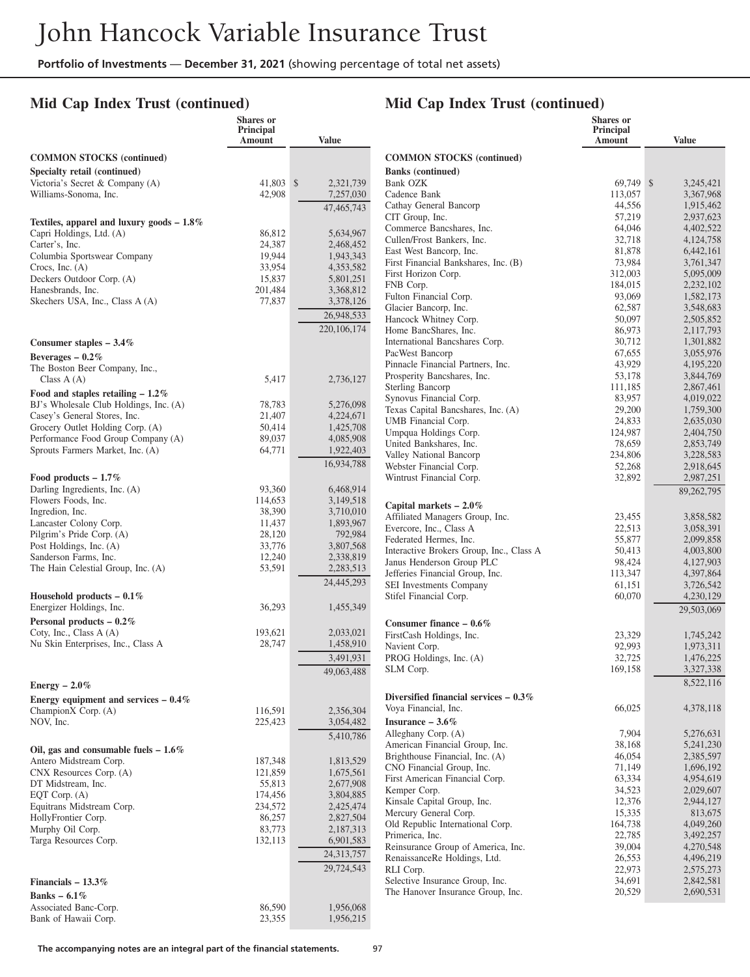### **Mid Cap Index Trust (continued)**

## **Mid Cap Index Trust (continued)**

|                                                                        | <b>Shares</b> or<br>Principal<br>Amount | <b>Value</b>           |                                                                       | <b>Shares</b> or<br>Principal<br>Amount | <b>Value</b>           |
|------------------------------------------------------------------------|-----------------------------------------|------------------------|-----------------------------------------------------------------------|-----------------------------------------|------------------------|
| <b>COMMON STOCKS</b> (continued)                                       |                                         |                        | <b>COMMON STOCKS</b> (continued)                                      |                                         |                        |
| Specialty retail (continued)                                           |                                         |                        | <b>Banks</b> (continued)                                              |                                         |                        |
| Victoria's Secret & Company (A)                                        | 41.803 \$                               | 2,321,739              | Bank OZK                                                              | 69,749 \$                               | 3,245,421              |
| Williams-Sonoma, Inc.                                                  | 42,908                                  | 7,257,030              | Cadence Bank                                                          | 113,057                                 | 3,367,968              |
|                                                                        |                                         | 47,465,743             | Cathay General Bancorp<br>CIT Group, Inc.                             | 44,556<br>57,219                        | 1,915,462<br>2,937,623 |
| Textiles, apparel and luxury goods $-1.8\%$                            |                                         |                        | Commerce Bancshares, Inc.                                             | 64,046                                  | 4,402,522              |
| Capri Holdings, Ltd. (A)<br>Carter's, Inc.                             | 86,812<br>24,387                        | 5,634,967<br>2,468,452 | Cullen/Frost Bankers, Inc.                                            | 32,718                                  | 4,124,758              |
| Columbia Sportswear Company                                            | 19,944                                  | 1,943,343              | East West Bancorp, Inc.                                               | 81,878                                  | 6,442,161              |
| Crocs, Inc. $(A)$                                                      | 33,954                                  | 4,353,582              | First Financial Bankshares, Inc. (B)<br>First Horizon Corp.           | 73,984<br>312,003                       | 3.761.347<br>5,095,009 |
| Deckers Outdoor Corp. (A)                                              | 15,837                                  | 5,801,251              | FNB Corp.                                                             | 184,015                                 | 2,232,102              |
| Hanesbrands, Inc.<br>Skechers USA, Inc., Class A (A)                   | 201,484<br>77,837                       | 3,368,812<br>3,378,126 | Fulton Financial Corp.                                                | 93,069                                  | 1,582,173              |
|                                                                        |                                         | 26,948,533             | Glacier Bancorp, Inc.                                                 | 62,587                                  | 3,548,683              |
|                                                                        |                                         | 220, 106, 174          | Hancock Whitney Corp.                                                 | 50,097                                  | 2,505,852              |
|                                                                        |                                         |                        | Home BancShares, Inc.<br>International Bancshares Corp.               | 86,973<br>30,712                        | 2,117,793<br>1,301,882 |
| Consumer staples $-3.4\%$<br>Beverages $-0.2\%$                        |                                         |                        | PacWest Bancorp                                                       | 67,655                                  | 3,055,976              |
| The Boston Beer Company, Inc.,                                         |                                         |                        | Pinnacle Financial Partners, Inc.                                     | 43,929                                  | 4,195,220              |
| Class $A(A)$                                                           | 5,417                                   | 2,736,127              | Prosperity Bancshares, Inc.                                           | 53,178                                  | 3,844,769              |
| Food and staples retailing $-1.2\%$                                    |                                         |                        | Sterling Bancorp<br>Synovus Financial Corp.                           | 111,185                                 | 2,867,461              |
| BJ's Wholesale Club Holdings, Inc. (A)                                 | 78,783                                  | 5,276,098              | Texas Capital Bancshares, Inc. (A)                                    | 83,957<br>29,200                        | 4,019,022<br>1,759,300 |
| Casey's General Stores, Inc.                                           | 21,407                                  | 4,224,671              | UMB Financial Corp.                                                   | 24,833                                  | 2,635,030              |
| Grocery Outlet Holding Corp. (A)<br>Performance Food Group Company (A) | 50,414<br>89,037                        | 1,425,708<br>4,085,908 | Umpqua Holdings Corp.                                                 | 124,987                                 | 2,404,750              |
| Sprouts Farmers Market, Inc. (A)                                       | 64,771                                  | 1,922,403              | United Bankshares, Inc.                                               | 78,659                                  | 2,853,749              |
|                                                                        |                                         | 16,934,788             | Valley National Bancorp<br>Webster Financial Corp.                    | 234,806<br>52,268                       | 3,228,583<br>2,918,645 |
| Food products $-1.7\%$                                                 |                                         |                        | Wintrust Financial Corp.                                              | 32,892                                  | 2,987,251              |
| Darling Ingredients, Inc. (A)                                          | 93,360                                  | 6,468,914              |                                                                       |                                         | 89,262,795             |
| Flowers Foods, Inc.                                                    | 114,653                                 | 3,149,518              | Capital markets $-2.0\%$                                              |                                         |                        |
| Ingredion, Inc.                                                        | 38,390                                  | 3,710,010              | Affiliated Managers Group, Inc.                                       | 23,455                                  | 3,858,582              |
| Lancaster Colony Corp.<br>Pilgrim's Pride Corp. (A)                    | 11,437<br>28,120                        | 1,893,967<br>792,984   | Evercore, Inc., Class A                                               | 22,513                                  | 3,058,391              |
| Post Holdings, Inc. (A)                                                | 33,776                                  | 3,807,568              | Federated Hermes, Inc.                                                | 55,877                                  | 2,099,858              |
| Sanderson Farms, Inc.                                                  | 12,240                                  | 2,338,819              | Interactive Brokers Group, Inc., Class A<br>Janus Henderson Group PLC | 50,413<br>98,424                        | 4,003,800<br>4,127,903 |
| The Hain Celestial Group, Inc. (A)                                     | 53,591                                  | 2,283,513              | Jefferies Financial Group, Inc.                                       | 113,347                                 | 4,397,864              |
|                                                                        |                                         | 24,445,293             | SEI Investments Company                                               | 61,151                                  | 3,726,542              |
| Household products $-0.1\%$                                            |                                         |                        | Stifel Financial Corp.                                                | 60,070                                  | 4,230,129              |
| Energizer Holdings, Inc.                                               | 36,293                                  | 1,455,349              |                                                                       |                                         | 29,503,069             |
| Personal products $-0.2\%$<br>Coty, Inc., Class A (A)                  | 193,621                                 | 2,033,021              | Consumer finance $-0.6\%$                                             |                                         |                        |
| Nu Skin Enterprises, Inc., Class A                                     | 28,747                                  | 1,458,910              | FirstCash Holdings, Inc.<br>Navient Corp.                             | 23,329<br>92,993                        | 1,745,242<br>1,973,311 |
|                                                                        |                                         | 3,491,931              | PROG Holdings, Inc. (A)                                               | 32,725                                  | 1,476,225              |
|                                                                        |                                         | 49,063,488             | SLM Corp.                                                             | 169,158                                 | 3,327,338              |
| Energy $-2.0\%$                                                        |                                         |                        |                                                                       |                                         | 8,522,116              |
| Energy equipment and services $-0.4\%$                                 |                                         |                        | Diversified financial services $-0.3\%$                               |                                         |                        |
| ChampionX Corp. (A)                                                    | 116,591                                 | 2,356,304              | Voya Financial, Inc.                                                  | 66,025                                  | 4,378,118              |
| NOV, Inc.                                                              | 225,423                                 | 3,054,482              | Insurance $-3.6\%$                                                    |                                         |                        |
|                                                                        |                                         | 5,410,786              | Alleghany Corp. (A)<br>American Financial Group, Inc.                 | 7,904<br>38,168                         | 5,276,631<br>5,241,230 |
| Oil, gas and consumable fuels $-1.6\%$                                 |                                         |                        | Brighthouse Financial, Inc. (A)                                       | 46,054                                  | 2,385,597              |
| Antero Midstream Corp.<br>CNX Resources Corp. (A)                      | 187,348<br>121,859                      | 1,813,529<br>1,675,561 | CNO Financial Group, Inc.                                             | 71,149                                  | 1,696,192              |
| DT Midstream, Inc.                                                     | 55,813                                  | 2,677,908              | First American Financial Corp.                                        | 63,334                                  | 4,954,619              |
| EQT Corp. (A)                                                          | 174,456                                 | 3,804,885              | Kemper Corp.                                                          | 34,523                                  | 2,029,607              |
| Equitrans Midstream Corp.                                              | 234,572                                 | 2,425,474              | Kinsale Capital Group, Inc.<br>Mercury General Corp.                  | 12,376<br>15,335                        | 2,944,127<br>813,675   |
| HollyFrontier Corp.                                                    | 86,257                                  | 2,827,504              | Old Republic International Corp.                                      | 164,738                                 | 4,049,260              |
| Murphy Oil Corp.<br>Targa Resources Corp.                              | 83,773<br>132,113                       | 2,187,313<br>6,901,583 | Primerica, Inc.                                                       | 22,785                                  | 3,492,257              |
|                                                                        |                                         | 24,313,757             | Reinsurance Group of America, Inc.                                    | 39,004                                  | 4,270,548              |
|                                                                        |                                         | 29,724,543             | RenaissanceRe Holdings, Ltd.<br>RLI Corp.                             | 26,553<br>22,973                        | 4,496,219<br>2,575,273 |
| Financials $-13.3\%$                                                   |                                         |                        | Selective Insurance Group, Inc.                                       | 34,691                                  | 2,842,581              |
| Banks $-6.1\%$                                                         |                                         |                        | The Hanover Insurance Group, Inc.                                     | 20,529                                  | 2,690,531              |
| Associated Banc-Corp.                                                  | 86,590                                  | 1,956,068              |                                                                       |                                         |                        |
| Bank of Hawaii Corp.                                                   | 23,355                                  | 1,956,215              |                                                                       |                                         |                        |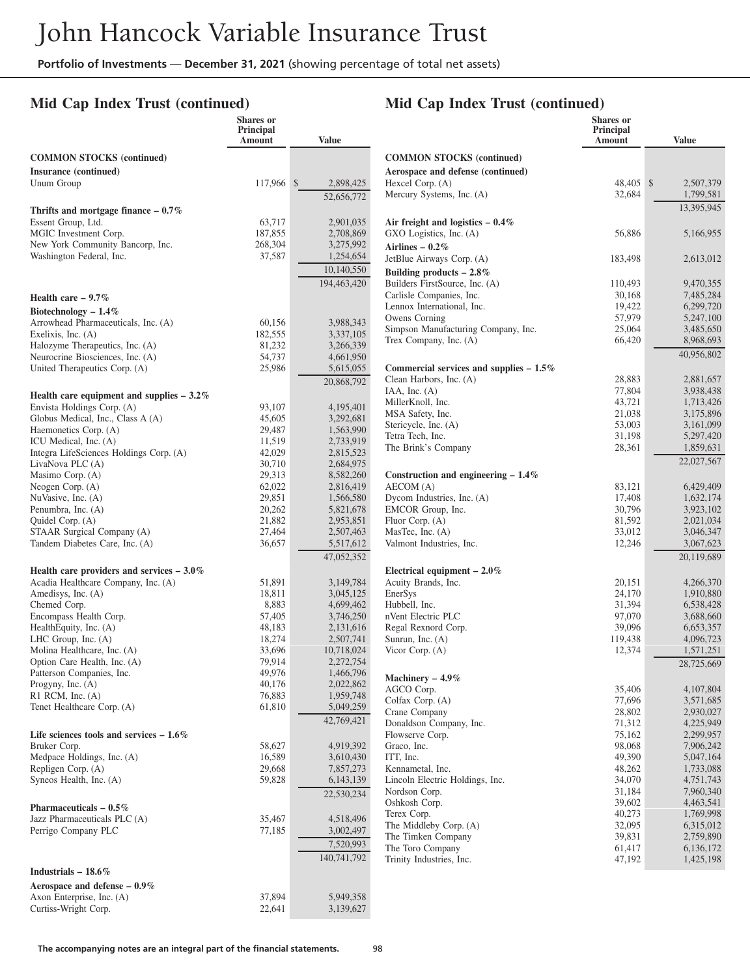### **Mid Cap Index Trust (continued)**

### **Mid Cap Index Trust (continued)**

|                                                                 | Shares or<br>Principal<br>Amount | <b>Value</b>           |                                           | Shares or<br>Principal<br>Amount | <b>Value</b> |
|-----------------------------------------------------------------|----------------------------------|------------------------|-------------------------------------------|----------------------------------|--------------|
| <b>COMMON STOCKS (continued)</b>                                |                                  |                        | <b>COMMON STOCKS (continued)</b>          |                                  |              |
| Insurance (continued)                                           |                                  |                        | Aerospace and defense (continued)         |                                  |              |
| Unum Group                                                      | 117,966 \$                       | 2,898,425              | Hexcel Corp. (A)                          | 48,405 \$                        | 2,507,379    |
|                                                                 |                                  | 52,656,772             | Mercury Systems, Inc. (A)                 | 32,684                           | 1,799,581    |
| Thrifts and mortgage finance $-0.7\%$                           |                                  |                        |                                           |                                  | 13,395,945   |
| Essent Group, Ltd.                                              | 63,717                           | 2,901,035              | Air freight and logistics $-0.4\%$        |                                  |              |
| MGIC Investment Corp.                                           | 187,855                          | 2,708,869              | GXO Logistics, Inc. (A)                   | 56,886                           | 5,166,955    |
| New York Community Bancorp, Inc.                                | 268,304                          | 3,275,992              | Airlines - $0.2\%$                        |                                  |              |
| Washington Federal, Inc.                                        | 37,587                           | 1,254,654              |                                           |                                  |              |
|                                                                 |                                  |                        | JetBlue Airways Corp. (A)                 | 183,498                          | 2,613,012    |
|                                                                 |                                  | 10,140,550             | Building products $-2.8\%$                |                                  |              |
|                                                                 |                                  | 194,463,420            | Builders FirstSource, Inc. (A)            | 110,493                          | 9,470,355    |
| Health care $-9.7\%$                                            |                                  |                        | Carlisle Companies, Inc.                  | 30,168                           | 7,485,284    |
| Biotechnology $-1.4\%$                                          |                                  |                        | Lennox International, Inc.                | 19,422                           | 6,299,720    |
| Arrowhead Pharmaceuticals, Inc. (A)                             | 60,156                           | 3,988,343              | Owens Corning                             | 57,979                           | 5,247,100    |
| Exelixis, Inc. (A)                                              | 182,555                          | 3,337,105              | Simpson Manufacturing Company, Inc.       | 25,064                           | 3,485,650    |
| Halozyme Therapeutics, Inc. (A)                                 | 81,232                           | 3,266,339              | Trex Company, Inc. (A)                    | 66,420                           | 8,968,693    |
| Neurocrine Biosciences, Inc. (A)                                | 54,737                           | 4,661,950              |                                           |                                  | 40,956,802   |
| United Therapeutics Corp. (A)                                   | 25,986                           | 5,615,055              | Commercial services and supplies $-1.5\%$ |                                  |              |
|                                                                 |                                  | 20,868,792             | Clean Harbors, Inc. (A)                   | 28,883                           | 2,881,657    |
|                                                                 |                                  |                        | IAA, Inc. $(A)$                           | 77,804                           | 3,938,438    |
| Health care equipment and supplies $-3.2\%$                     | 93,107                           | 4,195,401              | MillerKnoll, Inc.                         | 43,721                           | 1,713,426    |
| Envista Holdings Corp. (A)<br>Globus Medical, Inc., Class A (A) |                                  | 3,292,681              | MSA Safety, Inc.                          | 21,038                           | 3,175,896    |
|                                                                 | 45,605                           |                        | Stericycle, Inc. (A)                      | 53,003                           | 3,161,099    |
| Haemonetics Corp. (A)                                           | 29,487                           | 1,563,990              | Tetra Tech, Inc.                          | 31,198                           | 5,297,420    |
| ICU Medical, Inc. (A)                                           | 11,519<br>42,029                 | 2,733,919              | The Brink's Company                       | 28,361                           | 1,859,631    |
| Integra LifeSciences Holdings Corp. (A)                         | 30,710                           | 2,815,523              |                                           |                                  | 22,027,567   |
| LivaNova PLC (A)<br>Masimo Corp. (A)                            | 29,313                           | 2,684,975<br>8,582,260 | Construction and engineering $-1.4\%$     |                                  |              |
| Neogen Corp. (A)                                                | 62,022                           | 2,816,419              | AECOM (A)                                 | 83,121                           | 6,429,409    |
| NuVasive, Inc. (A)                                              | 29,851                           | 1,566,580              | Dycom Industries, Inc. (A)                | 17,408                           | 1,632,174    |
| Penumbra, Inc. (A)                                              | 20,262                           | 5,821,678              | EMCOR Group, Inc.                         | 30,796                           | 3,923,102    |
| Quidel Corp. (A)                                                | 21,882                           | 2,953,851              | Fluor Corp. (A)                           | 81,592                           | 2,021,034    |
| STAAR Surgical Company (A)                                      | 27,464                           | 2,507,463              | MasTec, Inc. (A)                          | 33,012                           | 3,046,347    |
| Tandem Diabetes Care, Inc. (A)                                  | 36,657                           | 5,517,612              | Valmont Industries, Inc.                  | 12,246                           | 3,067,623    |
|                                                                 |                                  |                        |                                           |                                  |              |
|                                                                 |                                  | 47,052,352             |                                           |                                  | 20,119,689   |
| Health care providers and services $-3.0\%$                     |                                  |                        | Electrical equipment $-2.0\%$             |                                  |              |
| Acadia Healthcare Company, Inc. (A)                             | 51,891                           | 3,149,784              | Acuity Brands, Inc.                       | 20,151                           | 4,266,370    |
| Amedisys, Inc. (A)                                              | 18,811                           | 3,045,125              | EnerSys                                   | 24,170                           | 1,910,880    |
| Chemed Corp.                                                    | 8,883                            | 4,699,462              | Hubbell, Inc.                             | 31,394                           | 6,538,428    |
| Encompass Health Corp.                                          | 57,405                           | 3,746,250              | nVent Electric PLC                        | 97,070                           | 3,688,660    |
| HealthEquity, Inc. (A)                                          | 48,183                           | 2,131,616              | Regal Rexnord Corp.                       | 39,096                           | 6,653,357    |
| LHC Group, Inc. (A)                                             | 18,274                           | 2,507,741              | Sunrun, Inc. (A)                          | 119,438                          | 4,096,723    |
| Molina Healthcare, Inc. (A)                                     | 33,696                           | 10,718,024             | Vicor Corp. (A)                           | 12,374                           | 1,571,251    |
| Option Care Health, Inc. (A)                                    | 79,914                           | 2,272,754              |                                           |                                  | 28,725,669   |
| Patterson Companies, Inc.                                       | 49,976                           | 1,466,796              | Machinery - 4.9%                          |                                  |              |
| Progyny, Inc. (A)                                               | 40,176                           | 2,022,862              | AGCO Corp.                                | 35,406                           | 4,107,804    |
| $R1$ RCM, Inc. $(A)$                                            | 76,883                           | 1,959,748              | Colfax Corp. (A)                          | 77,696                           | 3,571,685    |
| Tenet Healthcare Corp. (A)                                      | 61,810                           | 5,049,259              | Crane Company                             | 28,802                           | 2,930,027    |
|                                                                 |                                  | 42,769,421             | Donaldson Company, Inc.                   | 71,312                           | 4,225,949    |
| Life sciences tools and services $-1.6\%$                       |                                  |                        | Flowserve Corp.                           | 75,162                           | 2,299,957    |
| Bruker Corp.                                                    | 58,627                           | 4,919,392              | Graco, Inc.                               | 98,068                           | 7,906,242    |
| Medpace Holdings, Inc. (A)                                      | 16,589                           | 3,610,430              | ITT, Inc.                                 | 49,390                           | 5,047,164    |
| Repligen Corp. (A)                                              | 29,668                           | 7,857,273              | Kennametal, Inc.                          | 48,262                           | 1,733,088    |
| Syneos Health, Inc. (A)                                         | 59,828                           | 6,143,139              | Lincoln Electric Holdings, Inc.           | 34,070                           | 4,751,743    |
|                                                                 |                                  | 22,530,234             | Nordson Corp.                             | 31,184                           | 7,960,340    |
|                                                                 |                                  |                        | Oshkosh Corp.                             | 39,602                           | 4,463,541    |
| Pharmaceuticals $-0.5\%$                                        |                                  |                        | Terex Corp.                               | 40,273                           | 1,769,998    |
| Jazz Pharmaceuticals PLC (A)                                    | 35,467                           | 4,518,496              | The Middleby Corp. (A)                    | 32,095                           | 6,315,012    |
| Perrigo Company PLC                                             | 77,185                           | 3,002,497              | The Timken Company                        | 39,831                           | 2,759,890    |
|                                                                 |                                  | 7,520,993              | The Toro Company                          | 61,417                           | 6,136,172    |
|                                                                 |                                  | 140,741,792            | Trinity Industries, Inc.                  | 47,192                           | 1,425,198    |
| Industrials $-18.6\%$                                           |                                  |                        |                                           |                                  |              |
| Aerospace and defense $-0.9\%$                                  |                                  |                        |                                           |                                  |              |
| Axon Enterprise, Inc. (A)                                       | 37,894                           | 5,949,358              |                                           |                                  |              |
| Curtiss-Wright Corp.                                            | 22,641                           | 3,139,627              |                                           |                                  |              |
|                                                                 |                                  |                        |                                           |                                  |              |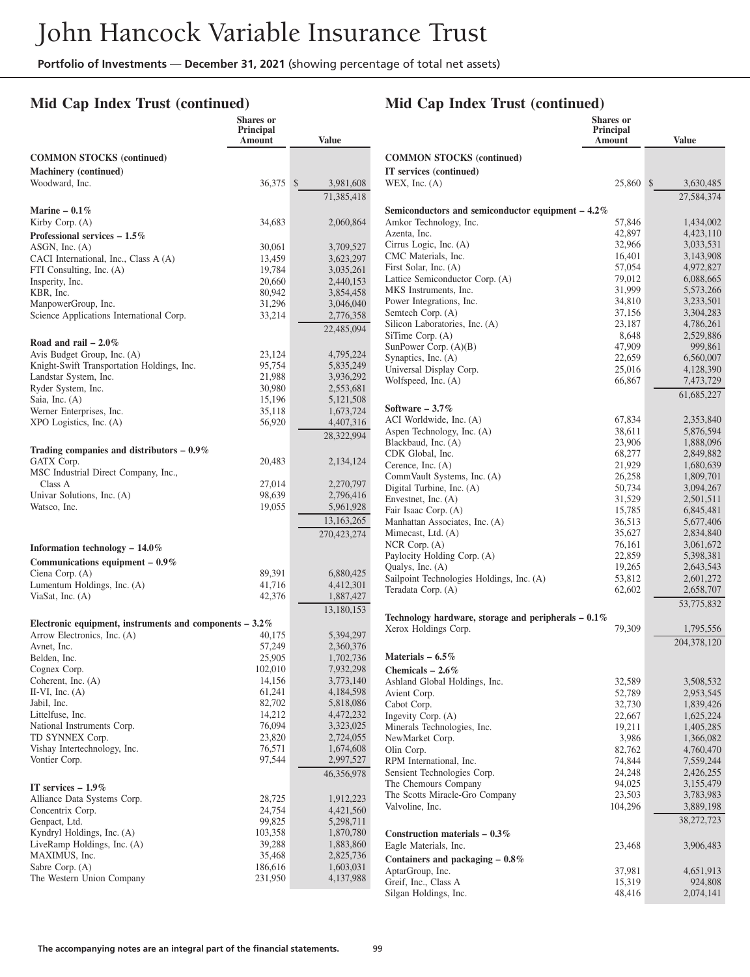### **Mid Cap Index Trust (continued)**

### **Mid Cap Index Trust (continued)**

**Shares or**

|                                                           | <b>Shares</b> or<br><b>Principal</b><br>Amount | <b>Value</b>              |                                     |
|-----------------------------------------------------------|------------------------------------------------|---------------------------|-------------------------------------|
| <b>COMMON STOCKS</b> (continued)                          |                                                |                           | <b>COMMON S'</b>                    |
| <b>Machinery</b> (continued)                              |                                                |                           | IT services (compared)              |
| Woodward, Inc.                                            | 36,375                                         | $\mathbb{S}$<br>3,981,608 | WEX, Inc. $(A)$                     |
|                                                           |                                                | 71,385,418                |                                     |
| Marine $-0.1\%$                                           |                                                |                           | Semiconducto                        |
| Kirby Corp. $(A)$<br>Professional services $-1.5\%$       | 34,683                                         | 2,060,864                 | Amkor Techno<br>Azenta, Inc.        |
| $ASGN$ , Inc. $(A)$                                       | 30,061                                         | 3,709,527                 | Cirrus Logic, l                     |
| CACI International, Inc., Class A (A)                     | 13,459                                         | 3,623,297                 | <b>CMC</b> Material                 |
| FTI Consulting, Inc. (A)                                  | 19,784                                         | 3,035,261                 | First Solar, Inc.<br>Lattice Semico |
| Insperity, Inc.<br>KBR, Inc.                              | 20,660                                         | 2,440,153                 | <b>MKS</b> Instrume                 |
| ManpowerGroup, Inc.                                       | 80,942<br>31,296                               | 3,854,458<br>3,046,040    | Power Integrat                      |
| Science Applications International Corp.                  | 33,214                                         | 2,776,358                 | Semtech Corp.                       |
|                                                           |                                                | 22,485,094                | Silicon Labora                      |
| Road and rail $-2.0\%$                                    |                                                |                           | SiTime Corp.<br>SunPower Cor        |
| Avis Budget Group, Inc. (A)                               | 23,124                                         | 4,795,224                 | Synaptics, Inc.                     |
| Knight-Swift Transportation Holdings, Inc.                | 95,754                                         | 5,835,249                 | Universal Disp                      |
| Landstar System, Inc.<br>Ryder System, Inc.               | 21,988<br>30,980                               | 3,936,292<br>2,553,681    | Wolfspeed, Inc                      |
| Saia, Inc. (A)                                            | 15,196                                         | 5,121,508                 |                                     |
| Werner Enterprises, Inc.                                  | 35,118                                         | 1,673,724                 | Software - 3.7                      |
| XPO Logistics, Inc. (A)                                   | 56,920                                         | 4,407,316                 | <b>ACI</b> Worldwid                 |
|                                                           |                                                | 28,322,994                | Aspen Technol<br>Blackbaud, Inc     |
| Trading companies and distributors $-0.9\%$               |                                                |                           | CDK Global, I                       |
| GATX Corp.<br>MSC Industrial Direct Company, Inc.,        | 20,483                                         | 2,134,124                 | Cerence, Inc. (                     |
| Class A                                                   | 27,014                                         | 2,270,797                 | CommVault Sy                        |
| Univar Solutions, Inc. (A)                                | 98,639                                         | 2,796,416                 | Digital Turbine<br>Envestnet, Inc.  |
| Watsco, Inc.                                              | 19,055                                         | 5,961,928                 | Fair Isaac Cor                      |
|                                                           |                                                | 13, 163, 265              | Manhattan Ass                       |
|                                                           |                                                | 270,423,274               | Mimecast, Ltd                       |
| Information technology $-14.0\%$                          |                                                |                           | NCR Corp. (A<br>Paylocity Hold      |
| Communications equipment $-0.9\%$                         |                                                |                           | Qualys, Inc. (A                     |
| Ciena Corp. (A)<br>Lumentum Holdings, Inc. (A)            | 89,391<br>41,716                               | 6,880,425<br>4,412,301    | Sailpoint Tech                      |
| ViaSat, Inc. (A)                                          | 42,376                                         | 1,887,427                 | Teradata Corp.                      |
|                                                           |                                                | 13,180,153                |                                     |
| Electronic equipment, instruments and components $-3.2\%$ |                                                |                           | <b>Technology</b> ha                |
| Arrow Electronics, Inc. (A)                               | 40,175                                         | 5,394,297                 | Xerox Holding                       |
| Avnet, Inc.                                               | 57,249                                         | 2,360,376                 | Materials – 6.                      |
| Belden, Inc.<br>Cognex Corp.                              | 25,905<br>102,010                              | 1,702,736<br>7,932,298    | Chemicals - 2                       |
| Coherent, Inc. (A)                                        | 14,156                                         | 3,773,140                 | Ashland Globa                       |
| II-VI, Inc. $(A)$                                         | 61,241                                         | 4,184,598                 | Avient Corp.                        |
| Jabil, Inc.                                               | 82,702                                         | 5,818,086                 | Cabot Corp.                         |
| Littelfuse, Inc.<br>National Instruments Corp.            | 14,212<br>76,094                               | 4,472,232<br>3,323,025    | Ingevity Corp.<br>Minerals Tech     |
| TD SYNNEX Corp.                                           | 23,820                                         | 2,724,055                 | NewMarket Co                        |
| Vishay Intertechnology, Inc.                              | 76,571                                         | 1,674,608                 | Olin Corp.                          |
| Vontier Corp.                                             | 97,544                                         | 2,997,527                 | RPM Internatio                      |
|                                                           |                                                | 46,356,978                | Sensient Techn                      |
| IT services $-1.9\%$                                      |                                                |                           | The Chemours<br>The Scotts Mir      |
| Alliance Data Systems Corp.                               | 28,725<br>24,754                               | 1,912,223                 | Valvoline, Inc.                     |
| Concentrix Corp.<br>Genpact, Ltd.                         | 99,825                                         | 4,421,560<br>5,298,711    |                                     |
| Kyndryl Holdings, Inc. (A)                                | 103,358                                        | 1,870,780                 | <b>Construction</b>                 |
| LiveRamp Holdings, Inc. (A)                               | 39,288                                         | 1,883,860                 | Eagle Material                      |
| MAXIMUS, Inc.                                             | 35,468                                         | 2,825,736                 | <b>Containers</b> an                |
| Sabre Corp. (A)<br>The Western Union Company              | 186,616<br>231,950                             | 1,603,031<br>4,137,988    | AptarGroup, In                      |
|                                                           |                                                |                           | Greif, Inc., Cla                    |

|                                                       | Principal<br>Amount | <b>Value</b>           |
|-------------------------------------------------------|---------------------|------------------------|
| <b>COMMON STOCKS</b> (continued)                      |                     |                        |
| IT services (continued)<br>WEX, Inc. $(A)$            | 25,860              | $\int$<br>3,630,485    |
|                                                       |                     | 27,584,374             |
| Semiconductors and semiconductor equipment - 4.2%     |                     |                        |
| Amkor Technology, Inc.                                | 57,846              | 1,434,002              |
| Azenta, Inc.                                          | 42,897              | 4,423,110              |
| Cirrus Logic, Inc. (A)                                | 32,966              | 3,033,531              |
| CMC Materials, Inc.                                   | 16,401              | 3,143,908              |
| First Solar, Inc. (A)                                 | 57,054              | 4,972,827              |
| Lattice Semiconductor Corp. (A)                       | 79,012              | 6,088,665              |
| MKS Instruments, Inc.                                 | 31,999              | 5,573,266              |
| Power Integrations, Inc.                              | 34,810              | 3,233,501              |
| Semtech Corp. (A)                                     | 37,156              | 3,304,283              |
| Silicon Laboratories, Inc. (A)                        | 23,187              | 4,786,261              |
| SiTime Corp. (A)                                      | 8,648               | 2,529,886              |
| SunPower Corp. $(A)(B)$                               | 47,909              | 999,861                |
| Synaptics, Inc. (A)<br>Universal Display Corp.        | 22,659              | 6,560,007              |
| Wolfspeed, Inc. (A)                                   | 25,016<br>66,867    | 4,128,390<br>7,473,729 |
|                                                       |                     |                        |
| Software – $3.7\%$                                    |                     | 61, 685, 227           |
| ACI Worldwide, Inc. (A)                               | 67,834              | 2,353,840              |
| Aspen Technology, Inc. (A)                            | 38,611              | 5,876,594              |
| Blackbaud, Inc. (A)                                   | 23,906              | 1,888,096              |
| CDK Global, Inc.                                      | 68,277              | 2,849,882              |
| Cerence, Inc. $(A)$                                   | 21,929              | 1,680,639              |
| CommVault Systems, Inc. (A)                           | 26,258              | 1,809,701              |
| Digital Turbine, Inc. (A)                             | 50,734              | 3,094,267              |
| Envestnet, Inc. $(A)$                                 | 31,529              | 2,501,511              |
| Fair Isaac Corp. (A)                                  | 15,785              | 6,845,481              |
| Manhattan Associates, Inc. (A)                        | 36,513              | 5,677,406              |
| Mimecast, Ltd. (A)                                    | 35,627              | 2,834,840              |
| $NCR$ Corp. $(A)$<br>Paylocity Holding Corp. (A)      | 76,161<br>22,859    | 3,061,672<br>5,398,381 |
| Qualys, Inc. (A)                                      | 19,265              | 2,643,543              |
| Sailpoint Technologies Holdings, Inc. (A)             | 53,812              | 2,601,272              |
| Teradata Corp. (A)                                    | 62,602              | 2,658,707              |
|                                                       |                     | 53,775,832             |
| Technology hardware, storage and peripherals $-0.1\%$ |                     |                        |
| Xerox Holdings Corp.                                  | 79,309              | 1,795,556              |
| Materials $-6.5\%$                                    |                     | 204,378,120            |
| Chemicals $-2.6\%$                                    |                     |                        |
| Ashland Global Holdings, Inc.                         | 32,589              | 3,508,532              |
| Avient Corp.                                          | 52,789              | 2,953,545              |
| Cabot Corp.                                           | 32,730              | 1,839,426              |
| Ingevity Corp. (A)                                    | 22,667              | 1,625,224              |
| Minerals Technologies, Inc.                           | 19,211              | 1,405,285              |
| NewMarket Corp.                                       | 3,986               | 1,366,082              |
| Olin Corp.                                            | 82,762              | 4,760,470              |
| RPM International, Inc.                               | 74,844              | 7,559,244              |
| Sensient Technologies Corp.                           | 24,248              | 2,426,255              |
| The Chemours Company                                  | 94,025<br>23,503    | 3,155,479              |
| The Scotts Miracle-Gro Company<br>Valvoline, Inc.     | 104,296             | 3,783,983<br>3,889,198 |
|                                                       |                     | 38,272,723             |
| Construction materials $-0.3\%$                       |                     |                        |
| Eagle Materials, Inc.                                 | 23,468              | 3,906,483              |
| Containers and packaging - 0.8%                       |                     |                        |
| AptarGroup, Inc.                                      | 37,981              | 4,651,913              |
| Greif, Inc., Class A                                  | 15,319              | 924,808                |
| Silgan Holdings, Inc.                                 | 48,416              | 2,074,141              |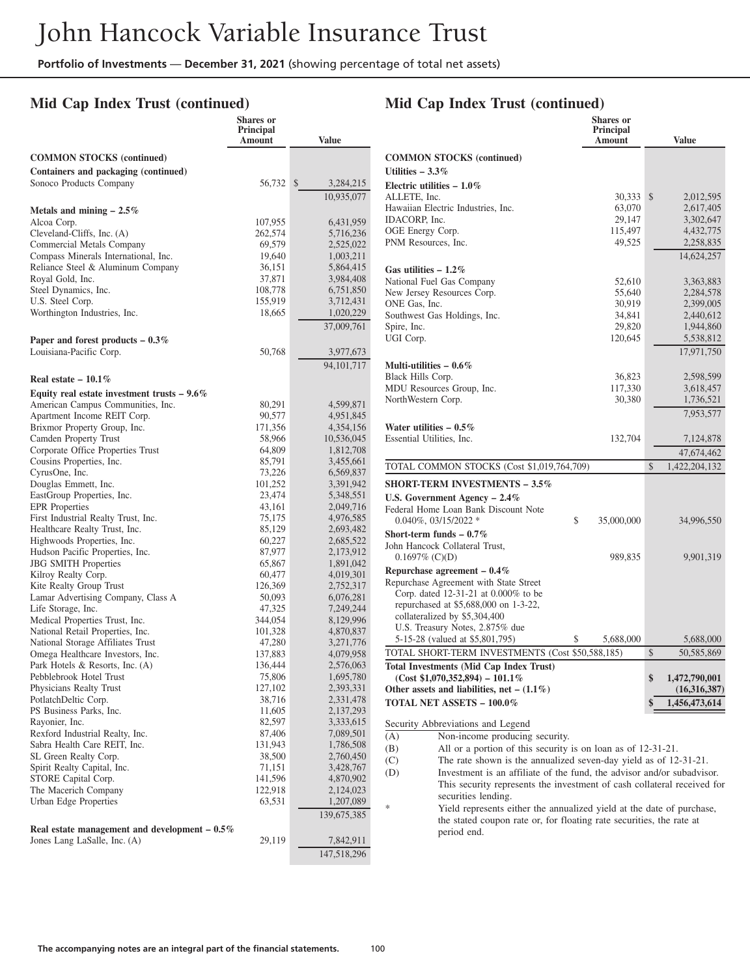### **Mid Cap Index Trust (continued)**

|                                                                    | <b>Shares</b> or<br><b>Principal</b><br>Amount | <b>Value</b>            |
|--------------------------------------------------------------------|------------------------------------------------|-------------------------|
| <b>COMMON STOCKS</b> (continued)                                   |                                                |                         |
| Containers and packaging (continued)                               |                                                |                         |
| Sonoco Products Company                                            | 56,732                                         | \$<br>3,284,215         |
|                                                                    |                                                | 10,935,077              |
| Metals and mining $-2.5\%$                                         |                                                |                         |
| Alcoa Corp.                                                        | 107,955                                        | 6,431,959               |
| Cleveland-Cliffs, Inc. (A)                                         | 262,574                                        | 5,716,236               |
| Commercial Metals Company<br>Compass Minerals International, Inc.  | 69,579<br>19,640                               | 2,525,022<br>1,003,211  |
| Reliance Steel & Aluminum Company                                  | 36,151                                         | 5,864,415               |
| Royal Gold, Inc.                                                   | 37,871                                         | 3,984,408               |
| Steel Dynamics, Inc.                                               | 108,778                                        | 6,751,850               |
| U.S. Steel Corp.                                                   | 155,919                                        | 3,712,431               |
| Worthington Industries, Inc.                                       | 18,665                                         | 1,020,229               |
|                                                                    |                                                | 37,009,761              |
| Paper and forest products $-0.3\%$                                 |                                                |                         |
| Louisiana-Pacific Corp.                                            | 50,768                                         | 3,977,673               |
|                                                                    |                                                | 94, 101, 717            |
| Real estate $-10.1\%$                                              |                                                |                         |
| Equity real estate investment trusts $-9.6\%$                      |                                                |                         |
| American Campus Communities, Inc.                                  | 80,291                                         | 4,599,871               |
| Apartment Income REIT Corp.<br>Brixmor Property Group, Inc.        | 90,577                                         | 4,951,845               |
| Camden Property Trust                                              | 171,356<br>58,966                              | 4,354,156<br>10,536,045 |
| Corporate Office Properties Trust                                  | 64,809                                         | 1,812,708               |
| Cousins Properties, Inc.                                           | 85,791                                         | 3,455,661               |
| CyrusOne, Inc.                                                     | 73,226                                         | 6,569,837               |
| Douglas Emmett, Inc.                                               | 101,252                                        | 3,391,942               |
| EastGroup Properties, Inc.                                         | 23,474                                         | 5,348,551               |
| <b>EPR</b> Properties                                              | 43,161                                         | 2,049,716               |
| First Industrial Realty Trust, Inc.                                | 75,175                                         | 4,976,585               |
| Healthcare Realty Trust, Inc.<br>Highwoods Properties, Inc.        | 85,129<br>60,227                               | 2,693,482<br>2,685,522  |
| Hudson Pacific Properties, Inc.                                    | 87,977                                         | 2,173,912               |
| <b>JBG SMITH Properties</b>                                        | 65,867                                         | 1,891,042               |
| Kilroy Realty Corp.                                                | 60,477                                         | 4,019,301               |
| Kite Realty Group Trust                                            | 126,369                                        | 2,752,317               |
| Lamar Advertising Company, Class A                                 | 50,093                                         | 6,076,281               |
| Life Storage, Inc.                                                 | 47,325                                         | 7,249,244               |
| Medical Properties Trust, Inc.<br>National Retail Properties, Inc. | 344,054<br>101,328                             | 8,129,996<br>4,870,837  |
| National Storage Affiliates Trust                                  | 47,280                                         | 3,271,776               |
| Omega Healthcare Investors, Inc.                                   | 137,883                                        | 4,079,958               |
| Park Hotels & Resorts, Inc. (A)                                    | 136,444                                        | 2,576,063               |
| Pebblebrook Hotel Trust                                            | 75,806                                         | 1,695,780               |
| Physicians Realty Trust                                            | 127,102                                        | 2,393,331               |
| PotlatchDeltic Corp.                                               | 38,716                                         | 2,331,478               |
| PS Business Parks, Inc.<br>Rayonier, Inc.                          | 11,605<br>82,597                               | 2,137,293<br>3,333,615  |
| Rexford Industrial Realty, Inc.                                    | 87,406                                         | 7,089,501               |
| Sabra Health Care REIT, Inc.                                       | 131,943                                        | 1,786,508               |
| SL Green Realty Corp.                                              | 38,500                                         | 2,760,450               |
| Spirit Realty Capital, Inc.                                        | 71,151                                         | 3,428,767               |
| STORE Capital Corp.                                                | 141,596                                        | 4,870,902               |
| The Macerich Company                                               | 122,918                                        | 2,124,023               |
| Urban Edge Properties                                              | 63,531                                         | 1,207,089               |
| Real estate management and development $-0.5\%$                    |                                                | 139,675,385             |
| Jones Lang LaSalle, Inc. (A)                                       | 29,119                                         | 7,842,911               |
|                                                                    |                                                | 147,518,296             |

# **Mid Cap Index Trust (continued)**

|                                                  | <b>Shares or</b><br><b>Principal</b><br>Amount | <b>Value</b>        |
|--------------------------------------------------|------------------------------------------------|---------------------|
| <b>COMMON STOCKS</b> (continued)                 |                                                |                     |
| Utilities $-3.3\%$                               |                                                |                     |
| Electric utilities $-1.0\%$                      |                                                |                     |
| ALLETE, Inc.                                     | 30,333                                         | \$<br>2,012,595     |
| Hawaiian Electric Industries, Inc.               | 63,070                                         | 2,617,405           |
| <b>IDACORP.</b> Inc.                             | 29,147                                         | 3,302,647           |
| OGE Energy Corp.                                 | 115,497                                        | 4,432,775           |
| PNM Resources, Inc.                              | 49,525                                         | 2,258,835           |
|                                                  |                                                | 14,624,257          |
| Gas utilities $-1.2\%$                           |                                                |                     |
| National Fuel Gas Company                        | 52,610                                         | 3,363,883           |
| New Jersey Resources Corp.                       | 55,640                                         | 2,284,578           |
| ONE Gas, Inc.                                    | 30,919                                         | 2,399,005           |
| Southwest Gas Holdings, Inc.                     | 34,841                                         | 2,440,612           |
| Spire, Inc.                                      | 29,820                                         | 1,944,860           |
| UGI Corp.                                        | 120,645                                        | 5,538,812           |
|                                                  |                                                | 17,971,750          |
| Multi-utilities – $0.6\%$                        |                                                |                     |
| Black Hills Corp.                                | 36,823                                         | 2,598,599           |
| MDU Resources Group, Inc.                        | 117,330                                        | 3,618,457           |
| NorthWestern Corp.                               | 30,380                                         | 1,736,521           |
|                                                  |                                                | 7,953,577           |
| Water utilities $-0.5\%$                         |                                                |                     |
| Essential Utilities, Inc.                        | 132,704                                        | 7,124,878           |
|                                                  |                                                | 47,674,462          |
| TOTAL COMMON STOCKS (Cost \$1,019,764,709)       |                                                | \$<br>1,422,204,132 |
| <b>SHORT-TERM INVESTMENTS – 3.5%</b>             |                                                |                     |
| U.S. Government Agency $-2.4\%$                  |                                                |                     |
| Federal Home Loan Bank Discount Note             |                                                |                     |
| $0.040\%$ , $03/15/2022$ *<br>\$                 | 35,000,000                                     | 34,996,550          |
| Short-term funds $-0.7\%$                        |                                                |                     |
| John Hancock Collateral Trust,                   |                                                |                     |
| $0.1697\%$ (C)(D)                                | 989,835                                        | 9,901,319           |
| Repurchase agreement $-0.4\%$                    |                                                |                     |
| Repurchase Agreement with State Street           |                                                |                     |
| Corp. dated 12-31-21 at 0.000% to be             |                                                |                     |
| repurchased at \$5,688,000 on 1-3-22,            |                                                |                     |
| collateralized by \$5,304,400                    |                                                |                     |
| U.S. Treasury Notes, 2.875% due                  |                                                |                     |
| 5-15-28 (valued at \$5,801,795)<br>\$            | 5,688,000                                      | 5,688,000           |
| TOTAL SHORT-TERM INVESTMENTS (Cost \$50,588,185) |                                                | \$<br>50,585,869    |
| <b>Total Investments (Mid Cap Index Trust)</b>   |                                                |                     |
| $(Cost $1,070,352,894) - 101.1\%$                |                                                | \$<br>1,472,790,001 |
| Other assets and liabilities, net $- (1.1\%)$    |                                                | (16,316,387)        |
| TOTAL NET ASSETS - 100.0%                        |                                                | 1,456,473,614       |
| Security Abbreviations and Legend                |                                                |                     |
| Non-income producing security.<br>(A)            |                                                |                     |

- (B) All or a portion of this security is on loan as of 12-31-21.
- 
- (C) The rate shown is the annualized seven-day yield as of 12-31-21.<br>(D) Investment is an affiliate of the fund, the advisor and/or subadvise Investment is an affiliate of the fund, the advisor and/or subadvisor. This security represents the investment of cash collateral received for securities lending.
	- Yield represents either the annualized yield at the date of purchase, the stated coupon rate or, for floating rate securities, the rate at period end.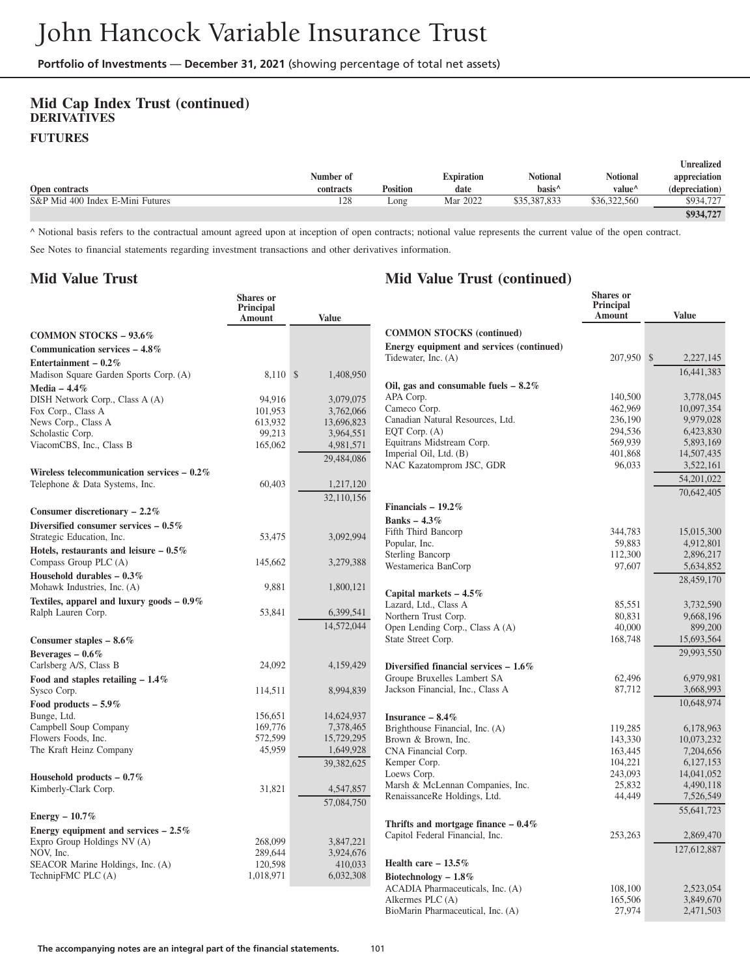### **Mid Cap Index Trust (continued) DERIVATIVES FUTURES**

|                                  |           |                 |                   |                    |                    | <b>Unrealized</b> |
|----------------------------------|-----------|-----------------|-------------------|--------------------|--------------------|-------------------|
|                                  | Number of |                 | <b>Expiration</b> | <b>Notional</b>    | <b>Notional</b>    | appreciation      |
| Open contracts                   | contracts | <b>Position</b> | date              | hasis <sup>^</sup> | value <sup>^</sup> | (depreciation)    |
| S&P Mid 400 Index E-Mini Futures | 128       | Long            | Mar 2022          | \$35,387,833       | \$36,322,560       | \$934,727         |
|                                  |           |                 |                   |                    |                    | \$934.727         |

**Mid Value Trust (continued)**

^ Notional basis refers to the contractual amount agreed upon at inception of open contracts; notional value represents the current value of the open contract.

See Notes to financial statements regarding investment transactions and other derivatives information.

### **Mid Value Trust**

|                                              | Shares or<br>Principal<br><b>Amount</b> | <b>Value</b> |                                                    | <b>Shares</b> or<br>Principal<br><b>Amount</b> | <b>Value</b>            |
|----------------------------------------------|-----------------------------------------|--------------|----------------------------------------------------|------------------------------------------------|-------------------------|
| <b>COMMON STOCKS - 93.6%</b>                 |                                         |              | <b>COMMON STOCKS (continued)</b>                   |                                                |                         |
| Communication services $-4.8\%$              |                                         |              | Energy equipment and services (continued)          |                                                |                         |
| Entertainment – $0.2\%$                      |                                         |              | Tidewater, Inc. (A)                                | 207,950 \$                                     | 2,227,145               |
| Madison Square Garden Sports Corp. (A)       | 8,110 \$                                | 1,408,950    |                                                    |                                                | 16.441.383              |
| Media $-4.4\%$                               |                                         |              | Oil, gas and consumable fuels $-8.2\%$             |                                                |                         |
| DISH Network Corp., Class A (A)              | 94,916                                  | 3,079,075    | APA Corp.                                          | 140,500                                        | 3.778,045               |
| Fox Corp., Class A                           | 101,953                                 | 3,762,066    | Cameco Corp.                                       | 462,969                                        | 10,097,354              |
| News Corp., Class A                          | 613.932                                 | 13,696,823   | Canadian Natural Resources, Ltd.                   | 236,190                                        | 9,979,028               |
| Scholastic Corp.                             | 99,213                                  | 3,964,551    | EQT Corp. $(A)$                                    | 294.536                                        | 6,423,830               |
| ViacomCBS, Inc., Class B                     | 165,062                                 | 4,981,571    | Equitrans Midstream Corp.                          | 569,939<br>401,868                             | 5,893,169<br>14,507,435 |
|                                              |                                         | 29,484,086   | Imperial Oil, Ltd. (B)<br>NAC Kazatomprom JSC, GDR | 96,033                                         | 3,522,161               |
| Wireless telecommunication services $-0.2\%$ |                                         |              |                                                    |                                                | 54,201,022              |
| Telephone & Data Systems, Inc.               | 60,403                                  | 1,217,120    |                                                    |                                                |                         |
|                                              |                                         | 32,110,156   |                                                    |                                                | 70,642,405              |
| Consumer discretionary $-2.2\%$              |                                         |              | Financials $-19.2\%$                               |                                                |                         |
| Diversified consumer services $-0.5\%$       |                                         |              | Banks $-4.3%$                                      |                                                |                         |
| Strategic Education, Inc.                    | 53,475                                  | 3,092,994    | Fifth Third Bancorp                                | 344.783                                        | 15,015,300              |
| Hotels, restaurants and leisure $-0.5\%$     |                                         |              | Popular, Inc.<br>Sterling Bancorp                  | 59,883<br>112,300                              | 4,912,801<br>2,896,217  |
| Compass Group PLC (A)                        | 145,662                                 | 3,279,388    | Westamerica BanCorp                                | 97,607                                         | 5,634,852               |
| Household durables $-0.3\%$                  |                                         |              |                                                    |                                                | 28,459,170              |
| Mohawk Industries, Inc. (A)                  | 9,881                                   | 1,800,121    |                                                    |                                                |                         |
| Textiles, apparel and luxury goods $-0.9\%$  |                                         |              | Capital markets $-4.5\%$<br>Lazard, Ltd., Class A  | 85,551                                         | 3,732,590               |
| Ralph Lauren Corp.                           | 53,841                                  | 6,399,541    | Northern Trust Corp.                               | 80,831                                         | 9,668,196               |
|                                              |                                         | 14,572,044   | Open Lending Corp., Class A (A)                    | 40,000                                         | 899,200                 |
| Consumer staples $-8.6\%$                    |                                         |              | State Street Corp.                                 | 168,748                                        | 15,693,564              |
| Beverages $-0.6\%$                           |                                         |              |                                                    |                                                | 29,993,550              |
| Carlsberg A/S, Class B                       | 24,092                                  | 4,159,429    | Diversified financial services $-1.6\%$            |                                                |                         |
| Food and staples retailing $-1.4\%$          |                                         |              | Groupe Bruxelles Lambert SA                        | 62,496                                         | 6,979,981               |
| Sysco Corp.                                  | 114,511                                 | 8,994,839    | Jackson Financial, Inc., Class A                   | 87,712                                         | 3,668,993               |
| Food products $-5.9\%$                       |                                         |              |                                                    |                                                | 10,648,974              |
| Bunge, Ltd.                                  | 156,651                                 | 14,624,937   | Insurance $-8.4\%$                                 |                                                |                         |
| Campbell Soup Company                        | 169,776                                 | 7,378,465    | Brighthouse Financial, Inc. (A)                    | 119,285                                        | 6,178,963               |
| Flowers Foods, Inc.                          | 572,599                                 | 15,729,295   | Brown & Brown, Inc.                                | 143,330                                        | 10,073,232              |
| The Kraft Heinz Company                      | 45,959                                  | 1,649,928    | CNA Financial Corp.                                | 163,445                                        | 7,204,656               |
|                                              |                                         | 39,382,625   | Kemper Corp.                                       | 104,221                                        | 6,127,153               |
| Household products $-0.7\%$                  |                                         |              | Loews Corp.                                        | 243,093                                        | 14,041,052              |
| Kimberly-Clark Corp.                         | 31,821                                  | 4,547,857    | Marsh & McLennan Companies, Inc.                   | 25,832                                         | 4,490,118               |
|                                              |                                         | 57,084,750   | RenaissanceRe Holdings, Ltd.                       | 44,449                                         | 7,526,549               |
| Energy $-10.7\%$                             |                                         |              |                                                    |                                                | 55,641,723              |
| Energy equipment and services $-2.5\%$       |                                         |              | Thrifts and mortgage finance $-0.4\%$              |                                                |                         |
| Expro Group Holdings NV (A)                  | 268,099                                 | 3,847,221    | Capitol Federal Financial, Inc.                    | 253,263                                        | 2,869,470               |
| NOV. Inc.                                    | 289,644                                 | 3,924,676    |                                                    |                                                | 127,612,887             |
| SEACOR Marine Holdings, Inc. (A)             | 120,598                                 | 410,033      | Health care $-13.5\%$                              |                                                |                         |
| TechnipFMC PLC (A)                           | 1,018,971                               | 6,032,308    | Biotechnology $-1.8\%$                             |                                                |                         |
|                                              |                                         |              | ACADIA Pharmaceuticals, Inc. (A)                   | 108,100                                        | 2,523,054               |
|                                              |                                         |              | Alkermes PLC (A)                                   | 165,506                                        | 3,849,670               |
|                                              |                                         |              | BioMarin Pharmaceutical, Inc. (A)                  | 27,974                                         | 2,471,503               |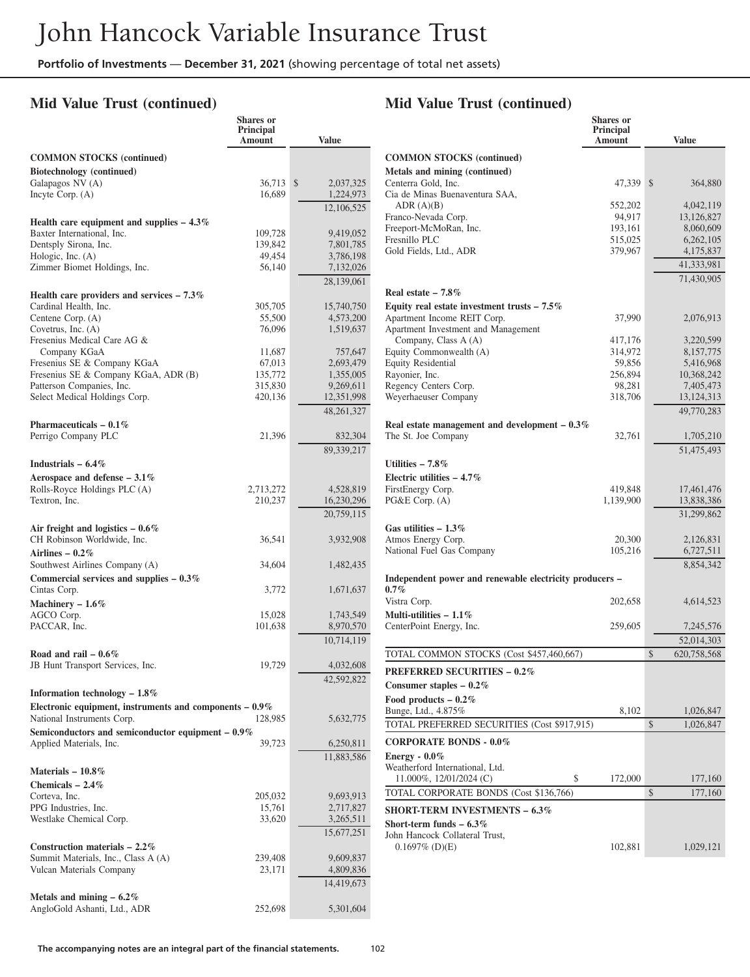**Shares or**

### **Mid Value Trust (continued)**

|                                                                           | <b>Principal</b><br>Amount | <b>Value</b>            |
|---------------------------------------------------------------------------|----------------------------|-------------------------|
| <b>COMMON STOCKS</b> (continued)                                          |                            |                         |
| Biotechnology (continued)                                                 |                            |                         |
| Galapagos NV (A)                                                          | 36,713                     | \$<br>2,037,325         |
| Incyte Corp. (A)                                                          | 16,689                     | 1,224,973               |
|                                                                           |                            | 12,106,525              |
| Health care equipment and supplies $-4.3\%$<br>Baxter International, Inc. | 109,728                    | 9,419,052               |
| Dentsply Sirona, Inc.                                                     | 139,842                    | 7,801,785               |
| Hologic, Inc. (A)                                                         | 49,454                     | 3,786,198               |
| Zimmer Biomet Holdings, Inc.                                              | 56,140                     | 7,132,026               |
|                                                                           |                            | 28,139,061              |
| Health care providers and services $-7.3\%$                               |                            |                         |
| Cardinal Health, Inc.<br>Centene Corp. (A)                                | 305,705<br>55,500          | 15,740,750<br>4,573,200 |
| Covetrus, Inc. $(A)$                                                      | 76,096                     | 1,519,637               |
| Fresenius Medical Care AG &                                               |                            |                         |
| Company KGaA                                                              | 11,687                     | 757,647                 |
| Fresenius SE & Company KGaA<br>Fresenius SE & Company KGaA, ADR (B)       | 67,013<br>135,772          | 2,693,479<br>1,355,005  |
| Patterson Companies, Inc.                                                 | 315,830                    | 9,269,611               |
| Select Medical Holdings Corp.                                             | 420,136                    | 12,351,998              |
|                                                                           |                            | 48,261,327              |
| Pharmaceuticals $-0.1\%$                                                  |                            |                         |
| Perrigo Company PLC                                                       | 21,396                     | 832,304                 |
|                                                                           |                            | 89,339,217              |
| Industrials $-6.4\%$                                                      |                            |                         |
| Aerospace and defense $-3.1\%$                                            |                            |                         |
| Rolls-Royce Holdings PLC (A)<br>Textron, Inc.                             | 2,713,272<br>210,237       | 4,528,819<br>16,230,296 |
|                                                                           |                            | 20,759,115              |
| Air freight and logistics $-0.6\%$                                        |                            |                         |
| CH Robinson Worldwide, Inc.                                               | 36,541                     | 3,932,908               |
| Airlines $-0.2\%$                                                         |                            |                         |
| Southwest Airlines Company (A)                                            | 34,604                     | 1,482,435               |
| Commercial services and supplies $-0.3\%$                                 |                            |                         |
| Cintas Corp.                                                              | 3,772                      | 1,671,637               |
| Machinery $-1.6\%$                                                        |                            |                         |
| AGCO Corp.<br>PACCAR, Inc.                                                | 15,028<br>101,638          | 1,743,549<br>8,970,570  |
|                                                                           |                            | 10,714,119              |
| Road and rail $-0.6\%$                                                    |                            |                         |
| JB Hunt Transport Services, Inc.                                          | 19,729                     | 4,032,608               |
|                                                                           |                            | 42,592,822              |
| Information technology $-1.8\%$                                           |                            |                         |
| Electronic equipment, instruments and components $-0.9\%$                 |                            |                         |
| National Instruments Corp.                                                | 128,985                    | 5,632,775               |
| Semiconductors and semiconductor equipment - 0.9%                         |                            |                         |
| Applied Materials, Inc.                                                   | 39,723                     | 6,250,811               |
|                                                                           |                            | 11,883,586              |
| Materials $-10.8\%$                                                       |                            |                         |
| Chemicals $-2.4%$<br>Corteva, Inc.                                        | 205,032                    | 9,693,913               |
| PPG Industries, Inc.                                                      | 15,761                     | 2,717,827               |
| Westlake Chemical Corp.                                                   | 33,620                     | 3,265,511               |
|                                                                           |                            | 15,677,251              |
| Construction materials $-2.2\%$                                           |                            |                         |
| Summit Materials, Inc., Class A (A)                                       | 239,408                    | 9,609,837               |
| Vulcan Materials Company                                                  | 23,171                     | 4,809,836               |
|                                                                           |                            | 14,419,673              |
| Metals and mining $-6.2\%$<br>AngloGold Ashanti, Ltd., ADR                | 252,698                    | 5,301,604               |
|                                                                           |                            |                         |

# **Mid Value Trust (continued)**

|                                                                        | <b>Shares or</b><br><b>Principal</b><br>Amount | <b>Value</b>            |
|------------------------------------------------------------------------|------------------------------------------------|-------------------------|
| <b>COMMON STOCKS</b> (continued)                                       |                                                |                         |
| Metals and mining (continued)                                          |                                                |                         |
| Centerra Gold, Inc.<br>Cia de Minas Buenaventura SAA,                  | 47.339                                         | \$<br>364,880           |
| ADR(A)(B)                                                              | 552,202                                        | 4,042,119               |
| Franco-Nevada Corp.                                                    | 94,917                                         | 13,126,827              |
| Freeport-McMoRan, Inc.                                                 | 193,161                                        | 8,060,609               |
| Fresnillo PLC<br>Gold Fields, Ltd., ADR                                | 515,025<br>379,967                             | 6,262,105               |
|                                                                        |                                                | 4,175,837               |
|                                                                        |                                                | 41,333,981              |
| Real estate $-7.8\%$                                                   |                                                | 71,430,905              |
| Equity real estate investment trusts $-7.5\%$                          |                                                |                         |
| Apartment Income REIT Corp.                                            | 37,990                                         | 2,076,913               |
| Apartment Investment and Management                                    |                                                |                         |
| Company, Class A (A)                                                   | 417,176                                        | 3,220,599               |
| Equity Commonwealth (A)                                                | 314,972                                        | 8,157,775               |
| <b>Equity Residential</b>                                              | 59,856                                         | 5,416,968               |
| Rayonier, Inc.                                                         | 256,894                                        | 10,368,242              |
| Regency Centers Corp.                                                  | 98,281                                         | 7,405,473               |
| Weyerhaeuser Company                                                   | 318,706                                        | 13, 124, 313            |
|                                                                        |                                                | 49,770,283              |
| Real estate management and development $-0.3\%$<br>The St. Joe Company |                                                |                         |
|                                                                        | 32,761                                         | 1,705,210<br>51,475,493 |
| Utilities $-7.8\%$                                                     |                                                |                         |
| Electric utilities $-4.7\%$                                            |                                                |                         |
| FirstEnergy Corp.                                                      | 419,848                                        | 17,461,476              |
| PG&E Corp. $(A)$                                                       | 1,139,900                                      | 13,838,386              |
|                                                                        |                                                | 31,299,862              |
| Gas utilities $-1.3\%$                                                 |                                                |                         |
| Atmos Energy Corp.                                                     | 20,300                                         | 2,126,831               |
| National Fuel Gas Company                                              | 105,216                                        | 6,727,511               |
|                                                                        |                                                | 8,854,342               |
| Independent power and renewable electricity producers -<br>$0.7\%$     |                                                |                         |
| Vistra Corp.                                                           | 202,658                                        | 4,614,523               |
| Multi-utilities $-1.1\%$                                               |                                                |                         |
| CenterPoint Energy, Inc.                                               | 259,605                                        | 7,245,576               |
|                                                                        |                                                | 52,014,303              |
| TOTAL COMMON STOCKS (Cost \$457,460,667)                               |                                                | \$<br>620,758,568       |
| <b>PREFERRED SECURITIES - 0.2%</b>                                     |                                                |                         |
| Consumer staples $-0.2\%$                                              |                                                |                         |
| Food products $-0.2\%$                                                 |                                                |                         |
| Bunge, Ltd., 4.875%                                                    | 8,102                                          | 1,026,847               |
| TOTAL PREFERRED SECURITIES (Cost \$917,915)                            |                                                | \$<br>1,026,847         |
| <b>CORPORATE BONDS - 0.0%</b>                                          |                                                |                         |
| Energy $-0.0\%$                                                        |                                                |                         |
| Weatherford International, Ltd.                                        |                                                |                         |
| 11.000%, 12/01/2024 (C)<br>\$                                          | 172,000                                        | 177,160                 |
| TOTAL CORPORATE BONDS (Cost \$136,766)                                 |                                                | \$<br>177,160           |
| <b>SHORT-TERM INVESTMENTS - 6.3%</b>                                   |                                                |                         |
| Short-term funds $-6.3\%$                                              |                                                |                         |
| John Hancock Collateral Trust,                                         |                                                |                         |
| $0.1697\%$ (D)(E)                                                      | 102,881                                        | 1,029,121               |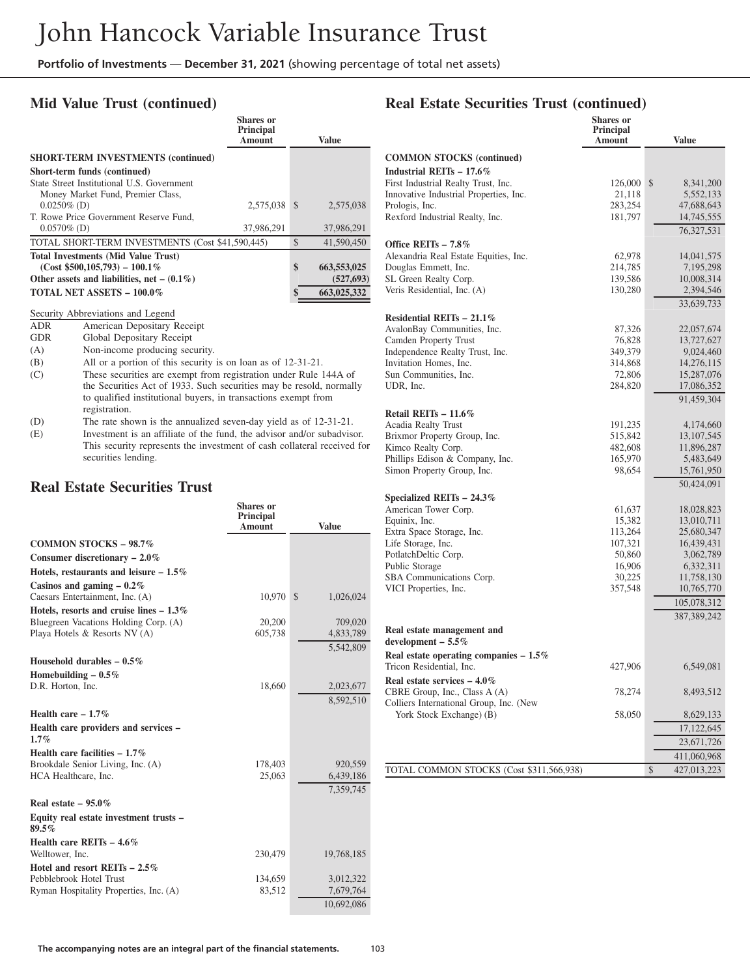### **Mid Value Trust (continued)**

| <b>Shares</b> or<br><b>Principal</b><br><b>Amount</b> |                                                  | Value         |
|-------------------------------------------------------|--------------------------------------------------|---------------|
|                                                       |                                                  |               |
|                                                       |                                                  |               |
|                                                       |                                                  |               |
|                                                       |                                                  |               |
|                                                       | - \$                                             | 2.575,038     |
|                                                       |                                                  |               |
| 37,986,291                                            |                                                  | 37,986,291    |
|                                                       | $\mathcal{S}$                                    | 41,590,450    |
|                                                       |                                                  |               |
|                                                       | \$                                               | 663, 553, 025 |
|                                                       |                                                  | (527, 693)    |
|                                                       | \$                                               | 663,025,332   |
|                                                       | TOTAL SHORT-TERM INVESTMENTS (Cost \$41,590,445) | 2.575.038     |

Security Abbreviations and Legend<br>ADR American Depositary R

ADR American Depositary Receipt<br>GDR Global Depositary Receipt

Global Depositary Receipt

(A) Non-income producing security.<br>
(B) All or a portion of this security

All or a portion of this security is on loan as of 12-31-21.

- (C) These securities are exempt from registration under Rule 144A of the Securities Act of 1933. Such securities may be resold, normally to qualified institutional buyers, in transactions exempt from registration.
- (D) The rate shown is the annualized seven-day yield as of 12-31-21.
- (E) Investment is an affiliate of the fund, the advisor and/or subadvisor. This security represents the investment of cash collateral received for securities lending.

#### **Real Estate Securities Trust**

|                                                                                    | <b>Shares</b> or<br>Principal<br><b>Amount</b> | <b>Value</b>              |
|------------------------------------------------------------------------------------|------------------------------------------------|---------------------------|
| <b>COMMON STOCKS - 98.7%</b>                                                       |                                                |                           |
| Consumer discretionary $-2.0\%$                                                    |                                                |                           |
| Hotels, restaurants and leisure $-1.5\%$                                           |                                                |                           |
| Casinos and gaming $-0.2\%$<br>Caesars Entertainment, Inc. (A)                     | 10,970                                         | $\mathbb{S}$<br>1,026,024 |
| Hotels, resorts and cruise lines $-1.3\%$<br>Bluegreen Vacations Holding Corp. (A) | 20,200                                         | 709,020                   |
| Playa Hotels & Resorts NV (A)                                                      | 605,738                                        | 4,833,789                 |
|                                                                                    |                                                | 5,542,809                 |
| Household durables $-0.5\%$                                                        |                                                |                           |
| Homebuilding $-0.5\%$                                                              |                                                |                           |
| D.R. Horton, Inc.                                                                  | 18,660                                         | 2,023,677                 |
|                                                                                    |                                                | 8,592,510                 |
| Health care $-1.7\%$                                                               |                                                |                           |
| Health care providers and services -<br>$1.7\%$                                    |                                                |                           |
| Health care facilities $-1.7\%$                                                    |                                                |                           |
| Brookdale Senior Living, Inc. (A)                                                  | 178,403                                        | 920,559                   |
| HCA Healthcare, Inc.                                                               | 25,063                                         | 6,439,186                 |
|                                                                                    |                                                | 7,359,745                 |
| Real estate $-95.0\%$                                                              |                                                |                           |
| Equity real estate investment trusts –<br>89.5%                                    |                                                |                           |
| Health care REITs $-4.6\%$                                                         |                                                |                           |
| Welltower, Inc.                                                                    | 230,479                                        | 19,768,185                |
| Hotel and resort REITs $-2.5\%$                                                    |                                                |                           |
| Pebblebrook Hotel Trust                                                            | 134,659                                        | 3,012,322                 |
| Ryman Hospitality Properties, Inc. (A)                                             | 83,512                                         | 7,679,764                 |
|                                                                                    |                                                | 10,692,086                |

### **Real Estate Securities Trust (continued)**

|                                                     | Shares or<br>Principal<br>Amount | Value                  |
|-----------------------------------------------------|----------------------------------|------------------------|
| <b>COMMON STOCKS</b> (continued)                    |                                  |                        |
| Industrial REITs - 17.6%                            |                                  |                        |
| First Industrial Realty Trust, Inc.                 | 126,000                          | \$<br>8,341,200        |
| Innovative Industrial Properties, Inc.              | 21,118                           | 5,552,133              |
| Prologis, Inc.                                      | 283,254                          | 47,688,643             |
| Rexford Industrial Realty, Inc.                     | 181,797                          | 14,745,555             |
|                                                     |                                  | 76,327,531             |
| Office REITs $-7.8\%$                               |                                  |                        |
| Alexandria Real Estate Equities, Inc.               | 62,978                           | 14,041,575             |
| Douglas Emmett, Inc.                                | 214,785                          | 7,195,298              |
| SL Green Realty Corp.                               | 139,586                          | 10,008,314             |
| Veris Residential, Inc. (A)                         | 130,280                          | 2,394,546              |
|                                                     |                                  | 33,639,733             |
| Residential REITs $-21.1\%$                         |                                  |                        |
| AvalonBay Communities, Inc.                         | 87,326                           | 22,057,674             |
| Camden Property Trust                               | 76,828                           | 13,727,627             |
| Independence Realty Trust, Inc.                     | 349,379                          | 9,024,460              |
| Invitation Homes, Inc.                              | 314,868                          | 14,276,115             |
| Sun Communities, Inc.                               | 72,806                           | 15,287,076             |
| UDR, Inc.                                           | 284,820                          | 17,086,352             |
|                                                     |                                  | 91,459,304             |
| Retail REITs $-11.6\%$                              |                                  |                        |
| Acadia Realty Trust                                 | 191,235                          | 4,174,660              |
| Brixmor Property Group, Inc.                        | 515,842                          | 13, 107, 545           |
| Kimco Realty Corp.                                  | 482,608                          | 11,896,287             |
| Phillips Edison & Company, Inc.                     | 165,970                          | 5,483,649              |
| Simon Property Group, Inc.                          | 98,654                           | 15,761,950             |
|                                                     |                                  | 50,424,091             |
| Specialized REITs $-24.3\%$                         |                                  |                        |
| American Tower Corp.                                | 61,637                           | 18,028,823             |
| Equinix, Inc.                                       | 15,382                           | 13,010,711             |
| Extra Space Storage, Inc.                           | 113,264                          | 25,680,347             |
| Life Storage, Inc.                                  | 107,321                          | 16,439,431             |
| PotlatchDeltic Corp.<br>Public Storage              | 50,860<br>16,906                 | 3,062,789<br>6,332,311 |
| SBA Communications Corp.                            | 30,225                           | 11,758,130             |
| VICI Properties, Inc.                               | 357,548                          | 10,765,770             |
|                                                     |                                  | 105,078,312            |
|                                                     |                                  | 387, 389, 242          |
|                                                     |                                  |                        |
| Real estate management and<br>development - $5.5\%$ |                                  |                        |
| Real estate operating companies $-1.5\%$            |                                  |                        |
| Tricon Residential, Inc.                            | 427,906                          | 6,549,081              |
| Real estate services $-4.0\%$                       |                                  |                        |
| CBRE Group, Inc., Class A (A)                       | 78,274                           | 8,493,512              |
| Colliers International Group, Inc. (New             |                                  |                        |
| York Stock Exchange) (B)                            | 58,050                           | 8,629,133              |
|                                                     |                                  | 17,122,645             |
|                                                     |                                  | 23,671,726             |
|                                                     |                                  | 411,060,968            |
| TOTAL COMMON STOCKS (Cost \$311,566,938)            |                                  | \$<br>427,013,223      |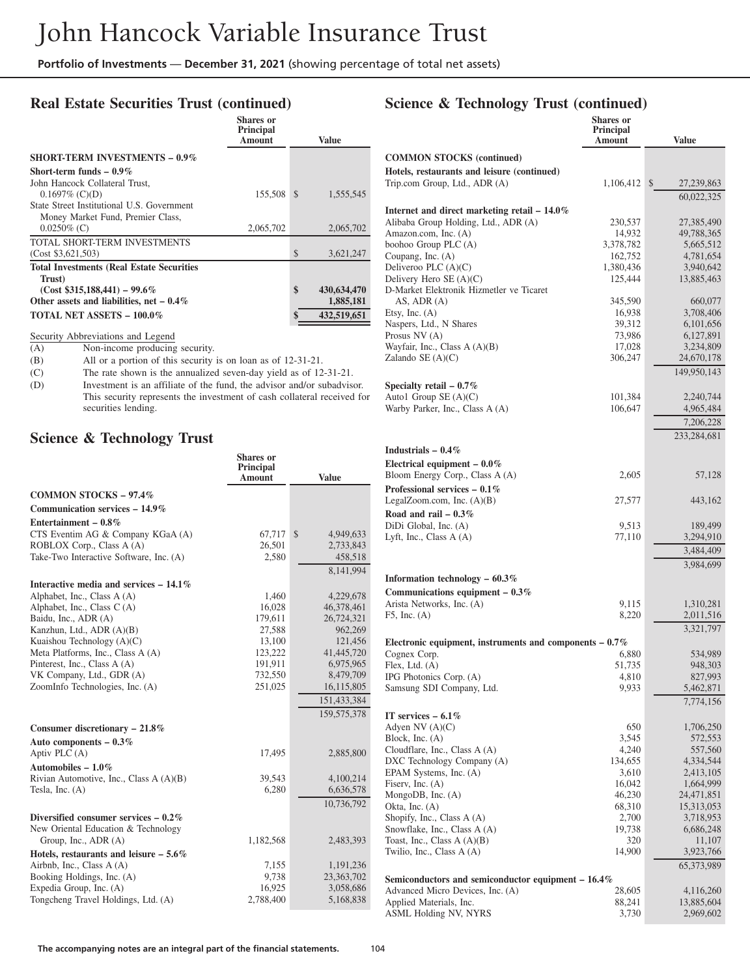### **Real Estate Securities Trust (continued)**

|                                                   | <b>Shares</b> or<br>Principal<br><b>Amount</b> |    | <b>Value</b> |
|---------------------------------------------------|------------------------------------------------|----|--------------|
| <b>SHORT-TERM INVESTMENTS - 0.9%</b>              |                                                |    |              |
| Short-term funds $-0.9\%$                         |                                                |    |              |
| John Hancock Collateral Trust,                    |                                                |    |              |
| $0.1697\%$ (C)(D)                                 | 155,508                                        | -S | 1,555,545    |
| State Street Institutional U.S. Government        |                                                |    |              |
| Money Market Fund, Premier Class,                 |                                                |    |              |
| $0.0250\%$ (C)                                    | 2,065,702                                      |    | 2,065,702    |
| TOTAL SHORT-TERM INVESTMENTS                      |                                                |    |              |
| (Cost \$3,621,503)                                |                                                | \$ | 3,621,247    |
| <b>Total Investments (Real Estate Securities)</b> |                                                |    |              |
| Trust)                                            |                                                |    |              |
| $(Cost$ \$315,188,441) – 99.6%                    |                                                | \$ | 430,634,470  |
| Other assets and liabilities, net $-0.4\%$        |                                                |    | 1,885,181    |
| TOTAL NET ASSETS - 100.0%                         |                                                | \$ | 432.519.651  |

Security Abbreviations and Legend<br>(A) Non-income producing

Non-income producing security.

(B) All or a portion of this security is on loan as of 12-31-21.<br>(C) The rate shown is the annualized seven-day yield as of 12

(C) The rate shown is the annualized seven-day yield as of 12-31-21.<br>(D) Investment is an affiliate of the fund, the advisor and/or subadvise

Investment is an affiliate of the fund, the advisor and/or subadvisor. This security represents the investment of cash collateral received for securities lending.

### **Science & Technology Trust**

|                                                                               | <b>Shares or</b><br>Principal<br><b>Amount</b> | <b>Value</b>    |
|-------------------------------------------------------------------------------|------------------------------------------------|-----------------|
| <b>COMMON STOCKS - 97.4%</b>                                                  |                                                |                 |
| Communication services - 14.9%                                                |                                                |                 |
| Entertainment - $0.8\%$                                                       |                                                |                 |
| CTS Eventim AG & Company KGaA (A)                                             | 67,717                                         | \$<br>4,949,633 |
| ROBLOX Corp., Class A (A)                                                     | 26,501                                         | 2,733,843       |
| Take-Two Interactive Software, Inc. (A)                                       | 2,580                                          | 458,518         |
|                                                                               |                                                | 8.141.994       |
| Interactive media and services $-14.1\%$                                      |                                                |                 |
| Alphabet, Inc., Class A (A)                                                   | 1,460                                          | 4,229,678       |
| Alphabet, Inc., Class C(A)                                                    | 16,028                                         | 46,378,461      |
| Baidu, Inc., ADR (A)                                                          | 179,611                                        | 26,724,321      |
| Kanzhun, Ltd., ADR (A)(B)                                                     | 27,588                                         | 962,269         |
| Kuaishou Technology (A)(C)                                                    | 13,100                                         | 121,456         |
| Meta Platforms, Inc., Class A (A)                                             | 123,222                                        | 41,445,720      |
| Pinterest, Inc., Class A (A)                                                  | 191,911                                        | 6,975,965       |
| VK Company, Ltd., GDR (A)                                                     | 732,550                                        | 8,479,709       |
| ZoomInfo Technologies, Inc. (A)                                               | 251,025                                        | 16,115,805      |
|                                                                               |                                                | 151,433,384     |
|                                                                               |                                                | 159,575,378     |
| Consumer discretionary $-21.8\%$                                              |                                                |                 |
| Auto components - 0.3%                                                        |                                                |                 |
| Aptiv PLC (A)                                                                 | 17,495                                         | 2,885,800       |
| Automobiles $-1.0\%$                                                          |                                                |                 |
| Rivian Automotive, Inc., Class A (A)(B)                                       | 39.543                                         | 4,100,214       |
| Tesla, Inc. $(A)$                                                             | 6,280                                          | 6,636,578       |
|                                                                               |                                                | 10,736,792      |
| Diversified consumer services $-0.2\%$<br>New Oriental Education & Technology |                                                |                 |
| Group, Inc., ADR (A)                                                          | 1,182,568                                      | 2,483,393       |
| Hotels, restaurants and leisure $-5.6\%$                                      |                                                |                 |
| Airbnb, Inc., Class A (A)                                                     | 7,155                                          | 1,191,236       |
| Booking Holdings, Inc. (A)                                                    | 9,738                                          | 23,363,702      |
| Expedia Group, Inc. (A)                                                       | 16,925                                         | 3,058,686       |
| Tongcheng Travel Holdings, Ltd. (A)                                           | 2,788,400                                      | 5,168,838       |
|                                                                               |                                                |                 |

### **Science & Technology Trust (continued)**

|                                                                                          | <b>Shares</b> or<br>Principal<br>Amount | <b>Value</b>            |
|------------------------------------------------------------------------------------------|-----------------------------------------|-------------------------|
| <b>COMMON STOCKS</b> (continued)                                                         |                                         |                         |
| Hotels, restaurants and leisure (continued)<br>Trip.com Group, Ltd., ADR (A)             | 1,106,412                               | \$<br>27,239,863        |
|                                                                                          |                                         | 60,022,325              |
| Internet and direct marketing retail $-14.0\%$<br>Alibaba Group Holding, Ltd., ADR (A)   | 230,537                                 | 27,385,490              |
| Amazon.com, Inc. (A)                                                                     | 14,932                                  | 49,788,365              |
| boohoo Group PLC (A)                                                                     | 3,378,782                               | 5,665,512               |
| Coupang, Inc. (A)                                                                        | 162,752                                 | 4,781,654               |
| Deliveroo PLC $(A)(C)$<br>Delivery Hero $SE(A)(C)$                                       | 1,380,436<br>125,444                    | 3,940,642<br>13,885,463 |
| D-Market Elektronik Hizmetler ve Ticaret                                                 |                                         |                         |
| AS, ADR $(A)$                                                                            | 345,590                                 | 660,077                 |
| Etsy, Inc. $(A)$<br>Naspers, Ltd., N Shares                                              | 16,938<br>39,312                        | 3,708,406<br>6,101,656  |
| Prosus $NV(A)$                                                                           | 73,986                                  | 6,127,891               |
| Wayfair, Inc., Class A (A)(B)                                                            | 17,028                                  | 3,234,809               |
| Zalando SE $(A)(C)$                                                                      | 306,247                                 | 24,670,178              |
|                                                                                          |                                         | 149,950,143             |
| Specialty retail $-0.7\%$<br>Auto1 Group $SE(A)(C)$                                      | 101,384                                 | 2,240,744               |
| Warby Parker, Inc., Class A (A)                                                          | 106,647                                 | 4,965,484               |
|                                                                                          |                                         | 7,206,228               |
|                                                                                          |                                         | 233,284,681             |
| Industrials $-0.4\%$                                                                     |                                         |                         |
| Electrical equipment $-0.0\%$                                                            |                                         |                         |
| Bloom Energy Corp., Class A (A)                                                          | 2,605                                   | 57,128                  |
| Professional services $-0.1\%$<br>LegalZoom.com, Inc. $(A)(B)$                           | 27,577                                  | 443,162                 |
| Road and rail $-0.3\%$                                                                   |                                         |                         |
| DiDi Global, Inc. (A)                                                                    | 9,513                                   | 189,499                 |
| Lyft, Inc., Class A (A)                                                                  | 77,110                                  | 3,294,910               |
|                                                                                          |                                         | 3,484,409               |
| Information technology $-60.3\%$                                                         |                                         | 3,984,699               |
| Communications equipment $-0.3\%$                                                        |                                         |                         |
| Arista Networks, Inc. (A)                                                                | 9,115                                   | 1,310,281               |
| $F5$ , Inc. $(A)$                                                                        | 8,220                                   | 2,011,516               |
|                                                                                          |                                         | 3,321,797               |
| Electronic equipment, instruments and components $-0.7\%$                                |                                         |                         |
| Cognex Corp.<br>Flex, Ltd. (A)                                                           | 6,880<br>51,735                         | 534,989<br>948,303      |
| IPG Photonics Corp. (A)                                                                  | 4,810                                   | 827,993                 |
| Samsung SDI Company, Ltd.                                                                | 9,933                                   | 5,462,871               |
|                                                                                          |                                         | 7,774,156               |
| IT services $-6.1\%$<br>Adyen NV $(A)(C)$                                                | 650                                     | 1,706,250               |
| Block, Inc. (A)                                                                          | 3,545                                   | 572,553                 |
| Cloudflare, Inc., Class A (A)                                                            | 4,240                                   | 557,560                 |
| DXC Technology Company (A)<br>EPAM Systems, Inc. (A)                                     | 134,655<br>3,610                        | 4,334,544<br>2,413,105  |
| Fiserv, Inc. $(A)$                                                                       | 16,042                                  | 1,664,999               |
| MongoDB, Inc. $(A)$                                                                      | 46,230                                  | 24,471,851              |
| Okta, Inc. $(A)$                                                                         | 68,310<br>2,700                         | 15,313,053<br>3,718,953 |
| Shopify, Inc., Class A (A)<br>Snowflake, Inc., Class A (A)                               | 19,738                                  | 6,686,248               |
| Toast, Inc., Class $A(A)(B)$                                                             | 320                                     | 11,107                  |
| Twilio, Inc., Class A (A)                                                                | 14,900                                  | 3,923,766               |
|                                                                                          |                                         | 65,373,989              |
| Semiconductors and semiconductor equipment $-16.4\%$<br>Advanced Micro Devices, Inc. (A) | 28,605                                  | 4,116,260               |
| Applied Materials, Inc.                                                                  | 88,241                                  | 13,885,604              |
| ASML Holding NV, NYRS                                                                    | 3,730                                   | 2,969,602               |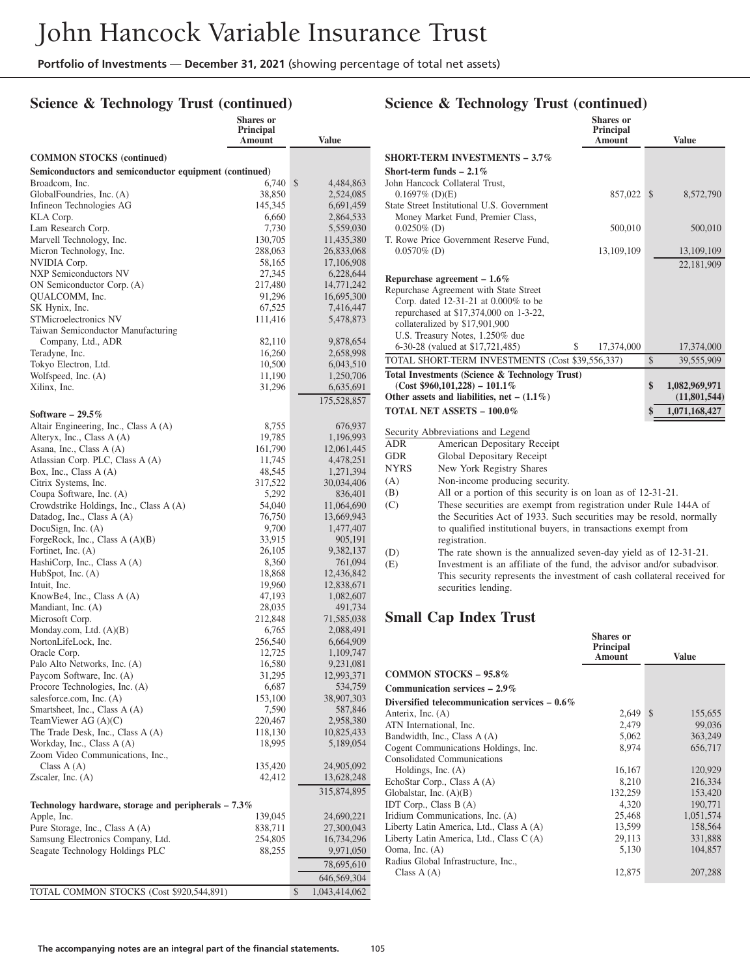### **Science & Technology Trust (continued)**

|                                                                     | <b>Shares or</b>    |                          |
|---------------------------------------------------------------------|---------------------|--------------------------|
|                                                                     | Principal<br>Amount | Value                    |
|                                                                     |                     |                          |
| <b>COMMON STOCKS</b> (continued)                                    |                     |                          |
| Semiconductors and semiconductor equipment (continued)              |                     |                          |
| Broadcom, Inc.                                                      | 6,740               | \$<br>4,484,863          |
| GlobalFoundries, Inc. (A)                                           | 38,850              | 2,524,085                |
| Infineon Technologies AG                                            | 145,345             | 6,691,459                |
| KLA Corp.                                                           | 6,660               | 2,864,533                |
| Lam Research Corp.                                                  | 7,730               | 5,559,030                |
| Marvell Technology, Inc.<br>Micron Technology, Inc.                 | 130,705<br>288,063  | 11,435,380<br>26,833,068 |
| NVIDIA Corp.                                                        | 58,165              | 17,106,908               |
| <b>NXP</b> Semiconductors NV                                        | 27,345              | 6,228,644                |
| ON Semiconductor Corp. (A)                                          | 217,480             | 14,771,242               |
| QUALCOMM, Inc.                                                      | 91,296              | 16,695,300               |
| SK Hynix, Inc.                                                      | 67,525              | 7,416,447                |
| STMicroelectronics NV                                               | 111,416             | 5,478,873                |
| Taiwan Semiconductor Manufacturing                                  |                     |                          |
| Company, Ltd., ADR                                                  | 82,110              | 9,878,654                |
| Teradyne, Inc.                                                      | 16,260              | 2,658,998                |
| Tokyo Electron, Ltd.                                                | 10,500              | 6,043,510                |
| Wolfspeed, Inc. (A)                                                 | 11,190              | 1,250,706                |
| Xilinx, Inc.                                                        | 31,296              | 6,635,691                |
|                                                                     |                     | 175,528,857              |
| Software - 29.5%                                                    |                     |                          |
| Altair Engineering, Inc., Class A (A)                               | 8,755               | 676,937                  |
| Alteryx, Inc., Class A (A)                                          | 19,785              | 1,196,993                |
| Asana, Inc., Class A (A)                                            | 161,790             | 12,061,445               |
| Atlassian Corp. PLC, Class A (A)                                    | 11,745              | 4,478,251                |
| Box, Inc., Class A (A)                                              | 48,545              | 1,271,394                |
| Citrix Systems, Inc.                                                | 317,522             | 30,034,406               |
| Coupa Software, Inc. (A)<br>Crowdstrike Holdings, Inc., Class A (A) | 5,292<br>54,040     | 836,401<br>11,064,690    |
| Datadog, Inc., Class A (A)                                          | 76,750              | 13,669,943               |
| DocuSign, Inc. $(A)$                                                | 9,700               | 1,477,407                |
| ForgeRock, Inc., Class A (A)(B)                                     | 33,915              | 905,191                  |
| Fortinet, Inc. (A)                                                  | 26,105              | 9,382,137                |
| HashiCorp, Inc., Class A (A)                                        | 8,360               | 761,094                  |
| HubSpot, Inc. $(A)$                                                 | 18,868              | 12,436,842               |
| Intuit, Inc.                                                        | 19,960              | 12,838,671               |
| KnowBe4, Inc., Class A (A)                                          | 47,193              | 1,082,607                |
| Mandiant, Inc. (A)                                                  | 28,035              | 491,734                  |
| Microsoft Corp.                                                     | 212,848             | 71,585,038               |
| Monday.com, Ltd. $(A)(B)$                                           | 6,765               | 2,088,491                |
| NortonLifeLock, Inc.                                                | 256,540             | 6,664,909                |
| Oracle Corp.<br>Palo Alto Networks, Inc. (A)                        | 12,725<br>16,580    | 1,109,747<br>9,231,081   |
| Paycom Software, Inc. (A)                                           | 31,295              | 12,993,371               |
| Procore Technologies, Inc. (A)                                      | 6,687               | 534,759                  |
| salesforce.com, Inc. (A)                                            | 153,100             | 38,907,303               |
| Smartsheet, Inc., Class A (A)                                       | 7,590               | 587,846                  |
| TeamViewer AG $(A)(C)$                                              | 220,467             | 2,958,380                |
| The Trade Desk, Inc., Class A (A)                                   | 118,130             | 10,825,433               |
| Workday, Inc., Class A (A)                                          | 18,995              | 5,189,054                |
| Zoom Video Communications, Inc.,                                    |                     |                          |
| Class $A(A)$                                                        | 135,420             | 24,905,092               |
| Zscaler, Inc. $(A)$                                                 | 42,412              | 13,628,248               |
|                                                                     |                     | 315,874,895              |
| Technology hardware, storage and peripherals - 7.3%                 |                     |                          |
| Apple, Inc.                                                         | 139,045             | 24,690,221               |
| Pure Storage, Inc., Class A (A)                                     | 838,711             | 27,300,043               |
| Samsung Electronics Company, Ltd.                                   | 254,805             | 16,734,296               |
| Seagate Technology Holdings PLC                                     | 88,255              | 9,971,050                |
|                                                                     |                     | 78,695,610               |
|                                                                     |                     | 646,569,304              |
| TOTAL COMMON STOCKS (Cost \$920,544,891)                            |                     | \$<br>1,043,414,062      |

#### **Science & Technology Trust (continued) Shares or**

|                |                                                                                                | энагсэ ог<br>Principal<br>Amount | <b>Value</b>        |
|----------------|------------------------------------------------------------------------------------------------|----------------------------------|---------------------|
|                | <b>SHORT-TERM INVESTMENTS - 3.7%</b>                                                           |                                  |                     |
|                | Short-term funds $-2.1\%$                                                                      |                                  |                     |
|                | John Hancock Collateral Trust.                                                                 |                                  |                     |
|                | $0.1697\%$ (D)(E)                                                                              | 857,022                          | \$<br>8,572,790     |
|                | State Street Institutional U.S. Government                                                     |                                  |                     |
|                | Money Market Fund, Premier Class,                                                              |                                  |                     |
| $0.0250\%$ (D) |                                                                                                | 500,010                          | 500,010             |
|                | T. Rowe Price Government Reserve Fund,                                                         |                                  |                     |
| $0.0570\%$ (D) |                                                                                                | 13,109,109                       | 13,109,109          |
|                |                                                                                                |                                  | 22,181,909          |
|                | Repurchase agreement $-1.6\%$                                                                  |                                  |                     |
|                | Repurchase Agreement with State Street                                                         |                                  |                     |
|                | Corp. dated 12-31-21 at 0.000% to be                                                           |                                  |                     |
|                | repurchased at \$17,374,000 on 1-3-22,                                                         |                                  |                     |
|                | collateralized by \$17,901,900                                                                 |                                  |                     |
|                | U.S. Treasury Notes, 1.250% due                                                                |                                  |                     |
|                | 6-30-28 (valued at \$17,721,485)                                                               | \$<br>17,374,000                 | 17,374,000          |
|                | TOTAL SHORT-TERM INVESTMENTS (Cost \$39,556,337)                                               |                                  | \$<br>39,555,909    |
|                | Total Investments (Science & Technology Trust)                                                 |                                  |                     |
|                | $(Cost $960,101,228) - 101.1\%$                                                                |                                  | \$<br>1,082,969,971 |
|                | Other assets and liabilities, net $- (1.1\%)$                                                  |                                  | (11,801,544)        |
|                | <b>TOTAL NET ASSETS - 100.0%</b>                                                               |                                  | \$<br>1,071,168,427 |
|                | Security Abbreviations and Legend                                                              |                                  |                     |
| <b>ADR</b>     | American Depositary Receipt                                                                    |                                  |                     |
| GDR            | Global Depositary Receipt                                                                      |                                  |                     |
| NYRS           | New York Registry Shares                                                                       |                                  |                     |
| (A)            | Non-income producing security.                                                                 |                                  |                     |
| (B)            | All or a portion of this security is on loan as of 12-31-21.                                   |                                  |                     |
| (C)            | These securities are exempt from registration under Rule 144A of                               |                                  |                     |
|                | the Securities Act of 1933. Such securities may be resold, normally                            |                                  |                     |
|                | to qualified institutional buyers, in transactions exempt from                                 |                                  |                     |
|                | registration.                                                                                  |                                  |                     |
| (D)            | The rate shown is the annualized seven-day yield as of 12-31-21.                               |                                  |                     |
| (E)            | Investment is an affiliate of the fund, the advisor and/or subadvisor.                         |                                  |                     |
|                | This security represents the investment of cash collateral received for<br>securities lending. |                                  |                     |

### **Small Cap Index Trust**

|                                                 | <b>Shares</b> or<br>Principal<br><b>Amount</b> | Value                    |
|-------------------------------------------------|------------------------------------------------|--------------------------|
| <b>COMMON STOCKS - 95.8%</b>                    |                                                |                          |
| Communication services $-2.9\%$                 |                                                |                          |
| Diversified telecommunication services $-0.6\%$ |                                                |                          |
| Anterix, Inc. (A)                               | 2,649                                          | <sup>\$</sup><br>155,655 |
| ATN International, Inc.                         | 2,479                                          | 99,036                   |
| Bandwidth, Inc., Class A (A)                    | 5,062                                          | 363,249                  |
| Cogent Communications Holdings, Inc.            | 8,974                                          | 656,717                  |
| <b>Consolidated Communications</b>              |                                                |                          |
| Holdings, Inc. $(A)$                            | 16,167                                         | 120,929                  |
| EchoStar Corp., Class A (A)                     | 8,210                                          | 216,334                  |
| Globalstar, Inc. $(A)(B)$                       | 132,259                                        | 153,420                  |
| IDT Corp., Class $B(A)$                         | 4,320                                          | 190,771                  |
| Iridium Communications, Inc. (A)                | 25,468                                         | 1,051,574                |
| Liberty Latin America, Ltd., Class A (A)        | 13,599                                         | 158,564                  |
| Liberty Latin America, Ltd., Class C(A)         | 29,113                                         | 331,888                  |
| Ooma, Inc. (A)                                  | 5,130                                          | 104,857                  |
| Radius Global Infrastructure, Inc.,             |                                                |                          |
| Class $A(A)$                                    | 12,875                                         | 207,288                  |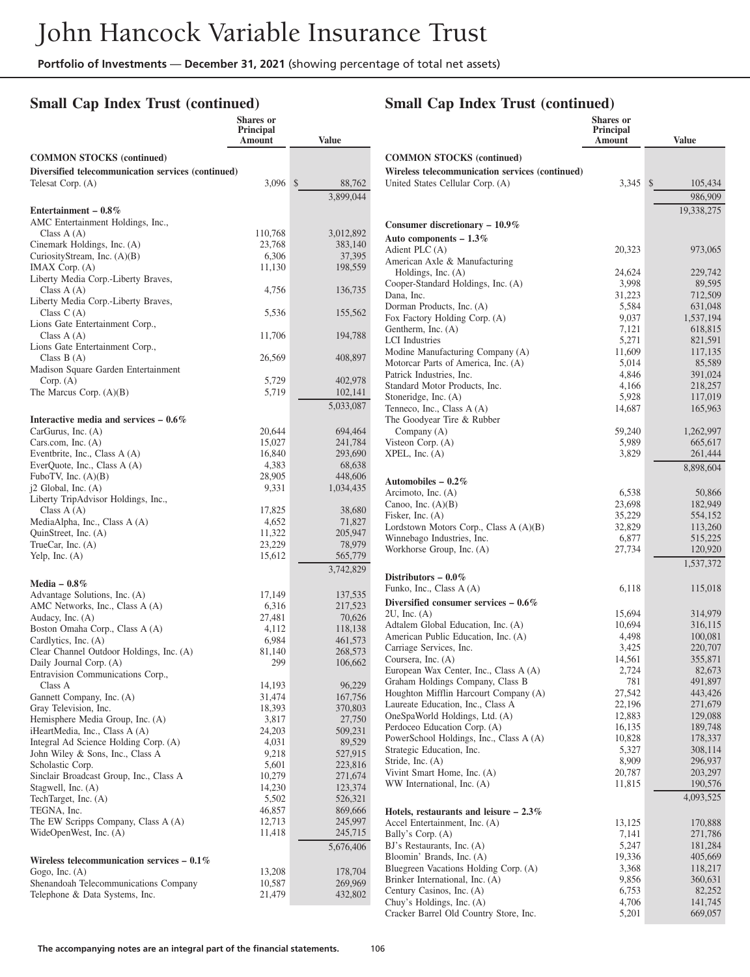### **Small Cap Index Trust (continued)**

#### **Shares or Principal Amount Value COMMON STOCKS (continued) Diversified telecommunication services (continued)** Telesat Corp. (A) 3,096 \$ 88,762 3,899,044 **Entertainment – 0.8%** AMC Entertainment Holdings, Inc., Class A (A) 110,768 3,012,892<br>
inemark Holdings, Inc. (A) 23,768 383,140 Cinemark Holdings, Inc. (A) CuriosityStream, Inc. (A)(B) 6,306 37,395<br>
IMAX Corp. (A) 11,130 198,559 IMAX Corp.  $(A)$ Liberty Media Corp.-Liberty Braves, Class A (A) 4,756 136,735 Liberty Media Corp.-Liberty Braves, Class C (A) 5,536 155,562 Lions Gate Entertainment Corp., Class A (A) 11,706 194,788 Lions Gate Entertainment Corp., Class B (A) 26,569 408,897 Madison Square Garden Entertainment Corp. (A)  $5,729$  402,978 The Marcus Corp. (A)(B) 5,719 102,141 5,033,087 **Interactive media and services – 0.6%** CarGurus, Inc. (A) 20,644 694,464<br>Cars.com, Inc. (A) 15,027 241,784 Cars.com, Inc. (A) 15,027 241,784<br>Eventbrite, Inc., Class A (A) 16,840 293,690 Eventbrite, Inc., Class A (A) 16,840 293,690<br>EverQuote, Inc., Class A (A) 4,383 68,638 EverQuote, Inc., Class A (A)  $4,383$  68,638<br>
FuboTV, Inc. (A)(B)  $28.905$  448.606 FuboTV, Inc. (A)(B) 28,905 448,606<br>
12 Global, Inc. (A) 28,905 448,606<br>
2,331 1,034,435  $j2$  Global, Inc.  $(A)$ Liberty TripAdvisor Holdings, Inc., Class A (A) 17,825 38,680<br>
edia Alpha Inc. Class A (A) 4 652 71 827 MediaAlpha, Inc., Class A (A) QuinStreet, Inc. (A)  $11,322$  205,947<br>TrueCar, Inc. (A) 23,229 78,979 TrueCar, Inc.  $(A)$ Yelp, Inc. (A) 15,612 565,779 3,742,829 **Media – 0.8%** Advantage Solutions, Inc. (A) 17,149 137,535<br>
AMC Networks, Inc., Class A (A) 6,316 217,523 AMC Networks, Inc., Class A (A) Audacy, Inc. (A) 27,481 70,626<br>Boston Omaha Corp., Class A (A) 4,112 118,138 Boston Omaha Corp., Class A (A) Cardlytics, Inc. (A) 6,984 461,573<br>Clear Channel Outdoor Holdings, Inc. (A) 81,140 268,573 Clear Channel Outdoor Holdings, Inc. (A) Daily Journal Corp. (A) 299 106,662 Entravision Communications Corp., Class A  $14,193$  96,229 Gannett Company, Inc. (A) 31,474 167,756 Gray Television, Inc.<br>
Hemisphere Media Group, Inc. (A) <br>
3,817 370,803 Hemisphere Media Group, Inc. (A) iHeartMedia, Inc., Class A (A) 24,203 509,231 Integral Ad Science Holding Corp. (A)  $4,031$  89,529 John Wiley & Sons, Inc., Class A 9,218 527,915 Scholastic Corp. 5,601 223,816<br>Sinclair Broadcast Group, Inc., Class A 20.279 271.674 Sinclair Broadcast Group, Inc., Class A 10,279 271,674 Stagwell, Inc. (A) 14,230 123,374<br>
TechTarget. Inc. (A) 5.502 526.321 TechTarget, Inc. (A) TEGNA, Inc. 46,857 869,666<br>The EW Scripps Company, Class A (A)  $12,713$  245,997 The EW Scripps Company, Class A (A) WideOpenWest, Inc. (A) 11,418 245,715 5,676,406 **Wireless telecommunication services – 0.1%** Gogo, Inc. (A) 13,208 178,704 Shenandoah Telecommunications Company 10,587 269,969 Telephone & Data Systems, Inc. 21,479 432,802

# **Small Cap Index Trust (continued)**

|                                                                         | <b>Shares</b> or    |                      |
|-------------------------------------------------------------------------|---------------------|----------------------|
|                                                                         | Principal<br>Amount | Value                |
|                                                                         |                     |                      |
| <b>COMMON STOCKS (continued)</b>                                        |                     |                      |
| Wireless telecommunication services (continued)                         | 3,345               |                      |
| United States Cellular Corp. (A)                                        |                     | \$<br>105,434        |
|                                                                         |                     | 986,909              |
|                                                                         |                     | 19,338,275           |
| Consumer discretionary $-10.9\%$                                        |                     |                      |
| Auto components $-1.3\%$<br>Adient PLC (A)                              | 20,323              | 973,065              |
| American Axle & Manufacturing                                           |                     |                      |
| Holdings, Inc. $(A)$                                                    | 24,624              | 229,742              |
| Cooper-Standard Holdings, Inc. (A)                                      | 3,998               | 89,595               |
| Dana, Inc.                                                              | 31,223              | 712,509              |
| Dorman Products, Inc. (A)                                               | 5,584               | 631,048              |
| Fox Factory Holding Corp. (A)<br>Gentherm, Inc. (A)                     | 9,037<br>7,121      | 1,537,194<br>618,815 |
| <b>LCI</b> Industries                                                   | 5,271               | 821,591              |
| Modine Manufacturing Company (A)                                        | 11,609              | 117,135              |
| Motorcar Parts of America, Inc. (A)                                     | 5,014               | 85,589               |
| Patrick Industries, Inc.                                                | 4,846               | 391,024              |
| Standard Motor Products, Inc.                                           | 4,166               | 218,257              |
| Stoneridge, Inc. (A)                                                    | 5,928               | 117,019              |
| Tenneco, Inc., Class A (A)<br>The Goodyear Tire & Rubber                | 14,687              | 165,963              |
| Company (A)                                                             | 59,240              | 1,262,997            |
| Visteon Corp. $(A)$                                                     | 5,989               | 665,617              |
| $XPEL$ , Inc. $(A)$                                                     | 3,829               | 261,444              |
|                                                                         |                     | 8,898,604            |
| Automobiles – $0.2\%$                                                   |                     |                      |
| Arcimoto, Inc. (A)                                                      | 6,538               | 50,866               |
| Canoo, Inc. $(A)(B)$                                                    | 23,698              | 182,949              |
| Fisker, Inc. (A)                                                        | 35,229              | 554,152              |
| Lordstown Motors Corp., Class A (A)(B)<br>Winnebago Industries, Inc.    | 32,829<br>6,877     | 113,260<br>515,225   |
| Workhorse Group, Inc. (A)                                               | 27,734              | 120,920              |
|                                                                         |                     | 1,537,372            |
| Distributors $-0.0\%$                                                   |                     |                      |
| Funko, Inc., Class A (A)                                                | 6,118               | 115,018              |
| Diversified consumer services $-0.6\%$                                  |                     |                      |
| $2U$ , Inc. $(A)$                                                       | 15,694              | 314,979              |
| Adtalem Global Education, Inc. (A)                                      | 10,694              | 316,115              |
| American Public Education, Inc. (A)                                     | 4,498               | 100,081              |
| Carriage Services, Inc.<br>Coursera, Inc. (A)                           | 3,425<br>14,561     | 220,707<br>355,871   |
| European Wax Center, Inc., Class A (A)                                  | 2,724               | 82,673               |
| Graham Holdings Company, Class B                                        | 781                 | 491,897              |
| Houghton Mifflin Harcourt Company (A)                                   | 27,542              | 443,426              |
| Laureate Education, Inc., Class A                                       | 22,196              | 271,679              |
| OneSpaWorld Holdings, Ltd. (A)                                          | 12,883              | 129,088              |
| Perdoceo Education Corp. (A)<br>PowerSchool Holdings, Inc., Class A (A) | 16,135<br>10,828    | 189,748<br>178,337   |
| Strategic Education, Inc.                                               | 5,327               | 308,114              |
| Stride, Inc. (A)                                                        | 8,909               | 296,937              |
| Vivint Smart Home, Inc. (A)                                             | 20,787              | 203,297              |
| WW International, Inc. (A)                                              | 11,815              | 190,576              |
|                                                                         |                     | 4,093,525            |
| Hotels, restaurants and leisure $-2.3\%$                                |                     |                      |
| Accel Entertainment, Inc. (A)                                           | 13,125              | 170,888              |
| Bally's Corp. (A)                                                       | 7,141               | 271,786              |
| BJ's Restaurants, Inc. (A)<br>Bloomin' Brands, Inc. (A)                 | 5,247<br>19,336     | 181,284<br>405,669   |
| Bluegreen Vacations Holding Corp. (A)                                   | 3,368               | 118,217              |
| Brinker International, Inc. (A)                                         | 9,856               | 360,631              |
| Century Casinos, Inc. (A)                                               | 6,753               | 82,252               |
| Chuy's Holdings, Inc. (A)                                               | 4,706               | 141,745              |
| Cracker Barrel Old Country Store, Inc.                                  | 5,201               | 669,057              |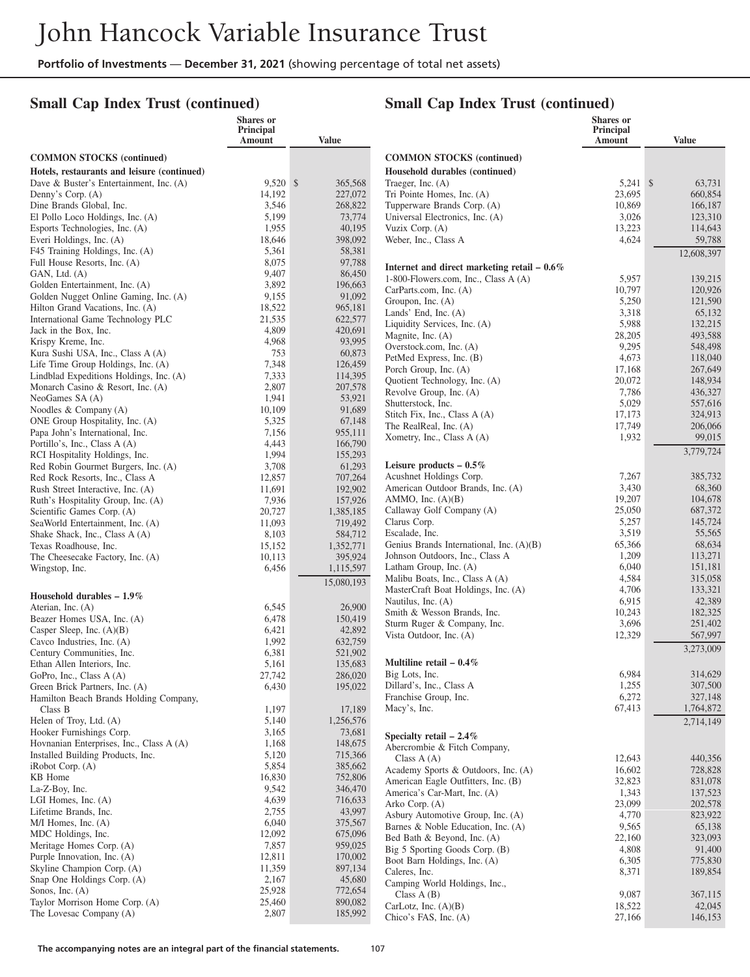### **Small Cap Index Trust (continued)**

### **Small Cap Index Trust (continued)**

|                                                                          | <b>Shares</b> or<br>Principal<br>Amount | <b>Value</b>         |                                                                                       | Shares or<br>Principal<br>Amount | <b>Value</b>       |
|--------------------------------------------------------------------------|-----------------------------------------|----------------------|---------------------------------------------------------------------------------------|----------------------------------|--------------------|
| <b>COMMON STOCKS (continued)</b>                                         |                                         |                      | <b>COMMON STOCKS (continued)</b>                                                      |                                  |                    |
| Hotels, restaurants and leisure (continued)                              |                                         |                      | Household durables (continued)                                                        |                                  |                    |
| Dave & Buster's Entertainment, Inc. (A)                                  | $9,520$ \$                              | 365,568              | Traeger, Inc. (A)                                                                     | $5,241$ \$                       | 63,731             |
| Denny's Corp. (A)                                                        | 14,192                                  | 227,072              | Tri Pointe Homes, Inc. (A)                                                            | 23,695                           | 660,854            |
| Dine Brands Global, Inc.                                                 | 3,546                                   | 268,822              | Tupperware Brands Corp. (A)                                                           | 10,869                           | 166,187            |
| El Pollo Loco Holdings, Inc. (A)                                         | 5,199                                   | 73,774               | Universal Electronics, Inc. (A)                                                       | 3,026                            | 123,310            |
| Esports Technologies, Inc. (A)                                           | 1,955<br>18,646                         | 40,195<br>398,092    | Vuzix Corp. (A)                                                                       | 13,223<br>4,624                  | 114,643<br>59,788  |
| Everi Holdings, Inc. (A)<br>F45 Training Holdings, Inc. (A)              | 5,361                                   | 58,381               | Weber, Inc., Class A                                                                  |                                  |                    |
| Full House Resorts, Inc. (A)                                             | 8,075                                   | 97,788               |                                                                                       |                                  | 12,608,397         |
| GAN, Ltd. (A)                                                            | 9,407                                   | 86,450               | Internet and direct marketing retail $-0.6\%$<br>1-800-Flowers.com, Inc., Class A (A) |                                  | 139,215            |
| Golden Entertainment, Inc. (A)                                           | 3,892                                   | 196,663              | CarParts.com, Inc. (A)                                                                | 5,957<br>10,797                  | 120,926            |
| Golden Nugget Online Gaming, Inc. (A)                                    | 9,155                                   | 91,092               | Groupon, Inc. (A)                                                                     | 5,250                            | 121,590            |
| Hilton Grand Vacations, Inc. (A)                                         | 18,522                                  | 965,181              | Lands' End, Inc. (A)                                                                  | 3,318                            | 65,132             |
| International Game Technology PLC                                        | 21,535                                  | 622,577              | Liquidity Services, Inc. (A)                                                          | 5,988                            | 132,215            |
| Jack in the Box, Inc.<br>Krispy Kreme, Inc.                              | 4,809<br>4,968                          | 420,691<br>93,995    | Magnite, Inc. (A)                                                                     | 28,205                           | 493,588            |
| Kura Sushi USA, Inc., Class A (A)                                        | 753                                     | 60,873               | Overstock.com, Inc. (A)                                                               | 9,295                            | 548,498            |
| Life Time Group Holdings, Inc. (A)                                       | 7,348                                   | 126,459              | PetMed Express, Inc. (B)                                                              | 4,673                            | 118,040            |
| Lindblad Expeditions Holdings, Inc. (A)                                  | 7,333                                   | 114,395              | Porch Group, Inc. (A)                                                                 | 17.168                           | 267,649            |
| Monarch Casino & Resort, Inc. (A)                                        | 2,807                                   | 207,578              | Quotient Technology, Inc. (A)<br>Revolve Group, Inc. (A)                              | 20,072<br>7,786                  | 148,934<br>436,327 |
| NeoGames SA (A)                                                          | 1,941                                   | 53,921               | Shutterstock, Inc.                                                                    | 5,029                            | 557,616            |
| Noodles & Company (A)                                                    | 10,109                                  | 91,689               | Stitch Fix, Inc., Class A (A)                                                         | 17,173                           | 324,913            |
| ONE Group Hospitality, Inc. (A)                                          | 5,325                                   | 67,148               | The RealReal, Inc. (A)                                                                | 17,749                           | 206,066            |
| Papa John's International, Inc.                                          | 7,156                                   | 955,111              | Xometry, Inc., Class A (A)                                                            | 1,932                            | 99,015             |
| Portillo's, Inc., Class A (A)<br>RCI Hospitality Holdings, Inc.          | 4,443<br>1,994                          | 166,790<br>155,293   |                                                                                       |                                  | 3,779,724          |
| Red Robin Gourmet Burgers, Inc. (A)                                      | 3,708                                   | 61,293               | Leisure products $-0.5\%$                                                             |                                  |                    |
| Red Rock Resorts, Inc., Class A                                          | 12,857                                  | 707,264              | Acushnet Holdings Corp.                                                               | 7,267                            | 385,732            |
| Rush Street Interactive, Inc. (A)                                        | 11,691                                  | 192,902              | American Outdoor Brands, Inc. (A)                                                     | 3,430                            | 68,360             |
| Ruth's Hospitality Group, Inc. (A)                                       | 7,936                                   | 157,926              | AMMO, Inc. $(A)(B)$                                                                   | 19,207                           | 104,678            |
| Scientific Games Corp. (A)                                               | 20,727                                  | 1,385,185            | Callaway Golf Company (A)                                                             | 25,050                           | 687,372            |
| SeaWorld Entertainment, Inc. (A)                                         | 11,093                                  | 719,492              | Clarus Corp.                                                                          | 5,257<br>3,519                   | 145,724            |
| Shake Shack, Inc., Class A (A)                                           | 8,103<br>15,152                         | 584,712<br>1,352,771 | Escalade, Inc.<br>Genius Brands International, Inc. (A)(B)                            | 65,366                           | 55,565<br>68,634   |
| Texas Roadhouse, Inc.<br>The Cheesecake Factory, Inc. (A)                | 10,113                                  | 395,924              | Johnson Outdoors, Inc., Class A                                                       | 1,209                            | 113,271            |
| Wingstop, Inc.                                                           | 6,456                                   | 1,115,597            | Latham Group, Inc. (A)                                                                | 6,040                            | 151,181            |
|                                                                          |                                         | 15,080,193           | Malibu Boats, Inc., Class A (A)                                                       | 4,584                            | 315,058            |
| Household durables $-1.9\%$                                              |                                         |                      | MasterCraft Boat Holdings, Inc. (A)                                                   | 4,706                            | 133,321            |
| Aterian, Inc. (A)                                                        | 6,545                                   | 26,900               | Nautilus, Inc. (A)                                                                    | 6,915                            | 42,389             |
| Beazer Homes USA, Inc. (A)                                               | 6,478                                   | 150,419              | Smith & Wesson Brands, Inc.                                                           | 10,243                           | 182,325            |
| Casper Sleep, Inc. $(A)(B)$                                              | 6,421                                   | 42,892               | Sturm Ruger & Company, Inc.<br>Vista Outdoor, Inc. (A)                                | 3,696<br>12,329                  | 251,402<br>567,997 |
| Cavco Industries, Inc. (A)                                               | 1,992                                   | 632,759              |                                                                                       |                                  |                    |
| Century Communities, Inc.                                                | 6,381                                   | 521,902              |                                                                                       |                                  | 3,273,009          |
| Ethan Allen Interiors, Inc.                                              | 5,161                                   | 135,683              | Multiline retail $-0.4\%$                                                             |                                  |                    |
| GoPro, Inc., Class A (A)                                                 | 27,742<br>6,430                         | 286,020              | Big Lots, Inc.<br>Dillard's, Inc., Class A                                            | 6,984<br>1,255                   | 314,629<br>307,500 |
| Green Brick Partners, Inc. (A)<br>Hamilton Beach Brands Holding Company, |                                         | 195,022              | Franchise Group, Inc.                                                                 | 6,272                            | 327,148            |
| Class B                                                                  | 1,197                                   | 17,189               | Macy's, Inc.                                                                          | 67,413                           | 1,764,872          |
| Helen of Troy, Ltd. (A)                                                  | 5,140                                   | 1,256,576            |                                                                                       |                                  | 2,714,149          |
| Hooker Furnishings Corp.                                                 | 3,165                                   | 73,681               | Specialty retail $-2.4\%$                                                             |                                  |                    |
| Hovnanian Enterprises, Inc., Class A (A)                                 | 1,168                                   | 148,675              | Abercrombie & Fitch Company,                                                          |                                  |                    |
| Installed Building Products, Inc.                                        | 5,120                                   | 715,366              | Class $A(A)$                                                                          | 12,643                           | 440,356            |
| $i$ Robot Corp. $(A)$                                                    | 5,854                                   | 385,662              | Academy Sports & Outdoors, Inc. (A)                                                   | 16,602                           | 728,828            |
| KB Home                                                                  | 16,830                                  | 752,806              | American Eagle Outfitters, Inc. (B)                                                   | 32,823                           | 831,078            |
| La-Z-Boy, Inc.<br>LGI Homes, Inc. $(A)$                                  | 9,542<br>4,639                          | 346,470<br>716,633   | America's Car-Mart, Inc. (A)                                                          | 1,343                            | 137,523            |
| Lifetime Brands, Inc.                                                    | 2,755                                   | 43,997               | Arko Corp. (A)                                                                        | 23,099                           | 202,578            |
| $M/I$ Homes, Inc. $(A)$                                                  | 6,040                                   | 375,567              | Asbury Automotive Group, Inc. (A)                                                     | 4,770                            | 823,922            |
| MDC Holdings, Inc.                                                       | 12,092                                  | 675,096              | Barnes & Noble Education, Inc. (A)<br>Bed Bath & Beyond, Inc. (A)                     | 9,565<br>22,160                  | 65,138<br>323,093  |
| Meritage Homes Corp. (A)                                                 | 7,857                                   | 959,025              | Big 5 Sporting Goods Corp. (B)                                                        | 4,808                            | 91,400             |
| Purple Innovation, Inc. (A)                                              | 12,811                                  | 170,002              | Boot Barn Holdings, Inc. (A)                                                          | 6,305                            | 775,830            |
| Skyline Champion Corp. (A)                                               | 11,359                                  | 897,134              | Caleres, Inc.                                                                         | 8,371                            | 189,854            |
| Snap One Holdings Corp. (A)                                              | 2,167                                   | 45,680               | Camping World Holdings, Inc.,                                                         |                                  |                    |
| Sonos, Inc. $(A)$<br>Taylor Morrison Home Corp. (A)                      | 25,928<br>25,460                        | 772,654<br>890,082   | Class $A(B)$                                                                          | 9,087                            | 367,115            |
| The Lovesac Company (A)                                                  | 2,807                                   | 185,992              | CarLotz, Inc. $(A)(B)$                                                                | 18,522                           | 42,045             |
|                                                                          |                                         |                      | Chico's FAS, Inc. (A)                                                                 | 27,166                           | 146,153            |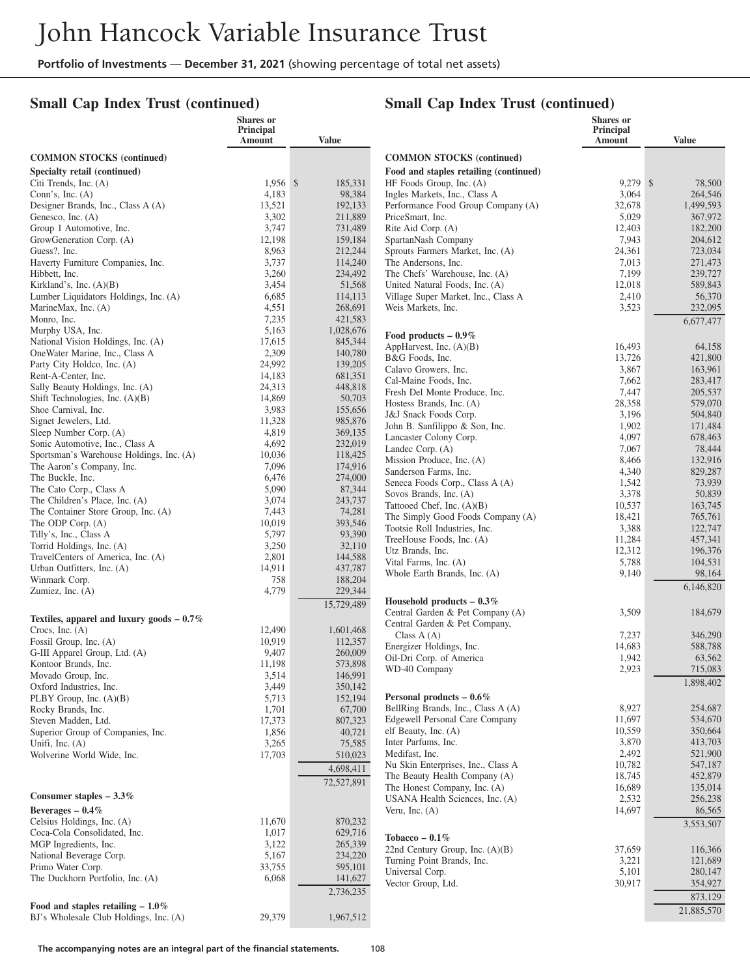### **Small Cap Index Trust (continued)**

# **Small Cap Index Trust (continued)**

|                                                                             | Shares or<br>Principal |                      |                                                               | <b>Shares</b> or<br>Principal |                      |
|-----------------------------------------------------------------------------|------------------------|----------------------|---------------------------------------------------------------|-------------------------------|----------------------|
|                                                                             | Amount                 | <b>Value</b>         |                                                               | Amount                        | <b>Value</b>         |
| <b>COMMON STOCKS (continued)</b>                                            |                        |                      | <b>COMMON STOCKS</b> (continued)                              |                               |                      |
| Specialty retail (continued)                                                |                        |                      | Food and staples retailing (continued)                        |                               |                      |
| Citi Trends, Inc. (A)                                                       | 1,956 \$               | 185,331              | HF Foods Group, Inc. (A)                                      | 9,279 \$                      | 78,500               |
| Conn's, Inc. $(A)$                                                          | 4,183                  | 98,384               | Ingles Markets, Inc., Class A                                 | 3,064                         | 264,546              |
| Designer Brands, Inc., Class A (A)<br>Genesco, Inc. (A)                     | 13,521<br>3,302        | 192,133<br>211,889   | Performance Food Group Company (A)<br>PriceSmart, Inc.        | 32,678<br>5,029               | 1.499.593<br>367,972 |
| Group 1 Automotive, Inc.                                                    | 3,747                  | 731,489              | Rite Aid Corp. (A)                                            | 12,403                        | 182,200              |
| GrowGeneration Corp. (A)                                                    | 12,198                 | 159,184              | SpartanNash Company                                           | 7,943                         | 204,612              |
| Guess?, Inc.                                                                | 8,963                  | 212,244              | Sprouts Farmers Market, Inc. (A)                              | 24,361                        | 723,034              |
| Haverty Furniture Companies, Inc.                                           | 3,737                  | 114,240              | The Andersons, Inc.                                           | 7,013                         | 271,473              |
| Hibbett, Inc.                                                               | 3,260                  | 234,492              | The Chefs' Warehouse, Inc. (A)                                | 7,199                         | 239,727              |
| Kirkland's, Inc. $(A)(B)$                                                   | 3,454                  | 51,568               | United Natural Foods, Inc. (A)                                | 12,018                        | 589,843              |
| Lumber Liquidators Holdings, Inc. (A)                                       | 6,685                  | 114,113              | Village Super Market, Inc., Class A                           | 2,410                         | 56,370               |
| MarineMax, Inc. (A)                                                         | 4,551                  | 268,691              | Weis Markets, Inc.                                            | 3,523                         | 232,095              |
| Monro, Inc.                                                                 | 7,235<br>5,163         | 421,583<br>1,028,676 |                                                               |                               | 6,677,477            |
| Murphy USA, Inc.<br>National Vision Holdings, Inc. (A)                      | 17,615                 | 845,344              | Food products $-0.9\%$                                        |                               |                      |
| OneWater Marine, Inc., Class A                                              | 2,309                  | 140,780              | AppHarvest, Inc. (A)(B)                                       | 16,493                        | 64,158               |
| Party City Holdco, Inc. (A)                                                 | 24,992                 | 139,205              | B&G Foods, Inc.                                               | 13,726                        | 421,800              |
| Rent-A-Center, Inc.                                                         | 14,183                 | 681,351              | Calavo Growers, Inc.<br>Cal-Maine Foods, Inc.                 | 3,867<br>7,662                | 163,961              |
| Sally Beauty Holdings, Inc. (A)                                             | 24,313                 | 448,818              | Fresh Del Monte Produce, Inc.                                 | 7,447                         | 283,417<br>205,537   |
| Shift Technologies, Inc. (A)(B)                                             | 14,869                 | 50,703               | Hostess Brands, Inc. (A)                                      | 28,358                        | 579,070              |
| Shoe Carnival, Inc.                                                         | 3,983                  | 155,656              | J&J Snack Foods Corp.                                         | 3,196                         | 504,840              |
| Signet Jewelers, Ltd.                                                       | 11,328                 | 985,876              | John B. Sanfilippo & Son, Inc.                                | 1,902                         | 171,484              |
| Sleep Number Corp. (A)                                                      | 4,819                  | 369,135              | Lancaster Colony Corp.                                        | 4,097                         | 678,463              |
| Sonic Automotive, Inc., Class A<br>Sportsman's Warehouse Holdings, Inc. (A) | 4,692<br>10,036        | 232,019<br>118,425   | Landec Corp. (A)                                              | 7,067                         | 78,444               |
| The Aaron's Company, Inc.                                                   | 7,096                  | 174,916              | Mission Produce, Inc. (A)                                     | 8,466                         | 132,916              |
| The Buckle, Inc.                                                            | 6,476                  | 274,000              | Sanderson Farms, Inc.                                         | 4,340                         | 829,287              |
| The Cato Corp., Class A                                                     | 5,090                  | 87,344               | Seneca Foods Corp., Class A (A)<br>Sovos Brands, Inc. (A)     | 1,542<br>3,378                | 73,939<br>50,839     |
| The Children's Place, Inc. (A)                                              | 3,074                  | 243,737              | Tattooed Chef, Inc. (A)(B)                                    | 10,537                        | 163,745              |
| The Container Store Group, Inc. (A)                                         | 7,443                  | 74,281               | The Simply Good Foods Company (A)                             | 18,421                        | 765,761              |
| The ODP Corp. (A)                                                           | 10,019                 | 393,546              | Tootsie Roll Industries, Inc.                                 | 3,388                         | 122,747              |
| Tilly's, Inc., Class A                                                      | 5,797                  | 93,390<br>32,110     | TreeHouse Foods, Inc. (A)                                     | 11,284                        | 457,341              |
| Torrid Holdings, Inc. (A)<br>TravelCenters of America, Inc. (A)             | 3,250<br>2,801         | 144,588              | Utz Brands, Inc.                                              | 12,312                        | 196,376              |
| Urban Outfitters, Inc. (A)                                                  | 14,911                 | 437,787              | Vital Farms, Inc. (A)                                         | 5,788                         | 104,531              |
| Winmark Corp.                                                               | 758                    | 188,204              | Whole Earth Brands, Inc. (A)                                  | 9,140                         | 98,164               |
| Zumiez, Inc. (A)                                                            | 4,779                  | 229,344              |                                                               |                               | 6,146,820            |
|                                                                             |                        | 15,729,489           | Household products $-0.3\%$                                   |                               |                      |
| Textiles, apparel and luxury goods $-0.7\%$                                 |                        |                      | Central Garden & Pet Company (A)                              | 3,509                         | 184,679              |
| Crocs, Inc. $(A)$                                                           | 12,490                 | 1,601,468            | Central Garden & Pet Company,<br>Class $A(A)$                 | 7,237                         | 346,290              |
| Fossil Group, Inc. (A)                                                      | 10,919                 | 112,357              | Energizer Holdings, Inc.                                      | 14,683                        | 588,788              |
| G-III Apparel Group, Ltd. (A)                                               | 9,407                  | 260,009              | Oil-Dri Corp. of America                                      | 1,942                         | 63,562               |
| Kontoor Brands, Inc.                                                        | 11,198                 | 573,898              | WD-40 Company                                                 | 2,923                         | 715,083              |
| Movado Group, Inc.                                                          | 3,514                  | 146,991              |                                                               |                               | 1,898,402            |
| Oxford Industries, Inc.<br>PLBY Group, Inc. (A)(B)                          | 3,449<br>5,713         | 350,142<br>152,194   | Personal products $-0.6\%$                                    |                               |                      |
| Rocky Brands, Inc.                                                          | 1,701                  | 67,700               | BellRing Brands, Inc., Class A (A)                            | 8,927                         | 254,687              |
| Steven Madden, Ltd.                                                         | 17,373                 | 807,323              | <b>Edgewell Personal Care Company</b>                         | 11,697                        | 534,670              |
| Superior Group of Companies, Inc.                                           | 1,856                  | 40,721               | elf Beauty, Inc. (A)                                          | 10,559                        | 350,664              |
| Unifi, Inc. $(A)$                                                           | 3,265                  | 75,585               | Inter Parfums, Inc.                                           | 3,870                         | 413,703              |
| Wolverine World Wide, Inc.                                                  | 17,703                 | 510,023              | Medifast, Inc.                                                | 2,492                         | 521,900              |
|                                                                             |                        | 4,698,411            | Nu Skin Enterprises, Inc., Class A                            | 10,782<br>18,745              | 547,187              |
|                                                                             |                        | 72,527,891           | The Beauty Health Company (A)<br>The Honest Company, Inc. (A) | 16,689                        | 452,879<br>135,014   |
| Consumer staples $-3.3\%$                                                   |                        |                      | USANA Health Sciences, Inc. (A)                               | 2,532                         | 256,238              |
| Beverages $-0.4\%$                                                          |                        |                      | Veru, Inc. $(A)$                                              | 14,697                        | 86,565               |
| Celsius Holdings, Inc. (A)                                                  | 11,670                 | 870,232              |                                                               |                               | 3,553,507            |
| Coca-Cola Consolidated, Inc.                                                | 1,017                  | 629,716              | Tobacco – $0.1\%$                                             |                               |                      |
| MGP Ingredients, Inc.                                                       | 3,122                  | 265,339              | 22nd Century Group, Inc. (A)(B)                               | 37,659                        | 116,366              |
| National Beverage Corp.                                                     | 5,167                  | 234,220              | Turning Point Brands, Inc.                                    | 3,221                         | 121,689              |
| Primo Water Corp.                                                           | 33,755                 | 595,101              | Universal Corp.                                               | 5,101                         | 280,147              |
| The Duckhorn Portfolio, Inc. (A)                                            | 6,068                  | 141,627              | Vector Group, Ltd.                                            | 30,917                        | 354,927              |
|                                                                             |                        | 2,736,235            |                                                               |                               | 873,129              |
| Food and staples retailing $-1.0\%$                                         |                        |                      |                                                               |                               | 21,885,570           |
| BJ's Wholesale Club Holdings, Inc. (A)                                      | 29,379                 | 1,967,512            |                                                               |                               |                      |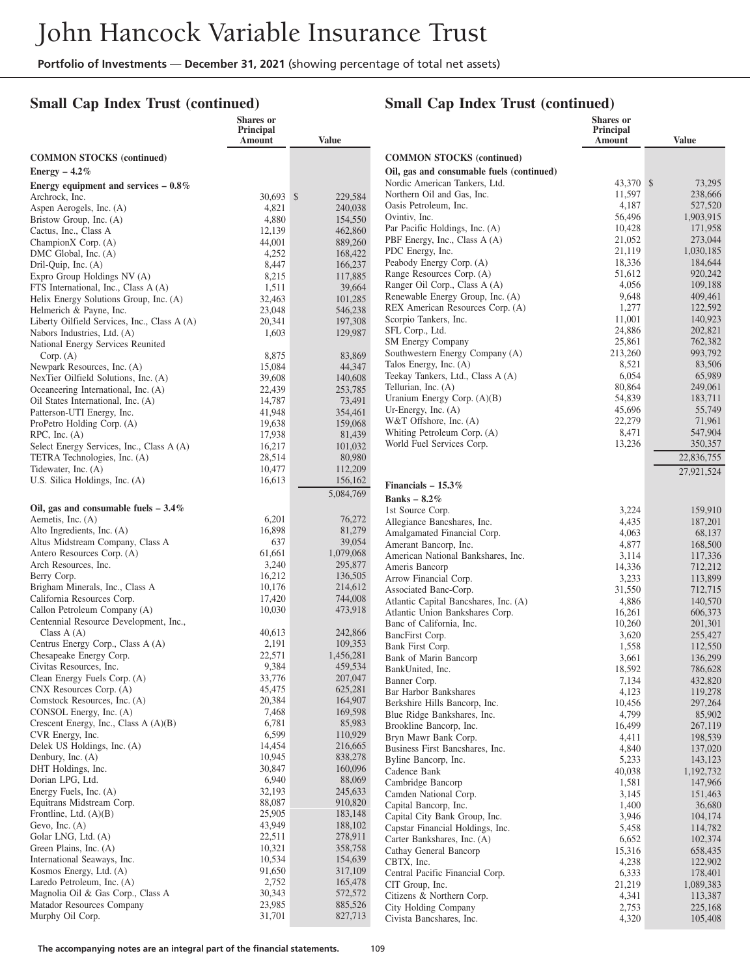## **Small Cap Index Trust (continued)**

## **Small Cap Index Trust (continued)**

**Shares or Principal**

|                                                                           | Shares or<br>Principal<br>Amount | <b>Value</b>       |                                                             | Shares or<br>Principal<br>Amount | <b>Value</b>       |
|---------------------------------------------------------------------------|----------------------------------|--------------------|-------------------------------------------------------------|----------------------------------|--------------------|
| <b>COMMON STOCKS</b> (continued)                                          |                                  |                    | <b>COMMON STOCKS</b> (continued)                            |                                  |                    |
| Energy $-4.2\%$                                                           |                                  |                    | Oil, gas and consumable fuels (continued)                   |                                  |                    |
| Energy equipment and services $-0.8\%$                                    |                                  |                    | Nordic American Tankers, Ltd.                               | 43,370 \$                        | 73,295             |
| Archrock, Inc.                                                            | 30,693 \$                        | 229,584            | Northern Oil and Gas, Inc.                                  | 11,597                           | 238,666            |
| Aspen Aerogels, Inc. (A)                                                  | 4,821                            | 240,038            | Oasis Petroleum, Inc.                                       | 4,187                            | 527,520            |
| Bristow Group, Inc. (A)                                                   | 4,880                            | 154,550            | Ovintiv, Inc.                                               | 56,496                           | 1,903,915          |
| Cactus, Inc., Class A                                                     | 12,139                           | 462,860            | Par Pacific Holdings, Inc. (A)                              | 10,428                           | 171,958            |
| ChampionX Corp. (A)                                                       | 44,001                           | 889,260            | PBF Energy, Inc., Class A (A)                               | 21,052                           | 273,044            |
| DMC Global, Inc. (A)                                                      | 4,252                            | 168,422            | PDC Energy, Inc.                                            | 21,119                           | 1,030,185          |
| Dril-Quip, Inc. (A)                                                       | 8,447                            | 166,237            | Peabody Energy Corp. (A)                                    | 18,336                           | 184,644            |
| Expro Group Holdings NV (A)                                               | 8,215                            | 117,885            | Range Resources Corp. (A)                                   | 51,612                           | 920,242            |
| FTS International, Inc., Class A (A)                                      | 1,511                            | 39,664             | Ranger Oil Corp., Class A (A)                               | 4,056                            | 109,188            |
| Helix Energy Solutions Group, Inc. (A)                                    | 32,463                           | 101,285            | Renewable Energy Group, Inc. (A)                            | 9,648                            | 409,461            |
| Helmerich & Payne, Inc.                                                   | 23,048                           | 546,238            | REX American Resources Corp. (A)                            | 1,277                            | 122,592            |
| Liberty Oilfield Services, Inc., Class A (A)                              | 20,341                           | 197,308            | Scorpio Tankers, Inc.                                       | 11,001                           | 140,923            |
| Nabors Industries, Ltd. (A)                                               | 1,603                            | 129,987            | SFL Corp., Ltd.                                             | 24,886                           | 202,821            |
| National Energy Services Reunited                                         |                                  |                    | SM Energy Company                                           | 25,861                           | 762,382            |
| Corp. (A)                                                                 | 8,875                            | 83,869             | Southwestern Energy Company (A)                             | 213,260                          | 993,792            |
| Newpark Resources, Inc. (A)                                               | 15,084                           | 44,347             | Talos Energy, Inc. (A)                                      | 8,521                            | 83,506             |
| NexTier Oilfield Solutions, Inc. (A)                                      | 39,608                           | 140,608            | Teekay Tankers, Ltd., Class A (A)                           | 6,054                            | 65,989             |
| Oceaneering International, Inc. (A)                                       | 22,439                           | 253,785            | Tellurian, Inc. (A)                                         | 80,864                           | 249,061            |
| Oil States International, Inc. (A)                                        | 14,787                           | 73,491             | Uranium Energy Corp. (A)(B)<br>Ur-Energy, Inc. $(A)$        | 54,839<br>45,696                 | 183,711<br>55,749  |
| Patterson-UTI Energy, Inc.                                                | 41,948                           | 354,461            | W&T Offshore, Inc. (A)                                      | 22,279                           | 71,961             |
| ProPetro Holding Corp. (A)                                                | 19,638                           | 159,068            | Whiting Petroleum Corp. (A)                                 | 8,471                            | 547,904            |
| $RPC$ , Inc. $(A)$                                                        | 17,938                           | 81,439             | World Fuel Services Corp.                                   | 13,236                           | 350,357            |
| Select Energy Services, Inc., Class A (A)<br>TETRA Technologies, Inc. (A) | 16,217<br>28,514                 | 101,032<br>80,980  |                                                             |                                  | 22,836,755         |
| Tidewater, Inc. (A)                                                       | 10,477                           | 112,209            |                                                             |                                  |                    |
| U.S. Silica Holdings, Inc. (A)                                            | 16,613                           | 156,162            |                                                             |                                  | 27,921,524         |
|                                                                           |                                  | 5,084,769          | Financials $-15.3\%$                                        |                                  |                    |
|                                                                           |                                  |                    | Banks $-8.2\%$                                              |                                  |                    |
| Oil, gas and consumable fuels $-3.4\%$<br>Aemetis, Inc. (A)               | 6,201                            | 76,272             | 1st Source Corp.                                            | 3,224                            | 159,910            |
| Alto Ingredients, Inc. (A)                                                | 16,898                           | 81,279             | Allegiance Bancshares, Inc.                                 | 4,435                            | 187,201            |
| Altus Midstream Company, Class A                                          | 637                              | 39,054             | Amalgamated Financial Corp.                                 | 4,063<br>4,877                   | 68,137             |
| Antero Resources Corp. (A)                                                | 61,661                           | 1,079,068          | Amerant Bancorp, Inc.<br>American National Bankshares, Inc. | 3,114                            | 168,500<br>117,336 |
| Arch Resources, Inc.                                                      | 3,240                            | 295,877            | Ameris Bancorp                                              | 14,336                           | 712,212            |
| Berry Corp.                                                               | 16,212                           | 136,505            | Arrow Financial Corp.                                       | 3,233                            | 113,899            |
| Brigham Minerals, Inc., Class A                                           | 10,176                           | 214,612            | Associated Banc-Corp.                                       | 31,550                           | 712,715            |
| California Resources Corp.                                                | 17,420                           | 744,008            | Atlantic Capital Bancshares, Inc. (A)                       | 4,886                            | 140,570            |
| Callon Petroleum Company (A)                                              | 10,030                           | 473,918            | Atlantic Union Bankshares Corp.                             | 16,261                           | 606,373            |
| Centennial Resource Development, Inc.,                                    |                                  |                    | Banc of California, Inc.                                    | 10,260                           | 201,301            |
| Class $A(A)$                                                              | 40,613                           | 242,866            | BancFirst Corp.                                             | 3,620                            | 255,427            |
| Centrus Energy Corp., Class A (A)                                         | 2,191                            | 109,353            | Bank First Corp.                                            | 1,558                            | 112,550            |
| Chesapeake Energy Corp.                                                   | 22,571                           | 1,456,281          | Bank of Marin Bancorp                                       | 3,661                            | 136,299            |
| Civitas Resources, Inc.<br>Clean Energy Fuels Corp. (A)                   | 9,384<br>33,776                  | 459,534<br>207,047 | BankUnited, Inc.                                            | 18,592                           | 786,628            |
| CNX Resources Corp. (A)                                                   | 45,475                           | 625,281            | Banner Corp.                                                | 7,134                            | 432,820            |
| Comstock Resources, Inc. (A)                                              | 20,384                           | 164,907            | Bar Harbor Bankshares                                       | 4,123                            | 119,278            |
| CONSOL Energy, Inc. (A)                                                   | 7,468                            | 169,598            | Berkshire Hills Bancorp, Inc.                               | 10,456                           | 297,264            |
| Crescent Energy, Inc., Class $A(A)(B)$                                    | 6,781                            | 85,983             | Blue Ridge Bankshares, Inc.                                 | 4,799                            | 85,902             |
| CVR Energy, Inc.                                                          | 6,599                            | 110,929            | Brookline Bancorp, Inc.<br>Bryn Mawr Bank Corp.             | 16,499<br>4,411                  | 267,119<br>198,539 |
| Delek US Holdings, Inc. (A)                                               | 14,454                           | 216,665            | Business First Bancshares, Inc.                             | 4,840                            | 137,020            |
| Denbury, Inc. $(A)$                                                       | 10,945                           | 838,278            | Byline Bancorp, Inc.                                        | 5,233                            | 143,123            |
| DHT Holdings, Inc.                                                        | 30,847                           | 160,096            | Cadence Bank                                                | 40,038                           | 1,192,732          |
| Dorian LPG, Ltd.                                                          | 6,940                            | 88,069             | Cambridge Bancorp                                           | 1,581                            | 147,966            |
| Energy Fuels, Inc. (A)                                                    | 32,193                           | 245,633            | Camden National Corp.                                       | 3,145                            | 151,463            |
| Equitrans Midstream Corp.                                                 | 88,087                           | 910,820            | Capital Bancorp, Inc.                                       | 1,400                            | 36,680             |
| Frontline, Ltd. $(A)(B)$                                                  | 25,905                           | 183,148            | Capital City Bank Group, Inc.                               | 3,946                            | 104,174            |
| Gevo, Inc. $(A)$                                                          | 43,949                           | 188,102            | Capstar Financial Holdings, Inc.                            | 5,458                            | 114,782            |
| Golar LNG, Ltd. (A)                                                       | 22,511                           | 278,911            | Carter Bankshares, Inc. (A)                                 | 6,652                            | 102,374            |
| Green Plains, Inc. (A)                                                    | 10,321                           | 358,758            | Cathay General Bancorp                                      | 15,316                           | 658,435            |
| International Seaways, Inc.                                               | 10,534                           | 154,639            | CBTX, Inc.                                                  | 4,238                            | 122,902            |
| Kosmos Energy, Ltd. (A)                                                   | 91,650<br>2,752                  | 317,109            | Central Pacific Financial Corp.                             | 6,333                            | 178,401            |
| Laredo Petroleum, Inc. (A)<br>Magnolia Oil & Gas Corp., Class A           | 30,343                           | 165,478<br>572,572 | CIT Group, Inc.                                             | 21,219                           | 1,089,383          |
| Matador Resources Company                                                 | 23,985                           | 885,526            | Citizens & Northern Corp.                                   | 4,341                            | 113,387            |
| Murphy Oil Corp.                                                          | 31,701                           | 827,713            | City Holding Company<br>Civista Bancshares, Inc.            | 2,753                            | 225,168            |
|                                                                           |                                  |                    |                                                             | 4,320                            | 105,408            |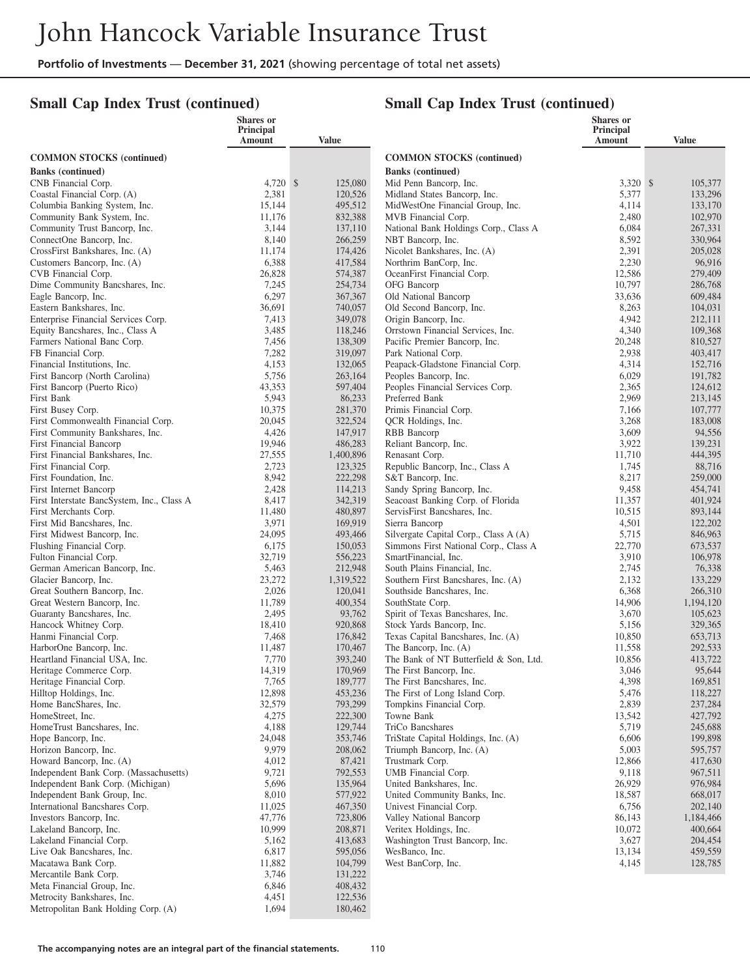## **Small Cap Index Trust (continued)**

|                                                                         | Shares or<br>Principal |              |                    |                                                                 | Shares or<br>Principal |                      |
|-------------------------------------------------------------------------|------------------------|--------------|--------------------|-----------------------------------------------------------------|------------------------|----------------------|
|                                                                         | Amount                 | <b>Value</b> |                    |                                                                 | Amount                 | Value                |
| <b>COMMON STOCKS</b> (continued)                                        |                        |              |                    | <b>COMMON STOCKS (continued)</b>                                |                        |                      |
| <b>Banks</b> (continued)                                                |                        |              |                    | <b>Banks</b> (continued)                                        |                        |                      |
| CNB Financial Corp.                                                     | 4,720 \$               |              | 125,080            | Mid Penn Bancorp, Inc.                                          | 3.320 \$               | 105,377              |
| Coastal Financial Corp. (A)                                             | 2,381                  |              | 120,526            | Midland States Bancorp, Inc.                                    | 5,377                  | 133,296              |
| Columbia Banking System, Inc.                                           | 15,144                 |              | 495,512            | MidWestOne Financial Group, Inc.                                | 4,114                  | 133,170              |
| Community Bank System, Inc.<br>Community Trust Bancorp, Inc.            | 11,176<br>3,144        |              | 832,388<br>137,110 | MVB Financial Corp.<br>National Bank Holdings Corp., Class A    | 2,480<br>6,084         | 102,970<br>267,331   |
| ConnectOne Bancorp, Inc.                                                | 8,140                  |              | 266,259            | NBT Bancorp, Inc.                                               | 8,592                  | 330,964              |
| CrossFirst Bankshares, Inc. (A)                                         | 11,174                 |              | 174,426            | Nicolet Bankshares, Inc. (A)                                    | 2,391                  | 205,028              |
| Customers Bancorp, Inc. (A)                                             | 6,388                  |              | 417,584            | Northrim BanCorp, Inc.                                          | 2,230                  | 96,916               |
| CVB Financial Corp.                                                     | 26,828                 |              | 574,387            | OceanFirst Financial Corp.                                      | 12,586                 | 279,409              |
| Dime Community Bancshares, Inc.                                         | 7,245                  |              | 254,734            | OFG Bancorp                                                     | 10,797                 | 286,768              |
| Eagle Bancorp, Inc.                                                     | 6,297                  |              | 367,367            | Old National Bancorp                                            | 33,636                 | 609,484              |
| Eastern Bankshares, Inc.                                                | 36,691                 |              | 740,057            | Old Second Bancorp, Inc.                                        | 8,263                  | 104,031              |
| Enterprise Financial Services Corp.<br>Equity Bancshares, Inc., Class A | 7,413<br>3,485         |              | 349,078<br>118,246 | Origin Bancorp, Inc.<br>Orrstown Financial Services, Inc.       | 4,942<br>4,340         | 212,111<br>109,368   |
| Farmers National Banc Corp.                                             | 7,456                  |              | 138,309            | Pacific Premier Bancorp, Inc.                                   | 20,248                 | 810,527              |
| FB Financial Corp.                                                      | 7,282                  |              | 319,097            | Park National Corp.                                             | 2,938                  | 403,417              |
| Financial Institutions, Inc.                                            | 4,153                  |              | 132,065            | Peapack-Gladstone Financial Corp.                               | 4,314                  | 152,716              |
| First Bancorp (North Carolina)                                          | 5,756                  |              | 263,164            | Peoples Bancorp, Inc.                                           | 6,029                  | 191,782              |
| First Bancorp (Puerto Rico)                                             | 43,353                 |              | 597,404            | Peoples Financial Services Corp.                                | 2,365                  | 124,612              |
| First Bank                                                              | 5,943                  |              | 86,233             | Preferred Bank                                                  | 2,969                  | 213,145              |
| First Busey Corp.                                                       | 10,375                 |              | 281,370            | Primis Financial Corp.                                          | 7,166                  | 107,777              |
| First Commonwealth Financial Corp.                                      | 20,045<br>4,426        |              | 322,524            | QCR Holdings, Inc.                                              | 3,268                  | 183,008              |
| First Community Bankshares, Inc.<br>First Financial Bancorp             | 19,946                 |              | 147,917<br>486,283 | RBB Bancorp<br>Reliant Bancorp, Inc.                            | 3,609<br>3,922         | 94,556<br>139,231    |
| First Financial Bankshares, Inc.                                        | 27,555                 | 1,400,896    |                    | Renasant Corp.                                                  | 11,710                 | 444,395              |
| First Financial Corp.                                                   | 2,723                  |              | 123,325            | Republic Bancorp, Inc., Class A                                 | 1,745                  | 88,716               |
| First Foundation, Inc.                                                  | 8,942                  |              | 222,298            | S&T Bancorp, Inc.                                               | 8,217                  | 259,000              |
| First Internet Bancorp                                                  | 2,428                  |              | 114,213            | Sandy Spring Bancorp, Inc.                                      | 9,458                  | 454,741              |
| First Interstate BancSystem, Inc., Class A                              | 8,417                  |              | 342,319            | Seacoast Banking Corp. of Florida                               | 11,357                 | 401,924              |
| First Merchants Corp.                                                   | 11,480                 |              | 480,897            | ServisFirst Bancshares, Inc.                                    | 10,515                 | 893,144              |
| First Mid Bancshares, Inc.<br>First Midwest Bancorp, Inc.               | 3,971<br>24,095        |              | 169,919<br>493,466 | Sierra Bancorp<br>Silvergate Capital Corp., Class A (A)         | 4,501<br>5,715         | 122,202<br>846,963   |
| Flushing Financial Corp.                                                | 6,175                  |              | 150,053            | Simmons First National Corp., Class A                           | 22,770                 | 673,537              |
| Fulton Financial Corp.                                                  | 32,719                 |              | 556,223            | SmartFinancial, Inc.                                            | 3,910                  | 106,978              |
| German American Bancorp, Inc.                                           | 5,463                  |              | 212,948            | South Plains Financial, Inc.                                    | 2,745                  | 76,338               |
| Glacier Bancorp, Inc.                                                   | 23,272                 | 1,319,522    |                    | Southern First Bancshares, Inc. (A)                             | 2,132                  | 133,229              |
| Great Southern Bancorp, Inc.                                            | 2,026                  |              | 120,041            | Southside Bancshares, Inc.                                      | 6,368                  | 266,310              |
| Great Western Bancorp, Inc.                                             | 11,789                 |              | 400,354            | SouthState Corp.                                                | 14,906                 | 1,194,120            |
| Guaranty Bancshares, Inc.                                               | 2,495                  |              | 93,762             | Spirit of Texas Bancshares, Inc.                                | 3,670                  | 105,623              |
| Hancock Whitney Corp.<br>Hanmi Financial Corp.                          | 18,410<br>7,468        |              | 920,868<br>176,842 | Stock Yards Bancorp, Inc.<br>Texas Capital Bancshares, Inc. (A) | 5,156<br>10,850        | 329,365<br>653,713   |
| HarborOne Bancorp, Inc.                                                 | 11,487                 |              | 170,467            | The Bancorp, Inc. (A)                                           | 11,558                 | 292,533              |
| Heartland Financial USA, Inc.                                           | 7,770                  |              | 393,240            | The Bank of NT Butterfield & Son, Ltd.                          | 10,856                 | 413,722              |
| Heritage Commerce Corp.                                                 | 14,319                 |              | 170,969            | The First Bancorp, Inc.                                         | 3,046                  | 95,644               |
| Heritage Financial Corp.                                                | 7,765                  |              | 189,777            | The First Bancshares, Inc.                                      | 4,398                  | 169,851              |
| Hilltop Holdings, Inc.                                                  | 12,898                 |              | 453,236            | The First of Long Island Corp.                                  | 5,476                  | 118,227              |
| Home BancShares, Inc.                                                   | 32,579                 |              | 793,299            | Tompkins Financial Corp.                                        | 2,839                  | 237,284              |
| HomeStreet, Inc.<br>HomeTrust Bancshares, Inc.                          | 4,275<br>4,188         |              | 222,300<br>129,744 | Towne Bank<br>TriCo Bancshares                                  | 13,542<br>5,719        | 427,792<br>245,688   |
| Hope Bancorp, Inc.                                                      | 24,048                 |              | 353,746            | TriState Capital Holdings, Inc. (A)                             | 6,606                  | 199,898              |
| Horizon Bancorp, Inc.                                                   | 9,979                  |              | 208,062            | Triumph Bancorp, Inc. (A)                                       | 5,003                  | 595,757              |
| Howard Bancorp, Inc. (A)                                                | 4,012                  |              | 87,421             | Trustmark Corp.                                                 | 12,866                 | 417,630              |
| Independent Bank Corp. (Massachusetts)                                  | 9,721                  |              | 792,553            | UMB Financial Corp.                                             | 9,118                  | 967,511              |
| Independent Bank Corp. (Michigan)                                       | 5,696                  |              | 135,964            | United Bankshares, Inc.                                         | 26,929                 | 976,984              |
| Independent Bank Group, Inc.                                            | 8,010                  |              | 577,922            | United Community Banks, Inc.                                    | 18,587                 | 668,017              |
| International Bancshares Corp.                                          | 11,025                 |              | 467,350            | Univest Financial Corp.                                         | 6,756                  | 202,140              |
| Investors Bancorp, Inc.<br>Lakeland Bancorp, Inc.                       | 47,776<br>10,999       |              | 723,806<br>208,871 | Valley National Bancorp<br>Veritex Holdings, Inc.               | 86,143<br>10,072       | 1,184,466<br>400,664 |
| Lakeland Financial Corp.                                                | 5,162                  |              | 413,683            | Washington Trust Bancorp, Inc.                                  | 3,627                  | 204,454              |
| Live Oak Bancshares, Inc.                                               | 6,817                  |              | 595,056            | WesBanco, Inc.                                                  | 13,134                 | 459,559              |
| Macatawa Bank Corp.                                                     | 11,882                 |              | 104,799            | West BanCorp, Inc.                                              | 4,145                  | 128,785              |
| Mercantile Bank Corp.                                                   | 3,746                  |              | 131,222            |                                                                 |                        |                      |
| Meta Financial Group, Inc.                                              | 6,846                  |              | 408,432            |                                                                 |                        |                      |
| Metrocity Bankshares, Inc.                                              | 4,451                  |              | 122,536            |                                                                 |                        |                      |
| Metropolitan Bank Holding Corp. (A)                                     | 1,694                  |              | 180,462            |                                                                 |                        |                      |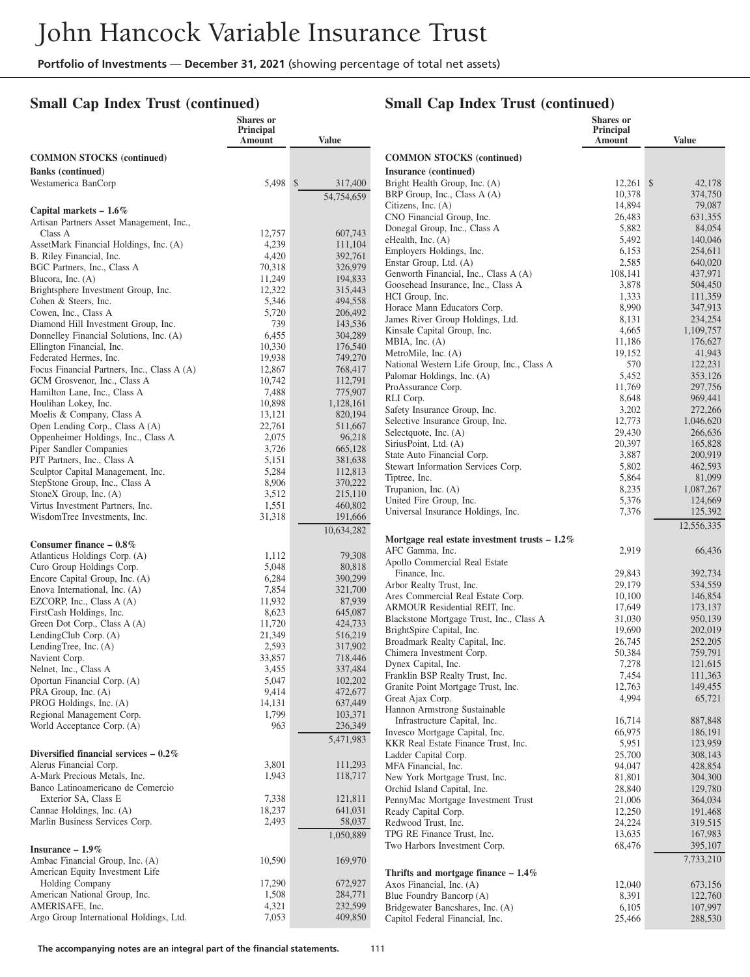## **Small Cap Index Trust (continued)**

|                                                                    | <b>Shares</b> or<br><b>Principal</b><br>Amount | <b>Value</b>            |                |
|--------------------------------------------------------------------|------------------------------------------------|-------------------------|----------------|
| <b>COMMON STOCKS</b> (continued)                                   |                                                |                         | $\alpha$       |
| <b>Banks</b> (continued)                                           |                                                |                         | Ins            |
| Westamerica BanCorp                                                | 5,498                                          | $\mathbb{S}$<br>317,400 | Bri            |
|                                                                    |                                                | 54,754,659              | BR             |
| Capital markets $-1.6\%$                                           |                                                |                         | Cit<br>СŊ      |
| Artisan Partners Asset Management, Inc.,<br>Class A                | 12,757                                         | 607,743                 | Do             |
| AssetMark Financial Holdings, Inc. (A)                             | 4,239                                          | 111,104                 | eH             |
| B. Riley Financial, Inc.                                           | 4,420                                          | 392,761                 | En             |
| BGC Partners, Inc., Class A                                        | 70,318                                         | 326,979                 | En<br>Ge       |
| Blucora, Inc. (A)                                                  | 11,249                                         | 194,833                 | Go             |
| Brightsphere Investment Group, Inc.                                | 12,322                                         | 315,443                 | H              |
| Cohen & Steers, Inc.<br>Cowen, Inc., Class A                       | 5,346<br>5,720                                 | 494,558<br>206,492      | Ho             |
| Diamond Hill Investment Group, Inc.                                | 739                                            | 143,536                 | Jar            |
| Donnelley Financial Solutions, Inc. (A)                            | 6,455                                          | 304,289                 | Ki<br>M        |
| Ellington Financial, Inc.                                          | 10,330                                         | 176,540                 | Mε             |
| Federated Hermes, Inc.                                             | 19,938                                         | 749,270                 | Na             |
| Focus Financial Partners, Inc., Class A (A)                        | 12,867                                         | 768,417<br>112,791      | Pal            |
| GCM Grosvenor, Inc., Class A<br>Hamilton Lane, Inc., Class A       | 10,742<br>7,488                                | 775,907                 | Pro            |
| Houlihan Lokey, Inc.                                               | 10,898                                         | 1,128,161               | RL             |
| Moelis & Company, Class A                                          | 13,121                                         | 820,194                 | Sa:            |
| Open Lending Corp., Class A (A)                                    | 22,761                                         | 511,667                 | Sel<br>Sel     |
| Oppenheimer Holdings, Inc., Class A                                | 2,075                                          | 96,218                  | Sir            |
| Piper Sandler Companies<br>PJT Partners, Inc., Class A             | 3,726<br>5,151                                 | 665,128<br>381,638      | Stε            |
| Sculptor Capital Management, Inc.                                  | 5,284                                          | 112,813                 | Ste            |
| StepStone Group, Inc., Class A                                     | 8,906                                          | 370,222                 | Tip            |
| StoneX Group, Inc. (A)                                             | 3,512                                          | 215,110                 | Tru            |
| Virtus Investment Partners, Inc.                                   | 1,551                                          | 460,802                 | Un<br>Un       |
| WisdomTree Investments, Inc.                                       | 31,318                                         | 191,666                 |                |
|                                                                    |                                                | 10,634,282              | M <sub>0</sub> |
| Consumer finance $-0.8\%$                                          |                                                |                         | AF             |
| Atlanticus Holdings Corp. (A)                                      | 1,112                                          | 79,308                  | Аp             |
| Curo Group Holdings Corp.<br>Encore Capital Group, Inc. (A)        | 5,048<br>6,284                                 | 80,818<br>390,299       |                |
| Enova International, Inc. (A)                                      | 7,854                                          | 321,700                 | Ar             |
| EZCORP, Inc., Class A (A)                                          | 11,932                                         | 87,939                  | Ar             |
| FirstCash Holdings, Inc.                                           | 8,623                                          | 645,087                 | AF<br>Bŀ       |
| Green Dot Corp., Class A (A)                                       | 11,720                                         | 424,733                 | Bri            |
| LendingClub Corp. (A)                                              | 21,349                                         | 516,219                 | Br             |
| LendingTree, Inc. $(A)$<br>Navient Corp.                           | 2,593<br>33,857                                | 317,902<br>718,446      | Ch             |
| Nelnet, Inc., Class A                                              | 3,455                                          | 337,484                 | Dy             |
| Oportun Financial Corp. (A)                                        | 5,047                                          | 102,202                 | Fra            |
| PRA Group, Inc. (A)                                                | 9,414                                          | 472,677                 | Gr<br>Gr       |
| PROG Holdings, Inc. (A)                                            | 14,131                                         | 637,449                 | Ha             |
| Regional Management Corp.<br>World Acceptance Corp. (A)            | 1,799                                          | 103,371                 |                |
|                                                                    | 963                                            | 236,349                 | In\            |
|                                                                    |                                                | 5,471,983               | Kŀ             |
| Diversified financial services $-0.2\%$<br>Alerus Financial Corp.  | 3,801                                          | 111,293                 | La             |
| A-Mark Precious Metals, Inc.                                       | 1,943                                          | 118,717                 | MI<br>Ne       |
| Banco Latinoamericano de Comercio                                  |                                                |                         | Or             |
| Exterior SA, Class E                                               | 7,338                                          | 121,811                 | Pei            |
| Cannae Holdings, Inc. (A)                                          | 18,237                                         | 641,031                 | Re             |
| Marlin Business Services Corp.                                     | 2,493                                          | 58,037                  | Re             |
|                                                                    |                                                | 1,050,889               | TP<br>Tw       |
| Insurance $-1.9\%$                                                 |                                                |                         |                |
| Ambac Financial Group, Inc. (A)<br>American Equity Investment Life | 10,590                                         | 169,970                 |                |
| Holding Company                                                    | 17,290                                         | 672,927                 | Th<br>Ax       |
| American National Group, Inc.                                      | 1,508                                          | 284,771                 | Bli            |
| AMERISAFE, Inc.                                                    | 4,321                                          | 232,599                 | Bri            |
| Argo Group International Holdings, Ltd.                            | 7,053                                          | 409,850                 | Ca             |

|                                                                          | <b>Shares</b> or<br><b>Principal</b><br>Amount | <b>Value</b>         |
|--------------------------------------------------------------------------|------------------------------------------------|----------------------|
| <b>COMMON STOCKS</b> (continued)                                         |                                                |                      |
| Insurance (continued)                                                    |                                                |                      |
| Bright Health Group, Inc. (A)                                            | 12,261                                         | \$<br>42,178         |
| BRP Group, Inc., Class A (A)<br>Citizens, Inc. $(A)$                     | 10,378<br>14,894                               | 374,750<br>79,087    |
| CNO Financial Group, Inc.                                                | 26,483                                         | 631,355              |
| Donegal Group, Inc., Class A                                             | 5,882                                          | 84,054               |
| eHealth, Inc. (A)                                                        | 5,492                                          | 140,046              |
| Employers Holdings, Inc.<br>Enstar Group, Ltd. (A)                       | 6,153<br>2,585                                 | 254,611<br>640,020   |
| Genworth Financial, Inc., Class A (A)                                    | 108,141                                        | 437,971              |
| Goosehead Insurance, Inc., Class A                                       | 3,878                                          | 504,450              |
| HCI Group, Inc.                                                          | 1,333                                          | 111,359              |
| Horace Mann Educators Corp.<br>James River Group Holdings, Ltd.          | 8,990<br>8,131                                 | 347,913<br>234,254   |
| Kinsale Capital Group, Inc.                                              | 4,665                                          | 1,109,757            |
| MBIA, Inc. $(A)$                                                         | 11,186                                         | 176,627              |
| MetroMile, Inc. (A)                                                      | 19,152                                         | 41,943<br>122,231    |
| National Western Life Group, Inc., Class A<br>Palomar Holdings, Inc. (A) | 570<br>5,452                                   | 353,126              |
| ProAssurance Corp.                                                       | 11,769                                         | 297,756              |
| RLI Corp.                                                                | 8,648                                          | 969,441              |
| Safety Insurance Group, Inc.                                             | 3,202                                          | 272,266              |
| Selective Insurance Group, Inc.<br>Selectquote, Inc. (A)                 | 12,773<br>29,430                               | 1,046,620<br>266,636 |
| SiriusPoint, Ltd. (A)                                                    | 20,397                                         | 165,828              |
| State Auto Financial Corp.                                               | 3,887                                          | 200,919              |
| Stewart Information Services Corp.                                       | 5,802                                          | 462,593              |
| Tiptree, Inc.<br>Trupanion, Inc. (A)                                     | 5,864<br>8,235                                 | 81,099<br>1,087,267  |
| United Fire Group, Inc.                                                  | 5,376                                          | 124,669              |
| Universal Insurance Holdings, Inc.                                       | 7,376                                          | 125,392              |
|                                                                          |                                                | 12,556,335           |
| Mortgage real estate investment trusts $-1.2\%$<br>AFC Gamma, Inc.       | 2,919                                          | 66,436               |
| Apollo Commercial Real Estate                                            |                                                |                      |
| Finance, Inc.                                                            | 29,843                                         | 392,734              |
| Arbor Realty Trust, Inc.<br>Ares Commercial Real Estate Corp.            | 29,179                                         | 534,559<br>146,854   |
| ARMOUR Residential REIT, Inc.                                            | 10,100<br>17,649                               | 173,137              |
| Blackstone Mortgage Trust, Inc., Class A                                 | 31,030                                         | 950,139              |
| BrightSpire Capital, Inc.                                                | 19,690                                         | 202,019              |
| Broadmark Realty Capital, Inc.                                           | 26,745<br>50,384                               | 252,205              |
| Chimera Investment Corp.<br>Dynex Capital, Inc.                          | 7,278                                          | 759,791<br>121,615   |
| Franklin BSP Realty Trust, Inc.                                          | 7,454                                          | 111,363              |
| Granite Point Mortgage Trust, Inc.                                       | 12,763                                         | 149,455              |
| Great Ajax Corp.                                                         | 4,994                                          | 65,721               |
| Hannon Armstrong Sustainable<br>Infrastructure Capital, Inc.             | 16,714                                         | 887,848              |
| Invesco Mortgage Capital, Inc.                                           | 66,975                                         | 186,191              |
| KKR Real Estate Finance Trust, Inc.                                      | 5,951                                          | 123,959              |
| Ladder Capital Corp.                                                     | 25,700                                         | 308,143              |
| MFA Financial, Inc.<br>New York Mortgage Trust, Inc.                     | 94,047<br>81,801                               | 428,854<br>304,300   |
| Orchid Island Capital, Inc.                                              | 28,840                                         | 129,780              |
| PennyMac Mortgage Investment Trust                                       | 21,006                                         | 364,034              |
| Ready Capital Corp.                                                      | 12,250                                         | 191,468              |
| Redwood Trust, Inc.<br>TPG RE Finance Trust, Inc.                        | 24,224<br>13,635                               | 319,515<br>167,983   |
| Two Harbors Investment Corp.                                             | 68,476                                         | 395,107              |
|                                                                          |                                                | 7,733,210            |
| Thrifts and mortgage finance $-1.4\%$                                    |                                                |                      |
| Axos Financial, Inc. (A)<br>Blue Foundry Bancorp (A)                     | 12,040<br>8,391                                | 673,156<br>122,760   |
| Bridgewater Bancshares, Inc. (A)                                         | 6,105                                          | 107,997              |
| Capitol Federal Financial, Inc.                                          | 25,466                                         | 288,530              |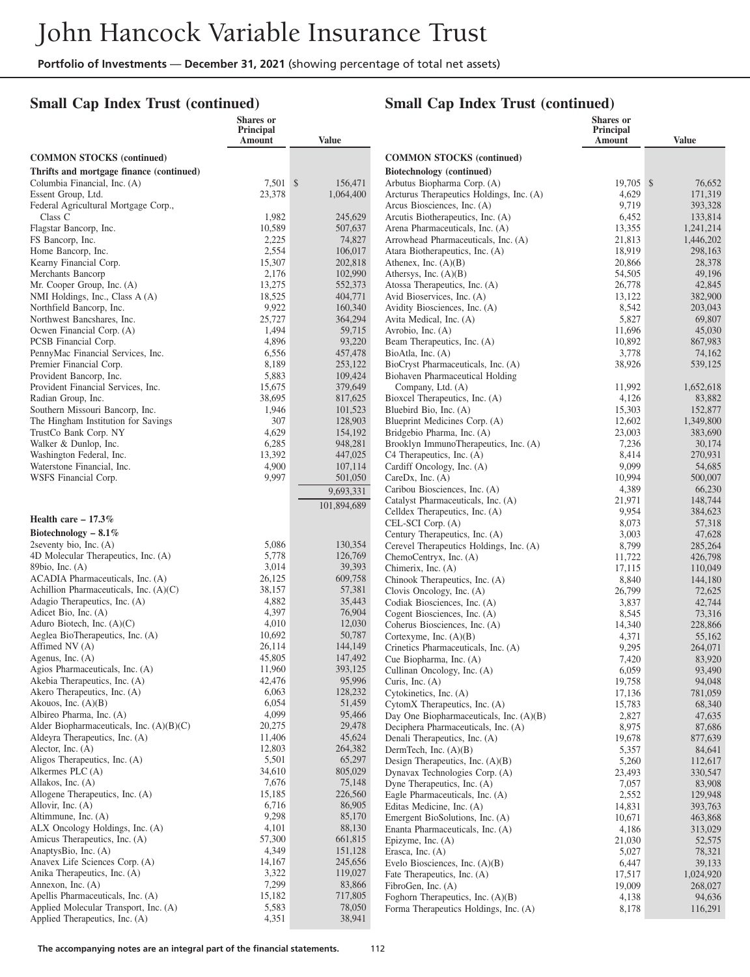## **Small Cap Index Trust (continued)**

## **Small Cap Index Trust (continued)**

|                                          | <b>Shares</b> or<br>Principal<br><b>Amount</b> | <b>Value</b> |                                                                           | Shares or<br>Principal<br>Amount | <b>Value</b>       |
|------------------------------------------|------------------------------------------------|--------------|---------------------------------------------------------------------------|----------------------------------|--------------------|
| <b>COMMON STOCKS (continued)</b>         |                                                |              | <b>COMMON STOCKS</b> (continued)                                          |                                  |                    |
| Thrifts and mortgage finance (continued) |                                                |              | Biotechnology (continued)                                                 |                                  |                    |
| Columbia Financial, Inc. (A)             | 7,501 \$                                       | 156,471      | Arbutus Biopharma Corp. (A)                                               | 19,705 \$                        | 76,652             |
| Essent Group, Ltd.                       | 23,378                                         | 1,064,400    | Arcturus Therapeutics Holdings, Inc. (A)                                  | 4,629                            | 171,319            |
| Federal Agricultural Mortgage Corp.,     |                                                |              | Arcus Biosciences, Inc. (A)                                               | 9,719                            | 393,328            |
| Class C                                  | 1,982                                          | 245,629      | Arcutis Biotherapeutics, Inc. (A)                                         | 6,452                            | 133,814            |
| Flagstar Bancorp, Inc.                   | 10,589                                         | 507,637      | Arena Pharmaceuticals, Inc. (A)                                           | 13,355                           | 1,241,214          |
| FS Bancorp, Inc.                         | 2,225                                          | 74,827       | Arrowhead Pharmaceuticals, Inc. (A)                                       | 21,813                           | 1,446,202          |
| Home Bancorp, Inc.                       | 2,554                                          | 106,017      | Atara Biotherapeutics, Inc. (A)                                           | 18,919                           | 298,163            |
| Kearny Financial Corp.                   | 15,307                                         | 202,818      | Athenex, Inc. $(A)(B)$                                                    | 20,866                           | 28,378             |
| Merchants Bancorp                        | 2,176                                          | 102,990      | Athersys, Inc. $(A)(B)$                                                   | 54,505                           | 49,196             |
| Mr. Cooper Group, Inc. (A)               | 13,275                                         | 552,373      | Atossa Therapeutics, Inc. (A)                                             | 26,778                           | 42,845             |
| NMI Holdings, Inc., Class A (A)          | 18,525                                         | 404,771      | Avid Bioservices, Inc. (A)                                                | 13,122                           | 382,900            |
| Northfield Bancorp, Inc.                 | 9,922                                          | 160,340      | Avidity Biosciences, Inc. (A)                                             | 8,542                            | 203,043            |
| Northwest Bancshares, Inc.               | 25,727                                         | 364,294      | Avita Medical, Inc. (A)                                                   | 5,827                            | 69,807             |
| Ocwen Financial Corp. (A)                | 1,494                                          | 59,715       | Avrobio, Inc. (A)                                                         | 11,696                           | 45,030             |
| PCSB Financial Corp.                     | 4,896                                          | 93,220       | Beam Therapeutics, Inc. (A)                                               | 10,892                           | 867,983            |
| PennyMac Financial Services, Inc.        | 6,556                                          | 457,478      | BioAtla, Inc. (A)                                                         | 3,778                            | 74,162             |
| Premier Financial Corp.                  | 8,189                                          | 253,122      | BioCryst Pharmaceuticals, Inc. (A)                                        | 38,926                           | 539,125            |
| Provident Bancorp, Inc.                  | 5,883                                          | 109,424      | Biohaven Pharmaceutical Holding                                           |                                  |                    |
| Provident Financial Services, Inc.       | 15,675                                         | 379,649      | Company, Ltd. (A)                                                         | 11,992                           | 1,652,618          |
| Radian Group, Inc.                       | 38,695                                         | 817,625      | Bioxcel Therapeutics, Inc. (A)                                            | 4,126                            | 83,882             |
| Southern Missouri Bancorp, Inc.          | 1,946                                          | 101,523      | Bluebird Bio, Inc. (A)                                                    | 15,303                           | 152,877            |
| The Hingham Institution for Savings      | 307                                            | 128,903      | Blueprint Medicines Corp. (A)                                             | 12,602                           | 1.349.800          |
| TrustCo Bank Corp. NY                    | 4,629                                          | 154,192      | Bridgebio Pharma, Inc. (A)                                                | 23,003                           | 383,690            |
| Walker & Dunlop, Inc.                    | 6,285                                          | 948,281      | Brooklyn ImmunoTherapeutics, Inc. (A)                                     | 7,236                            | 30,174             |
| Washington Federal, Inc.                 | 13,392                                         | 447,025      | C4 Therapeutics, Inc. (A)                                                 | 8,414                            | 270,931            |
| Waterstone Financial, Inc.               | 4,900                                          | 107,114      | Cardiff Oncology, Inc. (A)                                                | 9,099                            | 54,685             |
| WSFS Financial Corp.                     | 9,997                                          | 501,050      | CareDx, Inc. $(A)$                                                        | 10,994                           | 500,007            |
|                                          |                                                | 9,693,331    | Caribou Biosciences, Inc. (A)                                             | 4,389                            | 66,230             |
|                                          |                                                | 101,894,689  | Catalyst Pharmaceuticals, Inc. (A)                                        | 21,971                           | 148,744            |
| Health care $-17.3\%$                    |                                                |              | Celldex Therapeutics, Inc. (A)                                            | 9,954                            | 384,623            |
| Biotechnology $-8.1\%$                   |                                                |              | CEL-SCI Corp. (A)                                                         | 8,073                            | 57,318             |
| 2seventy bio, Inc. $(A)$                 | 5,086                                          | 130,354      | Century Therapeutics, Inc. (A)<br>Cerevel Therapeutics Holdings, Inc. (A) | 3,003<br>8,799                   | 47,628             |
| 4D Molecular Therapeutics, Inc. (A)      | 5,778                                          | 126,769      | ChemoCentryx, Inc. (A)                                                    |                                  | 285,264            |
| 89bio, Inc. (A)                          | 3,014                                          | 39,393       | Chimerix, Inc. (A)                                                        | 11,722<br>17,115                 | 426,798<br>110,049 |
| ACADIA Pharmaceuticals, Inc. (A)         | 26,125                                         | 609,758      | Chinook Therapeutics, Inc. (A)                                            | 8,840                            | 144,180            |
| Achillion Pharmaceuticals, Inc. (A)(C)   | 38,157                                         | 57,381       | Clovis Oncology, Inc. (A)                                                 | 26,799                           | 72,625             |
| Adagio Therapeutics, Inc. (A)            | 4,882                                          | 35,443       | Codiak Biosciences, Inc. (A)                                              | 3,837                            | 42,744             |
| Adicet Bio, Inc. (A)                     | 4,397                                          | 76,904       | Cogent Biosciences, Inc. (A)                                              | 8,545                            | 73,316             |
| Aduro Biotech, Inc. $(A)(C)$             | 4,010                                          | 12,030       | Coherus Biosciences, Inc. (A)                                             | 14,340                           | 228,866            |
| Aeglea BioTherapeutics, Inc. (A)         | 10,692                                         | 50,787       | Cortexyme, Inc. (A)(B)                                                    | 4,371                            | 55,162             |
| Affimed NV (A)                           | 26,114                                         | 144,149      | Crinetics Pharmaceuticals, Inc. (A)                                       | 9,295                            | 264,071            |
| Agenus, Inc. (A)                         | 45,805                                         | 147,492      | Cue Biopharma, Inc. (A)                                                   | 7,420                            | 83,920             |
| Agios Pharmaceuticals, Inc. (A)          | 11,960                                         | 393,125      | Cullinan Oncology, Inc. (A)                                               | 6,059                            | 93,490             |
| Akebia Therapeutics, Inc. (A)            | 42,476                                         | 95,996       | Curis, Inc. $(A)$                                                         | 19,758                           | 94,048             |
| Akero Therapeutics, Inc. (A)             | 6,063                                          | 128,232      | Cytokinetics, Inc. (A)                                                    | 17,136                           | 781,059            |
| Akouos, Inc. $(A)(B)$                    | 6,054                                          | 51,459       | CytomX Therapeutics, Inc. (A)                                             | 15,783                           | 68,340             |
| Albireo Pharma, Inc. (A)                 | 4,099                                          | 95,466       | Day One Biopharmaceuticals, Inc. (A)(B)                                   | 2,827                            | 47,635             |
| Alder Biopharmaceuticals, Inc. (A)(B)(C) | 20,275                                         | 29,478       | Deciphera Pharmaceuticals, Inc. (A)                                       | 8,975                            | 87,686             |
| Aldeyra Therapeutics, Inc. (A)           | 11,406                                         | 45,624       | Denali Therapeutics, Inc. (A)                                             | 19,678                           | 877,639            |
| Alector, Inc. $(A)$                      | 12,803                                         | 264,382      | DermTech, Inc. (A)(B)                                                     | 5,357                            | 84,641             |
| Aligos Therapeutics, Inc. (A)            | 5,501                                          | 65,297       | Design Therapeutics, Inc. $(A)(B)$                                        | 5,260                            | 112,617            |
| Alkermes PLC $(A)$                       | 34,610                                         | 805,029      | Dynavax Technologies Corp. (A)                                            | 23,493                           | 330,547            |
| Allakos, Inc. (A)                        | 7,676                                          | 75,148       | Dyne Therapeutics, Inc. (A)                                               | 7,057                            | 83,908             |
| Allogene Therapeutics, Inc. (A)          | 15,185                                         | 226,560      | Eagle Pharmaceuticals, Inc. (A)                                           | 2,552                            | 129,948            |
| Allovir, Inc. (A)                        | 6,716                                          | 86,905       | Editas Medicine, Inc. (A)                                                 | 14,831                           | 393,763            |
| Altimmune, Inc. (A)                      | 9,298                                          | 85,170       | Emergent BioSolutions, Inc. (A)                                           | 10,671                           | 463,868            |
| ALX Oncology Holdings, Inc. (A)          | 4,101                                          | 88,130       | Enanta Pharmaceuticals, Inc. (A)                                          | 4,186                            | 313,029            |
| Amicus Therapeutics, Inc. (A)            | 57,300                                         | 661,815      | Epizyme, Inc. (A)                                                         | 21,030                           | 52,575             |
| AnaptysBio, Inc. (A)                     | 4,349                                          | 151,128      | Erasca, Inc. $(A)$                                                        | 5,027                            | 78,321             |
| Anavex Life Sciences Corp. (A)           | 14,167                                         | 245,656      | Evelo Biosciences, Inc. $(A)(B)$                                          | 6,447                            | 39,133             |
| Anika Therapeutics, Inc. (A)             | 3,322                                          | 119,027      | Fate Therapeutics, Inc. (A)                                               | 17,517                           | 1,024,920          |
| Annexon, Inc. (A)                        | 7,299                                          | 83,866       | FibroGen, Inc. (A)                                                        | 19,009                           | 268,027            |
| Apellis Pharmaceuticals, Inc. (A)        | 15,182                                         | 717,805      | Foghorn Therapeutics, Inc. $(A)(B)$                                       | 4,138                            | 94,636             |
| Applied Molecular Transport, Inc. (A)    | 5,583                                          | 78,050       | Forma Therapeutics Holdings, Inc. (A)                                     | 8,178                            | 116,291            |
| Applied Therapeutics, Inc. (A)           | 4,351                                          | 38,941       |                                                                           |                                  |                    |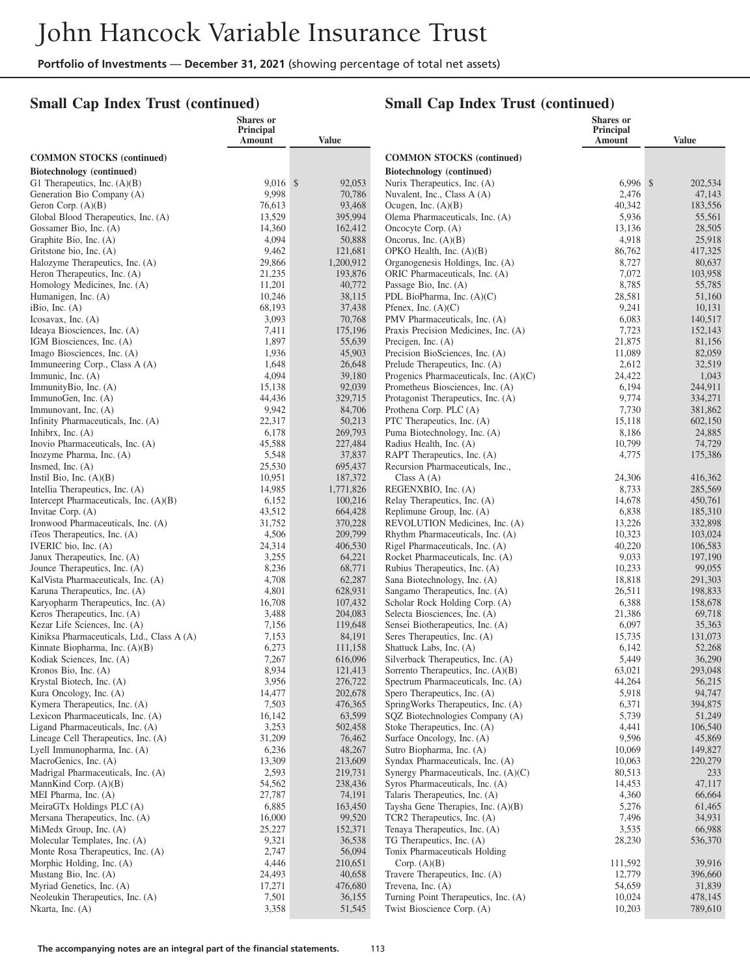## **Small Cap Index Trust (continued)**

|                                                                 | Shares or<br>Principal |                    |                                                                          | <b>Shares</b> or<br><b>Principal</b> |                    |
|-----------------------------------------------------------------|------------------------|--------------------|--------------------------------------------------------------------------|--------------------------------------|--------------------|
|                                                                 | Amount                 | <b>Value</b>       |                                                                          | Amount                               | <b>Value</b>       |
| <b>COMMON STOCKS</b> (continued)                                |                        |                    | <b>COMMON STOCKS</b> (continued)                                         |                                      |                    |
| Biotechnology (continued)                                       |                        |                    | Biotechnology (continued)                                                |                                      |                    |
| G1 Therapeutics, Inc. $(A)(B)$                                  | $9.016$ \$             | 92,053             | Nurix Therapeutics, Inc. (A)                                             | $6,996$ \$                           | 202,534            |
| Generation Bio Company (A)                                      | 9,998                  | 70,786             | Nuvalent, Inc., Class A (A)                                              | 2,476                                | 47,143             |
| Geron Corp. $(A)(B)$                                            | 76,613                 | 93,468             | Ocugen, Inc. $(A)(B)$                                                    | 40,342                               | 183,556            |
| Global Blood Therapeutics, Inc. (A)                             | 13,529                 | 395,994            | Olema Pharmaceuticals, Inc. (A)                                          | 5,936                                | 55,561             |
| Gossamer Bio, Inc. (A)                                          | 14,360                 | 162,412            | Oncocyte Corp. (A)                                                       | 13,136                               | 28,505             |
| Graphite Bio, Inc. (A)                                          | 4,094                  | 50,888             | Oncorus, Inc. $(A)(B)$                                                   | 4,918                                | 25,918             |
| Gritstone bio, Inc. (A)                                         | 9,462                  | 121,681            | OPKO Health, Inc. $(A)(B)$                                               | 86,762                               | 417,325            |
| Halozyme Therapeutics, Inc. (A)<br>Heron Therapeutics, Inc. (A) | 29,866<br>21,235       | 1,200,912          | Organogenesis Holdings, Inc. (A)                                         | 8,727                                | 80,637             |
| Homology Medicines, Inc. (A)                                    | 11,201                 | 193,876<br>40,772  | ORIC Pharmaceuticals, Inc. (A)<br>Passage Bio, Inc. (A)                  | 7,072<br>8,785                       | 103,958<br>55,785  |
| Humanigen, Inc. (A)                                             | 10,246                 | 38,115             | PDL BioPharma, Inc. (A)(C)                                               | 28,581                               | 51,160             |
| iBio, Inc. (A)                                                  | 68,193                 | 37,438             | Pfenex, Inc. $(A)(C)$                                                    | 9,241                                | 10,131             |
| Icosavax, Inc. $(A)$                                            | 3,093                  | 70,768             | PMV Pharmaceuticals, Inc. (A)                                            | 6,083                                | 140,517            |
| Ideaya Biosciences, Inc. (A)                                    | 7,411                  | 175,196            | Praxis Precision Medicines, Inc. (A)                                     | 7,723                                | 152,143            |
| IGM Biosciences, Inc. (A)                                       | 1,897                  | 55,639             | Precigen, Inc. $(A)$                                                     | 21,875                               | 81,156             |
| Imago Biosciences, Inc. (A)                                     | 1,936                  | 45,903             | Precision BioSciences, Inc. (A)                                          | 11,089                               | 82,059             |
| Immuneering Corp., Class A (A)                                  | 1,648                  | 26,648             | Prelude Therapeutics, Inc. (A)                                           | 2,612                                | 32,519             |
| Immunic, Inc. (A)                                               | 4,094                  | 39,180             | Progenics Pharmaceuticals, Inc. (A)(C)                                   | 24,422                               | 1,043              |
| ImmunityBio, Inc. (A)                                           | 15,138                 | 92,039             | Prometheus Biosciences, Inc. (A)                                         | 6,194                                | 244,911            |
| ImmunoGen, Inc. $(A)$                                           | 44,436<br>9,942        | 329,715            | Protagonist Therapeutics, Inc. (A)<br>Prothena Corp. PLC (A)             | 9,774                                | 334,271<br>381,862 |
| Immunovant, Inc. (A)<br>Infinity Pharmaceuticals, Inc. (A)      | 22,317                 | 84,706<br>50,213   | PTC Therapeutics, Inc. (A)                                               | 7,730<br>15,118                      | 602,150            |
| Inhibrx, Inc. $(A)$                                             | 6,178                  | 269,793            | Puma Biotechnology, Inc. (A)                                             | 8,186                                | 24,885             |
| Inovio Pharmaceuticals, Inc. (A)                                | 45,588                 | 227,484            | Radius Health, Inc. (A)                                                  | 10,799                               | 74,729             |
| Inozyme Pharma, Inc. (A)                                        | 5,548                  | 37,837             | RAPT Therapeutics, Inc. (A)                                              | 4,775                                | 175,386            |
| Insmed, Inc. (A)                                                | 25,530                 | 695,437            | Recursion Pharmaceuticals, Inc.,                                         |                                      |                    |
| Instil Bio, Inc. $(A)(B)$                                       | 10,951                 | 187,372            | Class A (A)                                                              | 24,306                               | 416,362            |
| Intellia Therapeutics, Inc. (A)                                 | 14,985                 | 1,771,826          | REGENXBIO, Inc. (A)                                                      | 8,733                                | 285,569            |
| Intercept Pharmaceuticals, Inc. (A)(B)                          | 6,152                  | 100,216            | Relay Therapeutics, Inc. (A)                                             | 14,678                               | 450,761            |
| Invitae Corp. (A)                                               | 43,512                 | 664,428            | Replimune Group, Inc. (A)                                                | 6,838                                | 185,310            |
| Ironwood Pharmaceuticals, Inc. (A)                              | 31,752<br>4,506        | 370,228<br>209,799 | REVOLUTION Medicines, Inc. (A)                                           | 13,226<br>10,323                     | 332,898            |
| iTeos Therapeutics, Inc. (A)<br>IVERIC bio, Inc. (A)            | 24,314                 | 406,530            | Rhythm Pharmaceuticals, Inc. (A)<br>Rigel Pharmaceuticals, Inc. (A)      | 40,220                               | 103,024<br>106,583 |
| Janux Therapeutics, Inc. (A)                                    | 3,255                  | 64,221             | Rocket Pharmaceuticals, Inc. (A)                                         | 9,033                                | 197,190            |
| Jounce Therapeutics, Inc. (A)                                   | 8,236                  | 68,771             | Rubius Therapeutics, Inc. (A)                                            | 10,233                               | 99,055             |
| KalVista Pharmaceuticals, Inc. (A)                              | 4,708                  | 62,287             | Sana Biotechnology, Inc. (A)                                             | 18,818                               | 291,303            |
| Karuna Therapeutics, Inc. (A)                                   | 4,801                  | 628,931            | Sangamo Therapeutics, Inc. (A)                                           | 26,511                               | 198,833            |
| Karyopharm Therapeutics, Inc. (A)                               | 16,708                 | 107,432            | Scholar Rock Holding Corp. (A)                                           | 6,388                                | 158,678            |
| Keros Therapeutics, Inc. (A)                                    | 3,488                  | 204,083            | Selecta Biosciences, Inc. (A)                                            | 21,386                               | 69,718             |
| Kezar Life Sciences, Inc. (A)                                   | 7,156                  | 119,648            | Sensei Biotherapeutics, Inc. (A)                                         | 6,097                                | 35,363             |
| Kiniksa Pharmaceuticals, Ltd., Class A (A)                      | 7,153                  | 84,191             | Seres Therapeutics, Inc. (A)                                             | 15,735                               | 131,073            |
| Kinnate Biopharma, Inc. (A)(B)<br>Kodiak Sciences, Inc. (A)     | 6,273<br>7,267         | 111,158<br>616,096 | Shattuck Labs, Inc. (A)<br>Silverback Therapeutics, Inc. (A)             | 6,142<br>5,449                       | 52,268<br>36,290   |
| Kronos Bio, Inc. (A)                                            | 8,934                  | 121,413            | Sorrento Therapeutics, Inc. (A)(B)                                       | 63,021                               | 293,048            |
| Krystal Biotech, Inc. (A)                                       | 3,956                  | 276,722            | Spectrum Pharmaceuticals, Inc. (A)                                       | 44,264                               | 56,215             |
| Kura Oncology, Inc. (A)                                         | 14,477                 | 202,678            | Spero Therapeutics, Inc. (A)                                             | 5,918                                | 94,747             |
| Kymera Therapeutics, Inc. (A)                                   | 7,503                  | 476,365            | SpringWorks Therapeutics, Inc. (A)                                       | 6,371                                | 394,875            |
| Lexicon Pharmaceuticals, Inc. (A)                               | 16,142                 | 63,599             | SQZ Biotechnologies Company (A)                                          | 5,739                                | 51,249             |
| Ligand Pharmaceuticals, Inc. (A)                                | 3,253                  | 502,458            | Stoke Therapeutics, Inc. (A)                                             | 4,441                                | 106,540            |
| Lineage Cell Therapeutics, Inc. (A)                             | 31,209                 | 76,462             | Surface Oncology, Inc. (A)                                               | 9,596                                | 45,869             |
| Lyell Immunopharma, Inc. (A)                                    | 6,236                  | 48,267             | Sutro Biopharma, Inc. (A)                                                | 10,069                               | 149,827            |
| MacroGenics, Inc. (A)<br>Madrigal Pharmaceuticals, Inc. (A)     | 13,309<br>2,593        | 213,609<br>219,731 | Syndax Pharmaceuticals, Inc. (A)<br>Synergy Pharmaceuticals, Inc. (A)(C) | 10,063<br>80,513                     | 220,279            |
| MannKind Corp. $(A)(B)$                                         | 54,562                 | 238,436            | Syros Pharmaceuticals, Inc. (A)                                          | 14,453                               | 233<br>47,117      |
| MEI Pharma, Inc. (A)                                            | 27,787                 | 74,191             | Talaris Therapeutics, Inc. (A)                                           | 4,360                                | 66,664             |
| MeiraGTx Holdings PLC (A)                                       | 6,885                  | 163,450            | Taysha Gene Therapies, Inc. (A)(B)                                       | 5,276                                | 61,465             |
| Mersana Therapeutics, Inc. (A)                                  | 16,000                 | 99,520             | TCR2 Therapeutics, Inc. (A)                                              | 7,496                                | 34,931             |
| MiMedx Group, Inc. (A)                                          | 25,227                 | 152,371            | Tenaya Therapeutics, Inc. (A)                                            | 3,535                                | 66,988             |
| Molecular Templates, Inc. (A)                                   | 9,321                  | 36,538             | TG Therapeutics, Inc. (A)                                                | 28,230                               | 536,370            |
| Monte Rosa Therapeutics, Inc. (A)                               | 2,747                  | 56,094             | Tonix Pharmaceuticals Holding                                            |                                      |                    |
| Morphic Holding, Inc. (A)                                       | 4,446                  | 210,651            | Corp. $(A)(B)$                                                           | 111,592                              | 39,916             |
| Mustang Bio, Inc. (A)                                           | 24,493                 | 40,658             | Travere Therapeutics, Inc. (A)                                           | 12,779                               | 396,660            |
| Myriad Genetics, Inc. (A)<br>Neoleukin Therapeutics, Inc. (A)   | 17,271<br>7,501        | 476,680            | Trevena, Inc. $(A)$<br>Turning Point Therapeutics, Inc. (A)              | 54,659<br>10,024                     | 31,839<br>478,145  |
| Nkarta, Inc. $(A)$                                              | 3,358                  | 36,155<br>51,545   | Twist Bioscience Corp. (A)                                               | 10,203                               | 789,610            |
|                                                                 |                        |                    |                                                                          |                                      |                    |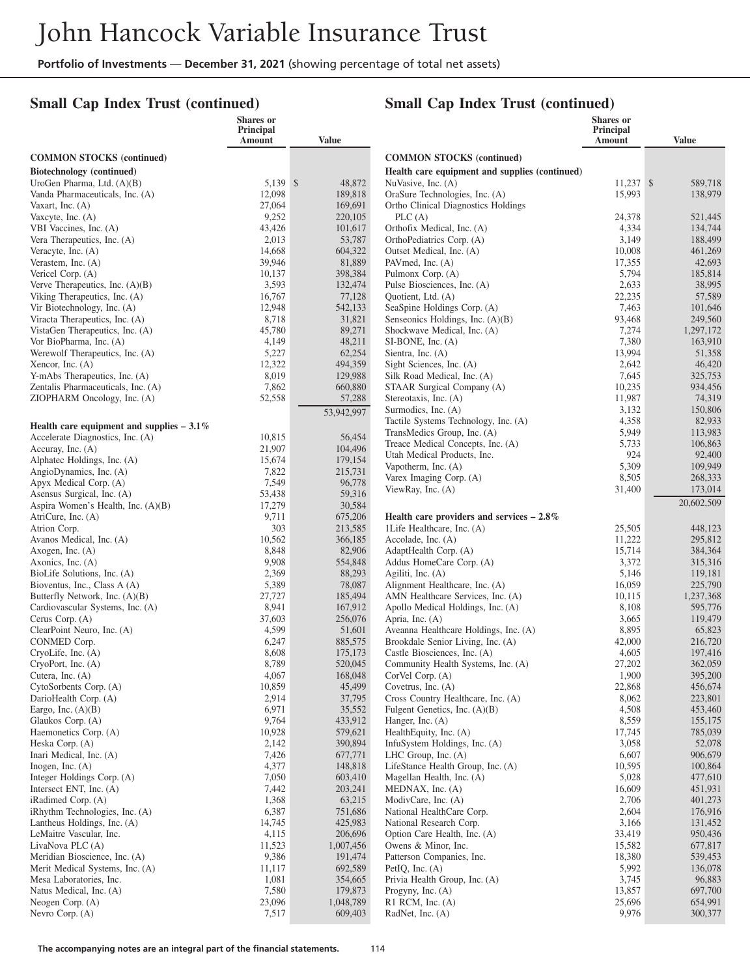## **Small Cap Index Trust (continued)**

|                                                                | <b>Shares</b> or<br>Principal<br>Amount | <b>Value</b>         |                                                                           | <b>Shares</b> or<br><b>Principal</b><br>Amount | <b>Value</b>         |
|----------------------------------------------------------------|-----------------------------------------|----------------------|---------------------------------------------------------------------------|------------------------------------------------|----------------------|
| <b>COMMON STOCKS (continued)</b>                               |                                         |                      | <b>COMMON STOCKS (continued)</b>                                          |                                                |                      |
| Biotechnology (continued)                                      |                                         |                      | Health care equipment and supplies (continued)                            |                                                |                      |
| UroGen Pharma, Ltd. (A)(B)                                     | 5,139 \$                                | 48,872               | NuVasive, Inc. (A)                                                        | $11,237$ \$                                    | 589,718              |
| Vanda Pharmaceuticals, Inc. (A)                                | 12,098                                  | 189,818              | OraSure Technologies, Inc. (A)                                            | 15,993                                         | 138,979              |
| Vaxart, Inc. $(A)$<br>Vaxcyte, Inc. (A)                        | 27,064<br>9,252                         | 169,691<br>220,105   | Ortho Clinical Diagnostics Holdings<br>PLC(A)                             | 24,378                                         | 521,445              |
| VBI Vaccines, Inc. (A)                                         | 43,426                                  | 101,617              | Orthofix Medical, Inc. (A)                                                | 4,334                                          | 134,744              |
| Vera Therapeutics, Inc. (A)                                    | 2,013                                   | 53,787               | OrthoPediatrics Corp. (A)                                                 | 3,149                                          | 188,499              |
| Veracyte, Inc. (A)                                             | 14,668                                  | 604,322              | Outset Medical, Inc. (A)                                                  | 10,008                                         | 461,269              |
| Verastem, Inc. (A)                                             | 39,946<br>10,137                        | 81,889<br>398,384    | PAVmed, Inc. (A)<br>Pulmonx Corp. (A)                                     | 17,355<br>5,794                                | 42,693               |
| Vericel Corp. (A)<br>Verve Therapeutics, Inc. $(A)(B)$         | 3,593                                   | 132,474              | Pulse Biosciences, Inc. (A)                                               | 2,633                                          | 185,814<br>38,995    |
| Viking Therapeutics, Inc. (A)                                  | 16,767                                  | 77,128               | Quotient, Ltd. (A)                                                        | 22,235                                         | 57,589               |
| Vir Biotechnology, Inc. (A)                                    | 12,948                                  | 542,133              | SeaSpine Holdings Corp. (A)                                               | 7,463                                          | 101,646              |
| Viracta Therapeutics, Inc. (A)                                 | 8,718                                   | 31,821               | Senseonics Holdings, Inc. (A)(B)                                          | 93,468                                         | 249,560              |
| VistaGen Therapeutics, Inc. (A)                                | 45,780                                  | 89,271               | Shockwave Medical, Inc. (A)                                               | 7,274                                          | 1,297,172            |
| Vor BioPharma, Inc. (A)<br>Werewolf Therapeutics, Inc. (A)     | 4,149<br>5,227                          | 48,211<br>62,254     | SI-BONE, Inc. (A)<br>Sientra, Inc. (A)                                    | 7,380<br>13,994                                | 163,910<br>51,358    |
| Xencor, Inc. (A)                                               | 12,322                                  | 494,359              | Sight Sciences, Inc. (A)                                                  | 2,642                                          | 46,420               |
| Y-mAbs Therapeutics, Inc. (A)                                  | 8,019                                   | 129,988              | Silk Road Medical, Inc. (A)                                               | 7,645                                          | 325,753              |
| Zentalis Pharmaceuticals, Inc. (A)                             | 7,862                                   | 660,880              | STAAR Surgical Company (A)                                                | 10,235                                         | 934,456              |
| ZIOPHARM Oncology, Inc. (A)                                    | 52,558                                  | 57,288               | Stereotaxis, Inc. (A)                                                     | 11,987                                         | 74,319               |
|                                                                |                                         | 53,942,997           | Surmodics, Inc. (A)<br>Tactile Systems Technology, Inc. (A)               | 3,132<br>4,358                                 | 150,806<br>82,933    |
| Health care equipment and supplies $-3.1\%$                    |                                         |                      | TransMedics Group, Inc. (A)                                               | 5,949                                          | 113,983              |
| Accelerate Diagnostics, Inc. (A)<br>Accuray, Inc. $(A)$        | 10,815<br>21,907                        | 56,454<br>104,496    | Treace Medical Concepts, Inc. (A)                                         | 5,733                                          | 106,863              |
| Alphatec Holdings, Inc. (A)                                    | 15,674                                  | 179,154              | Utah Medical Products, Inc.                                               | 924                                            | 92,400               |
| AngioDynamics, Inc. (A)                                        | 7,822                                   | 215,731              | Vapotherm, Inc. (A)                                                       | 5,309                                          | 109,949              |
| Apyx Medical Corp. (A)                                         | 7,549                                   | 96,778               | Varex Imaging Corp. (A)<br>ViewRay, Inc. (A)                              | 8,505<br>31,400                                | 268,333<br>173,014   |
| Asensus Surgical, Inc. (A)                                     | 53,438                                  | 59,316               |                                                                           |                                                | 20,602,509           |
| Aspira Women's Health, Inc. (A)(B)                             | 17,279<br>9,711                         | 30,584               |                                                                           |                                                |                      |
| AtriCure, Inc. (A)<br>Atrion Corp.                             | 303                                     | 675,206<br>213,585   | Health care providers and services $-2.8\%$<br>1Life Healthcare, Inc. (A) | 25,505                                         | 448,123              |
| Avanos Medical, Inc. (A)                                       | 10,562                                  | 366,185              | Accolade, Inc. $(A)$                                                      | 11,222                                         | 295,812              |
| Axogen, Inc. $(A)$                                             | 8,848                                   | 82,906               | AdaptHealth Corp. (A)                                                     | 15,714                                         | 384,364              |
| Axonics, Inc. (A)                                              | 9,908                                   | 554,848              | Addus HomeCare Corp. (A)                                                  | 3,372                                          | 315,316              |
| BioLife Solutions, Inc. (A)                                    | 2,369<br>5,389                          | 88,293<br>78,087     | Agiliti, Inc. (A)<br>Alignment Healthcare, Inc. (A)                       | 5,146<br>16,059                                | 119,181              |
| Bioventus, Inc., Class A (A)<br>Butterfly Network, Inc. (A)(B) | 27,727                                  | 185,494              | AMN Healthcare Services, Inc. (A)                                         | 10,115                                         | 225,790<br>1,237,368 |
| Cardiovascular Systems, Inc. (A)                               | 8,941                                   | 167,912              | Apollo Medical Holdings, Inc. (A)                                         | 8,108                                          | 595,776              |
| Cerus Corp. (A)                                                | 37,603                                  | 256,076              | Apria, Inc. (A)                                                           | 3,665                                          | 119,479              |
| ClearPoint Neuro, Inc. (A)                                     | 4,599                                   | 51,601               | Aveanna Healthcare Holdings, Inc. (A)                                     | 8,895                                          | 65,823               |
| CONMED Corp.<br>$Cryol.$ Inc. $(A)$                            | 6,247<br>8,608                          | 885,575<br>175,173   | Brookdale Senior Living, Inc. (A)<br>Castle Biosciences, Inc. (A)         | 42,000<br>4,605                                | 216,720<br>197,416   |
| CryoPort, Inc. (A)                                             | 8,789                                   | 520,045              | Community Health Systems, Inc. (A)                                        | 27,202                                         | 362,059              |
| Cutera, Inc. $(A)$                                             | 4,067                                   | 168,048              | CorVel Corp. (A)                                                          | 1,900                                          | 395,200              |
| CytoSorbents Corp. (A)                                         | 10,859                                  | 45,499               | Covetrus, Inc. (A)                                                        | 22,868                                         | 456,674              |
| DarioHealth Corp. (A)                                          | 2,914                                   | 37,795               | Cross Country Healthcare, Inc. (A)                                        | 8,062                                          | 223,801              |
| Eargo, Inc. $(A)(B)$<br>Glaukos Corp. (A)                      | 6,971<br>9,764                          | 35,552<br>433,912    | Fulgent Genetics, Inc. (A)(B)<br>Hanger, Inc. (A)                         | 4,508<br>8,559                                 | 453,460<br>155,175   |
| Haemonetics Corp. (A)                                          | 10,928                                  | 579,621              | HealthEquity, Inc. (A)                                                    | 17,745                                         | 785,039              |
| Heska Corp. (A)                                                | 2,142                                   | 390,894              | InfuSystem Holdings, Inc. (A)                                             | 3,058                                          | 52,078               |
| Inari Medical, Inc. (A)                                        | 7,426                                   | 677,771              | LHC Group, Inc. $(A)$                                                     | 6,607                                          | 906,679              |
| Inogen, Inc. $(A)$                                             | 4,377                                   | 148,818              | LifeStance Health Group, Inc. (A)                                         | 10,595                                         | 100,864              |
| Integer Holdings Corp. (A)<br>Intersect ENT, Inc. $(A)$        | 7,050<br>7,442                          | 603,410<br>203,241   | Magellan Health, Inc. (A)<br>MEDNAX, Inc. (A)                             | 5,028<br>16,609                                | 477,610<br>451,931   |
| iRadimed Corp. (A)                                             | 1,368                                   | 63,215               | ModivCare, Inc. (A)                                                       | 2,706                                          | 401,273              |
| iRhythm Technologies, Inc. (A)                                 | 6,387                                   | 751,686              | National HealthCare Corp.                                                 | 2,604                                          | 176,916              |
| Lantheus Holdings, Inc. (A)                                    | 14,745                                  | 425,983              | National Research Corp.                                                   | 3,166                                          | 131,452              |
| LeMaitre Vascular, Inc.                                        | 4,115                                   | 206,696              | Option Care Health, Inc. (A)                                              | 33,419                                         | 950,436              |
| LivaNova PLC (A)<br>Meridian Bioscience, Inc. (A)              | 11,523<br>9,386                         | 1,007,456<br>191,474 | Owens & Minor, Inc.<br>Patterson Companies, Inc.                          | 15,582<br>18,380                               | 677,817<br>539,453   |
| Merit Medical Systems, Inc. (A)                                | 11,117                                  | 692,589              | PetIQ, Inc. (A)                                                           | 5,992                                          | 136,078              |
| Mesa Laboratories, Inc.                                        | 1,081                                   | 354,665              | Privia Health Group, Inc. (A)                                             | 3,745                                          | 96,883               |
| Natus Medical, Inc. (A)                                        | 7,580                                   | 179,873              | Progyny, Inc. (A)                                                         | 13,857                                         | 697,700              |
| Neogen Corp. (A)                                               | 23,096                                  | 1,048,789            | $R1$ RCM, Inc. $(A)$                                                      | 25,696                                         | 654,991              |
| Nevro Corp. (A)                                                | 7,517                                   | 609,403              | RadNet, Inc. (A)                                                          | 9,976                                          | 300,377              |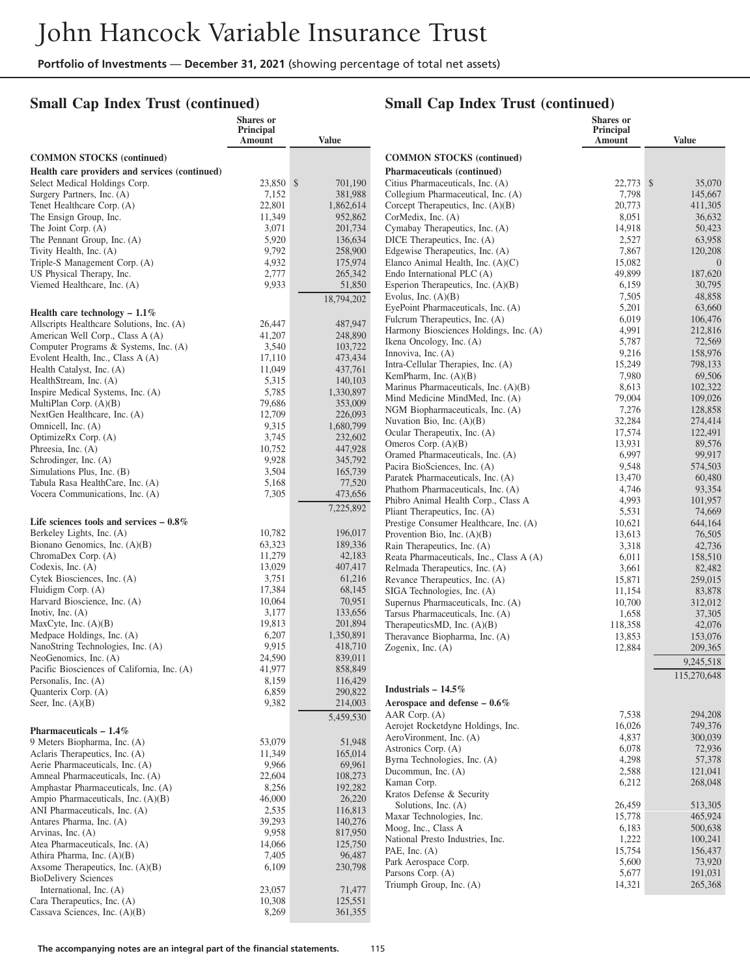## **Small Cap Index Trust (continued)**

|                                                     | Shares or<br>Principal |                    |                                                                          | <b>Shares</b> or<br>Principal |                    |
|-----------------------------------------------------|------------------------|--------------------|--------------------------------------------------------------------------|-------------------------------|--------------------|
|                                                     | Amount                 | <b>Value</b>       |                                                                          | <b>Amount</b>                 | <b>Value</b>       |
| <b>COMMON STOCKS</b> (continued)                    |                        |                    | <b>COMMON STOCKS</b> (continued)                                         |                               |                    |
| Health care providers and services (continued)      |                        |                    | <b>Pharmaceuticals (continued)</b>                                       |                               |                    |
| Select Medical Holdings Corp.                       | 23,850 \$              | 701,190            | Citius Pharmaceuticals, Inc. (A)                                         | 22,773 \$                     | 35,070             |
| Surgery Partners, Inc. (A)                          | 7,152                  | 381,988            | Collegium Pharmaceutical, Inc. (A)                                       | 7,798                         | 145,667            |
| Tenet Healthcare Corp. (A)                          | 22,801                 | 1,862,614          | Corcept Therapeutics, Inc. (A)(B)                                        | 20,773                        | 411,305            |
| The Ensign Group, Inc.                              | 11,349                 | 952,862            | CorMedix, Inc. (A)                                                       | 8,051                         | 36,632             |
| The Joint Corp. (A)<br>The Pennant Group, Inc. (A)  | 3,071<br>5,920         | 201,734<br>136,634 | Cymabay Therapeutics, Inc. (A)<br>DICE Therapeutics, Inc. (A)            | 14,918<br>2,527               | 50,423<br>63,958   |
| Tivity Health, Inc. (A)                             | 9,792                  | 258,900            | Edgewise Therapeutics, Inc. (A)                                          | 7,867                         | 120,208            |
| Triple-S Management Corp. (A)                       | 4,932                  | 175,974            | Elanco Animal Health, Inc. $(A)(C)$                                      | 15,082                        | $\Omega$           |
| US Physical Therapy, Inc.                           | 2,777                  | 265,342            | Endo International PLC (A)                                               | 49,899                        | 187,620            |
| Viemed Healthcare, Inc. (A)                         | 9,933                  | 51,850             | Esperion Therapeutics, Inc. (A)(B)                                       | 6,159                         | 30,795             |
|                                                     |                        | 18,794,202         | Evolus, Inc. $(A)(B)$                                                    | 7,505                         | 48,858             |
| Health care technology $-1.1\%$                     |                        |                    | EyePoint Pharmaceuticals, Inc. (A)                                       | 5,201                         | 63,660             |
| Allscripts Healthcare Solutions, Inc. (A)           | 26,447                 | 487,947            | Fulcrum Therapeutics, Inc. (A)<br>Harmony Biosciences Holdings, Inc. (A) | 6,019<br>4,991                | 106,476<br>212,816 |
| American Well Corp., Class A (A)                    | 41,207                 | 248,890            | Ikena Oncology, Inc. (A)                                                 | 5,787                         | 72,569             |
| Computer Programs & Systems, Inc. (A)               | 3,540                  | 103,722            | Innoviva, Inc. (A)                                                       | 9,216                         | 158,976            |
| Evolent Health, Inc., Class A (A)                   | 17,110                 | 473,434            | Intra-Cellular Therapies, Inc. (A)                                       | 15,249                        | 798,133            |
| Health Catalyst, Inc. (A)<br>HealthStream, Inc. (A) | 11,049<br>5,315        | 437,761<br>140,103 | KemPharm, Inc. $(A)(B)$                                                  | 7,980                         | 69,506             |
| Inspire Medical Systems, Inc. (A)                   | 5,785                  | 1,330,897          | Marinus Pharmaceuticals, Inc. (A)(B)                                     | 8,613                         | 102,322            |
| MultiPlan Corp. (A)(B)                              | 79,686                 | 353,009            | Mind Medicine MindMed, Inc. (A)                                          | 79,004                        | 109,026            |
| NextGen Healthcare, Inc. (A)                        | 12,709                 | 226,093            | NGM Biopharmaceuticals, Inc. (A)                                         | 7,276                         | 128,858            |
| Omnicell, Inc. (A)                                  | 9,315                  | 1,680,799          | Nuvation Bio, Inc. (A)(B)<br>Ocular Therapeutix, Inc. (A)                | 32,284<br>17,574              | 274,414<br>122,491 |
| OptimizeRx Corp. (A)                                | 3,745                  | 232,602            | Omeros Corp. $(A)(B)$                                                    | 13,931                        | 89,576             |
| Phreesia, Inc. (A)                                  | 10,752                 | 447,928            | Oramed Pharmaceuticals, Inc. (A)                                         | 6,997                         | 99,917             |
| Schrodinger, Inc. (A)<br>Simulations Plus, Inc. (B) | 9,928<br>3,504         | 345,792<br>165,739 | Pacira BioSciences, Inc. (A)                                             | 9,548                         | 574,503            |
| Tabula Rasa HealthCare, Inc. (A)                    | 5,168                  | 77,520             | Paratek Pharmaceuticals, Inc. (A)                                        | 13,470                        | 60,480             |
| Vocera Communications, Inc. (A)                     | 7,305                  | 473,656            | Phathom Pharmaceuticals, Inc. (A)                                        | 4,746                         | 93,354             |
|                                                     |                        | 7,225,892          | Phibro Animal Health Corp., Class A                                      | 4,993                         | 101,957            |
| Life sciences tools and services $-0.8\%$           |                        |                    | Pliant Therapeutics, Inc. (A)<br>Prestige Consumer Healthcare, Inc. (A)  | 5,531<br>10,621               | 74,669<br>644,164  |
| Berkeley Lights, Inc. (A)                           | 10,782                 | 196,017            | Provention Bio, Inc. (A)(B)                                              | 13,613                        | 76,505             |
| Bionano Genomics, Inc. (A)(B)                       | 63,323                 | 189,336            | Rain Therapeutics, Inc. (A)                                              | 3,318                         | 42,736             |
| ChromaDex Corp. (A)                                 | 11,279                 | 42,183             | Reata Pharmaceuticals, Inc., Class A (A)                                 | 6,011                         | 158,510            |
| Codexis, Inc. $(A)$                                 | 13,029                 | 407,417            | Relmada Therapeutics, Inc. (A)                                           | 3,661                         | 82,482             |
| Cytek Biosciences, Inc. (A)                         | 3,751                  | 61,216             | Revance Therapeutics, Inc. (A)                                           | 15,871                        | 259,015            |
| Fluidigm Corp. (A)<br>Harvard Bioscience, Inc. (A)  | 17,384<br>10,064       | 68,145<br>70,951   | SIGA Technologies, Inc. (A)                                              | 11,154                        | 83,878             |
| Inotiv, Inc. $(A)$                                  | 3,177                  | 133,656            | Supernus Pharmaceuticals, Inc. (A)<br>Tarsus Pharmaceuticals, Inc. (A)   | 10,700<br>1,658               | 312,012<br>37,305  |
| MaxCyte, Inc. (A)(B)                                | 19,813                 | 201,894            | TherapeuticsMD, Inc. (A)(B)                                              | 118,358                       | 42,076             |
| Medpace Holdings, Inc. (A)                          | 6,207                  | 1,350,891          | Theravance Biopharma, Inc. (A)                                           | 13,853                        | 153,076            |
| NanoString Technologies, Inc. (A)                   | 9,915                  | 418,710            | Zogenix, Inc. (A)                                                        | 12,884                        | 209,365            |
| NeoGenomics, Inc. (A)                               | 24,590                 | 839,011            |                                                                          |                               | 9,245,518          |
| Pacific Biosciences of California, Inc. (A)         | 41,977                 | 858,849            |                                                                          |                               | 115,270,648        |
| Personalis, Inc. (A)<br>Quanterix Corp. (A)         | 8.159<br>6,859         | 116,429<br>290,822 | Industrials $-14.5\%$                                                    |                               |                    |
| Seer, Inc. $(A)(B)$                                 | 9,382                  | 214,003            | Aerospace and defense $-0.6\%$                                           |                               |                    |
|                                                     |                        | 5,459,530          | AAR Corp. (A)                                                            | 7,538                         | 294,208            |
| Pharmaceuticals $-1.4\%$                            |                        |                    | Aerojet Rocketdyne Holdings, Inc.                                        | 16,026                        | 749,376            |
| 9 Meters Biopharma, Inc. (A)                        | 53,079                 | 51,948             | AeroVironment, Inc. (A)                                                  | 4,837                         | 300,039            |
| Aclaris Therapeutics, Inc. (A)                      | 11,349                 | 165,014            | Astronics Corp. (A)                                                      | 6,078                         | 72,936             |
| Aerie Pharmaceuticals, Inc. (A)                     | 9,966                  | 69,961             | Byrna Technologies, Inc. (A)                                             | 4,298                         | 57,378             |
| Amneal Pharmaceuticals, Inc. (A)                    | 22,604                 | 108,273            | Ducommun, Inc. (A)<br>Kaman Corp.                                        | 2,588<br>6,212                | 121,041<br>268,048 |
| Amphastar Pharmaceuticals, Inc. (A)                 | 8,256                  | 192,282            | Kratos Defense & Security                                                |                               |                    |
| Ampio Pharmaceuticals, Inc. (A)(B)                  | 46,000                 | 26,220             | Solutions, Inc. (A)                                                      | 26,459                        | 513,305            |
| ANI Pharmaceuticals, Inc. (A)                       | 2,535                  | 116,813            | Maxar Technologies, Inc.                                                 | 15,778                        | 465,924            |
| Antares Pharma, Inc. (A)<br>Arvinas, Inc. (A)       | 39,293<br>9,958        | 140,276<br>817,950 | Moog, Inc., Class A                                                      | 6,183                         | 500,638            |
| Atea Pharmaceuticals, Inc. (A)                      | 14,066                 | 125,750            | National Presto Industries, Inc.                                         | 1,222                         | 100,241            |
| Athira Pharma, Inc. (A)(B)                          | 7,405                  | 96,487             | PAE, Inc. $(A)$                                                          | 15,754                        | 156,437            |
| Axsome Therapeutics, Inc. $(A)(B)$                  | 6,109                  | 230,798            | Park Aerospace Corp.                                                     | 5,600                         | 73,920             |
| <b>BioDelivery Sciences</b>                         |                        |                    | Parsons Corp. (A)<br>Triumph Group, Inc. (A)                             | 5,677<br>14,321               | 191,031<br>265,368 |
| International, Inc. (A)                             | 23,057                 | 71,477             |                                                                          |                               |                    |
| Cara Therapeutics, Inc. (A)                         | 10,308                 | 125,551            |                                                                          |                               |                    |
| Cassava Sciences, Inc. (A)(B)                       | 8,269                  | 361,355            |                                                                          |                               |                    |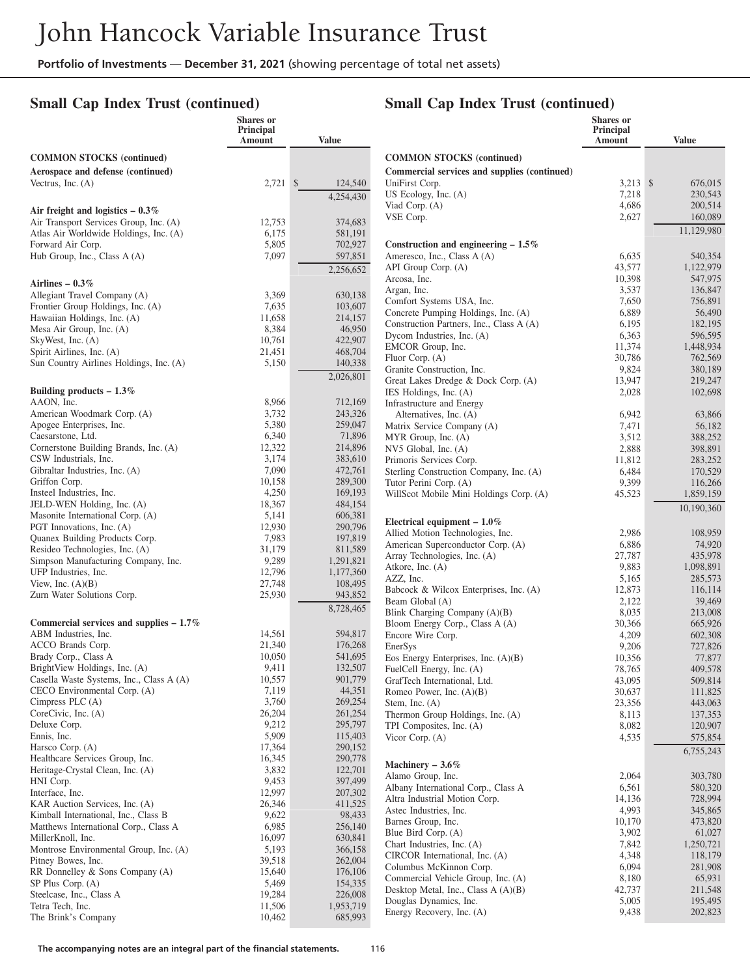## **Small Cap Index Trust (continued)**

**Air freight and logistics – 0.3%**

Hub Group, Inc., Class A (A)

**Airlines – 0.3%**

SP Plus Corp. (A)

#### **Shares or Principal Amount Value COMMON STOCKS (continued) Aerospace and defense (continued)** Vectrus, Inc. (A) 2,721 \$ 124,540 4,254,430 Air Transport Services Group, Inc. (A)  $12,753$  374,683<br>Atlas Air Worldwide Holdings, Inc. (A)  $6,175$  581,191 Atlas Air Worldwide Holdings, Inc. (A)  $6,175$  581,191<br>Forward Air Corp. 6,175 581,191 Forward Air Corp.<br>
Hub Group, Inc., Class A (A)  $7,097$  597,851 702,927 2,256,652 Allegiant Travel Company (A) 3,369 630,138<br>
Frontier Group Holdings, Inc. (A) 7,635 103,607 Frontier Group Holdings, Inc. (A) 7,635 103,607<br>
Hawaiian Holdings, Inc. (A) 11,658 214,157 Hawaiian Holdings, Inc. (A) 11,658 214,157<br>Mesa Air Group, Inc. (A) 8,384 46,950 Mesa Air Group, Inc. (A) 8,384 46,950<br>SkyWest, Inc. (A) 8,384 46,950<br>10,761 422,907 SkyWest, Inc. (A) 10,761 422,907<br>Spirit Airlines, Inc. (A) 21,451 468,704

| Spirit Airlines, Inc. (A)                 | 21,451 | 468,704   |
|-------------------------------------------|--------|-----------|
| Sun Country Airlines Holdings, Inc. (A)   | 5,150  | 140,338   |
|                                           |        | 2,026,801 |
|                                           |        |           |
| Building products $-1.3\%$                |        |           |
| AAON, Inc.                                | 8,966  | 712,169   |
| American Woodmark Corp. (A)               | 3,732  | 243,326   |
| Apogee Enterprises, Inc.                  | 5,380  | 259,047   |
| Caesarstone, Ltd.                         | 6,340  | 71,896    |
| Cornerstone Building Brands, Inc. (A)     | 12,322 | 214,896   |
| CSW Industrials, Inc.                     | 3,174  | 383,610   |
| Gibraltar Industries, Inc. (A)            | 7,090  | 472,761   |
| Griffon Corp.                             | 10,158 | 289,300   |
| Insteel Industries, Inc.                  | 4,250  | 169,193   |
| JELD-WEN Holding, Inc. (A)                | 18,367 | 484,154   |
| Masonite International Corp. (A)          | 5,141  | 606,381   |
| PGT Innovations, Inc. (A)                 | 12,930 | 290,796   |
| Quanex Building Products Corp.            | 7,983  | 197,819   |
| Resideo Technologies, Inc. (A)            | 31,179 | 811,589   |
| Simpson Manufacturing Company, Inc.       | 9,289  | 1,291,821 |
| UFP Industries, Inc.                      | 12,796 | 1,177,360 |
| View, Inc. $(A)(B)$                       | 27,748 | 108,495   |
| Zurn Water Solutions Corp.                | 25,930 | 943,852   |
|                                           |        | 8,728,465 |
| Commercial services and supplies $-1.7\%$ |        |           |
| ABM Industries, Inc.                      | 14,561 | 594,817   |
| ACCO Brands Corp.                         | 21,340 | 176,268   |
| Brady Corp., Class A                      | 10,050 | 541,695   |
| BrightView Holdings, Inc. (A)             | 9,411  | 132,507   |
| Casella Waste Systems, Inc., Class A (A)  | 10,557 | 901,779   |
| CECO Environmental Corp. (A)              | 7,119  | 44,351    |
|                                           |        |           |
| Cimpress PLC $(A)$                        | 3,760  | 269,254   |
| CoreCivic, Inc. (A)                       | 26,204 | 261,254   |
| Deluxe Corp.                              | 9,212  | 295,797   |
| Ennis, Inc.                               | 5,909  | 115,403   |
| Harsco Corp. (A)                          | 17,364 | 290,152   |
| Healthcare Services Group, Inc.           | 16,345 | 290,778   |
| Heritage-Crystal Clean, Inc. (A)          | 3,832  | 122,701   |
| HNI Corp.                                 | 9,453  | 397,499   |
| Interface, Inc.                           | 12,997 | 207,302   |
| KAR Auction Services, Inc. (A)            | 26,346 | 411,525   |
| Kimball International, Inc., Class B      | 9,622  | 98,433    |
| Matthews International Corp., Class A     | 6,985  | 256,140   |
| MillerKnoll, Inc.                         | 16,097 | 630,841   |
| Montrose Environmental Group, Inc. (A)    | 5,193  | 366,158   |
| Pitney Bowes, Inc.                        | 39,518 | 262,004   |
| RR Donnelley & Sons Company (A)           | 15,640 | 176,106   |

# **Small Cap Index Trust (continued)**

|                                                                   | Shares or           |                      |
|-------------------------------------------------------------------|---------------------|----------------------|
|                                                                   | Principal<br>Amount | <b>Value</b>         |
|                                                                   |                     |                      |
| <b>COMMON STOCKS</b> (continued)                                  |                     |                      |
| Commercial services and supplies (continued)<br>UniFirst Corp.    | 3,213               | \$<br>676,015        |
| US Ecology, Inc. $(A)$                                            | 7,218               | 230,543              |
| Viad Corp. (A)                                                    | 4,686               | 200,514              |
| VSE Corp.                                                         | 2,627               | 160,089              |
|                                                                   |                     | 11,129,980           |
| Construction and engineering $-1.5\%$                             |                     |                      |
| Ameresco, Inc., Class A (A)                                       | 6,635               | 540,354              |
| API Group Corp. (A)<br>Arcosa, Inc.                               | 43,577<br>10,398    | 1,122,979<br>547,975 |
| Argan, Inc.                                                       | 3,537               | 136,847              |
| Comfort Systems USA, Inc.                                         | 7,650               | 756,891              |
| Concrete Pumping Holdings, Inc. (A)                               | 6,889               | 56,490               |
| Construction Partners, Inc., Class A (A)                          | 6,195               | 182,195              |
| Dycom Industries, Inc. (A)<br>EMCOR Group, Inc.                   | 6,363<br>11,374     | 596,595<br>1,448,934 |
| Fluor Corp. (A)                                                   | 30,786              | 762,569              |
| Granite Construction, Inc.                                        | 9,824               | 380,189              |
| Great Lakes Dredge & Dock Corp. (A)                               | 13,947              | 219,247              |
| IES Holdings, Inc. (A)                                            | 2,028               | 102,698              |
| Infrastructure and Energy<br>Alternatives, Inc. (A)               | 6,942               | 63,866               |
| Matrix Service Company (A)                                        | 7,471               | 56,182               |
| MYR Group, Inc. (A)                                               | 3,512               | 388,252              |
| NV5 Global, Inc. (A)                                              | 2,888               | 398,891              |
| Primoris Services Corp.                                           | 11,812              | 283,252              |
| Sterling Construction Company, Inc. (A)                           | 6,484               | 170,529              |
| Tutor Perini Corp. (A)<br>WillScot Mobile Mini Holdings Corp. (A) | 9,399<br>45,523     | 116,266<br>1,859,159 |
|                                                                   |                     | 10,190,360           |
| Electrical equipment $-1.0\%$                                     |                     |                      |
| Allied Motion Technologies, Inc.                                  | 2,986               | 108,959              |
| American Superconductor Corp. (A)                                 | 6,886               | 74,920               |
| Array Technologies, Inc. (A)                                      | 27,787              | 435,978              |
| Atkore, Inc. (A)                                                  | 9,883               | 1,098,891            |
| AZZ, Inc.<br>Babcock & Wilcox Enterprises, Inc. (A)               | 5,165<br>12,873     | 285,573<br>116,114   |
| Beam Global (A)                                                   | 2,122               | 39,469               |
| Blink Charging Company $(A)(B)$                                   | 8,035               | 213,008              |
| Bloom Energy Corp., Class A (A)                                   | 30,366              | 665,926              |
| Encore Wire Corp.                                                 | 4,209               | 602,308              |
| EnerSys<br>Eos Energy Enterprises, Inc. $(A)(B)$                  | 9,206               | 727,826              |
| FuelCell Energy, Inc. (A)                                         | 10,356<br>78,765    | 77,877<br>409,578    |
| GrafTech International, Ltd.                                      | 43,095              | 509,814              |
| Romeo Power, Inc. $(A)(B)$                                        | 30,637              | 111,825              |
| Stem, Inc. $(A)$                                                  | 23,356              | 443,063              |
| Thermon Group Holdings, Inc. (A)                                  | 8,113               | 137,353              |
| TPI Composites, Inc. (A)<br>Vicor Corp. $(A)$                     | 8,082<br>4,535      | 120,907<br>575,854   |
|                                                                   |                     | 6,755,243            |
| Machinery $-3.6\%$                                                |                     |                      |
| Alamo Group, Inc.                                                 | 2,064               | 303,780              |
| Albany International Corp., Class A                               | 6,561               | 580,320              |
| Altra Industrial Motion Corp.                                     | 14,136              | 728,994              |
| Astec Industries, Inc.                                            | 4,993               | 345,865              |
| Barnes Group, Inc.<br>Blue Bird Corp. (A)                         | 10,170<br>3,902     | 473,820<br>61,027    |
| Chart Industries, Inc. (A)                                        | 7,842               | 1,250,721            |
| CIRCOR International, Inc. (A)                                    | 4,348               | 118,179              |
| Columbus McKinnon Corp.                                           | 6,094               | 281,908              |
| Commercial Vehicle Group, Inc. (A)                                | 8,180               | 65,931               |
| Desktop Metal, Inc., Class $A(A)(B)$                              | 42,737              | 211,548              |
| Douglas Dynamics, Inc.<br>Energy Recovery, Inc. (A)               | 5,005<br>9,438      | 195,495<br>202,823   |

RR Donnelley & Sons Company (A)  $15,640$  176,106<br>SP Plus Corp. (A) 5,469 154,335

Steelcase, Inc., Class A 19,284 226,008 Tetra Tech, Inc. 11,506 1,953,719 The Brink's Company 10,462 685,993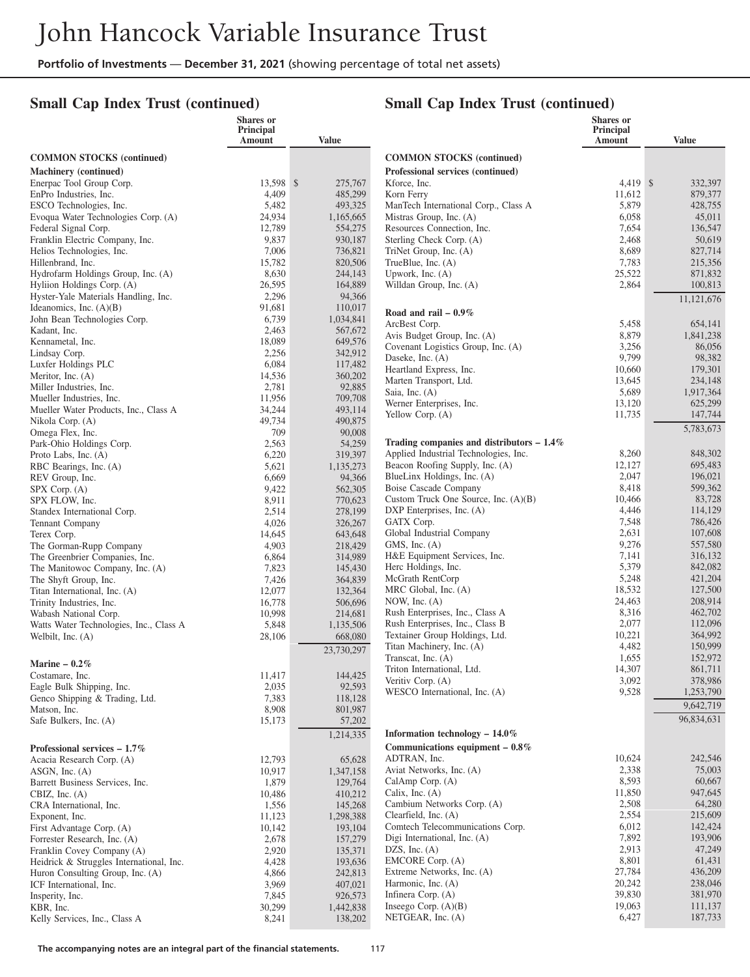## **Small Cap Index Trust (continued)**

|                                                                   | <b>Shares</b> or<br>Principal<br>Amount | <b>Value</b>         |                                                                   | <b>Shares</b> or<br>Principal<br><b>Amount</b> | <b>Value</b>       |
|-------------------------------------------------------------------|-----------------------------------------|----------------------|-------------------------------------------------------------------|------------------------------------------------|--------------------|
| <b>COMMON STOCKS (continued)</b>                                  |                                         |                      | <b>COMMON STOCKS (continued)</b>                                  |                                                |                    |
| Machinery (continued)                                             |                                         |                      | Professional services (continued)                                 |                                                |                    |
| Enerpac Tool Group Corp.                                          | 13,598 \$                               | 275,767              | Kforce, Inc.                                                      | 4.419 \$                                       | 332,397            |
| EnPro Industries, Inc.                                            | 4,409                                   | 485,299              | Korn Ferry                                                        | 11,612                                         | 879,377            |
| ESCO Technologies, Inc.                                           | 5,482                                   | 493,325              | ManTech International Corp., Class A                              | 5,879                                          | 428,755            |
| Evoqua Water Technologies Corp. (A)                               | 24,934                                  | 1,165,665            | Mistras Group, Inc. (A)                                           | 6,058                                          | 45,011             |
| Federal Signal Corp.<br>Franklin Electric Company, Inc.           | 12,789<br>9,837                         | 554,275<br>930,187   | Resources Connection, Inc.<br>Sterling Check Corp. (A)            | 7,654<br>2,468                                 | 136,547<br>50,619  |
| Helios Technologies, Inc.                                         | 7,006                                   | 736,821              | TriNet Group, Inc. (A)                                            | 8,689                                          | 827,714            |
| Hillenbrand, Inc.                                                 | 15,782                                  | 820,506              | TrueBlue, Inc. (A)                                                | 7,783                                          | 215,356            |
| Hydrofarm Holdings Group, Inc. (A)                                | 8,630                                   | 244,143              | Upwork, Inc. $(A)$                                                | 25,522                                         | 871,832            |
| Hyliion Holdings Corp. (A)                                        | 26,595                                  | 164,889              | Willdan Group, Inc. (A)                                           | 2,864                                          | 100,813            |
| Hyster-Yale Materials Handling, Inc.                              | 2,296                                   | 94,366               |                                                                   |                                                | 11,121,676         |
| Ideanomics, Inc. $(A)(B)$<br>John Bean Technologies Corp.         | 91,681<br>6,739                         | 110,017<br>1,034,841 | Road and rail $-0.9\%$                                            |                                                |                    |
| Kadant, Inc.                                                      | 2,463                                   | 567,672              | ArcBest Corp.                                                     | 5,458                                          | 654,141            |
| Kennametal, Inc.                                                  | 18,089                                  | 649,576              | Avis Budget Group, Inc. (A)                                       | 8,879                                          | 1,841,238          |
| Lindsay Corp.                                                     | 2,256                                   | 342,912              | Covenant Logistics Group, Inc. (A)<br>Daseke, Inc. (A)            | 3,256<br>9,799                                 | 86,056<br>98,382   |
| Luxfer Holdings PLC                                               | 6,084                                   | 117,482              | Heartland Express, Inc.                                           | 10,660                                         | 179,301            |
| Meritor, Inc. (A)                                                 | 14,536                                  | 360,202              | Marten Transport, Ltd.                                            | 13,645                                         | 234,148            |
| Miller Industries, Inc.<br>Mueller Industries, Inc.               | 2,781<br>11,956                         | 92,885<br>709,708    | Saia, Inc. (A)                                                    | 5,689                                          | 1,917,364          |
| Mueller Water Products, Inc., Class A                             | 34,244                                  | 493,114              | Werner Enterprises, Inc.                                          | 13,120                                         | 625,299            |
| Nikola Corp. (A)                                                  | 49,734                                  | 490,875              | Yellow Corp. (A)                                                  | 11,735                                         | 147,744            |
| Omega Flex, Inc.                                                  | 709                                     | 90,008               |                                                                   |                                                | 5,783,673          |
| Park-Ohio Holdings Corp.                                          | 2,563                                   | 54,259               | Trading companies and distributors $-1.4\%$                       |                                                |                    |
| Proto Labs, Inc. (A)                                              | 6,220                                   | 319,397              | Applied Industrial Technologies, Inc.                             | 8,260                                          | 848,302            |
| RBC Bearings, Inc. (A)                                            | 5,621                                   | 1,135,273            | Beacon Roofing Supply, Inc. (A)<br>BlueLinx Holdings, Inc. (A)    | 12,127<br>2,047                                | 695,483<br>196,021 |
| REV Group, Inc.<br>$SPX$ Corp. $(A)$                              | 6,669<br>9,422                          | 94,366<br>562,305    | Boise Cascade Company                                             | 8,418                                          | 599,362            |
| SPX FLOW, Inc.                                                    | 8,911                                   | 770,623              | Custom Truck One Source, Inc. (A)(B)                              | 10,466                                         | 83,728             |
| Standex International Corp.                                       | 2,514                                   | 278,199              | DXP Enterprises, Inc. (A)                                         | 4,446                                          | 114,129            |
| Tennant Company                                                   | 4,026                                   | 326,267              | GATX Corp.                                                        | 7,548                                          | 786,426            |
| Terex Corp.                                                       | 14,645                                  | 643,648              | Global Industrial Company                                         | 2,631                                          | 107,608            |
| The Gorman-Rupp Company                                           | 4,903                                   | 218,429              | GMS, Inc. $(A)$<br>H&E Equipment Services, Inc.                   | 9,276<br>7,141                                 | 557,580<br>316,132 |
| The Greenbrier Companies, Inc.<br>The Manitowoc Company, Inc. (A) | 6,864<br>7,823                          | 314,989<br>145,430   | Herc Holdings, Inc.                                               | 5,379                                          | 842,082            |
| The Shyft Group, Inc.                                             | 7,426                                   | 364,839              | McGrath RentCorp                                                  | 5,248                                          | 421,204            |
| Titan International, Inc. (A)                                     | 12,077                                  | 132,364              | MRC Global, Inc. (A)                                              | 18,532                                         | 127,500            |
| Trinity Industries, Inc.                                          | 16,778                                  | 506,696              | NOW, Inc. $(A)$                                                   | 24,463                                         | 208.914            |
| Wabash National Corp.                                             | 10,998                                  | 214,681              | Rush Enterprises, Inc., Class A                                   | 8,316                                          | 462,702            |
| Watts Water Technologies, Inc., Class A                           | 5,848                                   | 1,135,506            | Rush Enterprises, Inc., Class B<br>Textainer Group Holdings, Ltd. | 2,077<br>10,221                                | 112,096<br>364,992 |
| Welbilt, Inc. (A)                                                 | 28,106                                  | 668,080              | Titan Machinery, Inc. (A)                                         | 4,482                                          | 150,999            |
|                                                                   |                                         | 23,730,297           | Transcat, Inc. (A)                                                | 1,655                                          | 152,972            |
| Marine $-0.2\%$                                                   |                                         |                      | Triton International, Ltd.                                        | 14,307                                         | 861,711            |
| Costamare, Inc.<br>Eagle Bulk Shipping, Inc.                      | 11,417<br>2,035                         | 144,425<br>92,593    | Veritiv Corp. (A)                                                 | 3,092                                          | 378,986            |
| Genco Shipping & Trading, Ltd.                                    | 7,383                                   | 118,128              | WESCO International, Inc. (A)                                     | 9,528                                          | 1,253,790          |
| Matson, Inc.                                                      | 8,908                                   | 801,987              |                                                                   |                                                | 9,642,719          |
| Safe Bulkers, Inc. (A)                                            | 15,173                                  | 57,202               |                                                                   |                                                | 96,834,631         |
|                                                                   |                                         | 1,214,335            | Information technology $-14.0\%$                                  |                                                |                    |
| Professional services $-1.7\%$                                    |                                         |                      | Communications equipment $-0.8\%$                                 |                                                |                    |
| Acacia Research Corp. (A)                                         | 12,793                                  | 65,628               | ADTRAN, Inc.                                                      | 10,624                                         | 242,546            |
| ASGN, Inc. (A)                                                    | 10,917                                  | 1,347,158            | Aviat Networks, Inc. (A)                                          | 2,338                                          | 75,003             |
| Barrett Business Services, Inc.<br>CBIZ, Inc. $(A)$               | 1,879<br>10,486                         | 129,764<br>410,212   | CalAmp Corp. (A)<br>Calix, Inc. $(A)$                             | 8,593<br>11,850                                | 60,667<br>947,645  |
| CRA International, Inc.                                           | 1,556                                   | 145,268              | Cambium Networks Corp. (A)                                        | 2,508                                          | 64,280             |
| Exponent, Inc.                                                    | 11,123                                  | 1,298,388            | Clearfield, Inc. (A)                                              | 2,554                                          | 215,609            |
| First Advantage Corp. (A)                                         | 10,142                                  | 193,104              | Comtech Telecommunications Corp.                                  | 6,012                                          | 142,424            |
| Forrester Research, Inc. (A)                                      | 2,678                                   | 157,279              | Digi International, Inc. (A)                                      | 7,892                                          | 193,906            |
| Franklin Covey Company (A)                                        | 2,920                                   | 135,371              | DZS, Inc. $(A)$                                                   | 2,913                                          | 47,249             |
| Heidrick & Struggles International, Inc.                          | 4,428                                   | 193,636              | EMCORE Corp. (A)<br>Extreme Networks, Inc. (A)                    | 8,801<br>27,784                                | 61,431<br>436,209  |
| Huron Consulting Group, Inc. (A)<br>ICF International, Inc.       | 4,866<br>3,969                          | 242,813<br>407,021   | Harmonic, Inc. (A)                                                | 20,242                                         | 238,046            |
| Insperity, Inc.                                                   | 7,845                                   | 926,573              | Infinera Corp. (A)                                                | 39,830                                         | 381,970            |
| KBR, Inc.                                                         | 30,299                                  | 1,442,838            | Inseego Corp. $(A)(B)$                                            | 19,063                                         | 111,137            |
| Kelly Services, Inc., Class A                                     | 8,241                                   | 138,202              | NETGEAR, Inc. (A)                                                 | 6,427                                          | 187,733            |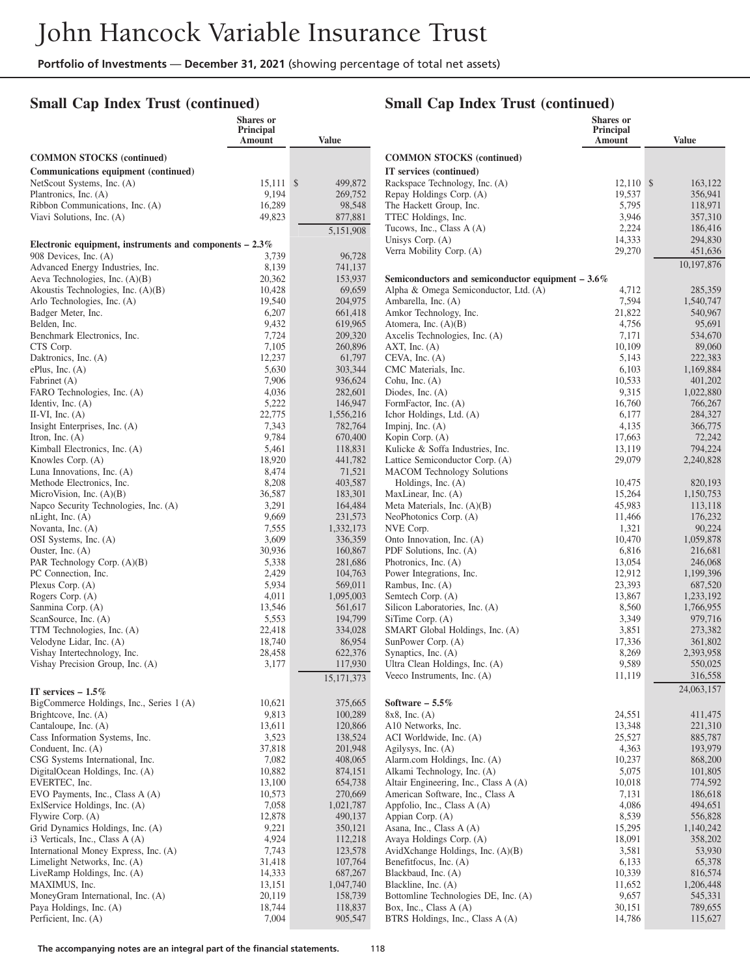## **Small Cap Index Trust (continued)**

## **Small Cap Index Trust (continued)**

|                                                                                    | Shares or<br>Principal |                      |                                                                 | <b>Shares</b> or<br>Principal |                        |
|------------------------------------------------------------------------------------|------------------------|----------------------|-----------------------------------------------------------------|-------------------------------|------------------------|
|                                                                                    | Amount                 | <b>Value</b>         |                                                                 | Amount                        | <b>Value</b>           |
| <b>COMMON STOCKS (continued)</b>                                                   |                        |                      | <b>COMMON STOCKS (continued)</b>                                |                               |                        |
| Communications equipment (continued)                                               |                        |                      | IT services (continued)                                         |                               |                        |
| NetScout Systems, Inc. (A)                                                         | $15,111$ \$            | 499,872              | Rackspace Technology, Inc. (A)                                  | $12,110$ \$                   | 163,122                |
| Plantronics, Inc. (A)                                                              | 9,194                  | 269,752              | Repay Holdings Corp. (A)                                        | 19,537                        | 356,941                |
| Ribbon Communications, Inc. (A)<br>Viavi Solutions, Inc. (A)                       | 16,289<br>49,823       | 98,548<br>877,881    | The Hackett Group, Inc.<br>TTEC Holdings, Inc.                  | 5,795<br>3,946                | 118,971<br>357,310     |
|                                                                                    |                        |                      | Tucows, Inc., Class A (A)                                       | 2,224                         | 186,416                |
|                                                                                    |                        | 5,151,908            | Unisys Corp. $(A)$                                              | 14,333                        | 294,830                |
| Electronic equipment, instruments and components $-2.3\%$<br>908 Devices, Inc. (A) | 3,739                  | 96,728               | Verra Mobility Corp. (A)                                        | 29,270                        | 451,636                |
| Advanced Energy Industries, Inc.                                                   | 8,139                  | 741,137              |                                                                 |                               | 10,197,876             |
| Aeva Technologies, Inc. (A)(B)                                                     | 20,362                 | 153,937              | Semiconductors and semiconductor equipment $-3.6\%$             |                               |                        |
| Akoustis Technologies, Inc. (A)(B)                                                 | 10,428                 | 69,659               | Alpha & Omega Semiconductor, Ltd. (A)                           | 4,712                         | 285,359                |
| Arlo Technologies, Inc. (A)                                                        | 19,540                 | 204,975              | Ambarella, Inc. (A)                                             | 7,594                         | 1,540,747              |
| Badger Meter, Inc.                                                                 | 6,207                  | 661,418              | Amkor Technology, Inc.                                          | 21,822                        | 540,967                |
| Belden, Inc.                                                                       | 9,432                  | 619,965              | Atomera, Inc. $(A)(B)$                                          | 4,756                         | 95,691                 |
| Benchmark Electronics, Inc.<br>CTS Corp.                                           | 7,724<br>7,105         | 209,320<br>260,896   | Axcelis Technologies, Inc. (A)<br>$AXT$ , Inc. $(A)$            | 7,171<br>10,109               | 534,670<br>89,060      |
| Daktronics, Inc. (A)                                                               | 12,237                 | 61,797               | $CEVA$ , Inc. $(A)$                                             | 5,143                         | 222,383                |
| ePlus, Inc. $(A)$                                                                  | 5,630                  | 303,344              | CMC Materials, Inc.                                             | 6,103                         | 1,169,884              |
| Fabrinet (A)                                                                       | 7,906                  | 936,624              | Cohu, Inc. $(A)$                                                | 10,533                        | 401,202                |
| FARO Technologies, Inc. (A)                                                        | 4,036                  | 282,601              | Diodes, Inc. $(A)$                                              | 9,315                         | 1,022,880              |
| Identiv, Inc. $(A)$                                                                | 5,222                  | 146,947              | FormFactor, Inc. (A)                                            | 16,760                        | 766,267                |
| II-VI, Inc. $(A)$                                                                  | 22,775                 | 1,556,216            | Ichor Holdings, Ltd. (A)                                        | 6,177                         | 284,327                |
| Insight Enterprises, Inc. (A)<br>Itron, Inc. $(A)$                                 | 7,343<br>9,784         | 782,764<br>670,400   | Impinj, Inc. $(A)$<br>Kopin Corp. (A)                           | 4,135<br>17,663               | 366,775<br>72,242      |
| Kimball Electronics, Inc. (A)                                                      | 5,461                  | 118,831              | Kulicke & Soffa Industries, Inc.                                | 13,119                        | 794,224                |
| Knowles Corp. (A)                                                                  | 18,920                 | 441,782              | Lattice Semiconductor Corp. (A)                                 | 29,079                        | 2,240,828              |
| Luna Innovations, Inc. (A)                                                         | 8,474                  | 71,521               | <b>MACOM</b> Technology Solutions                               |                               |                        |
| Methode Electronics, Inc.                                                          | 8,208                  | 403,587              | Holdings, Inc. (A)                                              | 10,475                        | 820,193                |
| MicroVision, Inc. (A)(B)                                                           | 36,587                 | 183,301              | MaxLinear, Inc. (A)                                             | 15,264                        | 1,150,753              |
| Napco Security Technologies, Inc. (A)                                              | 3,291                  | 164,484              | Meta Materials, Inc. $(A)(B)$                                   | 45,983                        | 113,118                |
| nLight, Inc. (A)<br>Novanta, Inc. (A)                                              | 9,669<br>7,555         | 231,573<br>1,332,173 | NeoPhotonics Corp. (A)<br>NVE Corp.                             | 11,466<br>1,321               | 176,232<br>90,224      |
| OSI Systems, Inc. (A)                                                              | 3,609                  | 336,359              | Onto Innovation, Inc. (A)                                       | 10,470                        | 1,059,878              |
| Ouster, Inc. $(A)$                                                                 | 30,936                 | 160,867              | PDF Solutions, Inc. (A)                                         | 6,816                         | 216,681                |
| PAR Technology Corp. (A)(B)                                                        | 5,338                  | 281,686              | Photronics, Inc. (A)                                            | 13,054                        | 246,068                |
| PC Connection, Inc.                                                                | 2,429                  | 104,763              | Power Integrations, Inc.                                        | 12,912                        | 1,199,396              |
| Plexus Corp. (A)                                                                   | 5,934                  | 569,011              | Rambus, Inc. (A)                                                | 23,393                        | 687,520                |
| Rogers Corp. (A)<br>Sanmina Corp. (A)                                              | 4,011<br>13,546        | 1,095,003<br>561,617 | Semtech Corp. (A)<br>Silicon Laboratories, Inc. (A)             | 13,867<br>8,560               | 1,233,192<br>1,766,955 |
| ScanSource, Inc. (A)                                                               | 5,553                  | 194,799              | SiTime Corp. (A)                                                | 3,349                         | 979,716                |
| TTM Technologies, Inc. (A)                                                         | 22,418                 | 334,028              | SMART Global Holdings, Inc. (A)                                 | 3,851                         | 273,382                |
| Velodyne Lidar, Inc. (A)                                                           | 18,740                 | 86,954               | SunPower Corp. (A)                                              | 17,336                        | 361,802                |
| Vishay Intertechnology, Inc.                                                       | 28,458                 | 622,376              | Synaptics, Inc. (A)                                             | 8,269                         | 2,393,958              |
| Vishay Precision Group, Inc. (A)                                                   | 3,177                  | 117,930              | Ultra Clean Holdings, Inc. (A)                                  | 9,589                         | 550,025                |
|                                                                                    |                        | 15, 171, 373         | Veeco Instruments, Inc. (A)                                     | 11,119                        | 316,558                |
| IT services $-1.5\%$                                                               |                        |                      |                                                                 |                               | 24,063,157             |
| BigCommerce Holdings, Inc., Series 1 (A)                                           | 10,621                 | 375,665              | Software $-5.5\%$                                               |                               |                        |
| Brightcove, Inc. (A)<br>Cantaloupe, Inc. (A)                                       | 9,813<br>13,611        | 100,289<br>120,866   | $8x8$ , Inc. (A)<br>A10 Networks, Inc.                          | 24,551<br>13,348              | 411,475<br>221,310     |
| Cass Information Systems, Inc.                                                     | 3,523                  | 138,524              | ACI Worldwide, Inc. (A)                                         | 25,527                        | 885,787                |
| Conduent, Inc. (A)                                                                 | 37,818                 | 201,948              | Agilysys, Inc. $(A)$                                            | 4,363                         | 193,979                |
| CSG Systems International, Inc.                                                    | 7,082                  | 408,065              | Alarm.com Holdings, Inc. (A)                                    | 10,237                        | 868,200                |
| DigitalOcean Holdings, Inc. (A)                                                    | 10,882                 | 874,151              | Alkami Technology, Inc. (A)                                     | 5,075                         | 101,805                |
| EVERTEC, Inc.                                                                      | 13,100                 | 654,738              | Altair Engineering, Inc., Class A (A)                           | 10,018                        | 774,592                |
| EVO Payments, Inc., Class A (A)                                                    | 10,573                 | 270,669              | American Software, Inc., Class A                                | 7,131                         | 186,618                |
| ExlService Holdings, Inc. (A)<br>Flywire Corp. (A)                                 | 7,058<br>12,878        | 1,021,787<br>490,137 | Appfolio, Inc., Class A (A)<br>Appian Corp. (A)                 | 4,086<br>8,539                | 494,651<br>556,828     |
| Grid Dynamics Holdings, Inc. (A)                                                   | 9,221                  | 350,121              | Asana, Inc., Class A (A)                                        | 15,295                        | 1,140,242              |
| $i3$ Verticals, Inc., Class A $(A)$                                                | 4,924                  | 112,218              | Avaya Holdings Corp. (A)                                        | 18,091                        | 358,202                |
| International Money Express, Inc. (A)                                              | 7,743                  | 123,578              | AvidXchange Holdings, Inc. (A)(B)                               | 3,581                         | 53,930                 |
| Limelight Networks, Inc. (A)                                                       | 31,418                 | 107,764              | Benefitfocus, Inc. (A)                                          | 6,133                         | 65,378                 |
| LiveRamp Holdings, Inc. (A)                                                        | 14,333                 | 687,267              | Blackbaud, Inc. (A)                                             | 10,339                        | 816,574                |
| MAXIMUS, Inc.                                                                      | 13,151                 | 1,047,740            | Blackline, Inc. (A)                                             | 11,652                        | 1,206,448              |
| MoneyGram International, Inc. (A)<br>Paya Holdings, Inc. (A)                       | 20,119<br>18,744       | 158,739<br>118,837   | Bottomline Technologies DE, Inc. (A)<br>Box, Inc., Class $A(A)$ | 9,657<br>30,151               | 545,331<br>789,655     |
| Perficient, Inc. (A)                                                               | 7,004                  | 905,547              | BTRS Holdings, Inc., Class A (A)                                | 14,786                        | 115,627                |
|                                                                                    |                        |                      |                                                                 |                               |                        |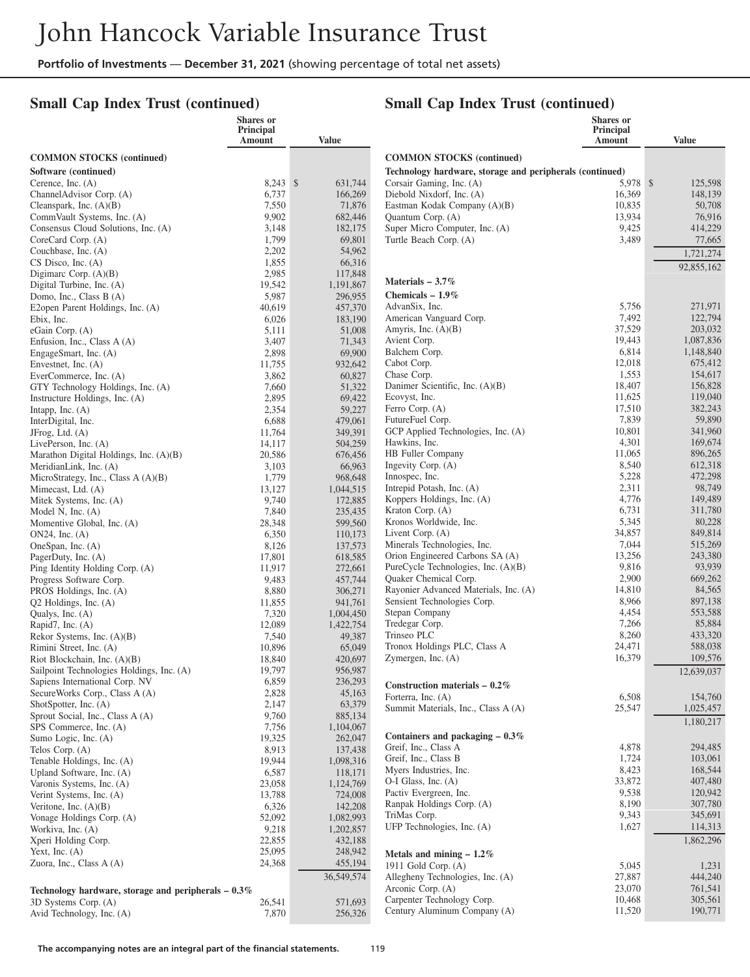## **Small Cap Index Trust (continued)**

|                                                                | Shares or<br>Principal |                      |                                                          | Shares or<br>Principal |                      |
|----------------------------------------------------------------|------------------------|----------------------|----------------------------------------------------------|------------------------|----------------------|
|                                                                | Amount                 | <b>Value</b>         |                                                          | Amount                 | <b>Value</b>         |
| <b>COMMON STOCKS</b> (continued)                               |                        |                      | <b>COMMON STOCKS</b> (continued)                         |                        |                      |
| Software (continued)                                           |                        |                      | Technology hardware, storage and peripherals (continued) |                        |                      |
| Cerence, Inc. $(A)$                                            | $8,243$ \$             | 631.744              | Corsair Gaming, Inc. (A)                                 | 5.978 \$               | 125,598              |
| ChannelAdvisor Corp. (A)                                       | 6,737                  | 166,269              | Diebold Nixdorf, Inc. (A)                                | 16,369                 | 148,139              |
| Cleanspark, Inc. $(A)(B)$                                      | 7,550                  | 71,876               | Eastman Kodak Company (A)(B)                             | 10,835                 | 50,708               |
| CommVault Systems, Inc. (A)                                    | 9,902                  | 682,446              | Quantum Corp. (A)                                        | 13,934                 | 76,916               |
| Consensus Cloud Solutions, Inc. (A)                            | 3,148                  | 182,175              | Super Micro Computer, Inc. (A)                           | 9,425                  | 414,229              |
| CoreCard Corp. (A)<br>Couchbase, Inc. (A)                      | 1,799<br>2,202         | 69,801<br>54,962     | Turtle Beach Corp. (A)                                   | 3,489                  | 77,665               |
| $CS$ Disco, Inc. $(A)$                                         | 1,855                  | 66,316               |                                                          |                        | 1,721,274            |
| Digimarc Corp. $(A)(B)$                                        | 2,985                  | 117,848              |                                                          |                        | 92,855,162           |
| Digital Turbine, Inc. (A)                                      | 19,542                 | 1,191,867            | Materials $-3.7\%$                                       |                        |                      |
| Domo, Inc., Class B (A)                                        | 5,987                  | 296,955              | Chemicals $-1.9\%$                                       |                        |                      |
| E2open Parent Holdings, Inc. (A)                               | 40,619                 | 457,370              | AdvanSix, Inc.                                           | 5,756                  | 271,971              |
| Ebix, Inc.                                                     | 6,026                  | 183,190              | American Vanguard Corp.                                  | 7,492                  | 122,794              |
| eGain Corp. (A)                                                | 5,111                  | 51,008               | Amyris, Inc. (A)(B)<br>Avient Corp.                      | 37,529<br>19,443       | 203,032<br>1,087,836 |
| Enfusion, Inc., Class A (A)<br>EngageSmart, Inc. (A)           | 3,407<br>2,898         | 71,343<br>69,900     | Balchem Corp.                                            | 6,814                  | 1,148,840            |
| Envestnet, Inc. $(A)$                                          | 11,755                 | 932,642              | Cabot Corp.                                              | 12,018                 | 675,412              |
| EverCommerce, Inc. (A)                                         | 3,862                  | 60,827               | Chase Corp.                                              | 1,553                  | 154,617              |
| GTY Technology Holdings, Inc. (A)                              | 7,660                  | 51,322               | Danimer Scientific, Inc. (A)(B)                          | 18,407                 | 156,828              |
| Instructure Holdings, Inc. (A)                                 | 2,895                  | 69,422               | Ecovyst, Inc.                                            | 11,625                 | 119,040              |
| Intapp, Inc. $(A)$                                             | 2,354                  | 59,227               | Ferro Corp. (A)                                          | 17,510                 | 382,243              |
| InterDigital, Inc.                                             | 6,688                  | 479,061              | FutureFuel Corp.                                         | 7,839                  | 59,890               |
| JFrog, Ltd. (A)                                                | 11,764                 | 349,391              | GCP Applied Technologies, Inc. (A)<br>Hawkins, Inc.      | 10,801<br>4,301        | 341,960<br>169,674   |
| LivePerson, Inc. (A)<br>Marathon Digital Holdings, Inc. (A)(B) | 14,117<br>20,586       | 504,259<br>676,456   | HB Fuller Company                                        | 11,065                 | 896,265              |
| MeridianLink, Inc. (A)                                         | 3,103                  | 66,963               | Ingevity Corp. (A)                                       | 8,540                  | 612,318              |
| MicroStrategy, Inc., Class A (A)(B)                            | 1,779                  | 968,648              | Innospec, Inc.                                           | 5,228                  | 472,298              |
| Mimecast, Ltd. (A)                                             | 13,127                 | 1,044,515            | Intrepid Potash, Inc. (A)                                | 2,311                  | 98,749               |
| Mitek Systems, Inc. (A)                                        | 9,740                  | 172,885              | Koppers Holdings, Inc. (A)                               | 4,776                  | 149,489              |
| Model N, Inc. $(A)$                                            | 7,840                  | 235,435              | Kraton Corp. (A)                                         | 6,731                  | 311,780              |
| Momentive Global, Inc. (A)                                     | 28,348                 | 599,560              | Kronos Worldwide, Inc.                                   | 5,345                  | 80,228               |
| $ON24$ , Inc. $(A)$                                            | 6,350<br>8,126         | 110,173              | Livent Corp. (A)<br>Minerals Technologies, Inc.          | 34,857<br>7,044        | 849,814<br>515,269   |
| OneSpan, Inc. (A)<br>PagerDuty, Inc. (A)                       | 17,801                 | 137,573<br>618,585   | Orion Engineered Carbons SA (A)                          | 13,256                 | 243,380              |
| Ping Identity Holding Corp. (A)                                | 11,917                 | 272,661              | PureCycle Technologies, Inc. (A)(B)                      | 9,816                  | 93,939               |
| Progress Software Corp.                                        | 9,483                  | 457,744              | Quaker Chemical Corp.                                    | 2,900                  | 669,262              |
| PROS Holdings, Inc. (A)                                        | 8,880                  | 306,271              | Rayonier Advanced Materials, Inc. (A)                    | 14,810                 | 84,565               |
| $Q2$ Holdings, Inc. $(A)$                                      | 11,855                 | 941,761              | Sensient Technologies Corp.                              | 8,966                  | 897,138              |
| Qualys, Inc. (A)                                               | 7,320                  | 1,004,450            | Stepan Company                                           | 4,454                  | 553,588              |
| Rapid7, Inc. (A)                                               | 12,089                 | 1,422,754            | Tredegar Corp.<br>Trinseo PLC                            | 7,266<br>8,260         | 85,884<br>433,320    |
| Rekor Systems, Inc. $(A)(B)$<br>Rimini Street, Inc. (A)        | 7,540<br>10,896        | 49,387<br>65,049     | Tronox Holdings PLC, Class A                             | 24,471                 | 588,038              |
| Riot Blockchain, Inc. $(A)(B)$                                 | 18,840                 | 420,697              | Zymergen, Inc. (A)                                       | 16,379                 | 109,576              |
| Sailpoint Technologies Holdings, Inc. (A)                      | 19,797                 | 956,987              |                                                          |                        | 12,639,037           |
| Sapiens International Corp. NV                                 | 6,859                  | 236,293              | Construction materials $-0.2\%$                          |                        |                      |
| SecureWorks Corp., Class A (A)                                 | 2,828                  | 45,163               | Forterra, Inc. (A)                                       | 6,508                  | 154,760              |
| ShotSpotter, Inc. (A)                                          | 2,147                  | 63,379               | Summit Materials, Inc., Class A (A)                      | 25,547                 | 1,025,457            |
| Sprout Social, Inc., Class A (A)                               | 9,760                  | 885,134              |                                                          |                        | 1,180,217            |
| SPS Commerce, Inc. (A)<br>Sumo Logic, Inc. (A)                 | 7,756<br>19,325        | 1,104,067<br>262,047 | Containers and packaging $-0.3\%$                        |                        |                      |
| Telos Corp. (A)                                                | 8,913                  | 137,438              | Greif, Inc., Class A                                     | 4,878                  | 294,485              |
| Tenable Holdings, Inc. (A)                                     | 19,944                 | 1,098,316            | Greif, Inc., Class B                                     | 1,724                  | 103,061              |
| Upland Software, Inc. (A)                                      | 6,587                  | 118,171              | Myers Industries, Inc.                                   | 8,423                  | 168,544              |
| Varonis Systems, Inc. (A)                                      | 23,058                 | 1,124,769            | O-I Glass, Inc. (A)                                      | 33,872                 | 407,480              |
| Verint Systems, Inc. (A)                                       | 13,788                 | 724,008              | Pactiv Evergreen, Inc.                                   | 9,538                  | 120,942<br>307,780   |
| Veritone, Inc. $(A)(B)$                                        | 6,326                  | 142,208              | Ranpak Holdings Corp. (A)<br>TriMas Corp.                | 8,190<br>9,343         | 345,691              |
| Vonage Holdings Corp. (A)                                      | 52,092                 | 1,082,993            | UFP Technologies, Inc. (A)                               | 1,627                  | 114,313              |
| Workiva, Inc. (A)<br>Xperi Holding Corp.                       | 9,218<br>22,855        | 1,202,857<br>432,188 |                                                          |                        | 1,862,296            |
| Yext, Inc. $(A)$                                               | 25,095                 | 248,942              | Metals and mining $-1.2\%$                               |                        |                      |
| Zuora, Inc., Class A (A)                                       | 24,368                 | 455,194              | 1911 Gold Corp. $(A)$                                    | 5,045                  | 1,231                |
|                                                                |                        | 36,549,574           | Allegheny Technologies, Inc. (A)                         | 27,887                 | 444,240              |
| Technology hardware, storage and peripherals $-0.3\%$          |                        |                      | Arconic Corp. (A)                                        | 23,070                 | 761,541              |
| 3D Systems Corp. (A)                                           | 26,541                 | 571,693              | Carpenter Technology Corp.                               | 10,468                 | 305,561              |
| Avid Technology, Inc. (A)                                      | 7,870                  | 256,326              | Century Aluminum Company (A)                             | 11,520                 | 190,771              |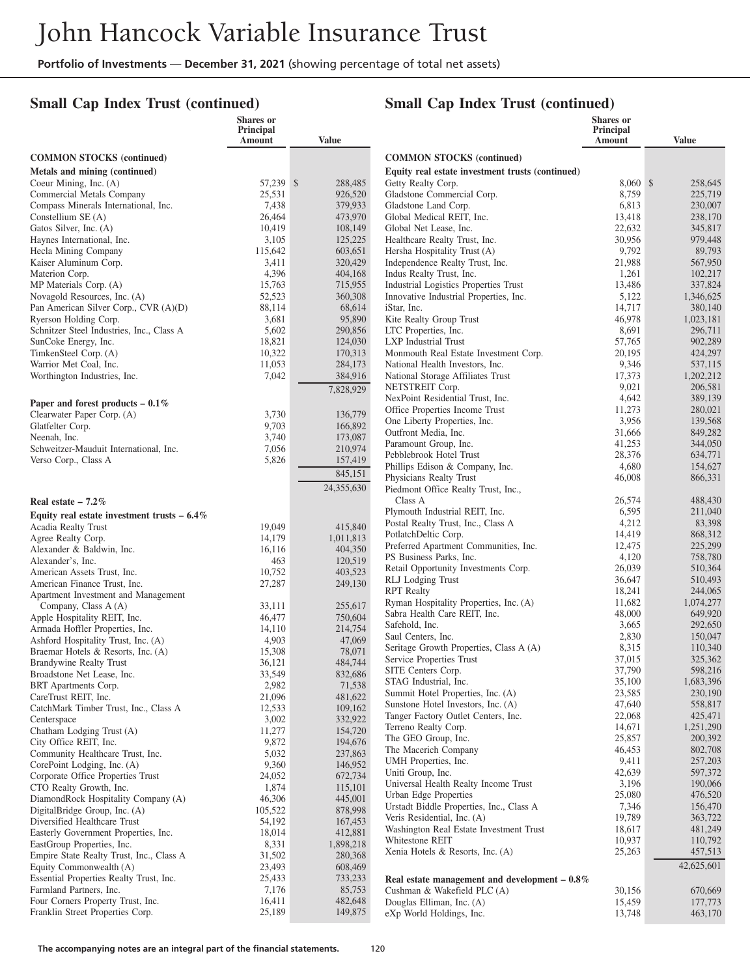## **Small Cap Index Trust (continued)**

|                                                               | <b>Shares</b> or<br><b>Principal</b><br>Amount | <b>Value</b>       |                                                                 | Shares or<br><b>Principal</b><br>Amount | <b>Value</b>         |
|---------------------------------------------------------------|------------------------------------------------|--------------------|-----------------------------------------------------------------|-----------------------------------------|----------------------|
| <b>COMMON STOCKS (continued)</b>                              |                                                |                    | <b>COMMON STOCKS (continued)</b>                                |                                         |                      |
| Metals and mining (continued)                                 |                                                |                    | Equity real estate investment trusts (continued)                |                                         |                      |
| Coeur Mining, Inc. (A)                                        | 57,239 \$                                      | 288,485            | Getty Realty Corp.                                              | $8,060$ \$                              | 258,645              |
| Commercial Metals Company                                     | 25,531                                         | 926,520            | Gladstone Commercial Corp.                                      | 8,759                                   | 225,719              |
| Compass Minerals International, Inc.                          | 7,438                                          | 379,933            | Gladstone Land Corp.                                            | 6,813                                   | 230,007              |
| Constellium $SE(A)$                                           | 26,464                                         | 473,970            | Global Medical REIT, Inc.                                       | 13,418                                  | 238,170              |
| Gatos Silver, Inc. (A)<br>Haynes International, Inc.          | 10,419<br>3,105                                | 108,149<br>125,225 | Global Net Lease, Inc.<br>Healthcare Realty Trust, Inc.         | 22,632<br>30,956                        | 345,817<br>979,448   |
| Hecla Mining Company                                          | 115,642                                        | 603,651            | Hersha Hospitality Trust (A)                                    | 9,792                                   | 89,793               |
| Kaiser Aluminum Corp.                                         | 3,411                                          | 320,429            | Independence Realty Trust, Inc.                                 | 21,988                                  | 567,950              |
| Materion Corp.                                                | 4,396                                          | 404,168            | Indus Realty Trust, Inc.                                        | 1,261                                   | 102,217              |
| MP Materials Corp. (A)                                        | 15,763                                         | 715,955            | Industrial Logistics Properties Trust                           | 13,486                                  | 337,824              |
| Novagold Resources, Inc. (A)                                  | 52,523                                         | 360,308            | Innovative Industrial Properties, Inc.                          | 5,122                                   | 1,346,625            |
| Pan American Silver Corp., CVR (A)(D)                         | 88,114                                         | 68,614             | iStar, Inc.                                                     | 14,717                                  | 380,140              |
| Ryerson Holding Corp.                                         | 3,681                                          | 95,890             | Kite Realty Group Trust                                         | 46,978                                  | 1,023,181            |
| Schnitzer Steel Industries, Inc., Class A                     | 5,602<br>18,821                                | 290,856            | LTC Properties, Inc.                                            | 8,691                                   | 296,711              |
| SunCoke Energy, Inc.<br>TimkenSteel Corp. (A)                 | 10,322                                         | 124,030<br>170,313 | LXP Industrial Trust<br>Monmouth Real Estate Investment Corp.   | 57,765<br>20,195                        | 902,289<br>424,297   |
| Warrior Met Coal, Inc.                                        | 11,053                                         | 284,173            | National Health Investors, Inc.                                 | 9,346                                   | 537,115              |
| Worthington Industries, Inc.                                  | 7,042                                          | 384,916            | National Storage Affiliates Trust                               | 17,373                                  | 1,202,212            |
|                                                               |                                                | 7,828,929          | NETSTREIT Corp.                                                 | 9,021                                   | 206,581              |
| Paper and forest products $-0.1\%$                            |                                                |                    | NexPoint Residential Trust, Inc.                                | 4,642                                   | 389,139              |
| Clearwater Paper Corp. (A)                                    | 3,730                                          | 136,779            | Office Properties Income Trust                                  | 11,273                                  | 280,021              |
| Glatfelter Corp.                                              | 9,703                                          | 166,892            | One Liberty Properties, Inc.                                    | 3,956                                   | 139,568              |
| Neenah, Inc.                                                  | 3,740                                          | 173,087            | Outfront Media, Inc.                                            | 31,666                                  | 849,282              |
| Schweitzer-Mauduit International, Inc.                        | 7,056                                          | 210,974            | Paramount Group, Inc.                                           | 41,253                                  | 344,050              |
| Verso Corp., Class A                                          | 5,826                                          | 157,419            | Pebblebrook Hotel Trust<br>Phillips Edison & Company, Inc.      | 28,376<br>4,680                         | 634,771<br>154,627   |
|                                                               |                                                | 845,151            | Physicians Realty Trust                                         | 46,008                                  | 866,331              |
|                                                               |                                                | 24,355,630         | Piedmont Office Realty Trust, Inc.,                             |                                         |                      |
| Real estate $-7.2\%$                                          |                                                |                    | Class A                                                         | 26,574                                  | 488,430              |
| Equity real estate investment trusts $-6.4\%$                 |                                                |                    | Plymouth Industrial REIT, Inc.                                  | 6,595                                   | 211,040              |
| Acadia Realty Trust                                           | 19,049                                         | 415,840            | Postal Realty Trust, Inc., Class A                              | 4,212                                   | 83,398               |
| Agree Realty Corp.                                            | 14,179                                         | 1,011,813          | PotlatchDeltic Corp.                                            | 14,419                                  | 868,312              |
| Alexander & Baldwin, Inc.                                     | 16,116                                         | 404,350            | Preferred Apartment Communities, Inc.                           | 12,475                                  | 225,299              |
| Alexander's, Inc.                                             | 463                                            | 120,519            | PS Business Parks, Inc.<br>Retail Opportunity Investments Corp. | 4,120<br>26,039                         | 758,780<br>510,364   |
| American Assets Trust, Inc.                                   | 10,752                                         | 403,523            | RLJ Lodging Trust                                               | 36,647                                  | 510,493              |
| American Finance Trust, Inc.                                  | 27,287                                         | 249,130            | <b>RPT</b> Realty                                               | 18,241                                  | 244,065              |
| Apartment Investment and Management<br>Company, Class A (A)   | 33,111                                         | 255,617            | Ryman Hospitality Properties, Inc. (A)                          | 11,682                                  | 1,074,277            |
| Apple Hospitality REIT, Inc.                                  | 46,477                                         | 750,604            | Sabra Health Care REIT, Inc.                                    | 48,000                                  | 649,920              |
| Armada Hoffler Properties, Inc.                               | 14,110                                         | 214,754            | Safehold, Inc.                                                  | 3,665                                   | 292,650              |
| Ashford Hospitality Trust, Inc. (A)                           | 4,903                                          | 47,069             | Saul Centers, Inc.                                              | 2,830                                   | 150,047              |
| Braemar Hotels & Resorts, Inc. (A)                            | 15,308                                         | 78,071             | Seritage Growth Properties, Class A (A)                         | 8,315                                   | 110,340              |
| Brandywine Realty Trust                                       | 36,121                                         | 484,744            | Service Properties Trust                                        | 37,015                                  | 325,362              |
| Broadstone Net Lease, Inc.                                    | 33,549                                         | 832,686            | SITE Centers Corp.<br>STAG Industrial, Inc.                     | 37,790<br>35,100                        | 598,216<br>1,683,396 |
| BRT Apartments Corp.                                          | 2,982                                          | 71,538             | Summit Hotel Properties, Inc. (A)                               | 23,585                                  | 230,190              |
| CareTrust REIT, Inc.<br>CatchMark Timber Trust, Inc., Class A | 21,096<br>12,533                               | 481,622<br>109,162 | Sunstone Hotel Investors, Inc. (A)                              | 47,640                                  | 558,817              |
| Centerspace                                                   | 3,002                                          | 332,922            | Tanger Factory Outlet Centers, Inc.                             | 22,068                                  | 425,471              |
| Chatham Lodging Trust (A)                                     | 11,277                                         | 154,720            | Terreno Realty Corp.                                            | 14,671                                  | 1,251,290            |
| City Office REIT, Inc.                                        | 9,872                                          | 194,676            | The GEO Group, Inc.                                             | 25,857                                  | 200,392              |
| Community Healthcare Trust, Inc.                              | 5,032                                          | 237,863            | The Macerich Company                                            | 46,453                                  | 802,708              |
| CorePoint Lodging, Inc. (A)                                   | 9,360                                          | 146,952            | UMH Properties, Inc.                                            | 9,411                                   | 257,203              |
| Corporate Office Properties Trust                             | 24,052                                         | 672,734            | Uniti Group, Inc.<br>Universal Health Realty Income Trust       | 42,639<br>3,196                         | 597,372<br>190,066   |
| CTO Realty Growth, Inc.                                       | 1,874                                          | 115,101            | Urban Edge Properties                                           | 25,080                                  | 476,520              |
| DiamondRock Hospitality Company (A)                           | 46,306                                         | 445,001            | Urstadt Biddle Properties, Inc., Class A                        | 7,346                                   | 156,470              |
| DigitalBridge Group, Inc. (A)<br>Diversified Healthcare Trust | 105,522<br>54,192                              | 878,998<br>167,453 | Veris Residential, Inc. (A)                                     | 19,789                                  | 363,722              |
| Easterly Government Properties, Inc.                          | 18,014                                         | 412,881            | Washington Real Estate Investment Trust                         | 18,617                                  | 481,249              |
| EastGroup Properties, Inc.                                    | 8,331                                          | 1,898,218          | Whitestone REIT                                                 | 10,937                                  | 110,792              |
| Empire State Realty Trust, Inc., Class A                      | 31,502                                         | 280,368            | Xenia Hotels & Resorts, Inc. (A)                                | 25,263                                  | 457,513              |
| Equity Commonwealth (A)                                       | 23,493                                         | 608,469            |                                                                 |                                         | 42,625,601           |
| Essential Properties Realty Trust, Inc.                       | 25,433                                         | 733,233            | Real estate management and development $-0.8\%$                 |                                         |                      |
| Farmland Partners, Inc.                                       | 7,176                                          | 85,753             | Cushman & Wakefield PLC (A)                                     | 30,156                                  | 670,669              |
| Four Corners Property Trust, Inc.                             | 16,411                                         | 482,648            | Douglas Elliman, Inc. (A)                                       | 15,459                                  | 177,773              |
| Franklin Street Properties Corp.                              | 25,189                                         | 149,875            | eXp World Holdings, Inc.                                        | 13,748                                  | 463,170              |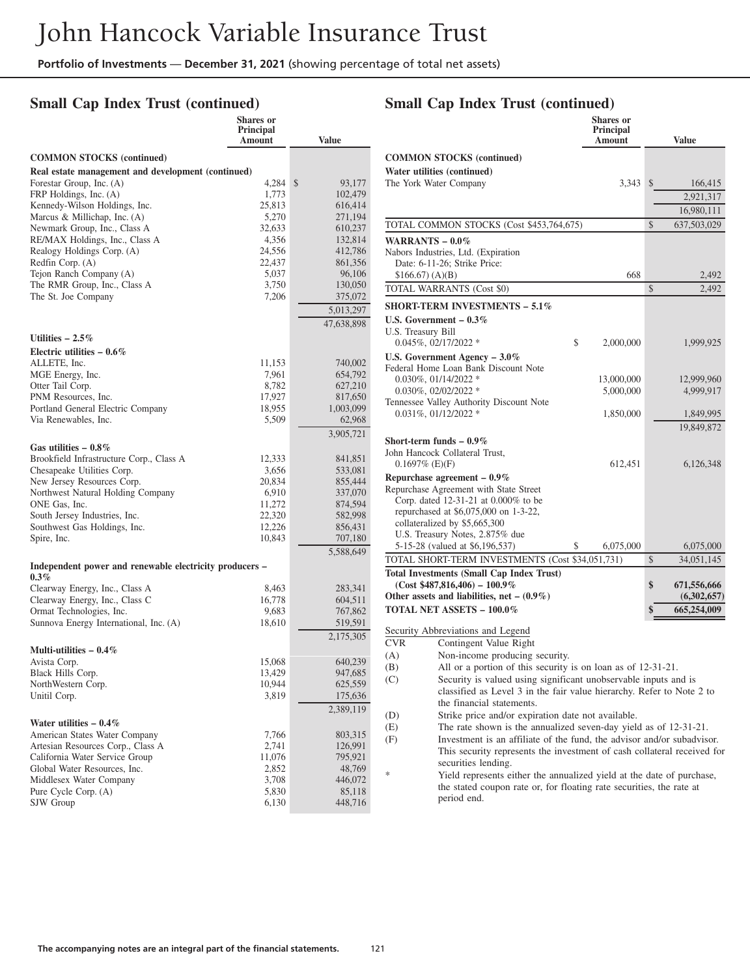#### **Small Cap Index Trust (continued)**

|                                                            | <b>Shares</b> or<br><b>Principal</b><br>Amount | <b>Value</b>       |
|------------------------------------------------------------|------------------------------------------------|--------------------|
| <b>COMMON STOCKS</b> (continued)                           |                                                |                    |
| Real estate management and development (continued)         |                                                |                    |
| Forestar Group, Inc. (A)                                   | 4,284                                          | \$<br>93,177       |
| FRP Holdings, Inc. (A)                                     | 1,773                                          | 102,479            |
| Kennedy-Wilson Holdings, Inc.                              | 25,813                                         | 616,414            |
| Marcus & Millichap, Inc. $(A)$                             | 5,270                                          | 271,194            |
| Newmark Group, Inc., Class A                               | 32,633                                         | 610,237            |
| RE/MAX Holdings, Inc., Class A                             | 4,356                                          | 132,814            |
| Realogy Holdings Corp. (A)<br>Redfin Corp. (A)             | 24,556<br>22,437                               | 412,786<br>861,356 |
| Tejon Ranch Company (A)                                    | 5,037                                          | 96,106             |
| The RMR Group, Inc., Class A                               | 3,750                                          | 130,050            |
| The St. Joe Company                                        | 7,206                                          | 375,072            |
|                                                            |                                                | 5,013,297          |
|                                                            |                                                | 47,638,898         |
|                                                            |                                                |                    |
| Utilities $-2.5\%$                                         |                                                |                    |
| Electric utilities $-0.6\%$                                |                                                |                    |
| ALLETE, Inc.<br>MGE Energy, Inc.                           | 11,153<br>7,961                                | 740,002<br>654,792 |
| Otter Tail Corp.                                           | 8,782                                          | 627,210            |
| PNM Resources, Inc.                                        | 17,927                                         | 817,650            |
| Portland General Electric Company                          | 18,955                                         | 1,003,099          |
| Via Renewables, Inc.                                       | 5,509                                          | 62,968             |
|                                                            |                                                | 3,905,721          |
| Gas utilities $-0.8\%$                                     |                                                |                    |
| Brookfield Infrastructure Corp., Class A                   | 12,333                                         | 841,851            |
| Chesapeake Utilities Corp.                                 | 3,656                                          | 533,081            |
| New Jersey Resources Corp.                                 | 20,834                                         | 855,444            |
| Northwest Natural Holding Company<br>ONE Gas, Inc.         | 6,910<br>11,272                                | 337,070<br>874,594 |
| South Jersey Industries, Inc.                              | 22,320                                         | 582,998            |
| Southwest Gas Holdings, Inc.                               | 12,226                                         | 856,431            |
| Spire, Inc.                                                | 10,843                                         | 707,180            |
|                                                            |                                                | 5,588,649          |
| Independent power and renewable electricity producers –    |                                                |                    |
| $0.3\%$                                                    |                                                |                    |
| Clearway Energy, Inc., Class A                             | 8,463                                          | 283,341            |
| Clearway Energy, Inc., Class C<br>Ormat Technologies, Inc. | 16,778<br>9,683                                | 604,511<br>767,862 |
| Sunnova Energy International, Inc. (A)                     | 18,610                                         | 519,591            |
|                                                            |                                                | 2,175,305          |
| Multi-utilities $-0.4\%$                                   |                                                |                    |
| Avista Corp.                                               | 15,068                                         | 640,239            |
| Black Hills Corp.                                          | 13,429                                         | 947,685            |
| NorthWestern Corp.                                         | 10,944                                         | 625,559            |
| Unitil Corp.                                               | 3,819                                          | 175,636            |
| Water utilities $-0.4\%$                                   |                                                | 2,389,119          |
| American States Water Company                              | 7,766                                          | 803,315            |
| Artesian Resources Corp., Class A                          | 2,741                                          | 126,991            |
| California Water Service Group                             | 11,076                                         | 795,921            |
| Global Water Resources, Inc.                               | 2,852                                          | 48,769             |
| Middlesex Water Company                                    | 3,708                                          | 446,072            |
| Pure Cycle Corp. (A)                                       | 5,830                                          | 85,118             |
| SJW Group                                                  | 6,130                                          | 448,716            |

# **Small Cap Index Trust (continued)**

|                        |                                                                        | Shares or<br>Principal<br>Amount |              | Value       |
|------------------------|------------------------------------------------------------------------|----------------------------------|--------------|-------------|
|                        | <b>COMMON STOCKS</b> (continued)                                       |                                  |              |             |
|                        | Water utilities (continued)                                            |                                  |              |             |
| The York Water Company |                                                                        | 3,343                            | $\mathbb{S}$ | 166,415     |
|                        |                                                                        |                                  |              | 2,921,317   |
|                        |                                                                        |                                  |              | 16,980,111  |
|                        | TOTAL COMMON STOCKS (Cost \$453,764,675)                               |                                  | \$           | 637,503,029 |
| WARRANTS $-0.0\%$      |                                                                        |                                  |              |             |
|                        | Nabors Industries, Ltd. (Expiration                                    |                                  |              |             |
|                        | Date: 6-11-26; Strike Price:                                           |                                  |              |             |
| \$166.67(A)(B)         |                                                                        | 668                              |              | 2,492       |
|                        | TOTAL WARRANTS (Cost \$0)                                              |                                  | \$           | 2,492       |
|                        | <b>SHORT-TERM INVESTMENTS – 5.1%</b>                                   |                                  |              |             |
|                        | U.S. Government $-0.3\%$                                               |                                  |              |             |
| U.S. Treasury Bill     |                                                                        |                                  |              |             |
|                        | $0.045\%, 02/17/2022$ *                                                | \$<br>2,000,000                  |              | 1,999,925   |
|                        | U.S. Government Agency $-3.0\%$                                        |                                  |              |             |
|                        | Federal Home Loan Bank Discount Note                                   |                                  |              |             |
|                        | $0.030\%$ , $01/14/2022$ *<br>$0.030\%$ , $02/02/2022$ *               | 13,000,000                       |              | 12,999,960  |
|                        | Tennessee Valley Authority Discount Note                               | 5,000,000                        |              | 4,999,917   |
|                        | $0.031\%, 01/12/2022*$                                                 | 1,850,000                        |              | 1,849,995   |
|                        |                                                                        |                                  |              | 19,849,872  |
|                        | Short-term funds $-0.9\%$                                              |                                  |              |             |
|                        | John Hancock Collateral Trust,                                         |                                  |              |             |
| $0.1697\%$ (E)(F)      |                                                                        | 612,451                          |              | 6,126,348   |
|                        | Repurchase agreement $-0.9\%$                                          |                                  |              |             |
|                        | Repurchase Agreement with State Street                                 |                                  |              |             |
|                        | Corp. dated 12-31-21 at 0.000% to be                                   |                                  |              |             |
|                        | repurchased at \$6,075,000 on 1-3-22,<br>collateralized by \$5,665,300 |                                  |              |             |
|                        | U.S. Treasury Notes, 2.875% due                                        |                                  |              |             |
|                        | 5-15-28 (valued at \$6,196,537)                                        | 6,075,000                        |              | 6,075,000   |
|                        | TOTAL SHORT-TERM INVESTMENTS (Cost \$34,051,731)                       |                                  | \$           | 34,051,145  |
|                        | <b>Total Investments (Small Cap Index Trust)</b>                       |                                  |              |             |
|                        | $(Cost $487,816,406) - 100.9\%$                                        |                                  | \$           | 671,556,666 |
|                        | Other assets and liabilities, net $-$ (0.9%)                           |                                  |              | (6,302,657) |
|                        | TOTAL NET ASSETS - 100.0%                                              |                                  |              | 665,254,009 |
|                        | Security Abbreviations and Legend                                      |                                  |              |             |
| <b>CVR</b>             | Contingent Value Right                                                 |                                  |              |             |
| (A)                    | Non-income producing security.                                         |                                  |              |             |
| (B)                    | All or a portion of this security is on loan as of 12-31-21.           |                                  |              |             |
| (C)                    | Security is valued using significant unobservable inputs and is        |                                  |              |             |
|                        | classified as Level 3 in the fair value hierarchy. Refer to Note 2 to  |                                  |              |             |
|                        | the financial statements.                                              |                                  |              |             |
| (D)                    | Strike price and/or expiration date not available.                     |                                  |              |             |
| (E)                    | The rate shown is the annualized seven-day yield as of 12-31-21.       |                                  |              |             |
| (F)                    | Investment is an affiliate of the fund, the advisor and/or subadvisor. |                                  |              |             |

securities lending. Yield represents either the annualized yield at the date of purchase, the stated coupon rate or, for floating rate securities, the rate at period end.

This security represents the investment of cash collateral received for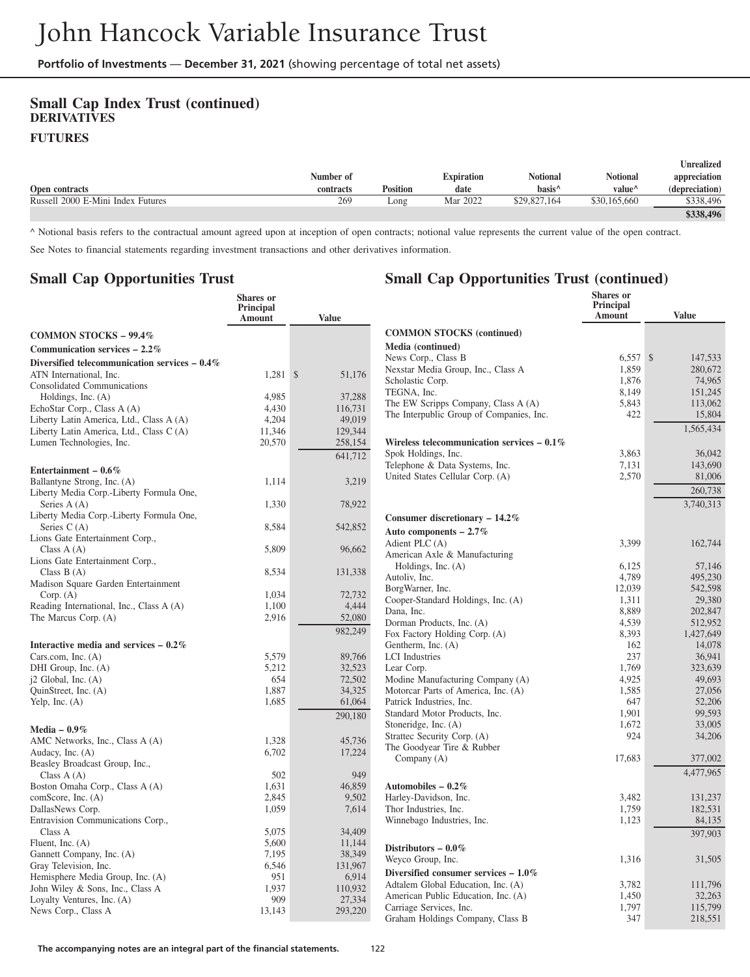#### **Small Cap Index Trust (continued) DERIVATIVES FUTURES**

|                                   |           |                 |            |                    |                    | <b>Inrealized</b> |
|-----------------------------------|-----------|-----------------|------------|--------------------|--------------------|-------------------|
|                                   | Number of |                 | Expiration | Notional           | Notional           | appreciation      |
| Open contracts                    | contracts | <b>Position</b> | date       | hasis <sup>^</sup> | value <sup>^</sup> | (depreciation)    |
| Russell 2000 E-Mini Index Futures | 269       | Long            | Mar 2022   | \$29,827,164       | \$30,165,660       | \$338.496         |
|                                   |           |                 |            |                    |                    | \$338.496         |

**Small Cap Opportunities Trust (continued)**

^ Notional basis refers to the contractual amount agreed upon at inception of open contracts; notional value represents the current value of the open contract.

See Notes to financial statements regarding investment transactions and other derivatives information.

#### **Small Cap Opportunities Trust**

|                                                 | <b>Shares</b> or<br>Principal<br>Amount | <b>Value</b>      |                                                                     | Shares or<br><b>Principal</b><br>Amount | <b>Value</b> |
|-------------------------------------------------|-----------------------------------------|-------------------|---------------------------------------------------------------------|-----------------------------------------|--------------|
| <b>COMMON STOCKS - 99.4%</b>                    |                                         |                   | <b>COMMON STOCKS (continued)</b>                                    |                                         |              |
| Communication services $-2.2\%$                 |                                         |                   | Media (continued)                                                   |                                         |              |
|                                                 |                                         |                   | News Corp., Class B                                                 | $6,557$ \$                              | 147,533      |
| Diversified telecommunication services $-0.4\%$ |                                         |                   | Nexstar Media Group, Inc., Class A                                  | 1,859                                   | 280,672      |
| ATN International, Inc.                         | $1,281$ \$                              | 51,176            | Scholastic Corp.                                                    | 1,876                                   | 74,965       |
| <b>Consolidated Communications</b>              |                                         |                   | TEGNA, Inc.                                                         | 8,149                                   | 151,245      |
| Holdings, Inc. $(A)$                            | 4,985                                   | 37,288            | The EW Scripps Company, Class A (A)                                 | 5,843                                   | 113,062      |
| EchoStar Corp., Class A (A)                     | 4,430                                   | 116,731<br>49,019 | The Interpublic Group of Companies, Inc.                            | 422                                     | 15,804       |
| Liberty Latin America, Ltd., Class A (A)        | 4,204                                   | 129,344           |                                                                     |                                         | 1,565,434    |
| Liberty Latin America, Ltd., Class C (A)        | 11,346                                  |                   |                                                                     |                                         |              |
| Lumen Technologies, Inc.                        | 20,570                                  | 258,154           | Wireless telecommunication services $-0.1\%$<br>Spok Holdings, Inc. | 3,863                                   | 36,042       |
|                                                 |                                         | 641,712           |                                                                     | 7,131                                   | 143,690      |
| Entertainment - $0.6\%$                         |                                         |                   | Telephone & Data Systems, Inc.<br>United States Cellular Corp. (A)  | 2,570                                   | 81,006       |
| Ballantyne Strong, Inc. (A)                     | 1,114                                   | 3,219             |                                                                     |                                         |              |
| Liberty Media Corp.-Liberty Formula One,        |                                         |                   |                                                                     |                                         | 260,738      |
| Series $A(A)$                                   | 1,330                                   | 78,922            |                                                                     |                                         | 3,740,313    |
| Liberty Media Corp.-Liberty Formula One,        |                                         |                   | Consumer discretionary - 14.2%                                      |                                         |              |
| Series $C(A)$                                   | 8,584                                   | 542,852           | Auto components $-2.7\%$                                            |                                         |              |
| Lions Gate Entertainment Corp.,                 |                                         |                   | Adient PLC (A)                                                      | 3,399                                   | 162,744      |
| Class $A(A)$                                    | 5,809                                   | 96,662            | American Axle & Manufacturing                                       |                                         |              |
| Lions Gate Entertainment Corp.,                 |                                         |                   | Holdings, Inc. $(A)$                                                | 6,125                                   | 57,146       |
| Class $B(A)$                                    | 8,534                                   | 131,338           | Autoliv, Inc.                                                       | 4,789                                   | 495,230      |
| Madison Square Garden Entertainment             |                                         |                   | BorgWarner, Inc.                                                    | 12,039                                  | 542,598      |
| Corp. (A)                                       | 1.034                                   | 72,732            | Cooper-Standard Holdings, Inc. (A)                                  | 1,311                                   | 29,380       |
| Reading International, Inc., Class A (A)        | 1,100                                   | 4,444             | Dana, Inc.                                                          | 8,889                                   | 202,847      |
| The Marcus Corp. (A)                            | 2,916                                   | 52,080            | Dorman Products, Inc. (A)                                           | 4,539                                   | 512,952      |
|                                                 |                                         | 982,249           | Fox Factory Holding Corp. (A)                                       | 8,393                                   | 1,427,649    |
| Interactive media and services $-0.2\%$         |                                         |                   | Gentherm, Inc. (A)                                                  | 162                                     | 14,078       |
| Cars.com, Inc. $(A)$                            | 5,579                                   | 89,766            | <b>LCI</b> Industries                                               | 237                                     | 36,941       |
| DHI Group, Inc. (A)                             | 5,212                                   | 32,523            | Lear Corp.                                                          | 1,769                                   | 323,639      |
| $i2$ Global, Inc. $(A)$                         | 654                                     | 72,502            | Modine Manufacturing Company (A)                                    | 4,925                                   | 49,693       |
| QuinStreet, Inc. (A)                            | 1,887                                   | 34,325            | Motorcar Parts of America, Inc. (A)                                 | 1,585                                   | 27,056       |
| Yelp, Inc. $(A)$                                | 1,685                                   | 61,064            | Patrick Industries, Inc.                                            | 647                                     | 52,206       |
|                                                 |                                         | 290,180           | Standard Motor Products, Inc.                                       | 1,901                                   | 99,593       |
| Media $-0.9\%$                                  |                                         |                   | Stoneridge, Inc. (A)                                                | 1,672                                   | 33,005       |
| AMC Networks, Inc., Class A (A)                 | 1,328                                   | 45,736            | Strattec Security Corp. (A)                                         | 924                                     | 34,206       |
| Audacy, Inc. (A)                                | 6,702                                   | 17,224            | The Goodyear Tire & Rubber                                          |                                         |              |
| Beasley Broadcast Group, Inc.,                  |                                         |                   | Company (A)                                                         | 17,683                                  | 377,002      |
| Class $A(A)$                                    | 502                                     | 949               |                                                                     |                                         | 4,477,965    |
| Boston Omaha Corp., Class A (A)                 | 1.631                                   | 46,859            | Automobiles - $0.2\%$                                               |                                         |              |
| comScore, Inc. (A)                              | 2,845                                   | 9,502             | Harley-Davidson, Inc.                                               | 3,482                                   | 131,237      |
| DallasNews Corp.                                | 1,059                                   | 7,614             | Thor Industries, Inc.                                               | 1,759                                   | 182,531      |
| Entravision Communications Corp.,               |                                         |                   | Winnebago Industries, Inc.                                          | 1,123                                   | 84,135       |
| Class A                                         | 5,075                                   | 34,409            |                                                                     |                                         | 397,903      |
| Fluent, Inc. $(A)$                              | 5,600                                   | 11,144            |                                                                     |                                         |              |
| Gannett Company, Inc. (A)                       | 7,195                                   | 38,349            | Distributors - $0.0\,\%$                                            |                                         |              |
| Gray Television, Inc.                           | 6,546                                   | 131,967           | Weyco Group, Inc.                                                   | 1,316                                   | 31,505       |
| Hemisphere Media Group, Inc. (A)                | 951                                     | 6,914             | Diversified consumer services $-1.0\%$                              |                                         |              |
| John Wiley & Sons, Inc., Class A                | 1,937                                   | 110,932           | Adtalem Global Education, Inc. (A)                                  | 3,782                                   | 111,796      |
| Loyalty Ventures, Inc. (A)                      | 909                                     | 27,334            | American Public Education, Inc. (A)                                 | 1,450                                   | 32,263       |
| News Corp., Class A                             | 13,143                                  | 293,220           | Carriage Services, Inc.                                             | 1,797                                   | 115,799      |
|                                                 |                                         |                   | Graham Holdings Company, Class B                                    | 347                                     | 218,551      |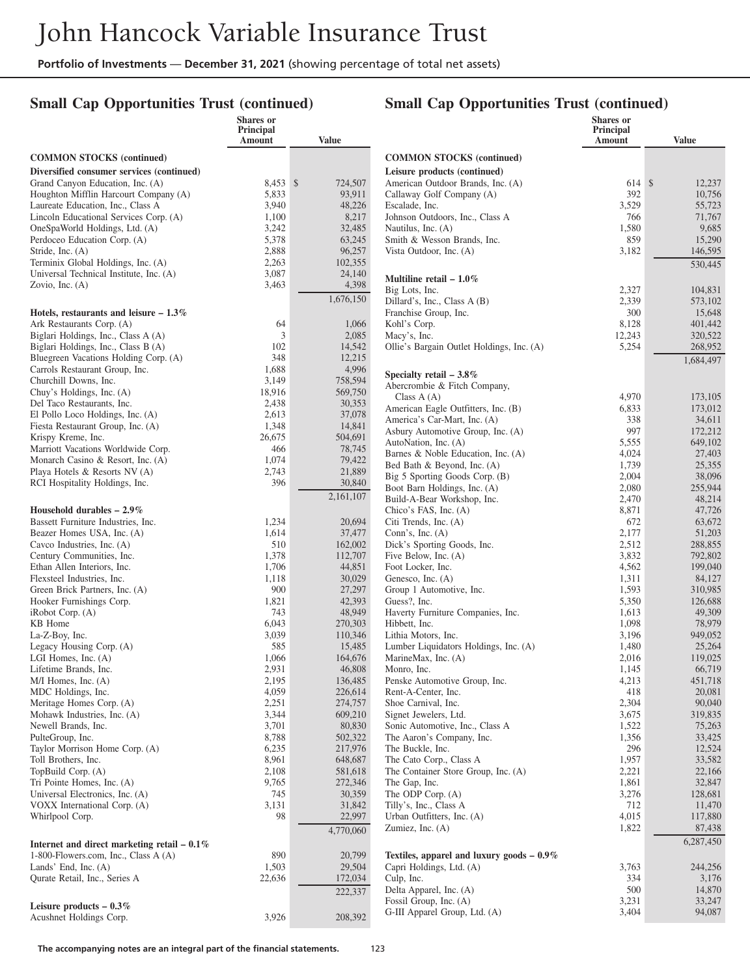**Shares or**

## **Small Cap Opportunities Trust (continued)**

#### **Small Cap Opportunities Trust (continued)**

**Shares or Principal**

|                                                                | Principal<br>Amount | <b>Value</b>       |                                                                         | Principal<br>Amount | <b>Value</b>      |
|----------------------------------------------------------------|---------------------|--------------------|-------------------------------------------------------------------------|---------------------|-------------------|
| <b>COMMON STOCKS</b> (continued)                               |                     |                    | <b>COMMON STOCKS</b> (continued)                                        |                     |                   |
| Diversified consumer services (continued)                      |                     |                    | Leisure products (continued)                                            |                     |                   |
| Grand Canyon Education, Inc. (A)                               | 8,453 \$            | 724,507            | American Outdoor Brands, Inc. (A)                                       | 614 \$              | 12,237            |
| Houghton Mifflin Harcourt Company (A)                          | 5,833               | 93,911             | Callaway Golf Company (A)                                               | 392                 | 10,756            |
| Laureate Education, Inc., Class A                              | 3,940               | 48,226             | Escalade, Inc.                                                          | 3,529               | 55,723            |
| Lincoln Educational Services Corp. (A)                         | 1,100<br>3,242      | 8,217              | Johnson Outdoors, Inc., Class A                                         | 766<br>1,580        | 71,767            |
| OneSpaWorld Holdings, Ltd. (A)<br>Perdoceo Education Corp. (A) | 5,378               | 32,485<br>63,245   | Nautilus, Inc. $(A)$<br>Smith & Wesson Brands, Inc.                     | 859                 | 9,685<br>15,290   |
| Stride, Inc. (A)                                               | 2,888               | 96,257             | Vista Outdoor, Inc. (A)                                                 | 3,182               | 146,595           |
| Terminix Global Holdings, Inc. (A)                             | 2,263               | 102,355            |                                                                         |                     | 530,445           |
| Universal Technical Institute, Inc. (A)                        | 3,087               | 24,140             |                                                                         |                     |                   |
| Zovio, Inc. $(A)$                                              | 3,463               | 4,398              | Multiline retail $-1.0\%$<br>Big Lots, Inc.                             | 2,327               | 104,831           |
|                                                                |                     | 1,676,150          | Dillard's, Inc., Class $A(B)$                                           | 2,339               | 573,102           |
| Hotels, restaurants and leisure $-1.3\%$                       |                     |                    | Franchise Group, Inc.                                                   | 300                 | 15,648            |
| Ark Restaurants Corp. (A)                                      | 64                  | 1,066              | Kohl's Corp.                                                            | 8,128               | 401,442           |
| Biglari Holdings, Inc., Class A (A)                            | 3                   | 2,085              | Macy's, Inc.                                                            | 12,243              | 320,522           |
| Biglari Holdings, Inc., Class B (A)                            | 102                 | 14,542             | Ollie's Bargain Outlet Holdings, Inc. (A)                               | 5,254               | 268,952           |
| Bluegreen Vacations Holding Corp. (A)                          | 348                 | 12,215             |                                                                         |                     | 1,684,497         |
| Carrols Restaurant Group, Inc.                                 | 1,688               | 4,996              | Specialty retail $-3.8\%$                                               |                     |                   |
| Churchill Downs, Inc.<br>Chuy's Holdings, Inc. (A)             | 3,149<br>18,916     | 758,594<br>569,750 | Abercrombie & Fitch Company,                                            |                     |                   |
| Del Taco Restaurants, Inc.                                     | 2,438               | 30,353             | Class $A(A)$                                                            | 4,970               | 173,105           |
| El Pollo Loco Holdings, Inc. (A)                               | 2,613               | 37,078             | American Eagle Outfitters, Inc. (B)                                     | 6,833               | 173,012           |
| Fiesta Restaurant Group, Inc. (A)                              | 1,348               | 14,841             | America's Car-Mart, Inc. (A)                                            | 338                 | 34,611            |
| Krispy Kreme, Inc.                                             | 26,675              | 504,691            | Asbury Automotive Group, Inc. (A)                                       | 997                 | 172,212           |
| Marriott Vacations Worldwide Corp.                             | 466                 | 78,745             | AutoNation, Inc. (A)<br>Barnes & Noble Education, Inc. (A)              | 5,555<br>4,024      | 649,102<br>27,403 |
| Monarch Casino & Resort, Inc. (A)                              | 1,074               | 79,422             | Bed Bath & Beyond, Inc. (A)                                             | 1,739               | 25,355            |
| Playa Hotels & Resorts NV (A)                                  | 2,743               | 21,889             | Big 5 Sporting Goods Corp. (B)                                          | 2,004               | 38,096            |
| RCI Hospitality Holdings, Inc.                                 | 396                 | 30,840             | Boot Barn Holdings, Inc. (A)                                            | 2,080               | 255,944           |
|                                                                |                     | 2,161,107          | Build-A-Bear Workshop, Inc.                                             | 2,470               | 48,214            |
| Household durables $-2.9\%$                                    |                     |                    | Chico's FAS, Inc. (A)                                                   | 8,871               | 47,726            |
| Bassett Furniture Industries, Inc.                             | 1,234               | 20,694             | Citi Trends, Inc. (A)                                                   | 672                 | 63,672            |
| Beazer Homes USA, Inc. (A)                                     | 1,614               | 37,477             | Conn's, Inc. $(A)$                                                      | 2,177               | 51,203            |
| Cavco Industries, Inc. (A)                                     | 510                 | 162,002            | Dick's Sporting Goods, Inc.                                             | 2,512               | 288,855           |
| Century Communities, Inc.                                      | 1,378               | 112,707            | Five Below, Inc. (A)                                                    | 3,832               | 792,802           |
| Ethan Allen Interiors, Inc.<br>Flexsteel Industries, Inc.      | 1,706<br>1,118      | 44,851<br>30,029   | Foot Locker, Inc.<br>Genesco, Inc. (A)                                  | 4,562<br>1,311      | 199,040<br>84,127 |
| Green Brick Partners, Inc. (A)                                 | 900                 | 27,297             | Group 1 Automotive, Inc.                                                | 1,593               | 310,985           |
| Hooker Furnishings Corp.                                       | 1,821               | 42,393             | Guess?, Inc.                                                            | 5,350               | 126,688           |
| $i$ Robot Corp. $(A)$                                          | 743                 | 48,949             | Haverty Furniture Companies, Inc.                                       | 1,613               | 49,309            |
| KB Home                                                        | 6,043               | 270,303            | Hibbett, Inc.                                                           | 1,098               | 78,979            |
| La-Z-Boy, Inc.                                                 | 3,039               | 110,346            | Lithia Motors, Inc.                                                     | 3,196               | 949,052           |
| Legacy Housing Corp. (A)                                       | 585                 | 15,485             | Lumber Liquidators Holdings, Inc. (A)                                   | 1,480               | 25,264            |
| LGI Homes, Inc. $(A)$                                          | 1,066               | 164,676            | MarineMax, Inc. (A)                                                     | 2,016               | 119,025           |
| Lifetime Brands, Inc.                                          | 2,931               | 46,808             | Monro, Inc.                                                             | 1,145               | 66,719            |
| $M/I$ Homes, Inc. $(A)$<br>MDC Holdings, Inc.                  | 2,195               | 136,485            | Penske Automotive Group, Inc.<br>Rent-A-Center, Inc.                    | 4,213<br>418        | 451,718<br>20,081 |
| Meritage Homes Corp. (A)                                       | 4,059<br>2,251      | 226,614<br>274,757 | Shoe Carnival, Inc.                                                     | 2,304               | 90,040            |
| Mohawk Industries, Inc. (A)                                    | 3,344               | 609,210            | Signet Jewelers, Ltd.                                                   | 3,675               | 319,835           |
| Newell Brands, Inc.                                            | 3,701               | 80,830             | Sonic Automotive, Inc., Class A                                         | 1,522               | 75,263            |
| PulteGroup, Inc.                                               | 8,788               | 502,322            | The Aaron's Company, Inc.                                               | 1,356               | 33,425            |
| Taylor Morrison Home Corp. (A)                                 | 6,235               | 217,976            | The Buckle, Inc.                                                        | 296                 | 12,524            |
| Toll Brothers, Inc.                                            | 8,961               | 648,687            | The Cato Corp., Class A                                                 | 1,957               | 33,582            |
| TopBuild Corp. (A)                                             | 2,108               | 581,618            | The Container Store Group, Inc. (A)                                     | 2,221               | 22,166            |
| Tri Pointe Homes, Inc. (A)                                     | 9,765               | 272,346            | The Gap, Inc.                                                           | 1,861               | 32,847            |
| Universal Electronics, Inc. (A)                                | 745                 | 30,359             | The ODP Corp. (A)                                                       | 3,276               | 128,681           |
| VOXX International Corp. (A)<br>Whirlpool Corp.                | 3,131<br>98         | 31,842<br>22,997   | Tilly's, Inc., Class A<br>Urban Outfitters, Inc. (A)                    | 712<br>4,015        | 11,470<br>117,880 |
|                                                                |                     | 4,770,060          | Zumiez, Inc. $(A)$                                                      | 1,822               | 87,438            |
|                                                                |                     |                    |                                                                         |                     | 6,287,450         |
| Internet and direct marketing retail $-0.1\%$                  |                     |                    |                                                                         |                     |                   |
| 1-800-Flowers.com, Inc., Class $A(A)$<br>Lands' End, Inc. (A)  | 890<br>1,503        | 20,799<br>29,504   | Textiles, apparel and luxury goods $-0.9\%$<br>Capri Holdings, Ltd. (A) | 3,763               | 244,256           |
| Qurate Retail, Inc., Series A                                  | 22,636              | 172,034            | Culp, Inc.                                                              | 334                 | 3,176             |
|                                                                |                     | 222,337            | Delta Apparel, Inc. (A)                                                 | 500                 | 14,870            |
|                                                                |                     |                    | Fossil Group, Inc. (A)                                                  | 3,231               | 33,247            |
| Leisure products $-0.3\%$<br>Acushnet Holdings Corp.           | 3,926               | 208,392            | G-III Apparel Group, Ltd. (A)                                           | 3,404               | 94,087            |
|                                                                |                     |                    |                                                                         |                     |                   |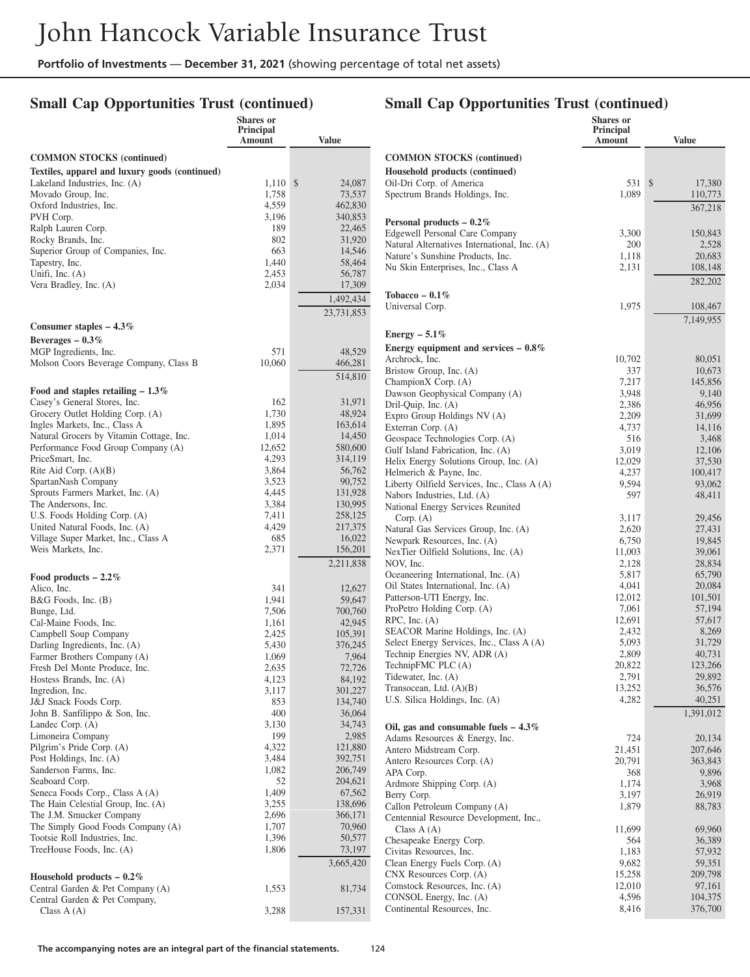## **Small Cap Opportunities Trust (continued)**

|                                                                     | Shares or<br>Principal<br><b>Amount</b> | <b>Value</b>            |                                                             | Shares or<br>Principal<br>Amount | <b>Value</b>       |
|---------------------------------------------------------------------|-----------------------------------------|-------------------------|-------------------------------------------------------------|----------------------------------|--------------------|
| <b>COMMON STOCKS (continued)</b>                                    |                                         |                         | <b>COMMON STOCKS</b> (continued)                            |                                  |                    |
| Textiles, apparel and luxury goods (continued)                      |                                         |                         | Household products (continued)                              |                                  |                    |
| Lakeland Industries, Inc. (A)                                       | $1,110$ \$                              | 24,087                  | Oil-Dri Corp. of America                                    | 531 \$                           | 17,380             |
| Movado Group, Inc.                                                  | 1,758                                   | 73,537                  | Spectrum Brands Holdings, Inc.                              | 1,089                            | 110,773            |
| Oxford Industries, Inc.                                             | 4,559                                   | 462,830                 |                                                             |                                  | 367,218            |
| PVH Corp.                                                           | 3,196                                   | 340,853                 | Personal products $-0.2\%$                                  |                                  |                    |
| Ralph Lauren Corp.                                                  | 189                                     | 22,465                  | Edgewell Personal Care Company                              | 3,300                            | 150,843            |
| Rocky Brands, Inc.                                                  | 802                                     | 31,920                  | Natural Alternatives International, Inc. (A)                | 200                              | 2,528              |
| Superior Group of Companies, Inc.                                   | 663                                     | 14,546                  | Nature's Sunshine Products, Inc.                            | 1,118                            | 20,683             |
| Tapestry, Inc.                                                      | 1,440                                   | 58,464                  | Nu Skin Enterprises, Inc., Class A                          | 2,131                            | 108,148            |
| Unifi, Inc. $(A)$<br>Vera Bradley, Inc. (A)                         | 2,453<br>2,034                          | 56,787<br>17,309        |                                                             |                                  | 282,202            |
|                                                                     |                                         |                         | Tobacco – $0.1\%$                                           |                                  |                    |
|                                                                     |                                         | 1,492,434<br>23,731,853 | Universal Corp.                                             | 1,975                            | 108,467            |
| Consumer staples $-4.3\%$                                           |                                         |                         |                                                             |                                  | 7,149,955          |
| Beverages $-0.3\%$                                                  |                                         |                         | Energy $-5.1\%$                                             |                                  |                    |
| MGP Ingredients, Inc.                                               | 571                                     | 48,529                  | Energy equipment and services $-0.8\%$                      |                                  |                    |
| Molson Coors Beverage Company, Class B                              | 10,060                                  | 466,281                 | Archrock, Inc.                                              | 10,702                           | 80,051             |
|                                                                     |                                         | 514,810                 | Bristow Group, Inc. (A)                                     | 337                              | 10,673             |
|                                                                     |                                         |                         | ChampionX Corp. (A)                                         | 7,217                            | 145,856            |
| Food and staples retailing $-1.3\%$<br>Casey's General Stores, Inc. | 162                                     | 31,971                  | Dawson Geophysical Company (A)                              | 3,948                            | 9,140              |
| Grocery Outlet Holding Corp. (A)                                    | 1,730                                   | 48,924                  | Dril-Quip, Inc. (A)                                         | 2,386                            | 46,956             |
| Ingles Markets, Inc., Class A                                       | 1,895                                   | 163,614                 | Expro Group Holdings NV (A)                                 | 2,209                            | 31,699<br>14,116   |
| Natural Grocers by Vitamin Cottage, Inc.                            | 1,014                                   | 14,450                  | Exterran Corp. (A)<br>Geospace Technologies Corp. (A)       | 4,737<br>516                     | 3,468              |
| Performance Food Group Company (A)                                  | 12,652                                  | 580,600                 | Gulf Island Fabrication, Inc. (A)                           | 3,019                            | 12,106             |
| PriceSmart, Inc.                                                    | 4,293                                   | 314,119                 | Helix Energy Solutions Group, Inc. (A)                      | 12,029                           | 37,530             |
| Rite Aid Corp. $(A)(B)$                                             | 3,864                                   | 56,762                  | Helmerich & Payne, Inc.                                     | 4,237                            | 100,417            |
| SpartanNash Company                                                 | 3,523                                   | 90,752                  | Liberty Oilfield Services, Inc., Class A (A)                | 9,594                            | 93,062             |
| Sprouts Farmers Market, Inc. (A)                                    | 4,445                                   | 131,928                 | Nabors Industries, Ltd. (A)                                 | 597                              | 48,411             |
| The Andersons, Inc.                                                 | 3,384                                   | 130,995                 | National Energy Services Reunited                           |                                  |                    |
| U.S. Foods Holding Corp. (A)                                        | 7,411                                   | 258,125                 | Corp. $(A)$                                                 | 3,117                            | 29,456             |
| United Natural Foods, Inc. (A)                                      | 4,429                                   | 217,375                 | Natural Gas Services Group, Inc. (A)                        | 2,620                            | 27,431             |
| Village Super Market, Inc., Class A<br>Weis Markets, Inc.           | 685<br>2,371                            | 16,022                  | Newpark Resources, Inc. (A)                                 | 6,750                            | 19,845             |
|                                                                     |                                         | 156,201                 | NexTier Oilfield Solutions, Inc. (A)                        | 11,003                           | 39,061             |
|                                                                     |                                         | 2,211,838               | NOV, Inc.<br>Oceaneering International, Inc. (A)            | 2,128<br>5,817                   | 28,834<br>65,790   |
| Food products $-2.2\%$                                              |                                         |                         | Oil States International, Inc. (A)                          | 4,041                            | 20,084             |
| Alico, Inc.                                                         | 341<br>1,941                            | 12,627<br>59,647        | Patterson-UTI Energy, Inc.                                  | 12,012                           | 101,501            |
| B&G Foods, Inc. (B)<br>Bunge, Ltd.                                  | 7,506                                   | 700,760                 | ProPetro Holding Corp. (A)                                  | 7,061                            | 57,194             |
| Cal-Maine Foods, Inc.                                               | 1,161                                   | 42,945                  | $RPC$ , Inc. $(A)$                                          | 12,691                           | 57,617             |
| Campbell Soup Company                                               | 2,425                                   | 105,391                 | SEACOR Marine Holdings, Inc. (A)                            | 2,432                            | 8,269              |
| Darling Ingredients, Inc. (A)                                       | 5,430                                   | 376,245                 | Select Energy Services, Inc., Class A (A)                   | 5,093                            | 31,729             |
| Farmer Brothers Company (A)                                         | 1,069                                   | 7,964                   | Technip Energies NV, ADR (A)                                | 2,809                            | 40,731             |
| Fresh Del Monte Produce, Inc.                                       | 2,635                                   | 72,726                  | TechnipFMC PLC (A)                                          | 20,822                           | 123,266            |
| Hostess Brands, Inc. (A)                                            | 4,123                                   | 84,192                  | Tidewater, Inc. (A)                                         | 2,791                            | 29,892             |
| Ingredion, Inc.                                                     | 3,117                                   | 301,227                 | Transocean, Ltd. $(A)(B)$<br>U.S. Silica Holdings, Inc. (A) | 13,252<br>4,282                  | 36,576<br>40,251   |
| J&J Snack Foods Corp.                                               | 853                                     | 134,740                 |                                                             |                                  |                    |
| John B. Sanfilippo & Son, Inc.                                      | 400<br>3,130                            | 36,064<br>34,743        |                                                             |                                  | 1,391,012          |
| Landec Corp. (A)<br>Limoneira Company                               | 199                                     | 2,985                   | Oil, gas and consumable fuels $-4.3\%$                      |                                  |                    |
| Pilgrim's Pride Corp. (A)                                           | 4,322                                   | 121,880                 | Adams Resources & Energy, Inc.                              | 724                              | 20,134             |
| Post Holdings, Inc. (A)                                             | 3,484                                   | 392,751                 | Antero Midstream Corp.<br>Antero Resources Corp. (A)        | 21,451<br>20,791                 | 207,646<br>363,843 |
| Sanderson Farms, Inc.                                               | 1,082                                   | 206,749                 | APA Corp.                                                   | 368                              | 9,896              |
| Seaboard Corp.                                                      | 52                                      | 204,621                 | Ardmore Shipping Corp. (A)                                  | 1,174                            | 3,968              |
| Seneca Foods Corp., Class A (A)                                     | 1,409                                   | 67,562                  | Berry Corp.                                                 | 3,197                            | 26,919             |
| The Hain Celestial Group, Inc. (A)                                  | 3,255                                   | 138,696                 | Callon Petroleum Company (A)                                | 1,879                            | 88,783             |
| The J.M. Smucker Company                                            | 2,696                                   | 366,171                 | Centennial Resource Development, Inc.,                      |                                  |                    |
| The Simply Good Foods Company (A)                                   | 1,707                                   | 70,960                  | Class $A(A)$                                                | 11,699                           | 69,960             |
| Tootsie Roll Industries, Inc.                                       | 1,396                                   | 50,577                  | Chesapeake Energy Corp.                                     | 564                              | 36,389             |
| TreeHouse Foods, Inc. (A)                                           | 1,806                                   | 73,197                  | Civitas Resources, Inc.                                     | 1,183                            | 57,932             |
|                                                                     |                                         | 3,665,420               | Clean Energy Fuels Corp. (A)                                | 9,682                            | 59,351             |
| Household products $-0.2\%$                                         |                                         |                         | CNX Resources Corp. (A)                                     | 15,258                           | 209,798            |
| Central Garden & Pet Company (A)                                    | 1,553                                   | 81,734                  | Comstock Resources, Inc. (A)<br>CONSOL Energy, Inc. (A)     | 12,010<br>4,596                  | 97,161<br>104,375  |
| Central Garden & Pet Company,                                       |                                         |                         | Continental Resources, Inc.                                 | 8,416                            | 376,700            |
| Class $A(A)$                                                        | 3,288                                   | 157,331                 |                                                             |                                  |                    |

#### **Small Cap Opportunities Trust (continued)**

**Shares or Principal**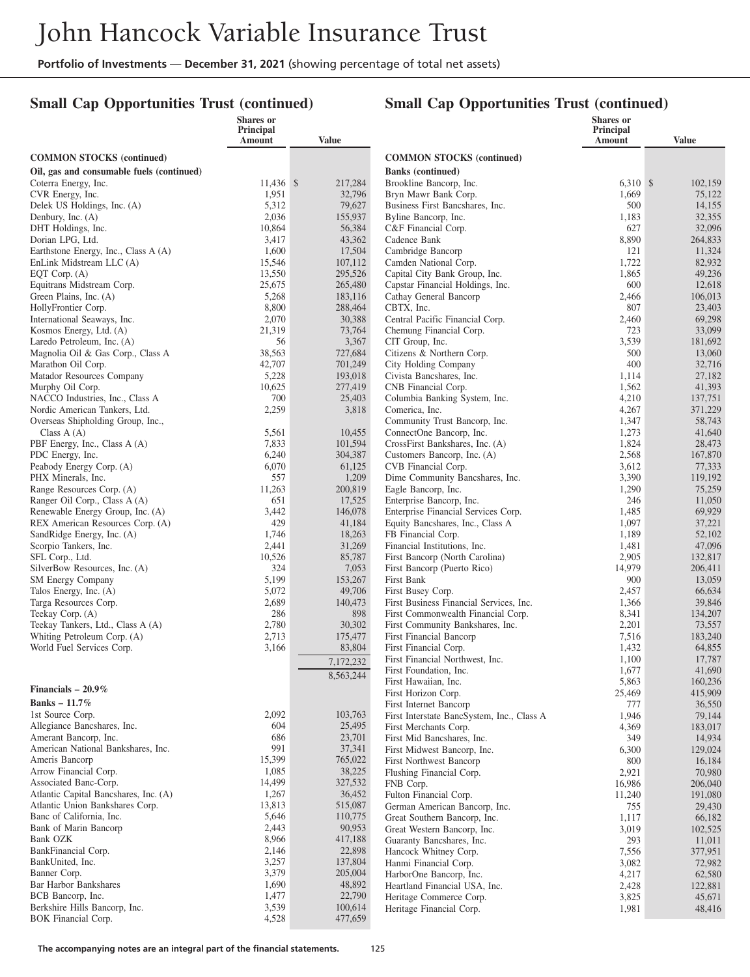## **Small Cap Opportunities Trust (continued)**

|                                                                               | <b>Shares</b> or    |                    |                                                                        | <b>Shares</b> or           |                    |
|-------------------------------------------------------------------------------|---------------------|--------------------|------------------------------------------------------------------------|----------------------------|--------------------|
|                                                                               | Principal<br>Amount | <b>Value</b>       |                                                                        | Principal<br><b>Amount</b> | <b>Value</b>       |
|                                                                               |                     |                    | <b>COMMON STOCKS (continued)</b>                                       |                            |                    |
| <b>COMMON STOCKS</b> (continued)<br>Oil, gas and consumable fuels (continued) |                     |                    | <b>Banks</b> (continued)                                               |                            |                    |
| Coterra Energy, Inc.                                                          | 11,436 \$           | 217,284            | Brookline Bancorp, Inc.                                                | $6,310$ \$                 | 102,159            |
| CVR Energy, Inc.                                                              | 1,951               | 32,796             | Bryn Mawr Bank Corp.                                                   | 1,669                      | 75,122             |
| Delek US Holdings, Inc. (A)                                                   | 5,312               | 79,627             | Business First Bancshares, Inc.                                        | 500                        | 14,155             |
| Denbury, Inc. (A)                                                             | 2,036               | 155,937            | Byline Bancorp, Inc.                                                   | 1,183                      | 32,355             |
| DHT Holdings, Inc.                                                            | 10,864              | 56,384             | C&F Financial Corp.                                                    | 627                        | 32,096             |
| Dorian LPG, Ltd.                                                              | 3,417               | 43,362             | Cadence Bank                                                           | 8,890<br>121               | 264,833            |
| Earthstone Energy, Inc., Class A (A)<br>EnLink Midstream LLC (A)              | 1,600<br>15,546     | 17,504<br>107,112  | Cambridge Bancorp<br>Camden National Corp.                             | 1,722                      | 11,324<br>82,932   |
| EQT Corp. $(A)$                                                               | 13,550              | 295,526            | Capital City Bank Group, Inc.                                          | 1,865                      | 49,236             |
| Equitrans Midstream Corp.                                                     | 25,675              | 265,480            | Capstar Financial Holdings, Inc.                                       | 600                        | 12,618             |
| Green Plains, Inc. (A)                                                        | 5,268               | 183,116            | Cathay General Bancorp                                                 | 2,466                      | 106,013            |
| HollyFrontier Corp.                                                           | 8,800               | 288,464            | CBTX, Inc.                                                             | 807                        | 23,403             |
| International Seaways, Inc.                                                   | 2,070               | 30,388             | Central Pacific Financial Corp.                                        | 2,460                      | 69,298             |
| Kosmos Energy, Ltd. (A)                                                       | 21,319              | 73,764             | Chemung Financial Corp.                                                | 723                        | 33,099             |
| Laredo Petroleum, Inc. (A)<br>Magnolia Oil & Gas Corp., Class A               | 56<br>38,563        | 3,367<br>727,684   | CIT Group, Inc.<br>Citizens & Northern Corp.                           | 3,539<br>500               | 181,692<br>13,060  |
| Marathon Oil Corp.                                                            | 42,707              | 701,249            | City Holding Company                                                   | 400                        | 32,716             |
| Matador Resources Company                                                     | 5,228               | 193,018            | Civista Bancshares, Inc.                                               | 1,114                      | 27,182             |
| Murphy Oil Corp.                                                              | 10,625              | 277,419            | CNB Financial Corp.                                                    | 1,562                      | 41,393             |
| NACCO Industries, Inc., Class A                                               | 700                 | 25,403             | Columbia Banking System, Inc.                                          | 4,210                      | 137,751            |
| Nordic American Tankers, Ltd.                                                 | 2,259               | 3,818              | Comerica, Inc.                                                         | 4,267                      | 371,229            |
| Overseas Shipholding Group, Inc.,                                             |                     |                    | Community Trust Bancorp, Inc.                                          | 1,347                      | 58,743             |
| Class $A(A)$<br>PBF Energy, Inc., Class A (A)                                 | 5,561<br>7,833      | 10,455<br>101,594  | ConnectOne Bancorp, Inc.<br>CrossFirst Bankshares, Inc. (A)            | 1,273<br>1,824             | 41,640<br>28,473   |
| PDC Energy, Inc.                                                              | 6,240               | 304,387            | Customers Bancorp, Inc. (A)                                            | 2,568                      | 167,870            |
| Peabody Energy Corp. (A)                                                      | 6,070               | 61,125             | CVB Financial Corp.                                                    | 3,612                      | 77,333             |
| PHX Minerals, Inc.                                                            | 557                 | 1,209              | Dime Community Bancshares, Inc.                                        | 3,390                      | 119,192            |
| Range Resources Corp. (A)                                                     | 11,263              | 200,819            | Eagle Bancorp, Inc.                                                    | 1,290                      | 75,259             |
| Ranger Oil Corp., Class A (A)                                                 | 651                 | 17,525             | Enterprise Bancorp, Inc.                                               | 246                        | 11,050             |
| Renewable Energy Group, Inc. (A)                                              | 3,442               | 146,078            | Enterprise Financial Services Corp.                                    | 1,485                      | 69,929             |
| REX American Resources Corp. (A)<br>SandRidge Energy, Inc. (A)                | 429<br>1,746        | 41,184<br>18,263   | Equity Bancshares, Inc., Class A<br>FB Financial Corp.                 | 1,097<br>1,189             | 37,221<br>52,102   |
| Scorpio Tankers, Inc.                                                         | 2,441               | 31,269             | Financial Institutions, Inc.                                           | 1,481                      | 47,096             |
| SFL Corp., Ltd.                                                               | 10,526              | 85,787             | First Bancorp (North Carolina)                                         | 2,905                      | 132,817            |
| SilverBow Resources, Inc. (A)                                                 | 324                 | 7,053              | First Bancorp (Puerto Rico)                                            | 14,979                     | 206,411            |
| SM Energy Company                                                             | 5,199               | 153,267            | First Bank                                                             | 900                        | 13,059             |
| Talos Energy, Inc. (A)                                                        | 5,072               | 49,706             | First Busey Corp.                                                      | 2,457                      | 66,634             |
| Targa Resources Corp.                                                         | 2,689               | 140,473<br>898     | First Business Financial Services, Inc.                                | 1,366                      | 39,846             |
| Teekay Corp. (A)<br>Teekay Tankers, Ltd., Class A (A)                         | 286<br>2,780        | 30,302             | First Commonwealth Financial Corp.<br>First Community Bankshares, Inc. | 8,341<br>2,201             | 134,207<br>73,557  |
| Whiting Petroleum Corp. (A)                                                   | 2,713               | 175,477            | First Financial Bancorp                                                | 7,516                      | 183,240            |
| World Fuel Services Corp.                                                     | 3,166               | 83,804             | First Financial Corp.                                                  | 1,432                      | 64,855             |
|                                                                               |                     | 7,172,232          | First Financial Northwest, Inc.                                        | 1,100                      | 17,787             |
|                                                                               |                     | 8,563,244          | First Foundation, Inc.                                                 | 1,677                      | 41,690             |
| Financials $-20.9\%$                                                          |                     |                    | First Hawaiian, Inc.                                                   | 5,863                      | 160,236            |
| Banks - 11.7%                                                                 |                     |                    | First Horizon Corp.<br>First Internet Bancorp                          | 25,469<br>777              | 415,909<br>36,550  |
| 1st Source Corp.                                                              | 2,092               | 103,763            | First Interstate BancSystem, Inc., Class A                             | 1,946                      | 79,144             |
| Allegiance Bancshares, Inc.                                                   | 604                 | 25,495             | First Merchants Corp.                                                  | 4,369                      | 183,017            |
| Amerant Bancorp, Inc.                                                         | 686                 | 23,701             | First Mid Bancshares, Inc.                                             | 349                        | 14,934             |
| American National Bankshares, Inc.                                            | 991                 | 37,341             | First Midwest Bancorp, Inc.                                            | 6,300                      | 129,024            |
| Ameris Bancorp                                                                | 15,399              | 765,022            | First Northwest Bancorp                                                | 800                        | 16,184             |
| Arrow Financial Corp.<br>Associated Banc-Corp.                                | 1,085<br>14,499     | 38,225<br>327,532  | Flushing Financial Corp.                                               | 2,921                      | 70,980             |
| Atlantic Capital Bancshares, Inc. (A)                                         | 1,267               | 36,452             | FNB Corp.<br>Fulton Financial Corp.                                    | 16,986<br>11,240           | 206,040<br>191,080 |
| Atlantic Union Bankshares Corp.                                               | 13,813              | 515,087            | German American Bancorp, Inc.                                          | 755                        | 29,430             |
| Banc of California, Inc.                                                      | 5,646               | 110,775            | Great Southern Bancorp, Inc.                                           | 1,117                      | 66,182             |
| Bank of Marin Bancorp                                                         | 2,443               | 90,953             | Great Western Bancorp, Inc.                                            | 3,019                      | 102,525            |
| <b>Bank OZK</b>                                                               | 8,966               | 417,188            | Guaranty Bancshares, Inc.                                              | 293                        | 11,011             |
| BankFinancial Corp.                                                           | 2,146               | 22,898             | Hancock Whitney Corp.                                                  | 7,556                      | 377,951            |
| BankUnited, Inc.                                                              | 3,257<br>3,379      | 137,804<br>205,004 | Hanmi Financial Corp.                                                  | 3,082                      | 72,982             |
| Banner Corp.<br>Bar Harbor Bankshares                                         | 1,690               | 48,892             | HarborOne Bancorp, Inc.<br>Heartland Financial USA, Inc.               | 4,217<br>2,428             | 62,580             |
| BCB Bancorp, Inc.                                                             | 1,477               | 22,790             | Heritage Commerce Corp.                                                | 3,825                      | 122,881<br>45,671  |
| Berkshire Hills Bancorp, Inc.                                                 | 3,539               | 100,614            | Heritage Financial Corp.                                               | 1,981                      | 48,416             |
| BOK Financial Corp.                                                           | 4,528               | 477,659            |                                                                        |                            |                    |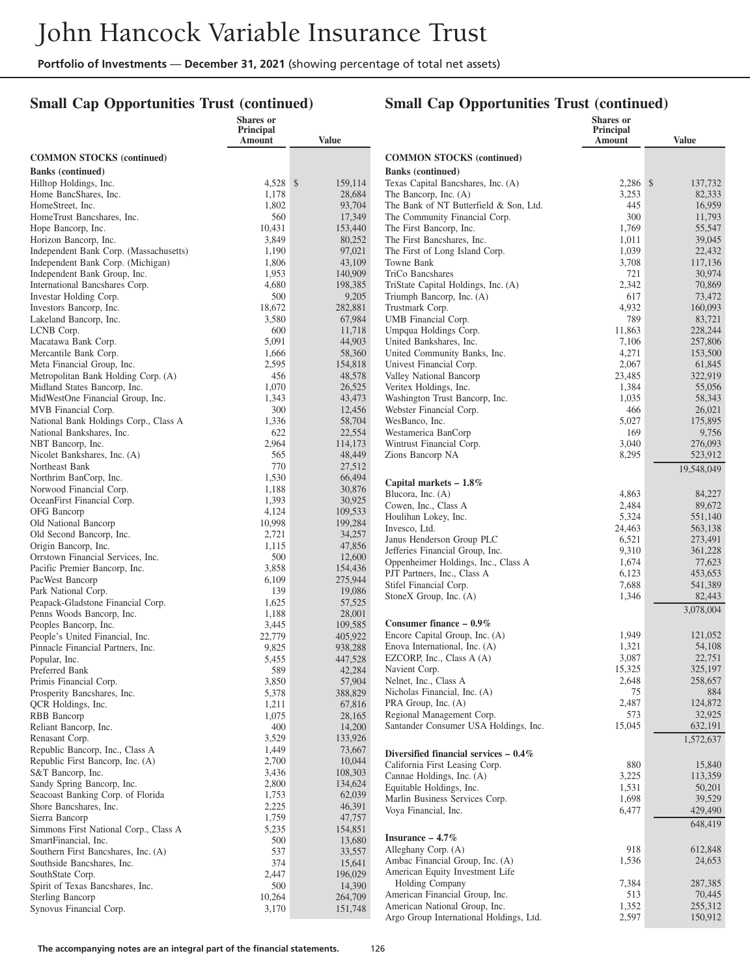## **Small Cap Opportunities Trust (continued)**

|                                                               | <b>Shares or</b><br>Principal |                   |                                                            | Shares or<br><b>Principal</b> |                   |
|---------------------------------------------------------------|-------------------------------|-------------------|------------------------------------------------------------|-------------------------------|-------------------|
|                                                               | Amount                        | Value             |                                                            | Amount                        | Value             |
| <b>COMMON STOCKS (continued)</b>                              |                               |                   | <b>COMMON STOCKS</b> (continued)                           |                               |                   |
| <b>Banks</b> (continued)                                      |                               |                   | <b>Banks</b> (continued)                                   |                               |                   |
| Hilltop Holdings, Inc.                                        | 4,528 \$                      | 159,114           | Texas Capital Bancshares, Inc. (A)                         | 2,286 \$                      | 137,732           |
| Home BancShares, Inc.                                         | 1,178                         | 28,684            | The Bancorp, Inc. (A)                                      | 3,253                         | 82,333            |
| HomeStreet, Inc.                                              | 1,802                         | 93,704            | The Bank of NT Butterfield & Son, Ltd.                     | 445                           | 16,959            |
| HomeTrust Bancshares, Inc.                                    | 560                           | 17,349            | The Community Financial Corp.                              | 300                           | 11,793            |
| Hope Bancorp, Inc.                                            | 10,431                        | 153,440           | The First Bancorp, Inc.                                    | 1,769                         | 55,547            |
| Horizon Bancorp, Inc.                                         | 3,849                         | 80,252            | The First Bancshares, Inc.                                 | 1,011                         | 39,045            |
| Independent Bank Corp. (Massachusetts)                        | 1,190                         | 97,021            | The First of Long Island Corp.                             | 1,039                         | 22,432            |
| Independent Bank Corp. (Michigan)                             | 1,806                         | 43,109            | Towne Bank                                                 | 3,708                         | 117,136           |
| Independent Bank Group, Inc.                                  | 1,953                         | 140,909           | TriCo Bancshares                                           | 721                           | 30,974            |
| International Bancshares Corp.                                | 4,680                         | 198,385           | TriState Capital Holdings, Inc. (A)                        | 2,342                         | 70,869            |
| Investar Holding Corp.                                        | 500                           | 9,205             | Triumph Bancorp, Inc. (A)                                  | 617                           | 73,472            |
| Investors Bancorp, Inc.                                       | 18,672                        | 282,881           | Trustmark Corp.                                            | 4,932<br>789                  | 160,093           |
| Lakeland Bancorp, Inc.<br>LCNB Corp.                          | 3,580<br>600                  | 67,984<br>11,718  | UMB Financial Corp.<br>Umpqua Holdings Corp.               | 11,863                        | 83,721<br>228,244 |
| Macatawa Bank Corp.                                           | 5,091                         | 44,903            | United Bankshares, Inc.                                    | 7,106                         | 257,806           |
| Mercantile Bank Corp.                                         | 1,666                         | 58,360            | United Community Banks, Inc.                               | 4,271                         | 153,500           |
| Meta Financial Group, Inc.                                    | 2,595                         | 154,818           | Univest Financial Corp.                                    | 2,067                         | 61,845            |
| Metropolitan Bank Holding Corp. (A)                           | 456                           | 48,578            | Valley National Bancorp                                    | 23,485                        | 322,919           |
| Midland States Bancorp, Inc.                                  | 1,070                         | 26,525            | Veritex Holdings, Inc.                                     | 1,384                         | 55,056            |
| MidWestOne Financial Group, Inc.                              | 1,343                         | 43,473            | Washington Trust Bancorp, Inc.                             | 1,035                         | 58,343            |
| MVB Financial Corp.                                           | 300                           | 12,456            | Webster Financial Corp.                                    | 466                           | 26,021            |
| National Bank Holdings Corp., Class A                         | 1,336                         | 58,704            | WesBanco, Inc.                                             | 5,027                         | 175,895           |
| National Bankshares, Inc.                                     | 622                           | 22,554            | Westamerica BanCorp                                        | 169                           | 9,756             |
| NBT Bancorp, Inc.                                             | 2,964                         | 114,173           | Wintrust Financial Corp.                                   | 3,040                         | 276,093           |
| Nicolet Bankshares, Inc. (A)                                  | 565                           | 48,449            | Zions Bancorp NA                                           | 8,295                         | 523,912           |
| Northeast Bank                                                | 770                           | 27,512            |                                                            |                               | 19.548.049        |
| Northrim BanCorp, Inc.                                        | 1,530                         | 66,494            | Capital markets - 1.8%                                     |                               |                   |
| Norwood Financial Corp.                                       | 1,188                         | 30,876            | Blucora, Inc. (A)                                          | 4,863                         | 84,227            |
| OceanFirst Financial Corp.<br>OFG Bancorp                     | 1,393<br>4,124                | 30,925<br>109,533 | Cowen, Inc., Class A                                       | 2,484                         | 89,672            |
| Old National Bancorp                                          | 10,998                        | 199,284           | Houlihan Lokey, Inc.                                       | 5,324                         | 551,140           |
| Old Second Bancorp, Inc.                                      | 2,721                         | 34,257            | Invesco, Ltd.                                              | 24,463                        | 563,138           |
| Origin Bancorp, Inc.                                          | 1,115                         | 47,856            | Janus Henderson Group PLC                                  | 6,521                         | 273,491           |
| Orrstown Financial Services, Inc.                             | 500                           | 12,600            | Jefferies Financial Group, Inc.                            | 9,310                         | 361,228           |
| Pacific Premier Bancorp, Inc.                                 | 3,858                         | 154,436           | Oppenheimer Holdings, Inc., Class A                        | 1,674                         | 77,623            |
| PacWest Bancorp                                               | 6,109                         | 275,944           | PJT Partners, Inc., Class A                                | 6,123                         | 453,653           |
| Park National Corp.                                           | 139                           | 19,086            | Stifel Financial Corp.<br>StoneX Group, Inc. (A)           | 7,688<br>1,346                | 541,389<br>82,443 |
| Peapack-Gladstone Financial Corp.                             | 1,625                         | 57,525            |                                                            |                               |                   |
| Penns Woods Bancorp, Inc.                                     | 1,188                         | 28,001            |                                                            |                               | 3,078,004         |
| Peoples Bancorp, Inc.                                         | 3,445                         | 109,585           | Consumer finance $-0.9\%$                                  |                               |                   |
| People's United Financial, Inc.                               | 22,779                        | 405,922           | Encore Capital Group, Inc. (A)                             | 1,949                         | 121,052           |
| Pinnacle Financial Partners, Inc.                             | 9,825                         | 938,288           | Enova International, Inc. (A)<br>EZCORP, Inc., Class A (A) | 1,321<br>3,087                | 54,108<br>22,751  |
| Popular, Inc.<br>Preferred Bank                               | 5,455<br>589                  | 447,528           | Navient Corp.                                              | 15,325                        | 325,197           |
| Primis Financial Corp.                                        | 3,850                         | 42,284<br>57,904  | Nelnet, Inc., Class A                                      | 2.648                         | 258,657           |
| Prosperity Bancshares, Inc.                                   | 5,378                         | 388,829           | Nicholas Financial, Inc. (A)                               | 75                            | 884               |
| QCR Holdings, Inc.                                            | 1,211                         | 67,816            | PRA Group, Inc. (A)                                        | 2,487                         | 124,872           |
| RBB Bancorp                                                   | 1,075                         | 28,165            | Regional Management Corp.                                  | 573                           | 32,925            |
| Reliant Bancorp, Inc.                                         | 400                           | 14,200            | Santander Consumer USA Holdings, Inc.                      | 15,045                        | 632,191           |
| Renasant Corp.                                                | 3,529                         | 133,926           |                                                            |                               | 1,572,637         |
| Republic Bancorp, Inc., Class A                               | 1,449                         | 73,667            | Diversified financial services $-0.4\%$                    |                               |                   |
| Republic First Bancorp, Inc. (A)                              | 2,700                         | 10,044            | California First Leasing Corp.                             | 880                           | 15,840            |
| S&T Bancorp, Inc.                                             | 3,436                         | 108,303           | Cannae Holdings, Inc. (A)                                  | 3,225                         | 113,359           |
| Sandy Spring Bancorp, Inc.                                    | 2,800                         | 134,624           | Equitable Holdings, Inc.                                   | 1,531                         | 50,201            |
| Seacoast Banking Corp. of Florida                             | 1,753                         | 62,039            | Marlin Business Services Corp.                             | 1,698                         | 39,529            |
| Shore Bancshares, Inc.                                        | 2,225                         | 46,391            | Voya Financial, Inc.                                       | 6,477                         | 429,490           |
| Sierra Bancorp                                                | 1,759                         | 47,757            |                                                            |                               | 648,419           |
| Simmons First National Corp., Class A<br>SmartFinancial, Inc. | 5,235<br>500                  | 154,851           | Insurance $-4.7\%$                                         |                               |                   |
| Southern First Bancshares, Inc. (A)                           | 537                           | 13,680<br>33,557  | Alleghany Corp. (A)                                        | 918                           | 612,848           |
| Southside Bancshares, Inc.                                    | 374                           | 15,641            | Ambac Financial Group, Inc. (A)                            | 1,536                         | 24,653            |
| SouthState Corp.                                              | 2,447                         | 196,029           | American Equity Investment Life                            |                               |                   |
| Spirit of Texas Bancshares, Inc.                              | 500                           | 14,390            | <b>Holding Company</b>                                     | 7,384                         | 287,385           |
| <b>Sterling Bancorp</b>                                       | 10,264                        | 264,709           | American Financial Group, Inc.                             | 513                           | 70,445            |
| Synovus Financial Corp.                                       | 3,170                         | 151,748           | American National Group, Inc.                              | 1,352                         | 255,312           |
|                                                               |                               |                   | Argo Group International Holdings, Ltd.                    | 2,597                         | 150,912           |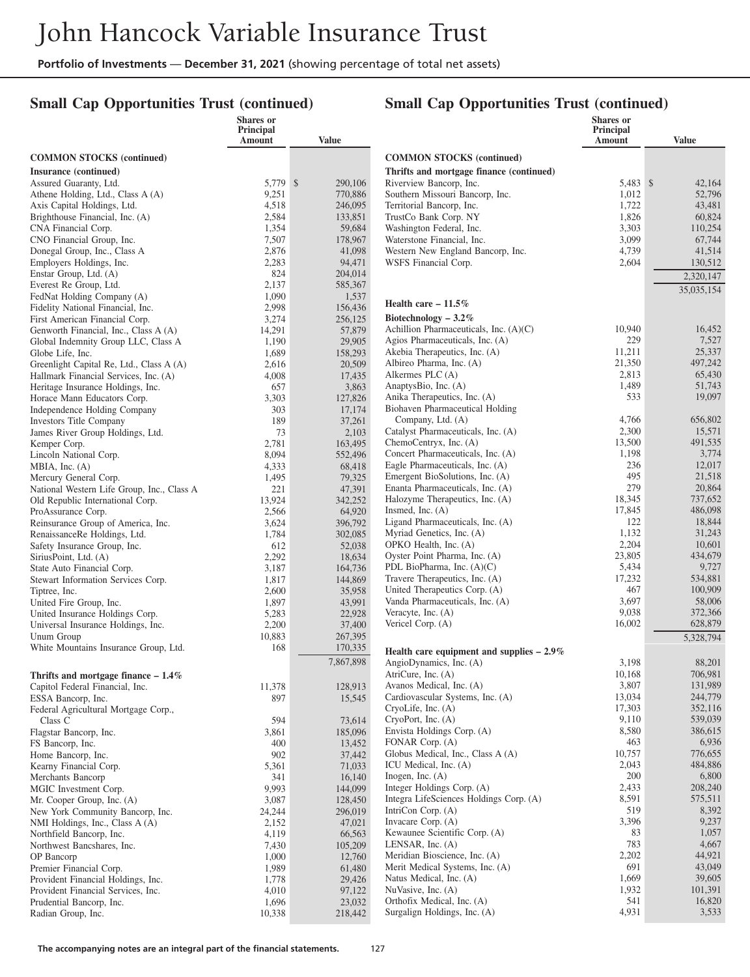## **Small Cap Opportunities Trust (continued)**

|                                                                          | <b>Shares</b> or<br>Principal<br>Amount | <b>Value</b>       |                                                                     | <b>Shares</b> or<br>Principal<br>Amount | <b>Value</b>       |
|--------------------------------------------------------------------------|-----------------------------------------|--------------------|---------------------------------------------------------------------|-----------------------------------------|--------------------|
| <b>COMMON STOCKS</b> (continued)                                         |                                         |                    | <b>COMMON STOCKS</b> (continued)                                    |                                         |                    |
| Insurance (continued)                                                    |                                         |                    | Thrifts and mortgage finance (continued)                            |                                         |                    |
| Assured Guaranty, Ltd.                                                   | 5,779 \$                                | 290,106            | Riverview Bancorp, Inc.                                             | 5,483 \$                                | 42,164             |
| Athene Holding, Ltd., Class A (A)                                        | 9,251                                   | 770,886            | Southern Missouri Bancorp, Inc.                                     | 1,012                                   | 52,796             |
| Axis Capital Holdings, Ltd.                                              | 4,518                                   | 246,095            | Territorial Bancorp, Inc.                                           | 1,722                                   | 43,481             |
| Brighthouse Financial, Inc. (A)                                          | 2,584                                   | 133,851            | TrustCo Bank Corp. NY<br>Washington Federal, Inc.                   | 1,826<br>3,303                          | 60,824             |
| CNA Financial Corp.<br>CNO Financial Group, Inc.                         | 1,354<br>7,507                          | 59,684<br>178,967  | Waterstone Financial, Inc.                                          | 3,099                                   | 110,254<br>67,744  |
| Donegal Group, Inc., Class A                                             | 2,876                                   | 41,098             | Western New England Bancorp, Inc.                                   | 4,739                                   | 41,514             |
| Employers Holdings, Inc.                                                 | 2,283                                   | 94,471             | WSFS Financial Corp.                                                | 2,604                                   | 130.512            |
| Enstar Group, Ltd. (A)                                                   | 824                                     | 204,014            |                                                                     |                                         | 2,320,147          |
| Everest Re Group, Ltd.                                                   | 2,137                                   | 585,367            |                                                                     |                                         | 35,035,154         |
| FedNat Holding Company (A)                                               | 1,090                                   | 1,537              | Health care $-11.5\%$                                               |                                         |                    |
| Fidelity National Financial, Inc.<br>First American Financial Corp.      | 2,998<br>3,274                          | 156,436<br>256,125 | Biotechnology $-3.2\%$                                              |                                         |                    |
| Genworth Financial, Inc., Class A (A)                                    | 14,291                                  | 57,879             | Achillion Pharmaceuticals, Inc. (A)(C)                              | 10,940                                  | 16,452             |
| Global Indemnity Group LLC, Class A                                      | 1,190                                   | 29,905             | Agios Pharmaceuticals, Inc. (A)                                     | 229                                     | 7,527              |
| Globe Life, Inc.                                                         | 1,689                                   | 158,293            | Akebia Therapeutics, Inc. (A)                                       | 11,211                                  | 25,337             |
| Greenlight Capital Re, Ltd., Class A (A)                                 | 2,616                                   | 20,509             | Albireo Pharma, Inc. (A)                                            | 21,350                                  | 497,242            |
| Hallmark Financial Services, Inc. (A)                                    | 4,008                                   | 17,435             | Alkermes PLC (A)                                                    | 2,813                                   | 65,430             |
| Heritage Insurance Holdings, Inc.<br>Horace Mann Educators Corp.         | 657                                     | 3,863              | AnaptysBio, Inc. (A)<br>Anika Therapeutics, Inc. (A)                | 1,489<br>533                            | 51,743<br>19,097   |
| Independence Holding Company                                             | 3,303<br>303                            | 127,826<br>17,174  | Biohaven Pharmaceutical Holding                                     |                                         |                    |
| <b>Investors Title Company</b>                                           | 189                                     | 37,261             | Company, Ltd. (A)                                                   | 4,766                                   | 656,802            |
| James River Group Holdings, Ltd.                                         | 73                                      | 2,103              | Catalyst Pharmaceuticals, Inc. (A)                                  | 2,300                                   | 15,571             |
| Kemper Corp.                                                             | 2,781                                   | 163,495            | ChemoCentryx, Inc. (A)                                              | 13,500                                  | 491,535            |
| Lincoln National Corp.                                                   | 8,094                                   | 552,496            | Concert Pharmaceuticals, Inc. (A)                                   | 1,198                                   | 3,774              |
| MBIA, Inc. $(A)$                                                         | 4,333                                   | 68,418             | Eagle Pharmaceuticals, Inc. (A)                                     | 236<br>495                              | 12,017             |
| Mercury General Corp.<br>National Western Life Group, Inc., Class A      | 1,495<br>221                            | 79,325<br>47,391   | Emergent BioSolutions, Inc. (A)<br>Enanta Pharmaceuticals, Inc. (A) | 279                                     | 21,518<br>20,864   |
| Old Republic International Corp.                                         | 13,924                                  | 342,252            | Halozyme Therapeutics, Inc. (A)                                     | 18,345                                  | 737,652            |
| ProAssurance Corp.                                                       | 2,566                                   | 64,920             | Insmed, Inc. $(A)$                                                  | 17,845                                  | 486,098            |
| Reinsurance Group of America, Inc.                                       | 3,624                                   | 396,792            | Ligand Pharmaceuticals, Inc. (A)                                    | 122                                     | 18,844             |
| RenaissanceRe Holdings, Ltd.                                             | 1,784                                   | 302,085            | Myriad Genetics, Inc. (A)                                           | 1,132                                   | 31,243             |
| Safety Insurance Group, Inc.                                             | 612                                     | 52,038             | OPKO Health, Inc. (A)                                               | 2,204                                   | 10,601             |
| SiriusPoint, Ltd. (A)                                                    | 2,292<br>3,187                          | 18,634             | Oyster Point Pharma, Inc. (A)<br>PDL BioPharma, Inc. (A)(C)         | 23,805<br>5,434                         | 434,679<br>9,727   |
| State Auto Financial Corp.<br>Stewart Information Services Corp.         | 1,817                                   | 164,736<br>144,869 | Travere Therapeutics, Inc. (A)                                      | 17,232                                  | 534,881            |
| Tiptree, Inc.                                                            | 2,600                                   | 35,958             | United Therapeutics Corp. (A)                                       | 467                                     | 100,909            |
| United Fire Group, Inc.                                                  | 1,897                                   | 43,991             | Vanda Pharmaceuticals, Inc. (A)                                     | 3,697                                   | 58,006             |
| United Insurance Holdings Corp.                                          | 5,283                                   | 22,928             | Veracyte, Inc. (A)                                                  | 9,038                                   | 372,366            |
| Universal Insurance Holdings, Inc.                                       | 2,200                                   | 37,400             | Vericel Corp. (A)                                                   | 16,002                                  | 628,879            |
| Unum Group                                                               | 10,883<br>168                           | 267,395            |                                                                     |                                         | 5,328,794          |
| White Mountains Insurance Group, Ltd.                                    |                                         | 170,335            | Health care equipment and supplies $-2.9\%$                         |                                         |                    |
|                                                                          |                                         | 7,867,898          | AngioDynamics, Inc. (A)                                             | 3,198<br>10,168                         | 88,201<br>706,981  |
| Thrifts and mortgage finance $-1.4\%$<br>Capitol Federal Financial, Inc. | 11,378                                  | 128,913            | AtriCure, Inc. (A)<br>Avanos Medical, Inc. (A)                      | 3,807                                   | 131,989            |
| ESSA Bancorp, Inc.                                                       | 897                                     | 15,545             | Cardiovascular Systems, Inc. (A)                                    | 13,034                                  | 244,779            |
| Federal Agricultural Mortgage Corp.,                                     |                                         |                    | CryoLife, Inc. (A)                                                  | 17,303                                  | 352,116            |
| Class C                                                                  | 594                                     | 73,614             | CryoPort, Inc. (A)                                                  | 9,110                                   | 539,039            |
| Flagstar Bancorp, Inc.                                                   | 3,861                                   | 185,096            | Envista Holdings Corp. (A)                                          | 8,580                                   | 386,615            |
| FS Bancorp, Inc.                                                         | 400                                     | 13,452             | FONAR Corp. (A)                                                     | 463                                     | 6,936              |
| Home Bancorp, Inc.                                                       | 902                                     | 37,442             | Globus Medical, Inc., Class A (A)<br>ICU Medical, Inc. (A)          | 10,757<br>2,043                         | 776,655<br>484,886 |
| Kearny Financial Corp.<br>Merchants Bancorp                              | 5,361<br>341                            | 71,033<br>16,140   | Inogen, Inc. $(A)$                                                  | 200                                     | 6,800              |
| MGIC Investment Corp.                                                    | 9,993                                   | 144,099            | Integer Holdings Corp. (A)                                          | 2,433                                   | 208,240            |
| Mr. Cooper Group, Inc. (A)                                               | 3,087                                   | 128,450            | Integra LifeSciences Holdings Corp. (A)                             | 8,591                                   | 575,511            |
| New York Community Bancorp, Inc.                                         | 24,244                                  | 296,019            | IntriCon Corp. $(A)$                                                | 519                                     | 8,392              |
| NMI Holdings, Inc., Class A (A)                                          | 2,152                                   | 47,021             | Invacare Corp. (A)                                                  | 3,396                                   | 9,237              |
| Northfield Bancorp, Inc.                                                 | 4,119                                   | 66,563             | Kewaunee Scientific Corp. (A)                                       | 83<br>783                               | 1,057<br>4,667     |
| Northwest Bancshares, Inc.<br>OP Bancorp                                 | 7,430<br>1,000                          | 105,209<br>12,760  | LENSAR, Inc. $(A)$<br>Meridian Bioscience, Inc. (A)                 | 2,202                                   | 44,921             |
| Premier Financial Corp.                                                  | 1,989                                   | 61,480             | Merit Medical Systems, Inc. (A)                                     | 691                                     | 43,049             |
| Provident Financial Holdings, Inc.                                       | 1,778                                   | 29,426             | Natus Medical, Inc. (A)                                             | 1,669                                   | 39,605             |
| Provident Financial Services, Inc.                                       | 4,010                                   | 97,122             | NuVasive, Inc. (A)                                                  | 1,932                                   | 101,391            |
| Prudential Bancorp, Inc.                                                 | 1,696                                   | 23,032             | Orthofix Medical, Inc. (A)                                          | 541                                     | 16,820             |
| Radian Group, Inc.                                                       | 10,338                                  | 218,442            | Surgalign Holdings, Inc. (A)                                        | 4,931                                   | 3,533              |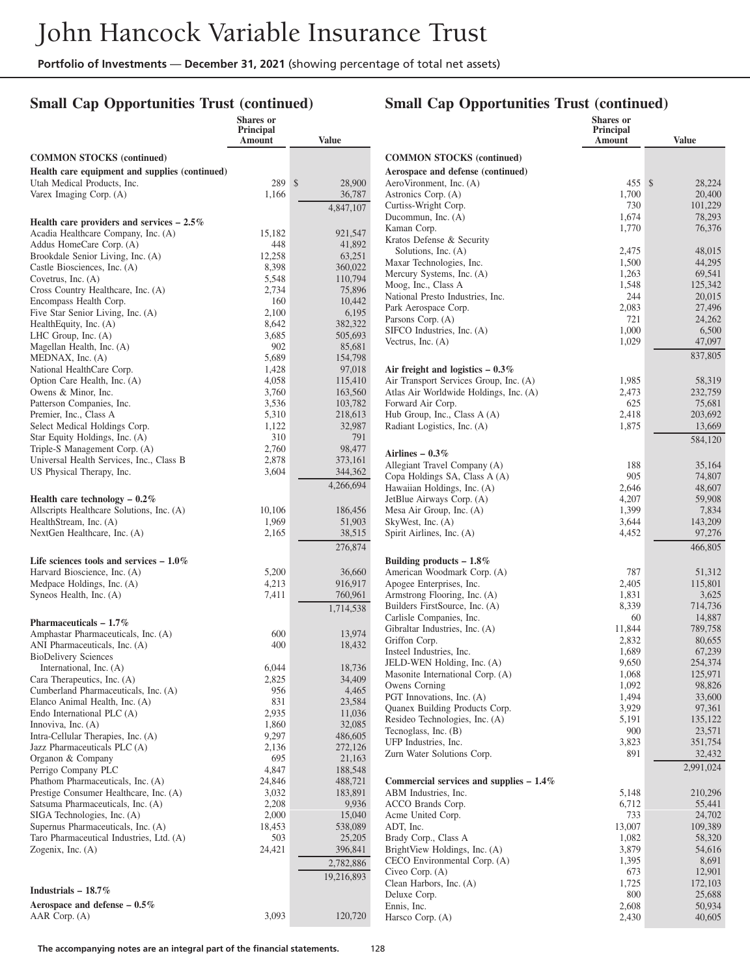## **Small Cap Opportunities Trust (continued)**

|                                                                           | <b>Shares</b> or<br>Principal<br><b>Amount</b> | Value              |                                                             | Shares or<br>Principal<br>Amount | <b>Value</b>      |
|---------------------------------------------------------------------------|------------------------------------------------|--------------------|-------------------------------------------------------------|----------------------------------|-------------------|
| <b>COMMON STOCKS</b> (continued)                                          |                                                |                    | <b>COMMON STOCKS</b> (continued)                            |                                  |                   |
| Health care equipment and supplies (continued)                            |                                                |                    | Aerospace and defense (continued)                           |                                  |                   |
| Utah Medical Products, Inc.                                               | 289 \$                                         | 28,900             | AeroVironment, Inc. (A)                                     | 455 \$                           | 28,224            |
| Varex Imaging Corp. (A)                                                   | 1,166                                          | 36,787             | Astronics Corp. (A)                                         | 1,700                            | 20,400            |
|                                                                           |                                                | 4,847,107          | Curtiss-Wright Corp.                                        | 730                              | 101,229           |
| Health care providers and services $-2.5\%$                               |                                                |                    | Ducommun, Inc. (A)                                          | 1,674                            | 78,293            |
| Acadia Healthcare Company, Inc. (A)                                       | 15,182                                         | 921,547            | Kaman Corp.                                                 | 1,770                            | 76,376            |
| Addus HomeCare Corp. (A)                                                  | 448                                            | 41,892             | Kratos Defense & Security                                   |                                  |                   |
| Brookdale Senior Living, Inc. (A)                                         | 12,258                                         | 63,251             | Solutions, Inc. (A)                                         | 2,475                            | 48,015            |
| Castle Biosciences, Inc. (A)                                              | 8,398                                          | 360,022            | Maxar Technologies, Inc.                                    | 1,500                            | 44,295            |
| Covetrus, Inc. $(A)$                                                      | 5,548                                          | 110,794            | Mercury Systems, Inc. (A)<br>Moog, Inc., Class A            | 1,263<br>1,548                   | 69,541<br>125,342 |
| Cross Country Healthcare, Inc. (A)                                        | 2,734                                          | 75,896             | National Presto Industries, Inc.                            | 244                              | 20,015            |
| Encompass Health Corp.                                                    | 160                                            | 10,442             | Park Aerospace Corp.                                        | 2,083                            | 27,496            |
| Five Star Senior Living, Inc. (A)                                         | 2,100                                          | 6,195              | Parsons Corp. (A)                                           | 721                              | 24,262            |
| Health Equity, Inc. (A)                                                   | 8,642                                          | 382,322            | SIFCO Industries, Inc. (A)                                  | 1,000                            | 6,500             |
| LHC Group, Inc. $(A)$                                                     | 3,685                                          | 505,693            | Vectrus, Inc. $(A)$                                         | 1,029                            | 47,097            |
| Magellan Health, Inc. (A)                                                 | 902                                            | 85,681             |                                                             |                                  | 837,805           |
| MEDNAX, Inc. (A)                                                          | 5,689                                          | 154,798            |                                                             |                                  |                   |
| National HealthCare Corp.                                                 | 1,428                                          | 97,018             | Air freight and logistics $-0.3\%$                          |                                  |                   |
| Option Care Health, Inc. (A)<br>Owens & Minor, Inc.                       | 4,058<br>3,760                                 | 115,410<br>163,560 | Air Transport Services Group, Inc. (A)                      | 1,985<br>2,473                   | 58,319<br>232,759 |
| Patterson Companies, Inc.                                                 | 3,536                                          | 103,782            | Atlas Air Worldwide Holdings, Inc. (A)<br>Forward Air Corp. | 625                              | 75,681            |
| Premier, Inc., Class A                                                    | 5,310                                          | 218,613            | Hub Group, Inc., Class A (A)                                | 2,418                            | 203,692           |
| Select Medical Holdings Corp.                                             | 1,122                                          | 32,987             | Radiant Logistics, Inc. (A)                                 | 1,875                            | 13,669            |
| Star Equity Holdings, Inc. (A)                                            | 310                                            | 791                |                                                             |                                  |                   |
| Triple-S Management Corp. (A)                                             | 2,760                                          | 98,477             |                                                             |                                  | 584,120           |
| Universal Health Services, Inc., Class B                                  | 2,878                                          | 373,161            | Airlines - $0.3\%$                                          |                                  |                   |
| US Physical Therapy, Inc.                                                 | 3,604                                          | 344,362            | Allegiant Travel Company (A)                                | 188                              | 35,164            |
|                                                                           |                                                | 4,266,694          | Copa Holdings SA, Class A (A)                               | 905<br>2,646                     | 74,807<br>48,607  |
| Health care technology $-0.2\%$                                           |                                                |                    | Hawaiian Holdings, Inc. (A)<br>JetBlue Airways Corp. (A)    | 4,207                            | 59,908            |
| Allscripts Healthcare Solutions, Inc. (A)                                 | 10,106                                         | 186,456            | Mesa Air Group, Inc. (A)                                    | 1,399                            | 7,834             |
| HealthStream, Inc. (A)                                                    | 1,969                                          | 51,903             | SkyWest, Inc. (A)                                           | 3,644                            | 143,209           |
| NextGen Healthcare, Inc. (A)                                              | 2,165                                          | 38,515             | Spirit Airlines, Inc. (A)                                   | 4,452                            | 97,276            |
|                                                                           |                                                | 276,874            |                                                             |                                  | 466,805           |
|                                                                           |                                                |                    |                                                             |                                  |                   |
| Life sciences tools and services $-1.0\%$<br>Harvard Bioscience, Inc. (A) | 5,200                                          | 36,660             | Building products $-1.8\%$<br>American Woodmark Corp. (A)   | 787                              | 51,312            |
| Medpace Holdings, Inc. (A)                                                | 4,213                                          | 916,917            | Apogee Enterprises, Inc.                                    | 2,405                            | 115,801           |
| Syneos Health, Inc. (A)                                                   | 7,411                                          | 760,961            | Armstrong Flooring, Inc. (A)                                | 1,831                            | 3,625             |
|                                                                           |                                                | 1.714.538          | Builders FirstSource, Inc. (A)                              | 8,339                            | 714,736           |
|                                                                           |                                                |                    | Carlisle Companies, Inc.                                    | 60                               | 14,887            |
| Pharmaceuticals $-1.7\%$                                                  |                                                |                    | Gibraltar Industries, Inc. (A)                              | 11,844                           | 789,758           |
| Amphastar Pharmaceuticals, Inc. (A)<br>ANI Pharmaceuticals, Inc. (A)      | 600<br>400                                     | 13,974             | Griffon Corp.                                               | 2,832                            | 80,655            |
| <b>BioDelivery Sciences</b>                                               |                                                | 18,432             | Insteel Industries, Inc.                                    | 1,689                            | 67,239            |
| International, Inc. (A)                                                   | 6,044                                          | 18,736             | JELD-WEN Holding, Inc. (A)                                  | 9,650                            | 254,374           |
| Cara Therapeutics, Inc. (A)                                               | 2,825                                          | 34,409             | Masonite International Corp. (A)                            | 1,068                            | 125,971           |
| Cumberland Pharmaceuticals, Inc. (A)                                      | 956                                            | 4,465              | Owens Corning                                               | 1,092                            | 98,826            |
| Elanco Animal Health, Inc. (A)                                            | 831                                            | 23,584             | PGT Innovations, Inc. (A)                                   | 1,494                            | 33,600            |
| Endo International PLC (A)                                                | 2,935                                          | 11,036             | Quanex Building Products Corp.                              | 3,929                            | 97,361            |
| Innoviva, Inc. (A)                                                        | 1,860                                          | 32,085             | Resideo Technologies, Inc. (A)                              | 5,191                            | 135,122           |
| Intra-Cellular Therapies, Inc. (A)                                        | 9,297                                          | 486,605            | Tecnoglass, Inc. (B)                                        | $900\,$                          | 23,571            |
| Jazz Pharmaceuticals PLC (A)                                              | 2,136                                          | 272,126            | UFP Industries, Inc.                                        | 3,823                            | 351,754           |
| Organon & Company                                                         | 695                                            | 21,163             | Zurn Water Solutions Corp.                                  | 891                              | 32,432            |
| Perrigo Company PLC                                                       | 4,847                                          | 188,548            |                                                             |                                  | 2,991,024         |
| Phathom Pharmaceuticals, Inc. (A)                                         | 24,846                                         | 488,721            | Commercial services and supplies $-1.4\%$                   |                                  |                   |
| Prestige Consumer Healthcare, Inc. (A)                                    | 3,032                                          | 183,891            | ABM Industries, Inc.                                        | 5,148                            | 210,296           |
| Satsuma Pharmaceuticals, Inc. (A)                                         | 2,208                                          | 9,936              | ACCO Brands Corp.                                           | 6,712                            | 55,441            |
| SIGA Technologies, Inc. (A)                                               | 2,000                                          | 15,040             | Acme United Corp.                                           | 733                              | 24,702            |
| Supernus Pharmaceuticals, Inc. (A)                                        | 18,453                                         | 538,089            | ADT, Inc.                                                   | 13,007                           | 109,389           |
| Taro Pharmaceutical Industries, Ltd. (A)                                  | 503                                            | 25,205             | Brady Corp., Class A                                        | 1,082                            | 58,320            |
| Zogenix, Inc. $(A)$                                                       | 24,421                                         | 396,841            | BrightView Holdings, Inc. (A)                               | 3,879                            | 54,616            |
|                                                                           |                                                | 2,782,886          | CECO Environmental Corp. (A)<br>Civeo Corp. (A)             | 1,395<br>673                     | 8,691<br>12,901   |
|                                                                           |                                                | 19,216,893         | Clean Harbors, Inc. (A)                                     | 1,725                            | 172,103           |
| Industrials $-18.7\%$                                                     |                                                |                    | Deluxe Corp.                                                | 800                              | 25,688            |
| Aerospace and defense $-0.5\%$                                            |                                                |                    | Ennis, Inc.                                                 | 2,608                            | 50,934            |
|                                                                           |                                                |                    |                                                             |                                  |                   |

#### **Small Cap Opportunities Trust (continued)**

Harsco Corp. (A) 2,430 40,605

AAR Corp. (A) 3,093 120,720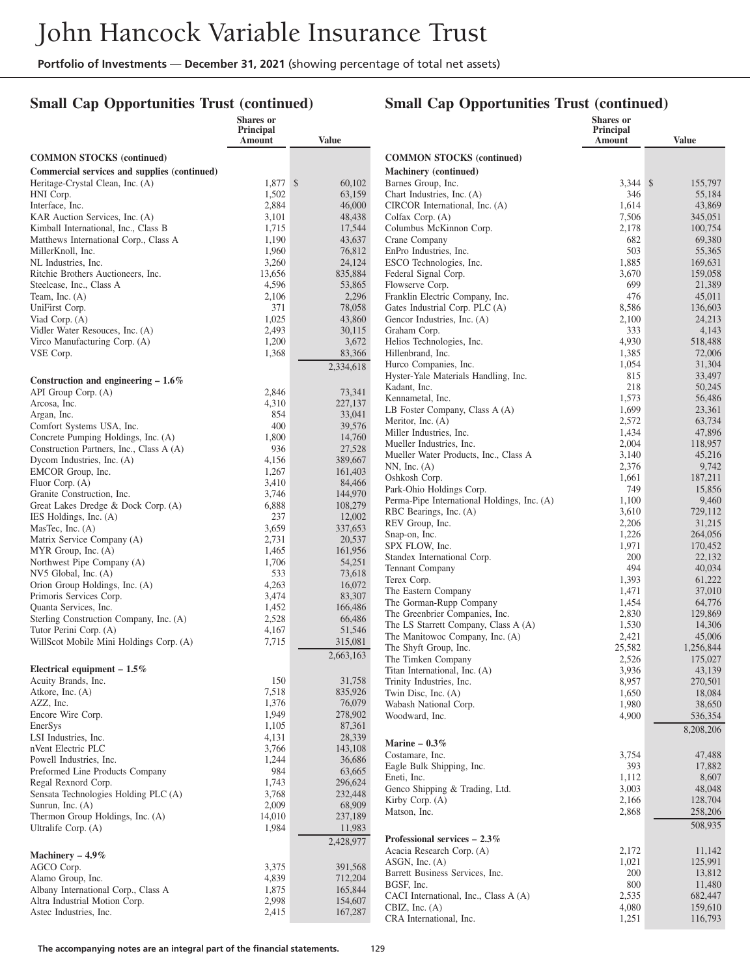## **Small Cap Opportunities Trust (continued)**

|                                                                               | Shares or<br>Principal |                    |                                                                        | Shares or<br>Principal |                   |
|-------------------------------------------------------------------------------|------------------------|--------------------|------------------------------------------------------------------------|------------------------|-------------------|
|                                                                               | Amount                 | Value              |                                                                        | Amount                 | Value             |
| <b>COMMON STOCKS</b> (continued)                                              |                        |                    | <b>COMMON STOCKS (continued)</b>                                       |                        |                   |
| Commercial services and supplies (continued)                                  |                        |                    | Machinery (continued)                                                  |                        |                   |
| Heritage-Crystal Clean, Inc. (A)                                              | 1,877 \$               | 60,102             | Barnes Group, Inc.                                                     | $3,344$ \$             | 155,797           |
| HNI Corp.                                                                     | 1,502                  | 63,159             | Chart Industries, Inc. (A)                                             | 346                    | 55,184            |
| Interface, Inc.                                                               | 2,884                  | 46,000             | CIRCOR International, Inc. (A)                                         | 1,614                  | 43,869            |
| KAR Auction Services, Inc. (A)                                                | 3,101                  | 48,438             | Colfax Corp. (A)                                                       | 7,506                  | 345,051           |
| Kimball International, Inc., Class B<br>Matthews International Corp., Class A | 1,715<br>1,190         | 17,544<br>43,637   | Columbus McKinnon Corp.<br>Crane Company                               | 2,178<br>682           | 100,754<br>69,380 |
| MillerKnoll, Inc.                                                             | 1,960                  | 76,812             | EnPro Industries, Inc.                                                 | 503                    | 55,365            |
| NL Industries, Inc.                                                           | 3,260                  | 24,124             | ESCO Technologies, Inc.                                                | 1,885                  | 169,631           |
| Ritchie Brothers Auctioneers, Inc.                                            | 13,656                 | 835,884            | Federal Signal Corp.                                                   | 3,670                  | 159,058           |
| Steelcase, Inc., Class A                                                      | 4,596                  | 53,865             | Flowserve Corp.                                                        | 699                    | 21,389            |
| Team, Inc. $(A)$                                                              | 2,106                  | 2,296              | Franklin Electric Company, Inc.                                        | 476                    | 45,011            |
| UniFirst Corp.                                                                | 371                    | 78,058             | Gates Industrial Corp. PLC (A)                                         | 8,586                  | 136,603           |
| Viad Corp. (A)<br>Vidler Water Resouces, Inc. (A)                             | 1,025<br>2,493         | 43,860<br>30,115   | Gencor Industries, Inc. (A)<br>Graham Corp.                            | 2,100<br>333           | 24,213<br>4,143   |
| Virco Manufacturing Corp. (A)                                                 | 1,200                  | 3,672              | Helios Technologies, Inc.                                              | 4,930                  | 518,488           |
| VSE Corp.                                                                     | 1,368                  | 83,366             | Hillenbrand, Inc.                                                      | 1,385                  | 72,006            |
|                                                                               |                        | 2,334,618          | Hurco Companies, Inc.                                                  | 1,054                  | 31,304            |
| Construction and engineering $-1.6\%$                                         |                        |                    | Hyster-Yale Materials Handling, Inc.                                   | 815                    | 33,497            |
| API Group Corp. (A)                                                           | 2,846                  | 73,341             | Kadant, Inc.                                                           | 218                    | 50,245            |
| Arcosa, Inc.                                                                  | 4,310                  | 227,137            | Kennametal, Inc.                                                       | 1,573                  | 56,486            |
| Argan, Inc.                                                                   | 854                    | 33,041             | LB Foster Company, Class A (A)                                         | 1,699                  | 23,361            |
| Comfort Systems USA, Inc.                                                     | 400                    | 39,576             | Meritor, Inc. (A)<br>Miller Industries, Inc.                           | 2,572<br>1,434         | 63,734<br>47,896  |
| Concrete Pumping Holdings, Inc. (A)                                           | 1,800                  | 14,760             | Mueller Industries, Inc.                                               | 2,004                  | 118,957           |
| Construction Partners, Inc., Class A (A)                                      | 936                    | 27,528             | Mueller Water Products, Inc., Class A                                  | 3,140                  | 45,216            |
| Dycom Industries, Inc. (A)<br>EMCOR Group, Inc.                               | 4,156<br>1,267         | 389,667<br>161,403 | $NN$ , Inc. $(A)$                                                      | 2,376                  | 9,742             |
| Fluor Corp. $(A)$                                                             | 3,410                  | 84,466             | Oshkosh Corp.                                                          | 1,661                  | 187,211           |
| Granite Construction, Inc.                                                    | 3,746                  | 144,970            | Park-Ohio Holdings Corp.                                               | 749                    | 15,856            |
| Great Lakes Dredge & Dock Corp. (A)                                           | 6,888                  | 108,279            | Perma-Pipe International Holdings, Inc. (A)                            | 1,100                  | 9,460             |
| IES Holdings, Inc. (A)                                                        | 237                    | 12,002             | RBC Bearings, Inc. (A)                                                 | 3,610<br>2,206         | 729,112           |
| MasTec, Inc. (A)                                                              | 3,659                  | 337,653            | REV Group, Inc.<br>Snap-on, Inc.                                       | 1,226                  | 31,215<br>264,056 |
| Matrix Service Company (A)                                                    | 2,731                  | 20,537             | SPX FLOW, Inc.                                                         | 1,971                  | 170,452           |
| $MYR$ Group, Inc. $(A)$                                                       | 1,465                  | 161,956            | Standex International Corp.                                            | 200                    | 22,132            |
| Northwest Pipe Company (A)<br>NV5 Global, Inc. (A)                            | 1,706<br>533           | 54,251<br>73,618   | Tennant Company                                                        | 494                    | 40,034            |
| Orion Group Holdings, Inc. (A)                                                | 4,263                  | 16,072             | Terex Corp.                                                            | 1,393                  | 61,222            |
| Primoris Services Corp.                                                       | 3,474                  | 83,307             | The Eastern Company                                                    | 1,471                  | 37,010            |
| Quanta Services, Inc.                                                         | 1,452                  | 166,486            | The Gorman-Rupp Company                                                | 1,454                  | 64,776            |
| Sterling Construction Company, Inc. (A)                                       | 2,528                  | 66,486             | The Greenbrier Companies, Inc.<br>The LS Starrett Company, Class A (A) | 2,830<br>1,530         | 129,869<br>14,306 |
| Tutor Perini Corp. (A)                                                        | 4,167                  | 51,546             | The Manitowoc Company, Inc. (A)                                        | 2,421                  | 45,006            |
| WillScot Mobile Mini Holdings Corp. (A)                                       | 7,715                  | 315,081            | The Shyft Group, Inc.                                                  | 25,582                 | 1,256,844         |
|                                                                               |                        | 2,663,163          | The Timken Company                                                     | 2,526                  | 175,027           |
| Electrical equipment $-1.5\%$                                                 |                        |                    | Titan International, Inc. (A)                                          | 3,936                  | 43,139            |
| Acuity Brands, Inc.                                                           | 150                    | 31,758             | Trinity Industries, Inc.                                               | 8,957                  | 270,501           |
| Atkore, Inc. $(A)$<br>AZZ, Inc.                                               | 7,518<br>1,376         | 835,926<br>76,079  | Twin Disc, Inc. (A)                                                    | 1,650                  | 18,084            |
| Encore Wire Corp.                                                             | 1,949                  | 278,902            | Wabash National Corp.<br>Woodward, Inc.                                | 1,980<br>4,900         | 38,650<br>536,354 |
| EnerSys                                                                       | 1,105                  | 87,361             |                                                                        |                        |                   |
| LSI Industries, Inc.                                                          | 4,131                  | 28,339             |                                                                        |                        | 8,208,206         |
| nVent Electric PLC                                                            | 3,766                  | 143,108            | Marine $-0.3\%$<br>Costamare, Inc.                                     | 3,754                  |                   |
| Powell Industries, Inc.                                                       | 1,244                  | 36,686             | Eagle Bulk Shipping, Inc.                                              | 393                    | 47,488<br>17,882  |
| Preformed Line Products Company                                               | 984                    | 63,665             | Eneti, Inc.                                                            | 1,112                  | 8,607             |
| Regal Rexnord Corp.<br>Sensata Technologies Holding PLC (A)                   | 1,743                  | 296,624            | Genco Shipping & Trading, Ltd.                                         | 3,003                  | 48,048            |
| Sunrun, Inc. $(A)$                                                            | 3,768<br>2,009         | 232,448<br>68,909  | Kirby Corp. $(A)$                                                      | 2,166                  | 128,704           |
| Thermon Group Holdings, Inc. (A)                                              | 14,010                 | 237,189            | Matson, Inc.                                                           | 2,868                  | 258,206           |
| Ultralife Corp. (A)                                                           | 1,984                  | 11,983             |                                                                        |                        | 508,935           |
|                                                                               |                        | 2,428,977          | Professional services $-2.3\%$                                         |                        |                   |
| Machinery $-4.9\%$                                                            |                        |                    | Acacia Research Corp. (A)                                              | 2,172                  | 11,142            |
| AGCO Corp.                                                                    | 3,375                  | 391,568            | ASGN, Inc. (A)                                                         | 1,021                  | 125,991           |
| Alamo Group, Inc.                                                             | 4,839                  | 712,204            | Barrett Business Services, Inc.                                        | 200                    | 13,812            |
| Albany International Corp., Class A                                           | 1,875                  | 165,844            | BGSF, Inc.<br>CACI International, Inc., Class A (A)                    | 800<br>2,535           | 11,480<br>682,447 |
| Altra Industrial Motion Corp.                                                 | 2,998                  | 154,607            | CBIZ, Inc. $(A)$                                                       | 4,080                  | 159,610           |
| Astec Industries, Inc.                                                        | 2,415                  | 167,287            | CRA International, Inc.                                                | 1,251                  | 116,793           |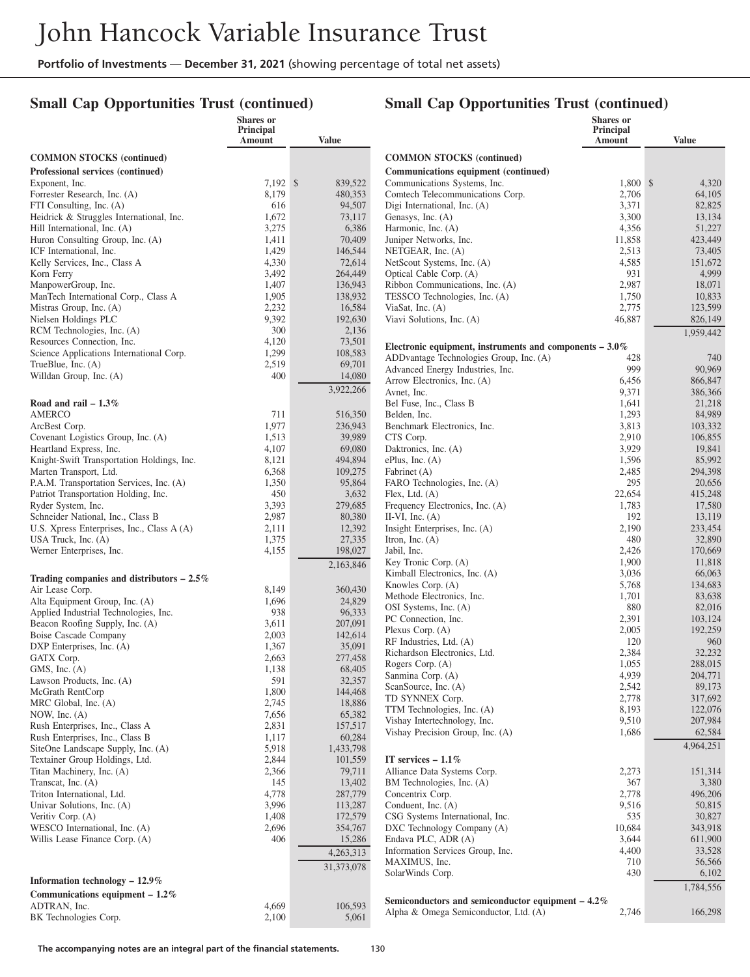## **Small Cap Opportunities Trust (continued)**

|                                                                                  | Shares or           |                   |                                                           | <b>Shares</b> or    |                    |
|----------------------------------------------------------------------------------|---------------------|-------------------|-----------------------------------------------------------|---------------------|--------------------|
|                                                                                  | Principal<br>Amount | <b>Value</b>      |                                                           | Principal<br>Amount | <b>Value</b>       |
| <b>COMMON STOCKS</b> (continued)                                                 |                     |                   | <b>COMMON STOCKS (continued)</b>                          |                     |                    |
| Professional services (continued)                                                |                     |                   | Communications equipment (continued)                      |                     |                    |
| Exponent, Inc.                                                                   | 7,192 \$            | 839,522           | Communications Systems, Inc.                              | 1,800 \$            | 4,320              |
| Forrester Research, Inc. (A)                                                     | 8,179               | 480,353           | Comtech Telecommunications Corp.                          | 2,706               | 64,105             |
| FTI Consulting, Inc. (A)                                                         | 616                 | 94,507            | Digi International, Inc. (A)                              | 3,371               | 82,825             |
| Heidrick & Struggles International, Inc.                                         | 1,672               | 73,117            | Genasys, Inc. (A)                                         | 3,300               | 13,134             |
| Hill International, Inc. (A)<br>Huron Consulting Group, Inc. (A)                 | 3,275<br>1,411      | 6,386<br>70,409   | Harmonic, Inc. (A)<br>Juniper Networks, Inc.              | 4,356<br>11,858     | 51,227<br>423,449  |
| ICF International, Inc.                                                          | 1,429               | 146,544           | NETGEAR, Inc. (A)                                         | 2,513               | 73,405             |
| Kelly Services, Inc., Class A                                                    | 4,330               | 72,614            | NetScout Systems, Inc. (A)                                | 4,585               | 151,672            |
| Korn Ferry                                                                       | 3,492               | 264,449           | Optical Cable Corp. (A)                                   | 931                 | 4,999              |
| ManpowerGroup, Inc.                                                              | 1,407               | 136,943           | Ribbon Communications, Inc. (A)                           | 2,987               | 18,071             |
| ManTech International Corp., Class A                                             | 1,905               | 138,932           | TESSCO Technologies, Inc. (A)                             | 1,750               | 10,833             |
| Mistras Group, Inc. (A)                                                          | 2,232               | 16,584            | ViaSat, Inc. $(A)$                                        | 2,775               | 123,599            |
| Nielsen Holdings PLC                                                             | 9,392<br>300        | 192,630<br>2,136  | Viavi Solutions, Inc. (A)                                 | 46,887              | 826,149            |
| RCM Technologies, Inc. (A)<br>Resources Connection, Inc.                         | 4,120               | 73,501            |                                                           |                     | 1,959,442          |
| Science Applications International Corp.                                         | 1,299               | 108,583           | Electronic equipment, instruments and components $-3.0\%$ |                     |                    |
| TrueBlue, Inc. (A)                                                               | 2,519               | 69,701            | ADDvantage Technologies Group, Inc. (A)                   | 428                 | 740                |
| Willdan Group, Inc. (A)                                                          | 400                 | 14,080            | Advanced Energy Industries, Inc.                          | 999<br>6,456        | 90,969<br>866,847  |
|                                                                                  |                     | 3,922,266         | Arrow Electronics, Inc. (A)<br>Avnet, Inc.                | 9,371               | 386,366            |
| Road and rail $-1.3\%$                                                           |                     |                   | Bel Fuse, Inc., Class B                                   | 1,641               | 21,218             |
| <b>AMERCO</b>                                                                    | 711                 | 516,350           | Belden, Inc.                                              | 1,293               | 84,989             |
| ArcBest Corp.                                                                    | 1,977               | 236,943           | Benchmark Electronics, Inc.                               | 3,813               | 103,332            |
| Covenant Logistics Group, Inc. (A)                                               | 1,513               | 39,989            | CTS Corp.                                                 | 2,910               | 106,855            |
| Heartland Express, Inc.                                                          | 4,107               | 69,080            | Daktronics, Inc. (A)                                      | 3,929               | 19,841             |
| Knight-Swift Transportation Holdings, Inc.                                       | 8,121               | 494,894           | $ePlus$ , Inc. $(A)$                                      | 1,596               | 85,992             |
| Marten Transport, Ltd.                                                           | 6,368               | 109,275<br>95,864 | Fabrinet (A)                                              | 2,485<br>295        | 294,398            |
| P.A.M. Transportation Services, Inc. (A)<br>Patriot Transportation Holding, Inc. | 1,350<br>450        | 3,632             | FARO Technologies, Inc. (A)<br>Flex, Ltd. $(A)$           | 22,654              | 20,656<br>415,248  |
| Ryder System, Inc.                                                               | 3,393               | 279,685           | Frequency Electronics, Inc. (A)                           | 1,783               | 17,580             |
| Schneider National, Inc., Class B                                                | 2,987               | 80,380            | II-VI, Inc. $(A)$                                         | 192                 | 13,119             |
| U.S. Xpress Enterprises, Inc., Class A (A)                                       | 2,111               | 12,392            | Insight Enterprises, Inc. (A)                             | 2,190               | 233,454            |
| USA Truck, Inc. (A)                                                              | 1,375               | 27,335            | Itron, Inc. $(A)$                                         | 480                 | 32,890             |
| Werner Enterprises, Inc.                                                         | 4,155               | 198,027           | Jabil, Inc.                                               | 2,426               | 170,669            |
|                                                                                  |                     | 2,163,846         | Key Tronic Corp. (A)                                      | 1,900               | 11,818             |
| Trading companies and distributors $-2.5\%$                                      |                     |                   | Kimball Electronics, Inc. (A)                             | 3,036<br>5,768      | 66,063<br>134,683  |
| Air Lease Corp.                                                                  | 8,149               | 360,430           | Knowles Corp. (A)<br>Methode Electronics, Inc.            | 1,701               | 83,638             |
| Alta Equipment Group, Inc. (A)                                                   | 1,696               | 24,829            | OSI Systems, Inc. (A)                                     | 880                 | 82,016             |
| Applied Industrial Technologies, Inc.<br>Beacon Roofing Supply, Inc. (A)         | 938<br>3,611        | 96,333<br>207,091 | PC Connection, Inc.                                       | 2,391               | 103,124            |
| <b>Boise Cascade Company</b>                                                     | 2,003               | 142,614           | Plexus Corp. $(A)$                                        | 2,005               | 192,259            |
| DXP Enterprises, Inc. (A)                                                        | 1,367               | 35,091            | RF Industries, Ltd. (A)                                   | 120                 | 960                |
| GATX Corp.                                                                       | 2,663               | 277,458           | Richardson Electronics, Ltd.                              | 2,384               | 32,232             |
| $GMS$ , Inc. $(A)$                                                               | 1,138               | 68,405            | Rogers Corp. (A)                                          | 1,055               | 288,015            |
| Lawson Products, Inc. (A)                                                        | 591                 | 32,357            | Sanmina Corp. (A)<br>ScanSource, Inc. (A)                 | 4,939<br>2,542      | 204,771<br>89,173  |
| McGrath RentCorp                                                                 | 1,800               | 144,468           | TD SYNNEX Corp.                                           | 2,778               | 317,692            |
| MRC Global, Inc. (A)                                                             | 2,745               | 18,886            | TTM Technologies, Inc. (A)                                | 8,193               | 122,076            |
| NOW, Inc. $(A)$                                                                  | 7,656               | 65,382            | Vishay Intertechnology, Inc.                              | 9,510               | 207,984            |
| Rush Enterprises, Inc., Class A<br>Rush Enterprises, Inc., Class B               | 2,831<br>1,117      | 157,517<br>60,284 | Vishay Precision Group, Inc. (A)                          | 1,686               | 62,584             |
| SiteOne Landscape Supply, Inc. (A)                                               | 5,918               | 1,433,798         |                                                           |                     | 4,964,251          |
| Textainer Group Holdings, Ltd.                                                   | 2,844               | 101,559           | IT services $-1.1\%$                                      |                     |                    |
| Titan Machinery, Inc. (A)                                                        | 2,366               | 79,711            | Alliance Data Systems Corp.                               | 2,273               | 151,314            |
| Transcat, Inc. (A)                                                               | 145                 | 13,402            | BM Technologies, Inc. (A)                                 | 367                 | 3,380              |
| Triton International, Ltd.                                                       | 4,778               | 287,779           | Concentrix Corp.                                          | 2,778               | 496,206            |
| Univar Solutions, Inc. (A)                                                       | 3,996               | 113,287           | Conduent, Inc. (A)                                        | 9,516               | 50,815             |
| Veritiv Corp. (A)<br>WESCO International, Inc. (A)                               | 1,408               | 172,579           | CSG Systems International, Inc.                           | 535<br>10,684       | 30,827             |
| Willis Lease Finance Corp. (A)                                                   | 2,696<br>406        | 354,767<br>15,286 | DXC Technology Company (A)<br>Endava PLC, ADR (A)         | 3,644               | 343,918<br>611,900 |
|                                                                                  |                     | 4,263,313         | Information Services Group, Inc.                          | 4,400               | 33,528             |
|                                                                                  |                     |                   | MAXIMUS, Inc.                                             | 710                 | 56,566             |
|                                                                                  |                     | 31,373,078        | SolarWinds Corp.                                          | 430                 | 6,102              |
| Information technology $-12.9\%$                                                 |                     |                   |                                                           |                     | 1,784,556          |
| Communications equipment $-1.2\%$                                                |                     |                   | Semiconductors and semiconductor equipment $-4.2\%$       |                     |                    |
| ADTRAN, Inc.<br>BK Technologies Corp.                                            | 4,669<br>2,100      | 106,593<br>5,061  | Alpha & Omega Semiconductor, Ltd. (A)                     | 2,746               | 166,298            |
|                                                                                  |                     |                   |                                                           |                     |                    |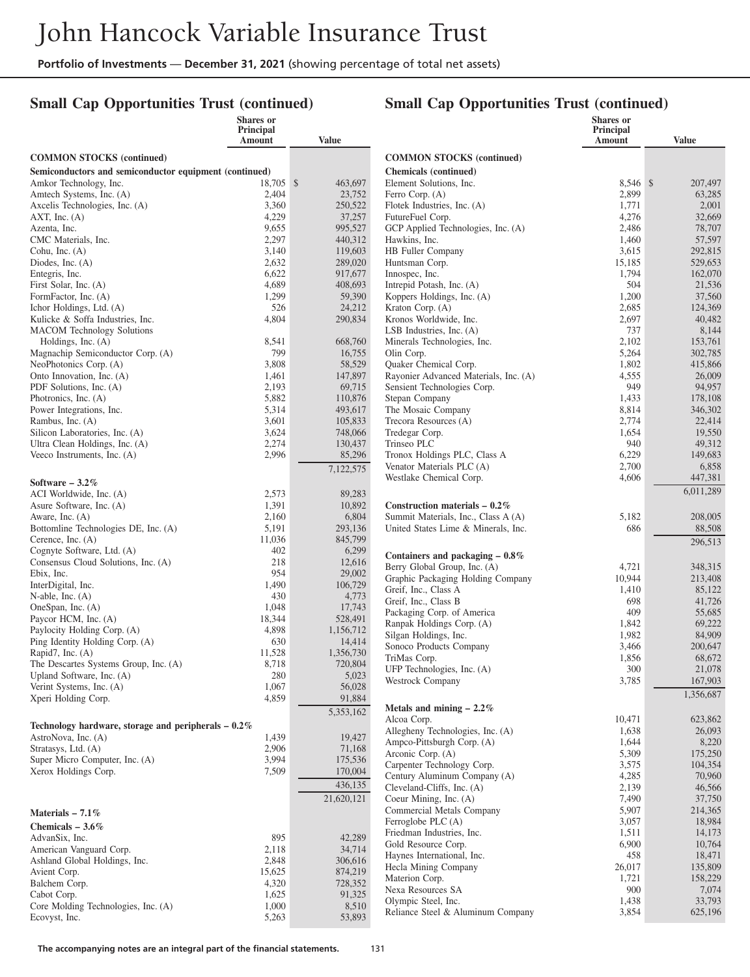## **Small Cap Opportunities Trust (continued)**

#### **Small Cap Opportunities Trust (continued)**  $\overline{\mathbf{S}}$

|                                                        | Shares or<br><b>Principal</b> |                    |
|--------------------------------------------------------|-------------------------------|--------------------|
|                                                        | Amount                        | <b>Value</b>       |
| <b>COMMON STOCKS</b> (continued)                       |                               |                    |
| Semiconductors and semiconductor equipment (continued) |                               |                    |
| Amkor Technology, Inc.                                 | 18,705                        | \$<br>463,697      |
| Amtech Systems, Inc. (A)                               | 2,404                         | 23,752             |
| Axcelis Technologies, Inc. (A)                         | 3,360                         | 250,522            |
| AXT, Inc. $(A)$                                        | 4,229                         | 37,257             |
| Azenta, Inc.                                           | 9,655                         | 995,527            |
| CMC Materials, Inc.<br>Cohu, Inc. (A)                  | 2,297<br>3,140                | 440,312<br>119,603 |
| Diodes, Inc. $(A)$                                     | 2,632                         | 289,020            |
| Entegris, Inc.                                         | 6,622                         | 917,677            |
| First Solar, Inc. (A)                                  | 4,689                         | 408,693            |
| FormFactor, Inc. (A)                                   | 1,299                         | 59,390             |
| Ichor Holdings, Ltd. (A)                               | 526                           | 24,212             |
| Kulicke & Soffa Industries, Inc.                       | 4,804                         | 290,834            |
| <b>MACOM</b> Technology Solutions                      |                               |                    |
| Holdings, Inc. (A)                                     | 8,541                         | 668,760            |
| Magnachip Semiconductor Corp. (A)                      | 799                           | 16,755             |
| NeoPhotonics Corp. (A)                                 | 3,808                         | 58,529             |
| Onto Innovation, Inc. (A)                              | 1,461<br>2,193                | 147,897            |
| PDF Solutions, Inc. (A)<br>Photronics, Inc. (A)        | 5,882                         | 69,715<br>110,876  |
| Power Integrations, Inc.                               | 5,314                         | 493,617            |
| Rambus, Inc. (A)                                       | 3,601                         | 105,833            |
| Silicon Laboratories, Inc. (A)                         | 3,624                         | 748,066            |
| Ultra Clean Holdings, Inc. (A)                         | 2,274                         | 130,437            |
| Veeco Instruments, Inc. (A)                            | 2,996                         | 85,296             |
|                                                        |                               | 7,122,575          |
| Software $-3.2\%$                                      |                               |                    |
| ACI Worldwide, Inc. (A)                                | 2,573                         | 89,283             |
| Asure Software, Inc. (A)                               | 1,391                         | 10,892             |
| Aware, Inc. (A)                                        | 2,160                         | 6,804              |
| Bottomline Technologies DE, Inc. (A)                   | 5,191                         | 293,136            |
| Cerence, Inc. $(A)$                                    | 11,036                        | 845,799            |
| Cognyte Software, Ltd. (A)                             | 402                           | 6,299              |
| Consensus Cloud Solutions, Inc. (A)                    | 218                           | 12,616             |
| Ebix, Inc.<br>InterDigital, Inc.                       | 954<br>1,490                  | 29,002<br>106,729  |
| N-able, Inc. $(A)$                                     | 430                           | 4,773              |
| OneSpan, Inc. (A)                                      | 1,048                         | 17,743             |
| Paycor HCM, Inc. (A)                                   | 18,344                        | 528,491            |
| Paylocity Holding Corp. (A)                            | 4,898                         | 1,156,712          |
| Ping Identity Holding Corp. (A)                        | 630                           | 14,414             |
| Rapid7, Inc. (A)                                       | 11,528                        | 1,356,730          |
| The Descartes Systems Group, Inc. (A)                  | 8,718                         | 720,804            |
| Upland Software, Inc. (A)                              | 280                           | 5,023              |
| Verint Systems, Inc. (A)                               | 1,067                         | 56,028             |
| Xperi Holding Corp.                                    | 4,859                         | 91,884             |
|                                                        |                               | 5,353,162          |
| Technology hardware, storage and peripherals $-0.2\%$  |                               |                    |
| AstroNova, Inc. (A)                                    | 1,439                         | 19,427             |
| Stratasys, Ltd. (A)                                    | 2,906                         | 71,168             |
| Super Micro Computer, Inc. (A)<br>Xerox Holdings Corp. | 3,994                         | 175,536            |
|                                                        | 7,509                         | 170,004            |
|                                                        |                               | 436,135            |
|                                                        |                               | 21,620,121         |
| Materials $-7.1\%$                                     |                               |                    |
| Chemicals $-3.6\%$                                     |                               |                    |
| AdvanSix, Inc.                                         | 895                           | 42,289             |
| American Vanguard Corp.                                | 2,118                         | 34,714             |
| Ashland Global Holdings, Inc.                          | 2,848                         | 306,616            |
| Avient Corp.                                           | 15,625                        | 874,219            |
| Balchem Corp.<br>Cabot Corp.                           | 4,320<br>1,625                | 728,352<br>91,325  |
| Core Molding Technologies, Inc. (A)                    | 1,000                         | 8,510              |
| Ecovyst, Inc.                                          | 5,263                         | 53,893             |

|                                                                   | Snares or<br><b>Principal</b><br>Amount | <b>Value</b>       |
|-------------------------------------------------------------------|-----------------------------------------|--------------------|
| <b>COMMON STOCKS</b> (continued)                                  |                                         |                    |
| <b>Chemicals</b> (continued)                                      |                                         |                    |
| Element Solutions, Inc.                                           | 8,546                                   | \$<br>207,497      |
| Ferro Corp. (A)                                                   | 2,899                                   | 63,285             |
| Flotek Industries, Inc. (A)                                       | 1,771                                   | 2,001              |
| FutureFuel Corp.                                                  | 4,276                                   | 32,669             |
| GCP Applied Technologies, Inc. (A)                                | 2,486                                   | 78,707             |
| Hawkins, Inc.<br><b>HB</b> Fuller Company                         | 1,460<br>3,615                          | 57,597<br>292,815  |
| Huntsman Corp.                                                    | 15,185                                  | 529,653            |
| Innospec, Inc.                                                    | 1,794                                   | 162,070            |
| Intrepid Potash, Inc. (A)                                         | 504                                     | 21,536             |
| Koppers Holdings, Inc. (A)                                        | 1,200                                   | 37,560             |
| Kraton Corp. (A)                                                  | 2,685                                   | 124,369            |
| Kronos Worldwide, Inc.                                            | 2,697                                   | 40,482             |
| LSB Industries, Inc. $(A)$                                        | 737                                     | 8,144              |
| Minerals Technologies, Inc.                                       | 2,102                                   | 153,761            |
| Olin Corp.<br>Quaker Chemical Corp.                               | 5,264<br>1,802                          | 302,785<br>415,866 |
| Rayonier Advanced Materials, Inc. (A)                             | 4,555                                   | 26,009             |
| Sensient Technologies Corp.                                       | 949                                     | 94,957             |
| Stepan Company                                                    | 1,433                                   | 178,108            |
| The Mosaic Company                                                | 8,814                                   | 346,302            |
| Trecora Resources (A)                                             | 2,774                                   | 22,414             |
| Tredegar Corp.                                                    | 1,654                                   | 19,550             |
| Trinseo PLC                                                       | 940                                     | 49,312             |
| Tronox Holdings PLC, Class A                                      | 6,229                                   | 149,683            |
| Venator Materials PLC (A)<br>Westlake Chemical Corp.              | 2,700<br>4,606                          | 6,858<br>447,381   |
|                                                                   |                                         | 6,011,289          |
| Construction materials $-0.2\%$                                   |                                         |                    |
| Summit Materials, Inc., Class A (A)                               | 5,182                                   | 208,005            |
| United States Lime & Minerals, Inc.                               | 686                                     | 88,508             |
|                                                                   |                                         | 296,513            |
| Containers and packaging $-0.8\%$<br>Berry Global Group, Inc. (A) | 4,721                                   | 348,315            |
| Graphic Packaging Holding Company                                 | 10,944                                  | 213,408            |
| Greif, Inc., Class A                                              | 1,410                                   | 85,122             |
| Greif, Inc., Class B                                              | 698                                     | 41,726             |
| Packaging Corp. of America                                        | 409                                     | 55,685             |
| Ranpak Holdings Corp. (A)                                         | 1,842                                   | 69,222             |
| Silgan Holdings, Inc.                                             | 1,982                                   | 84,909             |
| Sonoco Products Company                                           | 3,466                                   | 200,647            |
| TriMas Corp.                                                      | 1,856                                   | 68,672             |
| UFP Technologies, Inc. (A)<br>Westrock Company                    | 300<br>3,785                            | 21,078<br>167,903  |
|                                                                   |                                         | 1,356,687          |
| Metals and mining $-2.2\%$                                        |                                         |                    |
| Alcoa Corp.                                                       | 10,471                                  | 623,862            |
| Allegheny Technologies, Inc. (A)                                  | 1,638                                   | 26,093             |
| Ampco-Pittsburgh Corp. (A)                                        | 1,644                                   | 8,220              |
| Arconic Corp. (A)                                                 | 5,309                                   | 175,250            |
| Carpenter Technology Corp.<br>Century Aluminum Company (A)        | 3,575<br>4,285                          | 104,354            |
| Cleveland-Cliffs, Inc. (A)                                        | 2,139                                   | 70,960<br>46,566   |
| Coeur Mining, Inc. (A)                                            | 7,490                                   | 37,750             |
| Commercial Metals Company                                         | 5,907                                   | 214,365            |
| Ferroglobe PLC (A)                                                | 3,057                                   | 18,984             |
| Friedman Industries, Inc.                                         | 1,511                                   | 14,173             |
| Gold Resource Corp.                                               | 6,900                                   | 10,764             |
| Haynes International, Inc.                                        | 458                                     | 18,471             |
| Hecla Mining Company                                              | 26,017                                  | 135,809            |
| Materion Corp.                                                    | 1,721                                   | 158,229            |
| Nexa Resources SA<br>Olympic Steel, Inc.                          | 900<br>1,438                            | 7,074<br>33,793    |
| Reliance Steel & Aluminum Company                                 | 3,854                                   | 625,196            |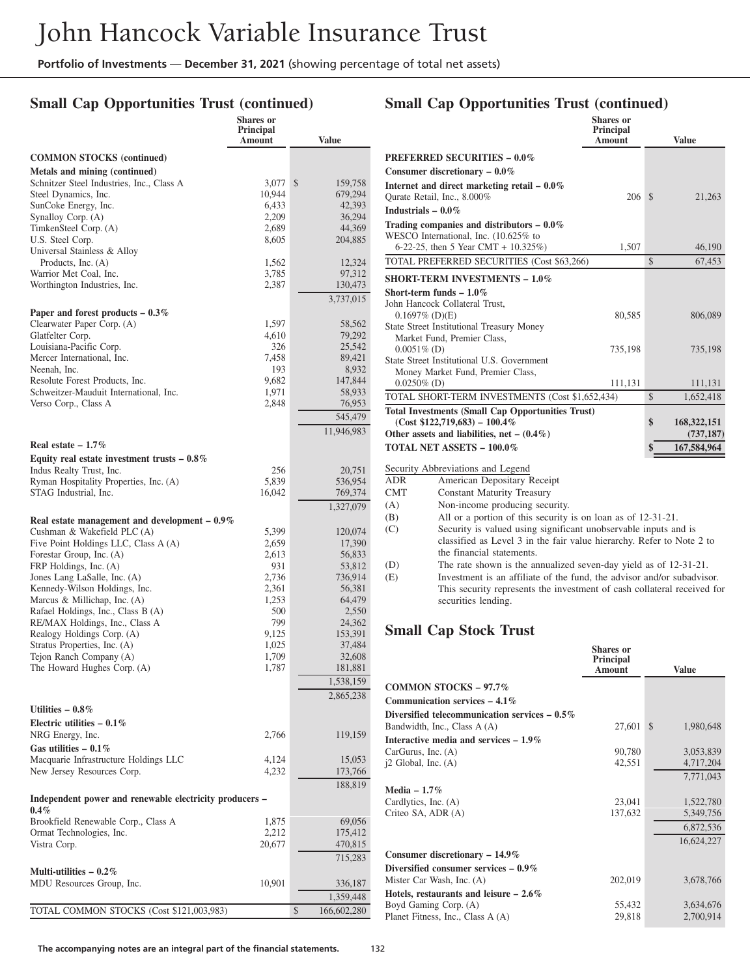## **Small Cap Opportunities Trust (continued)**

|                                                                           | Shares or<br><b>Principal</b><br><b>Amount</b> | <b>Value</b>      |
|---------------------------------------------------------------------------|------------------------------------------------|-------------------|
| <b>COMMON STOCKS</b> (continued)                                          |                                                |                   |
| Metals and mining (continued)                                             |                                                |                   |
| Schnitzer Steel Industries, Inc., Class A                                 | 3,077                                          | \$<br>159,758     |
| Steel Dynamics, Inc.                                                      | 10,944                                         | 679,294           |
| SunCoke Energy, Inc.                                                      | 6,433<br>2,209                                 | 42,393<br>36,294  |
| Synalloy Corp. (A)<br>TimkenSteel Corp. (A)                               | 2,689                                          | 44,369            |
| U.S. Steel Corp.                                                          | 8,605                                          | 204,885           |
| Universal Stainless & Alloy                                               |                                                |                   |
| Products, Inc. (A)                                                        | 1,562                                          | 12,324            |
| Warrior Met Coal, Inc.                                                    | 3,785                                          | 97,312            |
| Worthington Industries, Inc.                                              | 2,387                                          | 130,473           |
|                                                                           |                                                | 3,737,015         |
| Paper and forest products $-0.3\%$                                        |                                                |                   |
| Clearwater Paper Corp. (A)<br>Glatfelter Corp.                            | 1,597<br>4,610                                 | 58,562<br>79,292  |
| Louisiana-Pacific Corp.                                                   | 326                                            | 25,542            |
| Mercer International, Inc.                                                | 7,458                                          | 89,421            |
| Neenah, Inc.                                                              | 193                                            | 8,932             |
| Resolute Forest Products, Inc.                                            | 9,682                                          | 147,844           |
| Schweitzer-Mauduit International, Inc.                                    | 1,971                                          | 58,933            |
| Verso Corp., Class A                                                      | 2,848                                          | 76,953            |
|                                                                           |                                                | 545,479           |
|                                                                           |                                                | 11,946,983        |
| Real estate $-1.7\%$                                                      |                                                |                   |
| Equity real estate investment trusts $-0.8\%$<br>Indus Realty Trust, Inc. | 256                                            | 20,751            |
| Ryman Hospitality Properties, Inc. (A)                                    | 5,839                                          | 536,954           |
| STAG Industrial, Inc.                                                     | 16,042                                         | 769,374           |
|                                                                           |                                                | 1,327,079         |
| Real estate management and development $-0.9\%$                           |                                                |                   |
| Cushman & Wakefield PLC (A)                                               | 5,399                                          | 120,074           |
| Five Point Holdings LLC, Class A (A)                                      | 2,659                                          | 17,390            |
| Forestar Group, Inc. (A)                                                  | 2,613                                          | 56,833            |
| FRP Holdings, Inc. (A)<br>Jones Lang LaSalle, Inc. (A)                    | 931<br>2,736                                   | 53,812<br>736,914 |
| Kennedy-Wilson Holdings, Inc.                                             | 2,361                                          | 56,381            |
| Marcus & Millichap, Inc. $(A)$                                            | 1,253                                          | 64,479            |
| Rafael Holdings, Inc., Class B (A)                                        | 500                                            | 2,550             |
| RE/MAX Holdings, Inc., Class A                                            | 799                                            | 24,362            |
| Realogy Holdings Corp. (A)                                                | 9,125                                          | 153,391           |
| Stratus Properties, Inc. (A)<br>Tejon Ranch Company (A)                   | 1,025<br>1,709                                 | 37,484<br>32,608  |
| The Howard Hughes Corp. (A)                                               | 1,787                                          | 181,881           |
|                                                                           |                                                | 1,538,159         |
|                                                                           |                                                | 2,865,238         |
| Utilities $-0.8\%$                                                        |                                                |                   |
| Electric utilities $-0.1\%$                                               |                                                |                   |
| NRG Energy, Inc.                                                          | 2,766                                          | 119,159           |
| Gas utilities $-0.1\%$                                                    |                                                |                   |
| Macquarie Infrastructure Holdings LLC                                     | 4,124                                          | 15,053            |
| New Jersey Resources Corp.                                                | 4,232                                          | 173,766           |
|                                                                           |                                                | 188,819           |
| Independent power and renewable electricity producers -                   |                                                |                   |
| $0.4\%$<br>Brookfield Renewable Corp., Class A                            | 1,875                                          | 69,056            |
| Ormat Technologies, Inc.                                                  | 2,212                                          | 175,412           |
| Vistra Corp.                                                              | 20,677                                         | 470,815           |
|                                                                           |                                                | 715,283           |
| Multi-utilities $-0.2\%$                                                  |                                                |                   |
| MDU Resources Group, Inc.                                                 | 10,901                                         | 336,187           |
|                                                                           |                                                | 1,359,448         |
| TOTAL COMMON STOCKS (Cost \$121,003,983)                                  |                                                | \$<br>166,602,280 |

## **Small Cap Opportunities Trust (continued)**

|                |                                                                                                                                 | <b>Shares</b> or<br>Principal<br>Amount |               | <b>Value</b>  |
|----------------|---------------------------------------------------------------------------------------------------------------------------------|-----------------------------------------|---------------|---------------|
|                | <b>PREFERRED SECURITIES - 0.0%</b>                                                                                              |                                         |               |               |
|                | Consumer discretionary $-0.0\%$                                                                                                 |                                         |               |               |
|                | Internet and direct marketing retail - 0.0%                                                                                     |                                         |               |               |
|                | Qurate Retail, Inc., 8.000%                                                                                                     | 206                                     | $\mathcal{S}$ | 21,263        |
|                | Industrials $-0.0\%$                                                                                                            |                                         |               |               |
|                | Trading companies and distributors $-0.0\%$<br>WESCO International, Inc. (10.625% to<br>6-22-25, then 5 Year CMT + $10.325\%$ ) | 1,507                                   |               | 46,190        |
|                | TOTAL PREFERRED SECURITIES (Cost \$63,266)                                                                                      |                                         | $\mathcal{S}$ | 67,453        |
|                | <b>SHORT-TERM INVESTMENTS - 1.0%</b>                                                                                            |                                         |               |               |
|                | Short-term funds $-1.0\%$                                                                                                       |                                         |               |               |
|                | John Hancock Collateral Trust,                                                                                                  |                                         |               |               |
|                | $0.1697\%$ (D)(E)                                                                                                               | 80,585                                  |               | 806,089       |
|                | <b>State Street Institutional Treasury Money</b>                                                                                |                                         |               |               |
|                | Market Fund, Premier Class,                                                                                                     |                                         |               |               |
| $0.0051\%$ (D) | State Street Institutional U.S. Government                                                                                      | 735,198                                 |               | 735,198       |
|                | Money Market Fund, Premier Class,                                                                                               |                                         |               |               |
| $0.0250\%$ (D) |                                                                                                                                 | 111,131                                 |               | 111,131       |
|                | TOTAL SHORT-TERM INVESTMENTS (Cost \$1,652,434)                                                                                 |                                         | $\mathcal{S}$ | 1,652,418     |
|                | <b>Total Investments (Small Cap Opportunities Trust)</b>                                                                        |                                         |               |               |
|                | $(Cost $122,719,683) - 100.4\%$                                                                                                 |                                         | \$            | 168, 322, 151 |
|                | Other assets and liabilities, net $- (0.4\%)$                                                                                   |                                         |               | (737, 187)    |
|                | <b>TOTAL NET ASSETS - 100.0%</b>                                                                                                |                                         | \$            | 167,584,964   |
|                | Security Abbreviations and Legend                                                                                               |                                         |               |               |
| <b>ADR</b>     | American Depositary Receipt                                                                                                     |                                         |               |               |
| <b>CMT</b>     | <b>Constant Maturity Treasury</b>                                                                                               |                                         |               |               |
| (A)            | Non-income producing security.                                                                                                  |                                         |               |               |
| (B)            | All or a portion of this security is on loan as of 12-31-21.                                                                    |                                         |               |               |
| (C)            | Security is valued using significant unobservable inputs and is                                                                 |                                         |               |               |
|                | classified as Level 3 in the fair value hierarchy. Refer to Note 2 to                                                           |                                         |               |               |
|                | the financial statements.                                                                                                       |                                         |               |               |
| (D)            | The rate shown is the annualized seven-day yield as of 12-31-21.                                                                |                                         |               |               |
| (E)            | Investment is an affiliate of the fund, the advisor and/or subadvisor.                                                          |                                         |               |               |
|                | This security represents the investment of cash collateral received for                                                         |                                         |               |               |

## **Small Cap Stock Trust**

securities lending.

|                                                 | Principal<br><b>Amount</b> | Value                      |
|-------------------------------------------------|----------------------------|----------------------------|
| COMMON STOCKS $-97.7\%$                         |                            |                            |
| Communication services $-4.1\%$                 |                            |                            |
| Diversified telecommunication services $-0.5\%$ |                            |                            |
| Bandwidth, Inc., Class A (A)                    | 27,601                     | $\mathcal{S}$<br>1,980,648 |
| Interactive media and services $-1.9\%$         |                            |                            |
| CarGurus, Inc. $(A)$                            | 90,780                     | 3,053,839                  |
| $i2$ Global, Inc. $(A)$                         | 42,551                     | 4,717,204                  |
|                                                 |                            | 7,771,043                  |
| Media $-1.7\%$                                  |                            |                            |
| Cardlytics, Inc. (A)                            | 23,041                     | 1,522,780                  |
| Criteo SA, ADR (A)                              | 137,632                    | 5,349,756                  |
|                                                 |                            | 6,872,536                  |
|                                                 |                            | 16,624,227                 |
| Consumer discretionary $-14.9\%$                |                            |                            |
| Diversified consumer services $-0.9\%$          |                            |                            |
| Mister Car Wash, Inc. (A)                       | 202,019                    | 3,678,766                  |
| Hotels, restaurants and leisure $-2.6\%$        |                            |                            |
| Boyd Gaming Corp. (A)                           | 55,432                     | 3,634,676                  |
| Planet Fitness, Inc., Class A (A)               | 29,818                     | 2,700,914                  |

**Shares or**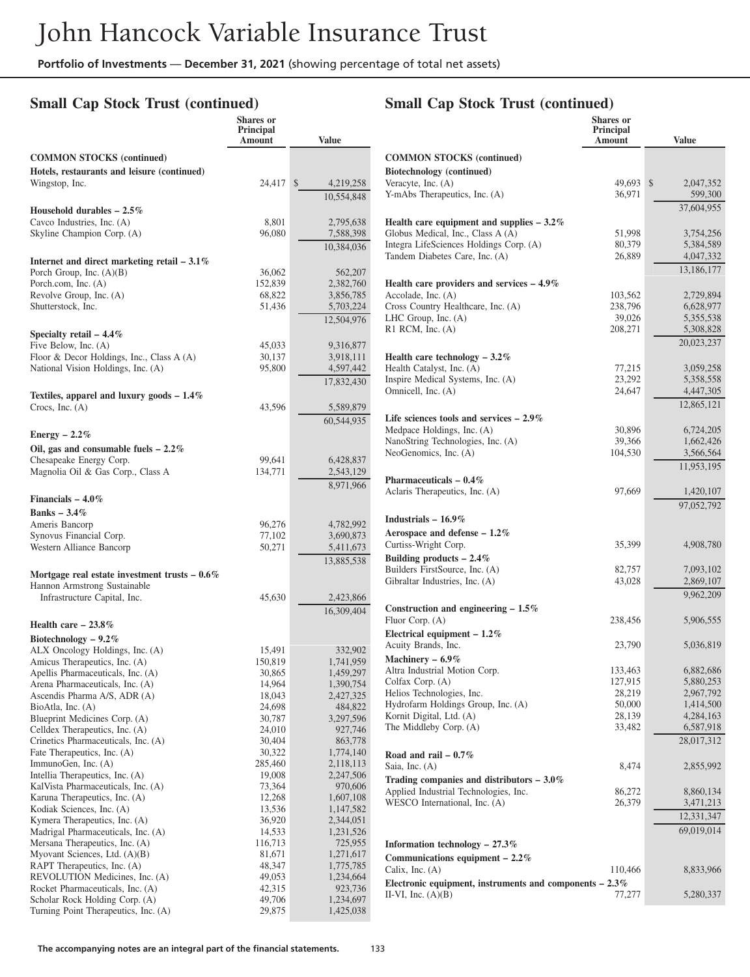## **Small Cap Stock Trust (continued)**

# **Small Cap Stock Trust (continued)**

**Shares or**

|                                                                    | <b>Shares</b> or<br><b>Principal</b><br>Amount | <b>Value</b>           |                                             |
|--------------------------------------------------------------------|------------------------------------------------|------------------------|---------------------------------------------|
| <b>COMMON STOCKS</b> (continued)                                   |                                                |                        | <b>COMMON STO</b>                           |
| Hotels, restaurants and leisure (continued)                        |                                                |                        | <b>Biotechnology</b> (                      |
| Wingstop, Inc.                                                     | 24,417                                         | 4,219,258<br>\$        | Veracyte, Inc. $(A)$                        |
|                                                                    |                                                | 10.554.848             | Y-mAbs Therape                              |
| Household durables $-2.5\%$<br>Cavco Industries, Inc. (A)          | 8,801                                          | 2,795,638              | Health care equ                             |
| Skyline Champion Corp. (A)                                         | 96,080                                         | 7,588,398              | Globus Medical,                             |
|                                                                    |                                                | 10,384,036             | Integra LifeScie                            |
| Internet and direct marketing retail $-3.1\%$                      |                                                |                        | <b>Tandem Diabete</b>                       |
| Porch Group, Inc. $(A)(B)$<br>Porch.com, Inc. (A)                  | 36,062<br>152,839                              | 562,207                |                                             |
| Revolve Group, Inc. (A)                                            | 68,822                                         | 2,382,760<br>3,856,785 | Health care pro<br>Accolade, Inc. $($       |
| Shutterstock, Inc.                                                 | 51,436                                         | 5,703,224              | Cross Country F                             |
|                                                                    |                                                | 12,504,976             | LHC Group, Inc                              |
| Specialty retail $-4.4\%$                                          |                                                |                        | R1 RCM, Inc. $($                            |
| Five Below, Inc. (A)<br>Floor & Decor Holdings, Inc., Class A (A)  | 45,033<br>30,137                               | 9,316,877<br>3,918,111 | Health care tec                             |
| National Vision Holdings, Inc. (A)                                 | 95,800                                         | 4,597,442              | Health Catalyst,                            |
|                                                                    |                                                | 17,832,430             | Inspire Medical                             |
| Textiles, apparel and luxury goods $-1.4\%$                        |                                                |                        | Omnicell, Inc. (A                           |
| Crocs, Inc. $(A)$                                                  | 43,596                                         | 5,589,879              | Life sciences to                            |
|                                                                    |                                                | 60,544,935             | Medpace Holdin                              |
| Energy $-2.2\%$<br>Oil, gas and consumable fuels $-2.2\%$          |                                                |                        | NanoString Tech                             |
| Chesapeake Energy Corp.                                            | 99,641                                         | 6,428,837              | NeoGenomics, I                              |
| Magnolia Oil & Gas Corp., Class A                                  | 134,771                                        | 2,543,129              |                                             |
|                                                                    |                                                | 8,971,966              | Pharmaceutical<br>Aclaris Theraper          |
| Financials $-4.0\%$                                                |                                                |                        |                                             |
| Banks $-3.4%$<br>Ameris Bancorp                                    | 96,276                                         | 4,782,992              | Industrials – 16                            |
| Synovus Financial Corp.                                            | 77,102                                         | 3,690,873              | Aerospace and                               |
| Western Alliance Bancorp                                           | 50,271                                         | 5,411,673              | Curtiss-Wright O                            |
|                                                                    |                                                | 13,885,538             | <b>Building produ-</b><br>Builders FirstSo  |
| Mortgage real estate investment trusts $-0.6\%$                    |                                                |                        | Gibraltar Industr                           |
| Hannon Armstrong Sustainable<br>Infrastructure Capital, Inc.       | 45,630                                         | 2,423,866              |                                             |
|                                                                    |                                                | 16,309,404             | <b>Construction an</b>                      |
| Health care $-23.8\%$                                              |                                                |                        | Fluor Corp. $(A)$                           |
| Biotechnology - $9.2\%$                                            |                                                |                        | <b>Electrical equip</b><br>Acuity Brands, 1 |
| ALX Oncology Holdings, Inc. (A)                                    | 15,491                                         | 332,902                | Machinery - 6.                              |
| Amicus Therapeutics, Inc. (A)<br>Apellis Pharmaceuticals, Inc. (A) | 150,819<br>30,865                              | 1,741,959<br>1,459,297 | Altra Industrial 1                          |
| Arena Pharmaceuticals, Inc. (A)                                    | 14,964                                         | 1,390,754              | Colfax Corp. (A                             |
| Ascendis Pharma A/S, ADR (A)                                       | 18,043                                         | 2,427,325              | Helios Technolo<br>Hydrofarm Hold           |
| BioAtla, Inc. (A)<br>Blueprint Medicines Corp. (A)                 | 24,698<br>30,787                               | 484,822<br>3,297,596   | Kornit Digital, I                           |
| Celldex Therapeutics, Inc. (A)                                     | 24,010                                         | 927,746                | The Middleby C                              |
| Crinetics Pharmaceuticals, Inc. (A)                                | 30,404                                         | 863,778                |                                             |
| Fate Therapeutics, Inc. (A)<br>ImmunoGen, Inc. (A)                 | 30,322<br>285,460                              | 1,774,140<br>2,118,113 | Road and rail -                             |
| Intellia Therapeutics, Inc. (A)                                    | 19,008                                         | 2,247,506              | Saia, Inc. (A)<br><b>Trading compare</b>    |
| KalVista Pharmaceuticals, Inc. (A)                                 | 73,364                                         | 970,606                | Applied Industri                            |
| Karuna Therapeutics, Inc. (A)<br>Kodiak Sciences, Inc. (A)         | 12,268<br>13,536                               | 1,607,108<br>1,147,582 | WESCO Interna                               |
| Kymera Therapeutics, Inc. (A)                                      | 36,920                                         | 2,344,051              |                                             |
| Madrigal Pharmaceuticals, Inc. (A)                                 | 14,533                                         | 1,231,526              |                                             |
| Mersana Therapeutics, Inc. (A)<br>Myovant Sciences, Ltd. (A)(B)    | 116,713<br>81,671                              | 725,955<br>1,271,617   | <b>Information</b> tec                      |
| RAPT Therapeutics, Inc. (A)                                        | 48,347                                         | 1,775,785              | Communication<br>Calix, Inc. $(A)$          |
| REVOLUTION Medicines, Inc. (A)                                     | 49,053                                         | 1,234,664              | Electronic equip                            |
| Rocket Pharmaceuticals, Inc. (A)<br>Scholar Rock Holding Corp. (A) | 42,315<br>49,706                               | 923,736<br>1,234,697   | II-VI, Inc. $(A)(B)$                        |
| Turning Point Therapeutics, Inc. (A)                               | 29,875                                         | 1,425,038              |                                             |
|                                                                    |                                                |                        |                                             |

|                                                                                    | Principal<br>Amount | <b>Value</b>           |
|------------------------------------------------------------------------------------|---------------------|------------------------|
| <b>COMMON STOCKS</b> (continued)                                                   |                     |                        |
| Biotechnology (continued)                                                          |                     |                        |
| Veracyte, Inc. $(A)$                                                               | 49,693              | \$<br>2,047,352        |
| Y-mAbs Therapeutics, Inc. (A)                                                      | 36,971              | 599,300                |
|                                                                                    |                     | 37.604.955             |
| Health care equipment and supplies $-3.2\%$                                        |                     |                        |
| Globus Medical, Inc., Class A (A)<br>Integra LifeSciences Holdings Corp. (A)       | 51,998<br>80,379    | 3,754,256<br>5,384,589 |
| Tandem Diabetes Care, Inc. (A)                                                     | 26,889              | 4,047,332              |
|                                                                                    |                     | 13,186,177             |
| Health care providers and services $-4.9\%$                                        |                     |                        |
| Accolade, Inc. (A)                                                                 | 103,562             | 2,729,894              |
| Cross Country Healthcare, Inc. (A)                                                 | 238,796             | 6,628,977              |
| LHC Group, Inc. $(A)$<br>$R1$ RCM, Inc. $(A)$                                      | 39,026<br>208,271   | 5,355,538<br>5,308,828 |
|                                                                                    |                     | 20,023,237             |
| Health care technology $-3.2\%$                                                    |                     |                        |
| Health Catalyst, Inc. (A)                                                          | 77,215              | 3,059,258              |
| Inspire Medical Systems, Inc. (A)                                                  | 23,292              | 5,358,558              |
| Omnicell, Inc. (A)                                                                 | 24,647              | 4,447,305              |
|                                                                                    |                     | 12,865,121             |
| Life sciences tools and services $-2.9\%$                                          |                     |                        |
| Medpace Holdings, Inc. (A)                                                         | 30,896              | 6,724,205              |
| NanoString Technologies, Inc. (A)<br>NeoGenomics, Inc. (A)                         | 39,366<br>104,530   | 1,662,426<br>3,566,564 |
|                                                                                    |                     | 11,953,195             |
| Pharmaceuticals $-0.4\%$                                                           |                     |                        |
| Aclaris Therapeutics, Inc. (A)                                                     | 97,669              | 1,420,107              |
|                                                                                    |                     | 97,052,792             |
| Industrials $-16.9\%$                                                              |                     |                        |
| Aerospace and defense $-1.2\%$                                                     |                     |                        |
| Curtiss-Wright Corp.                                                               | 35,399              | 4,908,780              |
| Building products $-2.4\%$                                                         |                     |                        |
| Builders FirstSource, Inc. (A)                                                     | 82,757              | 7,093,102              |
| Gibraltar Industries, Inc. (A)                                                     | 43,028              | 2,869,107<br>9,962,209 |
| Construction and engineering $-1.5\%$                                              |                     |                        |
| Fluor Corp. (A)                                                                    | 238,456             | 5,906,555              |
| Electrical equipment $-1.2\%$                                                      |                     |                        |
| Acuity Brands, Inc.                                                                | 23,790              | 5,036,819              |
| Machinery $-6.9\%$                                                                 |                     |                        |
| Altra Industrial Motion Corp.                                                      | 133,463             | 6,882,686              |
| Colfax Corp. (A)<br>Helios Technologies, Inc.                                      | 127,915<br>28,219   | 5,880,253<br>2,967,792 |
| Hydrofarm Holdings Group, Inc. (A)                                                 | 50,000              | 1,414,500              |
| Kornit Digital, Ltd. (A)                                                           | 28,139              | 4,284,163              |
| The Middleby Corp. (A)                                                             | 33,482              | 6,587,918              |
|                                                                                    |                     | 28,017,312             |
| Road and rail $-0.7\%$                                                             |                     |                        |
| Saia, Inc. (A)                                                                     | 8,474               | 2,855,992              |
| Trading companies and distributors - 3.0%<br>Applied Industrial Technologies, Inc. | 86,272              | 8,860,134              |
| WESCO International, Inc. (A)                                                      | 26,379              | 3,471,213              |
|                                                                                    |                     | 12,331,347             |
|                                                                                    |                     | 69,019,014             |
| Information technology $-27.3\%$                                                   |                     |                        |
| Communications equipment $-2.2\%$                                                  |                     |                        |
| Calix, Inc. $(A)$                                                                  | 110,466             | 8,833,966              |
| Electronic equipment, instruments and components $-2.3\%$                          |                     |                        |
| II-VI, Inc. $(A)(B)$                                                               | 77,277              | 5,280,337              |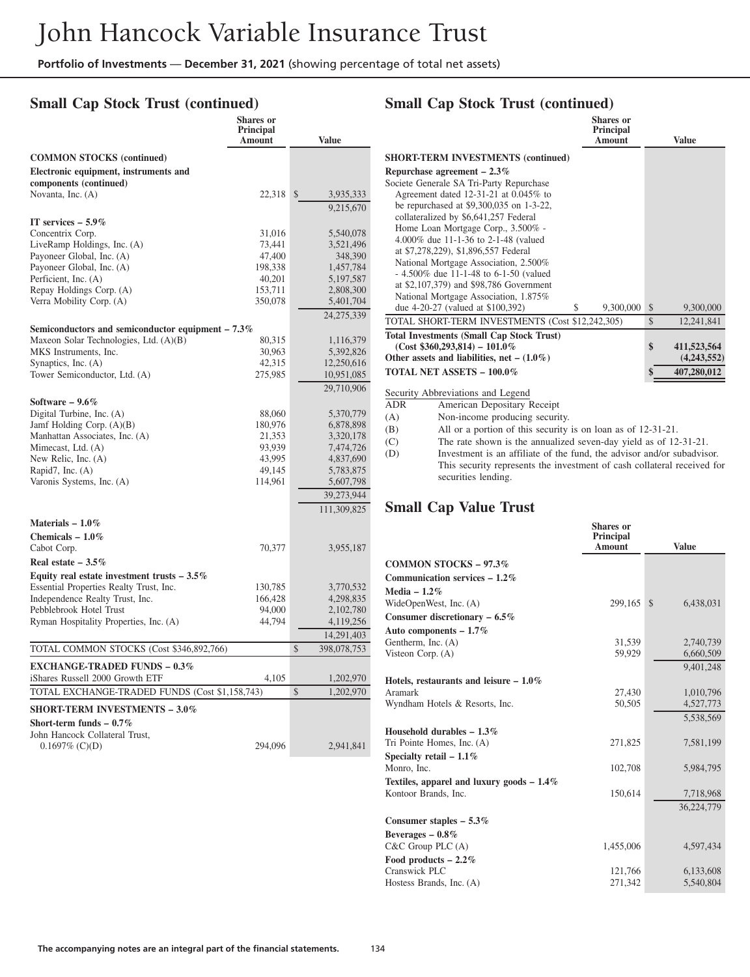#### **Small Cap Stock Trust (continued)**

|                                                     | <b>Shares</b> or<br>Principal<br><b>Amount</b> | <b>Value</b>              |  |
|-----------------------------------------------------|------------------------------------------------|---------------------------|--|
| <b>COMMON STOCKS</b> (continued)                    |                                                |                           |  |
| Electronic equipment, instruments and               |                                                |                           |  |
| components (continued)                              |                                                |                           |  |
| Novanta, Inc. (A)                                   | 22,318                                         | $\mathbb{S}$<br>3,935,333 |  |
|                                                     |                                                | 9,215,670                 |  |
| IT services $-5.9\%$                                |                                                |                           |  |
| Concentrix Corp.                                    | 31,016                                         | 5,540,078                 |  |
| LiveRamp Holdings, Inc. (A)                         | 73,441                                         | 3,521,496                 |  |
| Payoneer Global, Inc. (A)                           | 47,400                                         | 348,390                   |  |
| Payoneer Global, Inc. (A)                           | 198,338                                        | 1,457,784                 |  |
| Perficient, Inc. (A)                                | 40,201                                         | 5,197,587                 |  |
| Repay Holdings Corp. (A)                            | 153,711                                        | 2,808,300                 |  |
| Verra Mobility Corp. (A)                            | 350,078                                        | 5,401,704                 |  |
|                                                     |                                                | 24,275,339                |  |
| Semiconductors and semiconductor equipment $-7.3\%$ |                                                |                           |  |
| Maxeon Solar Technologies, Ltd. (A)(B)              | 80,315                                         | 1,116,379                 |  |
| MKS Instruments, Inc.                               | 30,963                                         | 5,392,826                 |  |
| Synaptics, Inc. (A)                                 | 42,315                                         | 12,250,616                |  |
| Tower Semiconductor, Ltd. (A)                       | 275,985                                        | 10,951,085                |  |
|                                                     |                                                | 29,710,906                |  |
| Software $-9.6\%$                                   |                                                |                           |  |
| Digital Turbine, Inc. (A)                           | 88,060                                         | 5,370,779                 |  |
| Jamf Holding Corp. (A)(B)                           | 180,976                                        | 6,878,898                 |  |
| Manhattan Associates, Inc. (A)                      | 21,353                                         | 3,320,178                 |  |
| Mimecast, Ltd. (A)                                  | 93,939                                         | 7,474,726                 |  |
| New Relic, Inc. (A)                                 | 43,995                                         | 4,837,690                 |  |
| Rapid7, Inc. (A)                                    | 49,145                                         | 5,783,875                 |  |
| Varonis Systems, Inc. (A)                           | 114,961                                        | 5,607,798                 |  |
|                                                     |                                                | 39,273,944                |  |
|                                                     |                                                | 111,309,825               |  |
| Materials $-1.0\%$                                  |                                                |                           |  |
| Chemicals $-1.0\%$                                  |                                                |                           |  |
| Cabot Corp.                                         | 70,377                                         | 3,955,187                 |  |
| Real estate $-3.5\%$                                |                                                |                           |  |
| Equity real estate investment trusts $-3.5\%$       |                                                |                           |  |
| Essential Properties Realty Trust, Inc.             | 130,785                                        | 3,770,532                 |  |
| Independence Realty Trust, Inc.                     | 166,428                                        | 4,298,835                 |  |
| Pebblebrook Hotel Trust                             | 94,000                                         | 2,102,780                 |  |
| Ryman Hospitality Properties, Inc. (A)              | 44,794                                         | 4,119,256                 |  |
|                                                     |                                                | 14,291,403                |  |
| TOTAL COMMON STOCKS (Cost \$346,892,766)            |                                                | \$<br>398,078,753         |  |
| <b>EXCHANGE-TRADED FUNDS - 0.3%</b>                 |                                                |                           |  |
| iShares Russell 2000 Growth ETF                     | 4,105                                          | 1,202,970                 |  |
| TOTAL EXCHANGE-TRADED FUNDS (Cost \$1,158,743)      |                                                | \$<br>1,202,970           |  |
| <b>SHORT-TERM INVESTMENTS - 3.0%</b>                |                                                |                           |  |
| Short-term funds $-0.7\%$                           |                                                |                           |  |
| John Hancock Collateral Trust,                      |                                                |                           |  |
| $0.1697\%$ (C)(D)                                   | 294,096                                        | 2,941,841                 |  |
|                                                     |                                                |                           |  |

#### **Small Cap Stock Trust (continued) Shares or**

| .<br><b>Principal</b><br>Amount                      | <b>Value</b>      |
|------------------------------------------------------|-------------------|
| <b>SHORT-TERM INVESTMENTS (continued)</b>            |                   |
| Repurchase agreement $-2.3\%$                        |                   |
| Societe Generale SA Tri-Party Repurchase             |                   |
| Agreement dated 12-31-21 at $0.045\%$ to             |                   |
| be repurchased at $$9,300,035$ on 1-3-22,            |                   |
| collateralized by \$6,641,257 Federal                |                   |
| Home Loan Mortgage Corp., 3.500% -                   |                   |
| 4.000% due 11-1-36 to 2-1-48 (valued                 |                   |
| at \$7,278,229), \$1,896,557 Federal                 |                   |
| National Mortgage Association, 2.500%                |                   |
| $-4.500\%$ due 11-1-48 to 6-1-50 (valued             |                   |
| at \$2,107,379) and \$98,786 Government              |                   |
| National Mortgage Association, 1.875%                |                   |
| due 4-20-27 (valued at \$100,392)<br>9,300,000<br>\$ | \$<br>9,300,000   |
| TOTAL SHORT-TERM INVESTMENTS (Cost \$12,242,305)     | \$<br>12,241,841  |
| <b>Total Investments (Small Cap Stock Trust)</b>     |                   |
| $(Cost $360,293,814) - 101.0\%$                      | \$<br>411,523,564 |
| Other assets and liabilities, net $- (1.0\%)$        | (4,243,552)       |
| <b>TOTAL NET ASSETS - 100.0%</b>                     | \$<br>407,280,012 |

Security Abbreviations and Legend

ADR American Depositary Receipt

(A) Non-income producing security.

(B) All or a portion of this security is on loan as of 12-31-21.

(C) The rate shown is the annualized seven-day yield as of 12-31-21.<br>(D) Investment is an affiliate of the fund, the advisor and/or subadvise Investment is an affiliate of the fund, the advisor and/or subadvisor. This security represents the investment of cash collateral received for securities lending.

#### **Small Cap Value Trust**

|                                                                     | <b>Shares</b> or<br>Principal<br><b>Amount</b> | <b>Value</b>    |
|---------------------------------------------------------------------|------------------------------------------------|-----------------|
| <b>COMMON STOCKS - 97.3%</b>                                        |                                                |                 |
| Communication services $-1.2\%$                                     |                                                |                 |
| Media $-1.2\%$                                                      |                                                |                 |
| WideOpenWest, Inc. (A)                                              | 299,165                                        | 6,438,031<br>\$ |
| Consumer discretionary $-6.5\%$                                     |                                                |                 |
| Auto components $-1.7\%$                                            |                                                |                 |
| Gentherm, Inc. (A)                                                  | 31,539                                         | 2,740,739       |
| Visteon Corp. $(A)$                                                 | 59,929                                         | 6,660,509       |
|                                                                     |                                                | 9,401,248       |
| Hotels, restaurants and leisure $-1.0\%$                            |                                                |                 |
| Aramark                                                             | 27,430                                         | 1,010,796       |
| Wyndham Hotels & Resorts, Inc.                                      | 50,505                                         | 4,527,773       |
|                                                                     |                                                | 5,538,569       |
| Household durables $-1.3\%$                                         |                                                |                 |
| Tri Pointe Homes, Inc. (A)                                          | 271,825                                        | 7,581,199       |
| Specialty retail $-1.1\%$                                           |                                                |                 |
| Monro, Inc.                                                         | 102,708                                        | 5,984,795       |
| Textiles, apparel and luxury goods $-1.4\%$<br>Kontoor Brands, Inc. | 150,614                                        | 7,718,968       |
|                                                                     |                                                |                 |
| Consumer staples $-5.3\%$                                           |                                                | 36,224,779      |
| Beverages $-0.8\%$                                                  |                                                |                 |
| $C&C$ Group PLC $(A)$                                               | 1,455,006                                      | 4,597,434       |
| Food products $-2.2\%$                                              |                                                |                 |
| Cranswick PLC                                                       | 121,766                                        | 6,133,608       |
| Hostess Brands, Inc. (A)                                            | 271,342                                        | 5,540,804       |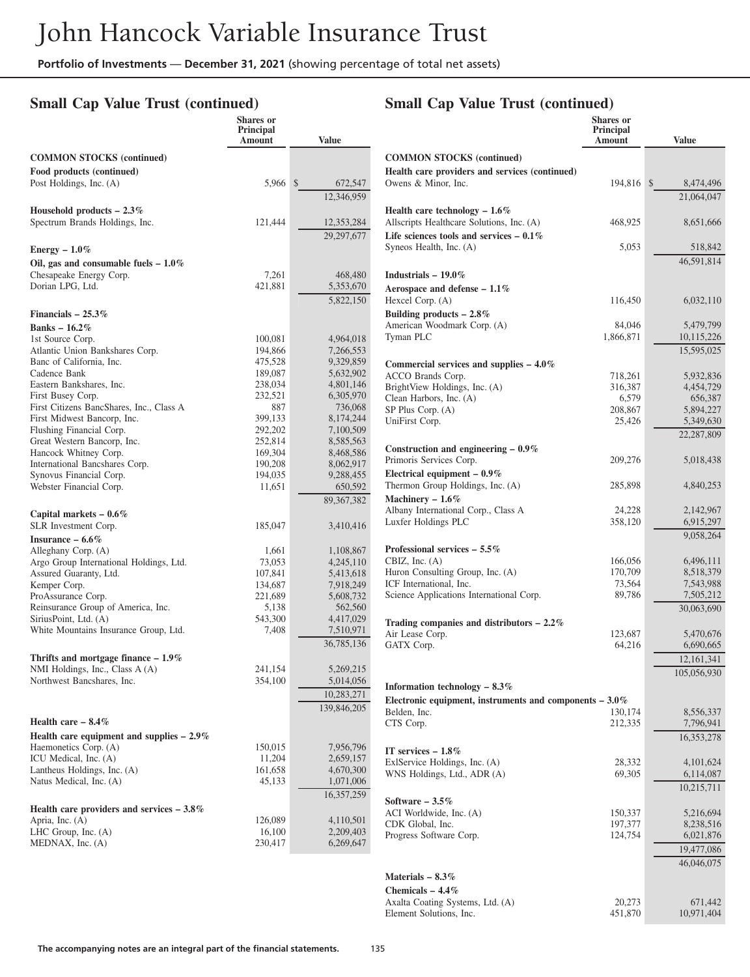## **Small Cap Value Trust (continued)**

## **Small Cap Value Trust (continued)**

|                                                               | <b>Shares</b> or<br><b>Principal</b><br>Amount | Value                   |
|---------------------------------------------------------------|------------------------------------------------|-------------------------|
| <b>COMMON STOCKS</b> (continued)                              |                                                |                         |
| Food products (continued)                                     |                                                |                         |
| Post Holdings, Inc. (A)                                       | 5,966                                          | $\mathbb{S}$<br>672,547 |
|                                                               |                                                | 12,346,959              |
| Household products $-2.3\%$<br>Spectrum Brands Holdings, Inc. | 121,444                                        | 12,353,284              |
|                                                               |                                                | 29,297,677              |
| Energy $-1.0\%$                                               |                                                |                         |
| Oil, gas and consumable fuels $-1.0\%$                        |                                                |                         |
| Chesapeake Energy Corp.                                       | 7,261                                          | 468,480                 |
| Dorian LPG, Ltd.                                              | 421,881                                        | 5,353,670               |
|                                                               |                                                | 5,822,150               |
| Financials $-25.3\%$                                          |                                                |                         |
| Banks $-16.2\%$                                               |                                                |                         |
| 1st Source Corp.                                              | 100,081                                        | 4,964,018               |
| Atlantic Union Bankshares Corp.                               | 194,866                                        | 7,266,553               |
| Banc of California, Inc.                                      | 475,528                                        | 9,329,859               |
| Cadence Bank                                                  | 189,087                                        | 5,632,902               |
| Eastern Bankshares, Inc.                                      | 238,034                                        | 4,801,146               |
| First Busey Corp.<br>First Citizens BancShares, Inc., Class A | 232,521<br>887                                 | 6,305,970<br>736,068    |
| First Midwest Bancorp, Inc.                                   | 399,133                                        | 8,174,244               |
| Flushing Financial Corp.                                      | 292,202                                        | 7,100,509               |
| Great Western Bancorp, Inc.                                   | 252,814                                        | 8,585,563               |
| Hancock Whitney Corp.                                         | 169,304                                        | 8,468,586               |
| International Bancshares Corp.                                | 190,208                                        | 8,062,917               |
| Synovus Financial Corp.                                       | 194,035                                        | 9,288,455               |
| Webster Financial Corp.                                       | 11,651                                         | 650,592                 |
|                                                               |                                                | 89,367,382              |
| Capital markets $-0.6\%$                                      |                                                |                         |
| SLR Investment Corp.                                          | 185,047                                        | 3,410,416               |
| Insurance $-6.6\%$<br>Alleghany Corp. (A)                     |                                                |                         |
| Argo Group International Holdings, Ltd.                       | 1,661<br>73,053                                | 1,108,867<br>4,245,110  |
| Assured Guaranty, Ltd.                                        | 107,841                                        | 5,413,618               |
| Kemper Corp.                                                  | 134,687                                        | 7,918,249               |
| ProAssurance Corp.                                            | 221,689                                        | 5,608,732               |
| Reinsurance Group of America, Inc.                            | 5,138                                          | 562,560                 |
| SiriusPoint, Ltd. (A)                                         | 543,300                                        | 4,417,029               |
| White Mountains Insurance Group, Ltd.                         | 7,408                                          | 7,510,971               |
|                                                               |                                                | 36,785,136              |
| Thrifts and mortgage finance $-1.9\%$                         |                                                |                         |
| NMI Holdings, Inc., Class A (A)<br>Northwest Bancshares, Inc. | 241,154<br>354,100                             | 5,269,215<br>5,014,056  |
|                                                               |                                                | 10,283,271              |
|                                                               |                                                | 139,846,205             |
| Health care $-8.4\%$                                          |                                                |                         |
| Health care equipment and supplies $-2.9\%$                   |                                                |                         |
| Haemonetics Corp. (A)                                         | 150,015                                        | 7,956,796               |
| ICU Medical, Inc. (A)                                         | 11,204                                         | 2,659,157               |
| Lantheus Holdings, Inc. (A)                                   | 161,658                                        | 4,670,300               |
| Natus Medical, Inc. (A)                                       | 45,133                                         | 1,071,006               |
|                                                               |                                                | 16,357,259              |
| Health care providers and services $-3.8\%$                   |                                                |                         |
| Apria, Inc. (A)<br>LHC Group, Inc. (A)                        | 126,089<br>16,100                              | 4,110,501<br>2,209,403  |
| MEDNAX, Inc. (A)                                              | 230,417                                        | 6,269,647               |
|                                                               |                                                |                         |

|                                                                      | Shares or<br>Principal<br>Amount | <b>Value</b>                  |
|----------------------------------------------------------------------|----------------------------------|-------------------------------|
| <b>COMMON STOCKS (continued)</b>                                     |                                  |                               |
| Health care providers and services (continued)                       |                                  |                               |
| Owens & Minor, Inc.                                                  | 194,816                          | \$<br>8,474,496<br>21,064,047 |
| Health care technology $-1.6\%$                                      |                                  |                               |
| Allscripts Healthcare Solutions, Inc. (A)                            | 468,925                          | 8,651,666                     |
| Life sciences tools and services $-0.1\%$<br>Syneos Health, Inc. (A) | 5,053                            | 518,842                       |
|                                                                      |                                  | 46,591,814                    |
| Industrials $-19.0\%$                                                |                                  |                               |
| Aerospace and defense $-1.1\%$                                       |                                  |                               |
| Hexcel Corp. (A)                                                     | 116,450                          | 6,032,110                     |
| Building products $-2.8\%$<br>American Woodmark Corp. (A)            | 84,046                           | 5,479,799                     |
| Tyman PLC                                                            | 1,866,871                        | 10,115,226                    |
|                                                                      |                                  | 15,595,025                    |
| Commercial services and supplies $-4.0\%$                            |                                  |                               |
| ACCO Brands Corp.                                                    | 718,261                          | 5,932,836                     |
| BrightView Holdings, Inc. (A)<br>Clean Harbors, Inc. (A)             | 316,387<br>6,579                 | 4,454,729<br>656,387          |
| SP Plus Corp. (A)                                                    | 208,867                          | 5,894,227                     |
| UniFirst Corp.                                                       | 25,426                           | 5,349,630                     |
|                                                                      |                                  | 22,287,809                    |
| Construction and engineering $-0.9\%$<br>Primoris Services Corp.     | 209,276                          | 5,018,438                     |
| Electrical equipment $-0.9\%$                                        |                                  |                               |
| Thermon Group Holdings, Inc. (A)                                     | 285,898                          | 4,840,253                     |
| Machinery $-1.6\%$                                                   |                                  |                               |
| Albany International Corp., Class A<br>Luxfer Holdings PLC           | 24,228<br>358,120                | 2,142,967                     |
|                                                                      |                                  | 6,915,297<br>9,058,264        |
| Professional services $-5.5\%$                                       |                                  |                               |
| CBIZ, Inc. $(A)$                                                     | 166,056                          | 6,496,111                     |
| Huron Consulting Group, Inc. (A)                                     | 170,709                          | 8,518,379                     |
| ICF International, Inc.<br>Science Applications International Corp.  | 73,564<br>89,786                 | 7,543,988<br>7,505,212        |
|                                                                      |                                  | 30,063,690                    |
| Trading companies and distributors - 2.2%                            |                                  |                               |
| Air Lease Corp.                                                      | 123,687                          | 5,470,676                     |
| GATX Corp.                                                           | 64,216                           | 6,690,665                     |
|                                                                      |                                  | 12, 161, 341<br>105,056,930   |
| Information technology $-8.3\%$                                      |                                  |                               |
| Electronic equipment, instruments and components $-3.0\%$            |                                  |                               |
| Belden, Inc.                                                         | 130,174                          | 8,556,337                     |
| CTS Corp.                                                            | 212,335                          | 7,796,941                     |
|                                                                      |                                  | 16,353,278                    |
| IT services $-1.8\%$<br>ExlService Holdings, Inc. (A)                | 28,332                           | 4,101,624                     |
| WNS Holdings, Ltd., ADR (A)                                          | 69,305                           | 6,114,087                     |
|                                                                      |                                  | 10,215,711                    |
| Software $-3.5\%$                                                    |                                  |                               |
| ACI Worldwide, Inc. (A)<br>CDK Global, Inc.                          | 150,337<br>197,377               | 5,216,694<br>8,238,516        |
| Progress Software Corp.                                              | 124,754                          | 6,021,876                     |
|                                                                      |                                  | 19,477,086                    |
|                                                                      |                                  | 46,046,075                    |
| Materials $-8.3\%$                                                   |                                  |                               |
| Chemicals $-4.4\%$                                                   |                                  |                               |
| Axalta Coating Systems, Ltd. (A)<br>Element Solutions, Inc.          | 20,273<br>451,870                | 671,442<br>10,971,404         |
|                                                                      |                                  |                               |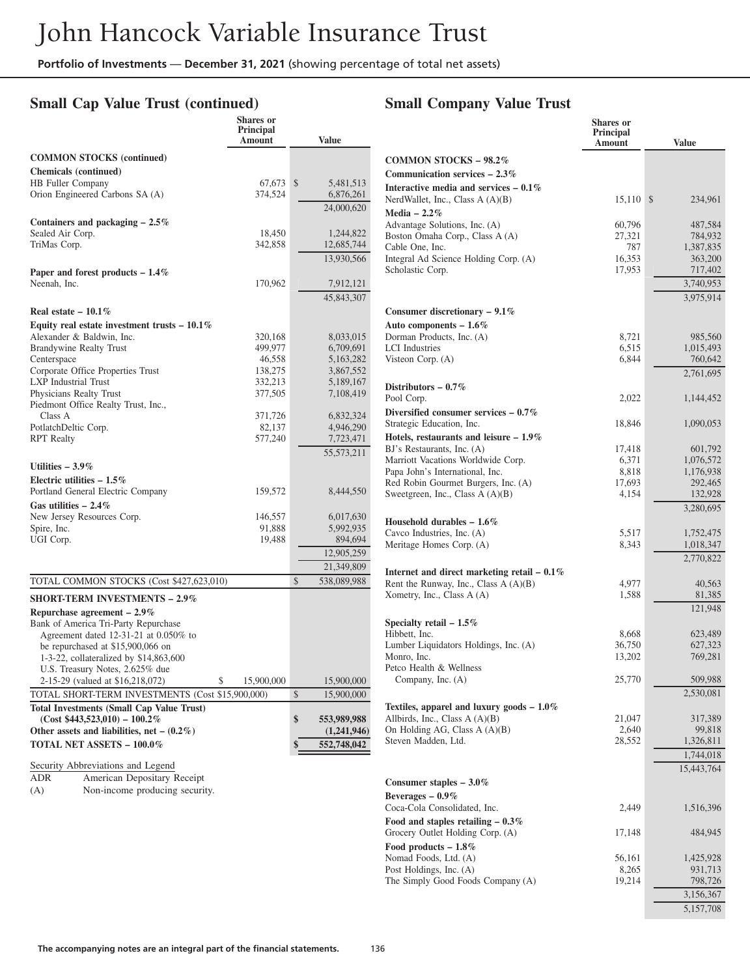## **Small Cap Value Trust (continued)**

|                                                                             | <b>Shares</b> or<br>Principal<br>Amount |               | <b>Value</b> |
|-----------------------------------------------------------------------------|-----------------------------------------|---------------|--------------|
| <b>COMMON STOCKS</b> (continued)                                            |                                         |               |              |
| <b>Chemicals</b> (continued)                                                |                                         |               |              |
| <b>HB</b> Fuller Company                                                    | 67,673                                  | \$            | 5,481,513    |
| Orion Engineered Carbons SA (A)                                             | 374,524                                 |               | 6,876,261    |
|                                                                             |                                         |               | 24,000,620   |
| Containers and packaging $-2.5\%$                                           |                                         |               |              |
| Sealed Air Corp.                                                            | 18,450                                  |               | 1,244,822    |
| TriMas Corp.                                                                | 342,858                                 |               | 12,685,744   |
|                                                                             |                                         |               | 13,930,566   |
|                                                                             |                                         |               |              |
| Paper and forest products $-1.4\%$                                          |                                         |               |              |
| Neenah, Inc.                                                                | 170,962                                 |               | 7,912,121    |
|                                                                             |                                         |               | 45,843,307   |
| Real estate $-10.1\%$                                                       |                                         |               |              |
| Equity real estate investment trusts $-10.1\%$                              |                                         |               |              |
| Alexander & Baldwin, Inc.                                                   | 320,168                                 |               | 8,033,015    |
| <b>Brandywine Realty Trust</b>                                              | 499,977                                 |               | 6,709,691    |
| Centerspace                                                                 | 46,558                                  |               | 5,163,282    |
| Corporate Office Properties Trust                                           | 138,275                                 |               | 3,867,552    |
| <b>LXP</b> Industrial Trust                                                 | 332,213                                 |               | 5,189,167    |
| Physicians Realty Trust                                                     | 377,505                                 |               | 7,108,419    |
| Piedmont Office Realty Trust, Inc.,                                         |                                         |               |              |
| Class A                                                                     | 371,726                                 |               | 6,832,324    |
| PotlatchDeltic Corp.                                                        | 82,137                                  |               | 4,946,290    |
| <b>RPT</b> Realty                                                           | 577,240                                 |               | 7,723,471    |
|                                                                             |                                         |               | 55, 573, 211 |
| Utilities $-3.9\%$                                                          |                                         |               |              |
| Electric utilities $-1.5\%$                                                 |                                         |               |              |
| Portland General Electric Company                                           | 159,572                                 |               | 8,444,550    |
| Gas utilities $-2.4\%$                                                      |                                         |               |              |
| New Jersey Resources Corp.                                                  | 146,557                                 |               | 6,017,630    |
| Spire, Inc.                                                                 | 91,888                                  |               | 5,992,935    |
| UGI Corp.                                                                   | 19,488                                  |               | 894,694      |
|                                                                             |                                         |               | 12,905,259   |
|                                                                             |                                         |               | 21,349,809   |
| TOTAL COMMON STOCKS (Cost \$427,623,010)                                    |                                         | $\mathcal{S}$ | 538,089,988  |
|                                                                             |                                         |               |              |
| <b>SHORT-TERM INVESTMENTS – 2.9%</b>                                        |                                         |               |              |
| Repurchase agreement - 2.9%                                                 |                                         |               |              |
| Bank of America Tri-Party Repurchase                                        |                                         |               |              |
| Agreement dated 12-31-21 at 0.050% to                                       |                                         |               |              |
| be repurchased at \$15,900,066 on<br>1-3-22, collateralized by \$14,863,600 |                                         |               |              |
| U.S. Treasury Notes, 2.625% due                                             |                                         |               |              |
| 2-15-29 (valued at \$16,218,072)                                            | 15,900,000                              |               | 15,900,000   |
| TOTAL SHORT-TERM INVESTMENTS (Cost \$15,900,000)                            |                                         |               |              |
|                                                                             |                                         | \$            | 15,900,000   |
| <b>Total Investments (Small Cap Value Trust)</b>                            |                                         |               |              |
| $(Cost $443,523,010) - 100.2\%$                                             |                                         | \$            | 553,989,988  |
| Other assets and liabilities, net $-$ (0.2%)                                |                                         |               | (1,241,946)  |
| <b>TOTAL NET ASSETS - 100.0%</b>                                            |                                         | \$            | 552,748,042  |
| Security Abbreviations and Legend                                           |                                         |               |              |
| American Depositary Receipt<br><b>ADR</b>                                   |                                         |               |              |

(A) Non-income producing security.

## **Small Company Value Trust**

|                                                                        | Shares or<br>Principal<br>Amount | <b>Value</b>         |
|------------------------------------------------------------------------|----------------------------------|----------------------|
| <b>COMMON STOCKS - 98.2%</b>                                           |                                  |                      |
| Communication services $-2.3\%$                                        |                                  |                      |
| Interactive media and services $-0.1\%$                                |                                  |                      |
| NerdWallet, Inc., Class $A(A)(B)$                                      | 15,110                           | \$<br>234,961        |
| Media $-2.2\%$                                                         |                                  |                      |
| Advantage Solutions, Inc. (A)                                          | 60,796                           | 487,584              |
| Boston Omaha Corp., Class A (A)<br>Cable One, Inc.                     | 27,321<br>787                    | 784,932<br>1,387,835 |
| Integral Ad Science Holding Corp. (A)                                  | 16,353                           | 363,200              |
| Scholastic Corp.                                                       | 17,953                           | 717,402              |
|                                                                        |                                  | 3,740,953            |
|                                                                        |                                  | 3,975,914            |
| Consumer discretionary $-9.1\%$                                        |                                  |                      |
| Auto components $-1.6\%$                                               |                                  |                      |
| Dorman Products, Inc. (A)                                              | 8,721                            | 985,560              |
| <b>LCI</b> Industries                                                  | 6,515                            | 1,015,493            |
| Visteon Corp. $(A)$                                                    | 6,844                            | 760,642              |
|                                                                        |                                  | 2,761,695            |
| Distributors $-0.7\%$                                                  |                                  |                      |
| Pool Corp.                                                             | 2,022                            | 1,144,452            |
| Diversified consumer services $-0.7\%$                                 |                                  |                      |
| Strategic Education, Inc.                                              | 18,846                           | 1,090,053            |
| Hotels, restaurants and leisure $-1.9\%$<br>BJ's Restaurants, Inc. (A) | 17,418                           | 601,792              |
| Marriott Vacations Worldwide Corp.                                     | 6,371                            | 1,076,572            |
| Papa John's International, Inc.                                        | 8,818                            | 1,176,938            |
| Red Robin Gourmet Burgers, Inc. (A)                                    | 17,693                           | 292,465              |
| Sweetgreen, Inc., Class $A(A)(B)$                                      | 4,154                            | 132,928              |
|                                                                        |                                  | 3,280,695            |
| Household durables $-1.6\%$                                            |                                  |                      |
| Cavco Industries, Inc. (A)                                             | 5,517                            | 1,752,475            |
| Meritage Homes Corp. (A)                                               | 8,343                            | 1,018,347            |
|                                                                        |                                  | 2,770,822            |
| Internet and direct marketing retail $-0.1\%$                          |                                  |                      |
| Rent the Runway, Inc., Class A (A)(B)                                  | 4,977                            | 40,563               |
| Xometry, Inc., Class A (A)                                             | 1,588                            | 81,385               |
|                                                                        |                                  | 121,948              |
| Specialty retail $-1.5\%$                                              |                                  |                      |
| Hibbett, Inc.                                                          | 8,668                            | 623,489              |
| Lumber Liquidators Holdings, Inc. (A)                                  | 36,750                           | 627,323<br>769,281   |
| Monro, Inc.<br>Petco Health & Wellness                                 | 13,202                           |                      |
| Company, Inc. (A)                                                      | 25,770                           | 509,988              |
|                                                                        |                                  | 2,530,081            |
| Textiles, apparel and luxury goods $-1.0\%$                            |                                  |                      |
| Allbirds, Inc., Class A (A)(B)                                         | 21,047                           | 317,389              |
| On Holding AG, Class $A(A)(B)$                                         | 2,640                            | 99,818               |
| Steven Madden, Ltd.                                                    | 28,552                           | 1,326,811            |
|                                                                        |                                  | 1,744,018            |
|                                                                        |                                  | 15,443,764           |
| Consumer staples $-3.0\%$                                              |                                  |                      |
| Beverages $-0.9\%$                                                     |                                  |                      |
| Coca-Cola Consolidated, Inc.                                           | 2,449                            | 1,516,396            |
| Food and staples retailing $-0.3\%$                                    |                                  |                      |
| Grocery Outlet Holding Corp. (A)                                       | 17,148                           | 484,945              |
| Food products $-1.8\%$                                                 |                                  |                      |
| Nomad Foods, Ltd. (A)                                                  | 56,161                           | 1,425,928            |
| Post Holdings, Inc. (A)                                                | 8,265                            | 931,713              |
| The Simply Good Foods Company (A)                                      | 19,214                           | 798,726              |
|                                                                        |                                  | 3,156,367            |
|                                                                        |                                  | 5,157,708            |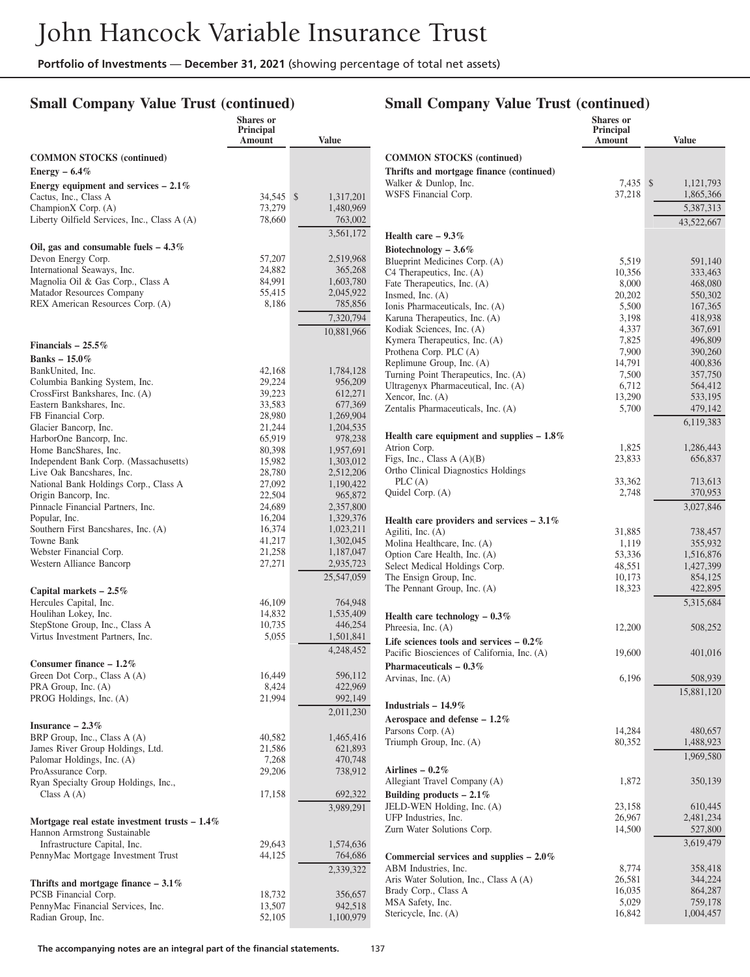## **Small Company Value Trust (continued)**

# **Small Company Value Trust (continued)**

|                                                                     | Shares or<br>Principal<br>Amount | <b>Value</b>         |
|---------------------------------------------------------------------|----------------------------------|----------------------|
| <b>COMMON STOCKS</b> (continued)                                    |                                  |                      |
| Energy $-6.4\%$                                                     |                                  |                      |
| Energy equipment and services $-2.1\%$                              |                                  |                      |
| Cactus, Inc., Class A                                               | 34,545                           | \$<br>1,317,201      |
| ChampionX Corp. (A)<br>Liberty Oilfield Services, Inc., Class A (A) | 73,279<br>78,660                 | 1,480,969<br>763,002 |
|                                                                     |                                  | 3,561,172            |
| Oil, gas and consumable fuels $-4.3\%$                              |                                  |                      |
| Devon Energy Corp.                                                  | 57,207                           | 2,519,968            |
| International Seaways, Inc.                                         | 24,882                           | 365,268              |
| Magnolia Oil & Gas Corp., Class A                                   | 84,991                           | 1,603,780            |
| Matador Resources Company                                           | 55,415                           | 2,045,922            |
| REX American Resources Corp. (A)                                    | 8,186                            | 785,856              |
|                                                                     |                                  | 7,320,794            |
|                                                                     |                                  | 10,881,966           |
| Financials $-25.5\%$                                                |                                  |                      |
| Banks $-15.0\%$                                                     |                                  |                      |
| BankUnited, Inc.                                                    | 42,168                           | 1,784,128            |
| Columbia Banking System, Inc.<br>CrossFirst Bankshares, Inc. (A)    | 29,224<br>39,223                 | 956,209<br>612,271   |
| Eastern Bankshares, Inc.                                            | 33,583                           | 677,369              |
| FB Financial Corp.                                                  | 28,980                           | 1,269,904            |
| Glacier Bancorp, Inc.                                               | 21,244                           | 1,204,535            |
| HarborOne Bancorp, Inc.                                             | 65,919                           | 978,238              |
| Home BancShares, Inc.                                               | 80,398                           | 1,957,691            |
| Independent Bank Corp. (Massachusetts)                              | 15,982                           | 1,303,012            |
| Live Oak Bancshares, Inc.<br>National Bank Holdings Corp., Class A  | 28,780<br>27,092                 | 2,512,206            |
| Origin Bancorp, Inc.                                                | 22,504                           | 1,190,422<br>965,872 |
| Pinnacle Financial Partners, Inc.                                   | 24,689                           | 2,357,800            |
| Popular, Inc.                                                       | 16,204                           | 1,329,376            |
| Southern First Bancshares, Inc. (A)                                 | 16,374                           | 1,023,211            |
| Towne Bank                                                          | 41,217                           | 1,302,045            |
| Webster Financial Corp.                                             | 21,258                           | 1,187,047            |
| Western Alliance Bancorp                                            | 27,271                           | 2,935,723            |
|                                                                     |                                  | 25,547,059           |
| Capital markets $-2.5\%$<br>Hercules Capital, Inc.                  | 46,109                           | 764,948              |
| Houlihan Lokey, Inc.                                                | 14,832                           | 1,535,409            |
| StepStone Group, Inc., Class A                                      | 10,735                           | 446,254              |
| Virtus Investment Partners, Inc.                                    | 5,055                            | 1,501,841            |
|                                                                     |                                  | 4.248.452            |
| Consumer finance $-1.2\%$                                           |                                  |                      |
| Green Dot Corp., Class A (A)                                        | 16,449                           | 596,112              |
| PRA Group, Inc. (A)                                                 | 8,424                            | 422,969              |
| PROG Holdings, Inc. (A)                                             | 21,994                           | 992,149              |
|                                                                     |                                  | 2,011,230            |
| Insurance $-2.3\%$                                                  |                                  |                      |
| BRP Group, Inc., Class A (A)<br>James River Group Holdings, Ltd.    | 40,582<br>21,586                 | 1,465,416<br>621,893 |
| Palomar Holdings, Inc. (A)                                          | 7,268                            | 470,748              |
| ProAssurance Corp.                                                  | 29,206                           | 738,912              |
| Ryan Specialty Group Holdings, Inc.,                                |                                  |                      |
| Class $A(A)$                                                        | 17,158                           | 692,322              |
|                                                                     |                                  | 3,989,291            |
| Mortgage real estate investment trusts $-1.4\%$                     |                                  |                      |
| Hannon Armstrong Sustainable                                        |                                  |                      |
| Infrastructure Capital, Inc.                                        | 29,643                           | 1,574,636            |
| PennyMac Mortgage Investment Trust                                  | 44,125                           | 764,686<br>2,339,322 |
| Thrifts and mortgage finance $-3.1\%$                               |                                  |                      |
| PCSB Financial Corp.                                                | 18,732                           | 356,657              |
| PennyMac Financial Services, Inc.                                   | 13,507                           | 942,518              |
| Radian Group, Inc.                                                  | 52,105                           | 1,100,979            |

|                                                                | Shares or                  |                              |
|----------------------------------------------------------------|----------------------------|------------------------------|
|                                                                | <b>Principal</b><br>Amount | <b>Value</b>                 |
|                                                                |                            |                              |
| <b>COMMON STOCKS</b> (continued)                               |                            |                              |
| Thrifts and mortgage finance (continued)                       |                            |                              |
| Walker & Dunlop, Inc.<br>WSFS Financial Corp.                  | 7,435<br>37,218            | \$<br>1,121,793<br>1,865,366 |
|                                                                |                            |                              |
|                                                                |                            | 5,387,313                    |
|                                                                |                            | 43,522,667                   |
| Health care $-9.3\%$                                           |                            |                              |
| Biotechnology $-3.6\%$                                         |                            |                              |
| Blueprint Medicines Corp. (A)                                  | 5,519                      | 591,140                      |
| C4 Therapeutics, Inc. (A)<br>Fate Therapeutics, Inc. (A)       | 10,356<br>8,000            | 333,463<br>468,080           |
| Insmed, Inc. $(A)$                                             | 20,202                     | 550,302                      |
| Ionis Pharmaceuticals, Inc. (A)                                | 5,500                      | 167,365                      |
| Karuna Therapeutics, Inc. (A)                                  | 3,198                      | 418,938                      |
| Kodiak Sciences, Inc. (A)                                      | 4,337                      | 367,691                      |
| Kymera Therapeutics, Inc. (A)                                  | 7,825                      | 496,809                      |
| Prothena Corp. PLC (A)                                         | 7,900                      | 390,260                      |
| Replimune Group, Inc. (A)                                      | 14,791                     | 400,836                      |
| Turning Point Therapeutics, Inc. (A)                           | 7,500                      | 357,750                      |
| Ultragenyx Pharmaceutical, Inc. (A)                            | 6,712                      | 564,412                      |
| Xencor, Inc. $(A)$<br>Zentalis Pharmaceuticals, Inc. (A)       | 13,290<br>5,700            | 533,195<br>479,142           |
|                                                                |                            |                              |
|                                                                |                            | 6,119,383                    |
| Health care equipment and supplies $-1.8\%$                    |                            |                              |
| Atrion Corp.<br>Figs, Inc., Class $A(A)(B)$                    | 1,825<br>23,833            | 1,286,443<br>656,837         |
| Ortho Clinical Diagnostics Holdings                            |                            |                              |
| PLC(A)                                                         | 33,362                     | 713,613                      |
| Quidel Corp. (A)                                               | 2,748                      | 370,953                      |
|                                                                |                            | 3,027,846                    |
| Health care providers and services $-3.1\%$                    |                            |                              |
| Agiliti, Inc. (A)                                              | 31,885                     | 738,457                      |
| Molina Healthcare, Inc. (A)                                    | 1,119                      | 355,932                      |
| Option Care Health, Inc. (A)                                   | 53,336                     | 1,516,876                    |
| Select Medical Holdings Corp.                                  | 48,551                     | 1,427,399                    |
| The Ensign Group, Inc.                                         | 10,173                     | 854,125                      |
| The Pennant Group, Inc. (A)                                    | 18,323                     | 422,895                      |
|                                                                |                            | 5,315,684                    |
| Health care technology $-0.3\%$                                |                            |                              |
| Phreesia, Inc. $(A)$                                           | 12,200                     | 508,252                      |
| Life sciences tools and services $-0.2\%$                      |                            |                              |
| Pacific Biosciences of California, Inc. (A)                    | 19,600                     | 401,016                      |
| Pharmaceuticals $-0.3\%$                                       |                            |                              |
| Arvinas, Inc. (A)                                              | 6,196                      | 508,939                      |
|                                                                |                            | 15,881,120                   |
| Industrials $-14.9\%$                                          |                            |                              |
| Aerospace and defense $-1.2\%$                                 |                            |                              |
| Parsons Corp. (A)                                              | 14,284                     | 480,657                      |
| Triumph Group, Inc. (A)                                        | 80,352                     | 1,488,923                    |
|                                                                |                            | 1,969,580                    |
| Airlines $-0.2\%$                                              |                            |                              |
| Allegiant Travel Company (A)                                   | 1,872                      | 350,139                      |
| Building products $-2.1\%$                                     |                            |                              |
| JELD-WEN Holding, Inc. (A)                                     | 23,158                     | 610,445                      |
| UFP Industries, Inc.                                           | 26,967                     | 2,481,234                    |
| Zurn Water Solutions Corp.                                     | 14,500                     | 527,800                      |
|                                                                |                            | 3,619,479                    |
| Commercial services and supplies $-2.0\%$                      |                            |                              |
| ABM Industries, Inc.<br>Aris Water Solution, Inc., Class A (A) | 8,774<br>26,581            | 358,418<br>344,224           |
| Brady Corp., Class A                                           | 16,035                     | 864,287                      |
| MSA Safety, Inc.                                               | 5,029                      | 759,178                      |
| Stericycle, Inc. (A)                                           | 16,842                     | 1,004,457                    |
|                                                                |                            |                              |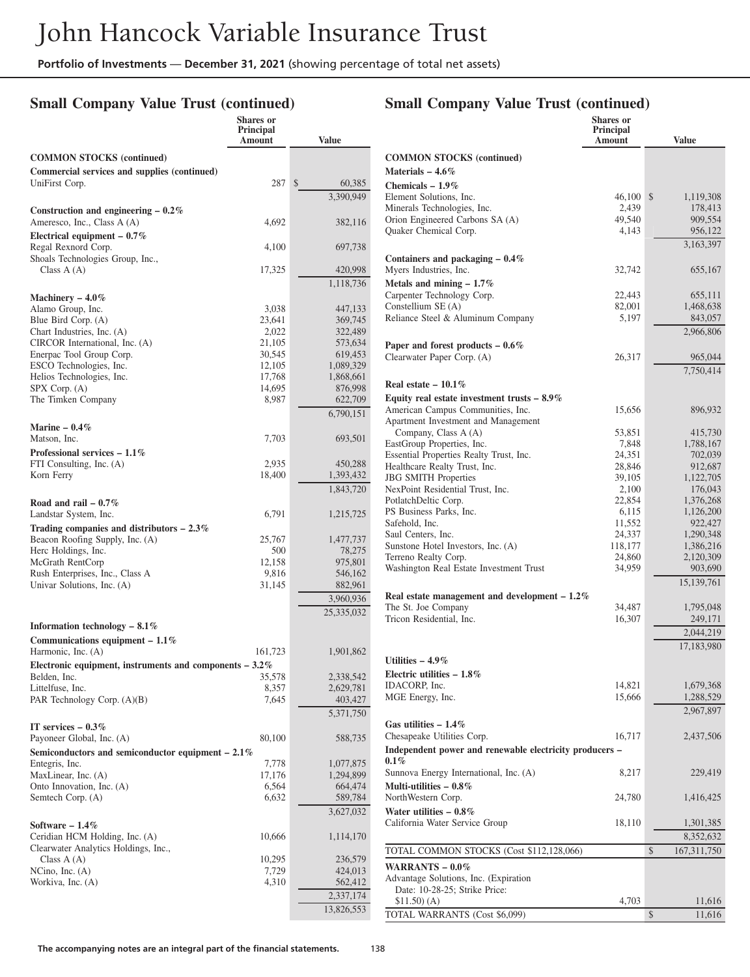## **Small Company Value Trust (continued)**

|                                                                      | Shares or<br><b>Principal</b><br>Amount | <b>Value</b>       |
|----------------------------------------------------------------------|-----------------------------------------|--------------------|
| <b>COMMON STOCKS (continued)</b>                                     |                                         |                    |
| Commercial services and supplies (continued)                         |                                         |                    |
| UniFirst Corp.                                                       | 287                                     | \$<br>60,385       |
|                                                                      |                                         | 3,390,949          |
| Construction and engineering $-0.2\%$<br>Ameresco, Inc., Class A (A) | 4,692                                   | 382,116            |
| Electrical equipment $-0.7\%$<br>Regal Rexnord Corp.                 | 4,100                                   | 697,738            |
| Shoals Technologies Group, Inc.,<br>Class $A(A)$                     | 17,325                                  | 420,998            |
|                                                                      |                                         | 1,118,736          |
| Machinery $-4.0\%$                                                   |                                         |                    |
| Alamo Group, Inc.<br>Blue Bird Corp. (A)                             | 3,038                                   | 447,133            |
| Chart Industries, Inc. (A)                                           | 23,641<br>2,022                         | 369,745<br>322,489 |
| CIRCOR International, Inc. (A)                                       | 21,105                                  | 573,634            |
| Enerpac Tool Group Corp.                                             | 30,545                                  | 619,453            |
| ESCO Technologies, Inc.                                              | 12,105                                  | 1,089,329          |
| Helios Technologies, Inc.                                            | 17,768                                  | 1,868,661          |
| SPX Corp. (A)                                                        | 14,695                                  | 876,998            |
| The Timken Company                                                   | 8,987                                   | 622,709            |
|                                                                      |                                         | 6,790,151          |
| Marine $-0.4\%$                                                      |                                         |                    |
| Matson, Inc.                                                         | 7,703                                   | 693,501            |
| Professional services $-1.1\%$                                       |                                         |                    |
| FTI Consulting, Inc. (A)                                             | 2,935                                   | 450,288            |
| Korn Ferry                                                           | 18,400                                  | 1,393,432          |
|                                                                      |                                         | 1,843,720          |
| Road and rail $-0.7\%$                                               |                                         |                    |
| Landstar System, Inc.                                                | 6,791                                   | 1,215,725          |
| Trading companies and distributors $-2.3\%$                          |                                         |                    |
| Beacon Roofing Supply, Inc. (A)                                      | 25,767                                  | 1,477,737          |
| Herc Holdings, Inc.                                                  | 500                                     | 78,275             |
| McGrath RentCorp                                                     | 12,158                                  | 975,801            |
| Rush Enterprises, Inc., Class A                                      | 9,816                                   | 546,162            |
| Univar Solutions, Inc. (A)                                           | 31,145                                  | 882,961            |
|                                                                      |                                         | 3,960,936          |
| Information technology $-8.1\%$                                      |                                         | 25,335,032         |
| Communications equipment $-1.1\%$                                    |                                         |                    |
| Harmonic, Inc. (A)                                                   | 161,723                                 | 1,901,862          |
|                                                                      |                                         |                    |
| Electronic equipment, instruments and components $-3.2\%$            | 35,578                                  | 2,338,542          |
| Belden, Inc.<br>Littelfuse, Inc.                                     | 8,357                                   | 2,629,781          |
| PAR Technology Corp. (A)(B)                                          | 7,645                                   | 403,427            |
|                                                                      |                                         | 5,371,750          |
| IT services $-0.3\%$                                                 |                                         |                    |
| Payoneer Global, Inc. (A)                                            | 80,100                                  | 588,735            |
| Semiconductors and semiconductor equipment $-2.1\%$                  |                                         |                    |
| Entegris, Inc.                                                       | 7,778                                   | 1,077,875          |
| MaxLinear, Inc. (A)                                                  | 17,176                                  | 1,294,899          |
| Onto Innovation, Inc. (A)                                            | 6,564                                   | 664,474            |
| Semtech Corp. (A)                                                    | 6,632                                   | 589,784            |
|                                                                      |                                         | 3,627,032          |
| Software - $1.4\%$                                                   |                                         |                    |
| Ceridian HCM Holding, Inc. (A)                                       | 10,666                                  | 1,114,170          |
| Clearwater Analytics Holdings, Inc.,                                 |                                         |                    |
| Class $A(A)$                                                         | 10,295                                  | 236,579            |
| NCino, Inc. $(A)$                                                    | 7,729                                   | 424,013            |
| Workiva, Inc. (A)                                                    | 4,310                                   | 562,412            |
|                                                                      |                                         | 2,337,174          |
|                                                                      |                                         | 13,826,553         |

## **Small Company Value Trust (continued)**

|                                                                  | <b>Shares</b> or<br>Principal |                            |
|------------------------------------------------------------------|-------------------------------|----------------------------|
|                                                                  | Amount                        | <b>Value</b>               |
| <b>COMMON STOCKS</b> (continued)                                 |                               |                            |
| Materials $-4.6\%$                                               |                               |                            |
| Chemicals $-1.9\%$                                               |                               |                            |
| Element Solutions, Inc.<br>Minerals Technologies, Inc.           | 46,100<br>2,439               | \$<br>1,119,308<br>178,413 |
| Orion Engineered Carbons SA (A)                                  | 49,540                        | 909,554                    |
| Quaker Chemical Corp.                                            | 4,143                         | 956,122                    |
|                                                                  |                               | 3,163,397                  |
| Containers and packaging $-0.4\%$                                |                               |                            |
| Myers Industries, Inc.                                           | 32,742                        | 655,167                    |
| Metals and mining $-1.7\%$                                       |                               |                            |
| Carpenter Technology Corp.                                       | 22,443                        | 655,111                    |
| Constellium SE (A)                                               | 82,001                        | 1,468,638                  |
| Reliance Steel & Aluminum Company                                | 5,197                         | 843,057                    |
|                                                                  |                               | 2,966,806                  |
| Paper and forest products $-0.6\%$<br>Clearwater Paper Corp. (A) |                               |                            |
|                                                                  | 26,317                        | 965,044<br>7,750,414       |
| Real estate $-10.1\%$                                            |                               |                            |
| Equity real estate investment trusts $-8.9\%$                    |                               |                            |
| American Campus Communities, Inc.                                | 15,656                        | 896,932                    |
| Apartment Investment and Management                              |                               |                            |
| Company, Class A (A)                                             | 53,851                        | 415,730                    |
| EastGroup Properties, Inc.                                       | 7,848                         | 1,788,167                  |
| Essential Properties Realty Trust, Inc.                          | 24,351                        | 702,039                    |
| Healthcare Realty Trust, Inc.                                    | 28,846                        | 912,687                    |
| <b>JBG SMITH Properties</b><br>NexPoint Residential Trust, Inc.  | 39,105<br>2,100               | 1,122,705<br>176,043       |
| PotlatchDeltic Corp.                                             | 22,854                        | 1,376,268                  |
| PS Business Parks, Inc.                                          | 6,115                         | 1,126,200                  |
| Safehold, Inc.                                                   | 11,552                        | 922,427                    |
| Saul Centers, Inc.                                               | 24,337                        | 1,290,348                  |
| Sunstone Hotel Investors, Inc. (A)                               | 118,177                       | 1,386,216                  |
| Terreno Realty Corp.<br>Washington Real Estate Investment Trust  | 24,860                        | 2,120,309                  |
|                                                                  | 34,959                        | 903,690<br>15, 139, 761    |
| Real estate management and development $-1.2\%$                  |                               |                            |
| The St. Joe Company                                              | 34,487                        | 1,795,048                  |
| Tricon Residential, Inc.                                         | 16,307                        | 249,171                    |
|                                                                  |                               | 2,044,219                  |
|                                                                  |                               | 17,183,980                 |
| Utilities $-4.9\%$                                               |                               |                            |
| Electric utilities $-1.8\%$                                      |                               |                            |
| IDACORP, Inc.                                                    | 14,821                        | 1,679,368                  |
| MGE Energy, Inc.                                                 | 15,666                        | 1,288,529                  |
|                                                                  |                               | 2,967,897                  |
| Gas utilities $-1.4\%$                                           |                               |                            |
| Chesapeake Utilities Corp.                                       | 16,717                        | 2,437,506                  |
| Independent power and renewable electricity producers -          |                               |                            |
| $0.1\%$                                                          |                               |                            |
| Sunnova Energy International, Inc. (A)                           | 8,217                         | 229,419                    |
| Multi-utilities $-0.8\%$<br>NorthWestern Corp.                   | 24,780                        | 1,416,425                  |
| Water utilities $-0.8\%$                                         |                               |                            |
| California Water Service Group                                   | 18,110                        | 1,301,385                  |
|                                                                  |                               | 8,352,632                  |
| TOTAL COMMON STOCKS (Cost \$112,128,066)                         |                               | \$<br>167,311,750          |
|                                                                  |                               |                            |
| WARRANTS $-0.0\%$<br>Advantage Solutions, Inc. (Expiration)      |                               |                            |
| Date: 10-28-25; Strike Price:                                    |                               |                            |
| \$11.50)(A)                                                      | 4,703                         | 11,616                     |
| TOTAL WARRANTS (Cost \$6,099)                                    |                               | \$<br>11,616               |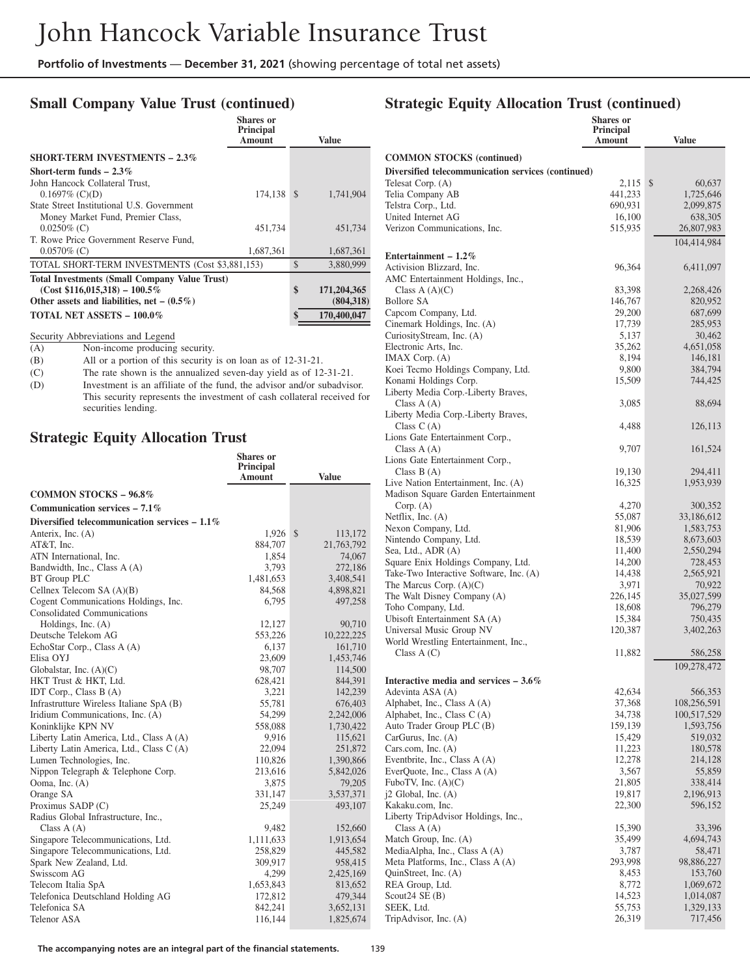#### **Small Company Value Trust (continued) Shares or**

|                                                      | Snares or<br>Principal<br><b>Amount</b> |               | Value       |
|------------------------------------------------------|-----------------------------------------|---------------|-------------|
| <b>SHORT-TERM INVESTMENTS - 2.3%</b>                 |                                         |               |             |
| Short-term funds $-2.3\%$                            |                                         |               |             |
| John Hancock Collateral Trust,                       |                                         |               |             |
| $0.1697\%$ (C)(D)                                    | 174.138                                 | $\mathcal{S}$ | 1,741,904   |
| State Street Institutional U.S. Government           |                                         |               |             |
| Money Market Fund, Premier Class,                    |                                         |               |             |
| $0.0250\%$ (C)                                       | 451,734                                 |               | 451,734     |
| T. Rowe Price Government Reserve Fund,               |                                         |               |             |
| $0.0570\%$ (C)                                       | 1,687,361                               |               | 1,687,361   |
| TOTAL SHORT-TERM INVESTMENTS (Cost \$3,881,153)      |                                         | \$            | 3,880,999   |
| <b>Total Investments (Small Company Value Trust)</b> |                                         |               |             |
| $(Cost $116,015,318) - 100.5\%$                      |                                         | \$            | 171,204,365 |
| Other assets and liabilities, net $-$ (0.5%)         |                                         |               | (804, 318)  |
| <b>TOTAL NET ASSETS - 100.0%</b>                     |                                         |               | 170,400,047 |

Security Abbreviations and Legend<br>(A) Non-income producing

Non-income producing security.

(B) All or a portion of this security is on loan as of 12-31-21.<br>(C) The rate shown is the annualized seven-day yield as of 12

(C) The rate shown is the annualized seven-day yield as of 12-31-21.<br>(D) Investment is an affiliate of the fund, the advisor and/or subadvise

Investment is an affiliate of the fund, the advisor and/or subadvisor. This security represents the investment of cash collateral received for securities lending.

#### **Strategic Equity Allocation Trust**

|                                                 | <b>Shares</b> or<br>Principal |                          |
|-------------------------------------------------|-------------------------------|--------------------------|
|                                                 | Amount                        | <b>Value</b>             |
| <b>COMMON STOCKS - 96.8%</b>                    |                               |                          |
| Communication services $-7.1\%$                 |                               |                          |
| Diversified telecommunication services $-1.1\%$ |                               |                          |
| Anterix, Inc. (A)                               | 1,926                         | $\mathcal{S}$<br>113,172 |
| AT&T, Inc.                                      | 884,707                       | 21,763,792               |
| ATN International, Inc.                         | 1,854                         | 74,067                   |
| Bandwidth, Inc., Class A (A)                    | 3,793                         | 272,186                  |
| <b>BT</b> Group PLC                             | 1,481,653                     | 3,408,541                |
| Cellnex Telecom $SA(A)(B)$                      | 84,568                        | 4,898,821                |
| Cogent Communications Holdings, Inc.            | 6,795                         | 497,258                  |
| <b>Consolidated Communications</b>              |                               |                          |
| Holdings, Inc. $(A)$                            | 12,127                        | 90,710                   |
| Deutsche Telekom AG                             | 553,226                       | 10,222,225               |
| EchoStar Corp., Class A (A)                     | 6,137                         | 161,710                  |
| Elisa OYJ                                       | 23,609                        | 1,453,746                |
| Globalstar, Inc. $(A)(C)$                       | 98,707                        | 114,500                  |
| HKT Trust & HKT, Ltd.                           | 628,421                       | 844,391                  |
| IDT Corp., Class B (A)                          | 3,221                         | 142,239                  |
| Infrastrutture Wireless Italiane SpA (B)        | 55,781                        | 676,403                  |
| Iridium Communications, Inc. (A)                | 54,299                        | 2,242,006                |
| Koninklijke KPN NV                              | 558,088                       | 1,730,422                |
| Liberty Latin America, Ltd., Class A (A)        | 9,916                         | 115,621                  |
| Liberty Latin America, Ltd., Class C (A)        | 22,094                        | 251,872                  |
| Lumen Technologies, Inc.                        | 110,826                       | 1,390,866                |
| Nippon Telegraph & Telephone Corp.              | 213,616                       | 5,842,026                |
| Ooma, Inc. (A)                                  | 3,875                         | 79,205                   |
| Orange SA                                       | 331,147                       | 3,537,371                |
| Proximus SADP (C)                               | 25,249                        | 493,107                  |
| Radius Global Infrastructure, Inc.,             |                               |                          |
| Class $A(A)$                                    | 9,482                         | 152,660                  |
| Singapore Telecommunications, Ltd.              | 1,111,633                     | 1,913,654                |
| Singapore Telecommunications, Ltd.              | 258,829                       | 445,582                  |
| Spark New Zealand, Ltd.                         | 309,917                       | 958,415                  |
| Swisscom AG                                     | 4,299                         | 2,425,169                |
| Telecom Italia SpA                              | 1,653,843                     | 813,652                  |
| Telefonica Deutschland Holding AG               | 172,812                       | 479,344                  |
| Telefonica SA                                   | 842,241                       | 3,652,131                |
| <b>Telenor ASA</b>                              | 116,144                       | 1,825,674                |

| o                                                  | <b>Shares</b> or           |                        |
|----------------------------------------------------|----------------------------|------------------------|
|                                                    | <b>Principal</b><br>Amount | <b>Value</b>           |
| <b>COMMON STOCKS (continued)</b>                   |                            |                        |
| Diversified telecommunication services (continued) |                            |                        |
| Telesat Corp. (A)                                  | 2,115                      | \$<br>60,637           |
| Telia Company AB                                   | 441,233                    | 1,725,646              |
| Telstra Corp., Ltd.                                | 690,931                    | 2,099,875              |
| United Internet AG<br>Verizon Communications, Inc. | 16,100<br>515,935          | 638,305<br>26,807,983  |
|                                                    |                            | 104,414,984            |
| Entertainment - $1.2\%$                            |                            |                        |
| Activision Blizzard, Inc.                          | 96,364                     | 6,411,097              |
| AMC Entertainment Holdings, Inc.,                  |                            |                        |
| Class $A(A)(C)$<br><b>Bollore SA</b>               | 83,398                     | 2,268,426              |
| Capcom Company, Ltd.                               | 146,767<br>29,200          | 820,952<br>687,699     |
| Cinemark Holdings, Inc. (A)                        | 17,739                     | 285,953                |
| CuriosityStream, Inc. (A)                          | 5,137                      | 30,462                 |
| Electronic Arts, Inc.                              | 35,262                     | 4,651,058              |
| IMAX Corp. (A)                                     | 8,194                      | 146,181                |
| Koei Tecmo Holdings Company, Ltd.                  | 9,800                      | 384,794                |
| Konami Holdings Corp.                              | 15,509                     | 744,425                |
| Liberty Media Corp.-Liberty Braves,                |                            |                        |
| Class $A(A)$                                       | 3,085                      | 88,694                 |
| Liberty Media Corp.-Liberty Braves,                |                            |                        |
| Class $C(A)$                                       | 4,488                      | 126,113                |
| Lions Gate Entertainment Corp.,                    |                            |                        |
| Class $A(A)$                                       | 9,707                      | 161,524                |
| Lions Gate Entertainment Corp.,                    |                            |                        |
| Class $B(A)$                                       | 19,130                     | 294,411                |
| Live Nation Entertainment, Inc. (A)                | 16,325                     | 1,953,939              |
| Madison Square Garden Entertainment                |                            |                        |
| Corp. (A)                                          | 4,270                      | 300,352                |
| Netflix, Inc. $(A)$<br>Nexon Company, Ltd.         | 55,087                     | 33,186,612             |
| Nintendo Company, Ltd.                             | 81,906<br>18,539           | 1,583,753<br>8,673,603 |
| Sea, Ltd., ADR (A)                                 | 11,400                     | 2,550,294              |
| Square Enix Holdings Company, Ltd.                 | 14,200                     | 728,453                |
| Take-Two Interactive Software, Inc. (A)            | 14,438                     | 2,565,921              |
| The Marcus Corp. $(A)(C)$                          | 3,971                      | 70,922                 |
| The Walt Disney Company (A)                        | 226,145                    | 35,027,599             |
| Toho Company, Ltd.                                 | 18,608                     | 796,279                |
| Ubisoft Entertainment SA (A)                       | 15,384                     | 750,435                |
| Universal Music Group NV                           | 120,387                    | 3,402,263              |
| World Wrestling Entertainment, Inc.,               |                            |                        |
| Class $A(C)$                                       | 11,882                     | 586,258                |
| Interactive media and services $-3.6\%$            |                            | 109,278,472            |
| Adevinta ASA (A)                                   | 42,634                     | 566,353                |
| Alphabet, Inc., Class A (A)                        | 37,368                     | 108,256,591            |
| Alphabet, Inc., Class C(A)                         | 34,738                     | 100,517,529            |
| Auto Trader Group PLC (B)                          | 159,139                    | 1,593,756              |
| CarGurus, Inc. (A)                                 | 15,429                     | 519,032                |
| Cars.com, Inc. $(A)$                               | 11,223                     | 180,578                |
| Eventbrite, Inc., Class A (A)                      | 12,278                     | 214,128                |
| EverQuote, Inc., Class A (A)                       | 3,567                      | 55,859                 |
| FuboTV, Inc. $(A)(C)$                              | 21,805                     | 338,414                |
| $j2$ Global, Inc. $(A)$                            | 19,817                     | 2,196,913              |
| Kakaku.com, Inc.                                   | 22,300                     | 596,152                |
| Liberty TripAdvisor Holdings, Inc.,                |                            |                        |
| Class $A(A)$                                       | 15,390                     | 33,396                 |
| Match Group, Inc. (A)                              | 35,499                     | 4,694,743              |
| MediaAlpha, Inc., Class A (A)                      | 3,787                      | 58,471                 |
| Meta Platforms, Inc., Class A (A)                  | 293,998                    | 98,886,227             |
| QuinStreet, Inc. (A)                               | 8,453                      | 153,760                |
| REA Group, Ltd.                                    | 8,772                      | 1,069,672              |
| Scout $24$ SE $(B)$<br>SEEK, Ltd.                  | 14,523<br>55,753           | 1,014,087<br>1,329,133 |
| TripAdvisor, Inc. (A)                              | 26,319                     | 717,456                |
|                                                    |                            |                        |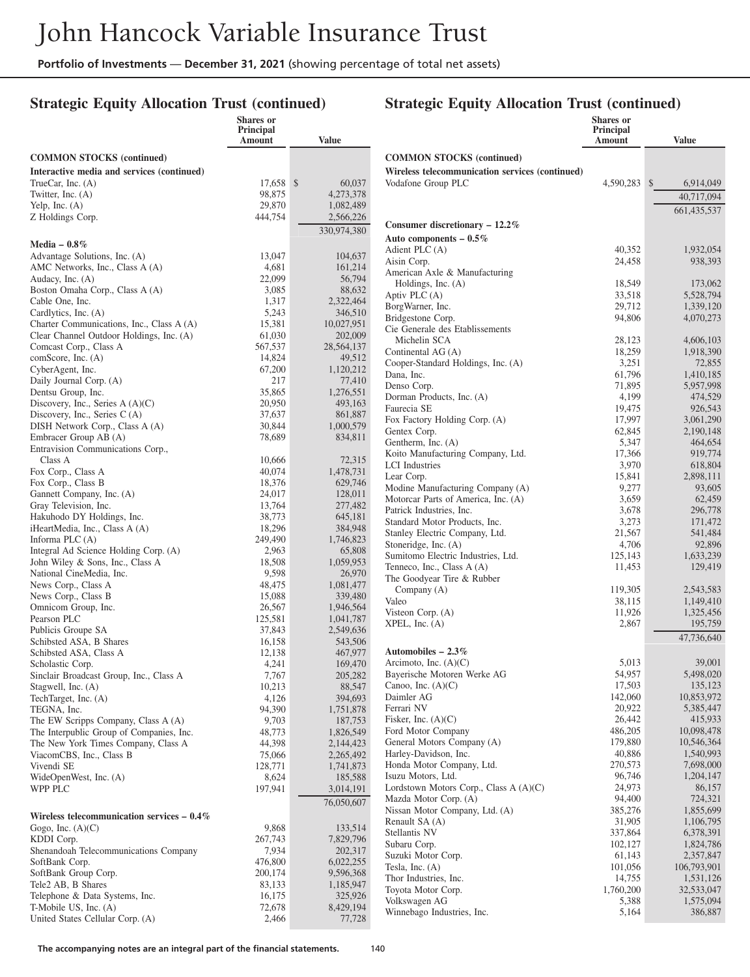## **Strategic Equity Allocation Trust (continued)**

#### **Strategic Equity Allocation Trust (continued)**

|                                                              | Shares or<br>Principal<br>Amount | <b>Value</b>       |                                                      | <b>Shares</b> or<br>Principal<br>Amount | <b>Value</b>           |
|--------------------------------------------------------------|----------------------------------|--------------------|------------------------------------------------------|-----------------------------------------|------------------------|
| <b>COMMON STOCKS</b> (continued)                             |                                  |                    | <b>COMMON STOCKS (continued)</b>                     |                                         |                        |
| Interactive media and services (continued)                   |                                  |                    | Wireless telecommunication services (continued)      |                                         |                        |
| TrueCar, Inc. $(A)$                                          | 17.658 \$                        | 60,037             | Vodafone Group PLC                                   | 4,590,283 \$                            | 6,914,049              |
| Twitter, Inc. $(A)$                                          | 98,875                           | 4,273,378          |                                                      |                                         | 40,717,094             |
| Yelp, Inc. $(A)$                                             | 29,870                           | 1,082,489          |                                                      |                                         |                        |
| Z Holdings Corp.                                             | 444,754                          | 2,566,226          |                                                      |                                         | 661,435,537            |
|                                                              |                                  | 330,974,380        | Consumer discretionary $-12.2\%$                     |                                         |                        |
| Media $-0.8\%$                                               |                                  |                    | Auto components $-0.5\%$                             |                                         |                        |
| Advantage Solutions, Inc. (A)                                | 13,047                           | 104,637            | Adient PLC (A)                                       | 40,352                                  | 1,932,054              |
| AMC Networks, Inc., Class A (A)                              | 4,681                            | 161,214            | Aisin Corp.                                          | 24,458                                  | 938,393                |
| Audacy, Inc. (A)                                             | 22,099                           | 56,794             | American Axle & Manufacturing                        |                                         |                        |
| Boston Omaha Corp., Class A (A)                              | 3,085                            | 88,632             | Holdings, Inc. (A)                                   | 18,549                                  | 173,062                |
| Cable One, Inc.                                              | 1,317                            | 2,322,464          | Aptiv PLC (A)                                        | 33,518                                  | 5,528,794              |
| Cardlytics, Inc. (A)                                         | 5,243                            | 346,510            | BorgWarner, Inc.                                     | 29,712                                  | 1,339,120              |
| Charter Communications, Inc., Class A (A)                    | 15,381                           | 10,027,951         | Bridgestone Corp.<br>Cie Generale des Etablissements | 94,806                                  | 4,070,273              |
| Clear Channel Outdoor Holdings, Inc. (A)                     | 61,030                           | 202,009            | Michelin SCA                                         | 28,123                                  | 4,606,103              |
| Comcast Corp., Class A                                       | 567,537                          | 28, 564, 137       | Continental AG (A)                                   | 18,259                                  | 1,918,390              |
| comScore, Inc. (A)                                           | 14,824                           | 49,512             | Cooper-Standard Holdings, Inc. (A)                   | 3,251                                   | 72,855                 |
| CyberAgent, Inc.                                             | 67,200                           | 1,120,212          | Dana, Inc.                                           | 61,796                                  | 1,410,185              |
| Daily Journal Corp. (A)                                      | 217                              | 77,410             | Denso Corp.                                          | 71,895                                  | 5,957,998              |
| Dentsu Group, Inc.                                           | 35,865                           | 1,276,551          | Dorman Products, Inc. (A)                            | 4,199                                   | 474,529                |
| Discovery, Inc., Series A $(A)(C)$                           | 20,950                           | 493,163            | Faurecia SE                                          | 19,475                                  | 926,543                |
| Discovery, Inc., Series C (A)                                | 37,637                           | 861.887            | Fox Factory Holding Corp. (A)                        | 17,997                                  | 3,061,290              |
| DISH Network Corp., Class A (A)                              | 30,844                           | 1,000,579          | Gentex Corp.                                         | 62,845                                  | 2,190,148              |
| Embracer Group AB (A)                                        | 78,689                           | 834,811            | Gentherm, Inc. (A)                                   | 5,347                                   | 464,654                |
| Entravision Communications Corp.,                            |                                  |                    | Koito Manufacturing Company, Ltd.                    | 17,366                                  | 919,774                |
| Class A                                                      | 10.666                           | 72,315             | <b>LCI</b> Industries                                | 3,970                                   | 618,804                |
| Fox Corp., Class A                                           | 40,074                           | 1,478,731          | Lear Corp.                                           | 15,841                                  | 2,898,111              |
| Fox Corp., Class B                                           | 18,376                           | 629,746            | Modine Manufacturing Company (A)                     | 9,277                                   | 93,605                 |
| Gannett Company, Inc. (A)                                    | 24,017                           | 128,011            | Motorcar Parts of America, Inc. (A)                  | 3,659                                   | 62,459                 |
| Gray Television, Inc.                                        | 13,764<br>38,773                 | 277,482<br>645,181 | Patrick Industries, Inc.                             | 3,678                                   | 296,778                |
| Hakuhodo DY Holdings, Inc.<br>iHeartMedia, Inc., Class A (A) | 18,296                           | 384,948            | Standard Motor Products, Inc.                        | 3,273                                   | 171,472                |
| Informa PLC $(A)$                                            | 249,490                          | 1,746,823          | Stanley Electric Company, Ltd.                       | 21,567                                  | 541,484                |
| Integral Ad Science Holding Corp. (A)                        | 2,963                            | 65,808             | Stoneridge, Inc. (A)                                 | 4,706                                   | 92,896                 |
| John Wiley & Sons, Inc., Class A                             | 18,508                           | 1,059,953          | Sumitomo Electric Industries, Ltd.                   | 125,143                                 | 1,633,239              |
| National CineMedia, Inc.                                     | 9,598                            | 26,970             | Tenneco, Inc., Class A (A)                           | 11,453                                  | 129,419                |
| News Corp., Class A                                          | 48,475                           | 1,081,477          | The Goodyear Tire & Rubber                           |                                         |                        |
| News Corp., Class B                                          | 15,088                           | 339,480            | Company (A)                                          | 119,305                                 | 2,543,583              |
| Omnicom Group, Inc.                                          | 26,567                           | 1,946,564          | Valeo                                                | 38,115                                  | 1,149,410              |
| Pearson PLC                                                  | 125,581                          | 1,041,787          | Visteon Corp. (A)<br>$XPEL$ , Inc. $(A)$             | 11,926<br>2,867                         | 1,325,456              |
| Publicis Groupe SA                                           | 37,843                           | 2,549,636          |                                                      |                                         | 195,759                |
| Schibsted ASA, B Shares                                      | 16,158                           | 543,506            |                                                      |                                         | 47,736,640             |
| Schibsted ASA, Class A                                       | 12,138                           | 467,977            | Automobiles $-2.3\%$                                 |                                         |                        |
| Scholastic Corp.                                             | 4,241                            | 169,470            | Arcimoto, Inc. $(A)(C)$                              | 5,013                                   | 39,001                 |
| Sinclair Broadcast Group, Inc., Class A                      | 7,767                            | 205,282            | Bayerische Motoren Werke AG                          | 54,957                                  | 5,498,020              |
| Stagwell, Inc. (A)                                           | 10,213                           | 88,547             | Canoo, Inc. $(A)(C)$                                 | 17,503                                  | 135,123                |
| TechTarget, Inc. (A)                                         | 4,126                            | 394,693            | Daimler AG                                           | 142,060                                 | 10,853,972             |
| TEGNA, Inc.                                                  | 94,390                           | 1,751,878          | Ferrari NV                                           | 20,922                                  | 5,385,447              |
| The EW Scripps Company, Class A (A)                          | 9,703                            | 187,753            | Fisker, Inc. $(A)(C)$                                | 26,442                                  | 415,933                |
| The Interpublic Group of Companies, Inc.                     | 48,773                           | 1,826,549          | Ford Motor Company                                   | 486,205                                 | 10,098,478             |
| The New York Times Company, Class A                          | 44,398                           | 2,144,423          | General Motors Company (A)                           | 179,880                                 | 10,546,364             |
| ViacomCBS, Inc., Class B                                     | 75,066                           | 2,265,492          | Harley-Davidson, Inc.                                | 40,886<br>270,573                       | 1,540,993<br>7,698,000 |
| Vivendi SE                                                   | 128,771                          | 1,741,873          | Honda Motor Company, Ltd.<br>Isuzu Motors, Ltd.      | 96,746                                  | 1,204,147              |
| WideOpenWest, Inc. (A)                                       | 8,624                            | 185,588            | Lordstown Motors Corp., Class A (A)(C)               | 24,973                                  | 86,157                 |
| WPP PLC                                                      | 197,941                          | 3,014,191          | Mazda Motor Corp. (A)                                | 94,400                                  | 724,321                |
|                                                              |                                  | 76,050,607         | Nissan Motor Company, Ltd. (A)                       | 385,276                                 | 1,855,699              |
| Wireless telecommunication services $-0.4\%$                 |                                  |                    | Renault SA (A)                                       | 31,905                                  | 1,106,795              |
| Gogo, Inc. $(A)(C)$                                          | 9,868                            | 133,514            | Stellantis NV                                        | 337,864                                 | 6,378,391              |
| KDDI Corp.                                                   | 267,743                          | 7,829,796          | Subaru Corp.                                         | 102,127                                 | 1,824,786              |
| Shenandoah Telecommunications Company                        | 7,934                            | 202,317            | Suzuki Motor Corp.                                   | 61,143                                  | 2,357,847              |
| SoftBank Corp.                                               | 476,800                          | 6,022,255          | Tesla, Inc. $(A)$                                    | 101,056                                 | 106,793,901            |
| SoftBank Group Corp.                                         | 200,174                          | 9,596,368          | Thor Industries, Inc.                                | 14,755                                  | 1,531,126              |
| Tele2 AB, B Shares                                           | 83,133                           | 1,185,947          | Toyota Motor Corp.                                   | 1,760,200                               | 32,533,047             |
| Telephone & Data Systems, Inc.                               | 16,175                           | 325,926            | Volkswagen AG                                        | 5,388                                   | 1,575,094              |
| T-Mobile US, Inc. (A)                                        | 72,678                           | 8,429,194          | Winnebago Industries, Inc.                           | 5,164                                   | 386,887                |
| United States Cellular Corp. (A)                             | 2,466                            | 77,728             |                                                      |                                         |                        |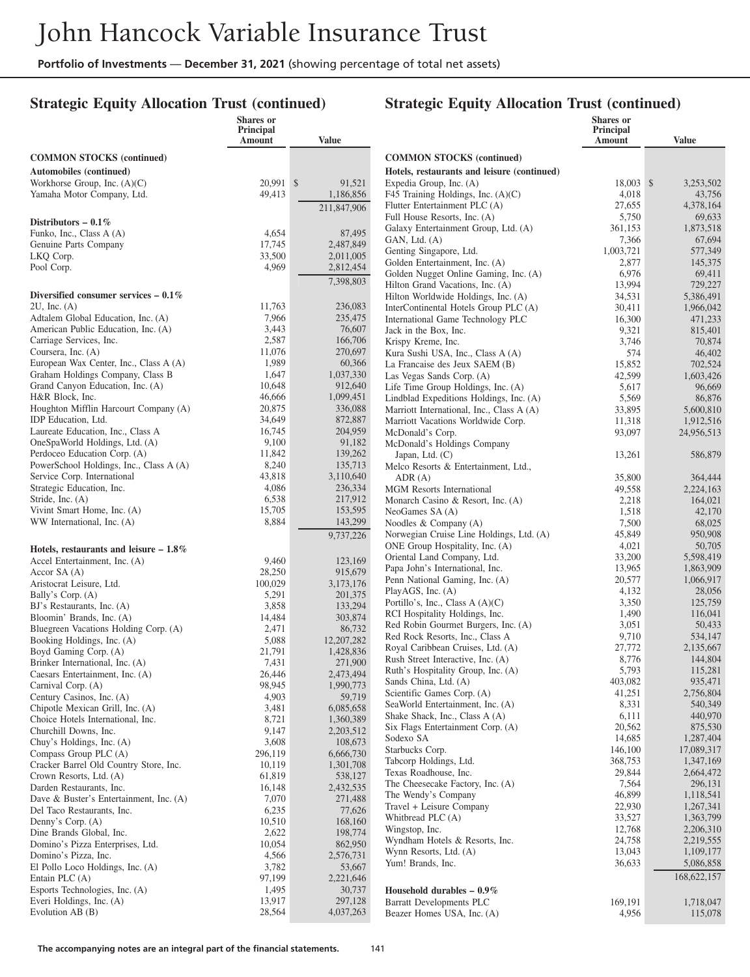## **Strategic Equity Allocation Trust (continued)**

|                                                                     | <b>Shares</b> or<br>Principal |                      |                                                                           | Shares or<br>Principal |                     |
|---------------------------------------------------------------------|-------------------------------|----------------------|---------------------------------------------------------------------------|------------------------|---------------------|
|                                                                     | Amount                        | <b>Value</b>         |                                                                           | Amount                 | <b>Value</b>        |
| <b>COMMON STOCKS</b> (continued)                                    |                               |                      | <b>COMMON STOCKS</b> (continued)                                          |                        |                     |
| Automobiles (continued)                                             |                               |                      | Hotels, restaurants and leisure (continued)                               |                        |                     |
| Workhorse Group, Inc. (A)(C)                                        | 20,991 \$                     | 91.521               | Expedia Group, Inc. (A)                                                   | 18,003 \$              | 3,253,502           |
| Yamaha Motor Company, Ltd.                                          | 49,413                        | 1,186,856            | F45 Training Holdings, Inc. (A)(C)                                        | 4,018                  | 43,756              |
|                                                                     |                               | 211,847,906          | Flutter Entertainment PLC (A)                                             | 27,655                 | 4,378,164           |
| Distributors $-0.1\%$                                               |                               |                      | Full House Resorts, Inc. (A)                                              | 5,750                  | 69,633              |
| Funko, Inc., Class A (A)                                            | 4,654                         | 87,495               | Galaxy Entertainment Group, Ltd. (A)                                      | 361,153                | 1,873,518           |
| Genuine Parts Company                                               | 17,745                        | 2,487,849            | GAN, Ltd. (A)                                                             | 7,366                  | 67,694              |
| LKQ Corp.                                                           | 33,500                        | 2,011,005            | Genting Singapore, Ltd.                                                   | 1,003,721              | 577,349             |
| Pool Corp.                                                          | 4,969                         | 2,812,454            | Golden Entertainment, Inc. (A)                                            | 2,877                  | 145,375             |
|                                                                     |                               | 7,398,803            | Golden Nugget Online Gaming, Inc. (A)<br>Hilton Grand Vacations, Inc. (A) | 6,976<br>13,994        | 69,411<br>729,227   |
| Diversified consumer services $-0.1\%$                              |                               |                      | Hilton Worldwide Holdings, Inc. (A)                                       | 34,531                 | 5,386,491           |
| $2U$ , Inc. $(A)$                                                   | 11,763                        | 236,083              | InterContinental Hotels Group PLC (A)                                     | 30,411                 | 1,966,042           |
| Adtalem Global Education, Inc. (A)                                  | 7,966                         | 235,475              | International Game Technology PLC                                         | 16,300                 | 471,233             |
| American Public Education, Inc. (A)                                 | 3,443                         | 76,607               | Jack in the Box, Inc.                                                     | 9,321                  | 815,401             |
| Carriage Services, Inc.                                             | 2,587                         | 166,706              | Krispy Kreme, Inc.                                                        | 3,746                  | 70,874              |
| Coursera, Inc. (A)                                                  | 11,076                        | 270,697              | Kura Sushi USA, Inc., Class A (A)                                         | 574                    | 46,402              |
| European Wax Center, Inc., Class A (A)                              | 1,989                         | 60,366               | La Francaise des Jeux SAEM (B)                                            | 15,852                 | 702,524             |
| Graham Holdings Company, Class B                                    | 1,647                         | 1,037,330            | Las Vegas Sands Corp. (A)                                                 | 42,599                 | 1,603,426           |
| Grand Canyon Education, Inc. (A)                                    | 10,648                        | 912,640              | Life Time Group Holdings, Inc. (A)                                        | 5,617                  | 96,669              |
| H&R Block, Inc.                                                     | 46,666                        | 1,099,451            | Lindblad Expeditions Holdings, Inc. (A)                                   | 5,569                  | 86,876              |
| Houghton Mifflin Harcourt Company (A)                               | 20,875<br>34,649              | 336,088              | Marriott International, Inc., Class A (A)                                 | 33,895                 | 5,600,810           |
| IDP Education, Ltd.<br>Laureate Education, Inc., Class A            | 16,745                        | 872,887<br>204,959   | Marriott Vacations Worldwide Corp.                                        | 11,318                 | 1,912,516           |
| OneSpaWorld Holdings, Ltd. (A)                                      | 9,100                         | 91,182               | McDonald's Corp.<br>McDonald's Holdings Company                           | 93,097                 | 24,956,513          |
| Perdoceo Education Corp. (A)                                        | 11,842                        | 139,262              | Japan, Ltd. $(C)$                                                         | 13,261                 | 586,879             |
| PowerSchool Holdings, Inc., Class A (A)                             | 8,240                         | 135,713              | Melco Resorts & Entertainment, Ltd.,                                      |                        |                     |
| Service Corp. International                                         | 43,818                        | 3,110,640            | ADR(A)                                                                    | 35,800                 | 364,444             |
| Strategic Education, Inc.                                           | 4,086                         | 236,334              | <b>MGM</b> Resorts International                                          | 49,558                 | 2,224,163           |
| Stride, Inc. (A)                                                    | 6,538                         | 217,912              | Monarch Casino & Resort, Inc. (A)                                         | 2,218                  | 164,021             |
| Vivint Smart Home, Inc. (A)                                         | 15,705                        | 153,595              | NeoGames SA (A)                                                           | 1,518                  | 42,170              |
| WW International, Inc. (A)                                          | 8,884                         | 143,299              | Noodles & Company $(A)$                                                   | 7,500                  | 68,025              |
|                                                                     |                               | 9,737,226            | Norwegian Cruise Line Holdings, Ltd. (A)                                  | 45,849                 | 950,908             |
| Hotels, restaurants and leisure $-1.8\%$                            |                               |                      | ONE Group Hospitality, Inc. (A)                                           | 4,021                  | 50,705              |
| Accel Entertainment, Inc. (A)                                       | 9,460                         | 123,169              | Oriental Land Company, Ltd.                                               | 33,200                 | 5,598,419           |
| Accor $SA(A)$                                                       | 28,250                        | 915,679              | Papa John's International, Inc.                                           | 13,965                 | 1,863,909           |
| Aristocrat Leisure, Ltd.                                            | 100,029                       | 3,173,176            | Penn National Gaming, Inc. (A)<br>PlayAGS, Inc. (A)                       | 20,577<br>4,132        | 1,066,917<br>28,056 |
| Bally's Corp. (A)                                                   | 5,291                         | 201,375              | Portillo's, Inc., Class $A(A)(C)$                                         | 3,350                  | 125,759             |
| BJ's Restaurants, Inc. (A)                                          | 3,858                         | 133,294              | RCI Hospitality Holdings, Inc.                                            | 1,490                  | 116,041             |
| Bloomin' Brands, Inc. (A)                                           | 14,484                        | 303,874              | Red Robin Gourmet Burgers, Inc. (A)                                       | 3,051                  | 50,433              |
| Bluegreen Vacations Holding Corp. (A)<br>Booking Holdings, Inc. (A) | 2,471<br>5,088                | 86,732<br>12,207,282 | Red Rock Resorts, Inc., Class A                                           | 9,710                  | 534,147             |
| Boyd Gaming Corp. (A)                                               | 21,791                        | 1,428,836            | Royal Caribbean Cruises, Ltd. (A)                                         | 27,772                 | 2,135,667           |
| Brinker International, Inc. (A)                                     | 7,431                         | 271,900              | Rush Street Interactive, Inc. (A)                                         | 8,776                  | 144,804             |
| Caesars Entertainment, Inc. (A)                                     | 26,446                        | 2,473,494            | Ruth's Hospitality Group, Inc. (A)                                        | 5,793                  | 115,281             |
| Carnival Corp. (A)                                                  | 98,945                        | 1,990,773            | Sands China, Ltd. (A)                                                     | 403,082                | 935,471             |
| Century Casinos, Inc. (A)                                           | 4,903                         | 59,719               | Scientific Games Corp. (A)                                                | 41,251                 | 2,756,804           |
| Chipotle Mexican Grill, Inc. (A)                                    | 3,481                         | 6,085,658            | SeaWorld Entertainment, Inc. (A)                                          | 8,331                  | 540,349             |
| Choice Hotels International, Inc.                                   | 8,721                         | 1,360,389            | Shake Shack, Inc., Class A (A)                                            | 6,111<br>20,562        | 440,970<br>875,530  |
| Churchill Downs, Inc.                                               | 9,147                         | 2,203,512            | Six Flags Entertainment Corp. (A)<br>Sodexo SA                            | 14,685                 | 1,287,404           |
| Chuy's Holdings, Inc. (A)                                           | 3,608                         | 108,673              | Starbucks Corp.                                                           | 146,100                | 17,089,317          |
| Compass Group PLC (A)                                               | 296,119                       | 6,666,730            | Tabcorp Holdings, Ltd.                                                    | 368,753                | 1,347,169           |
| Cracker Barrel Old Country Store, Inc.<br>Crown Resorts, Ltd. (A)   | 10,119<br>61,819              | 1,301,708<br>538,127 | Texas Roadhouse, Inc.                                                     | 29,844                 | 2,664,472           |
| Darden Restaurants, Inc.                                            | 16,148                        | 2,432,535            | The Cheesecake Factory, Inc. (A)                                          | 7,564                  | 296,131             |
| Dave & Buster's Entertainment, Inc. (A)                             | 7,070                         | 271,488              | The Wendy's Company                                                       | 46,899                 | 1,118,541           |
| Del Taco Restaurants, Inc.                                          | 6,235                         | 77,626               | Travel + Leisure Company                                                  | 22,930                 | 1,267,341           |
| Denny's Corp. (A)                                                   | 10,510                        | 168,160              | Whitbread PLC (A)                                                         | 33,527                 | 1,363,799           |
| Dine Brands Global, Inc.                                            | 2,622                         | 198,774              | Wingstop, Inc.                                                            | 12,768                 | 2,206,310           |
| Domino's Pizza Enterprises, Ltd.                                    | 10,054                        | 862,950              | Wyndham Hotels & Resorts, Inc.                                            | 24,758                 | 2,219,555           |
| Domino's Pizza, Inc.                                                | 4,566                         | 2,576,731            | Wynn Resorts, Ltd. (A)                                                    | 13,043                 | 1,109,177           |
| El Pollo Loco Holdings, Inc. (A)                                    | 3,782                         | 53,667               | Yum! Brands, Inc.                                                         | 36,633                 | 5,086,858           |
| Entain PLC $(A)$                                                    | 97,199                        | 2,221,646            |                                                                           |                        | 168,622,157         |
| Esports Technologies, Inc. (A)                                      | 1,495                         | 30,737               | Household durables $-0.9\%$                                               |                        |                     |
| Everi Holdings, Inc. (A)                                            | 13,917                        | 297,128              | <b>Barratt Developments PLC</b>                                           | 169,191                | 1,718,047           |
| Evolution AB (B)                                                    | 28,564                        | 4,037,263            | Beazer Homes USA, Inc. (A)                                                | 4,956                  | 115,078             |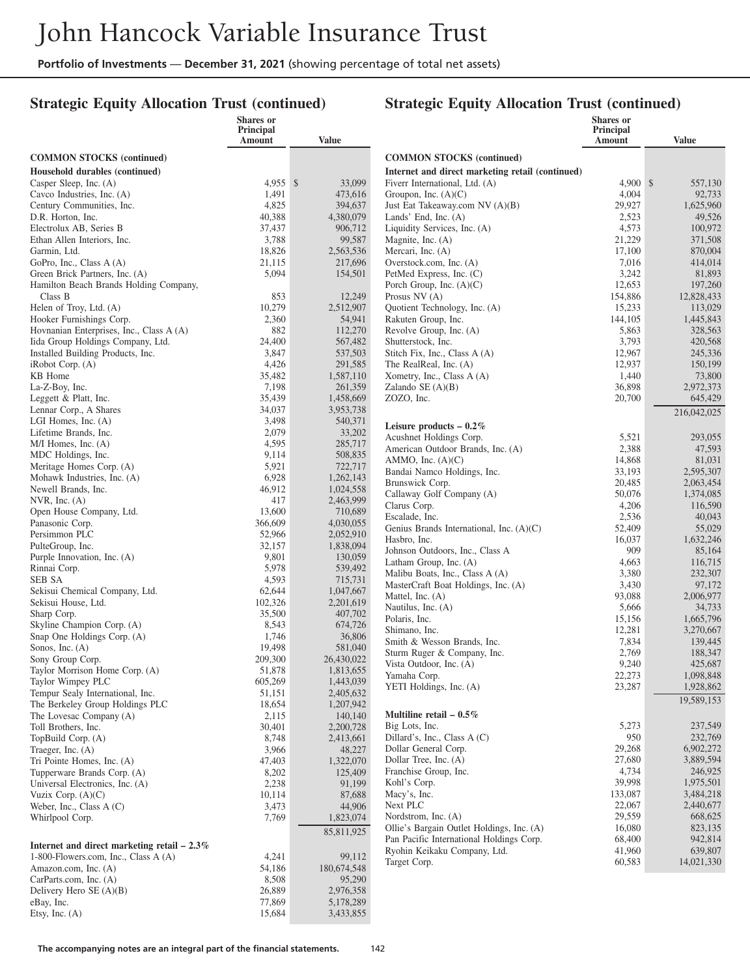## **Strategic Equity Allocation Trust (continued)**

|                                                            | Shares or<br>Principal |                        |                                                                        | Shares or                  |                      |
|------------------------------------------------------------|------------------------|------------------------|------------------------------------------------------------------------|----------------------------|----------------------|
|                                                            | Amount                 | Value                  |                                                                        | <b>Principal</b><br>Amount | <b>Value</b>         |
| <b>COMMON STOCKS</b> (continued)                           |                        |                        | <b>COMMON STOCKS</b> (continued)                                       |                            |                      |
| Household durables (continued)                             |                        |                        | Internet and direct marketing retail (continued)                       |                            |                      |
| Casper Sleep, Inc. (A)                                     | $4.955$ \$             | 33,099                 | Fiverr International, Ltd. (A)                                         | $4,900$ \$                 | 557,130              |
| Cavco Industries, Inc. (A)                                 | 1,491                  | 473,616                | Groupon, Inc. $(A)(C)$                                                 | 4,004                      | 92,733               |
| Century Communities, Inc.                                  | 4,825                  | 394,637                | Just Eat Takeaway.com NV (A)(B)                                        | 29,927                     | 1,625,960            |
| D.R. Horton, Inc.                                          | 40,388                 | 4,380,079              | Lands' End, Inc. $(A)$                                                 | 2,523                      | 49,526               |
| Electrolux AB, Series B                                    | 37,437                 | 906,712                | Liquidity Services, Inc. (A)                                           | 4,573                      | 100,972              |
| Ethan Allen Interiors, Inc.                                | 3,788                  | 99,587                 | Magnite, Inc. (A)                                                      | 21,229                     | 371,508              |
| Garmin, Ltd.                                               | 18,826                 | 2,563,536              | Mercari, Inc. (A)                                                      | 17,100                     | 870,004              |
| GoPro, Inc., Class A (A)<br>Green Brick Partners, Inc. (A) | 21,115<br>5,094        | 217,696<br>154,501     | Overstock.com, Inc. (A)<br>PetMed Express, Inc. (C)                    | 7,016<br>3,242             | 414,014<br>81,893    |
| Hamilton Beach Brands Holding Company,                     |                        |                        | Porch Group, Inc. $(A)(C)$                                             | 12,653                     | 197,260              |
| Class B                                                    | 853                    | 12,249                 | Prosus $NV(A)$                                                         | 154,886                    | 12,828,433           |
| Helen of Troy, Ltd. (A)                                    | 10,279                 | 2,512,907              | Quotient Technology, Inc. (A)                                          | 15,233                     | 113,029              |
| Hooker Furnishings Corp.                                   | 2,360                  | 54,941                 | Rakuten Group, Inc.                                                    | 144,105                    | 1,445,843            |
| Hovnanian Enterprises, Inc., Class A (A)                   | 882                    | 112,270                | Revolve Group, Inc. (A)                                                | 5,863                      | 328,563              |
| Iida Group Holdings Company, Ltd.                          | 24,400                 | 567,482                | Shutterstock, Inc.                                                     | 3,793                      | 420,568              |
| Installed Building Products, Inc.                          | 3,847                  | 537,503                | Stitch Fix, Inc., Class A (A)                                          | 12,967                     | 245,336              |
| iRobot Corp. (A)                                           | 4,426                  | 291,585                | The RealReal, Inc. (A)                                                 | 12,937                     | 150,199              |
| KB Home                                                    | 35,482                 | 1,587,110              | Xometry, Inc., Class A (A)                                             | 1,440                      | 73,800               |
| La-Z-Boy, Inc.                                             | 7,198                  | 261,359                | Zalando $SE(A)(B)$                                                     | 36,898                     | 2,972,373            |
| Leggett & Platt, Inc.<br>Lennar Corp., A Shares            | 35,439<br>34,037       | 1,458,669<br>3,953,738 | ZOZO, Inc.                                                             | 20,700                     | 645,429              |
| LGI Homes, Inc. $(A)$                                      | 3,498                  | 540,371                |                                                                        |                            | 216,042,025          |
| Lifetime Brands, Inc.                                      | 2,079                  | 33,202                 | Leisure products $-0.2\%$                                              |                            |                      |
| M/I Homes, Inc. (A)                                        | 4,595                  | 285,717                | Acushnet Holdings Corp.<br>American Outdoor Brands, Inc. (A)           | 5,521<br>2,388             | 293,055              |
| MDC Holdings, Inc.                                         | 9,114                  | 508,835                | AMMO, Inc. $(A)(C)$                                                    | 14,868                     | 47,593<br>81,031     |
| Meritage Homes Corp. (A)                                   | 5,921                  | 722,717                | Bandai Namco Holdings, Inc.                                            | 33,193                     | 2,595,307            |
| Mohawk Industries, Inc. (A)                                | 6,928                  | 1,262,143              | Brunswick Corp.                                                        | 20,485                     | 2,063,454            |
| Newell Brands, Inc.                                        | 46,912                 | 1,024,558              | Callaway Golf Company (A)                                              | 50,076                     | 1,374,085            |
| NVR, Inc. $(A)$                                            | 417                    | 2,463,999              | Clarus Corp.                                                           | 4,206                      | 116,590              |
| Open House Company, Ltd.                                   | 13,600<br>366,609      | 710,689<br>4,030,055   | Escalade, Inc.                                                         | 2,536                      | 40,043               |
| Panasonic Corp.<br>Persimmon PLC                           | 52,966                 | 2,052,910              | Genius Brands International, Inc. (A)(C)                               | 52,409                     | 55,029               |
| PulteGroup, Inc.                                           | 32,157                 | 1,838,094              | Hasbro, Inc.                                                           | 16,037                     | 1,632,246            |
| Purple Innovation, Inc. (A)                                | 9,801                  | 130,059                | Johnson Outdoors, Inc., Class A                                        | 909                        | 85,164               |
| Rinnai Corp.                                               | 5,978                  | 539,492                | Latham Group, Inc. (A)                                                 | 4,663                      | 116,715              |
| SEB SA                                                     | 4,593                  | 715,731                | Malibu Boats, Inc., Class A (A)<br>MasterCraft Boat Holdings, Inc. (A) | 3,380<br>3,430             | 232,307<br>97,172    |
| Sekisui Chemical Company, Ltd.                             | 62,644                 | 1,047,667              | Mattel, Inc. (A)                                                       | 93,088                     | 2,006,977            |
| Sekisui House, Ltd.                                        | 102,326                | 2,201,619              | Nautilus, Inc. (A)                                                     | 5,666                      | 34,733               |
| Sharp Corp.                                                | 35,500                 | 407,702                | Polaris, Inc.                                                          | 15,156                     | 1,665,796            |
| Skyline Champion Corp. (A)<br>Snap One Holdings Corp. (A)  | 8,543                  | 674,726                | Shimano, Inc.                                                          | 12,281                     | 3,270,667            |
| Sonos, Inc. (A)                                            | 1,746<br>19,498        | 36,806<br>581,040      | Smith & Wesson Brands, Inc.                                            | 7,834                      | 139,445              |
| Sony Group Corp.                                           | 209,300                | 26,430,022             | Sturm Ruger & Company, Inc.                                            | 2,769                      | 188,347              |
| Taylor Morrison Home Corp. (A)                             | 51,878                 | 1,813,655              | Vista Outdoor, Inc. (A)                                                | 9,240                      | 425,687              |
| Taylor Wimpey PLC                                          | 605,269                | 1,443,039              | Yamaha Corp.                                                           | 22,273                     | 1,098,848            |
| Tempur Sealy International, Inc.                           | 51,151                 | 2,405,632              | YETI Holdings, Inc. (A)                                                | 23,287                     | 1,928,862            |
| The Berkeley Group Holdings PLC                            | 18,654                 | 1,207,942              |                                                                        |                            | 19,589,153           |
| The Lovesac Company (A)                                    | 2,115                  | 140,140                | Multiline retail $-0.5\%$                                              |                            |                      |
| Toll Brothers, Inc.                                        | 30,401                 | 2,200,728              | Big Lots, Inc.                                                         | 5,273                      | 237,549              |
| TopBuild Corp. (A)                                         | 8,748                  | 2,413,661              | Dillard's, Inc., Class A (C)<br>Dollar General Corp.                   | 950<br>29,268              | 232,769<br>6,902,272 |
| Traeger, Inc. (A)<br>Tri Pointe Homes, Inc. (A)            | 3,966<br>47,403        | 48,227<br>1,322,070    | Dollar Tree, Inc. (A)                                                  | 27,680                     | 3,889,594            |
| Tupperware Brands Corp. (A)                                | 8,202                  | 125,409                | Franchise Group, Inc.                                                  | 4,734                      | 246,925              |
| Universal Electronics, Inc. (A)                            | 2,238                  | 91,199                 | Kohl's Corp.                                                           | 39,998                     | 1,975,501            |
| Vuzix Corp. $(A)(C)$                                       | 10,114                 | 87,688                 | Macy's, Inc.                                                           | 133,087                    | 3,484,218            |
| Weber, Inc., Class A (C)                                   | 3,473                  | 44,906                 | Next PLC                                                               | 22,067                     | 2,440,677            |
| Whirlpool Corp.                                            | 7,769                  | 1,823,074              | Nordstrom, Inc. (A)                                                    | 29,559                     | 668,625              |
|                                                            |                        | 85,811,925             | Ollie's Bargain Outlet Holdings, Inc. (A)                              | 16,080                     | 823,135              |
| Internet and direct marketing retail $-2.3\%$              |                        |                        | Pan Pacific International Holdings Corp.                               | 68,400                     | 942,814              |
| 1-800-Flowers.com, Inc., Class A (A)                       | 4,241                  | 99,112                 | Ryohin Keikaku Company, Ltd.                                           | 41,960                     | 639,807              |
| Amazon.com, Inc. (A)                                       | 54,186                 | 180,674,548            | Target Corp.                                                           | 60,583                     | 14,021,330           |
| CarParts.com, Inc. (A)                                     | 8,508                  | 95,290                 |                                                                        |                            |                      |
| Delivery Hero $SE(A)(B)$                                   | 26,889                 | 2,976,358              |                                                                        |                            |                      |
| eBay, Inc.                                                 | 77,869                 | 5,178,289              |                                                                        |                            |                      |
| Etsy, Inc. $(A)$                                           | 15,684                 | 3,433,855              |                                                                        |                            |                      |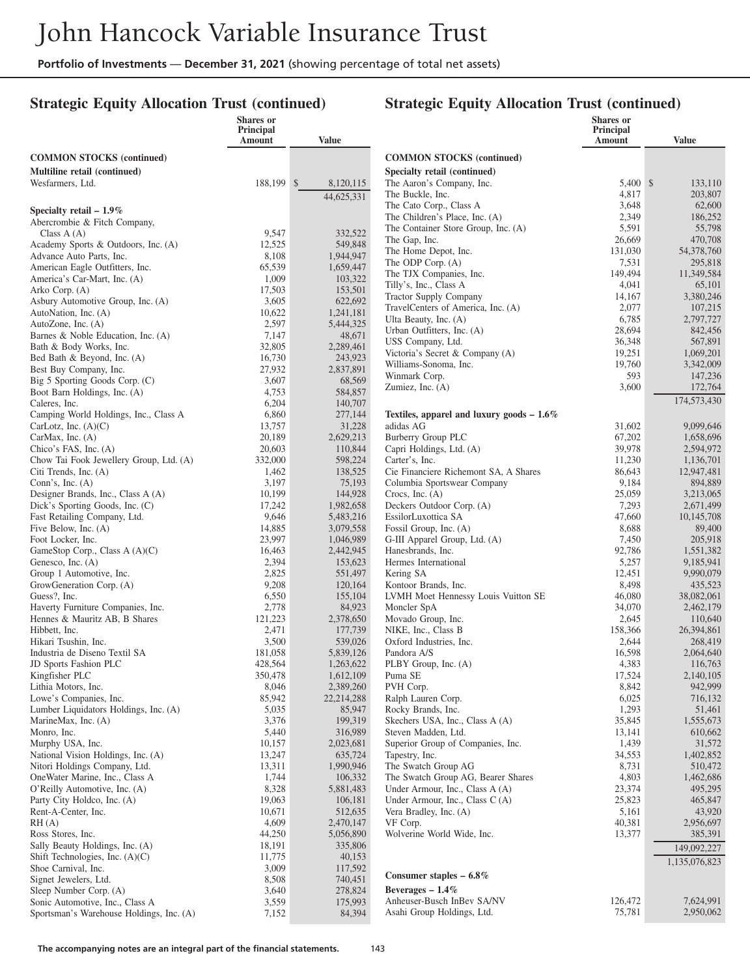## **Strategic Equity Allocation Trust (continued)**

|                                                                      | Shares or<br>Principal |                        |                                                             | <b>Shares</b> or<br>Principal |                         |
|----------------------------------------------------------------------|------------------------|------------------------|-------------------------------------------------------------|-------------------------------|-------------------------|
|                                                                      | Amount                 | <b>Value</b>           |                                                             | Amount                        | <b>Value</b>            |
| <b>COMMON STOCKS</b> (continued)                                     |                        |                        | <b>COMMON STOCKS</b> (continued)                            |                               |                         |
| Multiline retail (continued)                                         |                        |                        | Specialty retail (continued)                                |                               |                         |
| Wesfarmers, Ltd.                                                     | 188,199 \$             | 8,120,115              | The Aaron's Company, Inc.                                   | 5,400 \$                      | 133,110                 |
|                                                                      |                        | 44,625,331             | The Buckle, Inc.                                            | 4,817                         | 203,807                 |
| Specialty retail $-1.9\%$                                            |                        |                        | The Cato Corp., Class A                                     | 3,648                         | 62,600                  |
| Abercrombie & Fitch Company,                                         |                        |                        | The Children's Place, Inc. (A)                              | 2,349                         | 186,252<br>55,798       |
| Class $A(A)$                                                         | 9,547                  | 332,522                | The Container Store Group, Inc. (A)<br>The Gap, Inc.        | 5,591<br>26,669               | 470,708                 |
| Academy Sports & Outdoors, Inc. (A)                                  | 12,525                 | 549,848                | The Home Depot, Inc.                                        | 131,030                       | 54,378,760              |
| Advance Auto Parts, Inc.<br>American Eagle Outfitters, Inc.          | 8,108<br>65,539        | 1,944,947<br>1,659,447 | The ODP Corp. (A)                                           | 7,531                         | 295,818                 |
| America's Car-Mart, Inc. (A)                                         | 1,009                  | 103,322                | The TJX Companies, Inc.                                     | 149,494                       | 11,349,584              |
| Arko Corp. (A)                                                       | 17,503                 | 153,501                | Tilly's, Inc., Class A                                      | 4,041                         | 65,101                  |
| Asbury Automotive Group, Inc. (A)                                    | 3,605                  | 622,692                | <b>Tractor Supply Company</b>                               | 14,167                        | 3,380,246               |
| AutoNation, Inc. (A)                                                 | 10,622                 | 1,241,181              | TravelCenters of America, Inc. (A)<br>Ulta Beauty, Inc. (A) | 2,077<br>6,785                | 107,215<br>2,797,727    |
| AutoZone, Inc. (A)                                                   | 2,597                  | 5,444,325              | Urban Outfitters, Inc. (A)                                  | 28,694                        | 842,456                 |
| Barnes & Noble Education, Inc. (A)                                   | 7,147                  | 48,671                 | USS Company, Ltd.                                           | 36,348                        | 567,891                 |
| Bath & Body Works, Inc.<br>Bed Bath & Beyond, Inc. (A)               | 32,805<br>16,730       | 2,289,461<br>243,923   | Victoria's Secret & Company (A)                             | 19,251                        | 1,069,201               |
| Best Buy Company, Inc.                                               | 27,932                 | 2,837,891              | Williams-Sonoma, Inc.                                       | 19,760                        | 3,342,009               |
| Big 5 Sporting Goods Corp. (C)                                       | 3,607                  | 68,569                 | Winmark Corp.                                               | 593                           | 147,236                 |
| Boot Barn Holdings, Inc. (A)                                         | 4,753                  | 584,857                | Zumiez, Inc. (A)                                            | 3,600                         | 172,764                 |
| Caleres, Inc.                                                        | 6,204                  | 140,707                |                                                             |                               | 174,573,430             |
| Camping World Holdings, Inc., Class A                                | 6,860                  | 277,144                | Textiles, apparel and luxury goods $-1.6\%$                 |                               |                         |
| CarLotz, Inc. $(A)(C)$                                               | 13,757                 | 31,228<br>2,629,213    | adidas AG<br><b>Burberry Group PLC</b>                      | 31,602<br>67,202              | 9,099,646<br>1,658,696  |
| CarMax, Inc. (A)<br>Chico's FAS, Inc. (A)                            | 20,189<br>20.603       | 110,844                | Capri Holdings, Ltd. (A)                                    | 39,978                        | 2,594,972               |
| Chow Tai Fook Jewellery Group, Ltd. (A)                              | 332,000                | 598,224                | Carter's, Inc.                                              | 11,230                        | 1,136,701               |
| Citi Trends, Inc. (A)                                                | 1,462                  | 138,525                | Cie Financiere Richemont SA, A Shares                       | 86,643                        | 12,947,481              |
| Conn's, Inc. $(A)$                                                   | 3,197                  | 75,193                 | Columbia Sportswear Company                                 | 9,184                         | 894,889                 |
| Designer Brands, Inc., Class A (A)                                   | 10,199                 | 144,928                | Crocs, Inc. $(A)$                                           | 25,059                        | 3,213,065               |
| Dick's Sporting Goods, Inc. (C)                                      | 17,242                 | 1,982,658              | Deckers Outdoor Corp. (A)                                   | 7,293                         | 2,671,499               |
| Fast Retailing Company, Ltd.<br>Five Below, Inc. (A)                 | 9,646<br>14,885        | 5,483,216<br>3,079,558 | EssilorLuxottica SA<br>Fossil Group, Inc. (A)               | 47,660<br>8,688               | 10,145,708<br>89,400    |
| Foot Locker, Inc.                                                    | 23,997                 | 1,046,989              | G-III Apparel Group, Ltd. (A)                               | 7,450                         | 205,918                 |
| GameStop Corp., Class A (A)(C)                                       | 16,463                 | 2,442,945              | Hanesbrands, Inc.                                           | 92,786                        | 1,551,382               |
| Genesco, Inc. (A)                                                    | 2,394                  | 153,623                | Hermes International                                        | 5,257                         | 9,185,941               |
| Group 1 Automotive, Inc.                                             | 2,825                  | 551,497                | Kering SA                                                   | 12,451                        | 9,990,079               |
| GrowGeneration Corp. (A)                                             | 9,208                  | 120,164                | Kontoor Brands, Inc.                                        | 8,498                         | 435,523                 |
| Guess?, Inc.<br>Haverty Furniture Companies, Inc.                    | 6,550<br>2,778         | 155,104<br>84,923      | LVMH Moet Hennessy Louis Vuitton SE<br>Moncler SpA          | 46,080<br>34,070              | 38,082,061<br>2,462,179 |
| Hennes & Mauritz AB, B Shares                                        | 121,223                | 2,378,650              | Movado Group, Inc.                                          | 2,645                         | 110,640                 |
| Hibbett, Inc.                                                        | 2,471                  | 177,739                | NIKE, Inc., Class B                                         | 158,366                       | 26,394,861              |
| Hikari Tsushin, Inc.                                                 | 3,500                  | 539,026                | Oxford Industries, Inc.                                     | 2,644                         | 268,419                 |
| Industria de Diseno Textil SA                                        | 181,058                | 5,839,126              | Pandora A/S                                                 | 16,598                        | 2,064,640               |
| JD Sports Fashion PLC                                                | 428,564                | 1,263,622              | PLBY Group, Inc. (A)                                        | 4,383                         | 116,763                 |
| Kingfisher PLC<br>Lithia Motors, Inc.                                | 350,478<br>8,046       | 1,612,109<br>2,389,260 | Puma SE<br>PVH Corp.                                        | 17,524<br>8,842               | 2,140,105<br>942,999    |
| Lowe's Companies, Inc.                                               | 85,942                 | 22,214,288             | Ralph Lauren Corp.                                          | 6,025                         | 716,132                 |
| Lumber Liquidators Holdings, Inc. (A)                                | 5,035                  | 85,947                 | Rocky Brands, Inc.                                          | 1,293                         | 51,461                  |
| MarineMax, Inc. (A)                                                  | 3,376                  | 199,319                | Skechers USA, Inc., Class A (A)                             | 35,845                        | 1,555,673               |
| Monro, Inc.                                                          | 5,440                  | 316,989                | Steven Madden, Ltd.                                         | 13,141                        | 610,662                 |
| Murphy USA, Inc.                                                     | 10,157                 | 2,023,681              | Superior Group of Companies, Inc.                           | 1,439                         | 31,572                  |
| National Vision Holdings, Inc. (A)                                   | 13,247                 | 635,724                | Tapestry, Inc.<br>The Swatch Group AG                       | 34,553                        | 1,402,852               |
| Nitori Holdings Company, Ltd.<br>OneWater Marine, Inc., Class A      | 13,311<br>1,744        | 1,990,946<br>106,332   | The Swatch Group AG, Bearer Shares                          | 8,731<br>4,803                | 510,472<br>1,462,686    |
| O'Reilly Automotive, Inc. (A)                                        | 8,328                  | 5,881,483              | Under Armour, Inc., Class A (A)                             | 23,374                        | 495,295                 |
| Party City Holdco, Inc. (A)                                          | 19,063                 | 106,181                | Under Armour, Inc., Class C (A)                             | 25,823                        | 465,847                 |
| Rent-A-Center, Inc.                                                  | 10,671                 | 512,635                | Vera Bradley, Inc. (A)                                      | 5,161                         | 43,920                  |
| RH(A)                                                                | 4,609                  | 2,470,147              | VF Corp.                                                    | 40,381                        | 2,956,697               |
| Ross Stores, Inc.                                                    | 44,250                 | 5,056,890              | Wolverine World Wide, Inc.                                  | 13,377                        | 385,391                 |
| Sally Beauty Holdings, Inc. (A)<br>Shift Technologies, Inc. $(A)(C)$ | 18,191<br>11,775       | 335,806<br>40,153      |                                                             |                               | 149,092,227             |
| Shoe Carnival, Inc.                                                  | 3,009                  | 117,592                |                                                             |                               | 1,135,076,823           |
| Signet Jewelers, Ltd.                                                | 8,508                  | 740,451                | Consumer staples $-6.8\%$                                   |                               |                         |
| Sleep Number Corp. (A)                                               | 3,640                  | 278,824                | Beverages $-1.4\%$                                          |                               |                         |
| Sonic Automotive, Inc., Class A                                      | 3,559                  | 175,993                | Anheuser-Busch InBev SA/NV                                  | 126,472                       | 7,624,991               |
| Sportsman's Warehouse Holdings, Inc. (A)                             | 7,152                  | 84,394                 | Asahi Group Holdings, Ltd.                                  | 75,781                        | 2,950,062               |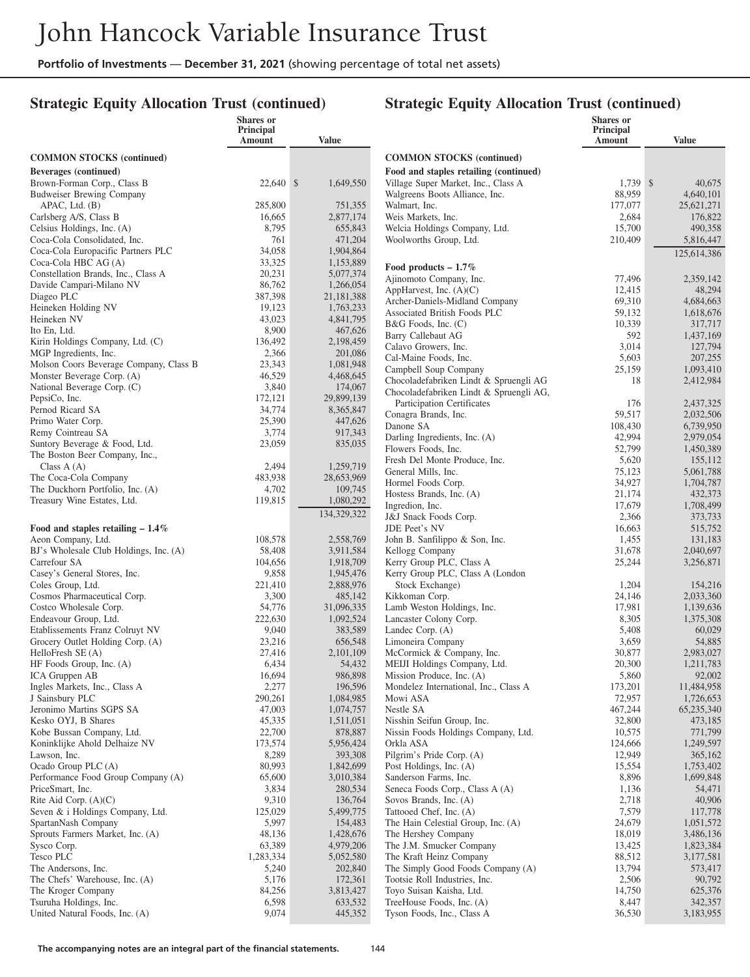## **Strategic Equity Allocation Trust (continued)**

#### **Strategic Equity Allocation Trust (continued)**

|                                                            | Shares or<br>Principal<br>Amount | <b>Value</b>            |                                                                       | Shares or<br>Principal<br>Amount | <b>Value</b>           |
|------------------------------------------------------------|----------------------------------|-------------------------|-----------------------------------------------------------------------|----------------------------------|------------------------|
| <b>COMMON STOCKS (continued)</b>                           |                                  |                         | <b>COMMON STOCKS</b> (continued)                                      |                                  |                        |
| Beverages (continued)                                      |                                  |                         | Food and staples retailing (continued)                                |                                  |                        |
| Brown-Forman Corp., Class B                                | 22,640 \$                        | 1,649,550               | Village Super Market, Inc., Class A                                   | 1,739 \$                         | 40,675                 |
| <b>Budweiser Brewing Company</b>                           |                                  |                         | Walgreens Boots Alliance, Inc.                                        | 88,959                           | 4,640,101              |
| APAC, Ltd. (B)                                             | 285,800                          | 751,355                 | Walmart, Inc.                                                         | 177,077                          | 25,621,271             |
| Carlsberg A/S, Class B                                     | 16,665                           | 2,877,174               | Weis Markets, Inc.                                                    | 2,684                            | 176,822                |
| Celsius Holdings, Inc. (A)<br>Coca-Cola Consolidated, Inc. | 8,795<br>761                     | 655,843<br>471,204      | Welcia Holdings Company, Ltd.<br>Woolworths Group, Ltd.               | 15,700                           | 490,358                |
| Coca-Cola Europacific Partners PLC                         | 34,058                           | 1,904,864               |                                                                       | 210,409                          | 5,816,447              |
| Coca-Cola HBC AG (A)                                       | 33,325                           | 1,153,889               |                                                                       |                                  | 125,614,386            |
| Constellation Brands, Inc., Class A                        | 20,231                           | 5,077,374               | Food products $-1.7\%$                                                |                                  |                        |
| Davide Campari-Milano NV                                   | 86,762                           | 1,266,054               | Ajinomoto Company, Inc.<br>AppHarvest, Inc. $(A)(C)$                  | 77,496<br>12,415                 | 2,359,142<br>48,294    |
| Diageo PLC                                                 | 387,398                          | 21,181,388              | Archer-Daniels-Midland Company                                        | 69,310                           | 4,684,663              |
| Heineken Holding NV                                        | 19,123                           | 1,763,233               | Associated British Foods PLC                                          | 59,132                           | 1,618,676              |
| Heineken NV                                                | 43,023                           | 4,841,795               | $B&G$ Foods, Inc. $(C)$                                               | 10,339                           | 317,717                |
| Ito En, Ltd.                                               | 8,900                            | 467,626                 | <b>Barry Callebaut AG</b>                                             | 592                              | 1,437,169              |
| Kirin Holdings Company, Ltd. (C)<br>MGP Ingredients, Inc.  | 136,492<br>2,366                 | 2,198,459<br>201,086    | Calavo Growers, Inc.                                                  | 3,014                            | 127,794                |
| Molson Coors Beverage Company, Class B                     | 23,343                           | 1,081,948               | Cal-Maine Foods, Inc.                                                 | 5,603                            | 207,255                |
| Monster Beverage Corp. (A)                                 | 46,529                           | 4,468,645               | Campbell Soup Company                                                 | 25,159                           | 1,093,410              |
| National Beverage Corp. (C)                                | 3,840                            | 174,067                 | Chocoladefabriken Lindt & Spruengli AG                                | 18                               | 2,412,984              |
| PepsiCo, Inc.                                              | 172,121                          | 29,899,139              | Chocoladefabriken Lindt & Spruengli AG,<br>Participation Certificates | 176                              | 2,437,325              |
| Pernod Ricard SA                                           | 34,774                           | 8,365,847               | Conagra Brands, Inc.                                                  | 59,517                           | 2,032,506              |
| Primo Water Corp.                                          | 25,390                           | 447,626                 | Danone SA                                                             | 108,430                          | 6,739,950              |
| Remy Cointreau SA                                          | 3,774                            | 917,343                 | Darling Ingredients, Inc. (A)                                         | 42,994                           | 2,979,054              |
| Suntory Beverage & Food, Ltd.                              | 23,059                           | 835,035                 | Flowers Foods, Inc.                                                   | 52,799                           | 1,450,389              |
| The Boston Beer Company, Inc.,                             |                                  |                         | Fresh Del Monte Produce, Inc.                                         | 5,620                            | 155,112                |
| Class $A(A)$<br>The Coca-Cola Company                      | 2,494<br>483,938                 | 1,259,719<br>28,653,969 | General Mills, Inc.                                                   | 75,123                           | 5,061,788              |
| The Duckhorn Portfolio, Inc. (A)                           | 4,702                            | 109,745                 | Hormel Foods Corp.                                                    | 34,927                           | 1,704,787              |
| Treasury Wine Estates, Ltd.                                | 119,815                          | 1,080,292               | Hostess Brands, Inc. (A)                                              | 21,174                           | 432,373                |
|                                                            |                                  | 134,329,322             | Ingredion, Inc.                                                       | 17,679                           | 1,708,499              |
| Food and staples retailing $-1.4\%$                        |                                  |                         | J&J Snack Foods Corp.<br>JDE Peet's NV                                | 2,366<br>16,663                  | 373,733<br>515,752     |
| Aeon Company, Ltd.                                         | 108,578                          | 2,558,769               | John B. Sanfilippo & Son, Inc.                                        | 1,455                            | 131,183                |
| BJ's Wholesale Club Holdings, Inc. (A)                     | 58,408                           | 3,911,584               | Kellogg Company                                                       | 31,678                           | 2,040,697              |
| Carrefour SA                                               | 104,656                          | 1,918,709               | Kerry Group PLC, Class A                                              | 25,244                           | 3,256,871              |
| Casey's General Stores, Inc.                               | 9,858                            | 1,945,476               | Kerry Group PLC, Class A (London                                      |                                  |                        |
| Coles Group, Ltd.                                          | 221,410                          | 2,888,976               | Stock Exchange)                                                       | 1,204                            | 154,216                |
| Cosmos Pharmaceutical Corp.                                | 3,300                            | 485,142                 | Kikkoman Corp.                                                        | 24,146                           | 2,033,360              |
| Costco Wholesale Corp.                                     | 54,776                           | 31,096,335              | Lamb Weston Holdings, Inc.                                            | 17,981                           | 1,139,636              |
| Endeavour Group, Ltd.<br>Etablissements Franz Colruyt NV   | 222,630<br>9,040                 | 1,092,524               | Lancaster Colony Corp.                                                | 8,305<br>5,408                   | 1,375,308              |
| Grocery Outlet Holding Corp. (A)                           | 23,216                           | 383,589<br>656,548      | Landec Corp. (A)<br>Limoneira Company                                 | 3,659                            | 60,029<br>54,885       |
| HelloFresh SE (A)                                          | 27,416                           | 2,101,109               | McCormick & Company, Inc.                                             | 30,877                           | 2,983,027              |
| HF Foods Group, Inc. (A)                                   | 6,434                            | 54,432                  | MEIJI Holdings Company, Ltd.                                          | 20,300                           | 1,211,783              |
| ICA Gruppen AB                                             | 16,694                           | 986,898                 | Mission Produce, Inc. (A)                                             | 5,860                            | 92,002                 |
| Ingles Markets, Inc., Class A                              | 2,277                            | 196,596                 | Mondelez International, Inc., Class A                                 | 173,201                          | 11,484,958             |
| J Sainsbury PLC                                            | 290,261                          | 1,084,985               | Mowi ASA                                                              | 72,957                           | 1,726,653              |
| Jeronimo Martins SGPS SA                                   | 47,003                           | 1,074,757               | Nestle SA                                                             | 467,244                          | 65,235,340             |
| Kesko OYJ, B Shares                                        | 45,335                           | 1,511,051               | Nisshin Seifun Group, Inc.                                            | 32,800                           | 473,185                |
| Kobe Bussan Company, Ltd.                                  | 22,700                           | 878,887                 | Nissin Foods Holdings Company, Ltd.<br>Orkla ASA                      | 10,575                           | 771,799                |
| Koninklijke Ahold Delhaize NV<br>Lawson, Inc.              | 173,574<br>8,289                 | 5,956,424<br>393,308    | Pilgrim's Pride Corp. (A)                                             | 124,666<br>12,949                | 1,249,597<br>365,162   |
| Ocado Group PLC (A)                                        | 80,993                           | 1,842,699               | Post Holdings, Inc. (A)                                               | 15,554                           | 1,753,402              |
| Performance Food Group Company (A)                         | 65,600                           | 3,010,384               | Sanderson Farms, Inc.                                                 | 8,896                            | 1,699,848              |
| PriceSmart, Inc.                                           | 3,834                            | 280,534                 | Seneca Foods Corp., Class A (A)                                       | 1,136                            | 54,471                 |
| Rite Aid Corp. $(A)(C)$                                    | 9,310                            | 136,764                 | Sovos Brands, Inc. (A)                                                | 2,718                            | 40,906                 |
| Seven & i Holdings Company, Ltd.                           | 125,029                          | 5,499,775               | Tattooed Chef, Inc. (A)                                               | 7,579                            | 117,778                |
| SpartanNash Company                                        | 5,997                            | 154,483                 | The Hain Celestial Group, Inc. (A)                                    | 24,679                           | 1,051,572              |
| Sprouts Farmers Market, Inc. (A)                           | 48,136                           | 1,428,676               | The Hershey Company                                                   | 18,019                           | 3,486,136              |
| Sysco Corp.<br>Tesco PLC                                   | 63,389<br>1,283,334              | 4,979,206               | The J.M. Smucker Company<br>The Kraft Heinz Company                   | 13,425<br>88,512                 | 1,823,384<br>3,177,581 |
| The Andersons, Inc.                                        | 5,240                            | 5,052,580<br>202,840    | The Simply Good Foods Company (A)                                     | 13,794                           | 573,417                |
| The Chefs' Warehouse, Inc. (A)                             | 5,176                            | 172,361                 | Tootsie Roll Industries, Inc.                                         | 2,506                            | 90,792                 |
| The Kroger Company                                         | 84,256                           | 3,813,427               | Toyo Suisan Kaisha, Ltd.                                              | 14,750                           | 625,376                |
| Tsuruha Holdings, Inc.                                     | 6,598                            | 633,532                 | TreeHouse Foods, Inc. (A)                                             | 8,447                            | 342,357                |
| United Natural Foods, Inc. (A)                             | 9,074                            | 445,352                 | Tyson Foods, Inc., Class A                                            | 36,530                           | 3,183,955              |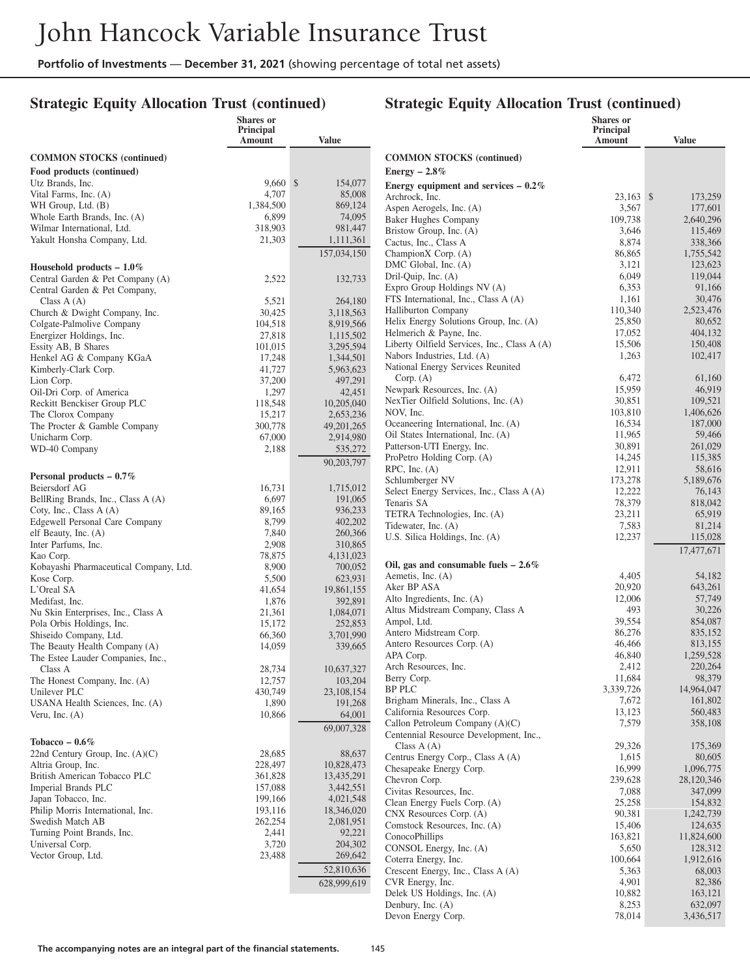## **Strategic Equity Allocation Trust (continued)**

|                                                        | Shares or<br>Principal |                       |                                                                  | Shares or<br><b>Principal</b> |                         |
|--------------------------------------------------------|------------------------|-----------------------|------------------------------------------------------------------|-------------------------------|-------------------------|
|                                                        | Amount                 | Value                 |                                                                  | Amount                        | Value                   |
| <b>COMMON STOCKS</b> (continued)                       |                        |                       | <b>COMMON STOCKS</b> (continued)                                 |                               |                         |
| Food products (continued)                              |                        |                       | Energy $-2.8\%$                                                  |                               |                         |
| Utz Brands, Inc.                                       | $9,660$ \$             | 154,077               | Energy equipment and services $-0.2\%$                           |                               |                         |
| Vital Farms, Inc. (A)                                  | 4,707                  | 85,008                | Archrock, Inc.                                                   | $23,163$ \$                   | 173,259                 |
| WH Group, Ltd. (B)                                     | 1,384,500              | 869,124               | Aspen Aerogels, Inc. (A)                                         | 3,567                         | 177,601                 |
| Whole Earth Brands, Inc. (A)                           | 6,899                  | 74,095                | <b>Baker Hughes Company</b>                                      | 109,738                       | 2,640,296               |
| Wilmar International, Ltd.                             | 318,903                | 981,447               | Bristow Group, Inc. (A)                                          | 3,646                         | 115,469                 |
| Yakult Honsha Company, Ltd.                            | 21,303                 | 1,111,361             | Cactus, Inc., Class A                                            | 8,874                         | 338,366                 |
|                                                        |                        | 157,034,150           | ChampionX Corp. (A)                                              | 86,865                        | 1,755,542               |
| Household products $-1.0\%$                            |                        |                       | DMC Global, Inc. (A)<br>Dril-Quip, Inc. (A)                      | 3,121<br>6,049                | 123,623<br>119,044      |
| Central Garden & Pet Company (A)                       | 2,522                  | 132,733               | Expro Group Holdings NV (A)                                      | 6,353                         | 91,166                  |
| Central Garden & Pet Company,<br>Class $A(A)$          | 5,521                  | 264,180               | FTS International, Inc., Class A (A)                             | 1,161                         | 30,476                  |
| Church & Dwight Company, Inc.                          | 30,425                 | 3,118,563             | <b>Halliburton Company</b>                                       | 110,340                       | 2,523,476               |
| Colgate-Palmolive Company                              | 104,518                | 8,919,566             | Helix Energy Solutions Group, Inc. (A)                           | 25,850                        | 80,652                  |
| Energizer Holdings, Inc.                               | 27,818                 | 1,115,502             | Helmerich & Payne, Inc.                                          | 17,052                        | 404,132                 |
| Essity AB, B Shares                                    | 101,015                | 3,295,594             | Liberty Oilfield Services, Inc., Class A (A)                     | 15,506                        | 150,408                 |
| Henkel AG & Company KGaA                               | 17,248                 | 1,344,501             | Nabors Industries, Ltd. (A)<br>National Energy Services Reunited | 1,263                         | 102,417                 |
| Kimberly-Clark Corp.                                   | 41,727                 | 5,963,623             | Corp. (A)                                                        | 6,472                         | 61,160                  |
| Lion Corp.<br>Oil-Dri Corp. of America                 | 37,200<br>1,297        | 497,291<br>42,451     | Newpark Resources, Inc. (A)                                      | 15,959                        | 46,919                  |
| Reckitt Benckiser Group PLC                            | 118,548                | 10,205,040            | NexTier Oilfield Solutions, Inc. (A)                             | 30,851                        | 109,521                 |
| The Clorox Company                                     | 15,217                 | 2,653,236             | NOV, Inc.                                                        | 103,810                       | 1,406,626               |
| The Procter & Gamble Company                           | 300,778                | 49, 201, 265          | Oceaneering International, Inc. (A)                              | 16.534                        | 187,000                 |
| Unicharm Corp.                                         | 67,000                 | 2,914,980             | Oil States International, Inc. (A)                               | 11,965                        | 59,466                  |
| WD-40 Company                                          | 2,188                  | 535,272               | Patterson-UTI Energy, Inc.                                       | 30,891                        | 261,029                 |
|                                                        |                        | 90,203,797            | ProPetro Holding Corp. (A)<br>$RPC$ , Inc. $(A)$                 | 14,245<br>12,911              | 115,385<br>58,616       |
| Personal products $-0.7\%$                             |                        |                       | Schlumberger NV                                                  | 173,278                       | 5,189,676               |
| Beiersdorf AG                                          | 16,731                 | 1,715,012             | Select Energy Services, Inc., Class A (A)                        | 12,222                        | 76,143                  |
| BellRing Brands, Inc., Class A (A)                     | 6,697                  | 191,065               | Tenaris SA                                                       | 78,379                        | 818,042                 |
| Coty, Inc., Class A (A)                                | 89,165                 | 936,233               | TETRA Technologies, Inc. (A)                                     | 23,211                        | 65,919                  |
| Edgewell Personal Care Company<br>elf Beauty, Inc. (A) | 8,799<br>7,840         | 402,202<br>260,366    | Tidewater, Inc. (A)                                              | 7,583                         | 81,214                  |
| Inter Parfums, Inc.                                    | 2,908                  | 310,865               | U.S. Silica Holdings, Inc. (A)                                   | 12,237                        | 115,028                 |
| Kao Corp.                                              | 78,875                 | 4,131,023             |                                                                  |                               | 17,477,671              |
| Kobayashi Pharmaceutical Company, Ltd.                 | 8,900                  | 700,052               | Oil, gas and consumable fuels $-2.6\%$                           |                               |                         |
| Kose Corp.                                             | 5,500                  | 623,931               | Aemetis, Inc. (A)                                                | 4,405                         | 54,182                  |
| L'Oreal SA                                             | 41,654                 | 19,861,155            | Aker BP ASA<br>Alto Ingredients, Inc. (A)                        | 20,920<br>12,006              | 643,261<br>57,749       |
| Medifast, Inc.<br>Nu Skin Enterprises, Inc., Class A   | 1,876<br>21,361        | 392,891<br>1,084,071  | Altus Midstream Company, Class A                                 | 493                           | 30,226                  |
| Pola Orbis Holdings, Inc.                              | 15,172                 | 252,853               | Ampol, Ltd.                                                      | 39,554                        | 854,087                 |
| Shiseido Company, Ltd.                                 | 66,360                 | 3,701,990             | Antero Midstream Corp.                                           | 86,276                        | 835,152                 |
| The Beauty Health Company (A)                          | 14,059                 | 339,665               | Antero Resources Corp. (A)                                       | 46,466                        | 813,155                 |
| The Estee Lauder Companies, Inc.,                      |                        |                       | APA Corp.                                                        | 46,840                        | 1,259,528               |
| Class A                                                | 28,734                 | 10,637,327            | Arch Resources, Inc.                                             | 2,412                         | 220,264                 |
| The Honest Company, Inc. (A)                           | 12,757                 | 103,204               | Berry Corp.<br><b>BP PLC</b>                                     | 11,684<br>3,339,726           | 98,379<br>14,964,047    |
| Unilever PLC                                           | 430,749<br>1,890       | 23,108,154<br>191,268 | Brigham Minerals, Inc., Class A                                  | 7,672                         | 161,802                 |
| USANA Health Sciences, Inc. (A)<br>Veru, Inc. $(A)$    | 10,866                 | 64,001                | California Resources Corp.                                       | 13,123                        | 560,483                 |
|                                                        |                        | 69,007,328            | Callon Petroleum Company (A)(C)                                  | 7,579                         | 358,108                 |
| Tobacco – $0.6\%$                                      |                        |                       | Centennial Resource Development, Inc.,                           |                               |                         |
| 22nd Century Group, Inc. $(A)(C)$                      | 28,685                 | 88,637                | Class $A(A)$                                                     | 29,326                        | 175,369                 |
| Altria Group, Inc.                                     | 228,497                | 10,828,473            | Centrus Energy Corp., Class A (A)                                | 1,615<br>16,999               | 80,605                  |
| British American Tobacco PLC                           | 361,828                | 13,435,291            | Chesapeake Energy Corp.<br>Chevron Corp.                         | 239,628                       | 1,096,775<br>28,120,346 |
| Imperial Brands PLC                                    | 157,088                | 3,442,551             | Civitas Resources, Inc.                                          | 7,088                         | 347,099                 |
| Japan Tobacco, Inc.                                    | 199,166                | 4,021,548             | Clean Energy Fuels Corp. (A)                                     | 25,258                        | 154,832                 |
| Philip Morris International, Inc.                      | 193,116                | 18,346,020            | CNX Resources Corp. (A)                                          | 90,381                        | 1,242,739               |
| Swedish Match AB<br>Turning Point Brands, Inc.         | 262,254<br>2,441       | 2,081,951<br>92,221   | Comstock Resources, Inc. (A)                                     | 15,406                        | 124,635                 |
| Universal Corp.                                        | 3,720                  | 204,302               | ConocoPhillips                                                   | 163,821                       | 11,824,600              |
| Vector Group, Ltd.                                     | 23,488                 | 269,642               | CONSOL Energy, Inc. (A)                                          | 5,650                         | 128,312                 |
|                                                        |                        | 52,810,636            | Coterra Energy, Inc.<br>Crescent Energy, Inc., Class A (A)       | 100,664<br>5,363              | 1,912,616<br>68,003     |
|                                                        |                        | 628,999,619           | CVR Energy, Inc.                                                 | 4,901                         | 82,386                  |
|                                                        |                        |                       | Delek US Holdings, Inc. (A)                                      | 10,882                        | 163,121                 |
|                                                        |                        |                       | Denbury, Inc. (A)                                                | 8,253                         | 632,097                 |
|                                                        |                        |                       | Devon Energy Corp.                                               | 78,014                        | 3,436,517               |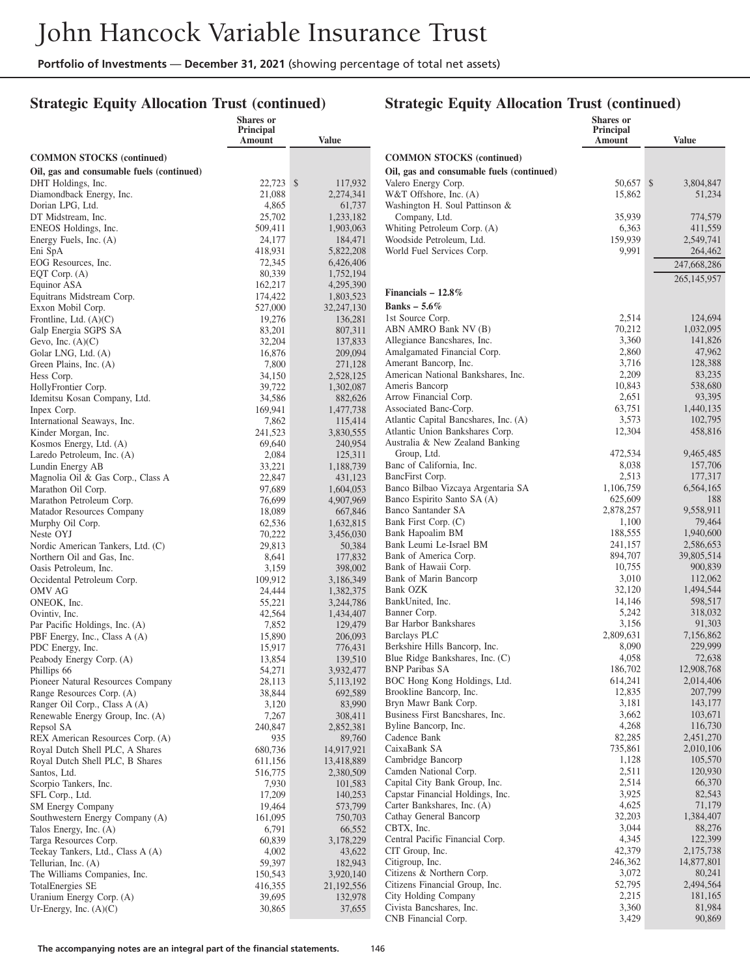#### **Strategic Equity Allocation Trust (continued)**

#### **Strategic Equity Allocation Trust (continued)**

|                                                            | <b>Shares</b> or<br>Principal<br>Amount | <b>Value</b>           |                                                         | Shares or<br>Principal<br>Amount | <b>Value</b>         |
|------------------------------------------------------------|-----------------------------------------|------------------------|---------------------------------------------------------|----------------------------------|----------------------|
| <b>COMMON STOCKS</b> (continued)                           |                                         |                        | <b>COMMON STOCKS</b> (continued)                        |                                  |                      |
| Oil, gas and consumable fuels (continued)                  |                                         |                        | Oil, gas and consumable fuels (continued)               |                                  |                      |
| DHT Holdings, Inc.                                         | 22.723 \$                               | 117,932                | Valero Energy Corp.                                     | 50,657 \$                        | 3,804,847            |
| Diamondback Energy, Inc.                                   | 21,088                                  | 2,274,341              | W&T Offshore, Inc. (A)                                  | 15,862                           | 51,234               |
| Dorian LPG, Ltd.                                           | 4,865                                   | 61,737                 | Washington H. Soul Pattinson &                          |                                  |                      |
| DT Midstream, Inc.                                         | 25,702                                  | 1,233,182              | Company, Ltd.                                           | 35,939                           | 774,579              |
| ENEOS Holdings, Inc.<br>Energy Fuels, Inc. (A)             | 509,411<br>24,177                       | 1,903,063<br>184,471   | Whiting Petroleum Corp. (A)<br>Woodside Petroleum, Ltd. | 6,363<br>159,939                 | 411,559<br>2,549,741 |
| Eni SpA                                                    | 418,931                                 | 5,822,208              | World Fuel Services Corp.                               | 9,991                            | 264,462              |
| EOG Resources, Inc.                                        | 72,345                                  | 6,426,406              |                                                         |                                  | 247,668,286          |
| EQT Corp. (A)                                              | 80,339                                  | 1,752,194              |                                                         |                                  | 265,145,957          |
| Equinor ASA                                                | 162,217                                 | 4,295,390              |                                                         |                                  |                      |
| Equitrans Midstream Corp.                                  | 174,422                                 | 1,803,523              | Financials $-12.8\%$                                    |                                  |                      |
| Exxon Mobil Corp.                                          | 527,000                                 | 32,247,130             | Banks - $5.6\%$                                         |                                  |                      |
| Frontline, Ltd. $(A)(C)$                                   | 19,276                                  | 136,281                | 1st Source Corp.                                        | 2,514<br>70,212                  | 124,694<br>1,032,095 |
| Galp Energia SGPS SA                                       | 83,201                                  | 807,311                | ABN AMRO Bank NV (B)<br>Allegiance Bancshares, Inc.     | 3,360                            | 141,826              |
| Gevo, Inc. $(A)(C)$<br>Golar LNG, Ltd. (A)                 | 32,204<br>16,876                        | 137,833<br>209,094     | Amalgamated Financial Corp.                             | 2,860                            | 47,962               |
| Green Plains, Inc. (A)                                     | 7,800                                   | 271,128                | Amerant Bancorp, Inc.                                   | 3,716                            | 128,388              |
| Hess Corp.                                                 | 34,150                                  | 2,528,125              | American National Bankshares, Inc.                      | 2,209                            | 83,235               |
| HollyFrontier Corp.                                        | 39,722                                  | 1,302,087              | Ameris Bancorp                                          | 10,843                           | 538,680              |
| Idemitsu Kosan Company, Ltd.                               | 34,586                                  | 882,626                | Arrow Financial Corp.                                   | 2,651                            | 93,395               |
| Inpex Corp.                                                | 169,941                                 | 1,477,738              | Associated Banc-Corp.                                   | 63,751                           | 1,440,135            |
| International Seaways, Inc.                                | 7,862                                   | 115,414                | Atlantic Capital Bancshares, Inc. (A)                   | 3,573                            | 102,795              |
| Kinder Morgan, Inc.                                        | 241,523                                 | 3,830,555              | Atlantic Union Bankshares Corp.                         | 12,304                           | 458,816              |
| Kosmos Energy, Ltd. (A)                                    | 69,640                                  | 240.954                | Australia & New Zealand Banking                         |                                  |                      |
| Laredo Petroleum, Inc. (A)                                 | 2,084                                   | 125,311                | Group, Ltd.<br>Banc of California, Inc.                 | 472,534                          | 9,465,485<br>157,706 |
| Lundin Energy AB<br>Magnolia Oil & Gas Corp., Class A      | 33,221<br>22,847                        | 1,188,739<br>431,123   | BancFirst Corp.                                         | 8,038<br>2,513                   | 177,317              |
| Marathon Oil Corp.                                         | 97,689                                  | 1,604,053              | Banco Bilbao Vizcaya Argentaria SA                      | 1,106,759                        | 6,564,165            |
| Marathon Petroleum Corp.                                   | 76,699                                  | 4,907,969              | Banco Espirito Santo SA (A)                             | 625,609                          | 188                  |
| Matador Resources Company                                  | 18,089                                  | 667,846                | Banco Santander SA                                      | 2,878,257                        | 9,558,911            |
| Murphy Oil Corp.                                           | 62,536                                  | 1,632,815              | Bank First Corp. (C)                                    | 1,100                            | 79,464               |
| Neste OYJ                                                  | 70,222                                  | 3,456,030              | Bank Hapoalim BM                                        | 188,555                          | 1,940,600            |
| Nordic American Tankers, Ltd. (C)                          | 29,813                                  | 50,384                 | Bank Leumi Le-Israel BM                                 | 241,157                          | 2,586,653            |
| Northern Oil and Gas, Inc.                                 | 8,641                                   | 177,832                | Bank of America Corp.                                   | 894,707                          | 39,805,514           |
| Oasis Petroleum, Inc.                                      | 3,159                                   | 398,002                | Bank of Hawaii Corp.                                    | 10,755                           | 900,839              |
| Occidental Petroleum Corp.                                 | 109,912                                 | 3,186,349              | Bank of Marin Bancorp<br>Bank OZK                       | 3,010<br>32,120                  | 112,062<br>1,494,544 |
| OMV AG<br>ONEOK, Inc.                                      | 24,444<br>55,221                        | 1,382,375<br>3,244,786 | BankUnited, Inc.                                        | 14,146                           | 598,517              |
| Ovintiv, Inc.                                              | 42,564                                  | 1,434,407              | Banner Corp.                                            | 5,242                            | 318,032              |
| Par Pacific Holdings, Inc. (A)                             | 7,852                                   | 129,479                | Bar Harbor Bankshares                                   | 3,156                            | 91,303               |
| PBF Energy, Inc., Class A (A)                              | 15,890                                  | 206,093                | <b>Barclays PLC</b>                                     | 2,809,631                        | 7,156,862            |
| PDC Energy, Inc.                                           | 15,917                                  | 776,431                | Berkshire Hills Bancorp, Inc.                           | 8,090                            | 229,999              |
| Peabody Energy Corp. (A)                                   | 13,854                                  | 139,510                | Blue Ridge Bankshares, Inc. (C)                         | 4,058                            | 72,638               |
| Phillips 66                                                | 54,271                                  | 3,932,477              | <b>BNP Paribas SA</b>                                   | 186,702                          | 12,908,768           |
| Pioneer Natural Resources Company                          | 28,113                                  | 5,113,192              | BOC Hong Kong Holdings, Ltd.                            | 614,241<br>12,835                | 2,014,406<br>207,799 |
| Range Resources Corp. (A)<br>Ranger Oil Corp., Class A (A) | 38,844<br>3,120                         | 692,589<br>83,990      | Brookline Bancorp, Inc.<br>Bryn Mawr Bank Corp.         | 3,181                            | 143,177              |
| Renewable Energy Group, Inc. (A)                           | 7,267                                   | 308,411                | Business First Bancshares, Inc.                         | 3,662                            | 103,671              |
| Repsol SA                                                  | 240,847                                 | 2,852,381              | Byline Bancorp, Inc.                                    | 4,268                            | 116,730              |
| REX American Resources Corp. (A)                           | 935                                     | 89,760                 | Cadence Bank                                            | 82,285                           | 2,451,270            |
| Royal Dutch Shell PLC, A Shares                            | 680,736                                 | 14,917,921             | CaixaBank SA                                            | 735,861                          | 2,010,106            |
| Royal Dutch Shell PLC, B Shares                            | 611,156                                 | 13,418,889             | Cambridge Bancorp                                       | 1,128                            | 105,570              |
| Santos, Ltd.                                               | 516,775                                 | 2,380,509              | Camden National Corp.                                   | 2,511                            | 120,930              |
| Scorpio Tankers, Inc.                                      | 7,930                                   | 101,583                | Capital City Bank Group, Inc.                           | 2,514                            | 66,370               |
| SFL Corp., Ltd.                                            | 17,209                                  | 140,253                | Capstar Financial Holdings, Inc.                        | 3,925                            | 82,543               |
| SM Energy Company<br>Southwestern Energy Company (A)       | 19,464<br>161,095                       | 573,799<br>750,703     | Carter Bankshares, Inc. (A)<br>Cathay General Bancorp   | 4,625<br>32,203                  | 71,179<br>1,384,407  |
| Talos Energy, Inc. (A)                                     | 6,791                                   | 66,552                 | CBTX, Inc.                                              | 3,044                            | 88,276               |
| Targa Resources Corp.                                      | 60,839                                  | 3,178,229              | Central Pacific Financial Corp.                         | 4,345                            | 122,399              |
| Teekay Tankers, Ltd., Class A (A)                          | 4,002                                   | 43,622                 | CIT Group, Inc.                                         | 42,379                           | 2,175,738            |
| Tellurian, Inc. (A)                                        | 59,397                                  | 182,943                | Citigroup, Inc.                                         | 246,362                          | 14,877,801           |
| The Williams Companies, Inc.                               | 150,543                                 | 3,920,140              | Citizens & Northern Corp.                               | 3,072                            | 80,241               |
| TotalEnergies SE                                           | 416,355                                 | 21,192,556             | Citizens Financial Group, Inc.                          | 52,795                           | 2,494,564            |
| Uranium Energy Corp. (A)                                   | 39,695                                  | 132,978                | City Holding Company                                    | 2,215                            | 181,165              |
| Ur-Energy, Inc. $(A)(C)$                                   | 30,865                                  | 37,655                 | Civista Bancshares, Inc.                                | 3,360                            | 81,984               |
|                                                            |                                         |                        | CNB Financial Corp.                                     | 3,429                            | 90,869               |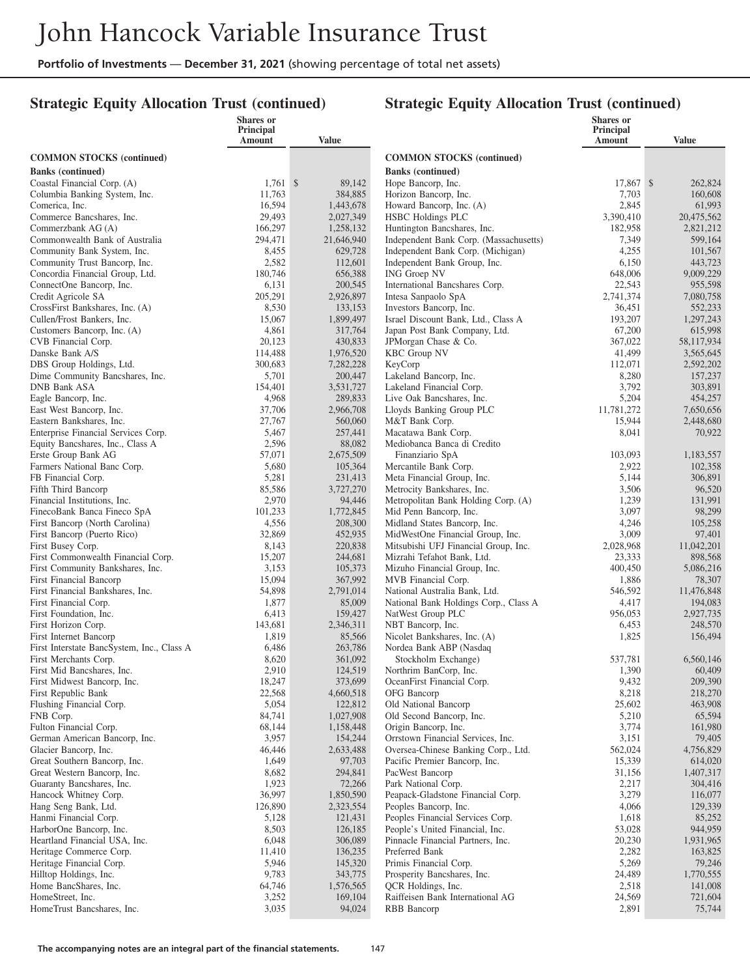## **Strategic Equity Allocation Trust (continued)**

|                                                              | <b>Shares or</b>    |                      |                                                                   | <b>Shares</b> or    |                      |
|--------------------------------------------------------------|---------------------|----------------------|-------------------------------------------------------------------|---------------------|----------------------|
|                                                              | Principal<br>Amount | Value                |                                                                   | Principal<br>Amount | <b>Value</b>         |
| <b>COMMON STOCKS</b> (continued)                             |                     |                      | <b>COMMON STOCKS (continued)</b>                                  |                     |                      |
| <b>Banks</b> (continued)                                     |                     |                      | <b>Banks</b> (continued)                                          |                     |                      |
| Coastal Financial Corp. (A)                                  | $1,761$ \$          | 89,142               | Hope Bancorp, Inc.                                                | 17,867 \$           | 262,824              |
| Columbia Banking System, Inc.                                | 11,763              | 384,885              | Horizon Bancorp, Inc.                                             | 7,703               | 160,608              |
| Comerica, Inc.                                               | 16,594              | 1,443,678            | Howard Bancorp, Inc. (A)                                          | 2,845               | 61,993               |
| Commerce Bancshares, Inc.                                    | 29,493              | 2,027,349            | <b>HSBC</b> Holdings PLC                                          | 3,390,410           | 20,475,562           |
| Commerzbank AG (A)                                           | 166,297             | 1,258,132            | Huntington Bancshares, Inc.                                       | 182,958             | 2,821,212            |
| Commonwealth Bank of Australia                               | 294,471             | 21,646,940           | Independent Bank Corp. (Massachusetts)                            | 7,349               | 599,164              |
| Community Bank System, Inc.<br>Community Trust Bancorp, Inc. | 8,455<br>2,582      | 629,728<br>112,601   | Independent Bank Corp. (Michigan)<br>Independent Bank Group, Inc. | 4,255<br>6,150      | 101,567<br>443,723   |
| Concordia Financial Group, Ltd.                              | 180,746             | 656,388              | <b>ING Groep NV</b>                                               | 648,006             | 9,009,229            |
| ConnectOne Bancorp, Inc.                                     | 6,131               | 200,545              | International Bancshares Corp.                                    | 22,543              | 955,598              |
| Credit Agricole SA                                           | 205,291             | 2,926,897            | Intesa Sanpaolo SpA                                               | 2,741,374           | 7,080,758            |
| CrossFirst Bankshares, Inc. (A)                              | 8,530               | 133,153              | Investors Bancorp, Inc.                                           | 36,451              | 552,233              |
| Cullen/Frost Bankers, Inc.                                   | 15,067              | 1,899,497            | Israel Discount Bank, Ltd., Class A                               | 193,207             | 1,297,243            |
| Customers Bancorp, Inc. (A)                                  | 4,861               | 317,764              | Japan Post Bank Company, Ltd.                                     | 67,200              | 615,998              |
| CVB Financial Corp.                                          | 20,123              | 430,833              | JPMorgan Chase & Co.                                              | 367,022             | 58,117,934           |
| Danske Bank A/S                                              | 114,488             | 1,976,520            | <b>KBC</b> Group NV                                               | 41,499              | 3,565,645            |
| DBS Group Holdings, Ltd.<br>Dime Community Bancshares, Inc.  | 300,683<br>5,701    | 7,282,228<br>200,447 | KeyCorp<br>Lakeland Bancorp, Inc.                                 | 112,071<br>8,280    | 2,592,202<br>157,237 |
| <b>DNB Bank ASA</b>                                          | 154,401             | 3,531,727            | Lakeland Financial Corp.                                          | 3,792               | 303,891              |
| Eagle Bancorp, Inc.                                          | 4,968               | 289,833              | Live Oak Bancshares, Inc.                                         | 5,204               | 454,257              |
| East West Bancorp, Inc.                                      | 37,706              | 2,966,708            | Lloyds Banking Group PLC                                          | 11,781,272          | 7,650,656            |
| Eastern Bankshares, Inc.                                     | 27,767              | 560,060              | M&T Bank Corp.                                                    | 15,944              | 2,448,680            |
| Enterprise Financial Services Corp.                          | 5,467               | 257,441              | Macatawa Bank Corp.                                               | 8,041               | 70,922               |
| Equity Bancshares, Inc., Class A                             | 2,596               | 88,082               | Mediobanca Banca di Credito                                       |                     |                      |
| Erste Group Bank AG                                          | 57,071              | 2,675,509            | Finanziario SpA                                                   | 103,093             | 1,183,557            |
| Farmers National Banc Corp.                                  | 5,680               | 105,364              | Mercantile Bank Corp.                                             | 2,922               | 102,358              |
| FB Financial Corp.<br>Fifth Third Bancorp                    | 5,281<br>85,586     | 231,413<br>3,727,270 | Meta Financial Group, Inc.<br>Metrocity Bankshares, Inc.          | 5,144<br>3,506      | 306,891<br>96,520    |
| Financial Institutions, Inc.                                 | 2,970               | 94,446               | Metropolitan Bank Holding Corp. (A)                               | 1,239               | 131,991              |
| FinecoBank Banca Fineco SpA                                  | 101,233             | 1,772,845            | Mid Penn Bancorp, Inc.                                            | 3,097               | 98,299               |
| First Bancorp (North Carolina)                               | 4,556               | 208,300              | Midland States Bancorp, Inc.                                      | 4,246               | 105,258              |
| First Bancorp (Puerto Rico)                                  | 32,869              | 452,935              | MidWestOne Financial Group, Inc.                                  | 3,009               | 97,401               |
| First Busey Corp.                                            | 8,143               | 220,838              | Mitsubishi UFJ Financial Group, Inc.                              | 2,028,968           | 11,042,201           |
| First Commonwealth Financial Corp.                           | 15,207              | 244,681              | Mizrahi Tefahot Bank, Ltd.                                        | 23,333              | 898,568              |
| First Community Bankshares, Inc.                             | 3,153               | 105,373              | Mizuho Financial Group, Inc.                                      | 400,450             | 5,086,216            |
| First Financial Bancorp<br>First Financial Bankshares, Inc.  | 15,094<br>54,898    | 367,992<br>2,791,014 | MVB Financial Corp.<br>National Australia Bank, Ltd.              | 1,886<br>546,592    | 78,307<br>11,476,848 |
| First Financial Corp.                                        | 1,877               | 85,009               | National Bank Holdings Corp., Class A                             | 4,417               | 194,083              |
| First Foundation, Inc.                                       | 6,413               | 159,427              | NatWest Group PLC                                                 | 956,053             | 2,927,735            |
| First Horizon Corp.                                          | 143,681             | 2,346,311            | NBT Bancorp, Inc.                                                 | 6,453               | 248,570              |
| First Internet Bancorp                                       | 1,819               | 85,566               | Nicolet Bankshares, Inc. (A)                                      | 1,825               | 156,494              |
| First Interstate BancSystem, Inc., Class A                   | 6,486               | 263,786              | Nordea Bank ABP (Nasdaq                                           |                     |                      |
| First Merchants Corp.                                        | 8,620               | 361,092              | Stockholm Exchange)                                               | 537,781             | 6,560,146            |
| First Mid Bancshares, Inc.<br>First Midwest Bancorp, Inc.    | 2,910<br>18,247     | 124,519              | Northrim BanCorp, Inc.<br>OceanFirst Financial Corp.              | 1,390<br>9,432      | 60,409<br>209,390    |
| First Republic Bank                                          | 22,568              | 373,699<br>4,660,518 | OFG Bancorp                                                       | 8,218               | 218,270              |
| Flushing Financial Corp.                                     | 5,054               | 122,812              | Old National Bancorp                                              | 25,602              | 463,908              |
| FNB Corp.                                                    | 84,741              | 1,027,908            | Old Second Bancorp, Inc.                                          | 5,210               | 65,594               |
| Fulton Financial Corp.                                       | 68,144              | 1,158,448            | Origin Bancorp, Inc.                                              | 3,774               | 161,980              |
| German American Bancorp, Inc.                                | 3,957               | 154,244              | Orrstown Financial Services, Inc.                                 | 3,151               | 79,405               |
| Glacier Bancorp, Inc.                                        | 46,446              | 2,633,488            | Oversea-Chinese Banking Corp., Ltd.                               | 562,024             | 4,756,829            |
| Great Southern Bancorp, Inc.                                 | 1,649               | 97,703               | Pacific Premier Bancorp, Inc.                                     | 15,339              | 614,020              |
| Great Western Bancorp, Inc.                                  | 8,682               | 294,841              | PacWest Bancorp                                                   | 31,156              | 1,407,317            |
| Guaranty Bancshares, Inc.<br>Hancock Whitney Corp.           | 1,923<br>36,997     | 72,266<br>1,850,590  | Park National Corp.<br>Peapack-Gladstone Financial Corp.          | 2,217<br>3,279      | 304,416<br>116,077   |
| Hang Seng Bank, Ltd.                                         | 126,890             | 2,323,554            | Peoples Bancorp, Inc.                                             | 4,066               | 129,339              |
| Hanmi Financial Corp.                                        | 5,128               | 121,431              | Peoples Financial Services Corp.                                  | 1,618               | 85,252               |
| HarborOne Bancorp, Inc.                                      | 8,503               | 126,185              | People's United Financial, Inc.                                   | 53,028              | 944,959              |
| Heartland Financial USA, Inc.                                | 6,048               | 306,089              | Pinnacle Financial Partners, Inc.                                 | 20,230              | 1,931,965            |
| Heritage Commerce Corp.                                      | 11,410              | 136,235              | Preferred Bank                                                    | 2,282               | 163,825              |
| Heritage Financial Corp.                                     | 5,946               | 145,320              | Primis Financial Corp.                                            | 5,269               | 79,246               |
| Hilltop Holdings, Inc.                                       | 9,783               | 343,775              | Prosperity Bancshares, Inc.                                       | 24,489              | 1,770,555            |
| Home BancShares, Inc.                                        | 64,746              | 1,576,565            | QCR Holdings, Inc.                                                | 2,518               | 141,008              |
| HomeStreet, Inc.<br>HomeTrust Bancshares, Inc.               | 3,252<br>3,035      | 169,104<br>94,024    | Raiffeisen Bank International AG<br>RBB Bancorp                   | 24,569<br>2,891     | 721,604<br>75,744    |
|                                                              |                     |                      |                                                                   |                     |                      |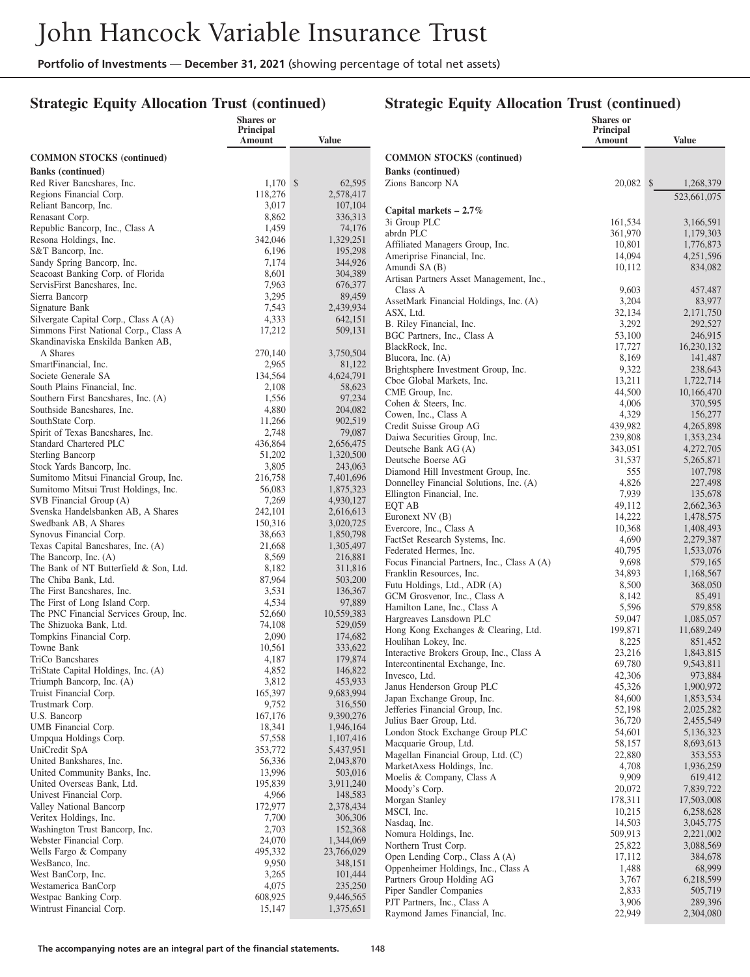**Shares or**

#### **Strategic Equity Allocation Trust (continued)**

#### **Strategic Equity Allocation Trust (continued)**

**Shares or Principal**

|                                                                               | Principal<br>Amount | <b>Value</b>           |                                                                  | Principal<br>Amount | <b>Value</b>           |
|-------------------------------------------------------------------------------|---------------------|------------------------|------------------------------------------------------------------|---------------------|------------------------|
| <b>COMMON STOCKS</b> (continued)                                              |                     |                        | <b>COMMON STOCKS</b> (continued)                                 |                     |                        |
| <b>Banks (continued)</b>                                                      |                     |                        | <b>Banks</b> (continued)                                         |                     |                        |
| Red River Bancshares, Inc.                                                    | $1,170$ \$          | 62,595                 | Zions Bancorp NA                                                 | 20,082 \$           | 1,268,379              |
| Regions Financial Corp.                                                       | 118,276             | 2,578,417              |                                                                  |                     | 523,661,075            |
| Reliant Bancorp, Inc.                                                         | 3,017               | 107,104                | Capital markets $-2.7\%$                                         |                     |                        |
| Renasant Corp.                                                                | 8,862               | 336,313                | 3i Group PLC                                                     | 161,534             | 3,166,591              |
| Republic Bancorp, Inc., Class A                                               | 1,459               | 74,176                 | abrdn PLC                                                        | 361,970             | 1,179,303              |
| Resona Holdings, Inc.<br>S&T Bancorp, Inc.                                    | 342,046<br>6,196    | 1,329,251<br>195,298   | Affiliated Managers Group, Inc.                                  | 10,801              | 1,776,873              |
| Sandy Spring Bancorp, Inc.                                                    | 7,174               | 344,926                | Ameriprise Financial, Inc.                                       | 14,094              | 4,251,596              |
| Seacoast Banking Corp. of Florida                                             | 8,601               | 304,389                | Amundi SA (B)                                                    | 10,112              | 834,082                |
| ServisFirst Bancshares, Inc.                                                  | 7,963               | 676,377                | Artisan Partners Asset Management, Inc.,                         |                     |                        |
| Sierra Bancorp                                                                | 3,295               | 89,459                 | Class A<br>AssetMark Financial Holdings, Inc. (A)                | 9,603<br>3,204      | 457,487<br>83,977      |
| Signature Bank                                                                | 7,543               | 2,439,934              | ASX, Ltd.                                                        | 32,134              | 2,171,750              |
| Silvergate Capital Corp., Class A (A)                                         | 4,333               | 642,151                | B. Riley Financial, Inc.                                         | 3,292               | 292,527                |
| Simmons First National Corp., Class A                                         | 17,212              | 509,131                | BGC Partners, Inc., Class A                                      | 53,100              | 246,915                |
| Skandinaviska Enskilda Banken AB,                                             |                     |                        | BlackRock, Inc.                                                  | 17,727              | 16,230,132             |
| A Shares                                                                      | 270,140             | 3,750,504              | Blucora, Inc. (A)                                                | 8,169               | 141,487                |
| SmartFinancial, Inc.<br>Societe Generale SA                                   | 2,965<br>134,564    | 81,122<br>4,624,791    | Brightsphere Investment Group, Inc.                              | 9,322               | 238,643                |
| South Plains Financial, Inc.                                                  | 2,108               | 58,623                 | Cboe Global Markets, Inc.                                        | 13,211              | 1,722,714              |
| Southern First Bancshares, Inc. (A)                                           | 1,556               | 97,234                 | CME Group, Inc.                                                  | 44,500              | 10,166,470             |
| Southside Bancshares, Inc.                                                    | 4,880               | 204,082                | Cohen & Steers, Inc.                                             | 4,006               | 370,595                |
| SouthState Corp.                                                              | 11,266              | 902,519                | Cowen, Inc., Class A<br>Credit Suisse Group AG                   | 4,329<br>439,982    | 156,277<br>4,265,898   |
| Spirit of Texas Bancshares, Inc.                                              | 2,748               | 79,087                 | Daiwa Securities Group, Inc.                                     | 239,808             | 1,353,234              |
| Standard Chartered PLC                                                        | 436,864             | 2,656,475              | Deutsche Bank AG (A)                                             | 343,051             | 4,272,705              |
| <b>Sterling Bancorp</b>                                                       | 51,202              | 1,320,500              | Deutsche Boerse AG                                               | 31,537              | 5,265,871              |
| Stock Yards Bancorp, Inc.                                                     | 3,805               | 243,063                | Diamond Hill Investment Group, Inc.                              | 555                 | 107,798                |
| Sumitomo Mitsui Financial Group, Inc.<br>Sumitomo Mitsui Trust Holdings, Inc. | 216,758<br>56,083   | 7,401,696<br>1,875,323 | Donnelley Financial Solutions, Inc. (A)                          | 4,826               | 227,498                |
| SVB Financial Group (A)                                                       | 7,269               | 4,930,127              | Ellington Financial, Inc.                                        | 7,939               | 135,678                |
| Svenska Handelsbanken AB, A Shares                                            | 242,101             | 2,616,613              | EQT AB                                                           | 49,112              | 2,662,363              |
| Swedbank AB, A Shares                                                         | 150,316             | 3,020,725              | Euronext NV (B)                                                  | 14,222              | 1,478,575              |
| Synovus Financial Corp.                                                       | 38,663              | 1,850,798              | Evercore, Inc., Class A<br>FactSet Research Systems, Inc.        | 10,368<br>4,690     | 1,408,493<br>2,279,387 |
| Texas Capital Bancshares, Inc. (A)                                            | 21,668              | 1,305,497              | Federated Hermes, Inc.                                           | 40,795              | 1,533,076              |
| The Bancorp, Inc. (A)                                                         | 8,569               | 216,881                | Focus Financial Partners, Inc., Class A (A)                      | 9,698               | 579,165                |
| The Bank of NT Butterfield & Son, Ltd.                                        | 8,182               | 311,816                | Franklin Resources, Inc.                                         | 34,893              | 1,168,567              |
| The Chiba Bank, Ltd.                                                          | 87,964              | 503,200<br>136,367     | Futu Holdings, Ltd., ADR (A)                                     | 8,500               | 368,050                |
| The First Bancshares, Inc.<br>The First of Long Island Corp.                  | 3,531<br>4,534      | 97,889                 | GCM Grosvenor, Inc., Class A                                     | 8,142               | 85,491                 |
| The PNC Financial Services Group, Inc.                                        | 52,660              | 10,559,383             | Hamilton Lane, Inc., Class A                                     | 5,596               | 579,858                |
| The Shizuoka Bank, Ltd.                                                       | 74,108              | 529,059                | Hargreaves Lansdown PLC                                          | 59,047              | 1,085,057              |
| Tompkins Financial Corp.                                                      | 2,090               | 174,682                | Hong Kong Exchanges & Clearing, Ltd.<br>Houlihan Lokey, Inc.     | 199,871<br>8,225    | 11,689,249<br>851,452  |
| Towne Bank                                                                    | 10,561              | 333,622                | Interactive Brokers Group, Inc., Class A                         | 23,216              | 1,843,815              |
| TriCo Bancshares                                                              | 4,187               | 179,874                | Intercontinental Exchange, Inc.                                  | 69,780              | 9,543,811              |
| TriState Capital Holdings, Inc. (A)                                           | 4,852               | 146,822                | Invesco, Ltd.                                                    | 42,306              | 973,884                |
| Triumph Bancorp, Inc. (A)                                                     | 3,812               | 453,933<br>9,683,994   | Janus Henderson Group PLC                                        | 45,326              | 1,900,972              |
| Truist Financial Corp.<br>Trustmark Corp.                                     | 165,397<br>9,752    | 316,550                | Japan Exchange Group, Inc.                                       | 84,600              | 1,853,534              |
| U.S. Bancorp                                                                  | 167,176             | 9,390,276              | Jefferies Financial Group, Inc.                                  | 52,198              | 2,025,282              |
| UMB Financial Corp.                                                           | 18,341              | 1,946,164              | Julius Baer Group, Ltd.                                          | 36,720              | 2,455,549              |
| Umpqua Holdings Corp.                                                         | 57,558              | 1,107,416              | London Stock Exchange Group PLC                                  | 54,601              | 5,136,323              |
| UniCredit SpA                                                                 | 353,772             | 5,437,951              | Macquarie Group, Ltd.<br>Magellan Financial Group, Ltd. (C)      | 58,157<br>22,880    | 8,693,613<br>353,553   |
| United Bankshares, Inc.                                                       | 56,336              | 2,043,870              | MarketAxess Holdings, Inc.                                       | 4,708               | 1,936,259              |
| United Community Banks, Inc.                                                  | 13,996              | 503,016                | Moelis & Company, Class A                                        | 9,909               | 619,412                |
| United Overseas Bank, Ltd.                                                    | 195,839             | 3,911,240              | Moody's Corp.                                                    | 20,072              | 7,839,722              |
| Univest Financial Corp.                                                       | 4,966               | 148,583                | Morgan Stanley                                                   | 178,311             | 17,503,008             |
| Valley National Bancorp                                                       | 172,977             | 2,378,434              | MSCI, Inc.                                                       | 10,215              | 6,258,628              |
| Veritex Holdings, Inc.<br>Washington Trust Bancorp, Inc.                      | 7,700<br>2,703      | 306,306<br>152,368     | Nasdaq, Inc.                                                     | 14,503              | 3,045,775              |
| Webster Financial Corp.                                                       | 24,070              | 1,344,069              | Nomura Holdings, Inc.                                            | 509,913             | 2,221,002              |
| Wells Fargo & Company                                                         | 495,332             | 23,766,029             | Northern Trust Corp.                                             | 25,822              | 3,088,569              |
| WesBanco, Inc.                                                                | 9,950               | 348,151                | Open Lending Corp., Class A (A)                                  | 17,112              | 384,678                |
| West BanCorp, Inc.                                                            | 3,265               | 101,444                | Oppenheimer Holdings, Inc., Class A<br>Partners Group Holding AG | 1,488<br>3,767      | 68,999<br>6,218,599    |
| Westamerica BanCorp                                                           | 4,075               | 235,250                | Piper Sandler Companies                                          | 2,833               | 505,719                |
| Westpac Banking Corp.                                                         | 608,925             | 9,446,565              | PJT Partners, Inc., Class A                                      | 3,906               | 289,396                |
| Wintrust Financial Corp.                                                      | 15,147              | 1,375,651              | Raymond James Financial, Inc.                                    | 22,949              | 2,304,080              |
|                                                                               |                     |                        |                                                                  |                     |                        |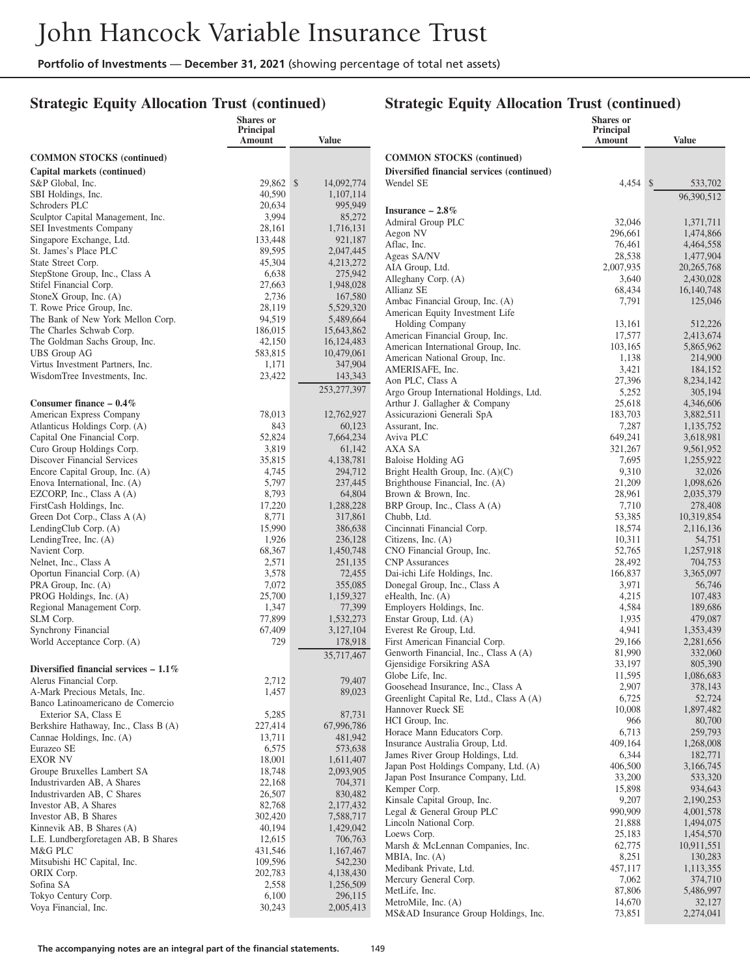**Shares or**

#### **Strategic Equity Allocation Trust (continued)**

#### **Strategic Equity Allocation Trust (continued)**

**Shares or**

|                                             | Principal<br>Amount | <b>Value</b>         |                                                                                | Principal<br>Amount | <b>Value</b>         |
|---------------------------------------------|---------------------|----------------------|--------------------------------------------------------------------------------|---------------------|----------------------|
| <b>COMMON STOCKS (continued)</b>            |                     |                      | <b>COMMON STOCKS</b> (continued)                                               |                     |                      |
| Capital markets (continued)                 |                     |                      | Diversified financial services (continued)                                     |                     |                      |
| S&P Global, Inc.                            | 29,862 \$           | 14,092,774           | Wendel SE                                                                      | $4,454$ \$          | 533,702              |
| SBI Holdings, Inc.                          | 40,590              | 1,107,114            |                                                                                |                     | 96,390,512           |
| Schroders PLC                               | 20,634              | 995,949              | Insurance $-2.8\%$                                                             |                     |                      |
| Sculptor Capital Management, Inc.           | 3,994               | 85,272               | Admiral Group PLC                                                              | 32,046              | 1,371,711            |
| SEI Investments Company                     | 28,161              | 1,716,131            | Aegon NV                                                                       | 296,661             | 1,474,866            |
| Singapore Exchange, Ltd.                    | 133,448             | 921,187              | Aflac, Inc.                                                                    | 76,461              | 4,464,558            |
| St. James's Place PLC                       | 89,595              | 2,047,445            | Ageas SA/NV                                                                    | 28,538              | 1,477,904            |
| State Street Corp.                          | 45,304              | 4,213,272            | AIA Group, Ltd.                                                                | 2,007,935           | 20, 265, 768         |
| StepStone Group, Inc., Class A              | 6,638               | 275,942              | Alleghany Corp. (A)                                                            | 3,640               | 2,430,028            |
| Stifel Financial Corp.                      | 27,663              | 1,948,028            | Allianz SE                                                                     | 68,434              | 16, 140, 748         |
| StoneX Group, Inc. (A)                      | 2,736               | 167,580              | Ambac Financial Group, Inc. (A)                                                | 7,791               | 125,046              |
| T. Rowe Price Group, Inc.                   | 28,119              | 5,529,320            | American Equity Investment Life                                                |                     |                      |
| The Bank of New York Mellon Corp.           | 94,519              | 5,489,664            | Holding Company                                                                | 13,161              | 512,226              |
| The Charles Schwab Corp.                    | 186,015             | 15,643,862           | American Financial Group, Inc.                                                 | 17,577              | 2,413,674            |
| The Goldman Sachs Group, Inc.               | 42,150              | 16,124,483           | American International Group, Inc.                                             | 103,165             | 5,865,962            |
| <b>UBS</b> Group AG                         | 583,815             | 10,479,061           | American National Group, Inc.                                                  | 1,138               | 214,900              |
| Virtus Investment Partners, Inc.            | 1,171               | 347,904              | AMERISAFE, Inc.                                                                | 3,421               | 184,152              |
| WisdomTree Investments, Inc.                | 23,422              | 143,343              | Aon PLC, Class A                                                               | 27,396              | 8,234,142            |
|                                             |                     | 253, 277, 397        | Argo Group International Holdings, Ltd.                                        | 5,252               | 305,194              |
| Consumer finance $-0.4\%$                   |                     |                      | Arthur J. Gallagher & Company                                                  | 25,618              | 4,346,606            |
| American Express Company                    | 78,013              | 12,762,927           | Assicurazioni Generali SpA                                                     | 183,703             | 3,882,511            |
| Atlanticus Holdings Corp. (A)               | 843                 | 60,123               | Assurant, Inc.                                                                 | 7,287               | 1,135,752            |
| Capital One Financial Corp.                 | 52,824              | 7,664,234            | Aviva PLC                                                                      | 649.241             | 3,618,981            |
| Curo Group Holdings Corp.                   | 3,819               | 61,142               | AXA SA                                                                         | 321,267             | 9,561,952            |
| <b>Discover Financial Services</b>          | 35,815              | 4,138,781            | Baloise Holding AG                                                             | 7,695               | 1,255,922            |
| Encore Capital Group, Inc. (A)              | 4,745               | 294,712              | Bright Health Group, Inc. (A)(C)                                               | 9,310               | 32,026               |
| Enova International, Inc. (A)               | 5,797               | 237,445              | Brighthouse Financial, Inc. (A)                                                | 21,209              | 1,098,626            |
| EZCORP, Inc., Class A (A)                   | 8,793               | 64,804               | Brown & Brown, Inc.                                                            | 28,961              | 2,035,379            |
| FirstCash Holdings, Inc.                    | 17,220              | 1,288,228            | BRP Group, Inc., Class A (A)                                                   | 7,710               | 278,408              |
| Green Dot Corp., Class A (A)                | 8,771               | 317,861              | Chubb, Ltd.                                                                    | 53,385              | 10,319,854           |
| LendingClub Corp. (A)                       | 15,990              | 386,638              | Cincinnati Financial Corp.                                                     | 18,574              | 2,116,136            |
| LendingTree, Inc. (A)                       | 1,926               | 236,128              | Citizens, Inc. $(A)$                                                           | 10,311              | 54,751               |
| Navient Corp.                               | 68,367              | 1,450,748            | CNO Financial Group, Inc.                                                      | 52,765              | 1,257,918            |
| Nelnet, Inc., Class A                       | 2,571               | 251,135              | <b>CNP</b> Assurances                                                          | 28,492              | 704,753              |
| Oportun Financial Corp. (A)                 | 3,578               | 72,455               | Dai-ichi Life Holdings, Inc.                                                   | 166,837             | 3,365,097            |
| PRA Group, Inc. (A)                         | 7,072               | 355,085              | Donegal Group, Inc., Class A                                                   | 3,971               | 56,746               |
| PROG Holdings, Inc. (A)                     | 25,700              | 1,159,327            | eHealth, Inc. (A)                                                              | 4,215               | 107,483              |
| Regional Management Corp.                   | 1,347               | 77,399               | Employers Holdings, Inc.                                                       | 4,584               | 189,686              |
| SLM Corp.                                   | 77,899              | 1,532,273            | Enstar Group, Ltd. (A)                                                         | 1,935               | 479,087              |
| Synchrony Financial                         | 67,409              | 3,127,104            | Everest Re Group, Ltd.                                                         | 4,941               | 1,353,439            |
| World Acceptance Corp. (A)                  | 729                 | 178,918              | First American Financial Corp.                                                 | 29,166              | 2,281,656            |
|                                             |                     | 35,717,467           | Genworth Financial, Inc., Class A (A)                                          | 81,990              | 332,060              |
| Diversified financial services $-1.1\%$     |                     |                      | Gjensidige Forsikring ASA                                                      | 33,197              | 805,390<br>1,086,683 |
| Alerus Financial Corp.                      | 2,712               | 79,407               | Globe Life, Inc.                                                               | 11,595<br>2,907     | 378,143              |
| A-Mark Precious Metals, Inc.                | 1,457               | 89,023               | Goosehead Insurance, Inc., Class A<br>Greenlight Capital Re, Ltd., Class A (A) | 6,725               | 52,724               |
| Banco Latinoamericano de Comercio           |                     |                      | Hannover Rueck SE                                                              | 10,008              | 1,897,482            |
| Exterior SA, Class E                        | 5,285               | 87,731               | HCI Group, Inc.                                                                | 966                 | 80,700               |
| Berkshire Hathaway, Inc., Class B (A)       | 227,414             | 67,996,786           | Horace Mann Educators Corp.                                                    | 6,713               | 259,793              |
| Cannae Holdings, Inc. (A)                   | 13,711              | 481,942              | Insurance Australia Group, Ltd.                                                | 409,164             | 1,268,008            |
| Eurazeo SE                                  | 6,575               | 573,638              | James River Group Holdings, Ltd.                                               | 6,344               | 182,771              |
| <b>EXOR NV</b>                              | 18,001              | 1,611,407            | Japan Post Holdings Company, Ltd. (A)                                          | 406,500             | 3,166,745            |
| Groupe Bruxelles Lambert SA                 | 18,748              | 2,093,905            | Japan Post Insurance Company, Ltd.                                             | 33,200              | 533,320              |
| Industrivarden AB, A Shares                 | 22,168              | 704,371              | Kemper Corp.                                                                   | 15,898              | 934,643              |
| Industrivarden AB, C Shares                 | 26,507              | 830,482              | Kinsale Capital Group, Inc.                                                    | 9,207               | 2,190,253            |
| Investor AB, A Shares                       | 82,768              | 2,177,432            | Legal & General Group PLC                                                      | 990,909             | 4,001,578            |
| Investor AB, B Shares                       | 302,420             | 7,588,717            | Lincoln National Corp.                                                         | 21,888              | 1,494,075            |
| Kinnevik AB, B Shares (A)                   | 40,194              | 1,429,042            | Loews Corp.                                                                    | 25,183              | 1,454,570            |
| L.E. Lundbergforetagen AB, B Shares         | 12,615              | 706,763              | Marsh & McLennan Companies, Inc.                                               | 62,775              | 10,911,551           |
| M&G PLC                                     | 431,546             | 1,167,467            | MBIA, Inc. $(A)$                                                               | 8,251               | 130,283              |
| Mitsubishi HC Capital, Inc.                 | 109,596             | 542,230              | Medibank Private, Ltd.                                                         | 457,117             | 1,113,355            |
| ORIX Corp.                                  | 202,783             | 4,138,430            | Mercury General Corp.                                                          | 7,062               | 374,710              |
| Sofina SA                                   | 2,558               | 1,256,509            | MetLife, Inc.                                                                  | 87,806              | 5,486,997            |
| Tokyo Century Corp.<br>Voya Financial, Inc. | 6,100<br>30,243     | 296,115<br>2,005,413 | MetroMile, Inc. (A)                                                            | 14,670              | 32,127               |
|                                             |                     |                      | MS&AD Insurance Group Holdings, Inc.                                           | 73,851              | 2,274,041            |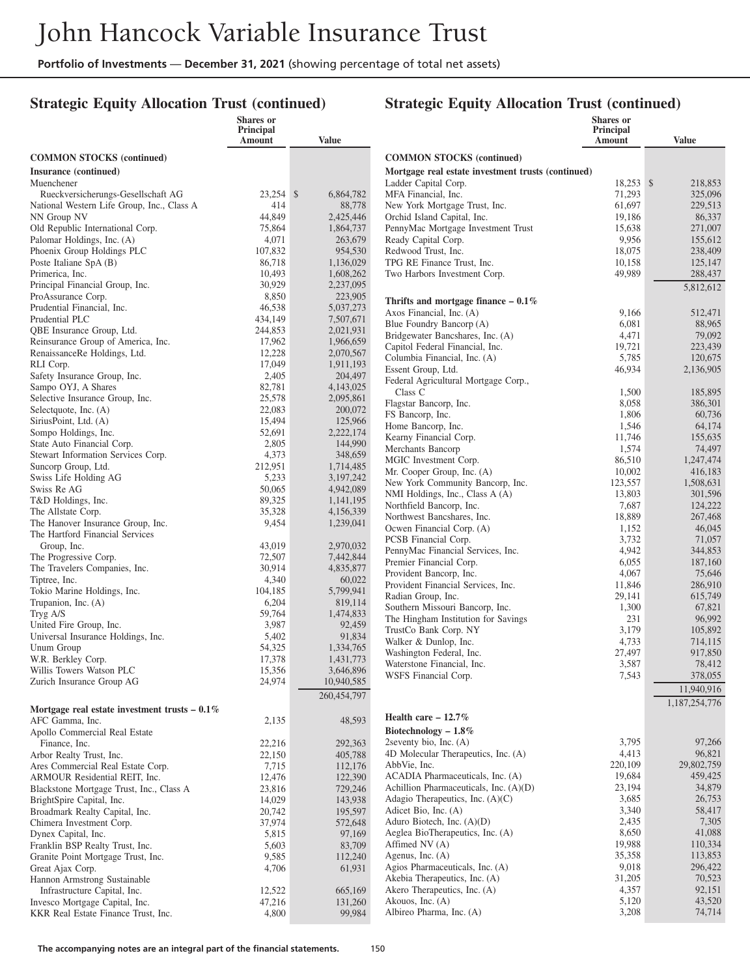## **Strategic Equity Allocation Trust (continued)**

|                                                                           | Shares or<br>Principal |                      |                                                                 | <b>Shares</b> or<br>Principal |                       |
|---------------------------------------------------------------------------|------------------------|----------------------|-----------------------------------------------------------------|-------------------------------|-----------------------|
|                                                                           | Amount                 | Value                |                                                                 | Amount                        | Value                 |
| <b>COMMON STOCKS</b> (continued)                                          |                        |                      | <b>COMMON STOCKS</b> (continued)                                |                               |                       |
| Insurance (continued)                                                     |                        |                      | Mortgage real estate investment trusts (continued)              |                               |                       |
| Muenchener                                                                |                        |                      | Ladder Capital Corp.                                            | 18,253 \$                     | 218,853               |
| Rueckversicherungs-Gesellschaft AG                                        | 23,254 \$              | 6,864,782            | MFA Financial, Inc.                                             | 71,293                        | 325,096               |
| National Western Life Group, Inc., Class A                                | 414                    | 88,778               | New York Mortgage Trust, Inc.                                   | 61,697                        | 229,513               |
| NN Group NV                                                               | 44,849                 | 2,425,446            | Orchid Island Capital, Inc.                                     | 19,186                        | 86,337                |
| Old Republic International Corp.                                          | 75,864                 | 1,864,737            | PennyMac Mortgage Investment Trust                              | 15,638                        | 271,007               |
| Palomar Holdings, Inc. (A)                                                | 4,071                  | 263,679              | Ready Capital Corp.                                             | 9,956                         | 155,612               |
| Phoenix Group Holdings PLC                                                | 107,832                | 954,530              | Redwood Trust, Inc.                                             | 18,075                        | 238,409               |
| Poste Italiane SpA (B)                                                    | 86,718                 | 1,136,029            | TPG RE Finance Trust, Inc.                                      | 10,158                        | 125,147               |
| Primerica, Inc.                                                           | 10,493<br>30,929       | 1,608,262            | Two Harbors Investment Corp.                                    | 49,989                        | 288,437               |
| Principal Financial Group, Inc.<br>ProAssurance Corp.                     | 8,850                  | 2,237,095<br>223,905 |                                                                 |                               | 5,812,612             |
| Prudential Financial, Inc.                                                | 46,538                 | 5,037,273            | Thrifts and mortgage finance $-0.1\%$                           |                               |                       |
| Prudential PLC                                                            | 434,149                | 7,507,671            | Axos Financial, Inc. (A)                                        | 9,166                         | 512,471               |
| QBE Insurance Group, Ltd.                                                 | 244,853                | 2,021,931            | Blue Foundry Bancorp (A)                                        | 6,081                         | 88,965                |
| Reinsurance Group of America, Inc.                                        | 17,962                 | 1,966,659            | Bridgewater Bancshares, Inc. (A)                                | 4,471                         | 79,092                |
| RenaissanceRe Holdings, Ltd.                                              | 12,228                 | 2,070,567            | Capitol Federal Financial, Inc.<br>Columbia Financial, Inc. (A) | 19,721<br>5,785               | 223,439               |
| RLI Corp.                                                                 | 17,049                 | 1,911,193            | Essent Group, Ltd.                                              | 46,934                        | 120,675<br>2,136,905  |
| Safety Insurance Group, Inc.                                              | 2,405                  | 204,497              | Federal Agricultural Mortgage Corp.,                            |                               |                       |
| Sampo OYJ, A Shares                                                       | 82,781                 | 4,143,025            | Class C                                                         | 1,500                         | 185,895               |
| Selective Insurance Group, Inc.                                           | 25,578                 | 2,095,861            | Flagstar Bancorp, Inc.                                          | 8,058                         | 386,301               |
| Selectquote, Inc. (A)                                                     | 22,083                 | 200,072              | FS Bancorp, Inc.                                                | 1,806                         | 60,736                |
| SiriusPoint, Ltd. (A)                                                     | 15,494                 | 125,966              | Home Bancorp, Inc.                                              | 1,546                         | 64,174                |
| Sompo Holdings, Inc.                                                      | 52,691                 | 2,222,174            | Kearny Financial Corp.                                          | 11,746                        | 155,635               |
| State Auto Financial Corp.<br>Stewart Information Services Corp.          | 2,805<br>4,373         | 144,990<br>348,659   | Merchants Bancorp                                               | 1,574                         | 74,497                |
| Suncorp Group, Ltd.                                                       | 212,951                | 1,714,485            | MGIC Investment Corp.                                           | 86,510                        | 1,247,474             |
| Swiss Life Holding AG                                                     | 5,233                  | 3,197,242            | Mr. Cooper Group, Inc. (A)                                      | 10,002                        | 416,183               |
| Swiss Re AG                                                               | 50,065                 | 4,942,089            | New York Community Bancorp, Inc.                                | 123,557                       | 1,508,631             |
| T&D Holdings, Inc.                                                        | 89,325                 | 1,141,195            | NMI Holdings, Inc., Class A (A)                                 | 13,803                        | 301,596               |
| The Allstate Corp.                                                        | 35,328                 | 4,156,339            | Northfield Bancorp, Inc.<br>Northwest Bancshares, Inc.          | 7,687<br>18,889               | 124,222<br>267,468    |
| The Hanover Insurance Group, Inc.                                         | 9,454                  | 1,239,041            | Ocwen Financial Corp. (A)                                       | 1,152                         | 46,045                |
| The Hartford Financial Services                                           |                        |                      | PCSB Financial Corp.                                            | 3,732                         | 71,057                |
| Group, Inc.                                                               | 43,019                 | 2,970,032            | PennyMac Financial Services, Inc.                               | 4,942                         | 344,853               |
| The Progressive Corp.                                                     | 72,507                 | 7,442,844            | Premier Financial Corp.                                         | 6,055                         | 187,160               |
| The Travelers Companies, Inc.                                             | 30,914                 | 4,835,877            | Provident Bancorp, Inc.                                         | 4,067                         | 75,646                |
| Tiptree, Inc.<br>Tokio Marine Holdings, Inc.                              | 4,340<br>104,185       | 60,022<br>5,799,941  | Provident Financial Services, Inc.                              | 11,846                        | 286,910               |
| Trupanion, Inc. (A)                                                       | 6,204                  | 819,114              | Radian Group, Inc.                                              | 29,141                        | 615,749               |
| Tryg A/S                                                                  | 59,764                 | 1,474,833            | Southern Missouri Bancorp, Inc.                                 | 1,300                         | 67,821                |
| United Fire Group, Inc.                                                   | 3,987                  | 92,459               | The Hingham Institution for Savings                             | 231                           | 96,992                |
| Universal Insurance Holdings, Inc.                                        | 5,402                  | 91,834               | TrustCo Bank Corp. NY                                           | 3,179                         | 105,892               |
| Unum Group                                                                | 54,325                 | 1,334,765            | Walker & Dunlop, Inc.<br>Washington Federal, Inc.               | 4,733<br>27,497               | 714,115<br>917,850    |
| W.R. Berkley Corp.                                                        | 17,378                 | 1,431,773            | Waterstone Financial, Inc.                                      | 3,587                         | 78,412                |
| Willis Towers Watson PLC                                                  | 15,356                 | 3,646,896            | WSFS Financial Corp.                                            | 7,543                         | 378,055               |
| Zurich Insurance Group AG                                                 | 24,974                 | 10,940,585           |                                                                 |                               | 11,940,916            |
|                                                                           |                        | 260,454,797          |                                                                 |                               |                       |
| Mortgage real estate investment trusts $-0.1\%$                           |                        |                      |                                                                 |                               | 1,187,254,776         |
| AFC Gamma, Inc.                                                           | 2,135                  | 48,593               | Health care $-12.7%$                                            |                               |                       |
| Apollo Commercial Real Estate                                             |                        |                      | Biotechnology $-1.8\%$                                          |                               |                       |
| Finance, Inc.                                                             | 22,216                 | 292,363              | 2seventy bio, Inc. $(A)$                                        | 3,795                         | 97,266                |
| Arbor Realty Trust, Inc.                                                  | 22,150                 | 405,788              | 4D Molecular Therapeutics, Inc. (A)                             | 4,413                         | 96,821                |
| Ares Commercial Real Estate Corp.                                         | 7,715                  | 112,176              | AbbVie, Inc.<br>ACADIA Pharmaceuticals, Inc. (A)                | 220,109<br>19,684             | 29,802,759<br>459,425 |
| ARMOUR Residential REIT, Inc.<br>Blackstone Mortgage Trust, Inc., Class A | 12,476<br>23,816       | 122,390<br>729,246   | Achillion Pharmaceuticals, Inc. (A)(D)                          | 23,194                        | 34,879                |
| BrightSpire Capital, Inc.                                                 | 14,029                 | 143,938              | Adagio Therapeutics, Inc. $(A)(C)$                              | 3,685                         | 26,753                |
| Broadmark Realty Capital, Inc.                                            | 20,742                 | 195,597              | Adicet Bio, Inc. (A)                                            | 3,340                         | 58,417                |
| Chimera Investment Corp.                                                  | 37,974                 | 572,648              | Aduro Biotech, Inc. (A)(D)                                      | 2,435                         | 7,305                 |
| Dynex Capital, Inc.                                                       | 5,815                  | 97,169               | Aeglea BioTherapeutics, Inc. (A)                                | 8,650                         | 41,088                |
| Franklin BSP Realty Trust, Inc.                                           | 5,603                  | 83,709               | Affimed NV (A)                                                  | 19,988                        | 110,334               |
| Granite Point Mortgage Trust, Inc.                                        | 9,585                  | 112,240              | Agenus, Inc. $(A)$                                              | 35,358                        | 113,853               |
| Great Ajax Corp.                                                          | 4,706                  | 61,931               | Agios Pharmaceuticals, Inc. (A)                                 | 9,018                         | 296,422               |
| Hannon Armstrong Sustainable                                              |                        |                      | Akebia Therapeutics, Inc. (A)                                   | 31,205                        | 70,523                |
| Infrastructure Capital, Inc.                                              | 12,522                 | 665,169              | Akero Therapeutics, Inc. (A)                                    | 4,357                         | 92,151                |
| Invesco Mortgage Capital, Inc.                                            | 47,216                 | 131,260              | Akouos, Inc. (A)<br>Albireo Pharma, Inc. (A)                    | 5,120<br>3,208                | 43,520<br>74,714      |
| KKR Real Estate Finance Trust, Inc.                                       | 4,800                  | 99,984               |                                                                 |                               |                       |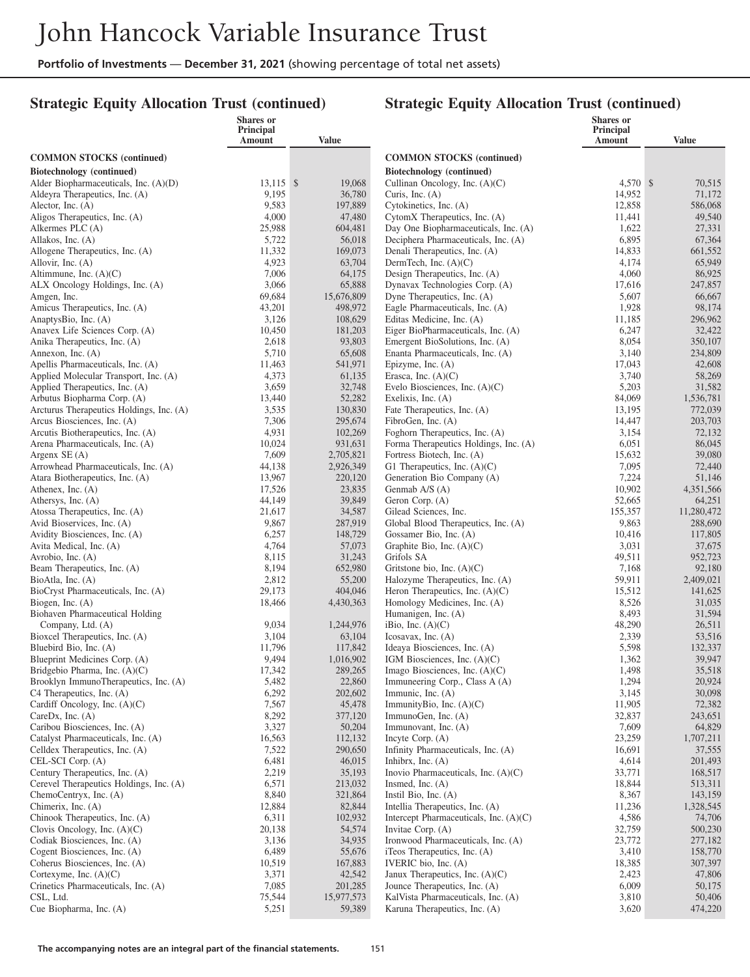## **Strategic Equity Allocation Trust (continued)**

|                                                                      | <b>Shares</b> or<br>Principal |                      |                                                                             | Shares or<br>Principal |                      |
|----------------------------------------------------------------------|-------------------------------|----------------------|-----------------------------------------------------------------------------|------------------------|----------------------|
|                                                                      | Amount                        | Value                |                                                                             | <b>Amount</b>          | <b>Value</b>         |
| <b>COMMON STOCKS</b> (continued)                                     |                               |                      | <b>COMMON STOCKS (continued)</b>                                            |                        |                      |
| Biotechnology (continued)                                            |                               |                      | Biotechnology (continued)                                                   |                        |                      |
| Alder Biopharmaceuticals, Inc. (A)(D)                                | $13,115$ \$                   | 19,068               | Cullinan Oncology, Inc. (A)(C)                                              | 4,570 \$               | 70,515               |
| Aldeyra Therapeutics, Inc. (A)                                       | 9,195                         | 36,780               | Curis, Inc. $(A)$                                                           | 14,952                 | 71,172               |
| Alector, Inc. $(A)$                                                  | 9,583                         | 197,889              | Cytokinetics, Inc. (A)                                                      | 12,858                 | 586,068              |
| Aligos Therapeutics, Inc. (A)                                        | 4,000                         | 47,480               | CytomX Therapeutics, Inc. (A)                                               | 11,441                 | 49,540               |
| Alkermes PLC (A)<br>Allakos, Inc. (A)                                | 25,988<br>5,722               | 604,481<br>56,018    | Day One Biopharmaceuticals, Inc. (A)<br>Deciphera Pharmaceuticals, Inc. (A) | 1,622<br>6,895         | 27,331<br>67,364     |
| Allogene Therapeutics, Inc. (A)                                      | 11,332                        | 169,073              | Denali Therapeutics, Inc. (A)                                               | 14,833                 | 661,552              |
| Allovir, Inc. (A)                                                    | 4,923                         | 63,704               | DermTech, Inc. $(A)(C)$                                                     | 4,174                  | 65,949               |
| Altimmune, Inc. $(A)(C)$                                             | 7,006                         | 64,175               | Design Therapeutics, Inc. (A)                                               | 4,060                  | 86,925               |
| ALX Oncology Holdings, Inc. (A)                                      | 3,066                         | 65,888               | Dynavax Technologies Corp. (A)                                              | 17,616                 | 247,857              |
| Amgen, Inc.                                                          | 69,684                        | 15,676,809           | Dyne Therapeutics, Inc. (A)                                                 | 5,607                  | 66,667               |
| Amicus Therapeutics, Inc. (A)                                        | 43,201                        | 498,972              | Eagle Pharmaceuticals, Inc. (A)                                             | 1,928                  | 98,174               |
| AnaptysBio, Inc. (A)                                                 | 3,126                         | 108,629              | Editas Medicine, Inc. (A)                                                   | 11,185                 | 296,962              |
| Anavex Life Sciences Corp. (A)<br>Anika Therapeutics, Inc. (A)       | 10,450<br>2,618               | 181,203<br>93,803    | Eiger BioPharmaceuticals, Inc. (A)<br>Emergent BioSolutions, Inc. (A)       | 6,247<br>8,054         | 32,422<br>350,107    |
| Annexon, Inc. (A)                                                    | 5,710                         | 65,608               | Enanta Pharmaceuticals, Inc. (A)                                            | 3,140                  | 234,809              |
| Apellis Pharmaceuticals, Inc. (A)                                    | 11,463                        | 541,971              | Epizyme, Inc. (A)                                                           | 17,043                 | 42,608               |
| Applied Molecular Transport, Inc. (A)                                | 4,373                         | 61,135               | Erasca, Inc. $(A)(C)$                                                       | 3,740                  | 58,269               |
| Applied Therapeutics, Inc. (A)                                       | 3,659                         | 32,748               | Evelo Biosciences, Inc. $(A)(C)$                                            | 5,203                  | 31,582               |
| Arbutus Biopharma Corp. (A)                                          | 13,440                        | 52,282               | Exelixis, Inc. $(A)$                                                        | 84,069                 | 1,536,781            |
| Arcturus Therapeutics Holdings, Inc. (A)                             | 3,535                         | 130,830              | Fate Therapeutics, Inc. (A)                                                 | 13,195                 | 772,039              |
| Arcus Biosciences, Inc. (A)                                          | 7,306                         | 295,674              | FibroGen, Inc. (A)                                                          | 14,447                 | 203,703              |
| Arcutis Biotherapeutics, Inc. (A)<br>Arena Pharmaceuticals, Inc. (A) | 4,931<br>10,024               | 102,269<br>931,631   | Foghorn Therapeutics, Inc. (A)<br>Forma Therapeutics Holdings, Inc. (A)     | 3,154<br>6,051         | 72,132<br>86,045     |
| Argenx $SE(A)$                                                       | 7,609                         | 2,705,821            | Fortress Biotech, Inc. (A)                                                  | 15,632                 | 39,080               |
| Arrowhead Pharmaceuticals, Inc. (A)                                  | 44,138                        | 2,926,349            | G1 Therapeutics, Inc. $(A)(C)$                                              | 7,095                  | 72,440               |
| Atara Biotherapeutics, Inc. (A)                                      | 13,967                        | 220,120              | Generation Bio Company (A)                                                  | 7,224                  | 51,146               |
| Athenex, Inc. $(A)$                                                  | 17,526                        | 23,835               | Genmab A/S (A)                                                              | 10,902                 | 4,351,566            |
| Athersys, Inc. (A)                                                   | 44,149                        | 39,849               | Geron Corp. (A)                                                             | 52,665                 | 64,251               |
| Atossa Therapeutics, Inc. (A)                                        | 21,617                        | 34,587               | Gilead Sciences, Inc.                                                       | 155,357                | 11,280,472           |
| Avid Bioservices, Inc. (A)<br>Avidity Biosciences, Inc. (A)          | 9,867<br>6,257                | 287,919<br>148,729   | Global Blood Therapeutics, Inc. (A)<br>Gossamer Bio, Inc. (A)               | 9,863<br>10,416        | 288,690<br>117,805   |
| Avita Medical, Inc. (A)                                              | 4,764                         | 57,073               | Graphite Bio, Inc. (A)(C)                                                   | 3,031                  | 37,675               |
| Avrobio, Inc. (A)                                                    | 8,115                         | 31,243               | Grifols SA                                                                  | 49,511                 | 952,723              |
| Beam Therapeutics, Inc. (A)                                          | 8,194                         | 652,980              | Gritstone bio, Inc. $(A)(C)$                                                | 7,168                  | 92,180               |
| BioAtla, Inc. (A)                                                    | 2,812                         | 55,200               | Halozyme Therapeutics, Inc. (A)                                             | 59,911                 | 2,409,021            |
| BioCryst Pharmaceuticals, Inc. (A)                                   | 29,173                        | 404,046              | Heron Therapeutics, Inc. $(A)(C)$                                           | 15,512                 | 141,625              |
| Biogen, Inc. (A)                                                     | 18,466                        | 4,430,363            | Homology Medicines, Inc. (A)                                                | 8,526                  | 31,035               |
| Biohaven Pharmaceutical Holding                                      | 9,034                         | 1,244,976            | Humanigen, Inc. (A)<br>iBio, Inc. $(A)(C)$                                  | 8,493<br>48,290        | 31,594<br>26,511     |
| Company, Ltd. (A)<br>Bioxcel Therapeutics, Inc. (A)                  | 3,104                         | 63,104               | Icosavax, Inc. $(A)$                                                        | 2,339                  | 53,516               |
| Bluebird Bio, Inc. (A)                                               | 11,796                        | 117,842              | Ideaya Biosciences, Inc. (A)                                                | 5,598                  | 132,337              |
| Blueprint Medicines Corp. (A)                                        | 9,494                         | 1,016,902            | IGM Biosciences, Inc. $(A)(C)$                                              | 1,362                  | 39,947               |
| Bridgebio Pharma, Inc. $(A)(C)$                                      | 17,342                        | 289,265              | Imago Biosciences, Inc. $(A)(C)$                                            | 1,498                  | 35,518               |
| Brooklyn ImmunoTherapeutics, Inc. (A)                                | 5,482                         | 22,860               | Immuneering Corp., Class A (A)                                              | 1,294                  | 20,924               |
| C4 Therapeutics, Inc. (A)                                            | 6,292                         | 202,602              | Immunic, Inc. $(A)$                                                         | 3,145                  | 30,098               |
| Cardiff Oncology, Inc. (A)(C)<br>CareDx, Inc. $(A)$                  | 7,567<br>8,292                | 45,478<br>377,120    | ImmunityBio, Inc. $(A)(C)$<br>ImmunoGen, Inc. (A)                           | 11,905<br>32,837       | 72,382<br>243,651    |
| Caribou Biosciences, Inc. (A)                                        | 3,327                         | 50,204               | Immunovant, Inc. (A)                                                        | 7,609                  | 64,829               |
| Catalyst Pharmaceuticals, Inc. (A)                                   | 16,563                        | 112,132              | Incyte Corp. (A)                                                            | 23,259                 | 1,707,211            |
| Celldex Therapeutics, Inc. (A)                                       | 7,522                         | 290,650              | Infinity Pharmaceuticals, Inc. (A)                                          | 16,691                 | 37,555               |
| CEL-SCI Corp. (A)                                                    | 6,481                         | 46,015               | Inhibrx, Inc. $(A)$                                                         | 4,614                  | 201,493              |
| Century Therapeutics, Inc. (A)                                       | 2,219                         | 35,193               | Inovio Pharmaceuticals, Inc. $(A)(C)$                                       | 33,771                 | 168,517              |
| Cerevel Therapeutics Holdings, Inc. (A)                              | 6,571                         | 213,032              | Insmed, Inc. $(A)$                                                          | 18,844                 | 513,311              |
| ChemoCentryx, Inc. (A)                                               | 8,840<br>12,884               | 321,864<br>82,844    | Instil Bio, Inc. $(A)$                                                      | 8,367<br>11,236        | 143,159<br>1,328,545 |
| Chimerix, Inc. (A)<br>Chinook Therapeutics, Inc. (A)                 | 6,311                         | 102,932              | Intellia Therapeutics, Inc. (A)<br>Intercept Pharmaceuticals, Inc. (A)(C)   | 4,586                  | 74,706               |
| Clovis Oncology, Inc. $(A)(C)$                                       | 20,138                        | 54,574               | Invitae Corp. (A)                                                           | 32,759                 | 500,230              |
| Codiak Biosciences, Inc. (A)                                         | 3,136                         | 34,935               | Ironwood Pharmaceuticals, Inc. (A)                                          | 23,772                 | 277,182              |
| Cogent Biosciences, Inc. (A)                                         | 6,489                         | 55,676               | iTeos Therapeutics, Inc. (A)                                                | 3,410                  | 158,770              |
| Coherus Biosciences, Inc. (A)                                        | 10,519                        | 167,883              | IVERIC bio, Inc. (A)                                                        | 18,385                 | 307,397              |
| Cortexyme, Inc. $(A)(C)$                                             | 3,371                         | 42,542               | Janux Therapeutics, Inc. $(A)(C)$                                           | 2,423                  | 47,806               |
| Crinetics Pharmaceuticals, Inc. (A)                                  | 7,085                         | 201,285              | Jounce Therapeutics, Inc. (A)                                               | 6,009                  | 50,175               |
| CSL, Ltd.<br>Cue Biopharma, Inc. (A)                                 | 75,544<br>5,251               | 15,977,573<br>59,389 | KalVista Pharmaceuticals, Inc. (A)<br>Karuna Therapeutics, Inc. (A)         | 3,810<br>3,620         | 50,406<br>474,220    |
|                                                                      |                               |                      |                                                                             |                        |                      |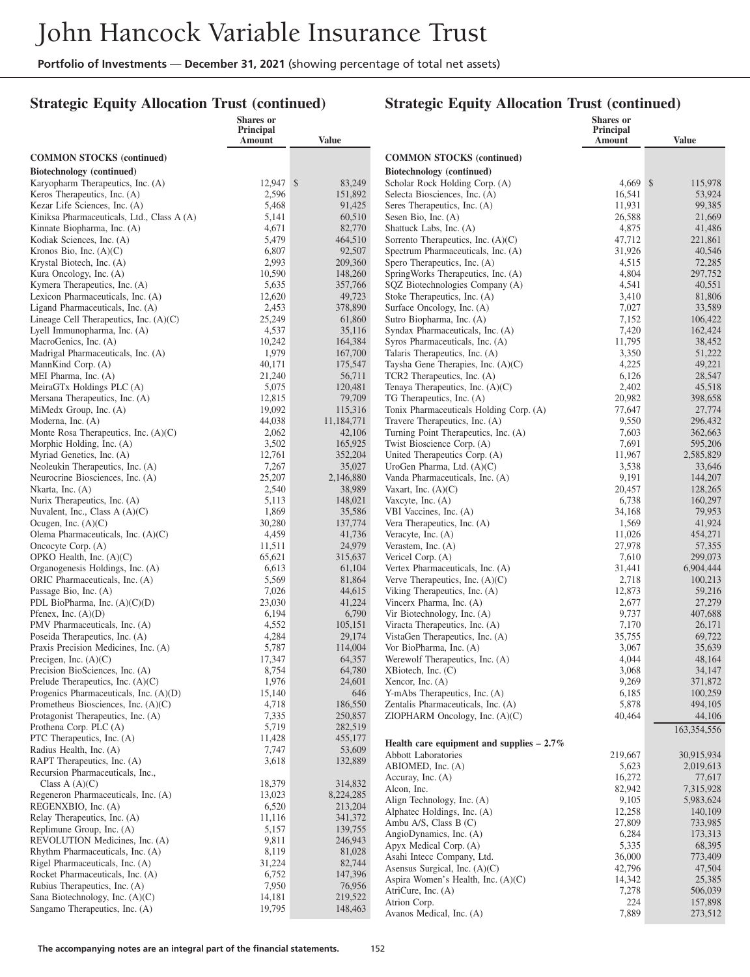#### **Strategic Equity Allocation Trust (continued)**

|                                                                               | Shares or<br>Principal |                      |                                                                           | Shares or<br><b>Principal</b> |                    |
|-------------------------------------------------------------------------------|------------------------|----------------------|---------------------------------------------------------------------------|-------------------------------|--------------------|
|                                                                               | Amount                 | Value                |                                                                           | Amount                        | <b>Value</b>       |
| <b>COMMON STOCKS</b> (continued)                                              |                        |                      | <b>COMMON STOCKS</b> (continued)                                          |                               |                    |
| Biotechnology (continued)                                                     |                        |                      | <b>Biotechnology</b> (continued)                                          |                               |                    |
| Karyopharm Therapeutics, Inc. (A)                                             | 12,947 \$              | 83,249               | Scholar Rock Holding Corp. (A)                                            | $4,669$ \$                    | 115,978            |
| Keros Therapeutics, Inc. (A)                                                  | 2,596                  | 151,892              | Selecta Biosciences, Inc. (A)                                             | 16,541                        | 53,924             |
| Kezar Life Sciences, Inc. (A)                                                 | 5,468                  | 91,425               | Seres Therapeutics, Inc. (A)                                              | 11,931                        | 99,385             |
| Kiniksa Pharmaceuticals, Ltd., Class A (A)                                    | 5,141                  | 60,510               | Sesen Bio, Inc. (A)                                                       | 26,588<br>4,875               | 21,669             |
| Kinnate Biopharma, Inc. (A)<br>Kodiak Sciences, Inc. (A)                      | 4,671<br>5,479         | 82,770<br>464,510    | Shattuck Labs, Inc. (A)<br>Sorrento Therapeutics, Inc. $(A)(C)$           | 47,712                        | 41,486<br>221,861  |
| Kronos Bio, Inc. $(A)(C)$                                                     | 6,807                  | 92,507               | Spectrum Pharmaceuticals, Inc. (A)                                        | 31,926                        | 40,546             |
| Krystal Biotech, Inc. (A)                                                     | 2,993                  | 209,360              | Spero Therapeutics, Inc. (A)                                              | 4,515                         | 72,285             |
| Kura Oncology, Inc. (A)                                                       | 10,590                 | 148,260              | SpringWorks Therapeutics, Inc. (A)                                        | 4,804                         | 297,752            |
| Kymera Therapeutics, Inc. (A)                                                 | 5,635                  | 357,766              | SQZ Biotechnologies Company (A)                                           | 4,541                         | 40,551             |
| Lexicon Pharmaceuticals, Inc. (A)                                             | 12,620                 | 49,723               | Stoke Therapeutics, Inc. (A)                                              | 3,410                         | 81,806             |
| Ligand Pharmaceuticals, Inc. (A)                                              | 2,453                  | 378,890              | Surface Oncology, Inc. (A)                                                | 7,027                         | 33,589             |
| Lineage Cell Therapeutics, Inc. $(A)(C)$<br>Lyell Immunopharma, Inc. (A)      | 25,249<br>4,537        | 61,860<br>35,116     | Sutro Biopharma, Inc. (A)<br>Syndax Pharmaceuticals, Inc. (A)             | 7,152<br>7,420                | 106,422<br>162,424 |
| MacroGenics, Inc. (A)                                                         | 10,242                 | 164,384              | Syros Pharmaceuticals, Inc. (A)                                           | 11,795                        | 38,452             |
| Madrigal Pharmaceuticals, Inc. (A)                                            | 1,979                  | 167,700              | Talaris Therapeutics, Inc. (A)                                            | 3,350                         | 51,222             |
| MannKind Corp. (A)                                                            | 40,171                 | 175,547              | Taysha Gene Therapies, Inc. $(A)(C)$                                      | 4,225                         | 49,221             |
| MEI Pharma, Inc. (A)                                                          | 21,240                 | 56,711               | TCR2 Therapeutics, Inc. (A)                                               | 6,126                         | 28,547             |
| MeiraGTx Holdings PLC (A)                                                     | 5,075                  | 120,481              | Tenaya Therapeutics, Inc. (A)(C)                                          | 2,402                         | 45,518             |
| Mersana Therapeutics, Inc. (A)                                                | 12,815                 | 79,709               | TG Therapeutics, Inc. (A)                                                 | 20,982                        | 398,658            |
| MiMedx Group, Inc. (A)                                                        | 19,092                 | 115,316              | Tonix Pharmaceuticals Holding Corp. (A)                                   | 77,647                        | 27,774             |
| Moderna, Inc. (A)<br>Monte Rosa Therapeutics, Inc. (A)(C)                     | 44,038<br>2,062        | 11,184,771<br>42,106 | Travere Therapeutics, Inc. (A)<br>Turning Point Therapeutics, Inc. (A)    | 9,550<br>7,603                | 296,432<br>362,663 |
| Morphic Holding, Inc. (A)                                                     | 3,502                  | 165,925              | Twist Bioscience Corp. (A)                                                | 7,691                         | 595,206            |
| Myriad Genetics, Inc. (A)                                                     | 12,761                 | 352,204              | United Therapeutics Corp. (A)                                             | 11,967                        | 2,585,829          |
| Neoleukin Therapeutics, Inc. (A)                                              | 7,267                  | 35,027               | UroGen Pharma, Ltd. (A)(C)                                                | 3,538                         | 33,646             |
| Neurocrine Biosciences, Inc. (A)                                              | 25,207                 | 2,146,880            | Vanda Pharmaceuticals, Inc. (A)                                           | 9,191                         | 144,207            |
| Nkarta, Inc. (A)                                                              | 2,540                  | 38,989               | Vaxart, Inc. $(A)(C)$                                                     | 20,457                        | 128,265            |
| Nurix Therapeutics, Inc. (A)                                                  | 5,113                  | 148,021              | Vaxcyte, Inc. $(A)$                                                       | 6,738                         | 160,297            |
| Nuvalent, Inc., Class A (A)(C)                                                | 1,869<br>30,280        | 35,586<br>137,774    | VBI Vaccines, Inc. (A)<br>Vera Therapeutics, Inc. (A)                     | 34,168<br>1,569               | 79,953<br>41,924   |
| Ocugen, Inc. $(A)(C)$<br>Olema Pharmaceuticals, Inc. (A)(C)                   | 4,459                  | 41,736               | Veracyte, Inc. (A)                                                        | 11,026                        | 454,271            |
| Oncocyte Corp. (A)                                                            | 11,511                 | 24,979               | Verastem, Inc. $(A)$                                                      | 27,978                        | 57,355             |
| OPKO Health, Inc. (A)(C)                                                      | 65,621                 | 315,637              | Vericel Corp. (A)                                                         | 7,610                         | 299,073            |
| Organogenesis Holdings, Inc. (A)                                              | 6,613                  | 61,104               | Vertex Pharmaceuticals, Inc. (A)                                          | 31,441                        | 6,904,444          |
| ORIC Pharmaceuticals, Inc. (A)                                                | 5,569                  | 81,864               | Verve Therapeutics, Inc. $(A)(C)$                                         | 2,718                         | 100,213            |
| Passage Bio, Inc. (A)                                                         | 7,026                  | 44,615               | Viking Therapeutics, Inc. (A)                                             | 12,873                        | 59,216             |
| PDL BioPharma, Inc. (A)(C)(D)                                                 | 23,030                 | 41,224               | Vincerx Pharma, Inc. (A)                                                  | 2,677                         | 27,279             |
| Pfenex, Inc. $(A)(D)$<br>PMV Pharmaceuticals, Inc. (A)                        | 6,194<br>4,552         | 6,790<br>105,151     | Vir Biotechnology, Inc. (A)<br>Viracta Therapeutics, Inc. (A)             | 9,737<br>7,170                | 407,688<br>26,171  |
| Poseida Therapeutics, Inc. (A)                                                | 4,284                  | 29,174               | VistaGen Therapeutics, Inc. (A)                                           | 35,755                        | 69,722             |
| Praxis Precision Medicines, Inc. (A)                                          | 5,787                  | 114,004              | Vor BioPharma, Inc. (A)                                                   | 3,067                         | 35,639             |
| Precigen, Inc. $(A)(C)$                                                       | 17,347                 | 64,357               | Werewolf Therapeutics, Inc. (A)                                           | 4,044                         | 48,164             |
| Precision BioSciences, Inc. (A)                                               | 8,754                  | 64,780               | XBiotech, Inc. (C)                                                        | 3,068                         | 34,147             |
| Prelude Therapeutics, Inc. $(A)(C)$                                           | 1,976                  | 24,601               | Xencor, Inc. (A)                                                          | 9,269                         | 371,872            |
| Progenics Pharmaceuticals, Inc. (A)(D)<br>Prometheus Biosciences, Inc. (A)(C) | 15,140                 | 646                  | Y-mAbs Therapeutics, Inc. (A)                                             | 6,185                         | 100,259            |
| Protagonist Therapeutics, Inc. (A)                                            | 4,718<br>7,335         | 186,550<br>250,857   | Zentalis Pharmaceuticals, Inc. (A)<br>$ZIOPHARM$ Oncology, Inc. $(A)(C)$  | 5,878<br>40,464               | 494,105<br>44,106  |
| Prothena Corp. PLC (A)                                                        | 5,719                  | 282,519              |                                                                           |                               | 163,354,556        |
| PTC Therapeutics, Inc. (A)                                                    | 11,428                 | 455,177              |                                                                           |                               |                    |
| Radius Health, Inc. (A)                                                       | 7,747                  | 53,609               | Health care equipment and supplies $-2.7\%$<br><b>Abbott Laboratories</b> | 219,667                       | 30,915,934         |
| RAPT Therapeutics, Inc. (A)                                                   | 3,618                  | 132,889              | ABIOMED, Inc. (A)                                                         | 5,623                         | 2,019,613          |
| Recursion Pharmaceuticals, Inc.,                                              |                        |                      | Accuray, Inc. $(A)$                                                       | 16,272                        | 77,617             |
| Class $A(A)(C)$                                                               | 18,379                 | 314,832              | Alcon, Inc.                                                               | 82,942                        | 7,315,928          |
| Regeneron Pharmaceuticals, Inc. (A)<br>REGENXBIO, Inc. (A)                    | 13,023<br>6,520        | 8,224,285<br>213,204 | Align Technology, Inc. (A)                                                | 9,105                         | 5,983,624          |
| Relay Therapeutics, Inc. (A)                                                  | 11,116                 | 341,372              | Alphatec Holdings, Inc. (A)                                               | 12,258                        | 140,109            |
| Replimune Group, Inc. (A)                                                     | 5,157                  | 139,755              | Ambu A/S, Class B (C)                                                     | 27,809                        | 733,985            |
| REVOLUTION Medicines, Inc. (A)                                                | 9,811                  | 246,943              | AngioDynamics, Inc. (A)<br>Apyx Medical Corp. (A)                         | 6,284                         | 173,313            |
| Rhythm Pharmaceuticals, Inc. (A)                                              | 8,119                  | 81,028               | Asahi Intecc Company, Ltd.                                                | 5,335<br>36,000               | 68,395<br>773,409  |
| Rigel Pharmaceuticals, Inc. (A)                                               | 31,224                 | 82,744               | Asensus Surgical, Inc. $(A)(C)$                                           | 42,796                        | 47,504             |
| Rocket Pharmaceuticals, Inc. (A)                                              | 6,752                  | 147,396              | Aspira Women's Health, Inc. $(A)(C)$                                      | 14,342                        | 25,385             |
| Rubius Therapeutics, Inc. (A)                                                 | 7,950<br>14,181        | 76,956<br>219,522    | AtriCure, Inc. (A)                                                        | 7,278                         | 506,039            |
| Sana Biotechnology, Inc. (A)(C)<br>Sangamo Therapeutics, Inc. (A)             | 19,795                 | 148,463              | Atrion Corp.                                                              | 224                           | 157,898            |
|                                                                               |                        |                      | Avanos Medical, Inc. (A)                                                  | 7,889                         | 273,512            |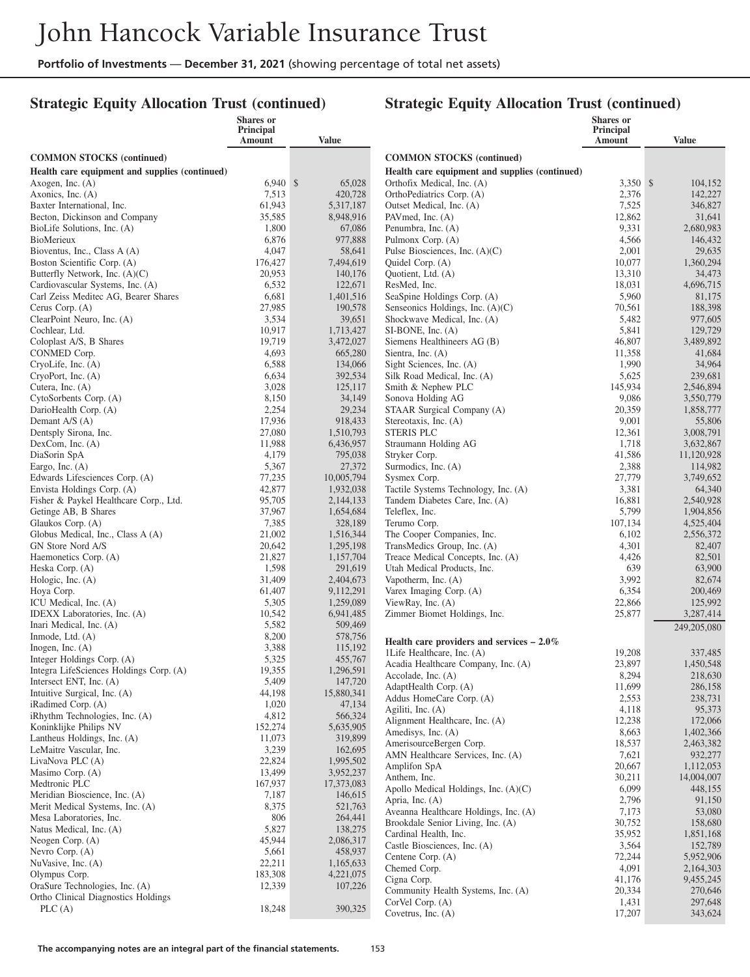#### **Strategic Equity Allocation Trust (continued)**

|                                                                      | Shares or           |                        |                                                              | <b>Shares</b> or           |                        |
|----------------------------------------------------------------------|---------------------|------------------------|--------------------------------------------------------------|----------------------------|------------------------|
|                                                                      | Principal<br>Amount | Value                  |                                                              | <b>Principal</b><br>Amount | <b>Value</b>           |
| <b>COMMON STOCKS</b> (continued)                                     |                     |                        | <b>COMMON STOCKS</b> (continued)                             |                            |                        |
| Health care equipment and supplies (continued)                       |                     |                        | Health care equipment and supplies (continued)               |                            |                        |
| Axogen, Inc. (A)                                                     | $6,940$ \$          | 65,028                 | Orthofix Medical, Inc. (A)                                   | 3,350 \$                   | 104,152                |
| Axonics, Inc. (A)                                                    | 7,513               | 420,728                | OrthoPediatrics Corp. (A)                                    | 2,376                      | 142,227                |
| Baxter International, Inc.                                           | 61,943              | 5,317,187              | Outset Medical, Inc. (A)                                     | 7,525                      | 346,827                |
| Becton, Dickinson and Company                                        | 35,585              | 8,948,916              | PAVmed, Inc. (A)                                             | 12,862                     | 31,641                 |
| BioLife Solutions, Inc. (A)                                          | 1,800               | 67,086                 | Penumbra, Inc. (A)                                           | 9,331                      | 2,680,983              |
| BioMerieux                                                           | 6,876               | 977,888                | Pulmonx Corp. (A)                                            | 4,566                      | 146,432                |
| Bioventus, Inc., Class A (A)                                         | 4,047               | 58,641                 | Pulse Biosciences, Inc. $(A)(C)$                             | 2,001                      | 29,635                 |
| Boston Scientific Corp. (A)                                          | 176,427             | 7,494,619              | Quidel Corp. (A)                                             | 10,077                     | 1,360,294              |
| Butterfly Network, Inc. (A)(C)                                       | 20,953              | 140,176                | Quotient, Ltd. (A)                                           | 13,310                     | 34,473                 |
| Cardiovascular Systems, Inc. (A)                                     | 6,532               | 122,671                | ResMed, Inc.                                                 | 18,031                     | 4,696,715              |
| Carl Zeiss Meditec AG, Bearer Shares                                 | 6,681               | 1,401,516              | SeaSpine Holdings Corp. (A)                                  | 5,960                      | 81,175                 |
| Cerus Corp. (A)                                                      | 27,985<br>3,534     | 190,578                | Senseonics Holdings, Inc. (A)(C)                             | 70,561                     | 188,398                |
| ClearPoint Neuro, Inc. (A)<br>Cochlear, Ltd.                         | 10,917              | 39,651<br>1,713,427    | Shockwave Medical, Inc. (A)<br>$SI-BONE$ , Inc. $(A)$        | 5,482<br>5,841             | 977,605<br>129,729     |
| Coloplast A/S, B Shares                                              | 19,719              | 3,472,027              | Siemens Healthineers AG (B)                                  | 46,807                     | 3,489,892              |
| CONMED Corp.                                                         | 4,693               | 665,280                | Sientra, Inc. (A)                                            | 11,358                     | 41,684                 |
| CryoLife, Inc. (A)                                                   | 6,588               | 134,066                | Sight Sciences, Inc. (A)                                     | 1,990                      | 34,964                 |
| CryoPort, Inc. (A)                                                   | 6,634               | 392,534                | Silk Road Medical, Inc. (A)                                  | 5,625                      | 239,681                |
| Cutera, Inc. $(A)$                                                   | 3,028               | 125,117                | Smith & Nephew PLC                                           | 145,934                    | 2,546,894              |
| CytoSorbents Corp. (A)                                               | 8,150               | 34,149                 | Sonova Holding AG                                            | 9,086                      | 3,550,779              |
| DarioHealth Corp. (A)                                                | 2,254               | 29,234                 | STAAR Surgical Company (A)                                   | 20,359                     | 1,858,777              |
| Demant $A/S(A)$                                                      | 17,936              | 918,433                | Stereotaxis, Inc. (A)                                        | 9,001                      | 55,806                 |
| Dentsply Sirona, Inc.                                                | 27,080              | 1,510,793              | <b>STERIS PLC</b>                                            | 12,361                     | 3,008,791              |
| DexCom, Inc. (A)                                                     | 11,988              | 6,436,957              | Straumann Holding AG                                         | 1,718                      | 3,632,867              |
| DiaSorin SpA                                                         | 4,179               | 795,038                | Stryker Corp.                                                | 41,586                     | 11,120,928             |
| Eargo, Inc. $(A)$                                                    | 5,367               | 27,372                 | Surmodics, Inc. (A)                                          | 2,388                      | 114,982                |
| Edwards Lifesciences Corp. (A)                                       | 77,235              | 10,005,794             | Sysmex Corp.                                                 | 27,779                     | 3,749,652              |
| Envista Holdings Corp. (A)                                           | 42,877              | 1,932,038              | Tactile Systems Technology, Inc. (A)                         | 3,381                      | 64,340                 |
| Fisher & Paykel Healthcare Corp., Ltd.<br>Getinge AB, B Shares       | 95,705<br>37,967    | 2,144,133<br>1,654,684 | Tandem Diabetes Care, Inc. (A)<br>Teleflex, Inc.             | 16,881<br>5,799            | 2,540,928<br>1,904,856 |
| Glaukos Corp. (A)                                                    | 7,385               | 328,189                | Terumo Corp.                                                 | 107,134                    | 4,525,404              |
| Globus Medical, Inc., Class A (A)                                    | 21,002              | 1,516,344              | The Cooper Companies, Inc.                                   | 6,102                      | 2,556,372              |
| GN Store Nord A/S                                                    | 20,642              | 1,295,198              | TransMedics Group, Inc. (A)                                  | 4,301                      | 82,407                 |
| Haemonetics Corp. (A)                                                | 21,827              | 1,157,704              | Treace Medical Concepts, Inc. (A)                            | 4,426                      | 82,501                 |
| Heska Corp. (A)                                                      | 1,598               | 291,619                | Utah Medical Products, Inc.                                  | 639                        | 63,900                 |
| Hologic, Inc. (A)                                                    | 31,409              | 2,404,673              | Vapotherm, Inc. (A)                                          | 3,992                      | 82,674                 |
| Hoya Corp.                                                           | 61,407              | 9,112,291              | Varex Imaging Corp. (A)                                      | 6,354                      | 200,469                |
| ICU Medical, Inc. (A)                                                | 5,305               | 1,259,089              | ViewRay, Inc. (A)                                            | 22,866                     | 125,992                |
| IDEXX Laboratories, Inc. (A)                                         | 10,542              | 6,941,485              | Zimmer Biomet Holdings, Inc.                                 | 25,877                     | 3,287,414              |
| Inari Medical, Inc. (A)                                              | 5,582               | 509,469                |                                                              |                            | 249,205,080            |
| Inmode, Ltd. (A)                                                     | 8,200               | 578,756                | Health care providers and services $-2.0\%$                  |                            |                        |
| Inogen, Inc. $(A)$                                                   | 3,388               | 115,192                | 1Life Healthcare, Inc. (A)                                   | 19,208                     | 337,485                |
| Integer Holdings Corp. (A)                                           | 5,325               | 455,767                | Acadia Healthcare Company, Inc. (A)                          | 23,897                     | 1,450,548              |
| Integra LifeSciences Holdings Corp. (A)<br>Intersect ENT, Inc. $(A)$ | 19,355<br>5,409     | 1,296,591<br>147,720   | Accolade, Inc. $(A)$                                         | 8,294                      | 218,630                |
| Intuitive Surgical, Inc. (A)                                         | 44,198              | 15,880,341             | AdaptHealth Corp. (A)                                        | 11,699                     | 286,158                |
| iRadimed Corp. (A)                                                   | 1,020               | 47,134                 | Addus HomeCare Corp. (A)                                     | 2,553                      | 238,731                |
| iRhythm Technologies, Inc. (A)                                       | 4,812               | 566,324                | Agiliti, Inc. (A)                                            | 4,118                      | 95,373                 |
| Koninklijke Philips NV                                               | 152,274             | 5,635,905              | Alignment Healthcare, Inc. (A)                               | 12,238                     | 172,066                |
| Lantheus Holdings, Inc. (A)                                          | 11,073              | 319,899                | Amedisys, Inc. (A)                                           | 8,663                      | 1,402,366              |
| LeMaitre Vascular, Inc.                                              | 3,239               | 162,695                | AmerisourceBergen Corp.<br>AMN Healthcare Services, Inc. (A) | 18,537<br>7,621            | 2,463,382<br>932,277   |
| LivaNova PLC (A)                                                     | 22,824              | 1,995,502              | Amplifon SpA                                                 | 20,667                     | 1,112,053              |
| Masimo Corp. (A)                                                     | 13,499              | 3,952,237              | Anthem, Inc.                                                 | 30,211                     | 14,004,007             |
| Medtronic PLC                                                        | 167,937             | 17,373,083             | Apollo Medical Holdings, Inc. $(A)(C)$                       | 6,099                      | 448,155                |
| Meridian Bioscience, Inc. (A)                                        | 7,187               | 146,615                | Apria, Inc. (A)                                              | 2,796                      | 91,150                 |
| Merit Medical Systems, Inc. (A)                                      | 8,375               | 521,763                | Aveanna Healthcare Holdings, Inc. (A)                        | 7,173                      | 53,080                 |
| Mesa Laboratories, Inc.                                              | 806                 | 264,441                | Brookdale Senior Living, Inc. (A)                            | 30,752                     | 158,680                |
| Natus Medical, Inc. (A)                                              | 5,827               | 138,275                | Cardinal Health, Inc.                                        | 35,952                     | 1,851,168              |
| Neogen Corp. $(A)$<br>Nevro Corp. (A)                                | 45,944<br>5,661     | 2,086,317<br>458,937   | Castle Biosciences, Inc. (A)                                 | 3,564                      | 152,789                |
| NuVasive, Inc. (A)                                                   | 22,211              | 1,165,633              | Centene Corp. (A)                                            | 72,244                     | 5,952,906              |
| Olympus Corp.                                                        | 183,308             | 4,221,075              | Chemed Corp.                                                 | 4,091                      | 2,164,303              |
| OraSure Technologies, Inc. (A)                                       | 12,339              | 107,226                | Cigna Corp.                                                  | 41,176                     | 9,455,245              |
| Ortho Clinical Diagnostics Holdings                                  |                     |                        | Community Health Systems, Inc. (A)                           | 20,334                     | 270,646                |
| PLC(A)                                                               | 18,248              | 390,325                | CorVel Corp. (A)<br>Covetrus, Inc. $(A)$                     | 1,431                      | 297,648<br>343,624     |
|                                                                      |                     |                        |                                                              | 17,207                     |                        |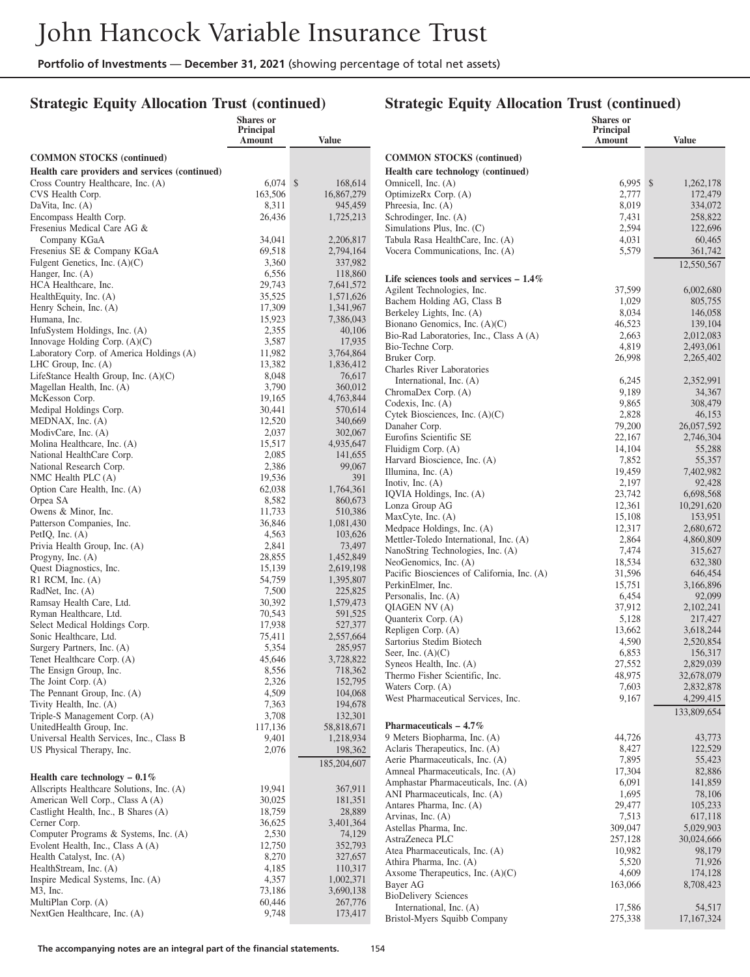## **Strategic Equity Allocation Trust (continued)**

|                                                     | Shares or<br>Principal |                        |                                                                      | <b>Shares</b> or<br>Principal |                        |
|-----------------------------------------------------|------------------------|------------------------|----------------------------------------------------------------------|-------------------------------|------------------------|
|                                                     | Amount                 | <b>Value</b>           |                                                                      | Amount                        | <b>Value</b>           |
| <b>COMMON STOCKS</b> (continued)                    |                        |                        | <b>COMMON STOCKS</b> (continued)                                     |                               |                        |
| Health care providers and services (continued)      |                        |                        | Health care technology (continued)                                   |                               |                        |
| Cross Country Healthcare, Inc. (A)                  | $6,074$ \$             | 168,614                | Omnicell, Inc. (A)                                                   | $6.995$ \$                    | 1,262,178              |
| CVS Health Corp.                                    | 163,506                | 16,867,279             | OptimizeRx Corp. (A)                                                 | 2,777                         | 172,479                |
| DaVita, Inc. $(A)$                                  | 8,311                  | 945,459                | Phreesia, Inc. (A)                                                   | 8,019                         | 334,072                |
| Encompass Health Corp.                              | 26,436                 | 1,725,213              | Schrodinger, Inc. (A)                                                | 7,431                         | 258,822                |
| Fresenius Medical Care AG &                         |                        |                        | Simulations Plus, Inc. (C)                                           | 2,594                         | 122,696                |
| Company KGaA                                        | 34,041                 | 2,206,817              | Tabula Rasa HealthCare, Inc. (A)                                     | 4,031                         | 60,465                 |
| Fresenius SE & Company KGaA                         | 69,518                 | 2,794,164              | Vocera Communications, Inc. (A)                                      | 5,579                         | 361,742                |
| Fulgent Genetics, Inc. $(A)(C)$                     | 3,360                  | 337,982                |                                                                      |                               | 12,550,567             |
| Hanger, Inc. (A)<br>HCA Healthcare, Inc.            | 6,556<br>29,743        | 118,860                | Life sciences tools and services $-1.4\%$                            |                               |                        |
| HealthEquity, Inc. (A)                              | 35,525                 | 7,641,572<br>1,571,626 | Agilent Technologies, Inc.                                           | 37,599                        | 6,002,680              |
| Henry Schein, Inc. (A)                              | 17,309                 | 1,341,967              | Bachem Holding AG, Class B                                           | 1,029                         | 805,755                |
| Humana, Inc.                                        | 15,923                 | 7,386,043              | Berkeley Lights, Inc. (A)                                            | 8,034                         | 146,058                |
| InfuSystem Holdings, Inc. (A)                       | 2,355                  | 40,106                 | Bionano Genomics, Inc. (A)(C)                                        | 46,523                        | 139,104                |
| Innovage Holding Corp. (A)(C)                       | 3,587                  | 17,935                 | Bio-Rad Laboratories, Inc., Class A (A)                              | 2,663<br>4,819                | 2,012,083<br>2,493,061 |
| Laboratory Corp. of America Holdings (A)            | 11,982                 | 3,764,864              | Bio-Techne Corp.<br>Bruker Corp.                                     | 26,998                        | 2,265,402              |
| LHC Group, Inc. (A)                                 | 13,382                 | 1,836,412              | <b>Charles River Laboratories</b>                                    |                               |                        |
| LifeStance Health Group, Inc. (A)(C)                | 8,048                  | 76,617                 | International, Inc. (A)                                              | 6,245                         | 2,352,991              |
| Magellan Health, Inc. (A)                           | 3,790                  | 360,012                | ChromaDex Corp. (A)                                                  | 9,189                         | 34,367                 |
| McKesson Corp.                                      | 19,165                 | 4,763,844              | Codexis, Inc. $(A)$                                                  | 9,865                         | 308,479                |
| Medipal Holdings Corp.                              | 30,441                 | 570,614                | Cytek Biosciences, Inc. (A)(C)                                       | 2,828                         | 46,153                 |
| MEDNAX, Inc. $(A)$<br>ModivCare, Inc. (A)           | 12,520<br>2,037        | 340,669                | Danaher Corp.                                                        | 79,200                        | 26,057,592             |
| Molina Healthcare, Inc. (A)                         | 15,517                 | 302,067<br>4,935,647   | Eurofins Scientific SE                                               | 22,167                        | 2,746,304              |
| National HealthCare Corp.                           | 2,085                  | 141,655                | Fluidigm Corp. (A)                                                   | 14,104                        | 55,288                 |
| National Research Corp.                             | 2,386                  | 99,067                 | Harvard Bioscience, Inc. (A)                                         | 7,852                         | 55,357                 |
| NMC Health PLC $(A)$                                | 19,536                 | 391                    | Illumina, Inc. $(A)$                                                 | 19,459<br>2,197               | 7,402,982              |
| Option Care Health, Inc. (A)                        | 62,038                 | 1,764,361              | Inotiv, Inc. $(A)$<br>IQVIA Holdings, Inc. (A)                       | 23,742                        | 92,428<br>6,698,568    |
| Orpea SA                                            | 8,582                  | 860,673                | Lonza Group AG                                                       | 12,361                        | 10,291,620             |
| Owens & Minor, Inc.                                 | 11,733                 | 510,386                | MaxCyte, Inc. (A)                                                    | 15,108                        | 153,951                |
| Patterson Companies, Inc.                           | 36,846                 | 1,081,430              | Medpace Holdings, Inc. (A)                                           | 12,317                        | 2,680,672              |
| PetIQ, Inc. $(A)$                                   | 4,563                  | 103,626                | Mettler-Toledo International, Inc. (A)                               | 2,864                         | 4,860,809              |
| Privia Health Group, Inc. (A)                       | 2,841<br>28,855        | 73,497                 | NanoString Technologies, Inc. (A)                                    | 7,474                         | 315,627                |
| Progyny, Inc. $(A)$<br>Quest Diagnostics, Inc.      | 15,139                 | 1,452,849<br>2,619,198 | NeoGenomics, Inc. (A)                                                | 18,534                        | 632,380                |
| $R1$ RCM, Inc. $(A)$                                | 54,759                 | 1,395,807              | Pacific Biosciences of California, Inc. (A)                          | 31,596                        | 646,454                |
| RadNet, Inc. (A)                                    | 7,500                  | 225,825                | PerkinElmer, Inc.                                                    | 15,751                        | 3,166,896              |
| Ramsay Health Care, Ltd.                            | 30,392                 | 1,579,473              | Personalis, Inc. (A)                                                 | 6,454                         | 92,099                 |
| Ryman Healthcare, Ltd.                              | 70,543                 | 591,525                | QIAGEN NV (A)<br>Quanterix Corp. (A)                                 | 37,912<br>5,128               | 2,102,241<br>217,427   |
| Select Medical Holdings Corp.                       | 17,938                 | 527,377                | Repligen Corp. (A)                                                   | 13,662                        | 3,618,244              |
| Sonic Healthcare, Ltd.                              | 75,411                 | 2,557,664              | Sartorius Stedim Biotech                                             | 4,590                         | 2,520,854              |
| Surgery Partners, Inc. (A)                          | 5,354                  | 285,957                | Seer, Inc. $(A)(C)$                                                  | 6,853                         | 156,317                |
| Tenet Healthcare Corp. (A)                          | 45,646                 | 3,728,822              | Syneos Health, Inc. (A)                                              | 27,552                        | 2,829,039              |
| The Ensign Group, Inc.                              | 8,556                  | 718,362                | Thermo Fisher Scientific, Inc.                                       | 48,975                        | 32,678,079             |
| The Joint Corp. (A)<br>The Pennant Group, Inc. (A)  | 2,326<br>4,509         | 152,795<br>104,068     | Waters Corp. (A)                                                     | 7,603                         | 2,832,878              |
| Tivity Health, Inc. (A)                             | 7,363                  | 194,678                | West Pharmaceutical Services, Inc.                                   | 9,167                         | 4,299,415              |
| Triple-S Management Corp. (A)                       | 3,708                  | 132,301                |                                                                      |                               | 133,809,654            |
| UnitedHealth Group, Inc.                            | 117,136                | 58,818,671             | Pharmaceuticals $-4.7\%$                                             |                               |                        |
| Universal Health Services, Inc., Class B            | 9,401                  | 1,218,934              | 9 Meters Biopharma, Inc. (A)                                         | 44,726                        | 43,773                 |
| US Physical Therapy, Inc.                           | 2,076                  | 198,362                | Aclaris Therapeutics, Inc. (A)                                       | 8,427                         | 122,529                |
|                                                     |                        | 185,204,607            | Aerie Pharmaceuticals, Inc. (A)                                      | 7,895                         | 55,423                 |
| Health care technology $-0.1\%$                     |                        |                        | Amneal Pharmaceuticals, Inc. (A)                                     | 17,304                        | 82,886                 |
| Allscripts Healthcare Solutions, Inc. (A)           | 19,941                 | 367,911                | Amphastar Pharmaceuticals, Inc. (A)<br>ANI Pharmaceuticals, Inc. (A) | 6,091<br>1,695                | 141,859<br>78,106      |
| American Well Corp., Class A (A)                    | 30,025                 | 181,351                | Antares Pharma, Inc. (A)                                             | 29,477                        | 105,233                |
| Castlight Health, Inc., B Shares (A)                | 18,759                 | 28,889                 | Arvinas, Inc. (A)                                                    | 7,513                         | 617,118                |
| Cerner Corp.                                        | 36,625                 | 3,401,364              | Astellas Pharma, Inc.                                                | 309,047                       | 5,029,903              |
| Computer Programs & Systems, Inc. (A)               | 2,530                  | 74,129                 | AstraZeneca PLC                                                      | 257,128                       | 30,024,666             |
| Evolent Health, Inc., Class A (A)                   | 12,750                 | 352,793                | Atea Pharmaceuticals, Inc. (A)                                       | 10,982                        | 98,179                 |
| Health Catalyst, Inc. (A)<br>HealthStream, Inc. (A) | 8,270                  | 327,657                | Athira Pharma, Inc. (A)                                              | 5,520                         | 71,926                 |
| Inspire Medical Systems, Inc. (A)                   | 4,185<br>4,357         | 110,317<br>1,002,371   | Axsome Therapeutics, Inc. $(A)(C)$                                   | 4,609                         | 174,128                |
| $M3$ , Inc.                                         | 73,186                 | 3,690,138              | Bayer AG                                                             | 163,066                       | 8,708,423              |
| MultiPlan Corp. (A)                                 | 60,446                 | 267,776                | <b>BioDelivery Sciences</b>                                          |                               |                        |
| NextGen Healthcare, Inc. (A)                        | 9,748                  | 173,417                | International, Inc. (A)                                              | 17,586                        | 54,517                 |
|                                                     |                        |                        | Bristol-Myers Squibb Company                                         | 275,338                       | 17, 167, 324           |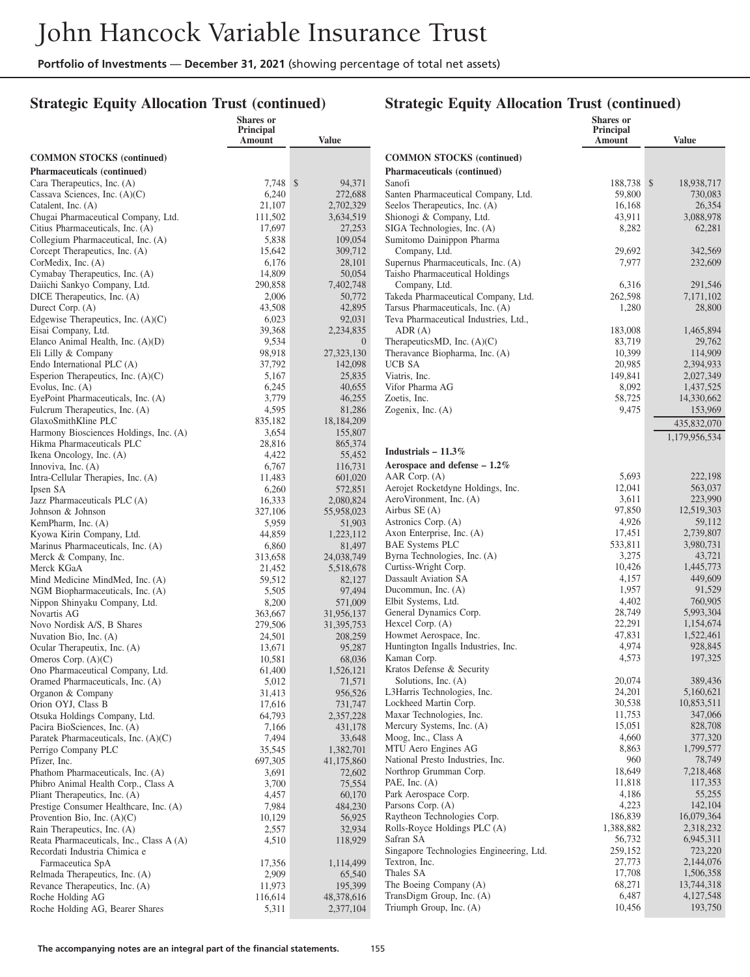**Shares or**

#### **Strategic Equity Allocation Trust (continued)**

#### **Strategic Equity Allocation Trust (continued)**

**Shares or**

|                                                                         | Principal<br>Amount | Value               |                                                                         | Principal<br>Amount  | Value                   |
|-------------------------------------------------------------------------|---------------------|---------------------|-------------------------------------------------------------------------|----------------------|-------------------------|
| <b>COMMON STOCKS</b> (continued)                                        |                     |                     | <b>COMMON STOCKS</b> (continued)                                        |                      |                         |
| Pharmaceuticals (continued)                                             |                     |                     | Pharmaceuticals (continued)                                             |                      |                         |
| Cara Therapeutics, Inc. (A)                                             | 7,748 \$            | 94,371              | Sanofi                                                                  | 188,738 \$           | 18,938,717              |
| Cassava Sciences, Inc. $(A)(C)$                                         | 6,240               | 272,688             | Santen Pharmaceutical Company, Ltd.                                     | 59,800               | 730,083                 |
| Catalent, Inc. $(A)$                                                    | 21,107              | 2,702,329           | Seelos Therapeutics, Inc. (A)                                           | 16,168               | 26,354                  |
| Chugai Pharmaceutical Company, Ltd.<br>Citius Pharmaceuticals, Inc. (A) | 111,502<br>17,697   | 3,634,519<br>27,253 | Shionogi & Company, Ltd.<br>SIGA Technologies, Inc. (A)                 | 43,911<br>8,282      | 3,088,978<br>62,281     |
| Collegium Pharmaceutical, Inc. (A)                                      | 5,838               | 109,054             | Sumitomo Dainippon Pharma                                               |                      |                         |
| Corcept Therapeutics, Inc. (A)                                          | 15,642              | 309,712             | Company, Ltd.                                                           | 29,692               | 342,569                 |
| CorMedix, Inc. (A)                                                      | 6,176               | 28,101              | Supernus Pharmaceuticals, Inc. (A)                                      | 7,977                | 232,609                 |
| Cymabay Therapeutics, Inc. (A)                                          | 14,809              | 50,054              | Taisho Pharmaceutical Holdings                                          |                      |                         |
| Daiichi Sankyo Company, Ltd.                                            | 290,858             | 7,402,748           | Company, Ltd.                                                           | 6,316                | 291,546                 |
| DICE Therapeutics, Inc. (A)<br>Durect Corp. (A)                         | 2,006<br>43,508     | 50,772<br>42,895    | Takeda Pharmaceutical Company, Ltd.<br>Tarsus Pharmaceuticals, Inc. (A) | 262,598<br>1,280     | 7,171,102<br>28,800     |
| Edgewise Therapeutics, Inc. $(A)(C)$                                    | 6,023               | 92,031              | Teva Pharmaceutical Industries, Ltd.,                                   |                      |                         |
| Eisai Company, Ltd.                                                     | 39,368              | 2,234,835           | ADR(A)                                                                  | 183,008              | 1,465,894               |
| Elanco Animal Health, Inc. (A)(D)                                       | 9,534               | $\overline{0}$      | TherapeuticsMD, Inc. $(A)(C)$                                           | 83,719               | 29,762                  |
| Eli Lilly & Company                                                     | 98,918              | 27,323,130          | Theravance Biopharma, Inc. (A)                                          | 10,399               | 114,909                 |
| Endo International PLC (A)                                              | 37,792              | 142,098             | <b>UCB SA</b>                                                           | 20,985               | 2,394,933               |
| Esperion Therapeutics, Inc. $(A)(C)$                                    | 5,167               | 25,835              | Viatris, Inc.                                                           | 149,841              | 2,027,349               |
| Evolus, Inc. $(A)$<br>EyePoint Pharmaceuticals, Inc. (A)                | 6,245<br>3,779      | 40,655<br>46,255    | Vifor Pharma AG<br>Zoetis, Inc.                                         | 8,092<br>58,725      | 1,437,525<br>14,330,662 |
| Fulcrum Therapeutics, Inc. (A)                                          | 4,595               | 81,286              | Zogenix, Inc. $(A)$                                                     | 9,475                | 153,969                 |
| GlaxoSmithKline PLC                                                     | 835,182             | 18,184,209          |                                                                         |                      | 435,832,070             |
| Harmony Biosciences Holdings, Inc. (A)                                  | 3,654               | 155,807             |                                                                         |                      | 1,179,956,534           |
| Hikma Pharmaceuticals PLC                                               | 28,816              | 865,374             |                                                                         |                      |                         |
| Ikena Oncology, Inc. (A)                                                | 4,422               | 55,452              | Industrials $-11.3\%$                                                   |                      |                         |
| Innoviva, Inc. (A)                                                      | 6,767               | 116,731             | Aerospace and defense $-1.2\%$                                          | 5,693                | 222,198                 |
| Intra-Cellular Therapies, Inc. (A)<br>Ipsen SA                          | 11,483<br>6,260     | 601,020<br>572,851  | AAR Corp. (A)<br>Aerojet Rocketdyne Holdings, Inc.                      | 12,041               | 563,037                 |
| Jazz Pharmaceuticals PLC (A)                                            | 16,333              | 2,080,824           | AeroVironment, Inc. (A)                                                 | 3,611                | 223,990                 |
| Johnson & Johnson                                                       | 327,106             | 55,958,023          | Airbus SE (A)                                                           | 97,850               | 12,519,303              |
| KemPharm, Inc. (A)                                                      | 5,959               | 51,903              | Astronics Corp. (A)                                                     | 4,926                | 59,112                  |
| Kyowa Kirin Company, Ltd.                                               | 44,859              | 1,223,112           | Axon Enterprise, Inc. (A)                                               | 17,451               | 2,739,807               |
| Marinus Pharmaceuticals, Inc. (A)                                       | 6,860               | 81,497              | <b>BAE Systems PLC</b>                                                  | 533,811              | 3,980,731               |
| Merck & Company, Inc.                                                   | 313,658             | 24,038,749          | Byrna Technologies, Inc. (A)<br>Curtiss-Wright Corp.                    | 3,275<br>10,426      | 43,721<br>1,445,773     |
| Merck KGaA<br>Mind Medicine MindMed, Inc. (A)                           | 21,452<br>59,512    | 5,518,678<br>82,127 | Dassault Aviation SA                                                    | 4,157                | 449,609                 |
| NGM Biopharmaceuticals, Inc. (A)                                        | 5,505               | 97,494              | Ducommun, Inc. (A)                                                      | 1,957                | 91,529                  |
| Nippon Shinyaku Company, Ltd.                                           | 8,200               | 571,009             | Elbit Systems, Ltd.                                                     | 4,402                | 760,905                 |
| Novartis AG                                                             | 363,667             | 31,956,137          | General Dynamics Corp.                                                  | 28,749               | 5,993,304               |
| Novo Nordisk A/S, B Shares                                              | 279,506             | 31,395,753          | Hexcel Corp. (A)                                                        | 22,291               | 1,154,674               |
| Nuvation Bio, Inc. (A)                                                  | 24,501              | 208,259             | Howmet Aerospace, Inc.                                                  | 47,831               | 1,522,461               |
| Ocular Therapeutix, Inc. (A)                                            | 13,671              | 95,287<br>68,036    | Huntington Ingalls Industries, Inc.<br>Kaman Corp.                      | 4,974<br>4,573       | 928,845<br>197,325      |
| Omeros Corp. $(A)(C)$<br>Ono Pharmaceutical Company, Ltd.               | 10,581<br>61,400    | 1,526,121           | Kratos Defense & Security                                               |                      |                         |
| Oramed Pharmaceuticals, Inc. (A)                                        | 5,012               | 71,571              | Solutions, Inc. (A)                                                     | 20,074               | 389,436                 |
| Organon & Company                                                       | 31,413              | 956,526             | L3Harris Technologies, Inc.                                             | 24,201               | 5,160,621               |
| Orion OYJ, Class B                                                      | 17,616              | 731,747             | Lockheed Martin Corp.                                                   | 30,538               | 10,853,511              |
| Otsuka Holdings Company, Ltd.                                           | 64,793              | 2,357,228           | Maxar Technologies, Inc.                                                | 11,753               | 347,066                 |
| Pacira BioSciences, Inc. (A)                                            | 7,166               | 431,178             | Mercury Systems, Inc. (A)                                               | 15,051               | 828,708                 |
| Paratek Pharmaceuticals, Inc. (A)(C)<br>Perrigo Company PLC             | 7,494<br>35,545     | 33,648<br>1,382,701 | Moog, Inc., Class A<br>MTU Aero Engines AG                              | 4,660<br>8,863       | 377,320<br>1,799,577    |
| Pfizer, Inc.                                                            | 697,305             | 41,175,860          | National Presto Industries, Inc.                                        | 960                  | 78,749                  |
| Phathom Pharmaceuticals, Inc. (A)                                       | 3,691               | 72,602              | Northrop Grumman Corp.                                                  | 18,649               | 7,218,468               |
| Phibro Animal Health Corp., Class A                                     | 3,700               | 75,554              | PAE, Inc. $(A)$                                                         | 11,818               | 117,353                 |
| Pliant Therapeutics, Inc. (A)                                           | 4,457               | 60,170              | Park Aerospace Corp.                                                    | 4,186                | 55,255                  |
| Prestige Consumer Healthcare, Inc. (A)                                  | 7,984               | 484,230             | Parsons Corp. (A)                                                       | 4,223                | 142,104                 |
| Provention Bio, Inc. $(A)(C)$                                           | 10,129              | 56,925              | Raytheon Technologies Corp.<br>Rolls-Royce Holdings PLC (A)             | 186,839<br>1,388,882 | 16,079,364<br>2,318,232 |
| Rain Therapeutics, Inc. (A)<br>Reata Pharmaceuticals, Inc., Class A (A) | 2,557<br>4,510      | 32,934<br>118,929   | Safran SA                                                               | 56,732               | 6,945,311               |
| Recordati Industria Chimica e                                           |                     |                     | Singapore Technologies Engineering, Ltd.                                | 259,152              | 723,220                 |
| Farmaceutica SpA                                                        | 17,356              | 1,114,499           | Textron, Inc.                                                           | 27,773               | 2,144,076               |
| Relmada Therapeutics, Inc. (A)                                          | 2,909               | 65,540              | Thales SA                                                               | 17,708               | 1,506,358               |
| Revance Therapeutics, Inc. (A)                                          | 11,973              | 195,399             | The Boeing Company (A)                                                  | 68,271               | 13,744,318              |
| Roche Holding AG                                                        | 116,614             | 48,378,616          | TransDigm Group, Inc. (A)                                               | 6,487                | 4,127,548               |
| Roche Holding AG, Bearer Shares                                         | 5,311               | 2,377,104           | Triumph Group, Inc. (A)                                                 | 10,456               | 193,750                 |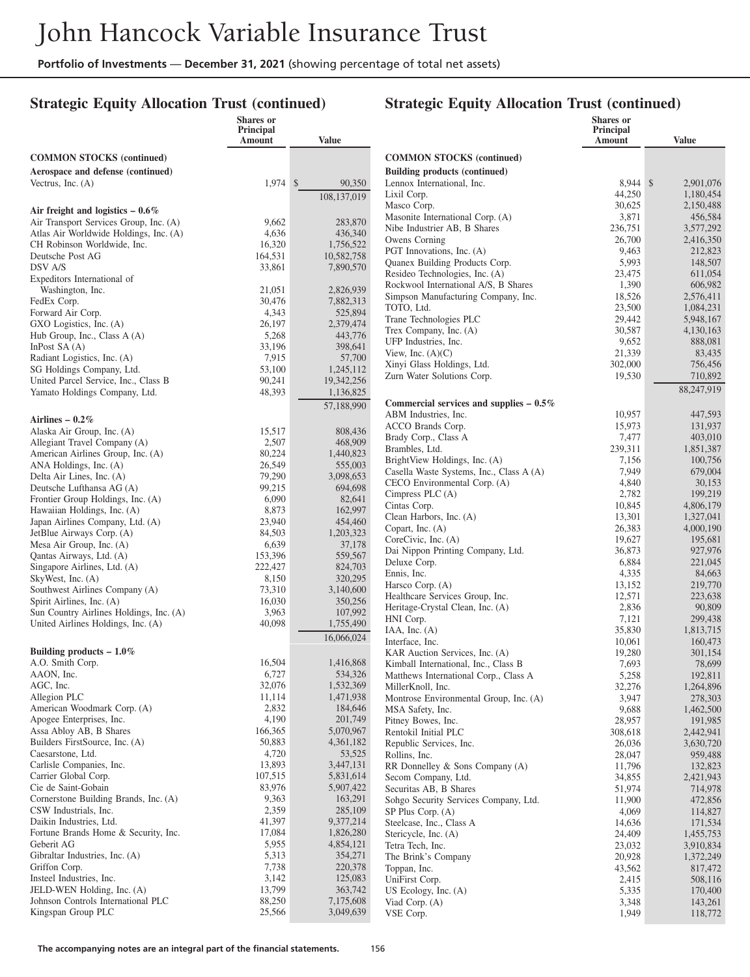## **Strategic Equity Allocation Trust (continued)**

#### **Strategic Equity Allocation Trust (continued)**

|                                                                      | <b>Shares</b> or<br>Principal<br>Amount | <b>Value</b>            |                                                                 | Shares or<br>Principal<br><b>Amount</b> | <b>Value</b>           |
|----------------------------------------------------------------------|-----------------------------------------|-------------------------|-----------------------------------------------------------------|-----------------------------------------|------------------------|
| <b>COMMON STOCKS (continued)</b>                                     |                                         |                         | <b>COMMON STOCKS</b> (continued)                                |                                         |                        |
| Aerospace and defense (continued)                                    |                                         |                         | <b>Building products (continued)</b>                            |                                         |                        |
| Vectrus, Inc. $(A)$                                                  | 1,974 \$                                | 90,350                  | Lennox International, Inc.                                      | 8,944 \$                                | 2,901,076              |
|                                                                      |                                         | 108,137,019             | Lixil Corp.                                                     | 44.250                                  | 1,180,454              |
| Air freight and logistics $-0.6\%$                                   |                                         |                         | Masco Corp.                                                     | 30,625                                  | 2,150,488              |
| Air Transport Services Group, Inc. (A)                               | 9,662                                   | 283,870                 | Masonite International Corp. (A)                                | 3,871                                   | 456,584                |
| Atlas Air Worldwide Holdings, Inc. (A)                               | 4,636                                   | 436,340                 | Nibe Industrier AB, B Shares<br>Owens Corning                   | 236,751<br>26,700                       | 3,577,292<br>2,416,350 |
| CH Robinson Worldwide, Inc.                                          | 16,320                                  | 1,756,522               | PGT Innovations, Inc. (A)                                       | 9,463                                   | 212,823                |
| Deutsche Post AG<br>DSV A/S                                          | 164,531<br>33,861                       | 10,582,758<br>7,890,570 | Quanex Building Products Corp.                                  | 5,993                                   | 148,507                |
| Expeditors International of                                          |                                         |                         | Resideo Technologies, Inc. (A)                                  | 23,475                                  | 611,054                |
| Washington, Inc.                                                     | 21,051                                  | 2,826,939               | Rockwool International A/S, B Shares                            | 1,390                                   | 606,982                |
| FedEx Corp.                                                          | 30,476                                  | 7,882,313               | Simpson Manufacturing Company, Inc.<br>TOTO, Ltd.               | 18,526<br>23,500                        | 2,576,411<br>1,084,231 |
| Forward Air Corp.                                                    | 4,343                                   | 525,894                 | Trane Technologies PLC                                          | 29,442                                  | 5,948,167              |
| GXO Logistics, Inc. (A)                                              | 26,197                                  | 2,379,474               | Trex Company, Inc. (A)                                          | 30,587                                  | 4,130,163              |
| Hub Group, Inc., Class A (A)<br>In Post SA $(A)$                     | 5,268<br>33,196                         | 443,776<br>398,641      | UFP Industries, Inc.                                            | 9,652                                   | 888,081                |
| Radiant Logistics, Inc. (A)                                          | 7,915                                   | 57,700                  | View, Inc. $(A)(C)$                                             | 21,339                                  | 83,435                 |
| SG Holdings Company, Ltd.                                            | 53,100                                  | 1,245,112               | Xinyi Glass Holdings, Ltd.                                      | 302,000                                 | 756,456                |
| United Parcel Service, Inc., Class B                                 | 90,241                                  | 19,342,256              | Zurn Water Solutions Corp.                                      | 19,530                                  | 710,892                |
| Yamato Holdings Company, Ltd.                                        | 48,393                                  | 1,136,825               |                                                                 |                                         | 88,247,919             |
|                                                                      |                                         | 57,188,990              | Commercial services and supplies $-0.5\%$                       |                                         |                        |
| Airlines $-0.2\%$                                                    |                                         |                         | ABM Industries, Inc.<br>ACCO Brands Corp.                       | 10,957<br>15,973                        | 447,593<br>131,937     |
| Alaska Air Group, Inc. (A)                                           | 15,517                                  | 808,436                 | Brady Corp., Class A                                            | 7,477                                   | 403,010                |
| Allegiant Travel Company (A)                                         | 2,507                                   | 468,909                 | Brambles, Ltd.                                                  | 239,311                                 | 1,851,387              |
| American Airlines Group, Inc. (A)<br>ANA Holdings, Inc. (A)          | 80,224<br>26,549                        | 1,440,823<br>555,003    | BrightView Holdings, Inc. (A)                                   | 7,156                                   | 100,756                |
| Delta Air Lines, Inc. (A)                                            | 79,290                                  | 3,098,653               | Casella Waste Systems, Inc., Class A (A)                        | 7,949                                   | 679,004                |
| Deutsche Lufthansa AG (A)                                            | 99,215                                  | 694,698                 | CECO Environmental Corp. (A)                                    | 4,840                                   | 30,153                 |
| Frontier Group Holdings, Inc. (A)                                    | 6,090                                   | 82,641                  | Cimpress PLC (A)<br>Cintas Corp.                                | 2,782<br>10,845                         | 199,219<br>4,806,179   |
| Hawaiian Holdings, Inc. (A)                                          | 8,873                                   | 162,997                 | Clean Harbors, Inc. (A)                                         | 13,301                                  | 1,327,041              |
| Japan Airlines Company, Ltd. (A)                                     | 23,940                                  | 454,460                 | Copart, Inc. $(A)$                                              | 26,383                                  | 4,000,190              |
| JetBlue Airways Corp. (A)<br>Mesa Air Group, Inc. (A)                | 84,503<br>6,639                         | 1,203,323<br>37,178     | CoreCivic, Inc. (A)                                             | 19,627                                  | 195,681                |
| Qantas Airways, Ltd. (A)                                             | 153,396                                 | 559,567                 | Dai Nippon Printing Company, Ltd.                               | 36,873                                  | 927,976                |
| Singapore Airlines, Ltd. (A)                                         | 222,427                                 | 824,703                 | Deluxe Corp.                                                    | 6,884                                   | 221,045                |
| SkyWest, Inc. (A)                                                    | 8,150                                   | 320,295                 | Ennis, Inc.<br>Harsco Corp. (A)                                 | 4,335<br>13,152                         | 84,663<br>219,770      |
| Southwest Airlines Company (A)                                       | 73,310                                  | 3,140,600               | Healthcare Services Group, Inc.                                 | 12,571                                  | 223,638                |
| Spirit Airlines, Inc. (A)<br>Sun Country Airlines Holdings, Inc. (A) | 16,030<br>3,963                         | 350,256<br>107,992      | Heritage-Crystal Clean, Inc. (A)                                | 2,836                                   | 90,809                 |
| United Airlines Holdings, Inc. (A)                                   | 40,098                                  | 1,755,490               | HNI Corp.                                                       | 7,121                                   | 299,438                |
|                                                                      |                                         | 16,066,024              | IAA, Inc. $(A)$                                                 | 35,830                                  | 1,813,715              |
| Building products $-1.0\%$                                           |                                         |                         | Interface, Inc.<br>KAR Auction Services, Inc. (A)               | 10,061<br>19,280                        | 160,473<br>301,154     |
| A.O. Smith Corp.                                                     | 16,504                                  | 1,416,868               | Kimball International, Inc., Class B                            | 7,693                                   | 78,699                 |
| AAON, Inc.                                                           | 6,727                                   | 534,326                 | Matthews International Corp., Class A                           | 5,258                                   | 192,811                |
| AGC, Inc.                                                            | 32,076                                  | 1,532,369               | MillerKnoll, Inc.                                               | 32,276                                  | 1,264,896              |
| Allegion PLC                                                         | 11,114                                  | 1,471,938               | Montrose Environmental Group, Inc. (A)                          | 3,947                                   | 278,303                |
| American Woodmark Corp. (A)<br>Apogee Enterprises, Inc.              | 2,832<br>4,190                          | 184,646<br>201,749      | MSA Safety, Inc.                                                | 9,688                                   | 1,462,500              |
| Assa Abloy AB, B Shares                                              | 166,365                                 | 5,070,967               | Pitney Bowes, Inc.<br>Rentokil Initial PLC                      | 28,957<br>308,618                       | 191,985<br>2,442,941   |
| Builders FirstSource, Inc. (A)                                       | 50,883                                  | 4,361,182               | Republic Services, Inc.                                         | 26,036                                  | 3,630,720              |
| Caesarstone, Ltd.                                                    | 4,720                                   | 53,525                  | Rollins, Inc.                                                   | 28,047                                  | 959,488                |
| Carlisle Companies, Inc.                                             | 13,893                                  | 3,447,131               | RR Donnelley & Sons Company (A)                                 | 11,796                                  | 132,823                |
| Carrier Global Corp.                                                 | 107,515                                 | 5,831,614               | Secom Company, Ltd.                                             | 34,855                                  | 2,421,943              |
| Cie de Saint-Gobain<br>Cornerstone Building Brands, Inc. (A)         | 83,976<br>9,363                         | 5,907,422<br>163,291    | Securitas AB, B Shares<br>Sohgo Security Services Company, Ltd. | 51,974<br>11,900                        | 714,978<br>472,856     |
| CSW Industrials, Inc.                                                | 2,359                                   | 285,109                 | SP Plus Corp. (A)                                               | 4,069                                   | 114,827                |
| Daikin Industries, Ltd.                                              | 41,397                                  | 9,377,214               | Steelcase, Inc., Class A                                        | 14,636                                  | 171,534                |
| Fortune Brands Home & Security, Inc.                                 | 17,084                                  | 1,826,280               | Stericycle, Inc. (A)                                            | 24,409                                  | 1,455,753              |
| Geberit AG                                                           | 5,955                                   | 4,854,121               | Tetra Tech, Inc.                                                | 23,032                                  | 3,910,834              |
| Gibraltar Industries, Inc. (A)                                       | 5,313                                   | 354,271<br>220,378      | The Brink's Company                                             | 20,928                                  | 1,372,249              |
| Griffon Corp.<br>Insteel Industries, Inc.                            | 7,738<br>3,142                          | 125,083                 | Toppan, Inc.<br>UniFirst Corp.                                  | 43,562<br>2,415                         | 817,472<br>508,116     |
| JELD-WEN Holding, Inc. (A)                                           | 13,799                                  | 363,742                 | US Ecology, Inc. $(A)$                                          | 5,335                                   | 170,400                |
| Johnson Controls International PLC                                   | 88,250                                  | 7,175,608               | Viad Corp. (A)                                                  | 3,348                                   | 143,261                |
| Kingspan Group PLC                                                   | 25,566                                  | 3,049,639               | VSE Corp.                                                       | 1,949                                   | 118,772                |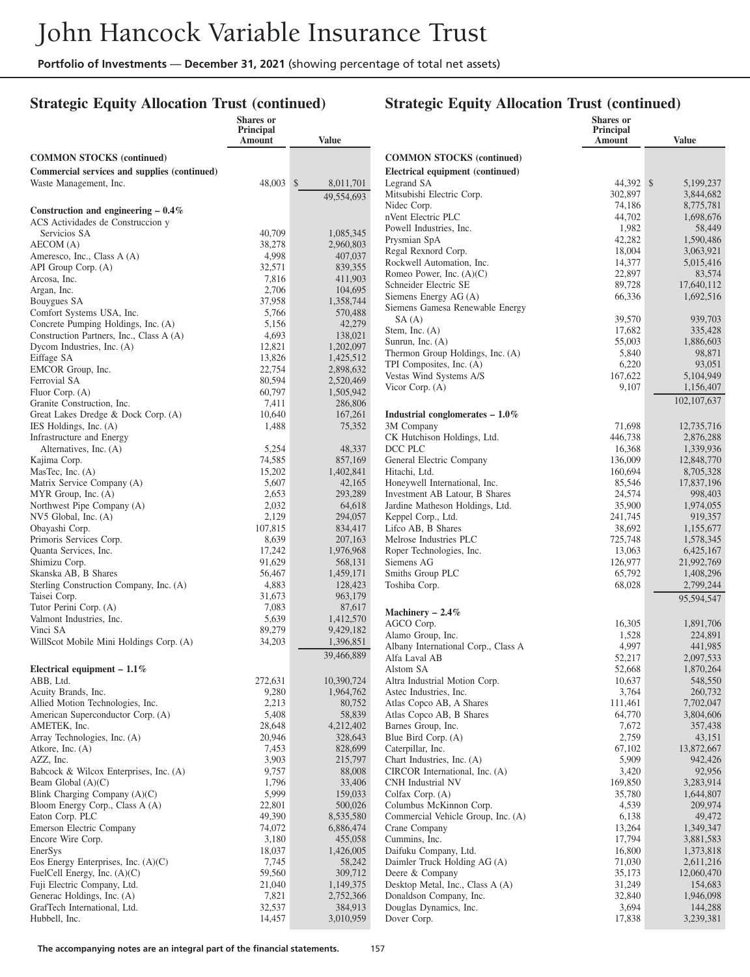## **Strategic Equity Allocation Trust (continued)**

#### **Strategic Equity Allocation Trust (continued)**

|                                                                | Shares or<br>Principal<br>Amount | <b>Value</b>           |                                                       | Shares or<br>Principal<br>Amount | <b>Value</b>         |
|----------------------------------------------------------------|----------------------------------|------------------------|-------------------------------------------------------|----------------------------------|----------------------|
| <b>COMMON STOCKS (continued)</b>                               |                                  |                        | <b>COMMON STOCKS (continued)</b>                      |                                  |                      |
| Commercial services and supplies (continued)                   |                                  |                        | Electrical equipment (continued)                      |                                  |                      |
| Waste Management, Inc.                                         | 48,003 \$                        | 8,011,701              | Legrand SA                                            | 44.392 \$                        | 5,199,237            |
|                                                                |                                  | 49,554,693             | Mitsubishi Electric Corp.                             | 302,897                          | 3,844,682            |
| Construction and engineering $-0.4\%$                          |                                  |                        | Nidec Corp.                                           | 74,186                           | 8,775,781            |
| ACS Actividades de Construccion y                              |                                  |                        | nVent Electric PLC                                    | 44,702                           | 1,698,676            |
| Servicios SA                                                   | 40,709                           | 1,085,345              | Powell Industries, Inc.<br>Prysmian SpA               | 1,982<br>42,282                  | 58,449<br>1,590,486  |
| AECOM (A)                                                      | 38,278                           | 2,960,803              | Regal Rexnord Corp.                                   | 18,004                           | 3,063,921            |
| Ameresco, Inc., Class A (A)                                    | 4,998                            | 407,037                | Rockwell Automation, Inc.                             | 14,377                           | 5,015,416            |
| API Group Corp. (A)<br>Arcosa, Inc.                            | 32,571<br>7,816                  | 839,355<br>411,903     | Romeo Power, Inc. $(A)(C)$                            | 22,897                           | 83,574               |
| Argan, Inc.                                                    | 2,706                            | 104,695                | Schneider Electric SE                                 | 89,728                           | 17.640.112           |
| Bouygues SA                                                    | 37,958                           | 1,358,744              | Siemens Energy AG (A)                                 | 66,336                           | 1,692,516            |
| Comfort Systems USA, Inc.                                      | 5,766                            | 570,488                | Siemens Gamesa Renewable Energy                       |                                  |                      |
| Concrete Pumping Holdings, Inc. (A)                            | 5,156                            | 42,279                 | SA(A)                                                 | 39,570                           | 939,703              |
| Construction Partners, Inc., Class A (A)                       | 4,693                            | 138,021                | Stem, Inc. $(A)$<br>Sunrun, Inc. $(A)$                | 17,682<br>55,003                 | 335,428<br>1,886,603 |
| Dycom Industries, Inc. (A)                                     | 12,821                           | 1,202,097              | Thermon Group Holdings, Inc. (A)                      | 5,840                            | 98,871               |
| Eiffage SA                                                     | 13,826                           | 1,425,512              | TPI Composites, Inc. (A)                              | 6,220                            | 93,051               |
| EMCOR Group, Inc.                                              | 22,754                           | 2,898,632              | Vestas Wind Systems A/S                               | 167,622                          | 5,104,949            |
| Ferrovial SA<br>Fluor Corp. (A)                                | 80,594<br>60,797                 | 2,520,469<br>1,505,942 | Vicor Corp. (A)                                       | 9,107                            | 1,156,407            |
| Granite Construction, Inc.                                     | 7,411                            | 286,806                |                                                       |                                  | 102, 107, 637        |
| Great Lakes Dredge & Dock Corp. (A)                            | 10,640                           | 167,261                | Industrial conglomerates $-1.0\%$                     |                                  |                      |
| IES Holdings, Inc. (A)                                         | 1,488                            | 75,352                 | 3M Company                                            | 71,698                           | 12.735.716           |
| Infrastructure and Energy                                      |                                  |                        | CK Hutchison Holdings, Ltd.                           | 446.738                          | 2,876,288            |
| Alternatives, Inc. (A)                                         | 5,254                            | 48,337                 | DCC PLC                                               | 16,368                           | 1,339,936            |
| Kajima Corp.                                                   | 74,585                           | 857,169                | General Electric Company                              | 136,009                          | 12,848,770           |
| MasTec, Inc. $(A)$                                             | 15,202                           | 1,402,841              | Hitachi, Ltd.                                         | 160,694                          | 8,705,328            |
| Matrix Service Company (A)                                     | 5,607                            | 42,165                 | Honeywell International, Inc.                         | 85,546                           | 17,837,196           |
| MYR Group, Inc. (A)                                            | 2,653                            | 293,289<br>64,618      | Investment AB Latour, B Shares                        | 24,574                           | 998,403              |
| Northwest Pipe Company (A)<br>NV5 Global, Inc. (A)             | 2,032<br>2,129                   | 294,057                | Jardine Matheson Holdings, Ltd.<br>Keppel Corp., Ltd. | 35,900<br>241,745                | 1,974,055<br>919,357 |
| Obayashi Corp.                                                 | 107,815                          | 834,417                | Lifco AB, B Shares                                    | 38,692                           | 1,155,677            |
| Primoris Services Corp.                                        | 8,639                            | 207,163                | Melrose Industries PLC                                | 725,748                          | 1,578,345            |
| Quanta Services, Inc.                                          | 17,242                           | 1,976,968              | Roper Technologies, Inc.                              | 13,063                           | 6,425,167            |
| Shimizu Corp.                                                  | 91,629                           | 568,131                | Siemens AG                                            | 126,977                          | 21,992,769           |
| Skanska AB, B Shares                                           | 56,467                           | 1,459,171              | Smiths Group PLC                                      | 65,792                           | 1,408,296            |
| Sterling Construction Company, Inc. (A)                        | 4,883                            | 128,423                | Toshiba Corp.                                         | 68,028                           | 2,799,244            |
| Taisei Corp.                                                   | 31,673                           | 963,179                |                                                       |                                  | 95,594,547           |
| Tutor Perini Corp. (A)<br>Valmont Industries, Inc.             | 7,083<br>5,639                   | 87,617<br>1,412,570    | Machinery $-2.4\%$                                    |                                  |                      |
| Vinci SA                                                       | 89,279                           | 9,429,182              | AGCO Corp.                                            | 16,305                           | 1,891,706            |
| WillScot Mobile Mini Holdings Corp. (A)                        | 34,203                           | 1,396,851              | Alamo Group, Inc.                                     | 1,528                            | 224,891              |
|                                                                |                                  | 39,466,889             | Albany International Corp., Class A                   | 4,997                            | 441,985              |
|                                                                |                                  |                        | Alfa Laval AB<br>Alstom SA                            | 52,217                           | 2,097,533            |
| Electrical equipment $-1.1\%$<br>ABB, Ltd.                     | 272,631                          | 10,390,724             | Altra Industrial Motion Corp.                         | 52,668<br>10,637                 | 1,870,264<br>548,550 |
| Acuity Brands, Inc.                                            | 9,280                            | 1,964,762              | Astec Industries, Inc.                                | 3,764                            | 260,732              |
| Allied Motion Technologies, Inc.                               | 2,213                            | 80,752                 | Atlas Copco AB, A Shares                              | 111,461                          | 7,702,047            |
| American Superconductor Corp. (A)                              | 5,408                            | 58,839                 | Atlas Copco AB, B Shares                              | 64,770                           | 3,804,606            |
| AMETEK, Inc.                                                   | 28,648                           | 4,212,402              | Barnes Group, Inc.                                    | 7,672                            | 357,438              |
| Array Technologies, Inc. (A)                                   | 20,946                           | 328,643                | Blue Bird Corp. (A)                                   | 2,759                            | 43,151               |
| Atkore, Inc. (A)                                               | 7,453                            | 828,699                | Caterpillar, Inc.                                     | 67,102                           | 13,872,667           |
| AZZ, Inc.                                                      | 3,903                            | 215,797                | Chart Industries, Inc. (A)                            | 5,909                            | 942,426              |
| Babcock & Wilcox Enterprises, Inc. (A)<br>Beam Global $(A)(C)$ | 9,757<br>1,796                   | 88,008<br>33,406       | CIRCOR International, Inc. (A)<br>CNH Industrial NV   | 3,420<br>169,850                 | 92,956<br>3,283,914  |
| Blink Charging Company (A)(C)                                  | 5,999                            | 159,033                | Colfax Corp. (A)                                      | 35,780                           | 1,644,807            |
| Bloom Energy Corp., Class A (A)                                | 22,801                           | 500,026                | Columbus McKinnon Corp.                               | 4,539                            | 209,974              |
| Eaton Corp. PLC                                                | 49,390                           | 8,535,580              | Commercial Vehicle Group, Inc. (A)                    | 6,138                            | 49,472               |
| Emerson Electric Company                                       | 74,072                           | 6,886,474              | Crane Company                                         | 13,264                           | 1,349,347            |
| Encore Wire Corp.                                              | 3,180                            | 455,058                | Cummins, Inc.                                         | 17,794                           | 3,881,583            |
| EnerSys                                                        | 18,037                           | 1,426,005              | Daifuku Company, Ltd.                                 | 16,800                           | 1,373,818            |
| Eos Energy Enterprises, Inc. $(A)(C)$                          | 7,745                            | 58,242                 | Daimler Truck Holding AG (A)                          | 71,030                           | 2,611,216            |
| FuelCell Energy, Inc. (A)(C)                                   | 59,560                           | 309,712                | Deere & Company                                       | 35,173                           | 12,060,470           |
| Fuji Electric Company, Ltd.                                    | 21,040                           | 1,149,375              | Desktop Metal, Inc., Class A (A)                      | 31,249                           | 154,683              |
| Generac Holdings, Inc. (A)<br>GrafTech International, Ltd.     | 7,821<br>32,537                  | 2,752,366<br>384,913   | Donaldson Company, Inc.<br>Douglas Dynamics, Inc.     | 32,840<br>3,694                  | 1,946,098<br>144,288 |
| Hubbell, Inc.                                                  | 14,457                           | 3,010,959              | Dover Corp.                                           | 17,838                           | 3,239,381            |
|                                                                |                                  |                        |                                                       |                                  |                      |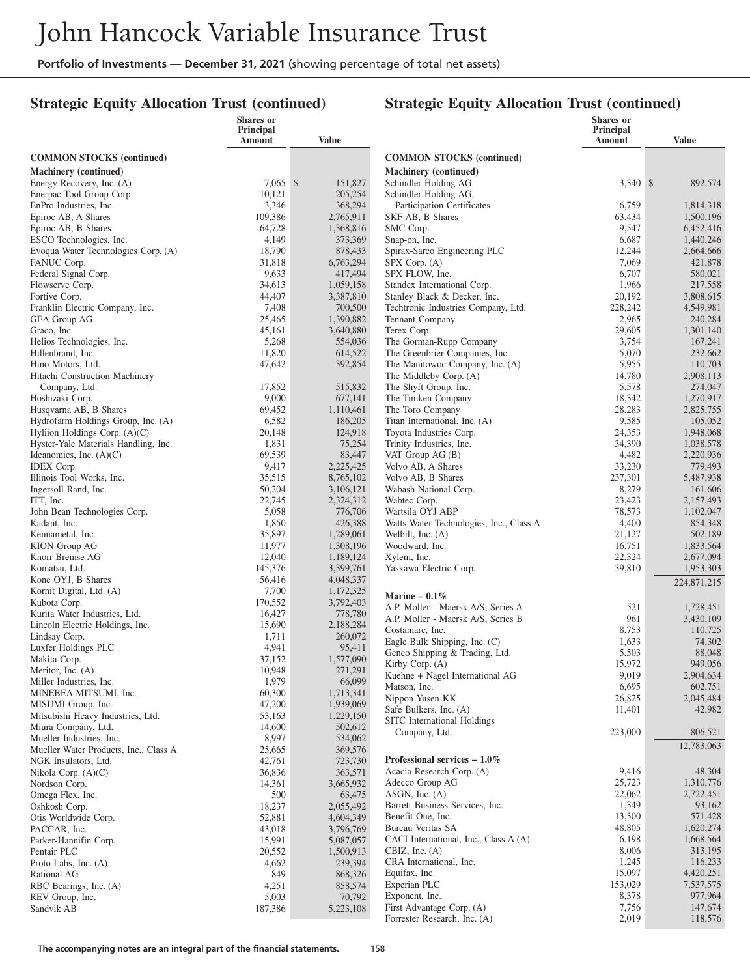## **Strategic Equity Allocation Trust (continued)**

| Amount<br>Amount<br><b>Value</b><br><b>Value</b><br><b>COMMON STOCKS</b> (continued)<br><b>COMMON STOCKS</b> (continued)<br>Machinery (continued)<br>Machinery (continued)<br>Energy Recovery, Inc. (A)<br>$7,065$ \$<br>151,827<br>Schindler Holding AG<br>3,340 \$<br>892,574<br>Enerpac Tool Group Corp.<br>10,121<br>205,254<br>Schindler Holding AG,<br>3,346<br>EnPro Industries, Inc.<br>368,294<br>Participation Certificates<br>6,759<br>1,814,318<br>Epiroc AB, A Shares<br>109,386<br>2,765,911<br>SKF AB, B Shares<br>63,434<br>1,500,196<br>Epiroc AB, B Shares<br>64,728<br>1,368,816<br>SMC Corp.<br>9,547<br>6,452,416<br>ESCO Technologies, Inc.<br>4,149<br>373,369<br>Snap-on, Inc.<br>6,687<br>1,440,246<br>Evoqua Water Technologies Corp. (A)<br>18,790<br>878,433<br>Spirax-Sarco Engineering PLC<br>12,244<br>2,664,666<br>7,069<br>FANUC Corp.<br>31,818<br>6,763,294<br>421,878<br>$SPX$ Corp. $(A)$<br>9,633<br>Federal Signal Corp.<br>417,494<br>SPX FLOW, Inc.<br>6,707<br>580,021<br>Flowserve Corp.<br>34,613<br>1,059,158<br>Standex International Corp.<br>1,966<br>217,558<br>44,407<br>3,387,810<br>Stanley Black & Decker, Inc.<br>20,192<br>3,808,615<br>Fortive Corp.<br>Franklin Electric Company, Inc.<br>7,408<br>700,500<br>Techtronic Industries Company, Ltd.<br>228,242<br>4,549,981<br>2,965<br><b>GEA Group AG</b><br>25,465<br>1,390,882<br>Tennant Company<br>240,284<br>29,605<br>45,161<br>3,640,880<br>Terex Corp.<br>1,301,140<br>Graco, Inc.<br>5,268<br>554,036<br>The Gorman-Rupp Company<br>3,754<br>167,241<br>Helios Technologies, Inc.<br>Hillenbrand, Inc.<br>11,820<br>614,522<br>The Greenbrier Companies, Inc.<br>5,070<br>232,662<br>5,955<br>47,642<br>392,854<br>The Manitowoc Company, Inc. (A)<br>110,703<br>Hino Motors, Ltd.<br>Hitachi Construction Machinery<br>The Middleby Corp. (A)<br>14,780<br>2,908,113<br>17,852<br>515,832<br>The Shyft Group, Inc.<br>5,578<br>274,047<br>Company, Ltd.<br>9,000<br>Hoshizaki Corp.<br>677,141<br>The Timken Company<br>18,342<br>1,270,917<br>28,283<br>Husqvarna AB, B Shares<br>69,452<br>1,110,461<br>The Toro Company<br>2,825,755<br>Titan International, Inc. (A)<br>9,585<br>Hydrofarm Holdings Group, Inc. (A)<br>6,582<br>186,205<br>105,052<br>24,353<br>Hyliion Holdings Corp. (A)(C)<br>20,148<br>124,918<br>Toyota Industries Corp.<br>1,948,068<br>34,390<br>Hyster-Yale Materials Handling, Inc.<br>1,831<br>75,254<br>Trinity Industries, Inc.<br>1,038,578<br>83,447<br>4,482<br>Ideanomics, Inc. $(A)(C)$<br>69,539<br>VAT Group $AG(B)$<br>2,220,936<br>9,417<br>33,230<br>2,225,425<br>Volvo AB, A Shares<br>779,493<br><b>IDEX</b> Corp.<br>237,301<br>Illinois Tool Works, Inc.<br>35,515<br>8,765,102<br>5,487,938<br>Volvo AB, B Shares<br>50,204<br>8,279<br>Ingersoll Rand, Inc.<br>3,106,121<br>161,606<br>Wabash National Corp.<br>22,745<br>23,423<br>ITT, Inc.<br>2,324,312<br>2,157,493<br>Wabtec Corp.<br>5,058<br>776,706<br>78,573<br>John Bean Technologies Corp.<br>Wartsila OYJ ABP<br>1,102,047<br>4,400<br>1,850<br>426,388<br>Watts Water Technologies, Inc., Class A<br>854,348<br>Kadant, Inc.<br>35,897<br>Kennametal, Inc.<br>1,289,061<br>21,127<br>502,189<br>Welbilt, Inc. (A)<br>11,977<br>1,308,196<br><b>KION</b> Group AG<br>Woodward, Inc.<br>16,751<br>1,833,564<br>12,040<br>Knorr-Bremse AG<br>1,189,124<br>Xylem, Inc.<br>22,324<br>2,677,094<br>145,376<br>3,399,761<br>Komatsu, Ltd.<br>39,810<br>1,953,303<br>Yaskawa Electric Corp.<br>4,048,337<br>Kone OYJ, B Shares<br>56,416<br>224,871,215<br>7,700<br>1,172,325<br>Kornit Digital, Ltd. (A)<br>Marine $-0.1\%$<br>170,552<br>3,792,403<br>Kubota Corp.<br>A.P. Moller - Maersk A/S, Series A<br>521<br>1,728,451<br>778,780<br>Kurita Water Industries, Ltd.<br>16,427<br>A.P. Moller - Maersk A/S, Series B<br>961<br>3,430,109<br>Lincoln Electric Holdings, Inc.<br>15,690<br>2,188,284<br>Costamare, Inc.<br>8,753<br>110,725<br>1,711<br>260,072<br>Lindsay Corp.<br>Eagle Bulk Shipping, Inc. (C)<br>1,633<br>74,302<br>Luxfer Holdings PLC<br>4,941<br>95,411<br>Genco Shipping & Trading, Ltd.<br>5,503<br>88,048<br>37,152<br>1,577,090<br>Makita Corp.<br>Kirby Corp. (A)<br>15,972<br>949,056<br>10,948<br>271,291<br>Meritor, Inc. (A)<br>Kuehne + Nagel International AG<br>9,019<br>2,904,634<br>1,979<br>66,099<br>Miller Industries, Inc.<br>Matson, Inc.<br>6,695<br>602,751<br>60,300<br>1,713,341<br>MINEBEA MITSUMI, Inc.<br>Nippon Yusen KK<br>26,825<br>2,045,484<br>47,200<br>1,939,069<br>MISUMI Group, Inc.<br>Safe Bulkers, Inc. (A)<br>11,401<br>42,982<br>1,229,150<br>Mitsubishi Heavy Industries, Ltd.<br>53,163<br>SITC International Holdings<br>Miura Company, Ltd.<br>14,600<br>502,612<br>223,000<br>806,521<br>Company, Ltd.<br>8,997<br>Mueller Industries, Inc.<br>534,062<br>12,783,063<br>Mueller Water Products, Inc., Class A<br>25,665<br>369,576<br>Professional services $-1.0\%$<br>NGK Insulators, Ltd.<br>42,761<br>723,730<br>Acacia Research Corp. (A)<br>9,416<br>48,304<br>36,836<br>363,571<br>Nikola Corp. $(A)(C)$<br>25,723<br>Adecco Group AG<br>1,310,776<br>14,361<br>3,665,932<br>Nordson Corp.<br>$ASGN$ , Inc. $(A)$<br>22,062<br>2,722,451<br>500<br>Omega Flex, Inc.<br>63,475<br>1,349<br>Barrett Business Services, Inc.<br>93,162<br>18,237<br>Oshkosh Corp.<br>2,055,492 |                      | <b>Shares</b> or<br>Principal |           |                   | <b>Shares</b> or<br>Principal |         |
|------------------------------------------------------------------------------------------------------------------------------------------------------------------------------------------------------------------------------------------------------------------------------------------------------------------------------------------------------------------------------------------------------------------------------------------------------------------------------------------------------------------------------------------------------------------------------------------------------------------------------------------------------------------------------------------------------------------------------------------------------------------------------------------------------------------------------------------------------------------------------------------------------------------------------------------------------------------------------------------------------------------------------------------------------------------------------------------------------------------------------------------------------------------------------------------------------------------------------------------------------------------------------------------------------------------------------------------------------------------------------------------------------------------------------------------------------------------------------------------------------------------------------------------------------------------------------------------------------------------------------------------------------------------------------------------------------------------------------------------------------------------------------------------------------------------------------------------------------------------------------------------------------------------------------------------------------------------------------------------------------------------------------------------------------------------------------------------------------------------------------------------------------------------------------------------------------------------------------------------------------------------------------------------------------------------------------------------------------------------------------------------------------------------------------------------------------------------------------------------------------------------------------------------------------------------------------------------------------------------------------------------------------------------------------------------------------------------------------------------------------------------------------------------------------------------------------------------------------------------------------------------------------------------------------------------------------------------------------------------------------------------------------------------------------------------------------------------------------------------------------------------------------------------------------------------------------------------------------------------------------------------------------------------------------------------------------------------------------------------------------------------------------------------------------------------------------------------------------------------------------------------------------------------------------------------------------------------------------------------------------------------------------------------------------------------------------------------------------------------------------------------------------------------------------------------------------------------------------------------------------------------------------------------------------------------------------------------------------------------------------------------------------------------------------------------------------------------------------------------------------------------------------------------------------------------------------------------------------------------------------------------------------------------------------------------------------------------------------------------------------------------------------------------------------------------------------------------------------------------------------------------------------------------------------------------------------------------------------------------------------------------------------------------------------------------------------------------------------------------------------------------------------------------------------------------------------------------------------------------------------------------------------------------------------------------------------------------------------------------------------------------------------------------------------------------------------------------------------------------------------------------------------------------------------------------------------------------------------------------------------------------------------------------------------------------------------------------------------------------------------------|----------------------|-------------------------------|-----------|-------------------|-------------------------------|---------|
|                                                                                                                                                                                                                                                                                                                                                                                                                                                                                                                                                                                                                                                                                                                                                                                                                                                                                                                                                                                                                                                                                                                                                                                                                                                                                                                                                                                                                                                                                                                                                                                                                                                                                                                                                                                                                                                                                                                                                                                                                                                                                                                                                                                                                                                                                                                                                                                                                                                                                                                                                                                                                                                                                                                                                                                                                                                                                                                                                                                                                                                                                                                                                                                                                                                                                                                                                                                                                                                                                                                                                                                                                                                                                                                                                                                                                                                                                                                                                                                                                                                                                                                                                                                                                                                                                                                                                                                                                                                                                                                                                                                                                                                                                                                                                                                                                                                                                                                                                                                                                                                                                                                                                                                                                                                                                                                                                                                    |                      |                               |           |                   |                               |         |
|                                                                                                                                                                                                                                                                                                                                                                                                                                                                                                                                                                                                                                                                                                                                                                                                                                                                                                                                                                                                                                                                                                                                                                                                                                                                                                                                                                                                                                                                                                                                                                                                                                                                                                                                                                                                                                                                                                                                                                                                                                                                                                                                                                                                                                                                                                                                                                                                                                                                                                                                                                                                                                                                                                                                                                                                                                                                                                                                                                                                                                                                                                                                                                                                                                                                                                                                                                                                                                                                                                                                                                                                                                                                                                                                                                                                                                                                                                                                                                                                                                                                                                                                                                                                                                                                                                                                                                                                                                                                                                                                                                                                                                                                                                                                                                                                                                                                                                                                                                                                                                                                                                                                                                                                                                                                                                                                                                                    |                      |                               |           |                   |                               |         |
|                                                                                                                                                                                                                                                                                                                                                                                                                                                                                                                                                                                                                                                                                                                                                                                                                                                                                                                                                                                                                                                                                                                                                                                                                                                                                                                                                                                                                                                                                                                                                                                                                                                                                                                                                                                                                                                                                                                                                                                                                                                                                                                                                                                                                                                                                                                                                                                                                                                                                                                                                                                                                                                                                                                                                                                                                                                                                                                                                                                                                                                                                                                                                                                                                                                                                                                                                                                                                                                                                                                                                                                                                                                                                                                                                                                                                                                                                                                                                                                                                                                                                                                                                                                                                                                                                                                                                                                                                                                                                                                                                                                                                                                                                                                                                                                                                                                                                                                                                                                                                                                                                                                                                                                                                                                                                                                                                                                    |                      |                               |           |                   |                               |         |
|                                                                                                                                                                                                                                                                                                                                                                                                                                                                                                                                                                                                                                                                                                                                                                                                                                                                                                                                                                                                                                                                                                                                                                                                                                                                                                                                                                                                                                                                                                                                                                                                                                                                                                                                                                                                                                                                                                                                                                                                                                                                                                                                                                                                                                                                                                                                                                                                                                                                                                                                                                                                                                                                                                                                                                                                                                                                                                                                                                                                                                                                                                                                                                                                                                                                                                                                                                                                                                                                                                                                                                                                                                                                                                                                                                                                                                                                                                                                                                                                                                                                                                                                                                                                                                                                                                                                                                                                                                                                                                                                                                                                                                                                                                                                                                                                                                                                                                                                                                                                                                                                                                                                                                                                                                                                                                                                                                                    |                      |                               |           |                   |                               |         |
|                                                                                                                                                                                                                                                                                                                                                                                                                                                                                                                                                                                                                                                                                                                                                                                                                                                                                                                                                                                                                                                                                                                                                                                                                                                                                                                                                                                                                                                                                                                                                                                                                                                                                                                                                                                                                                                                                                                                                                                                                                                                                                                                                                                                                                                                                                                                                                                                                                                                                                                                                                                                                                                                                                                                                                                                                                                                                                                                                                                                                                                                                                                                                                                                                                                                                                                                                                                                                                                                                                                                                                                                                                                                                                                                                                                                                                                                                                                                                                                                                                                                                                                                                                                                                                                                                                                                                                                                                                                                                                                                                                                                                                                                                                                                                                                                                                                                                                                                                                                                                                                                                                                                                                                                                                                                                                                                                                                    |                      |                               |           |                   |                               |         |
|                                                                                                                                                                                                                                                                                                                                                                                                                                                                                                                                                                                                                                                                                                                                                                                                                                                                                                                                                                                                                                                                                                                                                                                                                                                                                                                                                                                                                                                                                                                                                                                                                                                                                                                                                                                                                                                                                                                                                                                                                                                                                                                                                                                                                                                                                                                                                                                                                                                                                                                                                                                                                                                                                                                                                                                                                                                                                                                                                                                                                                                                                                                                                                                                                                                                                                                                                                                                                                                                                                                                                                                                                                                                                                                                                                                                                                                                                                                                                                                                                                                                                                                                                                                                                                                                                                                                                                                                                                                                                                                                                                                                                                                                                                                                                                                                                                                                                                                                                                                                                                                                                                                                                                                                                                                                                                                                                                                    |                      |                               |           |                   |                               |         |
|                                                                                                                                                                                                                                                                                                                                                                                                                                                                                                                                                                                                                                                                                                                                                                                                                                                                                                                                                                                                                                                                                                                                                                                                                                                                                                                                                                                                                                                                                                                                                                                                                                                                                                                                                                                                                                                                                                                                                                                                                                                                                                                                                                                                                                                                                                                                                                                                                                                                                                                                                                                                                                                                                                                                                                                                                                                                                                                                                                                                                                                                                                                                                                                                                                                                                                                                                                                                                                                                                                                                                                                                                                                                                                                                                                                                                                                                                                                                                                                                                                                                                                                                                                                                                                                                                                                                                                                                                                                                                                                                                                                                                                                                                                                                                                                                                                                                                                                                                                                                                                                                                                                                                                                                                                                                                                                                                                                    |                      |                               |           |                   |                               |         |
|                                                                                                                                                                                                                                                                                                                                                                                                                                                                                                                                                                                                                                                                                                                                                                                                                                                                                                                                                                                                                                                                                                                                                                                                                                                                                                                                                                                                                                                                                                                                                                                                                                                                                                                                                                                                                                                                                                                                                                                                                                                                                                                                                                                                                                                                                                                                                                                                                                                                                                                                                                                                                                                                                                                                                                                                                                                                                                                                                                                                                                                                                                                                                                                                                                                                                                                                                                                                                                                                                                                                                                                                                                                                                                                                                                                                                                                                                                                                                                                                                                                                                                                                                                                                                                                                                                                                                                                                                                                                                                                                                                                                                                                                                                                                                                                                                                                                                                                                                                                                                                                                                                                                                                                                                                                                                                                                                                                    |                      |                               |           |                   |                               |         |
|                                                                                                                                                                                                                                                                                                                                                                                                                                                                                                                                                                                                                                                                                                                                                                                                                                                                                                                                                                                                                                                                                                                                                                                                                                                                                                                                                                                                                                                                                                                                                                                                                                                                                                                                                                                                                                                                                                                                                                                                                                                                                                                                                                                                                                                                                                                                                                                                                                                                                                                                                                                                                                                                                                                                                                                                                                                                                                                                                                                                                                                                                                                                                                                                                                                                                                                                                                                                                                                                                                                                                                                                                                                                                                                                                                                                                                                                                                                                                                                                                                                                                                                                                                                                                                                                                                                                                                                                                                                                                                                                                                                                                                                                                                                                                                                                                                                                                                                                                                                                                                                                                                                                                                                                                                                                                                                                                                                    |                      |                               |           |                   |                               |         |
|                                                                                                                                                                                                                                                                                                                                                                                                                                                                                                                                                                                                                                                                                                                                                                                                                                                                                                                                                                                                                                                                                                                                                                                                                                                                                                                                                                                                                                                                                                                                                                                                                                                                                                                                                                                                                                                                                                                                                                                                                                                                                                                                                                                                                                                                                                                                                                                                                                                                                                                                                                                                                                                                                                                                                                                                                                                                                                                                                                                                                                                                                                                                                                                                                                                                                                                                                                                                                                                                                                                                                                                                                                                                                                                                                                                                                                                                                                                                                                                                                                                                                                                                                                                                                                                                                                                                                                                                                                                                                                                                                                                                                                                                                                                                                                                                                                                                                                                                                                                                                                                                                                                                                                                                                                                                                                                                                                                    |                      |                               |           |                   |                               |         |
|                                                                                                                                                                                                                                                                                                                                                                                                                                                                                                                                                                                                                                                                                                                                                                                                                                                                                                                                                                                                                                                                                                                                                                                                                                                                                                                                                                                                                                                                                                                                                                                                                                                                                                                                                                                                                                                                                                                                                                                                                                                                                                                                                                                                                                                                                                                                                                                                                                                                                                                                                                                                                                                                                                                                                                                                                                                                                                                                                                                                                                                                                                                                                                                                                                                                                                                                                                                                                                                                                                                                                                                                                                                                                                                                                                                                                                                                                                                                                                                                                                                                                                                                                                                                                                                                                                                                                                                                                                                                                                                                                                                                                                                                                                                                                                                                                                                                                                                                                                                                                                                                                                                                                                                                                                                                                                                                                                                    |                      |                               |           |                   |                               |         |
|                                                                                                                                                                                                                                                                                                                                                                                                                                                                                                                                                                                                                                                                                                                                                                                                                                                                                                                                                                                                                                                                                                                                                                                                                                                                                                                                                                                                                                                                                                                                                                                                                                                                                                                                                                                                                                                                                                                                                                                                                                                                                                                                                                                                                                                                                                                                                                                                                                                                                                                                                                                                                                                                                                                                                                                                                                                                                                                                                                                                                                                                                                                                                                                                                                                                                                                                                                                                                                                                                                                                                                                                                                                                                                                                                                                                                                                                                                                                                                                                                                                                                                                                                                                                                                                                                                                                                                                                                                                                                                                                                                                                                                                                                                                                                                                                                                                                                                                                                                                                                                                                                                                                                                                                                                                                                                                                                                                    |                      |                               |           |                   |                               |         |
|                                                                                                                                                                                                                                                                                                                                                                                                                                                                                                                                                                                                                                                                                                                                                                                                                                                                                                                                                                                                                                                                                                                                                                                                                                                                                                                                                                                                                                                                                                                                                                                                                                                                                                                                                                                                                                                                                                                                                                                                                                                                                                                                                                                                                                                                                                                                                                                                                                                                                                                                                                                                                                                                                                                                                                                                                                                                                                                                                                                                                                                                                                                                                                                                                                                                                                                                                                                                                                                                                                                                                                                                                                                                                                                                                                                                                                                                                                                                                                                                                                                                                                                                                                                                                                                                                                                                                                                                                                                                                                                                                                                                                                                                                                                                                                                                                                                                                                                                                                                                                                                                                                                                                                                                                                                                                                                                                                                    |                      |                               |           |                   |                               |         |
|                                                                                                                                                                                                                                                                                                                                                                                                                                                                                                                                                                                                                                                                                                                                                                                                                                                                                                                                                                                                                                                                                                                                                                                                                                                                                                                                                                                                                                                                                                                                                                                                                                                                                                                                                                                                                                                                                                                                                                                                                                                                                                                                                                                                                                                                                                                                                                                                                                                                                                                                                                                                                                                                                                                                                                                                                                                                                                                                                                                                                                                                                                                                                                                                                                                                                                                                                                                                                                                                                                                                                                                                                                                                                                                                                                                                                                                                                                                                                                                                                                                                                                                                                                                                                                                                                                                                                                                                                                                                                                                                                                                                                                                                                                                                                                                                                                                                                                                                                                                                                                                                                                                                                                                                                                                                                                                                                                                    |                      |                               |           |                   |                               |         |
|                                                                                                                                                                                                                                                                                                                                                                                                                                                                                                                                                                                                                                                                                                                                                                                                                                                                                                                                                                                                                                                                                                                                                                                                                                                                                                                                                                                                                                                                                                                                                                                                                                                                                                                                                                                                                                                                                                                                                                                                                                                                                                                                                                                                                                                                                                                                                                                                                                                                                                                                                                                                                                                                                                                                                                                                                                                                                                                                                                                                                                                                                                                                                                                                                                                                                                                                                                                                                                                                                                                                                                                                                                                                                                                                                                                                                                                                                                                                                                                                                                                                                                                                                                                                                                                                                                                                                                                                                                                                                                                                                                                                                                                                                                                                                                                                                                                                                                                                                                                                                                                                                                                                                                                                                                                                                                                                                                                    |                      |                               |           |                   |                               |         |
|                                                                                                                                                                                                                                                                                                                                                                                                                                                                                                                                                                                                                                                                                                                                                                                                                                                                                                                                                                                                                                                                                                                                                                                                                                                                                                                                                                                                                                                                                                                                                                                                                                                                                                                                                                                                                                                                                                                                                                                                                                                                                                                                                                                                                                                                                                                                                                                                                                                                                                                                                                                                                                                                                                                                                                                                                                                                                                                                                                                                                                                                                                                                                                                                                                                                                                                                                                                                                                                                                                                                                                                                                                                                                                                                                                                                                                                                                                                                                                                                                                                                                                                                                                                                                                                                                                                                                                                                                                                                                                                                                                                                                                                                                                                                                                                                                                                                                                                                                                                                                                                                                                                                                                                                                                                                                                                                                                                    |                      |                               |           |                   |                               |         |
|                                                                                                                                                                                                                                                                                                                                                                                                                                                                                                                                                                                                                                                                                                                                                                                                                                                                                                                                                                                                                                                                                                                                                                                                                                                                                                                                                                                                                                                                                                                                                                                                                                                                                                                                                                                                                                                                                                                                                                                                                                                                                                                                                                                                                                                                                                                                                                                                                                                                                                                                                                                                                                                                                                                                                                                                                                                                                                                                                                                                                                                                                                                                                                                                                                                                                                                                                                                                                                                                                                                                                                                                                                                                                                                                                                                                                                                                                                                                                                                                                                                                                                                                                                                                                                                                                                                                                                                                                                                                                                                                                                                                                                                                                                                                                                                                                                                                                                                                                                                                                                                                                                                                                                                                                                                                                                                                                                                    |                      |                               |           |                   |                               |         |
|                                                                                                                                                                                                                                                                                                                                                                                                                                                                                                                                                                                                                                                                                                                                                                                                                                                                                                                                                                                                                                                                                                                                                                                                                                                                                                                                                                                                                                                                                                                                                                                                                                                                                                                                                                                                                                                                                                                                                                                                                                                                                                                                                                                                                                                                                                                                                                                                                                                                                                                                                                                                                                                                                                                                                                                                                                                                                                                                                                                                                                                                                                                                                                                                                                                                                                                                                                                                                                                                                                                                                                                                                                                                                                                                                                                                                                                                                                                                                                                                                                                                                                                                                                                                                                                                                                                                                                                                                                                                                                                                                                                                                                                                                                                                                                                                                                                                                                                                                                                                                                                                                                                                                                                                                                                                                                                                                                                    |                      |                               |           |                   |                               |         |
|                                                                                                                                                                                                                                                                                                                                                                                                                                                                                                                                                                                                                                                                                                                                                                                                                                                                                                                                                                                                                                                                                                                                                                                                                                                                                                                                                                                                                                                                                                                                                                                                                                                                                                                                                                                                                                                                                                                                                                                                                                                                                                                                                                                                                                                                                                                                                                                                                                                                                                                                                                                                                                                                                                                                                                                                                                                                                                                                                                                                                                                                                                                                                                                                                                                                                                                                                                                                                                                                                                                                                                                                                                                                                                                                                                                                                                                                                                                                                                                                                                                                                                                                                                                                                                                                                                                                                                                                                                                                                                                                                                                                                                                                                                                                                                                                                                                                                                                                                                                                                                                                                                                                                                                                                                                                                                                                                                                    |                      |                               |           |                   |                               |         |
|                                                                                                                                                                                                                                                                                                                                                                                                                                                                                                                                                                                                                                                                                                                                                                                                                                                                                                                                                                                                                                                                                                                                                                                                                                                                                                                                                                                                                                                                                                                                                                                                                                                                                                                                                                                                                                                                                                                                                                                                                                                                                                                                                                                                                                                                                                                                                                                                                                                                                                                                                                                                                                                                                                                                                                                                                                                                                                                                                                                                                                                                                                                                                                                                                                                                                                                                                                                                                                                                                                                                                                                                                                                                                                                                                                                                                                                                                                                                                                                                                                                                                                                                                                                                                                                                                                                                                                                                                                                                                                                                                                                                                                                                                                                                                                                                                                                                                                                                                                                                                                                                                                                                                                                                                                                                                                                                                                                    |                      |                               |           |                   |                               |         |
|                                                                                                                                                                                                                                                                                                                                                                                                                                                                                                                                                                                                                                                                                                                                                                                                                                                                                                                                                                                                                                                                                                                                                                                                                                                                                                                                                                                                                                                                                                                                                                                                                                                                                                                                                                                                                                                                                                                                                                                                                                                                                                                                                                                                                                                                                                                                                                                                                                                                                                                                                                                                                                                                                                                                                                                                                                                                                                                                                                                                                                                                                                                                                                                                                                                                                                                                                                                                                                                                                                                                                                                                                                                                                                                                                                                                                                                                                                                                                                                                                                                                                                                                                                                                                                                                                                                                                                                                                                                                                                                                                                                                                                                                                                                                                                                                                                                                                                                                                                                                                                                                                                                                                                                                                                                                                                                                                                                    |                      |                               |           |                   |                               |         |
|                                                                                                                                                                                                                                                                                                                                                                                                                                                                                                                                                                                                                                                                                                                                                                                                                                                                                                                                                                                                                                                                                                                                                                                                                                                                                                                                                                                                                                                                                                                                                                                                                                                                                                                                                                                                                                                                                                                                                                                                                                                                                                                                                                                                                                                                                                                                                                                                                                                                                                                                                                                                                                                                                                                                                                                                                                                                                                                                                                                                                                                                                                                                                                                                                                                                                                                                                                                                                                                                                                                                                                                                                                                                                                                                                                                                                                                                                                                                                                                                                                                                                                                                                                                                                                                                                                                                                                                                                                                                                                                                                                                                                                                                                                                                                                                                                                                                                                                                                                                                                                                                                                                                                                                                                                                                                                                                                                                    |                      |                               |           |                   |                               |         |
|                                                                                                                                                                                                                                                                                                                                                                                                                                                                                                                                                                                                                                                                                                                                                                                                                                                                                                                                                                                                                                                                                                                                                                                                                                                                                                                                                                                                                                                                                                                                                                                                                                                                                                                                                                                                                                                                                                                                                                                                                                                                                                                                                                                                                                                                                                                                                                                                                                                                                                                                                                                                                                                                                                                                                                                                                                                                                                                                                                                                                                                                                                                                                                                                                                                                                                                                                                                                                                                                                                                                                                                                                                                                                                                                                                                                                                                                                                                                                                                                                                                                                                                                                                                                                                                                                                                                                                                                                                                                                                                                                                                                                                                                                                                                                                                                                                                                                                                                                                                                                                                                                                                                                                                                                                                                                                                                                                                    |                      |                               |           |                   |                               |         |
|                                                                                                                                                                                                                                                                                                                                                                                                                                                                                                                                                                                                                                                                                                                                                                                                                                                                                                                                                                                                                                                                                                                                                                                                                                                                                                                                                                                                                                                                                                                                                                                                                                                                                                                                                                                                                                                                                                                                                                                                                                                                                                                                                                                                                                                                                                                                                                                                                                                                                                                                                                                                                                                                                                                                                                                                                                                                                                                                                                                                                                                                                                                                                                                                                                                                                                                                                                                                                                                                                                                                                                                                                                                                                                                                                                                                                                                                                                                                                                                                                                                                                                                                                                                                                                                                                                                                                                                                                                                                                                                                                                                                                                                                                                                                                                                                                                                                                                                                                                                                                                                                                                                                                                                                                                                                                                                                                                                    |                      |                               |           |                   |                               |         |
|                                                                                                                                                                                                                                                                                                                                                                                                                                                                                                                                                                                                                                                                                                                                                                                                                                                                                                                                                                                                                                                                                                                                                                                                                                                                                                                                                                                                                                                                                                                                                                                                                                                                                                                                                                                                                                                                                                                                                                                                                                                                                                                                                                                                                                                                                                                                                                                                                                                                                                                                                                                                                                                                                                                                                                                                                                                                                                                                                                                                                                                                                                                                                                                                                                                                                                                                                                                                                                                                                                                                                                                                                                                                                                                                                                                                                                                                                                                                                                                                                                                                                                                                                                                                                                                                                                                                                                                                                                                                                                                                                                                                                                                                                                                                                                                                                                                                                                                                                                                                                                                                                                                                                                                                                                                                                                                                                                                    |                      |                               |           |                   |                               |         |
|                                                                                                                                                                                                                                                                                                                                                                                                                                                                                                                                                                                                                                                                                                                                                                                                                                                                                                                                                                                                                                                                                                                                                                                                                                                                                                                                                                                                                                                                                                                                                                                                                                                                                                                                                                                                                                                                                                                                                                                                                                                                                                                                                                                                                                                                                                                                                                                                                                                                                                                                                                                                                                                                                                                                                                                                                                                                                                                                                                                                                                                                                                                                                                                                                                                                                                                                                                                                                                                                                                                                                                                                                                                                                                                                                                                                                                                                                                                                                                                                                                                                                                                                                                                                                                                                                                                                                                                                                                                                                                                                                                                                                                                                                                                                                                                                                                                                                                                                                                                                                                                                                                                                                                                                                                                                                                                                                                                    |                      |                               |           |                   |                               |         |
|                                                                                                                                                                                                                                                                                                                                                                                                                                                                                                                                                                                                                                                                                                                                                                                                                                                                                                                                                                                                                                                                                                                                                                                                                                                                                                                                                                                                                                                                                                                                                                                                                                                                                                                                                                                                                                                                                                                                                                                                                                                                                                                                                                                                                                                                                                                                                                                                                                                                                                                                                                                                                                                                                                                                                                                                                                                                                                                                                                                                                                                                                                                                                                                                                                                                                                                                                                                                                                                                                                                                                                                                                                                                                                                                                                                                                                                                                                                                                                                                                                                                                                                                                                                                                                                                                                                                                                                                                                                                                                                                                                                                                                                                                                                                                                                                                                                                                                                                                                                                                                                                                                                                                                                                                                                                                                                                                                                    |                      |                               |           |                   |                               |         |
|                                                                                                                                                                                                                                                                                                                                                                                                                                                                                                                                                                                                                                                                                                                                                                                                                                                                                                                                                                                                                                                                                                                                                                                                                                                                                                                                                                                                                                                                                                                                                                                                                                                                                                                                                                                                                                                                                                                                                                                                                                                                                                                                                                                                                                                                                                                                                                                                                                                                                                                                                                                                                                                                                                                                                                                                                                                                                                                                                                                                                                                                                                                                                                                                                                                                                                                                                                                                                                                                                                                                                                                                                                                                                                                                                                                                                                                                                                                                                                                                                                                                                                                                                                                                                                                                                                                                                                                                                                                                                                                                                                                                                                                                                                                                                                                                                                                                                                                                                                                                                                                                                                                                                                                                                                                                                                                                                                                    |                      |                               |           |                   |                               |         |
|                                                                                                                                                                                                                                                                                                                                                                                                                                                                                                                                                                                                                                                                                                                                                                                                                                                                                                                                                                                                                                                                                                                                                                                                                                                                                                                                                                                                                                                                                                                                                                                                                                                                                                                                                                                                                                                                                                                                                                                                                                                                                                                                                                                                                                                                                                                                                                                                                                                                                                                                                                                                                                                                                                                                                                                                                                                                                                                                                                                                                                                                                                                                                                                                                                                                                                                                                                                                                                                                                                                                                                                                                                                                                                                                                                                                                                                                                                                                                                                                                                                                                                                                                                                                                                                                                                                                                                                                                                                                                                                                                                                                                                                                                                                                                                                                                                                                                                                                                                                                                                                                                                                                                                                                                                                                                                                                                                                    |                      |                               |           |                   |                               |         |
|                                                                                                                                                                                                                                                                                                                                                                                                                                                                                                                                                                                                                                                                                                                                                                                                                                                                                                                                                                                                                                                                                                                                                                                                                                                                                                                                                                                                                                                                                                                                                                                                                                                                                                                                                                                                                                                                                                                                                                                                                                                                                                                                                                                                                                                                                                                                                                                                                                                                                                                                                                                                                                                                                                                                                                                                                                                                                                                                                                                                                                                                                                                                                                                                                                                                                                                                                                                                                                                                                                                                                                                                                                                                                                                                                                                                                                                                                                                                                                                                                                                                                                                                                                                                                                                                                                                                                                                                                                                                                                                                                                                                                                                                                                                                                                                                                                                                                                                                                                                                                                                                                                                                                                                                                                                                                                                                                                                    |                      |                               |           |                   |                               |         |
|                                                                                                                                                                                                                                                                                                                                                                                                                                                                                                                                                                                                                                                                                                                                                                                                                                                                                                                                                                                                                                                                                                                                                                                                                                                                                                                                                                                                                                                                                                                                                                                                                                                                                                                                                                                                                                                                                                                                                                                                                                                                                                                                                                                                                                                                                                                                                                                                                                                                                                                                                                                                                                                                                                                                                                                                                                                                                                                                                                                                                                                                                                                                                                                                                                                                                                                                                                                                                                                                                                                                                                                                                                                                                                                                                                                                                                                                                                                                                                                                                                                                                                                                                                                                                                                                                                                                                                                                                                                                                                                                                                                                                                                                                                                                                                                                                                                                                                                                                                                                                                                                                                                                                                                                                                                                                                                                                                                    |                      |                               |           |                   |                               |         |
|                                                                                                                                                                                                                                                                                                                                                                                                                                                                                                                                                                                                                                                                                                                                                                                                                                                                                                                                                                                                                                                                                                                                                                                                                                                                                                                                                                                                                                                                                                                                                                                                                                                                                                                                                                                                                                                                                                                                                                                                                                                                                                                                                                                                                                                                                                                                                                                                                                                                                                                                                                                                                                                                                                                                                                                                                                                                                                                                                                                                                                                                                                                                                                                                                                                                                                                                                                                                                                                                                                                                                                                                                                                                                                                                                                                                                                                                                                                                                                                                                                                                                                                                                                                                                                                                                                                                                                                                                                                                                                                                                                                                                                                                                                                                                                                                                                                                                                                                                                                                                                                                                                                                                                                                                                                                                                                                                                                    |                      |                               |           |                   |                               |         |
|                                                                                                                                                                                                                                                                                                                                                                                                                                                                                                                                                                                                                                                                                                                                                                                                                                                                                                                                                                                                                                                                                                                                                                                                                                                                                                                                                                                                                                                                                                                                                                                                                                                                                                                                                                                                                                                                                                                                                                                                                                                                                                                                                                                                                                                                                                                                                                                                                                                                                                                                                                                                                                                                                                                                                                                                                                                                                                                                                                                                                                                                                                                                                                                                                                                                                                                                                                                                                                                                                                                                                                                                                                                                                                                                                                                                                                                                                                                                                                                                                                                                                                                                                                                                                                                                                                                                                                                                                                                                                                                                                                                                                                                                                                                                                                                                                                                                                                                                                                                                                                                                                                                                                                                                                                                                                                                                                                                    |                      |                               |           |                   |                               |         |
|                                                                                                                                                                                                                                                                                                                                                                                                                                                                                                                                                                                                                                                                                                                                                                                                                                                                                                                                                                                                                                                                                                                                                                                                                                                                                                                                                                                                                                                                                                                                                                                                                                                                                                                                                                                                                                                                                                                                                                                                                                                                                                                                                                                                                                                                                                                                                                                                                                                                                                                                                                                                                                                                                                                                                                                                                                                                                                                                                                                                                                                                                                                                                                                                                                                                                                                                                                                                                                                                                                                                                                                                                                                                                                                                                                                                                                                                                                                                                                                                                                                                                                                                                                                                                                                                                                                                                                                                                                                                                                                                                                                                                                                                                                                                                                                                                                                                                                                                                                                                                                                                                                                                                                                                                                                                                                                                                                                    |                      |                               |           |                   |                               |         |
|                                                                                                                                                                                                                                                                                                                                                                                                                                                                                                                                                                                                                                                                                                                                                                                                                                                                                                                                                                                                                                                                                                                                                                                                                                                                                                                                                                                                                                                                                                                                                                                                                                                                                                                                                                                                                                                                                                                                                                                                                                                                                                                                                                                                                                                                                                                                                                                                                                                                                                                                                                                                                                                                                                                                                                                                                                                                                                                                                                                                                                                                                                                                                                                                                                                                                                                                                                                                                                                                                                                                                                                                                                                                                                                                                                                                                                                                                                                                                                                                                                                                                                                                                                                                                                                                                                                                                                                                                                                                                                                                                                                                                                                                                                                                                                                                                                                                                                                                                                                                                                                                                                                                                                                                                                                                                                                                                                                    |                      |                               |           |                   |                               |         |
|                                                                                                                                                                                                                                                                                                                                                                                                                                                                                                                                                                                                                                                                                                                                                                                                                                                                                                                                                                                                                                                                                                                                                                                                                                                                                                                                                                                                                                                                                                                                                                                                                                                                                                                                                                                                                                                                                                                                                                                                                                                                                                                                                                                                                                                                                                                                                                                                                                                                                                                                                                                                                                                                                                                                                                                                                                                                                                                                                                                                                                                                                                                                                                                                                                                                                                                                                                                                                                                                                                                                                                                                                                                                                                                                                                                                                                                                                                                                                                                                                                                                                                                                                                                                                                                                                                                                                                                                                                                                                                                                                                                                                                                                                                                                                                                                                                                                                                                                                                                                                                                                                                                                                                                                                                                                                                                                                                                    |                      |                               |           |                   |                               |         |
|                                                                                                                                                                                                                                                                                                                                                                                                                                                                                                                                                                                                                                                                                                                                                                                                                                                                                                                                                                                                                                                                                                                                                                                                                                                                                                                                                                                                                                                                                                                                                                                                                                                                                                                                                                                                                                                                                                                                                                                                                                                                                                                                                                                                                                                                                                                                                                                                                                                                                                                                                                                                                                                                                                                                                                                                                                                                                                                                                                                                                                                                                                                                                                                                                                                                                                                                                                                                                                                                                                                                                                                                                                                                                                                                                                                                                                                                                                                                                                                                                                                                                                                                                                                                                                                                                                                                                                                                                                                                                                                                                                                                                                                                                                                                                                                                                                                                                                                                                                                                                                                                                                                                                                                                                                                                                                                                                                                    |                      |                               |           |                   |                               |         |
|                                                                                                                                                                                                                                                                                                                                                                                                                                                                                                                                                                                                                                                                                                                                                                                                                                                                                                                                                                                                                                                                                                                                                                                                                                                                                                                                                                                                                                                                                                                                                                                                                                                                                                                                                                                                                                                                                                                                                                                                                                                                                                                                                                                                                                                                                                                                                                                                                                                                                                                                                                                                                                                                                                                                                                                                                                                                                                                                                                                                                                                                                                                                                                                                                                                                                                                                                                                                                                                                                                                                                                                                                                                                                                                                                                                                                                                                                                                                                                                                                                                                                                                                                                                                                                                                                                                                                                                                                                                                                                                                                                                                                                                                                                                                                                                                                                                                                                                                                                                                                                                                                                                                                                                                                                                                                                                                                                                    |                      |                               |           |                   |                               |         |
|                                                                                                                                                                                                                                                                                                                                                                                                                                                                                                                                                                                                                                                                                                                                                                                                                                                                                                                                                                                                                                                                                                                                                                                                                                                                                                                                                                                                                                                                                                                                                                                                                                                                                                                                                                                                                                                                                                                                                                                                                                                                                                                                                                                                                                                                                                                                                                                                                                                                                                                                                                                                                                                                                                                                                                                                                                                                                                                                                                                                                                                                                                                                                                                                                                                                                                                                                                                                                                                                                                                                                                                                                                                                                                                                                                                                                                                                                                                                                                                                                                                                                                                                                                                                                                                                                                                                                                                                                                                                                                                                                                                                                                                                                                                                                                                                                                                                                                                                                                                                                                                                                                                                                                                                                                                                                                                                                                                    |                      |                               |           |                   |                               |         |
|                                                                                                                                                                                                                                                                                                                                                                                                                                                                                                                                                                                                                                                                                                                                                                                                                                                                                                                                                                                                                                                                                                                                                                                                                                                                                                                                                                                                                                                                                                                                                                                                                                                                                                                                                                                                                                                                                                                                                                                                                                                                                                                                                                                                                                                                                                                                                                                                                                                                                                                                                                                                                                                                                                                                                                                                                                                                                                                                                                                                                                                                                                                                                                                                                                                                                                                                                                                                                                                                                                                                                                                                                                                                                                                                                                                                                                                                                                                                                                                                                                                                                                                                                                                                                                                                                                                                                                                                                                                                                                                                                                                                                                                                                                                                                                                                                                                                                                                                                                                                                                                                                                                                                                                                                                                                                                                                                                                    |                      |                               |           |                   |                               |         |
|                                                                                                                                                                                                                                                                                                                                                                                                                                                                                                                                                                                                                                                                                                                                                                                                                                                                                                                                                                                                                                                                                                                                                                                                                                                                                                                                                                                                                                                                                                                                                                                                                                                                                                                                                                                                                                                                                                                                                                                                                                                                                                                                                                                                                                                                                                                                                                                                                                                                                                                                                                                                                                                                                                                                                                                                                                                                                                                                                                                                                                                                                                                                                                                                                                                                                                                                                                                                                                                                                                                                                                                                                                                                                                                                                                                                                                                                                                                                                                                                                                                                                                                                                                                                                                                                                                                                                                                                                                                                                                                                                                                                                                                                                                                                                                                                                                                                                                                                                                                                                                                                                                                                                                                                                                                                                                                                                                                    |                      |                               |           |                   |                               |         |
|                                                                                                                                                                                                                                                                                                                                                                                                                                                                                                                                                                                                                                                                                                                                                                                                                                                                                                                                                                                                                                                                                                                                                                                                                                                                                                                                                                                                                                                                                                                                                                                                                                                                                                                                                                                                                                                                                                                                                                                                                                                                                                                                                                                                                                                                                                                                                                                                                                                                                                                                                                                                                                                                                                                                                                                                                                                                                                                                                                                                                                                                                                                                                                                                                                                                                                                                                                                                                                                                                                                                                                                                                                                                                                                                                                                                                                                                                                                                                                                                                                                                                                                                                                                                                                                                                                                                                                                                                                                                                                                                                                                                                                                                                                                                                                                                                                                                                                                                                                                                                                                                                                                                                                                                                                                                                                                                                                                    |                      |                               |           |                   |                               |         |
|                                                                                                                                                                                                                                                                                                                                                                                                                                                                                                                                                                                                                                                                                                                                                                                                                                                                                                                                                                                                                                                                                                                                                                                                                                                                                                                                                                                                                                                                                                                                                                                                                                                                                                                                                                                                                                                                                                                                                                                                                                                                                                                                                                                                                                                                                                                                                                                                                                                                                                                                                                                                                                                                                                                                                                                                                                                                                                                                                                                                                                                                                                                                                                                                                                                                                                                                                                                                                                                                                                                                                                                                                                                                                                                                                                                                                                                                                                                                                                                                                                                                                                                                                                                                                                                                                                                                                                                                                                                                                                                                                                                                                                                                                                                                                                                                                                                                                                                                                                                                                                                                                                                                                                                                                                                                                                                                                                                    |                      |                               |           |                   |                               |         |
|                                                                                                                                                                                                                                                                                                                                                                                                                                                                                                                                                                                                                                                                                                                                                                                                                                                                                                                                                                                                                                                                                                                                                                                                                                                                                                                                                                                                                                                                                                                                                                                                                                                                                                                                                                                                                                                                                                                                                                                                                                                                                                                                                                                                                                                                                                                                                                                                                                                                                                                                                                                                                                                                                                                                                                                                                                                                                                                                                                                                                                                                                                                                                                                                                                                                                                                                                                                                                                                                                                                                                                                                                                                                                                                                                                                                                                                                                                                                                                                                                                                                                                                                                                                                                                                                                                                                                                                                                                                                                                                                                                                                                                                                                                                                                                                                                                                                                                                                                                                                                                                                                                                                                                                                                                                                                                                                                                                    |                      |                               |           |                   |                               |         |
|                                                                                                                                                                                                                                                                                                                                                                                                                                                                                                                                                                                                                                                                                                                                                                                                                                                                                                                                                                                                                                                                                                                                                                                                                                                                                                                                                                                                                                                                                                                                                                                                                                                                                                                                                                                                                                                                                                                                                                                                                                                                                                                                                                                                                                                                                                                                                                                                                                                                                                                                                                                                                                                                                                                                                                                                                                                                                                                                                                                                                                                                                                                                                                                                                                                                                                                                                                                                                                                                                                                                                                                                                                                                                                                                                                                                                                                                                                                                                                                                                                                                                                                                                                                                                                                                                                                                                                                                                                                                                                                                                                                                                                                                                                                                                                                                                                                                                                                                                                                                                                                                                                                                                                                                                                                                                                                                                                                    |                      |                               |           |                   |                               |         |
|                                                                                                                                                                                                                                                                                                                                                                                                                                                                                                                                                                                                                                                                                                                                                                                                                                                                                                                                                                                                                                                                                                                                                                                                                                                                                                                                                                                                                                                                                                                                                                                                                                                                                                                                                                                                                                                                                                                                                                                                                                                                                                                                                                                                                                                                                                                                                                                                                                                                                                                                                                                                                                                                                                                                                                                                                                                                                                                                                                                                                                                                                                                                                                                                                                                                                                                                                                                                                                                                                                                                                                                                                                                                                                                                                                                                                                                                                                                                                                                                                                                                                                                                                                                                                                                                                                                                                                                                                                                                                                                                                                                                                                                                                                                                                                                                                                                                                                                                                                                                                                                                                                                                                                                                                                                                                                                                                                                    |                      |                               |           |                   |                               |         |
|                                                                                                                                                                                                                                                                                                                                                                                                                                                                                                                                                                                                                                                                                                                                                                                                                                                                                                                                                                                                                                                                                                                                                                                                                                                                                                                                                                                                                                                                                                                                                                                                                                                                                                                                                                                                                                                                                                                                                                                                                                                                                                                                                                                                                                                                                                                                                                                                                                                                                                                                                                                                                                                                                                                                                                                                                                                                                                                                                                                                                                                                                                                                                                                                                                                                                                                                                                                                                                                                                                                                                                                                                                                                                                                                                                                                                                                                                                                                                                                                                                                                                                                                                                                                                                                                                                                                                                                                                                                                                                                                                                                                                                                                                                                                                                                                                                                                                                                                                                                                                                                                                                                                                                                                                                                                                                                                                                                    |                      |                               |           |                   |                               |         |
|                                                                                                                                                                                                                                                                                                                                                                                                                                                                                                                                                                                                                                                                                                                                                                                                                                                                                                                                                                                                                                                                                                                                                                                                                                                                                                                                                                                                                                                                                                                                                                                                                                                                                                                                                                                                                                                                                                                                                                                                                                                                                                                                                                                                                                                                                                                                                                                                                                                                                                                                                                                                                                                                                                                                                                                                                                                                                                                                                                                                                                                                                                                                                                                                                                                                                                                                                                                                                                                                                                                                                                                                                                                                                                                                                                                                                                                                                                                                                                                                                                                                                                                                                                                                                                                                                                                                                                                                                                                                                                                                                                                                                                                                                                                                                                                                                                                                                                                                                                                                                                                                                                                                                                                                                                                                                                                                                                                    |                      |                               |           |                   |                               |         |
|                                                                                                                                                                                                                                                                                                                                                                                                                                                                                                                                                                                                                                                                                                                                                                                                                                                                                                                                                                                                                                                                                                                                                                                                                                                                                                                                                                                                                                                                                                                                                                                                                                                                                                                                                                                                                                                                                                                                                                                                                                                                                                                                                                                                                                                                                                                                                                                                                                                                                                                                                                                                                                                                                                                                                                                                                                                                                                                                                                                                                                                                                                                                                                                                                                                                                                                                                                                                                                                                                                                                                                                                                                                                                                                                                                                                                                                                                                                                                                                                                                                                                                                                                                                                                                                                                                                                                                                                                                                                                                                                                                                                                                                                                                                                                                                                                                                                                                                                                                                                                                                                                                                                                                                                                                                                                                                                                                                    |                      |                               |           |                   |                               |         |
|                                                                                                                                                                                                                                                                                                                                                                                                                                                                                                                                                                                                                                                                                                                                                                                                                                                                                                                                                                                                                                                                                                                                                                                                                                                                                                                                                                                                                                                                                                                                                                                                                                                                                                                                                                                                                                                                                                                                                                                                                                                                                                                                                                                                                                                                                                                                                                                                                                                                                                                                                                                                                                                                                                                                                                                                                                                                                                                                                                                                                                                                                                                                                                                                                                                                                                                                                                                                                                                                                                                                                                                                                                                                                                                                                                                                                                                                                                                                                                                                                                                                                                                                                                                                                                                                                                                                                                                                                                                                                                                                                                                                                                                                                                                                                                                                                                                                                                                                                                                                                                                                                                                                                                                                                                                                                                                                                                                    |                      |                               |           |                   |                               |         |
|                                                                                                                                                                                                                                                                                                                                                                                                                                                                                                                                                                                                                                                                                                                                                                                                                                                                                                                                                                                                                                                                                                                                                                                                                                                                                                                                                                                                                                                                                                                                                                                                                                                                                                                                                                                                                                                                                                                                                                                                                                                                                                                                                                                                                                                                                                                                                                                                                                                                                                                                                                                                                                                                                                                                                                                                                                                                                                                                                                                                                                                                                                                                                                                                                                                                                                                                                                                                                                                                                                                                                                                                                                                                                                                                                                                                                                                                                                                                                                                                                                                                                                                                                                                                                                                                                                                                                                                                                                                                                                                                                                                                                                                                                                                                                                                                                                                                                                                                                                                                                                                                                                                                                                                                                                                                                                                                                                                    |                      |                               |           |                   |                               |         |
|                                                                                                                                                                                                                                                                                                                                                                                                                                                                                                                                                                                                                                                                                                                                                                                                                                                                                                                                                                                                                                                                                                                                                                                                                                                                                                                                                                                                                                                                                                                                                                                                                                                                                                                                                                                                                                                                                                                                                                                                                                                                                                                                                                                                                                                                                                                                                                                                                                                                                                                                                                                                                                                                                                                                                                                                                                                                                                                                                                                                                                                                                                                                                                                                                                                                                                                                                                                                                                                                                                                                                                                                                                                                                                                                                                                                                                                                                                                                                                                                                                                                                                                                                                                                                                                                                                                                                                                                                                                                                                                                                                                                                                                                                                                                                                                                                                                                                                                                                                                                                                                                                                                                                                                                                                                                                                                                                                                    |                      |                               |           |                   |                               |         |
|                                                                                                                                                                                                                                                                                                                                                                                                                                                                                                                                                                                                                                                                                                                                                                                                                                                                                                                                                                                                                                                                                                                                                                                                                                                                                                                                                                                                                                                                                                                                                                                                                                                                                                                                                                                                                                                                                                                                                                                                                                                                                                                                                                                                                                                                                                                                                                                                                                                                                                                                                                                                                                                                                                                                                                                                                                                                                                                                                                                                                                                                                                                                                                                                                                                                                                                                                                                                                                                                                                                                                                                                                                                                                                                                                                                                                                                                                                                                                                                                                                                                                                                                                                                                                                                                                                                                                                                                                                                                                                                                                                                                                                                                                                                                                                                                                                                                                                                                                                                                                                                                                                                                                                                                                                                                                                                                                                                    |                      |                               |           |                   |                               |         |
|                                                                                                                                                                                                                                                                                                                                                                                                                                                                                                                                                                                                                                                                                                                                                                                                                                                                                                                                                                                                                                                                                                                                                                                                                                                                                                                                                                                                                                                                                                                                                                                                                                                                                                                                                                                                                                                                                                                                                                                                                                                                                                                                                                                                                                                                                                                                                                                                                                                                                                                                                                                                                                                                                                                                                                                                                                                                                                                                                                                                                                                                                                                                                                                                                                                                                                                                                                                                                                                                                                                                                                                                                                                                                                                                                                                                                                                                                                                                                                                                                                                                                                                                                                                                                                                                                                                                                                                                                                                                                                                                                                                                                                                                                                                                                                                                                                                                                                                                                                                                                                                                                                                                                                                                                                                                                                                                                                                    | Otis Worldwide Corp. | 52,881                        | 4,604,349 | Benefit One, Inc. | 13,300                        | 571,428 |
| 48,805<br>Bureau Veritas SA<br>1,620,274<br>43,018<br>PACCAR, Inc.<br>3,796,769                                                                                                                                                                                                                                                                                                                                                                                                                                                                                                                                                                                                                                                                                                                                                                                                                                                                                                                                                                                                                                                                                                                                                                                                                                                                                                                                                                                                                                                                                                                                                                                                                                                                                                                                                                                                                                                                                                                                                                                                                                                                                                                                                                                                                                                                                                                                                                                                                                                                                                                                                                                                                                                                                                                                                                                                                                                                                                                                                                                                                                                                                                                                                                                                                                                                                                                                                                                                                                                                                                                                                                                                                                                                                                                                                                                                                                                                                                                                                                                                                                                                                                                                                                                                                                                                                                                                                                                                                                                                                                                                                                                                                                                                                                                                                                                                                                                                                                                                                                                                                                                                                                                                                                                                                                                                                                    |                      |                               |           |                   |                               |         |
| CACI International, Inc., Class A (A)<br>6,198<br>1,668,564<br>15,991<br>5,087,057<br>Parker-Hannifin Corp.                                                                                                                                                                                                                                                                                                                                                                                                                                                                                                                                                                                                                                                                                                                                                                                                                                                                                                                                                                                                                                                                                                                                                                                                                                                                                                                                                                                                                                                                                                                                                                                                                                                                                                                                                                                                                                                                                                                                                                                                                                                                                                                                                                                                                                                                                                                                                                                                                                                                                                                                                                                                                                                                                                                                                                                                                                                                                                                                                                                                                                                                                                                                                                                                                                                                                                                                                                                                                                                                                                                                                                                                                                                                                                                                                                                                                                                                                                                                                                                                                                                                                                                                                                                                                                                                                                                                                                                                                                                                                                                                                                                                                                                                                                                                                                                                                                                                                                                                                                                                                                                                                                                                                                                                                                                                        |                      |                               |           |                   |                               |         |
| 8,006<br>313,195<br>CBIZ, Inc. $(A)$<br>Pentair PLC<br>20,552<br>1,500,913                                                                                                                                                                                                                                                                                                                                                                                                                                                                                                                                                                                                                                                                                                                                                                                                                                                                                                                                                                                                                                                                                                                                                                                                                                                                                                                                                                                                                                                                                                                                                                                                                                                                                                                                                                                                                                                                                                                                                                                                                                                                                                                                                                                                                                                                                                                                                                                                                                                                                                                                                                                                                                                                                                                                                                                                                                                                                                                                                                                                                                                                                                                                                                                                                                                                                                                                                                                                                                                                                                                                                                                                                                                                                                                                                                                                                                                                                                                                                                                                                                                                                                                                                                                                                                                                                                                                                                                                                                                                                                                                                                                                                                                                                                                                                                                                                                                                                                                                                                                                                                                                                                                                                                                                                                                                                                         |                      |                               |           |                   |                               |         |
| CRA International, Inc.<br>1,245<br>116,233<br>239,394<br>Proto Labs, Inc. (A)<br>4,662                                                                                                                                                                                                                                                                                                                                                                                                                                                                                                                                                                                                                                                                                                                                                                                                                                                                                                                                                                                                                                                                                                                                                                                                                                                                                                                                                                                                                                                                                                                                                                                                                                                                                                                                                                                                                                                                                                                                                                                                                                                                                                                                                                                                                                                                                                                                                                                                                                                                                                                                                                                                                                                                                                                                                                                                                                                                                                                                                                                                                                                                                                                                                                                                                                                                                                                                                                                                                                                                                                                                                                                                                                                                                                                                                                                                                                                                                                                                                                                                                                                                                                                                                                                                                                                                                                                                                                                                                                                                                                                                                                                                                                                                                                                                                                                                                                                                                                                                                                                                                                                                                                                                                                                                                                                                                            |                      |                               |           |                   |                               |         |
| 15,097<br>Equifax, Inc.<br>4,420,251<br>Rational AG<br>849<br>868,326                                                                                                                                                                                                                                                                                                                                                                                                                                                                                                                                                                                                                                                                                                                                                                                                                                                                                                                                                                                                                                                                                                                                                                                                                                                                                                                                                                                                                                                                                                                                                                                                                                                                                                                                                                                                                                                                                                                                                                                                                                                                                                                                                                                                                                                                                                                                                                                                                                                                                                                                                                                                                                                                                                                                                                                                                                                                                                                                                                                                                                                                                                                                                                                                                                                                                                                                                                                                                                                                                                                                                                                                                                                                                                                                                                                                                                                                                                                                                                                                                                                                                                                                                                                                                                                                                                                                                                                                                                                                                                                                                                                                                                                                                                                                                                                                                                                                                                                                                                                                                                                                                                                                                                                                                                                                                                              |                      |                               |           |                   |                               |         |
| 153,029<br>Experian PLC<br>7,537,575<br>858,574<br>RBC Bearings, Inc. (A)<br>4,251                                                                                                                                                                                                                                                                                                                                                                                                                                                                                                                                                                                                                                                                                                                                                                                                                                                                                                                                                                                                                                                                                                                                                                                                                                                                                                                                                                                                                                                                                                                                                                                                                                                                                                                                                                                                                                                                                                                                                                                                                                                                                                                                                                                                                                                                                                                                                                                                                                                                                                                                                                                                                                                                                                                                                                                                                                                                                                                                                                                                                                                                                                                                                                                                                                                                                                                                                                                                                                                                                                                                                                                                                                                                                                                                                                                                                                                                                                                                                                                                                                                                                                                                                                                                                                                                                                                                                                                                                                                                                                                                                                                                                                                                                                                                                                                                                                                                                                                                                                                                                                                                                                                                                                                                                                                                                                 |                      |                               |           |                   |                               |         |
| 8,378<br>977,964<br>Exponent, Inc.<br>5,003<br>70,792<br>REV Group, Inc.<br>First Advantage Corp. (A)<br>7,756<br>147,674<br>Sandvik AB<br>187,386<br>5,223,108                                                                                                                                                                                                                                                                                                                                                                                                                                                                                                                                                                                                                                                                                                                                                                                                                                                                                                                                                                                                                                                                                                                                                                                                                                                                                                                                                                                                                                                                                                                                                                                                                                                                                                                                                                                                                                                                                                                                                                                                                                                                                                                                                                                                                                                                                                                                                                                                                                                                                                                                                                                                                                                                                                                                                                                                                                                                                                                                                                                                                                                                                                                                                                                                                                                                                                                                                                                                                                                                                                                                                                                                                                                                                                                                                                                                                                                                                                                                                                                                                                                                                                                                                                                                                                                                                                                                                                                                                                                                                                                                                                                                                                                                                                                                                                                                                                                                                                                                                                                                                                                                                                                                                                                                                    |                      |                               |           |                   |                               |         |
| 2,019<br>Forrester Research, Inc. (A)<br>118,576                                                                                                                                                                                                                                                                                                                                                                                                                                                                                                                                                                                                                                                                                                                                                                                                                                                                                                                                                                                                                                                                                                                                                                                                                                                                                                                                                                                                                                                                                                                                                                                                                                                                                                                                                                                                                                                                                                                                                                                                                                                                                                                                                                                                                                                                                                                                                                                                                                                                                                                                                                                                                                                                                                                                                                                                                                                                                                                                                                                                                                                                                                                                                                                                                                                                                                                                                                                                                                                                                                                                                                                                                                                                                                                                                                                                                                                                                                                                                                                                                                                                                                                                                                                                                                                                                                                                                                                                                                                                                                                                                                                                                                                                                                                                                                                                                                                                                                                                                                                                                                                                                                                                                                                                                                                                                                                                   |                      |                               |           |                   |                               |         |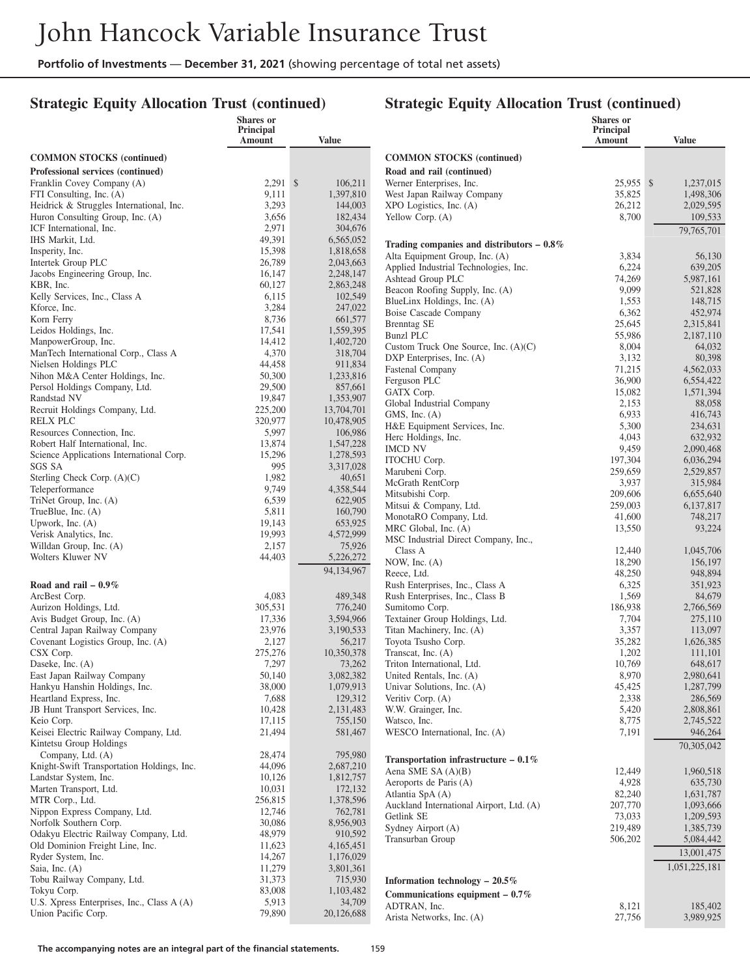## **Strategic Equity Allocation Trust (continued)**

|                                                              | Shares or<br>Principal |                        |                                                             | <b>Shares</b> or<br>Principal |                      |
|--------------------------------------------------------------|------------------------|------------------------|-------------------------------------------------------------|-------------------------------|----------------------|
|                                                              | Amount                 | Value                  |                                                             | Amount                        | Value                |
| <b>COMMON STOCKS</b> (continued)                             |                        |                        | <b>COMMON STOCKS (continued)</b>                            |                               |                      |
| Professional services (continued)                            |                        |                        | Road and rail (continued)                                   |                               |                      |
| Franklin Covey Company (A)                                   | $2,291$ \$             | 106,211                | Werner Enterprises, Inc.                                    | 25,955 \$                     | 1,237,015            |
| FTI Consulting, Inc. (A)                                     | 9,111                  | 1,397,810              | West Japan Railway Company                                  | 35,825                        | 1,498,306            |
| Heidrick & Struggles International, Inc.                     | 3,293                  | 144,003                | XPO Logistics, Inc. (A)                                     | 26,212                        | 2,029,595            |
| Huron Consulting Group, Inc. (A)                             | 3,656                  | 182,434                | Yellow Corp. (A)                                            | 8,700                         | 109,533              |
| ICF International, Inc.<br>IHS Markit, Ltd.                  | 2,971<br>49,391        | 304,676                |                                                             |                               | 79,765,701           |
| Insperity, Inc.                                              | 15,398                 | 6,565,052<br>1,818,658 | Trading companies and distributors $-0.8\%$                 |                               |                      |
| Intertek Group PLC                                           | 26,789                 | 2,043,663              | Alta Equipment Group, Inc. (A)                              | 3,834                         | 56,130               |
| Jacobs Engineering Group, Inc.                               | 16,147                 | 2,248,147              | Applied Industrial Technologies, Inc.                       | 6,224                         | 639,205              |
| KBR, Inc.                                                    | 60,127                 | 2,863,248              | Ashtead Group PLC<br>Beacon Roofing Supply, Inc. (A)        | 74,269<br>9,099               | 5,987,161<br>521,828 |
| Kelly Services, Inc., Class A                                | 6,115                  | 102,549                | BlueLinx Holdings, Inc. (A)                                 | 1,553                         | 148,715              |
| Kforce, Inc.                                                 | 3,284                  | 247,022                | <b>Boise Cascade Company</b>                                | 6,362                         | 452,974              |
| Korn Ferry                                                   | 8,736                  | 661,577                | <b>Brenntag SE</b>                                          | 25,645                        | 2,315,841            |
| Leidos Holdings, Inc.                                        | 17,541                 | 1,559,395              | <b>Bunzl PLC</b>                                            | 55,986                        | 2,187,110            |
| ManpowerGroup, Inc.                                          | 14,412                 | 1,402,720              | Custom Truck One Source, Inc. (A)(C)                        | 8,004                         | 64,032               |
| ManTech International Corp., Class A<br>Nielsen Holdings PLC | 4,370<br>44,458        | 318,704<br>911,834     | DXP Enterprises, Inc. (A)                                   | 3,132                         | 80,398               |
| Nihon M&A Center Holdings, Inc.                              | 50,300                 | 1,233,816              | Fastenal Company                                            | 71,215                        | 4,562,033            |
| Persol Holdings Company, Ltd.                                | 29,500                 | 857,661                | Ferguson PLC                                                | 36,900                        | 6,554,422            |
| Randstad NV                                                  | 19,847                 | 1,353,907              | GATX Corp.<br>Global Industrial Company                     | 15,082                        | 1,571,394            |
| Recruit Holdings Company, Ltd.                               | 225,200                | 13,704,701             | GMS, Inc. $(A)$                                             | 2,153<br>6,933                | 88,058<br>416,743    |
| <b>RELX PLC</b>                                              | 320,977                | 10,478,905             | H&E Equipment Services, Inc.                                | 5,300                         | 234,631              |
| Resources Connection, Inc.                                   | 5,997                  | 106,986                | Herc Holdings, Inc.                                         | 4,043                         | 632,932              |
| Robert Half International, Inc.                              | 13,874                 | 1,547,228              | <b>IMCD NV</b>                                              | 9,459                         | 2.090.468            |
| Science Applications International Corp.                     | 15,296<br>995          | 1,278,593              | ITOCHU Corp.                                                | 197,304                       | 6,036,294            |
| SGS SA<br>Sterling Check Corp. (A)(C)                        | 1,982                  | 3,317,028<br>40,651    | Marubeni Corp.                                              | 259,659                       | 2,529,857            |
| Teleperformance                                              | 9,749                  | 4,358,544              | McGrath RentCorp                                            | 3,937                         | 315,984              |
| TriNet Group, Inc. (A)                                       | 6,539                  | 622,905                | Mitsubishi Corp.                                            | 209,606                       | 6,655,640            |
| TrueBlue, Inc. (A)                                           | 5,811                  | 160,790                | Mitsui & Company, Ltd.                                      | 259,003                       | 6,137,817            |
| Upwork, Inc. $(A)$                                           | 19,143                 | 653,925                | MonotaRO Company, Ltd.<br>MRC Global, Inc. (A)              | 41,600<br>13,550              | 748,217<br>93,224    |
| Verisk Analytics, Inc.                                       | 19,993                 | 4,572,999              | MSC Industrial Direct Company, Inc.,                        |                               |                      |
| Willdan Group, Inc. (A)                                      | 2,157                  | 75,926                 | Class A                                                     | 12,440                        | 1,045,706            |
| Wolters Kluwer NV                                            | 44,403                 | 5,226,272              | NOW, Inc. (A)                                               | 18,290                        | 156,197              |
|                                                              |                        | 94,134,967             | Reece, Ltd.                                                 | 48,250                        | 948,894              |
| Road and rail $-0.9\%$                                       |                        |                        | Rush Enterprises, Inc., Class A                             | 6,325                         | 351,923              |
| ArcBest Corp.                                                | 4,083                  | 489,348                | Rush Enterprises, Inc., Class B                             | 1,569                         | 84,679               |
| Aurizon Holdings, Ltd.                                       | 305,531                | 776,240                | Sumitomo Corp.                                              | 186,938                       | 2,766,569            |
| Avis Budget Group, Inc. (A)<br>Central Japan Railway Company | 17,336<br>23,976       | 3,594,966<br>3,190,533 | Textainer Group Holdings, Ltd.<br>Titan Machinery, Inc. (A) | 7,704<br>3,357                | 275,110<br>113,097   |
| Covenant Logistics Group, Inc. (A)                           | 2,127                  | 56,217                 | Toyota Tsusho Corp.                                         | 35,282                        | 1,626,385            |
| CSX Corp.                                                    | 275,276                | 10,350,378             | Transcat, Inc. (A)                                          | 1,202                         | 111,101              |
| Daseke, Inc. (A)                                             | 7,297                  | 73,262                 | Triton International, Ltd.                                  | 10,769                        | 648,617              |
| East Japan Railway Company                                   | 50,140                 | 3,082,382              | United Rentals, Inc. (A)                                    | 8,970                         | 2,980,641            |
| Hankyu Hanshin Holdings, Inc.                                | 38,000                 | 1,079,913              | Univar Solutions, Inc. (A)                                  | 45,425                        | 1,287,799            |
| Heartland Express, Inc.                                      | 7,688                  | 129,312                | Veritiv Corp. (A)                                           | 2,338                         | 286,569              |
| JB Hunt Transport Services, Inc.                             | 10,428                 | 2,131,483              | W.W. Grainger, Inc.                                         | 5,420                         | 2,808,861            |
| Keio Corp.<br>Keisei Electric Railway Company, Ltd.          | 17,115                 | 755,150                | Watsco, Inc.                                                | 8,775                         | 2,745,522            |
| Kintetsu Group Holdings                                      | 21,494                 | 581,467                | WESCO International, Inc. (A)                               | 7,191                         | 946,264              |
| Company, Ltd. (A)                                            | 28,474                 | 795,980                |                                                             |                               | 70,305,042           |
| Knight-Swift Transportation Holdings, Inc.                   | 44,096                 | 2,687,210              | Transportation infrastructure $-0.1\%$                      |                               |                      |
| Landstar System, Inc.                                        | 10,126                 | 1,812,757              | Aena SME SA (A)(B)                                          | 12,449                        | 1,960,518            |
| Marten Transport, Ltd.                                       | 10,031                 | 172,132                | Aeroports de Paris (A)<br>Atlantia SpA (A)                  | 4,928<br>82,240               | 635,730<br>1,631,787 |
| MTR Corp., Ltd.                                              | 256,815                | 1,378,596              | Auckland International Airport, Ltd. (A)                    | 207,770                       | 1,093,666            |
| Nippon Express Company, Ltd.                                 | 12,746                 | 762,781                | Getlink SE                                                  | 73,033                        | 1,209,593            |
| Norfolk Southern Corp.                                       | 30,086                 | 8,956,903              | Sydney Airport (A)                                          | 219,489                       | 1,385,739            |
| Odakyu Electric Railway Company, Ltd.                        | 48,979                 | 910,592                | Transurban Group                                            | 506,202                       | 5,084,442            |
| Old Dominion Freight Line, Inc.<br>Ryder System, Inc.        | 11,623<br>14,267       | 4,165,451<br>1,176,029 |                                                             |                               | 13,001,475           |
| Saia, Inc. (A)                                               | 11,279                 | 3,801,361              |                                                             |                               | 1,051,225,181        |
| Tobu Railway Company, Ltd.                                   | 31,373                 | 715,930                | Information technology $-20.5\%$                            |                               |                      |
| Tokyu Corp.                                                  | 83,008                 | 1,103,482              | Communications equipment $-0.7\%$                           |                               |                      |
| U.S. Xpress Enterprises, Inc., Class A (A)                   | 5,913                  | 34,709                 | ADTRAN, Inc.                                                | 8,121                         | 185,402              |
| Union Pacific Corp.                                          | 79,890                 | 20,126,688             | Arista Networks, Inc. (A)                                   | 27,756                        | 3,989,925            |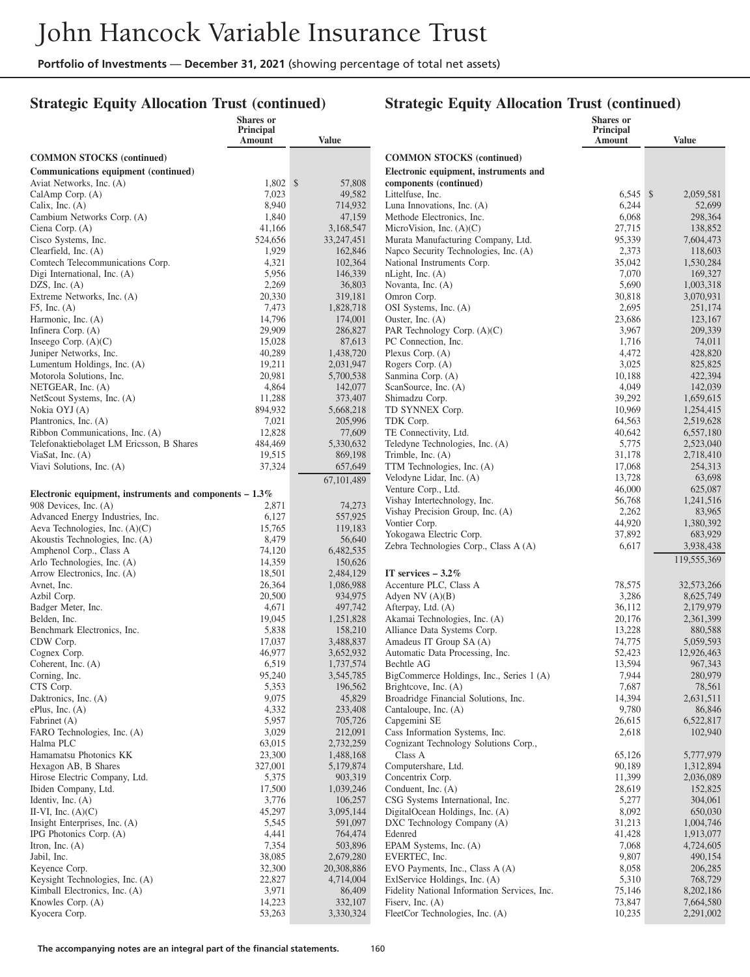**Shares or**

## **Strategic Equity Allocation Trust (continued)**

#### **Strategic Equity Allocation Trust (continued)**

**Shares or Principal**

|                                                                    | waa w<br>Principal<br>Amount | <b>Value</b>         |                                                                  | <b>DHALL</b><br>Principal<br>Amount | <b>Value</b>           |
|--------------------------------------------------------------------|------------------------------|----------------------|------------------------------------------------------------------|-------------------------------------|------------------------|
| <b>COMMON STOCKS</b> (continued)                                   |                              |                      | <b>COMMON STOCKS</b> (continued)                                 |                                     |                        |
| Communications equipment (continued)                               |                              |                      | Electronic equipment, instruments and                            |                                     |                        |
| Aviat Networks, Inc. (A)                                           | $1,802$ \$                   | 57,808               | components (continued)                                           |                                     |                        |
| CalAmp Corp. (A)                                                   | 7,023                        | 49,582               | Littelfuse, Inc.                                                 | $6.545$ \$                          | 2,059,581              |
| Calix, Inc. $(A)$                                                  | 8,940                        | 714,932              | Luna Innovations, Inc. (A)                                       | 6,244                               | 52,699                 |
| Cambium Networks Corp. (A)                                         | 1,840                        | 47,159               | Methode Electronics, Inc.                                        | 6,068                               | 298,364                |
| Ciena Corp. (A)                                                    | 41,166                       | 3,168,547            | MicroVision, Inc. $(A)(C)$                                       | 27,715                              | 138,852                |
| Cisco Systems, Inc.                                                | 524,656                      | 33, 247, 451         | Murata Manufacturing Company, Ltd.                               | 95,339                              | 7,604,473              |
| Clearfield, Inc. $(A)$                                             | 1,929                        | 162,846              | Napco Security Technologies, Inc. (A)                            | 2,373                               | 118,603                |
| Comtech Telecommunications Corp.                                   | 4,321                        | 102,364              | National Instruments Corp.                                       | 35,042                              | 1,530,284              |
| Digi International, Inc. (A)                                       | 5,956                        | 146,339              | nLight, Inc. (A)                                                 | 7,070                               | 169,327                |
| DZS, Inc. $(A)$<br>Extreme Networks, Inc. (A)                      | 2,269<br>20,330              | 36,803<br>319,181    | Novanta, Inc. (A)<br>Omron Corp.                                 | 5,690<br>30,818                     | 1,003,318<br>3,070,931 |
| $F5$ , Inc. $(A)$                                                  | 7,473                        | 1,828,718            | OSI Systems, Inc. (A)                                            | 2,695                               | 251,174                |
| Harmonic, Inc. (A)                                                 | 14,796                       | 174,001              | Ouster, Inc. $(A)$                                               | 23,686                              | 123,167                |
| Infinera Corp. (A)                                                 | 29,909                       | 286,827              | PAR Technology Corp. (A)(C)                                      | 3,967                               | 209,339                |
| Inseego Corp. $(A)(C)$                                             | 15,028                       | 87,613               | PC Connection, Inc.                                              | 1,716                               | 74,011                 |
| Juniper Networks, Inc.                                             | 40,289                       | 1,438,720            | Plexus Corp. $(A)$                                               | 4,472                               | 428,820                |
| Lumentum Holdings, Inc. (A)                                        | 19,211                       | 2,031,947            | Rogers Corp. (A)                                                 | 3,025                               | 825,825                |
| Motorola Solutions, Inc.                                           | 20,981                       | 5,700,538            | Sanmina Corp. (A)                                                | 10,188                              | 422,394                |
| NETGEAR, Inc. (A)                                                  | 4,864                        | 142,077              | ScanSource, Inc. (A)                                             | 4,049                               | 142,039                |
| NetScout Systems, Inc. (A)                                         | 11,288                       | 373,407              | Shimadzu Corp.                                                   | 39,292                              | 1,659,615              |
| Nokia OYJ (A)                                                      | 894,932                      | 5,668,218            | TD SYNNEX Corp.                                                  | 10,969                              | 1,254,415              |
| Plantronics, Inc. (A)                                              | 7,021                        | 205,996              | TDK Corp.                                                        | 64,563                              | 2,519,628              |
| Ribbon Communications, Inc. (A)                                    | 12,828                       | 77,609               | TE Connectivity, Ltd.                                            | 40,642                              | 6,557,180              |
| Telefonaktiebolaget LM Ericsson, B Shares<br>ViaSat, Inc. $(A)$    | 484,469<br>19,515            | 5,330,632            | Teledyne Technologies, Inc. (A)                                  | 5,775                               | 2,523,040              |
| Viavi Solutions, Inc. (A)                                          | 37,324                       | 869,198<br>657,649   | Trimble, Inc. $(A)$<br>TTM Technologies, Inc. (A)                | 31,178<br>17,068                    | 2,718,410<br>254,313   |
|                                                                    |                              |                      | Velodyne Lidar, Inc. (A)                                         | 13,728                              | 63,698                 |
|                                                                    |                              | 67,101,489           | Venture Corp., Ltd.                                              | 46,000                              | 625,087                |
| Electronic equipment, instruments and components $-1.3\%$          |                              |                      | Vishay Intertechnology, Inc.                                     | 56,768                              | 1,241,516              |
| 908 Devices, Inc. (A)                                              | 2,871                        | 74,273               | Vishay Precision Group, Inc. (A)                                 | 2,262                               | 83,965                 |
| Advanced Energy Industries, Inc.<br>Aeva Technologies, Inc. (A)(C) | 6,127<br>15,765              | 557,925<br>119,183   | Vontier Corp.                                                    | 44,920                              | 1,380,392              |
| Akoustis Technologies, Inc. (A)                                    | 8,479                        | 56,640               | Yokogawa Electric Corp.                                          | 37,892                              | 683,929                |
| Amphenol Corp., Class A                                            | 74,120                       | 6,482,535            | Zebra Technologies Corp., Class A (A)                            | 6,617                               | 3,938,438              |
| Arlo Technologies, Inc. (A)                                        | 14,359                       | 150,626              |                                                                  |                                     | 119,555,369            |
| Arrow Electronics, Inc. (A)                                        | 18,501                       | 2,484,129            | IT services $-3.2\%$                                             |                                     |                        |
| Avnet, Inc.                                                        | 26,364                       | 1,086,988            | Accenture PLC, Class A                                           | 78,575                              | 32,573,266             |
| Azbil Corp.                                                        | 20,500                       | 934,975              | Adyen NV $(A)(B)$                                                | 3,286                               | 8,625,749              |
| Badger Meter, Inc.                                                 | 4,671                        | 497,742              | Afterpay, Ltd. (A)                                               | 36,112                              | 2,179,979              |
| Belden, Inc.                                                       | 19,045                       | 1,251,828            | Akamai Technologies, Inc. (A)                                    | 20,176                              | 2,361,399              |
| Benchmark Electronics, Inc.                                        | 5,838                        | 158,210              | Alliance Data Systems Corp.                                      | 13,228                              | 880,588                |
| CDW Corp.                                                          | 17,037                       | 3,488,837            | Amadeus IT Group SA (A)                                          | 74,775                              | 5,059,593              |
| Cognex Corp.                                                       | 46,977                       | 3,652,932            | Automatic Data Processing, Inc.                                  | 52,423                              | 12,926,463             |
| Coherent, Inc. (A)                                                 | 6,519<br>95,240              | 1,737,574            | Bechtle AG                                                       | 13,594                              | 967.343                |
| Corning, Inc.<br>CTS Corp.                                         | 5,353                        | 3,545,785<br>196,562 | BigCommerce Holdings, Inc., Series 1 (A)<br>Brightcove, Inc. (A) | 7,944<br>7,687                      | 280,979<br>78,561      |
| Daktronics, Inc. (A)                                               | 9,075                        | 45,829               | Broadridge Financial Solutions, Inc.                             | 14,394                              | 2,631,511              |
| $ePlus$ , Inc. $(A)$                                               | 4,332                        | 233,408              | Cantaloupe, Inc. (A)                                             | 9,780                               | 86,846                 |
| Fabrinet (A)                                                       | 5,957                        | 705,726              | Capgemini SE                                                     | 26,615                              | 6,522,817              |
| FARO Technologies, Inc. (A)                                        | 3,029                        | 212,091              | Cass Information Systems, Inc.                                   | 2,618                               | 102,940                |
| Halma PLC                                                          | 63,015                       | 2,732,259            | Cognizant Technology Solutions Corp.,                            |                                     |                        |
| Hamamatsu Photonics KK                                             | 23,300                       | 1,488,168            | Class A                                                          | 65,126                              | 5,777,979              |
| Hexagon AB, B Shares                                               | 327,001                      | 5,179,874            | Computershare, Ltd.                                              | 90,189                              | 1,312,894              |
| Hirose Electric Company, Ltd.                                      | 5,375                        | 903,319              | Concentrix Corp.                                                 | 11,399                              | 2,036,089              |
| Ibiden Company, Ltd.                                               | 17,500                       | 1,039,246            | Conduent, Inc. (A)                                               | 28,619                              | 152,825                |
| Identiv, Inc. $(A)$                                                | 3,776                        | 106,257              | CSG Systems International, Inc.                                  | 5,277                               | 304,061                |
| II-VI, Inc. $(A)(C)$                                               | 45,297                       | 3,095,144            | DigitalOcean Holdings, Inc. (A)                                  | 8,092                               | 650,030                |
| Insight Enterprises, Inc. (A)                                      | 5,545                        | 591,097              | DXC Technology Company (A)                                       | 31,213                              | 1,004,746              |
| IPG Photonics Corp. (A)                                            | 4,441                        | 764,474              | Edenred                                                          | 41,428                              | 1,913,077<br>4,724,605 |
| Itron, Inc. $(A)$<br>Jabil, Inc.                                   | 7,354<br>38,085              | 503,896<br>2,679,280 | EPAM Systems, Inc. (A)<br>EVERTEC, Inc.                          | 7,068<br>9,807                      | 490,154                |
| Keyence Corp.                                                      | 32,300                       | 20,308,886           | EVO Payments, Inc., Class A (A)                                  | 8,058                               | 206,285                |
| Keysight Technologies, Inc. (A)                                    | 22,827                       | 4,714,004            | ExlService Holdings, Inc. (A)                                    | 5,310                               | 768,729                |
| Kimball Electronics, Inc. (A)                                      | 3,971                        | 86,409               | Fidelity National Information Services, Inc.                     | 75,146                              | 8,202,186              |
| Knowles Corp. (A)                                                  | 14,223                       | 332,107              | Fisery, Inc. $(A)$                                               | 73,847                              | 7,664,580              |
| Kyocera Corp.                                                      | 53,263                       | 3,330,324            | FleetCor Technologies, Inc. (A)                                  | 10,235                              | 2,291,002              |
|                                                                    |                              |                      |                                                                  |                                     |                        |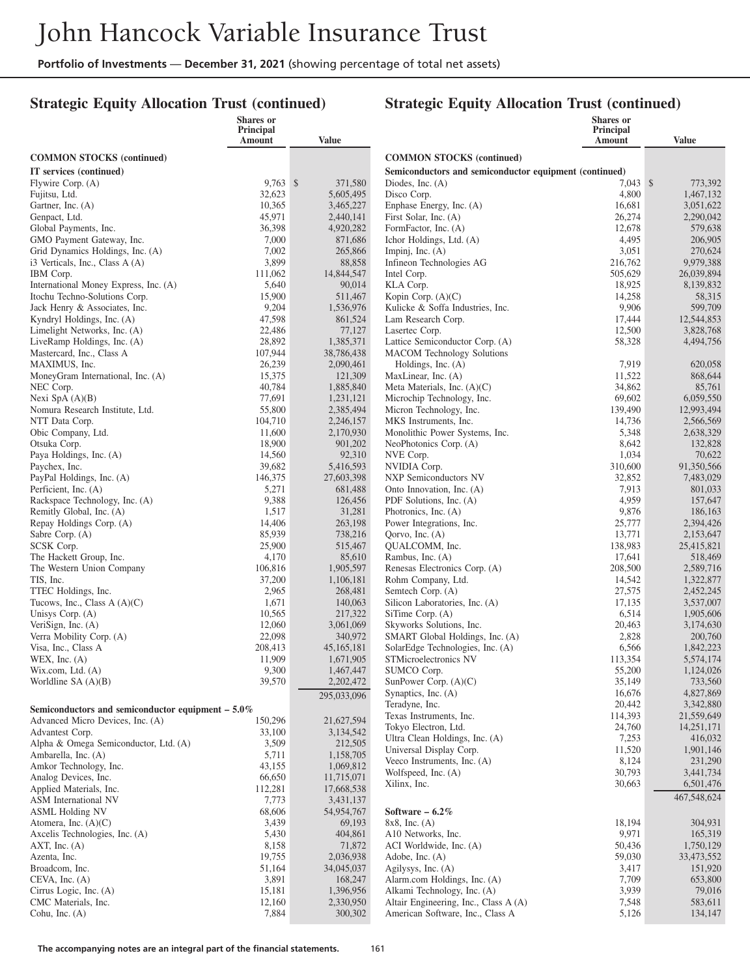## **Strategic Equity Allocation Trust (continued)**

|                                                          | <b>Shares</b> or    |                         |                                                                              | Shares or           |                        |
|----------------------------------------------------------|---------------------|-------------------------|------------------------------------------------------------------------------|---------------------|------------------------|
|                                                          | Principal<br>Amount | Value                   |                                                                              | Principal<br>Amount | <b>Value</b>           |
| <b>COMMON STOCKS</b> (continued)                         |                     |                         | <b>COMMON STOCKS (continued)</b>                                             |                     |                        |
|                                                          |                     |                         |                                                                              |                     |                        |
| IT services (continued)<br>Flywire Corp. (A)             | 9,763 \$            | 371,580                 | Semiconductors and semiconductor equipment (continued)<br>Diodes, Inc. $(A)$ | $7,043$ \$          | 773,392                |
| Fujitsu, Ltd.                                            | 32,623              | 5,605,495               | Disco Corp.                                                                  | 4,800               | 1,467,132              |
| Gartner, Inc. (A)                                        | 10,365              | 3,465,227               | Enphase Energy, Inc. (A)                                                     | 16,681              | 3,051,622              |
| Genpact, Ltd.                                            | 45,971              | 2,440,141               | First Solar, Inc. (A)                                                        | 26,274              | 2,290,042              |
| Global Payments, Inc.                                    | 36,398              | 4,920,282               | FormFactor, Inc. (A)                                                         | 12,678              | 579,638                |
| GMO Payment Gateway, Inc.                                | 7,000               | 871,686                 | Ichor Holdings, Ltd. (A)                                                     | 4,495               | 206,905                |
| Grid Dynamics Holdings, Inc. (A)                         | 7,002               | 265,866                 | Impinj, Inc. $(A)$                                                           | 3,051               | 270,624                |
| i3 Verticals, Inc., Class A (A)                          | 3,899               | 88,858                  | Infineon Technologies AG                                                     | 216,762             | 9,979,388              |
| IBM Corp.                                                | 111,062             | 14,844,547              | Intel Corp.                                                                  | 505,629             | 26,039,894             |
| International Money Express, Inc. (A)                    | 5,640               | 90,014                  | KLA Corp.                                                                    | 18,925              | 8,139,832              |
| Itochu Techno-Solutions Corp.                            | 15,900              | 511,467                 | Kopin Corp. $(A)(C)$                                                         | 14,258              | 58,315                 |
| Jack Henry & Associates, Inc.                            | 9,204               | 1,536,976               | Kulicke & Soffa Industries, Inc.                                             | 9,906               | 599,709                |
| Kyndryl Holdings, Inc. (A)                               | 47,598              | 861,524                 | Lam Research Corp.                                                           | 17,444              | 12,544,853             |
| Limelight Networks, Inc. (A)                             | 22,486<br>28,892    | 77,127                  | Lasertec Corp.                                                               | 12,500              | 3,828,768              |
| LiveRamp Holdings, Inc. (A)<br>Mastercard, Inc., Class A | 107,944             | 1,385,371<br>38,786,438 | Lattice Semiconductor Corp. (A)<br><b>MACOM</b> Technology Solutions         | 58,328              | 4,494,756              |
| MAXIMUS, Inc.                                            | 26,239              | 2,090,461               | Holdings, Inc. (A)                                                           | 7,919               | 620,058                |
| MoneyGram International, Inc. (A)                        | 15,375              | 121,309                 | MaxLinear, Inc. (A)                                                          | 11,522              | 868,644                |
| NEC Corp.                                                | 40,784              | 1,885,840               | Meta Materials, Inc. (A)(C)                                                  | 34,862              | 85,761                 |
| Nexi SpA $(A)(B)$                                        | 77,691              | 1,231,121               | Microchip Technology, Inc.                                                   | 69,602              | 6,059,550              |
| Nomura Research Institute, Ltd.                          | 55,800              | 2,385,494               | Micron Technology, Inc.                                                      | 139,490             | 12,993,494             |
| NTT Data Corp.                                           | 104,710             | 2,246,157               | MKS Instruments, Inc.                                                        | 14,736              | 2,566,569              |
| Obic Company, Ltd.                                       | 11,600              | 2,170,930               | Monolithic Power Systems, Inc.                                               | 5,348               | 2,638,329              |
| Otsuka Corp.                                             | 18,900              | 901,202                 | NeoPhotonics Corp. (A)                                                       | 8,642               | 132,828                |
| Paya Holdings, Inc. (A)                                  | 14,560              | 92,310                  | NVE Corp.                                                                    | 1,034               | 70,622                 |
| Paychex, Inc.                                            | 39,682              | 5,416,593               | NVIDIA Corp.                                                                 | 310,600             | 91,350,566             |
| PayPal Holdings, Inc. (A)                                | 146,375             | 27,603,398              | NXP Semiconductors NV                                                        | 32,852              | 7,483,029              |
| Perficient, Inc. (A)                                     | 5,271               | 681,488                 | Onto Innovation, Inc. (A)                                                    | 7,913               | 801,033                |
| Rackspace Technology, Inc. (A)                           | 9,388               | 126,456                 | PDF Solutions, Inc. (A)                                                      | 4,959               | 157,647                |
| Remitly Global, Inc. (A)<br>Repay Holdings Corp. (A)     | 1,517<br>14,406     | 31,281<br>263,198       | Photronics, Inc. (A)<br>Power Integrations, Inc.                             | 9,876<br>25,777     | 186,163<br>2,394,426   |
| Sabre Corp. (A)                                          | 85,939              | 738,216                 | Qorvo, Inc. (A)                                                              | 13,771              | 2,153,647              |
| SCSK Corp.                                               | 25,900              | 515,467                 | QUALCOMM, Inc.                                                               | 138,983             | 25,415,821             |
| The Hackett Group, Inc.                                  | 4,170               | 85,610                  | Rambus, Inc. (A)                                                             | 17,641              | 518,469                |
| The Western Union Company                                | 106,816             | 1,905,597               | Renesas Electronics Corp. (A)                                                | 208,500             | 2,589,716              |
| TIS, Inc.                                                | 37,200              | 1,106,181               | Rohm Company, Ltd.                                                           | 14,542              | 1,322,877              |
| TTEC Holdings, Inc.                                      | 2,965               | 268,481                 | Semtech Corp. (A)                                                            | 27,575              | 2,452,245              |
| Tucows, Inc., Class $A(A)(C)$                            | 1,671               | 140,063                 | Silicon Laboratories, Inc. (A)                                               | 17,135              | 3,537,007              |
| Unisys Corp. (A)                                         | 10,565              | 217,322                 | SiTime Corp. (A)                                                             | 6,514               | 1,905,606              |
| VeriSign, Inc. (A)                                       | 12,060              | 3,061,069               | Skyworks Solutions, Inc.                                                     | 20,463              | 3,174,630              |
| Verra Mobility Corp. (A)                                 | 22,098              | 340,972                 | SMART Global Holdings, Inc. (A)                                              | 2,828               | 200,760                |
| Visa, Inc., Class A                                      | 208,413             | 45,165,181              | SolarEdge Technologies, Inc. (A)                                             | 6,566               | 1,842,223              |
| WEX, Inc. $(A)$                                          | 11,909<br>9,300     | 1,671,905<br>1,467,447  | STMicroelectronics NV<br>SUMCO Corp.                                         | 113,354<br>55,200   | 5,574,174<br>1,124,026 |
| Wix.com, Ltd. (A)<br>Worldline SA (A)(B)                 | 39,570              | 2,202,472               | SunPower Corp. (A)(C)                                                        | 35,149              | 733,560                |
|                                                          |                     |                         | Synaptics, Inc. (A)                                                          | 16,676              | 4,827,869              |
|                                                          |                     | 295,033,096             | Teradyne, Inc.                                                               | 20,442              | 3,342,880              |
| Semiconductors and semiconductor equipment $-5.0\%$      |                     |                         | Texas Instruments, Inc.                                                      | 114,393             | 21,559,649             |
| Advanced Micro Devices, Inc. (A)                         | 150,296             | 21,627,594              | Tokyo Electron, Ltd.                                                         | 24,760              | 14,251,171             |
| Advantest Corp.<br>Alpha & Omega Semiconductor, Ltd. (A) | 33,100<br>3,509     | 3,134,542<br>212,505    | Ultra Clean Holdings, Inc. (A)                                               | 7,253               | 416,032                |
| Ambarella, Inc. (A)                                      | 5,711               | 1,158,705               | Universal Display Corp.                                                      | 11,520              | 1,901,146              |
| Amkor Technology, Inc.                                   | 43,155              | 1,069,812               | Veeco Instruments, Inc. (A)                                                  | 8,124               | 231,290                |
| Analog Devices, Inc.                                     | 66,650              | 11,715,071              | Wolfspeed, Inc. (A)                                                          | 30,793              | 3,441,734              |
| Applied Materials, Inc.                                  | 112,281             | 17,668,538              | Xilinx, Inc.                                                                 | 30,663              | 6,501,476              |
| ASM International NV                                     | 7,773               | 3,431,137               |                                                                              |                     | 467,548,624            |
| <b>ASML Holding NV</b>                                   | 68,606              | 54,954,767              | Software $-6.2\%$                                                            |                     |                        |
| Atomera, Inc. $(A)(C)$                                   | 3,439               | 69,193                  | $8x8$ , Inc. (A)                                                             | 18,194              | 304,931                |
| Axcelis Technologies, Inc. (A)                           | 5,430               | 404,861                 | A10 Networks, Inc.                                                           | 9,971               | 165,319                |
| AXT, Inc. $(A)$                                          | 8,158               | 71,872                  | ACI Worldwide, Inc. (A)                                                      | 50,436              | 1,750,129              |
| Azenta, Inc.                                             | 19,755              | 2,036,938               | Adobe, Inc. (A)                                                              | 59,030              | 33,473,552             |
| Broadcom, Inc.                                           | 51,164              | 34,045,037              | Agilysys, Inc. (A)                                                           | 3,417               | 151,920                |
| CEVA, Inc. (A)                                           | 3,891               | 168,247                 | Alarm.com Holdings, Inc. (A)                                                 | 7,709               | 653,800                |
| Cirrus Logic, Inc. (A)<br>CMC Materials, Inc.            | 15,181<br>12,160    | 1,396,956<br>2,330,950  | Alkami Technology, Inc. (A)<br>Altair Engineering, Inc., Class A (A)         | 3,939<br>7,548      | 79,016<br>583,611      |
| Cohu, Inc. (A)                                           | 7,884               | 300,302                 | American Software, Inc., Class A                                             | 5,126               | 134,147                |
|                                                          |                     |                         |                                                                              |                     |                        |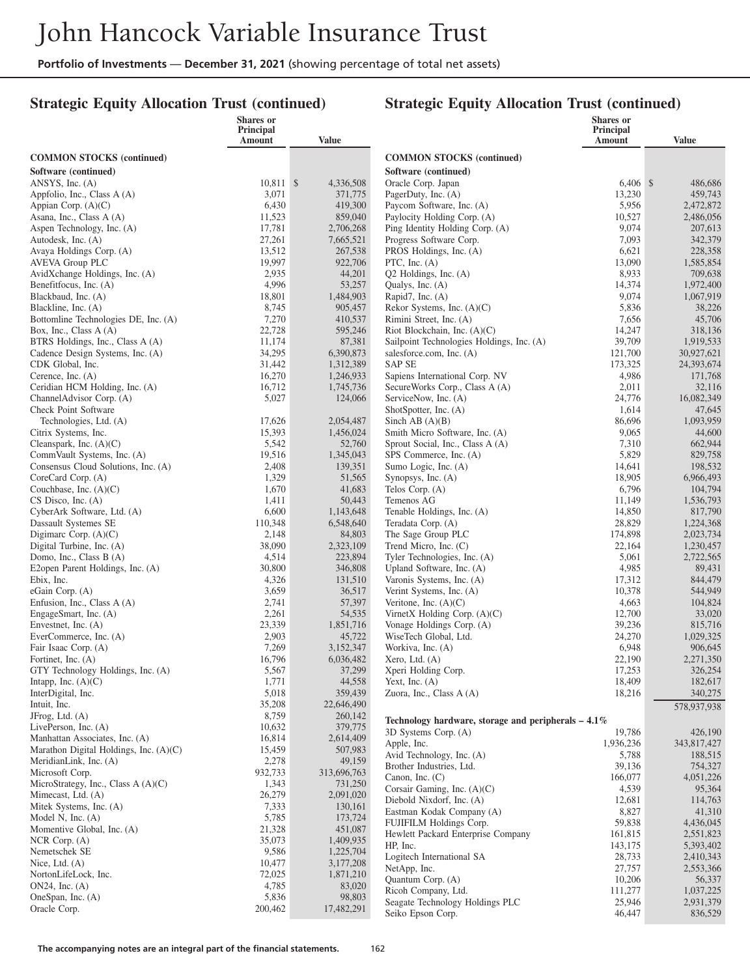## **Strategic Equity Allocation Trust (continued)**

|                                                            | Shares or<br>Principal |                        |                                                                             | <b>Shares</b> or<br>Principal |                        |
|------------------------------------------------------------|------------------------|------------------------|-----------------------------------------------------------------------------|-------------------------------|------------------------|
|                                                            | Amount                 | <b>Value</b>           |                                                                             | Amount                        | <b>Value</b>           |
| <b>COMMON STOCKS</b> (continued)                           |                        |                        | <b>COMMON STOCKS (continued)</b>                                            |                               |                        |
| Software (continued)                                       |                        |                        | Software (continued)                                                        |                               |                        |
| ANSYS, Inc. $(A)$                                          | 10,811 \$              | 4,336,508              | Oracle Corp. Japan                                                          | $6,406$ \$                    | 486,686                |
| Appfolio, Inc., Class A (A)                                | 3,071                  | 371,775                | PagerDuty, Inc. (A)                                                         | 13,230                        | 459,743                |
| Appian Corp. (A)(C)                                        | 6,430                  | 419,300                | Paycom Software, Inc. (A)                                                   | 5,956                         | 2,472,872              |
| Asana, Inc., Class A (A)                                   | 11,523                 | 859,040                | Paylocity Holding Corp. (A)                                                 | 10,527                        | 2,486,056              |
| Aspen Technology, Inc. (A)<br>Autodesk, Inc. (A)           | 17,781<br>27,261       | 2,706,268<br>7,665,521 | Ping Identity Holding Corp. (A)<br>Progress Software Corp.                  | 9,074<br>7,093                | 207,613<br>342,379     |
| Avaya Holdings Corp. (A)                                   | 13,512                 | 267,538                | PROS Holdings, Inc. (A)                                                     | 6,621                         | 228,358                |
| <b>AVEVA Group PLC</b>                                     | 19,997                 | 922,706                | PTC, Inc. $(A)$                                                             | 13,090                        | 1,585,854              |
| AvidXchange Holdings, Inc. (A)                             | 2,935                  | 44,201                 | $Q2$ Holdings, Inc. $(A)$                                                   | 8,933                         | 709,638                |
| Benefitfocus, Inc. (A)                                     | 4,996                  | 53,257                 | Qualys, Inc. (A)                                                            | 14,374                        | 1,972,400              |
| Blackbaud, Inc. (A)                                        | 18,801                 | 1,484,903              | Rapid7, Inc. (A)                                                            | 9,074                         | 1,067,919              |
| Blackline, Inc. (A)                                        | 8,745                  | 905,457                | Rekor Systems, Inc. $(A)(C)$                                                | 5,836                         | 38,226                 |
| Bottomline Technologies DE, Inc. (A)                       | 7,270<br>22,728        | 410,537                | Rimini Street, Inc. (A)                                                     | 7,656                         | 45,706                 |
| Box, Inc., Class A (A)<br>BTRS Holdings, Inc., Class A (A) | 11,174                 | 595,246<br>87,381      | Riot Blockchain, Inc. $(A)(C)$<br>Sailpoint Technologies Holdings, Inc. (A) | 14,247<br>39,709              | 318,136<br>1,919,533   |
| Cadence Design Systems, Inc. (A)                           | 34,295                 | 6,390,873              | salesforce.com, Inc. (A)                                                    | 121,700                       | 30,927,621             |
| CDK Global, Inc.                                           | 31,442                 | 1,312,389              | <b>SAP SE</b>                                                               | 173,325                       | 24,393,674             |
| Cerence, Inc. $(A)$                                        | 16,270                 | 1,246,933              | Sapiens International Corp. NV                                              | 4,986                         | 171,768                |
| Ceridian HCM Holding, Inc. (A)                             | 16,712                 | 1,745,736              | SecureWorks Corp., Class A (A)                                              | 2,011                         | 32,116                 |
| Channel Advisor Corp. (A)                                  | 5,027                  | 124,066                | ServiceNow, Inc. (A)                                                        | 24,776                        | 16,082,349             |
| Check Point Software                                       |                        |                        | ShotSpotter, Inc. (A)                                                       | 1,614                         | 47,645                 |
| Technologies, Ltd. (A)                                     | 17,626<br>15,393       | 2,054,487              | Sinch AB $(A)(B)$<br>Smith Micro Software, Inc. (A)                         | 86,696                        | 1,093,959              |
| Citrix Systems, Inc.<br>Cleanspark, Inc. $(A)(C)$          | 5,542                  | 1,456,024<br>52,760    | Sprout Social, Inc., Class A (A)                                            | 9,065<br>7,310                | 44,600<br>662,944      |
| CommVault Systems, Inc. (A)                                | 19,516                 | 1,345,043              | SPS Commerce, Inc. (A)                                                      | 5,829                         | 829,758                |
| Consensus Cloud Solutions, Inc. (A)                        | 2,408                  | 139,351                | Sumo Logic, Inc. (A)                                                        | 14,641                        | 198,532                |
| CoreCard Corp. (A)                                         | 1,329                  | 51,565                 | Synopsys, Inc. (A)                                                          | 18,905                        | 6,966,493              |
| Couchbase, Inc. $(A)(C)$                                   | 1,670                  | 41,683                 | Telos Corp. (A)                                                             | 6,796                         | 104,794                |
| $CS$ Disco, Inc. $(A)$                                     | 1,411                  | 50,443                 | Temenos AG                                                                  | 11,149                        | 1,536,793              |
| CyberArk Software, Ltd. (A)                                | 6,600                  | 1,143,648              | Tenable Holdings, Inc. (A)                                                  | 14,850                        | 817,790                |
| Dassault Systemes SE<br>Digimarc Corp. $(A)(C)$            | 110,348<br>2,148       | 6,548,640<br>84,803    | Teradata Corp. (A)<br>The Sage Group PLC                                    | 28,829<br>174,898             | 1,224,368<br>2,023,734 |
| Digital Turbine, Inc. (A)                                  | 38,090                 | 2,323,109              | Trend Micro, Inc. (C)                                                       | 22,164                        | 1,230,457              |
| Domo, Inc., Class B (A)                                    | 4,514                  | 223,894                | Tyler Technologies, Inc. (A)                                                | 5,061                         | 2,722,565              |
| E2open Parent Holdings, Inc. (A)                           | 30,800                 | 346,808                | Upland Software, Inc. (A)                                                   | 4,985                         | 89,431                 |
| Ebix, Inc.                                                 | 4,326                  | 131,510                | Varonis Systems, Inc. (A)                                                   | 17,312                        | 844,479                |
| eGain Corp. $(A)$                                          | 3,659                  | 36,517                 | Verint Systems, Inc. (A)                                                    | 10,378                        | 544,949                |
| Enfusion, Inc., Class A (A)                                | 2,741                  | 57,397                 | Veritone, Inc. $(A)(C)$                                                     | 4,663                         | 104,824                |
| EngageSmart, Inc. (A)<br>Envestnet, Inc. $(A)$             | 2,261<br>23,339        | 54,535<br>1,851,716    | VirnetX Holding Corp. $(A)(C)$<br>Vonage Holdings Corp. (A)                 | 12,700<br>39,236              | 33,020<br>815,716      |
| EverCommerce, Inc. (A)                                     | 2,903                  | 45,722                 | WiseTech Global, Ltd.                                                       | 24,270                        | 1,029,325              |
| Fair Isaac Corp. (A)                                       | 7,269                  | 3,152,347              | Workiva, Inc. (A)                                                           | 6,948                         | 906,645                |
| Fortinet, Inc. $(A)$                                       | 16,796                 | 6,036,482              | Xero, Ltd. $(A)$                                                            | 22,190                        | 2,271,350              |
| GTY Technology Holdings, Inc. (A)                          | 5,567                  | 37,299                 | Xperi Holding Corp.                                                         | 17,253                        | 326,254                |
| Intapp, Inc. $(A)(C)$                                      | 1,771                  | 44,558                 | Yext, Inc. $(A)$                                                            | 18,409                        | 182,617                |
| InterDigital, Inc.                                         | 5,018                  | 359,439                | Zuora, Inc., Class $A(A)$                                                   | 18,216                        | 340,275                |
| Intuit, Inc.<br>JFrog, Ltd. (A)                            | 35,208<br>8,759        | 22,646,490<br>260,142  |                                                                             |                               | 578,937,938            |
| LivePerson, Inc. $(A)$                                     | 10,632                 | 379,775                | Technology hardware, storage and peripherals $-4.1\%$                       |                               |                        |
| Manhattan Associates, Inc. (A)                             | 16,814                 | 2,614,409              | 3D Systems Corp. (A)                                                        | 19,786                        | 426,190                |
| Marathon Digital Holdings, Inc. (A)(C)                     | 15,459                 | 507,983                | Apple, Inc.<br>Avid Technology, Inc. (A)                                    | 1,936,236<br>5,788            | 343,817,427<br>188,515 |
| MeridianLink, Inc. (A)                                     | 2,278                  | 49,159                 | Brother Industries, Ltd.                                                    | 39,136                        | 754,327                |
| Microsoft Corp.                                            | 932,733                | 313,696,763            | Canon, Inc. $(C)$                                                           | 166,077                       | 4,051,226              |
| MicroStrategy, Inc., Class A (A)(C)                        | 1,343<br>26,279        | 731,250                | Corsair Gaming, Inc. (A)(C)                                                 | 4,539                         | 95,364                 |
| Mimecast, Ltd. (A)<br>Mitek Systems, Inc. (A)              | 7,333                  | 2,091,020<br>130,161   | Diebold Nixdorf, Inc. (A)                                                   | 12,681                        | 114,763                |
| Model N, Inc. $(A)$                                        | 5,785                  | 173,724                | Eastman Kodak Company (A)                                                   | 8,827                         | 41,310                 |
| Momentive Global, Inc. (A)                                 | 21,328                 | 451,087                | FUJIFILM Holdings Corp.                                                     | 59,838                        | 4,436,045              |
| NCR Corp. (A)                                              | 35,073                 | 1,409,935              | Hewlett Packard Enterprise Company<br>HP, Inc.                              | 161,815<br>143,175            | 2,551,823<br>5,393,402 |
| Nemetschek SE                                              | 9,586                  | 1,225,704              | Logitech International SA                                                   | 28,733                        | 2,410,343              |
| Nice, Ltd. $(A)$                                           | 10,477                 | 3,177,208              | NetApp, Inc.                                                                | 27,757                        | 2,553,366              |
| NortonLifeLock, Inc.                                       | 72,025                 | 1,871,210              | Quantum Corp. (A)                                                           | 10,206                        | 56,337                 |
| $ON24$ , Inc. $(A)$<br>OneSpan, Inc. (A)                   | 4,785<br>5,836         | 83,020<br>98,803       | Ricoh Company, Ltd.                                                         | 111,277                       | 1,037,225              |
| Oracle Corp.                                               | 200,462                | 17,482,291             | Seagate Technology Holdings PLC                                             | 25,946                        | 2,931,379              |
|                                                            |                        |                        | Seiko Epson Corp.                                                           | 46,447                        | 836,529                |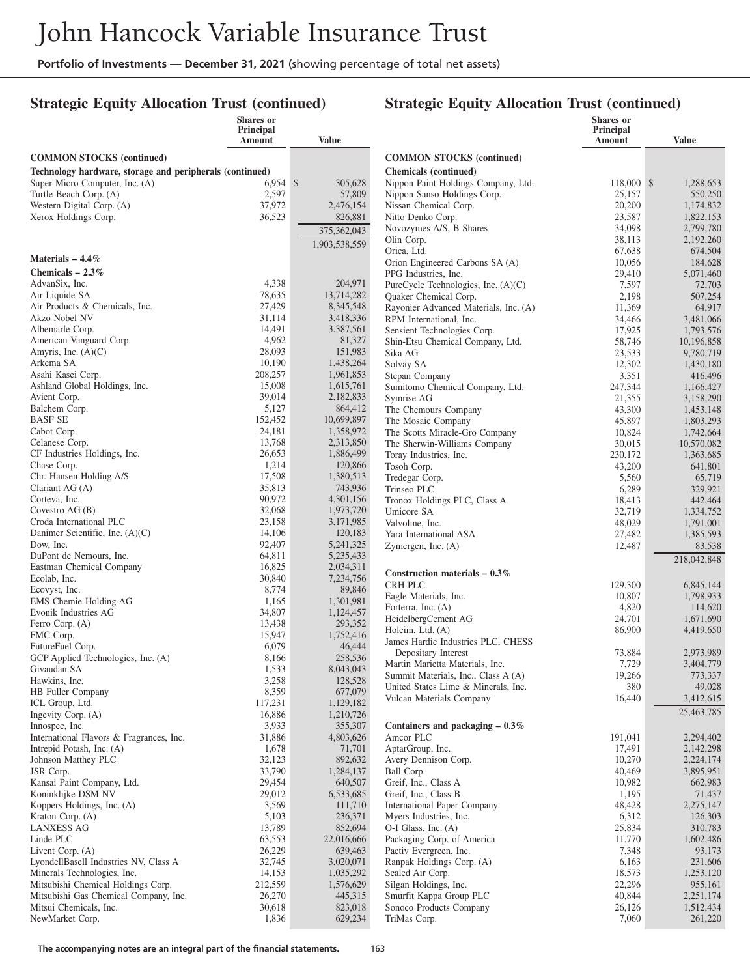#### **Strategic Equity Allocation Trust (continued)**

#### **Strategic Equity Allocation Trust (continued)**

|                                                          | <b>Shares</b> or<br>Principal<br>Amount | <b>Value</b>           |                                                                | <b>Shares</b> or<br>Principal<br>Amount | <b>Value</b>           |
|----------------------------------------------------------|-----------------------------------------|------------------------|----------------------------------------------------------------|-----------------------------------------|------------------------|
| <b>COMMON STOCKS</b> (continued)                         |                                         |                        | <b>COMMON STOCKS</b> (continued)                               |                                         |                        |
| Technology hardware, storage and peripherals (continued) |                                         |                        | <b>Chemicals</b> (continued)                                   |                                         |                        |
| Super Micro Computer, Inc. (A)                           | $6.954$ \$                              | 305,628                | Nippon Paint Holdings Company, Ltd.                            | 118,000 \$                              | 1,288,653              |
| Turtle Beach Corp. (A)                                   | 2,597                                   | 57,809                 | Nippon Sanso Holdings Corp.                                    | 25,157                                  | 550,250                |
| Western Digital Corp. (A)                                | 37,972                                  | 2,476,154              | Nissan Chemical Corp.                                          | 20,200                                  | 1,174,832              |
| Xerox Holdings Corp.                                     | 36,523                                  | 826,881                | Nitto Denko Corp.<br>Novozymes A/S, B Shares                   | 23,587<br>34,098                        | 1,822,153<br>2,799,780 |
|                                                          |                                         | 375,362,043            | Olin Corp.                                                     | 38,113                                  | 2,192,260              |
|                                                          |                                         | 1,903,538,559          | Orica, Ltd.                                                    | 67,638                                  | 674,504                |
| Materials $-4.4\%$                                       |                                         |                        | Orion Engineered Carbons SA (A)                                | 10,056                                  | 184,628                |
| Chemicals $-2.3\%$                                       |                                         |                        | PPG Industries, Inc.                                           | 29,410                                  | 5,071,460              |
| AdvanSix, Inc.                                           | 4,338<br>78,635                         | 204,971<br>13,714,282  | PureCycle Technologies, Inc. (A)(C)                            | 7,597                                   | 72,703                 |
| Air Liquide SA<br>Air Products & Chemicals, Inc.         | 27,429                                  | 8,345,548              | Quaker Chemical Corp.<br>Rayonier Advanced Materials, Inc. (A) | 2,198<br>11,369                         | 507,254<br>64,917      |
| Akzo Nobel NV                                            | 31,114                                  | 3,418,336              | RPM International, Inc.                                        | 34,466                                  | 3,481,066              |
| Albemarle Corp.                                          | 14,491                                  | 3,387,561              | Sensient Technologies Corp.                                    | 17,925                                  | 1,793,576              |
| American Vanguard Corp.                                  | 4,962                                   | 81,327                 | Shin-Etsu Chemical Company, Ltd.                               | 58,746                                  | 10,196,858             |
| Amyris, Inc. $(A)(C)$                                    | 28,093                                  | 151,983                | Sika AG                                                        | 23,533                                  | 9,780,719              |
| Arkema SA<br>Asahi Kasei Corp.                           | 10,190<br>208,257                       | 1,438,264<br>1,961,853 | Solvay SA                                                      | 12,302                                  | 1,430,180              |
| Ashland Global Holdings, Inc.                            | 15,008                                  | 1,615,761              | Stepan Company<br>Sumitomo Chemical Company, Ltd.              | 3,351<br>247,344                        | 416,496<br>1,166,427   |
| Avient Corp.                                             | 39,014                                  | 2,182,833              | Symrise AG                                                     | 21,355                                  | 3,158,290              |
| Balchem Corp.                                            | 5,127                                   | 864,412                | The Chemours Company                                           | 43,300                                  | 1,453,148              |
| <b>BASF SE</b>                                           | 152,452                                 | 10,699,897             | The Mosaic Company                                             | 45,897                                  | 1,803,293              |
| Cabot Corp.                                              | 24,181                                  | 1,358,972              | The Scotts Miracle-Gro Company                                 | 10,824                                  | 1,742,664              |
| Celanese Corp.                                           | 13,768                                  | 2,313,850              | The Sherwin-Williams Company                                   | 30,015                                  | 10,570,082             |
| CF Industries Holdings, Inc.<br>Chase Corp.              | 26,653<br>1,214                         | 1,886,499<br>120,866   | Toray Industries, Inc.<br>Tosoh Corp.                          | 230,172<br>43,200                       | 1,363,685<br>641,801   |
| Chr. Hansen Holding A/S                                  | 17,508                                  | 1,380,513              | Tredegar Corp.                                                 | 5,560                                   | 65,719                 |
| Clariant $AG(A)$                                         | 35,813                                  | 743,936                | Trinseo PLC                                                    | 6,289                                   | 329,921                |
| Corteva, Inc.                                            | 90,972                                  | 4,301,156              | Tronox Holdings PLC, Class A                                   | 18,413                                  | 442,464                |
| Covestro $AG(B)$                                         | 32,068                                  | 1,973,720              | Umicore SA                                                     | 32,719                                  | 1,334,752              |
| Croda International PLC                                  | 23,158<br>14,106                        | 3,171,985<br>120,183   | Valvoline, Inc.                                                | 48,029                                  | 1,791,001              |
| Danimer Scientific, Inc. $(A)(C)$<br>Dow, Inc.           | 92,407                                  | 5,241,325              | Yara International ASA<br>Zymergen, Inc. (A)                   | 27,482<br>12,487                        | 1,385,593<br>83,538    |
| DuPont de Nemours, Inc.                                  | 64,811                                  | 5,235,433              |                                                                |                                         | 218,042,848            |
| Eastman Chemical Company                                 | 16,825                                  | 2,034,311              |                                                                |                                         |                        |
| Ecolab, Inc.                                             | 30,840                                  | 7,234,756              | Construction materials $-0.3\%$<br><b>CRH PLC</b>              | 129,300                                 | 6,845,144              |
| Ecovyst, Inc.                                            | 8,774                                   | 89,846                 | Eagle Materials, Inc.                                          | 10,807                                  | 1,798,933              |
| EMS-Chemie Holding AG<br>Evonik Industries AG            | 1,165<br>34,807                         | 1,301,981<br>1,124,457 | Forterra, Inc. (A)                                             | 4,820                                   | 114,620                |
| Ferro Corp. (A)                                          | 13,438                                  | 293,352                | HeidelbergCement AG                                            | 24,701                                  | 1,671,690              |
| FMC Corp.                                                | 15,947                                  | 1,752,416              | Holcim, Ltd. (A)                                               | 86,900                                  | 4,419,650              |
| FutureFuel Corp.                                         | 6,079                                   | 46,444                 | James Hardie Industries PLC, CHESS<br>Depositary Interest      |                                         | 2.973.989              |
| GCP Applied Technologies, Inc. (A)                       | 8,166                                   | 258,536                | Martin Marietta Materials, Inc.                                | 73,884<br>7,729                         | 3,404,779              |
| Givaudan SA                                              | 1,533                                   | 8,043,043              | Summit Materials, Inc., Class A (A)                            | 19,266                                  | 773,337                |
| Hawkins, Inc.<br><b>HB</b> Fuller Company                | 3,258<br>8,359                          | 128,528<br>677,079     | United States Lime & Minerals, Inc.                            | 380                                     | 49,028                 |
| ICL Group, Ltd.                                          | 117,231                                 | 1,129,182              | Vulcan Materials Company                                       | 16,440                                  | 3,412,615              |
| Ingevity Corp. (A)                                       | 16,886                                  | 1,210,726              |                                                                |                                         | 25,463,785             |
| Innospec, Inc.                                           | 3,933                                   | 355,307                | Containers and packaging $-0.3\%$                              |                                         |                        |
| International Flavors & Fragrances, Inc.                 | 31,886                                  | 4,803,626              | Amcor PLC                                                      | 191,041                                 | 2,294,402              |
| Intrepid Potash, Inc. (A)                                | 1,678                                   | 71,701                 | AptarGroup, Inc.                                               | 17,491                                  | 2,142,298              |
| Johnson Matthey PLC<br>JSR Corp.                         | 32,123<br>33,790                        | 892,632<br>1,284,137   | Avery Dennison Corp.<br>Ball Corp.                             | 10,270<br>40,469                        | 2,224,174<br>3,895,951 |
| Kansai Paint Company, Ltd.                               | 29,454                                  | 640,507                | Greif, Inc., Class A                                           | 10,982                                  | 662,983                |
| Koninklijke DSM NV                                       | 29,012                                  | 6,533,685              | Greif, Inc., Class B                                           | 1,195                                   | 71,437                 |
| Koppers Holdings, Inc. (A)                               | 3,569                                   | 111,710                | International Paper Company                                    | 48,428                                  | 2,275,147              |
| Kraton Corp. (A)                                         | 5,103                                   | 236,371                | Myers Industries, Inc.                                         | 6,312                                   | 126,303                |
| <b>LANXESS AG</b>                                        | 13,789                                  | 852,694                | O-I Glass, Inc. (A)                                            | 25,834                                  | 310,783                |
| Linde PLC<br>Livent Corp. (A)                            | 63,553<br>26,229                        | 22,016,666<br>639,463  | Packaging Corp. of America<br>Pactiv Evergreen, Inc.           | 11,770<br>7,348                         | 1,602,486<br>93,173    |
| LyondellBasell Industries NV, Class A                    | 32,745                                  | 3,020,071              | Ranpak Holdings Corp. (A)                                      | 6,163                                   | 231,606                |
| Minerals Technologies, Inc.                              | 14,153                                  | 1,035,292              | Sealed Air Corp.                                               | 18,573                                  | 1,253,120              |
| Mitsubishi Chemical Holdings Corp.                       | 212,559                                 | 1,576,629              | Silgan Holdings, Inc.                                          | 22,296                                  | 955,161                |
| Mitsubishi Gas Chemical Company, Inc.                    | 26,270                                  | 445,315                | Smurfit Kappa Group PLC                                        | 40,844                                  | 2,251,174              |
| Mitsui Chemicals, Inc.                                   | 30,618                                  | 823,018                | Sonoco Products Company                                        | 26,126                                  | 1,512,434              |
| NewMarket Corp.                                          | 1,836                                   | 629,234                | TriMas Corp.                                                   | 7,060                                   | 261,220                |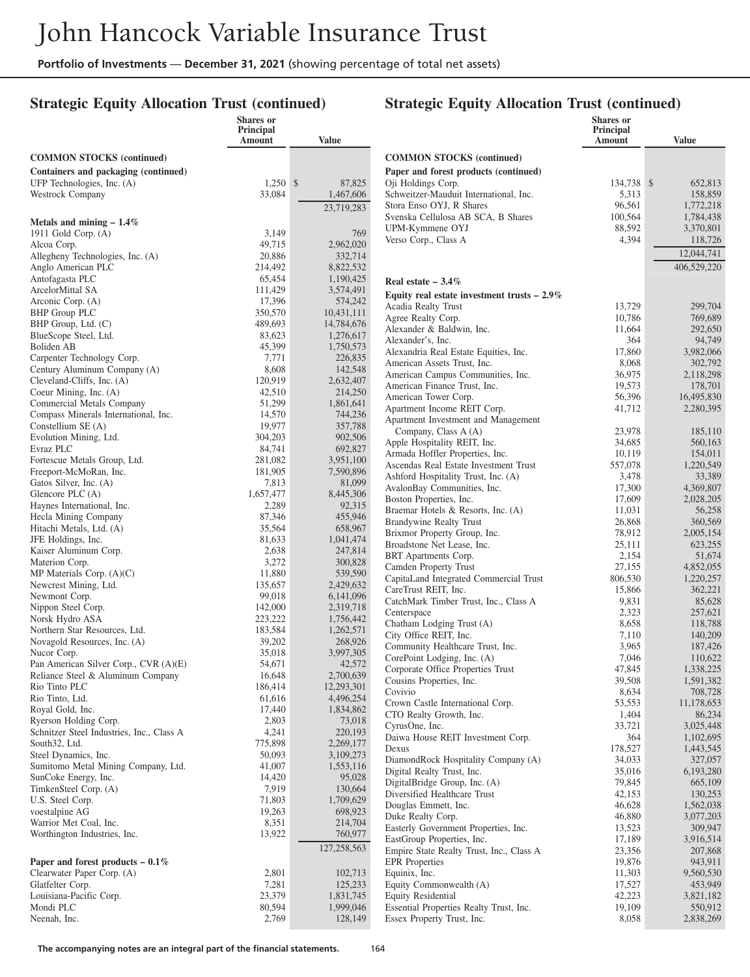#### **Strategic Equity Allocation Trust (continued)**

|                                                                   | Shares or<br><b>Principal</b> |                        |                                                                              | <b>Shares</b> or<br>Principal |                        |
|-------------------------------------------------------------------|-------------------------------|------------------------|------------------------------------------------------------------------------|-------------------------------|------------------------|
|                                                                   | Amount                        | Value                  |                                                                              | Amount                        | <b>Value</b>           |
| <b>COMMON STOCKS</b> (continued)                                  |                               |                        | <b>COMMON STOCKS</b> (continued)                                             |                               |                        |
| Containers and packaging (continued)                              |                               |                        | Paper and forest products (continued)                                        |                               |                        |
| UFP Technologies, Inc. (A)                                        | $1,250$ \$                    | 87,825                 | Oji Holdings Corp.                                                           | 134,738 \$                    | 652,813                |
| Westrock Company                                                  | 33,084                        | 1,467,606              | Schweitzer-Mauduit International, Inc.                                       | 5,313                         | 158,859                |
|                                                                   |                               | 23,719,283             | Stora Enso OYJ, R Shares                                                     | 96,561                        | 1,772,218              |
| Metals and mining $-1.4\%$                                        |                               |                        | Svenska Cellulosa AB SCA, B Shares                                           | 100,564                       | 1,784,438              |
| 1911 Gold Corp. (A)                                               | 3,149                         | 769                    | UPM-Kymmene OYJ                                                              | 88,592                        | 3,370,801              |
| Alcoa Corp.                                                       | 49,715                        | 2,962,020              | Verso Corp., Class A                                                         | 4,394                         | 118,726                |
| Allegheny Technologies, Inc. (A)                                  | 20,886                        | 332,714                |                                                                              |                               | 12,044,741             |
| Anglo American PLC                                                | 214,492                       | 8,822,532              |                                                                              |                               | 406,529,220            |
| Antofagasta PLC                                                   | 65,454                        | 1,190,425              | Real estate $-3.4\%$                                                         |                               |                        |
| ArcelorMittal SA<br>Arconic Corp. (A)                             | 111,429<br>17,396             | 3,574,491<br>574,242   | Equity real estate investment trusts $-2.9\%$                                |                               |                        |
| <b>BHP Group PLC</b>                                              | 350,570                       | 10,431,111             | Acadia Realty Trust                                                          | 13,729                        | 299,704                |
| BHP Group, Ltd. (C)                                               | 489,693                       | 14,784,676             | Agree Realty Corp.                                                           | 10,786                        | 769,689                |
| BlueScope Steel, Ltd.                                             | 83,623                        | 1,276,617              | Alexander & Baldwin, Inc.                                                    | 11,664                        | 292,650                |
| Boliden AB                                                        | 45,399                        | 1,750,573              | Alexander's, Inc.<br>Alexandria Real Estate Equities, Inc.                   | 364<br>17,860                 | 94,749<br>3,982,066    |
| Carpenter Technology Corp.                                        | 7,771                         | 226,835                | American Assets Trust, Inc.                                                  | 8,068                         | 302,792                |
| Century Aluminum Company (A)                                      | 8,608                         | 142,548                | American Campus Communities, Inc.                                            | 36,975                        | 2,118,298              |
| Cleveland-Cliffs, Inc. (A)                                        | 120,919                       | 2,632,407              | American Finance Trust, Inc.                                                 | 19,573                        | 178,701                |
| Coeur Mining, Inc. (A)                                            | 42,510                        | 214,250                | American Tower Corp.                                                         | 56.396                        | 16,495,830             |
| Commercial Metals Company<br>Compass Minerals International, Inc. | 51,299<br>14,570              | 1,861,641<br>744,236   | Apartment Income REIT Corp.                                                  | 41,712                        | 2,280,395              |
| Constellium SE (A)                                                | 19,977                        | 357,788                | Apartment Investment and Management                                          |                               |                        |
| Evolution Mining, Ltd.                                            | 304,203                       | 902,506                | Company, Class A (A)                                                         | 23,978                        | 185,110                |
| Evraz PLC                                                         | 84,741                        | 692,827                | Apple Hospitality REIT, Inc.                                                 | 34,685                        | 560,163                |
| Fortescue Metals Group, Ltd.                                      | 281,082                       | 3,951,100              | Armada Hoffler Properties, Inc.                                              | 10,119                        | 154,011<br>1,220,549   |
| Freeport-McMoRan, Inc.                                            | 181,905                       | 7,590,896              | Ascendas Real Estate Investment Trust<br>Ashford Hospitality Trust, Inc. (A) | 557,078<br>3,478              | 33,389                 |
| Gatos Silver, Inc. (A)                                            | 7,813                         | 81,099                 | AvalonBay Communities, Inc.                                                  | 17,300                        | 4,369,807              |
| Glencore PLC (A)                                                  | 1,657,477                     | 8,445,306              | Boston Properties, Inc.                                                      | 17,609                        | 2,028,205              |
| Haynes International, Inc.                                        | 2,289                         | 92,315                 | Braemar Hotels & Resorts, Inc. (A)                                           | 11,031                        | 56,258                 |
| Hecla Mining Company                                              | 87,346<br>35,564              | 455,946                | Brandywine Realty Trust                                                      | 26,868                        | 360,569                |
| Hitachi Metals, Ltd. (A)<br>JFE Holdings, Inc.                    | 81,633                        | 658,967<br>1,041,474   | Brixmor Property Group, Inc.                                                 | 78,912                        | 2,005,154              |
| Kaiser Aluminum Corp.                                             | 2,638                         | 247,814                | Broadstone Net Lease, Inc.                                                   | 25,111                        | 623,255                |
| Materion Corp.                                                    | 3,272                         | 300,828                | BRT Apartments Corp.                                                         | 2,154                         | 51,674                 |
| MP Materials Corp. $(A)(C)$                                       | 11,880                        | 539,590                | Camden Property Trust<br>CapitaLand Integrated Commercial Trust              | 27,155<br>806,530             | 4,852,055<br>1,220,257 |
| Newcrest Mining, Ltd.                                             | 135,657                       | 2,429,632              | CareTrust REIT, Inc.                                                         | 15,866                        | 362,221                |
| Newmont Corp.                                                     | 99,018                        | 6,141,096              | CatchMark Timber Trust, Inc., Class A                                        | 9,831                         | 85,628                 |
| Nippon Steel Corp.                                                | 142,000                       | 2,319,718              | Centerspace                                                                  | 2,323                         | 257,621                |
| Norsk Hydro ASA<br>Northern Star Resources, Ltd.                  | 223,222<br>183,584            | 1,756,442<br>1,262,571 | Chatham Lodging Trust (A)                                                    | 8,658                         | 118,788                |
| Novagold Resources, Inc. (A)                                      | 39,202                        | 268,926                | City Office REIT, Inc.                                                       | 7,110                         | 140,209                |
| Nucor Corp.                                                       | 35,018                        | 3,997,305              | Community Healthcare Trust, Inc.                                             | 3,965                         | 187,426                |
| Pan American Silver Corp., CVR (A)(E)                             | 54,671                        | 42,572                 | CorePoint Lodging, Inc. (A)                                                  | 7,046                         | 110,622                |
| Reliance Steel & Aluminum Company                                 | 16.648                        | 2,700,639              | Corporate Office Properties Trust<br>Cousins Properties, Inc.                | 47,845<br>39,508              | 1,338,225<br>1,591,382 |
| Rio Tinto PLC                                                     | 186,414                       | 12,293,301             | Covivio                                                                      | 8,634                         | 708,728                |
| Rio Tinto, Ltd.                                                   | 61,616                        | 4,496,254              | Crown Castle International Corp.                                             | 53,553                        | 11,178,653             |
| Royal Gold, Inc.                                                  | 17,440                        | 1,834,862              | CTO Realty Growth, Inc.                                                      | 1,404                         | 86,234                 |
| Ryerson Holding Corp.                                             | 2,803                         | 73,018                 | CyrusOne, Inc.                                                               | 33,721                        | 3,025,448              |
| Schnitzer Steel Industries, Inc., Class A<br>South32, Ltd.        | 4,241<br>775,898              | 220,193<br>2,269,177   | Daiwa House REIT Investment Corp.                                            | 364                           | 1,102,695              |
| Steel Dynamics, Inc.                                              | 50,093                        | 3,109,273              | Dexus                                                                        | 178,527                       | 1,443,545              |
| Sumitomo Metal Mining Company, Ltd.                               | 41,007                        | 1,553,116              | DiamondRock Hospitality Company (A)                                          | 34,033                        | 327,057                |
| SunCoke Energy, Inc.                                              | 14,420                        | 95,028                 | Digital Realty Trust, Inc.                                                   | 35,016                        | 6,193,280              |
| TimkenSteel Corp. (A)                                             | 7,919                         | 130,664                | DigitalBridge Group, Inc. (A)<br>Diversified Healthcare Trust                | 79,845<br>42,153              | 665,109<br>130,253     |
| U.S. Steel Corp.                                                  | 71,803                        | 1,709,629              | Douglas Emmett, Inc.                                                         | 46,628                        | 1,562,038              |
| voestalpine AG                                                    | 19,263                        | 698,923                | Duke Realty Corp.                                                            | 46,880                        | 3,077,203              |
| Warrior Met Coal, Inc.                                            | 8,351                         | 214,704                | Easterly Government Properties, Inc.                                         | 13,523                        | 309,947                |
| Worthington Industries, Inc.                                      | 13,922                        | 760,977                | EastGroup Properties, Inc.                                                   | 17,189                        | 3,916,514              |
|                                                                   |                               | 127,258,563            | Empire State Realty Trust, Inc., Class A                                     | 23,356                        | 207,868                |
| Paper and forest products $-0.1\%$                                |                               |                        | <b>EPR</b> Properties                                                        | 19,876                        | 943,911                |
| Clearwater Paper Corp. (A)                                        | 2,801                         | 102,713                | Equinix, Inc.                                                                | 11,303                        | 9,560,530              |
| Glatfelter Corp.                                                  | 7,281                         | 125,233                | Equity Commonwealth (A)                                                      | 17,527                        | 453,949                |
| Louisiana-Pacific Corp.<br>Mondi PLC                              | 23,379<br>80,594              | 1,831,745<br>1,999,046 | <b>Equity Residential</b><br>Essential Properties Realty Trust, Inc.         | 42,223<br>19,109              | 3,821,182<br>550,912   |
| Neenah, Inc.                                                      | 2,769                         | 128,149                | Essex Property Trust, Inc.                                                   | 8,058                         | 2,838,269              |
|                                                                   |                               |                        |                                                                              |                               |                        |

#### **Strategic Equity Allocation Trust (continued)**

**Shares or Principal**

| <b>COMMON STOCKS (continued)</b>                                     |                  |                        |
|----------------------------------------------------------------------|------------------|------------------------|
| Paper and forest products (continued)                                |                  |                        |
| Oji Holdings Corp.                                                   | 134,738          | \$<br>652,813          |
| Schweitzer-Mauduit International, Inc.                               | 5,313            | 158,859                |
| Stora Enso OYJ, R Shares                                             | 96,561           | 1,772,218              |
| Svenska Cellulosa AB SCA, B Shares                                   | 100,564          | 1,784,438              |
| UPM-Kymmene OYJ                                                      | 88,592           | 3,370,801              |
| Verso Corp., Class A                                                 | 4,394            | 118,726                |
|                                                                      |                  | 12,044,741             |
|                                                                      |                  | 406,529,220            |
| Real estate $-3.4\%$                                                 |                  |                        |
| Equity real estate investment trusts $-2.9\%$                        |                  |                        |
| Acadia Realty Trust                                                  | 13,729           | 299,704                |
| Agree Realty Corp.                                                   | 10,786           | 769,689                |
| Alexander & Baldwin, Inc.                                            | 11,664           | 292,650                |
| Alexander's, Inc.                                                    | 364              | 94,749                 |
| Alexandria Real Estate Equities, Inc.                                | 17,860           | 3,982,066              |
| American Assets Trust, Inc.                                          | 8,068            | 302,792                |
| American Campus Communities, Inc.                                    | 36,975           | 2,118,298              |
| American Finance Trust, Inc.                                         | 19,573           | 178,701                |
| American Tower Corp.                                                 | 56,396           | 16,495,830             |
| Apartment Income REIT Corp.                                          | 41,712           | 2,280,395              |
| Apartment Investment and Management<br>Company, Class A (A)          |                  |                        |
| Apple Hospitality REIT, Inc.                                         | 23,978           | 185,110                |
| Armada Hoffler Properties, Inc.                                      | 34,685<br>10,119 | 560,163<br>154,011     |
| Ascendas Real Estate Investment Trust                                | 557,078          | 1,220,549              |
| Ashford Hospitality Trust, Inc. (A)                                  | 3,478            | 33,389                 |
| AvalonBay Communities, Inc.                                          | 17,300           | 4,369,807              |
| Boston Properties, Inc.                                              | 17,609           | 2,028,205              |
| Braemar Hotels & Resorts, Inc. (A)                                   | 11,031           | 56,258                 |
| <b>Brandywine Realty Trust</b>                                       | 26,868           | 360,569                |
| Brixmor Property Group, Inc.                                         | 78,912           | 2,005,154              |
| Broadstone Net Lease, Inc.                                           | 25,111           | 623,255                |
| BRT Apartments Corp.                                                 | 2,154            | 51,674                 |
| Camden Property Trust                                                | 27,155           | 4,852,055              |
| CapitaLand Integrated Commercial Trust                               | 806,530          | 1,220,257              |
| CareTrust REIT, Inc.                                                 | 15,866           | 362,221                |
| CatchMark Timber Trust, Inc., Class A                                | 9,831            | 85,628                 |
| Centerspace                                                          | 2,323            | 257,621                |
| Chatham Lodging Trust (A)                                            | 8,658            | 118,788                |
| City Office REIT, Inc.                                               | 7,110            | 140,209                |
| Community Healthcare Trust, Inc.                                     | 3,965            | 187,426                |
| CorePoint Lodging, Inc. (A)<br>Corporate Office Properties Trust     | 7,046            | 110,622                |
| Cousins Properties, Inc.                                             | 47,845<br>39,508 | 1,338,225<br>1,591,382 |
| Covivio                                                              | 8,634            | 708,728                |
| Crown Castle International Corp.                                     | 53,553           | 11,178,653             |
| CTO Realty Growth, Inc.                                              | 1,404            | 86,234                 |
| CyrusOne, Inc.                                                       | 33,721           | 3,025,448              |
| Daiwa House REIT Investment Corp.                                    | 364              | 1,102,695              |
| Dexus                                                                | 178,527          | 1,443,545              |
| DiamondRock Hospitality Company (A)                                  | 34,033           | 327,057                |
| Digital Realty Trust, Inc.                                           | 35,016           | 6,193,280              |
| DigitalBridge Group, Inc. (A)                                        | 79,845           | 665,109                |
| Diversified Healthcare Trust                                         | 42,153           | 130,253                |
| Douglas Emmett, Inc.                                                 | 46,628           | 1,562,038              |
| Duke Realty Corp.                                                    | 46,880           | 3,077,203              |
| Easterly Government Properties, Inc.                                 | 13,523           | 309,947                |
| EastGroup Properties, Inc.                                           | 17,189           | 3,916,514              |
| Empire State Realty Trust, Inc., Class A                             | 23,356           | 207,868                |
| <b>EPR</b> Properties                                                | 19,876           | 943,911                |
| Equinix, Inc.                                                        | 11,303           | 9,560,530              |
| Equity Commonwealth (A)                                              | 17,527           | 453,949                |
| <b>Equity Residential</b><br>Essential Properties Realty Trust, Inc. | 42,223           | 3,821,182              |
|                                                                      | 19,109           | 550,912                |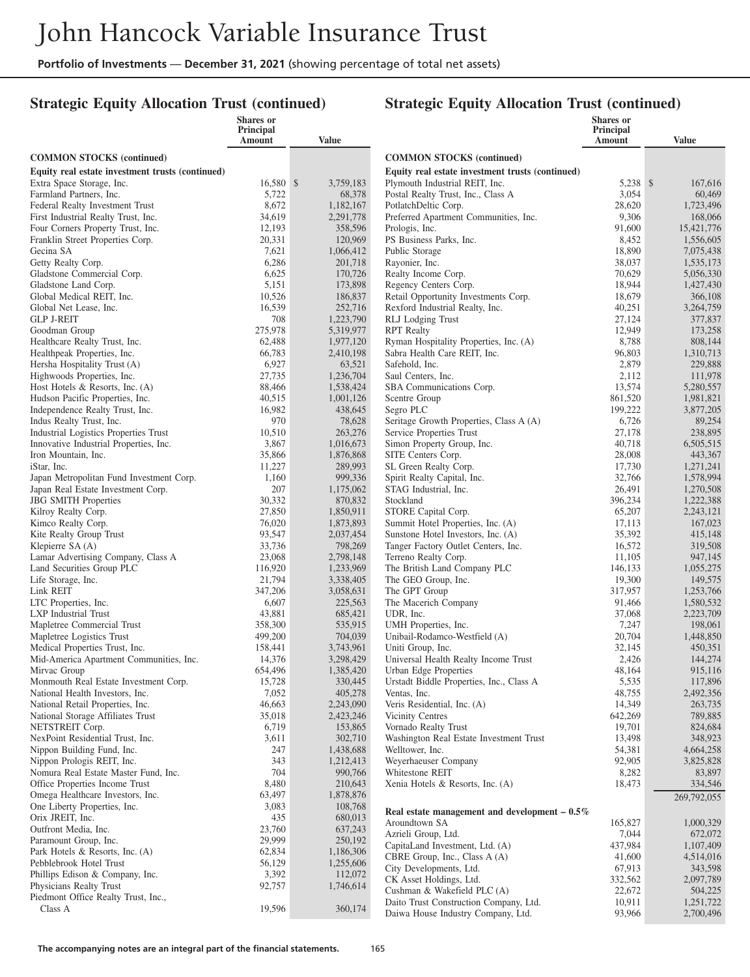## **Strategic Equity Allocation Trust (continued)**

|                                                                          | <b>Shares</b> or<br>Principal |                        |                                                                   | <b>Shares</b> or<br><b>Principal</b> |                        |
|--------------------------------------------------------------------------|-------------------------------|------------------------|-------------------------------------------------------------------|--------------------------------------|------------------------|
|                                                                          | Amount                        | <b>Value</b>           |                                                                   | Amount                               | <b>Value</b>           |
| <b>COMMON STOCKS</b> (continued)                                         |                               |                        | <b>COMMON STOCKS</b> (continued)                                  |                                      |                        |
| Equity real estate investment trusts (continued)                         |                               |                        | Equity real estate investment trusts (continued)                  |                                      |                        |
| Extra Space Storage, Inc.                                                | 16,580 \$                     | 3,759,183              | Plymouth Industrial REIT, Inc.                                    | 5,238 \$                             | 167,616                |
| Farmland Partners, Inc.                                                  | 5,722                         | 68,378                 | Postal Realty Trust, Inc., Class A                                | 3,054                                | 60,469                 |
| Federal Realty Investment Trust                                          | 8,672                         | 1,182,167              | PotlatchDeltic Corp.                                              | 28,620                               | 1,723,496              |
| First Industrial Realty Trust, Inc.                                      | 34,619                        | 2,291,778              | Preferred Apartment Communities, Inc.                             | 9,306                                | 168,066                |
| Four Corners Property Trust, Inc.                                        | 12,193                        | 358,596                | Prologis, Inc.                                                    | 91,600                               | 15,421,776             |
| Franklin Street Properties Corp.                                         | 20,331                        | 120,969                | PS Business Parks, Inc.                                           | 8,452                                | 1,556,605              |
| Gecina SA                                                                | 7,621                         | 1,066,412              | Public Storage                                                    | 18,890                               | 7,075,438              |
| Getty Realty Corp.                                                       | 6,286                         | 201,718                | Rayonier, Inc.                                                    | 38,037                               | 1,535,173              |
| Gladstone Commercial Corp.                                               | 6,625                         | 170,726                | Realty Income Corp.                                               | 70,629                               | 5,056,330              |
| Gladstone Land Corp.                                                     | 5,151                         | 173,898                | Regency Centers Corp.                                             | 18,944                               | 1,427,430              |
| Global Medical REIT, Inc.                                                | 10,526                        | 186,837                | Retail Opportunity Investments Corp.                              | 18,679                               | 366,108                |
| Global Net Lease, Inc.                                                   | 16,539                        | 252,716                | Rexford Industrial Realty, Inc.                                   | 40,251                               | 3,264,759              |
| <b>GLP J-REIT</b>                                                        | 708                           | 1,223,790              | RLJ Lodging Trust                                                 | 27,124                               | 377,837                |
| Goodman Group                                                            | 275,978                       | 5,319,977              | <b>RPT</b> Realty                                                 | 12,949                               | 173,258                |
| Healthcare Realty Trust, Inc.                                            | 62,488                        | 1,977,120              | Ryman Hospitality Properties, Inc. (A)                            | 8,788                                | 808,144                |
| Healthpeak Properties, Inc.                                              | 66,783                        | 2,410,198              | Sabra Health Care REIT, Inc.                                      | 96,803                               | 1,310,713              |
| Hersha Hospitality Trust (A)                                             | 6,927                         | 63,521                 | Safehold, Inc.                                                    | 2,879                                | 229,888                |
| Highwoods Properties, Inc.                                               | 27,735<br>88,466              | 1,236,704<br>1,538,424 | Saul Centers, Inc.                                                | 2,112<br>13,574                      | 111,978                |
| Host Hotels $\&$ Resorts, Inc. (A)                                       | 40,515                        | 1,001,126              | SBA Communications Corp.                                          | 861,520                              | 5,280,557<br>1,981,821 |
| Hudson Pacific Properties, Inc.<br>Independence Realty Trust, Inc.       | 16,982                        | 438,645                | Scentre Group<br>Segro PLC                                        | 199,222                              | 3,877,205              |
| Indus Realty Trust, Inc.                                                 | 970                           | 78,628                 | Seritage Growth Properties, Class A (A)                           | 6,726                                | 89,254                 |
| <b>Industrial Logistics Properties Trust</b>                             | 10,510                        | 263,276                | Service Properties Trust                                          | 27,178                               | 238,895                |
| Innovative Industrial Properties, Inc.                                   | 3,867                         | 1,016,673              | Simon Property Group, Inc.                                        | 40,718                               | 6,505,515              |
| Iron Mountain, Inc.                                                      | 35,866                        | 1,876,868              | SITE Centers Corp.                                                | 28,008                               | 443,367                |
| iStar, Inc.                                                              | 11,227                        | 289,993                | SL Green Realty Corp.                                             | 17,730                               | 1,271,241              |
| Japan Metropolitan Fund Investment Corp.                                 | 1,160                         | 999,336                | Spirit Realty Capital, Inc.                                       | 32,766                               | 1,578,994              |
| Japan Real Estate Investment Corp.                                       | 207                           | 1,175,062              | STAG Industrial, Inc.                                             | 26,491                               | 1,270,508              |
| <b>JBG SMITH Properties</b>                                              | 30,332                        | 870,832                | Stockland                                                         | 396,234                              | 1,222,388              |
| Kilroy Realty Corp.                                                      | 27,850                        | 1,850,911              | STORE Capital Corp.                                               | 65,207                               | 2,243,121              |
| Kimco Realty Corp.                                                       | 76,020                        | 1,873,893              | Summit Hotel Properties, Inc. (A)                                 | 17,113                               | 167,023                |
| Kite Realty Group Trust                                                  | 93,547                        | 2,037,454              | Sunstone Hotel Investors, Inc. (A)                                | 35,392                               | 415,148                |
| Klepierre SA (A)                                                         | 33,736                        | 798,269                | Tanger Factory Outlet Centers, Inc.                               | 16,572                               | 319,508                |
| Lamar Advertising Company, Class A                                       | 23,068                        | 2,798,148              | Terreno Realty Corp.                                              | 11,105                               | 947,145                |
| Land Securities Group PLC                                                | 116,920                       | 1,233,969              | The British Land Company PLC                                      | 146,133                              | 1,055,275              |
| Life Storage, Inc.                                                       | 21,794                        | 3,338,405              | The GEO Group, Inc.                                               | 19,300                               | 149,575                |
| Link REIT                                                                | 347,206                       | 3,058,631              | The GPT Group                                                     | 317,957                              | 1,253,766              |
| LTC Properties, Inc.                                                     | 6,607                         | 225,563                | The Macerich Company                                              | 91,466                               | 1,580,532              |
| <b>LXP</b> Industrial Trust                                              | 43,881                        | 685,421                | UDR, Inc.                                                         | 37,068                               | 2,223,709              |
| Mapletree Commercial Trust                                               | 358,300                       | 535,915                | UMH Properties, Inc.                                              | 7,247                                | 198,061                |
| Mapletree Logistics Trust                                                | 499,200                       | 704,039                | Unibail-Rodamco-Westfield (A)                                     | 20,704                               | 1,448,850              |
| Medical Properties Trust, Inc.                                           | 158,441                       | 3,743,961              | Uniti Group, Inc.                                                 | 32,145                               | 450,351                |
| Mid-America Apartment Communities, Inc.                                  | 14,376                        | 3,298,429              | Universal Health Realty Income Trust                              | 2,426                                | 144,274                |
| Mirvac Group                                                             | 654,496                       | 1,385,420              | Urban Edge Properties<br>Urstadt Biddle Properties, Inc., Class A | 48,164                               | 915,116                |
| Monmouth Real Estate Investment Corp.<br>National Health Investors, Inc. | 15,728<br>7,052               | 330,445<br>405,278     |                                                                   | 5,535<br>48,755                      | 117,896<br>2,492,356   |
| National Retail Properties, Inc.                                         | 46,663                        | 2,243,090              | Ventas, Inc.<br>Veris Residential, Inc. (A)                       | 14,349                               | 263,735                |
| National Storage Affiliates Trust                                        | 35,018                        | 2,423,246              | Vicinity Centres                                                  | 642,269                              | 789,885                |
| NETSTREIT Corp.                                                          | 6,719                         | 153,865                | Vornado Realty Trust                                              | 19,701                               | 824,684                |
| NexPoint Residential Trust, Inc.                                         | 3,611                         | 302,710                | Washington Real Estate Investment Trust                           | 13,498                               | 348,923                |
| Nippon Building Fund, Inc.                                               | 247                           | 1,438,688              | Welltower, Inc.                                                   | 54,381                               | 4,664,258              |
| Nippon Prologis REIT, Inc.                                               | 343                           | 1,212,413              | Weyerhaeuser Company                                              | 92,905                               | 3,825,828              |
| Nomura Real Estate Master Fund, Inc.                                     | 704                           | 990,766                | Whitestone REIT                                                   | 8,282                                | 83,897                 |
| Office Properties Income Trust                                           | 8,480                         | 210,643                | Xenia Hotels & Resorts, Inc. (A)                                  | 18,473                               | 334,546                |
| Omega Healthcare Investors, Inc.                                         | 63,497                        | 1,878,876              |                                                                   |                                      | 269,792,055            |
| One Liberty Properties, Inc.                                             | 3,083                         | 108,768                |                                                                   |                                      |                        |
| Orix JREIT, Inc.                                                         | 435                           | 680,013                | Real estate management and development $-0.5\%$                   |                                      |                        |
| Outfront Media, Inc.                                                     | 23,760                        | 637,243                | Aroundtown SA<br>Azrieli Group, Ltd.                              | 165,827<br>7,044                     | 1,000,329              |
| Paramount Group, Inc.                                                    | 29,999                        | 250,192                | CapitaLand Investment, Ltd. (A)                                   | 437,984                              | 672,072<br>1,107,409   |
| Park Hotels & Resorts, Inc. (A)                                          | 62,834                        | 1,186,306              | CBRE Group, Inc., Class A (A)                                     | 41,600                               | 4,514,016              |
| Pebblebrook Hotel Trust                                                  | 56,129                        | 1,255,606              | City Developments, Ltd.                                           | 67,913                               | 343,598                |
| Phillips Edison & Company, Inc.                                          | 3,392                         | 112,072                | CK Asset Holdings, Ltd.                                           | 332,562                              | 2,097,789              |
| Physicians Realty Trust                                                  | 92,757                        | 1,746,614              | Cushman & Wakefield PLC (A)                                       | 22,672                               | 504,225                |
| Piedmont Office Realty Trust, Inc.,                                      |                               |                        | Daito Trust Construction Company, Ltd.                            | 10,911                               | 1,251,722              |
| Class A                                                                  | 19,596                        | 360,174                | Daiwa House Industry Company, Ltd.                                | 93,966                               | 2,700,496              |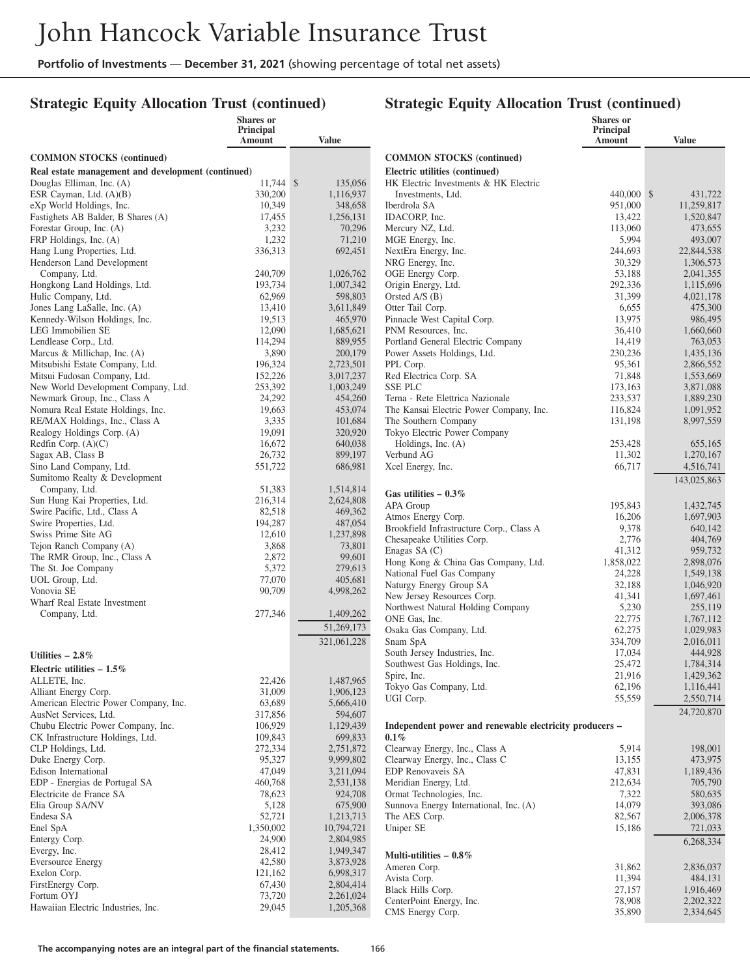## **Strategic Equity Allocation Trust (continued)**

|                                                     | <b>Shares</b> or<br><b>Principal</b><br>Amount | <b>Value</b>           |                                                        |
|-----------------------------------------------------|------------------------------------------------|------------------------|--------------------------------------------------------|
| <b>COMMON STOCKS</b> (continued)                    |                                                |                        | <b>COMMON STOCKS (co</b>                               |
| Real estate management and development (continued)  |                                                |                        | <b>Electric utilities (continu</b>                     |
| Douglas Elliman, Inc. (A)                           | 11,744 \$                                      | 135,056                | HK Electric Investments                                |
| ESR Cayman, Ltd. (A)(B)                             | 330,200                                        | 1,116,937              | Investments, Ltd.                                      |
| eXp World Holdings, Inc.                            | 10,349                                         | 348,658                | Iberdrola SA                                           |
| Fastighets AB Balder, B Shares (A)                  | 17,455                                         | 1,256,131              | IDACORP, Inc.                                          |
| Forestar Group, Inc. (A)<br>FRP Holdings, Inc. (A)  | 3,232<br>1,232                                 | 70,296<br>71,210       | Mercury NZ, Ltd.<br>MGE Energy, Inc.                   |
| Hang Lung Properties, Ltd.                          | 336,313                                        | 692,451                | NextEra Energy, Inc.                                   |
| Henderson Land Development                          |                                                |                        | NRG Energy, Inc.                                       |
| Company, Ltd.                                       | 240,709                                        | 1,026,762              | OGE Energy Corp.                                       |
| Hongkong Land Holdings, Ltd.                        | 193,734                                        | 1,007,342              | Origin Energy, Ltd.                                    |
| Hulic Company, Ltd.                                 | 62,969                                         | 598,803                | Orsted A/S (B)                                         |
| Jones Lang LaSalle, Inc. (A)                        | 13,410                                         | 3,611,849              | Otter Tail Corp.                                       |
| Kennedy-Wilson Holdings, Inc.                       | 19,513                                         | 465,970                | Pinnacle West Capital Co                               |
| LEG Immobilien SE<br>Lendlease Corp., Ltd.          | 12,090<br>114,294                              | 1,685,621<br>889,955   | PNM Resources, Inc.<br>Portland General Electric       |
| Marcus & Millichap, Inc. $(A)$                      | 3,890                                          | 200,179                | Power Assets Holdings, L                               |
| Mitsubishi Estate Company, Ltd.                     | 196,324                                        | 2,723,501              | PPL Corp.                                              |
| Mitsui Fudosan Company, Ltd.                        | 152,226                                        | 3,017,237              | Red Electrica Corp. SA                                 |
| New World Development Company, Ltd.                 | 253,392                                        | 1,003,249              | <b>SSE PLC</b>                                         |
| Newmark Group, Inc., Class A                        | 24,292                                         | 454,260                | Terna - Rete Elettrica Naz                             |
| Nomura Real Estate Holdings, Inc.                   | 19,663                                         | 453,074                | The Kansai Electric Powe                               |
| RE/MAX Holdings, Inc., Class A                      | 3,335                                          | 101,684                | The Southern Company                                   |
| Realogy Holdings Corp. (A)                          | 19,091                                         | 320,920                | Tokyo Electric Power Cor                               |
| Redfin Corp. (A)(C)<br>Sagax AB, Class B            | 16,672<br>26,732                               | 640,038<br>899,197     | Holdings, Inc. $(A)$<br>Verbund AG                     |
| Sino Land Company, Ltd.                             | 551,722                                        | 686,981                | Xcel Energy, Inc.                                      |
| Sumitomo Realty & Development                       |                                                |                        |                                                        |
| Company, Ltd.                                       | 51,383                                         | 1,514,814              | Gas utilities $-0.3\%$                                 |
| Sun Hung Kai Properties, Ltd.                       | 216,314                                        | 2,624,808              | APA Group                                              |
| Swire Pacific, Ltd., Class A                        | 82,518                                         | 469,362                | Atmos Energy Corp.                                     |
| Swire Properties, Ltd.                              | 194,287                                        | 487,054                | Brookfield Infrastructure                              |
| Swiss Prime Site AG                                 | 12,610                                         | 1,237,898              | Chesapeake Utilities Corp                              |
| Tejon Ranch Company (A)                             | 3,868<br>2,872                                 | 73,801                 | Enagas SA $(C)$                                        |
| The RMR Group, Inc., Class A<br>The St. Joe Company | 5,372                                          | 99,601<br>279,613      | Hong Kong & China Gas                                  |
| UOL Group, Ltd.                                     | 77,070                                         | 405,681                | National Fuel Gas Compa                                |
| Vonovia SE                                          | 90,709                                         | 4,998,262              | Naturgy Energy Group SA                                |
| Wharf Real Estate Investment                        |                                                |                        | New Jersey Resources Co<br>Northwest Natural Holdin    |
| Company, Ltd.                                       | 277,346                                        | 1,409,262              | ONE Gas, Inc.                                          |
|                                                     |                                                | 51,269,173             | Osaka Gas Company, Ltd                                 |
|                                                     |                                                | 321,061,228            | Snam SpA                                               |
| Utilities $-2.8\%$                                  |                                                |                        | South Jersey Industries, In                            |
| Electric utilities $-1.5\%$                         |                                                |                        | Southwest Gas Holdings,                                |
| ALLETE, Inc.                                        | 22,426                                         | 1,487,965              | Spire, Inc.                                            |
| Alliant Energy Corp.                                | 31,009                                         | 1,906,123              | Tokyo Gas Company, Ltd                                 |
| American Electric Power Company, Inc.               | 63,689                                         | 5,666,410              | UGI Corp.                                              |
| AusNet Services, Ltd.                               | 317,856                                        | 594,607                |                                                        |
| Chubu Electric Power Company, Inc.                  | 106,929                                        | 1,129,439              | Independent power and                                  |
| CK Infrastructure Holdings, Ltd.                    | 109,843                                        | 699,833                | $0.1\%$                                                |
| CLP Holdings, Ltd.                                  | 272,334                                        | 2,751,872              | Clearway Energy, Inc., Cl<br>Clearway Energy, Inc., Cl |
| Duke Energy Corp.<br>Edison International           | 95,327<br>47,049                               | 9,999,802<br>3,211,094 | EDP Renovaveis SA                                      |
| EDP - Energias de Portugal SA                       | 460,768                                        | 2,531,138              | Meridian Energy, Ltd.                                  |
| Electricite de France SA                            | 78,623                                         | 924,708                | Ormat Technologies, Inc.                               |
| Elia Group SA/NV                                    | 5,128                                          | 675,900                | Sunnova Energy Internation                             |
| Endesa SA                                           | 52,721                                         | 1,213,713              | The AES Corp.                                          |
| Enel SpA                                            | 1,350,002                                      | 10,794,721             | Uniper SE                                              |
| Entergy Corp.                                       | 24,900                                         | 2,804,985              |                                                        |
| Evergy, Inc.                                        | 28,412                                         | 1,949,347              | Multi-utilities $-0.8\%$                               |
| <b>Eversource Energy</b>                            | 42,580                                         | 3,873,928              | Ameren Corp.                                           |
| Exelon Corp.<br>FirstEnergy Corp.                   | 121,162<br>67,430                              | 6,998,317<br>2,804,414 | Avista Corp.                                           |
| Fortum OYJ                                          | 73,720                                         | 2,261,024              | Black Hills Corp.                                      |
| Hawaiian Electric Industries, Inc.                  | 29,045                                         | 1,205,368              | CenterPoint Energy, Inc.                               |
|                                                     |                                                |                        | CMS Energy Corp.                                       |

|                                                                    | Shares or<br><b>Principal</b><br>Amount | <b>Value</b>             |
|--------------------------------------------------------------------|-----------------------------------------|--------------------------|
| <b>COMMON STOCKS</b> (continued)                                   |                                         |                          |
| Electric utilities (continued)                                     |                                         |                          |
| HK Electric Investments & HK Electric                              |                                         |                          |
| Investments, Ltd.                                                  | 440,000                                 | \$<br>431,722            |
| Iberdrola SA<br>IDACORP, Inc.                                      | 951,000<br>13,422                       | 11,259,817<br>1,520,847  |
| Mercury NZ, Ltd.                                                   | 113,060                                 | 473,655                  |
| MGE Energy, Inc.                                                   | 5,994                                   | 493,007                  |
| NextEra Energy, Inc.                                               | 244,693                                 | 22,844,538               |
| NRG Energy, Inc.                                                   | 30,329                                  | 1,306,573                |
| OGE Energy Corp.                                                   | 53,188                                  | 2,041,355                |
| Origin Energy, Ltd.<br>Orsted $A/S(B)$                             | 292,336<br>31,399                       | 1,115,696<br>4,021,178   |
| Otter Tail Corp.                                                   | 6,655                                   | 475,300                  |
| Pinnacle West Capital Corp.                                        | 13,975                                  | 986,495                  |
| PNM Resources, Inc.                                                | 36,410                                  | 1,660,660                |
| Portland General Electric Company                                  | 14,419                                  | 763,053                  |
| Power Assets Holdings, Ltd.                                        | 230,236                                 | 1,435,136                |
| PPL Corp.                                                          | 95,361                                  | 2,866,552                |
| Red Electrica Corp. SA<br><b>SSE PLC</b>                           | 71,848<br>173,163                       | 1,553,669<br>3,871,088   |
| Terna - Rete Elettrica Nazionale                                   | 233,537                                 | 1,889,230                |
| The Kansai Electric Power Company, Inc.                            | 116,824                                 | 1,091,952                |
| The Southern Company                                               | 131,198                                 | 8,997,559                |
| Tokyo Electric Power Company                                       |                                         |                          |
| Holdings, Inc. (A)                                                 | 253,428                                 | 655,165                  |
| Verbund AG                                                         | 11,302                                  | 1,270,167                |
| Xcel Energy, Inc.                                                  | 66,717                                  | 4,516,741<br>143,025,863 |
| Gas utilities $-0.3\%$                                             |                                         |                          |
| APA Group                                                          | 195,843                                 | 1,432,745                |
| Atmos Energy Corp.                                                 | 16,206                                  | 1,697,903                |
| Brookfield Infrastructure Corp., Class A                           | 9,378                                   | 640,142                  |
| Chesapeake Utilities Corp.<br>Enagas SA (C)                        | 2,776<br>41,312                         | 404,769<br>959,732       |
| Hong Kong & China Gas Company, Ltd.                                | 1,858,022                               | 2,898,076                |
| National Fuel Gas Company                                          | 24,228                                  | 1,549,138                |
| Naturgy Energy Group SA                                            | 32,188                                  | 1,046,920                |
| New Jersey Resources Corp.                                         | 41,341                                  | 1,697,461                |
| Northwest Natural Holding Company                                  | 5,230                                   | 255,119                  |
| ONE Gas, Inc.                                                      | 22,775                                  | 1,767,112                |
| Osaka Gas Company, Ltd.<br>Snam SpA                                | 62,275<br>334,709                       | 1,029,983<br>2,016,011   |
| South Jersey Industries, Inc.                                      | 17,034                                  | 444,928                  |
| Southwest Gas Holdings, Inc.                                       | 25,472                                  | 1,784,314                |
| Spire, Inc.                                                        | 21,916                                  | 1,429,362                |
| Tokyo Gas Company, Ltd.                                            | 62,196                                  | 1,116,441                |
| UGI Corp.                                                          | 55,559                                  | 2,550,714                |
| Independent power and renewable electricity producers -            |                                         | 24,720,870               |
| $0.1\%$                                                            |                                         |                          |
| Clearway Energy, Inc., Class A                                     | 5,914                                   | 198,001                  |
| Clearway Energy, Inc., Class C                                     | 13,155                                  | 473,975                  |
| <b>EDP Renovaveis SA</b>                                           | 47,831                                  | 1,189,436                |
| Meridian Energy, Ltd.                                              | 212,634                                 | 705,790                  |
| Ormat Technologies, Inc.<br>Sunnova Energy International, Inc. (A) | 7,322<br>14,079                         | 580,635<br>393,086       |
| The AES Corp.                                                      | 82,567                                  | 2,006,378                |
| Uniper SE                                                          | 15,186                                  | 721,033                  |
|                                                                    |                                         | 6,268,334                |
| Multi-utilities $-0.8\%$                                           |                                         |                          |
| Ameren Corp.                                                       | 31,862                                  | 2,836,037                |
| Avista Corp.<br>Black Hills Corp.                                  | 11,394<br>27,157                        | 484,131<br>1,916,469     |
| CenterPoint Energy, Inc.                                           | 78,908                                  | 2,202,322                |
| CMS Energy Corp.                                                   | 35,890                                  | 2,334,645                |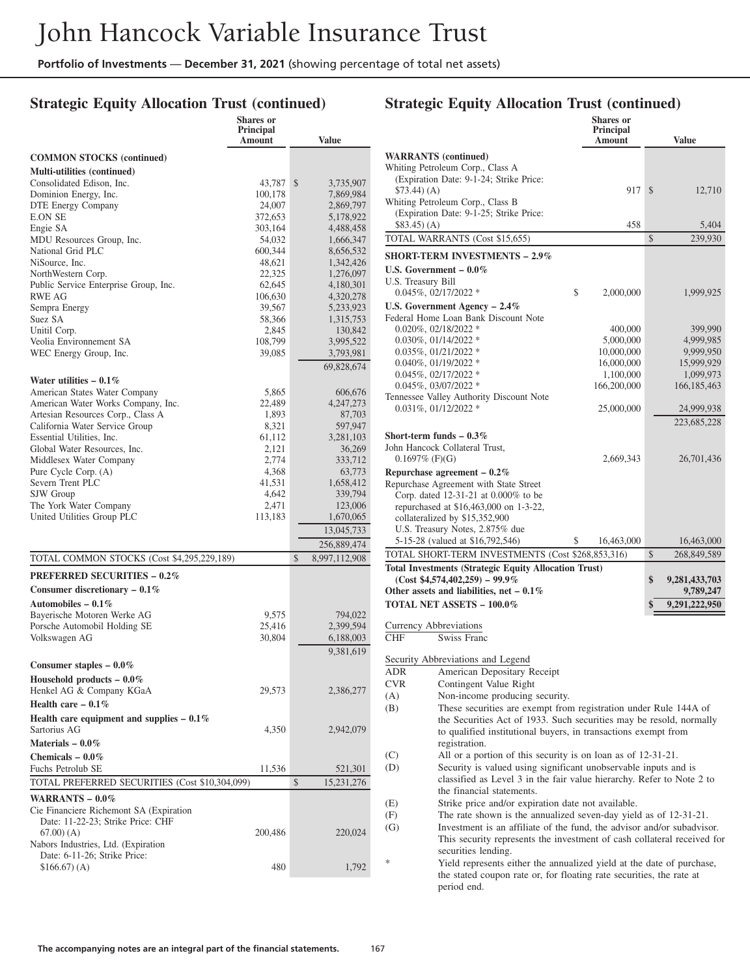**Shares or**

## **Strategic Equity Allocation Trust (continued)**

|                                                           | энагсэ ог<br><b>Principal</b> |                        |
|-----------------------------------------------------------|-------------------------------|------------------------|
|                                                           | Amount                        | <b>Value</b>           |
| <b>COMMON STOCKS</b> (continued)                          |                               |                        |
| Multi-utilities (continued)                               |                               |                        |
| Consolidated Edison, Inc.                                 | 43,787                        | \$<br>3,735,907        |
| Dominion Energy, Inc.                                     | 100,178                       | 7,869,984              |
| <b>DTE Energy Company</b>                                 | 24,007                        | 2,869,797              |
| <b>E.ON SE</b><br>Engie SA                                | 372,653<br>303,164            | 5,178,922<br>4,488,458 |
| MDU Resources Group, Inc.                                 | 54,032                        | 1,666,347              |
| National Grid PLC                                         | 600,344                       | 8,656,532              |
| NiSource, Inc.                                            | 48,621                        | 1,342,426              |
| NorthWestern Corp.                                        | 22,325                        | 1,276,097              |
| Public Service Enterprise Group, Inc.                     | 62,645                        | 4,180,301              |
| <b>RWE AG</b>                                             | 106,630                       | 4,320,278              |
| Sempra Energy<br>Suez SA                                  | 39,567<br>58,366              | 5,233,923<br>1,315,753 |
| Unitil Corp.                                              | 2,845                         | 130,842                |
| Veolia Environnement SA                                   | 108,799                       | 3,995,522              |
| WEC Energy Group, Inc.                                    | 39,085                        | 3,793,981              |
|                                                           |                               | 69,828,674             |
| Water utilities $-0.1\%$                                  |                               |                        |
| American States Water Company                             | 5,865                         | 606,676                |
| American Water Works Company, Inc.                        | 22,489                        | 4, 247, 273            |
| Artesian Resources Corp., Class A                         | 1,893                         | 87,703                 |
| California Water Service Group                            | 8,321                         | 597,947                |
| Essential Utilities, Inc.<br>Global Water Resources, Inc. | 61,112<br>2,121               | 3,281,103<br>36,269    |
| Middlesex Water Company                                   | 2,774                         | 333,712                |
| Pure Cycle Corp. (A)                                      | 4,368                         | 63,773                 |
| Severn Trent PLC                                          | 41,531                        | 1,658,412              |
| SJW Group                                                 | 4,642                         | 339,794                |
| The York Water Company                                    | 2,471                         | 123,006                |
| United Utilities Group PLC                                | 113,183                       | 1,670,065              |
|                                                           |                               | 13,045,733             |
|                                                           |                               | 256,889,474            |
| TOTAL COMMON STOCKS (Cost \$4,295,229,189)                |                               | \$<br>8,997,112,908    |
| <b>PREFERRED SECURITIES - 0.2%</b>                        |                               |                        |
| Consumer discretionary $-0.1\%$                           |                               |                        |
| Automobiles - $0.1\%$                                     |                               |                        |
| Bayerische Motoren Werke AG                               | 9,575                         | 794,022                |
| Porsche Automobil Holding SE                              | 25,416                        | 2,399,594              |
| Volkswagen AG                                             | 30,804                        | 6,188,003              |
|                                                           |                               | 9,381,619              |
| Consumer staples $-0.0\%$                                 |                               |                        |
| Household products $-0.0\%$                               |                               |                        |
| Henkel AG & Company KGaA                                  | 29,573                        | 2,386,277              |
| Health care $-0.1\%$                                      |                               |                        |
| Health care equipment and supplies $-0.1\%$               |                               |                        |
| Sartorius AG                                              | 4,350                         | 2,942,079              |
| Materials $-0.0\%$                                        |                               |                        |
| Chemicals $-0.0\%$                                        |                               |                        |
| Fuchs Petrolub SE                                         | 11,536                        | 521,301                |
| TOTAL PREFERRED SECURITIES (Cost \$10,304,099)            |                               | \$<br>15,231,276       |
| WARRANTS - 0.0%                                           |                               |                        |
| Cie Financiere Richemont SA (Expiration                   |                               |                        |
| Date: 11-22-23; Strike Price: CHF<br>$(67.00)$ (A)        | 200,486                       | 220,024                |
| Nabors Industries, Ltd. (Expiration                       |                               |                        |
| Date: 6-11-26; Strike Price:                              |                               |                        |
| \$166.67(A)                                               | 480                           | 1,792                  |
|                                                           |                               |                        |

#### **Strategic Equity Allocation Trust (continued) Shares or Principal Amount Value WARRANTS (continued)** Whiting Petroleum Corp., Class A (Expiration Date: 9-1-24; Strike Price: \$73.44) (A) 917 \$ 12,710 Whiting Petroleum Corp., Class B (Expiration Date: 9-1-25; Strike Price:  $$83.45)(A)$  458 5,404 TOTAL WARRANTS (Cost \$15,655) \$ 239,930 **SHORT-TERM INVESTMENTS – 2.9% U.S. Government – 0.0%** U.S. Treasury Bill 0.045%, 02/17/2022 \* \$ 2,000,000 1,999,925 **U.S. Government Agency – 2.4%** Federal Home Loan Bank Discount Note  $0.020\%$ ,  $0.2118/2022$  \*  $400,000$  399,990<br> $0.030\%$ ,  $01/14/2022$  \*  $5,000,000$  4,999,985 0.030%, 01/14/2022 \* 5,000,000 5,000,000 4,999,985<br>0.035%, 01/21/2022 \* 10,000,000 9,999,950 0.035%, 01/21/2022 \* 10,000,000 9,999,950<br>0.040%, 01/19/2022 \* 16,000,000 15,999,929 0.040%, 01/19/2022 \* 16,000,000 15,999,929<br>0.045%, 02/17/2022 \* 1.100.000 1.099.973  $0.045\%, 02/17/2022$  \*  $1,100,000$   $1,099,973$ <br> $0.045\%, 03/07/2022$  \*  $166,200,000$   $166,185,463$  $0.045\%, 03/07/2022$  \* 166,200,000 Tennessee Valley Authority Discount Note 0.031%, 01/12/2022 \* 25,000,000 24,999,938 223,685,228 **Short-term funds – 0.3%** John Hancock Collateral Trust, 0.1697% (F)(G) 2,669,343 26,701,436 **Repurchase agreement – 0.2%** Repurchase Agreement with State Street Corp. dated 12-31-21 at 0.000% to be repurchased at \$16,463,000 on 1-3-22, collateralized by \$15,352,900 U.S. Treasury Notes, 2.875% due 5-15-28 (valued at \$16,792,546) \$ 16,463,000 16,463,000 TOTAL SHORT-TERM INVESTMENTS (Cost \$268,853,316) \$ 268,849,589 **Total Investments (Strategic Equity Allocation Trust) (Cost \$4,574,402,259) – 99.9% \$ 9,281,433,703** Other assets and liabilities, net – 0.1% 9,789,247 **TOTAL NET ASSETS – 100.0% \$ 9,291,222,950** Currency Abbreviations CHF Swiss Franc Security Abbreviations and Legend ADR American Depositary Receipt CVR Contingent Value Right (A) Non-income producing security. (B) These securities are exempt from registration under Rule 144A of the Securities Act of 1933. Such securities may be resold, normally to qualified institutional buyers, in transactions exempt from registration. (C) All or a portion of this security is on loan as of 12-31-21. (D) Security is valued using significant unobservable inputs and is classified as Level 3 in the fair value hierarchy. Refer to Note 2 to the financial statements. (E) Strike price and/or expiration date not available. (F) The rate shown is the annualized seven-day yield as of 12-31-21. (G) Investment is an affiliate of the fund, the advisor and/or subadvisor. This security represents the investment of cash collateral received for securities lending.

Yield represents either the annualized yield at the date of purchase, the stated coupon rate or, for floating rate securities, the rate at period end.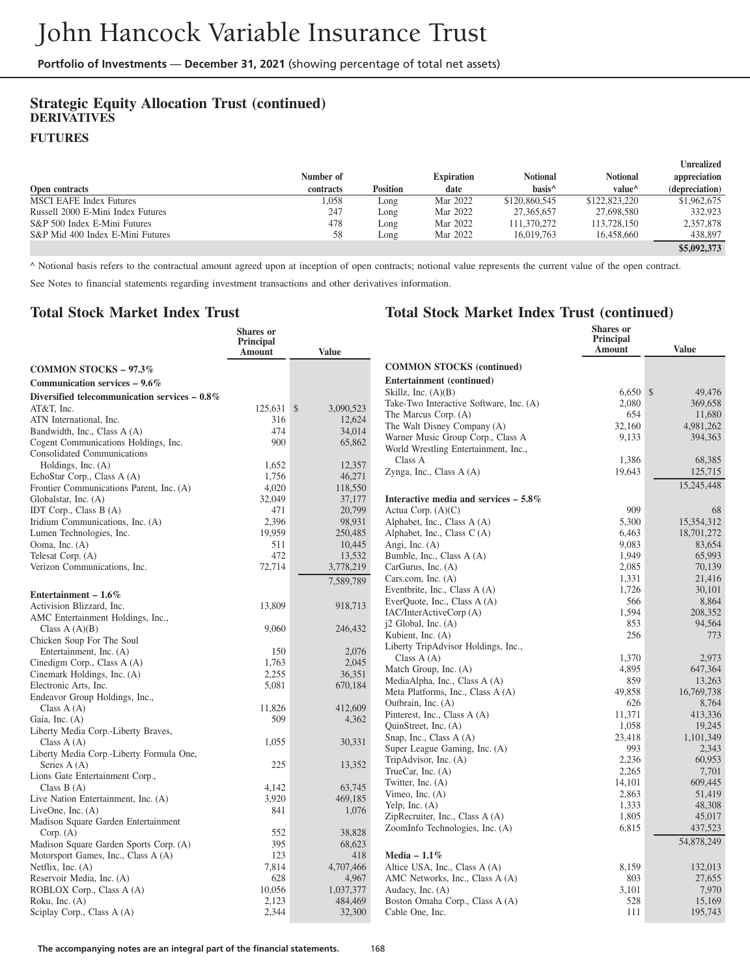# **Strategic Equity Allocation Trust (continued) DERIVATIVES**

#### **FUTURES**

|                                   |           |                 |                   |                    |                    | Unrealized     |
|-----------------------------------|-----------|-----------------|-------------------|--------------------|--------------------|----------------|
|                                   | Number of |                 | <b>Expiration</b> | <b>Notional</b>    | Notional           | appreciation   |
| <b>Open contracts</b>             | contracts | <b>Position</b> | date              | hasis <sup>^</sup> | value <sup>^</sup> | (depreciation) |
| <b>MSCI EAFE Index Futures</b>    | 1,058     | Long            | Mar 2022          | \$120,860,545      | \$122,823,220      | \$1,962,675    |
| Russell 2000 E-Mini Index Futures | 247       | Long            | Mar 2022          | 27,365,657         | 27,698,580         | 332.923        |
| S&P 500 Index E-Mini Futures      | 478       | Long            | Mar 2022          | 111,370,272        | 113,728,150        | 2,357,878      |
| S&P Mid 400 Index E-Mini Futures  | 58        | Long            | Mar 2022          | 16.019.763         | 16.458,660         | 438,897        |
|                                   |           |                 |                   |                    |                    | \$5,092,373    |

^ Notional basis refers to the contractual amount agreed upon at inception of open contracts; notional value represents the current value of the open contract.

See Notes to financial statements regarding investment transactions and other derivatives information.

#### **Total Stock Market Index Trust**

|                                                          | Shares or<br>Principal<br><b>Amount</b> | <b>Value</b>        |                                                          | <b>Shares</b> or<br>Principal<br>Amount | <b>Value</b> |
|----------------------------------------------------------|-----------------------------------------|---------------------|----------------------------------------------------------|-----------------------------------------|--------------|
| <b>COMMON STOCKS - 97.3%</b>                             |                                         |                     | <b>COMMON STOCKS (continued)</b>                         |                                         |              |
| Communication services $-9.6\%$                          |                                         |                     | <b>Entertainment</b> (continued)                         |                                         |              |
|                                                          |                                         |                     | Skillz, Inc. $(A)(B)$                                    | $6,650$ \$                              | 49,476       |
| Diversified telecommunication services $-0.8\%$          |                                         |                     | Take-Two Interactive Software, Inc. (A)                  | 2,080                                   | 369,658      |
| AT&T. Inc.<br>ATN International, Inc.                    | $125.631$ \$<br>316                     | 3.090.523<br>12,624 | The Marcus Corp. (A)                                     | 654                                     | 11,680       |
| Bandwidth, Inc., Class A (A)                             | 474                                     | 34,014              | The Walt Disney Company (A)                              | 32,160                                  | 4,981,262    |
| Cogent Communications Holdings, Inc.                     | 900                                     | 65,862              | Warner Music Group Corp., Class A                        | 9,133                                   | 394,363      |
| <b>Consolidated Communications</b>                       |                                         |                     | World Wrestling Entertainment, Inc.,                     |                                         |              |
| Holdings, Inc. (A)                                       | 1,652                                   | 12,357              | Class A                                                  | 1,386                                   | 68,385       |
| EchoStar Corp., Class A (A)                              | 1,756                                   | 46,271              | Zynga, Inc., Class A (A)                                 | 19,643                                  | 125,715      |
| Frontier Communications Parent, Inc. (A)                 | 4,020                                   | 118,550             |                                                          |                                         | 15,245,448   |
| Globalstar, Inc. (A)                                     | 32,049                                  | 37,177              | Interactive media and services $-5.8\%$                  |                                         |              |
| IDT Corp., Class B (A)                                   | 471                                     | 20,799              | Actua Corp. $(A)(C)$                                     | 909                                     | 68           |
| Iridium Communications, Inc. (A)                         | 2.396                                   | 98,931              | Alphabet, Inc., Class A (A)                              | 5.300                                   | 15.354.312   |
| Lumen Technologies, Inc.                                 | 19,959                                  | 250,485             | Alphabet, Inc., Class C(A)                               | 6,463                                   | 18,701,272   |
| Ooma, Inc. (A)                                           | 511                                     | 10,445              | Angi, Inc. (A)                                           | 9.083                                   | 83.654       |
| Telesat Corp. (A)                                        | 472                                     | 13,532              | Bumble, Inc., Class A (A)                                | 1,949                                   | 65,993       |
| Verizon Communications, Inc.                             | 72,714                                  | 3,778,219           | CarGurus, Inc. (A)                                       | 2,085                                   | 70.139       |
|                                                          |                                         | 7.589.789           | Cars.com, Inc. $(A)$                                     | 1.331                                   | 21.416       |
| Entertainment – $1.6\%$                                  |                                         |                     | Eventbrite, Inc., Class A (A)                            | 1.726                                   | 30.101       |
| Activision Blizzard, Inc.                                | 13,809                                  | 918,713             | EverQuote, Inc., Class A (A)                             | 566                                     | 8.864        |
| AMC Entertainment Holdings, Inc.,                        |                                         |                     | IAC/InterActiveCorp (A)                                  | 1,594                                   | 208,352      |
| Class $A(A)(B)$                                          | 9,060                                   | 246,432             | j2 Global, Inc. (A)                                      | 853<br>256                              | 94,564       |
| Chicken Soup For The Soul                                |                                         |                     | Kubient, Inc. (A)<br>Liberty TripAdvisor Holdings, Inc., |                                         | 773          |
| Entertainment, Inc. (A)                                  | 150                                     | 2,076               | Class $A(A)$                                             | 1,370                                   | 2,973        |
| Cinedigm Corp., Class A (A)                              | 1.763                                   | 2.045               | Match Group, Inc. (A)                                    | 4.895                                   | 647.364      |
| Cinemark Holdings, Inc. (A)                              | 2,255                                   | 36,351              | MediaAlpha, Inc., Class A (A)                            | 859                                     | 13,263       |
| Electronic Arts, Inc.                                    | 5,081                                   | 670,184             | Meta Platforms, Inc., Class A (A)                        | 49.858                                  | 16,769,738   |
| Endeavor Group Holdings, Inc.,                           |                                         |                     | Outbrain, Inc. (A)                                       | 626                                     | 8,764        |
| Class $A(A)$                                             | 11.826                                  | 412,609             | Pinterest, Inc., Class A (A)                             | 11,371                                  | 413.336      |
| Gaia, Inc. (A)                                           | 509                                     | 4,362               | QuinStreet, Inc. (A)                                     | 1.058                                   | 19.245       |
| Liberty Media Corp.-Liberty Braves,                      |                                         | 30.331              | Snap, Inc., Class A (A)                                  | 23,418                                  | 1.101.349    |
| Class $A(A)$<br>Liberty Media Corp.-Liberty Formula One, | 1,055                                   |                     | Super League Gaming, Inc. (A)                            | 993                                     | 2,343        |
| Series A (A)                                             | 225                                     | 13,352              | TripAdvisor, Inc. (A)                                    | 2.236                                   | 60.953       |
| Lions Gate Entertainment Corp.,                          |                                         |                     | TrueCar, Inc. $(A)$                                      | 2,265                                   | 7.701        |
| Class $B(A)$                                             | 4.142                                   | 63,745              | Twitter, Inc. (A)                                        | 14,101                                  | 609,445      |
| Live Nation Entertainment, Inc. (A)                      | 3,920                                   | 469,185             | Vimeo, Inc. $(A)$                                        | 2,863                                   | 51,419       |
| LiveOne, Inc. $(A)$                                      | 841                                     | 1,076               | Yelp, Inc. $(A)$                                         | 1,333                                   | 48,308       |
| Madison Square Garden Entertainment                      |                                         |                     | ZipRecruiter, Inc., Class A (A)                          | 1,805                                   | 45,017       |
| Corp. (A)                                                | 552                                     | 38.828              | ZoomInfo Technologies, Inc. (A)                          | 6,815                                   | 437,523      |
| Madison Square Garden Sports Corp. (A)                   | 395                                     | 68,623              |                                                          |                                         | 54,878,249   |
| Motorsport Games, Inc., Class A (A)                      | 123                                     | 418                 | Media $-1.1\%$                                           |                                         |              |
| Netflix, Inc. $(A)$                                      | 7,814                                   | 4,707,466           | Altice USA, Inc., Class A (A)                            | 8,159                                   | 132,013      |
| Reservoir Media, Inc. (A)                                | 628                                     | 4,967               | AMC Networks, Inc., Class A (A)                          | 803                                     | 27.655       |
| ROBLOX Corp., Class A (A)                                | 10,056                                  | 1,037,377           | Audacy, Inc. (A)                                         | 3,101                                   | 7.970        |
| Roku, Inc. $(A)$                                         | 2.123                                   | 484,469             | Boston Omaha Corp., Class A (A)                          | 528                                     | 15.169       |
| Sciplay Corp., Class A (A)                               | 2,344                                   | 32,300              | Cable One, Inc.                                          | 111                                     | 195,743      |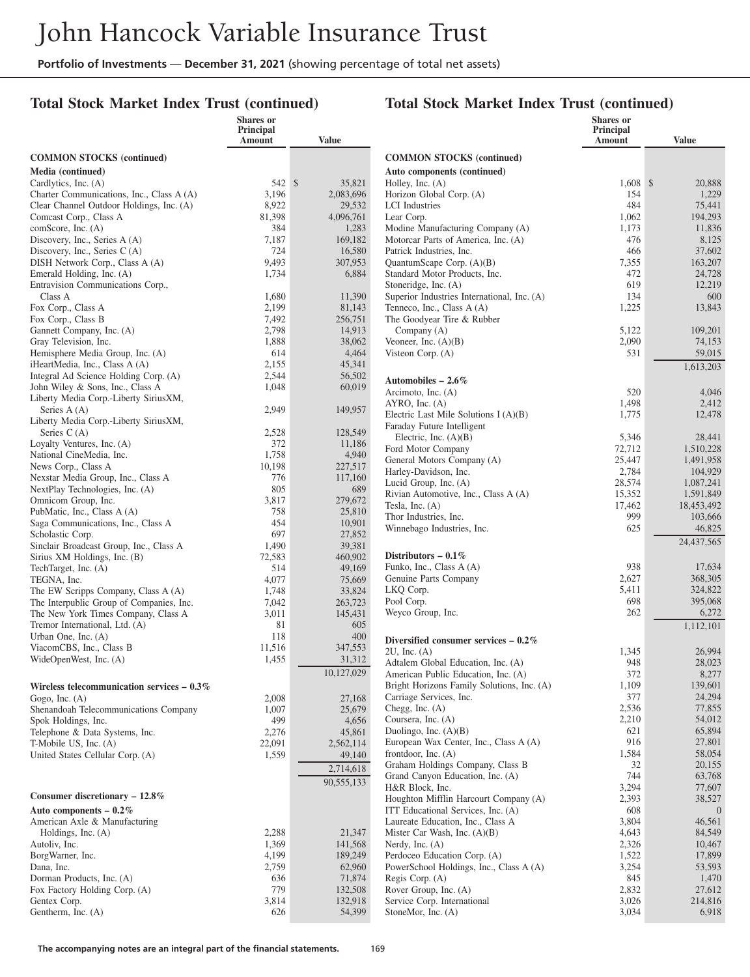**Shares or**

#### **Total Stock Market Index Trust (continued)**

#### **Total Stock Market Index Trust (continued)**

**Shares or Principal**

|                                                                         | Principal<br>Amount | <b>Value</b>      |                                                                                   | Principal<br>Amount | <b>Value</b>        |
|-------------------------------------------------------------------------|---------------------|-------------------|-----------------------------------------------------------------------------------|---------------------|---------------------|
| <b>COMMON STOCKS</b> (continued)                                        |                     |                   | <b>COMMON STOCKS</b> (continued)                                                  |                     |                     |
| Media (continued)                                                       |                     |                   | Auto components (continued)                                                       |                     |                     |
| Cardlytics, Inc. (A)                                                    | 542 \$              | 35,821            | Holley, Inc. $(A)$                                                                | $1,608$ \$          | 20,888              |
| Charter Communications, Inc., Class A (A)                               | 3,196               | 2,083,696         | Horizon Global Corp. (A)                                                          | 154                 | 1,229               |
| Clear Channel Outdoor Holdings, Inc. (A)                                | 8,922               | 29,532            | <b>LCI</b> Industries                                                             | 484                 | 75,441              |
| Comcast Corp., Class A                                                  | 81,398              | 4,096,761         | Lear Corp.                                                                        | 1,062               | 194,293             |
| comScore, Inc. (A)                                                      | 384                 | 1,283             | Modine Manufacturing Company (A)                                                  | 1,173               | 11,836              |
| Discovery, Inc., Series A (A)<br>Discovery, Inc., Series $C(A)$         | 7,187<br>724        | 169,182<br>16,580 | Motorcar Parts of America, Inc. (A)<br>Patrick Industries, Inc.                   | 476<br>466          | 8,125<br>37,602     |
| DISH Network Corp., Class A (A)                                         | 9,493               | 307,953           | QuantumScape Corp. $(A)(B)$                                                       | 7,355               | 163,207             |
| Emerald Holding, Inc. (A)                                               | 1,734               | 6,884             | Standard Motor Products, Inc.                                                     | 472                 | 24,728              |
| Entravision Communications Corp.,                                       |                     |                   | Stoneridge, Inc. (A)                                                              | 619                 | 12,219              |
| Class A                                                                 | 1,680               | 11,390            | Superior Industries International, Inc. (A)                                       | 134                 | 600                 |
| Fox Corp., Class A                                                      | 2,199               | 81,143            | Tenneco, Inc., Class A (A)                                                        | 1,225               | 13,843              |
| Fox Corp., Class B                                                      | 7,492               | 256,751           | The Goodyear Tire & Rubber                                                        |                     |                     |
| Gannett Company, Inc. (A)                                               | 2,798               | 14,913            | Company $(A)$                                                                     | 5,122               | 109,201             |
| Gray Television, Inc.                                                   | 1,888               | 38,062            | Veoneer, Inc. $(A)(B)$                                                            | 2,090               | 74,153              |
| Hemisphere Media Group, Inc. (A)                                        | 614                 | 4,464             | Visteon Corp. (A)                                                                 | 531                 | 59,015              |
| iHeartMedia, Inc., Class A (A)<br>Integral Ad Science Holding Corp. (A) | 2,155<br>2,544      | 45,341<br>56,502  |                                                                                   |                     | 1,613,203           |
| John Wiley & Sons, Inc., Class A                                        | 1,048               | 60,019            | Automobiles $-2.6\%$                                                              |                     |                     |
| Liberty Media Corp.-Liberty SiriusXM,                                   |                     |                   | Arcimoto, Inc. (A)                                                                | 520                 | 4,046               |
| Series A (A)                                                            | 2,949               | 149,957           | $AYRO$ , Inc. $(A)$                                                               | 1,498               | 2,412               |
| Liberty Media Corp.-Liberty SiriusXM,                                   |                     |                   | Electric Last Mile Solutions $I(A)(B)$                                            | 1,775               | 12,478              |
| Series $C(A)$                                                           | 2,528               | 128,549           | Faraday Future Intelligent<br>Electric, Inc. $(A)(B)$                             |                     |                     |
| Loyalty Ventures, Inc. (A)                                              | 372                 | 11,186            | Ford Motor Company                                                                | 5,346<br>72,712     | 28,441<br>1,510,228 |
| National CineMedia, Inc.                                                | 1,758               | 4,940             | General Motors Company (A)                                                        | 25,447              | 1,491,958           |
| News Corp., Class A                                                     | 10,198              | 227,517           | Harley-Davidson, Inc.                                                             | 2,784               | 104.929             |
| Nexstar Media Group, Inc., Class A                                      | 776                 | 117,160           | Lucid Group, Inc. (A)                                                             | 28,574              | 1,087,241           |
| NextPlay Technologies, Inc. (A)                                         | 805                 | 689               | Rivian Automotive, Inc., Class A (A)                                              | 15,352              | 1,591,849           |
| Omnicom Group, Inc.                                                     | 3,817               | 279,672           | Tesla, Inc. $(A)$                                                                 | 17,462              | 18,453,492          |
| PubMatic, Inc., Class A (A)<br>Saga Communications, Inc., Class A       | 758<br>454          | 25,810<br>10,901  | Thor Industries, Inc.                                                             | 999                 | 103,666             |
| Scholastic Corp.                                                        | 697                 | 27,852            | Winnebago Industries, Inc.                                                        | 625                 | 46,825              |
| Sinclair Broadcast Group, Inc., Class A                                 | 1,490               | 39,381            |                                                                                   |                     | 24,437,565          |
| Sirius XM Holdings, Inc. (B)                                            | 72,583              | 460,902           | Distributors $-0.1\%$                                                             |                     |                     |
| TechTarget, Inc. (A)                                                    | 514                 | 49,169            | Funko, Inc., Class A (A)                                                          | 938                 | 17,634              |
| TEGNA, Inc.                                                             | 4,077               | 75,669            | Genuine Parts Company                                                             | 2,627               | 368,305             |
| The EW Scripps Company, Class A (A)                                     | 1,748               | 33,824            | LKQ Corp.                                                                         | 5,411               | 324,822             |
| The Interpublic Group of Companies, Inc.                                | 7,042               | 263,723           | Pool Corp.                                                                        | 698                 | 395,068             |
| The New York Times Company, Class A                                     | 3,011               | 145,431           | Weyco Group, Inc.                                                                 | 262                 | 6,272               |
| Tremor International, Ltd. (A)                                          | 81                  | 605               |                                                                                   |                     | 1,112,101           |
| Urban One, Inc. (A)<br>ViacomCBS, Inc., Class B                         | 118<br>11,516       | 400<br>347,553    | Diversified consumer services $-0.2\%$                                            |                     |                     |
| WideOpenWest, Inc. (A)                                                  | 1,455               | 31,312            | $2U$ , Inc. $(A)$                                                                 | 1,345               | 26,994              |
|                                                                         |                     | 10,127,029        | Adtalem Global Education, Inc. (A)                                                | 948                 | 28,023              |
|                                                                         |                     |                   | American Public Education, Inc. (A)<br>Bright Horizons Family Solutions, Inc. (A) | 372<br>1,109        | 8,277<br>139,601    |
| Wireless telecommunication services $-0.3\%$<br>Gogo, Inc. $(A)$        | 2,008               | 27,168            | Carriage Services, Inc.                                                           | 377                 | 24,294              |
| Shenandoah Telecommunications Company                                   | 1,007               | 25,679            | Chegg, Inc. $(A)$                                                                 | 2,536               | 77,855              |
| Spok Holdings, Inc.                                                     | 499                 | 4,656             | Coursera, Inc. (A)                                                                | 2,210               | 54,012              |
| Telephone & Data Systems, Inc.                                          | 2,276               | 45,861            | Duolingo, Inc. $(A)(B)$                                                           | 621                 | 65,894              |
| T-Mobile US, Inc. (A)                                                   | 22,091              | 2,562,114         | European Wax Center, Inc., Class A (A)                                            | 916                 | 27,801              |
| United States Cellular Corp. (A)                                        | 1,559               | 49,140            | frontdoor, Inc. $(A)$                                                             | 1,584               | 58,054              |
|                                                                         |                     | 2,714,618         | Graham Holdings Company, Class B                                                  | 32                  | 20,155              |
|                                                                         |                     | 90,555,133        | Grand Canyon Education, Inc. (A)                                                  | 744                 | 63,768              |
| Consumer discretionary $-12.8\%$                                        |                     |                   | H&R Block, Inc.                                                                   | 3,294               | 77,607              |
|                                                                         |                     |                   | Houghton Mifflin Harcourt Company (A)                                             | 2,393               | 38,527              |
| Auto components $-0.2\%$<br>American Axle & Manufacturing               |                     |                   | ITT Educational Services, Inc. (A)<br>Laureate Education, Inc., Class A           | 608<br>3,804        | $\theta$<br>46,561  |
| Holdings, Inc. $(A)$                                                    | 2,288               | 21,347            | Mister Car Wash, Inc. (A)(B)                                                      | 4,643               | 84,549              |
| Autoliv, Inc.                                                           | 1,369               | 141,568           | Nerdy, Inc. $(A)$                                                                 | 2,326               | 10,467              |
| BorgWarner, Inc.                                                        | 4,199               | 189,249           | Perdoceo Education Corp. (A)                                                      | 1,522               | 17,899              |
| Dana, Inc.                                                              | 2,759               | 62,960            | PowerSchool Holdings, Inc., Class A (A)                                           | 3,254               | 53,593              |
| Dorman Products, Inc. (A)                                               | 636                 | 71,874            | Regis Corp. (A)                                                                   | 845                 | 1,470               |
| Fox Factory Holding Corp. (A)                                           | 779                 | 132,508           | Rover Group, Inc. (A)                                                             | 2,832               | 27,612              |
| Gentex Corp.                                                            | 3,814               | 132,918           | Service Corp. International                                                       | 3,026               | 214,816             |
| Gentherm, Inc. (A)                                                      | 626                 | 54,399            | StoneMor, Inc. (A)                                                                | 3,034               | 6,918               |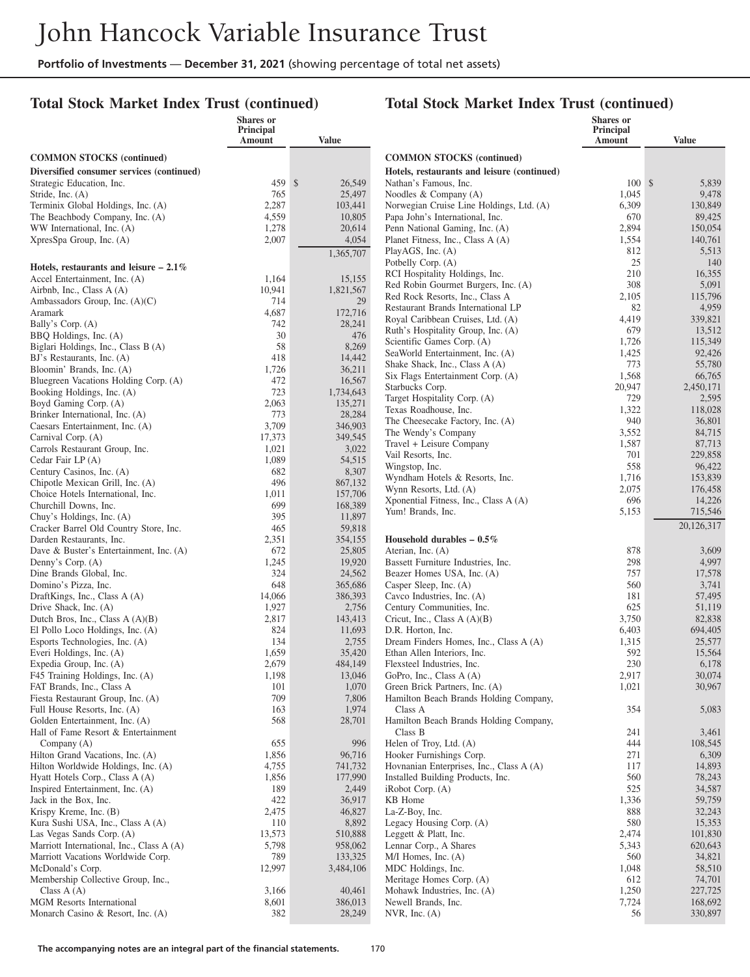## **Total Stock Market Index Trust (continued)**

|                                                                                 | Shares or<br>Principal |                    |                                                                               | Shares or<br>Principal |                    |
|---------------------------------------------------------------------------------|------------------------|--------------------|-------------------------------------------------------------------------------|------------------------|--------------------|
|                                                                                 | Amount                 | <b>Value</b>       |                                                                               | Amount                 | <b>Value</b>       |
| <b>COMMON STOCKS</b> (continued)                                                |                        |                    | <b>COMMON STOCKS</b> (continued)                                              |                        |                    |
| Diversified consumer services (continued)                                       |                        |                    | Hotels, restaurants and leisure (continued)                                   |                        |                    |
| Strategic Education, Inc.                                                       | 459S                   | 26,549             | Nathan's Famous, Inc.                                                         | $100 \text{ s}$        | 5,839              |
| Stride, Inc. (A)                                                                | 765                    | 25,497             | Noodles & Company (A)                                                         | 1,045                  | 9,478              |
| Terminix Global Holdings, Inc. (A)<br>The Beachbody Company, Inc. (A)           | 2,287<br>4,559         | 103,441<br>10,805  | Norwegian Cruise Line Holdings, Ltd. (A)<br>Papa John's International, Inc.   | 6,309<br>670           | 130,849<br>89,425  |
| WW International, Inc. (A)                                                      | 1,278                  | 20,614             | Penn National Gaming, Inc. (A)                                                | 2,894                  | 150,054            |
| XpresSpa Group, Inc. (A)                                                        | 2,007                  | 4,054              | Planet Fitness, Inc., Class A (A)                                             | 1,554                  | 140,761            |
|                                                                                 |                        | 1,365,707          | PlayAGS, Inc. (A)                                                             | 812                    | 5,513              |
| Hotels, restaurants and leisure $-2.1\%$                                        |                        |                    | Potbelly Corp. (A)                                                            | 25                     | 140                |
| Accel Entertainment, Inc. (A)                                                   | 1,164                  | 15,155             | RCI Hospitality Holdings, Inc.                                                | 210                    | 16,355             |
| Airbnb, Inc., Class A (A)                                                       | 10,941                 | 1,821,567          | Red Robin Gourmet Burgers, Inc. (A)                                           | 308                    | 5,091              |
| Ambassadors Group, Inc. (A)(C)                                                  | 714                    | 29                 | Red Rock Resorts, Inc., Class A<br>Restaurant Brands International LP         | 2,105<br>82            | 115,796<br>4,959   |
| Aramark                                                                         | 4,687                  | 172,716            | Royal Caribbean Cruises, Ltd. (A)                                             | 4,419                  | 339,821            |
| Bally's Corp. (A)                                                               | 742                    | 28,241             | Ruth's Hospitality Group, Inc. (A)                                            | 679                    | 13,512             |
| BBQ Holdings, Inc. (A)<br>Biglari Holdings, Inc., Class B (A)                   | 30<br>58               | 476<br>8,269       | Scientific Games Corp. (A)                                                    | 1,726                  | 115,349            |
| BJ's Restaurants, Inc. (A)                                                      | 418                    | 14,442             | SeaWorld Entertainment, Inc. (A)                                              | 1,425                  | 92,426             |
| Bloomin' Brands, Inc. (A)                                                       | 1,726                  | 36,211             | Shake Shack, Inc., Class A (A)                                                | 773                    | 55,780             |
| Bluegreen Vacations Holding Corp. (A)                                           | 472                    | 16,567             | Six Flags Entertainment Corp. (A)                                             | 1,568                  | 66,765             |
| Booking Holdings, Inc. (A)                                                      | 723                    | 1,734,643          | Starbucks Corp.<br>Target Hospitality Corp. (A)                               | 20,947<br>729          | 2,450,171<br>2,595 |
| Boyd Gaming Corp. (A)                                                           | 2,063                  | 135,271            | Texas Roadhouse, Inc.                                                         | 1,322                  | 118,028            |
| Brinker International, Inc. (A)                                                 | 773                    | 28,284             | The Cheesecake Factory, Inc. (A)                                              | 940                    | 36,801             |
| Caesars Entertainment, Inc. (A)<br>Carnival Corp. (A)                           | 3,709<br>17,373        | 346,903<br>349,545 | The Wendy's Company                                                           | 3,552                  | 84,715             |
| Carrols Restaurant Group, Inc.                                                  | 1,021                  | 3,022              | Travel + Leisure Company                                                      | 1,587                  | 87,713             |
| Cedar Fair LP (A)                                                               | 1,089                  | 54,515             | Vail Resorts, Inc.                                                            | 701                    | 229,858            |
| Century Casinos, Inc. (A)                                                       | 682                    | 8,307              | Wingstop, Inc.                                                                | 558                    | 96,422             |
| Chipotle Mexican Grill, Inc. (A)                                                | 496                    | 867.132            | Wyndham Hotels & Resorts, Inc.<br>Wynn Resorts, Ltd. (A)                      | 1,716<br>2,075         | 153,839<br>176,458 |
| Choice Hotels International, Inc.                                               | 1,011                  | 157,706            | Xponential Fitness, Inc., Class A (A)                                         | 696                    | 14,226             |
| Churchill Downs, Inc.                                                           | 699                    | 168,389            | Yum! Brands, Inc.                                                             | 5,153                  | 715,546            |
| Chuy's Holdings, Inc. (A)<br>Cracker Barrel Old Country Store, Inc.             | 395<br>465             | 11,897<br>59,818   |                                                                               |                        | 20,126,317         |
| Darden Restaurants, Inc.                                                        | 2,351                  | 354,155            | Household durables $-0.5\%$                                                   |                        |                    |
| Dave & Buster's Entertainment, Inc. (A)                                         | 672                    | 25,805             | Aterian, Inc. (A)                                                             | 878                    | 3,609              |
| Denny's Corp. (A)                                                               | 1,245                  | 19,920             | Bassett Furniture Industries, Inc.                                            | 298                    | 4,997              |
| Dine Brands Global, Inc.                                                        | 324                    | 24,562             | Beazer Homes USA, Inc. (A)                                                    | 757                    | 17,578             |
| Domino's Pizza, Inc.                                                            | 648                    | 365,686            | Casper Sleep, Inc. (A)                                                        | 560                    | 3,741              |
| DraftKings, Inc., Class A (A)<br>Drive Shack, Inc. (A)                          | 14,066<br>1,927        | 386,393<br>2,756   | Cavco Industries, Inc. (A)<br>Century Communities, Inc.                       | 181<br>625             | 57,495<br>51,119   |
| Dutch Bros, Inc., Class $A(A)(B)$                                               | 2,817                  | 143,413            | Cricut, Inc., Class $A(A)(B)$                                                 | 3,750                  | 82,838             |
| El Pollo Loco Holdings, Inc. (A)                                                | 824                    | 11,693             | D.R. Horton, Inc.                                                             | 6,403                  | 694,405            |
| Esports Technologies, Inc. (A)                                                  | 134                    | 2,755              | Dream Finders Homes, Inc., Class A (A)                                        | 1,315                  | 25,577             |
| Everi Holdings, Inc. (A)                                                        | 1,659                  | 35,420             | Ethan Allen Interiors, Inc.                                                   | 592                    | 15,564             |
| Expedia Group, Inc. (A)                                                         | 2,679                  | 484,149            | Flexsteel Industries, Inc.                                                    | 230                    | 6,178              |
| F45 Training Holdings, Inc. (A)                                                 | 1,198                  | 13,046             | GoPro, Inc., Class A (A)<br>Green Brick Partners, Inc. (A)                    | 2,917                  | 30,074<br>30,967   |
| FAT Brands, Inc., Class A<br>Fiesta Restaurant Group, Inc. (A)                  | 101<br>709             | 1,070<br>7,806     | Hamilton Beach Brands Holding Company,                                        | 1,021                  |                    |
| Full House Resorts, Inc. (A)                                                    | 163                    | 1,974              | Class A                                                                       | 354                    | 5,083              |
| Golden Entertainment, Inc. (A)                                                  | 568                    | 28,701             | Hamilton Beach Brands Holding Company,                                        |                        |                    |
| Hall of Fame Resort & Entertainment                                             |                        |                    | Class B                                                                       | 241                    | 3,461              |
| Company (A)                                                                     | 655                    | 996                | Helen of Troy, Ltd. (A)                                                       | 444                    | 108,545            |
| Hilton Grand Vacations, Inc. (A)                                                | 1,856                  | 96,716             | Hooker Furnishings Corp.                                                      | 271                    | 6,309              |
| Hilton Worldwide Holdings, Inc. (A)<br>Hyatt Hotels Corp., Class A (A)          | 4,755<br>1,856         | 741,732<br>177,990 | Hovnanian Enterprises, Inc., Class A (A)<br>Installed Building Products, Inc. | 117<br>560             | 14,893<br>78,243   |
| Inspired Entertainment, Inc. (A)                                                | 189                    | 2,449              | iRobot Corp. (A)                                                              | 525                    | 34,587             |
| Jack in the Box, Inc.                                                           | 422                    | 36,917             | KB Home                                                                       | 1,336                  | 59,759             |
| Krispy Kreme, Inc. (B)                                                          | 2,475                  | 46,827             | La-Z-Boy, Inc.                                                                | 888                    | 32,243             |
| Kura Sushi USA, Inc., Class A (A)                                               | 110                    | 8,892              | Legacy Housing Corp. (A)                                                      | 580                    | 15,353             |
| Las Vegas Sands Corp. (A)                                                       | 13,573                 | 510,888            | Leggett & Platt, Inc.                                                         | 2,474                  | 101,830            |
| Marriott International, Inc., Class A (A)<br>Marriott Vacations Worldwide Corp. | 5,798<br>789           | 958,062<br>133,325 | Lennar Corp., A Shares<br>M/I Homes, Inc. (A)                                 | 5,343<br>560           | 620,643<br>34,821  |
| McDonald's Corp.                                                                | 12,997                 | 3,484,106          | MDC Holdings, Inc.                                                            | 1,048                  | 58,510             |
| Membership Collective Group, Inc.,                                              |                        |                    | Meritage Homes Corp. (A)                                                      | 612                    | 74,701             |
| Class $A(A)$                                                                    | 3,166                  | 40,461             | Mohawk Industries, Inc. (A)                                                   | 1,250                  | 227,725            |
| <b>MGM</b> Resorts International                                                | 8,601                  | 386,013            | Newell Brands, Inc.                                                           | 7,724                  | 168,692            |
| Monarch Casino & Resort, Inc. (A)                                               | 382                    | 28,249             | NVR, Inc. (A)                                                                 | 56                     | 330,897            |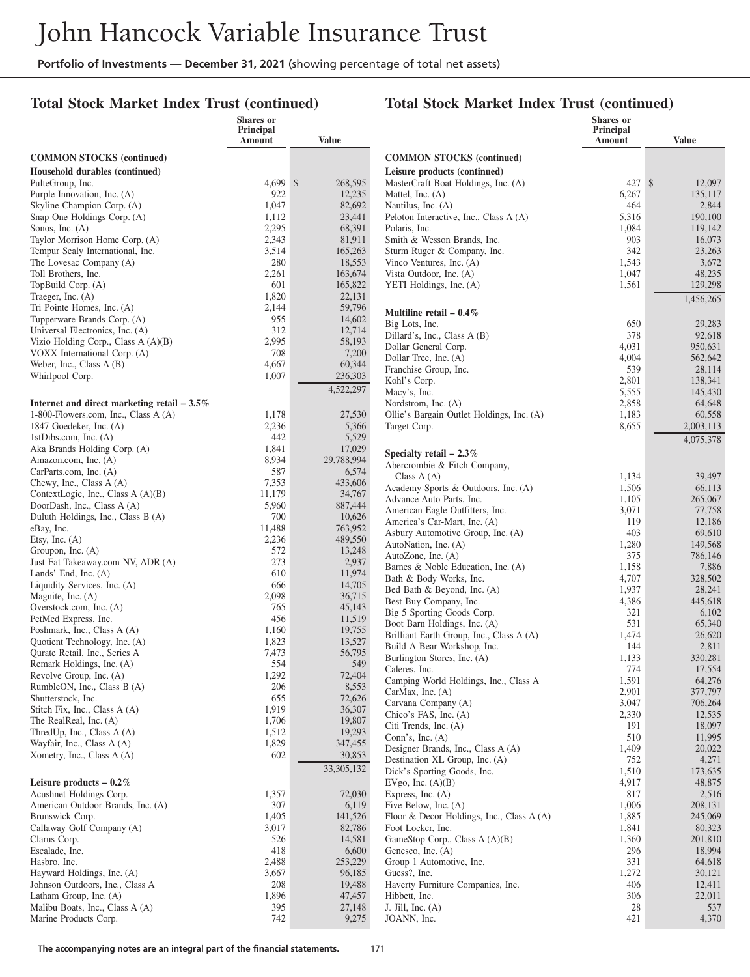## **Total Stock Market Index Trust (continued)**

|                                                                | <b>Shares</b> or<br>Principal |                   |                                                                | Shares or<br>Principal |                    |
|----------------------------------------------------------------|-------------------------------|-------------------|----------------------------------------------------------------|------------------------|--------------------|
|                                                                | Amount                        | <b>Value</b>      |                                                                | Amount                 | <b>Value</b>       |
| <b>COMMON STOCKS</b> (continued)                               |                               |                   | <b>COMMON STOCKS</b> (continued)                               |                        |                    |
| Household durables (continued)                                 |                               |                   | Leisure products (continued)                                   |                        |                    |
| PulteGroup, Inc.                                               | 4,699 \$                      | 268,595           | MasterCraft Boat Holdings, Inc. (A)                            | 427S                   | 12,097             |
| Purple Innovation, Inc. (A)                                    | 922                           | 12,235            | Mattel, Inc. (A)                                               | 6,267                  | 135,117            |
| Skyline Champion Corp. (A)                                     | 1,047                         | 82,692            | Nautilus, Inc. (A)                                             | 464                    | 2,844              |
| Snap One Holdings Corp. (A)                                    | 1,112                         | 23,441            | Peloton Interactive, Inc., Class A (A)                         | 5,316                  | 190,100            |
| Sonos, Inc. $(A)$                                              | 2,295                         | 68,391            | Polaris, Inc.                                                  | 1,084                  | 119,142            |
| Taylor Morrison Home Corp. (A)                                 | 2,343                         | 81,911            | Smith & Wesson Brands, Inc.                                    | 903                    | 16,073             |
| Tempur Sealy International, Inc.                               | 3,514                         | 165,263           | Sturm Ruger & Company, Inc.                                    | 342                    | 23,263             |
| The Lovesac Company (A)                                        | 280                           | 18,553<br>163,674 | Vinco Ventures, Inc. (A)                                       | 1,543                  | 3,672<br>48,235    |
| Toll Brothers, Inc.<br>TopBuild Corp. (A)                      | 2,261<br>601                  | 165,822           | Vista Outdoor, Inc. (A)<br>YETI Holdings, Inc. (A)             | 1,047<br>1,561         | 129,298            |
| Traeger, Inc. $(A)$                                            | 1,820                         | 22,131            |                                                                |                        |                    |
| Tri Pointe Homes, Inc. (A)                                     | 2,144                         | 59,796            |                                                                |                        | 1,456,265          |
| Tupperware Brands Corp. (A)                                    | 955                           | 14,602            | Multiline retail $-0.4\%$                                      |                        |                    |
| Universal Electronics, Inc. (A)                                | 312                           | 12,714            | Big Lots, Inc.                                                 | 650                    | 29,283             |
| Vizio Holding Corp., Class A (A)(B)                            | 2,995                         | 58,193            | Dillard's, Inc., Class A (B)<br>Dollar General Corp.           | 378<br>4,031           | 92,618<br>950,631  |
| VOXX International Corp. (A)                                   | 708                           | 7,200             | Dollar Tree, Inc. (A)                                          | 4,004                  | 562,642            |
| Weber, Inc., Class A (B)                                       | 4,667                         | 60,344            | Franchise Group, Inc.                                          | 539                    | 28,114             |
| Whirlpool Corp.                                                | 1,007                         | 236,303           | Kohl's Corp.                                                   | 2,801                  | 138,341            |
|                                                                |                               | 4,522,297         | Macy's, Inc.                                                   | 5,555                  | 145,430            |
| Internet and direct marketing retail $-3.5\%$                  |                               |                   | Nordstrom, Inc. (A)                                            | 2,858                  | 64,648             |
| 1-800-Flowers.com, Inc., Class $A(A)$                          | 1,178                         | 27,530            | Ollie's Bargain Outlet Holdings, Inc. (A)                      | 1,183                  | 60,558             |
| 1847 Goedeker, Inc. (A)                                        | 2,236                         | 5,366             | Target Corp.                                                   | 8,655                  | 2,003,113          |
| 1stDibs.com, Inc. $(A)$                                        | 442                           | 5,529             |                                                                |                        | 4,075,378          |
| Aka Brands Holding Corp. (A)                                   | 1,841                         | 17,029            | Specialty retail $-2.3\%$                                      |                        |                    |
| Amazon.com, Inc. (A)                                           | 8,934                         | 29,788,994        | Abercrombie & Fitch Company,                                   |                        |                    |
| CarParts.com, Inc. (A)                                         | 587                           | 6,574             | Class $A(A)$                                                   | 1,134                  | 39,497             |
| Chewy, Inc., Class A (A)<br>ContextLogic, Inc., Class A (A)(B) | 7,353<br>11,179               | 433,606<br>34,767 | Academy Sports & Outdoors, Inc. (A)                            | 1,506                  | 66,113             |
| DoorDash, Inc., Class A (A)                                    | 5,960                         | 887,444           | Advance Auto Parts, Inc.                                       | 1,105                  | 265,067            |
| Duluth Holdings, Inc., Class B (A)                             | 700                           | 10,626            | American Eagle Outfitters, Inc.                                | 3,071                  | 77,758             |
| eBay, Inc.                                                     | 11,488                        | 763,952           | America's Car-Mart, Inc. (A)                                   | 119                    | 12,186             |
| Etsy, Inc. $(A)$                                               | 2,236                         | 489,550           | Asbury Automotive Group, Inc. (A)                              | 403                    | 69,610             |
| Groupon, Inc. (A)                                              | 572                           | 13,248            | AutoNation, Inc. (A)                                           | 1,280<br>375           | 149,568            |
| Just Eat Takeaway.com NV, ADR (A)                              | 273                           | 2,937             | AutoZone, Inc. (A)<br>Barnes & Noble Education, Inc. (A)       | 1,158                  | 786,146<br>7,886   |
| Lands' End, Inc. $(A)$                                         | 610                           | 11,974            | Bath & Body Works, Inc.                                        | 4,707                  | 328,502            |
| Liquidity Services, Inc. (A)                                   | 666                           | 14,705            | Bed Bath & Beyond, Inc. (A)                                    | 1,937                  | 28,241             |
| Magnite, Inc. $(A)$                                            | 2,098                         | 36,715            | Best Buy Company, Inc.                                         | 4,386                  | 445,618            |
| Overstock.com, Inc. (A)                                        | 765                           | 45,143            | Big 5 Sporting Goods Corp.                                     | 321                    | 6,102              |
| PetMed Express, Inc.                                           | 456                           | 11,519<br>19,755  | Boot Barn Holdings, Inc. (A)                                   | 531                    | 65,340             |
| Poshmark, Inc., Class A (A)<br>Quotient Technology, Inc. (A)   | 1,160<br>1,823                | 13,527            | Brilliant Earth Group, Inc., Class A (A)                       | 1,474                  | 26,620             |
| Qurate Retail, Inc., Series A                                  | 7,473                         | 56,795            | Build-A-Bear Workshop, Inc.                                    | 144                    | 2,811              |
| Remark Holdings, Inc. (A)                                      | 554                           | 549               | Burlington Stores, Inc. (A)                                    | 1,133                  | 330,281            |
| Revolve Group, Inc. (A)                                        | 1,292                         | 72,404            | Caleres, Inc.                                                  | 774                    | 17,554             |
| RumbleON, Inc., Class B (A)                                    | 206                           | 8,553             | Camping World Holdings, Inc., Class A                          | 1,591                  | 64,276             |
| Shutterstock, Inc.                                             | 655                           | 72,626            | CarMax, Inc. (A)<br>Carvana Company (A)                        | 2,901<br>3,047         | 377,797<br>706,264 |
| Stitch Fix, Inc., Class A (A)                                  | 1,919                         | 36,307            | Chico's FAS, Inc. (A)                                          | 2,330                  | 12,535             |
| The RealReal, Inc. (A)                                         | 1,706                         | 19,807            | Citi Trends, Inc. (A)                                          | 191                    | 18,097             |
| Thred Up, Inc., Class $A(A)$                                   | 1,512                         | 19,293            | Conn's, Inc. $(A)$                                             | 510                    | 11,995             |
| Wayfair, Inc., Class A (A)                                     | 1,829                         | 347,455           | Designer Brands, Inc., Class A (A)                             | 1,409                  | 20,022             |
| Xometry, Inc., Class $A(A)$                                    | 602                           | 30,853            | Destination XL Group, Inc. (A)                                 | 752                    | 4,271              |
|                                                                |                               | 33, 305, 132      | Dick's Sporting Goods, Inc.                                    | 1,510                  | 173,635            |
| Leisure products $-0.2\%$                                      |                               |                   | EVgo, Inc. $(A)(B)$                                            | 4,917                  | 48,875             |
| Acushnet Holdings Corp.                                        | 1,357                         | 72,030            | Express, Inc. (A)                                              | 817                    | 2,516              |
| American Outdoor Brands, Inc. (A)                              | 307                           | 6,119             | Five Below, Inc. (A)                                           | 1,006                  | 208,131            |
| Brunswick Corp.<br>Callaway Golf Company (A)                   | 1,405<br>3,017                | 141,526<br>82,786 | Floor & Decor Holdings, Inc., Class A (A)<br>Foot Locker, Inc. | 1,885<br>1,841         | 245,069<br>80,323  |
| Clarus Corp.                                                   | 526                           | 14,581            | GameStop Corp., Class A (A)(B)                                 | 1,360                  | 201,810            |
| Escalade, Inc.                                                 | 418                           | 6,600             | Genesco, Inc. (A)                                              | 296                    | 18,994             |
| Hasbro, Inc.                                                   | 2,488                         | 253,229           | Group 1 Automotive, Inc.                                       | 331                    | 64,618             |
| Hayward Holdings, Inc. (A)                                     | 3,667                         | 96,185            | Guess?, Inc.                                                   | 1,272                  | 30,121             |
| Johnson Outdoors, Inc., Class A                                | 208                           | 19,488            | Haverty Furniture Companies, Inc.                              | 406                    | 12,411             |
| Latham Group, Inc. (A)                                         | 1,896                         | 47,457            | Hibbett, Inc.                                                  | 306                    | 22,011             |
| Malibu Boats, Inc., Class A (A)                                | 395                           | 27,148            | J. Jill, Inc. $(A)$                                            | $28\,$                 | 537                |
| Marine Products Corp.                                          | 742                           | 9,275             | JOANN, Inc.                                                    | 421                    | 4,370              |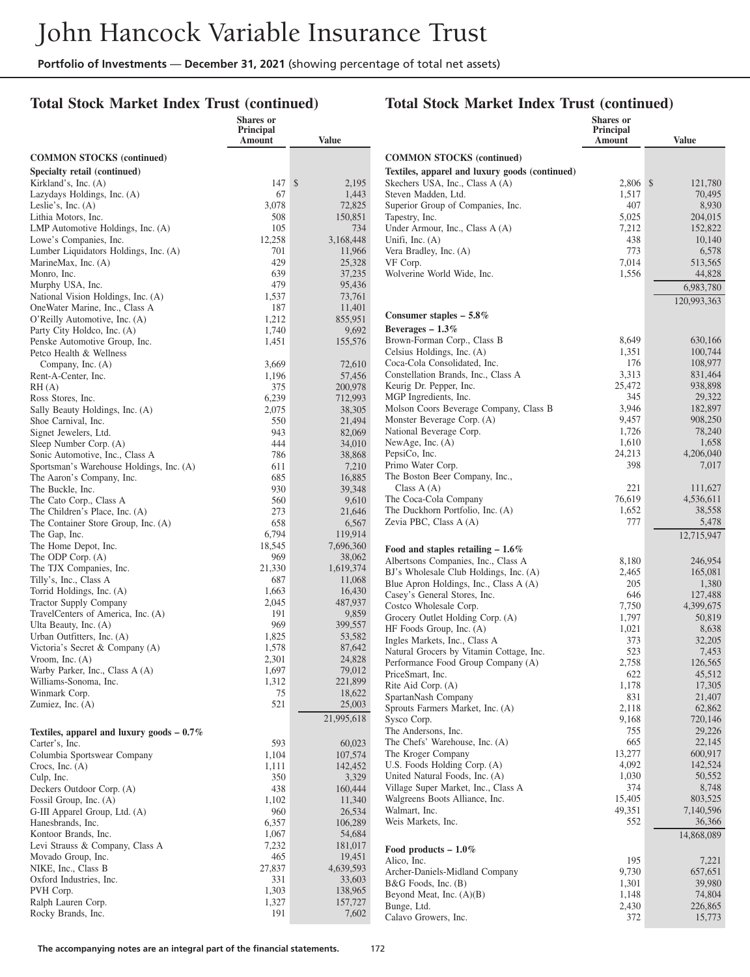## **Total Stock Market Index Trust (continued)**

|                                                                       | Shares or<br>Principal |                   |                                                                 | <b>Shares</b> or<br>Principal |                     |
|-----------------------------------------------------------------------|------------------------|-------------------|-----------------------------------------------------------------|-------------------------------|---------------------|
|                                                                       | Amount                 | <b>Value</b>      |                                                                 | <b>Amount</b>                 | <b>Value</b>        |
| <b>COMMON STOCKS</b> (continued)                                      |                        |                   | <b>COMMON STOCKS</b> (continued)                                |                               |                     |
| Specialty retail (continued)                                          |                        |                   | Textiles, apparel and luxury goods (continued)                  |                               |                     |
| Kirkland's, Inc. (A)                                                  | 147S                   | 2,195             | Skechers USA, Inc., Class A (A)                                 | 2,806 \$                      | 121,780             |
| Lazydays Holdings, Inc. (A)                                           | 67                     | 1,443             | Steven Madden, Ltd.                                             | 1,517                         | 70,495              |
| Leslie's, Inc. $(A)$                                                  | 3,078                  | 72,825            | Superior Group of Companies, Inc.                               | 407                           | 8,930               |
| Lithia Motors, Inc.                                                   | 508                    | 150,851           | Tapestry, Inc.                                                  | 5,025                         | 204,015             |
| LMP Automotive Holdings, Inc. (A)<br>Lowe's Companies, Inc.           | 105<br>12,258          | 734<br>3,168,448  | Under Armour, Inc., Class A (A)<br>Unifi, Inc. $(A)$            | 7,212<br>438                  | 152,822<br>10,140   |
| Lumber Liquidators Holdings, Inc. (A)                                 | 701                    | 11,966            | Vera Bradley, Inc. (A)                                          | 773                           | 6,578               |
| MarineMax, Inc. (A)                                                   | 429                    | 25,328            | VF Corp.                                                        | 7,014                         | 513,565             |
| Monro, Inc.                                                           | 639                    | 37,235            | Wolverine World Wide, Inc.                                      | 1,556                         | 44,828              |
| Murphy USA, Inc.                                                      | 479                    | 95,436            |                                                                 |                               | 6,983,780           |
| National Vision Holdings, Inc. (A)                                    | 1,537                  | 73,761            |                                                                 |                               | 120,993,363         |
| OneWater Marine, Inc., Class A                                        | 187                    | 11,401            | Consumer staples $-5.8\%$                                       |                               |                     |
| O'Reilly Automotive, Inc. (A)<br>Party City Holdco, Inc. (A)          | 1,212<br>1,740         | 855,951<br>9,692  | Beverages $-1.3\%$                                              |                               |                     |
| Penske Automotive Group, Inc.                                         | 1,451                  | 155,576           | Brown-Forman Corp., Class B                                     | 8,649                         | 630,166             |
| Petco Health & Wellness                                               |                        |                   | Celsius Holdings, Inc. (A)                                      | 1,351                         | 100,744             |
| Company, Inc. (A)                                                     | 3,669                  | 72,610            | Coca-Cola Consolidated, Inc.                                    | 176                           | 108,977             |
| Rent-A-Center, Inc.                                                   | 1,196                  | 57,456            | Constellation Brands, Inc., Class A                             | 3,313                         | 831,464             |
| RH(A)                                                                 | 375                    | 200,978           | Keurig Dr. Pepper, Inc.                                         | 25,472                        | 938,898             |
| Ross Stores, Inc.                                                     | 6,239                  | 712,993           | MGP Ingredients, Inc.<br>Molson Coors Beverage Company, Class B | 345<br>3,946                  | 29,322<br>182,897   |
| Sally Beauty Holdings, Inc. (A)                                       | 2,075                  | 38,305<br>21,494  | Monster Beverage Corp. (A)                                      | 9,457                         | 908,250             |
| Shoe Carnival, Inc.<br>Signet Jewelers, Ltd.                          | 550<br>943             | 82,069            | National Beverage Corp.                                         | 1,726                         | 78,240              |
| Sleep Number Corp. (A)                                                | 444                    | 34,010            | NewAge, Inc. (A)                                                | 1,610                         | 1,658               |
| Sonic Automotive, Inc., Class A                                       | 786                    | 38,868            | PepsiCo, Inc.                                                   | 24,213                        | 4,206,040           |
| Sportsman's Warehouse Holdings, Inc. (A)                              | 611                    | 7,210             | Primo Water Corp.                                               | 398                           | 7,017               |
| The Aaron's Company, Inc.                                             | 685                    | 16,885            | The Boston Beer Company, Inc.,                                  |                               |                     |
| The Buckle, Inc.                                                      | 930                    | 39,348            | Class $A(A)$                                                    | 221                           | 111,627             |
| The Cato Corp., Class A                                               | 560<br>273             | 9,610             | The Coca-Cola Company<br>The Duckhorn Portfolio, Inc. (A)       | 76,619<br>1,652               | 4,536,611<br>38,558 |
| The Children's Place, Inc. (A)<br>The Container Store Group, Inc. (A) | 658                    | 21,646<br>6,567   | Zevia PBC, Class A (A)                                          | 777                           | 5,478               |
| The Gap, Inc.                                                         | 6,794                  | 119,914           |                                                                 |                               | 12,715,947          |
| The Home Depot, Inc.                                                  | 18,545                 | 7,696,360         | Food and staples retailing $-1.6\%$                             |                               |                     |
| The ODP Corp. (A)                                                     | 969                    | 38,062            | Albertsons Companies, Inc., Class A                             | 8,180                         | 246,954             |
| The TJX Companies, Inc.                                               | 21,330                 | 1,619,374         | BJ's Wholesale Club Holdings, Inc. (A)                          | 2,465                         | 165,081             |
| Tilly's, Inc., Class A                                                | 687                    | 11,068            | Blue Apron Holdings, Inc., Class A (A)                          | 205                           | 1,380               |
| Torrid Holdings, Inc. (A)                                             | 1,663<br>2,045         | 16,430            | Casey's General Stores, Inc.                                    | 646                           | 127,488             |
| <b>Tractor Supply Company</b><br>TravelCenters of America, Inc. (A)   | 191                    | 487,937<br>9,859  | Costco Wholesale Corp.                                          | 7,750                         | 4,399,675           |
| Ulta Beauty, Inc. (A)                                                 | 969                    | 399,557           | Grocery Outlet Holding Corp. (A)                                | 1,797                         | 50,819              |
| Urban Outfitters, Inc. (A)                                            | 1,825                  | 53,582            | HF Foods Group, Inc. (A)<br>Ingles Markets, Inc., Class A       | 1,021<br>373                  | 8,638<br>32,205     |
| Victoria's Secret & Company (A)                                       | 1,578                  | 87,642            | Natural Grocers by Vitamin Cottage, Inc.                        | 523                           | 7,453               |
| Vroom, Inc. $(A)$                                                     | 2,301                  | 24,828            | Performance Food Group Company (A)                              | 2,758                         | 126,565             |
| Warby Parker, Inc., Class A (A)                                       | 1,697                  | 79,012            | PriceSmart, Inc.                                                | 622                           | 45,512              |
| Williams-Sonoma, Inc.                                                 | 1,312                  | 221,899           | Rite Aid Corp. (A)                                              | 1,178                         | 17,305              |
| Winmark Corp.<br>Zumiez, Inc. $(A)$                                   | 75<br>521              | 18,622<br>25,003  | SpartanNash Company                                             | 831                           | 21,407              |
|                                                                       |                        | 21,995,618        | Sprouts Farmers Market, Inc. (A)                                | 2,118                         | 62,862              |
| Textiles, apparel and luxury goods $-0.7\%$                           |                        |                   | Sysco Corp.<br>The Andersons, Inc.                              | 9,168<br>755                  | 720,146<br>29,226   |
| Carter's, Inc.                                                        | 593                    | 60,023            | The Chefs' Warehouse, Inc. (A)                                  | 665                           | 22,145              |
| Columbia Sportswear Company                                           | 1,104                  | 107,574           | The Kroger Company                                              | 13,277                        | 600,917             |
| Crocs, Inc. $(A)$                                                     | 1,111                  | 142,452           | U.S. Foods Holding Corp. (A)                                    | 4,092                         | 142,524             |
| Culp, Inc.                                                            | 350                    | 3,329             | United Natural Foods, Inc. (A)                                  | 1,030                         | 50,552              |
| Deckers Outdoor Corp. (A)                                             | 438                    | 160,444           | Village Super Market, Inc., Class A                             | 374                           | 8,748               |
| Fossil Group, Inc. (A)                                                | 1,102                  | 11,340            | Walgreens Boots Alliance, Inc.                                  | 15,405                        | 803,525             |
| G-III Apparel Group, Ltd. (A)<br>Hanesbrands, Inc.                    | 960<br>6,357           | 26,534<br>106,289 | Walmart, Inc.<br>Weis Markets, Inc.                             | 49,351<br>552                 | 7,140,596<br>36,366 |
| Kontoor Brands, Inc.                                                  | 1,067                  | 54,684            |                                                                 |                               | 14,868,089          |
| Levi Strauss & Company, Class A                                       | 7,232                  | 181,017           | Food products $-1.0\%$                                          |                               |                     |
| Movado Group, Inc.                                                    | 465                    | 19,451            | Alico, Inc.                                                     | 195                           | 7,221               |
| NIKE, Inc., Class B                                                   | 27,837                 | 4,639,593         | Archer-Daniels-Midland Company                                  | 9,730                         | 657,651             |
| Oxford Industries, Inc.                                               | 331                    | 33,603            | B&G Foods, Inc. (B)                                             | 1,301                         | 39,980              |
| PVH Corp.                                                             | 1,303                  | 138,965           | Beyond Meat, Inc. $(A)(B)$                                      | 1,148                         | 74,804              |
| Ralph Lauren Corp.                                                    | 1,327                  | 157,727           | Bunge, Ltd.                                                     | 2,430                         | 226,865             |
| Rocky Brands, Inc.                                                    | 191                    | 7,602             | Calavo Growers, Inc.                                            | 372                           | 15,773              |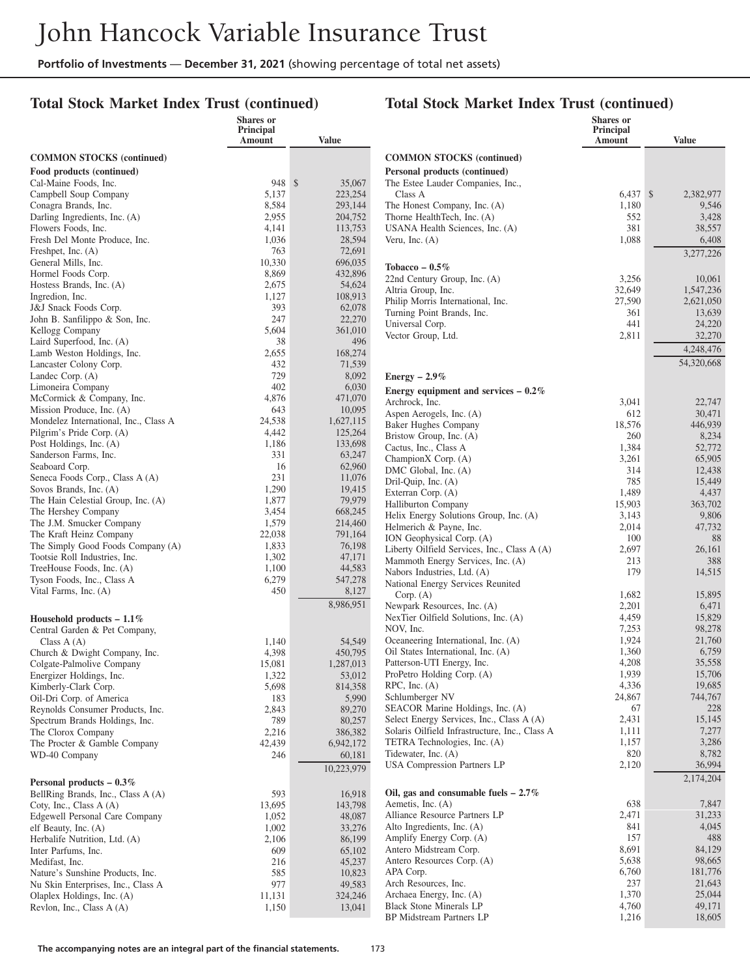**Shares or**

#### **Total Stock Market Index Trust (continued)**

#### **Total Stock Market Index Trust (continued)**

**Shares or Principal**

|                                                              | onarcs of<br>Principal<br>Amount | <b>Value</b>         |                                                                           | onares of<br>Principal<br>Amount | <b>Value</b>           |
|--------------------------------------------------------------|----------------------------------|----------------------|---------------------------------------------------------------------------|----------------------------------|------------------------|
| <b>COMMON STOCKS</b> (continued)                             |                                  |                      | <b>COMMON STOCKS</b> (continued)                                          |                                  |                        |
| Food products (continued)                                    |                                  |                      | Personal products (continued)                                             |                                  |                        |
| Cal-Maine Foods, Inc.                                        | 948S                             | 35,067               | The Estee Lauder Companies, Inc.,                                         |                                  |                        |
| Campbell Soup Company                                        | 5,137                            | 223,254              | Class A                                                                   | $6,437$ \$                       | 2.382.977              |
| Conagra Brands, Inc.                                         | 8,584                            | 293,144              | The Honest Company, Inc. (A)                                              | 1,180                            | 9,546                  |
| Darling Ingredients, Inc. (A)                                | 2,955                            | 204,752              | Thorne HealthTech, Inc. (A)                                               | 552                              | 3,428                  |
| Flowers Foods, Inc.                                          | 4,141<br>1,036                   | 113,753              | USANA Health Sciences, Inc. (A)                                           | 381                              | 38,557                 |
| Fresh Del Monte Produce, Inc.<br>Freshpet, Inc. $(A)$        | 763                              | 28,594<br>72,691     | Veru, Inc. $(A)$                                                          | 1,088                            | 6,408                  |
| General Mills, Inc.                                          | 10,330                           | 696,035              |                                                                           |                                  | 3,277,226              |
| Hormel Foods Corp.                                           | 8,869                            | 432,896              | Tobacco – $0.5\%$                                                         |                                  |                        |
| Hostess Brands, Inc. (A)                                     | 2,675                            | 54,624               | 22nd Century Group, Inc. (A)                                              | 3,256                            | 10,061                 |
| Ingredion, Inc.                                              | 1,127                            | 108,913              | Altria Group, Inc.<br>Philip Morris International, Inc.                   | 32,649<br>27,590                 | 1,547,236<br>2,621,050 |
| J&J Snack Foods Corp.                                        | 393                              | 62,078               | Turning Point Brands, Inc.                                                | 361                              | 13,639                 |
| John B. Sanfilippo & Son, Inc.                               | 247                              | 22,270               | Universal Corp.                                                           | 441                              | 24,220                 |
| Kellogg Company                                              | 5,604                            | 361,010              | Vector Group, Ltd.                                                        | 2,811                            | 32,270                 |
| Laird Superfood, Inc. (A)                                    | 38                               | 496                  |                                                                           |                                  | 4,248,476              |
| Lamb Weston Holdings, Inc.<br>Lancaster Colony Corp.         | 2,655<br>432                     | 168,274<br>71,539    |                                                                           |                                  | 54,320,668             |
| Landec Corp. (A)                                             | 729                              | 8,092                |                                                                           |                                  |                        |
| Limoneira Company                                            | 402                              | 6,030                | Energy $-2.9\%$                                                           |                                  |                        |
| McCormick & Company, Inc.                                    | 4,876                            | 471,070              | Energy equipment and services $-0.2\%$                                    |                                  |                        |
| Mission Produce, Inc. (A)                                    | 643                              | 10,095               | Archrock, Inc.<br>Aspen Aerogels, Inc. (A)                                | 3,041<br>612                     | 22,747<br>30,471       |
| Mondelez International, Inc., Class A                        | 24,538                           | 1,627,115            | <b>Baker Hughes Company</b>                                               | 18,576                           | 446,939                |
| Pilgrim's Pride Corp. (A)                                    | 4,442                            | 125,264              | Bristow Group, Inc. (A)                                                   | 260                              | 8,234                  |
| Post Holdings, Inc. (A)                                      | 1,186                            | 133,698              | Cactus, Inc., Class A                                                     | 1,384                            | 52,772                 |
| Sanderson Farms, Inc.                                        | 331                              | 63,247               | ChampionX Corp. (A)                                                       | 3,261                            | 65,905                 |
| Seaboard Corp.                                               | 16                               | 62,960               | DMC Global, Inc. (A)                                                      | 314                              | 12,438                 |
| Seneca Foods Corp., Class A (A)                              | 231<br>1,290                     | 11,076               | Dril-Quip, Inc. (A)                                                       | 785                              | 15,449                 |
| Sovos Brands, Inc. (A)<br>The Hain Celestial Group, Inc. (A) | 1,877                            | 19,415<br>79,979     | Exterran Corp. (A)                                                        | 1,489                            | 4,437                  |
| The Hershey Company                                          | 3,454                            | 668,245              | Halliburton Company                                                       | 15,903                           | 363,702                |
| The J.M. Smucker Company                                     | 1,579                            | 214,460              | Helix Energy Solutions Group, Inc. (A)                                    | 3,143                            | 9,806                  |
| The Kraft Heinz Company                                      | 22,038                           | 791,164              | Helmerich & Payne, Inc.<br>ION Geophysical Corp. (A)                      | 2,014<br>100                     | 47,732<br>88           |
| The Simply Good Foods Company (A)                            | 1,833                            | 76,198               | Liberty Oilfield Services, Inc., Class A (A)                              | 2,697                            | 26,161                 |
| Tootsie Roll Industries, Inc.                                | 1,302                            | 47,171               | Mammoth Energy Services, Inc. (A)                                         | 213                              | 388                    |
| TreeHouse Foods, Inc. (A)                                    | 1,100                            | 44,583               | Nabors Industries, Ltd. (A)                                               | 179                              | 14,515                 |
| Tyson Foods, Inc., Class A                                   | 6,279                            | 547,278              | National Energy Services Reunited                                         |                                  |                        |
| Vital Farms, Inc. (A)                                        | 450                              | 8,127                | Corp. (A)                                                                 | 1,682                            | 15,895                 |
|                                                              |                                  | 8,986,951            | Newpark Resources, Inc. (A)                                               | 2,201                            | 6,471                  |
| Household products $-1.1\%$                                  |                                  |                      | NexTier Oilfield Solutions, Inc. (A)                                      | 4,459                            | 15,829                 |
| Central Garden & Pet Company,                                |                                  |                      | NOV, Inc.                                                                 | 7,253                            | 98,278                 |
| Class $A(A)$                                                 | 1,140                            | 54,549               | Oceaneering International, Inc. (A)<br>Oil States International, Inc. (A) | 1,924                            | 21,760                 |
| Church & Dwight Company, Inc.                                | 4,398<br>15,081                  | 450,795<br>1,287,013 | Patterson-UTI Energy, Inc.                                                | 1,360<br>4,208                   | 6,759<br>35,558        |
| Colgate-Palmolive Company<br>Energizer Holdings, Inc.        | 1,322                            | 53,012               | ProPetro Holding Corp. (A)                                                | 1,939                            | 15,706                 |
| Kimberly-Clark Corp.                                         | 5,698                            | 814,358              | $RPC$ , Inc. $(A)$                                                        | 4,336                            | 19,685                 |
| Oil-Dri Corp. of America                                     | 183                              | 5,990                | Schlumberger NV                                                           | 24,867                           | 744,767                |
| Reynolds Consumer Products, Inc.                             | 2,843                            | 89,270               | SEACOR Marine Holdings, Inc. (A)                                          | 67                               | 228                    |
| Spectrum Brands Holdings, Inc.                               | 789                              | 80,257               | Select Energy Services, Inc., Class A (A)                                 | 2,431                            | 15,145                 |
| The Clorox Company                                           | 2,216                            | 386,382              | Solaris Oilfield Infrastructure, Inc., Class A                            | 1,111                            | 7,277                  |
| The Procter & Gamble Company                                 | 42,439                           | 6,942,172            | TETRA Technologies, Inc. (A)                                              | 1,157                            | 3,286                  |
| WD-40 Company                                                | 246                              | 60,181               | Tidewater, Inc. (A)                                                       | 820                              | 8,782                  |
|                                                              |                                  | 10,223,979           | USA Compression Partners LP                                               | 2,120                            | 36,994                 |
| Personal products $-0.3\%$                                   |                                  |                      |                                                                           |                                  | 2,174,204              |
| BellRing Brands, Inc., Class A (A)                           | 593                              | 16,918               | Oil, gas and consumable fuels $-2.7\%$                                    |                                  |                        |
| Coty, Inc., Class $A(A)$                                     | 13,695                           | 143,798              | Aemetis, Inc. (A)                                                         | 638                              | 7,847                  |
| Edgewell Personal Care Company                               | 1,052                            | 48,087               | Alliance Resource Partners LP<br>Alto Ingredients, Inc. (A)               | 2,471<br>841                     | 31,233<br>4,045        |
| elf Beauty, Inc. (A)                                         | 1,002<br>2,106                   | 33,276<br>86,199     | Amplify Energy Corp. (A)                                                  | 157                              | 488                    |
| Herbalife Nutrition, Ltd. (A)<br>Inter Parfums, Inc.         | 609                              | 65,102               | Antero Midstream Corp.                                                    | 8,691                            | 84,129                 |
| Medifast, Inc.                                               | 216                              | 45,237               | Antero Resources Corp. (A)                                                | 5,638                            | 98,665                 |
| Nature's Sunshine Products, Inc.                             | 585                              | 10,823               | APA Corp.                                                                 | 6,760                            | 181,776                |
| Nu Skin Enterprises, Inc., Class A                           | 977                              | 49,583               | Arch Resources, Inc.                                                      | 237                              | 21,643                 |
| Olaplex Holdings, Inc. (A)                                   | 11,131                           | 324,246              | Archaea Energy, Inc. (A)                                                  | 1,370                            | 25,044                 |
| Revlon, Inc., Class A (A)                                    | 1,150                            | 13,041               | <b>Black Stone Minerals LP</b>                                            | 4,760                            | 49,171                 |
|                                                              |                                  |                      | BP Midstream Partners LP                                                  | 1,216                            | 18,605                 |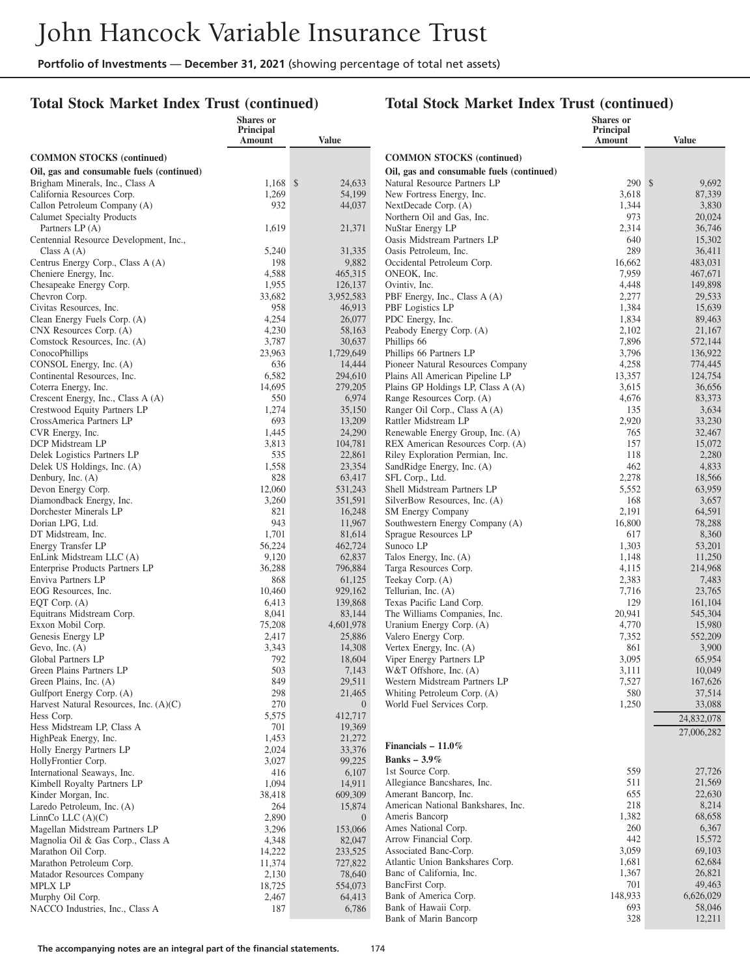## **Total Stock Market Index Trust (continued)**

|                                                                     | <b>Shares</b> or<br>Principal |                    |                                                      | <b>Shares</b> or<br>Principal |                  |
|---------------------------------------------------------------------|-------------------------------|--------------------|------------------------------------------------------|-------------------------------|------------------|
|                                                                     | Amount                        | Value              |                                                      | <b>Amount</b>                 | <b>Value</b>     |
| <b>COMMON STOCKS</b> (continued)                                    |                               |                    | <b>COMMON STOCKS</b> (continued)                     |                               |                  |
| Oil, gas and consumable fuels (continued)                           |                               |                    | Oil, gas and consumable fuels (continued)            |                               |                  |
| Brigham Minerals, Inc., Class A                                     | $1,168$ \$                    | 24,633             | Natural Resource Partners LP                         | 290S                          | 9,692            |
| California Resources Corp.                                          | 1,269                         | 54,199             | New Fortress Energy, Inc.                            | 3,618                         | 87,339           |
| Callon Petroleum Company (A)                                        | 932                           | 44,037             | NextDecade Corp. (A)                                 | 1,344                         | 3,830            |
| <b>Calumet Specialty Products</b>                                   |                               |                    | Northern Oil and Gas, Inc.                           | 973                           | 20,024           |
| Partners LP (A)                                                     | 1,619                         | 21,371             | NuStar Energy LP                                     | 2,314                         | 36,746           |
| Centennial Resource Development, Inc.,                              |                               |                    | Oasis Midstream Partners LP                          | 640                           | 15,302           |
| Class $A(A)$                                                        | 5,240                         | 31,335             | Oasis Petroleum. Inc.                                | 289                           | 36.411           |
| Centrus Energy Corp., Class A (A)                                   | 198                           | 9,882              | Occidental Petroleum Corp.                           | 16,662                        | 483,031          |
| Cheniere Energy, Inc.                                               | 4,588                         | 465,315            | ONEOK, Inc.                                          | 7,959                         | 467,671          |
| Chesapeake Energy Corp.                                             | 1,955                         | 126,137            | Ovintiv. Inc.                                        | 4,448                         | 149,898          |
| Chevron Corp.                                                       | 33,682<br>958                 | 3,952,583          | PBF Energy, Inc., Class A (A)                        | 2,277<br>1,384                | 29,533<br>15,639 |
| Civitas Resources, Inc.<br>Clean Energy Fuels Corp. (A)             | 4,254                         | 46,913<br>26,077   | PBF Logistics LP<br>PDC Energy, Inc.                 | 1,834                         | 89,463           |
| CNX Resources Corp. (A)                                             | 4,230                         | 58,163             | Peabody Energy Corp. (A)                             | 2,102                         | 21,167           |
| Comstock Resources, Inc. (A)                                        | 3,787                         | 30,637             | Phillips 66                                          | 7,896                         | 572,144          |
| ConocoPhillips                                                      | 23,963                        | 1,729,649          | Phillips 66 Partners LP                              | 3,796                         | 136,922          |
| CONSOL Energy, Inc. (A)                                             | 636                           | 14,444             | Pioneer Natural Resources Company                    | 4,258                         | 774,445          |
| Continental Resources, Inc.                                         | 6,582                         | 294,610            | Plains All American Pipeline LP                      | 13,357                        | 124,754          |
| Coterra Energy, Inc.                                                | 14,695                        | 279,205            | Plains GP Holdings LP, Class A (A)                   | 3,615                         | 36,656           |
| Crescent Energy, Inc., Class A (A)                                  | 550                           | 6,974              | Range Resources Corp. (A)                            | 4,676                         | 83,373           |
| Crestwood Equity Partners LP                                        | 1,274                         | 35,150             | Ranger Oil Corp., Class A (A)                        | 135                           | 3,634            |
| CrossAmerica Partners LP                                            | 693                           | 13,209             | Rattler Midstream LP                                 | 2,920                         | 33,230           |
| CVR Energy, Inc.                                                    | 1,445                         | 24,290             | Renewable Energy Group, Inc. (A)                     | 765                           | 32,467           |
| DCP Midstream LP                                                    | 3,813                         | 104,781            | REX American Resources Corp. (A)                     | 157                           | 15,072           |
| Delek Logistics Partners LP                                         | 535                           | 22,861             | Riley Exploration Permian, Inc.                      | 118                           | 2,280            |
| Delek US Holdings, Inc. (A)                                         | 1,558                         | 23,354             | SandRidge Energy, Inc. (A)                           | 462                           | 4,833            |
| Denbury, Inc. (A)                                                   | 828                           | 63,417             | SFL Corp., Ltd.<br>Shell Midstream Partners LP       | 2,278                         | 18,566<br>63,959 |
| Devon Energy Corp.<br>Diamondback Energy, Inc.                      | 12,060<br>3,260               | 531,243<br>351,591 | SilverBow Resources, Inc. (A)                        | 5,552<br>168                  | 3,657            |
| Dorchester Minerals LP                                              | 821                           | 16,248             | SM Energy Company                                    | 2,191                         | 64,591           |
| Dorian LPG, Ltd.                                                    | 943                           | 11,967             | Southwestern Energy Company (A)                      | 16,800                        | 78,288           |
| DT Midstream, Inc.                                                  | 1,701                         | 81,614             | Sprague Resources LP                                 | 617                           | 8,360            |
| Energy Transfer LP                                                  | 56,224                        | 462,724            | Sunoco LP                                            | 1,303                         | 53,201           |
| EnLink Midstream LLC (A)                                            | 9,120                         | 62,837             | Talos Energy, Inc. (A)                               | 1,148                         | 11,250           |
| Enterprise Products Partners LP                                     | 36,288                        | 796,884            | Targa Resources Corp.                                | 4,115                         | 214,968          |
| Enviva Partners LP                                                  | 868                           | 61,125             | Teekay Corp. (A)                                     | 2,383                         | 7,483            |
| EOG Resources, Inc.                                                 | 10,460                        | 929,162            | Tellurian, Inc. (A)                                  | 7,716                         | 23,765           |
| EQT Corp. $(A)$                                                     | 6,413                         | 139,868            | Texas Pacific Land Corp.                             | 129                           | 161,104          |
| Equitrans Midstream Corp.                                           | 8,041                         | 83,144             | The Williams Companies, Inc.                         | 20,941                        | 545,304          |
| Exxon Mobil Corp.                                                   | 75,208                        | 4,601,978          | Uranium Energy Corp. (A)                             | 4,770                         | 15,980           |
| Genesis Energy LP                                                   | 2,417                         | 25,886             | Valero Energy Corp.                                  | 7,352                         | 552,209          |
| Gevo, Inc. $(A)$<br>Global Partners LP                              | 3,343                         | 14,308             | Vertex Energy, Inc. (A)                              | 861                           | 3,900            |
| Green Plains Partners LP                                            | 792<br>503                    | 18,604<br>7,143    | Viper Energy Partners LP<br>W&T Offshore, Inc. (A)   | 3,095<br>3,111                | 65,954<br>10,049 |
| Green Plains, Inc. (A)                                              | 849                           | 29,511             | Western Midstream Partners LP                        | 7,527                         | 167,626          |
| Gulfport Energy Corp. (A)                                           | 298                           | 21,465             | Whiting Petroleum Corp. (A)                          | 580                           | 37,514           |
| Harvest Natural Resources, Inc. (A)(C)                              | 270                           | $\overline{0}$     | World Fuel Services Corp.                            | 1,250                         | 33,088           |
| Hess Corp.                                                          | 5,575                         | 412,717            |                                                      |                               | 24,832,078       |
| Hess Midstream LP, Class A                                          | 701                           | 19,369             |                                                      |                               | 27,006,282       |
| HighPeak Energy, Inc.                                               | 1,453                         | 21,272             |                                                      |                               |                  |
| Holly Energy Partners LP                                            | 2,024                         | 33,376             | Financials $-11.0\%$                                 |                               |                  |
| HollyFrontier Corp.                                                 | 3,027                         | 99,225             | Banks $-3.9\%$                                       |                               |                  |
| International Seaways, Inc.                                         | 416                           | 6,107              | 1st Source Corp.                                     | 559                           | 27,726           |
| Kimbell Royalty Partners LP                                         | 1,094                         | 14,911             | Allegiance Bancshares, Inc.                          | 511                           | 21,569           |
| Kinder Morgan, Inc.                                                 | 38,418                        | 609,309            | Amerant Bancorp, Inc.                                | 655<br>218                    | 22,630           |
| Laredo Petroleum, Inc. (A)                                          | 264                           | 15,874             | American National Bankshares, Inc.<br>Ameris Bancorp | 1,382                         | 8,214<br>68,658  |
| LinnCo LLC $(A)(C)$                                                 | 2,890                         | $\overline{0}$     | Ames National Corp.                                  | 260                           | 6,367            |
| Magellan Midstream Partners LP<br>Magnolia Oil & Gas Corp., Class A | 3,296<br>4,348                | 153,066<br>82,047  | Arrow Financial Corp.                                | 442                           | 15,572           |
| Marathon Oil Corp.                                                  | 14,222                        | 233,525            | Associated Banc-Corp.                                | 3,059                         | 69,103           |
| Marathon Petroleum Corp.                                            | 11,374                        | 727,822            | Atlantic Union Bankshares Corp.                      | 1,681                         | 62,684           |
| Matador Resources Company                                           | 2,130                         | 78,640             | Banc of California, Inc.                             | 1,367                         | 26,821           |
| <b>MPLX LP</b>                                                      | 18,725                        | 554,073            | BancFirst Corp.                                      | 701                           | 49,463           |
| Murphy Oil Corp.                                                    | 2,467                         | 64,413             | Bank of America Corp.                                | 148,933                       | 6,626,029        |
| NACCO Industries, Inc., Class A                                     | 187                           | 6,786              | Bank of Hawaii Corp.                                 | 693                           | 58,046           |
|                                                                     |                               |                    | Bank of Marin Bancorp                                | 328                           | 12,211           |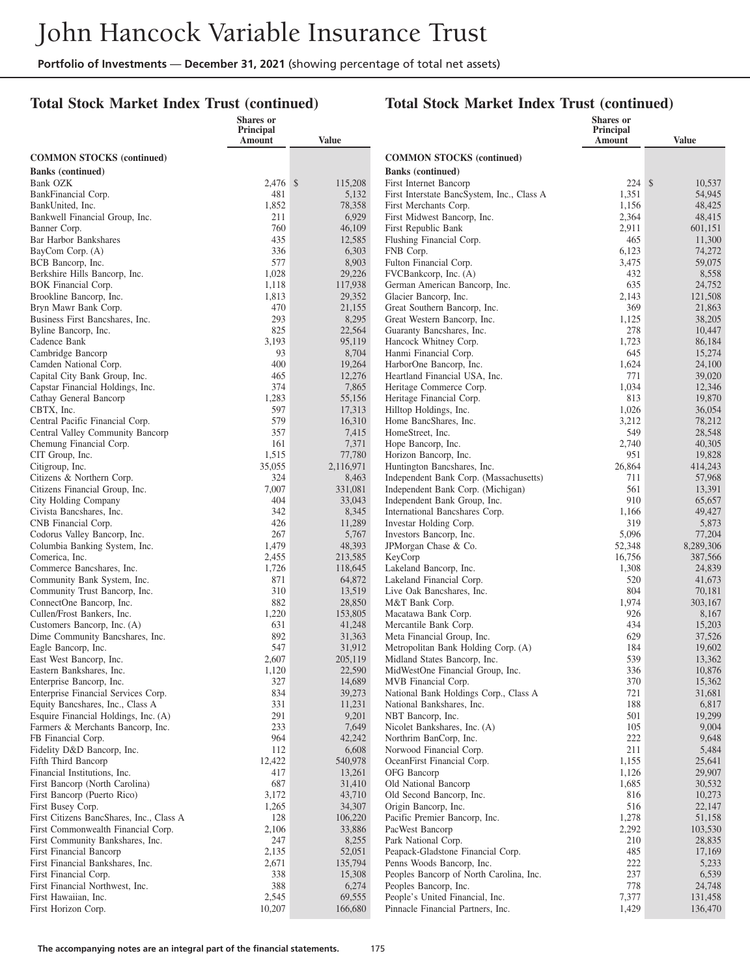## **Total Stock Market Index Trust (continued)**

| Amount<br><b>Value</b><br>Amount<br><b>Value</b><br><b>COMMON STOCKS</b> (continued)<br><b>COMMON STOCKS</b> (continued)<br><b>Banks</b> (continued)<br><b>Banks</b> (continued)<br>224S<br>2,476 \$<br>115,208<br>10,537<br>Bank OZK<br>First Internet Bancorp<br>54,945<br>481<br>5,132<br>First Interstate BancSystem, Inc., Class A<br>1,351<br>BankFinancial Corp.<br>1,852<br>78,358<br>First Merchants Corp.<br>1,156<br>48,425<br>BankUnited, Inc.<br>6,929<br>Bankwell Financial Group, Inc.<br>211<br>First Midwest Bancorp, Inc.<br>2,364<br>48,415<br>760<br>46,109<br>First Republic Bank<br>2,911<br>601,151<br>Banner Corp.<br>435<br>Bar Harbor Bankshares<br>12,585<br>Flushing Financial Corp.<br>465<br>11,300<br>336<br>6,303<br>6,123<br>74,272<br>BayCom Corp. (A)<br>FNB Corp.<br>577<br>8,903<br>Fulton Financial Corp.<br>3,475<br>59,075<br>BCB Bancorp, Inc.<br>29,226<br>1,028<br>FVCBankcorp, Inc. (A)<br>432<br>8,558<br>Berkshire Hills Bancorp, Inc.<br>635<br>1,118<br>117,938<br>German American Bancorp, Inc.<br>24,752<br>BOK Financial Corp.<br>1,813<br>29,352<br>Glacier Bancorp, Inc.<br>2,143<br>121,508<br>Brookline Bancorp, Inc.<br>369<br>470<br>21,155<br>Great Southern Bancorp, Inc.<br>21,863<br>Bryn Mawr Bank Corp.<br>293<br>8,295<br>Business First Bancshares, Inc.<br>Great Western Bancorp, Inc.<br>1,125<br>38,205<br>825<br>278<br>Byline Bancorp, Inc.<br>22,564<br>Guaranty Bancshares, Inc.<br>10,447<br>3,193<br>95,119<br>Cadence Bank<br>Hancock Whitney Corp.<br>1,723<br>86,184<br>93<br>645<br>Cambridge Bancorp<br>8,704<br>Hanmi Financial Corp.<br>15,274<br>400<br>19,264<br>Camden National Corp.<br>HarborOne Bancorp, Inc.<br>1,624<br>24,100<br>771<br>39,020<br>Capital City Bank Group, Inc.<br>465<br>12,276<br>Heartland Financial USA, Inc.<br>374<br>7,865<br>Heritage Commerce Corp.<br>1,034<br>12,346<br>Capstar Financial Holdings, Inc.<br>813<br>Cathay General Bancorp<br>1,283<br>55,156<br>Heritage Financial Corp.<br>19,870<br>CBTX, Inc.<br>597<br>17,313<br>Hilltop Holdings, Inc.<br>1,026<br>36,054<br>579<br>3,212<br>Central Pacific Financial Corp.<br>16,310<br>Home BancShares, Inc.<br>78,212<br>357<br>Central Valley Community Bancorp<br>7,415<br>HomeStreet, Inc.<br>549<br>28,548<br>40,305<br>161<br>7,371<br>Hope Bancorp, Inc.<br>2,740<br>Chemung Financial Corp.<br>77,780<br>951<br>CIT Group, Inc.<br>1,515<br>Horizon Bancorp, Inc.<br>19,828<br>35,055<br>414,243<br>2,116,971<br>Huntington Bancshares, Inc.<br>26,864<br>Citigroup, Inc.<br>324<br>Citizens & Northern Corp.<br>8,463<br>Independent Bank Corp. (Massachusetts)<br>711<br>57,968<br>7,007<br>561<br>Citizens Financial Group, Inc.<br>331,081<br>Independent Bank Corp. (Michigan)<br>13,391<br>404<br>910<br>City Holding Company<br>33,043<br>Independent Bank Group, Inc.<br>65,657<br>342<br>Civista Bancshares, Inc.<br>8,345<br>International Bancshares Corp.<br>1,166<br>49,427<br>426<br>11,289<br>319<br>CNB Financial Corp.<br>Investar Holding Corp.<br>5,873<br>267<br>5,096<br>77,204<br>5,767<br>Investors Bancorp, Inc.<br>Codorus Valley Bancorp, Inc.<br>1,479<br>48,393<br>52,348<br>8,289,306<br>Columbia Banking System, Inc.<br>JPMorgan Chase & Co.<br>2,455<br>16,756<br>387,566<br>Comerica, Inc.<br>213,585<br>KeyCorp<br>Commerce Bancshares, Inc.<br>1,726<br>118,645<br>Lakeland Bancorp, Inc.<br>1,308<br>24,839<br>871<br>520<br>Community Bank System, Inc.<br>64,872<br>Lakeland Financial Corp.<br>41,673<br>13,519<br>804<br>Community Trust Bancorp, Inc.<br>310<br>Live Oak Bancshares, Inc.<br>70,181<br>882<br>28,850<br>1,974<br>ConnectOne Bancorp, Inc.<br>M&T Bank Corp.<br>303,167<br>926<br>Cullen/Frost Bankers, Inc.<br>1,220<br>153,805<br>Macatawa Bank Corp.<br>8,167<br>631<br>434<br>Customers Bancorp, Inc. (A)<br>41,248<br>Mercantile Bank Corp.<br>15,203<br>892<br>629<br>Dime Community Bancshares, Inc.<br>31,363<br>Meta Financial Group, Inc.<br>37,526<br>547<br>31,912<br>184<br>Eagle Bancorp, Inc.<br>Metropolitan Bank Holding Corp. (A)<br>19,602<br>539<br>East West Bancorp, Inc.<br>2,607<br>205,119<br>Midland States Bancorp, Inc.<br>13,362<br>22,590<br>336<br>10,876<br>Eastern Bankshares, Inc.<br>1,120<br>MidWestOne Financial Group, Inc.<br>327<br>14,689<br>370<br>15,362<br>Enterprise Bancorp, Inc.<br>MVB Financial Corp.<br>Enterprise Financial Services Corp.<br>834<br>39,273<br>National Bank Holdings Corp., Class A<br>721<br>31,681<br>Equity Bancshares, Inc., Class A<br>331<br>11,231<br>188<br>6,817<br>National Bankshares, Inc.<br>291<br>19,299<br>9,201<br>501<br>Esquire Financial Holdings, Inc. (A)<br>NBT Bancorp, Inc.<br>233<br>7,649<br>105<br>9,004<br>Farmers & Merchants Bancorp, Inc.<br>Nicolet Bankshares, Inc. (A)<br>964<br>222<br>42,242<br>Northrim BanCorp, Inc.<br>9,648<br>FB Financial Corp.<br>Fidelity D&D Bancorp, Inc.<br>112<br>6,608<br>Norwood Financial Corp.<br>211<br>5,484<br>Fifth Third Bancorp<br>12,422<br>540,978<br>OceanFirst Financial Corp.<br>1,155<br>25,641<br>417<br>OFG Bancorp<br>1,126<br>29,907<br>Financial Institutions, Inc.<br>13,261<br>687<br>First Bancorp (North Carolina)<br>31,410<br>Old National Bancorp<br>1,685<br>30,532<br>3,172<br>43,710<br>Old Second Bancorp, Inc.<br>816<br>10,273<br>First Bancorp (Puerto Rico)<br>1,265<br>34,307<br>516<br>22,147<br>First Busey Corp.<br>Origin Bancorp, Inc.<br>First Citizens BancShares, Inc., Class A<br>128<br>106,220<br>Pacific Premier Bancorp, Inc.<br>1,278<br>51,158<br>2,292<br>First Commonwealth Financial Corp.<br>2,106<br>33,886<br>103,530<br>PacWest Bancorp<br>247<br>8,255<br>Park National Corp.<br>210<br>28,835<br>First Community Bankshares, Inc.<br>2,135<br>52,051<br>Peapack-Gladstone Financial Corp.<br>485<br>17,169<br>First Financial Bancorp<br>222<br>First Financial Bankshares, Inc.<br>2,671<br>135,794<br>Penns Woods Bancorp, Inc.<br>5,233<br>237<br>6,539<br>First Financial Corp.<br>338<br>15,308<br>Peoples Bancorp of North Carolina, Inc.<br>778<br>First Financial Northwest, Inc.<br>388<br>6,274<br>Peoples Bancorp, Inc.<br>24,748<br>First Hawaiian, Inc.<br>2,545<br>69,555<br>People's United Financial, Inc.<br>7,377<br>131,458 |                     | Shares or<br>Principal |         |                                   | <b>Shares</b> or<br><b>Principal</b> |         |
|-----------------------------------------------------------------------------------------------------------------------------------------------------------------------------------------------------------------------------------------------------------------------------------------------------------------------------------------------------------------------------------------------------------------------------------------------------------------------------------------------------------------------------------------------------------------------------------------------------------------------------------------------------------------------------------------------------------------------------------------------------------------------------------------------------------------------------------------------------------------------------------------------------------------------------------------------------------------------------------------------------------------------------------------------------------------------------------------------------------------------------------------------------------------------------------------------------------------------------------------------------------------------------------------------------------------------------------------------------------------------------------------------------------------------------------------------------------------------------------------------------------------------------------------------------------------------------------------------------------------------------------------------------------------------------------------------------------------------------------------------------------------------------------------------------------------------------------------------------------------------------------------------------------------------------------------------------------------------------------------------------------------------------------------------------------------------------------------------------------------------------------------------------------------------------------------------------------------------------------------------------------------------------------------------------------------------------------------------------------------------------------------------------------------------------------------------------------------------------------------------------------------------------------------------------------------------------------------------------------------------------------------------------------------------------------------------------------------------------------------------------------------------------------------------------------------------------------------------------------------------------------------------------------------------------------------------------------------------------------------------------------------------------------------------------------------------------------------------------------------------------------------------------------------------------------------------------------------------------------------------------------------------------------------------------------------------------------------------------------------------------------------------------------------------------------------------------------------------------------------------------------------------------------------------------------------------------------------------------------------------------------------------------------------------------------------------------------------------------------------------------------------------------------------------------------------------------------------------------------------------------------------------------------------------------------------------------------------------------------------------------------------------------------------------------------------------------------------------------------------------------------------------------------------------------------------------------------------------------------------------------------------------------------------------------------------------------------------------------------------------------------------------------------------------------------------------------------------------------------------------------------------------------------------------------------------------------------------------------------------------------------------------------------------------------------------------------------------------------------------------------------------------------------------------------------------------------------------------------------------------------------------------------------------------------------------------------------------------------------------------------------------------------------------------------------------------------------------------------------------------------------------------------------------------------------------------------------------------------------------------------------------------------------------------------------------------------------------------------------------------------------------------------------------------------------------------------------------------------------------------------------------------------------------------------------------------------------------------------------------------------------------------------------------------------------------------------------------------------------------------------------------------------------------------------------------------------------------------------------------------------------------------------------------------------------------------------------------------------------------------------------------------------------------------------------------------------------------------------------------------------------------------------------------------------------------------------------------------------------------------------------------------------------------------|---------------------|------------------------|---------|-----------------------------------|--------------------------------------|---------|
|                                                                                                                                                                                                                                                                                                                                                                                                                                                                                                                                                                                                                                                                                                                                                                                                                                                                                                                                                                                                                                                                                                                                                                                                                                                                                                                                                                                                                                                                                                                                                                                                                                                                                                                                                                                                                                                                                                                                                                                                                                                                                                                                                                                                                                                                                                                                                                                                                                                                                                                                                                                                                                                                                                                                                                                                                                                                                                                                                                                                                                                                                                                                                                                                                                                                                                                                                                                                                                                                                                                                                                                                                                                                                                                                                                                                                                                                                                                                                                                                                                                                                                                                                                                                                                                                                                                                                                                                                                                                                                                                                                                                                                                                                                                                                                                                                                                                                                                                                                                                                                                                                                                                                                                                                                                                                                                                                                                                                                                                                                                                                                                                                                                                                                                                                                                                                                                                                                                                                                                                                                                                                                                                                                                                                                                                                               |                     |                        |         |                                   |                                      |         |
|                                                                                                                                                                                                                                                                                                                                                                                                                                                                                                                                                                                                                                                                                                                                                                                                                                                                                                                                                                                                                                                                                                                                                                                                                                                                                                                                                                                                                                                                                                                                                                                                                                                                                                                                                                                                                                                                                                                                                                                                                                                                                                                                                                                                                                                                                                                                                                                                                                                                                                                                                                                                                                                                                                                                                                                                                                                                                                                                                                                                                                                                                                                                                                                                                                                                                                                                                                                                                                                                                                                                                                                                                                                                                                                                                                                                                                                                                                                                                                                                                                                                                                                                                                                                                                                                                                                                                                                                                                                                                                                                                                                                                                                                                                                                                                                                                                                                                                                                                                                                                                                                                                                                                                                                                                                                                                                                                                                                                                                                                                                                                                                                                                                                                                                                                                                                                                                                                                                                                                                                                                                                                                                                                                                                                                                                                               |                     |                        |         |                                   |                                      |         |
|                                                                                                                                                                                                                                                                                                                                                                                                                                                                                                                                                                                                                                                                                                                                                                                                                                                                                                                                                                                                                                                                                                                                                                                                                                                                                                                                                                                                                                                                                                                                                                                                                                                                                                                                                                                                                                                                                                                                                                                                                                                                                                                                                                                                                                                                                                                                                                                                                                                                                                                                                                                                                                                                                                                                                                                                                                                                                                                                                                                                                                                                                                                                                                                                                                                                                                                                                                                                                                                                                                                                                                                                                                                                                                                                                                                                                                                                                                                                                                                                                                                                                                                                                                                                                                                                                                                                                                                                                                                                                                                                                                                                                                                                                                                                                                                                                                                                                                                                                                                                                                                                                                                                                                                                                                                                                                                                                                                                                                                                                                                                                                                                                                                                                                                                                                                                                                                                                                                                                                                                                                                                                                                                                                                                                                                                                               |                     |                        |         |                                   |                                      |         |
|                                                                                                                                                                                                                                                                                                                                                                                                                                                                                                                                                                                                                                                                                                                                                                                                                                                                                                                                                                                                                                                                                                                                                                                                                                                                                                                                                                                                                                                                                                                                                                                                                                                                                                                                                                                                                                                                                                                                                                                                                                                                                                                                                                                                                                                                                                                                                                                                                                                                                                                                                                                                                                                                                                                                                                                                                                                                                                                                                                                                                                                                                                                                                                                                                                                                                                                                                                                                                                                                                                                                                                                                                                                                                                                                                                                                                                                                                                                                                                                                                                                                                                                                                                                                                                                                                                                                                                                                                                                                                                                                                                                                                                                                                                                                                                                                                                                                                                                                                                                                                                                                                                                                                                                                                                                                                                                                                                                                                                                                                                                                                                                                                                                                                                                                                                                                                                                                                                                                                                                                                                                                                                                                                                                                                                                                                               |                     |                        |         |                                   |                                      |         |
|                                                                                                                                                                                                                                                                                                                                                                                                                                                                                                                                                                                                                                                                                                                                                                                                                                                                                                                                                                                                                                                                                                                                                                                                                                                                                                                                                                                                                                                                                                                                                                                                                                                                                                                                                                                                                                                                                                                                                                                                                                                                                                                                                                                                                                                                                                                                                                                                                                                                                                                                                                                                                                                                                                                                                                                                                                                                                                                                                                                                                                                                                                                                                                                                                                                                                                                                                                                                                                                                                                                                                                                                                                                                                                                                                                                                                                                                                                                                                                                                                                                                                                                                                                                                                                                                                                                                                                                                                                                                                                                                                                                                                                                                                                                                                                                                                                                                                                                                                                                                                                                                                                                                                                                                                                                                                                                                                                                                                                                                                                                                                                                                                                                                                                                                                                                                                                                                                                                                                                                                                                                                                                                                                                                                                                                                                               |                     |                        |         |                                   |                                      |         |
|                                                                                                                                                                                                                                                                                                                                                                                                                                                                                                                                                                                                                                                                                                                                                                                                                                                                                                                                                                                                                                                                                                                                                                                                                                                                                                                                                                                                                                                                                                                                                                                                                                                                                                                                                                                                                                                                                                                                                                                                                                                                                                                                                                                                                                                                                                                                                                                                                                                                                                                                                                                                                                                                                                                                                                                                                                                                                                                                                                                                                                                                                                                                                                                                                                                                                                                                                                                                                                                                                                                                                                                                                                                                                                                                                                                                                                                                                                                                                                                                                                                                                                                                                                                                                                                                                                                                                                                                                                                                                                                                                                                                                                                                                                                                                                                                                                                                                                                                                                                                                                                                                                                                                                                                                                                                                                                                                                                                                                                                                                                                                                                                                                                                                                                                                                                                                                                                                                                                                                                                                                                                                                                                                                                                                                                                                               |                     |                        |         |                                   |                                      |         |
|                                                                                                                                                                                                                                                                                                                                                                                                                                                                                                                                                                                                                                                                                                                                                                                                                                                                                                                                                                                                                                                                                                                                                                                                                                                                                                                                                                                                                                                                                                                                                                                                                                                                                                                                                                                                                                                                                                                                                                                                                                                                                                                                                                                                                                                                                                                                                                                                                                                                                                                                                                                                                                                                                                                                                                                                                                                                                                                                                                                                                                                                                                                                                                                                                                                                                                                                                                                                                                                                                                                                                                                                                                                                                                                                                                                                                                                                                                                                                                                                                                                                                                                                                                                                                                                                                                                                                                                                                                                                                                                                                                                                                                                                                                                                                                                                                                                                                                                                                                                                                                                                                                                                                                                                                                                                                                                                                                                                                                                                                                                                                                                                                                                                                                                                                                                                                                                                                                                                                                                                                                                                                                                                                                                                                                                                                               |                     |                        |         |                                   |                                      |         |
|                                                                                                                                                                                                                                                                                                                                                                                                                                                                                                                                                                                                                                                                                                                                                                                                                                                                                                                                                                                                                                                                                                                                                                                                                                                                                                                                                                                                                                                                                                                                                                                                                                                                                                                                                                                                                                                                                                                                                                                                                                                                                                                                                                                                                                                                                                                                                                                                                                                                                                                                                                                                                                                                                                                                                                                                                                                                                                                                                                                                                                                                                                                                                                                                                                                                                                                                                                                                                                                                                                                                                                                                                                                                                                                                                                                                                                                                                                                                                                                                                                                                                                                                                                                                                                                                                                                                                                                                                                                                                                                                                                                                                                                                                                                                                                                                                                                                                                                                                                                                                                                                                                                                                                                                                                                                                                                                                                                                                                                                                                                                                                                                                                                                                                                                                                                                                                                                                                                                                                                                                                                                                                                                                                                                                                                                                               |                     |                        |         |                                   |                                      |         |
|                                                                                                                                                                                                                                                                                                                                                                                                                                                                                                                                                                                                                                                                                                                                                                                                                                                                                                                                                                                                                                                                                                                                                                                                                                                                                                                                                                                                                                                                                                                                                                                                                                                                                                                                                                                                                                                                                                                                                                                                                                                                                                                                                                                                                                                                                                                                                                                                                                                                                                                                                                                                                                                                                                                                                                                                                                                                                                                                                                                                                                                                                                                                                                                                                                                                                                                                                                                                                                                                                                                                                                                                                                                                                                                                                                                                                                                                                                                                                                                                                                                                                                                                                                                                                                                                                                                                                                                                                                                                                                                                                                                                                                                                                                                                                                                                                                                                                                                                                                                                                                                                                                                                                                                                                                                                                                                                                                                                                                                                                                                                                                                                                                                                                                                                                                                                                                                                                                                                                                                                                                                                                                                                                                                                                                                                                               |                     |                        |         |                                   |                                      |         |
|                                                                                                                                                                                                                                                                                                                                                                                                                                                                                                                                                                                                                                                                                                                                                                                                                                                                                                                                                                                                                                                                                                                                                                                                                                                                                                                                                                                                                                                                                                                                                                                                                                                                                                                                                                                                                                                                                                                                                                                                                                                                                                                                                                                                                                                                                                                                                                                                                                                                                                                                                                                                                                                                                                                                                                                                                                                                                                                                                                                                                                                                                                                                                                                                                                                                                                                                                                                                                                                                                                                                                                                                                                                                                                                                                                                                                                                                                                                                                                                                                                                                                                                                                                                                                                                                                                                                                                                                                                                                                                                                                                                                                                                                                                                                                                                                                                                                                                                                                                                                                                                                                                                                                                                                                                                                                                                                                                                                                                                                                                                                                                                                                                                                                                                                                                                                                                                                                                                                                                                                                                                                                                                                                                                                                                                                                               |                     |                        |         |                                   |                                      |         |
|                                                                                                                                                                                                                                                                                                                                                                                                                                                                                                                                                                                                                                                                                                                                                                                                                                                                                                                                                                                                                                                                                                                                                                                                                                                                                                                                                                                                                                                                                                                                                                                                                                                                                                                                                                                                                                                                                                                                                                                                                                                                                                                                                                                                                                                                                                                                                                                                                                                                                                                                                                                                                                                                                                                                                                                                                                                                                                                                                                                                                                                                                                                                                                                                                                                                                                                                                                                                                                                                                                                                                                                                                                                                                                                                                                                                                                                                                                                                                                                                                                                                                                                                                                                                                                                                                                                                                                                                                                                                                                                                                                                                                                                                                                                                                                                                                                                                                                                                                                                                                                                                                                                                                                                                                                                                                                                                                                                                                                                                                                                                                                                                                                                                                                                                                                                                                                                                                                                                                                                                                                                                                                                                                                                                                                                                                               |                     |                        |         |                                   |                                      |         |
|                                                                                                                                                                                                                                                                                                                                                                                                                                                                                                                                                                                                                                                                                                                                                                                                                                                                                                                                                                                                                                                                                                                                                                                                                                                                                                                                                                                                                                                                                                                                                                                                                                                                                                                                                                                                                                                                                                                                                                                                                                                                                                                                                                                                                                                                                                                                                                                                                                                                                                                                                                                                                                                                                                                                                                                                                                                                                                                                                                                                                                                                                                                                                                                                                                                                                                                                                                                                                                                                                                                                                                                                                                                                                                                                                                                                                                                                                                                                                                                                                                                                                                                                                                                                                                                                                                                                                                                                                                                                                                                                                                                                                                                                                                                                                                                                                                                                                                                                                                                                                                                                                                                                                                                                                                                                                                                                                                                                                                                                                                                                                                                                                                                                                                                                                                                                                                                                                                                                                                                                                                                                                                                                                                                                                                                                                               |                     |                        |         |                                   |                                      |         |
|                                                                                                                                                                                                                                                                                                                                                                                                                                                                                                                                                                                                                                                                                                                                                                                                                                                                                                                                                                                                                                                                                                                                                                                                                                                                                                                                                                                                                                                                                                                                                                                                                                                                                                                                                                                                                                                                                                                                                                                                                                                                                                                                                                                                                                                                                                                                                                                                                                                                                                                                                                                                                                                                                                                                                                                                                                                                                                                                                                                                                                                                                                                                                                                                                                                                                                                                                                                                                                                                                                                                                                                                                                                                                                                                                                                                                                                                                                                                                                                                                                                                                                                                                                                                                                                                                                                                                                                                                                                                                                                                                                                                                                                                                                                                                                                                                                                                                                                                                                                                                                                                                                                                                                                                                                                                                                                                                                                                                                                                                                                                                                                                                                                                                                                                                                                                                                                                                                                                                                                                                                                                                                                                                                                                                                                                                               |                     |                        |         |                                   |                                      |         |
|                                                                                                                                                                                                                                                                                                                                                                                                                                                                                                                                                                                                                                                                                                                                                                                                                                                                                                                                                                                                                                                                                                                                                                                                                                                                                                                                                                                                                                                                                                                                                                                                                                                                                                                                                                                                                                                                                                                                                                                                                                                                                                                                                                                                                                                                                                                                                                                                                                                                                                                                                                                                                                                                                                                                                                                                                                                                                                                                                                                                                                                                                                                                                                                                                                                                                                                                                                                                                                                                                                                                                                                                                                                                                                                                                                                                                                                                                                                                                                                                                                                                                                                                                                                                                                                                                                                                                                                                                                                                                                                                                                                                                                                                                                                                                                                                                                                                                                                                                                                                                                                                                                                                                                                                                                                                                                                                                                                                                                                                                                                                                                                                                                                                                                                                                                                                                                                                                                                                                                                                                                                                                                                                                                                                                                                                                               |                     |                        |         |                                   |                                      |         |
|                                                                                                                                                                                                                                                                                                                                                                                                                                                                                                                                                                                                                                                                                                                                                                                                                                                                                                                                                                                                                                                                                                                                                                                                                                                                                                                                                                                                                                                                                                                                                                                                                                                                                                                                                                                                                                                                                                                                                                                                                                                                                                                                                                                                                                                                                                                                                                                                                                                                                                                                                                                                                                                                                                                                                                                                                                                                                                                                                                                                                                                                                                                                                                                                                                                                                                                                                                                                                                                                                                                                                                                                                                                                                                                                                                                                                                                                                                                                                                                                                                                                                                                                                                                                                                                                                                                                                                                                                                                                                                                                                                                                                                                                                                                                                                                                                                                                                                                                                                                                                                                                                                                                                                                                                                                                                                                                                                                                                                                                                                                                                                                                                                                                                                                                                                                                                                                                                                                                                                                                                                                                                                                                                                                                                                                                                               |                     |                        |         |                                   |                                      |         |
|                                                                                                                                                                                                                                                                                                                                                                                                                                                                                                                                                                                                                                                                                                                                                                                                                                                                                                                                                                                                                                                                                                                                                                                                                                                                                                                                                                                                                                                                                                                                                                                                                                                                                                                                                                                                                                                                                                                                                                                                                                                                                                                                                                                                                                                                                                                                                                                                                                                                                                                                                                                                                                                                                                                                                                                                                                                                                                                                                                                                                                                                                                                                                                                                                                                                                                                                                                                                                                                                                                                                                                                                                                                                                                                                                                                                                                                                                                                                                                                                                                                                                                                                                                                                                                                                                                                                                                                                                                                                                                                                                                                                                                                                                                                                                                                                                                                                                                                                                                                                                                                                                                                                                                                                                                                                                                                                                                                                                                                                                                                                                                                                                                                                                                                                                                                                                                                                                                                                                                                                                                                                                                                                                                                                                                                                                               |                     |                        |         |                                   |                                      |         |
|                                                                                                                                                                                                                                                                                                                                                                                                                                                                                                                                                                                                                                                                                                                                                                                                                                                                                                                                                                                                                                                                                                                                                                                                                                                                                                                                                                                                                                                                                                                                                                                                                                                                                                                                                                                                                                                                                                                                                                                                                                                                                                                                                                                                                                                                                                                                                                                                                                                                                                                                                                                                                                                                                                                                                                                                                                                                                                                                                                                                                                                                                                                                                                                                                                                                                                                                                                                                                                                                                                                                                                                                                                                                                                                                                                                                                                                                                                                                                                                                                                                                                                                                                                                                                                                                                                                                                                                                                                                                                                                                                                                                                                                                                                                                                                                                                                                                                                                                                                                                                                                                                                                                                                                                                                                                                                                                                                                                                                                                                                                                                                                                                                                                                                                                                                                                                                                                                                                                                                                                                                                                                                                                                                                                                                                                                               |                     |                        |         |                                   |                                      |         |
|                                                                                                                                                                                                                                                                                                                                                                                                                                                                                                                                                                                                                                                                                                                                                                                                                                                                                                                                                                                                                                                                                                                                                                                                                                                                                                                                                                                                                                                                                                                                                                                                                                                                                                                                                                                                                                                                                                                                                                                                                                                                                                                                                                                                                                                                                                                                                                                                                                                                                                                                                                                                                                                                                                                                                                                                                                                                                                                                                                                                                                                                                                                                                                                                                                                                                                                                                                                                                                                                                                                                                                                                                                                                                                                                                                                                                                                                                                                                                                                                                                                                                                                                                                                                                                                                                                                                                                                                                                                                                                                                                                                                                                                                                                                                                                                                                                                                                                                                                                                                                                                                                                                                                                                                                                                                                                                                                                                                                                                                                                                                                                                                                                                                                                                                                                                                                                                                                                                                                                                                                                                                                                                                                                                                                                                                                               |                     |                        |         |                                   |                                      |         |
|                                                                                                                                                                                                                                                                                                                                                                                                                                                                                                                                                                                                                                                                                                                                                                                                                                                                                                                                                                                                                                                                                                                                                                                                                                                                                                                                                                                                                                                                                                                                                                                                                                                                                                                                                                                                                                                                                                                                                                                                                                                                                                                                                                                                                                                                                                                                                                                                                                                                                                                                                                                                                                                                                                                                                                                                                                                                                                                                                                                                                                                                                                                                                                                                                                                                                                                                                                                                                                                                                                                                                                                                                                                                                                                                                                                                                                                                                                                                                                                                                                                                                                                                                                                                                                                                                                                                                                                                                                                                                                                                                                                                                                                                                                                                                                                                                                                                                                                                                                                                                                                                                                                                                                                                                                                                                                                                                                                                                                                                                                                                                                                                                                                                                                                                                                                                                                                                                                                                                                                                                                                                                                                                                                                                                                                                                               |                     |                        |         |                                   |                                      |         |
|                                                                                                                                                                                                                                                                                                                                                                                                                                                                                                                                                                                                                                                                                                                                                                                                                                                                                                                                                                                                                                                                                                                                                                                                                                                                                                                                                                                                                                                                                                                                                                                                                                                                                                                                                                                                                                                                                                                                                                                                                                                                                                                                                                                                                                                                                                                                                                                                                                                                                                                                                                                                                                                                                                                                                                                                                                                                                                                                                                                                                                                                                                                                                                                                                                                                                                                                                                                                                                                                                                                                                                                                                                                                                                                                                                                                                                                                                                                                                                                                                                                                                                                                                                                                                                                                                                                                                                                                                                                                                                                                                                                                                                                                                                                                                                                                                                                                                                                                                                                                                                                                                                                                                                                                                                                                                                                                                                                                                                                                                                                                                                                                                                                                                                                                                                                                                                                                                                                                                                                                                                                                                                                                                                                                                                                                                               |                     |                        |         |                                   |                                      |         |
|                                                                                                                                                                                                                                                                                                                                                                                                                                                                                                                                                                                                                                                                                                                                                                                                                                                                                                                                                                                                                                                                                                                                                                                                                                                                                                                                                                                                                                                                                                                                                                                                                                                                                                                                                                                                                                                                                                                                                                                                                                                                                                                                                                                                                                                                                                                                                                                                                                                                                                                                                                                                                                                                                                                                                                                                                                                                                                                                                                                                                                                                                                                                                                                                                                                                                                                                                                                                                                                                                                                                                                                                                                                                                                                                                                                                                                                                                                                                                                                                                                                                                                                                                                                                                                                                                                                                                                                                                                                                                                                                                                                                                                                                                                                                                                                                                                                                                                                                                                                                                                                                                                                                                                                                                                                                                                                                                                                                                                                                                                                                                                                                                                                                                                                                                                                                                                                                                                                                                                                                                                                                                                                                                                                                                                                                                               |                     |                        |         |                                   |                                      |         |
|                                                                                                                                                                                                                                                                                                                                                                                                                                                                                                                                                                                                                                                                                                                                                                                                                                                                                                                                                                                                                                                                                                                                                                                                                                                                                                                                                                                                                                                                                                                                                                                                                                                                                                                                                                                                                                                                                                                                                                                                                                                                                                                                                                                                                                                                                                                                                                                                                                                                                                                                                                                                                                                                                                                                                                                                                                                                                                                                                                                                                                                                                                                                                                                                                                                                                                                                                                                                                                                                                                                                                                                                                                                                                                                                                                                                                                                                                                                                                                                                                                                                                                                                                                                                                                                                                                                                                                                                                                                                                                                                                                                                                                                                                                                                                                                                                                                                                                                                                                                                                                                                                                                                                                                                                                                                                                                                                                                                                                                                                                                                                                                                                                                                                                                                                                                                                                                                                                                                                                                                                                                                                                                                                                                                                                                                                               |                     |                        |         |                                   |                                      |         |
|                                                                                                                                                                                                                                                                                                                                                                                                                                                                                                                                                                                                                                                                                                                                                                                                                                                                                                                                                                                                                                                                                                                                                                                                                                                                                                                                                                                                                                                                                                                                                                                                                                                                                                                                                                                                                                                                                                                                                                                                                                                                                                                                                                                                                                                                                                                                                                                                                                                                                                                                                                                                                                                                                                                                                                                                                                                                                                                                                                                                                                                                                                                                                                                                                                                                                                                                                                                                                                                                                                                                                                                                                                                                                                                                                                                                                                                                                                                                                                                                                                                                                                                                                                                                                                                                                                                                                                                                                                                                                                                                                                                                                                                                                                                                                                                                                                                                                                                                                                                                                                                                                                                                                                                                                                                                                                                                                                                                                                                                                                                                                                                                                                                                                                                                                                                                                                                                                                                                                                                                                                                                                                                                                                                                                                                                                               |                     |                        |         |                                   |                                      |         |
|                                                                                                                                                                                                                                                                                                                                                                                                                                                                                                                                                                                                                                                                                                                                                                                                                                                                                                                                                                                                                                                                                                                                                                                                                                                                                                                                                                                                                                                                                                                                                                                                                                                                                                                                                                                                                                                                                                                                                                                                                                                                                                                                                                                                                                                                                                                                                                                                                                                                                                                                                                                                                                                                                                                                                                                                                                                                                                                                                                                                                                                                                                                                                                                                                                                                                                                                                                                                                                                                                                                                                                                                                                                                                                                                                                                                                                                                                                                                                                                                                                                                                                                                                                                                                                                                                                                                                                                                                                                                                                                                                                                                                                                                                                                                                                                                                                                                                                                                                                                                                                                                                                                                                                                                                                                                                                                                                                                                                                                                                                                                                                                                                                                                                                                                                                                                                                                                                                                                                                                                                                                                                                                                                                                                                                                                                               |                     |                        |         |                                   |                                      |         |
|                                                                                                                                                                                                                                                                                                                                                                                                                                                                                                                                                                                                                                                                                                                                                                                                                                                                                                                                                                                                                                                                                                                                                                                                                                                                                                                                                                                                                                                                                                                                                                                                                                                                                                                                                                                                                                                                                                                                                                                                                                                                                                                                                                                                                                                                                                                                                                                                                                                                                                                                                                                                                                                                                                                                                                                                                                                                                                                                                                                                                                                                                                                                                                                                                                                                                                                                                                                                                                                                                                                                                                                                                                                                                                                                                                                                                                                                                                                                                                                                                                                                                                                                                                                                                                                                                                                                                                                                                                                                                                                                                                                                                                                                                                                                                                                                                                                                                                                                                                                                                                                                                                                                                                                                                                                                                                                                                                                                                                                                                                                                                                                                                                                                                                                                                                                                                                                                                                                                                                                                                                                                                                                                                                                                                                                                                               |                     |                        |         |                                   |                                      |         |
|                                                                                                                                                                                                                                                                                                                                                                                                                                                                                                                                                                                                                                                                                                                                                                                                                                                                                                                                                                                                                                                                                                                                                                                                                                                                                                                                                                                                                                                                                                                                                                                                                                                                                                                                                                                                                                                                                                                                                                                                                                                                                                                                                                                                                                                                                                                                                                                                                                                                                                                                                                                                                                                                                                                                                                                                                                                                                                                                                                                                                                                                                                                                                                                                                                                                                                                                                                                                                                                                                                                                                                                                                                                                                                                                                                                                                                                                                                                                                                                                                                                                                                                                                                                                                                                                                                                                                                                                                                                                                                                                                                                                                                                                                                                                                                                                                                                                                                                                                                                                                                                                                                                                                                                                                                                                                                                                                                                                                                                                                                                                                                                                                                                                                                                                                                                                                                                                                                                                                                                                                                                                                                                                                                                                                                                                                               |                     |                        |         |                                   |                                      |         |
|                                                                                                                                                                                                                                                                                                                                                                                                                                                                                                                                                                                                                                                                                                                                                                                                                                                                                                                                                                                                                                                                                                                                                                                                                                                                                                                                                                                                                                                                                                                                                                                                                                                                                                                                                                                                                                                                                                                                                                                                                                                                                                                                                                                                                                                                                                                                                                                                                                                                                                                                                                                                                                                                                                                                                                                                                                                                                                                                                                                                                                                                                                                                                                                                                                                                                                                                                                                                                                                                                                                                                                                                                                                                                                                                                                                                                                                                                                                                                                                                                                                                                                                                                                                                                                                                                                                                                                                                                                                                                                                                                                                                                                                                                                                                                                                                                                                                                                                                                                                                                                                                                                                                                                                                                                                                                                                                                                                                                                                                                                                                                                                                                                                                                                                                                                                                                                                                                                                                                                                                                                                                                                                                                                                                                                                                                               |                     |                        |         |                                   |                                      |         |
|                                                                                                                                                                                                                                                                                                                                                                                                                                                                                                                                                                                                                                                                                                                                                                                                                                                                                                                                                                                                                                                                                                                                                                                                                                                                                                                                                                                                                                                                                                                                                                                                                                                                                                                                                                                                                                                                                                                                                                                                                                                                                                                                                                                                                                                                                                                                                                                                                                                                                                                                                                                                                                                                                                                                                                                                                                                                                                                                                                                                                                                                                                                                                                                                                                                                                                                                                                                                                                                                                                                                                                                                                                                                                                                                                                                                                                                                                                                                                                                                                                                                                                                                                                                                                                                                                                                                                                                                                                                                                                                                                                                                                                                                                                                                                                                                                                                                                                                                                                                                                                                                                                                                                                                                                                                                                                                                                                                                                                                                                                                                                                                                                                                                                                                                                                                                                                                                                                                                                                                                                                                                                                                                                                                                                                                                                               |                     |                        |         |                                   |                                      |         |
|                                                                                                                                                                                                                                                                                                                                                                                                                                                                                                                                                                                                                                                                                                                                                                                                                                                                                                                                                                                                                                                                                                                                                                                                                                                                                                                                                                                                                                                                                                                                                                                                                                                                                                                                                                                                                                                                                                                                                                                                                                                                                                                                                                                                                                                                                                                                                                                                                                                                                                                                                                                                                                                                                                                                                                                                                                                                                                                                                                                                                                                                                                                                                                                                                                                                                                                                                                                                                                                                                                                                                                                                                                                                                                                                                                                                                                                                                                                                                                                                                                                                                                                                                                                                                                                                                                                                                                                                                                                                                                                                                                                                                                                                                                                                                                                                                                                                                                                                                                                                                                                                                                                                                                                                                                                                                                                                                                                                                                                                                                                                                                                                                                                                                                                                                                                                                                                                                                                                                                                                                                                                                                                                                                                                                                                                                               |                     |                        |         |                                   |                                      |         |
|                                                                                                                                                                                                                                                                                                                                                                                                                                                                                                                                                                                                                                                                                                                                                                                                                                                                                                                                                                                                                                                                                                                                                                                                                                                                                                                                                                                                                                                                                                                                                                                                                                                                                                                                                                                                                                                                                                                                                                                                                                                                                                                                                                                                                                                                                                                                                                                                                                                                                                                                                                                                                                                                                                                                                                                                                                                                                                                                                                                                                                                                                                                                                                                                                                                                                                                                                                                                                                                                                                                                                                                                                                                                                                                                                                                                                                                                                                                                                                                                                                                                                                                                                                                                                                                                                                                                                                                                                                                                                                                                                                                                                                                                                                                                                                                                                                                                                                                                                                                                                                                                                                                                                                                                                                                                                                                                                                                                                                                                                                                                                                                                                                                                                                                                                                                                                                                                                                                                                                                                                                                                                                                                                                                                                                                                                               |                     |                        |         |                                   |                                      |         |
|                                                                                                                                                                                                                                                                                                                                                                                                                                                                                                                                                                                                                                                                                                                                                                                                                                                                                                                                                                                                                                                                                                                                                                                                                                                                                                                                                                                                                                                                                                                                                                                                                                                                                                                                                                                                                                                                                                                                                                                                                                                                                                                                                                                                                                                                                                                                                                                                                                                                                                                                                                                                                                                                                                                                                                                                                                                                                                                                                                                                                                                                                                                                                                                                                                                                                                                                                                                                                                                                                                                                                                                                                                                                                                                                                                                                                                                                                                                                                                                                                                                                                                                                                                                                                                                                                                                                                                                                                                                                                                                                                                                                                                                                                                                                                                                                                                                                                                                                                                                                                                                                                                                                                                                                                                                                                                                                                                                                                                                                                                                                                                                                                                                                                                                                                                                                                                                                                                                                                                                                                                                                                                                                                                                                                                                                                               |                     |                        |         |                                   |                                      |         |
|                                                                                                                                                                                                                                                                                                                                                                                                                                                                                                                                                                                                                                                                                                                                                                                                                                                                                                                                                                                                                                                                                                                                                                                                                                                                                                                                                                                                                                                                                                                                                                                                                                                                                                                                                                                                                                                                                                                                                                                                                                                                                                                                                                                                                                                                                                                                                                                                                                                                                                                                                                                                                                                                                                                                                                                                                                                                                                                                                                                                                                                                                                                                                                                                                                                                                                                                                                                                                                                                                                                                                                                                                                                                                                                                                                                                                                                                                                                                                                                                                                                                                                                                                                                                                                                                                                                                                                                                                                                                                                                                                                                                                                                                                                                                                                                                                                                                                                                                                                                                                                                                                                                                                                                                                                                                                                                                                                                                                                                                                                                                                                                                                                                                                                                                                                                                                                                                                                                                                                                                                                                                                                                                                                                                                                                                                               |                     |                        |         |                                   |                                      |         |
|                                                                                                                                                                                                                                                                                                                                                                                                                                                                                                                                                                                                                                                                                                                                                                                                                                                                                                                                                                                                                                                                                                                                                                                                                                                                                                                                                                                                                                                                                                                                                                                                                                                                                                                                                                                                                                                                                                                                                                                                                                                                                                                                                                                                                                                                                                                                                                                                                                                                                                                                                                                                                                                                                                                                                                                                                                                                                                                                                                                                                                                                                                                                                                                                                                                                                                                                                                                                                                                                                                                                                                                                                                                                                                                                                                                                                                                                                                                                                                                                                                                                                                                                                                                                                                                                                                                                                                                                                                                                                                                                                                                                                                                                                                                                                                                                                                                                                                                                                                                                                                                                                                                                                                                                                                                                                                                                                                                                                                                                                                                                                                                                                                                                                                                                                                                                                                                                                                                                                                                                                                                                                                                                                                                                                                                                                               |                     |                        |         |                                   |                                      |         |
|                                                                                                                                                                                                                                                                                                                                                                                                                                                                                                                                                                                                                                                                                                                                                                                                                                                                                                                                                                                                                                                                                                                                                                                                                                                                                                                                                                                                                                                                                                                                                                                                                                                                                                                                                                                                                                                                                                                                                                                                                                                                                                                                                                                                                                                                                                                                                                                                                                                                                                                                                                                                                                                                                                                                                                                                                                                                                                                                                                                                                                                                                                                                                                                                                                                                                                                                                                                                                                                                                                                                                                                                                                                                                                                                                                                                                                                                                                                                                                                                                                                                                                                                                                                                                                                                                                                                                                                                                                                                                                                                                                                                                                                                                                                                                                                                                                                                                                                                                                                                                                                                                                                                                                                                                                                                                                                                                                                                                                                                                                                                                                                                                                                                                                                                                                                                                                                                                                                                                                                                                                                                                                                                                                                                                                                                                               |                     |                        |         |                                   |                                      |         |
|                                                                                                                                                                                                                                                                                                                                                                                                                                                                                                                                                                                                                                                                                                                                                                                                                                                                                                                                                                                                                                                                                                                                                                                                                                                                                                                                                                                                                                                                                                                                                                                                                                                                                                                                                                                                                                                                                                                                                                                                                                                                                                                                                                                                                                                                                                                                                                                                                                                                                                                                                                                                                                                                                                                                                                                                                                                                                                                                                                                                                                                                                                                                                                                                                                                                                                                                                                                                                                                                                                                                                                                                                                                                                                                                                                                                                                                                                                                                                                                                                                                                                                                                                                                                                                                                                                                                                                                                                                                                                                                                                                                                                                                                                                                                                                                                                                                                                                                                                                                                                                                                                                                                                                                                                                                                                                                                                                                                                                                                                                                                                                                                                                                                                                                                                                                                                                                                                                                                                                                                                                                                                                                                                                                                                                                                                               |                     |                        |         |                                   |                                      |         |
|                                                                                                                                                                                                                                                                                                                                                                                                                                                                                                                                                                                                                                                                                                                                                                                                                                                                                                                                                                                                                                                                                                                                                                                                                                                                                                                                                                                                                                                                                                                                                                                                                                                                                                                                                                                                                                                                                                                                                                                                                                                                                                                                                                                                                                                                                                                                                                                                                                                                                                                                                                                                                                                                                                                                                                                                                                                                                                                                                                                                                                                                                                                                                                                                                                                                                                                                                                                                                                                                                                                                                                                                                                                                                                                                                                                                                                                                                                                                                                                                                                                                                                                                                                                                                                                                                                                                                                                                                                                                                                                                                                                                                                                                                                                                                                                                                                                                                                                                                                                                                                                                                                                                                                                                                                                                                                                                                                                                                                                                                                                                                                                                                                                                                                                                                                                                                                                                                                                                                                                                                                                                                                                                                                                                                                                                                               |                     |                        |         |                                   |                                      |         |
|                                                                                                                                                                                                                                                                                                                                                                                                                                                                                                                                                                                                                                                                                                                                                                                                                                                                                                                                                                                                                                                                                                                                                                                                                                                                                                                                                                                                                                                                                                                                                                                                                                                                                                                                                                                                                                                                                                                                                                                                                                                                                                                                                                                                                                                                                                                                                                                                                                                                                                                                                                                                                                                                                                                                                                                                                                                                                                                                                                                                                                                                                                                                                                                                                                                                                                                                                                                                                                                                                                                                                                                                                                                                                                                                                                                                                                                                                                                                                                                                                                                                                                                                                                                                                                                                                                                                                                                                                                                                                                                                                                                                                                                                                                                                                                                                                                                                                                                                                                                                                                                                                                                                                                                                                                                                                                                                                                                                                                                                                                                                                                                                                                                                                                                                                                                                                                                                                                                                                                                                                                                                                                                                                                                                                                                                                               |                     |                        |         |                                   |                                      |         |
|                                                                                                                                                                                                                                                                                                                                                                                                                                                                                                                                                                                                                                                                                                                                                                                                                                                                                                                                                                                                                                                                                                                                                                                                                                                                                                                                                                                                                                                                                                                                                                                                                                                                                                                                                                                                                                                                                                                                                                                                                                                                                                                                                                                                                                                                                                                                                                                                                                                                                                                                                                                                                                                                                                                                                                                                                                                                                                                                                                                                                                                                                                                                                                                                                                                                                                                                                                                                                                                                                                                                                                                                                                                                                                                                                                                                                                                                                                                                                                                                                                                                                                                                                                                                                                                                                                                                                                                                                                                                                                                                                                                                                                                                                                                                                                                                                                                                                                                                                                                                                                                                                                                                                                                                                                                                                                                                                                                                                                                                                                                                                                                                                                                                                                                                                                                                                                                                                                                                                                                                                                                                                                                                                                                                                                                                                               |                     |                        |         |                                   |                                      |         |
|                                                                                                                                                                                                                                                                                                                                                                                                                                                                                                                                                                                                                                                                                                                                                                                                                                                                                                                                                                                                                                                                                                                                                                                                                                                                                                                                                                                                                                                                                                                                                                                                                                                                                                                                                                                                                                                                                                                                                                                                                                                                                                                                                                                                                                                                                                                                                                                                                                                                                                                                                                                                                                                                                                                                                                                                                                                                                                                                                                                                                                                                                                                                                                                                                                                                                                                                                                                                                                                                                                                                                                                                                                                                                                                                                                                                                                                                                                                                                                                                                                                                                                                                                                                                                                                                                                                                                                                                                                                                                                                                                                                                                                                                                                                                                                                                                                                                                                                                                                                                                                                                                                                                                                                                                                                                                                                                                                                                                                                                                                                                                                                                                                                                                                                                                                                                                                                                                                                                                                                                                                                                                                                                                                                                                                                                                               |                     |                        |         |                                   |                                      |         |
|                                                                                                                                                                                                                                                                                                                                                                                                                                                                                                                                                                                                                                                                                                                                                                                                                                                                                                                                                                                                                                                                                                                                                                                                                                                                                                                                                                                                                                                                                                                                                                                                                                                                                                                                                                                                                                                                                                                                                                                                                                                                                                                                                                                                                                                                                                                                                                                                                                                                                                                                                                                                                                                                                                                                                                                                                                                                                                                                                                                                                                                                                                                                                                                                                                                                                                                                                                                                                                                                                                                                                                                                                                                                                                                                                                                                                                                                                                                                                                                                                                                                                                                                                                                                                                                                                                                                                                                                                                                                                                                                                                                                                                                                                                                                                                                                                                                                                                                                                                                                                                                                                                                                                                                                                                                                                                                                                                                                                                                                                                                                                                                                                                                                                                                                                                                                                                                                                                                                                                                                                                                                                                                                                                                                                                                                                               |                     |                        |         |                                   |                                      |         |
|                                                                                                                                                                                                                                                                                                                                                                                                                                                                                                                                                                                                                                                                                                                                                                                                                                                                                                                                                                                                                                                                                                                                                                                                                                                                                                                                                                                                                                                                                                                                                                                                                                                                                                                                                                                                                                                                                                                                                                                                                                                                                                                                                                                                                                                                                                                                                                                                                                                                                                                                                                                                                                                                                                                                                                                                                                                                                                                                                                                                                                                                                                                                                                                                                                                                                                                                                                                                                                                                                                                                                                                                                                                                                                                                                                                                                                                                                                                                                                                                                                                                                                                                                                                                                                                                                                                                                                                                                                                                                                                                                                                                                                                                                                                                                                                                                                                                                                                                                                                                                                                                                                                                                                                                                                                                                                                                                                                                                                                                                                                                                                                                                                                                                                                                                                                                                                                                                                                                                                                                                                                                                                                                                                                                                                                                                               |                     |                        |         |                                   |                                      |         |
|                                                                                                                                                                                                                                                                                                                                                                                                                                                                                                                                                                                                                                                                                                                                                                                                                                                                                                                                                                                                                                                                                                                                                                                                                                                                                                                                                                                                                                                                                                                                                                                                                                                                                                                                                                                                                                                                                                                                                                                                                                                                                                                                                                                                                                                                                                                                                                                                                                                                                                                                                                                                                                                                                                                                                                                                                                                                                                                                                                                                                                                                                                                                                                                                                                                                                                                                                                                                                                                                                                                                                                                                                                                                                                                                                                                                                                                                                                                                                                                                                                                                                                                                                                                                                                                                                                                                                                                                                                                                                                                                                                                                                                                                                                                                                                                                                                                                                                                                                                                                                                                                                                                                                                                                                                                                                                                                                                                                                                                                                                                                                                                                                                                                                                                                                                                                                                                                                                                                                                                                                                                                                                                                                                                                                                                                                               |                     |                        |         |                                   |                                      |         |
|                                                                                                                                                                                                                                                                                                                                                                                                                                                                                                                                                                                                                                                                                                                                                                                                                                                                                                                                                                                                                                                                                                                                                                                                                                                                                                                                                                                                                                                                                                                                                                                                                                                                                                                                                                                                                                                                                                                                                                                                                                                                                                                                                                                                                                                                                                                                                                                                                                                                                                                                                                                                                                                                                                                                                                                                                                                                                                                                                                                                                                                                                                                                                                                                                                                                                                                                                                                                                                                                                                                                                                                                                                                                                                                                                                                                                                                                                                                                                                                                                                                                                                                                                                                                                                                                                                                                                                                                                                                                                                                                                                                                                                                                                                                                                                                                                                                                                                                                                                                                                                                                                                                                                                                                                                                                                                                                                                                                                                                                                                                                                                                                                                                                                                                                                                                                                                                                                                                                                                                                                                                                                                                                                                                                                                                                                               |                     |                        |         |                                   |                                      |         |
|                                                                                                                                                                                                                                                                                                                                                                                                                                                                                                                                                                                                                                                                                                                                                                                                                                                                                                                                                                                                                                                                                                                                                                                                                                                                                                                                                                                                                                                                                                                                                                                                                                                                                                                                                                                                                                                                                                                                                                                                                                                                                                                                                                                                                                                                                                                                                                                                                                                                                                                                                                                                                                                                                                                                                                                                                                                                                                                                                                                                                                                                                                                                                                                                                                                                                                                                                                                                                                                                                                                                                                                                                                                                                                                                                                                                                                                                                                                                                                                                                                                                                                                                                                                                                                                                                                                                                                                                                                                                                                                                                                                                                                                                                                                                                                                                                                                                                                                                                                                                                                                                                                                                                                                                                                                                                                                                                                                                                                                                                                                                                                                                                                                                                                                                                                                                                                                                                                                                                                                                                                                                                                                                                                                                                                                                                               |                     |                        |         |                                   |                                      |         |
|                                                                                                                                                                                                                                                                                                                                                                                                                                                                                                                                                                                                                                                                                                                                                                                                                                                                                                                                                                                                                                                                                                                                                                                                                                                                                                                                                                                                                                                                                                                                                                                                                                                                                                                                                                                                                                                                                                                                                                                                                                                                                                                                                                                                                                                                                                                                                                                                                                                                                                                                                                                                                                                                                                                                                                                                                                                                                                                                                                                                                                                                                                                                                                                                                                                                                                                                                                                                                                                                                                                                                                                                                                                                                                                                                                                                                                                                                                                                                                                                                                                                                                                                                                                                                                                                                                                                                                                                                                                                                                                                                                                                                                                                                                                                                                                                                                                                                                                                                                                                                                                                                                                                                                                                                                                                                                                                                                                                                                                                                                                                                                                                                                                                                                                                                                                                                                                                                                                                                                                                                                                                                                                                                                                                                                                                                               |                     |                        |         |                                   |                                      |         |
|                                                                                                                                                                                                                                                                                                                                                                                                                                                                                                                                                                                                                                                                                                                                                                                                                                                                                                                                                                                                                                                                                                                                                                                                                                                                                                                                                                                                                                                                                                                                                                                                                                                                                                                                                                                                                                                                                                                                                                                                                                                                                                                                                                                                                                                                                                                                                                                                                                                                                                                                                                                                                                                                                                                                                                                                                                                                                                                                                                                                                                                                                                                                                                                                                                                                                                                                                                                                                                                                                                                                                                                                                                                                                                                                                                                                                                                                                                                                                                                                                                                                                                                                                                                                                                                                                                                                                                                                                                                                                                                                                                                                                                                                                                                                                                                                                                                                                                                                                                                                                                                                                                                                                                                                                                                                                                                                                                                                                                                                                                                                                                                                                                                                                                                                                                                                                                                                                                                                                                                                                                                                                                                                                                                                                                                                                               |                     |                        |         |                                   |                                      |         |
|                                                                                                                                                                                                                                                                                                                                                                                                                                                                                                                                                                                                                                                                                                                                                                                                                                                                                                                                                                                                                                                                                                                                                                                                                                                                                                                                                                                                                                                                                                                                                                                                                                                                                                                                                                                                                                                                                                                                                                                                                                                                                                                                                                                                                                                                                                                                                                                                                                                                                                                                                                                                                                                                                                                                                                                                                                                                                                                                                                                                                                                                                                                                                                                                                                                                                                                                                                                                                                                                                                                                                                                                                                                                                                                                                                                                                                                                                                                                                                                                                                                                                                                                                                                                                                                                                                                                                                                                                                                                                                                                                                                                                                                                                                                                                                                                                                                                                                                                                                                                                                                                                                                                                                                                                                                                                                                                                                                                                                                                                                                                                                                                                                                                                                                                                                                                                                                                                                                                                                                                                                                                                                                                                                                                                                                                                               |                     |                        |         |                                   |                                      |         |
|                                                                                                                                                                                                                                                                                                                                                                                                                                                                                                                                                                                                                                                                                                                                                                                                                                                                                                                                                                                                                                                                                                                                                                                                                                                                                                                                                                                                                                                                                                                                                                                                                                                                                                                                                                                                                                                                                                                                                                                                                                                                                                                                                                                                                                                                                                                                                                                                                                                                                                                                                                                                                                                                                                                                                                                                                                                                                                                                                                                                                                                                                                                                                                                                                                                                                                                                                                                                                                                                                                                                                                                                                                                                                                                                                                                                                                                                                                                                                                                                                                                                                                                                                                                                                                                                                                                                                                                                                                                                                                                                                                                                                                                                                                                                                                                                                                                                                                                                                                                                                                                                                                                                                                                                                                                                                                                                                                                                                                                                                                                                                                                                                                                                                                                                                                                                                                                                                                                                                                                                                                                                                                                                                                                                                                                                                               |                     |                        |         |                                   |                                      |         |
|                                                                                                                                                                                                                                                                                                                                                                                                                                                                                                                                                                                                                                                                                                                                                                                                                                                                                                                                                                                                                                                                                                                                                                                                                                                                                                                                                                                                                                                                                                                                                                                                                                                                                                                                                                                                                                                                                                                                                                                                                                                                                                                                                                                                                                                                                                                                                                                                                                                                                                                                                                                                                                                                                                                                                                                                                                                                                                                                                                                                                                                                                                                                                                                                                                                                                                                                                                                                                                                                                                                                                                                                                                                                                                                                                                                                                                                                                                                                                                                                                                                                                                                                                                                                                                                                                                                                                                                                                                                                                                                                                                                                                                                                                                                                                                                                                                                                                                                                                                                                                                                                                                                                                                                                                                                                                                                                                                                                                                                                                                                                                                                                                                                                                                                                                                                                                                                                                                                                                                                                                                                                                                                                                                                                                                                                                               |                     |                        |         |                                   |                                      |         |
|                                                                                                                                                                                                                                                                                                                                                                                                                                                                                                                                                                                                                                                                                                                                                                                                                                                                                                                                                                                                                                                                                                                                                                                                                                                                                                                                                                                                                                                                                                                                                                                                                                                                                                                                                                                                                                                                                                                                                                                                                                                                                                                                                                                                                                                                                                                                                                                                                                                                                                                                                                                                                                                                                                                                                                                                                                                                                                                                                                                                                                                                                                                                                                                                                                                                                                                                                                                                                                                                                                                                                                                                                                                                                                                                                                                                                                                                                                                                                                                                                                                                                                                                                                                                                                                                                                                                                                                                                                                                                                                                                                                                                                                                                                                                                                                                                                                                                                                                                                                                                                                                                                                                                                                                                                                                                                                                                                                                                                                                                                                                                                                                                                                                                                                                                                                                                                                                                                                                                                                                                                                                                                                                                                                                                                                                                               |                     |                        |         |                                   |                                      |         |
|                                                                                                                                                                                                                                                                                                                                                                                                                                                                                                                                                                                                                                                                                                                                                                                                                                                                                                                                                                                                                                                                                                                                                                                                                                                                                                                                                                                                                                                                                                                                                                                                                                                                                                                                                                                                                                                                                                                                                                                                                                                                                                                                                                                                                                                                                                                                                                                                                                                                                                                                                                                                                                                                                                                                                                                                                                                                                                                                                                                                                                                                                                                                                                                                                                                                                                                                                                                                                                                                                                                                                                                                                                                                                                                                                                                                                                                                                                                                                                                                                                                                                                                                                                                                                                                                                                                                                                                                                                                                                                                                                                                                                                                                                                                                                                                                                                                                                                                                                                                                                                                                                                                                                                                                                                                                                                                                                                                                                                                                                                                                                                                                                                                                                                                                                                                                                                                                                                                                                                                                                                                                                                                                                                                                                                                                                               |                     |                        |         |                                   |                                      |         |
|                                                                                                                                                                                                                                                                                                                                                                                                                                                                                                                                                                                                                                                                                                                                                                                                                                                                                                                                                                                                                                                                                                                                                                                                                                                                                                                                                                                                                                                                                                                                                                                                                                                                                                                                                                                                                                                                                                                                                                                                                                                                                                                                                                                                                                                                                                                                                                                                                                                                                                                                                                                                                                                                                                                                                                                                                                                                                                                                                                                                                                                                                                                                                                                                                                                                                                                                                                                                                                                                                                                                                                                                                                                                                                                                                                                                                                                                                                                                                                                                                                                                                                                                                                                                                                                                                                                                                                                                                                                                                                                                                                                                                                                                                                                                                                                                                                                                                                                                                                                                                                                                                                                                                                                                                                                                                                                                                                                                                                                                                                                                                                                                                                                                                                                                                                                                                                                                                                                                                                                                                                                                                                                                                                                                                                                                                               |                     |                        |         |                                   |                                      |         |
|                                                                                                                                                                                                                                                                                                                                                                                                                                                                                                                                                                                                                                                                                                                                                                                                                                                                                                                                                                                                                                                                                                                                                                                                                                                                                                                                                                                                                                                                                                                                                                                                                                                                                                                                                                                                                                                                                                                                                                                                                                                                                                                                                                                                                                                                                                                                                                                                                                                                                                                                                                                                                                                                                                                                                                                                                                                                                                                                                                                                                                                                                                                                                                                                                                                                                                                                                                                                                                                                                                                                                                                                                                                                                                                                                                                                                                                                                                                                                                                                                                                                                                                                                                                                                                                                                                                                                                                                                                                                                                                                                                                                                                                                                                                                                                                                                                                                                                                                                                                                                                                                                                                                                                                                                                                                                                                                                                                                                                                                                                                                                                                                                                                                                                                                                                                                                                                                                                                                                                                                                                                                                                                                                                                                                                                                                               |                     |                        |         |                                   |                                      |         |
|                                                                                                                                                                                                                                                                                                                                                                                                                                                                                                                                                                                                                                                                                                                                                                                                                                                                                                                                                                                                                                                                                                                                                                                                                                                                                                                                                                                                                                                                                                                                                                                                                                                                                                                                                                                                                                                                                                                                                                                                                                                                                                                                                                                                                                                                                                                                                                                                                                                                                                                                                                                                                                                                                                                                                                                                                                                                                                                                                                                                                                                                                                                                                                                                                                                                                                                                                                                                                                                                                                                                                                                                                                                                                                                                                                                                                                                                                                                                                                                                                                                                                                                                                                                                                                                                                                                                                                                                                                                                                                                                                                                                                                                                                                                                                                                                                                                                                                                                                                                                                                                                                                                                                                                                                                                                                                                                                                                                                                                                                                                                                                                                                                                                                                                                                                                                                                                                                                                                                                                                                                                                                                                                                                                                                                                                                               |                     |                        |         |                                   |                                      |         |
|                                                                                                                                                                                                                                                                                                                                                                                                                                                                                                                                                                                                                                                                                                                                                                                                                                                                                                                                                                                                                                                                                                                                                                                                                                                                                                                                                                                                                                                                                                                                                                                                                                                                                                                                                                                                                                                                                                                                                                                                                                                                                                                                                                                                                                                                                                                                                                                                                                                                                                                                                                                                                                                                                                                                                                                                                                                                                                                                                                                                                                                                                                                                                                                                                                                                                                                                                                                                                                                                                                                                                                                                                                                                                                                                                                                                                                                                                                                                                                                                                                                                                                                                                                                                                                                                                                                                                                                                                                                                                                                                                                                                                                                                                                                                                                                                                                                                                                                                                                                                                                                                                                                                                                                                                                                                                                                                                                                                                                                                                                                                                                                                                                                                                                                                                                                                                                                                                                                                                                                                                                                                                                                                                                                                                                                                                               |                     |                        |         |                                   |                                      |         |
|                                                                                                                                                                                                                                                                                                                                                                                                                                                                                                                                                                                                                                                                                                                                                                                                                                                                                                                                                                                                                                                                                                                                                                                                                                                                                                                                                                                                                                                                                                                                                                                                                                                                                                                                                                                                                                                                                                                                                                                                                                                                                                                                                                                                                                                                                                                                                                                                                                                                                                                                                                                                                                                                                                                                                                                                                                                                                                                                                                                                                                                                                                                                                                                                                                                                                                                                                                                                                                                                                                                                                                                                                                                                                                                                                                                                                                                                                                                                                                                                                                                                                                                                                                                                                                                                                                                                                                                                                                                                                                                                                                                                                                                                                                                                                                                                                                                                                                                                                                                                                                                                                                                                                                                                                                                                                                                                                                                                                                                                                                                                                                                                                                                                                                                                                                                                                                                                                                                                                                                                                                                                                                                                                                                                                                                                                               |                     |                        |         |                                   |                                      |         |
|                                                                                                                                                                                                                                                                                                                                                                                                                                                                                                                                                                                                                                                                                                                                                                                                                                                                                                                                                                                                                                                                                                                                                                                                                                                                                                                                                                                                                                                                                                                                                                                                                                                                                                                                                                                                                                                                                                                                                                                                                                                                                                                                                                                                                                                                                                                                                                                                                                                                                                                                                                                                                                                                                                                                                                                                                                                                                                                                                                                                                                                                                                                                                                                                                                                                                                                                                                                                                                                                                                                                                                                                                                                                                                                                                                                                                                                                                                                                                                                                                                                                                                                                                                                                                                                                                                                                                                                                                                                                                                                                                                                                                                                                                                                                                                                                                                                                                                                                                                                                                                                                                                                                                                                                                                                                                                                                                                                                                                                                                                                                                                                                                                                                                                                                                                                                                                                                                                                                                                                                                                                                                                                                                                                                                                                                                               |                     |                        |         |                                   |                                      |         |
|                                                                                                                                                                                                                                                                                                                                                                                                                                                                                                                                                                                                                                                                                                                                                                                                                                                                                                                                                                                                                                                                                                                                                                                                                                                                                                                                                                                                                                                                                                                                                                                                                                                                                                                                                                                                                                                                                                                                                                                                                                                                                                                                                                                                                                                                                                                                                                                                                                                                                                                                                                                                                                                                                                                                                                                                                                                                                                                                                                                                                                                                                                                                                                                                                                                                                                                                                                                                                                                                                                                                                                                                                                                                                                                                                                                                                                                                                                                                                                                                                                                                                                                                                                                                                                                                                                                                                                                                                                                                                                                                                                                                                                                                                                                                                                                                                                                                                                                                                                                                                                                                                                                                                                                                                                                                                                                                                                                                                                                                                                                                                                                                                                                                                                                                                                                                                                                                                                                                                                                                                                                                                                                                                                                                                                                                                               |                     |                        |         |                                   |                                      |         |
|                                                                                                                                                                                                                                                                                                                                                                                                                                                                                                                                                                                                                                                                                                                                                                                                                                                                                                                                                                                                                                                                                                                                                                                                                                                                                                                                                                                                                                                                                                                                                                                                                                                                                                                                                                                                                                                                                                                                                                                                                                                                                                                                                                                                                                                                                                                                                                                                                                                                                                                                                                                                                                                                                                                                                                                                                                                                                                                                                                                                                                                                                                                                                                                                                                                                                                                                                                                                                                                                                                                                                                                                                                                                                                                                                                                                                                                                                                                                                                                                                                                                                                                                                                                                                                                                                                                                                                                                                                                                                                                                                                                                                                                                                                                                                                                                                                                                                                                                                                                                                                                                                                                                                                                                                                                                                                                                                                                                                                                                                                                                                                                                                                                                                                                                                                                                                                                                                                                                                                                                                                                                                                                                                                                                                                                                                               |                     |                        |         |                                   |                                      |         |
|                                                                                                                                                                                                                                                                                                                                                                                                                                                                                                                                                                                                                                                                                                                                                                                                                                                                                                                                                                                                                                                                                                                                                                                                                                                                                                                                                                                                                                                                                                                                                                                                                                                                                                                                                                                                                                                                                                                                                                                                                                                                                                                                                                                                                                                                                                                                                                                                                                                                                                                                                                                                                                                                                                                                                                                                                                                                                                                                                                                                                                                                                                                                                                                                                                                                                                                                                                                                                                                                                                                                                                                                                                                                                                                                                                                                                                                                                                                                                                                                                                                                                                                                                                                                                                                                                                                                                                                                                                                                                                                                                                                                                                                                                                                                                                                                                                                                                                                                                                                                                                                                                                                                                                                                                                                                                                                                                                                                                                                                                                                                                                                                                                                                                                                                                                                                                                                                                                                                                                                                                                                                                                                                                                                                                                                                                               |                     |                        |         |                                   |                                      |         |
|                                                                                                                                                                                                                                                                                                                                                                                                                                                                                                                                                                                                                                                                                                                                                                                                                                                                                                                                                                                                                                                                                                                                                                                                                                                                                                                                                                                                                                                                                                                                                                                                                                                                                                                                                                                                                                                                                                                                                                                                                                                                                                                                                                                                                                                                                                                                                                                                                                                                                                                                                                                                                                                                                                                                                                                                                                                                                                                                                                                                                                                                                                                                                                                                                                                                                                                                                                                                                                                                                                                                                                                                                                                                                                                                                                                                                                                                                                                                                                                                                                                                                                                                                                                                                                                                                                                                                                                                                                                                                                                                                                                                                                                                                                                                                                                                                                                                                                                                                                                                                                                                                                                                                                                                                                                                                                                                                                                                                                                                                                                                                                                                                                                                                                                                                                                                                                                                                                                                                                                                                                                                                                                                                                                                                                                                                               |                     |                        |         |                                   |                                      |         |
|                                                                                                                                                                                                                                                                                                                                                                                                                                                                                                                                                                                                                                                                                                                                                                                                                                                                                                                                                                                                                                                                                                                                                                                                                                                                                                                                                                                                                                                                                                                                                                                                                                                                                                                                                                                                                                                                                                                                                                                                                                                                                                                                                                                                                                                                                                                                                                                                                                                                                                                                                                                                                                                                                                                                                                                                                                                                                                                                                                                                                                                                                                                                                                                                                                                                                                                                                                                                                                                                                                                                                                                                                                                                                                                                                                                                                                                                                                                                                                                                                                                                                                                                                                                                                                                                                                                                                                                                                                                                                                                                                                                                                                                                                                                                                                                                                                                                                                                                                                                                                                                                                                                                                                                                                                                                                                                                                                                                                                                                                                                                                                                                                                                                                                                                                                                                                                                                                                                                                                                                                                                                                                                                                                                                                                                                                               |                     |                        |         |                                   |                                      |         |
|                                                                                                                                                                                                                                                                                                                                                                                                                                                                                                                                                                                                                                                                                                                                                                                                                                                                                                                                                                                                                                                                                                                                                                                                                                                                                                                                                                                                                                                                                                                                                                                                                                                                                                                                                                                                                                                                                                                                                                                                                                                                                                                                                                                                                                                                                                                                                                                                                                                                                                                                                                                                                                                                                                                                                                                                                                                                                                                                                                                                                                                                                                                                                                                                                                                                                                                                                                                                                                                                                                                                                                                                                                                                                                                                                                                                                                                                                                                                                                                                                                                                                                                                                                                                                                                                                                                                                                                                                                                                                                                                                                                                                                                                                                                                                                                                                                                                                                                                                                                                                                                                                                                                                                                                                                                                                                                                                                                                                                                                                                                                                                                                                                                                                                                                                                                                                                                                                                                                                                                                                                                                                                                                                                                                                                                                                               | First Horizon Corp. | 10,207                 | 166,680 | Pinnacle Financial Partners, Inc. | 1,429                                | 136,470 |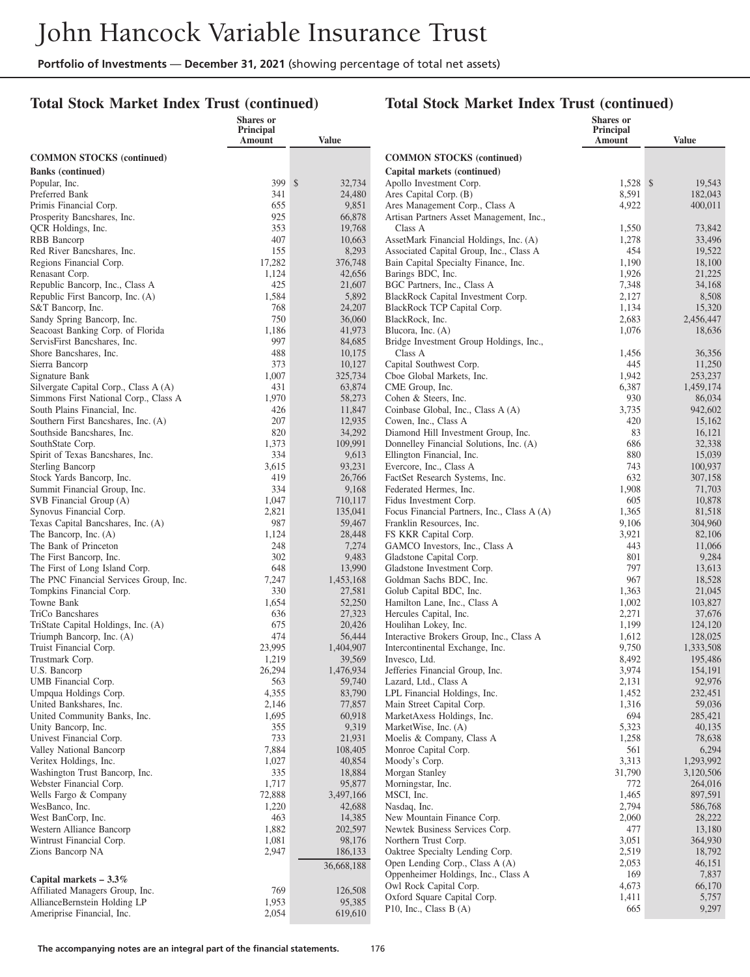## **Total Stock Market Index Trust (continued)**

|                                                                     | Shares or<br>Principal |                   |                                                                         | <b>Shares</b> or<br>Principal |                      |
|---------------------------------------------------------------------|------------------------|-------------------|-------------------------------------------------------------------------|-------------------------------|----------------------|
|                                                                     | Amount                 | <b>Value</b>      |                                                                         | Amount                        | <b>Value</b>         |
| <b>COMMON STOCKS</b> (continued)                                    |                        |                   | <b>COMMON STOCKS</b> (continued)                                        |                               |                      |
| <b>Banks</b> (continued)                                            |                        |                   | Capital markets (continued)                                             |                               |                      |
| Popular, Inc.                                                       | 399 \$                 | 32,734            | Apollo Investment Corp.                                                 | $1,528$ \$                    | 19,543               |
| Preferred Bank                                                      | 341                    | 24,480            | Ares Capital Corp. (B)                                                  | 8,591                         | 182,043              |
| Primis Financial Corp.                                              | 655                    | 9,851             | Ares Management Corp., Class A                                          | 4,922                         | 400,011              |
| Prosperity Bancshares, Inc.                                         | 925<br>353             | 66,878            | Artisan Partners Asset Management, Inc.,                                |                               |                      |
| QCR Holdings, Inc.<br>RBB Bancorp                                   | 407                    | 19,768<br>10,663  | Class A<br>AssetMark Financial Holdings, Inc. (A)                       | 1,550<br>1,278                | 73,842<br>33,496     |
| Red River Bancshares, Inc.                                          | 155                    | 8,293             | Associated Capital Group, Inc., Class A                                 | 454                           | 19,522               |
| Regions Financial Corp.                                             | 17,282                 | 376,748           | Bain Capital Specialty Finance, Inc.                                    | 1,190                         | 18,100               |
| Renasant Corp.                                                      | 1,124                  | 42,656            | Barings BDC, Inc.                                                       | 1,926                         | 21,225               |
| Republic Bancorp, Inc., Class A                                     | 425                    | 21,607            | BGC Partners, Inc., Class A                                             | 7,348                         | 34,168               |
| Republic First Bancorp, Inc. (A)                                    | 1,584                  | 5,892             | BlackRock Capital Investment Corp.                                      | 2,127                         | 8,508                |
| S&T Bancorp, Inc.                                                   | 768                    | 24,207            | BlackRock TCP Capital Corp.                                             | 1,134                         | 15,320               |
| Sandy Spring Bancorp, Inc.<br>Seacoast Banking Corp. of Florida     | 750<br>1,186           | 36,060<br>41,973  | BlackRock, Inc.<br>Blucora, Inc. (A)                                    | 2,683<br>1,076                | 2,456,447<br>18,636  |
| ServisFirst Bancshares, Inc.                                        | 997                    | 84,685            | Bridge Investment Group Holdings, Inc.,                                 |                               |                      |
| Shore Bancshares, Inc.                                              | 488                    | 10,175            | Class A                                                                 | 1,456                         | 36,356               |
| Sierra Bancorp                                                      | 373                    | 10,127            | Capital Southwest Corp.                                                 | 445                           | 11,250               |
| Signature Bank                                                      | 1,007                  | 325,734           | Cboe Global Markets, Inc.                                               | 1,942                         | 253,237              |
| Silvergate Capital Corp., Class A (A)                               | 431                    | 63,874            | CME Group, Inc.                                                         | 6,387                         | 1,459,174            |
| Simmons First National Corp., Class A                               | 1,970                  | 58,273            | Cohen & Steers, Inc.                                                    | 930                           | 86,034               |
| South Plains Financial, Inc.<br>Southern First Bancshares, Inc. (A) | 426                    | 11,847<br>12,935  | Coinbase Global, Inc., Class A (A)                                      | 3,735                         | 942,602              |
| Southside Bancshares, Inc.                                          | 207<br>820             | 34,292            | Cowen, Inc., Class A<br>Diamond Hill Investment Group, Inc.             | 420<br>83                     | 15,162<br>16,121     |
| SouthState Corp.                                                    | 1,373                  | 109,991           | Donnelley Financial Solutions, Inc. (A)                                 | 686                           | 32,338               |
| Spirit of Texas Bancshares, Inc.                                    | 334                    | 9,613             | Ellington Financial, Inc.                                               | 880                           | 15,039               |
| <b>Sterling Bancorp</b>                                             | 3,615                  | 93,231            | Evercore, Inc., Class A                                                 | 743                           | 100,937              |
| Stock Yards Bancorp, Inc.                                           | 419                    | 26,766            | FactSet Research Systems, Inc.                                          | 632                           | 307,158              |
| Summit Financial Group, Inc.                                        | 334                    | 9,168             | Federated Hermes, Inc.                                                  | 1,908                         | 71,703               |
| SVB Financial Group (A)                                             | 1,047                  | 710,117           | Fidus Investment Corp.                                                  | 605                           | 10,878               |
| Synovus Financial Corp.<br>Texas Capital Bancshares, Inc. (A)       | 2,821<br>987           | 135,041<br>59,467 | Focus Financial Partners, Inc., Class A (A)<br>Franklin Resources, Inc. | 1,365<br>9,106                | 81,518<br>304,960    |
| The Bancorp, Inc. (A)                                               | 1,124                  | 28,448            | FS KKR Capital Corp.                                                    | 3,921                         | 82,106               |
| The Bank of Princeton                                               | 248                    | 7,274             | GAMCO Investors, Inc., Class A                                          | 443                           | 11,066               |
| The First Bancorp, Inc.                                             | 302                    | 9,483             | Gladstone Capital Corp.                                                 | 801                           | 9,284                |
| The First of Long Island Corp.                                      | 648                    | 13,990            | Gladstone Investment Corp.                                              | 797                           | 13,613               |
| The PNC Financial Services Group, Inc.                              | 7,247                  | 1,453,168         | Goldman Sachs BDC, Inc.                                                 | 967                           | 18,528               |
| Tompkins Financial Corp.                                            | 330                    | 27,581            | Golub Capital BDC, Inc.                                                 | 1,363                         | 21,045               |
| Towne Bank<br>TriCo Bancshares                                      | 1,654<br>636           | 52,250<br>27,323  | Hamilton Lane, Inc., Class A<br>Hercules Capital, Inc.                  | 1,002<br>2,271                | 103,827<br>37,676    |
| TriState Capital Holdings, Inc. (A)                                 | 675                    | 20,426            | Houlihan Lokey, Inc.                                                    | 1,199                         | 124,120              |
| Triumph Bancorp, Inc. (A)                                           | 474                    | 56,444            | Interactive Brokers Group, Inc., Class A                                | 1,612                         | 128,025              |
| Truist Financial Corp.                                              | 23,995                 | 1,404,907         | Intercontinental Exchange, Inc.                                         | 9,750                         | 1,333,508            |
| Trustmark Corp.                                                     | 1,219                  | 39,569            | Invesco, Ltd.                                                           | 8,492                         | 195,486              |
| U.S. Bancorp                                                        | 26,294                 | 1,476,934         | Jefferies Financial Group, Inc.                                         | 3,974                         | 154,191              |
| UMB Financial Corp.                                                 | 563                    | 59,740            | Lazard, Ltd., Class A<br>LPL Financial Holdings, Inc.                   | 2,131                         | 92,976               |
| Umpqua Holdings Corp.<br>United Bankshares, Inc.                    | 4,355<br>2,146         | 83,790<br>77,857  | Main Street Capital Corp.                                               | 1,452<br>1,316                | 232,451<br>59,036    |
| United Community Banks, Inc.                                        | 1,695                  | 60,918            | MarketAxess Holdings, Inc.                                              | 694                           | 285,421              |
| Unity Bancorp, Inc.                                                 | 355                    | 9,319             | MarketWise, Inc. (A)                                                    | 5,323                         | 40,135               |
| Univest Financial Corp.                                             | 733                    | 21,931            | Moelis & Company, Class A                                               | 1,258                         | 78,638               |
| Valley National Bancorp                                             | 7,884                  | 108,405           | Monroe Capital Corp.                                                    | 561                           | 6,294                |
| Veritex Holdings, Inc.                                              | 1,027                  | 40,854            | Moody's Corp.                                                           | 3,313                         | 1,293,992            |
| Washington Trust Bancorp, Inc.<br>Webster Financial Corp.           | 335<br>1,717           | 18,884<br>95,877  | Morgan Stanley<br>Morningstar, Inc.                                     | 31,790<br>772                 | 3,120,506<br>264,016 |
| Wells Fargo & Company                                               | 72,888                 | 3,497,166         | MSCI, Inc.                                                              | 1,465                         | 897,591              |
| WesBanco, Inc.                                                      | 1,220                  | 42,688            | Nasdaq, Inc.                                                            | 2,794                         | 586,768              |
| West BanCorp, Inc.                                                  | 463                    | 14,385            | New Mountain Finance Corp.                                              | 2,060                         | 28,222               |
| Western Alliance Bancorp                                            | 1,882                  | 202,597           | Newtek Business Services Corp.                                          | 477                           | 13,180               |
| Wintrust Financial Corp.                                            | 1,081                  | 98,176            | Northern Trust Corp.                                                    | 3,051                         | 364,930              |
| Zions Bancorp NA                                                    | 2,947                  | 186,133           | Oaktree Specialty Lending Corp.                                         | 2,519                         | 18,792               |
|                                                                     |                        | 36,668,188        | Open Lending Corp., Class A (A)<br>Oppenheimer Holdings, Inc., Class A  | 2,053<br>169                  | 46,151<br>7,837      |
| Capital markets $-3.3\%$                                            |                        |                   | Owl Rock Capital Corp.                                                  | 4,673                         | 66,170               |
| Affiliated Managers Group, Inc.                                     | 769                    | 126,508           | Oxford Square Capital Corp.                                             | 1,411                         | 5,757                |
| AllianceBernstein Holding LP<br>Ameriprise Financial, Inc.          | 1,953<br>2,054         | 95,385<br>619,610 | P10, Inc., Class B $(A)$                                                | 665                           | 9,297                |
|                                                                     |                        |                   |                                                                         |                               |                      |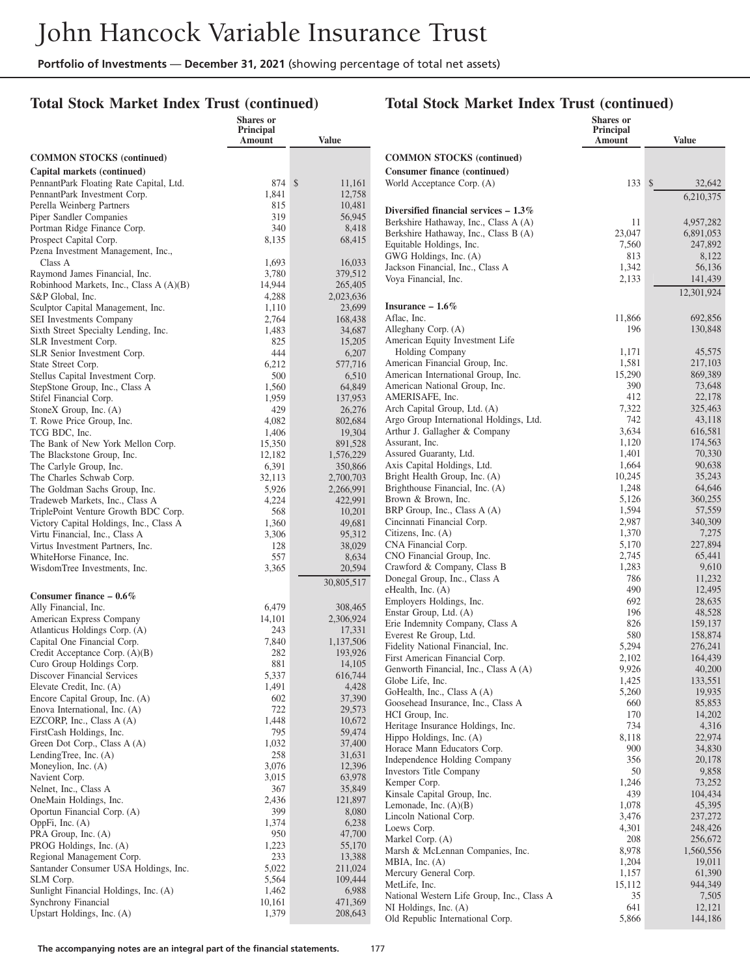**Shares or**

## **Total Stock Market Index Trust (continued)**

#### **Total Stock Market Index Trust (continued)**

**Shares or Principal**

|                                                              | Principal<br>Amount | <b>Value</b>        |                                                          | Principal<br>Amount | <b>Value</b>      |
|--------------------------------------------------------------|---------------------|---------------------|----------------------------------------------------------|---------------------|-------------------|
| <b>COMMON STOCKS</b> (continued)                             |                     |                     | <b>COMMON STOCKS</b> (continued)                         |                     |                   |
| Capital markets (continued)                                  |                     |                     | <b>Consumer finance (continued)</b>                      |                     |                   |
| PennantPark Floating Rate Capital, Ltd.                      | 874 \$              | 11,161              | World Acceptance Corp. (A)                               | 133S                | 32,642            |
| PennantPark Investment Corp.                                 | 1,841               | 12,758              |                                                          |                     | 6,210,375         |
| Perella Weinberg Partners                                    | 815                 | 10,481              | Diversified financial services $-1.3\%$                  |                     |                   |
| Piper Sandler Companies                                      | 319                 | 56,945              | Berkshire Hathaway, Inc., Class A (A)                    | 11                  | 4,957,282         |
| Portman Ridge Finance Corp.                                  | 340                 | 8,418               | Berkshire Hathaway, Inc., Class B (A)                    | 23,047              | 6,891,053         |
| Prospect Capital Corp.                                       | 8,135               | 68,415              | Equitable Holdings, Inc.                                 | 7,560               | 247,892           |
| Pzena Investment Management, Inc.,<br>Class A                | 1,693               | 16,033              | GWG Holdings, Inc. (A)                                   | 813                 | 8,122             |
| Raymond James Financial, Inc.                                | 3,780               | 379,512             | Jackson Financial, Inc., Class A                         | 1,342               | 56,136            |
| Robinhood Markets, Inc., Class A (A)(B)                      | 14,944              | 265,405             | Voya Financial, Inc.                                     | 2,133               | 141,439           |
| S&P Global, Inc.                                             | 4,288               | 2,023,636           |                                                          |                     | 12,301,924        |
| Sculptor Capital Management, Inc.                            | 1,110               | 23,699              | Insurance $-1.6\%$                                       |                     |                   |
| SEI Investments Company                                      | 2,764               | 168,438             | Aflac, Inc.                                              | 11,866              | 692,856           |
| Sixth Street Specialty Lending, Inc.                         | 1,483               | 34,687              | Alleghany Corp. (A)                                      | 196                 | 130,848           |
| SLR Investment Corp.                                         | 825                 | 15,205              | American Equity Investment Life                          |                     |                   |
| SLR Senior Investment Corp.                                  | 444                 | 6,207               | Holding Company                                          | 1,171               | 45,575            |
| State Street Corp.                                           | 6,212               | 577,716             | American Financial Group, Inc.                           | 1,581               | 217,103           |
| Stellus Capital Investment Corp.                             | 500                 | 6,510               | American International Group, Inc.                       | 15,290              | 869,389           |
| StepStone Group, Inc., Class A                               | 1,560               | 64,849              | American National Group, Inc.                            | 390<br>412          | 73,648            |
| Stifel Financial Corp.                                       | 1,959               | 137,953             | AMERISAFE, Inc.<br>Arch Capital Group, Ltd. (A)          | 7,322               | 22,178<br>325,463 |
| StoneX Group, Inc. (A)<br>T. Rowe Price Group, Inc.          | 429                 | 26,276              | Argo Group International Holdings, Ltd.                  | 742                 | 43.118            |
| TCG BDC, Inc.                                                | 4,082<br>1,406      | 802,684<br>19,304   | Arthur J. Gallagher & Company                            | 3,634               | 616,581           |
| The Bank of New York Mellon Corp.                            | 15,350              | 891,528             | Assurant, Inc.                                           | 1,120               | 174,563           |
| The Blackstone Group, Inc.                                   | 12,182              | 1,576,229           | Assured Guaranty, Ltd.                                   | 1,401               | 70,330            |
| The Carlyle Group, Inc.                                      | 6,391               | 350,866             | Axis Capital Holdings, Ltd.                              | 1,664               | 90,638            |
| The Charles Schwab Corp.                                     | 32,113              | 2,700,703           | Bright Health Group, Inc. (A)                            | 10,245              | 35,243            |
| The Goldman Sachs Group, Inc.                                | 5,926               | 2,266,991           | Brighthouse Financial, Inc. (A)                          | 1,248               | 64,646            |
| Tradeweb Markets, Inc., Class A                              | 4,224               | 422,991             | Brown & Brown, Inc.                                      | 5,126               | 360,255           |
| TriplePoint Venture Growth BDC Corp.                         | 568                 | 10,201              | BRP Group, Inc., Class A (A)                             | 1,594               | 57,559            |
| Victory Capital Holdings, Inc., Class A                      | 1,360               | 49,681              | Cincinnati Financial Corp.                               | 2,987               | 340,309           |
| Virtu Financial, Inc., Class A                               | 3,306               | 95,312              | Citizens, Inc. (A)                                       | 1,370               | 7,275             |
| Virtus Investment Partners, Inc.                             | 128                 | 38,029              | CNA Financial Corp.                                      | 5,170<br>2,745      | 227,894<br>65,441 |
| WhiteHorse Finance, Inc.                                     | 557                 | 8,634               | CNO Financial Group, Inc.<br>Crawford & Company, Class B | 1,283               | 9,610             |
| WisdomTree Investments, Inc.                                 | 3,365               | 20,594              | Donegal Group, Inc., Class A                             | 786                 | 11,232            |
|                                                              |                     | 30,805,517          | eHealth, Inc. (A)                                        | 490                 | 12,495            |
| Consumer finance $-0.6\%$                                    |                     |                     | Employers Holdings, Inc.                                 | 692                 | 28,635            |
| Ally Financial, Inc.                                         | 6,479               | 308,465             | Enstar Group, Ltd. (A)                                   | 196                 | 48,528            |
| American Express Company                                     | 14,101              | 2,306,924           | Erie Indemnity Company, Class A                          | 826                 | 159,137           |
| Atlanticus Holdings Corp. (A)<br>Capital One Financial Corp. | 243<br>7,840        | 17,331<br>1,137,506 | Everest Re Group, Ltd.                                   | 580                 | 158,874           |
| Credit Acceptance Corp. (A)(B)                               | 282                 | 193,926             | Fidelity National Financial, Inc.                        | 5,294               | 276,241           |
| Curo Group Holdings Corp.                                    | 881                 | 14,105              | First American Financial Corp.                           | 2,102               | 164,439           |
| Discover Financial Services                                  | 5,337               | 616,744             | Genworth Financial, Inc., Class A (A)                    | 9,926               | 40,200            |
| Elevate Credit, Inc. (A)                                     | 1,491               | 4,428               | Globe Life, Inc.                                         | 1,425               | 133,551           |
| Encore Capital Group, Inc. (A)                               | 602                 | 37,390              | GoHealth, Inc., Class A (A)                              | 5,260               | 19,935            |
| Enova International, Inc. (A)                                | 722                 | 29,573              | Goosehead Insurance, Inc., Class A<br>HCI Group, Inc.    | 660<br>170          | 85,853<br>14,202  |
| EZCORP, Inc., Class $A(A)$                                   | 1,448               | 10,672              | Heritage Insurance Holdings, Inc.                        | 734                 | 4,316             |
| FirstCash Holdings, Inc.                                     | 795                 | 59,474              | Hippo Holdings, Inc. (A)                                 | 8,118               | 22,974            |
| Green Dot Corp., Class A (A)                                 | 1,032               | 37,400              | Horace Mann Educators Corp.                              | 900                 | 34,830            |
| LendingTree, Inc. $(A)$                                      | 258                 | 31,631              | Independence Holding Company                             | 356                 | 20,178            |
| Moneylion, Inc. (A)                                          | 3,076               | 12,396              | Investors Title Company                                  | 50                  | 9,858             |
| Navient Corp.                                                | 3,015               | 63,978              | Kemper Corp.                                             | 1,246               | 73,252            |
| Nelnet, Inc., Class A                                        | 367<br>2,436        | 35,849<br>121,897   | Kinsale Capital Group, Inc.                              | 439                 | 104,434           |
| OneMain Holdings, Inc.<br>Oportun Financial Corp. (A)        | 399                 | 8,080               | Lemonade, Inc. $(A)(B)$                                  | 1,078               | 45,395            |
| OppFi, Inc. (A)                                              | 1,374               | 6,238               | Lincoln National Corp.                                   | 3,476               | 237,272           |
| PRA Group, Inc. (A)                                          | 950                 | 47,700              | Loews Corp.                                              | 4,301               | 248,426           |
| PROG Holdings, Inc. (A)                                      | 1,223               | 55,170              | Markel Corp. (A)                                         | 208                 | 256,672           |
| Regional Management Corp.                                    | 233                 | 13,388              | Marsh & McLennan Companies, Inc.                         | 8,978               | 1,560,556         |
| Santander Consumer USA Holdings, Inc.                        | 5,022               | 211,024             | MBIA, Inc. $(A)$                                         | 1,204               | 19,011            |
| SLM Corp.                                                    | 5,564               | 109,444             | Mercury General Corp.<br>MetLife, Inc.                   | 1,157<br>15,112     | 61,390<br>944,349 |
| Sunlight Financial Holdings, Inc. (A)                        | 1,462               | 6,988               | National Western Life Group, Inc., Class A               | 35                  | 7,505             |
| Synchrony Financial                                          | 10,161              | 471,369             | NI Holdings, Inc. (A)                                    | 641                 | 12,121            |
| Upstart Holdings, Inc. (A)                                   | 1,379               | 208,643             | Old Republic International Corp.                         | 5,866               | 144,186           |
|                                                              |                     |                     |                                                          |                     |                   |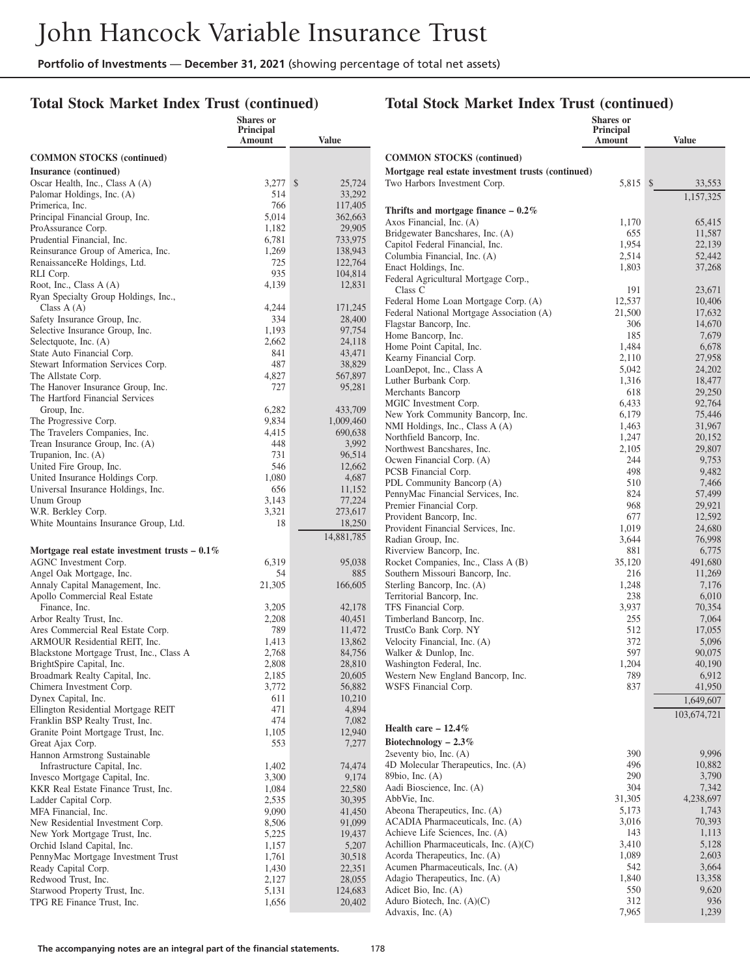#### **Total Stock Market Index Trust (continued)**

#### **Total Stock Market Index Trust (continued)**

|                                                                        | <b>Shares</b> or<br>Principal<br>Amount |              | <b>Value</b>       |                                                                   | <b>Shares</b> or<br>Principal<br>Amount | <b>Value</b>     |
|------------------------------------------------------------------------|-----------------------------------------|--------------|--------------------|-------------------------------------------------------------------|-----------------------------------------|------------------|
| <b>COMMON STOCKS (continued)</b>                                       |                                         |              |                    | <b>COMMON STOCKS</b> (continued)                                  |                                         |                  |
| Insurance (continued)                                                  |                                         |              |                    | Mortgage real estate investment trusts (continued)                |                                         |                  |
| Oscar Health, Inc., Class A (A)                                        | 3,277                                   | $\mathbb{S}$ | 25,724             | Two Harbors Investment Corp.                                      | 5,815 \$                                | 33,553           |
| Palomar Holdings, Inc. (A)                                             | 514                                     |              | 33,292             |                                                                   |                                         | 1,157,325        |
| Primerica, Inc.                                                        | 766                                     |              | 117,405            | Thrifts and mortgage finance $-0.2\%$                             |                                         |                  |
| Principal Financial Group, Inc.                                        | 5,014                                   |              | 362,663            | Axos Financial, Inc. (A)                                          | 1,170                                   | 65,415           |
| ProAssurance Corp.                                                     | 1,182                                   |              | 29,905             | Bridgewater Bancshares, Inc. (A)                                  | 655                                     | 11,587           |
| Prudential Financial, Inc.<br>Reinsurance Group of America, Inc.       | 6,781<br>1,269                          |              | 733,975<br>138,943 | Capitol Federal Financial, Inc.                                   | 1,954                                   | 22,139           |
| RenaissanceRe Holdings, Ltd.                                           | 725                                     |              | 122,764            | Columbia Financial, Inc. (A)                                      | 2,514                                   | 52,442           |
| RLI Corp.                                                              | 935                                     |              | 104,814            | Enact Holdings, Inc.                                              | 1,803                                   | 37,268           |
| Root, Inc., Class A (A)                                                | 4,139                                   |              | 12,831             | Federal Agricultural Mortgage Corp.,<br>Class C                   | 191                                     | 23,671           |
| Ryan Specialty Group Holdings, Inc.,                                   |                                         |              |                    | Federal Home Loan Mortgage Corp. (A)                              | 12,537                                  | 10,406           |
| Class $A(A)$                                                           | 4,244                                   |              | 171,245            | Federal National Mortgage Association (A)                         | 21,500                                  | 17,632           |
| Safety Insurance Group, Inc.                                           | 334                                     |              | 28,400             | Flagstar Bancorp, Inc.                                            | 306                                     | 14,670           |
| Selective Insurance Group, Inc.                                        | 1,193                                   |              | 97,754             | Home Bancorp, Inc.                                                | 185                                     | 7,679            |
| Selectquote, Inc. (A)<br>State Auto Financial Corp.                    | 2,662<br>841                            |              | 24,118<br>43,471   | Home Point Capital, Inc.                                          | 1,484                                   | 6,678            |
| Stewart Information Services Corp.                                     | 487                                     |              | 38,829             | Kearny Financial Corp.                                            | 2,110                                   | 27,958           |
| The Allstate Corp.                                                     | 4,827                                   |              | 567,897            | LoanDepot, Inc., Class A                                          | 5,042                                   | 24,202           |
| The Hanover Insurance Group, Inc.                                      | 727                                     |              | 95,281             | Luther Burbank Corp.                                              | 1,316                                   | 18,477           |
| The Hartford Financial Services                                        |                                         |              |                    | Merchants Bancorp<br>MGIC Investment Corp.                        | 618<br>6,433                            | 29,250<br>92,764 |
| Group, Inc.                                                            | 6,282                                   |              | 433,709            | New York Community Bancorp, Inc.                                  | 6,179                                   | 75,446           |
| The Progressive Corp.                                                  | 9,834                                   |              | 1,009,460          | NMI Holdings, Inc., Class A (A)                                   | 1,463                                   | 31,967           |
| The Travelers Companies, Inc.                                          | 4,415                                   |              | 690,638            | Northfield Bancorp, Inc.                                          | 1,247                                   | 20,152           |
| Trean Insurance Group, Inc. (A)                                        | 448                                     |              | 3,992              | Northwest Bancshares, Inc.                                        | 2,105                                   | 29,807           |
| Trupanion, Inc. (A)<br>United Fire Group, Inc.                         | 731<br>546                              |              | 96,514<br>12,662   | Ocwen Financial Corp. (A)                                         | 244                                     | 9,753            |
| United Insurance Holdings Corp.                                        | 1,080                                   |              | 4,687              | PCSB Financial Corp.                                              | 498                                     | 9,482            |
| Universal Insurance Holdings, Inc.                                     | 656                                     |              | 11,152             | PDL Community Bancorp (A)                                         | 510                                     | 7,466            |
| Unum Group                                                             | 3,143                                   |              | 77,224             | PennyMac Financial Services, Inc.                                 | 824                                     | 57,499           |
| W.R. Berkley Corp.                                                     | 3,321                                   |              | 273,617            | Premier Financial Corp.<br>Provident Bancorp, Inc.                | 968<br>677                              | 29,921<br>12,592 |
| White Mountains Insurance Group, Ltd.                                  | 18                                      |              | 18,250             | Provident Financial Services, Inc.                                | 1,019                                   | 24,680           |
|                                                                        |                                         |              | 14,881,785         | Radian Group, Inc.                                                | 3,644                                   | 76,998           |
| Mortgage real estate investment trusts $-0.1\%$                        |                                         |              |                    | Riverview Bancorp, Inc.                                           | 881                                     | 6,775            |
| AGNC Investment Corp.                                                  | 6,319                                   |              | 95,038             | Rocket Companies, Inc., Class A (B)                               | 35,120                                  | 491,680          |
| Angel Oak Mortgage, Inc.                                               | 54                                      |              | 885                | Southern Missouri Bancorp, Inc.                                   | 216                                     | 11,269           |
| Annaly Capital Management, Inc.                                        | 21,305                                  |              | 166,605            | Sterling Bancorp, Inc. (A)                                        | 1,248                                   | 7,176            |
| Apollo Commercial Real Estate                                          |                                         |              |                    | Territorial Bancorp, Inc.                                         | 238                                     | 6,010            |
| Finance, Inc.<br>Arbor Realty Trust, Inc.                              | 3,205<br>2,208                          |              | 42,178<br>40,451   | TFS Financial Corp.<br>Timberland Bancorp, Inc.                   | 3,937<br>255                            | 70,354<br>7,064  |
| Ares Commercial Real Estate Corp.                                      | 789                                     |              | 11,472             | TrustCo Bank Corp. NY                                             | 512                                     | 17,055           |
| ARMOUR Residential REIT, Inc.                                          | 1,413                                   |              | 13,862             | Velocity Financial, Inc. (A)                                      | 372                                     | 5,096            |
| Blackstone Mortgage Trust, Inc., Class A                               | 2,768                                   |              | 84,756             | Walker & Dunlop, Inc.                                             | 597                                     | 90,075           |
| BrightSpire Capital, Inc.                                              | 2,808                                   |              | 28,810             | Washington Federal, Inc.                                          | 1,204                                   | 40,190           |
| Broadmark Realty Capital, Inc.                                         | 2,185                                   |              | 20,605             | Western New England Bancorp, Inc.                                 | 789                                     | 6,912            |
| Chimera Investment Corp.                                               | 3,772                                   |              | 56,882             | WSFS Financial Corp.                                              | 837                                     | 41,950           |
| Dynex Capital, Inc.                                                    | 611                                     |              | 10,210             |                                                                   |                                         | 1,649,607        |
| Ellington Residential Mortgage REIT<br>Franklin BSP Realty Trust, Inc. | 471<br>474                              |              | 4,894<br>7,082     |                                                                   |                                         | 103,674,721      |
| Granite Point Mortgage Trust, Inc.                                     | 1,105                                   |              | 12,940             | Health care $-12.4%$                                              |                                         |                  |
| Great Ajax Corp.                                                       | 553                                     |              | 7,277              | Biotechnology $-2.3\%$                                            |                                         |                  |
| Hannon Armstrong Sustainable                                           |                                         |              |                    | 2seventy bio, Inc. $(A)$                                          | 390                                     | 9,996            |
| Infrastructure Capital, Inc.                                           | 1,402                                   |              | 74,474             | 4D Molecular Therapeutics, Inc. (A)                               | 496                                     | 10,882           |
| Invesco Mortgage Capital, Inc.                                         | 3,300                                   |              | 9,174              | 89bio, Inc. $(A)$                                                 | 290                                     | 3,790            |
| KKR Real Estate Finance Trust, Inc.                                    | 1,084                                   |              | 22,580             | Aadi Bioscience, Inc. (A)                                         | 304                                     | 7,342            |
| Ladder Capital Corp.                                                   | 2,535                                   |              | 30,395             | AbbVie, Inc.                                                      | 31,305                                  | 4,238,697        |
| MFA Financial, Inc.                                                    | 9,090                                   |              | 41,450             | Abeona Therapeutics, Inc. (A)<br>ACADIA Pharmaceuticals, Inc. (A) | 5,173<br>3,016                          | 1,743<br>70,393  |
| New Residential Investment Corp.<br>New York Mortgage Trust, Inc.      | 8,506<br>5,225                          |              | 91,099<br>19,437   | Achieve Life Sciences, Inc. (A)                                   | 143                                     | 1,113            |
| Orchid Island Capital, Inc.                                            | 1,157                                   |              | 5,207              | Achillion Pharmaceuticals, Inc. $(A)(C)$                          | 3,410                                   | 5,128            |
| PennyMac Mortgage Investment Trust                                     | 1,761                                   |              | 30,518             | Acorda Therapeutics, Inc. (A)                                     | 1,089                                   | 2,603            |
| Ready Capital Corp.                                                    | 1,430                                   |              | 22,351             | Acumen Pharmaceuticals, Inc. (A)                                  | 542                                     | 3,664            |
| Redwood Trust, Inc.                                                    | 2,127                                   |              | 28,055             | Adagio Therapeutics, Inc. (A)                                     | 1,840                                   | 13,358           |
| Starwood Property Trust, Inc.                                          | 5,131                                   |              | 124,683            | Adicet Bio, Inc. (A)                                              | 550                                     | 9,620            |
| TPG RE Finance Trust, Inc.                                             | 1,656                                   |              | 20,402             | Aduro Biotech, Inc. $(A)(C)$                                      | 312                                     | 936              |
|                                                                        |                                         |              |                    | Advaxis, Inc. (A)                                                 | 7,965                                   | 1,239            |

| Federal Agricultural Mortgage Corp.,      |        |             |
|-------------------------------------------|--------|-------------|
| Class C                                   | 191    | 23,671      |
| Federal Home Loan Mortgage Corp. (A)      | 12,537 | 10,406      |
| Federal National Mortgage Association (A) | 21,500 | 17,632      |
| Flagstar Bancorp, Inc.                    | 306    | 14,670      |
| Home Bancorp, Inc.                        | 185    | 7,679       |
| Home Point Capital, Inc.                  | 1,484  | 6,678       |
| Kearny Financial Corp.                    | 2,110  | 27,958      |
| LoanDepot, Inc., Class A                  | 5,042  | 24,202      |
| Luther Burbank Corp.                      | 1,316  | 18,477      |
| Merchants Bancorp                         | 618    | 29,250      |
| MGIC Investment Corp.                     | 6,433  | 92,764      |
| New York Community Bancorp, Inc.          | 6,179  | 75,446      |
| NMI Holdings, Inc., Class A (A)           | 1,463  | 31,967      |
| Northfield Bancorp, Inc.                  | 1,247  | 20,152      |
| Northwest Bancshares, Inc.                | 2,105  | 29,807      |
| Ocwen Financial Corp. (A)                 | 244    | 9,753       |
| PCSB Financial Corp.                      | 498    | 9,482       |
| PDL Community Bancorp (A)                 | 510    | 7,466       |
| PennyMac Financial Services, Inc.         | 824    | 57,499      |
| Premier Financial Corp.                   | 968    | 29,921      |
| Provident Bancorp, Inc.                   | 677    | 12,592      |
| Provident Financial Services, Inc.        | 1,019  | 24,680      |
| Radian Group, Inc.                        | 3,644  | 76,998      |
| Riverview Bancorp, Inc.                   | 881    | 6,775       |
| Rocket Companies, Inc., Class A (B)       | 35,120 | 491,680     |
| Southern Missouri Bancorp, Inc.           | 216    | 11,269      |
| Sterling Bancorp, Inc. (A)                | 1,248  | 7,176       |
| Territorial Bancorp, Inc.                 | 238    | 6,010       |
| TFS Financial Corp.                       | 3,937  | 70,354      |
| Timberland Bancorp, Inc.                  | 255    | 7,064       |
| TrustCo Bank Corp. NY                     | 512    | 17,055      |
| Velocity Financial, Inc. (A)              | 372    | 5,096       |
| Walker & Dunlop, Inc.                     | 597    | 90,075      |
| Washington Federal, Inc.                  | 1,204  | 40,190      |
| Western New England Bancorp, Inc.         | 789    | 6,912       |
| WSFS Financial Corp.                      | 837    | 41,950      |
|                                           |        | 1,649,607   |
|                                           |        | 103,674,721 |
| Health care $-12.4\%$                     |        |             |
|                                           |        |             |
| Biotechnology $-2.3\%$                    |        |             |
| 2seventy bio, Inc. $(A)$                  | 390    | 9,996       |
| 4D Molecular Therapeutics, Inc. (A)       | 496    | 10,882      |
| 89bio, Inc. (A)                           | 290    | 3,790       |
| Aadi Bioscience, Inc. (A)                 | 304    | 7,342       |
| AbbVie, Inc.                              | 31,305 | 4,238,697   |
| Abeona Therapeutics, Inc. (A)             | 5,173  | 1,743       |
| ACADIA Pharmaceuticals, Inc. (A)          | 3,016  | 70,393      |
| Achieve Life Sciences, Inc. (A)           | 143    | 1,113       |
| Achillion Pharmaceuticals, Inc. $(A)(C)$  | 3,410  | 5,128       |
| Acorda Therapeutics, Inc. (A)             | 1,089  | 2,603       |
| Acumen Pharmaceuticals, Inc. (A)          | 542    | 3,664       |
| Adagio Therapeutics, Inc. (A)             | 1,840  | 13,358      |
| Adicet Bio. Inc. (A)                      | 550    | 9.620       |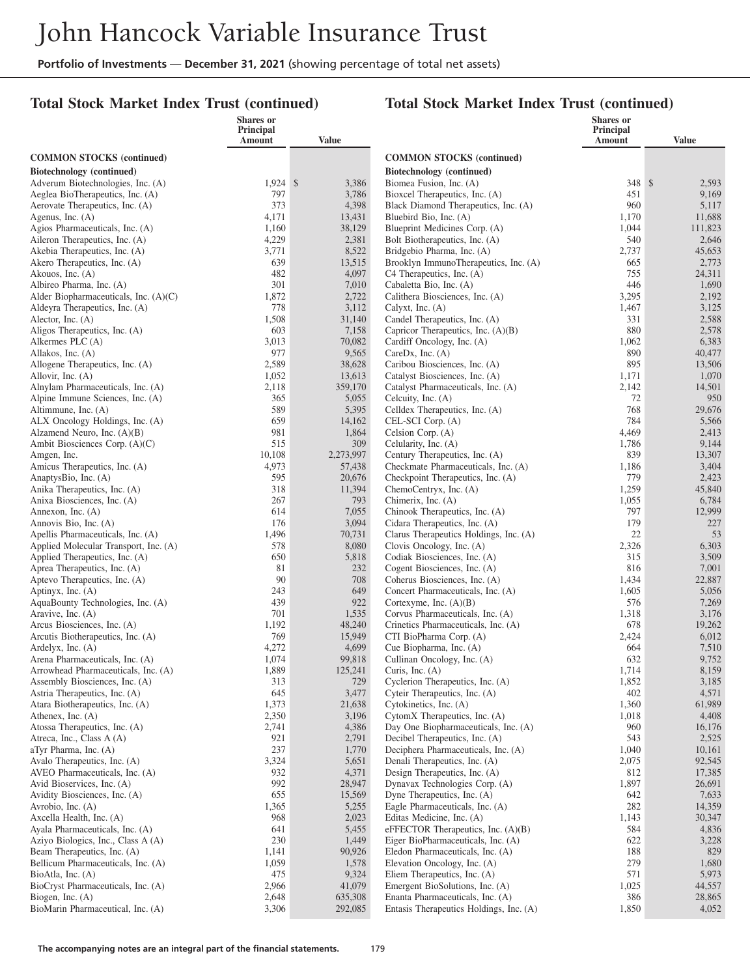## **Total Stock Market Index Trust (continued)**

|                                                                  | Shares or<br><b>Principal</b> |                  |                                                                         | <b>Shares</b> or<br>Principal |                   |
|------------------------------------------------------------------|-------------------------------|------------------|-------------------------------------------------------------------------|-------------------------------|-------------------|
|                                                                  | Amount                        | Value            |                                                                         | Amount                        | <b>Value</b>      |
| <b>COMMON STOCKS</b> (continued)                                 |                               |                  | <b>COMMON STOCKS (continued)</b>                                        |                               |                   |
| Biotechnology (continued)                                        |                               |                  | Biotechnology (continued)                                               |                               |                   |
| Adverum Biotechnologies, Inc. (A)                                | $1,924$ \$                    | 3,386            | Biomea Fusion, Inc. (A)                                                 | 348S                          | 2,593             |
| Aeglea BioTherapeutics, Inc. (A)                                 | 797                           | 3,786            | Bioxcel Therapeutics, Inc. (A)                                          | 451                           | 9,169             |
| Aerovate Therapeutics, Inc. (A)                                  | 373                           | 4,398            | Black Diamond Therapeutics, Inc. (A)                                    | 960                           | 5,117             |
| Agenus, Inc. $(A)$<br>Agios Pharmaceuticals, Inc. (A)            | 4,171<br>1,160                | 13,431<br>38,129 | Bluebird Bio, Inc. (A)<br>Blueprint Medicines Corp. (A)                 | 1,170<br>1,044                | 11,688<br>111,823 |
| Aileron Therapeutics, Inc. (A)                                   | 4,229                         | 2,381            | Bolt Biotherapeutics, Inc. (A)                                          | 540                           | 2,646             |
| Akebia Therapeutics, Inc. (A)                                    | 3,771                         | 8,522            | Bridgebio Pharma, Inc. (A)                                              | 2,737                         | 45,653            |
| Akero Therapeutics, Inc. (A)                                     | 639                           | 13,515           | Brooklyn ImmunoTherapeutics, Inc. (A)                                   | 665                           | 2,773             |
| Akouos, Inc. $(A)$                                               | 482                           | 4,097            | C4 Therapeutics, Inc. (A)                                               | 755                           | 24,311            |
| Albireo Pharma, Inc. (A)                                         | 301                           | 7,010            | Cabaletta Bio, Inc. (A)                                                 | 446                           | 1,690             |
| Alder Biopharmaceuticals, Inc. (A)(C)                            | 1,872                         | 2,722            | Calithera Biosciences, Inc. (A)                                         | 3,295                         | 2,192             |
| Aldeyra Therapeutics, Inc. (A)                                   | 778                           | 3,112            | Calyxt, Inc. $(A)$                                                      | 1,467                         | 3,125             |
| Alector, Inc. $(A)$<br>Aligos Therapeutics, Inc. (A)             | 1,508<br>603                  | 31,140<br>7,158  | Candel Therapeutics, Inc. (A)<br>Capricor Therapeutics, Inc. (A)(B)     | 331<br>880                    | 2,588<br>2,578    |
| Alkermes PLC (A)                                                 | 3,013                         | 70,082           | Cardiff Oncology, Inc. (A)                                              | 1,062                         | 6,383             |
| Allakos, Inc. (A)                                                | 977                           | 9,565            | CareDx, Inc. $(A)$                                                      | 890                           | 40,477            |
| Allogene Therapeutics, Inc. (A)                                  | 2,589                         | 38,628           | Caribou Biosciences, Inc. (A)                                           | 895                           | 13,506            |
| Allovir, Inc. (A)                                                | 1,052                         | 13,613           | Catalyst Biosciences, Inc. (A)                                          | 1,171                         | 1,070             |
| Alnylam Pharmaceuticals, Inc. (A)                                | 2,118                         | 359,170          | Catalyst Pharmaceuticals, Inc. (A)                                      | 2,142                         | 14,501            |
| Alpine Immune Sciences, Inc. (A)                                 | 365                           | 5,055            | Celcuity, Inc. (A)                                                      | 72                            | 950               |
| Altimmune, Inc. (A)                                              | 589                           | 5,395            | Celldex Therapeutics, Inc. (A)                                          | 768                           | 29,676            |
| ALX Oncology Holdings, Inc. (A)                                  | 659                           | 14,162           | CEL-SCI Corp. (A)                                                       | 784                           | 5,566             |
| Alzamend Neuro, Inc. $(A)(B)$<br>Ambit Biosciences Corp. (A)(C)  | 981<br>515                    | 1,864<br>309     | Celsion Corp. (A)<br>Celularity, Inc. (A)                               | 4,469<br>1,786                | 2,413<br>9,144    |
| Amgen, Inc.                                                      | 10,108                        | 2,273,997        | Century Therapeutics, Inc. (A)                                          | 839                           | 13,307            |
| Amicus Therapeutics, Inc. (A)                                    | 4,973                         | 57,438           | Checkmate Pharmaceuticals, Inc. (A)                                     | 1,186                         | 3,404             |
| AnaptysBio, Inc. (A)                                             | 595                           | 20,676           | Checkpoint Therapeutics, Inc. (A)                                       | 779                           | 2,423             |
| Anika Therapeutics, Inc. (A)                                     | 318                           | 11,394           | ChemoCentryx, Inc. (A)                                                  | 1,259                         | 45,840            |
| Anixa Biosciences, Inc. (A)                                      | 267                           | 793              | Chimerix, Inc. (A)                                                      | 1,055                         | 6,784             |
| Annexon, Inc. (A)                                                | 614                           | 7,055            | Chinook Therapeutics, Inc. (A)                                          | 797                           | 12,999            |
| Annovis Bio, Inc. (A)<br>Apellis Pharmaceuticals, Inc. (A)       | 176<br>1,496                  | 3,094<br>70,731  | Cidara Therapeutics, Inc. (A)<br>Clarus Therapeutics Holdings, Inc. (A) | 179<br>22                     | 227<br>53         |
| Applied Molecular Transport, Inc. (A)                            | 578                           | 8,080            | Clovis Oncology, Inc. (A)                                               | 2,326                         | 6,303             |
| Applied Therapeutics, Inc. (A)                                   | 650                           | 5,818            | Codiak Biosciences, Inc. (A)                                            | 315                           | 3,509             |
| Aprea Therapeutics, Inc. (A)                                     | 81                            | 232              | Cogent Biosciences, Inc. (A)                                            | 816                           | 7,001             |
| Aptevo Therapeutics, Inc. (A)                                    | 90                            | 708              | Coherus Biosciences, Inc. (A)                                           | 1,434                         | 22,887            |
| Aptinyx, Inc. (A)                                                | 243                           | 649              | Concert Pharmaceuticals, Inc. (A)                                       | 1,605                         | 5,056             |
| AquaBounty Technologies, Inc. (A)                                | 439                           | 922              | Cortexyme, Inc. $(A)(B)$                                                | 576                           | 7,269             |
| Aravive, Inc. (A)                                                | 701                           | 1,535            | Corvus Pharmaceuticals, Inc. (A)                                        | 1,318                         | 3,176             |
| Arcus Biosciences, Inc. (A)<br>Arcutis Biotherapeutics, Inc. (A) | 1,192<br>769                  | 48,240<br>15,949 | Crinetics Pharmaceuticals, Inc. (A)<br>CTI BioPharma Corp. (A)          | 678<br>2,424                  | 19,262<br>6,012   |
| Ardelyx, Inc. (A)                                                | 4,272                         | 4,699            | Cue Biopharma, Inc. (A)                                                 | 664                           | 7,510             |
| Arena Pharmaceuticals, Inc. (A)                                  | 1,074                         | 99,818           | Cullinan Oncology, Inc. (A)                                             | 632                           | 9,752             |
| Arrowhead Pharmaceuticals, Inc. (A)                              | 1,889                         | 125,241          | Curis, Inc. $(A)$                                                       | 1,714                         | 8,159             |
| Assembly Biosciences, Inc. (A)                                   | 313                           | 729              | Cyclerion Therapeutics, Inc. (A)                                        | 1,852                         | 3,185             |
| Astria Therapeutics, Inc. (A)                                    | 645                           | 3,477            | Cyteir Therapeutics, Inc. (A)                                           | 402                           | 4,571             |
| Atara Biotherapeutics, Inc. (A)                                  | 1,373                         | 21,638           | Cytokinetics, Inc. (A)<br>CytomX Therapeutics, Inc. (A)                 | 1,360                         | 61,989            |
| Athenex, Inc. $(A)$<br>Atossa Therapeutics, Inc. (A)             | 2,350<br>2,741                | 3,196<br>4,386   | Day One Biopharmaceuticals, Inc. (A)                                    | 1,018<br>960                  | 4,408<br>16,176   |
| Atreca, Inc., Class A (A)                                        | 921                           | 2,791            | Decibel Therapeutics, Inc. (A)                                          | 543                           | 2,525             |
| aTyr Pharma, Inc. (A)                                            | 237                           | 1,770            | Deciphera Pharmaceuticals, Inc. (A)                                     | 1,040                         | 10,161            |
| Avalo Therapeutics, Inc. (A)                                     | 3,324                         | 5,651            | Denali Therapeutics, Inc. (A)                                           | 2,075                         | 92,545            |
| AVEO Pharmaceuticals, Inc. (A)                                   | 932                           | 4,371            | Design Therapeutics, Inc. (A)                                           | 812                           | 17,385            |
| Avid Bioservices, Inc. (A)                                       | 992                           | 28,947           | Dynavax Technologies Corp. (A)                                          | 1,897                         | 26,691            |
| Avidity Biosciences, Inc. (A)                                    | 655                           | 15,569           | Dyne Therapeutics, Inc. (A)                                             | 642                           | 7,633             |
| Avrobio, Inc. (A)                                                | 1,365                         | 5,255            | Eagle Pharmaceuticals, Inc. (A)<br>Editas Medicine, Inc. (A)            | 282                           | 14,359            |
| Axcella Health, Inc. (A)<br>Ayala Pharmaceuticals, Inc. (A)      | 968<br>641                    | 2,023<br>5,455   | eFFECTOR Therapeutics, Inc. (A)(B)                                      | 1,143<br>584                  | 30,347<br>4,836   |
| Aziyo Biologics, Inc., Class A (A)                               | 230                           | 1,449            | Eiger BioPharmaceuticals, Inc. (A)                                      | 622                           | 3,228             |
| Beam Therapeutics, Inc. (A)                                      | 1,141                         | 90,926           | Eledon Pharmaceuticals, Inc. (A)                                        | 188                           | 829               |
| Bellicum Pharmaceuticals, Inc. (A)                               | 1,059                         | 1,578            | Elevation Oncology, Inc. (A)                                            | 279                           | 1,680             |
| BioAtla, Inc. (A)                                                | 475                           | 9,324            | Eliem Therapeutics, Inc. (A)                                            | 571                           | 5,973             |
| BioCryst Pharmaceuticals, Inc. (A)                               | 2,966                         | 41,079           | Emergent BioSolutions, Inc. (A)                                         | 1,025                         | 44,557            |
| Biogen, Inc. $(A)$                                               | 2,648                         | 635,308          | Enanta Pharmaceuticals, Inc. (A)                                        | 386                           | 28,865            |
| BioMarin Pharmaceutical, Inc. (A)                                | 3,306                         | 292,085          | Entasis Therapeutics Holdings, Inc. (A)                                 | 1,850                         | 4,052             |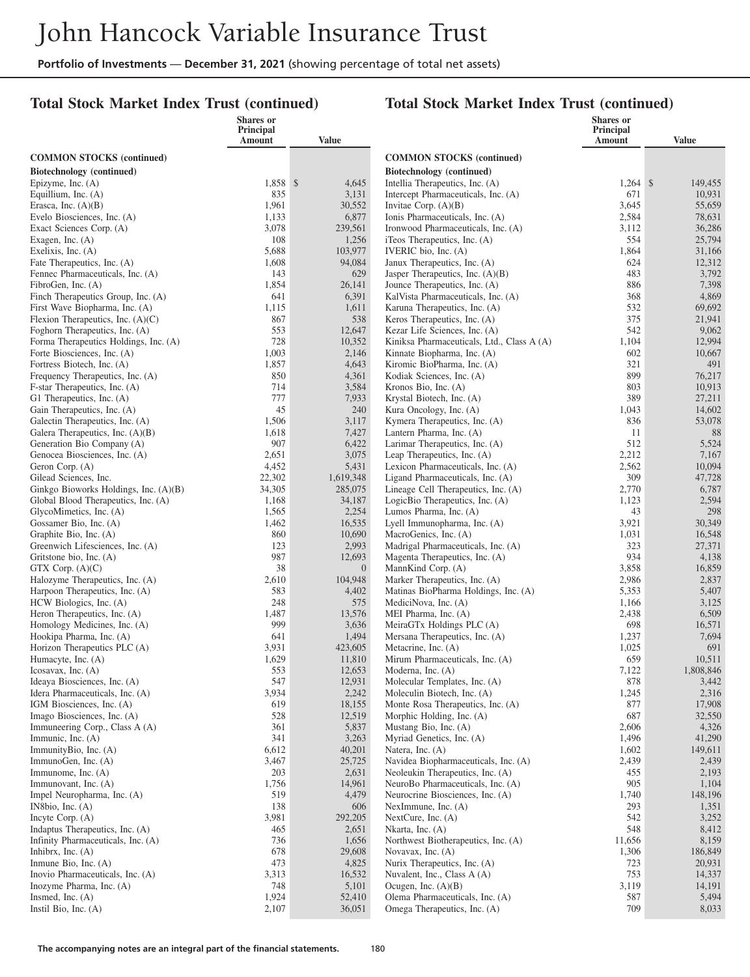#### **Total Stock Market Index Trust (continued)**

|                                                                       | Shares or<br><b>Principal</b> |                   |                                                                        | <b>Shares</b> or<br>Principal |                 |
|-----------------------------------------------------------------------|-------------------------------|-------------------|------------------------------------------------------------------------|-------------------------------|-----------------|
|                                                                       | Amount                        | Value             |                                                                        | Amount                        | <b>Value</b>    |
| <b>COMMON STOCKS</b> (continued)                                      |                               |                   | <b>COMMON STOCKS</b> (continued)                                       |                               |                 |
| Biotechnology (continued)                                             |                               |                   | Biotechnology (continued)                                              |                               |                 |
| Epizyme, Inc. (A)                                                     | 1,858 \$                      | 4,645             | Intellia Therapeutics, Inc. (A)                                        | $1,264$ \$                    | 149,455         |
| Equillium, Inc. (A)                                                   | 835                           | 3,131             | Intercept Pharmaceuticals, Inc. (A)                                    | 671                           | 10,931          |
| Erasca, Inc. (A)(B)                                                   | 1,961                         | 30,552            | Invitae Corp. $(A)(B)$                                                 | 3,645                         | 55,659          |
| Evelo Biosciences, Inc. (A)                                           | 1,133                         | 6,877             | Ionis Pharmaceuticals, Inc. (A)                                        | 2,584                         | 78,631          |
| Exact Sciences Corp. (A)                                              | 3,078                         | 239,561           | Ironwood Pharmaceuticals, Inc. (A)                                     | 3,112                         | 36,286          |
| Exagen, Inc. (A)                                                      | 108                           | 1,256             | iTeos Therapeutics, Inc. (A)                                           | 554                           | 25,794          |
| Exelixis, Inc. $(A)$                                                  | 5,688                         | 103,977           | IVERIC bio, Inc. (A)                                                   | 1,864                         | 31,166          |
| Fate Therapeutics, Inc. (A)                                           | 1,608                         | 94,084            | Janux Therapeutics, Inc. (A)                                           | 624                           | 12,312          |
| Fennec Pharmaceuticals, Inc. (A)                                      | 143                           | 629               | Jasper Therapeutics, Inc. $(A)(B)$                                     | 483                           | 3,792           |
| FibroGen, Inc. (A)                                                    | 1,854                         | 26,141            | Jounce Therapeutics, Inc. (A)                                          | 886                           | 7,398           |
| Finch Therapeutics Group, Inc. (A)                                    | 641                           | 6,391             | KalVista Pharmaceuticals, Inc. (A)                                     | 368                           | 4,869           |
| First Wave Biopharma, Inc. (A)                                        | 1,115                         | 1,611             | Karuna Therapeutics, Inc. (A)                                          | 532<br>375                    | 69,692          |
| Flexion Therapeutics, Inc. $(A)(C)$<br>Foghorn Therapeutics, Inc. (A) | 867<br>553                    | 538<br>12,647     | Keros Therapeutics, Inc. (A)<br>Kezar Life Sciences, Inc. (A)          | 542                           | 21,941<br>9,062 |
| Forma Therapeutics Holdings, Inc. (A)                                 | 728                           | 10,352            | Kiniksa Pharmaceuticals, Ltd., Class A (A)                             | 1,104                         | 12,994          |
| Forte Biosciences, Inc. (A)                                           | 1,003                         | 2,146             | Kinnate Biopharma, Inc. (A)                                            | 602                           | 10,667          |
| Fortress Biotech, Inc. (A)                                            | 1,857                         | 4,643             | Kiromic BioPharma, Inc. (A)                                            | 321                           | 491             |
| Frequency Therapeutics, Inc. (A)                                      | 850                           | 4,361             | Kodiak Sciences, Inc. (A)                                              | 899                           | 76,217          |
| F-star Therapeutics, Inc. (A)                                         | 714                           | 3,584             | Kronos Bio, Inc. (A)                                                   | 803                           | 10,913          |
| G1 Therapeutics, Inc. (A)                                             | 777                           | 7,933             | Krystal Biotech, Inc. (A)                                              | 389                           | 27,211          |
| Gain Therapeutics, Inc. (A)                                           | 45                            | 240               | Kura Oncology, Inc. (A)                                                | 1,043                         | 14,602          |
| Galectin Therapeutics, Inc. (A)                                       | 1,506                         | 3,117             | Kymera Therapeutics, Inc. (A)                                          | 836                           | 53,078          |
| Galera Therapeutics, Inc. (A)(B)                                      | 1,618                         | 7,427             | Lantern Pharma, Inc. (A)                                               | 11                            | 88              |
| Generation Bio Company (A)                                            | 907                           | 6,422             | Larimar Therapeutics, Inc. (A)                                         | 512                           | 5,524           |
| Genocea Biosciences, Inc. (A)                                         | 2,651                         | 3,075             | Leap Therapeutics, Inc. (A)                                            | 2,212                         | 7,167           |
| Geron Corp. (A)                                                       | 4,452                         | 5,431             | Lexicon Pharmaceuticals, Inc. (A)                                      | 2,562                         | 10,094          |
| Gilead Sciences, Inc.                                                 | 22,302                        | 1,619,348         | Ligand Pharmaceuticals, Inc. (A)                                       | 309                           | 47,728          |
| Ginkgo Bioworks Holdings, Inc. (A)(B)                                 | 34,305<br>1,168               | 285,075<br>34,187 | Lineage Cell Therapeutics, Inc. (A)<br>LogicBio Therapeutics, Inc. (A) | 2,770<br>1,123                | 6,787<br>2,594  |
| Global Blood Therapeutics, Inc. (A)<br>GlycoMimetics, Inc. (A)        | 1,565                         | 2,254             | Lumos Pharma, Inc. (A)                                                 | 43                            | 298             |
| Gossamer Bio, Inc. (A)                                                | 1,462                         | 16,535            | Lyell Immunopharma, Inc. (A)                                           | 3,921                         | 30,349          |
| Graphite Bio, Inc. (A)                                                | 860                           | 10,690            | MacroGenics, Inc. (A)                                                  | 1,031                         | 16,548          |
| Greenwich Lifesciences, Inc. (A)                                      | 123                           | 2,993             | Madrigal Pharmaceuticals, Inc. (A)                                     | 323                           | 27,371          |
| Gritstone bio, Inc. (A)                                               | 987                           | 12,693            | Magenta Therapeutics, Inc. (A)                                         | 934                           | 4,138           |
| GTX Corp. $(A)(C)$                                                    | 38                            | $\overline{0}$    | MannKind Corp. (A)                                                     | 3,858                         | 16,859          |
| Halozyme Therapeutics, Inc. (A)                                       | 2,610                         | 104,948           | Marker Therapeutics, Inc. (A)                                          | 2,986                         | 2,837           |
| Harpoon Therapeutics, Inc. (A)                                        | 583                           | 4,402             | Matinas BioPharma Holdings, Inc. (A)                                   | 5,353                         | 5,407           |
| HCW Biologics, Inc. (A)                                               | 248                           | 575               | MediciNova, Inc. (A)                                                   | 1,166                         | 3,125           |
| Heron Therapeutics, Inc. (A)                                          | 1,487                         | 13,576            | MEI Pharma, Inc. (A)                                                   | 2,438                         | 6,509           |
| Homology Medicines, Inc. (A)                                          | 999                           | 3,636             | MeiraGTx Holdings PLC (A)                                              | 698                           | 16,571          |
| Hookipa Pharma, Inc. (A)                                              | 641                           | 1,494             | Mersana Therapeutics, Inc. (A)                                         | 1,237                         | 7,694           |
| Horizon Therapeutics PLC (A)<br>Humacyte, Inc. (A)                    | 3,931<br>1,629                | 423,605<br>11,810 | Metacrine, Inc. (A)<br>Mirum Pharmaceuticals, Inc. (A)                 | 1,025<br>659                  | 691<br>10,511   |
| Icosavax, Inc. $(A)$                                                  | 553                           | 12,653            | Moderna, Inc. (A)                                                      | 7,122                         | 1,808,846       |
| Ideaya Biosciences, Inc. (A)                                          | 547                           | 12,931            | Molecular Templates, Inc. (A)                                          | 878                           | 3,442           |
| Idera Pharmaceuticals, Inc. (A)                                       | 3,934                         | 2,242             | Moleculin Biotech, Inc. (A)                                            | 1,245                         | 2,316           |
| IGM Biosciences, Inc. (A)                                             | 619                           | 18,155            | Monte Rosa Therapeutics, Inc. (A)                                      | 877                           | 17,908          |
| Imago Biosciences, Inc. (A)                                           | 528                           | 12,519            | Morphic Holding, Inc. (A)                                              | 687                           | 32,550          |
| Immuneering Corp., Class A (A)                                        | 361                           | 5,837             | Mustang Bio, Inc. (A)                                                  | 2,606                         | 4,326           |
| Immunic, Inc. $(A)$                                                   | 341                           | 3,263             | Myriad Genetics, Inc. (A)                                              | 1,496                         | 41,290          |
| ImmunityBio, Inc. (A)                                                 | 6,612                         | 40,201            | Natera, Inc. (A)                                                       | 1,602                         | 149,611         |
| ImmunoGen, Inc. (A)                                                   | 3,467                         | 25,725            | Navidea Biopharmaceuticals, Inc. (A)                                   | 2,439                         | 2,439           |
| Immunome, Inc. $(A)$                                                  | 203                           | 2,631             | Neoleukin Therapeutics, Inc. (A)                                       | 455                           | 2,193           |
| Immunovant, Inc. (A)                                                  | 1,756                         | 14,961            | NeuroBo Pharmaceuticals, Inc. (A)                                      | 905                           | 1,104           |
| Impel Neuropharma, Inc. (A)                                           | 519<br>138                    | 4,479             | Neurocrine Biosciences, Inc. (A)                                       | 1,740<br>293                  | 148,196         |
| IN8bio, Inc. $(A)$<br>Incyte Corp. (A)                                | 3,981                         | 606<br>292,205    | NexImmune, Inc. $(A)$<br>NextCure, Inc. $(A)$                          | 542                           | 1,351<br>3,252  |
| Indaptus Therapeutics, Inc. (A)                                       | 465                           | 2,651             | Nkarta, Inc. $(A)$                                                     | 548                           | 8,412           |
| Infinity Pharmaceuticals, Inc. (A)                                    | 736                           | 1,656             | Northwest Biotherapeutics, Inc. (A)                                    | 11,656                        | 8,159           |
| Inhibrx, Inc. $(A)$                                                   | 678                           | 29,608            | Novavax, Inc. (A)                                                      | 1,306                         | 186,849         |
| Inmune Bio, Inc. $(A)$                                                | 473                           | 4,825             | Nurix Therapeutics, Inc. (A)                                           | 723                           | 20,931          |
| Inovio Pharmaceuticals, Inc. (A)                                      | 3,313                         | 16,532            | Nuvalent, Inc., Class A (A)                                            | 753                           | 14,337          |
| Inozyme Pharma, Inc. (A)                                              | 748                           | 5,101             | Ocugen, Inc. $(A)(B)$                                                  | 3,119                         | 14,191          |
| Insmed, Inc. $(A)$                                                    | 1,924                         | 52,410            | Olema Pharmaceuticals, Inc. (A)                                        | 587                           | 5,494           |
| Instil Bio, Inc. $(A)$                                                | 2,107                         | 36,051            | Omega Therapeutics, Inc. (A)                                           | 709                           | 8,033           |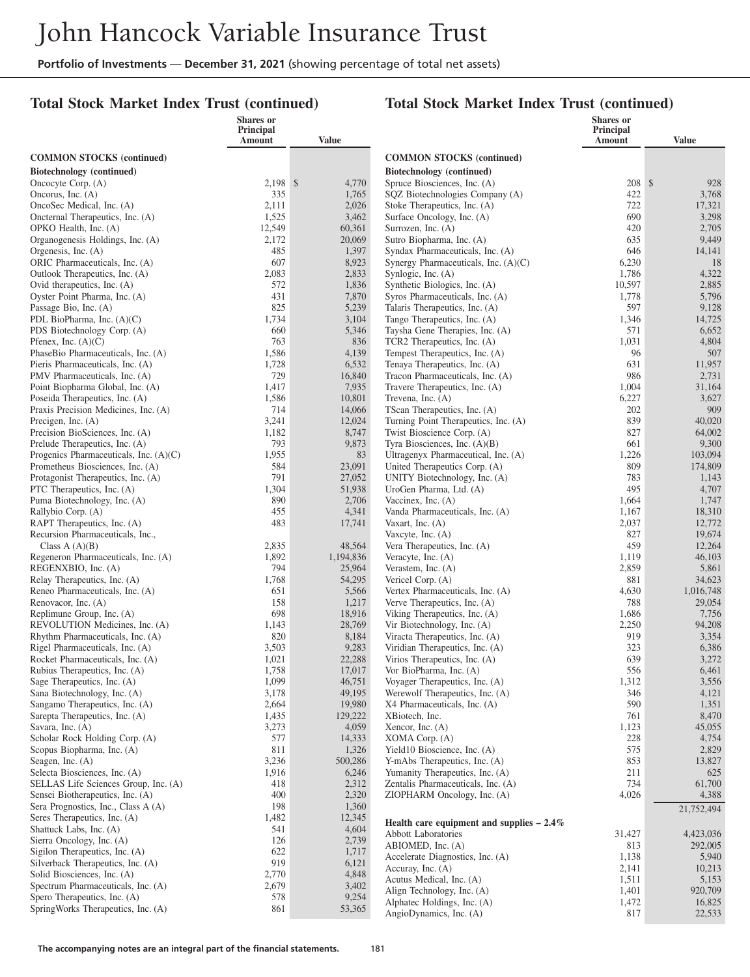# **Total Stock Market Index Trust (continued)**

|                                                                        | Shares or<br><b>Principal</b> |                  |                                                                  | <b>Shares</b> or<br><b>Principal</b> |                     |
|------------------------------------------------------------------------|-------------------------------|------------------|------------------------------------------------------------------|--------------------------------------|---------------------|
|                                                                        | Amount                        | Value            |                                                                  | Amount                               | <b>Value</b>        |
| <b>COMMON STOCKS</b> (continued)                                       |                               |                  | <b>COMMON STOCKS (continued)</b>                                 |                                      |                     |
| Biotechnology (continued)                                              |                               |                  | Biotechnology (continued)                                        |                                      |                     |
| Oncocyte Corp. (A)                                                     | $2,198$ \$                    | 4,770            | Spruce Biosciences, Inc. (A)                                     | 208S                                 | 928                 |
| Oncorus, Inc. (A)                                                      | 335                           | 1,765            | SQZ Biotechnologies Company (A)                                  | 422                                  | 3,768               |
| OncoSec Medical, Inc. (A)                                              | 2,111                         | 2,026            | Stoke Therapeutics, Inc. (A)                                     | 722                                  | 17,321              |
| Oncternal Therapeutics, Inc. (A)                                       | 1,525                         | 3,462            | Surface Oncology, Inc. (A)                                       | 690                                  | 3,298               |
| OPKO Health, Inc. (A)<br>Organogenesis Holdings, Inc. (A)              | 12,549<br>2,172               | 60,361<br>20,069 | Surrozen, Inc. (A)<br>Sutro Biopharma, Inc. (A)                  | 420<br>635                           | 2,705<br>9,449      |
| Orgenesis, Inc. (A)                                                    | 485                           | 1,397            | Syndax Pharmaceuticals, Inc. (A)                                 | 646                                  | 14,141              |
| ORIC Pharmaceuticals, Inc. (A)                                         | 607                           | 8,923            | Synergy Pharmaceuticals, Inc. (A)(C)                             | 6,230                                | 18                  |
| Outlook Therapeutics, Inc. (A)                                         | 2,083                         | 2,833            | Synlogic, Inc. (A)                                               | 1,786                                | 4,322               |
| Ovid therapeutics, Inc. (A)                                            | 572                           | 1,836            | Synthetic Biologics, Inc. (A)                                    | 10,597                               | 2,885               |
| Oyster Point Pharma, Inc. (A)                                          | 431                           | 7,870            | Syros Pharmaceuticals, Inc. (A)                                  | 1,778                                | 5,796               |
| Passage Bio, Inc. (A)                                                  | 825                           | 5,239            | Talaris Therapeutics, Inc. (A)                                   | 597                                  | 9,128               |
| PDL BioPharma, Inc. $(A)(C)$                                           | 1,734                         | 3,104            | Tango Therapeutics, Inc. (A)                                     | 1,346                                | 14,725              |
| PDS Biotechnology Corp. (A)                                            | 660                           | 5,346            | Taysha Gene Therapies, Inc. (A)                                  | 571                                  | 6,652               |
| Pfenex, Inc. $(A)(C)$                                                  | 763                           | 836              | TCR2 Therapeutics, Inc. (A)                                      | 1,031                                | 4,804               |
| PhaseBio Pharmaceuticals, Inc. (A)<br>Pieris Pharmaceuticals, Inc. (A) | 1,586<br>1,728                | 4,139<br>6,532   | Tempest Therapeutics, Inc. (A)<br>Tenaya Therapeutics, Inc. (A)  | 96<br>631                            | 507<br>11,957       |
| PMV Pharmaceuticals, Inc. (A)                                          | 729                           | 16,840           | Tracon Pharmaceuticals, Inc. (A)                                 | 986                                  | 2,731               |
| Point Biopharma Global, Inc. (A)                                       | 1,417                         | 7,935            | Travere Therapeutics, Inc. (A)                                   | 1,004                                | 31,164              |
| Poseida Therapeutics, Inc. (A)                                         | 1,586                         | 10,801           | Trevena, Inc. (A)                                                | 6,227                                | 3,627               |
| Praxis Precision Medicines, Inc. (A)                                   | 714                           | 14,066           | TScan Therapeutics, Inc. (A)                                     | 202                                  | 909                 |
| Precigen, Inc. $(A)$                                                   | 3,241                         | 12,024           | Turning Point Therapeutics, Inc. (A)                             | 839                                  | 40,020              |
| Precision BioSciences, Inc. (A)                                        | 1,182                         | 8,747            | Twist Bioscience Corp. (A)                                       | 827                                  | 64,002              |
| Prelude Therapeutics, Inc. (A)                                         | 793                           | 9,873            | Tyra Biosciences, Inc. $(A)(B)$                                  | 661                                  | 9,300               |
| Progenics Pharmaceuticals, Inc. (A)(C)                                 | 1,955                         | 83               | Ultragenyx Pharmaceutical, Inc. (A)                              | 1,226                                | 103,094             |
| Prometheus Biosciences, Inc. (A)<br>Protagonist Therapeutics, Inc. (A) | 584<br>791                    | 23,091<br>27,052 | United Therapeutics Corp. (A)<br>UNITY Biotechnology, Inc. (A)   | 809<br>783                           | 174,809<br>1,143    |
| PTC Therapeutics, Inc. (A)                                             | 1,304                         | 51,938           | UroGen Pharma, Ltd. (A)                                          | 495                                  | 4,707               |
| Puma Biotechnology, Inc. (A)                                           | 890                           | 2,706            | Vaccinex, Inc. (A)                                               | 1,664                                | 1,747               |
| Rallybio Corp. (A)                                                     | 455                           | 4,341            | Vanda Pharmaceuticals, Inc. (A)                                  | 1,167                                | 18,310              |
| RAPT Therapeutics, Inc. (A)                                            | 483                           | 17,741           | Vaxart, Inc. $(A)$                                               | 2,037                                | 12,772              |
| Recursion Pharmaceuticals, Inc.,                                       |                               |                  | Vaxcyte, Inc. $(A)$                                              | 827                                  | 19,674              |
| Class $A(A)(B)$                                                        | 2,835                         | 48,564           | Vera Therapeutics, Inc. (A)                                      | 459                                  | 12,264              |
| Regeneron Pharmaceuticals, Inc. (A)                                    | 1,892                         | 1,194,836        | Veracyte, Inc. (A)                                               | 1,119                                | 46,103              |
| REGENXBIO, Inc. (A)                                                    | 794                           | 25,964           | Verastem, Inc. $(A)$                                             | 2,859                                | 5,861               |
| Relay Therapeutics, Inc. (A)                                           | 1,768<br>651                  | 54,295           | Vericel Corp. (A)                                                | 881                                  | 34,623              |
| Reneo Pharmaceuticals, Inc. (A)<br>Renovacor, Inc. (A)                 | 158                           | 5,566<br>1,217   | Vertex Pharmaceuticals, Inc. (A)<br>Verve Therapeutics, Inc. (A) | 4,630<br>788                         | 1,016,748<br>29,054 |
| Replimune Group, Inc. (A)                                              | 698                           | 18,916           | Viking Therapeutics, Inc. (A)                                    | 1,686                                | 7,756               |
| REVOLUTION Medicines, Inc. (A)                                         | 1,143                         | 28,769           | Vir Biotechnology, Inc. (A)                                      | 2,250                                | 94,208              |
| Rhythm Pharmaceuticals, Inc. (A)                                       | 820                           | 8,184            | Viracta Therapeutics, Inc. (A)                                   | 919                                  | 3,354               |
| Rigel Pharmaceuticals, Inc. (A)                                        | 3,503                         | 9,283            | Viridian Therapeutics, Inc. (A)                                  | 323                                  | 6,386               |
| Rocket Pharmaceuticals, Inc. (A)                                       | 1,021                         | 22,288           | Virios Therapeutics, Inc. (A)                                    | 639                                  | 3,272               |
| Rubius Therapeutics, Inc. (A)                                          | 1,758                         | 17,017           | Vor BioPharma, Inc. (A)                                          | 556                                  | 6,461               |
| Sage Therapeutics, Inc. (A)                                            | 1,099                         | 46,751           | Voyager Therapeutics, Inc. (A)                                   | 1,312                                | 3,556               |
| Sana Biotechnology, Inc. (A)<br>Sangamo Therapeutics, Inc. (A)         | 3,178<br>2,664                | 49,195<br>19,980 | Werewolf Therapeutics, Inc. (A)<br>X4 Pharmaceuticals, Inc. (A)  | 346<br>590                           | 4,121<br>1,351      |
| Sarepta Therapeutics, Inc. (A)                                         | 1,435                         | 129,222          | XBiotech, Inc.                                                   | 761                                  | 8,470               |
| Savara, Inc. (A)                                                       | 3,273                         | 4,059            | Xencor, Inc. $(A)$                                               | 1,123                                | 45,055              |
| Scholar Rock Holding Corp. (A)                                         | 577                           | 14,333           | XOMA Corp. (A)                                                   | 228                                  | 4,754               |
| Scopus Biopharma, Inc. (A)                                             | 811                           | 1,326            | Yield10 Bioscience, Inc. (A)                                     | 575                                  | 2,829               |
| Seagen, Inc. $(A)$                                                     | 3,236                         | 500,286          | Y-mAbs Therapeutics, Inc. (A)                                    | 853                                  | 13,827              |
| Selecta Biosciences, Inc. (A)                                          | 1,916                         | 6,246            | Yumanity Therapeutics, Inc. (A)                                  | 211                                  | 625                 |
| SELLAS Life Sciences Group, Inc. (A)                                   | 418                           | 2,312            | Zentalis Pharmaceuticals, Inc. (A)                               | 734                                  | 61,700              |
| Sensei Biotherapeutics, Inc. (A)                                       | 400                           | 2,320            | ZIOPHARM Oncology, Inc. (A)                                      | 4,026                                | 4,388               |
| Sera Prognostics, Inc., Class A (A)                                    | 198                           | 1,360            |                                                                  |                                      | 21,752,494          |
| Seres Therapeutics, Inc. (A)<br>Shattuck Labs, Inc. (A)                | 1,482<br>541                  | 12,345<br>4,604  | Health care equipment and supplies $-2.4\%$                      |                                      |                     |
| Sierra Oncology, Inc. (A)                                              | 126                           | 2,739            | Abbott Laboratories                                              | 31,427                               | 4,423,036           |
| Sigilon Therapeutics, Inc. (A)                                         | 622                           | 1,717            | ABIOMED, Inc. (A)                                                | 813                                  | 292,005             |
| Silverback Therapeutics, Inc. (A)                                      | 919                           | 6,121            | Accelerate Diagnostics, Inc. (A)                                 | 1,138                                | 5,940               |
| Solid Biosciences, Inc. (A)                                            | 2,770                         | 4,848            | Accuray, Inc. $(A)$<br>Acutus Medical, Inc. (A)                  | 2,141<br>1,511                       | 10,213<br>5,153     |
| Spectrum Pharmaceuticals, Inc. (A)                                     | 2,679                         | 3,402            | Align Technology, Inc. (A)                                       | 1,401                                | 920,709             |
| Spero Therapeutics, Inc. (A)                                           | 578                           | 9,254            | Alphatec Holdings, Inc. (A)                                      | 1,472                                | 16,825              |
| Spring Works Therapeutics, Inc. (A)                                    | 861                           | 53,365           | AngioDynamics, Inc. (A)                                          | 817                                  | 22,533              |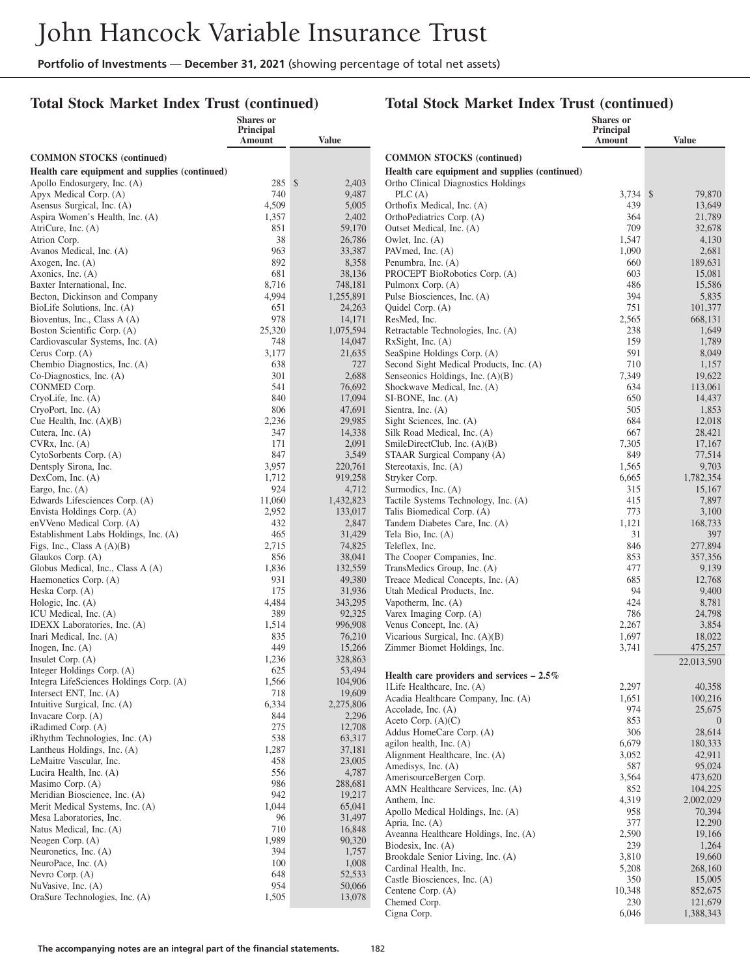#### **Total Stock Market Index Trust (continued)**

|                                                                    | Shares or<br>Principal |                      |                                                                  | Shares or<br>Principal |                   |
|--------------------------------------------------------------------|------------------------|----------------------|------------------------------------------------------------------|------------------------|-------------------|
|                                                                    | Amount                 | <b>Value</b>         |                                                                  | Amount                 | Value             |
| <b>COMMON STOCKS</b> (continued)                                   |                        |                      | <b>COMMON STOCKS</b> (continued)                                 |                        |                   |
| Health care equipment and supplies (continued)                     |                        |                      | Health care equipment and supplies (continued)                   |                        |                   |
| Apollo Endosurgery, Inc. (A)                                       | 285S                   | 2,403                | Ortho Clinical Diagnostics Holdings                              |                        |                   |
| Apyx Medical Corp. (A)                                             | 740                    | 9,487                | PLC(A)                                                           | 3,734 \$               | 79,870            |
| Asensus Surgical, Inc. (A)                                         | 4,509                  |                      | 5,005<br>Orthofix Medical, Inc. (A)                              | 439                    | 13,649            |
| Aspira Women's Health, Inc. (A)                                    | 1,357                  | 2,402                | OrthoPediatrics Corp. (A)                                        | 364                    | 21,789            |
| AtriCure, Inc. (A)                                                 | 851                    | 59,170               | Outset Medical, Inc. (A)                                         | 709                    | 32,678            |
| Atrion Corp.                                                       | 38                     | 26,786               | Owlet, Inc. (A)                                                  | 1,547                  | 4,130             |
| Avanos Medical, Inc. (A)                                           | 963                    | 33,387               | PAV med, Inc. (A)                                                | 1,090                  | 2,681             |
| Axogen, Inc. $(A)$                                                 | 892                    | 8,358                | Penumbra, Inc. (A)                                               | 660                    | 189,631           |
| Axonics, Inc. (A)                                                  | 681                    | 38,136               | PROCEPT BioRobotics Corp. (A)                                    | 603                    | 15,081            |
| Baxter International, Inc.<br>Becton, Dickinson and Company        | 8,716<br>4,994         | 748,181<br>1,255,891 | Pulmonx Corp. (A)<br>Pulse Biosciences, Inc. (A)                 | 486<br>394             | 15,586<br>5,835   |
| BioLife Solutions, Inc. (A)                                        | 651                    | 24,263               | Quidel Corp. (A)                                                 | 751                    | 101,377           |
| Bioventus, Inc., Class A (A)                                       | 978                    | 14,171               | ResMed, Inc.                                                     | 2,565                  | 668,131           |
| Boston Scientific Corp. (A)                                        | 25,320                 | 1,075,594            | Retractable Technologies, Inc. (A)                               | 238                    | 1,649             |
| Cardiovascular Systems, Inc. (A)                                   | 748                    | 14,047               | RxSight, Inc. (A)                                                | 159                    | 1,789             |
| Cerus Corp. (A)                                                    | 3,177                  | 21,635               | SeaSpine Holdings Corp. (A)                                      | 591                    | 8,049             |
| Chembio Diagnostics, Inc. (A)                                      | 638                    |                      | 727<br>Second Sight Medical Products, Inc. (A)                   | 710                    | 1,157             |
| Co-Diagnostics, Inc. (A)                                           | 301                    | 2,688                | Senseonics Holdings, Inc. (A)(B)                                 | 7,349                  | 19,622            |
| CONMED Corp.                                                       | 541                    | 76,692               | Shockwave Medical, Inc. (A)                                      | 634                    | 113,061           |
| CryoLife, Inc. (A)                                                 | 840                    | 17,094               | SI-BONE, Inc. (A)                                                | 650                    | 14,437            |
| CryoPort, Inc. (A)                                                 | 806                    | 47,691               | Sientra, Inc. (A)                                                | 505                    | 1,853             |
| Cue Health, Inc. $(A)(B)$                                          | 2,236                  | 29,985               | Sight Sciences, Inc. (A)                                         | 684                    | 12,018            |
| Cutera, Inc. (A)                                                   | 347<br>171             | 14,338<br>2,091      | Silk Road Medical, Inc. (A)<br>SmileDirectClub, Inc. $(A)(B)$    | 667                    | 28,421            |
| CVRx, Inc. (A)<br>CytoSorbents Corp. (A)                           | 847                    | 3,549                | STAAR Surgical Company (A)                                       | 7,305<br>849           | 17,167<br>77,514  |
| Dentsply Sirona, Inc.                                              | 3,957                  | 220,761              | Stereotaxis, Inc. (A)                                            | 1,565                  | 9,703             |
| DexCom, Inc. (A)                                                   | 1,712                  | 919,258              | Stryker Corp.                                                    | 6,665                  | 1,782,354         |
| Eargo, Inc. $(A)$                                                  | 924                    |                      | 4,712<br>Surmodics, Inc. (A)                                     | 315                    | 15,167            |
| Edwards Lifesciences Corp. (A)                                     | 11,060                 | 1,432,823            | Tactile Systems Technology, Inc. (A)                             | 415                    | 7,897             |
| Envista Holdings Corp. (A)                                         | 2,952                  | 133,017              | Talis Biomedical Corp. (A)                                       | 773                    | 3,100             |
| enVVeno Medical Corp. (A)                                          | 432                    | 2,847                | Tandem Diabetes Care, Inc. (A)                                   | 1,121                  | 168,733           |
| Establishment Labs Holdings, Inc. (A)                              | 465                    | 31,429               | Tela Bio, Inc. (A)                                               | 31                     | 397               |
| Figs, Inc., Class $A(A)(B)$                                        | 2,715                  | 74,825               | Teleflex, Inc.                                                   | 846                    | 277,894           |
| Glaukos Corp. (A)                                                  | 856                    | 38,041               | The Cooper Companies, Inc.                                       | 853                    | 357,356           |
| Globus Medical, Inc., Class A (A)<br>Haemonetics Corp. (A)         | 1,836<br>931           | 132,559<br>49,380    | TransMedics Group, Inc. (A)<br>Treace Medical Concepts, Inc. (A) | 477<br>685             | 9,139<br>12,768   |
| Heska Corp. (A)                                                    | 175                    | 31,936               | Utah Medical Products, Inc.                                      | 94                     | 9,400             |
| Hologic, Inc. (A)                                                  | 4,484                  | 343,295              | Vapotherm, Inc. (A)                                              | 424                    | 8,781             |
| ICU Medical, Inc. (A)                                              | 389                    | 92,325               | Varex Imaging Corp. (A)                                          | 786                    | 24,798            |
| IDEXX Laboratories, Inc. (A)                                       | 1,514                  | 996,908              | Venus Concept, Inc. (A)                                          | 2,267                  | 3,854             |
| Inari Medical, Inc. (A)                                            | 835                    | 76,210               | Vicarious Surgical, Inc. (A)(B)                                  | 1,697                  | 18,022            |
| Inogen, Inc. $(A)$                                                 | 449                    | 15,266               | Zimmer Biomet Holdings, Inc.                                     | 3,741                  | 475,257           |
| Insulet Corp. $(A)$                                                | 1,236                  | 328,863              |                                                                  |                        | 22,013,590        |
| Integer Holdings Corp. (A)                                         | 625                    | 53,494               | Health care providers and services $-2.5\%$                      |                        |                   |
| Integra LifeSciences Holdings Corp. (A)<br>Intersect ENT, Inc. (A) | 1,566<br>718           | 104,906<br>19,609    | 1Life Healthcare, Inc. (A)                                       | 2,297                  | 40,358            |
| Intuitive Surgical, Inc. (A)                                       | 6,334                  | 2,275,806            | Acadia Healthcare Company, Inc. (A)                              | 1,651                  | 100,216           |
| Invacare Corp. (A)                                                 | 844                    |                      | Accolade, Inc. (A)<br>2,296                                      | 974                    | 25,675            |
| iRadimed Corp. (A)                                                 | 275                    | 12,708               | Aceto Corp. $(A)(C)$                                             | 853                    | $\overline{0}$    |
| iRhythm Technologies, Inc. (A)                                     | 538                    | 63,317               | Addus HomeCare Corp. (A)                                         | 306                    | 28,614            |
| Lantheus Holdings, Inc. (A)                                        | 1,287                  | 37,181               | agilon health, Inc. $(A)$<br>Alignment Healthcare, Inc. (A)      | 6,679<br>3,052         | 180,333<br>42,911 |
| LeMaitre Vascular, Inc.                                            | 458                    | 23,005               | Amedisys, Inc. (A)                                               | 587                    | 95,024            |
| Lucira Health, Inc. (A)                                            | 556                    | 4,787                | AmerisourceBergen Corp.                                          | 3,564                  | 473,620           |
| Masimo Corp. (A)                                                   | 986                    | 288,681              | AMN Healthcare Services, Inc. (A)                                | 852                    | 104,225           |
| Meridian Bioscience, Inc. (A)                                      | 942                    | 19,217               | Anthem, Inc.                                                     | 4,319                  | 2,002,029         |
| Merit Medical Systems, Inc. (A)<br>Mesa Laboratories, Inc.         | 1,044<br>96            | 65,041<br>31,497     | Apollo Medical Holdings, Inc. (A)                                | 958                    | 70,394            |
| Natus Medical, Inc. (A)                                            | 710                    | 16,848               | Apria, Inc. (A)                                                  | 377                    | 12,290            |
| Neogen Corp. $(A)$                                                 | 1,989                  | 90,320               | Aveanna Healthcare Holdings, Inc. (A)                            | 2,590                  | 19,166            |
| Neuronetics, Inc. (A)                                              | 394                    | 1,757                | Biodesix, Inc. (A)                                               | 239                    | 1,264             |
| NeuroPace, Inc. (A)                                                | 100                    | 1,008                | Brookdale Senior Living, Inc. (A)                                | 3,810<br>5,208         | 19,660<br>268,160 |
| Nevro Corp. (A)                                                    | 648                    | 52,533               | Cardinal Health, Inc.<br>Castle Biosciences, Inc. (A)            | 350                    | 15,005            |
| NuVasive, Inc. (A)                                                 | 954                    | 50,066               | Centene Corp. (A)                                                | 10,348                 | 852,675           |
| OraSure Technologies, Inc. (A)                                     | 1,505                  | 13,078               | Chemed Corp.                                                     | 230                    | 121,679           |
|                                                                    |                        |                      | Cigna Corp.                                                      | 6,046                  | 1,388,343         |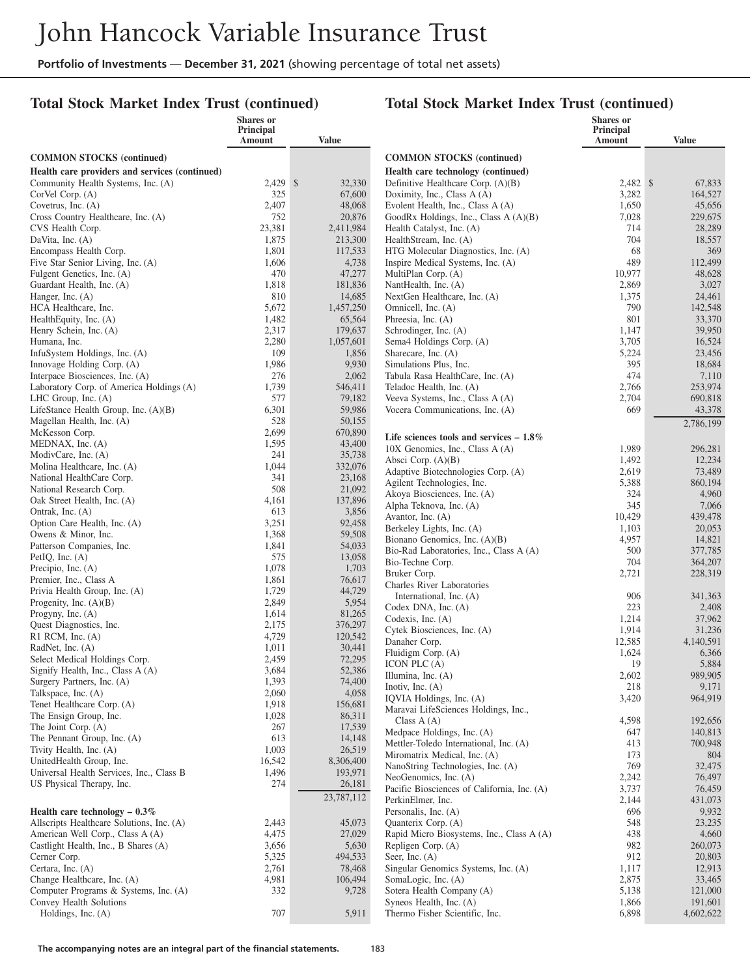#### **Total Stock Market Index Trust (continued)**

|                                                      | <b>Shares or</b><br>Principal |                      |                                                                   | Shares or<br>Principal |                    |
|------------------------------------------------------|-------------------------------|----------------------|-------------------------------------------------------------------|------------------------|--------------------|
|                                                      | Amount                        | Value                |                                                                   | <b>Amount</b>          | <b>Value</b>       |
| <b>COMMON STOCKS</b> (continued)                     |                               |                      | <b>COMMON STOCKS</b> (continued)                                  |                        |                    |
| Health care providers and services (continued)       |                               |                      | Health care technology (continued)                                |                        |                    |
| Community Health Systems, Inc. (A)                   | 2,429 \$                      | 32,330               | Definitive Healthcare Corp. (A)(B)                                | 2,482 \$               | 67,833             |
| CorVel Corp. (A)                                     | 325                           | 67,600               | Doximity, Inc., Class A (A)                                       | 3,282                  | 164,527            |
| Covetrus, Inc. $(A)$                                 | 2,407                         | 48,068               | Evolent Health, Inc., Class A (A)                                 | 1,650                  | 45,656             |
| Cross Country Healthcare, Inc. (A)                   | 752                           | 20,876               | GoodRx Holdings, Inc., Class A (A)(B)                             | 7,028                  | 229,675            |
| CVS Health Corp.<br>DaVita, Inc. (A)                 | 23,381<br>1,875               | 2,411,984<br>213,300 | Health Catalyst, Inc. (A)<br>HealthStream, Inc. (A)               | 714<br>704             | 28,289<br>18,557   |
| Encompass Health Corp.                               | 1,801                         | 117,533              | HTG Molecular Diagnostics, Inc. (A)                               | 68                     | 369                |
| Five Star Senior Living, Inc. (A)                    | 1,606                         | 4,738                | Inspire Medical Systems, Inc. (A)                                 | 489                    | 112,499            |
| Fulgent Genetics, Inc. (A)                           | 470                           | 47,277               | MultiPlan Corp. (A)                                               | 10,977                 | 48,628             |
| Guardant Health, Inc. (A)                            | 1,818                         | 181,836              | NantHealth, Inc. (A)                                              | 2,869                  | 3,027              |
| Hanger, Inc. (A)                                     | 810                           | 14,685               | NextGen Healthcare, Inc. (A)                                      | 1,375                  | 24,461             |
| HCA Healthcare, Inc.                                 | 5,672                         | 1,457,250            | Omnicell, Inc. (A)                                                | 790                    | 142,548            |
| HealthEquity, Inc. (A)                               | 1,482<br>2,317                | 65,564<br>179,637    | Phreesia, Inc. (A)                                                | 801                    | 33,370             |
| Henry Schein, Inc. (A)<br>Humana, Inc.               | 2,280                         | 1,057,601            | Schrodinger, Inc. (A)<br>Sema4 Holdings Corp. (A)                 | 1,147<br>3,705         | 39,950<br>16,524   |
| InfuSystem Holdings, Inc. (A)                        | 109                           | 1,856                | Sharecare, Inc. (A)                                               | 5,224                  | 23,456             |
| Innovage Holding Corp. (A)                           | 1,986                         | 9,930                | Simulations Plus, Inc.                                            | 395                    | 18,684             |
| Interpace Biosciences, Inc. (A)                      | 276                           | 2,062                | Tabula Rasa HealthCare, Inc. (A)                                  | 474                    | 7,110              |
| Laboratory Corp. of America Holdings (A)             | 1,739                         | 546,411              | Teladoc Health, Inc. (A)                                          | 2,766                  | 253,974            |
| LHC Group, Inc. (A)                                  | 577                           | 79,182               | Veeva Systems, Inc., Class A (A)                                  | 2,704                  | 690,818            |
| LifeStance Health Group, Inc. (A)(B)                 | 6,301                         | 59,986               | Vocera Communications, Inc. (A)                                   | 669                    | 43,378             |
| Magellan Health, Inc. (A)                            | 528                           | 50,155               |                                                                   |                        | 2,786,199          |
| McKesson Corp.<br>MEDNAX, Inc. (A)                   | 2,699<br>1,595                | 670,890<br>43,400    | Life sciences tools and services $-1.8\%$                         |                        |                    |
| ModivCare, Inc. (A)                                  | 241                           | 35,738               | 10X Genomics, Inc., Class A (A)                                   | 1,989                  | 296,281            |
| Molina Healthcare, Inc. (A)                          | 1,044                         | 332,076              | Absci Corp. (A)(B)                                                | 1,492                  | 12,234             |
| National HealthCare Corp.                            | 341                           | 23,168               | Adaptive Biotechnologies Corp. (A)<br>Agilent Technologies, Inc.  | 2,619<br>5,388         | 73,489<br>860,194  |
| National Research Corp.                              | 508                           | 21,092               | Akoya Biosciences, Inc. (A)                                       | 324                    | 4,960              |
| Oak Street Health, Inc. (A)                          | 4,161                         | 137,896              | Alpha Teknova, Inc. (A)                                           | 345                    | 7,066              |
| Ontrak, Inc. (A)                                     | 613                           | 3,856                | Avantor, Inc. (A)                                                 | 10,429                 | 439,478            |
| Option Care Health, Inc. (A)<br>Owens & Minor, Inc.  | 3,251<br>1,368                | 92,458<br>59,508     | Berkeley Lights, Inc. (A)                                         | 1,103                  | 20,053             |
| Patterson Companies, Inc.                            | 1,841                         | 54,033               | Bionano Genomics, Inc. (A)(B)                                     | 4,957                  | 14,821             |
| PetIQ, Inc. $(A)$                                    | 575                           | 13,058               | Bio-Rad Laboratories, Inc., Class A (A)                           | 500                    | 377,785            |
| Precipio, Inc. $(A)$                                 | 1,078                         | 1,703                | Bio-Techne Corp.<br>Bruker Corp.                                  | 704<br>2,721           | 364,207<br>228,319 |
| Premier, Inc., Class A                               | 1,861                         | 76,617               | <b>Charles River Laboratories</b>                                 |                        |                    |
| Privia Health Group, Inc. (A)                        | 1,729                         | 44,729               | International, Inc. (A)                                           | 906                    | 341,363            |
| Progenity, Inc. $(A)(B)$                             | 2,849                         | 5,954                | Codex DNA, Inc. (A)                                               | 223                    | 2,408              |
| Progyny, Inc. $(A)$<br>Quest Diagnostics, Inc.       | 1,614<br>2,175                | 81,265<br>376,297    | Codexis, Inc. $(A)$                                               | 1,214                  | 37,962             |
| R1 RCM, Inc. (A)                                     | 4,729                         | 120,542              | Cytek Biosciences, Inc. (A)                                       | 1,914                  | 31,236             |
| RadNet, Inc. (A)                                     | 1,011                         | 30,441               | Danaher Corp.                                                     | 12,585                 | 4,140,591          |
| Select Medical Holdings Corp.                        | 2,459                         | 72,295               | Fluidigm Corp. (A)<br>ICON PLC (A)                                | 1,624<br>19            | 6,366<br>5,884     |
| Signify Health, Inc., Class A (A)                    | 3,684                         | 52,386               | Illumina, Inc. (A)                                                | 2,602                  | 989,905            |
| Surgery Partners, Inc. (A)                           | 1,393                         | 74,400               | Inotiv, Inc. $(A)$                                                | 218                    | 9,171              |
| Talkspace, Inc. (A)                                  | 2,060                         | 4,058                | IQVIA Holdings, Inc. (A)                                          | 3,420                  | 964,919            |
| Tenet Healthcare Corp. (A)<br>The Ensign Group, Inc. | 1,918<br>1,028                | 156,681<br>86,311    | Maravai LifeSciences Holdings, Inc.,                              |                        |                    |
| The Joint Corp. (A)                                  | 267                           | 17,539               | Class $A(A)$                                                      | 4,598                  | 192,656            |
| The Pennant Group, Inc. (A)                          | 613                           | 14,148               | Medpace Holdings, Inc. (A)                                        | 647                    | 140,813            |
| Tivity Health, Inc. (A)                              | 1,003                         | 26,519               | Mettler-Toledo International, Inc. (A)                            | 413                    | 700,948            |
| UnitedHealth Group, Inc.                             | 16,542                        | 8,306,400            | Miromatrix Medical, Inc. (A)<br>NanoString Technologies, Inc. (A) | 173<br>769             | 804<br>32,475      |
| Universal Health Services, Inc., Class B             | 1,496                         | 193,971              | NeoGenomics, Inc. (A)                                             | 2,242                  | 76,497             |
| US Physical Therapy, Inc.                            | 274                           | 26,181               | Pacific Biosciences of California, Inc. (A)                       | 3,737                  | 76,459             |
|                                                      |                               | 23,787,112           | PerkinElmer, Inc.                                                 | 2,144                  | 431,073            |
| Health care technology $-0.3\%$                      |                               |                      | Personalis, Inc. (A)                                              | 696                    | 9,932              |
| Allscripts Healthcare Solutions, Inc. (A)            | 2,443                         | 45,073               | Quanterix Corp. (A)                                               | 548                    | 23,235             |
| American Well Corp., Class A (A)                     | 4,475                         | 27,029               | Rapid Micro Biosystems, Inc., Class A (A)                         | 438                    | 4,660              |
| Castlight Health, Inc., B Shares (A)<br>Cerner Corp. | 3,656<br>5,325                | 5,630<br>494,533     | Repligen Corp. (A)<br>Seer, Inc. $(A)$                            | 982<br>912             | 260,073<br>20,803  |
| Certara, Inc. (A)                                    | 2,761                         | 78,468               | Singular Genomics Systems, Inc. (A)                               | 1,117                  | 12,913             |
| Change Healthcare, Inc. (A)                          | 4,981                         | 106,494              | SomaLogic, Inc. (A)                                               | 2,875                  | 33,465             |
| Computer Programs & Systems, Inc. (A)                | 332                           | 9,728                | Sotera Health Company (A)                                         | 5,138                  | 121,000            |
| Convey Health Solutions                              |                               |                      | Syneos Health, Inc. (A)                                           | 1,866                  | 191,601            |
| Holdings, Inc. (A)                                   | 707                           | 5,911                | Thermo Fisher Scientific, Inc.                                    | 6,898                  | 4,602,622          |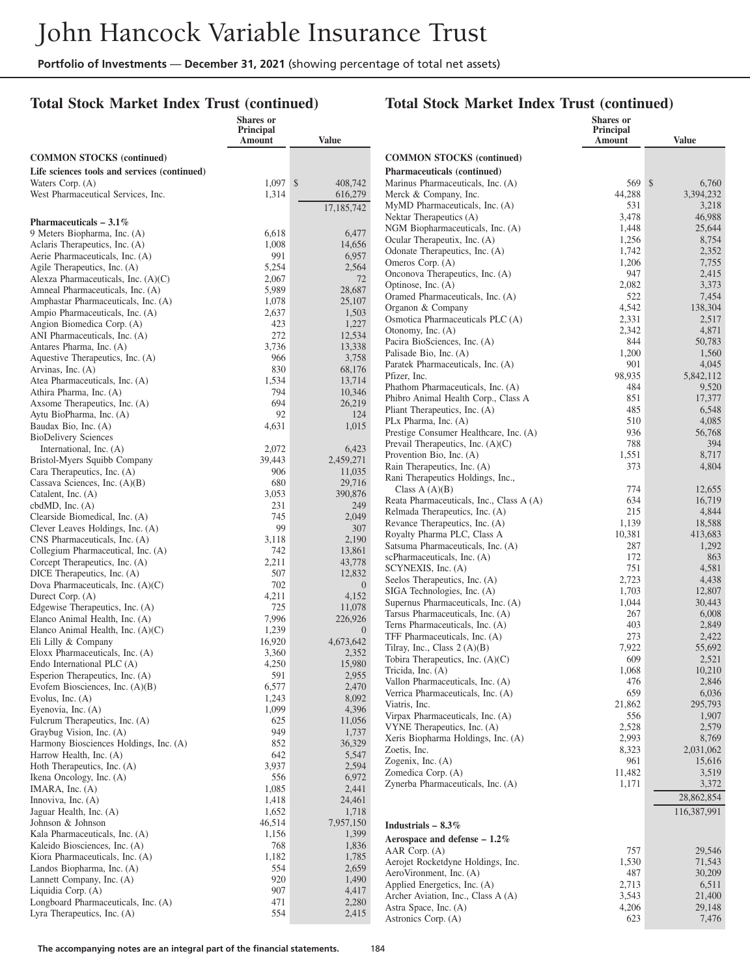#### **Total Stock Market Index Trust (continued)**

|                                                                     | Shares or<br>Principal |                           |                                                                  | <b>Shares</b> or<br>Principal |                     |
|---------------------------------------------------------------------|------------------------|---------------------------|------------------------------------------------------------------|-------------------------------|---------------------|
|                                                                     | Amount                 | <b>Value</b>              |                                                                  | Amount                        | <b>Value</b>        |
| <b>COMMON STOCKS</b> (continued)                                    |                        |                           | <b>COMMON STOCKS (continued)</b>                                 |                               |                     |
| Life sciences tools and services (continued)                        |                        |                           | <b>Pharmaceuticals (continued)</b>                               |                               |                     |
| Waters Corp. (A)                                                    | $1,097$ \$             | 408,742                   | Marinus Pharmaceuticals, Inc. (A)                                | 569 \$                        | 6,760               |
| West Pharmaceutical Services, Inc.                                  | 1,314                  | 616,279                   | Merck & Company, Inc.                                            | 44,288                        | 3,394,232           |
|                                                                     |                        | 17,185,742                | MyMD Pharmaceuticals, Inc. (A)                                   | 531                           | 3,218               |
| Pharmaceuticals $-3.1\%$                                            |                        |                           | Nektar Therapeutics (A)                                          | 3,478                         | 46,988              |
| 9 Meters Biopharma, Inc. (A)                                        | 6,618                  | 6,477                     | NGM Biopharmaceuticals, Inc. (A)<br>Ocular Therapeutix, Inc. (A) | 1,448<br>1,256                | 25,644<br>8,754     |
| Aclaris Therapeutics, Inc. (A)                                      | 1,008                  | 14,656                    | Odonate Therapeutics, Inc. (A)                                   | 1,742                         | 2,352               |
| Aerie Pharmaceuticals, Inc. (A)                                     | 991                    | 6,957                     | Omeros Corp. (A)                                                 | 1,206                         | 7,755               |
| Agile Therapeutics, Inc. (A)<br>Alexza Pharmaceuticals, Inc. (A)(C) | 5,254<br>2,067         | 2,564<br>72               | Onconova Therapeutics, Inc. (A)                                  | 947                           | 2,415               |
| Amneal Pharmaceuticals, Inc. (A)                                    | 5,989                  | 28,687                    | Optinose, Inc. (A)                                               | 2,082                         | 3,373               |
| Amphastar Pharmaceuticals, Inc. (A)                                 | 1,078                  | 25,107                    | Oramed Pharmaceuticals, Inc. (A)                                 | 522                           | 7,454               |
| Ampio Pharmaceuticals, Inc. (A)                                     | 2,637                  | 1,503                     | Organon & Company                                                | 4,542<br>2,331                | 138,304<br>2,517    |
| Angion Biomedica Corp. (A)                                          | 423                    | 1,227                     | Osmotica Pharmaceuticals PLC (A)<br>Otonomy, Inc. (A)            | 2,342                         | 4,871               |
| ANI Pharmaceuticals, Inc. (A)                                       | 272                    | 12,534                    | Pacira BioSciences, Inc. (A)                                     | 844                           | 50,783              |
| Antares Pharma, Inc. (A)                                            | 3,736                  | 13,338                    | Palisade Bio, Inc. (A)                                           | 1,200                         | 1,560               |
| Aquestive Therapeutics, Inc. (A)<br>Arvinas, Inc. (A)               | 966<br>830             | 3,758<br>68,176           | Paratek Pharmaceuticals, Inc. (A)                                | 901                           | 4,045               |
| Atea Pharmaceuticals, Inc. (A)                                      | 1,534                  | 13,714                    | Pfizer, Inc.                                                     | 98,935                        | 5,842,112           |
| Athira Pharma, Inc. (A)                                             | 794                    | 10,346                    | Phathom Pharmaceuticals, Inc. (A)                                | 484                           | 9,520               |
| Axsome Therapeutics, Inc. (A)                                       | 694                    | 26,219                    | Phibro Animal Health Corp., Class A                              | 851                           | 17,377              |
| Aytu BioPharma, Inc. (A)                                            | 92                     | 124                       | Pliant Therapeutics, Inc. (A)<br>PLx Pharma, Inc. (A)            | 485<br>510                    | 6,548<br>4,085      |
| Baudax Bio, Inc. (A)                                                | 4,631                  | 1,015                     | Prestige Consumer Healthcare, Inc. (A)                           | 936                           | 56,768              |
| <b>BioDelivery Sciences</b>                                         |                        |                           | Prevail Therapeutics, Inc. $(A)(C)$                              | 788                           | 394                 |
| International, Inc. (A)<br>Bristol-Myers Squibb Company             | 2,072<br>39,443        | 6,423<br>2,459,271        | Provention Bio, Inc. (A)                                         | 1,551                         | 8,717               |
| Cara Therapeutics, Inc. (A)                                         | 906                    | 11,035                    | Rain Therapeutics, Inc. (A)                                      | 373                           | 4,804               |
| Cassava Sciences, Inc. (A)(B)                                       | 680                    | 29,716                    | Rani Therapeutics Holdings, Inc.,                                |                               |                     |
| Catalent, Inc. (A)                                                  | 3,053                  | 390,876                   | Class $A(A)(B)$<br>Reata Pharmaceuticals, Inc., Class A (A)      | 774<br>634                    | 12,655<br>16,719    |
| cbd $MD$ , Inc. $(A)$                                               | 231                    | 249                       | Relmada Therapeutics, Inc. (A)                                   | 215                           | 4,844               |
| Clearside Biomedical, Inc. (A)                                      | 745                    | 2,049                     | Revance Therapeutics, Inc. (A)                                   | 1,139                         | 18,588              |
| Clever Leaves Holdings, Inc. (A)                                    | 99<br>3,118            | 307<br>2,190              | Royalty Pharma PLC, Class A                                      | 10,381                        | 413,683             |
| CNS Pharmaceuticals, Inc. (A)<br>Collegium Pharmaceutical, Inc. (A) | 742                    | 13,861                    | Satsuma Pharmaceuticals, Inc. (A)                                | 287                           | 1,292               |
| Corcept Therapeutics, Inc. (A)                                      | 2,211                  | 43,778                    | scPharmaceuticals, Inc. (A)                                      | 172                           | 863                 |
| DICE Therapeutics, Inc. (A)                                         | 507                    | 12,832                    | SCYNEXIS, Inc. (A)                                               | 751                           | 4,581               |
| Dova Pharmaceuticals, Inc. (A)(C)                                   | 702                    | $\overline{0}$            | Seelos Therapeutics, Inc. (A)<br>SIGA Technologies, Inc. (A)     | 2,723<br>1,703                | 4,438<br>12,807     |
| Durect Corp. (A)                                                    | 4,211                  | 4,152                     | Supernus Pharmaceuticals, Inc. (A)                               | 1,044                         | 30,443              |
| Edgewise Therapeutics, Inc. (A)                                     | 725                    | 11,078                    | Tarsus Pharmaceuticals, Inc. (A)                                 | 267                           | 6,008               |
| Elanco Animal Health, Inc. (A)<br>Elanco Animal Health, Inc. (A)(C) | 7,996<br>1,239         | 226,926<br>$\overline{0}$ | Terns Pharmaceuticals, Inc. (A)                                  | 403                           | 2,849               |
| Eli Lilly & Company                                                 | 16,920                 | 4,673,642                 | TFF Pharmaceuticals, Inc. (A)                                    | 273                           | 2,422               |
| Eloxx Pharmaceuticals, Inc. (A)                                     | 3,360                  | 2,352                     | Tilray, Inc., Class $2(A)(B)$                                    | 7,922                         | 55,692              |
| Endo International PLC (A)                                          | 4,250                  | 15,980                    | Tobira Therapeutics, Inc. (A)(C)                                 | 609                           | 2,521               |
| Esperion Therapeutics, Inc. (A)                                     | 591                    | 2,955                     | Tricida, Inc. (A)<br>Vallon Pharmaceuticals, Inc. (A)            | 1,068<br>476                  | 10,210<br>2,846     |
| Evofem Biosciences, Inc. $(A)(B)$                                   | 6,577                  | 2,470                     | Verrica Pharmaceuticals, Inc. (A)                                | 659                           | 6,036               |
| Evolus, Inc. $(A)$<br>Eyenovia, Inc. (A)                            | 1,243<br>1,099         | 8,092<br>4,396            | Viatris, Inc.                                                    | 21,862                        | 295,793             |
| Fulcrum Therapeutics, Inc. (A)                                      | 625                    | 11,056                    | Virpax Pharmaceuticals, Inc. (A)                                 | 556                           | 1,907               |
| Graybug Vision, Inc. (A)                                            | 949                    | 1,737                     | VYNE Therapeutics, Inc. (A)                                      | 2,528                         | 2,579               |
| Harmony Biosciences Holdings, Inc. (A)                              | 852                    | 36,329                    | Xeris Biopharma Holdings, Inc. (A)                               | 2,993                         | 8,769               |
| Harrow Health, Inc. (A)                                             | 642                    | 5,547                     | Zoetis, Inc.<br>Zogenix, Inc. (A)                                | 8,323<br>961                  | 2,031,062<br>15,616 |
| Hoth Therapeutics, Inc. (A)                                         | 3,937                  | 2,594                     | Zomedica Corp. (A)                                               | 11,482                        | 3,519               |
| Ikena Oncology, Inc. (A)                                            | 556                    | 6,972                     | Zynerba Pharmaceuticals, Inc. (A)                                | 1,171                         | 3,372               |
| IMARA, Inc. $(A)$<br>Innoviva, Inc. (A)                             | 1,085<br>1,418         | 2,441<br>24,461           |                                                                  |                               | 28,862,854          |
| Jaguar Health, Inc. (A)                                             | 1,652                  | 1,718                     |                                                                  |                               | 116,387,991         |
| Johnson & Johnson                                                   | 46,514                 | 7,957,150                 | Industrials $-8.3\%$                                             |                               |                     |
| Kala Pharmaceuticals, Inc. (A)                                      | 1,156                  | 1,399                     | Aerospace and defense $-1.2\%$                                   |                               |                     |
| Kaleido Biosciences, Inc. (A)                                       | 768                    | 1,836                     | AAR Corp. (A)                                                    | 757                           | 29,546              |
| Kiora Pharmaceuticals, Inc. (A)                                     | 1,182                  | 1,785                     | Aerojet Rocketdyne Holdings, Inc.                                | 1,530                         | 71,543              |
| Landos Biopharma, Inc. (A)                                          | 554<br>920             | 2,659<br>1,490            | AeroVironment, Inc. (A)                                          | 487                           | 30,209              |
| Lannett Company, Inc. (A)<br>Liquidia Corp. (A)                     | 907                    | 4,417                     | Applied Energetics, Inc. (A)                                     | 2,713                         | 6,511               |
| Longboard Pharmaceuticals, Inc. (A)                                 | 471                    | 2,280                     | Archer Aviation, Inc., Class A (A)                               | 3,543                         | 21,400              |
| Lyra Therapeutics, Inc. (A)                                         | 554                    | 2,415                     | Astra Space, Inc. (A)<br>Astronics Corp. (A)                     | 4,206<br>623                  | 29,148<br>7,476     |
|                                                                     |                        |                           |                                                                  |                               |                     |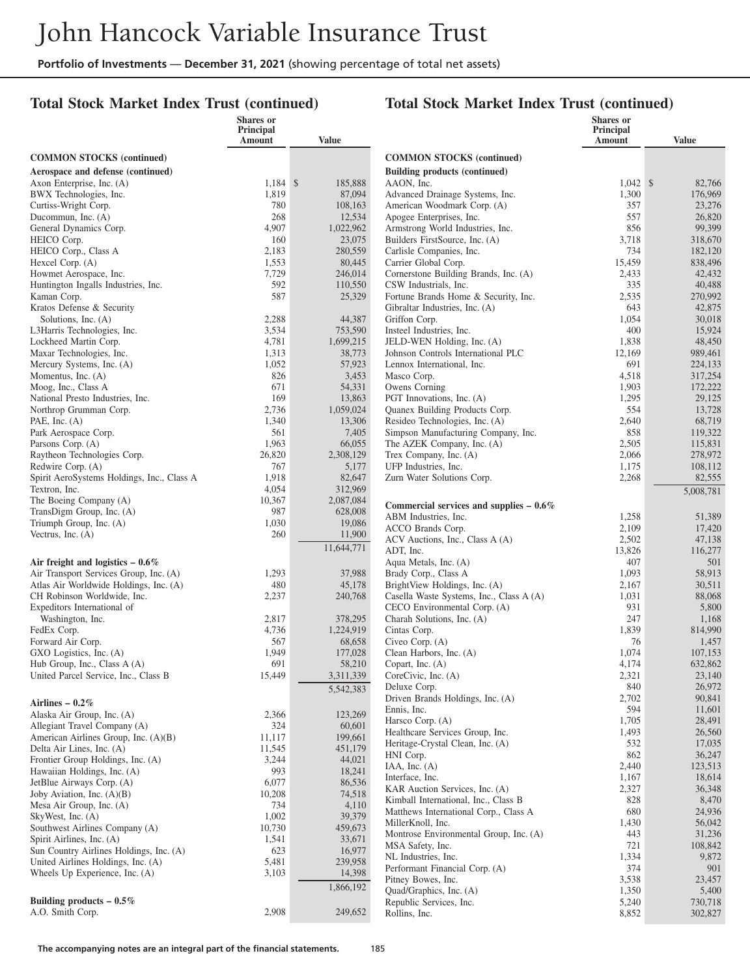#### **Total Stock Market Index Trust (continued)**

|                                                            | Shares or<br>Principal |                   |                                                                          | <b>Shares</b> or<br>Principal |                    |
|------------------------------------------------------------|------------------------|-------------------|--------------------------------------------------------------------------|-------------------------------|--------------------|
|                                                            | Amount                 | <b>Value</b>      |                                                                          | Amount                        | <b>Value</b>       |
| <b>COMMON STOCKS</b> (continued)                           |                        |                   | <b>COMMON STOCKS</b> (continued)                                         |                               |                    |
| Aerospace and defense (continued)                          |                        |                   | <b>Building products (continued)</b>                                     |                               |                    |
| Axon Enterprise, Inc. (A)                                  | $1,184$ \$             | 185,888           | AAON, Inc.                                                               | $1,042 \quad$ \$              | 82,766             |
| BWX Technologies, Inc.                                     | 1,819                  | 87,094            | Advanced Drainage Systems, Inc.                                          | 1,300                         | 176,969            |
| Curtiss-Wright Corp.                                       | 780                    | 108,163           | American Woodmark Corp. (A)                                              | 357                           | 23,276             |
| Ducommun, Inc. (A)                                         | 268                    | 12,534            | Apogee Enterprises, Inc.                                                 | 557                           | 26,820             |
| General Dynamics Corp.                                     | 4,907                  | 1,022,962         | Armstrong World Industries, Inc.                                         | 856                           | 99,399             |
| HEICO Corp.<br>HEICO Corp., Class A                        | 160<br>2,183           | 23,075<br>280,559 | Builders FirstSource, Inc. (A)<br>Carlisle Companies, Inc.               | 3,718<br>734                  | 318,670<br>182,120 |
| Hexcel Corp. (A)                                           | 1,553                  | 80,445            | Carrier Global Corp.                                                     | 15,459                        | 838,496            |
| Howmet Aerospace, Inc.                                     | 7,729                  | 246,014           | Cornerstone Building Brands, Inc. (A)                                    | 2,433                         | 42,432             |
| Huntington Ingalls Industries, Inc.                        | 592                    | 110,550           | CSW Industrials, Inc.                                                    | 335                           | 40,488             |
| Kaman Corp.                                                | 587                    | 25,329            | Fortune Brands Home & Security, Inc.                                     | 2,535                         | 270,992            |
| Kratos Defense & Security                                  |                        |                   | Gibraltar Industries, Inc. (A)                                           | 643                           | 42,875             |
| Solutions, Inc. (A)                                        | 2,288                  | 44,387            | Griffon Corp.                                                            | 1,054                         | 30,018             |
| L3Harris Technologies, Inc.                                | 3,534                  | 753,590           | Insteel Industries, Inc.                                                 | 400                           | 15,924             |
| Lockheed Martin Corp.                                      | 4,781                  | 1,699,215         | JELD-WEN Holding, Inc. (A)                                               | 1,838                         | 48,450             |
| Maxar Technologies, Inc.                                   | 1,313                  | 38,773            | Johnson Controls International PLC                                       | 12,169                        | 989,461            |
| Mercury Systems, Inc. (A)                                  | 1,052                  | 57,923            | Lennox International, Inc.                                               | 691                           | 224,133            |
| Momentus, Inc. (A)                                         | 826                    | 3,453             | Masco Corp.                                                              | 4,518                         | 317,254            |
| Moog, Inc., Class A                                        | 671<br>169             | 54,331<br>13,863  | Owens Corning<br>PGT Innovations, Inc. (A)                               | 1,903                         | 172,222            |
| National Presto Industries, Inc.<br>Northrop Grumman Corp. | 2,736                  | 1,059,024         | Quanex Building Products Corp.                                           | 1,295<br>554                  | 29,125<br>13,728   |
| PAE, Inc. $(A)$                                            | 1,340                  | 13,306            | Resideo Technologies, Inc. (A)                                           | 2,640                         | 68,719             |
| Park Aerospace Corp.                                       | 561                    | 7,405             | Simpson Manufacturing Company, Inc.                                      | 858                           | 119,322            |
| Parsons Corp. (A)                                          | 1,963                  | 66,055            | The AZEK Company, Inc. (A)                                               | 2,505                         | 115,831            |
| Raytheon Technologies Corp.                                | 26,820                 | 2,308,129         | Trex Company, Inc. (A)                                                   | 2,066                         | 278,972            |
| Redwire Corp. (A)                                          | 767                    | 5,177             | UFP Industries, Inc.                                                     | 1,175                         | 108,112            |
| Spirit AeroSystems Holdings, Inc., Class A                 | 1,918                  | 82,647            | Zurn Water Solutions Corp.                                               | 2,268                         | 82,555             |
| Textron, Inc.                                              | 4,054                  | 312,969           |                                                                          |                               | 5,008,781          |
| The Boeing Company (A)                                     | 10,367                 | 2,087,084         | Commercial services and supplies $-0.6\%$                                |                               |                    |
| TransDigm Group, Inc. (A)                                  | 987                    | 628,008           | ABM Industries, Inc.                                                     | 1,258                         | 51,389             |
| Triumph Group, Inc. (A)                                    | 1,030                  | 19,086            | ACCO Brands Corp.                                                        | 2,109                         | 17,420             |
| Vectrus, Inc. (A)                                          | 260                    | 11,900            | ACV Auctions, Inc., Class A (A)                                          | 2,502                         | 47,138             |
|                                                            |                        | 11,644,771        | ADT, Inc.                                                                | 13,826                        | 116,277            |
| Air freight and logistics $-0.6\%$                         |                        |                   | Aqua Metals, Inc. (A)                                                    | 407                           | 501                |
| Air Transport Services Group, Inc. (A)                     | 1,293                  | 37,988            | Brady Corp., Class A                                                     | 1,093                         | 58,913             |
| Atlas Air Worldwide Holdings, Inc. (A)                     | 480                    | 45,178            | BrightView Holdings, Inc. (A)                                            | 2,167                         | 30,511             |
| CH Robinson Worldwide, Inc.<br>Expeditors International of | 2,237                  | 240,768           | Casella Waste Systems, Inc., Class A (A)<br>CECO Environmental Corp. (A) | 1,031<br>931                  | 88,068<br>5,800    |
| Washington, Inc.                                           | 2,817                  | 378,295           | Charah Solutions, Inc. (A)                                               | 247                           | 1,168              |
| FedEx Corp.                                                | 4,736                  | 1,224,919         | Cintas Corp.                                                             | 1,839                         | 814,990            |
| Forward Air Corp.                                          | 567                    | 68,658            | Civeo Corp. (A)                                                          | 76                            | 1,457              |
| GXO Logistics, Inc. (A)                                    | 1,949                  | 177,028           | Clean Harbors, Inc. (A)                                                  | 1,074                         | 107,153            |
| Hub Group, Inc., Class A (A)                               | 691                    | 58,210            | Copart, Inc. $(A)$                                                       | 4,174                         | 632,862            |
| United Parcel Service, Inc., Class B                       | 15,449                 | 3,311,339         | CoreCivic, Inc. (A)                                                      | 2,321                         | 23,140             |
|                                                            |                        | 5,542,383         | Deluxe Corp.                                                             | 840                           | 26,972             |
| Airlines – $0.2\%$                                         |                        |                   | Driven Brands Holdings, Inc. (A)                                         | 2,702                         | 90,841             |
| Alaska Air Group, Inc. (A)                                 | 2,366                  | 123,269           | Ennis, Inc.<br>Harsco Corp. (A)                                          | 594                           | 11,601             |
| Allegiant Travel Company (A)                               | 324                    | 60,601            | Healthcare Services Group, Inc.                                          | 1,705<br>1,493                | 28,491<br>26,560   |
| American Airlines Group, Inc. (A)(B)                       | 11,117                 | 199,661           | Heritage-Crystal Clean, Inc. (A)                                         | 532                           | 17,035             |
| Delta Air Lines, Inc. (A)                                  | 11,545                 | 451,179           | HNI Corp.                                                                | 862                           | 36,247             |
| Frontier Group Holdings, Inc. (A)                          | 3,244                  | 44,021            | $IAA$ , Inc. $(A)$                                                       | 2,440                         | 123,513            |
| Hawaiian Holdings, Inc. (A)                                | 993<br>6,077           | 18,241            | Interface, Inc.                                                          | 1,167                         | 18,614             |
| JetBlue Airways Corp. (A)<br>Joby Aviation, Inc. (A)(B)    | 10,208                 | 86,536<br>74,518  | KAR Auction Services, Inc. (A)                                           | 2,327                         | 36,348             |
| Mesa Air Group, Inc. (A)                                   | 734                    | 4,110             | Kimball International, Inc., Class B                                     | 828                           | 8,470              |
| SkyWest, Inc. (A)                                          | 1,002                  | 39,379            | Matthews International Corp., Class A                                    | 680                           | 24,936             |
| Southwest Airlines Company (A)                             | 10,730                 | 459,673           | MillerKnoll, Inc.                                                        | 1,430                         | 56,042             |
| Spirit Airlines, Inc. (A)                                  | 1,541                  | 33,671            | Montrose Environmental Group, Inc. (A)                                   | 443                           | 31,236             |
| Sun Country Airlines Holdings, Inc. (A)                    | 623                    | 16,977            | MSA Safety, Inc.                                                         | 721                           | 108,842            |
| United Airlines Holdings, Inc. (A)                         | 5,481                  | 239,958           | NL Industries, Inc.<br>Performant Financial Corp. (A)                    | 1,334<br>374                  | 9,872<br>901       |
| Wheels Up Experience, Inc. (A)                             | 3,103                  | 14,398            | Pitney Bowes, Inc.                                                       | 3,538                         | 23,457             |
|                                                            |                        | 1,866,192         | Quad/Graphics, Inc. (A)                                                  | 1,350                         | 5,400              |
| Building products $-0.5\%$                                 |                        |                   | Republic Services, Inc.                                                  | 5,240                         | 730,718            |
| A.O. Smith Corp.                                           | 2,908                  | 249,652           | Rollins, Inc.                                                            | 8,852                         | 302,827            |
|                                                            |                        |                   |                                                                          |                               |                    |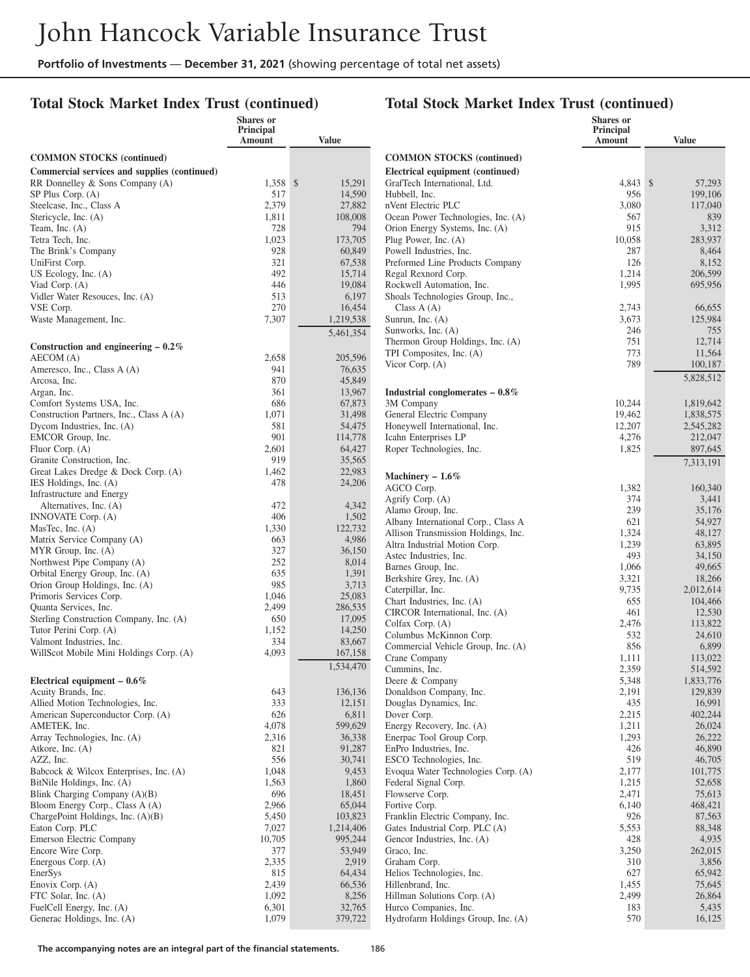**Shares or**

#### **Total Stock Market Index Trust (continued)**

#### **Total Stock Market Index Trust (continued)**

**Shares or Principal**

|                                                                  | Principal<br>Amount | <b>Value</b>      |                                                              | Principal<br><b>Amount</b> | <b>Value</b>     |
|------------------------------------------------------------------|---------------------|-------------------|--------------------------------------------------------------|----------------------------|------------------|
| <b>COMMON STOCKS</b> (continued)                                 |                     |                   | <b>COMMON STOCKS</b> (continued)                             |                            |                  |
| Commercial services and supplies (continued)                     |                     |                   | Electrical equipment (continued)                             |                            |                  |
| RR Donnelley & Sons Company (A)                                  | 1,358 \$            | 15,291            | GrafTech International, Ltd.                                 | 4,843 \$                   | 57,293           |
| SP Plus Corp. (A)                                                | 517                 | 14,590            | Hubbell, Inc.                                                | 956                        | 199,106          |
| Steelcase, Inc., Class A                                         | 2,379               | 27,882            | nVent Electric PLC                                           | 3,080                      | 117,040          |
| Stericycle, Inc. (A)                                             | 1,811               | 108,008           | Ocean Power Technologies, Inc. (A)                           | 567                        | 839              |
| Team, Inc. $(A)$<br>Tetra Tech, Inc.                             | 728<br>1,023        | 794<br>173,705    | Orion Energy Systems, Inc. (A)<br>Plug Power, Inc. (A)       | 915<br>10,058              | 3,312<br>283,937 |
| The Brink's Company                                              | 928                 | 60,849            | Powell Industries, Inc.                                      | 287                        | 8,464            |
| UniFirst Corp.                                                   | 321                 | 67,538            | Preformed Line Products Company                              | 126                        | 8,152            |
| US Ecology, Inc. $(A)$                                           | 492                 | 15,714            | Regal Rexnord Corp.                                          | 1,214                      | 206,599          |
| Viad Corp. (A)                                                   | 446                 | 19,084            | Rockwell Automation, Inc.                                    | 1,995                      | 695,956          |
| Vidler Water Resouces, Inc. (A)                                  | 513                 | 6,197             | Shoals Technologies Group, Inc.,                             |                            |                  |
| VSE Corp.                                                        | 270                 | 16,454            | Class $A(A)$                                                 | 2,743                      | 66,655           |
| Waste Management, Inc.                                           | 7,307               | 1,219,538         | Sunrun, Inc. $(A)$                                           | 3,673                      | 125,984          |
|                                                                  |                     | 5,461,354         | Sunworks, Inc. (A)                                           | 246                        | 755              |
| Construction and engineering $-0.2\%$                            |                     |                   | Thermon Group Holdings, Inc. (A)<br>TPI Composites, Inc. (A) | 751<br>773                 | 12,714<br>11,564 |
| AECOM (A)                                                        | 2,658               | 205,596           | Vicor Corp. (A)                                              | 789                        | 100,187          |
| Ameresco, Inc., Class A (A)                                      | 941                 | 76,635            |                                                              |                            | 5,828,512        |
| Arcosa, Inc.                                                     | 870                 | 45,849            |                                                              |                            |                  |
| Argan, Inc.<br>Comfort Systems USA, Inc.                         | 361<br>686          | 13,967<br>67,873  | Industrial conglomerates $-0.8\%$<br>3M Company              | 10,244                     | 1,819,642        |
| Construction Partners, Inc., Class A (A)                         | 1,071               | 31,498            | General Electric Company                                     | 19,462                     | 1,838,575        |
| Dycom Industries, Inc. (A)                                       | 581                 | 54,475            | Honeywell International, Inc.                                | 12,207                     | 2,545,282        |
| EMCOR Group, Inc.                                                | 901                 | 114,778           | Icahn Enterprises LP                                         | 4,276                      | 212,047          |
| Fluor Corp. (A)                                                  | 2,601               | 64,427            | Roper Technologies, Inc.                                     | 1,825                      | 897,645          |
| Granite Construction, Inc.                                       | 919                 | 35,565            |                                                              |                            | 7,313,191        |
| Great Lakes Dredge & Dock Corp. (A)                              | 1,462               | 22,983            | Machinery $-1.6\%$                                           |                            |                  |
| IES Holdings, Inc. (A)                                           | 478                 | 24,206            | AGCO Corp.                                                   | 1,382                      | 160,340          |
| Infrastructure and Energy                                        |                     |                   | Agrify Corp. $(A)$                                           | 374                        | 3,441            |
| Alternatives, Inc. (A)<br>INNOVATE Corp. (A)                     | 472<br>406          | 4,342<br>1,502    | Alamo Group, Inc.                                            | 239                        | 35,176           |
| MasTec, Inc. $(A)$                                               | 1,330               | 122,732           | Albany International Corp., Class A                          | 621                        | 54,927           |
| Matrix Service Company (A)                                       | 663                 | 4,986             | Allison Transmission Holdings, Inc.                          | 1,324                      | 48,127           |
| MYR Group, Inc. (A)                                              | 327                 | 36,150            | Altra Industrial Motion Corp.<br>Astec Industries, Inc.      | 1,239<br>493               | 63,895<br>34,150 |
| Northwest Pipe Company (A)                                       | 252                 | 8,014             | Barnes Group, Inc.                                           | 1,066                      | 49,665           |
| Orbital Energy Group, Inc. (A)                                   | 635                 | 1,391             | Berkshire Grey, Inc. (A)                                     | 3,321                      | 18,266           |
| Orion Group Holdings, Inc. (A)                                   | 985                 | 3,713             | Caterpillar, Inc.                                            | 9,735                      | 2,012,614        |
| Primoris Services Corp.                                          | 1,046               | 25,083            | Chart Industries, Inc. (A)                                   | 655                        | 104,466          |
| Quanta Services, Inc.<br>Sterling Construction Company, Inc. (A) | 2,499<br>650        | 286,535<br>17,095 | CIRCOR International, Inc. (A)                               | 461                        | 12,530           |
| Tutor Perini Corp. (A)                                           | 1,152               | 14,250            | Colfax Corp. (A)                                             | 2,476                      | 113,822          |
| Valmont Industries, Inc.                                         | 334                 | 83,667            | Columbus McKinnon Corp.                                      | 532                        | 24,610           |
| WillScot Mobile Mini Holdings Corp. (A)                          | 4,093               | 167,158           | Commercial Vehicle Group, Inc. (A)<br>Crane Company          | 856                        | 6,899<br>113,022 |
|                                                                  |                     | 1,534,470         | Cummins, Inc.                                                | 1,111<br>2,359             | 514,592          |
| Electrical equipment $-0.6\%$                                    |                     |                   | Deere & Company                                              | 5,348                      | 1,833,776        |
| Acuity Brands, Inc.                                              | 643                 | 136,136           | Donaldson Company, Inc.                                      | 2,191                      | 129,839          |
| Allied Motion Technologies, Inc.                                 | 333                 | 12,151            | Douglas Dynamics, Inc.                                       | 435                        | 16,991           |
| American Superconductor Corp. (A)                                | 626                 | 6,811             | Dover Corp.                                                  | 2,215                      | 402,244          |
| AMETEK, Inc.                                                     | 4,078               | 599,629           | Energy Recovery, Inc. (A)                                    | 1,211                      | 26,024           |
| Array Technologies, Inc. (A)                                     | 2,316               | 36,338            | Enerpac Tool Group Corp.                                     | 1,293                      | 26,222           |
| Atkore, Inc. (A)<br>AZZ, Inc.                                    | 821<br>556          | 91,287<br>30,741  | EnPro Industries, Inc.<br>ESCO Technologies, Inc.            | 426<br>519                 | 46,890<br>46,705 |
| Babcock & Wilcox Enterprises, Inc. (A)                           | 1,048               | 9,453             | Evoqua Water Technologies Corp. (A)                          | 2,177                      | 101,775          |
| BitNile Holdings, Inc. (A)                                       | 1,563               | 1,860             | Federal Signal Corp.                                         | 1,215                      | 52,658           |
| Blink Charging Company (A)(B)                                    | 696                 | 18,451            | Flowserve Corp.                                              | 2,471                      | 75,613           |
| Bloom Energy Corp., Class A (A)                                  | 2,966               | 65,044            | Fortive Corp.                                                | 6,140                      | 468,421          |
| ChargePoint Holdings, Inc. (A)(B)                                | 5,450               | 103,823           | Franklin Electric Company, Inc.                              | 926                        | 87,563           |
| Eaton Corp. PLC                                                  | 7,027               | 1,214,406         | Gates Industrial Corp. PLC (A)                               | 5,553                      | 88,348           |
| Emerson Electric Company                                         | 10,705              | 995,244           | Gencor Industries, Inc. (A)                                  | 428                        | 4,935            |
| Encore Wire Corp.                                                | 377                 | 53,949            | Graco, Inc.                                                  | 3,250                      | 262,015          |
| Energous Corp. (A)                                               | 2,335<br>815        | 2,919<br>64,434   | Graham Corp.<br>Helios Technologies, Inc.                    | 310<br>627                 | 3,856<br>65,942  |
| EnerSys<br>Enovix Corp. (A)                                      | 2,439               | 66,536            | Hillenbrand, Inc.                                            | 1,455                      | 75,645           |
| FTC Solar, Inc. (A)                                              | 1,092               | 8,256             | Hillman Solutions Corp. (A)                                  | 2,499                      | 26,864           |
| FuelCell Energy, Inc. (A)                                        | 6,301               | 32,765            | Hurco Companies, Inc.                                        | 183                        | 5,435            |
| Generac Holdings, Inc. (A)                                       | 1,079               | 379,722           | Hydrofarm Holdings Group, Inc. (A)                           | 570                        | 16,125           |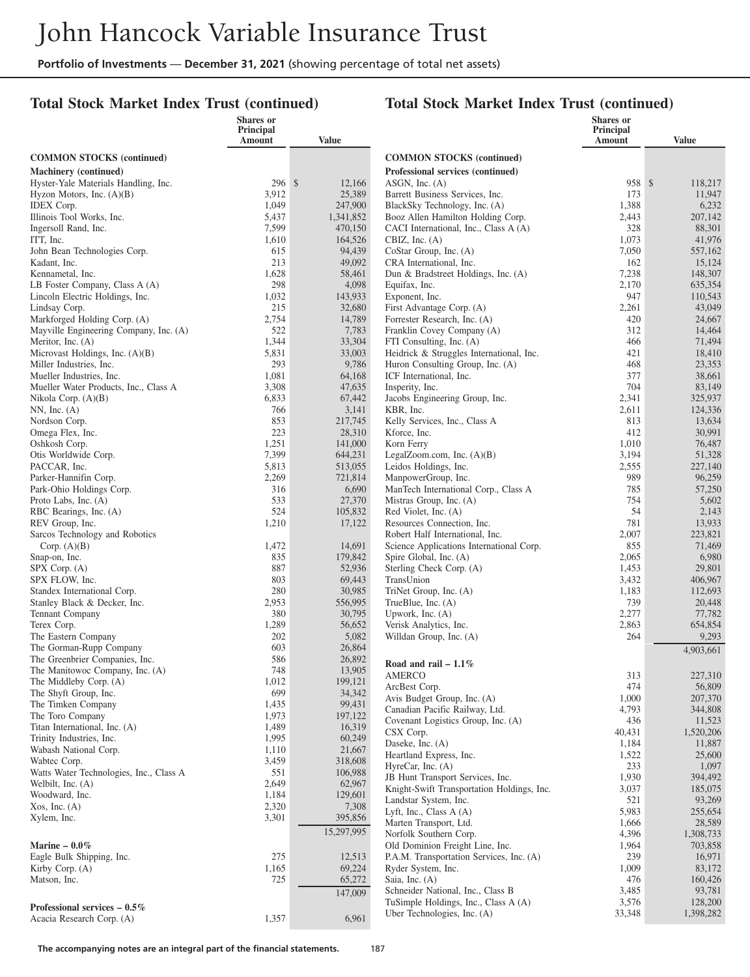#### **Total Stock Market Index Trust (continued)**

|                                                    | <b>Shares or</b><br>Principal |                   |                                                                                | <b>Shares</b> or<br>Principal |                    |
|----------------------------------------------------|-------------------------------|-------------------|--------------------------------------------------------------------------------|-------------------------------|--------------------|
|                                                    | Amount                        | <b>Value</b>      |                                                                                | Amount                        | <b>Value</b>       |
| <b>COMMON STOCKS</b> (continued)                   |                               |                   | <b>COMMON STOCKS</b> (continued)                                               |                               |                    |
| <b>Machinery</b> (continued)                       |                               |                   | Professional services (continued)                                              |                               |                    |
| Hyster-Yale Materials Handling, Inc.               | 296S                          | 12,166            | $ASGN$ , Inc. $(A)$                                                            | 958S                          | 118,217            |
| Hyzon Motors, Inc. (A)(B)                          | 3,912                         | 25,389            | Barrett Business Services, Inc.                                                | 173                           | 11,947             |
| <b>IDEX</b> Corp.                                  | 1,049                         | 247,900           | BlackSky Technology, Inc. (A)                                                  | 1,388                         | 6,232              |
| Illinois Tool Works, Inc.                          | 5,437                         | 1,341,852         | Booz Allen Hamilton Holding Corp.                                              | 2,443                         | 207,142            |
| Ingersoll Rand, Inc.                               | 7,599                         | 470,150           | CACI International, Inc., Class A (A)                                          | 328                           | 88,301             |
| ITT, Inc.                                          | 1,610                         | 164,526           | CBIZ, Inc. $(A)$                                                               | 1,073                         | 41,976             |
| John Bean Technologies Corp.                       | 615                           | 94,439            | CoStar Group, Inc. (A)                                                         | 7,050                         | 557,162            |
| Kadant, Inc.                                       | 213                           | 49,092            | CRA International, Inc.                                                        | 162                           | 15,124             |
| Kennametal, Inc.<br>LB Foster Company, Class A (A) | 1,628<br>298                  | 58,461<br>4,098   | Dun & Bradstreet Holdings, Inc. (A)<br>Equifax, Inc.                           | 7,238<br>2,170                | 148,307<br>635,354 |
| Lincoln Electric Holdings, Inc.                    | 1,032                         | 143,933           | Exponent, Inc.                                                                 | 947                           | 110,543            |
| Lindsay Corp.                                      | 215                           | 32,680            | First Advantage Corp. (A)                                                      | 2,261                         | 43,049             |
| Markforged Holding Corp. (A)                       | 2,754                         | 14,789            | Forrester Research, Inc. (A)                                                   | 420                           | 24,667             |
| Mayville Engineering Company, Inc. (A)             | 522                           | 7,783             | Franklin Covey Company (A)                                                     | 312                           | 14,464             |
| Meritor, Inc. (A)                                  | 1,344                         | 33,304            | FTI Consulting, Inc. (A)                                                       | 466                           | 71,494             |
| Microvast Holdings, Inc. (A)(B)                    | 5,831                         | 33,003            | Heidrick & Struggles International, Inc.                                       | 421                           | 18,410             |
| Miller Industries, Inc.                            | 293                           | 9,786             | Huron Consulting Group, Inc. (A)                                               | 468                           | 23,353             |
| Mueller Industries, Inc.                           | 1,081                         | 64,168            | ICF International, Inc.                                                        | 377                           | 38,661             |
| Mueller Water Products, Inc., Class A              | 3,308                         | 47,635            | Insperity, Inc.                                                                | 704                           | 83,149             |
| Nikola Corp. $(A)(B)$                              | 6,833                         | 67,442            | Jacobs Engineering Group, Inc.                                                 | 2,341                         | 325,937            |
| $NN$ , Inc. $(A)$                                  | 766                           | 3,141             | KBR, Inc.                                                                      | 2,611                         | 124,336            |
| Nordson Corp.                                      | 853<br>223                    | 217,745           | Kelly Services, Inc., Class A                                                  | 813<br>412                    | 13,634<br>30,991   |
| Omega Flex, Inc.<br>Oshkosh Corp.                  | 1,251                         | 28,310<br>141,000 | Kforce, Inc.<br>Korn Ferry                                                     | 1,010                         | 76,487             |
| Otis Worldwide Corp.                               | 7,399                         | 644,231           | LegalZoom.com, Inc. (A)(B)                                                     | 3,194                         | 51,328             |
| PACCAR, Inc.                                       | 5,813                         | 513,055           | Leidos Holdings, Inc.                                                          | 2,555                         | 227,140            |
| Parker-Hannifin Corp.                              | 2,269                         | 721,814           | ManpowerGroup, Inc.                                                            | 989                           | 96,259             |
| Park-Ohio Holdings Corp.                           | 316                           | 6,690             | ManTech International Corp., Class A                                           | 785                           | 57,250             |
| Proto Labs, Inc. (A)                               | 533                           | 27,370            | Mistras Group, Inc. (A)                                                        | 754                           | 5,602              |
| RBC Bearings, Inc. (A)                             | 524                           | 105,832           | Red Violet, Inc. (A)                                                           | 54                            | 2,143              |
| REV Group, Inc.                                    | 1,210                         | 17,122            | Resources Connection, Inc.                                                     | 781                           | 13,933             |
| Sarcos Technology and Robotics                     |                               |                   | Robert Half International, Inc.                                                | 2,007                         | 223,821            |
| Corp. $(A)(B)$                                     | 1,472                         | 14,691            | Science Applications International Corp.                                       | 855                           | 71,469             |
| Snap-on, Inc.                                      | 835                           | 179,842           | Spire Global, Inc. (A)                                                         | 2,065                         | 6,980              |
| SPX Corp. (A)                                      | 887<br>803                    | 52,936            | Sterling Check Corp. (A)                                                       | 1,453                         | 29,801             |
| SPX FLOW, Inc.<br>Standex International Corp.      | 280                           | 69,443<br>30,985  | TransUnion<br>TriNet Group, Inc. (A)                                           | 3,432<br>1,183                | 406,967<br>112,693 |
| Stanley Black & Decker, Inc.                       | 2,953                         | 556,995           | TrueBlue, Inc. (A)                                                             | 739                           | 20,448             |
| <b>Tennant Company</b>                             | 380                           | 30,795            | Upwork, Inc. $(A)$                                                             | 2,277                         | 77,782             |
| Terex Corp.                                        | 1,289                         | 56,652            | Verisk Analytics, Inc.                                                         | 2,863                         | 654,854            |
| The Eastern Company                                | 202                           | 5,082             | Willdan Group, Inc. (A)                                                        | 264                           | 9,293              |
| The Gorman-Rupp Company                            | 603                           | 26,864            |                                                                                |                               | 4,903,661          |
| The Greenbrier Companies, Inc.                     | 586                           | 26,892            | Road and rail $-1.1\%$                                                         |                               |                    |
| The Manitowoc Company, Inc. (A)                    | 748                           | 13,905            | AMERCO                                                                         | 313                           | 227,310            |
| The Middleby Corp. (A)                             | 1,012                         | 199,121           | ArcBest Corp.                                                                  | 474                           | 56,809             |
| The Shyft Group, Inc.                              | 699                           | 34,342            | Avis Budget Group, Inc. (A)                                                    | 1,000                         | 207,370            |
| The Timken Company                                 | 1,435                         | 99,431            | Canadian Pacific Railway, Ltd.                                                 | 4,793                         | 344,808            |
| The Toro Company<br>Titan International, Inc. (A)  | 1,973<br>1,489                | 197,122<br>16,319 | Covenant Logistics Group, Inc. (A)                                             | 436                           | 11,523             |
| Trinity Industries, Inc.                           | 1,995                         | 60,249            | CSX Corp.                                                                      | 40,431                        | 1,520,206          |
| Wabash National Corp.                              | 1,110                         | 21,667            | Daseke, Inc. (A)                                                               | 1,184                         | 11,887             |
| Wabtec Corp.                                       | 3,459                         | 318,608           | Heartland Express, Inc.                                                        | 1,522                         | 25,600             |
| Watts Water Technologies, Inc., Class A            | 551                           | 106,988           | HyreCar, Inc. (A)                                                              | 233                           | 1,097              |
| Welbilt, Inc. $(A)$                                | 2,649                         | 62,967            | JB Hunt Transport Services, Inc.<br>Knight-Swift Transportation Holdings, Inc. | 1,930<br>3,037                | 394,492<br>185,075 |
| Woodward, Inc.                                     | 1,184                         | 129,601           | Landstar System, Inc.                                                          | 521                           | 93,269             |
| Xos, Inc. (A)                                      | 2,320                         | 7,308             | Lyft, Inc., Class $A(A)$                                                       | 5,983                         | 255,654            |
| Xylem, Inc.                                        | 3,301                         | 395,856           | Marten Transport, Ltd.                                                         | 1,666                         | 28,589             |
|                                                    |                               | 15,297,995        | Norfolk Southern Corp.                                                         | 4,396                         | 1,308,733          |
| Marine $-0.0\%$                                    |                               |                   | Old Dominion Freight Line, Inc.                                                | 1,964                         | 703,858            |
| Eagle Bulk Shipping, Inc.                          | 275                           | 12,513            | P.A.M. Transportation Services, Inc. (A)                                       | 239                           | 16,971             |
| Kirby Corp. $(A)$                                  | 1,165                         | 69,224            | Ryder System, Inc.                                                             | 1,009                         | 83,172             |
| Matson, Inc.                                       | 725                           | 65,272            | Saia, Inc. (A)                                                                 | 476                           | 160,426            |
|                                                    |                               | 147,009           | Schneider National, Inc., Class B                                              | 3,485                         | 93,781             |
| Professional services $-0.5\%$                     |                               |                   | TuSimple Holdings, Inc., Class A (A)                                           | 3,576                         | 128,200            |
| Acacia Research Corp. (A)                          | 1,357                         | 6,961             | Uber Technologies, Inc. (A)                                                    | 33,348                        | 1,398,282          |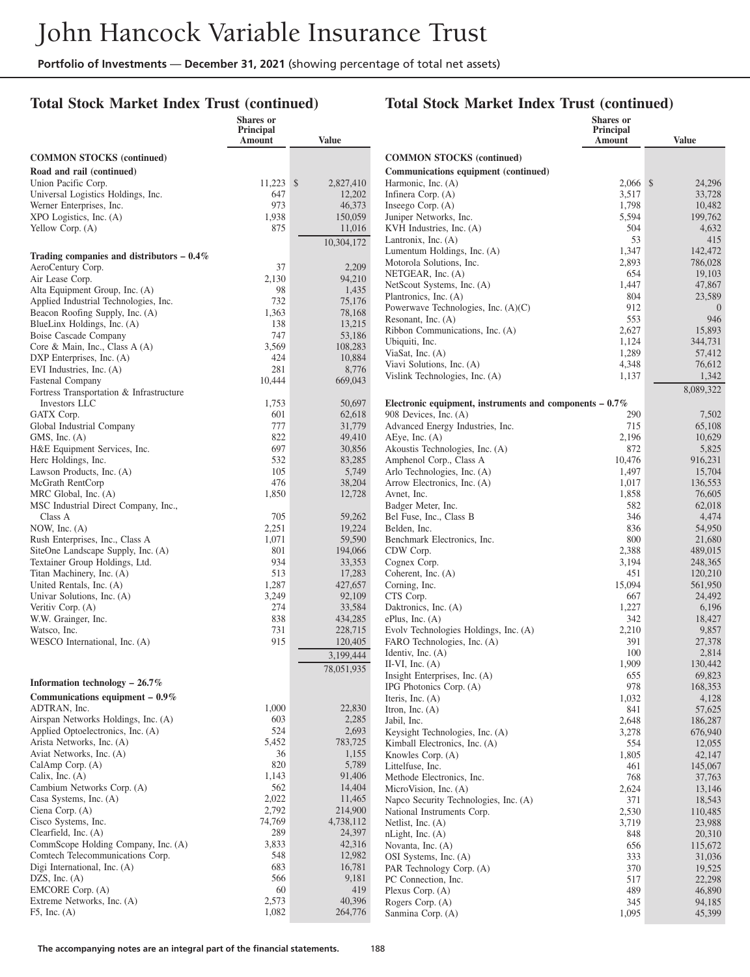# **Total Stock Market Index Trust (continued)**

|                                                                          | <b>Shares</b> or<br>Principal |                           |                                                                                    | Shares or<br>Principal |                    |
|--------------------------------------------------------------------------|-------------------------------|---------------------------|------------------------------------------------------------------------------------|------------------------|--------------------|
|                                                                          | Amount                        | <b>Value</b>              |                                                                                    | Amount                 | <b>Value</b>       |
| <b>COMMON STOCKS</b> (continued)                                         |                               |                           | <b>COMMON STOCKS (continued)</b>                                                   |                        |                    |
| Road and rail (continued)                                                |                               |                           | Communications equipment (continued)                                               |                        |                    |
| Union Pacific Corp.                                                      | 11,223                        | 2,827,410<br>$\mathbb{S}$ | Harmonic, Inc. (A)                                                                 | $2.066$ \$             | 24,296             |
| Universal Logistics Holdings, Inc.                                       | 647                           | 12,202                    | Infinera Corp. (A)                                                                 | 3,517                  | 33,728             |
| Werner Enterprises, Inc.                                                 | 973                           | 46,373                    | Inseego Corp. (A)                                                                  | 1,798                  | 10,482             |
| XPO Logistics, Inc. (A)                                                  | 1,938                         | 150,059                   | Juniper Networks, Inc.                                                             | 5,594                  | 199,762            |
| Yellow Corp. (A)                                                         | 875                           | 11,016                    | KVH Industries, Inc. (A)                                                           | 504                    | 4,632              |
|                                                                          |                               | 10,304,172                | Lantronix, Inc. $(A)$                                                              | 53                     | 415                |
| Trading companies and distributors $-0.4\%$                              |                               |                           | Lumentum Holdings, Inc. (A)<br>Motorola Solutions, Inc.                            | 1,347<br>2,893         | 142,472<br>786,028 |
| AeroCentury Corp.                                                        | 37                            | 2,209                     | NETGEAR, Inc. (A)                                                                  | 654                    | 19,103             |
| Air Lease Corp.                                                          | 2,130                         | 94,210                    | NetScout Systems, Inc. (A)                                                         | 1,447                  | 47,867             |
| Alta Equipment Group, Inc. (A)                                           | 98<br>732                     | 1,435<br>75,176           | Plantronics, Inc. (A)                                                              | 804                    | 23,589             |
| Applied Industrial Technologies, Inc.<br>Beacon Roofing Supply, Inc. (A) | 1,363                         | 78,168                    | Powerwave Technologies, Inc. (A)(C)                                                | 912                    | $\Omega$           |
| BlueLinx Holdings, Inc. (A)                                              | 138                           | 13,215                    | Resonant, Inc. (A)                                                                 | 553                    | 946                |
| Boise Cascade Company                                                    | 747                           | 53,186                    | Ribbon Communications, Inc. (A)                                                    | 2,627                  | 15,893             |
| Core & Main, Inc., Class A (A)                                           | 3,569                         | 108,283                   | Ubiquiti, Inc.                                                                     | 1,124                  | 344,731            |
| DXP Enterprises, Inc. (A)                                                | 424                           | 10,884                    | ViaSat, Inc. $(A)$<br>Viavi Solutions, Inc. (A)                                    | 1,289                  | 57,412             |
| EVI Industries, Inc. (A)                                                 | 281                           | 8,776                     | Vislink Technologies, Inc. (A)                                                     | 4,348<br>1,137         | 76,612<br>1,342    |
| Fastenal Company                                                         | 10,444                        | 669,043                   |                                                                                    |                        | 8,089,322          |
| Fortress Transportation & Infrastructure                                 |                               |                           |                                                                                    |                        |                    |
| Investors LLC<br>GATX Corp.                                              | 1,753<br>601                  | 50,697<br>62,618          | Electronic equipment, instruments and components $-0.7\%$<br>908 Devices, Inc. (A) | 290                    |                    |
| Global Industrial Company                                                | 777                           | 31,779                    | Advanced Energy Industries, Inc.                                                   | 715                    | 7,502<br>65,108    |
| GMS, Inc. $(A)$                                                          | 822                           | 49,410                    | AEye, Inc. $(A)$                                                                   | 2,196                  | 10,629             |
| H&E Equipment Services, Inc.                                             | 697                           | 30,856                    | Akoustis Technologies, Inc. (A)                                                    | 872                    | 5,825              |
| Herc Holdings, Inc.                                                      | 532                           | 83,285                    | Amphenol Corp., Class A                                                            | 10,476                 | 916,231            |
| Lawson Products, Inc. (A)                                                | 105                           | 5,749                     | Arlo Technologies, Inc. (A)                                                        | 1,497                  | 15,704             |
| McGrath RentCorp                                                         | 476                           | 38,204                    | Arrow Electronics, Inc. (A)                                                        | 1,017                  | 136,553            |
| MRC Global, Inc. (A)                                                     | 1,850                         | 12,728                    | Avnet, Inc.                                                                        | 1,858                  | 76,605             |
| MSC Industrial Direct Company, Inc.,                                     |                               |                           | Badger Meter, Inc.                                                                 | 582                    | 62,018             |
| Class A<br>NOW, Inc. (A)                                                 | 705<br>2,251                  | 59,262<br>19,224          | Bel Fuse, Inc., Class B<br>Belden, Inc.                                            | 346<br>836             | 4,474<br>54,950    |
| Rush Enterprises, Inc., Class A                                          | 1,071                         | 59,590                    | Benchmark Electronics, Inc.                                                        | 800                    | 21,680             |
| SiteOne Landscape Supply, Inc. (A)                                       | 801                           | 194,066                   | CDW Corp.                                                                          | 2,388                  | 489,015            |
| Textainer Group Holdings, Ltd.                                           | 934                           | 33,353                    | Cognex Corp.                                                                       | 3,194                  | 248,365            |
| Titan Machinery, Inc. (A)                                                | 513                           | 17,283                    | Coherent, Inc. (A)                                                                 | 451                    | 120,210            |
| United Rentals, Inc. (A)                                                 | 1,287                         | 427,657                   | Corning, Inc.                                                                      | 15,094                 | 561,950            |
| Univar Solutions, Inc. (A)                                               | 3,249                         | 92,109                    | CTS Corp.                                                                          | 667                    | 24,492             |
| Veritiv Corp. (A)                                                        | 274                           | 33,584                    | Daktronics, Inc. (A)                                                               | 1,227                  | 6,196              |
| W.W. Grainger, Inc.<br>Watsco, Inc.                                      | 838                           | 434,285                   | ePlus, Inc. $(A)$                                                                  | 342                    | 18,427             |
| WESCO International, Inc. (A)                                            | 731<br>915                    | 228,715<br>120,405        | Evolv Technologies Holdings, Inc. (A)<br>FARO Technologies, Inc. (A)               | 2,210<br>391           | 9,857<br>27,378    |
|                                                                          |                               |                           | Identiv, Inc. $(A)$                                                                | 100                    | 2,814              |
|                                                                          |                               | 3,199,444                 | II-VI, Inc. $(A)$                                                                  | 1,909                  | 130,442            |
|                                                                          |                               | 78,051,935                | Insight Enterprises, Inc. (A)                                                      | 655                    | 69,823             |
| Information technology $-26.7\%$                                         |                               |                           | IPG Photonics Corp. (A)                                                            | 978                    | 168,353            |
| Communications equipment $-0.9\%$                                        |                               |                           | Iteris, Inc. $(A)$                                                                 | 1,032                  | 4,128              |
| ADTRAN, Inc.                                                             | 1,000                         | 22,830                    | Itron, Inc. $(A)$                                                                  | 841                    | 57,625             |
| Airspan Networks Holdings, Inc. (A)                                      | 603<br>524                    | 2,285                     | Jabil, Inc.                                                                        | 2,648                  | 186,287            |
| Applied Optoelectronics, Inc. (A)<br>Arista Networks, Inc. (A)           | 5,452                         | 2,693<br>783,725          | Keysight Technologies, Inc. (A)                                                    | 3,278<br>554           | 676,940            |
| Aviat Networks, Inc. (A)                                                 | 36                            | 1,155                     | Kimball Electronics, Inc. (A)<br>Knowles Corp. (A)                                 | 1,805                  | 12,055<br>42,147   |
| CalAmp Corp. (A)                                                         | 820                           | 5,789                     | Littelfuse, Inc.                                                                   | 461                    | 145,067            |
| Calix, Inc. $(A)$                                                        | 1,143                         | 91,406                    | Methode Electronics, Inc.                                                          | 768                    | 37,763             |
| Cambium Networks Corp. (A)                                               | 562                           | 14,404                    | MicroVision, Inc. (A)                                                              | 2,624                  | 13,146             |
| Casa Systems, Inc. (A)                                                   | 2,022                         | 11,465                    | Napco Security Technologies, Inc. (A)                                              | 371                    | 18,543             |
| Ciena Corp. (A)                                                          | 2,792                         | 214,900                   | National Instruments Corp.                                                         | 2,530                  | 110,485            |
| Cisco Systems, Inc.                                                      | 74,769                        | 4,738,112                 | Netlist, Inc. (A)                                                                  | 3,719                  | 23,988             |
| Clearfield, Inc. (A)                                                     | 289                           | 24,397                    | nLight, Inc. (A)                                                                   | 848                    | 20,310             |
| CommScope Holding Company, Inc. (A)<br>Comtech Telecommunications Corp.  | 3,833<br>548                  | 42,316<br>12,982          | Novanta, Inc. (A)                                                                  | 656                    | 115,672            |
| Digi International, Inc. (A)                                             | 683                           | 16,781                    | OSI Systems, Inc. (A)<br>PAR Technology Corp. (A)                                  | 333<br>370             | 31,036<br>19,525   |
| DZS, Inc. $(A)$                                                          | 566                           | 9,181                     | PC Connection, Inc.                                                                | 517                    | 22,298             |
| EMCORE Corp. (A)                                                         | 60                            | 419                       | Plexus Corp. (A)                                                                   | 489                    | 46,890             |
| Extreme Networks, Inc. (A)                                               | 2,573                         | 40,396                    | Rogers Corp. (A)                                                                   | 345                    | 94,185             |
| $F5$ , Inc. $(A)$                                                        | 1,082                         | 264,776                   | Sanmina Corp. (A)                                                                  | 1,095                  | 45,399             |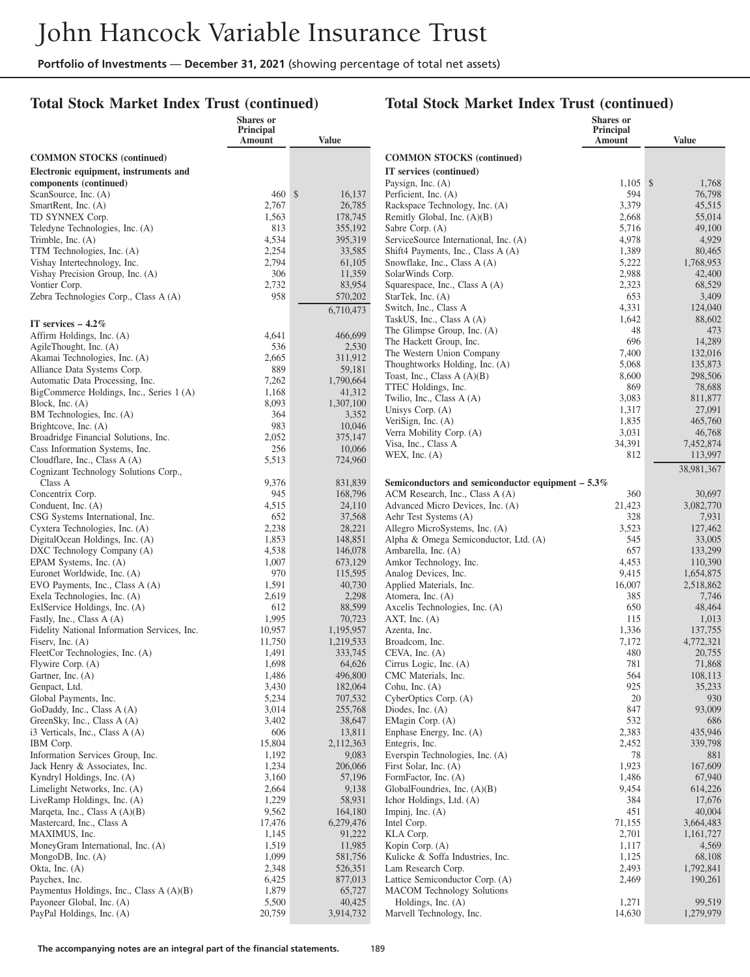# **Total Stock Market Index Trust (continued)**

|                                                                           | Shares or<br><b>Principal</b> |                     |                                                              | <b>Shares</b> or<br>Principal |                   |
|---------------------------------------------------------------------------|-------------------------------|---------------------|--------------------------------------------------------------|-------------------------------|-------------------|
|                                                                           | Amount                        | <b>Value</b>        |                                                              | Amount                        | <b>Value</b>      |
| <b>COMMON STOCKS</b> (continued)                                          |                               |                     | <b>COMMON STOCKS</b> (continued)                             |                               |                   |
| Electronic equipment, instruments and                                     |                               |                     | IT services (continued)                                      |                               |                   |
| components (continued)                                                    |                               |                     | Paysign, Inc. (A)                                            | $1.105$ \$                    | 1,768             |
| ScanSource, Inc. (A)                                                      | 460S                          | 16,137              | Perficient, Inc. (A)                                         | 594                           | 76,798            |
| SmartRent, Inc. (A)                                                       | 2,767                         | 26,785              | Rackspace Technology, Inc. (A)                               | 3,379                         | 45,515            |
| TD SYNNEX Corp.<br>Teledyne Technologies, Inc. (A)                        | 1,563<br>813                  | 178,745<br>355,192  | Remitly Global, Inc. $(A)(B)$<br>Sabre Corp. (A)             | 2,668<br>5,716                | 55,014<br>49,100  |
| Trimble, Inc. $(A)$                                                       | 4,534                         | 395,319             | ServiceSource International, Inc. (A)                        | 4,978                         | 4,929             |
| TTM Technologies, Inc. (A)                                                | 2,254                         | 33,585              | Shift4 Payments, Inc., Class A (A)                           | 1,389                         | 80,465            |
| Vishay Intertechnology, Inc.                                              | 2,794                         | 61,105              | Snowflake, Inc., Class A (A)                                 | 5,222                         | 1,768,953         |
| Vishay Precision Group, Inc. (A)                                          | 306                           | 11,359              | SolarWinds Corp.                                             | 2,988                         | 42,400            |
| Vontier Corp.                                                             | 2,732                         | 83,954              | Squarespace, Inc., Class A (A)                               | 2,323                         | 68,529            |
| Zebra Technologies Corp., Class A (A)                                     | 958                           | 570,202             | StarTek, Inc. (A)                                            | 653                           | 3,409             |
|                                                                           |                               | 6,710,473           | Switch, Inc., Class A<br>TaskUS, Inc., Class A (A)           | 4,331<br>1,642                | 124,040<br>88,602 |
| IT services $-4.2\%$                                                      |                               |                     | The Glimpse Group, Inc. (A)                                  | 48                            | 473               |
| Affirm Holdings, Inc. (A)                                                 | 4,641                         | 466,699             | The Hackett Group, Inc.                                      | 696                           | 14,289            |
| AgileThought, Inc. (A)                                                    | 536                           | 2,530               | The Western Union Company                                    | 7,400                         | 132,016           |
| Akamai Technologies, Inc. (A)<br>Alliance Data Systems Corp.              | 2,665<br>889                  | 311,912<br>59,181   | Thoughtworks Holding, Inc. (A)                               | 5,068                         | 135,873           |
| Automatic Data Processing, Inc.                                           | 7,262                         | 1,790,664           | Toast, Inc., Class $A(A)(B)$                                 | 8,600                         | 298,506           |
| BigCommerce Holdings, Inc., Series 1 (A)                                  | 1,168                         | 41,312              | TTEC Holdings, Inc.                                          | 869                           | 78,688            |
| Block, Inc. $(A)$                                                         | 8,093                         | 1,307,100           | Twilio, Inc., Class A (A)                                    | 3,083                         | 811,877           |
| BM Technologies, Inc. (A)                                                 | 364                           | 3,352               | Unisys Corp. (A)<br>VeriSign, Inc. (A)                       | 1,317<br>1,835                | 27,091<br>465,760 |
| Brightcove, Inc. (A)                                                      | 983                           | 10,046              | Verra Mobility Corp. (A)                                     | 3,031                         | 46,768            |
| Broadridge Financial Solutions, Inc.                                      | 2,052                         | 375,147             | Visa, Inc., Class A                                          | 34,391                        | 7,452,874         |
| Cass Information Systems, Inc.<br>Cloudflare, Inc., Class A (A)           | 256<br>5,513                  | 10,066<br>724,960   | WEX, Inc. $(A)$                                              | 812                           | 113,997           |
| Cognizant Technology Solutions Corp.,                                     |                               |                     |                                                              |                               | 38,981,367        |
| Class A                                                                   | 9,376                         | 831.839             | Semiconductors and semiconductor equipment $-5.3\%$          |                               |                   |
| Concentrix Corp.                                                          | 945                           | 168,796             | ACM Research, Inc., Class A (A)                              | 360                           | 30,697            |
| Conduent, Inc. (A)                                                        | 4,515                         | 24,110              | Advanced Micro Devices, Inc. (A)                             | 21,423                        | 3,082,770         |
| CSG Systems International, Inc.                                           | 652                           | 37,568              | Aehr Test Systems (A)                                        | 328                           | 7,931             |
| Cyxtera Technologies, Inc. (A)                                            | 2,238                         | 28,221              | Allegro MicroSystems, Inc. (A)                               | 3,523                         | 127,462           |
| DigitalOcean Holdings, Inc. (A)<br>DXC Technology Company (A)             | 1,853<br>4,538                | 148,851<br>146,078  | Alpha & Omega Semiconductor, Ltd. (A)<br>Ambarella, Inc. (A) | 545<br>657                    | 33,005<br>133,299 |
| EPAM Systems, Inc. (A)                                                    | 1,007                         | 673,129             | Amkor Technology, Inc.                                       | 4,453                         | 110,390           |
| Euronet Worldwide, Inc. (A)                                               | 970                           | 115,595             | Analog Devices, Inc.                                         | 9,415                         | 1,654,875         |
| EVO Payments, Inc., Class A (A)                                           | 1,591                         | 40,730              | Applied Materials, Inc.                                      | 16,007                        | 2,518,862         |
| Exela Technologies, Inc. (A)                                              | 2,619                         | 2,298               | Atomera, Inc. (A)                                            | 385                           | 7,746             |
| ExlService Holdings, Inc. (A)                                             | 612                           | 88,599              | Axcelis Technologies, Inc. (A)                               | 650                           | 48,464            |
| Fastly, Inc., Class A (A)<br>Fidelity National Information Services, Inc. | 1,995<br>10,957               | 70,723<br>1,195,957 | $AXT$ , Inc. $(A)$<br>Azenta, Inc.                           | 115<br>1,336                  | 1,013<br>137,755  |
| Fisery, Inc. $(A)$                                                        | 11,750                        | 1,219,533           | Broadcom, Inc.                                               | 7,172                         | 4,772,321         |
| FleetCor Technologies, Inc. (A)                                           | 1,491                         | 333,745             | $CEVA$ , Inc. $(A)$                                          | 480                           | 20,755            |
| Flywire Corp. (A)                                                         | 1,698                         | 64.626              | Cirrus Logic, Inc. (A)                                       | 781                           | 71,868            |
| Gartner, Inc. (A)                                                         | 1,486                         | 496,800             | CMC Materials, Inc.                                          | 564                           | 108,113           |
| Genpact, Ltd.                                                             | 3,430                         | 182,064             | Cohu, Inc. (A)                                               | 925                           | 35,233            |
| Global Payments, Inc.                                                     | 5,234                         | 707,532             | CyberOptics Corp. (A)                                        | 20                            | 930               |
| GoDaddy, Inc., Class A (A)<br>GreenSky, Inc., Class A (A)                 | 3,014<br>3,402                | 255,768<br>38,647   | Diodes, Inc. $(A)$<br>EMagin Corp. (A)                       | 847<br>532                    | 93,009<br>686     |
| i3 Verticals, Inc., Class A (A)                                           | 606                           | 13,811              | Enphase Energy, Inc. (A)                                     | 2,383                         | 435,946           |
| IBM Corp.                                                                 | 15,804                        | 2,112,363           | Entegris, Inc.                                               | 2,452                         | 339,798           |
| Information Services Group, Inc.                                          | 1,192                         | 9,083               | Everspin Technologies, Inc. (A)                              | 78                            | 881               |
| Jack Henry & Associates, Inc.                                             | 1,234                         | 206,066             | First Solar, Inc. (A)                                        | 1,923                         | 167,609           |
| Kyndryl Holdings, Inc. (A)                                                | 3,160                         | 57,196              | FormFactor, Inc. (A)                                         | 1,486                         | 67,940            |
| Limelight Networks, Inc. (A)                                              | 2,664                         | 9,138               | GlobalFoundries, Inc. (A)(B)                                 | 9,454                         | 614,226           |
| LiveRamp Holdings, Inc. (A)<br>Margeta, Inc., Class $A(A)(B)$             | 1,229<br>9,562                | 58,931<br>164,180   | Ichor Holdings, Ltd. (A)<br>Impinj, Inc. $(A)$               | 384<br>451                    | 17,676<br>40,004  |
| Mastercard, Inc., Class A                                                 | 17,476                        | 6,279,476           | Intel Corp.                                                  | 71,155                        | 3,664,483         |
| MAXIMUS, Inc.                                                             | 1,145                         | 91,222              | KLA Corp.                                                    | 2,701                         | 1,161,727         |
| MoneyGram International, Inc. (A)                                         | 1,519                         | 11,985              | Kopin Corp. (A)                                              | 1,117                         | 4,569             |
| MongoDB, Inc. $(A)$                                                       | 1,099                         | 581,756             | Kulicke & Soffa Industries, Inc.                             | 1,125                         | 68,108            |
| Okta, Inc. $(A)$                                                          | 2,348                         | 526,351             | Lam Research Corp.                                           | 2,493                         | 1,792,841         |
| Paychex, Inc.                                                             | 6,425                         | 877,013             | Lattice Semiconductor Corp. (A)                              | 2,469                         | 190,261           |
| Paymentus Holdings, Inc., Class A (A)(B)<br>Payoneer Global, Inc. (A)     | 1,879<br>5,500                | 65,727<br>40,425    | <b>MACOM</b> Technology Solutions<br>Holdings, Inc. $(A)$    | 1,271                         | 99,519            |
| PayPal Holdings, Inc. (A)                                                 | 20,759                        | 3,914,732           | Marvell Technology, Inc.                                     | 14,630                        | 1,279,979         |
|                                                                           |                               |                     |                                                              |                               |                   |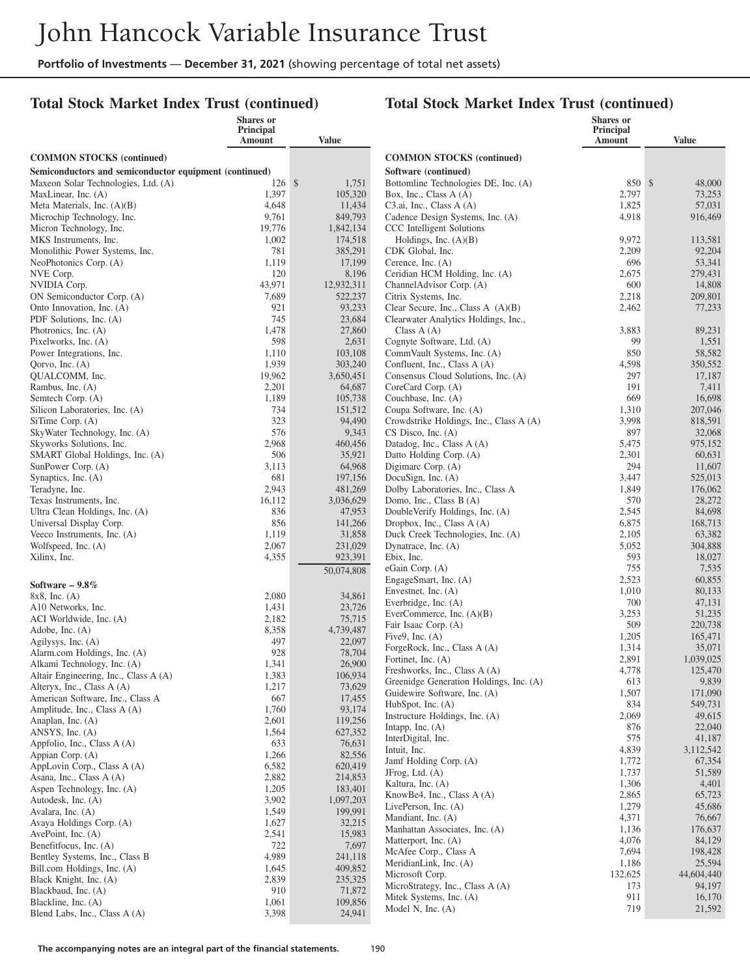#### **Total Stock Market Index Trust (continued)**

|                                                             | Shares or<br>Principal |                      |                                                                   | Shares or<br>Principal |                   |
|-------------------------------------------------------------|------------------------|----------------------|-------------------------------------------------------------------|------------------------|-------------------|
|                                                             | Amount                 | <b>Value</b>         |                                                                   | Amount                 | <b>Value</b>      |
| <b>COMMON STOCKS</b> (continued)                            |                        |                      | <b>COMMON STOCKS</b> (continued)                                  |                        |                   |
| Semiconductors and semiconductor equipment (continued)      |                        |                      | Software (continued)                                              |                        |                   |
| Maxeon Solar Technologies, Ltd. (A)                         | $126 \,$ \$            | 1,751                | Bottomline Technologies DE, Inc. (A)                              | 850 \$                 | 48,000            |
| MaxLinear, Inc. (A)                                         | 1,397                  | 105,320              | Box, Inc., Class A (A)                                            | 2,797                  | 73,253            |
| Meta Materials, Inc. (A)(B)                                 | 4,648                  | 11,434               | C3.ai, Inc., Class A (A)                                          | 1,825                  | 57,031            |
| Microchip Technology, Inc.                                  | 9,761                  | 849,793              | Cadence Design Systems, Inc. (A)                                  | 4,918                  | 916,469           |
| Micron Technology, Inc.<br>MKS Instruments, Inc.            | 19,776<br>1,002        | 1,842,134<br>174,518 | CCC Intelligent Solutions<br>Holdings, Inc. $(A)(B)$              | 9,972                  | 113,581           |
| Monolithic Power Systems, Inc.                              | 781                    | 385,291              | CDK Global, Inc.                                                  | 2,209                  | 92,204            |
| NeoPhotonics Corp. (A)                                      | 1,119                  | 17,199               | Cerence, Inc. $(A)$                                               | 696                    | 53,341            |
| NVE Corp.                                                   | 120                    | 8,196                | Ceridian HCM Holding, Inc. (A)                                    | 2,675                  | 279,431           |
| NVIDIA Corp.                                                | 43,971                 | 12,932,311           | ChannelAdvisor Corp. (A)                                          | 600                    | 14,808            |
| ON Semiconductor Corp. (A)                                  | 7,689                  | 522,237              | Citrix Systems, Inc.                                              | 2,218                  | 209,801           |
| Onto Innovation, Inc. (A)                                   | 921                    | 93,233               | Clear Secure, Inc., Class A (A)(B)                                | 2,462                  | 77,233            |
| PDF Solutions, Inc. (A)<br>Photronics, Inc. (A)             | 745<br>1,478           | 23,684<br>27,860     | Clearwater Analytics Holdings, Inc.,<br>Class $A(A)$              | 3,883                  | 89,231            |
| Pixelworks, Inc. (A)                                        | 598                    | 2,631                | Cognyte Software, Ltd. (A)                                        | 99                     | 1,551             |
| Power Integrations, Inc.                                    | 1,110                  | 103,108              | CommVault Systems, Inc. (A)                                       | 850                    | 58,582            |
| Qorvo, Inc. $(A)$                                           | 1,939                  | 303,240              | Confluent, Inc., Class A (A)                                      | 4,598                  | 350,552           |
| QUALCOMM, Inc.                                              | 19,962                 | 3,650,451            | Consensus Cloud Solutions, Inc. (A)                               | 297                    | 17,187            |
| Rambus, Inc. (A)                                            | 2,201                  | 64,687               | CoreCard Corp. (A)                                                | 191                    | 7,411             |
| Semtech Corp. (A)                                           | 1,189                  | 105,738              | Couchbase, Inc. (A)                                               | 669                    | 16,698            |
| Silicon Laboratories, Inc. (A)                              | 734                    | 151,512              | Coupa Software, Inc. (A)                                          | 1,310                  | 207,046           |
| SiTime Corp. (A)<br>SkyWater Technology, Inc. (A)           | 323<br>576             | 94,490<br>9,343      | Crowdstrike Holdings, Inc., Class A (A)<br>$CS$ Disco, Inc. $(A)$ | 3,998<br>897           | 818,591<br>32,068 |
| Skyworks Solutions, Inc.                                    | 2,968                  | 460,456              | Datadog, Inc., Class A (A)                                        | 5,475                  | 975,152           |
| SMART Global Holdings, Inc. (A)                             | 506                    | 35,921               | Datto Holding Corp. (A)                                           | 2,301                  | 60,631            |
| SunPower Corp. (A)                                          | 3,113                  | 64,968               | Digimarc Corp. (A)                                                | 294                    | 11,607            |
| Synaptics, Inc. (A)                                         | 681                    | 197,156              | DocuSign, Inc. (A)                                                | 3,447                  | 525,013           |
| Teradyne, Inc.                                              | 2,943                  | 481,269              | Dolby Laboratories, Inc., Class A                                 | 1,849                  | 176,062           |
| Texas Instruments, Inc.                                     | 16,112                 | 3,036,629            | Domo, Inc., Class B (A)                                           | 570                    | 28,272            |
| Ultra Clean Holdings, Inc. (A)                              | 836                    | 47,953               | DoubleVerify Holdings, Inc. (A)                                   | 2,545                  | 84,698            |
| Universal Display Corp.<br>Veeco Instruments, Inc. (A)      | 856<br>1,119           | 141,266<br>31,858    | Dropbox, Inc., Class A (A)<br>Duck Creek Technologies, Inc. (A)   | 6,875<br>2,105         | 168,713<br>63,382 |
| Wolfspeed, Inc. (A)                                         | 2,067                  | 231,029              | Dynatrace, Inc. (A)                                               | 5,052                  | 304,888           |
| Xilinx, Inc.                                                | 4,355                  | 923,391              | Ebix, Inc.                                                        | 593                    | 18,027            |
|                                                             |                        | 50,074,808           | eGain Corp. (A)                                                   | 755                    | 7,535             |
| Software $-9.8\%$                                           |                        |                      | EngageSmart, Inc. (A)                                             | 2,523                  | 60,855            |
| $8x8$ , Inc. (A)                                            | 2,080                  | 34,861               | Envestnet, Inc. $(A)$                                             | 1,010                  | 80,133            |
| A10 Networks, Inc.                                          | 1,431                  | 23,726               | Everbridge, Inc. (A)                                              | 700                    | 47,131            |
| ACI Worldwide, Inc. (A)                                     | 2,182                  | 75,715               | EverCommerce, Inc. $(A)(B)$<br>Fair Isaac Corp. (A)               | 3,253<br>509           | 51,235<br>220,738 |
| Adobe, Inc. $(A)$                                           | 8,358                  | 4,739,487            | Five $9$ , Inc. $(A)$                                             | 1,205                  | 165,471           |
| Agilysys, Inc. (A)                                          | 497                    | 22,097               | ForgeRock, Inc., Class A (A)                                      | 1,314                  | 35,071            |
| Alarm.com Holdings, Inc. (A)<br>Alkami Technology, Inc. (A) | 928<br>1,341           | 78,704<br>26,900     | Fortinet, Inc. (A)                                                | 2,891                  | 1,039,025         |
| Altair Engineering, Inc., Class A (A)                       | 1,383                  | 106,934              | Freshworks, Inc., Class A (A)                                     | 4,778                  | 125,470           |
| Alteryx, Inc., Class A (A)                                  | 1,217                  | 73,629               | Greenidge Generation Holdings, Inc. (A)                           | 613                    | 9,839             |
| American Software, Inc., Class A                            | 667                    | 17,455               | Guidewire Software, Inc. (A)                                      | 1,507<br>834           | 171,090           |
| Amplitude, Inc., Class A (A)                                | 1,760                  | 93,174               | HubSpot, Inc. (A)<br>Instructure Holdings, Inc. (A)               | 2,069                  | 549,731<br>49,615 |
| Anaplan, Inc. (A)                                           | 2,601                  | 119,256              | Intapp, Inc. $(A)$                                                | 876                    | 22,040            |
| ANSYS, Inc. (A)                                             | 1,564                  | 627,352              | InterDigital, Inc.                                                | 575                    | 41,187            |
| Appfolio, Inc., Class A (A)<br>Appian Corp. (A)             | 633<br>1,266           | 76,631<br>82,556     | Intuit, Inc.                                                      | 4,839                  | 3,112,542         |
| AppLovin Corp., Class A (A)                                 | 6,582                  | 620,419              | Jamf Holding Corp. (A)                                            | 1,772                  | 67,354            |
| Asana, Inc., Class A (A)                                    | 2,882                  | 214,853              | J $Frog, Ltd. (A)$                                                | 1,737                  | 51,589            |
| Aspen Technology, Inc. (A)                                  | 1,205                  | 183,401              | Kaltura, Inc. (A)                                                 | 1,306                  | 4,401             |
| Autodesk, Inc. (A)                                          | 3,902                  | 1,097,203            | KnowBe4, Inc., Class A (A)<br>LivePerson, Inc. (A)                | 2,865<br>1,279         | 65,723<br>45,686  |
| Avalara, Inc. (A)                                           | 1,549                  | 199,991              | Mandiant, Inc. (A)                                                | 4,371                  | 76,667            |
| Avaya Holdings Corp. (A)                                    | 1,627                  | 32,215               | Manhattan Associates, Inc. (A)                                    | 1,136                  | 176,637           |
| AvePoint, Inc. $(A)$<br>Benefitfocus, Inc. (A)              | 2,541<br>722           | 15,983<br>7,697      | Matterport, Inc. (A)                                              | 4,076                  | 84,129            |
| Bentley Systems, Inc., Class B                              | 4,989                  | 241,118              | McAfee Corp., Class A                                             | 7,694                  | 198,428           |
| Bill.com Holdings, Inc. (A)                                 | 1,645                  | 409,852              | MeridianLink, Inc. (A)                                            | 1,186                  | 25,594            |
| Black Knight, Inc. (A)                                      | 2,839                  | 235,325              | Microsoft Corp.                                                   | 132,625                | 44,604,440        |
| Blackbaud, Inc. (A)                                         | 910                    | 71,872               | MicroStrategy, Inc., Class A (A)<br>Mitek Systems, Inc. (A)       | 173<br>911             | 94,197<br>16,170  |
| Blackline, Inc. (A)                                         | 1,061                  | 109,856              | Model N, Inc. $(A)$                                               | 719                    | 21,592            |
| Blend Labs, Inc., Class A (A)                               | 3,398                  | 24,941               |                                                                   |                        |                   |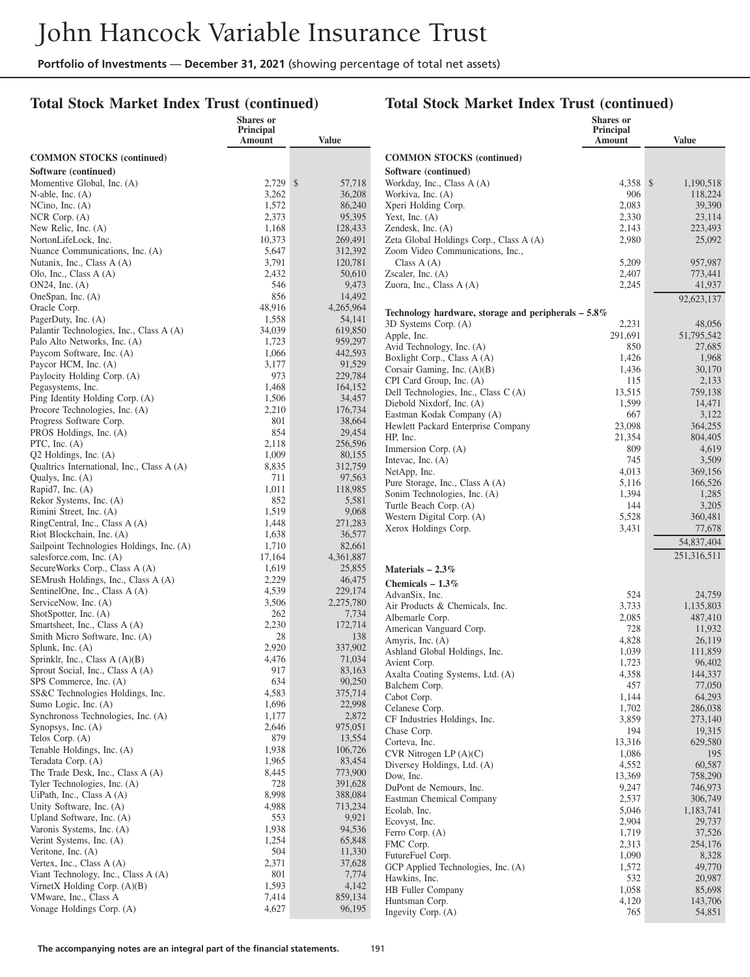# **Total Stock Market Index Trust (continued)**

|                                                         | <b>Shares</b> or<br>Principal |                     |                                                                  | Shares or<br>Principal |                     |
|---------------------------------------------------------|-------------------------------|---------------------|------------------------------------------------------------------|------------------------|---------------------|
|                                                         | Amount                        | <b>Value</b>        |                                                                  | Amount                 | <b>Value</b>        |
| <b>COMMON STOCKS</b> (continued)                        |                               |                     | <b>COMMON STOCKS</b> (continued)                                 |                        |                     |
| Software (continued)                                    |                               |                     | Software (continued)                                             |                        |                     |
| Momentive Global, Inc. (A)                              | $2.729$ \$                    | 57,718              | Workday, Inc., Class A (A)                                       | 4,358 \$               | 1,190,518           |
| N-able, Inc. $(A)$                                      | 3,262                         | 36,208              | Workiva, Inc. (A)                                                | 906                    | 118,224             |
| NCino, Inc. $(A)$                                       | 1,572                         | 86,240              | Xperi Holding Corp.                                              | 2,083                  | 39,390              |
| $NCR$ Corp. $(A)$                                       | 2,373                         | 95,395              | Yext, Inc. $(A)$                                                 | 2,330                  | 23,114              |
| New Relic, Inc. (A)                                     | 1,168                         | 128,433             | Zendesk, Inc. $(A)$                                              | 2,143                  | 223,493             |
| NortonLifeLock, Inc.                                    | 10,373                        | 269,491             | Zeta Global Holdings Corp., Class A (A)                          | 2,980                  | 25,092              |
| Nuance Communications, Inc. (A)                         | 5,647                         | 312,392             | Zoom Video Communications, Inc.,                                 |                        |                     |
| Nutanix, Inc., Class A (A)                              | 3,791                         | 120,781             | Class $A(A)$                                                     | 5,209                  | 957,987             |
| Olo, Inc., Class A (A)                                  | 2,432                         | 50,610              | Zscaler, Inc. $(A)$                                              | 2,407                  | 773,441             |
| $ON24$ , Inc. $(A)$                                     | 546                           | 9,473               | Zuora, Inc., Class A (A)                                         | 2,245                  | 41,937              |
| OneSpan, Inc. (A)                                       | 856                           | 14,492              |                                                                  |                        | 92,623,137          |
| Oracle Corp.<br>PagerDuty, Inc. (A)                     | 48,916<br>1,558               | 4,265,964<br>54,141 | Technology hardware, storage and peripherals $-5.8\%$            |                        |                     |
| Palantir Technologies, Inc., Class A (A)                | 34,039                        | 619,850             | 3D Systems Corp. (A)                                             | 2,231                  | 48,056              |
| Palo Alto Networks, Inc. (A)                            | 1,723                         | 959,297             | Apple, Inc.                                                      | 291,691                | 51,795,542          |
| Paycom Software, Inc. (A)                               | 1,066                         | 442,593             | Avid Technology, Inc. (A)                                        | 850                    | 27,685              |
| Paycor HCM, Inc. (A)                                    | 3,177                         | 91,529              | Boxlight Corp., Class A (A)                                      | 1,426                  | 1,968               |
| Paylocity Holding Corp. (A)                             | 973                           | 229,784             | Corsair Gaming, Inc. (A)(B)                                      | 1,436                  | 30,170              |
| Pegasystems, Inc.                                       | 1,468                         | 164,152             | CPI Card Group, Inc. (A)<br>Dell Technologies, Inc., Class C (A) | 115<br>13,515          | 2,133<br>759.138    |
| Ping Identity Holding Corp. (A)                         | 1,506                         | 34,457              | Diebold Nixdorf, Inc. (A)                                        | 1,599                  | 14,471              |
| Procore Technologies, Inc. (A)                          | 2,210                         | 176,734             | Eastman Kodak Company (A)                                        | 667                    | 3,122               |
| Progress Software Corp.                                 | 801                           | 38,664              | Hewlett Packard Enterprise Company                               | 23,098                 | 364,255             |
| PROS Holdings, Inc. (A)                                 | 854                           | 29,454              | HP, Inc.                                                         | 21,354                 | 804,405             |
| PTC, Inc. $(A)$                                         | 2,118                         | 256,596             | Immersion Corp. (A)                                              | 809                    | 4,619               |
| $Q2$ Holdings, Inc. $(A)$                               | 1,009                         | 80,155              | Intevac, Inc. $(A)$                                              | 745                    | 3,509               |
| Qualtrics International, Inc., Class A (A)              | 8,835<br>711                  | 312,759<br>97,563   | NetApp, Inc.                                                     | 4,013                  | 369,156             |
| Qualys, Inc. (A)<br>Rapid7, Inc. (A)                    | 1,011                         | 118,985             | Pure Storage, Inc., Class A (A)                                  | 5,116                  | 166,526             |
| Rekor Systems, Inc. (A)                                 | 852                           | 5,581               | Sonim Technologies, Inc. (A)                                     | 1,394                  | 1,285               |
| Rimini Street, Inc. (A)                                 | 1,519                         | 9,068               | Turtle Beach Corp. (A)                                           | 144                    | 3,205               |
| RingCentral, Inc., Class A (A)                          | 1,448                         | 271,283             | Western Digital Corp. (A)                                        | 5,528                  | 360,481             |
| Riot Blockchain, Inc. (A)                               | 1,638                         | 36,577              | Xerox Holdings Corp.                                             | 3,431                  | 77,678              |
| Sailpoint Technologies Holdings, Inc. (A)               | 1,710                         | 82,661              |                                                                  |                        | 54,837,404          |
| salesforce.com, Inc. (A)                                | 17,164                        | 4,361,887           |                                                                  |                        | 251,316,511         |
| SecureWorks Corp., Class A (A)                          | 1,619                         | 25,855              | Materials $-2.3\%$                                               |                        |                     |
| SEMrush Holdings, Inc., Class A (A)                     | 2,229                         | 46,475              | Chemicals $-1.3\%$                                               |                        |                     |
| SentinelOne, Inc., Class A (A)                          | 4,539                         | 229,174             | AdvanSix, Inc.                                                   | 524                    | 24,759              |
| ServiceNow, Inc. (A)                                    | 3,506                         | 2,275,780           | Air Products & Chemicals, Inc.                                   | 3,733                  | 1,135,803           |
| ShotSpotter, Inc. (A)<br>Smartsheet, Inc., Class A (A)  | 262<br>2,230                  | 7,734<br>172,714    | Albemarle Corp.                                                  | 2,085                  | 487,410             |
| Smith Micro Software, Inc. (A)                          | 28                            | 138                 | American Vanguard Corp.                                          | 728                    | 11,932              |
| Splunk, Inc. (A)                                        | 2,920                         | 337,902             | Amyris, Inc. (A)                                                 | 4,828                  | 26,119              |
| Sprinklr, Inc., Class $A(A)(B)$                         | 4,476                         | 71,034              | Ashland Global Holdings, Inc.                                    | 1,039                  | 111,859             |
| Sprout Social, Inc., Class A (A)                        | 917                           | 83,163              | Avient Corp.<br>Axalta Coating Systems, Ltd. (A)                 | 1,723<br>4,358         | 96,402<br>144,337   |
| SPS Commerce, Inc. (A)                                  | 634                           | 90,250              | Balchem Corp.                                                    | 457                    | 77,050              |
| SS&C Technologies Holdings, Inc.                        | 4,583                         | 375,714             | Cabot Corp.                                                      | 1,144                  | 64,293              |
| Sumo Logic, Inc. (A)                                    | 1,696                         | 22,998              | Celanese Corp.                                                   | 1,702                  | 286,038             |
| Synchronoss Technologies, Inc. (A)                      | 1,177                         | 2,872               | CF Industries Holdings, Inc.                                     | 3,859                  | 273,140             |
| Synopsys, Inc. (A)                                      | 2,646                         | 975,051             | Chase Corp.                                                      | 194                    | 19,315              |
| Telos Corp. (A)                                         | 879                           | 13,554              | Corteva, Inc.                                                    | 13,316                 | 629,580             |
| Tenable Holdings, Inc. (A)                              | 1,938                         | 106,726             | CVR Nitrogen LP $(A)(C)$                                         | 1,086                  | 195                 |
| Teradata Corp. (A)<br>The Trade Desk, Inc., Class A (A) | 1,965<br>8,445                | 83,454<br>773,900   | Diversey Holdings, Ltd. (A)                                      | 4,552                  | 60,587              |
| Tyler Technologies, Inc. (A)                            | 728                           | 391,628             | Dow, Inc.                                                        | 13,369                 | 758,290             |
| UiPath, Inc., Class $A(A)$                              | 8,998                         | 388,084             | DuPont de Nemours, Inc.                                          | 9,247                  | 746,973             |
| Unity Software, Inc. (A)                                | 4,988                         | 713,234             | Eastman Chemical Company                                         | 2,537                  | 306,749             |
| Upland Software, Inc. (A)                               | 553                           | 9,921               | Ecolab, Inc.<br>Ecovyst, Inc.                                    | 5,046<br>2,904         | 1,183,741<br>29,737 |
| Varonis Systems, Inc. (A)                               | 1,938                         | 94,536              | Ferro Corp. (A)                                                  | 1,719                  | 37,526              |
| Verint Systems, Inc. (A)                                | 1,254                         | 65,848              | FMC Corp.                                                        | 2,313                  | 254,176             |
| Veritone, Inc. $(A)$                                    | 504                           | 11,330              | FutureFuel Corp.                                                 | 1,090                  | 8,328               |
| Vertex, Inc., Class $A(A)$                              | 2,371                         | 37,628              | GCP Applied Technologies, Inc. (A)                               | 1,572                  | 49,770              |
| Viant Technology, Inc., Class A (A)                     | 801                           | 7,774               | Hawkins, Inc.                                                    | 532                    | 20,987              |
| VirnetX Holding Corp. $(A)(B)$                          | 1,593                         | 4,142               | HB Fuller Company                                                | 1,058                  | 85,698              |
| VMware, Inc., Class A                                   | 7,414                         | 859,134             | Huntsman Corp.                                                   | 4,120                  | 143,706             |
| Vonage Holdings Corp. (A)                               | 4,627                         | 96,195              | Ingevity Corp. (A)                                               | 765                    | 54,851              |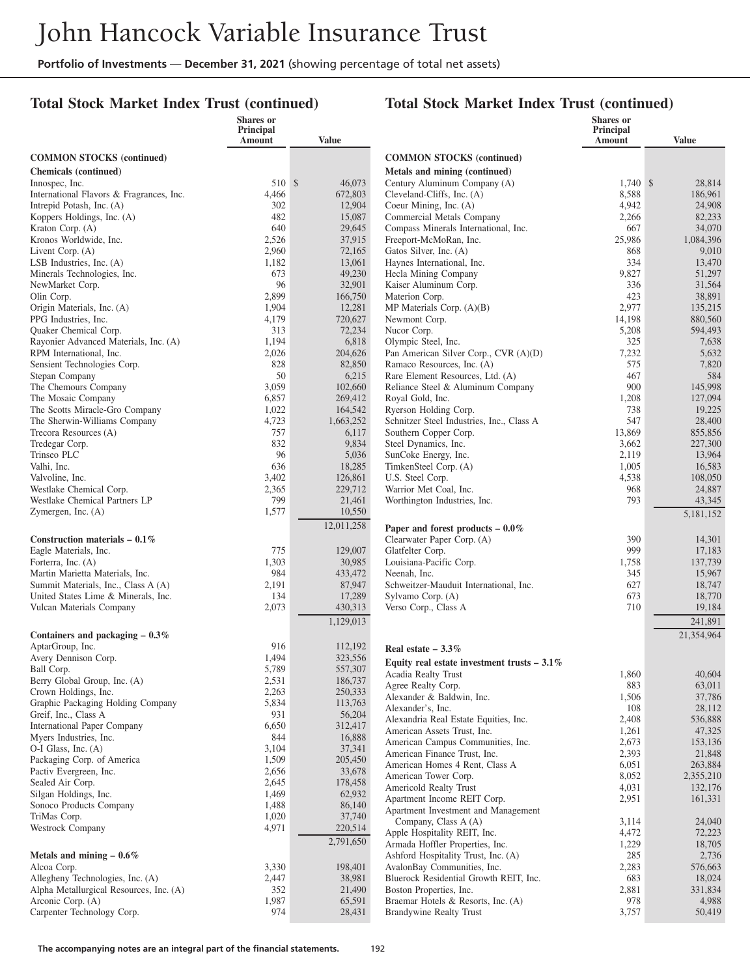#### **Total Stock Market Index Trust (continued)**

# **Total Stock Market Index Trust (continued)**

|                                                            | Shares or<br>Principal<br>Amount | <b>Value</b>      |                                                | Shares or<br>Principal<br>Amount | <b>Value</b>         |
|------------------------------------------------------------|----------------------------------|-------------------|------------------------------------------------|----------------------------------|----------------------|
| <b>COMMON STOCKS (continued)</b>                           |                                  |                   | <b>COMMON STOCKS (continued)</b>               |                                  |                      |
| <b>Chemicals</b> (continued)                               |                                  |                   | Metals and mining (continued)                  |                                  |                      |
| Innospec, Inc.                                             | 510 \$                           | 46,073            | Century Aluminum Company (A)                   | 1,740S                           | 28,814               |
| International Flavors & Fragrances, Inc.                   | 4,466                            | 672,803           | Cleveland-Cliffs, Inc. (A)                     | 8,588                            | 186,961              |
| Intrepid Potash, Inc. (A)                                  | 302                              | 12,904            | Coeur Mining, Inc. (A)                         | 4,942                            | 24,908               |
| Koppers Holdings, Inc. (A)                                 | 482                              | 15,087            | Commercial Metals Company                      | 2,266                            | 82,233               |
| Kraton Corp. (A)                                           | 640                              | 29,645            | Compass Minerals International, Inc.           | 667                              | 34,070               |
| Kronos Worldwide, Inc.                                     | 2,526                            | 37,915            | Freeport-McMoRan, Inc.                         | 25,986                           | 1.084.396            |
| Livent Corp. (A)                                           | 2,960                            | 72,165            | Gatos Silver, Inc. (A)                         | 868                              | 9,010                |
| LSB Industries, Inc. $(A)$                                 | 1,182                            | 13,061            | Haynes International, Inc.                     | 334                              | 13,470               |
| Minerals Technologies, Inc.<br>NewMarket Corp.             | 673<br>96                        | 49,230<br>32,901  | Hecla Mining Company<br>Kaiser Aluminum Corp.  | 9,827<br>336                     | 51,297<br>31,564     |
| Olin Corp.                                                 | 2,899                            | 166,750           | Materion Corp.                                 | 423                              | 38,891               |
| Origin Materials, Inc. (A)                                 | 1,904                            | 12,281            | MP Materials Corp. $(A)(B)$                    | 2,977                            | 135,215              |
| PPG Industries, Inc.                                       | 4,179                            | 720,627           | Newmont Corp.                                  | 14,198                           | 880,560              |
| Quaker Chemical Corp.                                      | 313                              | 72,234            | Nucor Corp.                                    | 5,208                            | 594,493              |
| Rayonier Advanced Materials, Inc. (A)                      | 1,194                            | 6,818             | Olympic Steel, Inc.                            | 325                              | 7,638                |
| RPM International, Inc.                                    | 2,026                            | 204,626           | Pan American Silver Corp., CVR (A)(D)          | 7,232                            | 5,632                |
| Sensient Technologies Corp.                                | 828                              | 82,850            | Ramaco Resources, Inc. (A)                     | 575                              | 7,820                |
| Stepan Company                                             | 50                               | 6,215             | Rare Element Resources, Ltd. (A)               | 467                              | 584                  |
| The Chemours Company                                       | 3,059                            | 102,660           | Reliance Steel & Aluminum Company              | 900                              | 145,998              |
| The Mosaic Company                                         | 6,857                            | 269,412           | Royal Gold, Inc.                               | 1,208                            | 127,094              |
| The Scotts Miracle-Gro Company                             | 1,022                            | 164,542           | Ryerson Holding Corp.                          | 738                              | 19,225               |
| The Sherwin-Williams Company                               | 4,723                            | 1,663,252         | Schnitzer Steel Industries, Inc., Class A      | 547                              | 28,400               |
| Trecora Resources (A)                                      | 757<br>832                       | 6,117<br>9,834    | Southern Copper Corp.                          | 13,869<br>3,662                  | 855,856              |
| Tredegar Corp.<br>Trinseo PLC                              | 96                               | 5,036             | Steel Dynamics, Inc.<br>SunCoke Energy, Inc.   | 2,119                            | 227,300<br>13,964    |
| Valhi, Inc.                                                | 636                              | 18,285            | TimkenSteel Corp. (A)                          | 1,005                            | 16,583               |
| Valvoline, Inc.                                            | 3,402                            | 126,861           | U.S. Steel Corp.                               | 4,538                            | 108,050              |
| Westlake Chemical Corp.                                    | 2,365                            | 229,712           | Warrior Met Coal, Inc.                         | 968                              | 24,887               |
| Westlake Chemical Partners LP                              | 799                              | 21,461            | Worthington Industries, Inc.                   | 793                              | 43,345               |
| Zymergen, Inc. $(A)$                                       | 1,577                            | 10,550            |                                                |                                  | 5,181,152            |
|                                                            |                                  | 12,011,258        | Paper and forest products $-0.0\%$             |                                  |                      |
| Construction materials $-0.1\%$                            |                                  |                   | Clearwater Paper Corp. (A)                     | 390                              | 14,301               |
| Eagle Materials, Inc.                                      | 775                              | 129,007           | Glatfelter Corp.                               | 999                              | 17,183               |
| Forterra, Inc. (A)                                         | 1,303                            | 30,985            | Louisiana-Pacific Corp.                        | 1,758                            | 137,739              |
| Martin Marietta Materials, Inc.                            | 984                              | 433,472           | Neenah, Inc.                                   | 345                              | 15,967               |
| Summit Materials, Inc., Class A (A)                        | 2,191                            | 87,947            | Schweitzer-Mauduit International, Inc.         | 627                              | 18,747               |
| United States Lime & Minerals, Inc.                        | 134                              | 17,289            | Sylvamo Corp. (A)                              | 673                              | 18,770               |
| Vulcan Materials Company                                   | 2,073                            | 430,313           | Verso Corp., Class A                           | 710                              | 19,184               |
|                                                            |                                  | 1,129,013         |                                                |                                  | 241,891              |
| Containers and packaging $-0.3\%$                          |                                  |                   |                                                |                                  | 21,354,964           |
| AptarGroup, Inc.                                           | 916                              | 112,192           | Real estate $-3.3\%$                           |                                  |                      |
| Avery Dennison Corp.                                       | 1,494                            | 323,556           | Equity real estate investment trusts $-3.1\%$  |                                  |                      |
| Ball Corp.                                                 | 5,789                            | 557,307           | Acadia Realty Trust                            | 1,860                            | 40,604               |
| Berry Global Group, Inc. (A)                               | 2,531                            | 186,737           | Agree Realty Corp.                             | 883                              | 63,011               |
| Crown Holdings, Inc.                                       | 2,263                            | 250,333           | Alexander & Baldwin, Inc.                      | 1,506                            | 37,786               |
| Graphic Packaging Holding Company                          | 5,834<br>931                     | 113,763           | Alexander's, Inc.                              | 108                              | 28,112               |
| Greif, Inc., Class A<br><b>International Paper Company</b> | 6,650                            | 56,204<br>312,417 | Alexandria Real Estate Equities, Inc.          | 2,408                            | 536,888              |
| Myers Industries, Inc.                                     | 844                              | 16,888            | American Assets Trust, Inc.                    | 1,261                            | 47,325               |
| O-I Glass, Inc. (A)                                        | 3,104                            | 37,341            | American Campus Communities, Inc.              | 2,673                            | 153,136              |
| Packaging Corp. of America                                 | 1,509                            | 205,450           | American Finance Trust, Inc.                   | 2,393                            | 21,848               |
| Pactiv Evergreen, Inc.                                     | 2,656                            | 33,678            | American Homes 4 Rent, Class A                 | 6,051                            | 263,884              |
| Sealed Air Corp.                                           | 2,645                            | 178,458           | American Tower Corp.<br>Americold Realty Trust | 8,052<br>4,031                   | 2,355,210<br>132,176 |
| Silgan Holdings, Inc.                                      | 1,469                            | 62,932            | Apartment Income REIT Corp.                    | 2,951                            | 161,331              |
| Sonoco Products Company                                    | 1,488                            | 86,140            | Apartment Investment and Management            |                                  |                      |
| TriMas Corp.                                               | 1,020                            | 37,740            | Company, Class A (A)                           | 3,114                            | 24,040               |
| Westrock Company                                           | 4,971                            | 220,514           | Apple Hospitality REIT, Inc.                   | 4,472                            | 72,223               |
|                                                            |                                  | 2,791,650         | Armada Hoffler Properties, Inc.                | 1,229                            | 18,705               |
| Metals and mining $-0.6\%$                                 |                                  |                   | Ashford Hospitality Trust, Inc. (A)            | 285                              | 2,736                |
| Alcoa Corp.                                                | 3,330                            | 198,401           | AvalonBay Communities, Inc.                    | 2,283                            | 576,663              |
| Allegheny Technologies, Inc. (A)                           | 2,447                            | 38,981            | Bluerock Residential Growth REIT, Inc.         | 683                              | 18,024               |
| Alpha Metallurgical Resources, Inc. (A)                    | 352                              | 21,490            | Boston Properties, Inc.                        | 2,881                            | 331,834              |
| Arconic Corp. (A)                                          | 1,987                            | 65,591            | Braemar Hotels & Resorts, Inc. (A)             | 978                              | 4,988                |
| Carpenter Technology Corp.                                 | 974                              | 28,431            | Brandywine Realty Trust                        | 3,757                            | 50,419               |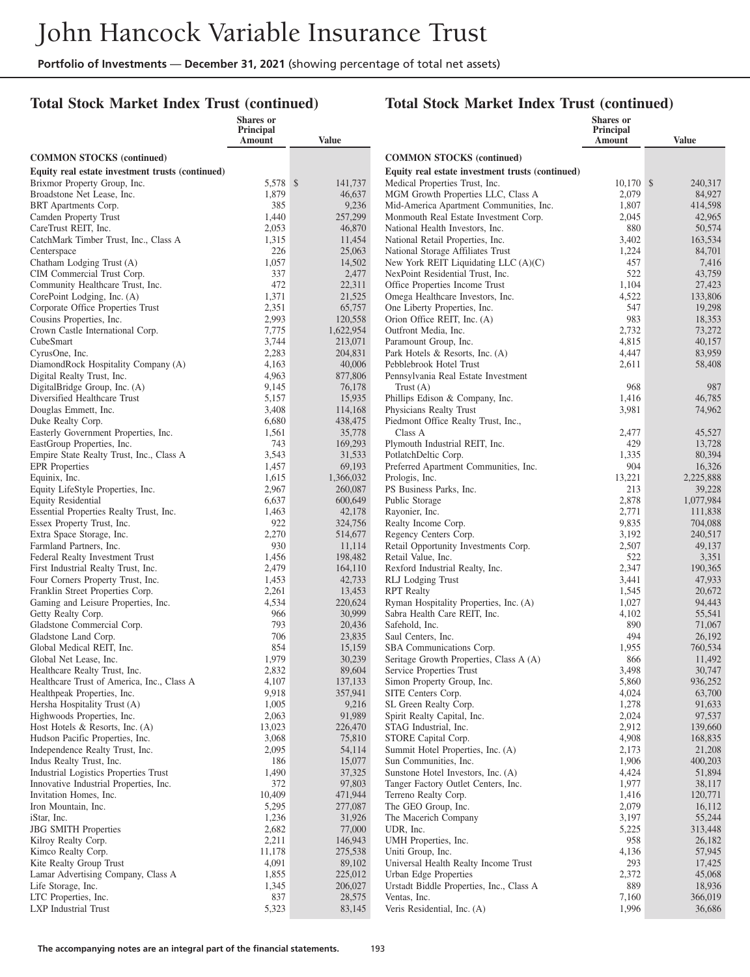#### **Total Stock Market Index Trust (continued)**

|                                                                                 | <b>Shares</b> or<br>Principal |           |                    |                                                                           | <b>Shares</b> or<br>Principal |                      |
|---------------------------------------------------------------------------------|-------------------------------|-----------|--------------------|---------------------------------------------------------------------------|-------------------------------|----------------------|
|                                                                                 | Amount                        | Value     |                    |                                                                           | Amount                        | <b>Value</b>         |
| <b>COMMON STOCKS (continued)</b>                                                |                               |           |                    | <b>COMMON STOCKS (continued)</b>                                          |                               |                      |
| Equity real estate investment trusts (continued)                                |                               |           |                    | Equity real estate investment trusts (continued)                          |                               |                      |
| Brixmor Property Group, Inc.                                                    | 5,578 \$                      |           | 141,737            | Medical Properties Trust, Inc.                                            | $10,170$ \$                   | 240,317              |
| Broadstone Net Lease, Inc.                                                      | 1,879                         |           | 46,637             | MGM Growth Properties LLC, Class A                                        | 2,079                         | 84,927               |
| BRT Apartments Corp.                                                            | 385                           |           | 9,236              | Mid-America Apartment Communities, Inc.                                   | 1,807                         | 414,598              |
| Camden Property Trust<br>CareTrust REIT, Inc.                                   | 1,440<br>2,053                |           | 257,299<br>46,870  | Monmouth Real Estate Investment Corp.<br>National Health Investors, Inc.  | 2,045<br>880                  | 42,965<br>50,574     |
| CatchMark Timber Trust, Inc., Class A                                           | 1,315                         |           | 11,454             | National Retail Properties, Inc.                                          | 3,402                         | 163,534              |
| Centerspace                                                                     | 226                           |           | 25,063             | National Storage Affiliates Trust                                         | 1,224                         | 84,701               |
| Chatham Lodging Trust (A)                                                       | 1,057                         |           | 14,502             | New York REIT Liquidating LLC $(A)(C)$                                    | 457                           | 7,416                |
| CIM Commercial Trust Corp.                                                      | 337                           |           | 2,477              | NexPoint Residential Trust, Inc.                                          | 522                           | 43,759               |
| Community Healthcare Trust, Inc.                                                | 472                           |           | 22,311             | Office Properties Income Trust                                            | 1,104                         | 27,423               |
| CorePoint Lodging, Inc. (A)                                                     | 1,371                         |           | 21,525             | Omega Healthcare Investors, Inc.                                          | 4,522                         | 133,806              |
| Corporate Office Properties Trust<br>Cousins Properties, Inc.                   | 2,351<br>2,993                |           | 65,757<br>120,558  | One Liberty Properties, Inc.<br>Orion Office REIT, Inc. (A)               | 547<br>983                    | 19,298<br>18,353     |
| Crown Castle International Corp.                                                | 7,775                         | 1,622,954 |                    | Outfront Media, Inc.                                                      | 2,732                         | 73,272               |
| CubeSmart                                                                       | 3,744                         |           | 213,071            | Paramount Group, Inc.                                                     | 4,815                         | 40,157               |
| CyrusOne, Inc.                                                                  | 2,283                         |           | 204,831            | Park Hotels & Resorts, Inc. (A)                                           | 4,447                         | 83,959               |
| DiamondRock Hospitality Company (A)                                             | 4,163                         |           | 40,006             | Pebblebrook Hotel Trust                                                   | 2,611                         | 58,408               |
| Digital Realty Trust, Inc.                                                      | 4,963                         |           | 877,806            | Pennsylvania Real Estate Investment                                       |                               |                      |
| DigitalBridge Group, Inc. (A)                                                   | 9,145                         |           | 76,178             | Trust $(A)$                                                               | 968                           | 987                  |
| Diversified Healthcare Trust                                                    | 5,157                         |           | 15,935             | Phillips Edison & Company, Inc.                                           | 1,416                         | 46,785               |
| Douglas Emmett, Inc.<br>Duke Realty Corp.                                       | 3,408<br>6,680                |           | 114,168<br>438,475 | Physicians Realty Trust<br>Piedmont Office Realty Trust, Inc.,            | 3,981                         | 74,962               |
| Easterly Government Properties, Inc.                                            | 1,561                         |           | 35,778             | Class A                                                                   | 2,477                         | 45,527               |
| EastGroup Properties, Inc.                                                      | 743                           |           | 169,293            | Plymouth Industrial REIT, Inc.                                            | 429                           | 13,728               |
| Empire State Realty Trust, Inc., Class A                                        | 3,543                         |           | 31,533             | PotlatchDeltic Corp.                                                      | 1,335                         | 80,394               |
| <b>EPR</b> Properties                                                           | 1,457                         |           | 69,193             | Preferred Apartment Communities, Inc.                                     | 904                           | 16,326               |
| Equinix, Inc.                                                                   | 1,615                         | 1,366,032 |                    | Prologis, Inc.                                                            | 13,221                        | 2,225,888            |
| Equity LifeStyle Properties, Inc.                                               | 2,967                         |           | 260,087            | PS Business Parks, Inc.                                                   | 213                           | 39,228               |
| <b>Equity Residential</b><br>Essential Properties Realty Trust, Inc.            | 6,637<br>1,463                |           | 600,649<br>42,178  | Public Storage<br>Rayonier, Inc.                                          | 2,878<br>2,771                | 1,077,984<br>111,838 |
| Essex Property Trust, Inc.                                                      | 922                           |           | 324,756            | Realty Income Corp.                                                       | 9,835                         | 704,088              |
| Extra Space Storage, Inc.                                                       | 2,270                         |           | 514,677            | Regency Centers Corp.                                                     | 3,192                         | 240,517              |
| Farmland Partners, Inc.                                                         | 930                           |           | 11,114             | Retail Opportunity Investments Corp.                                      | 2,507                         | 49,137               |
| Federal Realty Investment Trust                                                 | 1,456                         |           | 198,482            | Retail Value, Inc.                                                        | 522                           | 3,351                |
| First Industrial Realty Trust, Inc.                                             | 2,479                         |           | 164,110            | Rexford Industrial Realty, Inc.                                           | 2,347                         | 190,365              |
| Four Corners Property Trust, Inc.                                               | 1,453                         |           | 42,733             | RLJ Lodging Trust                                                         | 3,441                         | 47,933               |
| Franklin Street Properties Corp.<br>Gaming and Leisure Properties, Inc.         | 2,261<br>4,534                |           | 13,453<br>220,624  | <b>RPT</b> Realty<br>Ryman Hospitality Properties, Inc. (A)               | 1,545<br>1,027                | 20,672<br>94,443     |
| Getty Realty Corp.                                                              | 966                           |           | 30,999             | Sabra Health Care REIT, Inc.                                              | 4,102                         | 55,541               |
| Gladstone Commercial Corp.                                                      | 793                           |           | 20,436             | Safehold, Inc.                                                            | 890                           | 71,067               |
| Gladstone Land Corp.                                                            | 706                           |           | 23,835             | Saul Centers, Inc.                                                        | 494                           | 26,192               |
| Global Medical REIT, Inc.                                                       | 854                           |           | 15,159             | SBA Communications Corp.                                                  | 1,955                         | 760,534              |
| Global Net Lease, Inc.                                                          | 1,979                         |           | 30,239             | Seritage Growth Properties, Class A (A)                                   | 866                           | 11,492               |
| Healthcare Realty Trust, Inc.                                                   | 2,832                         |           | 89,604             | Service Properties Trust                                                  | 3,498                         | 30,747               |
| Healthcare Trust of America, Inc., Class A<br>Healthpeak Properties, Inc.       | 4,107<br>9,918                |           | 137,133<br>357,941 | Simon Property Group, Inc.<br>SITE Centers Corp.                          | 5,860<br>4,024                | 936,252<br>63,700    |
| Hersha Hospitality Trust (A)                                                    | 1,005                         |           | 9,216              | SL Green Realty Corp.                                                     | 1,278                         | 91,633               |
| Highwoods Properties, Inc.                                                      | 2,063                         |           | 91,989             | Spirit Realty Capital, Inc.                                               | 2,024                         | 97,537               |
| Host Hotels & Resorts, Inc. (A)                                                 | 13,023                        |           | 226,470            | STAG Industrial, Inc.                                                     | 2,912                         | 139,660              |
| Hudson Pacific Properties, Inc.                                                 | 3,068                         |           | 75,810             | STORE Capital Corp.                                                       | 4,908                         | 168,835              |
| Independence Realty Trust, Inc.                                                 | 2,095                         |           | 54,114             | Summit Hotel Properties, Inc. (A)                                         | 2,173                         | 21,208               |
| Indus Realty Trust, Inc.                                                        | 186                           |           | 15,077             | Sun Communities, Inc.                                                     | 1,906                         | 400,203              |
| Industrial Logistics Properties Trust<br>Innovative Industrial Properties, Inc. | 1,490<br>372                  |           | 37,325<br>97,803   | Sunstone Hotel Investors, Inc. (A)<br>Tanger Factory Outlet Centers, Inc. | 4,424<br>1,977                | 51,894<br>38,117     |
| Invitation Homes, Inc.                                                          | 10,409                        |           | 471,944            | Terreno Realty Corp.                                                      | 1,416                         | 120,771              |
| Iron Mountain, Inc.                                                             | 5,295                         |           | 277,087            | The GEO Group, Inc.                                                       | 2,079                         | 16,112               |
| iStar, Inc.                                                                     | 1,236                         |           | 31,926             | The Macerich Company                                                      | 3,197                         | 55,244               |
| <b>JBG SMITH Properties</b>                                                     | 2,682                         |           | 77,000             | UDR, Inc.                                                                 | 5,225                         | 313,448              |
| Kilroy Realty Corp.                                                             | 2,211                         |           | 146,943            | UMH Properties, Inc.                                                      | 958                           | 26,182               |
| Kimco Realty Corp.                                                              | 11,178                        |           | 275,538            | Uniti Group, Inc.                                                         | 4,136                         | 57,945               |
| Kite Realty Group Trust                                                         | 4,091                         |           | 89,102             | Universal Health Realty Income Trust                                      | 293                           | 17,425               |
| Lamar Advertising Company, Class A<br>Life Storage, Inc.                        | 1,855<br>1,345                |           | 225,012<br>206,027 | Urban Edge Properties<br>Urstadt Biddle Properties, Inc., Class A         | 2,372<br>889                  | 45,068<br>18,936     |
| LTC Properties, Inc.                                                            | 837                           |           | 28,575             | Ventas, Inc.                                                              | 7,160                         | 366,019              |
| <b>LXP</b> Industrial Trust                                                     | 5,323                         |           | 83,145             | Veris Residential, Inc. (A)                                               | 1,996                         | 36,686               |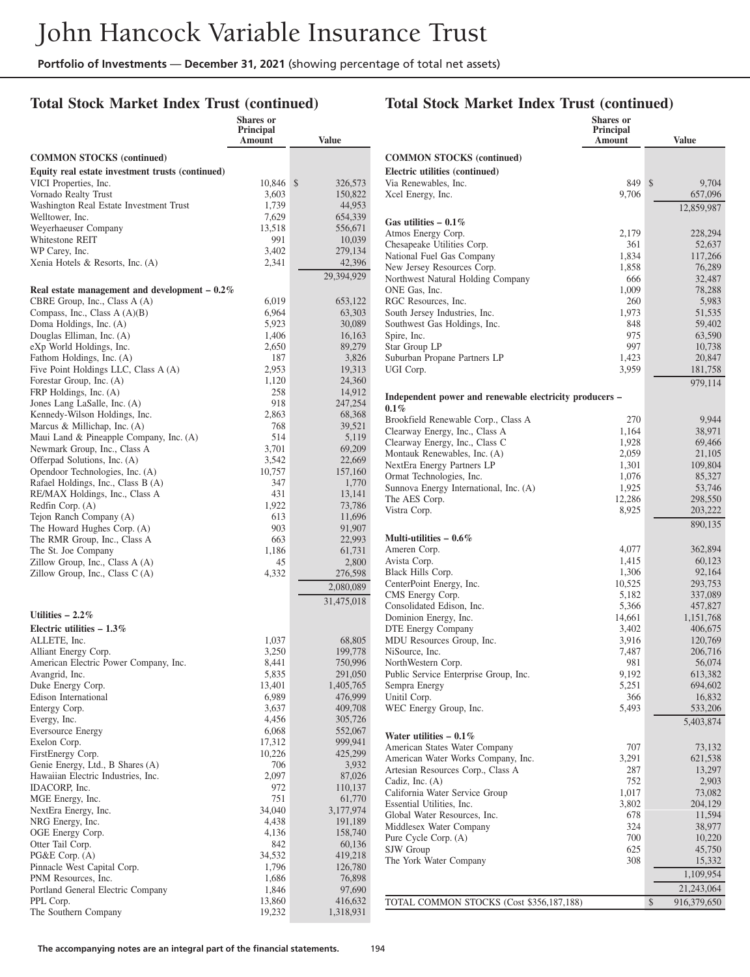#### **Total Stock Market Index Trust (continued)**

|                                                                      | Shares or           |                   |
|----------------------------------------------------------------------|---------------------|-------------------|
|                                                                      | Principal<br>Amount | <b>Value</b>      |
|                                                                      |                     |                   |
| <b>COMMON STOCKS</b> (continued)                                     |                     |                   |
| Equity real estate investment trusts (continued)                     |                     |                   |
| VICI Properties, Inc.                                                | 10,846              | \$<br>326,573     |
| Vornado Realty Trust                                                 | 3,603               | 150,822           |
| Washington Real Estate Investment Trust                              | 1,739               | 44,953            |
| Welltower, Inc.                                                      | 7,629               | 654,339           |
| Weyerhaeuser Company<br>Whitestone REIT                              | 13,518              | 556,671           |
| WP Carey, Inc.                                                       | 991<br>3,402        | 10,039<br>279,134 |
| Xenia Hotels & Resorts, Inc. (A)                                     | 2,341               | 42,396            |
|                                                                      |                     | 29,394,929        |
|                                                                      |                     |                   |
| Real estate management and development $-0.2\%$                      |                     |                   |
| CBRE Group, Inc., Class A (A)<br>Compass, Inc., Class A (A)(B)       | 6,019<br>6,964      | 653,122<br>63,303 |
| Doma Holdings, Inc. (A)                                              | 5,923               | 30,089            |
| Douglas Elliman, Inc. (A)                                            | 1,406               | 16,163            |
| eXp World Holdings, Inc.                                             | 2,650               | 89,279            |
| Fathom Holdings, Inc. (A)                                            | 187                 | 3,826             |
| Five Point Holdings LLC, Class A (A)                                 | 2,953               | 19,313            |
| Forestar Group, Inc. (A)                                             | 1,120               | 24,360            |
| FRP Holdings, Inc. (A)                                               | 258                 | 14,912            |
| Jones Lang LaSalle, Inc. (A)                                         | 918                 | 247,254           |
| Kennedy-Wilson Holdings, Inc.                                        | 2.863               | 68,368            |
| Marcus & Millichap, Inc. (A)                                         | 768                 | 39,521            |
| Maui Land & Pineapple Company, Inc. (A)                              | 514                 | 5,119             |
| Newmark Group, Inc., Class A                                         | 3,701               | 69,209            |
| Offerpad Solutions, Inc. (A)                                         | 3,542               | 22,669            |
| Opendoor Technologies, Inc. (A)                                      | 10,757              | 157,160           |
| Rafael Holdings, Inc., Class B (A)<br>RE/MAX Holdings, Inc., Class A | 347<br>431          | 1,770<br>13,141   |
| Redfin Corp. (A)                                                     | 1,922               | 73,786            |
| Tejon Ranch Company (A)                                              | 613                 | 11,696            |
| The Howard Hughes Corp. (A)                                          | 903                 | 91,907            |
| The RMR Group, Inc., Class A                                         | 663                 | 22,993            |
| The St. Joe Company                                                  | 1,186               | 61,731            |
| Zillow Group, Inc., Class A (A)                                      | 45                  | 2,800             |
| Zillow Group, Inc., Class C(A)                                       | 4,332               | 276,598           |
|                                                                      |                     | 2,080,089         |
|                                                                      |                     | 31,475,018        |
| Utilities $-2.2\%$                                                   |                     |                   |
| Electric utilities $-1.3\%$                                          |                     |                   |
| ALLETE, Inc.                                                         | 1,037               | 68,805            |
| Alliant Energy Corp.                                                 | 3,250               | 199,778           |
| American Electric Power Company, Inc.                                | 8,441               | 750,996           |
| Avangrid, Inc.                                                       | 5,835               | 291,050           |
| Duke Energy Corp.                                                    | 13,401              | 1,405,765         |
| Edison International                                                 | 6,989               | 476,999           |
| Entergy Corp.                                                        | 3,637               | 409,708           |
| Evergy, Inc.                                                         | 4,456               | 305,726           |
| <b>Eversource Energy</b>                                             | 6,068               | 552,067           |
| Exelon Corp.                                                         | 17,312              | 999,941           |
| FirstEnergy Corp.<br>Genie Energy, Ltd., B Shares (A)                | 10,226<br>706       | 425,299<br>3,932  |
| Hawaiian Electric Industries, Inc.                                   | 2,097               | 87,026            |
| IDACORP, Inc.                                                        | 972                 | 110,137           |
| MGE Energy, Inc.                                                     | 751                 | 61,770            |
| NextEra Energy, Inc.                                                 | 34,040              | 3,177,974         |
| NRG Energy, Inc.                                                     | 4,438               | 191,189           |
| OGE Energy Corp.                                                     | 4,136               | 158,740           |
| Otter Tail Corp.                                                     | 842                 | 60,136            |
| PG&E Corp. (A)                                                       | 34,532              | 419,218           |
| Pinnacle West Capital Corp.                                          | 1,796               | 126,780           |
| PNM Resources, Inc.                                                  | 1,686               | 76,898            |
| Portland General Electric Company                                    | 1,846               | 97,690            |
| PPL Corp.                                                            | 13,860              | 416,632           |
| The Southern Company                                                 | 19,232              | 1,318,931         |

|                                                           | <b>Shares</b> or<br><b>Principal</b><br>Amount | <b>Value</b>       |
|-----------------------------------------------------------|------------------------------------------------|--------------------|
| <b>COMMON STOCKS (continued)</b>                          |                                                |                    |
| Electric utilities (continued)                            |                                                |                    |
| Via Renewables, Inc.                                      | 849                                            | \$<br>9,704        |
| Xcel Energy, Inc.                                         | 9,706                                          | 657,096            |
|                                                           |                                                | 12,859,987         |
| Gas utilities $-0.1\%$                                    |                                                |                    |
| Atmos Energy Corp.<br>Chesapeake Utilities Corp.          | 2,179<br>361                                   | 228,294<br>52,637  |
| National Fuel Gas Company                                 | 1,834                                          | 117,266            |
| New Jersey Resources Corp.                                | 1,858                                          | 76,289             |
| Northwest Natural Holding Company                         | 666                                            | 32,487             |
| ONE Gas, Inc.                                             | 1,009                                          | 78,288             |
| RGC Resources, Inc.<br>South Jersey Industries, Inc.      | 260<br>1,973                                   | 5,983<br>51,535    |
| Southwest Gas Holdings, Inc.                              | 848                                            | 59,402             |
| Spire, Inc.                                               | 975                                            | 63,590             |
| Star Group LP                                             | 997                                            | 10,738             |
| Suburban Propane Partners LP                              | 1,423                                          | 20,847             |
| UGI Corp.                                                 | 3,959                                          | 181,758            |
| Independent power and renewable electricity producers –   |                                                | 979,114            |
| $0.1\%$<br>Brookfield Renewable Corp., Class A            | 270                                            | 9,944              |
| Clearway Energy, Inc., Class A                            | 1,164                                          | 38,971             |
| Clearway Energy, Inc., Class C                            | 1,928                                          | 69,466             |
| Montauk Renewables, Inc. (A)                              | 2,059                                          | 21,105             |
| NextEra Energy Partners LP                                | 1,301                                          | 109,804            |
| Ormat Technologies, Inc.                                  | 1,076                                          | 85,327             |
| Sunnova Energy International, Inc. (A)<br>The AES Corp.   | 1,925<br>12,286                                | 53,746<br>298,550  |
| Vistra Corp.                                              | 8,925                                          | 203,222            |
|                                                           |                                                | 890,135            |
| Multi-utilities $-0.6\%$                                  |                                                |                    |
| Ameren Corp.                                              | 4,077                                          | 362,894            |
| Avista Corp.                                              | 1,415                                          | 60,123             |
| Black Hills Corp.                                         | 1,306                                          | 92,164             |
| CenterPoint Energy, Inc.<br>CMS Energy Corp.              | 10,525<br>5,182                                | 293,753<br>337,089 |
| Consolidated Edison, Inc.                                 | 5,366                                          | 457,827            |
| Dominion Energy, Inc.                                     | 14,661                                         | 1,151,768          |
| DTE Energy Company                                        | 3,402                                          | 406,675            |
| MDU Resources Group, Inc.                                 | 3,916                                          | 120,769            |
| NiSource, Inc.<br>NorthWestern Corp.                      | 7,487<br>981                                   | 206,716<br>56,074  |
| Public Service Enterprise Group, Inc.                     | 9,192                                          | 613,382            |
| Sempra Energy                                             | 5,251                                          | 694,602            |
| Unitil Corp.                                              | 366                                            | 16,832             |
| WEC Energy Group, Inc.                                    | 5,493                                          | 533,206            |
|                                                           |                                                | 5,403,874          |
| Water utilities $-0.1\%$<br>American States Water Company | 707                                            | 73,132             |
| American Water Works Company, Inc.                        | 3,291                                          | 621,538            |
| Artesian Resources Corp., Class A                         | 287                                            | 13,297             |
| Cadiz, Inc. (A)                                           | 752                                            | 2,903              |
| California Water Service Group                            | 1,017                                          | 73,082             |
| Essential Utilities, Inc.                                 | 3,802                                          | 204,129            |
| Global Water Resources, Inc.<br>Middlesex Water Company   | 678<br>324                                     | 11,594<br>38,977   |
| Pure Cycle Corp. (A)                                      | 700                                            | 10,220             |
| SJW Group                                                 | 625                                            | 45,750             |
| The York Water Company                                    | 308                                            | 15,332             |
|                                                           |                                                | 1,109,954          |
|                                                           |                                                | 21,243,064         |
| TOTAL COMMON STOCKS (Cost \$356,187,188)                  |                                                | \$<br>916,379,650  |
|                                                           |                                                |                    |